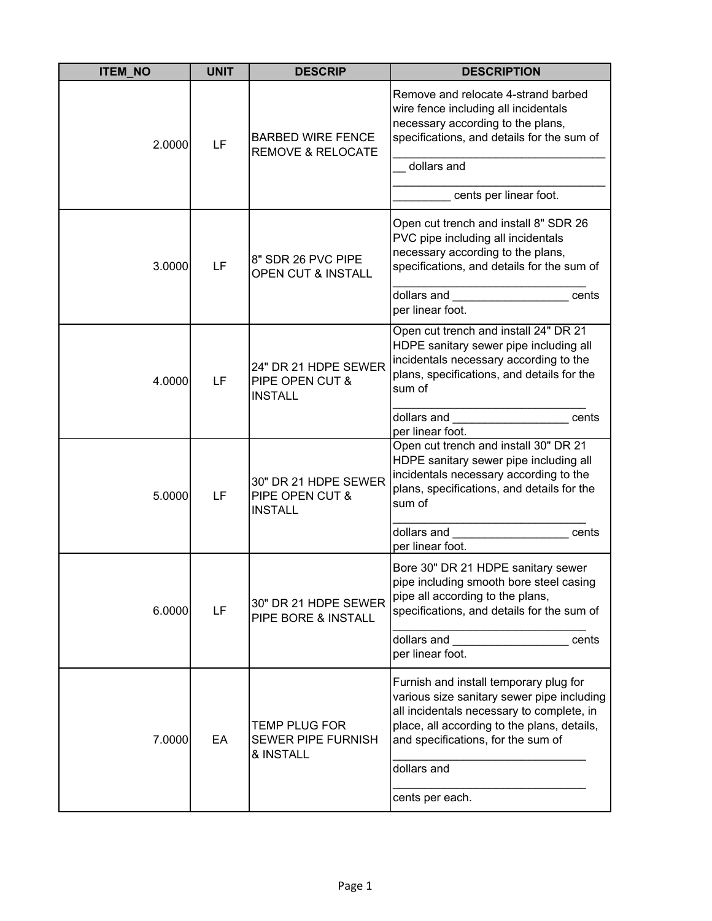| <b>ITEM NO</b> | <b>UNIT</b> | <b>DESCRIP</b>                                                 | <b>DESCRIPTION</b>                                                                                                                                                                                                                                                |
|----------------|-------------|----------------------------------------------------------------|-------------------------------------------------------------------------------------------------------------------------------------------------------------------------------------------------------------------------------------------------------------------|
| 2.0000         | LF          | <b>BARBED WIRE FENCE</b><br><b>REMOVE &amp; RELOCATE</b>       | Remove and relocate 4-strand barbed<br>wire fence including all incidentals<br>necessary according to the plans,<br>specifications, and details for the sum of<br>dollars and                                                                                     |
|                |             |                                                                | cents per linear foot.                                                                                                                                                                                                                                            |
| 3.0000         | LF          | 8" SDR 26 PVC PIPE<br>OPEN CUT & INSTALL                       | Open cut trench and install 8" SDR 26<br>PVC pipe including all incidentals<br>necessary according to the plans,<br>specifications, and details for the sum of<br>cents                                                                                           |
|                |             |                                                                | dollars and<br>per linear foot.                                                                                                                                                                                                                                   |
| 4.0000         | LF          | 24" DR 21 HDPE SEWER<br>PIPE OPEN CUT &<br><b>INSTALL</b>      | Open cut trench and install 24" DR 21<br>HDPE sanitary sewer pipe including all<br>incidentals necessary according to the<br>plans, specifications, and details for the<br>sum of                                                                                 |
|                |             |                                                                | dollars and<br>cents<br>per linear foot.                                                                                                                                                                                                                          |
| 5.0000         | LF          | 30" DR 21 HDPE SEWER<br>PIPE OPEN CUT &<br><b>INSTALL</b>      | Open cut trench and install 30" DR 21<br>HDPE sanitary sewer pipe including all<br>incidentals necessary according to the<br>plans, specifications, and details for the<br>sum of                                                                                 |
|                |             |                                                                | dollars and<br>cents<br>per linear foot.                                                                                                                                                                                                                          |
| 6.0000         | LF          | 30" DR 21 HDPE SEWER<br>PIPE BORE & INSTALL                    | Bore 30" DR 21 HDPE sanitary sewer<br>pipe including smooth bore steel casing<br>pipe all according to the plans,<br>specifications, and details for the sum of                                                                                                   |
|                |             |                                                                | dollars and <b>contract the contract of the contract of the contract of the contract of the contract of the contract of the contract of the contract of the contract of the contract of the contract of the contract of the cont</b><br>cents<br>per linear foot. |
| 7.0000         | EA          | <b>TEMP PLUG FOR</b><br><b>SEWER PIPE FURNISH</b><br>& INSTALL | Furnish and install temporary plug for<br>various size sanitary sewer pipe including<br>all incidentals necessary to complete, in<br>place, all according to the plans, details,<br>and specifications, for the sum of<br>dollars and                             |
|                |             |                                                                | cents per each.                                                                                                                                                                                                                                                   |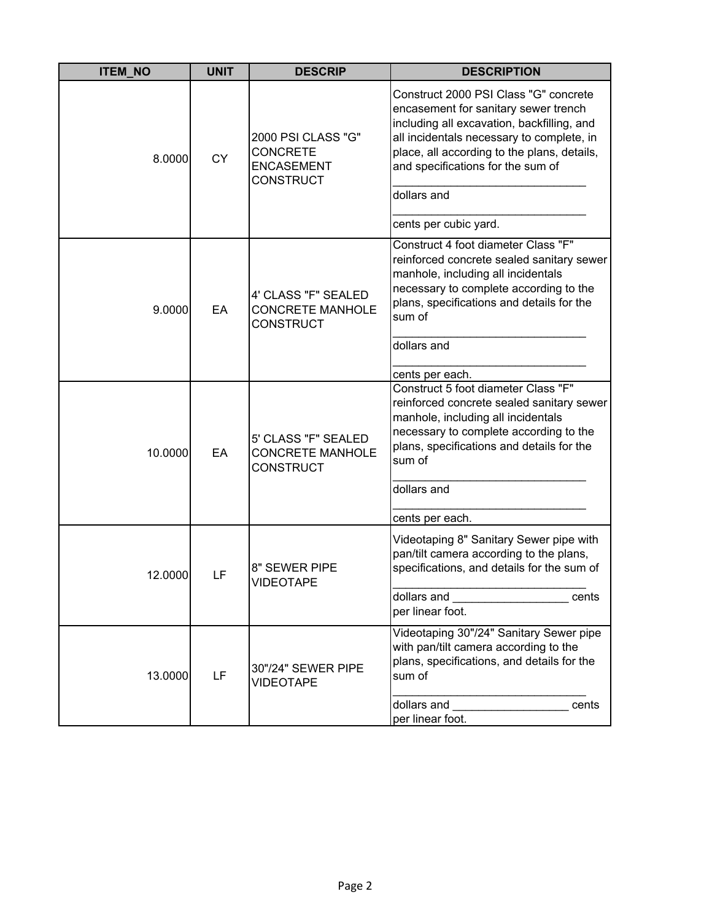| <b>ITEM NO</b> | <b>UNIT</b> | <b>DESCRIP</b>                                                                 | <b>DESCRIPTION</b>                                                                                                                                                                                                                                                                                   |
|----------------|-------------|--------------------------------------------------------------------------------|------------------------------------------------------------------------------------------------------------------------------------------------------------------------------------------------------------------------------------------------------------------------------------------------------|
| 8.0000         | <b>CY</b>   | 2000 PSI CLASS "G"<br><b>CONCRETE</b><br><b>ENCASEMENT</b><br><b>CONSTRUCT</b> | Construct 2000 PSI Class "G" concrete<br>encasement for sanitary sewer trench<br>including all excavation, backfilling, and<br>all incidentals necessary to complete, in<br>place, all according to the plans, details,<br>and specifications for the sum of<br>dollars and<br>cents per cubic yard. |
| 9.0000         | EA          | 4' CLASS "F" SEALED<br><b>CONCRETE MANHOLE</b><br><b>CONSTRUCT</b>             | Construct 4 foot diameter Class "F"<br>reinforced concrete sealed sanitary sewer<br>manhole, including all incidentals<br>necessary to complete according to the<br>plans, specifications and details for the<br>sum of<br>dollars and<br>cents per each.                                            |
| 10.0000        | EA          | 5' CLASS "F" SEALED<br><b>CONCRETE MANHOLE</b><br><b>CONSTRUCT</b>             | Construct 5 foot diameter Class "F"<br>reinforced concrete sealed sanitary sewer<br>manhole, including all incidentals<br>necessary to complete according to the<br>plans, specifications and details for the<br>sum of<br>dollars and<br>cents per each.                                            |
| 12.0000        | LF          | 8" SEWER PIPE<br><b>VIDEOTAPE</b>                                              | Videotaping 8" Sanitary Sewer pipe with<br>pan/tilt camera according to the plans,<br>specifications, and details for the sum of<br>dollars and <b>state of the state of the state</b><br>cents<br>per linear foot.                                                                                  |
| 13.0000        | LF          | 30"/24" SEWER PIPE<br><b>VIDEOTAPE</b>                                         | Videotaping 30"/24" Sanitary Sewer pipe<br>with pan/tilt camera according to the<br>plans, specifications, and details for the<br>sum of<br>dollars and<br>cents<br>per linear foot.                                                                                                                 |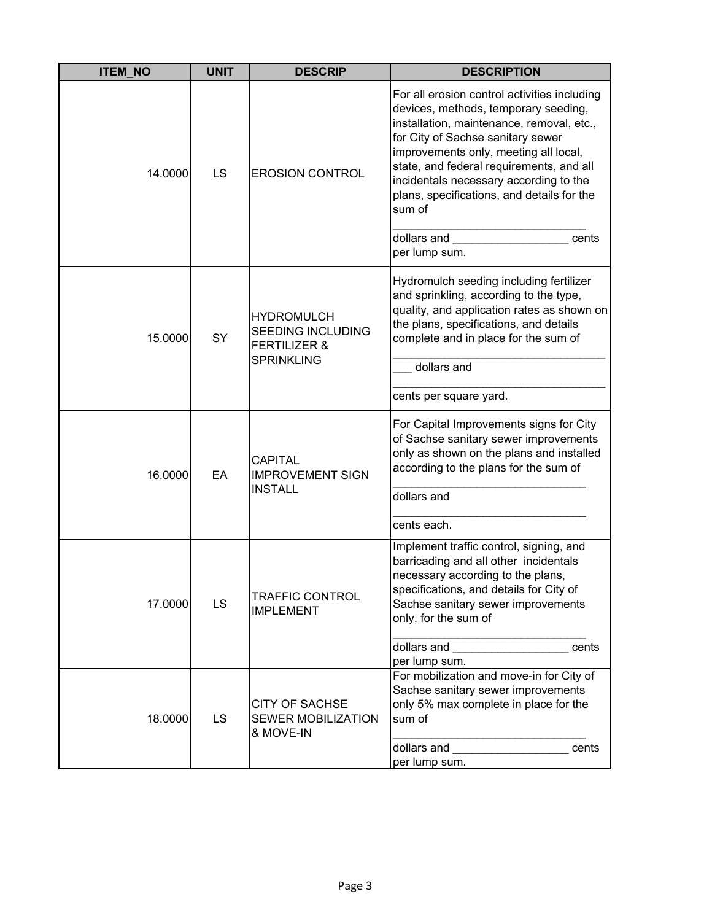| <b>ITEM_NO</b> | <b>UNIT</b> | <b>DESCRIP</b>                                                                                | <b>DESCRIPTION</b>                                                                                                                                                                                                                                                                                                                                                                                     |
|----------------|-------------|-----------------------------------------------------------------------------------------------|--------------------------------------------------------------------------------------------------------------------------------------------------------------------------------------------------------------------------------------------------------------------------------------------------------------------------------------------------------------------------------------------------------|
| 14.0000        | LS          | <b>EROSION CONTROL</b>                                                                        | For all erosion control activities including<br>devices, methods, temporary seeding,<br>installation, maintenance, removal, etc.,<br>for City of Sachse sanitary sewer<br>improvements only, meeting all local,<br>state, and federal requirements, and all<br>incidentals necessary according to the<br>plans, specifications, and details for the<br>sum of<br>dollars and<br>cents<br>per lump sum. |
| 15.0000        | SY          | <b>HYDROMULCH</b><br><b>SEEDING INCLUDING</b><br><b>FERTILIZER &amp;</b><br><b>SPRINKLING</b> | Hydromulch seeding including fertilizer<br>and sprinkling, according to the type,<br>quality, and application rates as shown on<br>the plans, specifications, and details<br>complete and in place for the sum of<br>dollars and<br>cents per square yard.                                                                                                                                             |
| 16.0000        | EA          | <b>CAPITAL</b><br><b>IMPROVEMENT SIGN</b><br><b>INSTALL</b>                                   | For Capital Improvements signs for City<br>of Sachse sanitary sewer improvements<br>only as shown on the plans and installed<br>according to the plans for the sum of<br>dollars and<br>cents each.                                                                                                                                                                                                    |
| 17.0000        | LS          | <b>TRAFFIC CONTROL</b><br><b>IMPLEMENT</b>                                                    | Implement traffic control, signing, and<br>barricading and all other incidentals<br>necessary according to the plans,<br>specifications, and details for City of<br>Sachse sanitary sewer improvements<br>only, for the sum of<br>dollars and <b>state of the state of the state</b><br>cents<br>per lump sum.                                                                                         |
| 18.0000        | LS          | <b>CITY OF SACHSE</b><br><b>SEWER MOBILIZATION</b><br>& MOVE-IN                               | For mobilization and move-in for City of<br>Sachse sanitary sewer improvements<br>only 5% max complete in place for the<br>sum of<br>dollars and<br>cents<br>per lump sum.                                                                                                                                                                                                                             |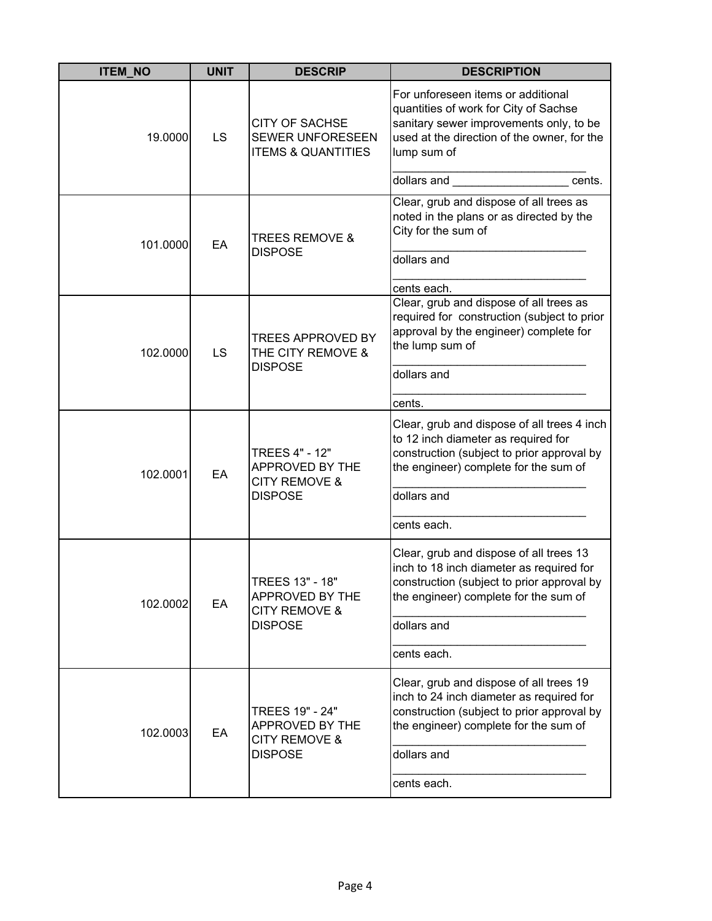| <b>ITEM_NO</b> | <b>UNIT</b> | <b>DESCRIP</b>                                                                         | <b>DESCRIPTION</b>                                                                                                                                                                                                                      |
|----------------|-------------|----------------------------------------------------------------------------------------|-----------------------------------------------------------------------------------------------------------------------------------------------------------------------------------------------------------------------------------------|
| 19.0000        | LS          | <b>CITY OF SACHSE</b><br>SEWER UNFORESEEN<br><b>ITEMS &amp; QUANTITIES</b>             | For unforeseen items or additional<br>quantities of work for City of Sachse<br>sanitary sewer improvements only, to be<br>used at the direction of the owner, for the<br>lump sum of                                                    |
|                |             |                                                                                        | dollars and the control of the control of the control of the control of the control of the control of the control of the control of the control of the control of the control of the control of the control of the control of<br>cents. |
| 101.0000       | EA          | <b>TREES REMOVE &amp;</b><br><b>DISPOSE</b>                                            | Clear, grub and dispose of all trees as<br>noted in the plans or as directed by the<br>City for the sum of<br>dollars and                                                                                                               |
|                |             |                                                                                        | cents each.                                                                                                                                                                                                                             |
| 102.0000       | LS          | <b>TREES APPROVED BY</b><br>THE CITY REMOVE &<br><b>DISPOSE</b>                        | Clear, grub and dispose of all trees as<br>required for construction (subject to prior<br>approval by the engineer) complete for<br>the lump sum of<br>dollars and<br>cents.                                                            |
|                |             |                                                                                        |                                                                                                                                                                                                                                         |
| 102.0001       | EA          | <b>TREES 4" - 12"</b><br>APPROVED BY THE<br><b>CITY REMOVE &amp;</b><br><b>DISPOSE</b> | Clear, grub and dispose of all trees 4 inch<br>to 12 inch diameter as required for<br>construction (subject to prior approval by<br>the engineer) complete for the sum of                                                               |
|                |             |                                                                                        | dollars and                                                                                                                                                                                                                             |
|                |             |                                                                                        | cents each.                                                                                                                                                                                                                             |
| 102.0002       | EA          | TREES 13" - 18"<br>APPROVED BY THE<br><b>CITY REMOVE &amp;</b><br><b>DISPOSE</b>       | Clear, grub and dispose of all trees 13<br>inch to 18 inch diameter as required for<br>construction (subject to prior approval by<br>the engineer) complete for the sum of<br>dollars and<br>cents each.                                |
|                |             |                                                                                        |                                                                                                                                                                                                                                         |
| 102.0003       | EA          | TREES 19" - 24"<br>APPROVED BY THE<br><b>CITY REMOVE &amp;</b><br><b>DISPOSE</b>       | Clear, grub and dispose of all trees 19<br>inch to 24 inch diameter as required for<br>construction (subject to prior approval by<br>the engineer) complete for the sum of                                                              |
|                |             |                                                                                        | dollars and                                                                                                                                                                                                                             |
|                |             |                                                                                        | cents each.                                                                                                                                                                                                                             |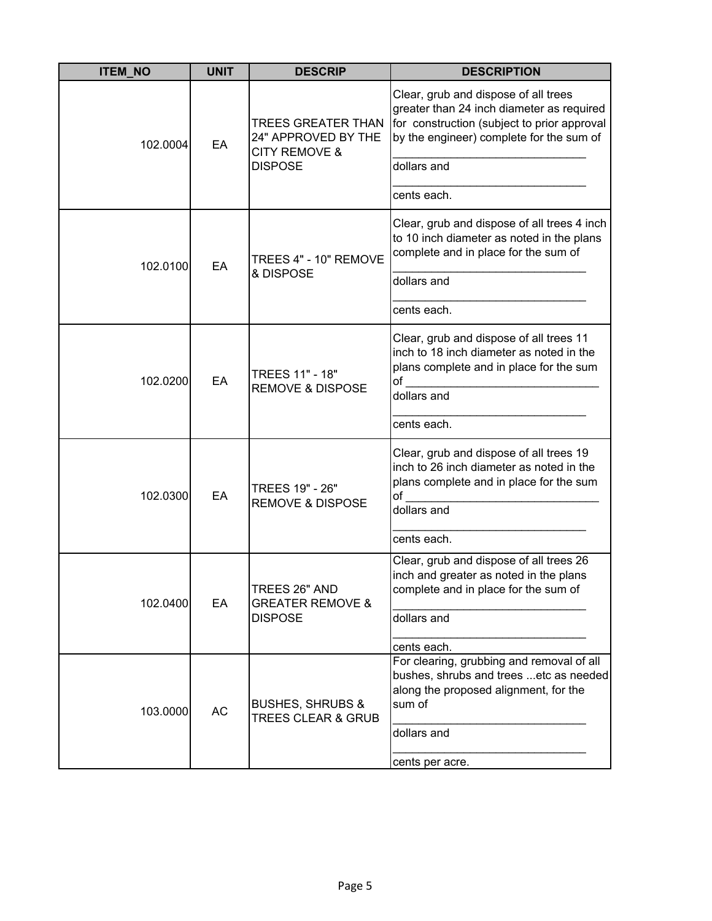| <b>ITEM_NO</b> | <b>UNIT</b> | <b>DESCRIP</b>                                                               | <b>DESCRIPTION</b>                                                                                                                                                           |
|----------------|-------------|------------------------------------------------------------------------------|------------------------------------------------------------------------------------------------------------------------------------------------------------------------------|
| 102.0004       | EA          | <b>TREES GREATER THAN</b><br>24" APPROVED BY THE<br><b>CITY REMOVE &amp;</b> | Clear, grub and dispose of all trees<br>greater than 24 inch diameter as required<br>for construction (subject to prior approval<br>by the engineer) complete for the sum of |
|                |             | <b>DISPOSE</b>                                                               | dollars and                                                                                                                                                                  |
|                |             |                                                                              | cents each.                                                                                                                                                                  |
| 102.0100       | EA          | TREES 4" - 10" REMOVE                                                        | Clear, grub and dispose of all trees 4 inch<br>to 10 inch diameter as noted in the plans<br>complete and in place for the sum of                                             |
|                |             | & DISPOSE                                                                    | dollars and                                                                                                                                                                  |
|                |             |                                                                              | cents each.                                                                                                                                                                  |
| 102.0200       | EA          | TREES 11" - 18"<br><b>REMOVE &amp; DISPOSE</b>                               | Clear, grub and dispose of all trees 11<br>inch to 18 inch diameter as noted in the<br>plans complete and in place for the sum<br>of<br>dollars and                          |
|                |             |                                                                              | cents each.                                                                                                                                                                  |
| 102.0300       | EA          | TREES 19" - 26"<br><b>REMOVE &amp; DISPOSE</b>                               | Clear, grub and dispose of all trees 19<br>inch to 26 inch diameter as noted in the<br>plans complete and in place for the sum<br>of                                         |
|                |             |                                                                              | dollars and                                                                                                                                                                  |
|                |             |                                                                              | cents each.                                                                                                                                                                  |
| 102.0400       | EA          | TREES 26" AND<br><b>GREATER REMOVE &amp;</b><br><b>DISPOSE</b>               | Clear, grub and dispose of all trees 26<br>inch and greater as noted in the plans<br>complete and in place for the sum of<br>dollars and                                     |
|                |             |                                                                              | cents each.                                                                                                                                                                  |
| 103.0000       | <b>AC</b>   | <b>BUSHES, SHRUBS &amp;</b><br><b>TREES CLEAR &amp; GRUB</b>                 | For clearing, grubbing and removal of all<br>bushes, shrubs and trees etc as needed<br>along the proposed alignment, for the<br>sum of<br>dollars and                        |
|                |             |                                                                              | cents per acre.                                                                                                                                                              |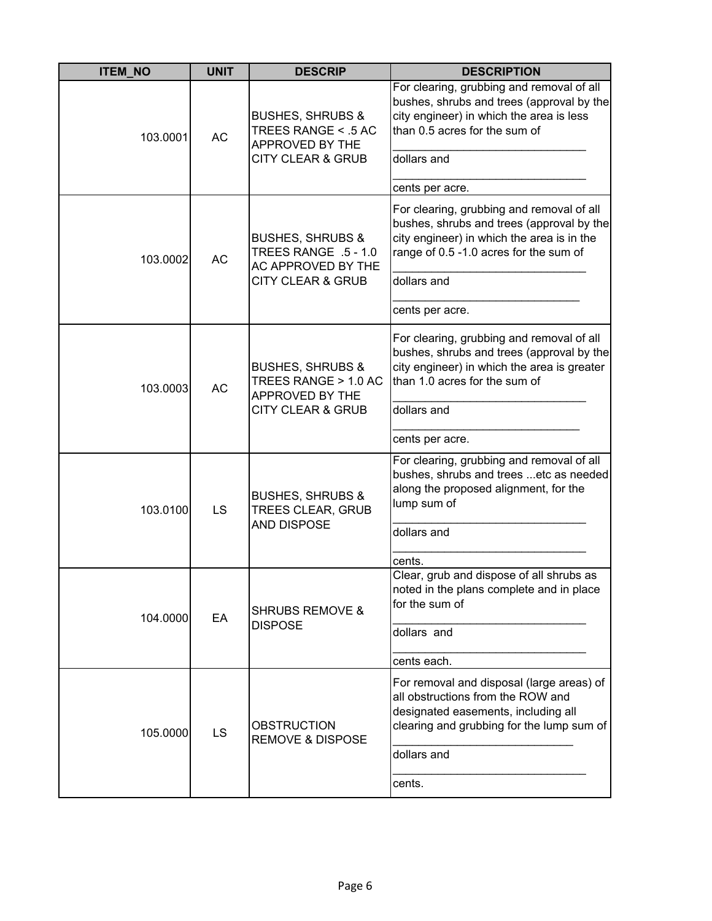| <b>ITEM_NO</b> | <b>UNIT</b> | <b>DESCRIP</b>                                                                                         | <b>DESCRIPTION</b>                                                                                                                                                                 |
|----------------|-------------|--------------------------------------------------------------------------------------------------------|------------------------------------------------------------------------------------------------------------------------------------------------------------------------------------|
| 103.0001       | <b>AC</b>   | <b>BUSHES, SHRUBS &amp;</b><br>TREES RANGE < .5 AC<br>APPROVED BY THE                                  | For clearing, grubbing and removal of all<br>bushes, shrubs and trees (approval by the<br>city engineer) in which the area is less<br>than 0.5 acres for the sum of<br>dollars and |
|                |             | CITY CLEAR & GRUB                                                                                      |                                                                                                                                                                                    |
|                |             |                                                                                                        | cents per acre.                                                                                                                                                                    |
| 103.0002       | <b>AC</b>   | <b>BUSHES, SHRUBS &amp;</b><br>TREES RANGE .5 - 1.0<br>AC APPROVED BY THE                              | For clearing, grubbing and removal of all<br>bushes, shrubs and trees (approval by the<br>city engineer) in which the area is in the<br>range of 0.5 -1.0 acres for the sum of     |
|                |             | <b>CITY CLEAR &amp; GRUB</b>                                                                           | dollars and                                                                                                                                                                        |
|                |             |                                                                                                        | cents per acre.                                                                                                                                                                    |
| 103.0003       | AC          | <b>BUSHES, SHRUBS &amp;</b><br>TREES RANGE > 1.0 AC<br>APPROVED BY THE<br><b>CITY CLEAR &amp; GRUB</b> | For clearing, grubbing and removal of all<br>bushes, shrubs and trees (approval by the<br>city engineer) in which the area is greater<br>than 1.0 acres for the sum of             |
|                |             |                                                                                                        | dollars and                                                                                                                                                                        |
|                |             |                                                                                                        | cents per acre.                                                                                                                                                                    |
| 103.0100       | LS          | <b>BUSHES, SHRUBS &amp;</b><br><b>TREES CLEAR, GRUB</b><br><b>AND DISPOSE</b>                          | For clearing, grubbing and removal of all<br>bushes, shrubs and trees etc as needed<br>along the proposed alignment, for the<br>lump sum of                                        |
|                |             |                                                                                                        | dollars and                                                                                                                                                                        |
|                |             |                                                                                                        | cents.                                                                                                                                                                             |
| 104.0000       | EA          | <b>SHRUBS REMOVE &amp;</b><br><b>DISPOSE</b>                                                           | Clear, grub and dispose of all shrubs as<br>noted in the plans complete and in place<br>for the sum of                                                                             |
|                |             |                                                                                                        | dollars and                                                                                                                                                                        |
|                |             |                                                                                                        | cents each.                                                                                                                                                                        |
| 105.0000       | LS          | <b>OBSTRUCTION</b><br><b>REMOVE &amp; DISPOSE</b>                                                      | For removal and disposal (large areas) of<br>all obstructions from the ROW and<br>designated easements, including all<br>clearing and grubbing for the lump sum of                 |
|                |             |                                                                                                        | dollars and                                                                                                                                                                        |
|                |             |                                                                                                        | cents.                                                                                                                                                                             |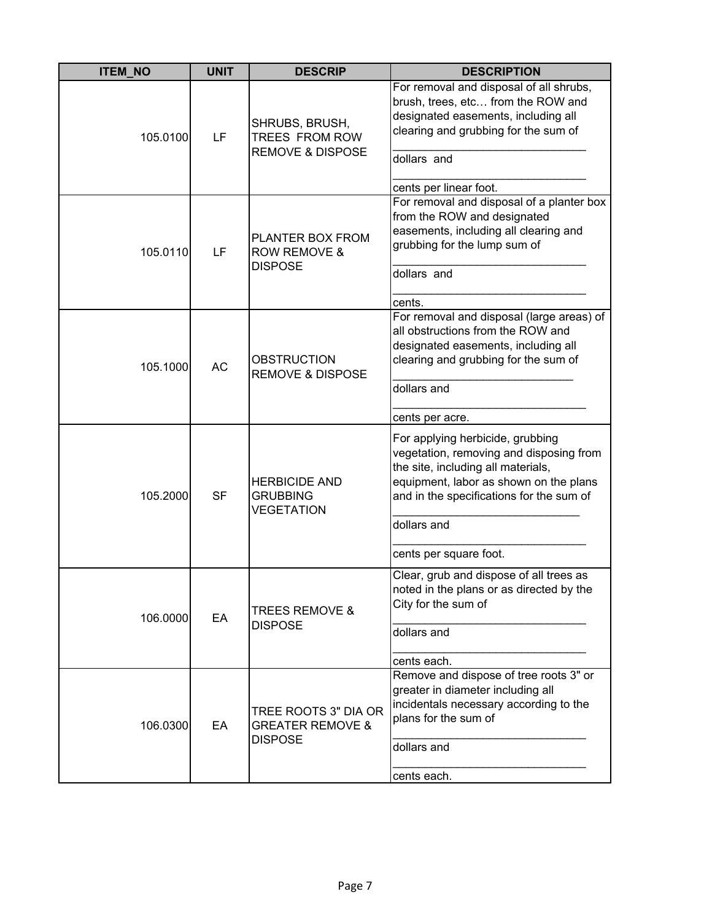| <b>ITEM NO</b> | <b>UNIT</b> | <b>DESCRIP</b>                                                        | <b>DESCRIPTION</b>                                                                                                                                                                                                                               |
|----------------|-------------|-----------------------------------------------------------------------|--------------------------------------------------------------------------------------------------------------------------------------------------------------------------------------------------------------------------------------------------|
| 105.0100       | LF          | SHRUBS, BRUSH,<br>TREES FROM ROW<br><b>REMOVE &amp; DISPOSE</b>       | For removal and disposal of all shrubs,<br>brush, trees, etc from the ROW and<br>designated easements, including all<br>clearing and grubbing for the sum of<br>dollars and<br>cents per linear foot.                                            |
| 105.0110       | LF          | PLANTER BOX FROM<br><b>ROW REMOVE &amp;</b><br><b>DISPOSE</b>         | For removal and disposal of a planter box<br>from the ROW and designated<br>easements, including all clearing and<br>grubbing for the lump sum of<br>dollars and<br>cents.                                                                       |
| 105.1000       | <b>AC</b>   | <b>OBSTRUCTION</b><br><b>REMOVE &amp; DISPOSE</b>                     | For removal and disposal (large areas) of<br>all obstructions from the ROW and<br>designated easements, including all<br>clearing and grubbing for the sum of<br>dollars and<br>cents per acre.                                                  |
| 105.2000       | <b>SF</b>   | <b>HERBICIDE AND</b><br><b>GRUBBING</b><br>VEGETATION                 | For applying herbicide, grubbing<br>vegetation, removing and disposing from<br>the site, including all materials,<br>equipment, labor as shown on the plans<br>and in the specifications for the sum of<br>dollars and<br>cents per square foot. |
| 106.0000       | EA          | <b>TREES REMOVE &amp;</b><br><b>DISPOSE</b>                           | Clear, grub and dispose of all trees as<br>noted in the plans or as directed by the<br>City for the sum of<br>dollars and<br>cents each.                                                                                                         |
| 106.0300       | EA          | TREE ROOTS 3" DIA OR<br><b>GREATER REMOVE &amp;</b><br><b>DISPOSE</b> | Remove and dispose of tree roots 3" or<br>greater in diameter including all<br>incidentals necessary according to the<br>plans for the sum of<br>dollars and<br>cents each.                                                                      |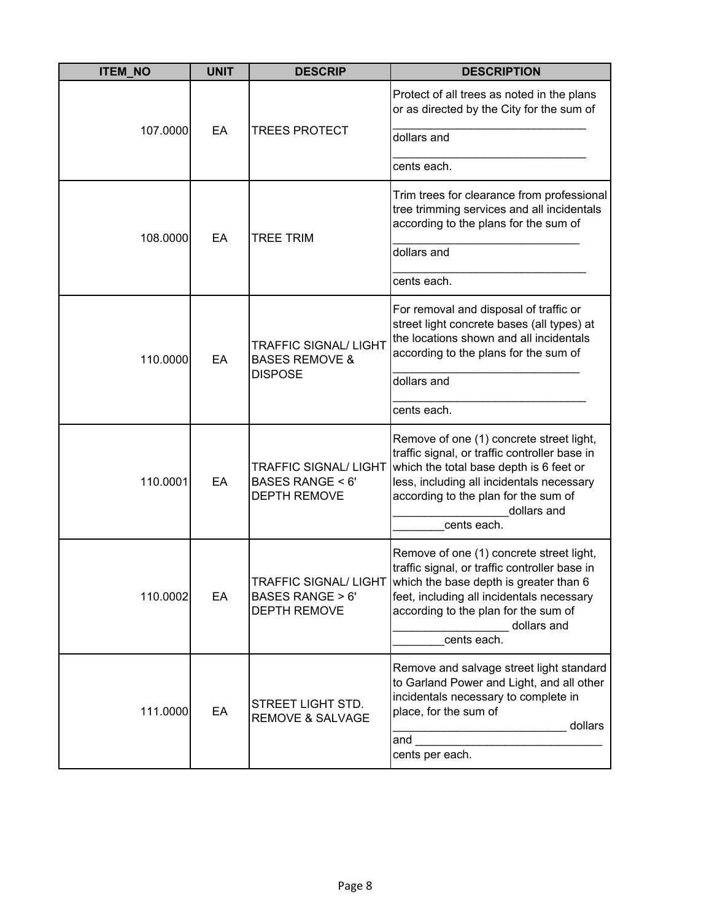| <b>ITEM NO</b> | <b>UNIT</b> | <b>DESCRIP</b>                                                                    | <b>DESCRIPTION</b>                                                                                                                                                                                                                                                           |
|----------------|-------------|-----------------------------------------------------------------------------------|------------------------------------------------------------------------------------------------------------------------------------------------------------------------------------------------------------------------------------------------------------------------------|
| 107.0000       | EA          | <b>TREES PROTECT</b>                                                              | Protect of all trees as noted in the plans<br>or as directed by the City for the sum of<br>dollars and                                                                                                                                                                       |
|                |             |                                                                                   | cents each.                                                                                                                                                                                                                                                                  |
| 108.0000       | EA          | <b>TREE TRIM</b>                                                                  | Trim trees for clearance from professional<br>tree trimming services and all incidentals<br>according to the plans for the sum of                                                                                                                                            |
|                |             |                                                                                   | dollars and                                                                                                                                                                                                                                                                  |
|                |             |                                                                                   | cents each.                                                                                                                                                                                                                                                                  |
| 110.0000       | EA          | <b>TRAFFIC SIGNAL/ LIGHT</b><br><b>BASES REMOVE &amp;</b><br><b>DISPOSE</b>       | For removal and disposal of traffic or<br>street light concrete bases (all types) at<br>the locations shown and all incidentals<br>according to the plans for the sum of<br>dollars and                                                                                      |
|                |             |                                                                                   | cents each.                                                                                                                                                                                                                                                                  |
| 110.0001       | EA          | <b>TRAFFIC SIGNAL/ LIGHT</b><br><b>BASES RANGE &lt; 6'</b><br><b>DEPTH REMOVE</b> | Remove of one (1) concrete street light,<br>traffic signal, or traffic controller base in<br>which the total base depth is 6 feet or<br>less, including all incidentals necessary<br>according to the plan for the sum of<br>dollars and<br>cents each.                      |
| 110.0002       | EA          | <b>BASES RANGE &gt; 6'</b><br><b>DEPTH REMOVE</b>                                 | Remove of one (1) concrete street light,<br>traffic signal, or traffic controller base in<br>TRAFFIC SIGNAL/ LIGHT which the base depth is greater than 6<br>feet, including all incidentals necessary<br>according to the plan for the sum of<br>dollars and<br>cents each. |
| 111.0000       | EA          | STREET LIGHT STD.<br><b>REMOVE &amp; SALVAGE</b>                                  | Remove and salvage street light standard<br>to Garland Power and Light, and all other<br>incidentals necessary to complete in<br>place, for the sum of<br>dollars<br>and<br>cents per each.                                                                                  |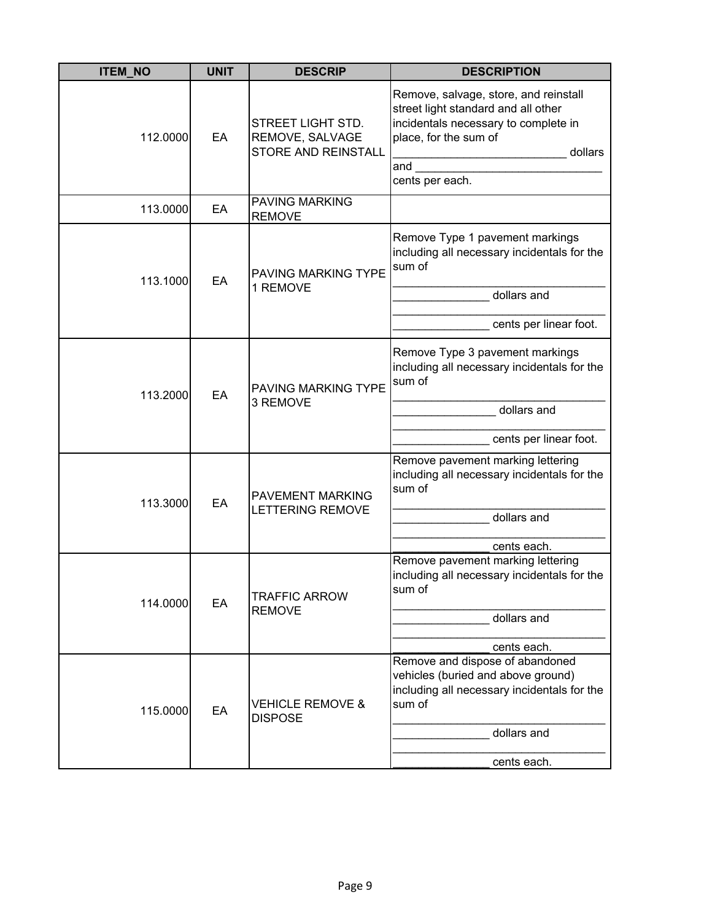| <b>ITEM_NO</b> | <b>UNIT</b> | <b>DESCRIP</b>                                                     | <b>DESCRIPTION</b>                                                                                                                                                                 |
|----------------|-------------|--------------------------------------------------------------------|------------------------------------------------------------------------------------------------------------------------------------------------------------------------------------|
| 112.0000       | EA          | STREET LIGHT STD.<br>REMOVE, SALVAGE<br><b>STORE AND REINSTALL</b> | Remove, salvage, store, and reinstall<br>street light standard and all other<br>incidentals necessary to complete in<br>place, for the sum of<br>dollars<br>and<br>cents per each. |
| 113.0000       | EA          | <b>PAVING MARKING</b><br><b>REMOVE</b>                             |                                                                                                                                                                                    |
| 113.1000       | EA          | <b>PAVING MARKING TYPE</b><br>1 REMOVE                             | Remove Type 1 pavement markings<br>including all necessary incidentals for the<br>sum of<br>dollars and                                                                            |
|                |             |                                                                    | cents per linear foot.                                                                                                                                                             |
| 113.2000       | EA          | <b>PAVING MARKING TYPE</b><br>3 REMOVE                             | Remove Type 3 pavement markings<br>including all necessary incidentals for the<br>sum of                                                                                           |
|                |             |                                                                    | dollars and                                                                                                                                                                        |
|                |             |                                                                    | cents per linear foot.                                                                                                                                                             |
| 113.3000       | EA          | <b>PAVEMENT MARKING</b><br>LETTERING REMOVE                        | Remove pavement marking lettering<br>including all necessary incidentals for the<br>sum of                                                                                         |
|                |             |                                                                    | dollars and                                                                                                                                                                        |
|                |             |                                                                    | cents each.                                                                                                                                                                        |
| 114.0000       | EA          | <b>TRAFFIC ARROW</b><br><b>REMOVE</b>                              | Remove pavement marking lettering<br>including all necessary incidentals for the<br>sum of                                                                                         |
|                |             |                                                                    | dollars and                                                                                                                                                                        |
|                |             |                                                                    | cents each.<br>Remove and dispose of abandoned                                                                                                                                     |
| 115.0000       | EA          | <b>VEHICLE REMOVE &amp;</b><br><b>DISPOSE</b>                      | vehicles (buried and above ground)<br>including all necessary incidentals for the<br>sum of                                                                                        |
|                |             |                                                                    | dollars and                                                                                                                                                                        |
|                |             |                                                                    | cents each.                                                                                                                                                                        |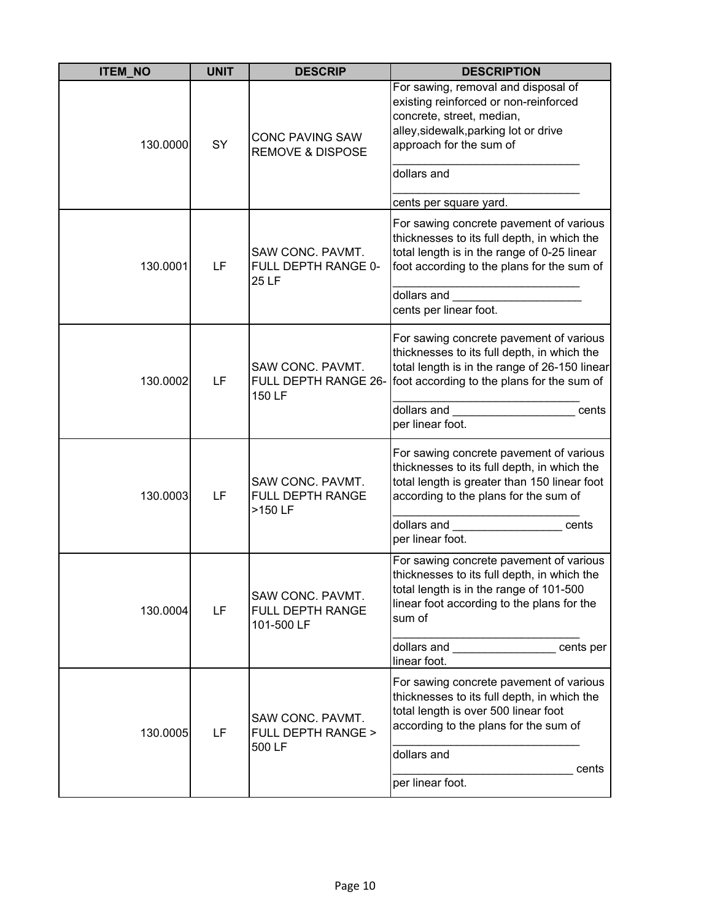| <b>ITEM NO</b> | <b>UNIT</b> | <b>DESCRIP</b>                                        | <b>DESCRIPTION</b>                                                                                                                                                                                                  |
|----------------|-------------|-------------------------------------------------------|---------------------------------------------------------------------------------------------------------------------------------------------------------------------------------------------------------------------|
| 130.0000       | SY          | <b>CONC PAVING SAW</b><br><b>REMOVE &amp; DISPOSE</b> | For sawing, removal and disposal of<br>existing reinforced or non-reinforced<br>concrete, street, median,<br>alley, sidewalk, parking lot or drive<br>approach for the sum of<br>dollars and                        |
|                |             |                                                       | cents per square yard.                                                                                                                                                                                              |
| 130.0001       | LF          | SAW CONC. PAVMT.<br>FULL DEPTH RANGE 0-<br>25 LF      | For sawing concrete pavement of various<br>thicknesses to its full depth, in which the<br>total length is in the range of 0-25 linear<br>foot according to the plans for the sum of<br>dollars and                  |
|                |             |                                                       | cents per linear foot.                                                                                                                                                                                              |
| 130.0002       | LF          | SAW CONC. PAVMT.<br>FULL DEPTH RANGE 26-<br>150 LF    | For sawing concrete pavement of various<br>thicknesses to its full depth, in which the<br>total length is in the range of 26-150 linear<br>foot according to the plans for the sum of                               |
|                |             |                                                       | dollars and<br>cents<br>per linear foot.                                                                                                                                                                            |
| 130.0003       | LF          | SAW CONC. PAVMT.<br>FULL DEPTH RANGE<br>>150 LF       | For sawing concrete pavement of various<br>thicknesses to its full depth, in which the<br>total length is greater than 150 linear foot<br>according to the plans for the sum of                                     |
|                |             |                                                       | dollars and<br>cents<br>per linear foot.                                                                                                                                                                            |
| 130.0004       | LF          | SAW CONC. PAVMT.<br>FULL DEPTH RANGE<br>101-500 LF    | For sawing concrete pavement of various<br>thicknesses to its full depth, in which the<br>total length is in the range of 101-500<br>linear foot according to the plans for the<br>sum of                           |
|                |             |                                                       | dollars and __________________cents per<br>linear foot.                                                                                                                                                             |
| 130.0005       | LF          | SAW CONC. PAVMT.<br>FULL DEPTH RANGE ><br>500 LF      | For sawing concrete pavement of various<br>thicknesses to its full depth, in which the<br>total length is over 500 linear foot<br>according to the plans for the sum of<br>dollars and<br>cents<br>per linear foot. |
|                |             |                                                       |                                                                                                                                                                                                                     |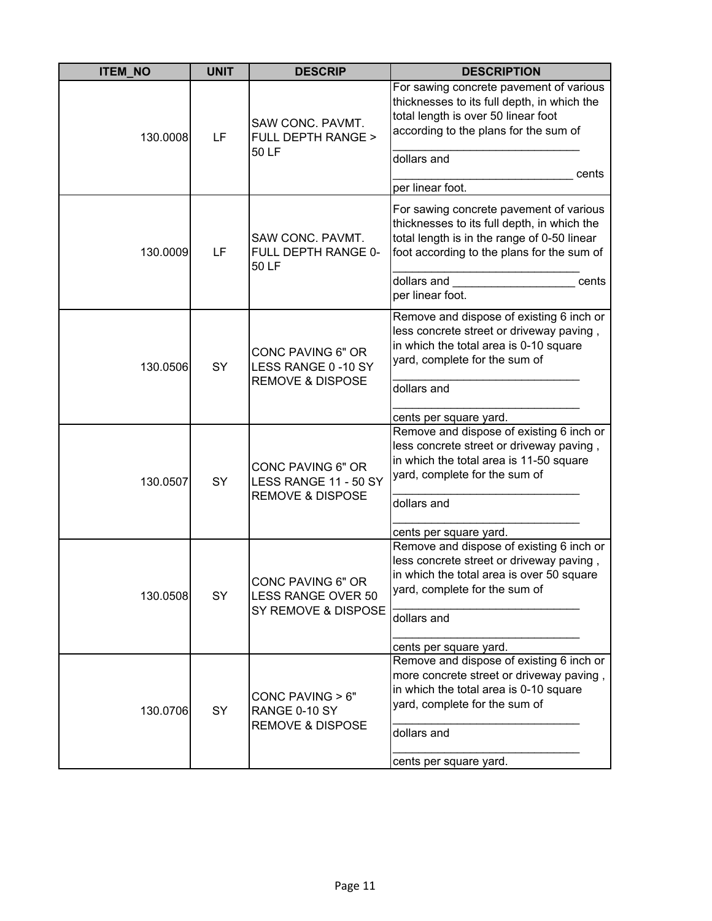| <b>ITEM_NO</b> | <b>UNIT</b> | <b>DESCRIP</b>                                                            | <b>DESCRIPTION</b>                                                                                                                                                                  |
|----------------|-------------|---------------------------------------------------------------------------|-------------------------------------------------------------------------------------------------------------------------------------------------------------------------------------|
| 130.0008       | LF          | SAW CONC. PAVMT.<br>FULL DEPTH RANGE ><br>50 LF                           | For sawing concrete pavement of various<br>thicknesses to its full depth, in which the<br>total length is over 50 linear foot<br>according to the plans for the sum of              |
|                |             |                                                                           | dollars and                                                                                                                                                                         |
|                |             |                                                                           | cents<br>per linear foot.                                                                                                                                                           |
| 130.0009       | LF          | SAW CONC. PAVMT.<br>FULL DEPTH RANGE 0-<br>50 LF                          | For sawing concrete pavement of various<br>thicknesses to its full depth, in which the<br>total length is in the range of 0-50 linear<br>foot according to the plans for the sum of |
|                |             |                                                                           | dollars and<br>cents<br>per linear foot.                                                                                                                                            |
| 130.0506       | SY          | CONC PAVING 6" OR<br>LESS RANGE 0-10 SY<br><b>REMOVE &amp; DISPOSE</b>    | Remove and dispose of existing 6 inch or<br>less concrete street or driveway paving,<br>in which the total area is 0-10 square<br>yard, complete for the sum of                     |
|                |             |                                                                           | dollars and                                                                                                                                                                         |
|                |             |                                                                           | cents per square yard.                                                                                                                                                              |
| 130.0507       | SY          | CONC PAVING 6" OR<br>LESS RANGE 11 - 50 SY<br><b>REMOVE &amp; DISPOSE</b> | Remove and dispose of existing 6 inch or<br>less concrete street or driveway paving,<br>in which the total area is 11-50 square<br>yard, complete for the sum of                    |
|                |             |                                                                           | dollars and                                                                                                                                                                         |
|                |             |                                                                           | cents per square yard.                                                                                                                                                              |
| 130.0508       | SY          | CONC PAVING 6" OR<br><b>LESS RANGE OVER 50</b><br>SY REMOVE & DISPOSE     | Remove and dispose of existing 6 inch or<br>less concrete street or driveway paving,<br>in which the total area is over 50 square<br>yard, complete for the sum of<br>dollars and   |
|                |             |                                                                           | cents per square yard.                                                                                                                                                              |
| 130.0706       | SY          | CONC PAVING > 6"<br>RANGE 0-10 SY<br><b>REMOVE &amp; DISPOSE</b>          | Remove and dispose of existing 6 inch or<br>more concrete street or driveway paving,<br>in which the total area is 0-10 square<br>yard, complete for the sum of<br>dollars and      |
|                |             |                                                                           | cents per square yard.                                                                                                                                                              |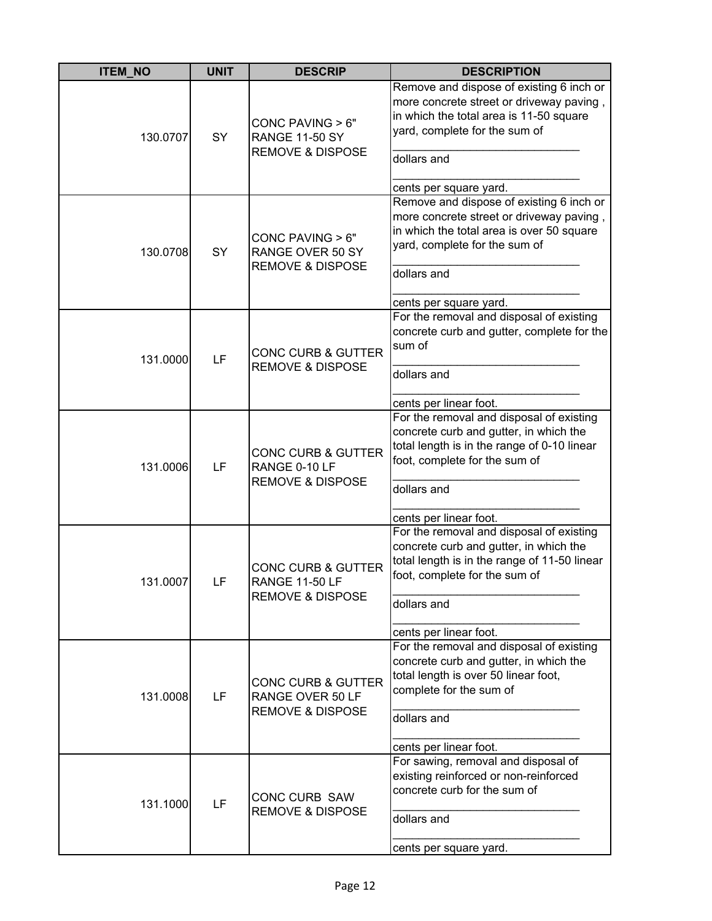| <b>ITEM_NO</b> | <b>UNIT</b> | <b>DESCRIP</b>                                                                   | <b>DESCRIPTION</b>                                                                                                                                                                                           |
|----------------|-------------|----------------------------------------------------------------------------------|--------------------------------------------------------------------------------------------------------------------------------------------------------------------------------------------------------------|
| 130.0707       | SY          | CONC PAVING $> 6"$<br><b>RANGE 11-50 SY</b><br><b>REMOVE &amp; DISPOSE</b>       | Remove and dispose of existing 6 inch or<br>more concrete street or driveway paving,<br>in which the total area is 11-50 square<br>yard, complete for the sum of<br>dollars and<br>cents per square yard.    |
| 130.0708       | SY          | CONC PAVING > 6"<br>RANGE OVER 50 SY<br><b>REMOVE &amp; DISPOSE</b>              | Remove and dispose of existing 6 inch or<br>more concrete street or driveway paving,<br>in which the total area is over 50 square<br>yard, complete for the sum of<br>dollars and<br>cents per square yard.  |
| 131.0000       | LF          | <b>CONC CURB &amp; GUTTER</b><br><b>REMOVE &amp; DISPOSE</b>                     | For the removal and disposal of existing<br>concrete curb and gutter, complete for the<br>sum of<br>dollars and<br>cents per linear foot.                                                                    |
| 131.0006       | LF          | <b>CONC CURB &amp; GUTTER</b><br>RANGE 0-10 LF<br><b>REMOVE &amp; DISPOSE</b>    | For the removal and disposal of existing<br>concrete curb and gutter, in which the<br>total length is in the range of 0-10 linear<br>foot, complete for the sum of<br>dollars and<br>cents per linear foot.  |
| 131.0007       | LF          | <b>CONC CURB &amp; GUTTER</b><br>RANGE 11-50 LF<br><b>REMOVE &amp; DISPOSE</b>   | For the removal and disposal of existing<br>concrete curb and gutter, in which the<br>total length is in the range of 11-50 linear<br>foot, complete for the sum of<br>dollars and<br>cents per linear foot. |
| 131.0008       | LF          | <b>CONC CURB &amp; GUTTER</b><br>RANGE OVER 50 LF<br><b>REMOVE &amp; DISPOSE</b> | For the removal and disposal of existing<br>concrete curb and gutter, in which the<br>total length is over 50 linear foot,<br>complete for the sum of<br>dollars and<br>cents per linear foot.               |
| 131.1000       | LF          | <b>CONC CURB SAW</b><br><b>REMOVE &amp; DISPOSE</b>                              | For sawing, removal and disposal of<br>existing reinforced or non-reinforced<br>concrete curb for the sum of<br>dollars and<br>cents per square yard.                                                        |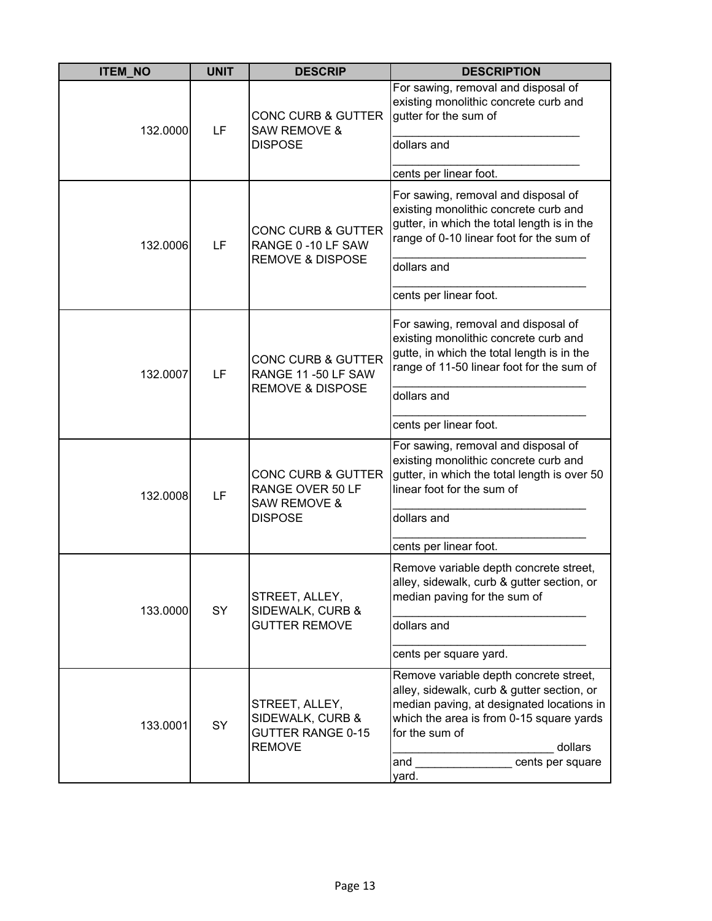| <b>ITEM_NO</b> | <b>UNIT</b> | <b>DESCRIP</b>                                                                                 | <b>DESCRIPTION</b>                                                                                                                                                                                                                             |
|----------------|-------------|------------------------------------------------------------------------------------------------|------------------------------------------------------------------------------------------------------------------------------------------------------------------------------------------------------------------------------------------------|
| 132.0000       | LF          | <b>CONC CURB &amp; GUTTER</b><br><b>SAW REMOVE &amp;</b><br><b>DISPOSE</b>                     | For sawing, removal and disposal of<br>existing monolithic concrete curb and<br>gutter for the sum of<br>dollars and<br>cents per linear foot.                                                                                                 |
| 132.0006       | LF          | <b>CONC CURB &amp; GUTTER</b><br>RANGE 0 -10 LF SAW<br><b>REMOVE &amp; DISPOSE</b>             | For sawing, removal and disposal of<br>existing monolithic concrete curb and<br>gutter, in which the total length is in the<br>range of 0-10 linear foot for the sum of<br>dollars and<br>cents per linear foot.                               |
| 132.0007       | LF          | <b>CONC CURB &amp; GUTTER</b><br>RANGE 11-50 LF SAW<br><b>REMOVE &amp; DISPOSE</b>             | For sawing, removal and disposal of<br>existing monolithic concrete curb and<br>gutte, in which the total length is in the<br>range of 11-50 linear foot for the sum of<br>dollars and<br>cents per linear foot.                               |
| 132.0008       | LF          | <b>CONC CURB &amp; GUTTER</b><br>RANGE OVER 50 LF<br><b>SAW REMOVE &amp;</b><br><b>DISPOSE</b> | For sawing, removal and disposal of<br>existing monolithic concrete curb and<br>gutter, in which the total length is over 50<br>linear foot for the sum of<br>dollars and<br>cents per linear foot.                                            |
| 133.0000       | SY          | STREET, ALLEY,<br>SIDEWALK, CURB &<br><b>GUTTER REMOVE</b>                                     | Remove variable depth concrete street,<br>alley, sidewalk, curb & gutter section, or<br>median paving for the sum of<br>dollars and<br>cents per square yard.                                                                                  |
| 133.0001       | SY          | STREET, ALLEY,<br>SIDEWALK, CURB &<br><b>GUTTER RANGE 0-15</b><br><b>REMOVE</b>                | Remove variable depth concrete street,<br>alley, sidewalk, curb & gutter section, or<br>median paving, at designated locations in<br>which the area is from 0-15 square yards<br>for the sum of<br>dollars<br>and<br>cents per square<br>yard. |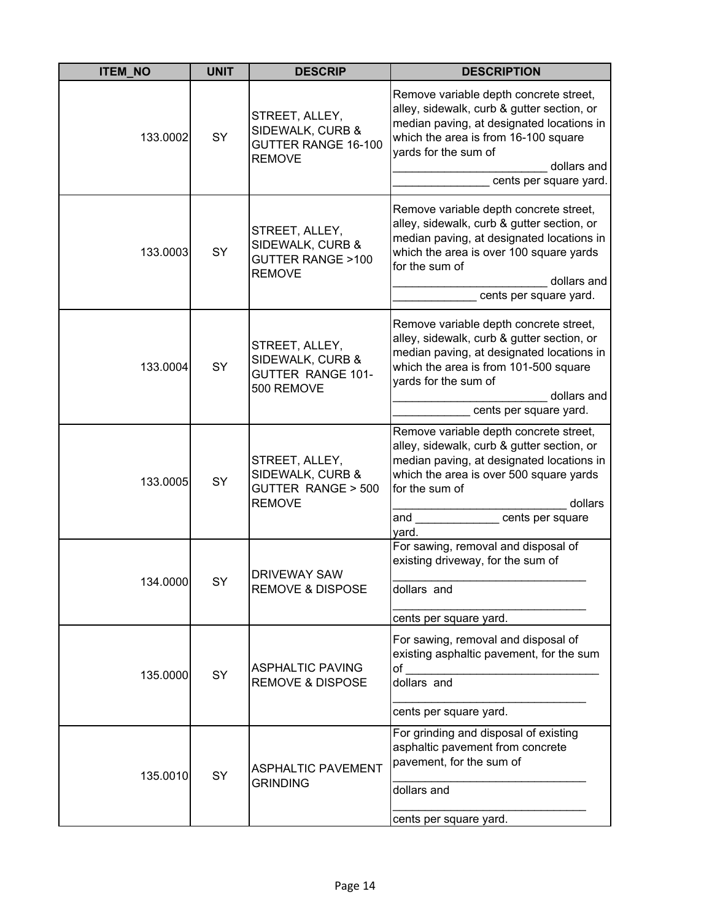| <b>ITEM_NO</b> | <b>UNIT</b> | <b>DESCRIP</b>                                                                      | <b>DESCRIPTION</b>                                                                                                                                                                                                                            |
|----------------|-------------|-------------------------------------------------------------------------------------|-----------------------------------------------------------------------------------------------------------------------------------------------------------------------------------------------------------------------------------------------|
| 133.0002       | SY          | STREET, ALLEY,<br>SIDEWALK, CURB &<br><b>GUTTER RANGE 16-100</b><br><b>REMOVE</b>   | Remove variable depth concrete street,<br>alley, sidewalk, curb & gutter section, or<br>median paving, at designated locations in<br>which the area is from 16-100 square<br>yards for the sum of<br>dollars and<br>cents per square yard.    |
| 133.0003       | SY          | STREET, ALLEY,<br>SIDEWALK, CURB &<br><b>GUTTER RANGE &gt;100</b><br><b>REMOVE</b>  | Remove variable depth concrete street,<br>alley, sidewalk, curb & gutter section, or<br>median paving, at designated locations in<br>which the area is over 100 square yards<br>for the sum of<br>dollars and<br>cents per square yard.       |
| 133.0004       | SY          | STREET, ALLEY,<br>SIDEWALK, CURB &<br><b>GUTTER RANGE 101-</b><br>500 REMOVE        | Remove variable depth concrete street,<br>alley, sidewalk, curb & gutter section, or<br>median paving, at designated locations in<br>which the area is from 101-500 square<br>yards for the sum of<br>dollars and<br>cents per square yard.   |
| 133.0005       | SY          | STREET, ALLEY,<br>SIDEWALK, CURB &<br><b>GUTTER RANGE &gt; 500</b><br><b>REMOVE</b> | Remove variable depth concrete street,<br>alley, sidewalk, curb & gutter section, or<br>median paving, at designated locations in<br>which the area is over 500 square yards<br>for the sum of<br>dollars<br>and<br>cents per square<br>yard. |
| 134.0000       | SY          | <b>DRIVEWAY SAW</b><br><b>REMOVE &amp; DISPOSE</b>                                  | For sawing, removal and disposal of<br>existing driveway, for the sum of<br>dollars and<br>cents per square yard.                                                                                                                             |
| 135.0000       | SY          | <b>ASPHALTIC PAVING</b><br><b>REMOVE &amp; DISPOSE</b>                              | For sawing, removal and disposal of<br>existing asphaltic pavement, for the sum<br>of<br>dollars and<br>cents per square yard.                                                                                                                |
| 135.0010       | SY          | <b>ASPHALTIC PAVEMENT</b><br><b>GRINDING</b>                                        | For grinding and disposal of existing<br>asphaltic pavement from concrete<br>pavement, for the sum of<br>dollars and<br>cents per square yard.                                                                                                |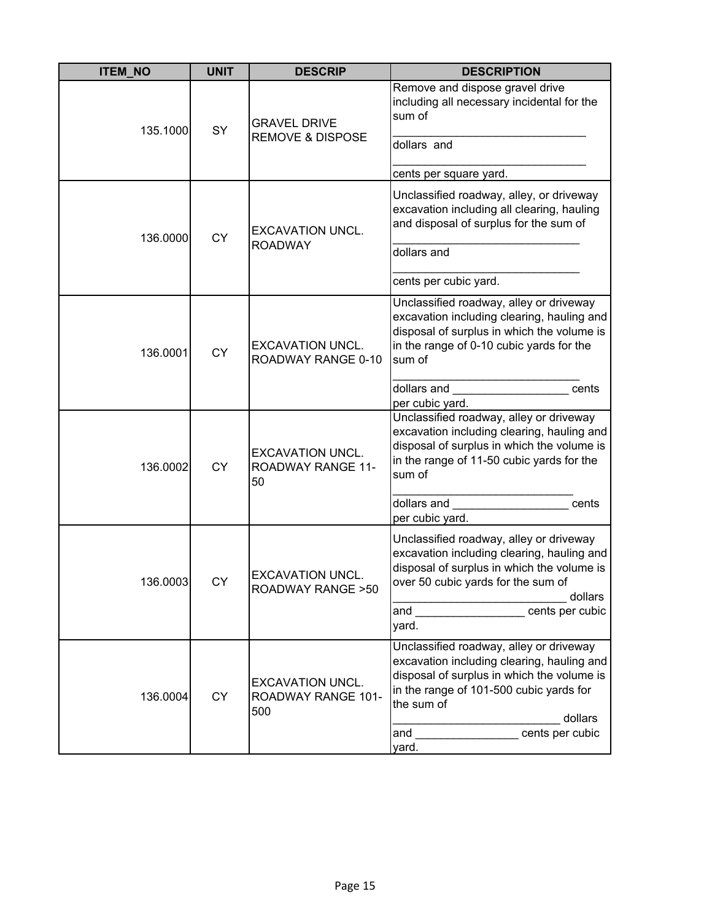| <b>ITEM_NO</b> | <b>UNIT</b> | <b>DESCRIP</b>                                            | <b>DESCRIPTION</b>                                                                                                                                                                                                                         |
|----------------|-------------|-----------------------------------------------------------|--------------------------------------------------------------------------------------------------------------------------------------------------------------------------------------------------------------------------------------------|
| 135.1000       | SY          | <b>GRAVEL DRIVE</b>                                       | Remove and dispose gravel drive<br>including all necessary incidental for the<br>sum of                                                                                                                                                    |
|                |             | <b>REMOVE &amp; DISPOSE</b>                               | dollars and                                                                                                                                                                                                                                |
|                |             |                                                           | cents per square yard.                                                                                                                                                                                                                     |
| 136.0000       | <b>CY</b>   | <b>EXCAVATION UNCL.</b>                                   | Unclassified roadway, alley, or driveway<br>excavation including all clearing, hauling<br>and disposal of surplus for the sum of                                                                                                           |
|                |             | <b>ROADWAY</b>                                            | dollars and                                                                                                                                                                                                                                |
|                |             |                                                           | cents per cubic yard.                                                                                                                                                                                                                      |
| 136.0001       | <b>CY</b>   | <b>EXCAVATION UNCL.</b><br>ROADWAY RANGE 0-10             | Unclassified roadway, alley or driveway<br>excavation including clearing, hauling and<br>disposal of surplus in which the volume is<br>in the range of 0-10 cubic yards for the<br>sum of                                                  |
|                |             |                                                           | dollars and<br>cents<br>per cubic yard.                                                                                                                                                                                                    |
| 136.0002       | <b>CY</b>   | <b>EXCAVATION UNCL.</b><br><b>ROADWAY RANGE 11-</b><br>50 | Unclassified roadway, alley or driveway<br>excavation including clearing, hauling and<br>disposal of surplus in which the volume is<br>in the range of 11-50 cubic yards for the<br>sum of                                                 |
|                |             |                                                           | dollars and<br>cents<br>per cubic yard.                                                                                                                                                                                                    |
| 136.0003       | CY          | <b>EXCAVATION UNCL.</b><br><b>ROADWAY RANGE &gt; 50</b>   | Unclassified roadway, alley or driveway<br>excavation including clearing, hauling and<br>disposal of surplus in which the volume is<br>over 50 cubic yards for the sum of<br>dollars<br>cents per cubic<br>and<br>yard.                    |
| 136.0004       | <b>CY</b>   | <b>EXCAVATION UNCL.</b><br>ROADWAY RANGE 101-<br>500      | Unclassified roadway, alley or driveway<br>excavation including clearing, hauling and<br>disposal of surplus in which the volume is<br>in the range of 101-500 cubic yards for<br>the sum of<br>dollars<br>cents per cubic<br>and<br>yard. |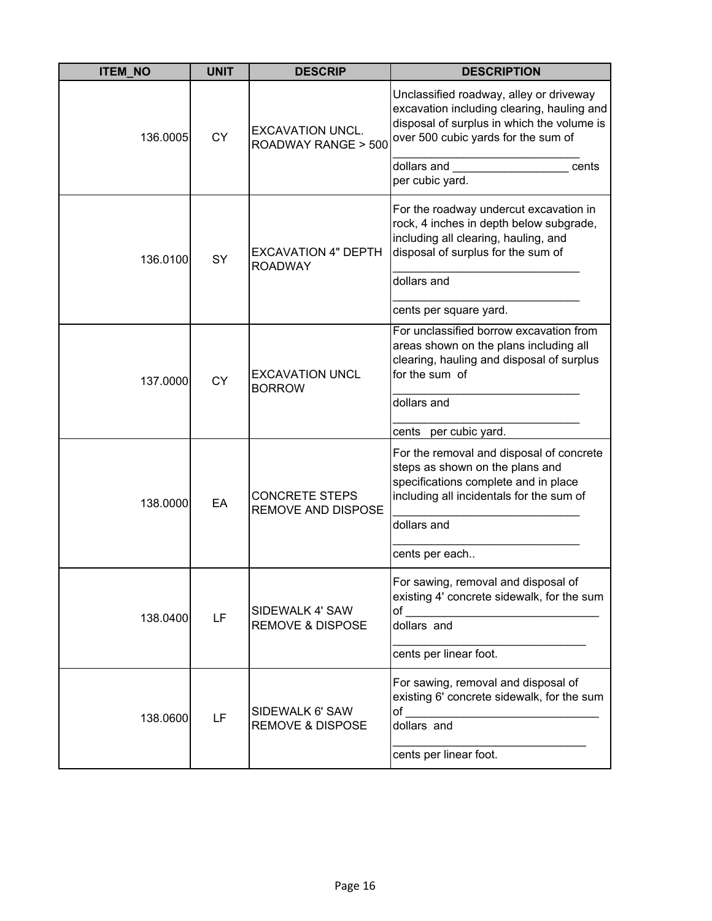| <b>ITEM_NO</b> | <b>UNIT</b> | <b>DESCRIP</b>                                     | <b>DESCRIPTION</b>                                                                                                                                                         |
|----------------|-------------|----------------------------------------------------|----------------------------------------------------------------------------------------------------------------------------------------------------------------------------|
| 136.0005       | <b>CY</b>   | <b>EXCAVATION UNCL.</b><br>ROADWAY RANGE > 500     | Unclassified roadway, alley or driveway<br>excavation including clearing, hauling and<br>disposal of surplus in which the volume is<br>over 500 cubic yards for the sum of |
|                |             |                                                    | dollars and<br>cents<br>per cubic yard.                                                                                                                                    |
| 136.0100       | SY          | <b>EXCAVATION 4" DEPTH</b><br><b>ROADWAY</b>       | For the roadway undercut excavation in<br>rock, 4 inches in depth below subgrade,<br>including all clearing, hauling, and<br>disposal of surplus for the sum of            |
|                |             |                                                    | dollars and                                                                                                                                                                |
|                |             |                                                    | cents per square yard.                                                                                                                                                     |
| 137.0000       | <b>CY</b>   | <b>EXCAVATION UNCL</b><br><b>BORROW</b>            | For unclassified borrow excavation from<br>areas shown on the plans including all<br>clearing, hauling and disposal of surplus<br>for the sum of                           |
|                |             |                                                    | dollars and                                                                                                                                                                |
|                |             |                                                    | cents per cubic yard.                                                                                                                                                      |
| 138.0000       | EA          | <b>CONCRETE STEPS</b><br><b>REMOVE AND DISPOSE</b> | For the removal and disposal of concrete<br>steps as shown on the plans and<br>specifications complete and in place<br>including all incidentals for the sum of            |
|                |             |                                                    | dollars and                                                                                                                                                                |
|                |             |                                                    | cents per each                                                                                                                                                             |
| 138.0400       | LF          | SIDEWALK 4' SAW<br><b>REMOVE &amp; DISPOSE</b>     | For sawing, removal and disposal of<br>existing 4' concrete sidewalk, for the sum<br>of<br>dollars and                                                                     |
|                |             |                                                    | cents per linear foot.                                                                                                                                                     |
| 138.0600       | LF          | SIDEWALK 6' SAW<br><b>REMOVE &amp; DISPOSE</b>     | For sawing, removal and disposal of<br>existing 6' concrete sidewalk, for the sum<br>of<br>dollars and                                                                     |
|                |             |                                                    | cents per linear foot.                                                                                                                                                     |
|                |             |                                                    |                                                                                                                                                                            |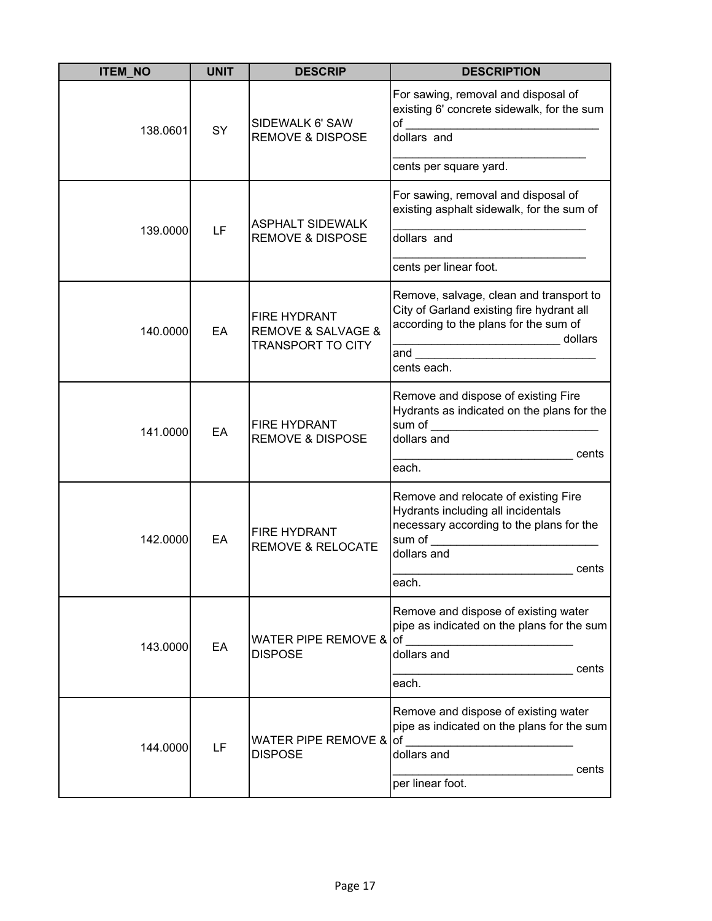| <b>ITEM_NO</b> | <b>UNIT</b> | <b>DESCRIP</b>                                                                | <b>DESCRIPTION</b>                                                                                                                                                                                                                                                                                                                                                                                             |
|----------------|-------------|-------------------------------------------------------------------------------|----------------------------------------------------------------------------------------------------------------------------------------------------------------------------------------------------------------------------------------------------------------------------------------------------------------------------------------------------------------------------------------------------------------|
| 138.0601       | SY          | SIDEWALK 6' SAW<br><b>REMOVE &amp; DISPOSE</b>                                | For sawing, removal and disposal of<br>existing 6' concrete sidewalk, for the sum<br>$\circ$ of $\circ$ and $\circ$ and $\circ$ and $\circ$ and $\circ$ and $\circ$ and $\circ$ and $\circ$ and $\circ$ and $\circ$ and $\circ$ and $\circ$ and $\circ$ and $\circ$ and $\circ$ and $\circ$ and $\circ$ and $\circ$ and $\circ$ and $\circ$ and $\circ$ and $\circ$ and $\circ$ and $\circ$ a<br>$dollars$ and |
|                |             |                                                                               | cents per square yard.                                                                                                                                                                                                                                                                                                                                                                                         |
| 139.0000       | LF          | <b>ASPHALT SIDEWALK</b><br><b>REMOVE &amp; DISPOSE</b>                        | For sawing, removal and disposal of<br>existing asphalt sidewalk, for the sum of<br>dollars and<br>cents per linear foot.                                                                                                                                                                                                                                                                                      |
| 140.0000       | EA          | FIRE HYDRANT<br><b>REMOVE &amp; SALVAGE &amp;</b><br><b>TRANSPORT TO CITY</b> | Remove, salvage, clean and transport to<br>City of Garland existing fire hydrant all<br>according to the plans for the sum of<br>and the contract of the contract of the contract of the contract of the contract of the contract of the contract of the contract of the contract of the contract of the contract of the contract of the contract of the contra<br>cents each.                                 |
| 141.0000       | EA          | FIRE HYDRANT<br><b>REMOVE &amp; DISPOSE</b>                                   | Remove and dispose of existing Fire<br>Hydrants as indicated on the plans for the<br>dollars and<br>cents<br>each.                                                                                                                                                                                                                                                                                             |
| 142.0000       | EA          | FIRE HYDRANT<br><b>REMOVE &amp; RELOCATE</b>                                  | Remove and relocate of existing Fire<br>Hydrants including all incidentals<br>necessary according to the plans for the<br>sum of<br>dollars and<br>cents<br>each.                                                                                                                                                                                                                                              |
| 143.0000       | EA          | WATER PIPE REMOVE & of<br><b>DISPOSE</b>                                      | Remove and dispose of existing water<br>pipe as indicated on the plans for the sum<br>dollars and<br>cents<br>each.                                                                                                                                                                                                                                                                                            |
| 144.0000       | LF          | <b>WATER PIPE REMOVE &amp;</b><br><b>DISPOSE</b>                              | Remove and dispose of existing water<br>pipe as indicated on the plans for the sum<br>of<br>dollars and<br>cents<br>per linear foot.                                                                                                                                                                                                                                                                           |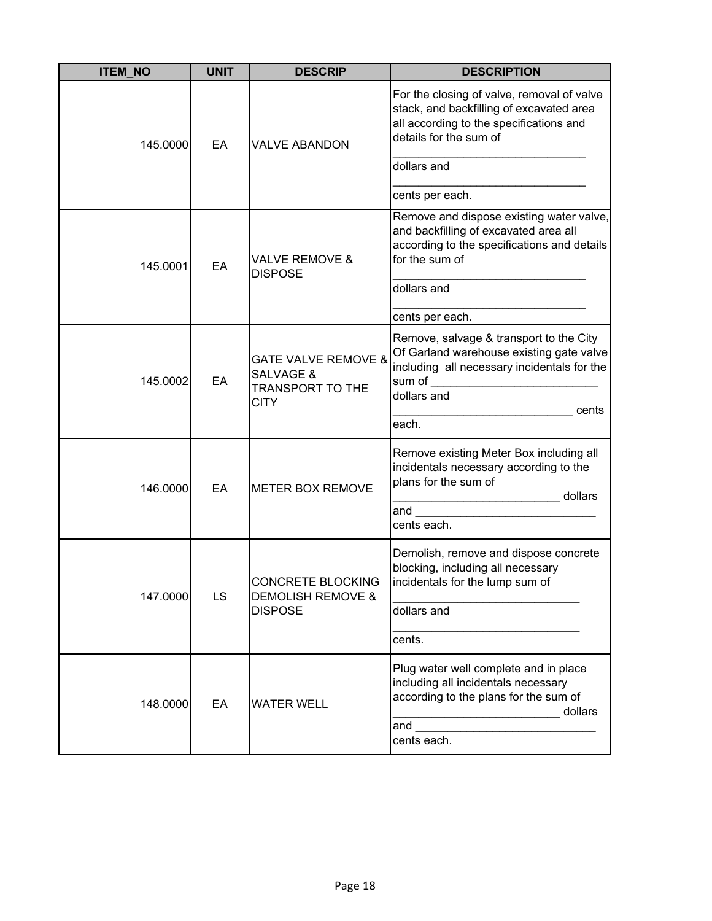| <b>ITEM_NO</b> | <b>UNIT</b> | <b>DESCRIP</b>                                                                            | <b>DESCRIPTION</b>                                                                                                                                                   |
|----------------|-------------|-------------------------------------------------------------------------------------------|----------------------------------------------------------------------------------------------------------------------------------------------------------------------|
| 145.0000       | EA          | <b>VALVE ABANDON</b>                                                                      | For the closing of valve, removal of valve<br>stack, and backfilling of excavated area<br>all according to the specifications and<br>details for the sum of          |
|                |             |                                                                                           | dollars and                                                                                                                                                          |
|                |             |                                                                                           | cents per each.                                                                                                                                                      |
| 145.0001       | EA          | <b>VALVE REMOVE &amp;</b><br><b>DISPOSE</b>                                               | Remove and dispose existing water valve,<br>and backfilling of excavated area all<br>according to the specifications and details<br>for the sum of                   |
|                |             |                                                                                           | dollars and                                                                                                                                                          |
|                |             |                                                                                           | cents per each.                                                                                                                                                      |
| 145.0002       | EA          | <b>GATE VALVE REMOVE &amp;</b><br><b>SALVAGE &amp;</b><br>TRANSPORT TO THE<br><b>CITY</b> | Remove, salvage & transport to the City<br>Of Garland warehouse existing gate valve<br>including all necessary incidentals for the<br>sum of<br>dollars and<br>cents |
|                |             |                                                                                           | each.                                                                                                                                                                |
| 146.0000       | EA          | <b>METER BOX REMOVE</b>                                                                   | Remove existing Meter Box including all<br>incidentals necessary according to the<br>plans for the sum of<br>dollars                                                 |
|                |             |                                                                                           | and<br>cents each.                                                                                                                                                   |
| 147.0000       | LS          | CONCRETE BLOCKING<br><b>DEMOLISH REMOVE &amp;</b><br><b>DISPOSE</b>                       | Demolish, remove and dispose concrete<br>blocking, including all necessary<br>incidentals for the lump sum of<br>dollars and                                         |
|                |             |                                                                                           | cents.                                                                                                                                                               |
| 148.0000       | EA          | <b>WATER WELL</b>                                                                         | Plug water well complete and in place<br>including all incidentals necessary<br>according to the plans for the sum of<br>dollars<br>and<br>cents each.               |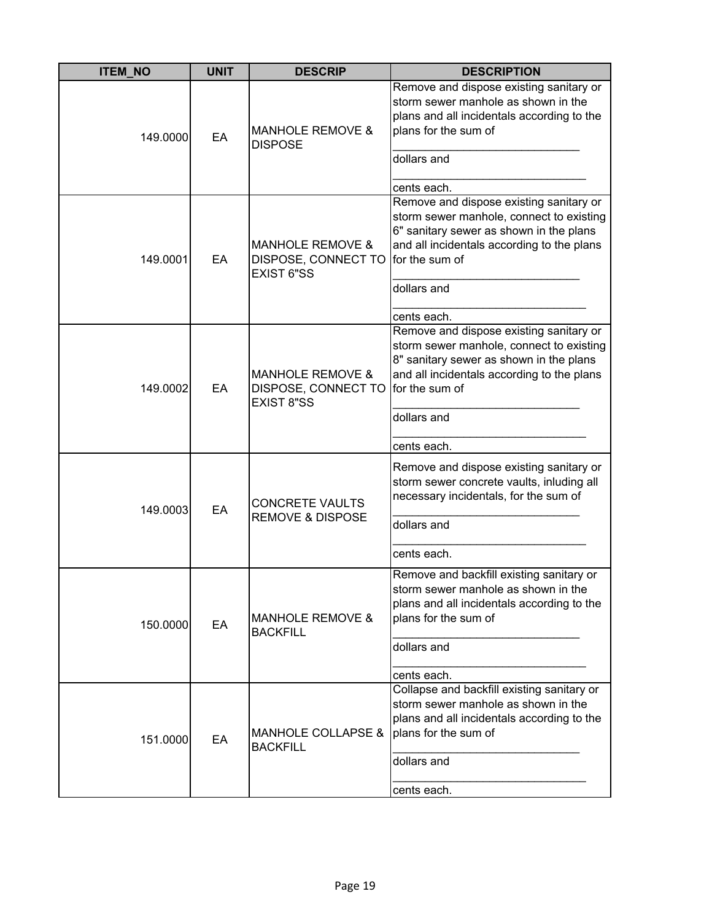| <b>ITEM_NO</b> | <b>UNIT</b> | <b>DESCRIP</b>                                                          | <b>DESCRIPTION</b>                                                                                                                                                                                                           |
|----------------|-------------|-------------------------------------------------------------------------|------------------------------------------------------------------------------------------------------------------------------------------------------------------------------------------------------------------------------|
| 149.0000       | EA          | <b>MANHOLE REMOVE &amp;</b><br><b>DISPOSE</b>                           | Remove and dispose existing sanitary or<br>storm sewer manhole as shown in the<br>plans and all incidentals according to the<br>plans for the sum of<br>dollars and<br>cents each.                                           |
| 149.0001       | EA          | <b>MANHOLE REMOVE &amp;</b><br>DISPOSE, CONNECT TO<br><b>EXIST 6"SS</b> | Remove and dispose existing sanitary or<br>storm sewer manhole, connect to existing<br>6" sanitary sewer as shown in the plans<br>and all incidentals according to the plans<br>for the sum of<br>dollars and<br>cents each. |
| 149.0002       | EA          | <b>MANHOLE REMOVE &amp;</b><br>DISPOSE, CONNECT TO<br><b>EXIST 8"SS</b> | Remove and dispose existing sanitary or<br>storm sewer manhole, connect to existing<br>8" sanitary sewer as shown in the plans<br>and all incidentals according to the plans<br>for the sum of<br>dollars and<br>cents each. |
| 149.0003       | EA          | <b>CONCRETE VAULTS</b><br><b>REMOVE &amp; DISPOSE</b>                   | Remove and dispose existing sanitary or<br>storm sewer concrete vaults, inluding all<br>necessary incidentals, for the sum of<br>dollars and<br>cents each.                                                                  |
| 150.0000       | EA          | <b>MANHOLE REMOVE &amp;</b><br><b>BACKFILL</b>                          | Remove and backfill existing sanitary or<br>storm sewer manhole as shown in the<br>plans and all incidentals according to the<br>plans for the sum of<br>dollars and<br>cents each.                                          |
| 151.0000       | EA          | <b>MANHOLE COLLAPSE &amp;</b><br><b>BACKFILL</b>                        | Collapse and backfill existing sanitary or<br>storm sewer manhole as shown in the<br>plans and all incidentals according to the<br>plans for the sum of<br>dollars and<br>cents each.                                        |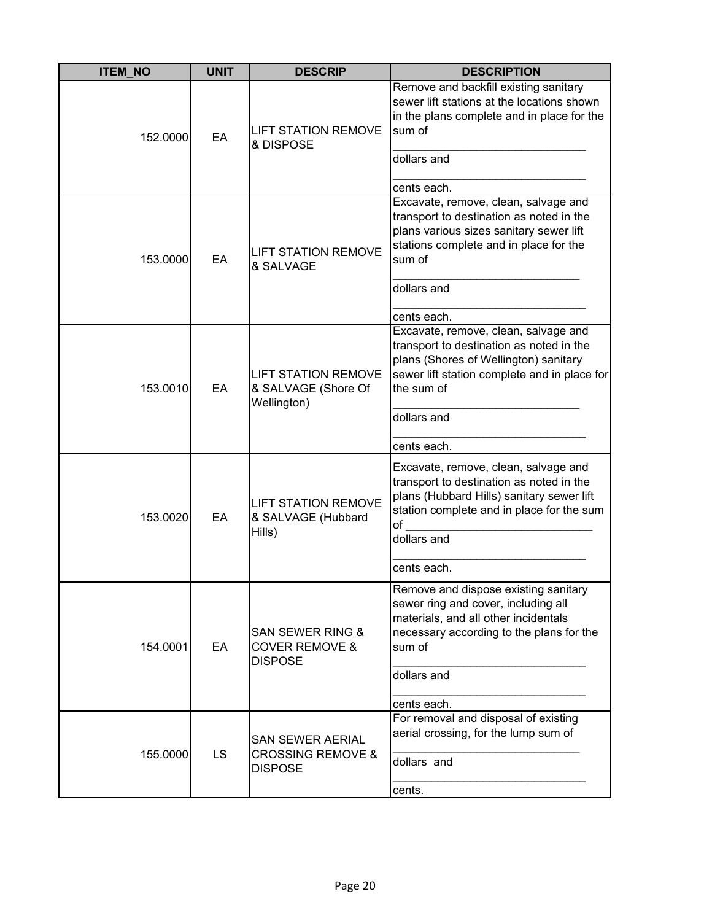| <b>ITEM_NO</b> | <b>UNIT</b> | <b>DESCRIP</b>                                                             | <b>DESCRIPTION</b>                                                                                                                                                                                                    |
|----------------|-------------|----------------------------------------------------------------------------|-----------------------------------------------------------------------------------------------------------------------------------------------------------------------------------------------------------------------|
| 152.0000       | EA          | <b>LIFT STATION REMOVE</b><br>& DISPOSE                                    | Remove and backfill existing sanitary<br>sewer lift stations at the locations shown<br>in the plans complete and in place for the<br>sum of<br>dollars and                                                            |
|                |             |                                                                            | cents each.                                                                                                                                                                                                           |
| 153.0000       | EA          | <b>LIFT STATION REMOVE</b><br>& SALVAGE                                    | Excavate, remove, clean, salvage and<br>transport to destination as noted in the<br>plans various sizes sanitary sewer lift<br>stations complete and in place for the<br>sum of<br>dollars and                        |
|                |             |                                                                            |                                                                                                                                                                                                                       |
| 153.0010       | EA          | <b>LIFT STATION REMOVE</b><br>& SALVAGE (Shore Of<br>Wellington)           | cents each.<br>Excavate, remove, clean, salvage and<br>transport to destination as noted in the<br>plans (Shores of Wellington) sanitary<br>sewer lift station complete and in place for<br>the sum of<br>dollars and |
|                |             |                                                                            | cents each.                                                                                                                                                                                                           |
| 153.0020       | EA          | <b>LIFT STATION REMOVE</b><br>& SALVAGE (Hubbard<br>Hills)                 | Excavate, remove, clean, salvage and<br>transport to destination as noted in the<br>plans (Hubbard Hills) sanitary sewer lift<br>station complete and in place for the sum<br>of<br>dollars and                       |
|                |             |                                                                            | cents each.                                                                                                                                                                                                           |
| 154.0001       | EA          | <b>SAN SEWER RING &amp;</b><br><b>COVER REMOVE &amp;</b><br><b>DISPOSE</b> | Remove and dispose existing sanitary<br>sewer ring and cover, including all<br>materials, and all other incidentals<br>necessary according to the plans for the<br>sum of                                             |
|                |             |                                                                            | dollars and                                                                                                                                                                                                           |
|                |             |                                                                            | cents each.                                                                                                                                                                                                           |
| 155.0000       | LS.         | <b>SAN SEWER AERIAL</b><br><b>CROSSING REMOVE &amp;</b><br><b>DISPOSE</b>  | For removal and disposal of existing<br>aerial crossing, for the lump sum of<br>dollars and                                                                                                                           |
|                |             |                                                                            | cents.                                                                                                                                                                                                                |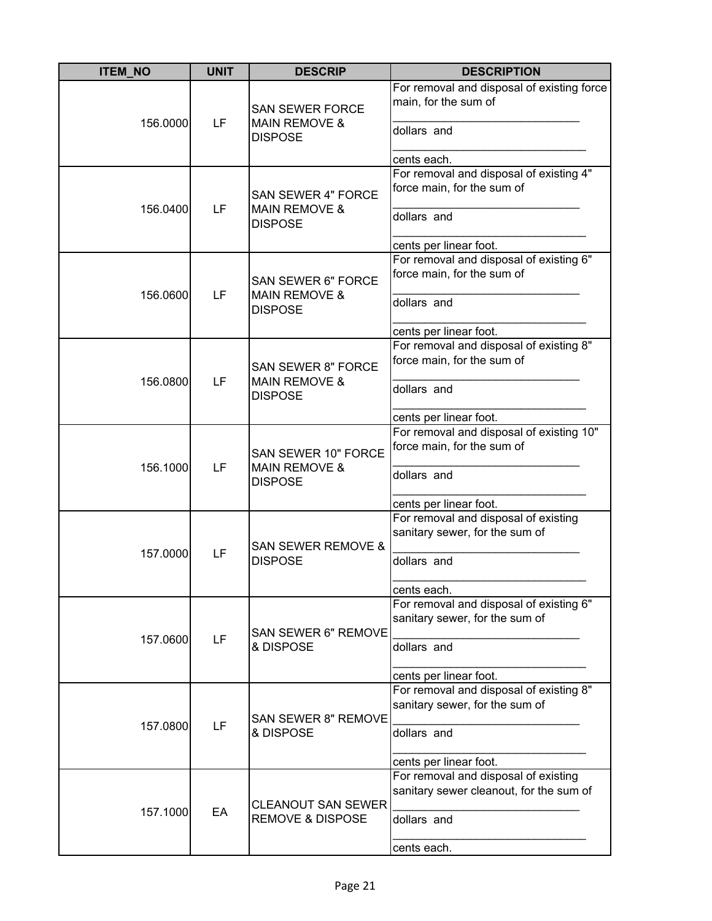| <b>ITEM_NO</b> | <b>UNIT</b> | <b>DESCRIP</b>                                                          | <b>DESCRIPTION</b>                                                                                                             |
|----------------|-------------|-------------------------------------------------------------------------|--------------------------------------------------------------------------------------------------------------------------------|
| 156.0000       | LF          | <b>SAN SEWER FORCE</b><br><b>MAIN REMOVE &amp;</b><br><b>DISPOSE</b>    | For removal and disposal of existing force<br>main, for the sum of<br>dollars and<br>cents each.                               |
| 156.0400       | LF          | <b>SAN SEWER 4" FORCE</b><br><b>MAIN REMOVE &amp;</b><br><b>DISPOSE</b> | For removal and disposal of existing 4"<br>force main, for the sum of<br>dollars and<br>cents per linear foot.                 |
| 156.0600       | LF          | <b>SAN SEWER 6" FORCE</b><br><b>MAIN REMOVE &amp;</b><br><b>DISPOSE</b> | For removal and disposal of existing 6"<br>force main, for the sum of<br>dollars and<br>cents per linear foot.                 |
| 156.0800       | LF          | <b>SAN SEWER 8" FORCE</b><br><b>MAIN REMOVE &amp;</b><br><b>DISPOSE</b> | For removal and disposal of existing 8"<br>force main, for the sum of<br>dollars and<br>cents per linear foot.                 |
| 156.1000       | LF          | SAN SEWER 10" FORCE<br><b>MAIN REMOVE &amp;</b><br><b>DISPOSE</b>       | For removal and disposal of existing 10"<br>force main, for the sum of<br>dollars and                                          |
| 157.0000       | LF          | <b>SAN SEWER REMOVE &amp;</b><br><b>DISPOSE</b>                         | cents per linear foot.<br>For removal and disposal of existing<br>sanitary sewer, for the sum of<br>dollars and<br>cents each. |
| 157.0600       | LF          | SAN SEWER 6" REMOVE<br>& DISPOSE                                        | For removal and disposal of existing 6"<br>sanitary sewer, for the sum of<br>dollars and<br>cents per linear foot.             |
| 157.0800       | LF          | SAN SEWER 8" REMOVE<br>& DISPOSE                                        | For removal and disposal of existing 8"<br>sanitary sewer, for the sum of<br>dollars and<br>cents per linear foot.             |
| 157.1000       | EA          | <b>CLEANOUT SAN SEWER</b><br><b>REMOVE &amp; DISPOSE</b>                | For removal and disposal of existing<br>sanitary sewer cleanout, for the sum of<br>dollars and<br>cents each.                  |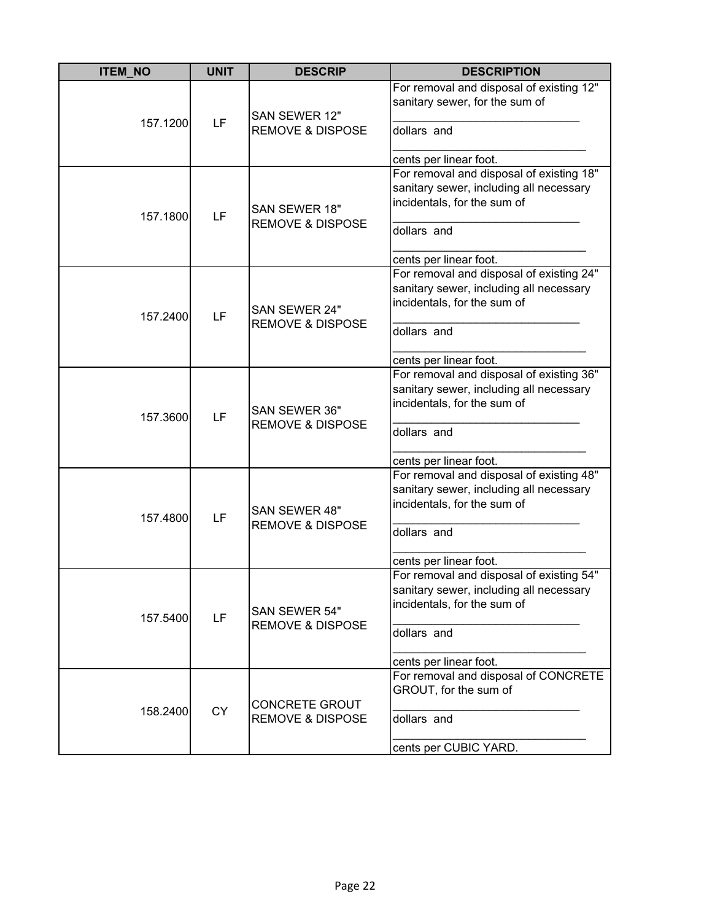| <b>ITEM_NO</b> | <b>UNIT</b> | <b>DESCRIP</b>                                       | <b>DESCRIPTION</b>                                                                                                                                          |
|----------------|-------------|------------------------------------------------------|-------------------------------------------------------------------------------------------------------------------------------------------------------------|
| 157.1200       | LF          | SAN SEWER 12"<br><b>REMOVE &amp; DISPOSE</b>         | For removal and disposal of existing 12"<br>sanitary sewer, for the sum of<br>dollars and<br>cents per linear foot.                                         |
| 157.1800       | LF          | SAN SEWER 18"<br><b>REMOVE &amp; DISPOSE</b>         | For removal and disposal of existing 18"<br>sanitary sewer, including all necessary<br>incidentals, for the sum of<br>dollars and<br>cents per linear foot. |
| 157.2400       | LF          | SAN SEWER 24"<br><b>REMOVE &amp; DISPOSE</b>         | For removal and disposal of existing 24"<br>sanitary sewer, including all necessary<br>incidentals, for the sum of<br>dollars and<br>cents per linear foot. |
| 157.3600       | LF          | SAN SEWER 36"<br><b>REMOVE &amp; DISPOSE</b>         | For removal and disposal of existing 36"<br>sanitary sewer, including all necessary<br>incidentals, for the sum of<br>dollars and<br>cents per linear foot. |
| 157.4800       | LF          | SAN SEWER 48"<br><b>REMOVE &amp; DISPOSE</b>         | For removal and disposal of existing 48"<br>sanitary sewer, including all necessary<br>incidentals, for the sum of<br>dollars and<br>cents per linear foot. |
| 157.5400       | LF          | SAN SEWER 54"<br><b>REMOVE &amp; DISPOSE</b>         | For removal and disposal of existing 54"<br>sanitary sewer, including all necessary<br>incidentals, for the sum of<br>dollars and<br>cents per linear foot. |
| 158.2400       | <b>CY</b>   | <b>CONCRETE GROUT</b><br><b>REMOVE &amp; DISPOSE</b> | For removal and disposal of CONCRETE<br>GROUT, for the sum of<br>dollars and<br>cents per CUBIC YARD.                                                       |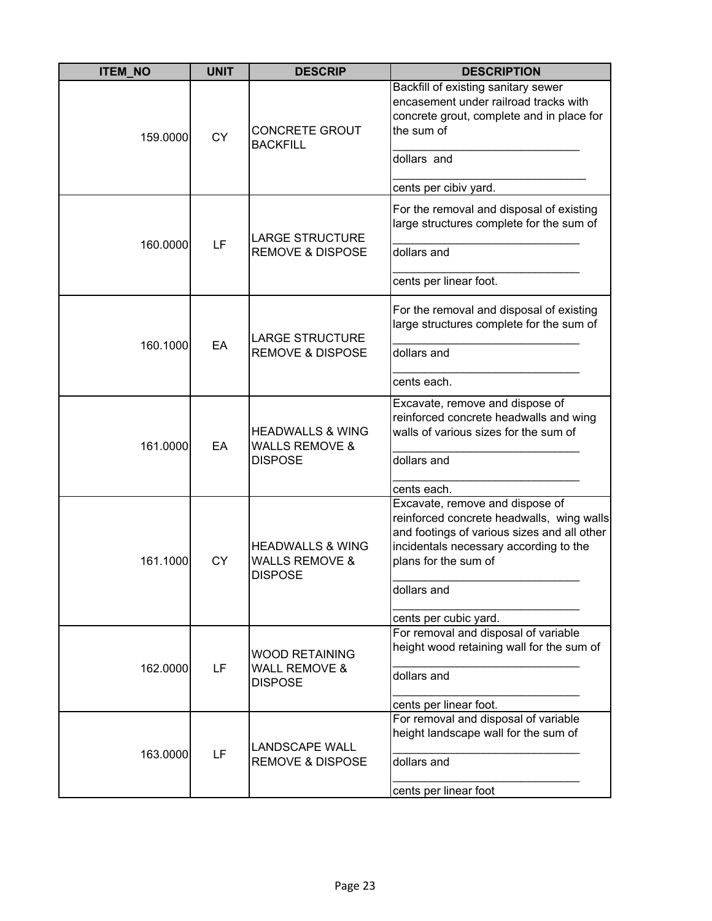| <b>ITEM_NO</b> | <b>UNIT</b> | <b>DESCRIP</b>                                                             | <b>DESCRIPTION</b>                                                                                                                                                                            |
|----------------|-------------|----------------------------------------------------------------------------|-----------------------------------------------------------------------------------------------------------------------------------------------------------------------------------------------|
| 159.0000       | <b>CY</b>   | <b>CONCRETE GROUT</b><br><b>BACKFILL</b>                                   | Backfill of existing sanitary sewer<br>encasement under railroad tracks with<br>concrete grout, complete and in place for<br>the sum of                                                       |
|                |             |                                                                            | dollars and                                                                                                                                                                                   |
|                |             |                                                                            | cents per cibiv yard.                                                                                                                                                                         |
|                |             | <b>LARGE STRUCTURE</b>                                                     | For the removal and disposal of existing<br>large structures complete for the sum of                                                                                                          |
| 160.0000       | LF          | <b>REMOVE &amp; DISPOSE</b>                                                | dollars and                                                                                                                                                                                   |
|                |             |                                                                            | cents per linear foot.                                                                                                                                                                        |
|                |             | <b>LARGE STRUCTURE</b><br><b>REMOVE &amp; DISPOSE</b>                      | For the removal and disposal of existing<br>large structures complete for the sum of                                                                                                          |
| 160.1000       | EA          |                                                                            | dollars and                                                                                                                                                                                   |
|                |             |                                                                            | cents each.                                                                                                                                                                                   |
| 161.0000       | EA          | <b>HEADWALLS &amp; WING</b><br><b>WALLS REMOVE &amp;</b><br><b>DISPOSE</b> | Excavate, remove and dispose of<br>reinforced concrete headwalls and wing<br>walls of various sizes for the sum of                                                                            |
|                |             |                                                                            | dollars and                                                                                                                                                                                   |
|                |             |                                                                            | cents each.                                                                                                                                                                                   |
| 161.1000       | <b>CY</b>   | <b>HEADWALLS &amp; WING</b><br><b>WALLS REMOVE &amp;</b><br><b>DISPOSE</b> | Excavate, remove and dispose of<br>reinforced concrete headwalls, wing walls<br>and footings of various sizes and all other<br>incidentals necessary according to the<br>plans for the sum of |
|                |             |                                                                            | dollars and                                                                                                                                                                                   |
|                |             |                                                                            | cents per cubic yard.                                                                                                                                                                         |
| 162.0000       |             | <b>WOOD RETAINING</b>                                                      | For removal and disposal of variable<br>height wood retaining wall for the sum of                                                                                                             |
|                | LF          | <b>WALL REMOVE &amp;</b><br><b>DISPOSE</b>                                 | dollars and                                                                                                                                                                                   |
|                |             |                                                                            | cents per linear foot.                                                                                                                                                                        |
| 163.0000       | LF          | <b>LANDSCAPE WALL</b>                                                      | For removal and disposal of variable<br>height landscape wall for the sum of                                                                                                                  |
|                |             | <b>REMOVE &amp; DISPOSE</b>                                                | dollars and                                                                                                                                                                                   |
|                |             |                                                                            | cents per linear foot                                                                                                                                                                         |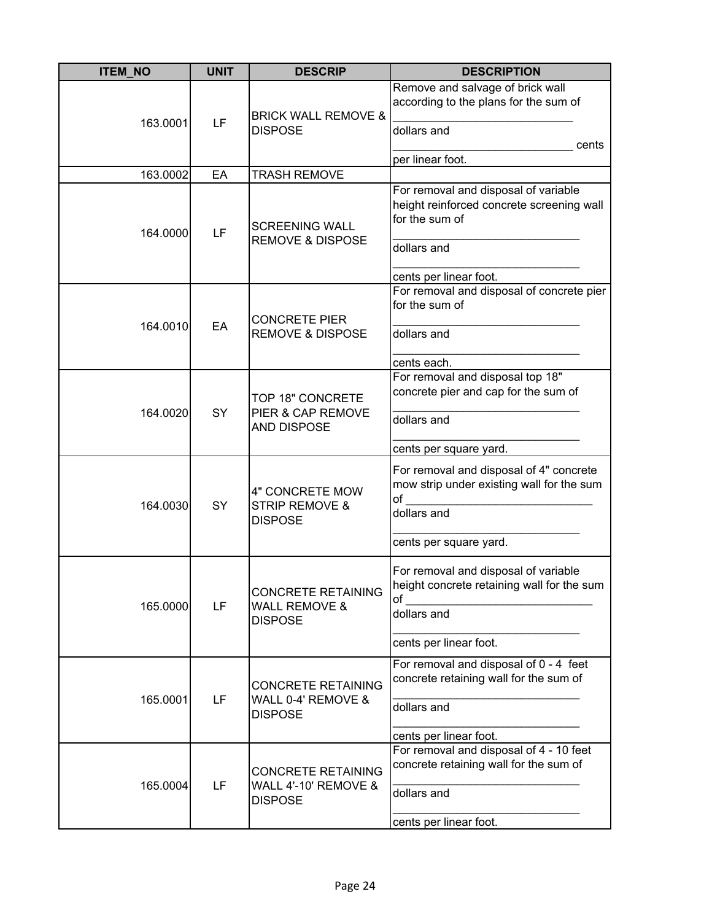| <b>ITEM_NO</b> | <b>UNIT</b> | <b>DESCRIP</b>                                                      | <b>DESCRIPTION</b>                                                                         |
|----------------|-------------|---------------------------------------------------------------------|--------------------------------------------------------------------------------------------|
| 163.0001       | LF          | <b>BRICK WALL REMOVE &amp;</b>                                      | Remove and salvage of brick wall<br>according to the plans for the sum of                  |
|                |             | <b>DISPOSE</b>                                                      | dollars and<br>cents                                                                       |
| 163.0002       | EA          | <b>TRASH REMOVE</b>                                                 | per linear foot.                                                                           |
|                |             |                                                                     | For removal and disposal of variable                                                       |
| 164.0000       | LF          | <b>SCREENING WALL</b><br><b>REMOVE &amp; DISPOSE</b>                | height reinforced concrete screening wall<br>for the sum of<br>dollars and                 |
|                |             |                                                                     | cents per linear foot.                                                                     |
|                |             | <b>CONCRETE PIER</b>                                                | For removal and disposal of concrete pier<br>for the sum of                                |
| 164.0010       | EA          | <b>REMOVE &amp; DISPOSE</b>                                         | dollars and                                                                                |
|                |             |                                                                     | cents each.                                                                                |
|                |             |                                                                     | For removal and disposal top 18"                                                           |
|                |             | TOP 18" CONCRETE                                                    | concrete pier and cap for the sum of                                                       |
| 164.0020       | SY          | PIER & CAP REMOVE<br><b>AND DISPOSE</b>                             | dollars and                                                                                |
|                |             |                                                                     | cents per square yard.                                                                     |
|                |             | 4" CONCRETE MOW                                                     | For removal and disposal of 4" concrete<br>mow strip under existing wall for the sum<br>of |
| 164.0030       | SY          | <b>STRIP REMOVE &amp;</b><br><b>DISPOSE</b>                         | dollars and                                                                                |
|                |             |                                                                     | cents per square yard.                                                                     |
|                |             | <b>CONCRETE RETAINING</b>                                           | For removal and disposal of variable<br>height concrete retaining wall for the sum<br>of   |
| 165.0000       | LF          | <b>WALL REMOVE &amp;</b><br><b>DISPOSE</b>                          | dollars and                                                                                |
|                |             |                                                                     | cents per linear foot.                                                                     |
|                |             |                                                                     | For removal and disposal of 0 - 4 feet<br>concrete retaining wall for the sum of           |
| 165.0001       | LF          | <b>CONCRETE RETAINING</b><br>WALL 0-4' REMOVE &                     |                                                                                            |
|                |             | <b>DISPOSE</b>                                                      | dollars and                                                                                |
|                |             |                                                                     | cents per linear foot.                                                                     |
|                |             |                                                                     | For removal and disposal of 4 - 10 feet                                                    |
| 165.0004       | LF          | <b>CONCRETE RETAINING</b><br>WALL 4'-10' REMOVE &<br><b>DISPOSE</b> | concrete retaining wall for the sum of                                                     |
|                |             |                                                                     | dollars and                                                                                |
|                |             |                                                                     | cents per linear foot.                                                                     |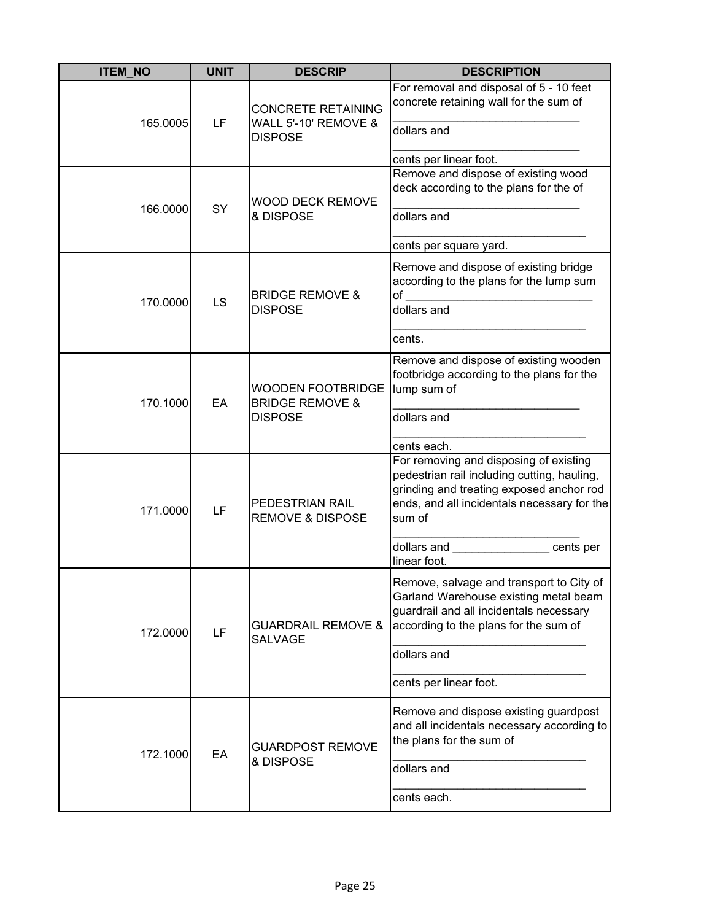| <b>ITEM_NO</b> | <b>UNIT</b> | <b>DESCRIP</b>                                                           | <b>DESCRIPTION</b>                                                                                                                                                                                                                                                   |
|----------------|-------------|--------------------------------------------------------------------------|----------------------------------------------------------------------------------------------------------------------------------------------------------------------------------------------------------------------------------------------------------------------|
| 165.0005       | LF          | <b>CONCRETE RETAINING</b><br>WALL 5'-10' REMOVE &<br><b>DISPOSE</b>      | For removal and disposal of 5 - 10 feet<br>concrete retaining wall for the sum of<br>dollars and<br>cents per linear foot.                                                                                                                                           |
| 166.0000       | <b>SY</b>   | <b>WOOD DECK REMOVE</b><br>& DISPOSE                                     | Remove and dispose of existing wood<br>deck according to the plans for the of<br>dollars and<br>cents per square yard.                                                                                                                                               |
| 170.0000       | LS          | <b>BRIDGE REMOVE &amp;</b><br><b>DISPOSE</b>                             | Remove and dispose of existing bridge<br>according to the plans for the lump sum<br>$\mathsf{of}$ and $\mathsf{of}$<br>dollars and<br>cents.                                                                                                                         |
| 170.1000       | EA          | <b>WOODEN FOOTBRIDGE</b><br><b>BRIDGE REMOVE &amp;</b><br><b>DISPOSE</b> | Remove and dispose of existing wooden<br>footbridge according to the plans for the<br>lump sum of<br>dollars and                                                                                                                                                     |
| 171.0000       | LF          | PEDESTRIAN RAIL<br><b>REMOVE &amp; DISPOSE</b>                           | cents each.<br>For removing and disposing of existing<br>pedestrian rail including cutting, hauling,<br>grinding and treating exposed anchor rod<br>ends, and all incidentals necessary for the<br>sum of<br>dollars and _________________ cents per<br>linear foot. |
| 172.0000       | LF          | <b>GUARDRAIL REMOVE &amp;</b><br>SALVAGE                                 | Remove, salvage and transport to City of<br>Garland Warehouse existing metal beam<br>guardrail and all incidentals necessary<br>according to the plans for the sum of<br>dollars and<br>cents per linear foot.                                                       |
| 172.1000       | EA          | <b>GUARDPOST REMOVE</b><br>& DISPOSE                                     | Remove and dispose existing guardpost<br>and all incidentals necessary according to<br>the plans for the sum of<br>dollars and<br>cents each.                                                                                                                        |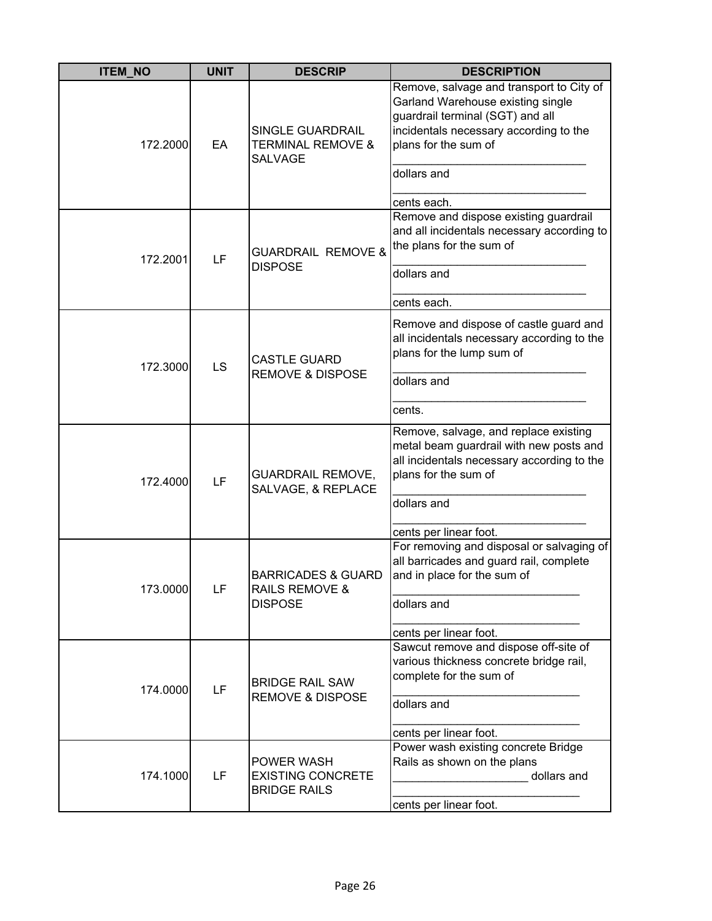| <b>ITEM_NO</b> | <b>UNIT</b> | <b>DESCRIP</b>                                                               | <b>DESCRIPTION</b>                                                                                                                                                                                                |
|----------------|-------------|------------------------------------------------------------------------------|-------------------------------------------------------------------------------------------------------------------------------------------------------------------------------------------------------------------|
| 172.2000       | EA          | <b>SINGLE GUARDRAIL</b><br><b>TERMINAL REMOVE &amp;</b><br><b>SALVAGE</b>    | Remove, salvage and transport to City of<br>Garland Warehouse existing single<br>guardrail terminal (SGT) and all<br>incidentals necessary according to the<br>plans for the sum of<br>dollars and<br>cents each. |
| 172.2001       | LF          | <b>GUARDRAIL REMOVE &amp;</b><br><b>DISPOSE</b>                              | Remove and dispose existing guardrail<br>and all incidentals necessary according to<br>the plans for the sum of<br>dollars and<br>cents each.                                                                     |
| 172.3000       | LS          | <b>CASTLE GUARD</b><br><b>REMOVE &amp; DISPOSE</b>                           | Remove and dispose of castle guard and<br>all incidentals necessary according to the<br>plans for the lump sum of<br>dollars and<br>cents.                                                                        |
| 172.4000       | LF          | <b>GUARDRAIL REMOVE,</b><br>SALVAGE, & REPLACE                               | Remove, salvage, and replace existing<br>metal beam guardrail with new posts and<br>all incidentals necessary according to the<br>plans for the sum of<br>dollars and<br>cents per linear foot.                   |
| 173.0000       | LF          | <b>BARRICADES &amp; GUARD</b><br><b>RAILS REMOVE &amp;</b><br><b>DISPOSE</b> | For removing and disposal or salvaging of<br>all barricades and guard rail, complete<br>and in place for the sum of<br>dollars and<br>cents per linear foot.                                                      |
| 174.0000       | LF          | <b>BRIDGE RAIL SAW</b><br><b>REMOVE &amp; DISPOSE</b>                        | Sawcut remove and dispose off-site of<br>various thickness concrete bridge rail,<br>complete for the sum of<br>dollars and<br>cents per linear foot.                                                              |
| 174.1000       | LF          | <b>POWER WASH</b><br><b>EXISTING CONCRETE</b><br><b>BRIDGE RAILS</b>         | Power wash existing concrete Bridge<br>Rails as shown on the plans<br>dollars and<br>cents per linear foot.                                                                                                       |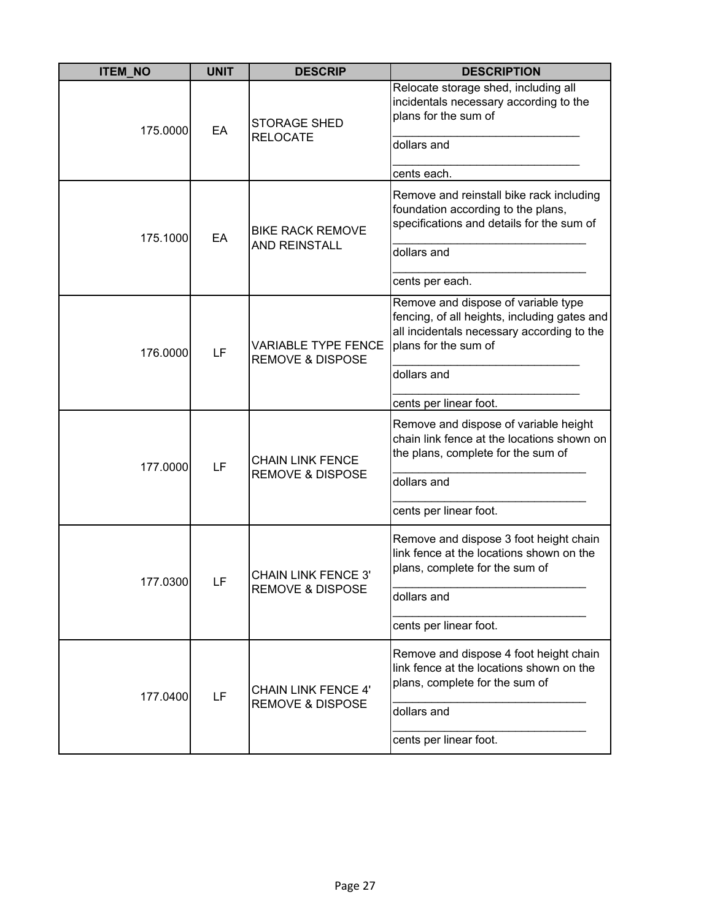| <b>ITEM_NO</b> | <b>UNIT</b> | <b>DESCRIP</b>                                            | <b>DESCRIPTION</b>                                                                                                                                                       |
|----------------|-------------|-----------------------------------------------------------|--------------------------------------------------------------------------------------------------------------------------------------------------------------------------|
| 175,0000       | EA          | <b>STORAGE SHED</b><br><b>RELOCATE</b>                    | Relocate storage shed, including all<br>incidentals necessary according to the<br>plans for the sum of<br>dollars and                                                    |
|                |             |                                                           | cents each.                                                                                                                                                              |
| 175.1000       | EA          | <b>BIKE RACK REMOVE</b>                                   | Remove and reinstall bike rack including<br>foundation according to the plans,<br>specifications and details for the sum of                                              |
|                |             | <b>AND REINSTALL</b>                                      | dollars and                                                                                                                                                              |
|                |             |                                                           | cents per each.                                                                                                                                                          |
| 176.0000       | LF          | <b>VARIABLE TYPE FENCE</b><br><b>REMOVE &amp; DISPOSE</b> | Remove and dispose of variable type<br>fencing, of all heights, including gates and<br>all incidentals necessary according to the<br>plans for the sum of<br>dollars and |
|                |             |                                                           | cents per linear foot.                                                                                                                                                   |
| 177.0000       | LF          | <b>CHAIN LINK FENCE</b><br><b>REMOVE &amp; DISPOSE</b>    | Remove and dispose of variable height<br>chain link fence at the locations shown on<br>the plans, complete for the sum of                                                |
|                |             |                                                           | dollars and                                                                                                                                                              |
|                |             |                                                           | cents per linear foot.                                                                                                                                                   |
|                |             | <b>CHAIN LINK FENCE 3'</b>                                | Remove and dispose 3 foot height chain<br>link fence at the locations shown on the<br>plans, complete for the sum of                                                     |
| 177.0300       | LF          | <b>REMOVE &amp; DISPOSE</b>                               | dollars and                                                                                                                                                              |
|                |             |                                                           | cents per linear foot.                                                                                                                                                   |
| 177.0400       | LF          | <b>CHAIN LINK FENCE 4'</b><br><b>REMOVE &amp; DISPOSE</b> | Remove and dispose 4 foot height chain<br>link fence at the locations shown on the<br>plans, complete for the sum of                                                     |
|                |             |                                                           | dollars and                                                                                                                                                              |
|                |             |                                                           | cents per linear foot.                                                                                                                                                   |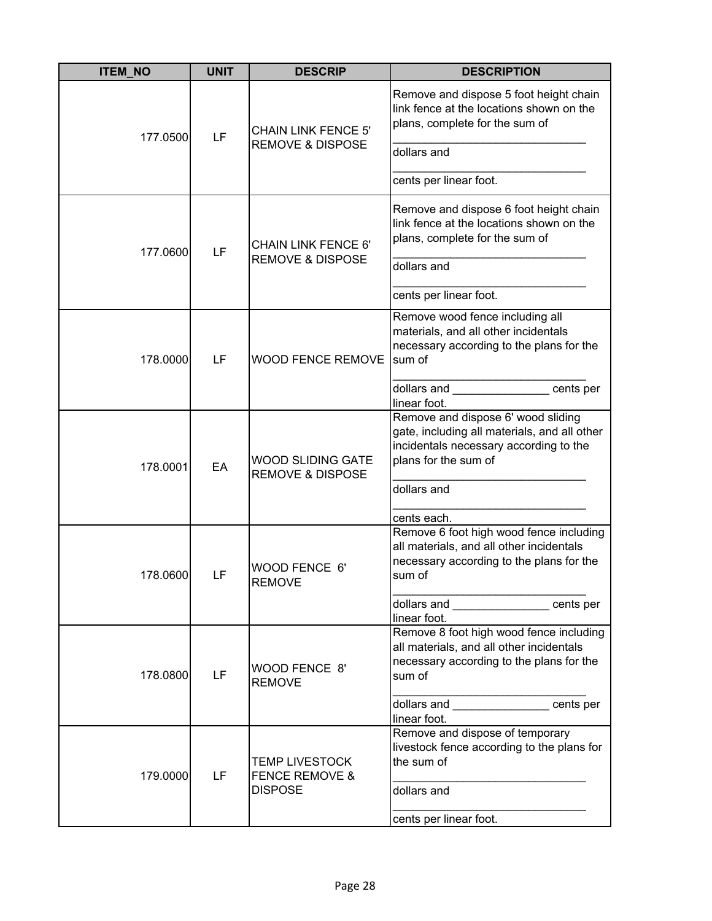| <b>ITEM_NO</b> | <b>UNIT</b> | <b>DESCRIP</b>                                            | <b>DESCRIPTION</b>                                                                                                                                                                         |
|----------------|-------------|-----------------------------------------------------------|--------------------------------------------------------------------------------------------------------------------------------------------------------------------------------------------|
| 177.0500       | LF          | <b>CHAIN LINK FENCE 5'</b><br><b>REMOVE &amp; DISPOSE</b> | Remove and dispose 5 foot height chain<br>link fence at the locations shown on the<br>plans, complete for the sum of<br>dollars and                                                        |
|                |             |                                                           | cents per linear foot.                                                                                                                                                                     |
| 177.0600       | LF          | <b>CHAIN LINK FENCE 6'</b><br><b>REMOVE &amp; DISPOSE</b> | Remove and dispose 6 foot height chain<br>link fence at the locations shown on the<br>plans, complete for the sum of                                                                       |
|                |             |                                                           | dollars and                                                                                                                                                                                |
|                |             |                                                           | cents per linear foot.                                                                                                                                                                     |
| 178.0000       | LF          | <b>WOOD FENCE REMOVE</b>                                  | Remove wood fence including all<br>materials, and all other incidentals<br>necessary according to the plans for the<br>sum of<br>dollars and entries cents per                             |
|                |             |                                                           | linear foot.                                                                                                                                                                               |
| 178.0001       | EA          | <b>WOOD SLIDING GATE</b><br><b>REMOVE &amp; DISPOSE</b>   | Remove and dispose 6' wood sliding<br>gate, including all materials, and all other<br>incidentals necessary according to the<br>plans for the sum of<br>dollars and<br>cents each.         |
| 178.0600       | LF          | WOOD FENCE 6'<br><b>RFMOVF</b>                            | Remove 6 foot high wood fence including<br>all materials, and all other incidentals<br>necessary according to the plans for the<br>sum of<br>dollars and entries cents per<br>linear foot. |
| 178.0800       | LF          | WOOD FENCE 8'<br><b>REMOVE</b>                            | Remove 8 foot high wood fence including<br>all materials, and all other incidentals<br>necessary according to the plans for the<br>sum of<br>dollars and _________________ cents per       |
|                |             |                                                           | linear foot.<br>Remove and dispose of temporary                                                                                                                                            |
| 179.0000       | LF          | <b>TEMP LIVESTOCK</b><br><b>FENCE REMOVE &amp;</b>        | livestock fence according to the plans for<br>the sum of<br>dollars and                                                                                                                    |
|                |             | <b>DISPOSE</b>                                            | cents per linear foot.                                                                                                                                                                     |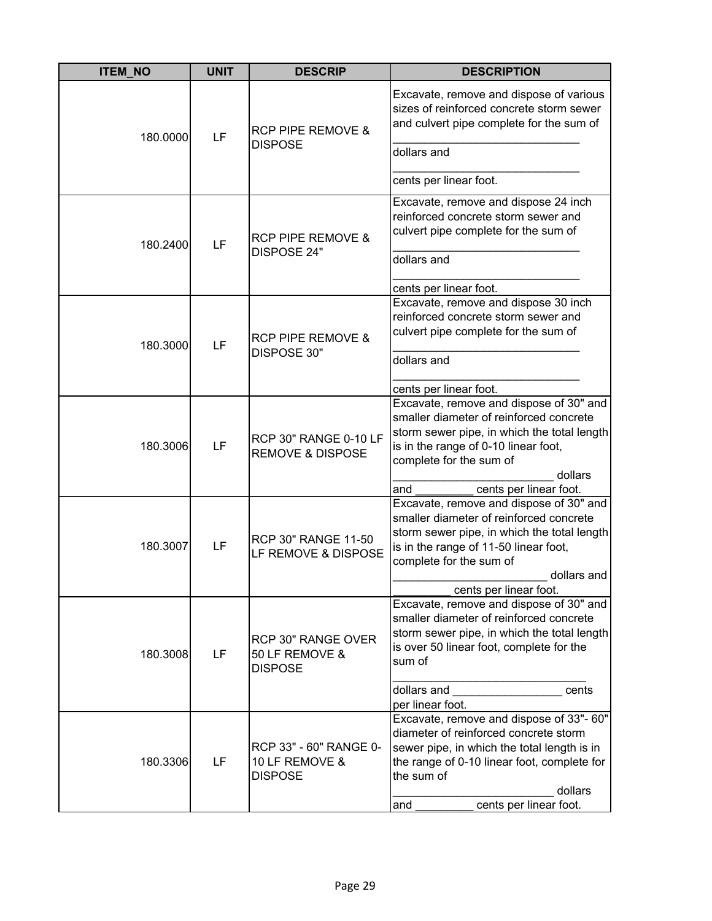| <b>ITEM NO</b> | <b>UNIT</b> | <b>DESCRIP</b>                                             | <b>DESCRIPTION</b>                                                                                                                                                                                                                                            |
|----------------|-------------|------------------------------------------------------------|---------------------------------------------------------------------------------------------------------------------------------------------------------------------------------------------------------------------------------------------------------------|
| 180.0000       | LF          | <b>RCP PIPE REMOVE &amp;</b><br><b>DISPOSE</b>             | Excavate, remove and dispose of various<br>sizes of reinforced concrete storm sewer<br>and culvert pipe complete for the sum of<br>dollars and                                                                                                                |
|                |             |                                                            | cents per linear foot.                                                                                                                                                                                                                                        |
| 180.2400       | LF          | <b>RCP PIPE REMOVE &amp;</b><br><b>DISPOSE 24"</b>         | Excavate, remove and dispose 24 inch<br>reinforced concrete storm sewer and<br>culvert pipe complete for the sum of                                                                                                                                           |
|                |             |                                                            | dollars and                                                                                                                                                                                                                                                   |
|                |             |                                                            | cents per linear foot.                                                                                                                                                                                                                                        |
| 180.3000       | LF          | <b>RCP PIPE REMOVE &amp;</b><br>DISPOSE 30"                | Excavate, remove and dispose 30 inch<br>reinforced concrete storm sewer and<br>culvert pipe complete for the sum of                                                                                                                                           |
|                |             |                                                            | dollars and                                                                                                                                                                                                                                                   |
|                |             |                                                            |                                                                                                                                                                                                                                                               |
|                |             |                                                            | cents per linear foot.<br>Excavate, remove and dispose of 30" and                                                                                                                                                                                             |
| 180.3006       | LF          | RCP 30" RANGE 0-10 LF<br><b>REMOVE &amp; DISPOSE</b>       | smaller diameter of reinforced concrete<br>storm sewer pipe, in which the total length<br>is in the range of 0-10 linear foot,<br>complete for the sum of<br>dollars                                                                                          |
|                |             |                                                            | cents per linear foot.<br>and                                                                                                                                                                                                                                 |
| 180.3007       | LF          | <b>RCP 30" RANGE 11-50</b><br>LF REMOVE & DISPOSE          | Excavate, remove and dispose of 30" and<br>smaller diameter of reinforced concrete<br>storm sewer pipe, in which the total length<br>is in the range of 11-50 linear foot,<br>complete for the sum of<br>dollars and                                          |
|                |             |                                                            | cents per linear foot.                                                                                                                                                                                                                                        |
| 180.3008       | LF          | RCP 30" RANGE OVER<br>50 LF REMOVE &<br><b>DISPOSE</b>     | Excavate, remove and dispose of 30" and<br>smaller diameter of reinforced concrete<br>storm sewer pipe, in which the total length<br>is over 50 linear foot, complete for the<br>sum of                                                                       |
|                |             |                                                            | dollars and<br>cents                                                                                                                                                                                                                                          |
| 180.3306       | LF          | RCP 33" - 60" RANGE 0-<br>10 LF REMOVE &<br><b>DISPOSE</b> | per linear foot.<br>Excavate, remove and dispose of 33"- 60"<br>diameter of reinforced concrete storm<br>sewer pipe, in which the total length is in<br>the range of 0-10 linear foot, complete for<br>the sum of<br>dollars<br>cents per linear foot.<br>and |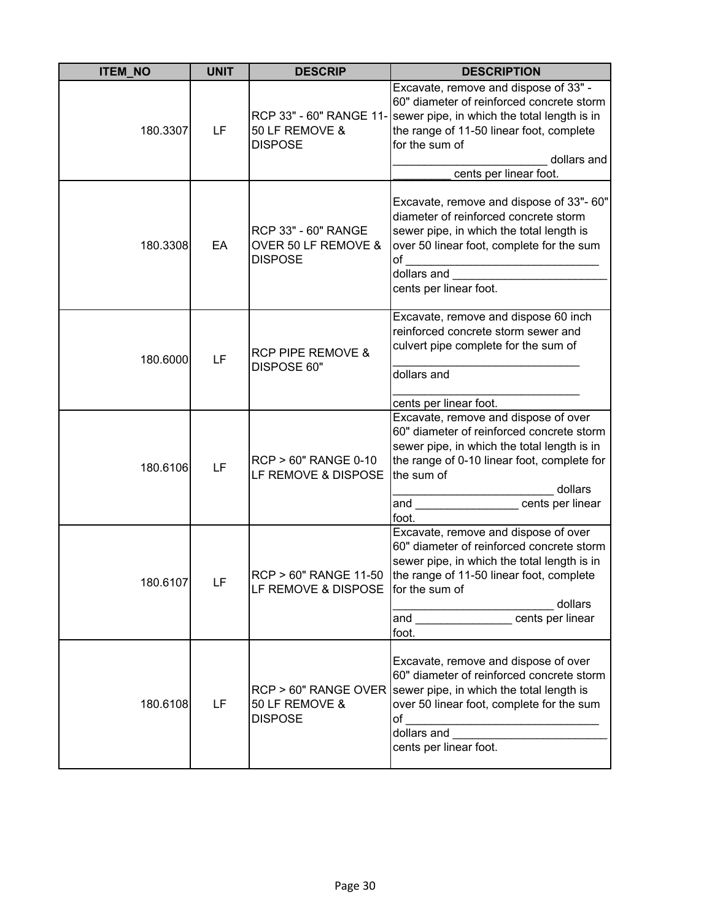| <b>ITEM NO</b> | <b>UNIT</b> | <b>DESCRIP</b>                                               | <b>DESCRIPTION</b>                                                                                                                                                                                                                                                                                                                                                                                                                                     |
|----------------|-------------|--------------------------------------------------------------|--------------------------------------------------------------------------------------------------------------------------------------------------------------------------------------------------------------------------------------------------------------------------------------------------------------------------------------------------------------------------------------------------------------------------------------------------------|
| 180.3307       | LF          | 50 LF REMOVE &<br><b>DISPOSE</b>                             | Excavate, remove and dispose of 33" -<br>60" diameter of reinforced concrete storm<br>RCP 33" - 60" RANGE 11- sewer pipe, in which the total length is in<br>the range of 11-50 linear foot, complete<br>for the sum of<br>dollars and<br>cents per linear foot.                                                                                                                                                                                       |
| 180.3308       | EA          | RCP 33" - 60" RANGE<br>OVER 50 LF REMOVE &<br><b>DISPOSE</b> | Excavate, remove and dispose of 33"- 60"<br>diameter of reinforced concrete storm<br>sewer pipe, in which the total length is<br>over 50 linear foot, complete for the sum<br>of<br>dollars and<br>cents per linear foot.                                                                                                                                                                                                                              |
| 180.6000       | LF          | <b>RCP PIPE REMOVE &amp;</b><br>DISPOSE 60"                  | Excavate, remove and dispose 60 inch<br>reinforced concrete storm sewer and<br>culvert pipe complete for the sum of<br>dollars and<br>cents per linear foot.                                                                                                                                                                                                                                                                                           |
| 180.6106       | LF          | <b>RCP &gt; 60" RANGE 0-10</b><br>LF REMOVE & DISPOSE        | Excavate, remove and dispose of over<br>60" diameter of reinforced concrete storm<br>sewer pipe, in which the total length is in<br>the range of 0-10 linear foot, complete for<br>the sum of<br>dollars<br>cents per linear<br>and<br>foot.                                                                                                                                                                                                           |
| 180.6107       | LF          | RCP > 60" RANGE 11-50<br>LF REMOVE & DISPOSE for the sum of  | Excavate, remove and dispose of over<br>60" diameter of reinforced concrete storm<br>sewer pipe, in which the total length is in<br>the range of 11-50 linear foot, complete<br>dollars<br>and the control of the control of the control of the control of the control of the control of the control of the control of the control of the control of the control of the control of the control of the control of the cont<br>cents per linear<br>foot. |
| 180.6108       | LF          | 50 LF REMOVE &<br><b>DISPOSE</b>                             | Excavate, remove and dispose of over<br>60" diameter of reinforced concrete storm<br>$RCP > 60$ " RANGE OVER sewer pipe, in which the total length is<br>over 50 linear foot, complete for the sum<br>of<br><u> 1990 - Johann Barn, mars ann an t-A</u><br>dollars and<br>cents per linear foot.                                                                                                                                                       |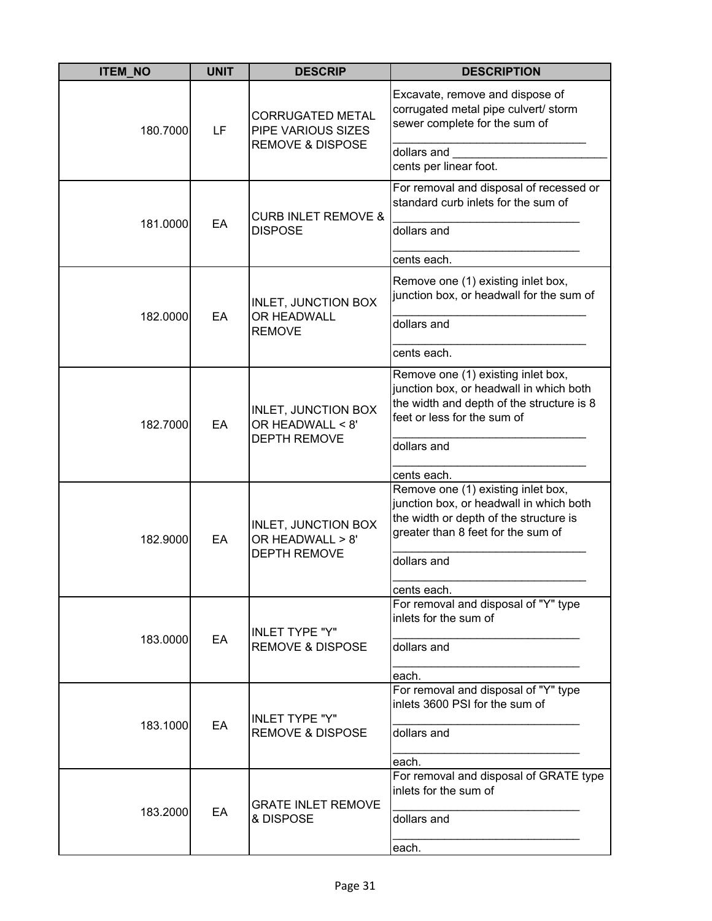| <b>ITEM NO</b> | <b>UNIT</b> | <b>DESCRIP</b>                                                               | <b>DESCRIPTION</b>                                                                                                                                            |
|----------------|-------------|------------------------------------------------------------------------------|---------------------------------------------------------------------------------------------------------------------------------------------------------------|
| 180.7000       | LF          | <b>CORRUGATED METAL</b><br>PIPE VARIOUS SIZES<br><b>REMOVE &amp; DISPOSE</b> | Excavate, remove and dispose of<br>corrugated metal pipe culvert/ storm<br>sewer complete for the sum of<br>dollars and                                       |
|                |             |                                                                              | cents per linear foot.                                                                                                                                        |
|                |             | <b>CURB INLET REMOVE &amp;</b>                                               | For removal and disposal of recessed or<br>standard curb inlets for the sum of                                                                                |
| 181.0000       | EA          | <b>DISPOSE</b>                                                               | dollars and                                                                                                                                                   |
|                |             |                                                                              | cents each.                                                                                                                                                   |
|                |             | <b>INLET, JUNCTION BOX</b><br>OR HEADWALL                                    | Remove one (1) existing inlet box,<br>junction box, or headwall for the sum of                                                                                |
| 182.0000       | EA          | <b>REMOVE</b>                                                                | dollars and                                                                                                                                                   |
|                |             |                                                                              | cents each.                                                                                                                                                   |
| 182.7000       | EA          | <b>INLET, JUNCTION BOX</b><br>OR HEADWALL < 8'<br><b>DEPTH REMOVE</b>        | Remove one (1) existing inlet box,<br>junction box, or headwall in which both<br>the width and depth of the structure is 8<br>feet or less for the sum of     |
|                |             |                                                                              | dollars and<br>cents each.                                                                                                                                    |
| 182.9000       | EA          | <b>INLET, JUNCTION BOX</b><br>OR HEADWALL > 8'<br><b>DEPTH REMOVE</b>        | Remove one (1) existing inlet box,<br>junction box, or headwall in which both<br>the width or depth of the structure is<br>greater than 8 feet for the sum of |
|                |             |                                                                              | dollars and                                                                                                                                                   |
|                |             |                                                                              | cents each.                                                                                                                                                   |
|                |             | <b>INLET TYPE "Y"</b>                                                        | For removal and disposal of "Y" type<br>inlets for the sum of                                                                                                 |
| 183.0000       | EA          | <b>REMOVE &amp; DISPOSE</b>                                                  | dollars and                                                                                                                                                   |
|                |             |                                                                              | each.                                                                                                                                                         |
|                |             | <b>INLET TYPE "Y"</b>                                                        | For removal and disposal of "Y" type<br>inlets 3600 PSI for the sum of                                                                                        |
| 183.1000       | EA          | <b>REMOVE &amp; DISPOSE</b>                                                  | dollars and                                                                                                                                                   |
|                |             |                                                                              | each.                                                                                                                                                         |
|                |             | <b>GRATE INLET REMOVE</b>                                                    | For removal and disposal of GRATE type<br>inlets for the sum of                                                                                               |
| 183.2000       | EA          | & DISPOSE                                                                    | dollars and                                                                                                                                                   |
|                |             |                                                                              | each.                                                                                                                                                         |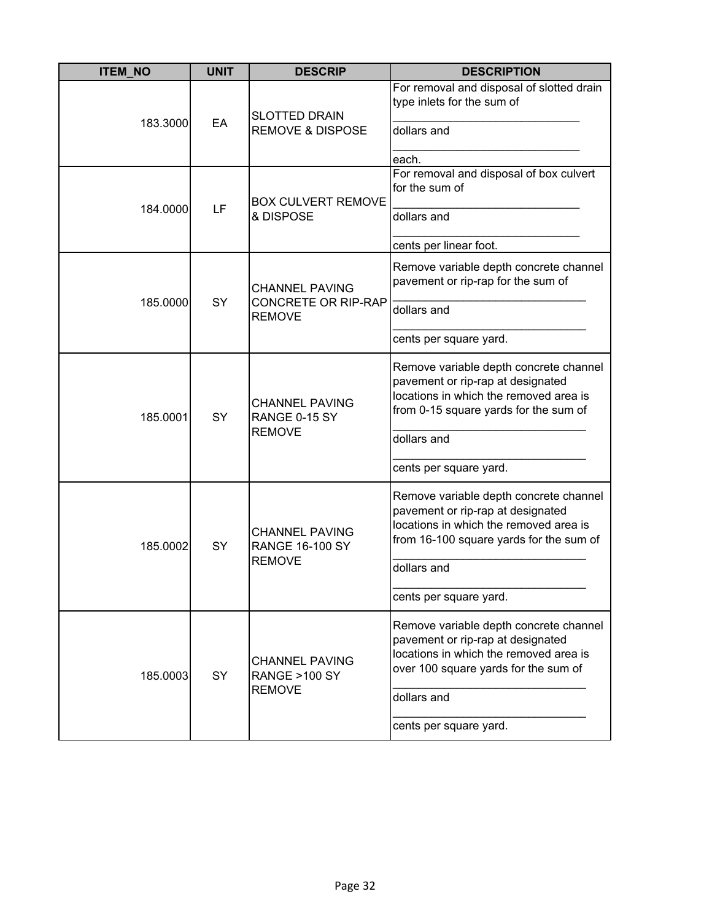| <b>ITEM_NO</b> | <b>UNIT</b> | <b>DESCRIP</b>                                                       | <b>DESCRIPTION</b>                                                                                                                                                                                        |
|----------------|-------------|----------------------------------------------------------------------|-----------------------------------------------------------------------------------------------------------------------------------------------------------------------------------------------------------|
| 183.3000       | EA          | <b>SLOTTED DRAIN</b><br><b>REMOVE &amp; DISPOSE</b>                  | For removal and disposal of slotted drain<br>type inlets for the sum of<br>dollars and<br>each.                                                                                                           |
| 184.0000       | LF          | <b>BOX CULVERT REMOVE</b><br>& DISPOSE                               | For removal and disposal of box culvert<br>for the sum of<br>dollars and<br>cents per linear foot.                                                                                                        |
| 185.0000       | SY          | <b>CHANNEL PAVING</b><br><b>CONCRETE OR RIP-RAP</b><br><b>REMOVE</b> | Remove variable depth concrete channel<br>pavement or rip-rap for the sum of<br>dollars and<br>cents per square yard.                                                                                     |
| 185.0001       | SY          | <b>CHANNEL PAVING</b><br>RANGE 0-15 SY<br><b>REMOVE</b>              | Remove variable depth concrete channel<br>pavement or rip-rap at designated<br>locations in which the removed area is<br>from 0-15 square yards for the sum of<br>dollars and<br>cents per square yard.   |
| 185.0002       | SY          | <b>CHANNEL PAVING</b><br><b>RANGE 16-100 SY</b><br><b>REMOVE</b>     | Remove variable depth concrete channel<br>pavement or rip-rap at designated<br>locations in which the removed area is<br>from 16-100 square yards for the sum of<br>dollars and<br>cents per square yard. |
| 185.0003       | SY          | <b>CHANNEL PAVING</b><br><b>RANGE &gt;100 SY</b><br><b>REMOVE</b>    | Remove variable depth concrete channel<br>pavement or rip-rap at designated<br>locations in which the removed area is<br>over 100 square yards for the sum of<br>dollars and<br>cents per square yard.    |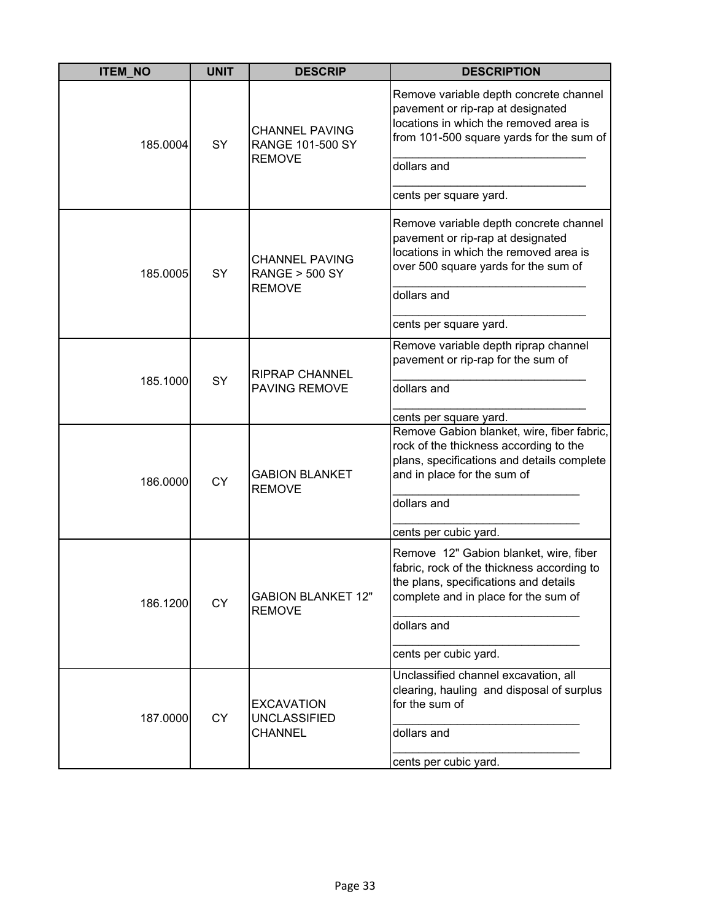| <b>ITEM_NO</b> | <b>UNIT</b> | <b>DESCRIP</b>                                                     | <b>DESCRIPTION</b>                                                                                                                                                               |
|----------------|-------------|--------------------------------------------------------------------|----------------------------------------------------------------------------------------------------------------------------------------------------------------------------------|
| 185.0004       | SY          | <b>CHANNEL PAVING</b><br><b>RANGE 101-500 SY</b><br><b>REMOVE</b>  | Remove variable depth concrete channel<br>pavement or rip-rap at designated<br>locations in which the removed area is<br>from 101-500 square yards for the sum of<br>dollars and |
|                |             |                                                                    | cents per square yard.                                                                                                                                                           |
| 185.0005       | SY          | <b>CHANNEL PAVING</b><br><b>RANGE &gt; 500 SY</b><br><b>REMOVE</b> | Remove variable depth concrete channel<br>pavement or rip-rap at designated<br>locations in which the removed area is<br>over 500 square yards for the sum of<br>dollars and     |
|                |             |                                                                    | cents per square yard.                                                                                                                                                           |
| 185.1000       | SY          | <b>RIPRAP CHANNEL</b><br><b>PAVING REMOVE</b>                      | Remove variable depth riprap channel<br>pavement or rip-rap for the sum of<br>dollars and                                                                                        |
|                |             |                                                                    | cents per square yard.                                                                                                                                                           |
| 186.0000       | <b>CY</b>   | <b>GABION BLANKET</b><br><b>REMOVE</b>                             | Remove Gabion blanket, wire, fiber fabric,<br>rock of the thickness according to the<br>plans, specifications and details complete<br>and in place for the sum of<br>dollars and |
|                |             |                                                                    |                                                                                                                                                                                  |
|                |             |                                                                    | cents per cubic yard.                                                                                                                                                            |
| 186.1200       | <b>CY</b>   | <b>GABION BLANKET 12"</b><br><b>REMOVE</b>                         | Remove 12" Gabion blanket, wire, fiber<br>fabric, rock of the thickness according to<br>the plans, specifications and details<br>complete and in place for the sum of            |
|                |             |                                                                    | dollars and                                                                                                                                                                      |
|                |             |                                                                    | cents per cubic yard.                                                                                                                                                            |
| 187.0000       | CY          | <b>EXCAVATION</b><br><b>UNCLASSIFIED</b><br><b>CHANNEL</b>         | Unclassified channel excavation, all<br>clearing, hauling and disposal of surplus<br>for the sum of                                                                              |
|                |             |                                                                    | dollars and                                                                                                                                                                      |
|                |             |                                                                    | cents per cubic yard.                                                                                                                                                            |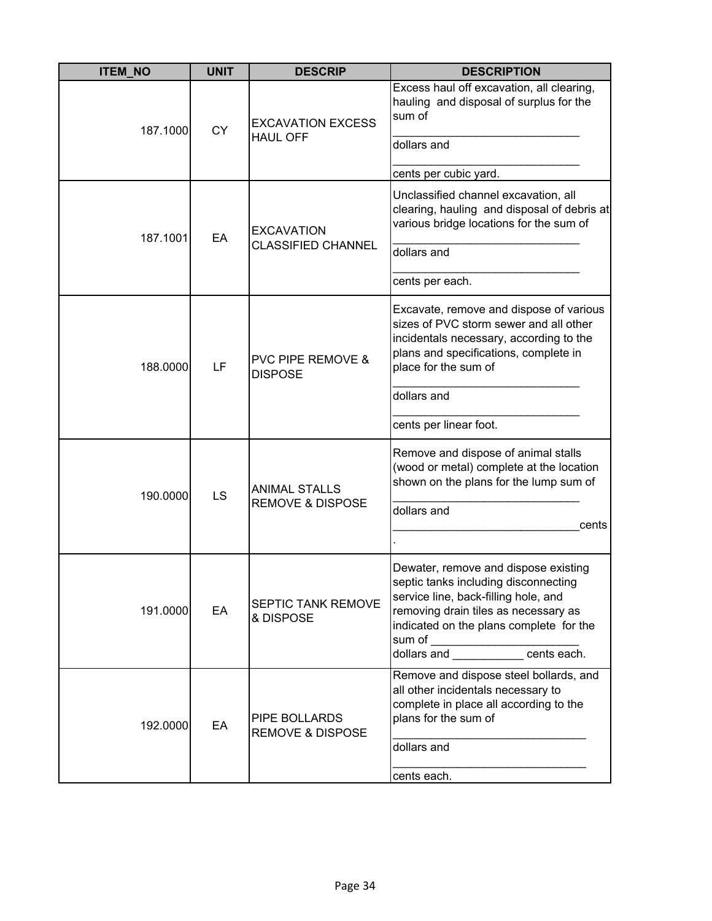| <b>ITEM_NO</b> | <b>UNIT</b> | <b>DESCRIP</b>                                      | <b>DESCRIPTION</b>                                                                                                                                                                                                                                                                       |
|----------------|-------------|-----------------------------------------------------|------------------------------------------------------------------------------------------------------------------------------------------------------------------------------------------------------------------------------------------------------------------------------------------|
| 187.1000       | <b>CY</b>   | <b>EXCAVATION EXCESS</b><br><b>HAUL OFF</b>         | Excess haul off excavation, all clearing,<br>hauling and disposal of surplus for the<br>sum of<br>dollars and<br>cents per cubic yard.                                                                                                                                                   |
| 187.1001       | EA          | <b>EXCAVATION</b><br><b>CLASSIFIED CHANNEL</b>      | Unclassified channel excavation, all<br>clearing, hauling and disposal of debris at<br>various bridge locations for the sum of<br>dollars and<br>cents per each.                                                                                                                         |
| 188.0000       | LF          | <b>PVC PIPE REMOVE &amp;</b><br><b>DISPOSE</b>      | Excavate, remove and dispose of various<br>sizes of PVC storm sewer and all other<br>incidentals necessary, according to the<br>plans and specifications, complete in<br>place for the sum of<br>dollars and<br>cents per linear foot.                                                   |
| 190.0000       | LS          | <b>ANIMAL STALLS</b><br><b>REMOVE &amp; DISPOSE</b> | Remove and dispose of animal stalls<br>(wood or metal) complete at the location<br>shown on the plans for the lump sum of<br>dollars and<br>cents                                                                                                                                        |
| 191.0000       | EA          | SEPTIC TANK REMOVE<br>& DISPOSE                     | Dewater, remove and dispose existing<br>septic tanks including disconnecting<br>service line, back-filling hole, and<br>removing drain tiles as necessary as<br>indicated on the plans complete for the<br>sum of ____________________________<br>dollars and ______________ cents each. |
| 192.0000       | EA          | PIPE BOLLARDS<br><b>REMOVE &amp; DISPOSE</b>        | Remove and dispose steel bollards, and<br>all other incidentals necessary to<br>complete in place all according to the<br>plans for the sum of<br>dollars and<br>cents each.                                                                                                             |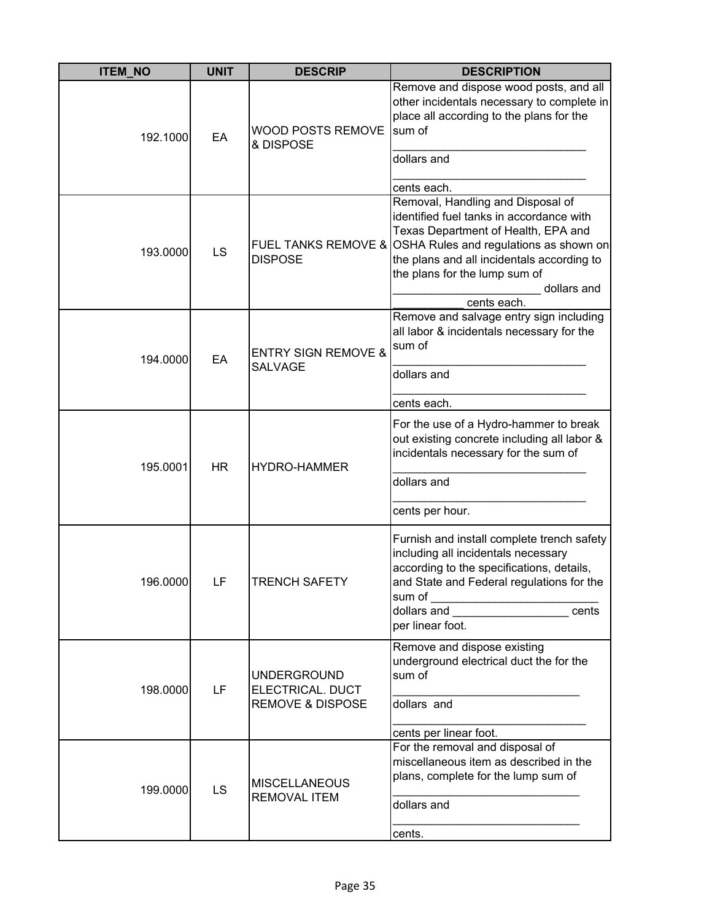| <b>ITEM_NO</b> | <b>UNIT</b> | <b>DESCRIP</b>                                                        | <b>DESCRIPTION</b>                                                                                                                                                                                                                                                                              |
|----------------|-------------|-----------------------------------------------------------------------|-------------------------------------------------------------------------------------------------------------------------------------------------------------------------------------------------------------------------------------------------------------------------------------------------|
| 192.1000       | EA          | <b>WOOD POSTS REMOVE</b><br>& DISPOSE                                 | Remove and dispose wood posts, and all<br>other incidentals necessary to complete in<br>place all according to the plans for the<br>sum of<br>dollars and<br>cents each.                                                                                                                        |
| 193.0000       | LS          | <b>DISPOSE</b>                                                        | Removal, Handling and Disposal of<br>identified fuel tanks in accordance with<br>Texas Department of Health, EPA and<br>FUEL TANKS REMOVE & OSHA Rules and regulations as shown on<br>the plans and all incidentals according to<br>the plans for the lump sum of<br>dollars and<br>cents each. |
| 194.0000       | EA          | <b>ENTRY SIGN REMOVE &amp;</b><br><b>SALVAGE</b>                      | Remove and salvage entry sign including<br>all labor & incidentals necessary for the<br>sum of<br>dollars and<br>cents each.                                                                                                                                                                    |
| 195.0001       | <b>HR</b>   | <b>HYDRO-HAMMER</b>                                                   | For the use of a Hydro-hammer to break<br>out existing concrete including all labor &<br>incidentals necessary for the sum of<br>dollars and<br>cents per hour.                                                                                                                                 |
| 196.0000       | LF          | ITRENCH SAFETY                                                        | Furnish and install complete trench safety<br>including all incidentals necessary<br>according to the specifications, details,<br>and State and Federal regulations for the<br>dollars and ___________________________cents<br>per linear foot.                                                 |
| 198.0000       | LF          | <b>UNDERGROUND</b><br>ELECTRICAL. DUCT<br><b>REMOVE &amp; DISPOSE</b> | Remove and dispose existing<br>underground electrical duct the for the<br>sum of<br>dollars and<br>cents per linear foot.                                                                                                                                                                       |
| 199.0000       | LS          | <b>MISCELLANEOUS</b><br><b>REMOVAL ITEM</b>                           | For the removal and disposal of<br>miscellaneous item as described in the<br>plans, complete for the lump sum of<br>dollars and<br>cents.                                                                                                                                                       |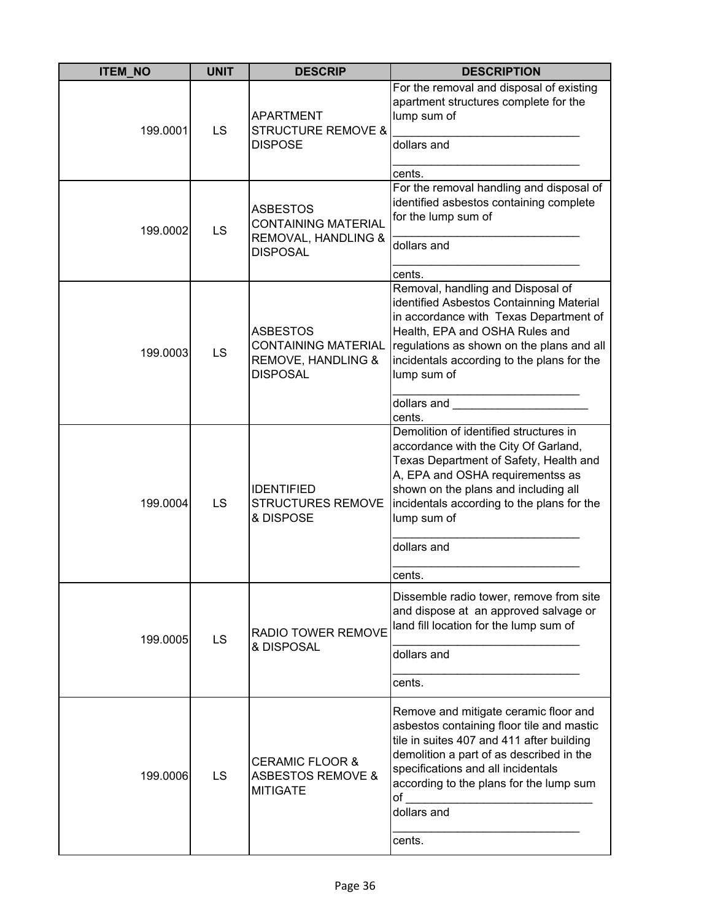| <b>ITEM_NO</b> | <b>UNIT</b> | <b>DESCRIP</b>                                                                          | <b>DESCRIPTION</b>                                                                                                                                                                                                                                                                                                                                                                                                                                                                                                    |
|----------------|-------------|-----------------------------------------------------------------------------------------|-----------------------------------------------------------------------------------------------------------------------------------------------------------------------------------------------------------------------------------------------------------------------------------------------------------------------------------------------------------------------------------------------------------------------------------------------------------------------------------------------------------------------|
| 199.0001       | LS          | <b>APARTMENT</b><br><b>STRUCTURE REMOVE &amp;</b><br><b>DISPOSE</b>                     | For the removal and disposal of existing<br>apartment structures complete for the<br>lump sum of<br>dollars and<br>cents.                                                                                                                                                                                                                                                                                                                                                                                             |
| 199.0002       | LS          | <b>ASBESTOS</b><br><b>CONTAINING MATERIAL</b><br>REMOVAL, HANDLING &<br><b>DISPOSAL</b> | For the removal handling and disposal of<br>identified asbestos containing complete<br>for the lump sum of<br>dollars and<br>cents.                                                                                                                                                                                                                                                                                                                                                                                   |
| 199.0003       | LS          | <b>ASBESTOS</b><br><b>CONTAINING MATERIAL</b><br>REMOVE, HANDLING &<br><b>DISPOSAL</b>  | Removal, handling and Disposal of<br>identified Asbestos Containning Material<br>in accordance with Texas Department of<br>Health, EPA and OSHA Rules and<br>regulations as shown on the plans and all<br>incidentals according to the plans for the<br>lump sum of<br>dollars and <b>contract the contract of the contract of the contract of the contract of the contract of the contract of the contract of the contract of the contract of the contract of the contract of the contract of the cont</b><br>cents. |
| 199.0004       | LS          | <b>IDENTIFIED</b><br><b>STRUCTURES REMOVE</b><br>& DISPOSE                              | Demolition of identified structures in<br>accordance with the City Of Garland,<br>Texas Department of Safety, Health and<br>A, EPA and OSHA requirementss as<br>shown on the plans and including all<br>incidentals according to the plans for the<br>lump sum of<br>dollars and                                                                                                                                                                                                                                      |
|                |             |                                                                                         | cents.                                                                                                                                                                                                                                                                                                                                                                                                                                                                                                                |
| 199.0005       | LS          | <b>RADIO TOWER REMOVE</b><br>& DISPOSAL                                                 | Dissemble radio tower, remove from site<br>and dispose at an approved salvage or<br>land fill location for the lump sum of<br>dollars and<br>cents.                                                                                                                                                                                                                                                                                                                                                                   |
| 199.0006       | LS          | <b>CERAMIC FLOOR &amp;</b><br><b>ASBESTOS REMOVE &amp;</b><br><b>MITIGATE</b>           | Remove and mitigate ceramic floor and<br>asbestos containing floor tile and mastic<br>tile in suites 407 and 411 after building<br>demolition a part of as described in the<br>specifications and all incidentals<br>according to the plans for the lump sum<br>of<br>dollars and<br>cents.                                                                                                                                                                                                                           |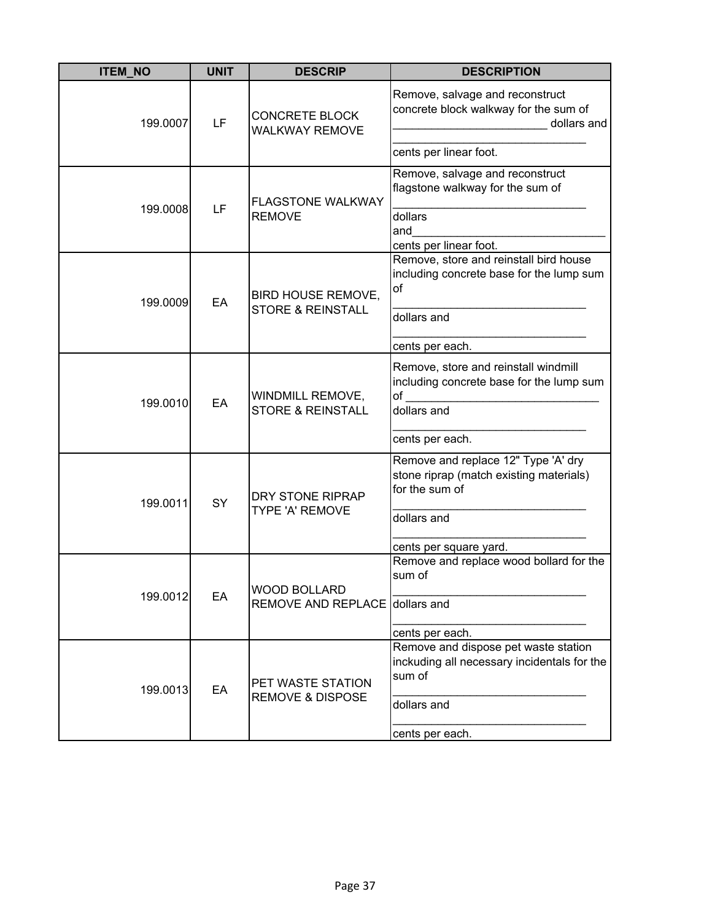| <b>ITEM_NO</b> | <b>UNIT</b> | <b>DESCRIP</b>                                            | <b>DESCRIPTION</b>                                                                                      |
|----------------|-------------|-----------------------------------------------------------|---------------------------------------------------------------------------------------------------------|
| 199.0007       | LF          | <b>CONCRETE BLOCK</b><br><b>WALKWAY REMOVE</b>            | Remove, salvage and reconstruct<br>concrete block walkway for the sum of<br>dollars and                 |
|                |             |                                                           | cents per linear foot.                                                                                  |
|                | LF          | <b>FLAGSTONE WALKWAY</b>                                  | Remove, salvage and reconstruct<br>flagstone walkway for the sum of                                     |
| 199.0008       |             | <b>REMOVE</b>                                             | dollars<br>and<br>cents per linear foot.                                                                |
| 199.0009       | EA          | <b>BIRD HOUSE REMOVE,</b><br><b>STORE &amp; REINSTALL</b> | Remove, store and reinstall bird house<br>including concrete base for the lump sum<br>of<br>dollars and |
|                |             |                                                           | cents per each.                                                                                         |
| 199.0010       | EA          | WINDMILL REMOVE,<br><b>STORE &amp; REINSTALL</b>          | Remove, store and reinstall windmill<br>including concrete base for the lump sum<br>of<br>dollars and   |
|                |             |                                                           | cents per each.                                                                                         |
| 199.0011       | SY          | DRY STONE RIPRAP<br>TYPE 'A' REMOVE                       | Remove and replace 12" Type 'A' dry<br>stone riprap (match existing materials)<br>for the sum of        |
|                |             |                                                           | dollars and                                                                                             |
|                |             |                                                           | cents per square yard.                                                                                  |
| 199.0012       | EA          | <b>WOOD BOLLARD</b>                                       | Remove and replace wood bollard for the<br>sum of                                                       |
|                |             | REMOVE AND REPLACE dollars and                            |                                                                                                         |
|                |             |                                                           | cents per each.                                                                                         |
| 199.0013       | EA          | PET WASTE STATION<br><b>REMOVE &amp; DISPOSE</b>          | Remove and dispose pet waste station<br>inckuding all necessary incidentals for the<br>sum of           |
|                |             |                                                           | dollars and                                                                                             |
|                |             |                                                           | cents per each.                                                                                         |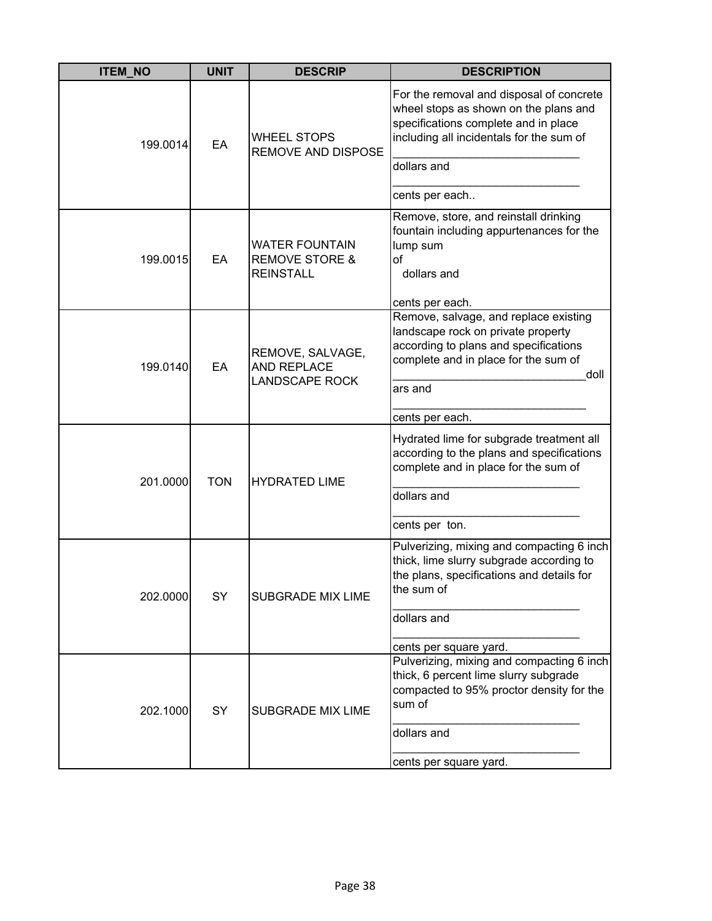| <b>ITEM_NO</b> | <b>UNIT</b> | <b>DESCRIP</b>                                                         | <b>DESCRIPTION</b>                                                                                                                                                                                     |
|----------------|-------------|------------------------------------------------------------------------|--------------------------------------------------------------------------------------------------------------------------------------------------------------------------------------------------------|
| 199.0014       | EA          | <b>WHEEL STOPS</b><br><b>REMOVE AND DISPOSE</b>                        | For the removal and disposal of concrete<br>wheel stops as shown on the plans and<br>specifications complete and in place<br>including all incidentals for the sum of<br>dollars and<br>cents per each |
| 199.0015       | EA          | <b>WATER FOUNTAIN</b><br><b>REMOVE STORE &amp;</b><br><b>REINSTALL</b> | Remove, store, and reinstall drinking<br>fountain including appurtenances for the<br>lump sum<br>of<br>dollars and<br>cents per each.                                                                  |
| 199.0140       | EA          | REMOVE, SALVAGE,<br><b>AND REPLACE</b><br><b>LANDSCAPE ROCK</b>        | Remove, salvage, and replace existing<br>landscape rock on private property<br>according to plans and specifications<br>complete and in place for the sum of<br>doll<br>ars and<br>cents per each.     |
| 201.0000       | <b>TON</b>  | <b>HYDRATED LIME</b>                                                   | Hydrated lime for subgrade treatment all<br>according to the plans and specifications<br>complete and in place for the sum of<br>dollars and<br>cents per ton.                                         |
| 202.0000       | SY          | <b>SUBGRADE MIX LIME</b>                                               | Pulverizing, mixing and compacting 6 inch<br>thick, lime slurry subgrade according to<br>the plans, specifications and details for<br>the sum of<br>dollars and<br>cents per square yard.              |
| 202.1000       | SY          | <b>SUBGRADE MIX LIME</b>                                               | Pulverizing, mixing and compacting 6 inch<br>thick, 6 percent lime slurry subgrade<br>compacted to 95% proctor density for the<br>sum of<br>dollars and<br>cents per square yard.                      |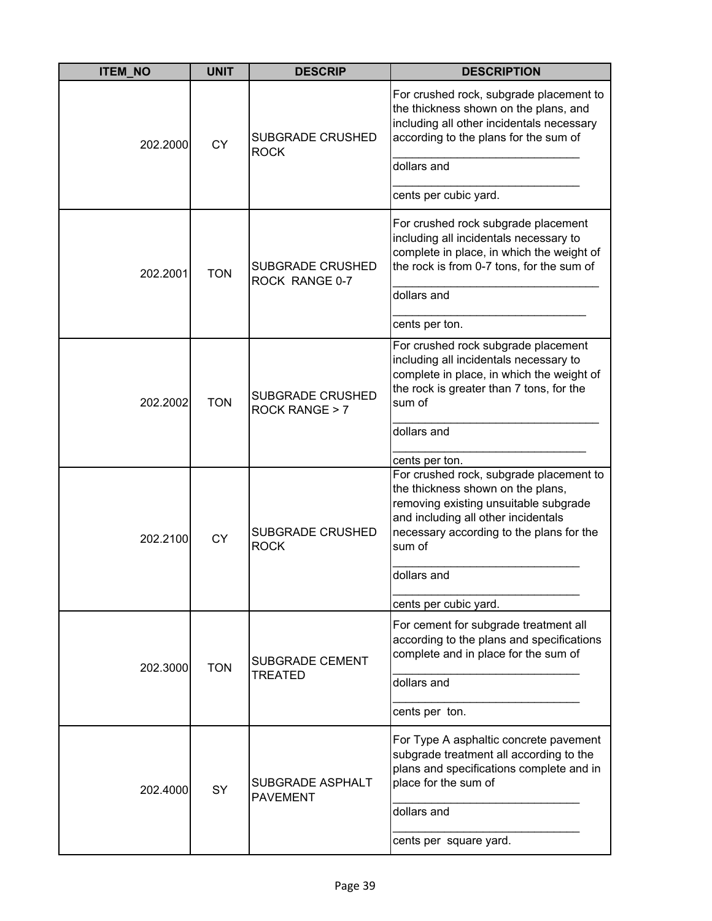| <b>ITEM_NO</b> | <b>UNIT</b> | <b>DESCRIP</b>                            | <b>DESCRIPTION</b>                                                                                                                                                                                                 |
|----------------|-------------|-------------------------------------------|--------------------------------------------------------------------------------------------------------------------------------------------------------------------------------------------------------------------|
| 202.2000       | <b>CY</b>   | SUBGRADE CRUSHED<br><b>ROCK</b>           | For crushed rock, subgrade placement to<br>the thickness shown on the plans, and<br>including all other incidentals necessary<br>according to the plans for the sum of                                             |
|                |             |                                           | dollars and<br>cents per cubic yard.                                                                                                                                                                               |
| 202.2001       | <b>TON</b>  | <b>SUBGRADE CRUSHED</b><br>ROCK RANGE 0-7 | For crushed rock subgrade placement<br>including all incidentals necessary to<br>complete in place, in which the weight of<br>the rock is from 0-7 tons, for the sum of                                            |
|                |             |                                           | dollars and                                                                                                                                                                                                        |
|                |             |                                           | cents per ton.                                                                                                                                                                                                     |
| 202.2002       | <b>TON</b>  | <b>SUBGRADE CRUSHED</b><br>ROCK RANGE > 7 | For crushed rock subgrade placement<br>including all incidentals necessary to<br>complete in place, in which the weight of<br>the rock is greater than 7 tons, for the<br>sum of                                   |
|                |             |                                           | dollars and                                                                                                                                                                                                        |
|                |             |                                           | cents per ton.                                                                                                                                                                                                     |
| 202.2100       | <b>CY</b>   | <b>SUBGRADE CRUSHED</b><br><b>ROCK</b>    | For crushed rock, subgrade placement to<br>the thickness shown on the plans,<br>removing existing unsuitable subgrade<br>and including all other incidentals<br>necessary according to the plans for the<br>sum of |
|                |             |                                           | dollars and                                                                                                                                                                                                        |
|                |             |                                           | cents per cubic yard.                                                                                                                                                                                              |
| 202.3000       | <b>TON</b>  | <b>SUBGRADE CEMENT</b>                    | For cement for subgrade treatment all<br>according to the plans and specifications<br>complete and in place for the sum of                                                                                         |
|                |             | <b>TREATED</b>                            | dollars and                                                                                                                                                                                                        |
|                |             |                                           | cents per ton.                                                                                                                                                                                                     |
| 202.4000       | SY          | SUBGRADE ASPHALT<br><b>PAVEMENT</b>       | For Type A asphaltic concrete pavement<br>subgrade treatment all according to the<br>plans and specifications complete and in<br>place for the sum of                                                              |
|                |             |                                           | dollars and                                                                                                                                                                                                        |
|                |             |                                           | cents per square yard.                                                                                                                                                                                             |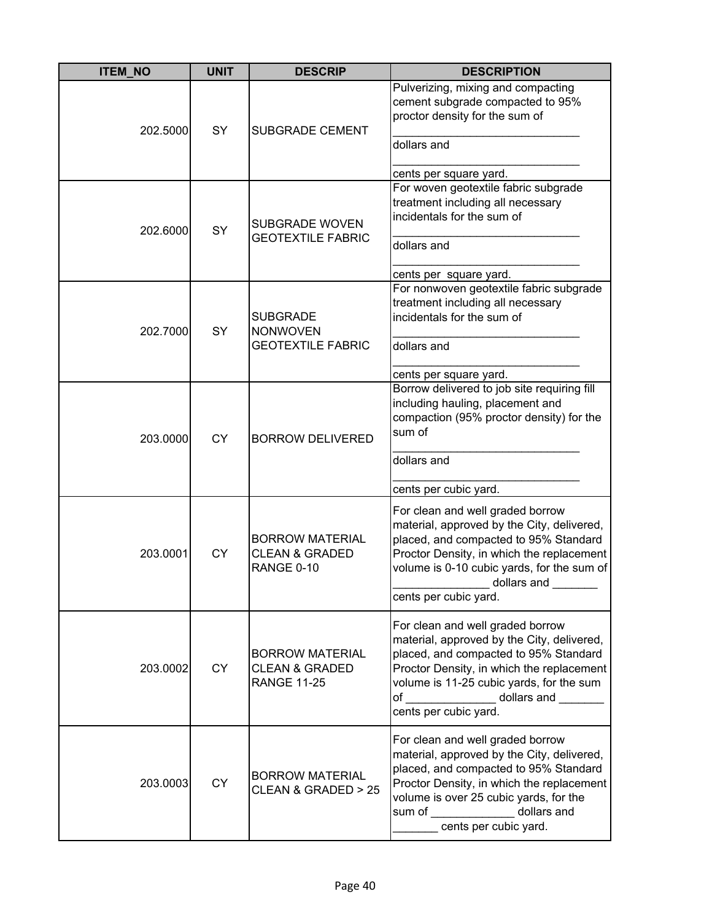| <b>ITEM NO</b> | <b>UNIT</b> | <b>DESCRIP</b>                                                            | <b>DESCRIPTION</b>                                                                                                                                                                                                                                                                 |
|----------------|-------------|---------------------------------------------------------------------------|------------------------------------------------------------------------------------------------------------------------------------------------------------------------------------------------------------------------------------------------------------------------------------|
| 202.5000       | <b>SY</b>   | <b>SUBGRADE CEMENT</b>                                                    | Pulverizing, mixing and compacting<br>cement subgrade compacted to 95%<br>proctor density for the sum of<br>dollars and                                                                                                                                                            |
|                |             |                                                                           |                                                                                                                                                                                                                                                                                    |
| 202.6000       | SY          | SUBGRADE WOVEN                                                            | cents per square yard.<br>For woven geotextile fabric subgrade<br>treatment including all necessary<br>incidentals for the sum of                                                                                                                                                  |
|                |             | <b>GEOTEXTILE FABRIC</b>                                                  | dollars and                                                                                                                                                                                                                                                                        |
|                |             |                                                                           | cents per square yard.                                                                                                                                                                                                                                                             |
| 202.7000       | SY          | <b>SUBGRADE</b><br><b>NONWOVEN</b>                                        | For nonwoven geotextile fabric subgrade<br>treatment including all necessary<br>incidentals for the sum of                                                                                                                                                                         |
|                |             | <b>GEOTEXTILE FABRIC</b>                                                  | dollars and                                                                                                                                                                                                                                                                        |
|                |             |                                                                           | cents per square yard.                                                                                                                                                                                                                                                             |
| 203.0000       | <b>CY</b>   | <b>BORROW DELIVERED</b>                                                   | Borrow delivered to job site requiring fill<br>including hauling, placement and<br>compaction (95% proctor density) for the<br>sum of                                                                                                                                              |
|                |             |                                                                           | dollars and                                                                                                                                                                                                                                                                        |
|                |             |                                                                           | cents per cubic yard.                                                                                                                                                                                                                                                              |
| 203.0001       | <b>CY</b>   | <b>BORROW MATERIAL</b><br><b>CLEAN &amp; GRADED</b><br>RANGE 0-10         | For clean and well graded borrow<br>material, approved by the City, delivered,<br>placed, and compacted to 95% Standard<br>Proctor Density, in which the replacement<br>volume is 0-10 cubic yards, for the sum of<br>_ dollars and<br>cents per cubic yard.                       |
| 203.0002       | <b>CY</b>   | <b>BORROW MATERIAL</b><br><b>CLEAN &amp; GRADED</b><br><b>RANGE 11-25</b> | For clean and well graded borrow<br>material, approved by the City, delivered,<br>placed, and compacted to 95% Standard<br>Proctor Density, in which the replacement<br>volume is 11-25 cubic yards, for the sum<br>of _______________ dollars and ______<br>cents per cubic yard. |
| 203.0003       | <b>CY</b>   | <b>BORROW MATERIAL</b><br>CLEAN & GRADED > 25                             | For clean and well graded borrow<br>material, approved by the City, delivered,<br>placed, and compacted to 95% Standard<br>Proctor Density, in which the replacement<br>volume is over 25 cubic yards, for the<br>sum of ______________ dollars and<br>cents per cubic yard.       |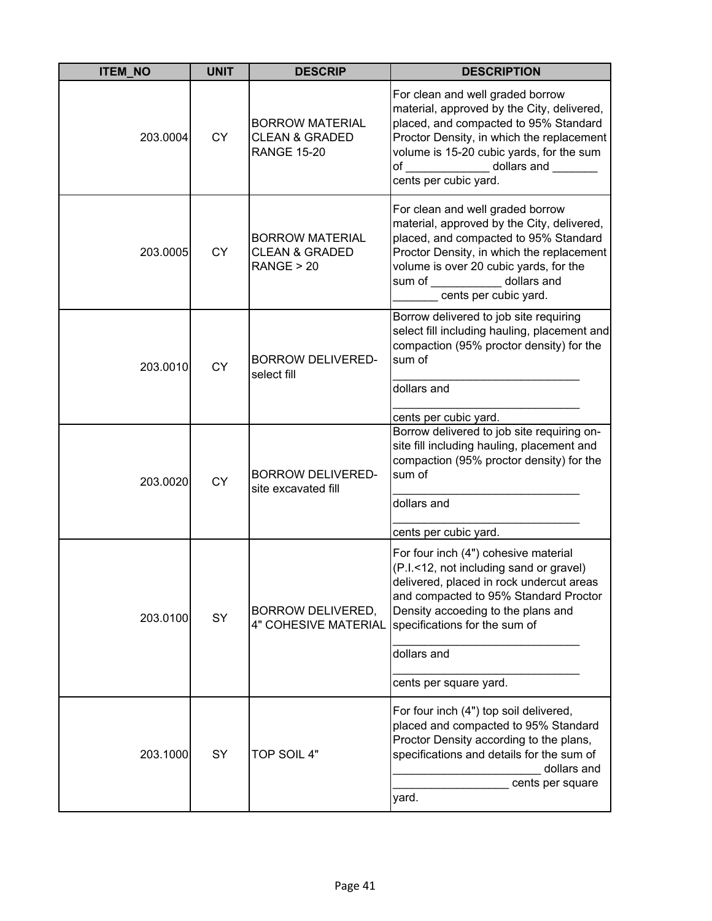| <b>ITEM_NO</b> | <b>UNIT</b> | <b>DESCRIP</b>                                                            | <b>DESCRIPTION</b>                                                                                                                                                                                                                                                                   |
|----------------|-------------|---------------------------------------------------------------------------|--------------------------------------------------------------------------------------------------------------------------------------------------------------------------------------------------------------------------------------------------------------------------------------|
| 203.0004       | <b>CY</b>   | <b>BORROW MATERIAL</b><br><b>CLEAN &amp; GRADED</b><br><b>RANGE 15-20</b> | For clean and well graded borrow<br>material, approved by the City, delivered,<br>placed, and compacted to 95% Standard<br>Proctor Density, in which the replacement<br>volume is 15-20 cubic yards, for the sum<br>of dollars and<br>cents per cubic yard.                          |
| 203.0005       | <b>CY</b>   | <b>BORROW MATERIAL</b><br><b>CLEAN &amp; GRADED</b><br>RANGE > 20         | For clean and well graded borrow<br>material, approved by the City, delivered,<br>placed, and compacted to 95% Standard<br>Proctor Density, in which the replacement<br>volume is over 20 cubic yards, for the<br>dollars and<br>sum of __________<br>cents per cubic yard.          |
| 203.0010       | <b>CY</b>   | <b>BORROW DELIVERED-</b><br>select fill                                   | Borrow delivered to job site requiring<br>select fill including hauling, placement and<br>compaction (95% proctor density) for the<br>sum of<br>dollars and<br>cents per cubic yard.                                                                                                 |
| 203.0020       | <b>CY</b>   | <b>BORROW DELIVERED-</b><br>site excavated fill                           | Borrow delivered to job site requiring on-<br>site fill including hauling, placement and<br>compaction (95% proctor density) for the<br>sum of<br>dollars and<br>cents per cubic yard.                                                                                               |
| 203.0100       | SY          | <b>BORROW DELIVERED,</b><br><b>4" COHESIVE MATERIAL</b>                   | For four inch (4") cohesive material<br>(P.I.<12, not including sand or gravel)<br>delivered, placed in rock undercut areas<br>and compacted to 95% Standard Proctor<br>Density accoeding to the plans and<br>specifications for the sum of<br>dollars and<br>cents per square yard. |
| 203.1000       | SY          | TOP SOIL 4"                                                               | For four inch (4") top soil delivered,<br>placed and compacted to 95% Standard<br>Proctor Density according to the plans,<br>specifications and details for the sum of<br>dollars and<br>cents per square<br>yard.                                                                   |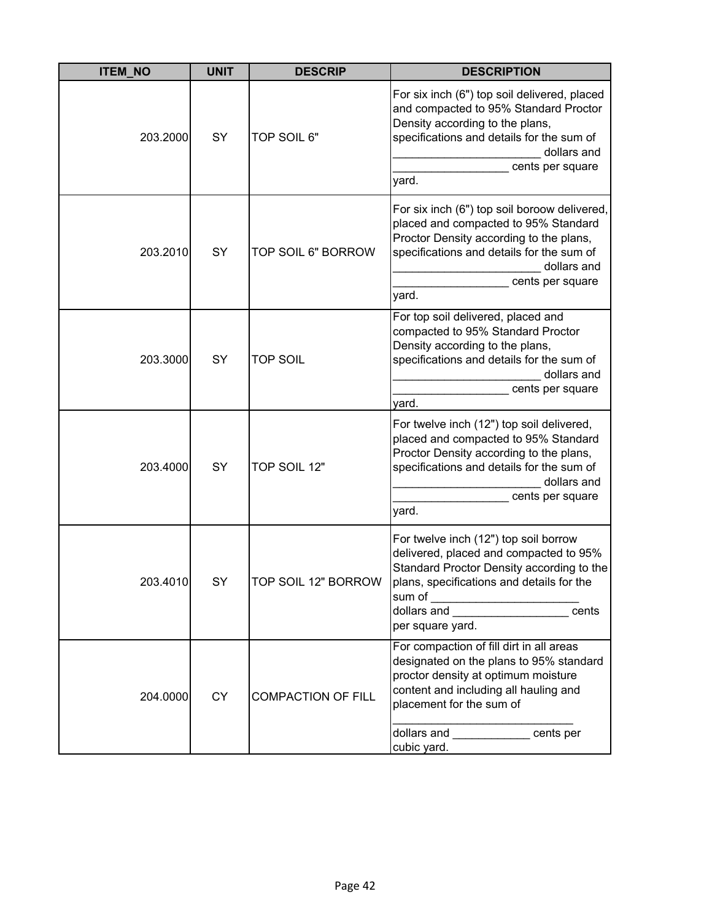| <b>ITEM_NO</b> | <b>UNIT</b> | <b>DESCRIP</b>            | <b>DESCRIPTION</b>                                                                                                                                                                                                                                                                                                                                                                                                                             |
|----------------|-------------|---------------------------|------------------------------------------------------------------------------------------------------------------------------------------------------------------------------------------------------------------------------------------------------------------------------------------------------------------------------------------------------------------------------------------------------------------------------------------------|
| 203.2000       | SY          | TOP SOIL 6"               | For six inch (6") top soil delivered, placed<br>and compacted to 95% Standard Proctor<br>Density according to the plans,<br>specifications and details for the sum of<br>dollars and<br>cents per square<br>yard.                                                                                                                                                                                                                              |
| 203.2010       | SY          | TOP SOIL 6" BORROW        | For six inch (6") top soil boroow delivered,<br>placed and compacted to 95% Standard<br>Proctor Density according to the plans,<br>specifications and details for the sum of<br>dollars and<br>cents per square<br>yard.                                                                                                                                                                                                                       |
| 203.3000       | SY          | <b>TOP SOIL</b>           | For top soil delivered, placed and<br>compacted to 95% Standard Proctor<br>Density according to the plans,<br>specifications and details for the sum of<br>dollars and<br>cents per square<br>yard.                                                                                                                                                                                                                                            |
| 203.4000       | SY          | TOP SOIL 12"              | For twelve inch (12") top soil delivered,<br>placed and compacted to 95% Standard<br>Proctor Density according to the plans,<br>specifications and details for the sum of<br>dollars and<br>cents per square<br>yard.                                                                                                                                                                                                                          |
| 203.4010       | SY          | TOP SOIL 12" BORROW       | For twelve inch (12") top soil borrow<br>delivered, placed and compacted to 95%<br>Standard Proctor Density according to the<br>plans, specifications and details for the<br>dollars and <b>with the contract of the contract of the contract of the contract of the contract of the contract of the contract of the contract of the contract of the contract of the contract of the contract of the contract</b><br>cents<br>per square yard. |
| 204.0000       | <b>CY</b>   | <b>COMPACTION OF FILL</b> | For compaction of fill dirt in all areas<br>designated on the plans to 95% standard<br>proctor density at optimum moisture<br>content and including all hauling and<br>placement for the sum of<br>dollars and _____________ cents per<br>cubic yard.                                                                                                                                                                                          |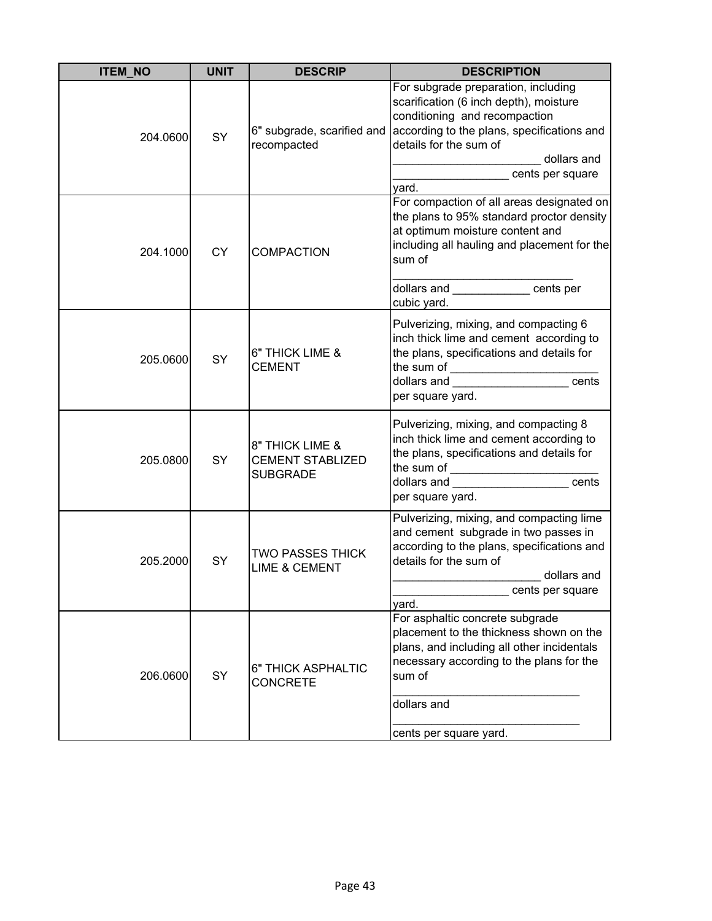| <b>ITEM_NO</b> | <b>UNIT</b> | <b>DESCRIP</b>                                                | <b>DESCRIPTION</b>                                                                                                                                                                                                                                                                                                                                                                                               |
|----------------|-------------|---------------------------------------------------------------|------------------------------------------------------------------------------------------------------------------------------------------------------------------------------------------------------------------------------------------------------------------------------------------------------------------------------------------------------------------------------------------------------------------|
| 204.0600       | SY          | 6" subgrade, scarified and<br>recompacted                     | For subgrade preparation, including<br>scarification (6 inch depth), moisture<br>conditioning and recompaction<br>according to the plans, specifications and<br>details for the sum of<br>dollars and<br>cents per square<br>yard.                                                                                                                                                                               |
| 204.1000       | <b>CY</b>   | <b>COMPACTION</b>                                             | For compaction of all areas designated on<br>the plans to 95% standard proctor density<br>at optimum moisture content and<br>including all hauling and placement for the<br>sum of<br>dollars and cents per<br>cubic yard.                                                                                                                                                                                       |
| 205.0600       | SY          | 6" THICK LIME &<br>CEMENT                                     | Pulverizing, mixing, and compacting 6<br>inch thick lime and cement according to<br>the plans, specifications and details for<br>the sum of __________________________<br>dollars and ______________________cents<br>per square yard.                                                                                                                                                                            |
| 205.0800       | SY          | 8" THICK LIME &<br><b>CEMENT STABLIZED</b><br><b>SUBGRADE</b> | Pulverizing, mixing, and compacting 8<br>inch thick lime and cement according to<br>the plans, specifications and details for<br>the sum of<br>cents<br>dollars and <b>contract the contract of the set of the contract of the contract of the contract of the contract of the contract of the contract of the contract of the contract of the contract of the contract of the contract </b><br>per square yard. |
| 205.2000       | SY          | <b>TWO PASSES THICK</b><br><b>LIME &amp; CEMENT</b>           | Pulverizing, mixing, and compacting lime<br>and cement subgrade in two passes in<br>according to the plans, specifications and<br>details for the sum of<br>dollars and<br>cents per square<br>yard.                                                                                                                                                                                                             |
| 206.0600       | SY          | 6" THICK ASPHALTIC<br><b>CONCRETE</b>                         | For asphaltic concrete subgrade<br>placement to the thickness shown on the<br>plans, and including all other incidentals<br>necessary according to the plans for the<br>sum of<br>dollars and<br>cents per square yard.                                                                                                                                                                                          |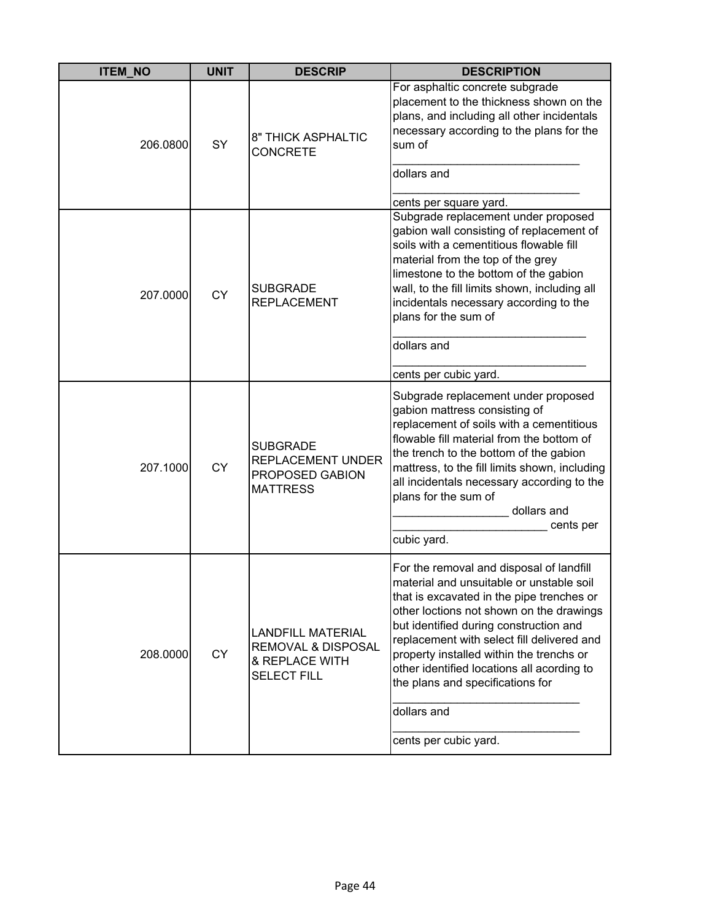| <b>ITEM_NO</b> | <b>UNIT</b> | <b>DESCRIP</b>                                                                                    | <b>DESCRIPTION</b>                                                                                                                                                                                                                                                                                                                                                                                                                          |
|----------------|-------------|---------------------------------------------------------------------------------------------------|---------------------------------------------------------------------------------------------------------------------------------------------------------------------------------------------------------------------------------------------------------------------------------------------------------------------------------------------------------------------------------------------------------------------------------------------|
| 206.0800       | SY          | 8" THICK ASPHALTIC<br><b>CONCRETE</b>                                                             | For asphaltic concrete subgrade<br>placement to the thickness shown on the<br>plans, and including all other incidentals<br>necessary according to the plans for the<br>sum of<br>dollars and<br>cents per square yard.                                                                                                                                                                                                                     |
| 207.0000       | <b>CY</b>   | <b>SUBGRADE</b><br><b>REPLACEMENT</b>                                                             | Subgrade replacement under proposed<br>gabion wall consisting of replacement of<br>soils with a cementitious flowable fill<br>material from the top of the grey<br>limestone to the bottom of the gabion<br>wall, to the fill limits shown, including all<br>incidentals necessary according to the<br>plans for the sum of<br>dollars and<br>cents per cubic yard.                                                                         |
| 207.1000       | <b>CY</b>   | <b>SUBGRADE</b><br><b>REPLACEMENT UNDER</b><br>PROPOSED GABION<br><b>MATTRESS</b>                 | Subgrade replacement under proposed<br>gabion mattress consisting of<br>replacement of soils with a cementitious<br>flowable fill material from the bottom of<br>the trench to the bottom of the gabion<br>mattress, to the fill limits shown, including<br>all incidentals necessary according to the<br>plans for the sum of<br>dollars and<br>cents per<br>cubic yard.                                                                   |
| 208.0000       | <b>CY</b>   | <b>LANDFILL MATERIAL</b><br><b>REMOVAL &amp; DISPOSAL</b><br>& REPLACE WITH<br><b>SELECT FILL</b> | For the removal and disposal of landfill<br>material and unsuitable or unstable soil<br>that is excavated in the pipe trenches or<br>other loctions not shown on the drawings<br>but identified during construction and<br>replacement with select fill delivered and<br>property installed within the trenchs or<br>other identified locations all acording to<br>the plans and specifications for<br>dollars and<br>cents per cubic yard. |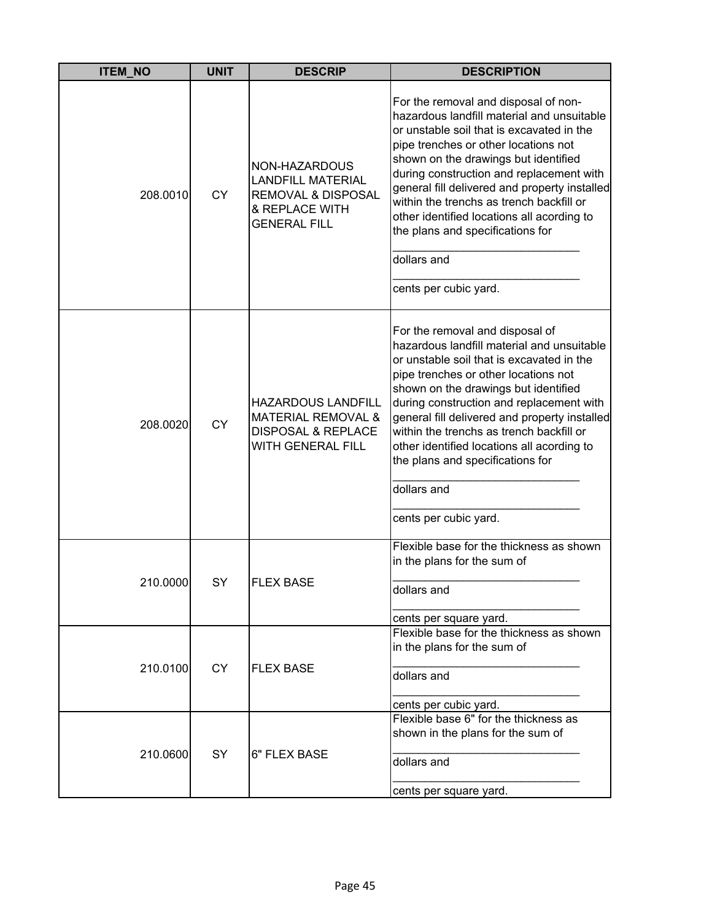| <b>ITEM_NO</b> | <b>UNIT</b> | <b>DESCRIP</b>                                                                                                      | <b>DESCRIPTION</b>                                                                                                                                                                                                                                                                                                                                                                                                                                                                 |
|----------------|-------------|---------------------------------------------------------------------------------------------------------------------|------------------------------------------------------------------------------------------------------------------------------------------------------------------------------------------------------------------------------------------------------------------------------------------------------------------------------------------------------------------------------------------------------------------------------------------------------------------------------------|
| 208.0010       | <b>CY</b>   | NON-HAZARDOUS<br><b>LANDFILL MATERIAL</b><br><b>REMOVAL &amp; DISPOSAL</b><br>& REPLACE WITH<br><b>GENERAL FILL</b> | For the removal and disposal of non-<br>hazardous landfill material and unsuitable<br>or unstable soil that is excavated in the<br>pipe trenches or other locations not<br>shown on the drawings but identified<br>during construction and replacement with<br>general fill delivered and property installed<br>within the trenchs as trench backfill or<br>other identified locations all acording to<br>the plans and specifications for<br>dollars and<br>cents per cubic yard. |
| 208.0020       | <b>CY</b>   | <b>HAZARDOUS LANDFILL</b><br><b>MATERIAL REMOVAL &amp;</b><br><b>DISPOSAL &amp; REPLACE</b><br>WITH GENERAL FILL    | For the removal and disposal of<br>hazardous landfill material and unsuitable<br>or unstable soil that is excavated in the<br>pipe trenches or other locations not<br>shown on the drawings but identified<br>during construction and replacement with<br>general fill delivered and property installed<br>within the trenchs as trench backfill or<br>other identified locations all acording to<br>the plans and specifications for<br>dollars and<br>cents per cubic yard.      |
| 210.0000       | SY          | <b>FLEX BASE</b>                                                                                                    | Flexible base for the thickness as shown<br>in the plans for the sum of<br>dollars and<br>cents per square yard.                                                                                                                                                                                                                                                                                                                                                                   |
| 210.0100       | <b>CY</b>   | <b>FLEX BASE</b>                                                                                                    | Flexible base for the thickness as shown<br>in the plans for the sum of<br>dollars and<br>cents per cubic yard.                                                                                                                                                                                                                                                                                                                                                                    |
| 210.0600       | SY          | 6" FLEX BASE                                                                                                        | Flexible base 6" for the thickness as<br>shown in the plans for the sum of<br>dollars and<br>cents per square yard.                                                                                                                                                                                                                                                                                                                                                                |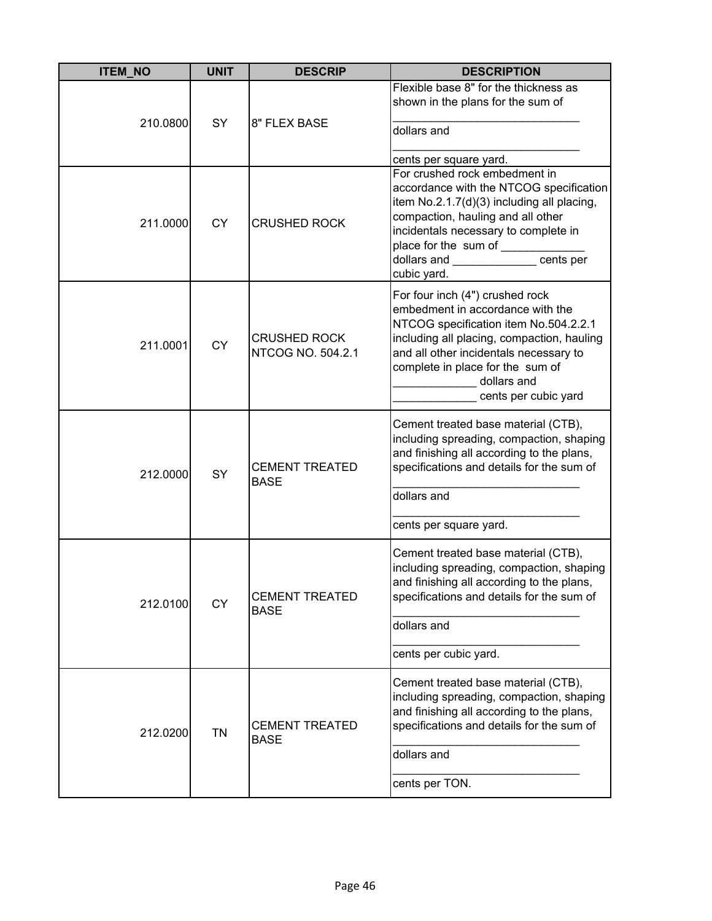| <b>ITEM NO</b> | <b>UNIT</b> | <b>DESCRIP</b>                           | <b>DESCRIPTION</b>                                                                                                                                                                                                                                                                                         |
|----------------|-------------|------------------------------------------|------------------------------------------------------------------------------------------------------------------------------------------------------------------------------------------------------------------------------------------------------------------------------------------------------------|
| 210.0800       | <b>SY</b>   | 8" FLEX BASE                             | Flexible base 8" for the thickness as<br>shown in the plans for the sum of<br>dollars and                                                                                                                                                                                                                  |
| 211.0000       | <b>CY</b>   | <b>CRUSHED ROCK</b>                      | cents per square yard.<br>For crushed rock embedment in<br>accordance with the NTCOG specification<br>item No.2.1.7(d)(3) including all placing,<br>compaction, hauling and all other<br>incidentals necessary to complete in<br>place for the sum of<br>dollars and ____________ cents per<br>cubic yard. |
| 211.0001       | <b>CY</b>   | <b>CRUSHED ROCK</b><br>NTCOG NO. 504.2.1 | For four inch (4") crushed rock<br>embedment in accordance with the<br>NTCOG specification item No.504.2.2.1<br>including all placing, compaction, hauling<br>and all other incidentals necessary to<br>complete in place for the sum of<br>dollars and<br>cents per cubic yard                            |
| 212.0000       | SY          | <b>CEMENT TREATED</b><br><b>BASE</b>     | Cement treated base material (CTB),<br>including spreading, compaction, shaping<br>and finishing all according to the plans,<br>specifications and details for the sum of<br>dollars and<br>cents per square yard.                                                                                         |
| 212.0100       | <b>CY</b>   | <b>CEMENT TREATED</b><br><b>BASE</b>     | Cement treated base material (CTB),<br>including spreading, compaction, shaping<br>and finishing all according to the plans,<br>specifications and details for the sum of<br>dollars and<br>cents per cubic yard.                                                                                          |
| 212.0200       | TN          | <b>CEMENT TREATED</b><br><b>BASE</b>     | Cement treated base material (CTB),<br>including spreading, compaction, shaping<br>and finishing all according to the plans,<br>specifications and details for the sum of<br>dollars and<br>cents per TON.                                                                                                 |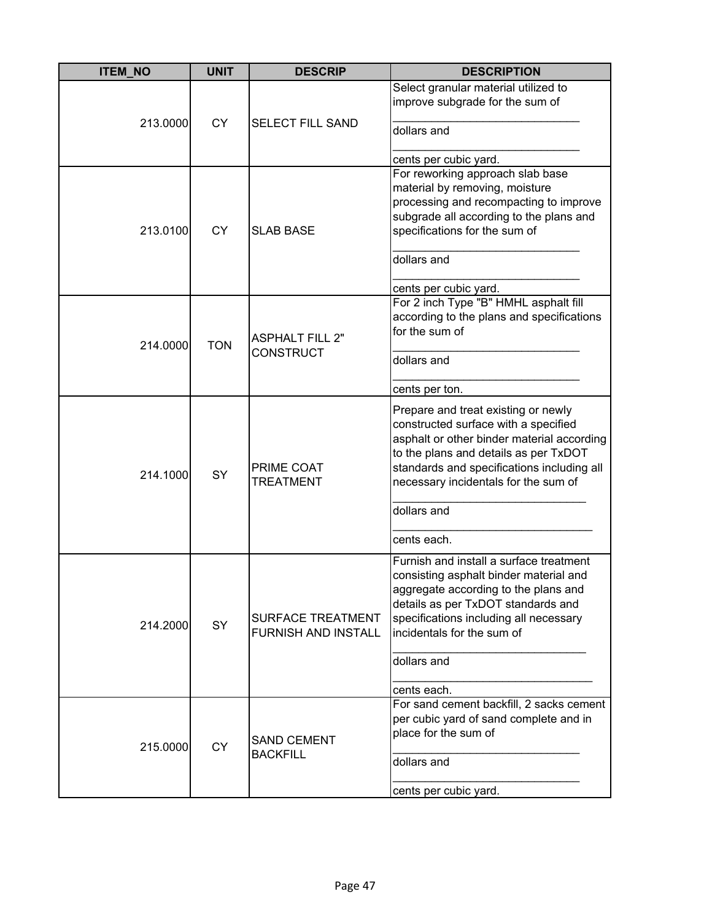| <b>ITEM_NO</b> | <b>UNIT</b> | <b>DESCRIP</b>             | <b>DESCRIPTION</b>                                                                  |
|----------------|-------------|----------------------------|-------------------------------------------------------------------------------------|
|                |             |                            | Select granular material utilized to                                                |
|                |             |                            | improve subgrade for the sum of                                                     |
| 213.0000       | <b>CY</b>   | <b>SELECT FILL SAND</b>    |                                                                                     |
|                |             |                            | dollars and                                                                         |
|                |             |                            | cents per cubic yard.                                                               |
|                |             |                            | For reworking approach slab base                                                    |
|                |             |                            | material by removing, moisture                                                      |
|                |             |                            | processing and recompacting to improve                                              |
|                |             |                            | subgrade all according to the plans and                                             |
| 213.0100       | <b>CY</b>   | <b>SLAB BASE</b>           | specifications for the sum of                                                       |
|                |             |                            |                                                                                     |
|                |             |                            | dollars and                                                                         |
|                |             |                            | cents per cubic yard.                                                               |
|                |             |                            | For 2 inch Type "B" HMHL asphalt fill                                               |
|                |             |                            | according to the plans and specifications                                           |
|                |             | <b>ASPHALT FILL 2"</b>     | for the sum of                                                                      |
| 214.0000       | <b>TON</b>  | <b>CONSTRUCT</b>           |                                                                                     |
|                |             |                            | dollars and                                                                         |
|                |             |                            |                                                                                     |
|                |             |                            | cents per ton.                                                                      |
|                |             |                            | Prepare and treat existing or newly                                                 |
|                |             | PRIME COAT                 | constructed surface with a specified                                                |
|                |             |                            | asphalt or other binder material according<br>to the plans and details as per TxDOT |
|                |             |                            | standards and specifications including all                                          |
| 214.1000       | SY          | <b>TREATMENT</b>           | necessary incidentals for the sum of                                                |
|                |             |                            |                                                                                     |
|                |             |                            | dollars and                                                                         |
|                |             |                            | cents each.                                                                         |
|                |             |                            | Furnish and install a surface treatment                                             |
|                |             |                            | consisting asphalt binder material and                                              |
|                |             |                            | aggregate according to the plans and                                                |
|                |             |                            | details as per TxDOT standards and                                                  |
| 214.2000       | SY          | <b>SURFACE TREATMENT</b>   | specifications including all necessary                                              |
|                |             | <b>FURNISH AND INSTALL</b> | incidentals for the sum of                                                          |
|                |             |                            | dollars and                                                                         |
|                |             |                            |                                                                                     |
|                |             |                            | cents each.                                                                         |
|                |             |                            | For sand cement backfill, 2 sacks cement                                            |
|                |             |                            | per cubic yard of sand complete and in                                              |
|                |             | <b>SAND CEMENT</b>         | place for the sum of                                                                |
| 215.0000       | <b>CY</b>   | <b>BACKFILL</b>            | dollars and                                                                         |
|                |             |                            |                                                                                     |
|                |             |                            | cents per cubic yard.                                                               |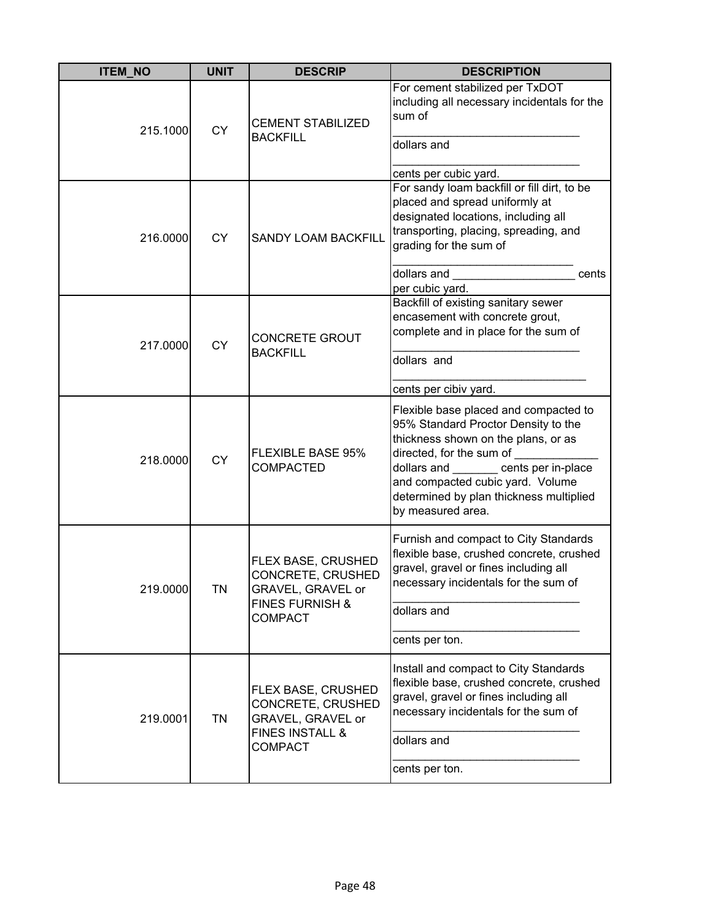| <b>ITEM_NO</b> | <b>UNIT</b> | <b>DESCRIP</b>                                                                                                      | <b>DESCRIPTION</b>                                                                                                                                                                                                                                                                    |
|----------------|-------------|---------------------------------------------------------------------------------------------------------------------|---------------------------------------------------------------------------------------------------------------------------------------------------------------------------------------------------------------------------------------------------------------------------------------|
| 215.1000       | <b>CY</b>   | <b>CEMENT STABILIZED</b><br><b>BACKFILL</b>                                                                         | For cement stabilized per TxDOT<br>including all necessary incidentals for the<br>sum of<br>dollars and<br>cents per cubic yard.                                                                                                                                                      |
| 216.0000       | <b>CY</b>   | <b>SANDY LOAM BACKFILL</b>                                                                                          | For sandy loam backfill or fill dirt, to be<br>placed and spread uniformly at<br>designated locations, including all<br>transporting, placing, spreading, and<br>grading for the sum of<br>dollars and<br>cents<br>per cubic yard.                                                    |
| 217.0000       | <b>CY</b>   | <b>CONCRETE GROUT</b><br><b>BACKFILL</b>                                                                            | Backfill of existing sanitary sewer<br>encasement with concrete grout,<br>complete and in place for the sum of<br>dollars and<br>cents per cibiv yard.                                                                                                                                |
| 218.0000       | <b>CY</b>   | <b>FLEXIBLE BASE 95%</b><br><b>COMPACTED</b>                                                                        | Flexible base placed and compacted to<br>95% Standard Proctor Density to the<br>thickness shown on the plans, or as<br>directed, for the sum of<br>dollars and cents per in-place<br>and compacted cubic yard. Volume<br>determined by plan thickness multiplied<br>by measured area. |
| 219.0000       | <b>TN</b>   | FLEX BASE, CRUSHED<br>CONCRETE, CRUSHED<br><b>GRAVEL, GRAVEL or</b><br><b>FINES FURNISH &amp;</b><br><b>COMPACT</b> | Furnish and compact to City Standards<br>flexible base, crushed concrete, crushed<br>gravel, gravel or fines including all<br>necessary incidentals for the sum of<br>dollars and<br>cents per ton.                                                                                   |
| 219.0001       | <b>TN</b>   | FLEX BASE, CRUSHED<br>CONCRETE, CRUSHED<br>GRAVEL, GRAVEL or<br><b>FINES INSTALL &amp;</b><br><b>COMPACT</b>        | Install and compact to City Standards<br>flexible base, crushed concrete, crushed<br>gravel, gravel or fines including all<br>necessary incidentals for the sum of<br>dollars and<br>cents per ton.                                                                                   |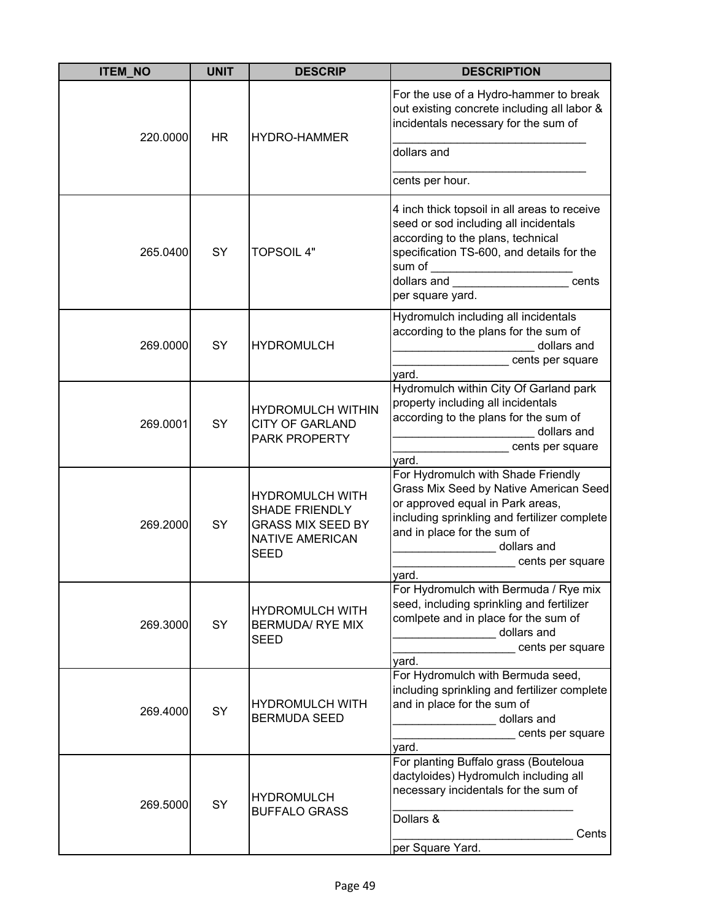| <b>ITEM NO</b>        | <b>UNIT</b>         | <b>DESCRIP</b>                                                                                                                               | <b>DESCRIPTION</b>                                                                                                                                                                                                                          |
|-----------------------|---------------------|----------------------------------------------------------------------------------------------------------------------------------------------|---------------------------------------------------------------------------------------------------------------------------------------------------------------------------------------------------------------------------------------------|
| <b>HR</b><br>220.0000 | <b>HYDRO-HAMMER</b> | For the use of a Hydro-hammer to break<br>out existing concrete including all labor &<br>incidentals necessary for the sum of<br>dollars and |                                                                                                                                                                                                                                             |
|                       |                     |                                                                                                                                              | cents per hour.                                                                                                                                                                                                                             |
| 265.0400              | SY                  | <b>TOPSOIL 4"</b>                                                                                                                            | 4 inch thick topsoil in all areas to receive<br>seed or sod including all incidentals<br>according to the plans, technical<br>specification TS-600, and details for the<br>sum of<br>dollars and<br>cents<br>per square yard.               |
| 269.0000              | SY                  | <b>HYDROMULCH</b>                                                                                                                            | Hydromulch including all incidentals<br>according to the plans for the sum of<br>dollars and<br>cents per square<br>yard.                                                                                                                   |
| 269.0001              | SY                  | <b>HYDROMULCH WITHIN</b><br><b>CITY OF GARLAND</b><br>PARK PROPERTY                                                                          | Hydromulch within City Of Garland park<br>property including all incidentals<br>according to the plans for the sum of<br>dollars and<br>cents per square<br>yard.                                                                           |
| 269.2000              | SY                  | <b>HYDROMULCH WITH</b><br><b>SHADE FRIENDLY</b><br><b>GRASS MIX SEED BY</b><br><b>NATIVE AMERICAN</b><br><b>SEED</b>                         | For Hydromulch with Shade Friendly<br>Grass Mix Seed by Native American Seed<br>or approved equal in Park areas,<br>including sprinkling and fertilizer complete<br>and in place for the sum of<br>dollars and<br>cents per square<br>yard. |
| 269.3000              | SY                  | <b>HYDROMULCH WITH</b><br><b>BERMUDA/ RYE MIX</b><br><b>SEED</b>                                                                             | For Hydromulch with Bermuda / Rye mix<br>seed, including sprinkling and fertilizer<br>comlpete and in place for the sum of<br>dollars and<br>cents per square<br>yard.                                                                      |
| 269.4000              | SY                  | <b>HYDROMULCH WITH</b><br><b>BERMUDA SEED</b>                                                                                                | For Hydromulch with Bermuda seed,<br>including sprinkling and fertilizer complete<br>and in place for the sum of<br>dollars and<br>cents per square<br>yard.                                                                                |
| 269.5000              | SY                  | <b>HYDROMULCH</b><br><b>BUFFALO GRASS</b>                                                                                                    | For planting Buffalo grass (Bouteloua<br>dactyloides) Hydromulch including all<br>necessary incidentals for the sum of<br>Dollars &<br>Cents<br>per Square Yard.                                                                            |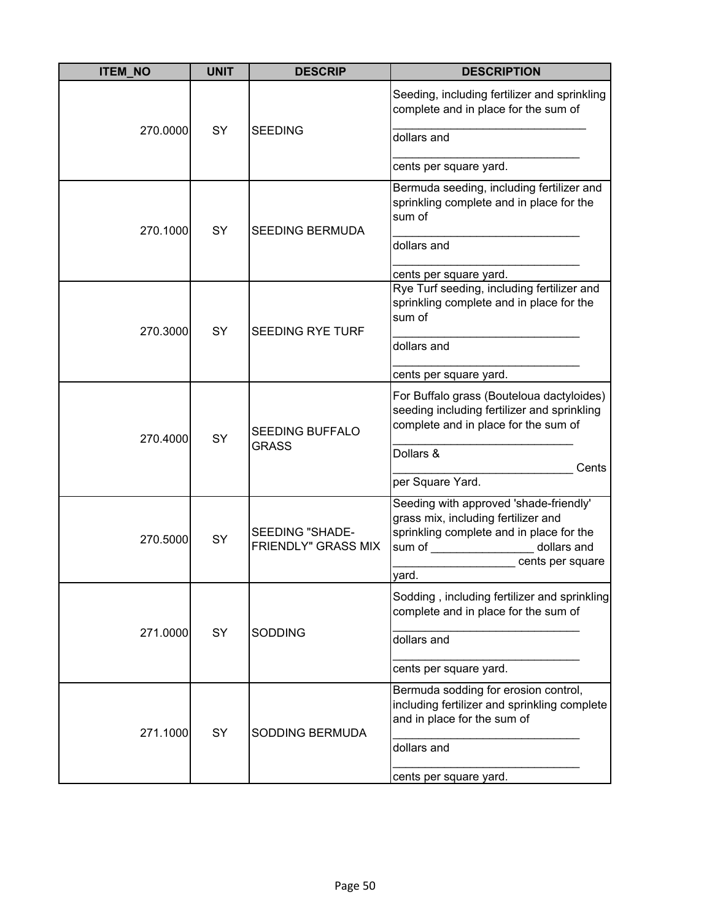| <b>ITEM_NO</b> | <b>UNIT</b> | <b>DESCRIP</b>                                | <b>DESCRIPTION</b>                                                                                                                                                                                                                                                                                                                                                                                      |
|----------------|-------------|-----------------------------------------------|---------------------------------------------------------------------------------------------------------------------------------------------------------------------------------------------------------------------------------------------------------------------------------------------------------------------------------------------------------------------------------------------------------|
|                |             |                                               | Seeding, including fertilizer and sprinkling<br>complete and in place for the sum of                                                                                                                                                                                                                                                                                                                    |
| 270.0000       | <b>SY</b>   | <b>SEEDING</b>                                | dollars and                                                                                                                                                                                                                                                                                                                                                                                             |
|                |             |                                               | cents per square yard.                                                                                                                                                                                                                                                                                                                                                                                  |
| 270.1000       | SY          | <b>SEEDING BERMUDA</b>                        | Bermuda seeding, including fertilizer and<br>sprinkling complete and in place for the<br>sum of                                                                                                                                                                                                                                                                                                         |
|                |             |                                               | dollars and                                                                                                                                                                                                                                                                                                                                                                                             |
|                |             |                                               | cents per square yard.                                                                                                                                                                                                                                                                                                                                                                                  |
| 270.3000       | SY          | <b>SEEDING RYE TURF</b>                       | Rye Turf seeding, including fertilizer and<br>sprinkling complete and in place for the<br>sum of                                                                                                                                                                                                                                                                                                        |
|                |             |                                               | dollars and                                                                                                                                                                                                                                                                                                                                                                                             |
|                |             |                                               | cents per square yard.                                                                                                                                                                                                                                                                                                                                                                                  |
| 270.4000       | <b>SY</b>   | <b>SEEDING BUFFALO</b><br><b>GRASS</b>        | For Buffalo grass (Bouteloua dactyloides)<br>seeding including fertilizer and sprinkling<br>complete and in place for the sum of                                                                                                                                                                                                                                                                        |
|                |             |                                               | Dollars &                                                                                                                                                                                                                                                                                                                                                                                               |
|                |             |                                               | Cents<br>per Square Yard.                                                                                                                                                                                                                                                                                                                                                                               |
| 270.5000       | SY          | SEEDING "SHADE-<br><b>FRIENDLY" GRASS MIX</b> | Seeding with approved 'shade-friendly'<br>grass mix, including fertilizer and<br>sprinkling complete and in place for the<br>sum of the contract of the contract of the contract of the contract of the contract of the contract of the contract of the contract of the contract of the contract of the contract of the contract of the contract of the con<br>dollars and<br>cents per square<br>yard. |
|                |             |                                               | Sodding, including fertilizer and sprinkling                                                                                                                                                                                                                                                                                                                                                            |
|                |             |                                               | complete and in place for the sum of                                                                                                                                                                                                                                                                                                                                                                    |
| 271.0000       | <b>SY</b>   | <b>SODDING</b>                                | dollars and                                                                                                                                                                                                                                                                                                                                                                                             |
|                |             |                                               | cents per square yard.                                                                                                                                                                                                                                                                                                                                                                                  |
| 271.1000       | SY          | SODDING BERMUDA                               | Bermuda sodding for erosion control,<br>including fertilizer and sprinkling complete<br>and in place for the sum of                                                                                                                                                                                                                                                                                     |
|                |             |                                               | dollars and                                                                                                                                                                                                                                                                                                                                                                                             |
|                |             |                                               | cents per square yard.                                                                                                                                                                                                                                                                                                                                                                                  |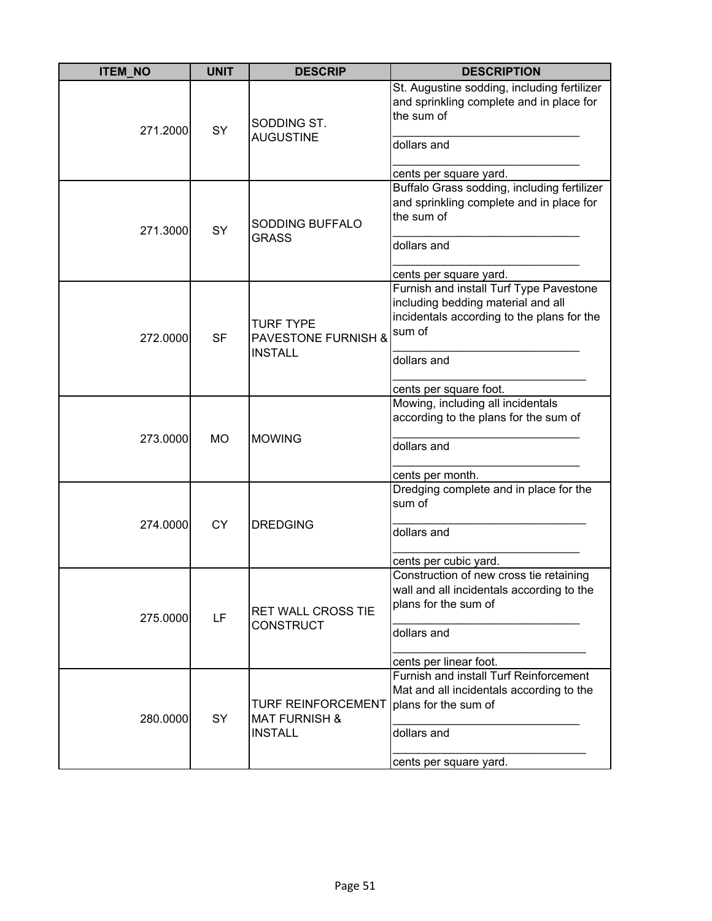| <b>ITEM NO</b> | <b>UNIT</b> | <b>DESCRIP</b>                                                          | <b>DESCRIPTION</b>                                                                                                                                                             |
|----------------|-------------|-------------------------------------------------------------------------|--------------------------------------------------------------------------------------------------------------------------------------------------------------------------------|
| 271.2000       | SY          | SODDING ST.<br><b>AUGUSTINE</b>                                         | St. Augustine sodding, including fertilizer<br>and sprinkling complete and in place for<br>the sum of<br>dollars and<br>cents per square yard.                                 |
| 271.3000       | SY          | SODDING BUFFALO<br><b>GRASS</b>                                         | Buffalo Grass sodding, including fertilizer<br>and sprinkling complete and in place for<br>the sum of<br>dollars and<br>cents per square yard.                                 |
| 272.0000       | <b>SF</b>   | <b>TURF TYPE</b><br><b>PAVESTONE FURNISH &amp;</b><br><b>INSTALL</b>    | Furnish and install Turf Type Pavestone<br>including bedding material and all<br>incidentals according to the plans for the<br>sum of<br>dollars and<br>cents per square foot. |
| 273.0000       | <b>MO</b>   | <b>MOWING</b>                                                           | Mowing, including all incidentals<br>according to the plans for the sum of<br>dollars and<br>cents per month.                                                                  |
| 274.0000       | <b>CY</b>   | <b>DREDGING</b>                                                         | Dredging complete and in place for the<br>sum of<br>dollars and<br>cents per cubic yard.                                                                                       |
| 275.0000       | LF          | <b>RET WALL CROSS TIE</b><br><b>CONSTRUCT</b>                           | Construction of new cross tie retaining<br>wall and all incidentals according to the<br>plans for the sum of<br>dollars and<br>cents per linear foot.                          |
| 280.0000       | SY          | <b>TURF REINFORCEMENT</b><br><b>MAT FURNISH &amp;</b><br><b>INSTALL</b> | Furnish and install Turf Reinforcement<br>Mat and all incidentals according to the<br>plans for the sum of<br>dollars and<br>cents per square yard.                            |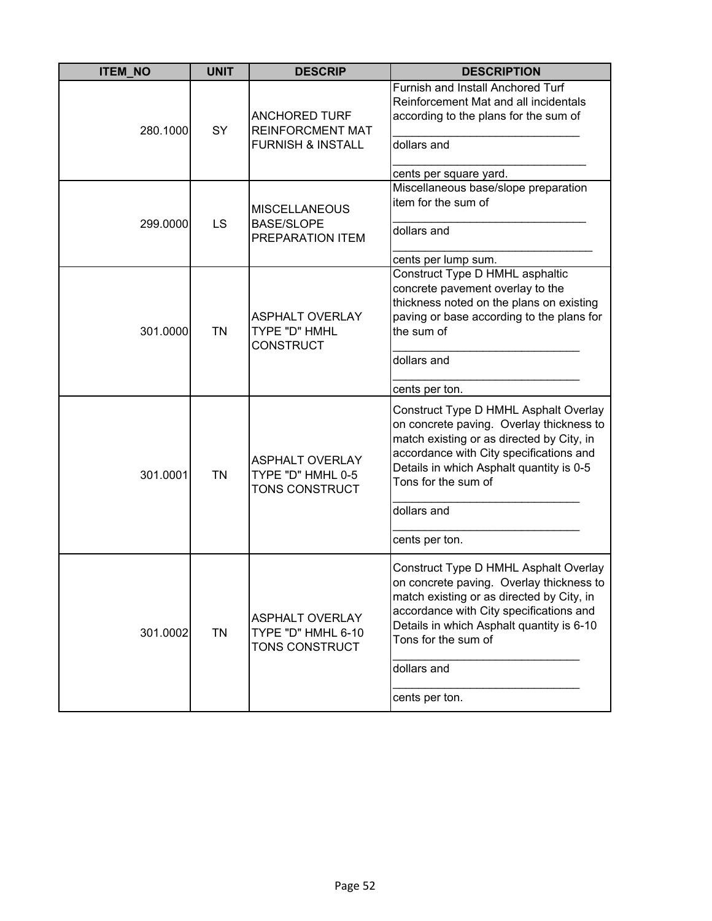| <b>ITEM_NO</b> | <b>UNIT</b> | <b>DESCRIP</b>                                                                  | <b>DESCRIPTION</b>                                                                                                                                                                                                                                                             |
|----------------|-------------|---------------------------------------------------------------------------------|--------------------------------------------------------------------------------------------------------------------------------------------------------------------------------------------------------------------------------------------------------------------------------|
| 280.1000       | <b>SY</b>   | <b>ANCHORED TURF</b><br><b>REINFORCMENT MAT</b><br><b>FURNISH &amp; INSTALL</b> | Furnish and Install Anchored Turf<br>Reinforcement Mat and all incidentals<br>according to the plans for the sum of<br>dollars and                                                                                                                                             |
| 299.0000       | LS          | <b>MISCELLANEOUS</b><br><b>BASE/SLOPE</b><br>PREPARATION ITEM                   | cents per square yard.<br>Miscellaneous base/slope preparation<br>item for the sum of<br>dollars and<br>cents per lump sum.                                                                                                                                                    |
| 301.0000       | <b>TN</b>   | <b>ASPHALT OVERLAY</b><br>TYPE "D" HMHL<br><b>CONSTRUCT</b>                     | Construct Type D HMHL asphaltic<br>concrete pavement overlay to the<br>thickness noted on the plans on existing<br>paving or base according to the plans for<br>the sum of<br>dollars and<br>cents per ton.                                                                    |
| 301.0001       | <b>TN</b>   | <b>ASPHALT OVERLAY</b><br>TYPE "D" HMHL 0-5<br>TONS CONSTRUCT                   | Construct Type D HMHL Asphalt Overlay<br>on concrete paving. Overlay thickness to<br>match existing or as directed by City, in<br>accordance with City specifications and<br>Details in which Asphalt quantity is 0-5<br>Tons for the sum of<br>dollars and<br>cents per ton.  |
| 301.0002       | <b>TN</b>   | <b>ASPHALT OVERLAY</b><br>TYPE "D" HMHL 6-10<br>TONS CONSTRUCT                  | Construct Type D HMHL Asphalt Overlay<br>on concrete paving. Overlay thickness to<br>match existing or as directed by City, in<br>accordance with City specifications and<br>Details in which Asphalt quantity is 6-10<br>Tons for the sum of<br>dollars and<br>cents per ton. |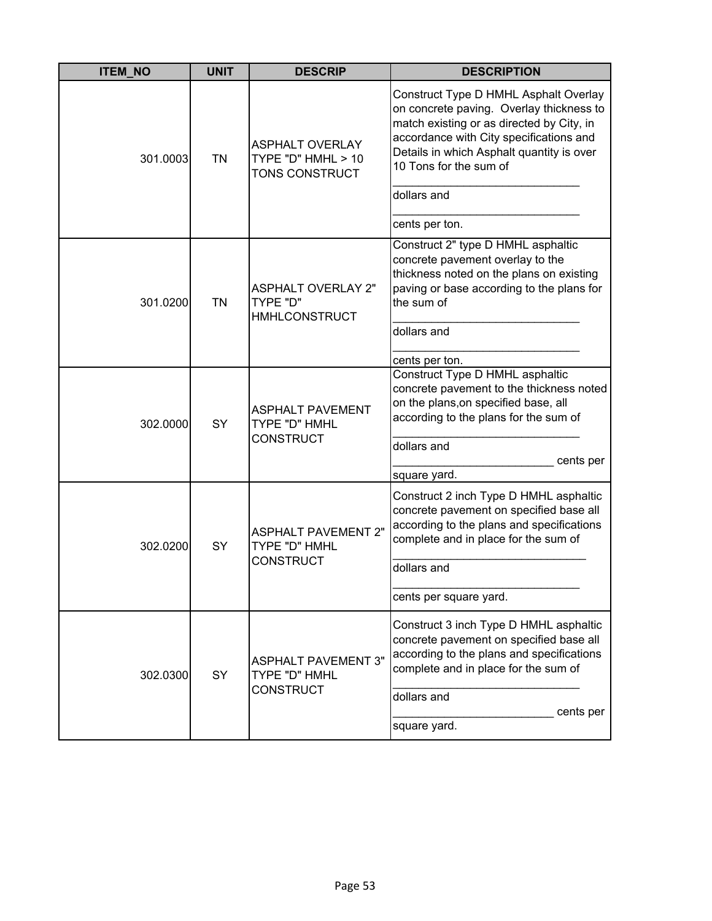| <b>ITEM NO</b> | <b>UNIT</b> | <b>DESCRIP</b>                                                  | <b>DESCRIPTION</b>                                                                                                                                                                                                                                              |
|----------------|-------------|-----------------------------------------------------------------|-----------------------------------------------------------------------------------------------------------------------------------------------------------------------------------------------------------------------------------------------------------------|
| 301.0003       | <b>TN</b>   | <b>ASPHALT OVERLAY</b><br>TYPE "D" HMHL > 10<br>TONS CONSTRUCT  | Construct Type D HMHL Asphalt Overlay<br>on concrete paving. Overlay thickness to<br>match existing or as directed by City, in<br>accordance with City specifications and<br>Details in which Asphalt quantity is over<br>10 Tons for the sum of<br>dollars and |
|                |             |                                                                 | cents per ton.                                                                                                                                                                                                                                                  |
| 301.0200       | <b>TN</b>   | <b>ASPHALT OVERLAY 2"</b><br>TYPE "D"<br><b>HMHLCONSTRUCT</b>   | Construct 2" type D HMHL asphaltic<br>concrete pavement overlay to the<br>thickness noted on the plans on existing<br>paving or base according to the plans for<br>the sum of<br>dollars and<br>cents per ton.                                                  |
| 302.0000       | SY          | <b>ASPHALT PAVEMENT</b><br>TYPE "D" HMHL<br><b>CONSTRUCT</b>    | Construct Type D HMHL asphaltic<br>concrete pavement to the thickness noted<br>on the plans, on specified base, all<br>according to the plans for the sum of<br>dollars and<br>cents per                                                                        |
| 302.0200       | SY          | <b>ASPHALT PAVEMENT 2"</b><br>TYPE "D" HMHL<br><b>CONSTRUCT</b> | square yard.<br>Construct 2 inch Type D HMHL asphaltic<br>concrete pavement on specified base all<br>according to the plans and specifications<br>complete and in place for the sum of<br>dollars and<br>cents per square yard.                                 |
| 302.0300       | SY          | <b>ASPHALT PAVEMENT 3"</b><br>TYPE "D" HMHL<br><b>CONSTRUCT</b> | Construct 3 inch Type D HMHL asphaltic<br>concrete pavement on specified base all<br>according to the plans and specifications<br>complete and in place for the sum of<br>dollars and<br>cents per<br>square yard.                                              |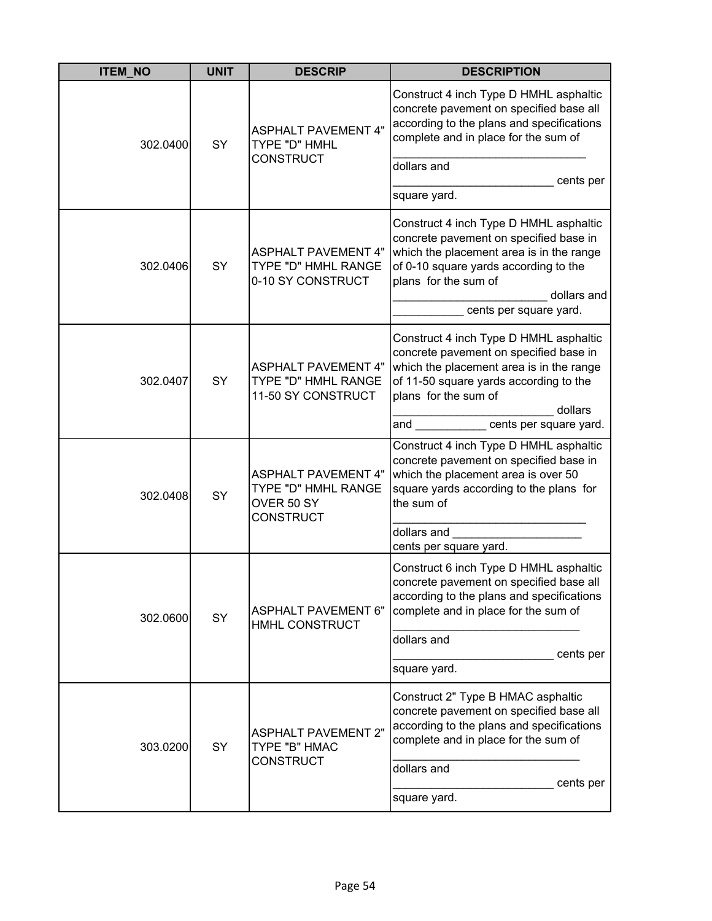| <b>ITEM_NO</b> | <b>UNIT</b> | <b>DESCRIP</b>                                                                      | <b>DESCRIPTION</b>                                                                                                                                                                                                                         |
|----------------|-------------|-------------------------------------------------------------------------------------|--------------------------------------------------------------------------------------------------------------------------------------------------------------------------------------------------------------------------------------------|
| 302.0400       | SY          | <b>ASPHALT PAVEMENT 4"</b><br>TYPE "D" HMHL                                         | Construct 4 inch Type D HMHL asphaltic<br>concrete pavement on specified base all<br>according to the plans and specifications<br>complete and in place for the sum of                                                                     |
|                |             | <b>CONSTRUCT</b>                                                                    | dollars and<br>cents per<br>square yard.                                                                                                                                                                                                   |
| 302.0406       | SY          | <b>ASPHALT PAVEMENT 4"</b><br>TYPE "D" HMHL RANGE<br>0-10 SY CONSTRUCT              | Construct 4 inch Type D HMHL asphaltic<br>concrete pavement on specified base in<br>which the placement area is in the range<br>of 0-10 square yards according to the<br>plans for the sum of<br>dollars and<br>cents per square yard.     |
| 302.0407       | SY          | <b>ASPHALT PAVEMENT 4"</b><br>TYPE "D" HMHL RANGE<br>11-50 SY CONSTRUCT             | Construct 4 inch Type D HMHL asphaltic<br>concrete pavement on specified base in<br>which the placement area is in the range<br>of 11-50 square yards according to the<br>plans for the sum of<br>dollars<br>cents per square yard.<br>and |
| 302.0408       | SY          | <b>ASPHALT PAVEMENT 4"</b><br>TYPE "D" HMHL RANGE<br>OVER 50 SY<br><b>CONSTRUCT</b> | Construct 4 inch Type D HMHL asphaltic<br>concrete pavement on specified base in<br>which the placement area is over 50<br>square yards according to the plans for<br>the sum of<br>dollars and<br>cents per square yard.                  |
| 302.0600       | SY          | <b>ASPHALT PAVEMENT 6"</b><br>HMHL CONSTRUCT                                        | Construct 6 inch Type D HMHL asphaltic<br>concrete pavement on specified base all<br>according to the plans and specifications<br>complete and in place for the sum of<br>dollars and<br>cents per<br>square yard.                         |
| 303.0200       | SY          | <b>ASPHALT PAVEMENT 2"</b><br>TYPE "B" HMAC<br><b>CONSTRUCT</b>                     | Construct 2" Type B HMAC asphaltic<br>concrete pavement on specified base all<br>according to the plans and specifications<br>complete and in place for the sum of<br>dollars and<br>cents per<br>square yard.                             |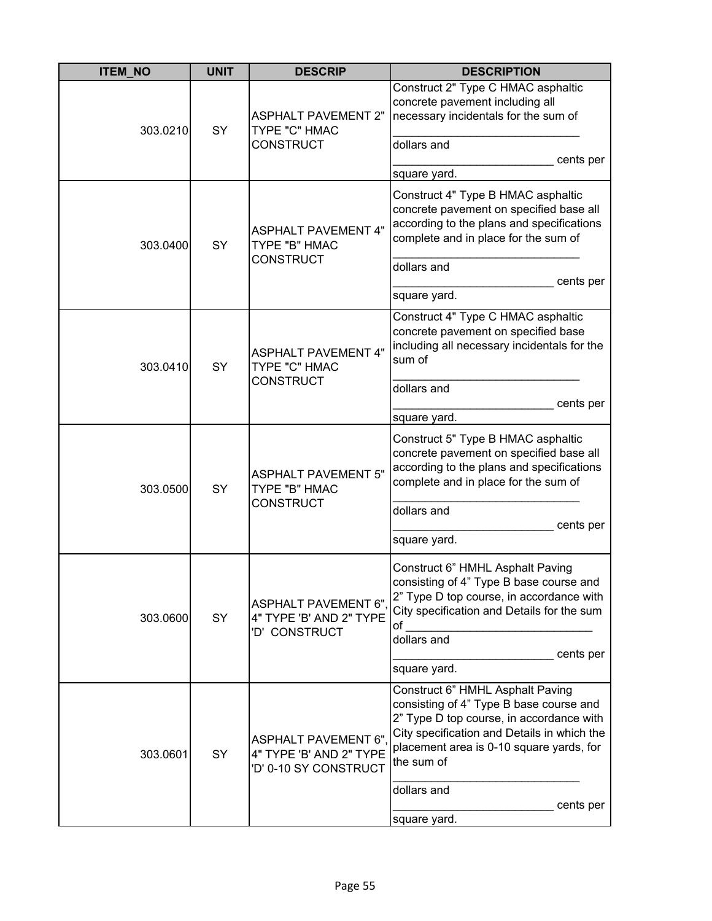| <b>ITEM_NO</b> | <b>UNIT</b> | <b>DESCRIP</b>                                                                 | <b>DESCRIPTION</b>                                                                                                                                                                                                                                                           |
|----------------|-------------|--------------------------------------------------------------------------------|------------------------------------------------------------------------------------------------------------------------------------------------------------------------------------------------------------------------------------------------------------------------------|
| 303.0210       | SY          | <b>ASPHALT PAVEMENT 2"</b><br>TYPE "C" HMAC<br><b>CONSTRUCT</b>                | Construct 2" Type C HMAC asphaltic<br>concrete pavement including all<br>necessary incidentals for the sum of<br>dollars and<br>cents per<br>square yard.                                                                                                                    |
| 303.0400       | SY          | <b>ASPHALT PAVEMENT 4"</b><br>TYPE "B" HMAC<br><b>CONSTRUCT</b>                | Construct 4" Type B HMAC asphaltic<br>concrete pavement on specified base all<br>according to the plans and specifications<br>complete and in place for the sum of<br>dollars and<br>cents per<br>square yard.                                                               |
| 303.0410       | SY          | <b>ASPHALT PAVEMENT 4"</b><br>TYPE "C" HMAC<br><b>CONSTRUCT</b>                | Construct 4" Type C HMAC asphaltic<br>concrete pavement on specified base<br>including all necessary incidentals for the<br>sum of<br>dollars and<br>cents per<br>square yard.                                                                                               |
| 303.0500       | SY          | <b>ASPHALT PAVEMENT 5"</b><br>TYPE "B" HMAC<br><b>CONSTRUCT</b>                | Construct 5" Type B HMAC asphaltic<br>concrete pavement on specified base all<br>according to the plans and specifications<br>complete and in place for the sum of<br>dollars and<br>cents per<br>square yard.                                                               |
| 303.0600       | SY          | <b>ASPHALT PAVEMENT 6"</b><br>4" TYPE 'B' AND 2" TYPE<br>'D' CONSTRUCT         | Construct 6" HMHL Asphalt Paving<br>consisting of 4" Type B base course and<br>2" Type D top course, in accordance with<br>City specification and Details for the sum<br>of<br>dollars and<br>cents per<br>square yard.                                                      |
| 303.0601       | SY          | <b>ASPHALT PAVEMENT 6"</b><br>4" TYPE 'B' AND 2" TYPE<br>'D' 0-10 SY CONSTRUCT | Construct 6" HMHL Asphalt Paving<br>consisting of 4" Type B base course and<br>2" Type D top course, in accordance with<br>City specification and Details in which the<br>placement area is 0-10 square yards, for<br>the sum of<br>dollars and<br>cents per<br>square yard. |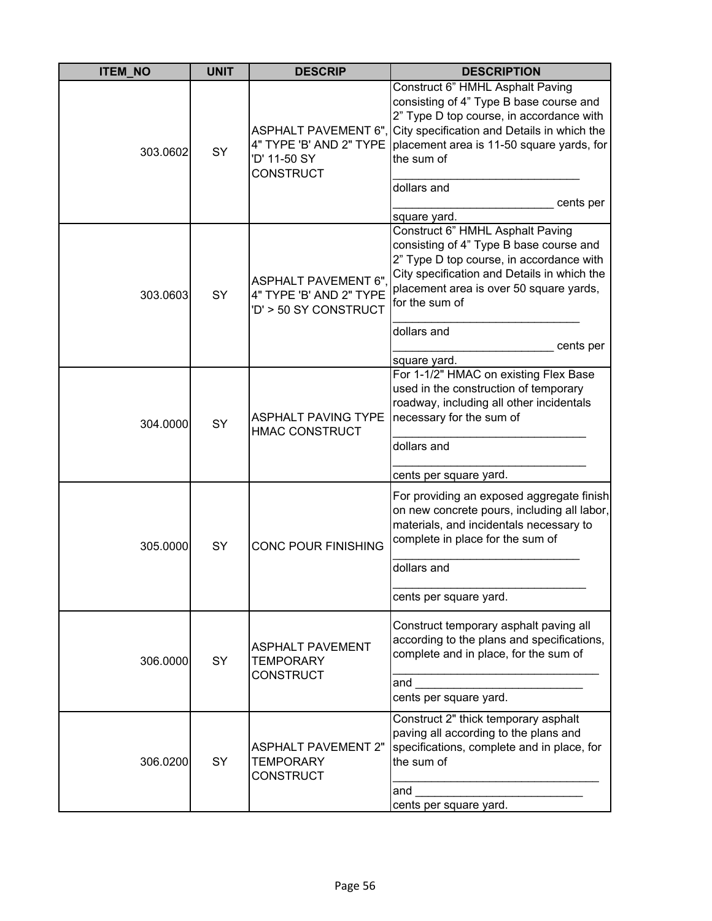| <b>ITEM_NO</b> | <b>UNIT</b> | <b>DESCRIP</b>                                                                 | <b>DESCRIPTION</b>                                                                                                                                                                                                                                                                                 |
|----------------|-------------|--------------------------------------------------------------------------------|----------------------------------------------------------------------------------------------------------------------------------------------------------------------------------------------------------------------------------------------------------------------------------------------------|
| 303.0602       | SY          | 4" TYPE 'B' AND 2" TYPE<br>'D' 11-50 SY<br><b>CONSTRUCT</b>                    | Construct 6" HMHL Asphalt Paving<br>consisting of 4" Type B base course and<br>2" Type D top course, in accordance with<br>ASPHALT PAVEMENT 6", City specification and Details in which the<br>placement area is 11-50 square yards, for<br>the sum of<br>dollars and<br>cents per<br>square yard. |
| 303.0603       | SY          | <b>ASPHALT PAVEMENT 6"</b><br>4" TYPE 'B' AND 2" TYPE<br>'D' > 50 SY CONSTRUCT | Construct 6" HMHL Asphalt Paving<br>consisting of 4" Type B base course and<br>2" Type D top course, in accordance with<br>City specification and Details in which the<br>placement area is over 50 square yards,<br>for the sum of<br>dollars and<br>cents per<br>square yard.                    |
| 304.0000       | SY          | <b>ASPHALT PAVING TYPE</b><br><b>HMAC CONSTRUCT</b>                            | For 1-1/2" HMAC on existing Flex Base<br>used in the construction of temporary<br>roadway, including all other incidentals<br>necessary for the sum of<br>dollars and<br>cents per square yard.                                                                                                    |
| 305.0000       | SY          | <b>CONC POUR FINISHING</b>                                                     | For providing an exposed aggregate finish<br>on new concrete pours, including all labor,<br>materials, and incidentals necessary to<br>complete in place for the sum of<br>dollars and<br>cents per square yard.                                                                                   |
| 306.0000       | <b>SY</b>   | <b>ASPHALT PAVEMENT</b><br><b>TEMPORARY</b><br><b>CONSTRUCT</b>                | Construct temporary asphalt paving all<br>according to the plans and specifications,<br>complete and in place, for the sum of<br>and<br>cents per square yard.                                                                                                                                     |
| 306.0200       | SY          | <b>ASPHALT PAVEMENT 2"</b><br><b>TEMPORARY</b><br><b>CONSTRUCT</b>             | Construct 2" thick temporary asphalt<br>paving all according to the plans and<br>specifications, complete and in place, for<br>the sum of<br>and<br>cents per square yard.                                                                                                                         |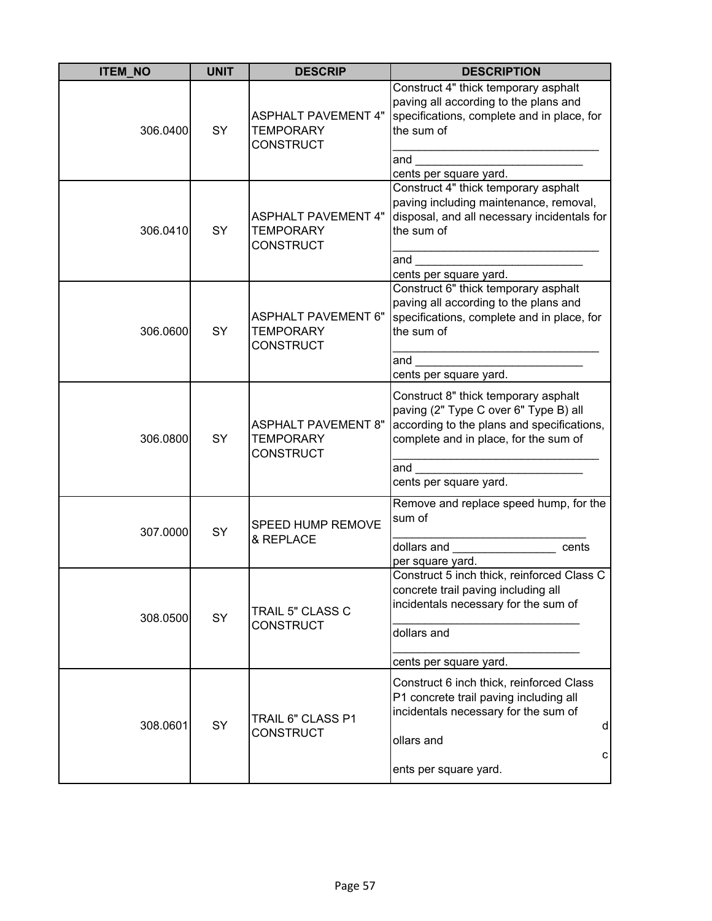| <b>ITEM_NO</b> | <b>UNIT</b> | <b>DESCRIP</b>                                                     | <b>DESCRIPTION</b>                                                                                                                                                                                                                                                                                             |
|----------------|-------------|--------------------------------------------------------------------|----------------------------------------------------------------------------------------------------------------------------------------------------------------------------------------------------------------------------------------------------------------------------------------------------------------|
| 306.0400       | SY          | <b>ASPHALT PAVEMENT 4"</b><br><b>TEMPORARY</b><br><b>CONSTRUCT</b> | Construct 4" thick temporary asphalt<br>paving all according to the plans and<br>specifications, complete and in place, for<br>the sum of<br>and<br>cents per square yard.                                                                                                                                     |
| 306.0410       | SY          | <b>ASPHALT PAVEMENT 4"</b><br><b>TEMPORARY</b><br><b>CONSTRUCT</b> | Construct 4" thick temporary asphalt<br>paving including maintenance, removal,<br>disposal, and all necessary incidentals for<br>the sum of<br>and<br>cents per square yard.                                                                                                                                   |
| 306.0600       | SY          | <b>ASPHALT PAVEMENT 6"</b><br><b>TEMPORARY</b><br><b>CONSTRUCT</b> | Construct 6" thick temporary asphalt<br>paving all according to the plans and<br>specifications, complete and in place, for<br>the sum of<br>and<br>cents per square yard.                                                                                                                                     |
| 306.0800       | SY          | <b>ASPHALT PAVEMENT 8"</b><br><b>TEMPORARY</b><br><b>CONSTRUCT</b> | Construct 8" thick temporary asphalt<br>paving (2" Type C over 6" Type B) all<br>according to the plans and specifications,<br>complete and in place, for the sum of<br>and<br>cents per square yard.                                                                                                          |
| 307.0000       | SY          | SPEED HUMP REMOVE<br>& REPLACE                                     | Remove and replace speed hump, for the<br>sum of<br>dollars and the control of the control of the control of the control of the control of the control of the control of the control of the control of the control of the control of the control of the control of the control of<br>cents<br>per square yard. |
| 308.0500       | SY          | TRAIL 5" CLASS C<br><b>CONSTRUCT</b>                               | Construct 5 inch thick, reinforced Class C<br>concrete trail paving including all<br>incidentals necessary for the sum of<br>dollars and<br>cents per square yard.                                                                                                                                             |
| 308.0601       | SY          | TRAIL 6" CLASS P1<br><b>CONSTRUCT</b>                              | Construct 6 inch thick, reinforced Class<br>P1 concrete trail paving including all<br>incidentals necessary for the sum of<br>$\sf d$<br>ollars and<br>С<br>ents per square yard.                                                                                                                              |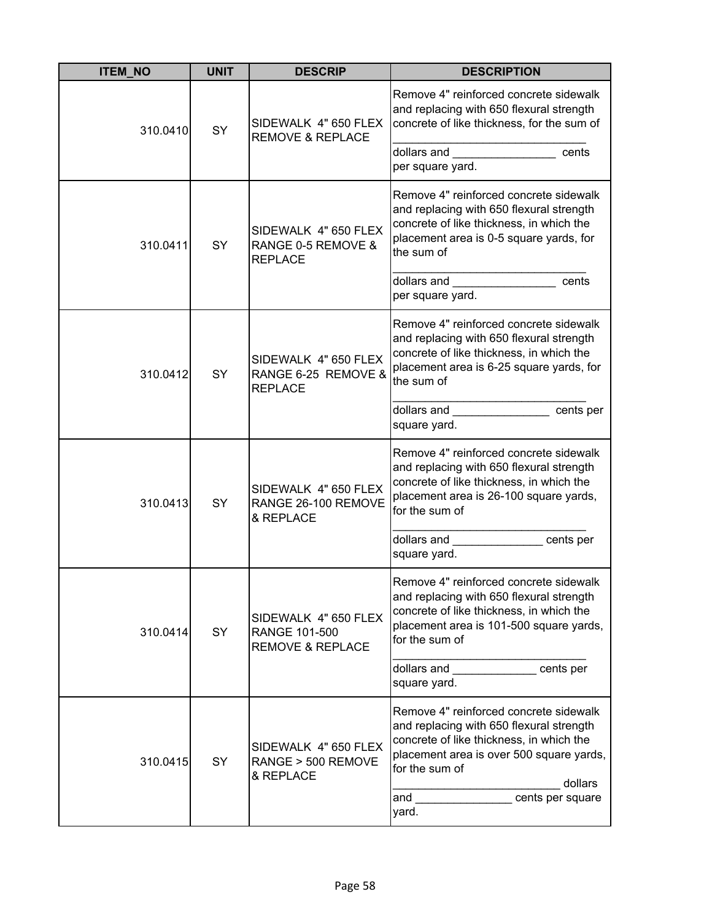| <b>ITEM NO</b> | <b>UNIT</b> | <b>DESCRIP</b>                                                       | <b>DESCRIPTION</b>                                                                                                                                                                                                                                                                                                                                                                |
|----------------|-------------|----------------------------------------------------------------------|-----------------------------------------------------------------------------------------------------------------------------------------------------------------------------------------------------------------------------------------------------------------------------------------------------------------------------------------------------------------------------------|
| 310.0410       | SY          | SIDEWALK 4" 650 FLEX<br><b>REMOVE &amp; REPLACE</b>                  | Remove 4" reinforced concrete sidewalk<br>and replacing with 650 flexural strength<br>concrete of like thickness, for the sum of<br>dollars and <b>contract to the set of the set of the set of the set of the set of the set of the set of the set of the set of the set of the set of the set of the set of the set of the set of the set of the set of the set of</b><br>cents |
|                |             |                                                                      | per square yard.                                                                                                                                                                                                                                                                                                                                                                  |
| 310.0411       | SY          | SIDEWALK 4" 650 FLEX<br>RANGE 0-5 REMOVE &<br><b>REPLACE</b>         | Remove 4" reinforced concrete sidewalk<br>and replacing with 650 flexural strength<br>concrete of like thickness, in which the<br>placement area is 0-5 square yards, for<br>the sum of                                                                                                                                                                                           |
|                |             |                                                                      | dollars and<br>cents<br>per square yard.                                                                                                                                                                                                                                                                                                                                          |
| 310.0412       | SY          | SIDEWALK 4" 650 FLEX<br>RANGE 6-25 REMOVE &<br><b>REPLACE</b>        | Remove 4" reinforced concrete sidewalk<br>and replacing with 650 flexural strength<br>concrete of like thickness, in which the<br>placement area is 6-25 square yards, for<br>the sum of                                                                                                                                                                                          |
|                |             |                                                                      | dollars and the control of the control of the control of the control of the control of the control of the control of the control of the control of the control of the control of the control of the control of the control of<br>cents per<br>square yard.                                                                                                                        |
| 310.0413       | SY          | SIDEWALK 4" 650 FLEX<br>RANGE 26-100 REMOVE<br>& REPLACE             | Remove 4" reinforced concrete sidewalk<br>and replacing with 650 flexural strength<br>concrete of like thickness, in which the<br>placement area is 26-100 square yards,<br>for the sum of                                                                                                                                                                                        |
|                |             |                                                                      | dollars and<br>cents per<br>square yard.                                                                                                                                                                                                                                                                                                                                          |
| 310.0414       | SY          | SIDEWALK 4" 650 FLEX<br>RANGE 101-500<br><b>REMOVE &amp; REPLACE</b> | Remove 4" reinforced concrete sidewalk<br>and replacing with 650 flexural strength<br>concrete of like thickness, in which the<br>placement area is 101-500 square yards,<br>for the sum of                                                                                                                                                                                       |
|                |             |                                                                      | dollars and<br>cents per<br>square yard.                                                                                                                                                                                                                                                                                                                                          |
| 310.0415       | <b>SY</b>   | SIDEWALK 4" 650 FLEX<br>RANGE > 500 REMOVE<br>& REPLACE              | Remove 4" reinforced concrete sidewalk<br>and replacing with 650 flexural strength<br>concrete of like thickness, in which the<br>placement area is over 500 square yards,<br>for the sum of<br>dollars<br>cents per square<br>and<br>yard.                                                                                                                                       |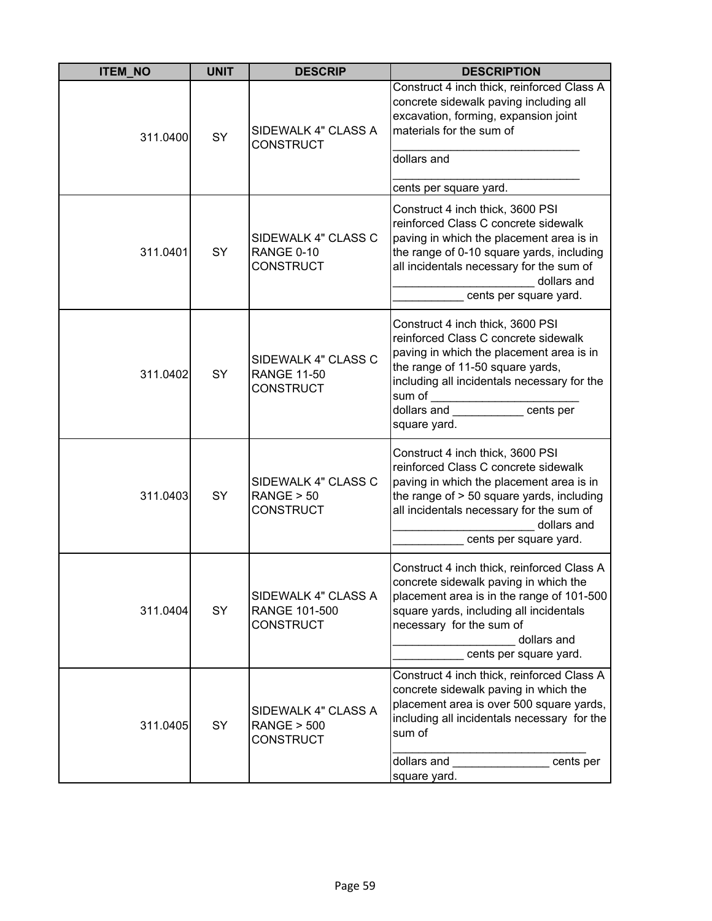| <b>ITEM_NO</b> | <b>UNIT</b> | <b>DESCRIP</b>                                                | <b>DESCRIPTION</b>                                                                                                                                                                                                                                                                                |
|----------------|-------------|---------------------------------------------------------------|---------------------------------------------------------------------------------------------------------------------------------------------------------------------------------------------------------------------------------------------------------------------------------------------------|
| 311.0400       | SY          | SIDEWALK 4" CLASS A<br>CONSTRUCT                              | Construct 4 inch thick, reinforced Class A<br>concrete sidewalk paving including all<br>excavation, forming, expansion joint<br>materials for the sum of<br>dollars and<br>cents per square yard.                                                                                                 |
| 311.0401       | SY          | SIDEWALK 4" CLASS C<br>RANGE 0-10<br>CONSTRUCT                | Construct 4 inch thick, 3600 PSI<br>reinforced Class C concrete sidewalk<br>paving in which the placement area is in<br>the range of 0-10 square yards, including<br>all incidentals necessary for the sum of<br>dollars and<br>cents per square yard.                                            |
| 311.0402       | SY          | SIDEWALK 4" CLASS C<br><b>RANGE 11-50</b><br><b>CONSTRUCT</b> | Construct 4 inch thick, 3600 PSI<br>reinforced Class C concrete sidewalk<br>paving in which the placement area is in<br>the range of 11-50 square yards,<br>including all incidentals necessary for the<br>sum of<br><u> 1990 - Johann Barnett, f</u><br>cents per<br>dollars and<br>square yard. |
| 311.0403       | SY          | SIDEWALK 4" CLASS C<br>RANGE > 50<br><b>CONSTRUCT</b>         | Construct 4 inch thick, 3600 PSI<br>reinforced Class C concrete sidewalk<br>paving in which the placement area is in<br>the range of > 50 square yards, including<br>all incidentals necessary for the sum of<br>dollars and<br>cents per square yard.                                            |
| 311.0404       | SY          | SIDEWALK 4" CLASS A<br>RANGE 101-500<br>CONSTRUCT             | Construct 4 inch thick, reinforced Class A<br>concrete sidewalk paving in which the<br>placement area is in the range of 101-500<br>square yards, including all incidentals<br>necessary for the sum of<br>dollars and<br>cents per square yard.                                                  |
| 311.0405       | <b>SY</b>   | SIDEWALK 4" CLASS A<br><b>RANGE &gt; 500</b><br>CONSTRUCT     | Construct 4 inch thick, reinforced Class A<br>concrete sidewalk paving in which the<br>placement area is over 500 square yards,<br>including all incidentals necessary for the<br>sum of<br>dollars and<br>cents per<br>square yard.                                                              |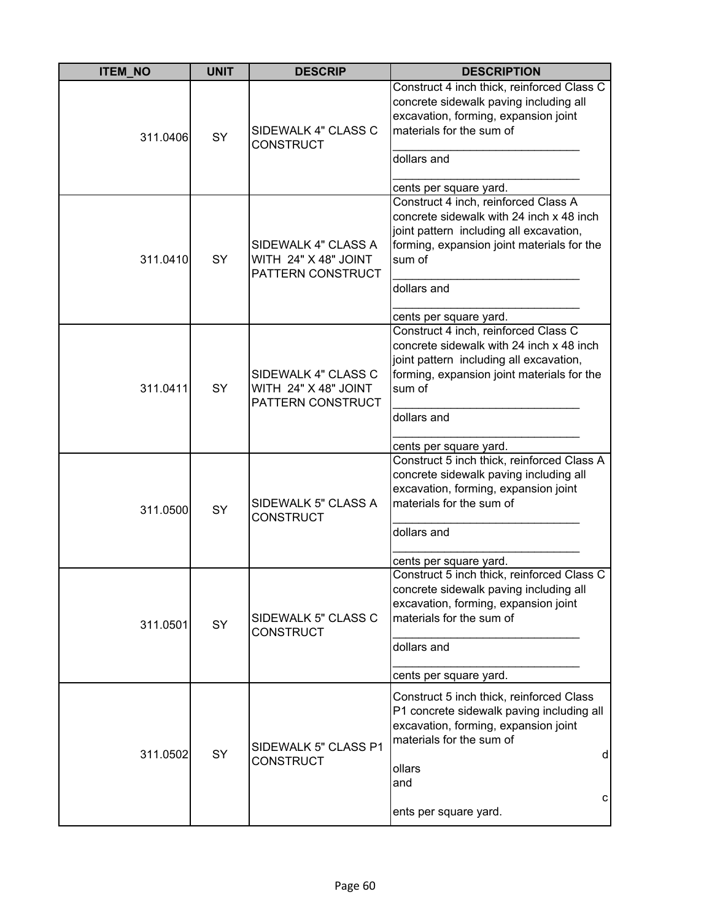| <b>ITEM_NO</b> | <b>UNIT</b> | <b>DESCRIP</b>                                                   | <b>DESCRIPTION</b>                                                                                                                                                                                                           |
|----------------|-------------|------------------------------------------------------------------|------------------------------------------------------------------------------------------------------------------------------------------------------------------------------------------------------------------------------|
| 311.0406       | <b>SY</b>   | SIDEWALK 4" CLASS C<br><b>CONSTRUCT</b>                          | Construct 4 inch thick, reinforced Class C<br>concrete sidewalk paving including all<br>excavation, forming, expansion joint<br>materials for the sum of<br>dollars and<br>cents per square yard.                            |
| 311.0410       | SY          | SIDEWALK 4" CLASS A<br>WITH 24" X 48" JOINT<br>PATTERN CONSTRUCT | Construct 4 inch, reinforced Class A<br>concrete sidewalk with 24 inch x 48 inch<br>joint pattern including all excavation,<br>forming, expansion joint materials for the<br>sum of<br>dollars and<br>cents per square yard. |
| 311.0411       | <b>SY</b>   | SIDEWALK 4" CLASS C<br>WITH 24" X 48" JOINT<br>PATTERN CONSTRUCT | Construct 4 inch, reinforced Class C<br>concrete sidewalk with 24 inch x 48 inch<br>joint pattern including all excavation,<br>forming, expansion joint materials for the<br>sum of<br>dollars and                           |
| 311.0500       | SY          | SIDEWALK 5" CLASS A<br><b>CONSTRUCT</b>                          | cents per square yard.<br>Construct 5 inch thick, reinforced Class A<br>concrete sidewalk paving including all<br>excavation, forming, expansion joint<br>materials for the sum of<br>dollars and<br>cents per square yard.  |
| 311.0501       | SY          | SIDEWALK 5" CLASS C<br><b>CONSTRUCT</b>                          | Construct 5 inch thick, reinforced Class C<br>concrete sidewalk paving including all<br>excavation, forming, expansion joint<br>materials for the sum of<br>dollars and<br>cents per square yard.                            |
| 311.0502       | SY          | SIDEWALK 5" CLASS P1<br><b>CONSTRUCT</b>                         | Construct 5 inch thick, reinforced Class<br>P1 concrete sidewalk paving including all<br>excavation, forming, expansion joint<br>materials for the sum of<br>d<br>ollars<br>and<br>С<br>ents per square yard.                |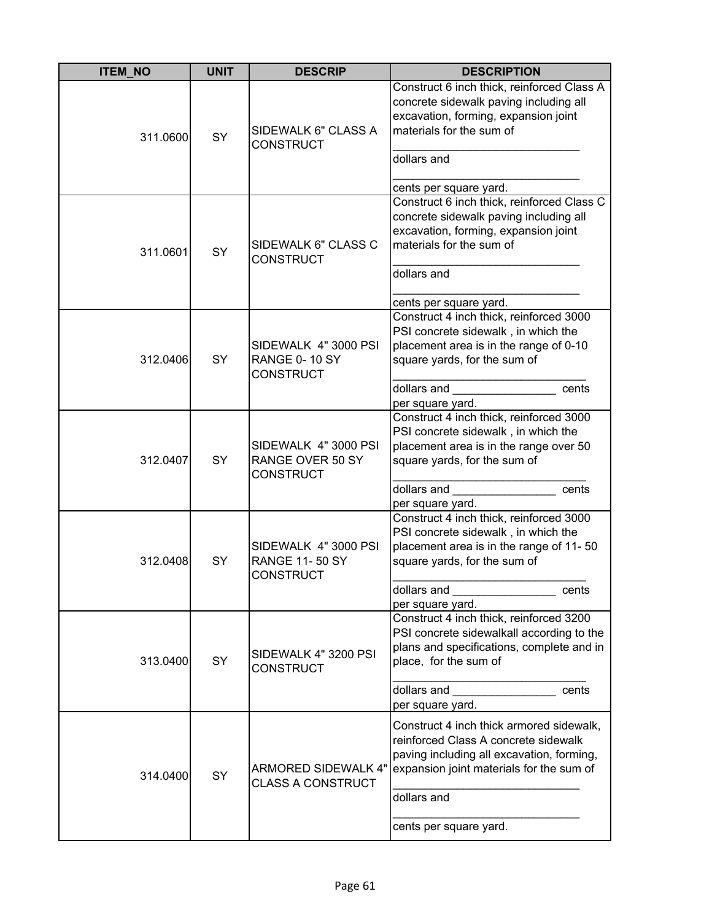| <b>ITEM NO</b> | <b>UNIT</b> | <b>DESCRIP</b>                                                    | <b>DESCRIPTION</b>                                                                                                                                                                                                 |
|----------------|-------------|-------------------------------------------------------------------|--------------------------------------------------------------------------------------------------------------------------------------------------------------------------------------------------------------------|
| 311.0600       | SY          | SIDEWALK 6" CLASS A<br><b>CONSTRUCT</b>                           | Construct 6 inch thick, reinforced Class A<br>concrete sidewalk paving including all<br>excavation, forming, expansion joint<br>materials for the sum of<br>dollars and<br>cents per square yard.                  |
| 311.0601       | SY          | SIDEWALK 6" CLASS C<br><b>CONSTRUCT</b>                           | Construct 6 inch thick, reinforced Class C<br>concrete sidewalk paving including all<br>excavation, forming, expansion joint<br>materials for the sum of<br>dollars and<br>cents per square yard.                  |
| 312.0406       | SY          | SIDEWALK 4" 3000 PSI<br><b>RANGE 0-10 SY</b><br><b>CONSTRUCT</b>  | Construct 4 inch thick, reinforced 3000<br>PSI concrete sidewalk, in which the<br>placement area is in the range of 0-10<br>square yards, for the sum of<br>dollars and<br>cents<br>per square yard.               |
| 312.0407       | <b>SY</b>   | SIDEWALK 4" 3000 PSI<br>RANGE OVER 50 SY<br><b>CONSTRUCT</b>      | Construct 4 inch thick, reinforced 3000<br>PSI concrete sidewalk, in which the<br>placement area is in the range over 50<br>square yards, for the sum of<br>dollars and<br>cents<br>per square yard.               |
| 312.0408       | SY          | SIDEWALK 4" 3000 PSI<br><b>RANGE 11-50 SY</b><br><b>CONSTRUCT</b> | Construct 4 inch thick, reinforced 3000<br>PSI concrete sidewalk, in which the<br>placement area is in the range of 11-50<br>square yards, for the sum of<br>dollars and<br>cents<br>per square yard.              |
| 313.0400       | SY          | SIDEWALK 4" 3200 PSI<br><b>CONSTRUCT</b>                          | Construct 4 inch thick, reinforced 3200<br>PSI concrete sidewalkall according to the<br>plans and specifications, complete and in<br>place, for the sum of<br>dollars and<br>cents<br>per square yard.             |
| 314.0400       | SY          | ARMORED SIDEWALK 4"<br><b>CLASS A CONSTRUCT</b>                   | Construct 4 inch thick armored sidewalk,<br>reinforced Class A concrete sidewalk<br>paving including all excavation, forming,<br>expansion joint materials for the sum of<br>dollars and<br>cents per square yard. |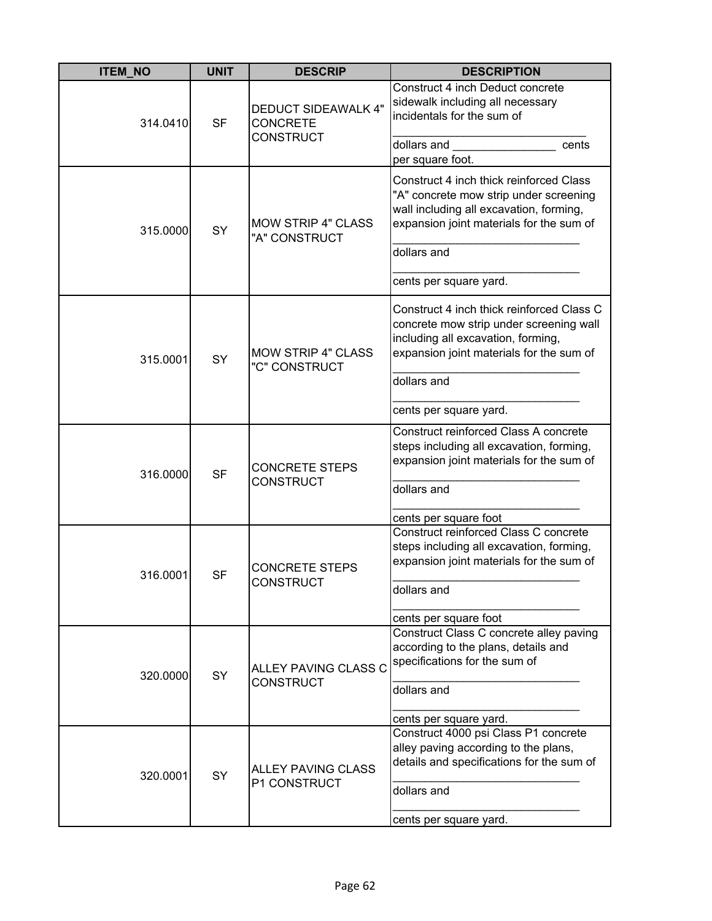| <b>ITEM_NO</b> | <b>UNIT</b> | <b>DESCRIP</b>                                                    | <b>DESCRIPTION</b>                                                                                                                                                                                                |
|----------------|-------------|-------------------------------------------------------------------|-------------------------------------------------------------------------------------------------------------------------------------------------------------------------------------------------------------------|
| 314.0410       | <b>SF</b>   | <b>DEDUCT SIDEAWALK 4"</b><br><b>CONCRETE</b><br><b>CONSTRUCT</b> | Construct 4 inch Deduct concrete<br>sidewalk including all necessary<br>incidentals for the sum of<br>dollars and<br>cents<br>per square foot.                                                                    |
| 315.0000       | <b>SY</b>   | <b>MOW STRIP 4" CLASS</b><br>"A" CONSTRUCT                        | Construct 4 inch thick reinforced Class<br>"A" concrete mow strip under screening<br>wall including all excavation, forming,<br>expansion joint materials for the sum of<br>dollars and<br>cents per square yard. |
| 315.0001       | <b>SY</b>   | <b>MOW STRIP 4" CLASS</b><br>"C" CONSTRUCT                        | Construct 4 inch thick reinforced Class C<br>concrete mow strip under screening wall<br>including all excavation, forming,<br>expansion joint materials for the sum of<br>dollars and<br>cents per square yard.   |
| 316.0000       | <b>SF</b>   | <b>CONCRETE STEPS</b><br><b>CONSTRUCT</b>                         | Construct reinforced Class A concrete<br>steps including all excavation, forming,<br>expansion joint materials for the sum of<br>dollars and<br>cents per square foot                                             |
| 316.0001       | <b>SF</b>   | <b>CONCRETE STEPS</b><br><b>CONSTRUCT</b>                         | Construct reinforced Class C concrete<br>steps including all excavation, forming,<br>expansion joint materials for the sum of<br>dollars and<br>cents per square foot                                             |
| 320.0000       | <b>SY</b>   | ALLEY PAVING CLASS C<br><b>CONSTRUCT</b>                          | Construct Class C concrete alley paving<br>according to the plans, details and<br>specifications for the sum of<br>dollars and<br>cents per square yard.                                                          |
| 320.0001       | SY          | <b>ALLEY PAVING CLASS</b><br>P1 CONSTRUCT                         | Construct 4000 psi Class P1 concrete<br>alley paving according to the plans,<br>details and specifications for the sum of<br>dollars and<br>cents per square yard.                                                |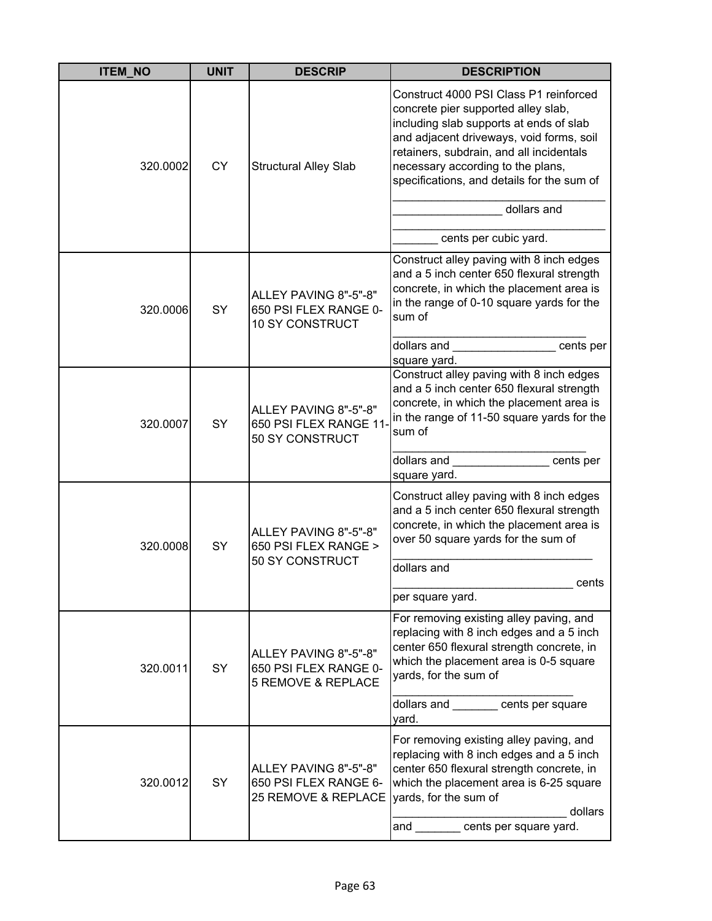| <b>ITEM_NO</b> | <b>UNIT</b> | <b>DESCRIP</b>                                                           | <b>DESCRIPTION</b>                                                                                                                                                                                                                                                                                                                          |
|----------------|-------------|--------------------------------------------------------------------------|---------------------------------------------------------------------------------------------------------------------------------------------------------------------------------------------------------------------------------------------------------------------------------------------------------------------------------------------|
| 320.0002       | <b>CY</b>   | <b>Structural Alley Slab</b>                                             | Construct 4000 PSI Class P1 reinforced<br>concrete pier supported alley slab,<br>including slab supports at ends of slab<br>and adjacent driveways, void forms, soil<br>retainers, subdrain, and all incidentals<br>necessary according to the plans,<br>specifications, and details for the sum of<br>dollars and<br>cents per cubic yard. |
| 320.0006       | SY          | ALLEY PAVING 8"-5"-8"<br>650 PSI FLEX RANGE 0-<br><b>10 SY CONSTRUCT</b> | Construct alley paving with 8 inch edges<br>and a 5 inch center 650 flexural strength<br>concrete, in which the placement area is<br>in the range of 0-10 square yards for the<br>sum of<br>dollars and<br>cents per<br>square yard.                                                                                                        |
| 320.0007       | SY          | ALLEY PAVING 8"-5"-8"<br>650 PSI FLEX RANGE 11-<br>50 SY CONSTRUCT       | Construct alley paving with 8 inch edges<br>and a 5 inch center 650 flexural strength<br>concrete, in which the placement area is<br>in the range of 11-50 square yards for the<br>sum of<br>dollars and<br>cents per<br>square yard.                                                                                                       |
| 320.0008       | SY          | ALLEY PAVING 8"-5"-8"<br>650 PSI FLEX RANGE ><br>50 SY CONSTRUCT         | Construct alley paving with 8 inch edges<br>and a 5 inch center 650 flexural strength<br>concrete, in which the placement area is<br>over 50 square yards for the sum of<br>dollars and<br>cents<br>per square yard.                                                                                                                        |
| 320.0011       | <b>SY</b>   | ALLEY PAVING 8"-5"-8"<br>650 PSI FLEX RANGE 0-<br>5 REMOVE & REPLACE     | For removing existing alley paving, and<br>replacing with 8 inch edges and a 5 inch<br>center 650 flexural strength concrete, in<br>which the placement area is 0-5 square<br>yards, for the sum of<br>dollars and _______ cents per square<br>yard.                                                                                        |
| 320.0012       | SY          | ALLEY PAVING 8"-5"-8"<br>650 PSI FLEX RANGE 6-<br>25 REMOVE & REPLACE    | For removing existing alley paving, and<br>replacing with 8 inch edges and a 5 inch<br>center 650 flexural strength concrete, in<br>which the placement area is 6-25 square<br>yards, for the sum of<br>dollars<br>and cents per square yard.                                                                                               |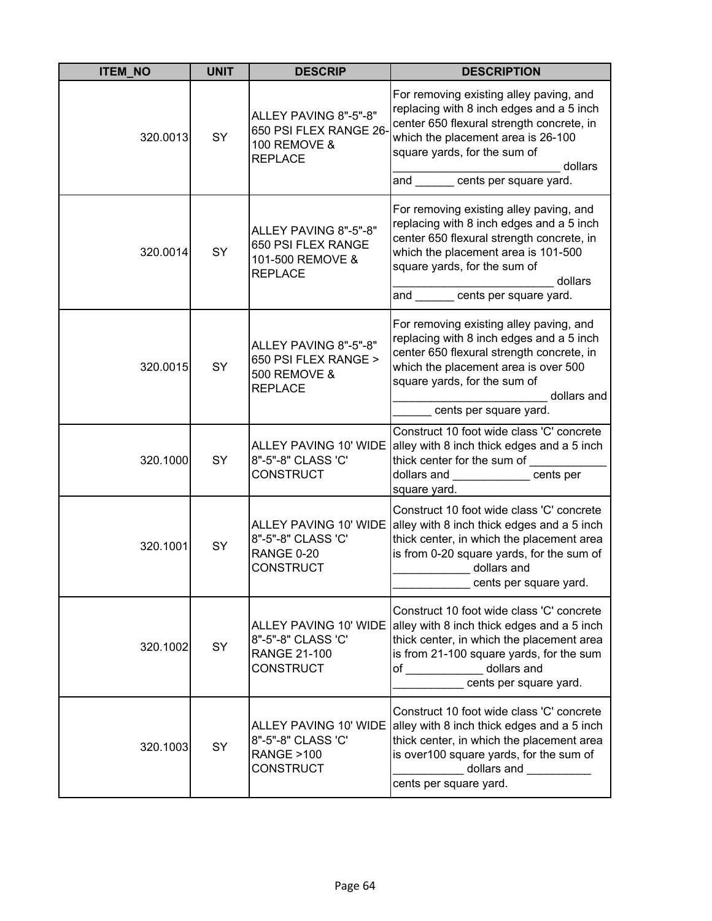| <b>ITEM NO</b> | <b>UNIT</b> | <b>DESCRIP</b>                                                                          | <b>DESCRIPTION</b>                                                                                                                                                                                                                                      |
|----------------|-------------|-----------------------------------------------------------------------------------------|---------------------------------------------------------------------------------------------------------------------------------------------------------------------------------------------------------------------------------------------------------|
| 320.0013       | SY          | ALLEY PAVING 8"-5"-8"<br>650 PSI FLEX RANGE 26-<br>100 REMOVE &<br><b>REPLACE</b>       | For removing existing alley paving, and<br>replacing with 8 inch edges and a 5 inch<br>center 650 flexural strength concrete, in<br>which the placement area is 26-100<br>square yards, for the sum of<br>dollars<br>and _______ cents per square yard. |
| 320.0014       | SY          | ALLEY PAVING 8"-5"-8"<br>650 PSI FLEX RANGE<br>101-500 REMOVE &<br><b>REPLACE</b>       | For removing existing alley paving, and<br>replacing with 8 inch edges and a 5 inch<br>center 650 flexural strength concrete, in<br>which the placement area is 101-500<br>square yards, for the sum of<br>dollars<br>and cents per square yard.        |
| 320.0015       | SY          | ALLEY PAVING 8"-5"-8"<br>650 PSI FLEX RANGE ><br>500 REMOVE &<br><b>REPLACE</b>         | For removing existing alley paving, and<br>replacing with 8 inch edges and a 5 inch<br>center 650 flexural strength concrete, in<br>which the placement area is over 500<br>square yards, for the sum of<br>dollars and<br>cents per square yard.       |
| 320.1000       | SY          | ALLEY PAVING 10' WIDE<br>8"-5"-8" CLASS 'C'<br><b>CONSTRUCT</b>                         | Construct 10 foot wide class 'C' concrete<br>alley with 8 inch thick edges and a 5 inch<br>thick center for the sum of<br>dollars and ____________ cents per<br>square yard.                                                                            |
| 320.1001       | SY          | ALLEY PAVING 10' WIDE<br>8"-5"-8" CLASS 'C'<br>RANGE 0-20<br><b>CONSTRUCT</b>           | Construct 10 foot wide class 'C' concrete<br>alley with 8 inch thick edges and a 5 inch<br>thick center, in which the placement area<br>is from 0-20 square yards, for the sum of<br>dollars and<br>cents per square yard.                              |
| 320.1002       | SY          | 8"-5"-8" CLASS 'C'<br><b>RANGE 21-100</b><br><b>CONSTRUCT</b>                           | Construct 10 foot wide class 'C' concrete<br>ALLEY PAVING 10' WIDE alley with 8 inch thick edges and a 5 inch<br>thick center, in which the placement area<br>is from 21-100 square yards, for the sum<br>of dollars and<br>cents per square yard.      |
| 320.1003       | SY          | ALLEY PAVING 10' WIDE<br>8"-5"-8" CLASS 'C'<br><b>RANGE &gt;100</b><br><b>CONSTRUCT</b> | Construct 10 foot wide class 'C' concrete<br>alley with 8 inch thick edges and a 5 inch<br>thick center, in which the placement area<br>is over100 square yards, for the sum of<br>dollars and ___________<br>cents per square yard.                    |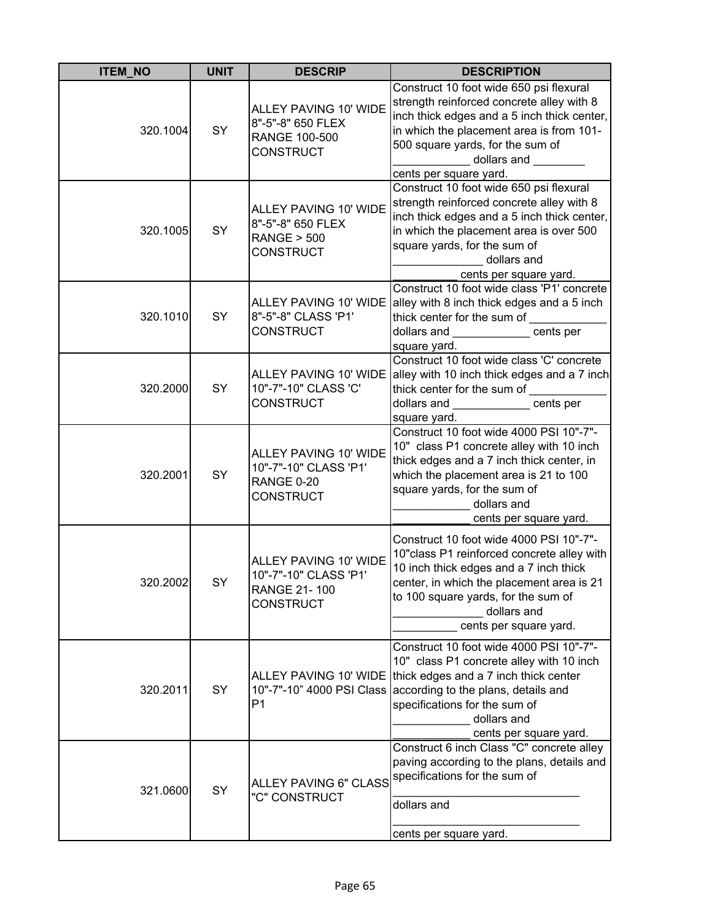| <b>ITEM NO</b> | <b>UNIT</b> | <b>DESCRIP</b>                                                                     | <b>DESCRIPTION</b>                                                                                                                                                                                                                                                                            |
|----------------|-------------|------------------------------------------------------------------------------------|-----------------------------------------------------------------------------------------------------------------------------------------------------------------------------------------------------------------------------------------------------------------------------------------------|
| 320.1004       | SY          | ALLEY PAVING 10' WIDE<br>8"-5"-8" 650 FLEX<br>RANGE 100-500<br><b>CONSTRUCT</b>    | Construct 10 foot wide 650 psi flexural<br>strength reinforced concrete alley with 8<br>inch thick edges and a 5 inch thick center,<br>in which the placement area is from 101-<br>500 square yards, for the sum of<br>dollars and ________<br>cents per square yard.                         |
| 320.1005       | SY          | ALLEY PAVING 10' WIDE<br>8"-5"-8" 650 FLEX<br><b>RANGE &gt; 500</b><br>CONSTRUCT   | Construct 10 foot wide 650 psi flexural<br>strength reinforced concrete alley with 8<br>inch thick edges and a 5 inch thick center,<br>in which the placement area is over 500<br>square yards, for the sum of<br>dollars and<br>cents per square yard.                                       |
| 320.1010       | SY          | ALLEY PAVING 10' WIDE<br>8"-5"-8" CLASS 'P1'<br><b>CONSTRUCT</b>                   | Construct 10 foot wide class 'P1' concrete<br>alley with 8 inch thick edges and a 5 inch<br>thick center for the sum of<br>dollars and entry cents per<br>square yard.                                                                                                                        |
| 320.2000       | SY          | 10"-7"-10" CLASS 'C'<br><b>CONSTRUCT</b>                                           | Construct 10 foot wide class 'C' concrete<br>ALLEY PAVING 10' WIDE alley with 10 inch thick edges and a 7 inch<br>thick center for the sum of<br>dollars and cents per<br>square yard.                                                                                                        |
| 320.2001       | SY          | ALLEY PAVING 10' WIDE<br>10"-7"-10" CLASS 'P1'<br>RANGE 0-20<br><b>CONSTRUCT</b>   | Construct 10 foot wide 4000 PSI 10"-7"-<br>10" class P1 concrete alley with 10 inch<br>thick edges and a 7 inch thick center, in<br>which the placement area is 21 to 100<br>square yards, for the sum of<br>dollars and<br>cents per square yard.                                            |
| 320.2002       | SY          | ALLEY PAVING 10' WIDE<br>10"-7"-10" CLASS 'P1'<br><b>RANGE 21-100</b><br>CONSTRUCT | Construct 10 foot wide 4000 PSI 10"-7"-<br>10" class P1 reinforced concrete alley with<br>10 inch thick edges and a 7 inch thick<br>center, in which the placement area is 21<br>to 100 square yards, for the sum of<br>dollars and<br>cents per square yard.                                 |
| 320.2011       | SY          | P <sub>1</sub>                                                                     | Construct 10 foot wide 4000 PSI 10"-7"-<br>10" class P1 concrete alley with 10 inch<br>ALLEY PAVING 10' WIDE thick edges and a 7 inch thick center<br>10"-7"-10" 4000 PSI Class according to the plans, details and<br>specifications for the sum of<br>dollars and<br>cents per square yard. |
| 321.0600       | SY          | <b>ALLEY PAVING 6" CLASS</b><br>"C" CONSTRUCT                                      | Construct 6 inch Class "C" concrete alley<br>paving according to the plans, details and<br>specifications for the sum of<br>dollars and<br>cents per square yard.                                                                                                                             |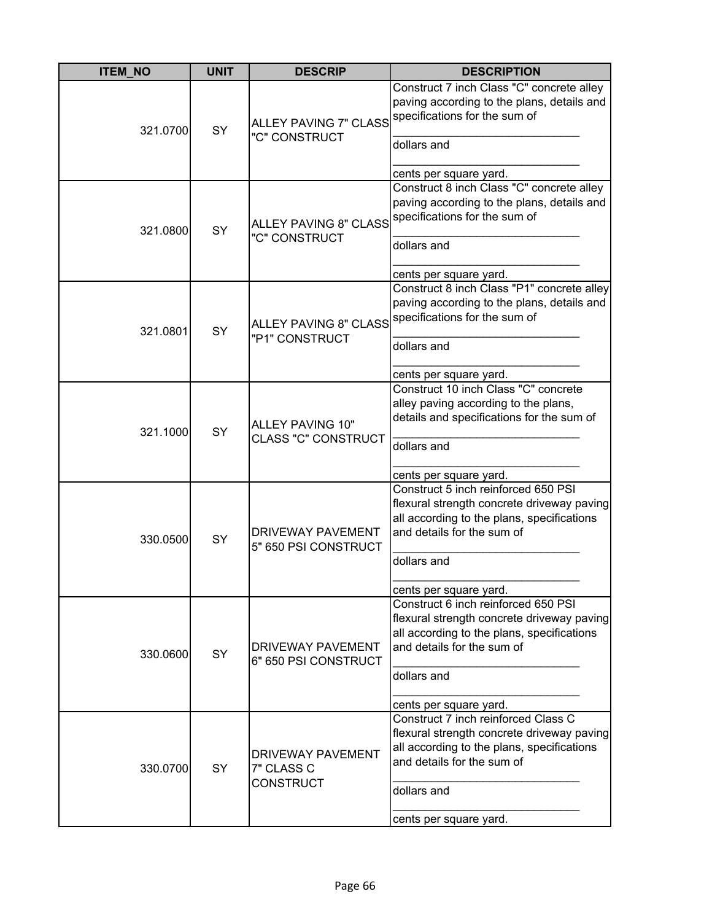| <b>ITEM NO</b> | <b>UNIT</b> | <b>DESCRIP</b>                                             | <b>DESCRIPTION</b>                                                                                                                                                                                     |
|----------------|-------------|------------------------------------------------------------|--------------------------------------------------------------------------------------------------------------------------------------------------------------------------------------------------------|
| 321.0700       | SY          | "C" CONSTRUCT                                              | Construct 7 inch Class "C" concrete alley<br>paving according to the plans, details and<br>ALLEY PAVING 7" CLASS specifications for the sum of                                                         |
|                |             |                                                            | dollars and<br>cents per square yard.                                                                                                                                                                  |
| 321.0800       | SY          | "C" CONSTRUCT                                              | Construct 8 inch Class "C" concrete alley<br>paving according to the plans, details and<br>ALLEY PAVING 8" CLASS specifications for the sum of<br>dollars and<br>cents per square yard.                |
| 321.0801       | SY          | <b>ALLEY PAVING 8" CLASS</b><br>"P1" CONSTRUCT             | Construct 8 inch Class "P1" concrete alley<br>paving according to the plans, details and<br>specifications for the sum of<br>dollars and<br>cents per square yard.                                     |
| 321.1000       | SY          | ALLEY PAVING 10"<br><b>CLASS "C" CONSTRUCT</b>             | Construct 10 inch Class "C" concrete<br>alley paving according to the plans,<br>details and specifications for the sum of<br>dollars and<br>cents per square yard.                                     |
| 330.0500       | SY          | <b>DRIVEWAY PAVEMENT</b><br>5" 650 PSI CONSTRUCT           | Construct 5 inch reinforced 650 PSI<br>flexural strength concrete driveway paving<br>all according to the plans, specifications<br>and details for the sum of<br>dollars and<br>cents per square yard. |
| 330.0600       | <b>SY</b>   | <b>DRIVEWAY PAVEMENT</b><br>6" 650 PSI CONSTRUCT           | Construct 6 inch reinforced 650 PSI<br>flexural strength concrete driveway paving<br>all according to the plans, specifications<br>and details for the sum of<br>dollars and<br>cents per square yard. |
| 330.0700       | SY          | <b>DRIVEWAY PAVEMENT</b><br>7" CLASS C<br><b>CONSTRUCT</b> | Construct 7 inch reinforced Class C<br>flexural strength concrete driveway paving<br>all according to the plans, specifications<br>and details for the sum of<br>dollars and<br>cents per square yard. |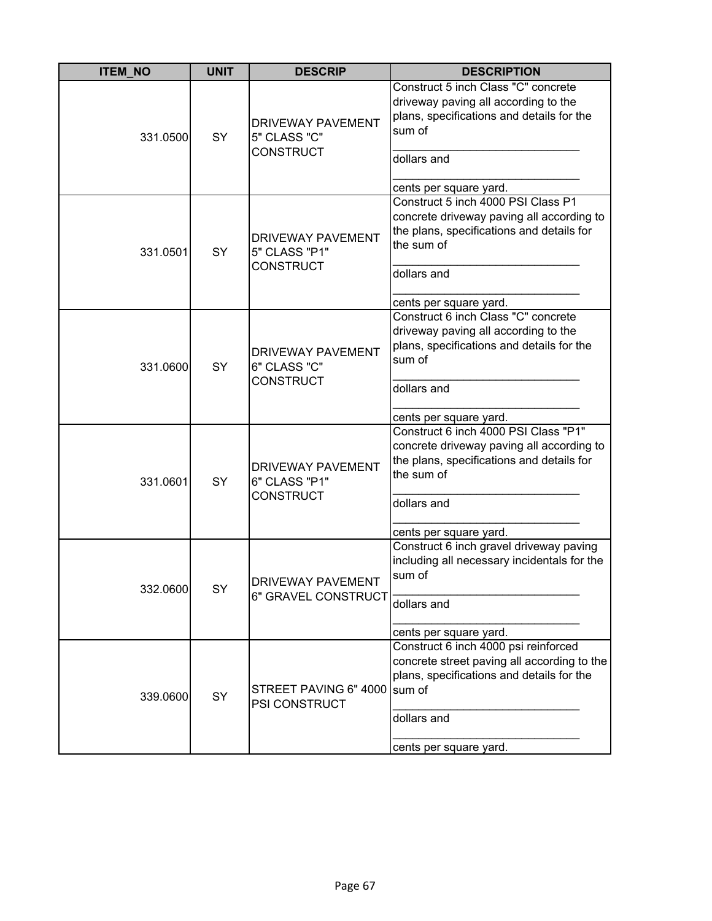| <b>ITEM_NO</b> | <b>UNIT</b> | <b>DESCRIP</b>                                                | <b>DESCRIPTION</b>                                                                                                                                                                    |
|----------------|-------------|---------------------------------------------------------------|---------------------------------------------------------------------------------------------------------------------------------------------------------------------------------------|
| 331.0500       | <b>SY</b>   | <b>DRIVEWAY PAVEMENT</b><br>5" CLASS "C"<br><b>CONSTRUCT</b>  | Construct 5 inch Class "C" concrete<br>driveway paving all according to the<br>plans, specifications and details for the<br>sum of<br>dollars and<br>cents per square yard.           |
| 331.0501       | SY          | <b>DRIVEWAY PAVEMENT</b><br>5" CLASS "P1"<br><b>CONSTRUCT</b> | Construct 5 inch 4000 PSI Class P1<br>concrete driveway paving all according to<br>the plans, specifications and details for<br>the sum of<br>dollars and<br>cents per square yard.   |
| 331.0600       | <b>SY</b>   | <b>DRIVEWAY PAVEMENT</b><br>6" CLASS "C"<br><b>CONSTRUCT</b>  | Construct 6 inch Class "C" concrete<br>driveway paving all according to the<br>plans, specifications and details for the<br>sum of<br>dollars and<br>cents per square yard.           |
| 331.0601       | SY          | <b>DRIVEWAY PAVEMENT</b><br>6" CLASS "P1"<br><b>CONSTRUCT</b> | Construct 6 inch 4000 PSI Class "P1"<br>concrete driveway paving all according to<br>the plans, specifications and details for<br>the sum of<br>dollars and<br>cents per square yard. |
| 332.0600       | SY          | <b>DRIVEWAY PAVEMENT</b><br>6" GRAVEL CONSTRUCT               | Construct 6 inch gravel driveway paving<br>including all necessary incidentals for the<br>sum of<br>dollars and<br>cents per square yard.                                             |
| 339.0600       | SY          | STREET PAVING 6" 4000 sum of<br>PSI CONSTRUCT                 | Construct 6 inch 4000 psi reinforced<br>concrete street paving all according to the<br>plans, specifications and details for the<br>dollars and<br>cents per square yard.             |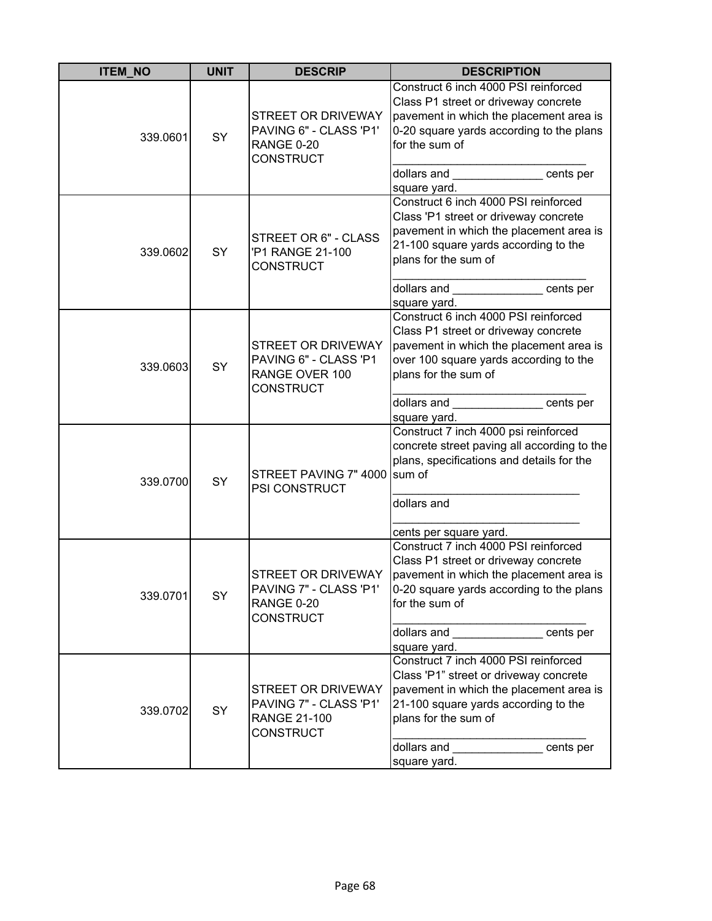| <b>ITEM_NO</b> | <b>UNIT</b> | <b>DESCRIP</b>                                                                          | <b>DESCRIPTION</b>                                                                                                                                                                                                                                                                                                               |
|----------------|-------------|-----------------------------------------------------------------------------------------|----------------------------------------------------------------------------------------------------------------------------------------------------------------------------------------------------------------------------------------------------------------------------------------------------------------------------------|
| 339.0601       | SY          | STREET OR DRIVEWAY<br>PAVING 6" - CLASS 'P1'<br>RANGE 0-20<br><b>CONSTRUCT</b>          | Construct 6 inch 4000 PSI reinforced<br>Class P1 street or driveway concrete<br>pavement in which the placement area is<br>0-20 square yards according to the plans<br>for the sum of<br>dollars and <b>contract the contract of the contract</b><br>cents per<br>square yard.                                                   |
| 339.0602       | SY          | STREET OR 6" - CLASS<br>'P1 RANGE 21-100<br><b>CONSTRUCT</b>                            | Construct 6 inch 4000 PSI reinforced<br>Class 'P1 street or driveway concrete<br>pavement in which the placement area is<br>21-100 square yards according to the<br>plans for the sum of<br>dollars and <b>contract the contract of the contract of the contract of the contract of the contract of the control</b><br>cents per |
| 339.0603       | SY          | STREET OR DRIVEWAY<br>PAVING 6" - CLASS 'P1<br>RANGE OVER 100<br><b>CONSTRUCT</b>       | square yard.<br>Construct 6 inch 4000 PSI reinforced<br>Class P1 street or driveway concrete<br>pavement in which the placement area is<br>over 100 square yards according to the<br>plans for the sum of<br>dollars and entitled cents per<br>square yard.                                                                      |
| 339.0700       | SY          | STREET PAVING 7" 4000<br>PSI CONSTRUCT                                                  | Construct 7 inch 4000 psi reinforced<br>concrete street paving all according to the<br>plans, specifications and details for the<br>sum of<br>dollars and<br>cents per square yard.                                                                                                                                              |
| 339.0701       | SY          | STREET OR DRIVEWAY<br>PAVING 7" - CLASS 'P1'<br>RANGE 0-20<br><b>CONSTRUCT</b>          | Construct 7 inch 4000 PSI reinforced<br>Class P1 street or driveway concrete<br>pavement in which the placement area is<br>0-20 square yards according to the plans<br>for the sum of<br>dollars and<br>cents per<br>square yard.                                                                                                |
| 339.0702       | SY          | STREET OR DRIVEWAY<br>PAVING 7" - CLASS 'P1'<br><b>RANGE 21-100</b><br><b>CONSTRUCT</b> | Construct 7 inch 4000 PSI reinforced<br>Class 'P1" street or driveway concrete<br>pavement in which the placement area is<br>21-100 square yards according to the<br>plans for the sum of<br>dollars and<br>cents per<br>square yard.                                                                                            |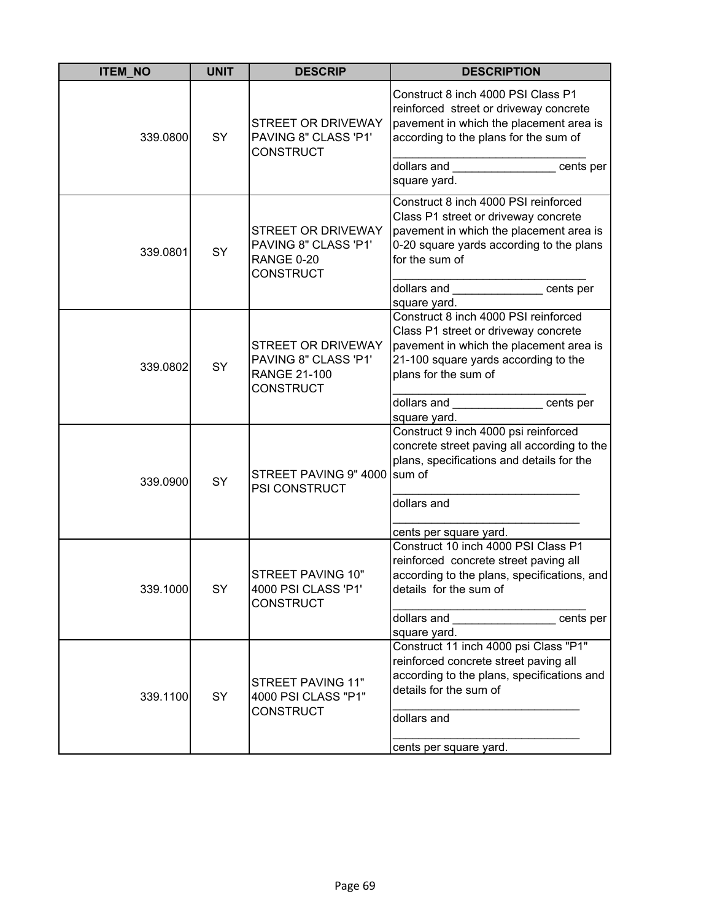| <b>ITEM_NO</b> | <b>UNIT</b> | <b>DESCRIP</b>                                                                        | <b>DESCRIPTION</b>                                                                                                                                                                                              |
|----------------|-------------|---------------------------------------------------------------------------------------|-----------------------------------------------------------------------------------------------------------------------------------------------------------------------------------------------------------------|
| 339.0800       | SY          | <b>STREET OR DRIVEWAY</b><br>PAVING 8" CLASS 'P1'<br><b>CONSTRUCT</b>                 | Construct 8 inch 4000 PSI Class P1<br>reinforced street or driveway concrete<br>pavement in which the placement area is<br>according to the plans for the sum of<br>dollars and<br>cents per<br>square yard.    |
| 339.0801       | SY          | STREET OR DRIVEWAY<br>PAVING 8" CLASS 'P1'<br><b>RANGE 0-20</b><br><b>CONSTRUCT</b>   | Construct 8 inch 4000 PSI reinforced<br>Class P1 street or driveway concrete<br>pavement in which the placement area is<br>0-20 square yards according to the plans<br>for the sum of                           |
|                |             |                                                                                       | dollars and <b>selling</b> and <b>selling</b><br>cents per<br>square yard.                                                                                                                                      |
| 339.0802       | SY          | STREET OR DRIVEWAY<br>PAVING 8" CLASS 'P1'<br><b>RANGE 21-100</b><br><b>CONSTRUCT</b> | Construct 8 inch 4000 PSI reinforced<br>Class P1 street or driveway concrete<br>pavement in which the placement area is<br>21-100 square yards according to the<br>plans for the sum of                         |
|                |             |                                                                                       | dollars and<br>cents per                                                                                                                                                                                        |
| 339.0900       | SY          | STREET PAVING 9" 4000 sum of<br>PSI CONSTRUCT                                         | square yard.<br>Construct 9 inch 4000 psi reinforced<br>concrete street paving all according to the<br>plans, specifications and details for the<br>dollars and                                                 |
|                |             |                                                                                       | cents per square yard.                                                                                                                                                                                          |
| 339.1000       | SY          | STREET PAVING 10"<br>4000 PSI CLASS 'P1'<br><b>CONSTRUCT</b>                          | Construct 10 inch 4000 PSI Class P1<br>reinforced concrete street paving all<br>according to the plans, specifications, and<br>details for the sum of                                                           |
|                |             |                                                                                       | dollars and __________________ cents per                                                                                                                                                                        |
| 339.1100       | SY          | STREET PAVING 11"<br>4000 PSI CLASS "P1"<br><b>CONSTRUCT</b>                          | square yard.<br>Construct 11 inch 4000 psi Class "P1"<br>reinforced concrete street paving all<br>according to the plans, specifications and<br>details for the sum of<br>dollars and<br>cents per square yard. |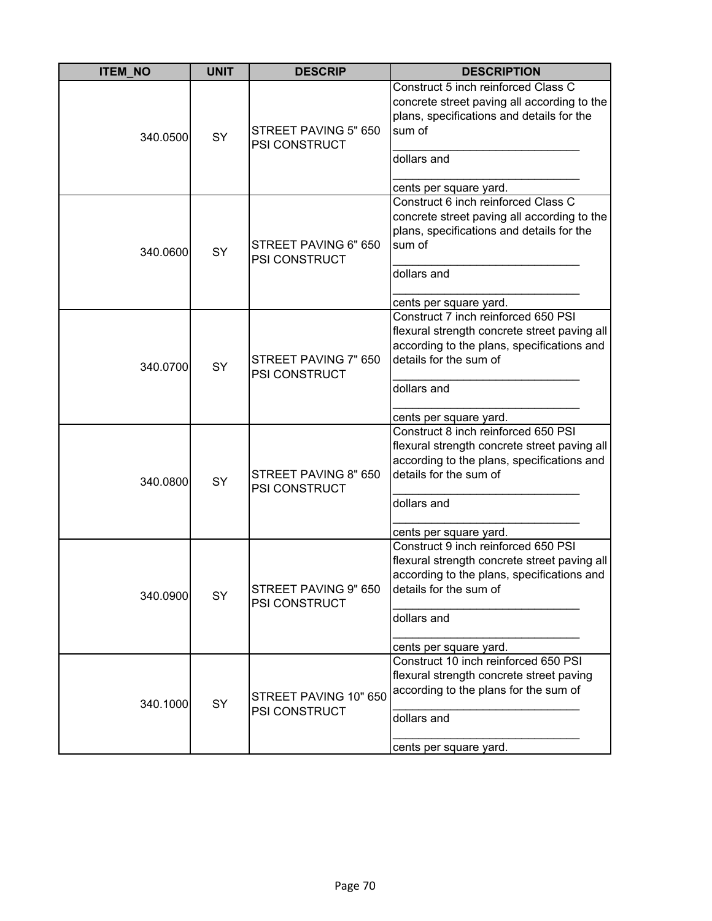| <b>ITEM NO</b> | <b>UNIT</b> | <b>DESCRIP</b>                               | <b>DESCRIPTION</b>                                                                                                                                                                                   |
|----------------|-------------|----------------------------------------------|------------------------------------------------------------------------------------------------------------------------------------------------------------------------------------------------------|
| 340.0500       | <b>SY</b>   | STREET PAVING 5" 650<br><b>PSI CONSTRUCT</b> | Construct 5 inch reinforced Class C<br>concrete street paving all according to the<br>plans, specifications and details for the<br>sum of<br>dollars and<br>cents per square yard.                   |
| 340.0600       | SY          | STREET PAVING 6" 650<br><b>PSI CONSTRUCT</b> | Construct 6 inch reinforced Class C<br>concrete street paving all according to the<br>plans, specifications and details for the<br>sum of<br>dollars and<br>cents per square yard.                   |
| 340.0700       | SY          | STREET PAVING 7" 650<br><b>PSI CONSTRUCT</b> | Construct 7 inch reinforced 650 PSI<br>flexural strength concrete street paving all<br>according to the plans, specifications and<br>details for the sum of<br>dollars and<br>cents per square yard. |
| 340.0800       | SY          | STREET PAVING 8" 650<br>PSI CONSTRUCT        | Construct 8 inch reinforced 650 PSI<br>flexural strength concrete street paving all<br>according to the plans, specifications and<br>details for the sum of<br>dollars and<br>cents per square yard. |
| 340.0900       | SY          | STREET PAVING 9" 650<br>PSI CONSTRUCT        | Construct 9 inch reinforced 650 PSI<br>flexural strength concrete street paving all<br>according to the plans, specifications and<br>details for the sum of<br>dollars and<br>cents per square yard. |
| 340.1000       | SY          | STREET PAVING 10" 650<br>PSI CONSTRUCT       | Construct 10 inch reinforced 650 PSI<br>flexural strength concrete street paving<br>according to the plans for the sum of<br>dollars and<br>cents per square yard.                                   |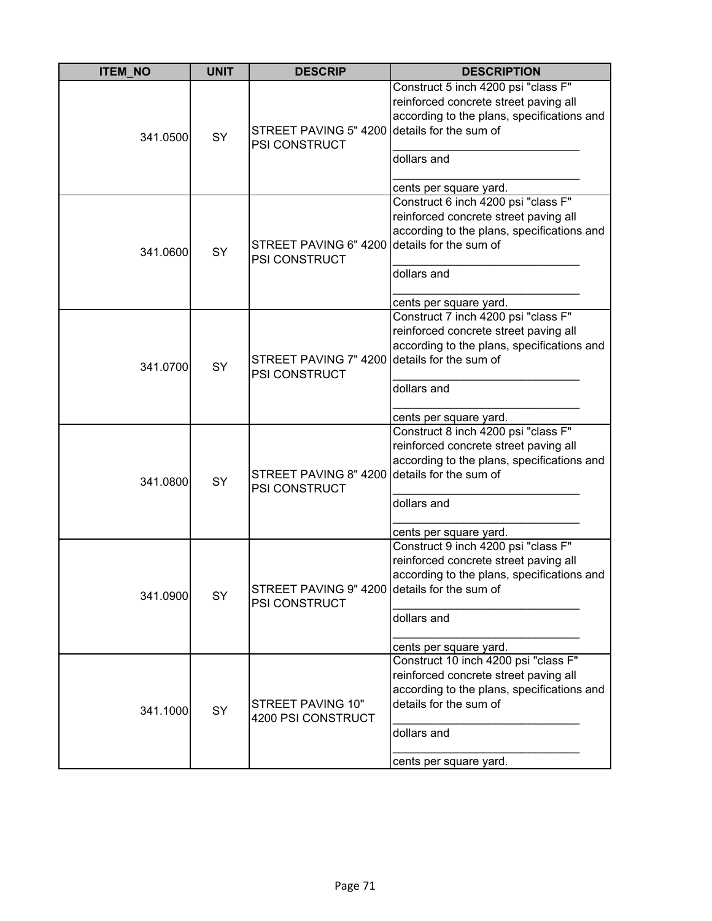| <b>ITEM_NO</b> | <b>UNIT</b> | <b>DESCRIP</b>                                                       | <b>DESCRIPTION</b>                                                                                                                                                                             |
|----------------|-------------|----------------------------------------------------------------------|------------------------------------------------------------------------------------------------------------------------------------------------------------------------------------------------|
| 341.0500       | SY          | STREET PAVING 5" 4200 details for the sum of<br>PSI CONSTRUCT        | Construct 5 inch 4200 psi "class F"<br>reinforced concrete street paving all<br>according to the plans, specifications and<br>dollars and<br>cents per square yard.                            |
| 341.0600       | SY          | STREET PAVING 6" 4200<br><b>PSI CONSTRUCT</b>                        | Construct 6 inch 4200 psi "class F"<br>reinforced concrete street paving all<br>according to the plans, specifications and<br>details for the sum of<br>dollars and<br>cents per square yard.  |
| 341.0700       | SY          | STREET PAVING 7" 4200 details for the sum of<br><b>PSI CONSTRUCT</b> | Construct 7 inch 4200 psi "class F"<br>reinforced concrete street paving all<br>according to the plans, specifications and<br>dollars and<br>cents per square yard.                            |
| 341.0800       | SY          | STREET PAVING 8" 4200 details for the sum of<br>PSI CONSTRUCT        | Construct 8 inch 4200 psi "class F"<br>reinforced concrete street paving all<br>according to the plans, specifications and<br>dollars and<br>cents per square yard.                            |
| 341.0900       | SY          | STREET PAVING 9" 4200 details for the sum of<br><b>PSI CONSTRUCT</b> | Construct 9 inch 4200 psi "class F"<br>reinforced concrete street paving all<br>according to the plans, specifications and<br>dollars and<br>cents per square yard.                            |
| 341.1000       | SY          | STREET PAVING 10"<br>4200 PSI CONSTRUCT                              | Construct 10 inch 4200 psi "class F"<br>reinforced concrete street paving all<br>according to the plans, specifications and<br>details for the sum of<br>dollars and<br>cents per square yard. |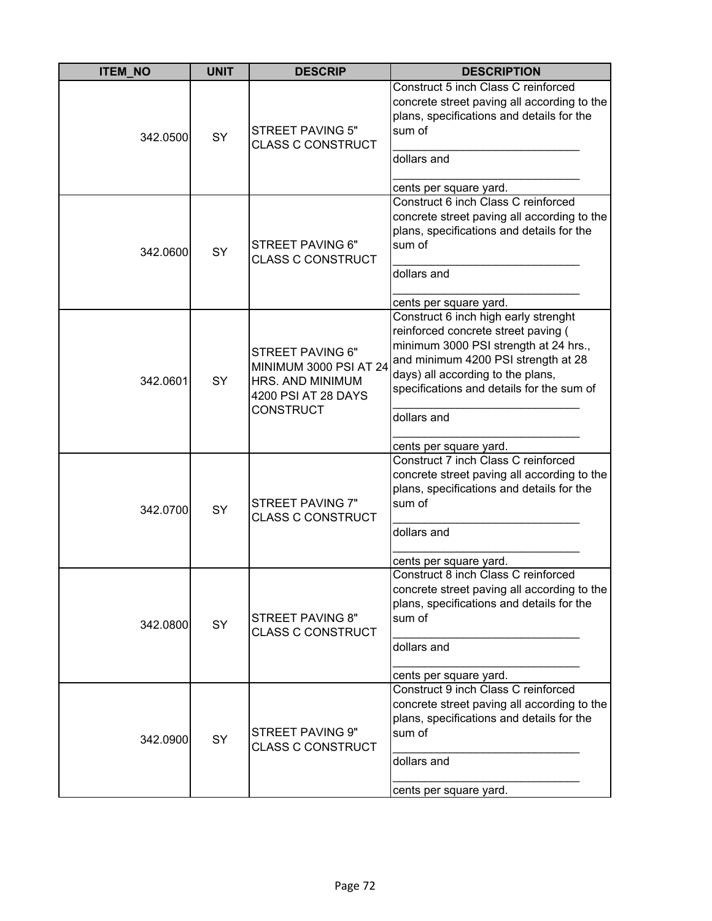| <b>ITEM_NO</b> | <b>UNIT</b> | <b>DESCRIP</b>                                                                                                   | <b>DESCRIPTION</b>                                                                                                                                                                                                                                           |
|----------------|-------------|------------------------------------------------------------------------------------------------------------------|--------------------------------------------------------------------------------------------------------------------------------------------------------------------------------------------------------------------------------------------------------------|
| 342.0500       | <b>SY</b>   | <b>STREET PAVING 5"</b><br><b>CLASS C CONSTRUCT</b>                                                              | Construct 5 inch Class C reinforced<br>concrete street paving all according to the<br>plans, specifications and details for the<br>sum of<br>dollars and                                                                                                     |
| 342.0600       | SY          | STREET PAVING 6"<br><b>CLASS C CONSTRUCT</b>                                                                     | cents per square yard.<br>Construct 6 inch Class C reinforced<br>concrete street paving all according to the<br>plans, specifications and details for the<br>sum of<br>dollars and<br>cents per square yard.                                                 |
| 342.0601       | <b>SY</b>   | STREET PAVING 6"<br><b>MINIMUM 3000 PSI AT 24</b><br>HRS. AND MINIMUM<br>4200 PSI AT 28 DAYS<br><b>CONSTRUCT</b> | Construct 6 inch high early strenght<br>reinforced concrete street paving (<br>minimum 3000 PSI strength at 24 hrs.,<br>and minimum 4200 PSI strength at 28<br>days) all according to the plans,<br>specifications and details for the sum of<br>dollars and |
| 342.0700       | SY          | STREET PAVING 7"<br><b>CLASS C CONSTRUCT</b>                                                                     | cents per square yard.<br>Construct 7 inch Class C reinforced<br>concrete street paving all according to the<br>plans, specifications and details for the<br>sum of<br>dollars and<br>cents per square yard.                                                 |
| 342.0800       | SY          | STREET PAVING 8"<br><b>CLASS C CONSTRUCT</b>                                                                     | Construct 8 inch Class C reinforced<br>concrete street paving all according to the<br>plans, specifications and details for the<br>sum of<br>dollars and<br>cents per square yard.                                                                           |
| 342.0900       | SY          | STREET PAVING 9"<br><b>CLASS C CONSTRUCT</b>                                                                     | Construct 9 inch Class C reinforced<br>concrete street paving all according to the<br>plans, specifications and details for the<br>sum of<br>dollars and<br>cents per square yard.                                                                           |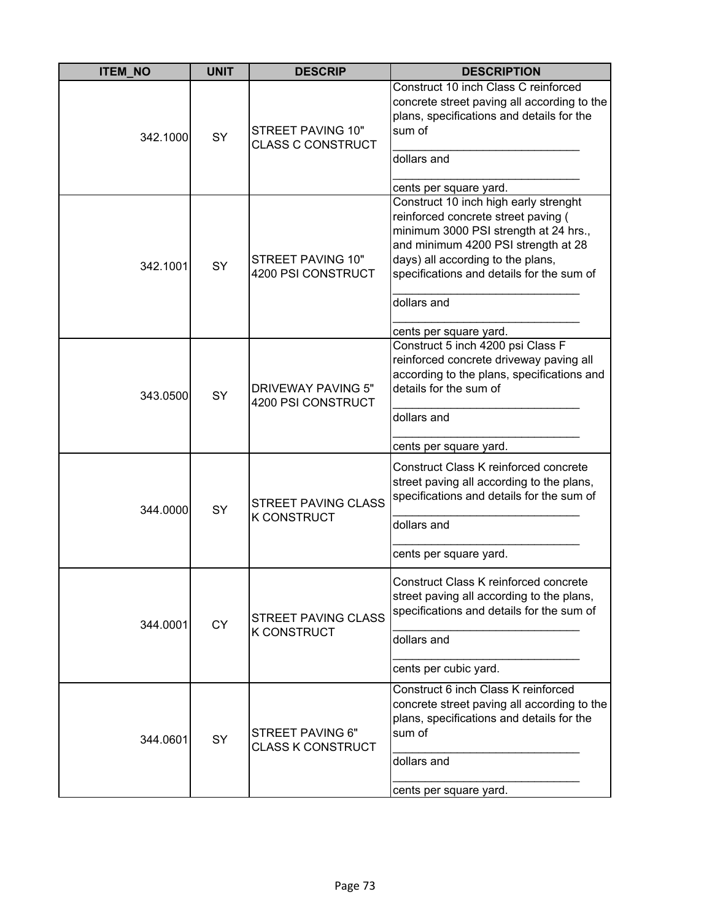| <b>ITEM NO</b> | <b>UNIT</b> | <b>DESCRIP</b>                                       | <b>DESCRIPTION</b>                                                                                                                                                                                                                                                                                                |
|----------------|-------------|------------------------------------------------------|-------------------------------------------------------------------------------------------------------------------------------------------------------------------------------------------------------------------------------------------------------------------------------------------------------------------|
| 342.1000       | SY          | <b>STREET PAVING 10"</b><br><b>CLASS C CONSTRUCT</b> | Construct 10 inch Class C reinforced<br>concrete street paving all according to the<br>plans, specifications and details for the<br>sum of<br>dollars and                                                                                                                                                         |
| 342.1001       | SY          | <b>STREET PAVING 10"</b><br>4200 PSI CONSTRUCT       | cents per square yard.<br>Construct 10 inch high early strenght<br>reinforced concrete street paving (<br>minimum 3000 PSI strength at 24 hrs.,<br>and minimum 4200 PSI strength at 28<br>days) all according to the plans,<br>specifications and details for the sum of<br>dollars and<br>cents per square yard. |
| 343.0500       | <b>SY</b>   | <b>DRIVEWAY PAVING 5"</b><br>4200 PSI CONSTRUCT      | Construct 5 inch 4200 psi Class F<br>reinforced concrete driveway paving all<br>according to the plans, specifications and<br>details for the sum of<br>dollars and                                                                                                                                               |
|                |             |                                                      | cents per square yard.                                                                                                                                                                                                                                                                                            |
| 344.0000       | SY          | <b>STREET PAVING CLASS</b><br><b>K CONSTRUCT</b>     | Construct Class K reinforced concrete<br>street paving all according to the plans,<br>specifications and details for the sum of<br>dollars and                                                                                                                                                                    |
|                |             |                                                      | cents per square yard.                                                                                                                                                                                                                                                                                            |
| 344.0001       | <b>CY</b>   | <b>STREET PAVING CLASS</b><br><b>K CONSTRUCT</b>     | Construct Class K reinforced concrete<br>street paving all according to the plans,<br>specifications and details for the sum of<br>dollars and                                                                                                                                                                    |
|                |             |                                                      | cents per cubic yard.                                                                                                                                                                                                                                                                                             |
| 344.0601       | <b>SY</b>   | STREET PAVING 6"<br><b>CLASS K CONSTRUCT</b>         | Construct 6 inch Class K reinforced<br>concrete street paving all according to the<br>plans, specifications and details for the<br>sum of<br>dollars and<br>cents per square yard.                                                                                                                                |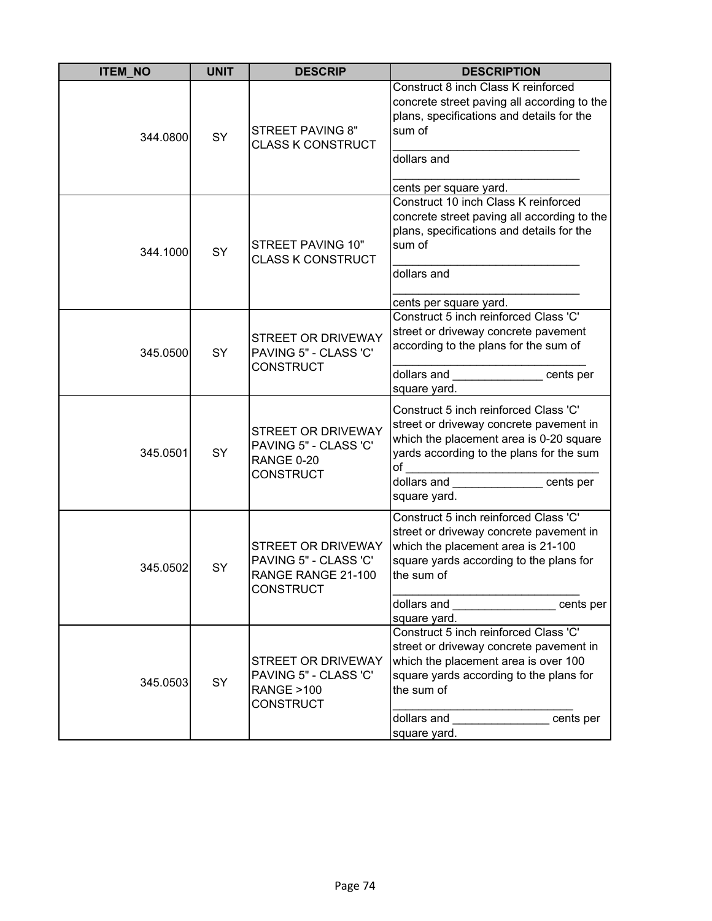| <b>ITEM_NO</b> | <b>UNIT</b> | <b>DESCRIP</b>                                                                              | <b>DESCRIPTION</b>                                                                                                                                                                                                                                                                                                                                                                                                                                     |
|----------------|-------------|---------------------------------------------------------------------------------------------|--------------------------------------------------------------------------------------------------------------------------------------------------------------------------------------------------------------------------------------------------------------------------------------------------------------------------------------------------------------------------------------------------------------------------------------------------------|
| 344.0800       | <b>SY</b>   | <b>STREET PAVING 8"</b><br><b>CLASS K CONSTRUCT</b>                                         | Construct 8 inch Class K reinforced<br>concrete street paving all according to the<br>plans, specifications and details for the<br>sum of<br>dollars and<br>cents per square yard.                                                                                                                                                                                                                                                                     |
| 344.1000       | SY          | STREET PAVING 10"<br><b>CLASS K CONSTRUCT</b>                                               | Construct 10 inch Class K reinforced<br>concrete street paving all according to the<br>plans, specifications and details for the<br>sum of<br>dollars and<br>cents per square yard.                                                                                                                                                                                                                                                                    |
| 345.0500       | SY          | <b>STREET OR DRIVEWAY</b><br>PAVING 5" - CLASS 'C'<br><b>CONSTRUCT</b>                      | Construct 5 inch reinforced Class 'C'<br>street or driveway concrete pavement<br>according to the plans for the sum of<br>dollars and entry cents per<br>square yard.                                                                                                                                                                                                                                                                                  |
| 345.0501       | <b>SY</b>   | <b>STREET OR DRIVEWAY</b><br>PAVING 5" - CLASS 'C'<br><b>RANGE 0-20</b><br><b>CONSTRUCT</b> | Construct 5 inch reinforced Class 'C'<br>street or driveway concrete pavement in<br>which the placement area is 0-20 square<br>yards according to the plans for the sum<br>of<br><u> 1980 - Johann Barbara, martin a</u><br>dollars and <b>container</b><br>cents per<br>square yard.                                                                                                                                                                  |
| 345.0502       | SY          | STREET OR DRIVEWAY<br>PAVING 5" - CLASS 'C'<br>RANGE RANGE 21-100<br><b>CONSTRUCT</b>       | Construct 5 inch reinforced Class 'C'<br>street or driveway concrete pavement in<br>which the placement area is 21-100<br>square yards according to the plans for<br>the sum of<br>dollars and<br>cents per<br>square yard.                                                                                                                                                                                                                            |
| 345.0503       | SY          | STREET OR DRIVEWAY<br>PAVING 5" - CLASS 'C'<br><b>RANGE &gt;100</b><br><b>CONSTRUCT</b>     | Construct 5 inch reinforced Class 'C'<br>street or driveway concrete pavement in<br>which the placement area is over 100<br>square yards according to the plans for<br>the sum of<br>dollars and <b>with the control of the control of the control of the control of the control of the control of the control of the control of the control of the control of the control of the control of the control of the contr</b><br>cents per<br>square yard. |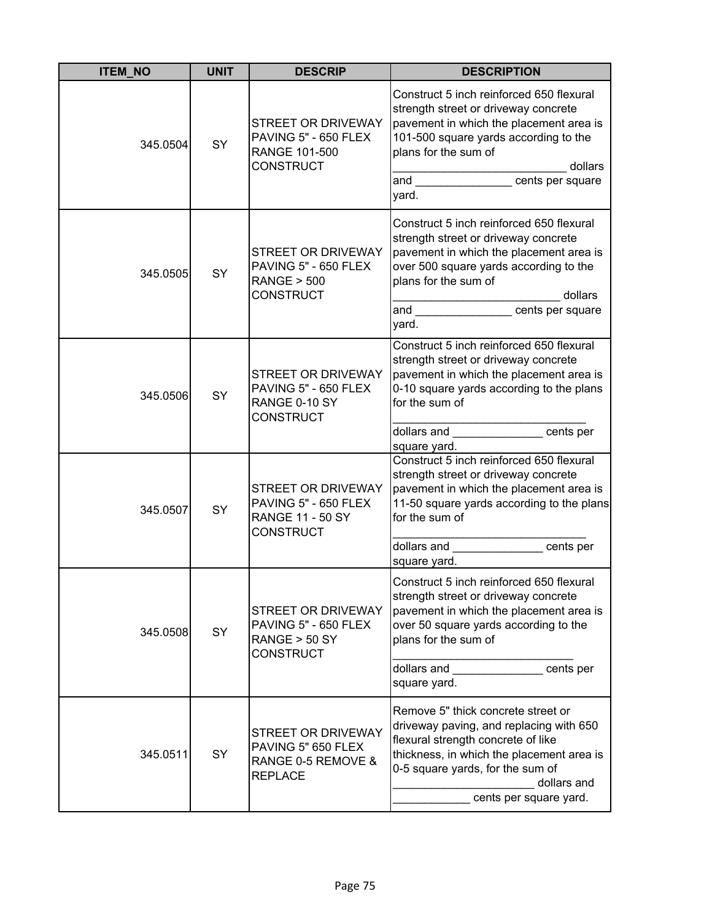| <b>ITEM_NO</b> | <b>UNIT</b> | <b>DESCRIP</b>                                                                            | <b>DESCRIPTION</b>                                                                                                                                                                                                                                         |
|----------------|-------------|-------------------------------------------------------------------------------------------|------------------------------------------------------------------------------------------------------------------------------------------------------------------------------------------------------------------------------------------------------------|
| 345.0504       | SY          | STREET OR DRIVEWAY<br>PAVING 5" - 650 FLEX<br>RANGE 101-500<br><b>CONSTRUCT</b>           | Construct 5 inch reinforced 650 flexural<br>strength street or driveway concrete<br>pavement in which the placement area is<br>101-500 square yards according to the<br>plans for the sum of<br>dollars<br>and cents per square<br>yard.                   |
| 345.0505       | SY          | STREET OR DRIVEWAY<br>PAVING 5" - 650 FLEX<br><b>RANGE &gt; 500</b><br><b>CONSTRUCT</b>   | Construct 5 inch reinforced 650 flexural<br>strength street or driveway concrete<br>pavement in which the placement area is<br>over 500 square yards according to the<br>plans for the sum of<br>dollars<br>and ________________ cents per square<br>yard. |
| 345.0506       | <b>SY</b>   | STREET OR DRIVEWAY<br>PAVING 5" - 650 FLEX<br>RANGE 0-10 SY<br><b>CONSTRUCT</b>           | Construct 5 inch reinforced 650 flexural<br>strength street or driveway concrete<br>pavement in which the placement area is<br>0-10 square yards according to the plans<br>for the sum of<br>dollars and _______________ cents per<br>square yard.         |
| 345.0507       | SY          | STREET OR DRIVEWAY<br>PAVING 5" - 650 FLEX<br><b>RANGE 11 - 50 SY</b><br><b>CONSTRUCT</b> | Construct 5 inch reinforced 650 flexural<br>strength street or driveway concrete<br>pavement in which the placement area is<br>11-50 square yards according to the plans<br>for the sum of<br>dollars and ______________ cents per<br>square yard.         |
| 345.0508       | SY          | STREET OR DRIVEWAY<br>PAVING 5" - 650 FLEX<br>RANGE > 50 SY<br><b>CONSTRUCT</b>           | Construct 5 inch reinforced 650 flexural<br>strength street or driveway concrete<br>pavement in which the placement area is<br>over 50 square yards according to the<br>plans for the sum of<br>dollars and the cents per<br>square yard.                  |
| 345.0511       | SY          | <b>STREET OR DRIVEWAY</b><br>PAVING 5" 650 FLEX<br>RANGE 0-5 REMOVE &<br><b>REPLACE</b>   | Remove 5" thick concrete street or<br>driveway paving, and replacing with 650<br>flexural strength concrete of like<br>thickness, in which the placement area is<br>0-5 square yards, for the sum of<br>dollars and<br>cents per square yard.              |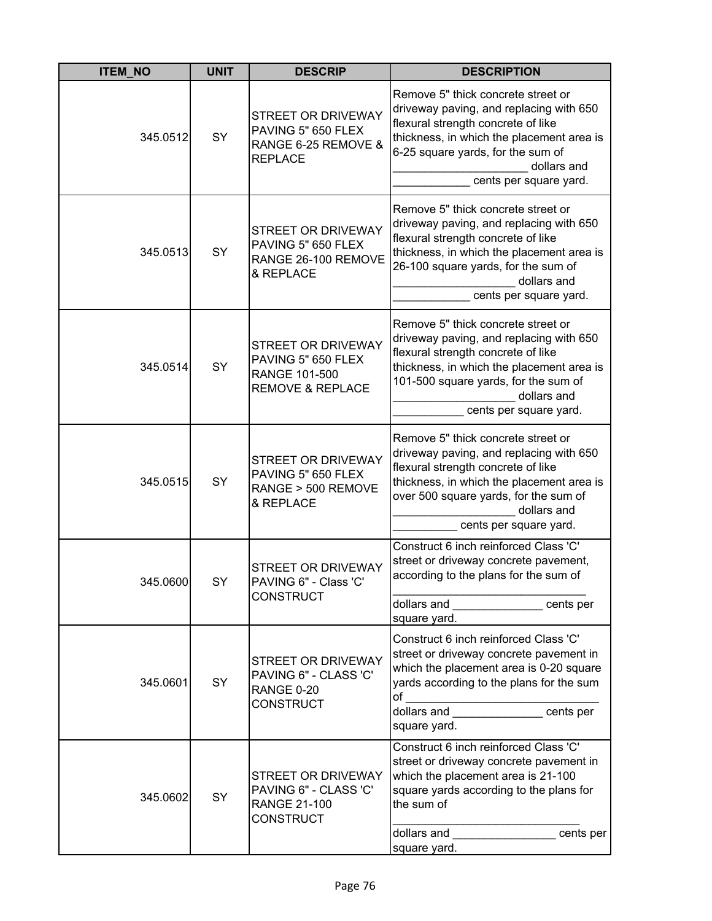| <b>ITEM_NO</b> | <b>UNIT</b> | <b>DESCRIP</b>                                                                              | <b>DESCRIPTION</b>                                                                                                                                                                                                                                 |
|----------------|-------------|---------------------------------------------------------------------------------------------|----------------------------------------------------------------------------------------------------------------------------------------------------------------------------------------------------------------------------------------------------|
| 345.0512       | SY          | STREET OR DRIVEWAY<br>PAVING 5" 650 FLEX<br>RANGE 6-25 REMOVE &<br><b>REPLACE</b>           | Remove 5" thick concrete street or<br>driveway paving, and replacing with 650<br>flexural strength concrete of like<br>thickness, in which the placement area is<br>6-25 square yards, for the sum of<br>dollars and<br>cents per square yard.     |
| 345.0513       | SY          | <b>STREET OR DRIVEWAY</b><br>PAVING 5" 650 FLEX<br>RANGE 26-100 REMOVE<br>& REPLACE         | Remove 5" thick concrete street or<br>driveway paving, and replacing with 650<br>flexural strength concrete of like<br>thickness, in which the placement area is<br>26-100 square yards, for the sum of<br>dollars and<br>cents per square yard.   |
| 345.0514       | SY          | STREET OR DRIVEWAY<br>PAVING 5" 650 FLEX<br>RANGE 101-500<br><b>REMOVE &amp; REPLACE</b>    | Remove 5" thick concrete street or<br>driveway paving, and replacing with 650<br>flexural strength concrete of like<br>thickness, in which the placement area is<br>101-500 square yards, for the sum of<br>dollars and<br>cents per square yard.  |
| 345.0515       | SY          | <b>STREET OR DRIVEWAY</b><br>PAVING 5" 650 FLEX<br>RANGE > 500 REMOVE<br>& REPLACE          | Remove 5" thick concrete street or<br>driveway paving, and replacing with 650<br>flexural strength concrete of like<br>thickness, in which the placement area is<br>over 500 square yards, for the sum of<br>dollars and<br>cents per square yard. |
| 345.0600       | <b>SY</b>   | STREET OR DRIVEWAY<br>PAVING 6" - Class 'C'<br><b>CONSTRUCT</b>                             | Construct 6 inch reinforced Class 'C'<br>street or driveway concrete pavement,<br>according to the plans for the sum of<br>dollars and entry cents per<br>square yard.                                                                             |
| 345.0601       | SY          | <b>STREET OR DRIVEWAY</b><br>PAVING 6" - CLASS 'C'<br><b>RANGE 0-20</b><br><b>CONSTRUCT</b> | Construct 6 inch reinforced Class 'C'<br>street or driveway concrete pavement in<br>which the placement area is 0-20 square<br>yards according to the plans for the sum<br>of<br>square yard.                                                      |
| 345.0602       | SY          | STREET OR DRIVEWAY<br>PAVING 6" - CLASS 'C'<br><b>RANGE 21-100</b><br><b>CONSTRUCT</b>      | Construct 6 inch reinforced Class 'C'<br>street or driveway concrete pavement in<br>which the placement area is 21-100<br>square yards according to the plans for<br>the sum of<br>dollars and cents per<br>square yard.                           |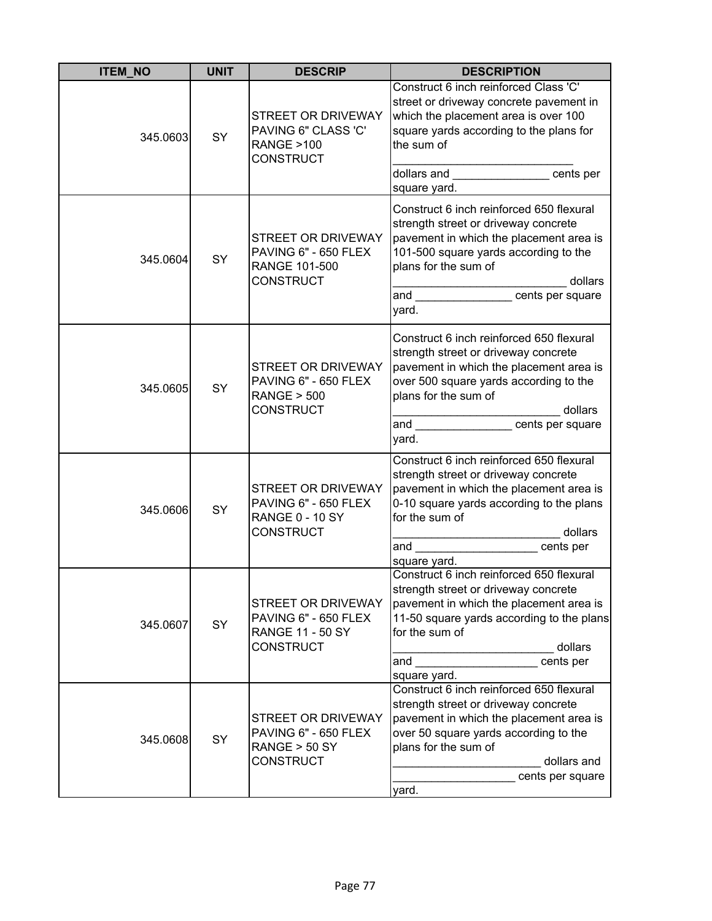| <b>ITEM_NO</b> | <b>UNIT</b> | <b>DESCRIP</b>                                                                     | <b>DESCRIPTION</b>                                                                                                                                                                                                                                            |
|----------------|-------------|------------------------------------------------------------------------------------|---------------------------------------------------------------------------------------------------------------------------------------------------------------------------------------------------------------------------------------------------------------|
| 345.0603       | SY          | STREET OR DRIVEWAY<br>PAVING 6" CLASS 'C'<br><b>RANGE &gt;100</b><br>CONSTRUCT     | Construct 6 inch reinforced Class 'C'<br>street or driveway concrete pavement in<br>which the placement area is over 100<br>square yards according to the plans for<br>the sum of<br>dollars and <b>contract and dollars</b> and<br>cents per<br>square yard. |
| 345.0604       | SY          | STREET OR DRIVEWAY<br>PAVING 6" - 650 FLEX<br>RANGE 101-500<br>CONSTRUCT           | Construct 6 inch reinforced 650 flexural<br>strength street or driveway concrete<br>pavement in which the placement area is<br>101-500 square yards according to the<br>plans for the sum of<br>dollars<br>and cents per square<br>yard.                      |
| 345.0605       | SY          | STREET OR DRIVEWAY<br>PAVING 6" - 650 FLEX<br><b>RANGE &gt; 500</b><br>CONSTRUCT   | Construct 6 inch reinforced 650 flexural<br>strength street or driveway concrete<br>pavement in which the placement area is<br>over 500 square yards according to the<br>plans for the sum of<br>dollars<br>and<br>cents per square<br>yard.                  |
| 345.0606       | SY          | STREET OR DRIVEWAY<br>PAVING 6" - 650 FLEX<br><b>RANGE 0 - 10 SY</b><br>CONSTRUCT  | Construct 6 inch reinforced 650 flexural<br>strength street or driveway concrete<br>pavement in which the placement area is<br>0-10 square yards according to the plans<br>for the sum of<br>dollars<br>and _______________________cents per<br>square yard.  |
| 345.0607       | SY          | STREET OR DRIVEWAY<br>PAVING 6" - 650 FLEX<br><b>RANGE 11 - 50 SY</b><br>CONSTRUCT | Construct 6 inch reinforced 650 flexural<br>strength street or driveway concrete<br>pavement in which the placement area is<br>11-50 square yards according to the plans<br>for the sum of<br>dollars<br>and<br>cents per<br>square yard.                     |
| 345.0608       | SY          | STREET OR DRIVEWAY<br>PAVING 6" - 650 FLEX<br><b>RANGE &gt; 50 SY</b><br>CONSTRUCT | Construct 6 inch reinforced 650 flexural<br>strength street or driveway concrete<br>pavement in which the placement area is<br>over 50 square yards according to the<br>plans for the sum of<br>dollars and<br>cents per square<br>yard.                      |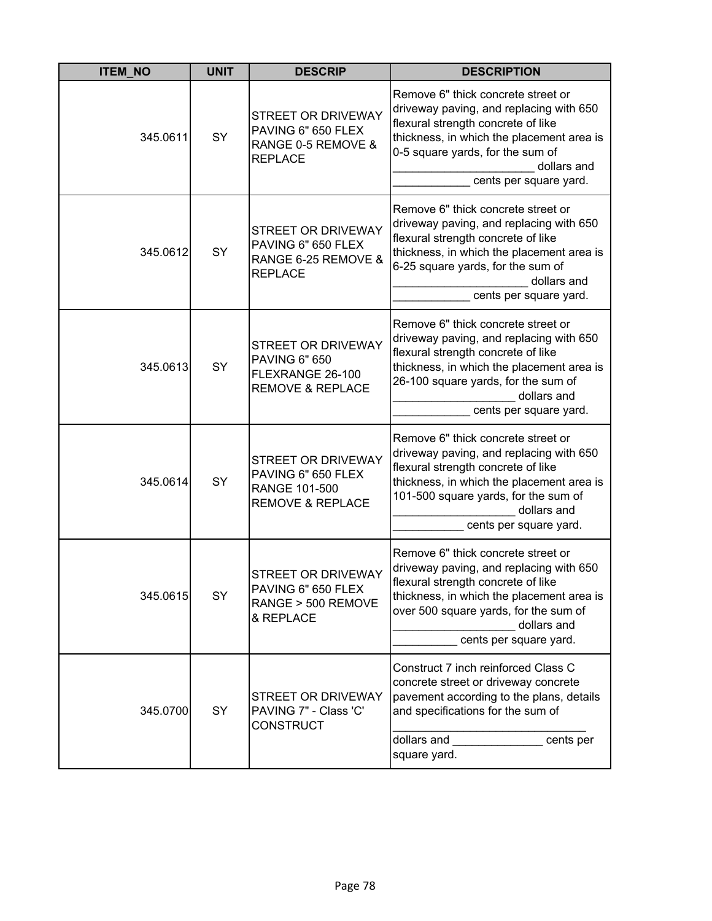| <b>ITEM NO</b> | <b>UNIT</b> | <b>DESCRIP</b>                                                                                | <b>DESCRIPTION</b>                                                                                                                                                                                                                                 |
|----------------|-------------|-----------------------------------------------------------------------------------------------|----------------------------------------------------------------------------------------------------------------------------------------------------------------------------------------------------------------------------------------------------|
| 345.0611       | SY          | STREET OR DRIVEWAY<br>PAVING 6" 650 FLEX<br>RANGE 0-5 REMOVE &<br><b>REPLACE</b>              | Remove 6" thick concrete street or<br>driveway paving, and replacing with 650<br>flexural strength concrete of like<br>thickness, in which the placement area is<br>0-5 square yards, for the sum of<br>dollars and<br>cents per square yard.      |
| 345.0612       | SY          | STREET OR DRIVEWAY<br>PAVING 6" 650 FLEX<br>RANGE 6-25 REMOVE &<br><b>REPLACE</b>             | Remove 6" thick concrete street or<br>driveway paving, and replacing with 650<br>flexural strength concrete of like<br>thickness, in which the placement area is<br>6-25 square yards, for the sum of<br>dollars and<br>cents per square yard.     |
| 345.0613       | SY          | STREET OR DRIVEWAY<br><b>PAVING 6" 650</b><br>FLEXRANGE 26-100<br><b>REMOVE &amp; REPLACE</b> | Remove 6" thick concrete street or<br>driveway paving, and replacing with 650<br>flexural strength concrete of like<br>thickness, in which the placement area is<br>26-100 square yards, for the sum of<br>dollars and<br>cents per square yard.   |
| 345.0614       | SY          | STREET OR DRIVEWAY<br>PAVING 6" 650 FLEX<br>RANGE 101-500<br><b>REMOVE &amp; REPLACE</b>      | Remove 6" thick concrete street or<br>driveway paving, and replacing with 650<br>flexural strength concrete of like<br>thickness, in which the placement area is<br>101-500 square yards, for the sum of<br>dollars and<br>cents per square yard.  |
| 345.0615       | SY          | STREET OR DRIVEWAY<br>PAVING 6" 650 FLEX<br>RANGE > 500 REMOVE<br>& REPLACE                   | Remove 6" thick concrete street or<br>driveway paving, and replacing with 650<br>flexural strength concrete of like<br>thickness, in which the placement area is<br>over 500 square yards, for the sum of<br>dollars and<br>cents per square yard. |
| 345.0700       | <b>SY</b>   | <b>STREET OR DRIVEWAY</b><br>PAVING 7" - Class 'C'<br><b>CONSTRUCT</b>                        | Construct 7 inch reinforced Class C<br>concrete street or driveway concrete<br>pavement according to the plans, details<br>and specifications for the sum of<br>dollars and<br>cents per<br>square yard.                                           |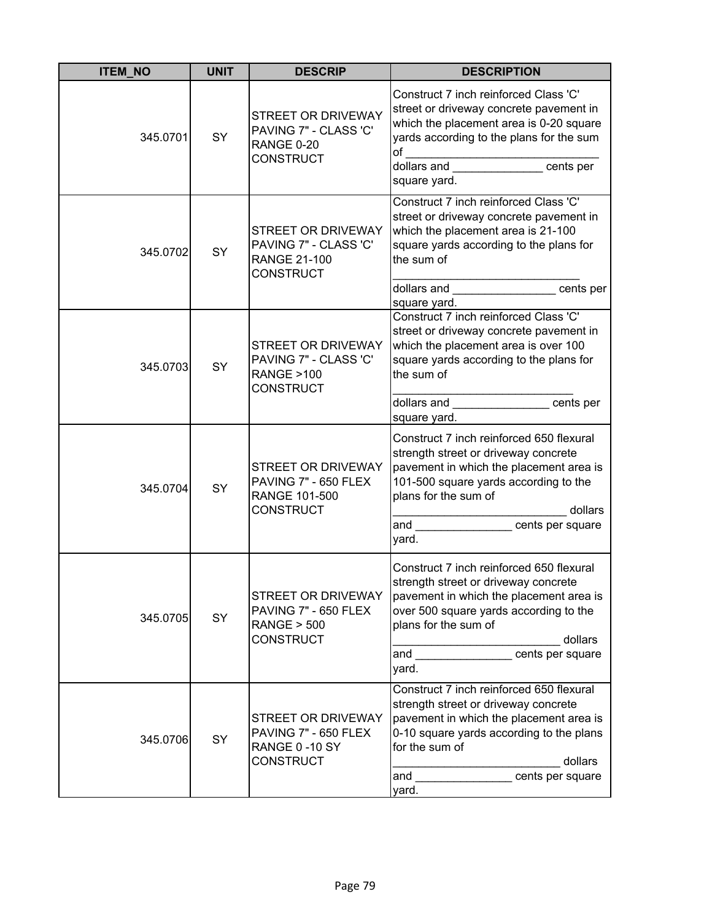| <b>ITEM_NO</b> | <b>UNIT</b> | <b>DESCRIP</b>                                                                                 | <b>DESCRIPTION</b>                                                                                                                                                                                                                               |
|----------------|-------------|------------------------------------------------------------------------------------------------|--------------------------------------------------------------------------------------------------------------------------------------------------------------------------------------------------------------------------------------------------|
| 345.0701       | SY          | STREET OR DRIVEWAY<br>PAVING 7" - CLASS 'C'<br><b>RANGE 0-20</b><br><b>CONSTRUCT</b>           | Construct 7 inch reinforced Class 'C'<br>street or driveway concrete pavement in<br>which the placement area is 0-20 square<br>yards according to the plans for the sum<br>of<br>dollars and<br>cents per<br>square yard.                        |
| 345.0702       | SY          | <b>STREET OR DRIVEWAY</b><br>PAVING 7" - CLASS 'C'<br><b>RANGE 21-100</b><br><b>CONSTRUCT</b>  | Construct 7 inch reinforced Class 'C'<br>street or driveway concrete pavement in<br>which the placement area is 21-100<br>square yards according to the plans for<br>the sum of<br>dollars and<br>cents per<br>square yard.                      |
| 345.0703       | SY          | STREET OR DRIVEWAY<br>PAVING 7" - CLASS 'C'<br><b>RANGE &gt;100</b><br><b>CONSTRUCT</b>        | Construct 7 inch reinforced Class 'C'<br>street or driveway concrete pavement in<br>which the placement area is over 100<br>square yards according to the plans for<br>the sum of<br>dollars and<br><b>Example 2</b> cents per<br>square yard.   |
| 345.0704       | SY          | <b>STREET OR DRIVEWAY</b><br>PAVING 7" - 650 FLEX<br>RANGE 101-500<br><b>CONSTRUCT</b>         | Construct 7 inch reinforced 650 flexural<br>strength street or driveway concrete<br>pavement in which the placement area is<br>101-500 square yards according to the<br>plans for the sum of<br>dollars<br>cents per square<br>and<br>yard.      |
| 345.0705       | SY          | <b>STREET OR DRIVEWAY</b><br>PAVING 7" - 650 FLEX<br><b>RANGE &gt; 500</b><br><b>CONSTRUCT</b> | Construct 7 inch reinforced 650 flexural<br>strength street or driveway concrete<br>pavement in which the placement area is<br>over 500 square yards according to the<br>plans for the sum of<br>dollars<br>and <u>cents</u> per square<br>yard. |
| 345.0706       | SY          | STREET OR DRIVEWAY<br>PAVING 7" - 650 FLEX<br>RANGE 0-10 SY<br><b>CONSTRUCT</b>                | Construct 7 inch reinforced 650 flexural<br>strength street or driveway concrete<br>pavement in which the placement area is<br>0-10 square yards according to the plans<br>for the sum of<br>dollars<br>cents per square<br>and<br>yard.         |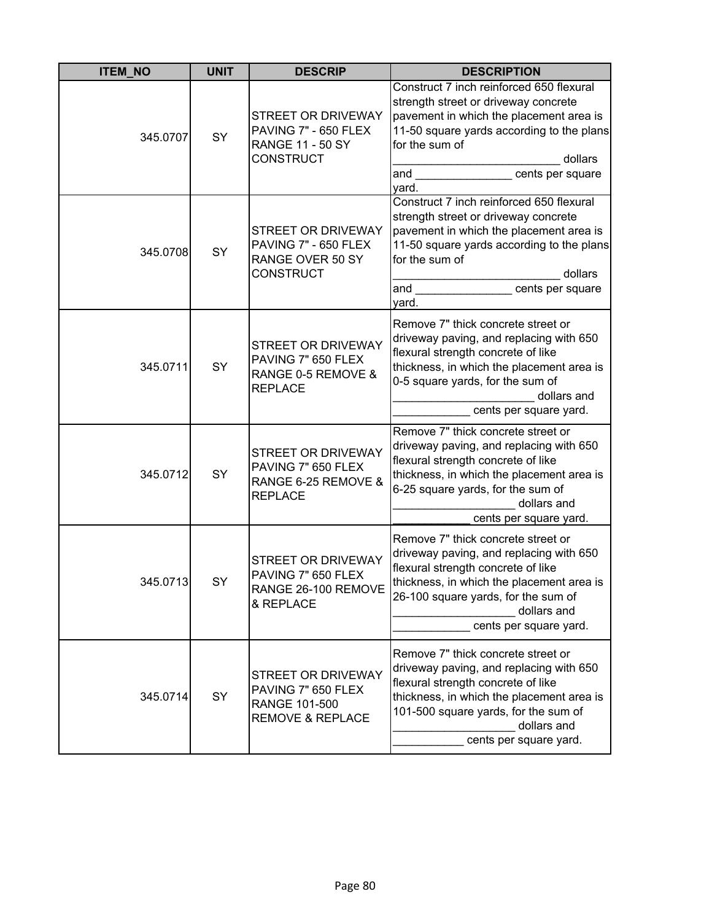| <b>ITEM_NO</b> | <b>UNIT</b> | <b>DESCRIP</b>                                                                           | <b>DESCRIPTION</b>                                                                                                                                                                                                                                |
|----------------|-------------|------------------------------------------------------------------------------------------|---------------------------------------------------------------------------------------------------------------------------------------------------------------------------------------------------------------------------------------------------|
| 345.0707       | SY          | STREET OR DRIVEWAY<br>PAVING 7" - 650 FLEX<br><b>RANGE 11 - 50 SY</b><br>CONSTRUCT       | Construct 7 inch reinforced 650 flexural<br>strength street or driveway concrete<br>pavement in which the placement area is<br>11-50 square yards according to the plans<br>for the sum of<br>dollars<br>and<br>cents per square<br>vard.         |
| 345.0708       | SY          | STREET OR DRIVEWAY<br>PAVING 7" - 650 FLEX<br>RANGE OVER 50 SY<br>CONSTRUCT              | Construct 7 inch reinforced 650 flexural<br>strength street or driveway concrete<br>pavement in which the placement area is<br>11-50 square yards according to the plans<br>for the sum of<br>dollars<br>and<br>cents per square<br>yard.         |
| 345.0711       | <b>SY</b>   | STREET OR DRIVEWAY<br>PAVING 7" 650 FLEX<br>RANGE 0-5 REMOVE &<br><b>REPLACE</b>         | Remove 7" thick concrete street or<br>driveway paving, and replacing with 650<br>flexural strength concrete of like<br>thickness, in which the placement area is<br>0-5 square yards, for the sum of<br>dollars and<br>cents per square yard.     |
| 345.0712       | SY          | STREET OR DRIVEWAY<br>PAVING 7" 650 FLEX<br>RANGE 6-25 REMOVE &<br><b>REPLACE</b>        | Remove 7" thick concrete street or<br>driveway paving, and replacing with 650<br>flexural strength concrete of like<br>thickness, in which the placement area is<br>6-25 square yards, for the sum of<br>dollars and<br>cents per square yard.    |
| 345.0713       | <b>SY</b>   | STREET OR DRIVEWAY<br>PAVING 7" 650 FLEX<br>RANGE 26-100 REMOVE<br>& REPLACE             | Remove 7" thick concrete street or<br>driveway paving, and replacing with 650<br>flexural strength concrete of like<br>thickness, in which the placement area is<br>26-100 square yards, for the sum of<br>dollars and<br>cents per square yard.  |
| 345.0714       | SY          | STREET OR DRIVEWAY<br>PAVING 7" 650 FLEX<br>RANGE 101-500<br><b>REMOVE &amp; REPLACE</b> | Remove 7" thick concrete street or<br>driveway paving, and replacing with 650<br>flexural strength concrete of like<br>thickness, in which the placement area is<br>101-500 square yards, for the sum of<br>dollars and<br>cents per square yard. |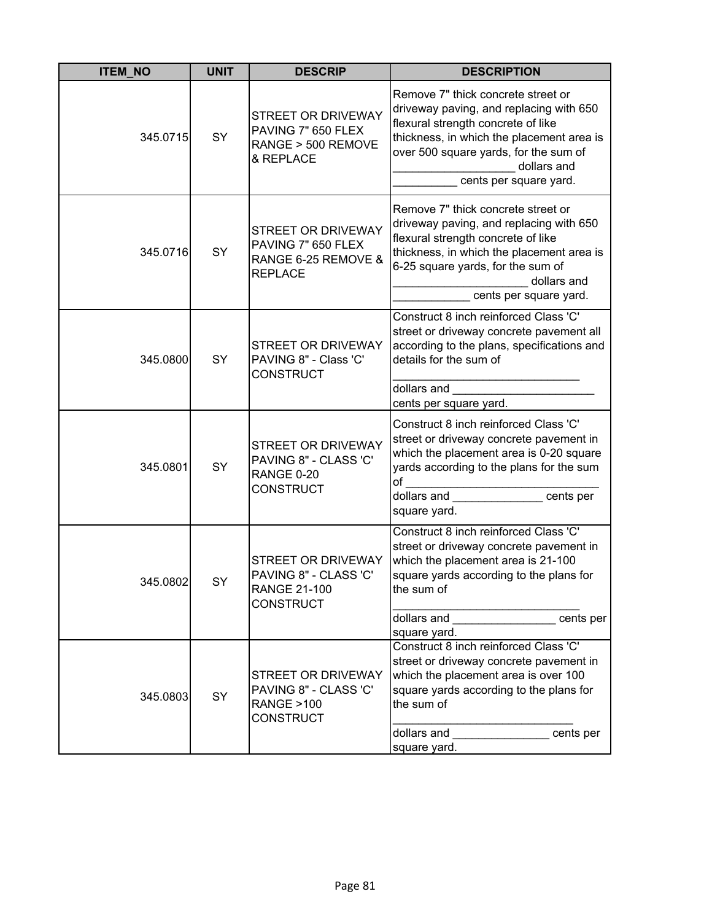| <b>ITEM_NO</b> | <b>UNIT</b> | <b>DESCRIP</b>                                                                                | <b>DESCRIPTION</b>                                                                                                                                                                                                                                 |
|----------------|-------------|-----------------------------------------------------------------------------------------------|----------------------------------------------------------------------------------------------------------------------------------------------------------------------------------------------------------------------------------------------------|
| 345.0715       | SY          | STREET OR DRIVEWAY<br>PAVING 7" 650 FLEX<br>RANGE > 500 REMOVE<br>& REPLACE                   | Remove 7" thick concrete street or<br>driveway paving, and replacing with 650<br>flexural strength concrete of like<br>thickness, in which the placement area is<br>over 500 square yards, for the sum of<br>dollars and<br>cents per square yard. |
| 345.0716       | SY          | STREET OR DRIVEWAY<br>PAVING 7" 650 FLEX<br>RANGE 6-25 REMOVE &<br><b>REPLACE</b>             | Remove 7" thick concrete street or<br>driveway paving, and replacing with 650<br>flexural strength concrete of like<br>thickness, in which the placement area is<br>6-25 square yards, for the sum of<br>dollars and<br>cents per square yard.     |
| 345.0800       | SY          | <b>STREET OR DRIVEWAY</b><br>PAVING 8" - Class 'C'<br><b>CONSTRUCT</b>                        | Construct 8 inch reinforced Class 'C'<br>street or driveway concrete pavement all<br>according to the plans, specifications and<br>details for the sum of<br>dollars and<br>cents per square yard.                                                 |
| 345.0801       | SY          | <b>STREET OR DRIVEWAY</b><br>PAVING 8" - CLASS 'C'<br>RANGE 0-20<br><b>CONSTRUCT</b>          | Construct 8 inch reinforced Class 'C'<br>street or driveway concrete pavement in<br>which the placement area is 0-20 square<br>yards according to the plans for the sum<br>of<br>dollars and<br>cents per<br>square yard.                          |
| 345.0802       | SY          | <b>STREET OR DRIVEWAY</b><br>PAVING 8" - CLASS 'C'<br><b>RANGE 21-100</b><br><b>CONSTRUCT</b> | Construct 8 inch reinforced Class 'C'<br>street or driveway concrete pavement in<br>which the placement area is 21-100<br>square yards according to the plans for<br>the sum of<br>dollars and<br>cents per<br>square yard.                        |
| 345.0803       | SY          | STREET OR DRIVEWAY<br>PAVING 8" - CLASS 'C'<br><b>RANGE &gt;100</b><br><b>CONSTRUCT</b>       | Construct 8 inch reinforced Class 'C'<br>street or driveway concrete pavement in<br>which the placement area is over 100<br>square yards according to the plans for<br>the sum of<br>dollars and<br>cents per<br>square yard.                      |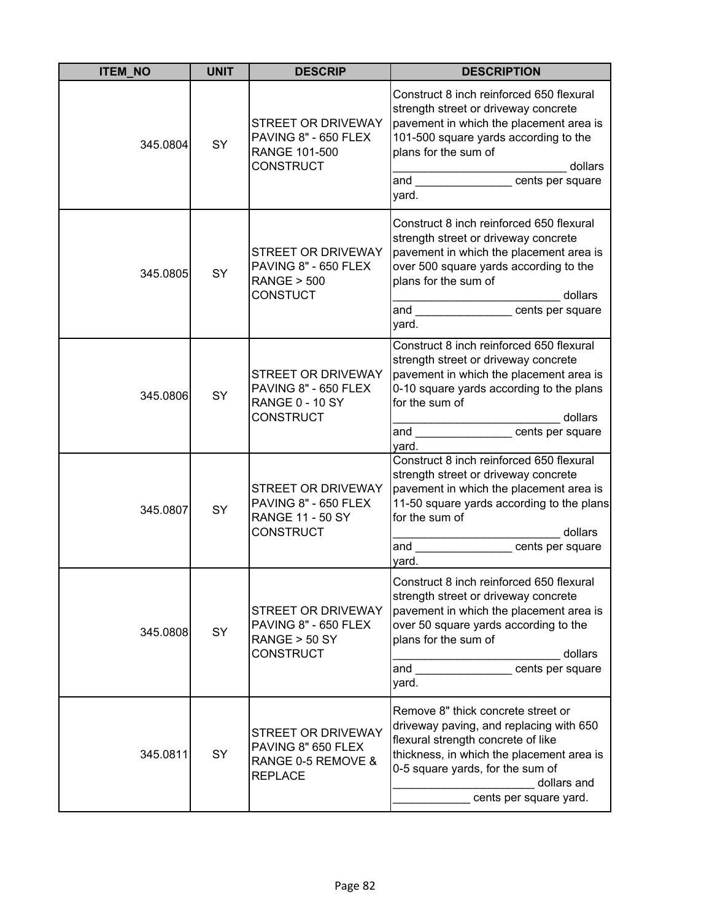| <b>ITEM_NO</b> | <b>UNIT</b> | <b>DESCRIP</b>                                                                                   | <b>DESCRIPTION</b>                                                                                                                                                                                                                                           |
|----------------|-------------|--------------------------------------------------------------------------------------------------|--------------------------------------------------------------------------------------------------------------------------------------------------------------------------------------------------------------------------------------------------------------|
| 345.0804       | SY          | STREET OR DRIVEWAY<br>PAVING 8" - 650 FLEX<br>RANGE 101-500<br><b>CONSTRUCT</b>                  | Construct 8 inch reinforced 650 flexural<br>strength street or driveway concrete<br>pavement in which the placement area is<br>101-500 square yards according to the<br>plans for the sum of<br>dollars<br>and cents per square<br>yard.                     |
| 345.0805       | SY          | STREET OR DRIVEWAY<br>PAVING 8" - 650 FLEX<br><b>RANGE &gt; 500</b><br><b>CONSTUCT</b>           | Construct 8 inch reinforced 650 flexural<br>strength street or driveway concrete<br>pavement in which the placement area is<br>over 500 square yards according to the<br>plans for the sum of<br>dollars<br>and <u>example and</u> cents per square<br>yard. |
| 345.0806       | SY          | <b>STREET OR DRIVEWAY</b><br>PAVING 8" - 650 FLEX<br><b>RANGE 0 - 10 SY</b><br><b>CONSTRUCT</b>  | Construct 8 inch reinforced 650 flexural<br>strength street or driveway concrete<br>pavement in which the placement area is<br>0-10 square yards according to the plans<br>for the sum of<br>dollars<br>and <b>cents</b> per square<br>yard.                 |
| 345.0807       | SY          | STREET OR DRIVEWAY<br>PAVING 8" - 650 FLEX<br><b>RANGE 11 - 50 SY</b><br><b>CONSTRUCT</b>        | Construct 8 inch reinforced 650 flexural<br>strength street or driveway concrete<br>pavement in which the placement area is<br>11-50 square yards according to the plans<br>for the sum of<br>dollars<br>and<br>cents per square<br>yard.                    |
| 345.0808       | SY          | <b>STREET OR DRIVEWAY</b><br>PAVING 8" - 650 FLEX<br><b>RANGE &gt; 50 SY</b><br><b>CONSTRUCT</b> | Construct 8 inch reinforced 650 flexural<br>strength street or driveway concrete<br>pavement in which the placement area is<br>over 50 square yards according to the<br>plans for the sum of<br>dollars<br>and<br>cents per square<br>yard.                  |
| 345.0811       | SY          | STREET OR DRIVEWAY<br>PAVING 8" 650 FLEX<br>RANGE 0-5 REMOVE &<br><b>REPLACE</b>                 | Remove 8" thick concrete street or<br>driveway paving, and replacing with 650<br>flexural strength concrete of like<br>thickness, in which the placement area is<br>0-5 square yards, for the sum of<br>dollars and<br>cents per square yard.                |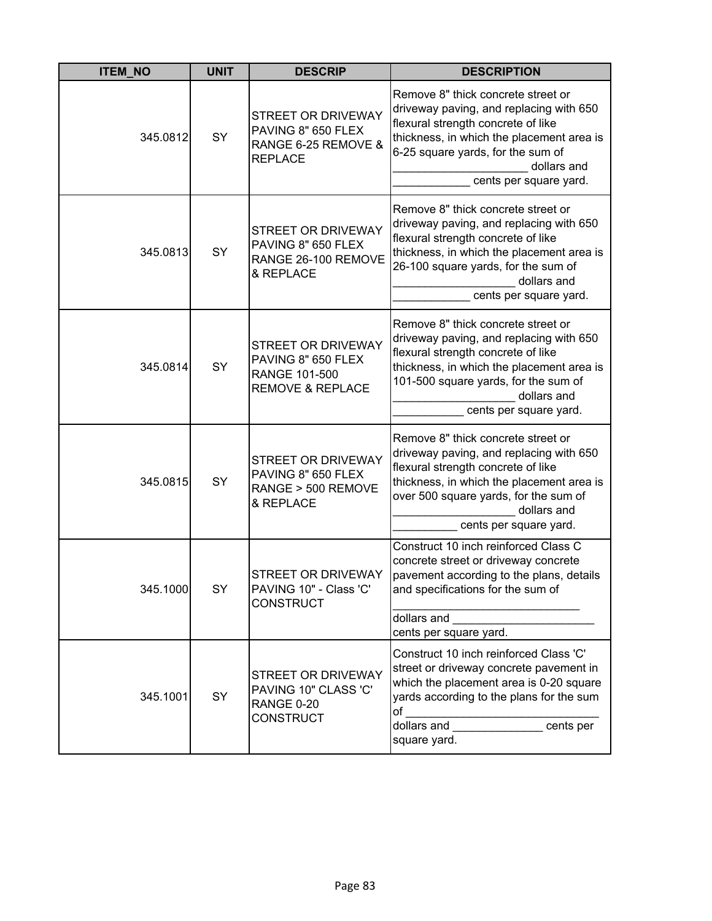| <b>ITEM NO</b> | <b>UNIT</b> | <b>DESCRIP</b>                                                                                  | <b>DESCRIPTION</b>                                                                                                                                                                                                                                 |
|----------------|-------------|-------------------------------------------------------------------------------------------------|----------------------------------------------------------------------------------------------------------------------------------------------------------------------------------------------------------------------------------------------------|
| 345.0812       | SY          | STREET OR DRIVEWAY<br>PAVING 8" 650 FLEX<br>RANGE 6-25 REMOVE &<br><b>REPLACE</b>               | Remove 8" thick concrete street or<br>driveway paving, and replacing with 650<br>flexural strength concrete of like<br>thickness, in which the placement area is<br>6-25 square yards, for the sum of<br>dollars and<br>cents per square yard.     |
| 345.0813       | SY          | STREET OR DRIVEWAY<br>PAVING 8" 650 FLEX<br>RANGE 26-100 REMOVE<br>& REPLACE                    | Remove 8" thick concrete street or<br>driveway paving, and replacing with 650<br>flexural strength concrete of like<br>thickness, in which the placement area is<br>26-100 square yards, for the sum of<br>dollars and<br>cents per square yard.   |
| 345.0814       | SY          | <b>STREET OR DRIVEWAY</b><br>PAVING 8" 650 FLEX<br>RANGE 101-500<br><b>REMOVE &amp; REPLACE</b> | Remove 8" thick concrete street or<br>driveway paving, and replacing with 650<br>flexural strength concrete of like<br>thickness, in which the placement area is<br>101-500 square yards, for the sum of<br>dollars and<br>cents per square yard.  |
| 345.0815       | SY          | <b>STREET OR DRIVEWAY</b><br>PAVING 8" 650 FLEX<br>RANGE > 500 REMOVE<br>& REPLACE              | Remove 8" thick concrete street or<br>driveway paving, and replacing with 650<br>flexural strength concrete of like<br>thickness, in which the placement area is<br>over 500 square yards, for the sum of<br>dollars and<br>cents per square yard. |
| 345.1000       | SY          | <b>STREET OR DRIVEWAY</b><br>PAVING 10" - Class 'C'<br><b>CONSTRUCT</b>                         | Construct 10 inch reinforced Class C<br>concrete street or driveway concrete<br>pavement according to the plans, details<br>and specifications for the sum of<br>dollars and<br>cents per square yard.                                             |
| 345.1001       | SY          | <b>STREET OR DRIVEWAY</b><br>PAVING 10" CLASS 'C'<br><b>RANGE 0-20</b><br><b>CONSTRUCT</b>      | Construct 10 inch reinforced Class 'C'<br>street or driveway concrete pavement in<br>which the placement area is 0-20 square<br>yards according to the plans for the sum<br>of<br>dollars and cents per<br>square yard.                            |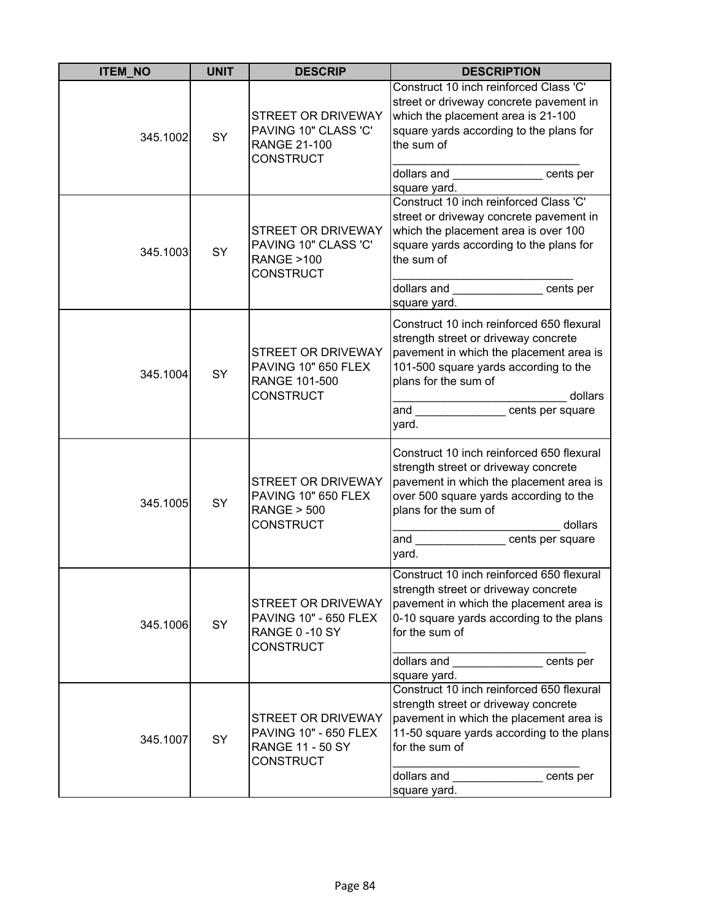| <b>ITEM NO</b> | <b>UNIT</b> | <b>DESCRIP</b>                                                                                 | <b>DESCRIPTION</b>                                                                                                                                                                                                                      |
|----------------|-------------|------------------------------------------------------------------------------------------------|-----------------------------------------------------------------------------------------------------------------------------------------------------------------------------------------------------------------------------------------|
| 345.1002       | SY          | STREET OR DRIVEWAY<br>PAVING 10" CLASS 'C'<br><b>RANGE 21-100</b><br><b>CONSTRUCT</b>          | Construct 10 inch reinforced Class 'C'<br>street or driveway concrete pavement in<br>which the placement area is 21-100<br>square yards according to the plans for<br>the sum of                                                        |
|                |             |                                                                                                | dollars and cents per<br>square yard.                                                                                                                                                                                                   |
| 345.1003       | SY          | STREET OR DRIVEWAY<br>PAVING 10" CLASS 'C'<br><b>RANGE &gt;100</b><br>CONSTRUCT                | Construct 10 inch reinforced Class 'C'<br>street or driveway concrete pavement in<br>which the placement area is over 100<br>square yards according to the plans for<br>the sum of                                                      |
|                |             |                                                                                                | dollars and<br><b>CONSIDENTIFY</b> Cents per<br>square yard.                                                                                                                                                                            |
| 345.1004       | SY          | STREET OR DRIVEWAY<br>PAVING 10" 650 FLEX<br>RANGE 101-500<br><b>CONSTRUCT</b>                 | Construct 10 inch reinforced 650 flexural<br>strength street or driveway concrete<br>pavement in which the placement area is<br>101-500 square yards according to the<br>plans for the sum of<br>dollars                                |
|                |             |                                                                                                | and cents per square<br>yard.                                                                                                                                                                                                           |
| 345.1005       | SY          | STREET OR DRIVEWAY<br>PAVING 10" 650 FLEX<br><b>RANGE &gt; 500</b><br><b>CONSTRUCT</b>         | Construct 10 inch reinforced 650 flexural<br>strength street or driveway concrete<br>pavement in which the placement area is<br>over 500 square yards according to the<br>plans for the sum of<br>dollars<br>and<br>cents per square    |
|                |             |                                                                                                | yard.<br>Construct 10 inch reinforced 650 flexural                                                                                                                                                                                      |
| SY<br>345.1006 |             | STREET OR DRIVEWAY<br><b>PAVING 10" - 650 FLEX</b><br><b>RANGE 0-10 SY</b><br><b>CONSTRUCT</b> | strength street or driveway concrete<br>pavement in which the placement area is<br>0-10 square yards according to the plans<br>for the sum of                                                                                           |
|                |             |                                                                                                | dollars and cents per<br>square yard.                                                                                                                                                                                                   |
| 345.1007       | SY          | STREET OR DRIVEWAY<br><b>PAVING 10" - 650 FLEX</b><br><b>RANGE 11 - 50 SY</b><br>CONSTRUCT     | Construct 10 inch reinforced 650 flexural<br>strength street or driveway concrete<br>pavement in which the placement area is<br>11-50 square yards according to the plans<br>for the sum of<br>dollars and<br>cents per<br>square yard. |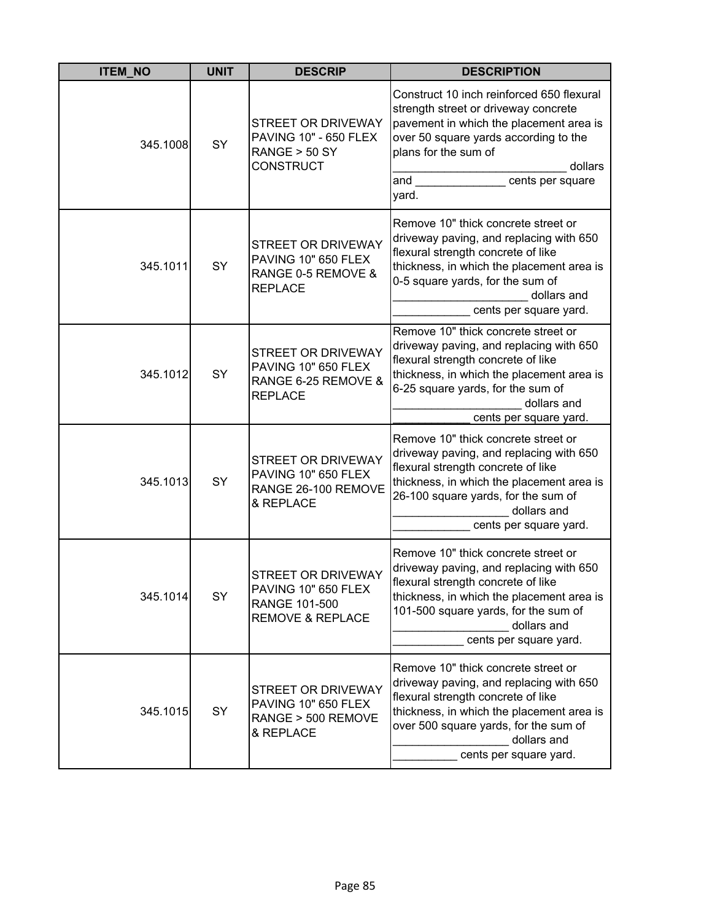| <b>ITEM NO</b> | <b>UNIT</b> | <b>DESCRIP</b>                                                                                           | <b>DESCRIPTION</b>                                                                                                                                                                                                                                  |
|----------------|-------------|----------------------------------------------------------------------------------------------------------|-----------------------------------------------------------------------------------------------------------------------------------------------------------------------------------------------------------------------------------------------------|
| 345.1008       | SY          | <b>STREET OR DRIVEWAY</b><br><b>PAVING 10" - 650 FLEX</b><br><b>RANGE &gt; 50 SY</b><br><b>CONSTRUCT</b> | Construct 10 inch reinforced 650 flexural<br>strength street or driveway concrete<br>pavement in which the placement area is<br>over 50 square yards according to the<br>plans for the sum of<br>dollars<br>and<br>cents per square<br>yard.        |
| 345.1011       | SY          | <b>STREET OR DRIVEWAY</b><br><b>PAVING 10" 650 FLEX</b><br>RANGE 0-5 REMOVE &<br><b>REPLACE</b>          | Remove 10" thick concrete street or<br>driveway paving, and replacing with 650<br>flexural strength concrete of like<br>thickness, in which the placement area is<br>0-5 square yards, for the sum of<br>dollars and<br>cents per square yard.      |
| 345.1012       | SY          | STREET OR DRIVEWAY<br>PAVING 10" 650 FLEX<br>RANGE 6-25 REMOVE &<br><b>REPLACE</b>                       | Remove 10" thick concrete street or<br>driveway paving, and replacing with 650<br>flexural strength concrete of like<br>thickness, in which the placement area is<br>6-25 square yards, for the sum of<br>dollars and<br>cents per square yard.     |
| 345.1013       | SY          | <b>STREET OR DRIVEWAY</b><br><b>PAVING 10" 650 FLEX</b><br>RANGE 26-100 REMOVE<br>& REPLACE              | Remove 10" thick concrete street or<br>driveway paving, and replacing with 650<br>flexural strength concrete of like<br>thickness, in which the placement area is<br>26-100 square yards, for the sum of<br>dollars and<br>cents per square yard.   |
| 345.1014       | SY          | STREET OR DRIVEWAY<br>PAVING 10" 650 FLEX<br>RANGE 101-500<br><b>REMOVE &amp; REPLACE</b>                | Remove 10" thick concrete street or<br>driveway paving, and replacing with 650<br>flexural strength concrete of like<br>thickness, in which the placement area is<br>101-500 square yards, for the sum of<br>dollars and<br>cents per square yard.  |
| 345.1015       | SY          | <b>STREET OR DRIVEWAY</b><br><b>PAVING 10" 650 FLEX</b><br>RANGE > 500 REMOVE<br>& REPLACE               | Remove 10" thick concrete street or<br>driveway paving, and replacing with 650<br>flexural strength concrete of like<br>thickness, in which the placement area is<br>over 500 square yards, for the sum of<br>dollars and<br>cents per square yard. |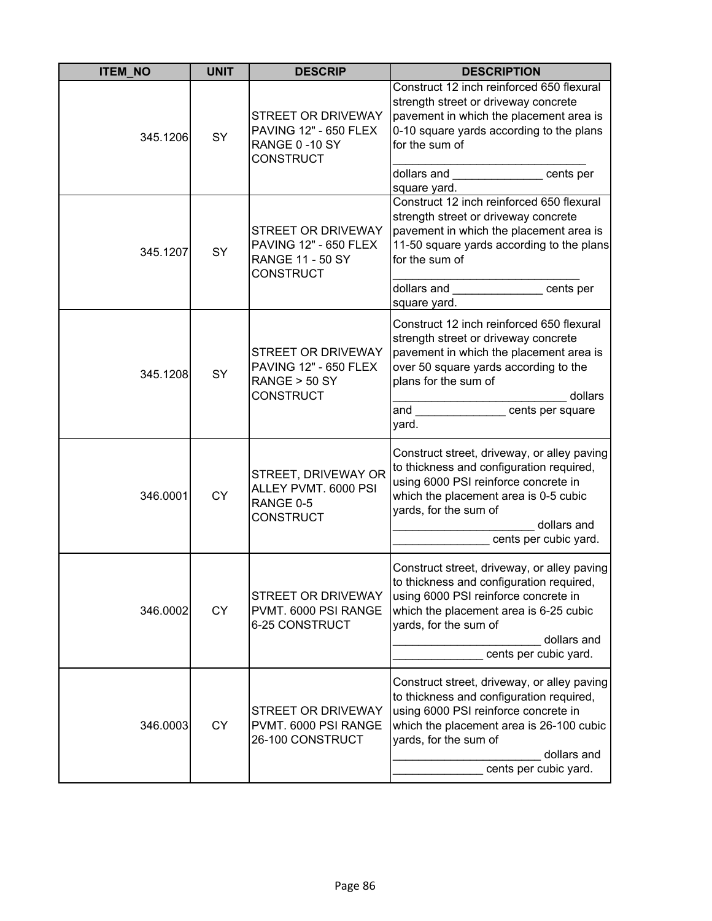| <b>ITEM_NO</b> | <b>UNIT</b> | <b>DESCRIP</b>                                                                                           | <b>DESCRIPTION</b>                                                                                                                                                                                                                                      |
|----------------|-------------|----------------------------------------------------------------------------------------------------------|---------------------------------------------------------------------------------------------------------------------------------------------------------------------------------------------------------------------------------------------------------|
| 345.1206       | SY          | STREET OR DRIVEWAY<br>PAVING 12" - 650 FLEX<br>RANGE 0-10 SY<br><b>CONSTRUCT</b>                         | Construct 12 inch reinforced 650 flexural<br>strength street or driveway concrete<br>pavement in which the placement area is<br>0-10 square yards according to the plans<br>for the sum of<br>dollars and cents per                                     |
| 345.1207       | SY          | <b>STREET OR DRIVEWAY</b><br><b>PAVING 12" - 650 FLEX</b><br><b>RANGE 11 - 50 SY</b><br><b>CONSTRUCT</b> | square yard.<br>Construct 12 inch reinforced 650 flexural<br>strength street or driveway concrete<br>pavement in which the placement area is<br>11-50 square yards according to the plans<br>for the sum of<br>dollars and<br>cents per<br>square yard. |
| 345.1208       | SY          | STREET OR DRIVEWAY<br><b>PAVING 12" - 650 FLEX</b><br>RANGE > 50 SY<br><b>CONSTRUCT</b>                  | Construct 12 inch reinforced 650 flexural<br>strength street or driveway concrete<br>pavement in which the placement area is<br>over 50 square yards according to the<br>plans for the sum of<br>dollars<br>and cents per square<br>yard.               |
| 346.0001       | <b>CY</b>   | STREET, DRIVEWAY OR<br>ALLEY PVMT. 6000 PSI<br>RANGE 0-5<br><b>CONSTRUCT</b>                             | Construct street, driveway, or alley paving<br>to thickness and configuration required,<br>using 6000 PSI reinforce concrete in<br>which the placement area is 0-5 cubic<br>yards, for the sum of<br>dollars and<br>cents per cubic yard.               |
| 346.0002       | <b>CY</b>   | STREET OR DRIVEWAY<br>PVMT. 6000 PSI RANGE<br>6-25 CONSTRUCT                                             | Construct street, driveway, or alley paving<br>to thickness and configuration required,<br>using 6000 PSI reinforce concrete in<br>which the placement area is 6-25 cubic<br>yards, for the sum of<br>dollars and<br>cents per cubic yard.              |
| 346.0003       | <b>CY</b>   | <b>STREET OR DRIVEWAY</b><br>PVMT. 6000 PSI RANGE<br>26-100 CONSTRUCT                                    | Construct street, driveway, or alley paving<br>to thickness and configuration required,<br>using 6000 PSI reinforce concrete in<br>which the placement area is 26-100 cubic<br>yards, for the sum of<br>dollars and<br>cents per cubic yard.            |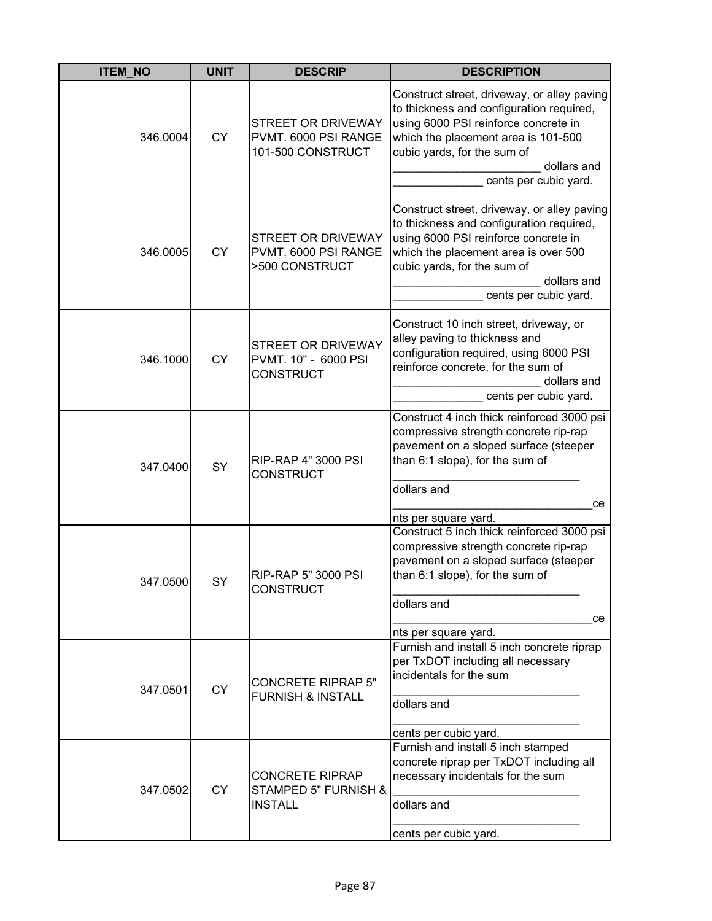| <b>ITEM_NO</b> | <b>UNIT</b> | <b>DESCRIP</b>                                                   | <b>DESCRIPTION</b>                                                                                                                                                                                                                             |
|----------------|-------------|------------------------------------------------------------------|------------------------------------------------------------------------------------------------------------------------------------------------------------------------------------------------------------------------------------------------|
| 346.0004       | <b>CY</b>   | STREET OR DRIVEWAY<br>PVMT. 6000 PSI RANGE<br>101-500 CONSTRUCT  | Construct street, driveway, or alley paving<br>to thickness and configuration required,<br>using 6000 PSI reinforce concrete in<br>which the placement area is 101-500<br>cubic yards, for the sum of<br>dollars and<br>cents per cubic yard.  |
| 346.0005       | <b>CY</b>   | STREET OR DRIVEWAY<br>PVMT. 6000 PSI RANGE<br>>500 CONSTRUCT     | Construct street, driveway, or alley paving<br>to thickness and configuration required,<br>using 6000 PSI reinforce concrete in<br>which the placement area is over 500<br>cubic yards, for the sum of<br>dollars and<br>cents per cubic yard. |
| 346.1000       | <b>CY</b>   | STREET OR DRIVEWAY<br>PVMT. 10" - 6000 PSI<br><b>CONSTRUCT</b>   | Construct 10 inch street, driveway, or<br>alley paving to thickness and<br>configuration required, using 6000 PSI<br>reinforce concrete, for the sum of<br>dollars and<br>cents per cubic yard.                                                |
| 347.0400       | SY          | RIP-RAP 4" 3000 PSI<br><b>CONSTRUCT</b>                          | Construct 4 inch thick reinforced 3000 psi<br>compressive strength concrete rip-rap<br>pavement on a sloped surface (steeper<br>than 6:1 slope), for the sum of<br>dollars and<br>ce                                                           |
| 347.0500       | SY          | <b>RIP-RAP 5" 3000 PSI</b><br><b>CONSTRUCT</b>                   | nts per square yard.<br>Construct 5 inch thick reinforced 3000 psi<br>compressive strength concrete rip-rap<br>pavement on a sloped surface (steeper<br>than 6:1 slope), for the sum of<br>dollars and<br>ce<br>nts per square yard.           |
| 347.0501       | <b>CY</b>   | <b>CONCRETE RIPRAP 5"</b><br><b>FURNISH &amp; INSTALL</b>        | Furnish and install 5 inch concrete riprap<br>per TxDOT including all necessary<br>incidentals for the sum<br>dollars and<br>cents per cubic yard.                                                                                             |
| 347.0502       | <b>CY</b>   | <b>CONCRETE RIPRAP</b><br>STAMPED 5" FURNISH &<br><b>INSTALL</b> | Furnish and install 5 inch stamped<br>concrete riprap per TxDOT including all<br>necessary incidentals for the sum<br>dollars and<br>cents per cubic yard.                                                                                     |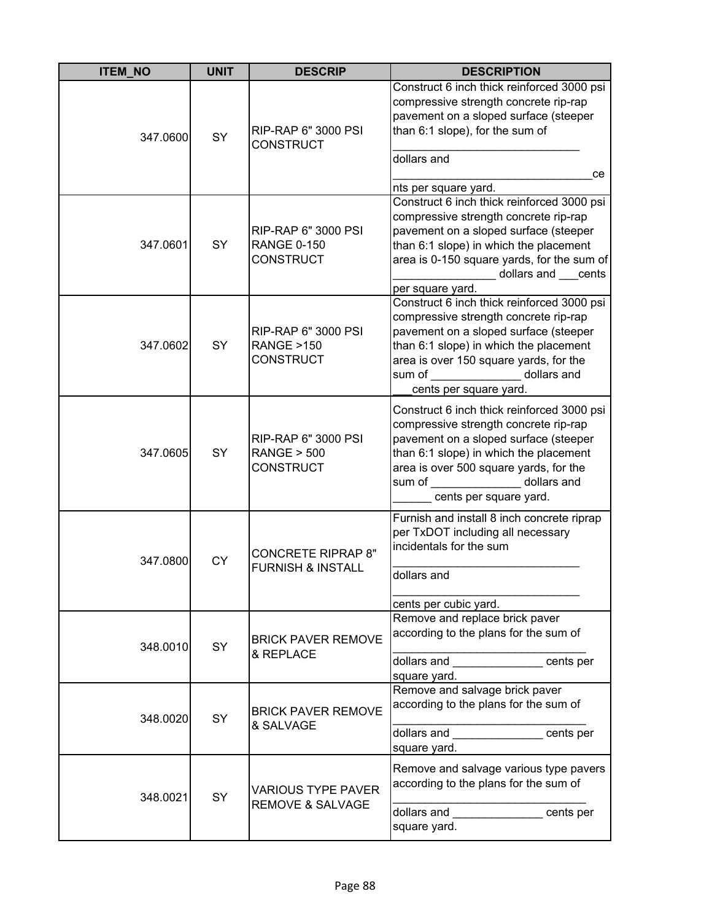| <b>ITEM_NO</b> | <b>UNIT</b> | <b>DESCRIP</b>                                                   | <b>DESCRIPTION</b>                                                                                                                                                                                                                                                  |
|----------------|-------------|------------------------------------------------------------------|---------------------------------------------------------------------------------------------------------------------------------------------------------------------------------------------------------------------------------------------------------------------|
| 347.0600       | SY          | RIP-RAP 6" 3000 PSI<br><b>CONSTRUCT</b>                          | Construct 6 inch thick reinforced 3000 psi<br>compressive strength concrete rip-rap<br>pavement on a sloped surface (steeper<br>than 6:1 slope), for the sum of<br>dollars and<br>ce<br>nts per square yard.                                                        |
| 347.0601       | SY          | RIP-RAP 6" 3000 PSI<br><b>RANGE 0-150</b><br><b>CONSTRUCT</b>    | Construct 6 inch thick reinforced 3000 psi<br>compressive strength concrete rip-rap<br>pavement on a sloped surface (steeper<br>than 6:1 slope) in which the placement<br>area is 0-150 square yards, for the sum of<br>dollars and cents<br>per square yard.       |
| 347.0602       | <b>SY</b>   | RIP-RAP 6" 3000 PSI<br><b>RANGE &gt;150</b><br><b>CONSTRUCT</b>  | Construct 6 inch thick reinforced 3000 psi<br>compressive strength concrete rip-rap<br>pavement on a sloped surface (steeper<br>than 6:1 slope) in which the placement<br>area is over 150 square yards, for the<br>sum of dollars and<br>cents per square yard.    |
| 347.0605       | SY          | RIP-RAP 6" 3000 PSI<br><b>RANGE &gt; 500</b><br><b>CONSTRUCT</b> | Construct 6 inch thick reinforced 3000 psi<br>compressive strength concrete rip-rap<br>pavement on a sloped surface (steeper<br>than 6:1 slope) in which the placement<br>area is over 500 square yards, for the<br>dollars and<br>sum of<br>cents per square yard. |
| 347.0800       | <b>CY</b>   | <b>CONCRETE RIPRAP 8"</b><br><b>FURNISH &amp; INSTALL</b>        | Furnish and install 8 inch concrete riprap<br>per TxDOT including all necessary<br>incidentals for the sum<br>dollars and<br>cents per cubic yard.                                                                                                                  |
| 348.0010       | <b>SY</b>   | <b>BRICK PAVER REMOVE</b><br>& REPLACE                           | Remove and replace brick paver<br>according to the plans for the sum of<br>dollars and cents per<br>square yard.                                                                                                                                                    |
| 348.0020       | <b>SY</b>   | <b>BRICK PAVER REMOVE</b><br>& SALVAGE                           | Remove and salvage brick paver<br>according to the plans for the sum of<br>dollars and dollar cents per<br>square yard.                                                                                                                                             |
| 348.0021       | SY          | <b>VARIOUS TYPE PAVER</b><br><b>REMOVE &amp; SALVAGE</b>         | Remove and salvage various type pavers<br>according to the plans for the sum of<br>dollars and<br>cents per<br>square yard.                                                                                                                                         |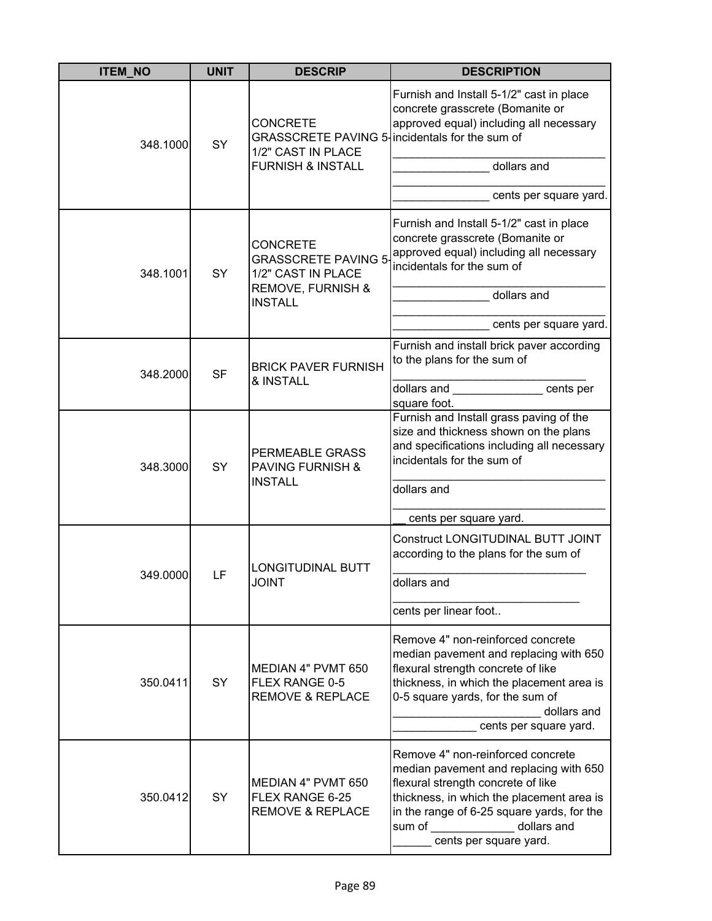| <b>ITEM NO</b> | <b>UNIT</b> | <b>DESCRIP</b>                                                                                                          | <b>DESCRIPTION</b>                                                                                                                                                                                                                                           |
|----------------|-------------|-------------------------------------------------------------------------------------------------------------------------|--------------------------------------------------------------------------------------------------------------------------------------------------------------------------------------------------------------------------------------------------------------|
| 348.1000       | SY          | <b>CONCRETE</b><br>GRASSCRETE PAVING 5-incidentals for the sum of<br>1/2" CAST IN PLACE<br><b>FURNISH &amp; INSTALL</b> | Furnish and Install 5-1/2" cast in place<br>concrete grasscrete (Bomanite or<br>approved equal) including all necessary<br>dollars and                                                                                                                       |
|                |             |                                                                                                                         | cents per square yard.                                                                                                                                                                                                                                       |
| 348.1001       | SY          | <b>CONCRETE</b><br><b>GRASSCRETE PAVING 5</b><br>1/2" CAST IN PLACE<br><b>REMOVE, FURNISH &amp;</b>                     | Furnish and Install 5-1/2" cast in place<br>concrete grasscrete (Bomanite or<br>approved equal) including all necessary<br>incidentals for the sum of                                                                                                        |
|                |             | <b>INSTALL</b>                                                                                                          | dollars and                                                                                                                                                                                                                                                  |
|                |             |                                                                                                                         | cents per square yard.                                                                                                                                                                                                                                       |
| 348.2000       | <b>SF</b>   | <b>BRICK PAVER FURNISH</b><br>& INSTALL                                                                                 | Furnish and install brick paver according<br>to the plans for the sum of                                                                                                                                                                                     |
|                |             |                                                                                                                         | dollars and<br>____________ cents per                                                                                                                                                                                                                        |
| 348.3000       | SY          | PERMEABLE GRASS<br><b>PAVING FURNISH &amp;</b><br><b>INSTALL</b>                                                        | square foot.<br>Furnish and Install grass paving of the<br>size and thickness shown on the plans<br>and specifications including all necessary<br>incidentals for the sum of<br>dollars and                                                                  |
|                |             |                                                                                                                         | cents per square yard.                                                                                                                                                                                                                                       |
| 349.0000       | LF          | <b>LONGITUDINAL BUTT</b>                                                                                                | Construct LONGITUDINAL BUTT JOINT<br>according to the plans for the sum of                                                                                                                                                                                   |
|                |             | TNIOL                                                                                                                   | dollars and                                                                                                                                                                                                                                                  |
|                |             |                                                                                                                         | cents per linear foot                                                                                                                                                                                                                                        |
| 350.0411       | SY          | MEDIAN 4" PVMT 650<br>FLEX RANGE 0-5<br><b>REMOVE &amp; REPLACE</b>                                                     | Remove 4" non-reinforced concrete<br>median pavement and replacing with 650<br>flexural strength concrete of like<br>thickness, in which the placement area is<br>0-5 square yards, for the sum of<br>dollars and<br>cents per square yard.                  |
| 350.0412       | SY          | MEDIAN 4" PVMT 650<br>FLEX RANGE 6-25<br><b>REMOVE &amp; REPLACE</b>                                                    | Remove 4" non-reinforced concrete<br>median pavement and replacing with 650<br>flexural strength concrete of like<br>thickness, in which the placement area is<br>in the range of 6-25 square yards, for the<br>sum of dollars and<br>cents per square yard. |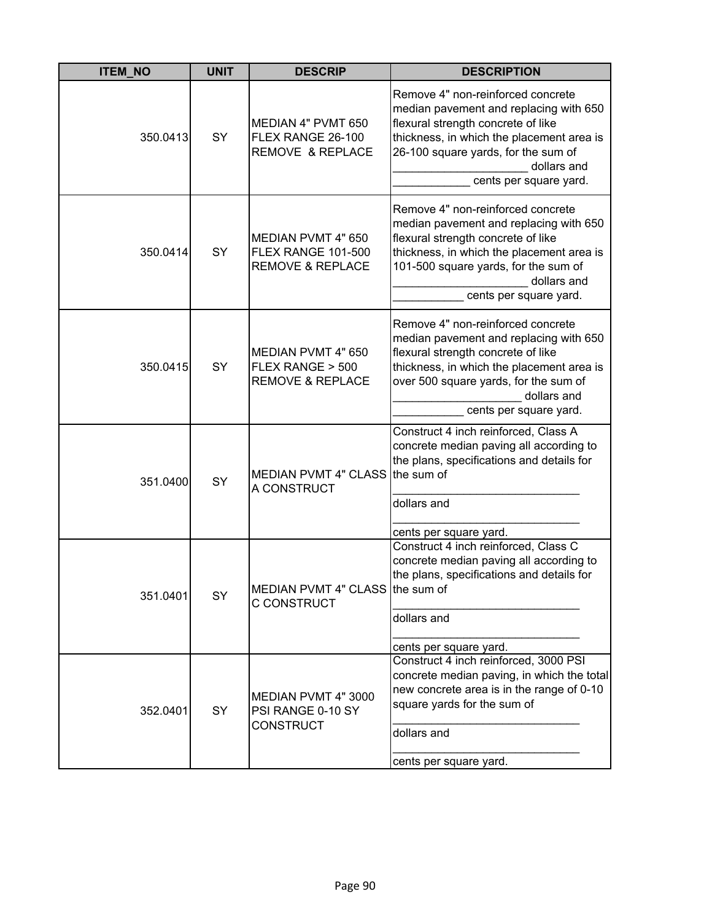| <b>ITEM_NO</b> | <b>UNIT</b> | <b>DESCRIP</b>                                                                 | <b>DESCRIPTION</b>                                                                                                                                                                                                                               |
|----------------|-------------|--------------------------------------------------------------------------------|--------------------------------------------------------------------------------------------------------------------------------------------------------------------------------------------------------------------------------------------------|
| 350.0413       | SY          | MEDIAN 4" PVMT 650<br>FLEX RANGE 26-100<br><b>REMOVE &amp; REPLACE</b>         | Remove 4" non-reinforced concrete<br>median pavement and replacing with 650<br>flexural strength concrete of like<br>thickness, in which the placement area is<br>26-100 square yards, for the sum of<br>dollars and<br>cents per square yard.   |
| 350.0414       | SY          | MEDIAN PVMT 4" 650<br><b>FLEX RANGE 101-500</b><br><b>REMOVE &amp; REPLACE</b> | Remove 4" non-reinforced concrete<br>median pavement and replacing with 650<br>flexural strength concrete of like<br>thickness, in which the placement area is<br>101-500 square yards, for the sum of<br>dollars and<br>cents per square yard.  |
| 350.0415       | SY          | MEDIAN PVMT 4" 650<br>FLEX RANGE > 500<br><b>REMOVE &amp; REPLACE</b>          | Remove 4" non-reinforced concrete<br>median pavement and replacing with 650<br>flexural strength concrete of like<br>thickness, in which the placement area is<br>over 500 square yards, for the sum of<br>dollars and<br>cents per square yard. |
| 351.0400       | SY          | <b>MEDIAN PVMT 4" CLASS</b><br>A CONSTRUCT                                     | Construct 4 inch reinforced, Class A<br>concrete median paving all according to<br>the plans, specifications and details for<br>the sum of<br>dollars and<br>cents per square yard.                                                              |
| 351.0401       | SY          | MEDIAN PVMT 4" CLASS the sum of<br>C CONSTRUCT                                 | Construct 4 inch reinforced, Class C<br>concrete median paving all according to<br>the plans, specifications and details for<br>dollars and<br>cents per square yard.                                                                            |
| 352.0401       | SY          | MEDIAN PVMT 4" 3000<br>PSI RANGE 0-10 SY<br><b>CONSTRUCT</b>                   | Construct 4 inch reinforced, 3000 PSI<br>concrete median paving, in which the total<br>new concrete area is in the range of 0-10<br>square yards for the sum of<br>dollars and<br>cents per square yard.                                         |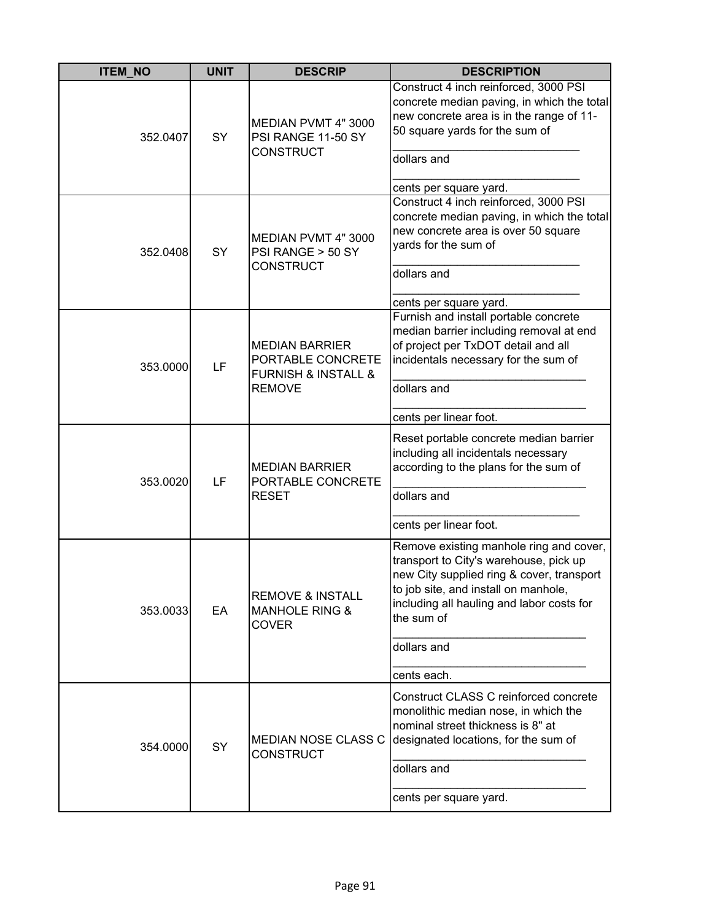| <b>ITEM_NO</b> | <b>UNIT</b> | <b>DESCRIP</b>                                                                                    | <b>DESCRIPTION</b>                                                                                                                                                                                                                |
|----------------|-------------|---------------------------------------------------------------------------------------------------|-----------------------------------------------------------------------------------------------------------------------------------------------------------------------------------------------------------------------------------|
| 352.0407       | SY          | MEDIAN PVMT 4" 3000<br>PSI RANGE 11-50 SY<br><b>CONSTRUCT</b>                                     | Construct 4 inch reinforced, 3000 PSI<br>concrete median paving, in which the total<br>new concrete area is in the range of 11-<br>50 square yards for the sum of<br>dollars and<br>cents per square yard.                        |
| 352.0408       | SY          | MEDIAN PVMT 4"3000<br>PSI RANGE > 50 SY<br><b>CONSTRUCT</b>                                       | Construct 4 inch reinforced, 3000 PSI<br>concrete median paving, in which the total<br>new concrete area is over 50 square<br>yards for the sum of<br>dollars and<br>cents per square yard.                                       |
| 353,0000       | LF          | <b>MEDIAN BARRIER</b><br>PORTABLE CONCRETE<br><b>FURNISH &amp; INSTALL &amp;</b><br><b>REMOVE</b> | Furnish and install portable concrete<br>median barrier including removal at end<br>of project per TxDOT detail and all<br>incidentals necessary for the sum of<br>dollars and                                                    |
|                |             |                                                                                                   | cents per linear foot.<br>Reset portable concrete median barrier                                                                                                                                                                  |
| 353.0020       | LF          | <b>MEDIAN BARRIER</b><br>PORTABLE CONCRETE<br><b>RESET</b>                                        | including all incidentals necessary<br>according to the plans for the sum of                                                                                                                                                      |
|                |             |                                                                                                   | dollars and                                                                                                                                                                                                                       |
|                |             |                                                                                                   | cents per linear foot.                                                                                                                                                                                                            |
| 353.0033       | EA          | <b>REMOVE &amp; INSTALL</b><br><b>MANHOLE RING &amp;</b><br><b>COVER</b>                          | Remove existing manhole ring and cover,<br>transport to City's warehouse, pick up<br>new City supplied ring & cover, transport<br>to job site, and install on manhole,<br>including all hauling and labor costs for<br>the sum of |
|                |             |                                                                                                   | dollars and                                                                                                                                                                                                                       |
|                |             |                                                                                                   | cents each.                                                                                                                                                                                                                       |
| 354.0000       | SY          | <b>MEDIAN NOSE CLASS C</b><br><b>CONSTRUCT</b>                                                    | Construct CLASS C reinforced concrete<br>monolithic median nose, in which the<br>nominal street thickness is 8" at<br>designated locations, for the sum of                                                                        |
|                |             |                                                                                                   | dollars and                                                                                                                                                                                                                       |
|                |             |                                                                                                   | cents per square yard.                                                                                                                                                                                                            |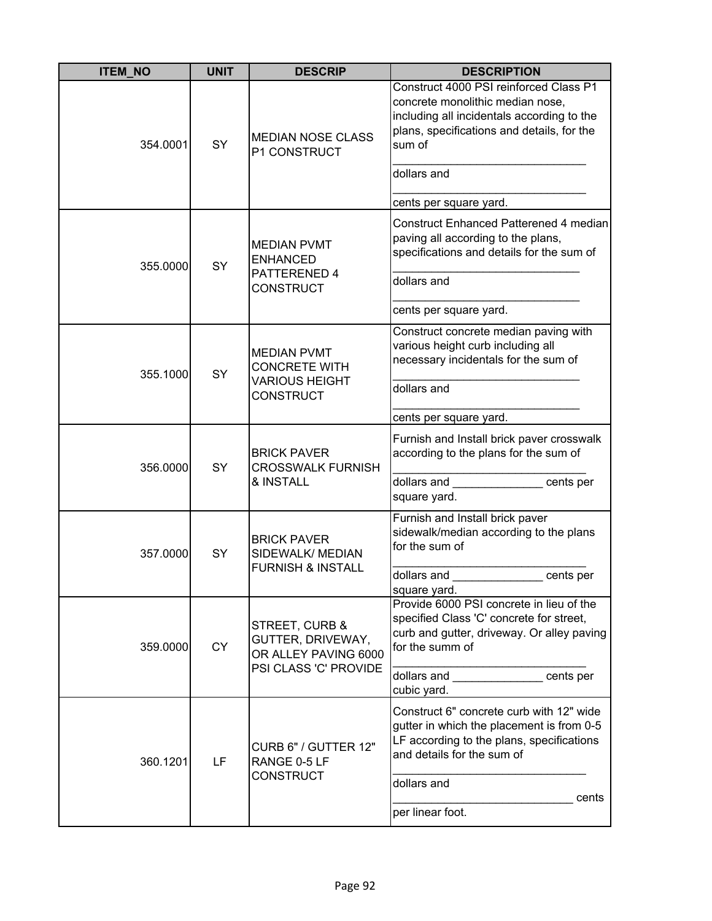| <b>ITEM_NO</b> | <b>UNIT</b> | <b>DESCRIP</b>                                                                          | <b>DESCRIPTION</b>                                                                                                                                                               |
|----------------|-------------|-----------------------------------------------------------------------------------------|----------------------------------------------------------------------------------------------------------------------------------------------------------------------------------|
| 354.0001       | SY          | <b>MEDIAN NOSE CLASS</b><br>P1 CONSTRUCT                                                | Construct 4000 PSI reinforced Class P1<br>concrete monolithic median nose,<br>including all incidentals according to the<br>plans, specifications and details, for the<br>sum of |
|                |             |                                                                                         | dollars and                                                                                                                                                                      |
|                |             |                                                                                         | cents per square yard.                                                                                                                                                           |
| 355.0000       | SY          | <b>MEDIAN PVMT</b><br><b>ENHANCED</b><br>PATTERENED 4                                   | Construct Enhanced Patterened 4 median<br>paving all according to the plans,<br>specifications and details for the sum of                                                        |
|                |             | <b>CONSTRUCT</b>                                                                        | dollars and                                                                                                                                                                      |
|                |             |                                                                                         | cents per square yard.                                                                                                                                                           |
| 355.1000       | <b>SY</b>   | <b>MEDIAN PVMT</b><br><b>CONCRETE WITH</b><br><b>VARIOUS HEIGHT</b><br><b>CONSTRUCT</b> | Construct concrete median paving with<br>various height curb including all<br>necessary incidentals for the sum of<br>dollars and                                                |
|                |             |                                                                                         |                                                                                                                                                                                  |
|                |             |                                                                                         | cents per square yard.                                                                                                                                                           |
| 356.0000       | SY          | <b>BRICK PAVER</b><br><b>CROSSWALK FURNISH</b><br>& INSTALL                             | Furnish and Install brick paver crosswalk<br>according to the plans for the sum of                                                                                               |
|                |             |                                                                                         | dollars and<br>cents per<br>square yard.                                                                                                                                         |
| 357.0000       | SY          | <b>BRICK PAVER</b><br>SIDEWALK/ MEDIAN<br><b>FURNISH &amp; INSTALL</b>                  | Furnish and Install brick paver<br>sidewalk/median according to the plans<br>for the sum of                                                                                      |
|                |             |                                                                                         | dollars and<br>cents per<br>square yard.                                                                                                                                         |
| 359.0000       | <b>CY</b>   | STREET, CURB &<br>GUTTER, DRIVEWAY,<br>OR ALLEY PAVING 6000<br>PSI CLASS 'C' PROVIDE    | Provide 6000 PSI concrete in lieu of the<br>specified Class 'C' concrete for street,<br>curb and gutter, driveway. Or alley paving<br>for the summ of                            |
|                |             |                                                                                         | dollars and cents per<br>cubic yard.                                                                                                                                             |
| 360.1201       | LF          | CURB 6" / GUTTER 12"<br>RANGE 0-5 LF<br><b>CONSTRUCT</b>                                | Construct 6" concrete curb with 12" wide<br>gutter in which the placement is from 0-5<br>LF according to the plans, specifications<br>and details for the sum of<br>dollars and  |
|                |             |                                                                                         | cents<br>per linear foot.                                                                                                                                                        |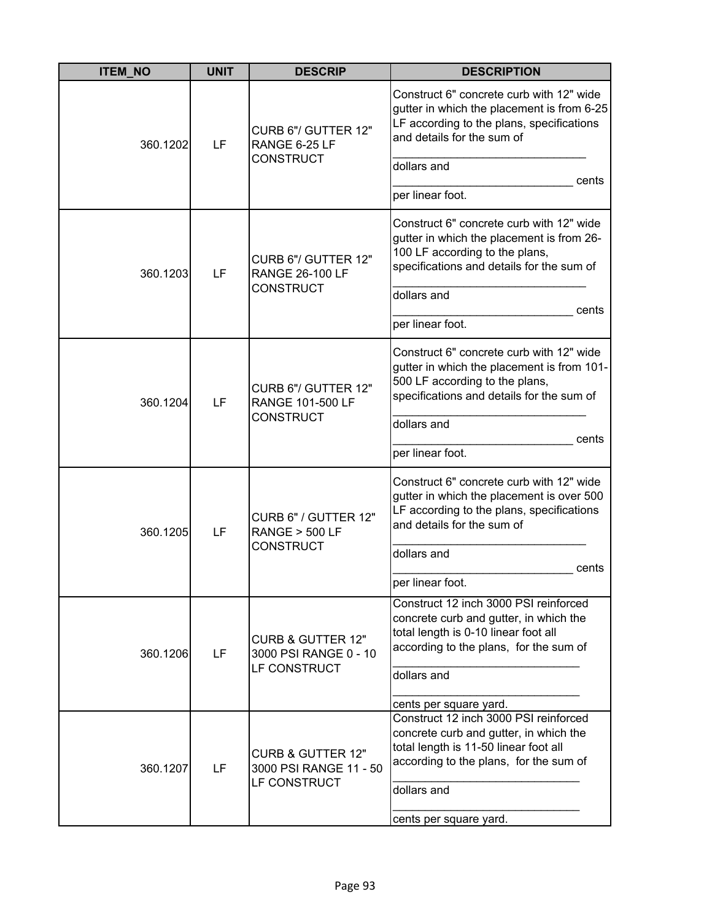| <b>ITEM_NO</b> | <b>UNIT</b> | <b>DESCRIP</b>                                                        | <b>DESCRIPTION</b>                                                                                                                                                               |
|----------------|-------------|-----------------------------------------------------------------------|----------------------------------------------------------------------------------------------------------------------------------------------------------------------------------|
| 360.1202       | LF          | CURB 6"/ GUTTER 12"<br>RANGE 6-25 LF<br><b>CONSTRUCT</b>              | Construct 6" concrete curb with 12" wide<br>gutter in which the placement is from 6-25<br>LF according to the plans, specifications<br>and details for the sum of                |
|                |             |                                                                       | dollars and<br>cents                                                                                                                                                             |
|                |             |                                                                       | per linear foot.                                                                                                                                                                 |
| 360.1203       | LF          | CURB 6"/ GUTTER 12"<br><b>RANGE 26-100 LF</b>                         | Construct 6" concrete curb with 12" wide<br>gutter in which the placement is from 26-<br>100 LF according to the plans,<br>specifications and details for the sum of             |
|                |             | <b>CONSTRUCT</b>                                                      | dollars and                                                                                                                                                                      |
|                |             |                                                                       | cents<br>per linear foot.                                                                                                                                                        |
| 360.1204       | LF          | CURB 6"/ GUTTER 12"<br><b>RANGE 101-500 LF</b><br><b>CONSTRUCT</b>    | Construct 6" concrete curb with 12" wide<br>gutter in which the placement is from 101-<br>500 LF according to the plans,<br>specifications and details for the sum of            |
|                |             |                                                                       | dollars and                                                                                                                                                                      |
|                |             |                                                                       | cents<br>per linear foot.                                                                                                                                                        |
| 360.1205       | LF          | CURB 6" / GUTTER 12"<br><b>RANGE &gt; 500 LF</b><br><b>CONSTRUCT</b>  | Construct 6" concrete curb with 12" wide<br>gutter in which the placement is over 500<br>LF according to the plans, specifications<br>and details for the sum of                 |
|                |             |                                                                       | dollars and                                                                                                                                                                      |
|                |             |                                                                       | cents<br>per linear foot.                                                                                                                                                        |
| 360.1206       | LF          | <b>CURB &amp; GUTTER 12"</b><br>3000 PSI RANGE 0 - 10<br>LF CONSTRUCT | Construct 12 inch 3000 PSI reinforced<br>concrete curb and gutter, in which the<br>total length is 0-10 linear foot all<br>according to the plans, for the sum of<br>dollars and |
|                |             |                                                                       |                                                                                                                                                                                  |
|                |             |                                                                       | cents per square yard.<br>Construct 12 inch 3000 PSI reinforced                                                                                                                  |
| 360.1207       | LF          | <b>CURB &amp; GUTTER 12"</b><br>3000 PSI RANGE 11 - 50                | concrete curb and gutter, in which the<br>total length is 11-50 linear foot all<br>according to the plans, for the sum of                                                        |
|                |             | LF CONSTRUCT                                                          | dollars and                                                                                                                                                                      |
|                |             |                                                                       | cents per square yard.                                                                                                                                                           |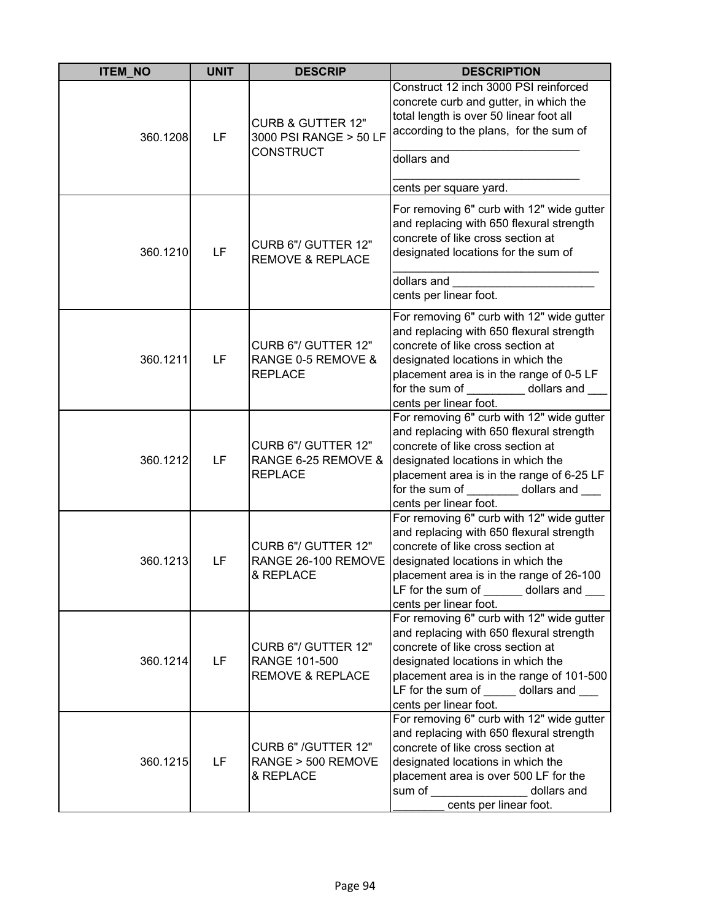| <b>ITEM_NO</b> | <b>UNIT</b> | <b>DESCRIP</b>                                                             | <b>DESCRIPTION</b>                                                                                                                                                                                                                                                      |
|----------------|-------------|----------------------------------------------------------------------------|-------------------------------------------------------------------------------------------------------------------------------------------------------------------------------------------------------------------------------------------------------------------------|
| 360.1208       | LF          | <b>CURB &amp; GUTTER 12"</b><br>3000 PSI RANGE > 50 LF<br><b>CONSTRUCT</b> | Construct 12 inch 3000 PSI reinforced<br>concrete curb and gutter, in which the<br>total length is over 50 linear foot all<br>according to the plans, for the sum of                                                                                                    |
|                |             |                                                                            | dollars and                                                                                                                                                                                                                                                             |
|                |             |                                                                            | cents per square yard.                                                                                                                                                                                                                                                  |
| 360.1210       | LF          | CURB 6"/ GUTTER 12"<br><b>REMOVE &amp; REPLACE</b>                         | For removing 6" curb with 12" wide gutter<br>and replacing with 650 flexural strength<br>concrete of like cross section at<br>designated locations for the sum of                                                                                                       |
|                |             |                                                                            | dollars and<br>cents per linear foot.                                                                                                                                                                                                                                   |
| 360.1211       | LF          | CURB 6"/ GUTTER 12"<br>RANGE 0-5 REMOVE &<br><b>REPLACE</b>                | For removing 6" curb with 12" wide gutter<br>and replacing with 650 flexural strength<br>concrete of like cross section at<br>designated locations in which the<br>placement area is in the range of 0-5 LF<br>for the sum of dollars and<br>cents per linear foot.     |
| 360.1212       | LF          | CURB 6"/ GUTTER 12"<br>RANGE 6-25 REMOVE &<br><b>REPLACE</b>               | For removing 6" curb with 12" wide gutter<br>and replacing with 650 flexural strength<br>concrete of like cross section at<br>designated locations in which the<br>placement area is in the range of 6-25 LF<br>for the sum of dollars and<br>cents per linear foot.    |
| 360.1213       | LF          | CURB 6"/ GUTTER 12"<br>RANGE 26-100 REMOVE<br>& REPLACE                    | For removing 6" curb with 12" wide gutter<br>and replacing with 650 flexural strength<br>concrete of like cross section at<br>designated locations in which the<br>placement area is in the range of 26-100<br>LF for the sum of dollars and<br>cents per linear foot.  |
| 360.1214       | LF          | CURB 6"/ GUTTER 12"<br>RANGE 101-500<br><b>REMOVE &amp; REPLACE</b>        | For removing 6" curb with 12" wide gutter<br>and replacing with 650 flexural strength<br>concrete of like cross section at<br>designated locations in which the<br>placement area is in the range of 101-500<br>LF for the sum of dollars and<br>cents per linear foot. |
| 360.1215       | LF          | CURB 6" /GUTTER 12"<br>RANGE > 500 REMOVE<br>& REPLACE                     | For removing 6" curb with 12" wide gutter<br>and replacing with 650 flexural strength<br>concrete of like cross section at<br>designated locations in which the<br>placement area is over 500 LF for the<br>sum of<br>dollars and<br>cents per linear foot.             |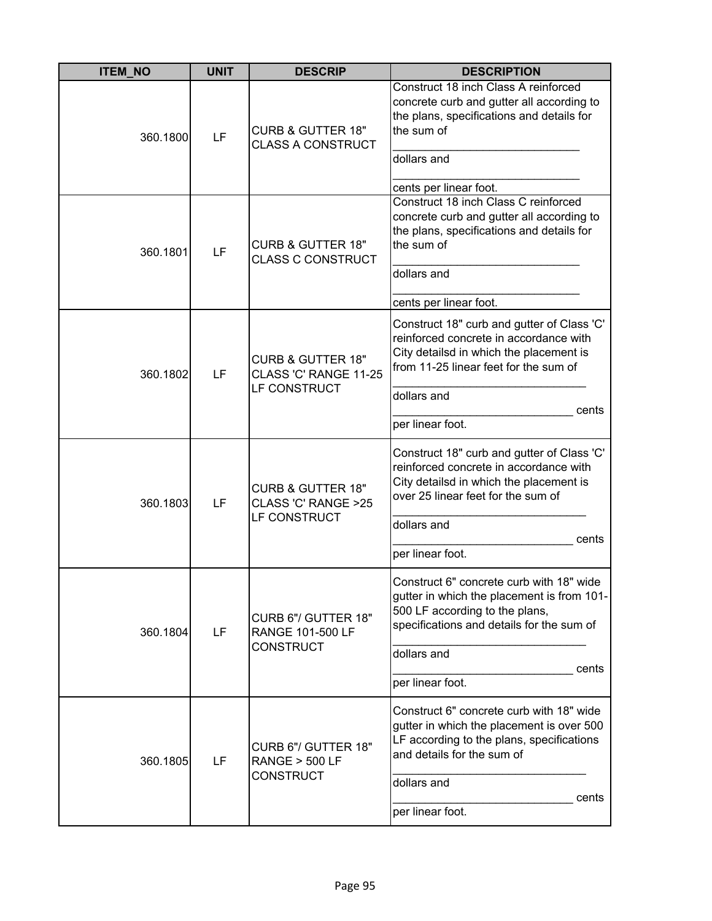| <b>ITEM_NO</b> | <b>UNIT</b> | <b>DESCRIP</b>                                                        | <b>DESCRIPTION</b>                                                                                                                                                                                                   |
|----------------|-------------|-----------------------------------------------------------------------|----------------------------------------------------------------------------------------------------------------------------------------------------------------------------------------------------------------------|
| 360.1800       | LF          | <b>CURB &amp; GUTTER 18"</b><br><b>CLASS A CONSTRUCT</b>              | Construct 18 inch Class A reinforced<br>concrete curb and gutter all according to<br>the plans, specifications and details for<br>the sum of<br>dollars and<br>cents per linear foot.                                |
| 360.1801       | LF          | <b>CURB &amp; GUTTER 18"</b><br><b>CLASS C CONSTRUCT</b>              | Construct 18 inch Class C reinforced<br>concrete curb and gutter all according to<br>the plans, specifications and details for<br>the sum of<br>dollars and<br>cents per linear foot.                                |
| 360.1802       | LF          | <b>CURB &amp; GUTTER 18"</b><br>CLASS 'C' RANGE 11-25<br>LF CONSTRUCT | Construct 18" curb and gutter of Class 'C'<br>reinforced concrete in accordance with<br>City detailsd in which the placement is<br>from 11-25 linear feet for the sum of<br>dollars and<br>cents<br>per linear foot. |
| 360.1803       | LF          | <b>CURB &amp; GUTTER 18"</b><br>CLASS 'C' RANGE >25<br>LF CONSTRUCT   | Construct 18" curb and gutter of Class 'C'<br>reinforced concrete in accordance with<br>City detailsd in which the placement is<br>over 25 linear feet for the sum of<br>dollars and<br>cents<br>per linear foot.    |
| 360.1804       | LF          | CURB 6"/ GUTTER 18"<br><b>RANGE 101-500 LF</b><br><b>CONSTRUCT</b>    | Construct 6" concrete curb with 18" wide<br>gutter in which the placement is from 101-<br>500 LF according to the plans,<br>specifications and details for the sum of<br>dollars and<br>cents<br>per linear foot.    |
| 360.1805       | LF          | CURB 6"/ GUTTER 18"<br><b>RANGE &gt; 500 LF</b><br><b>CONSTRUCT</b>   | Construct 6" concrete curb with 18" wide<br>gutter in which the placement is over 500<br>LF according to the plans, specifications<br>and details for the sum of<br>dollars and<br>cents<br>per linear foot.         |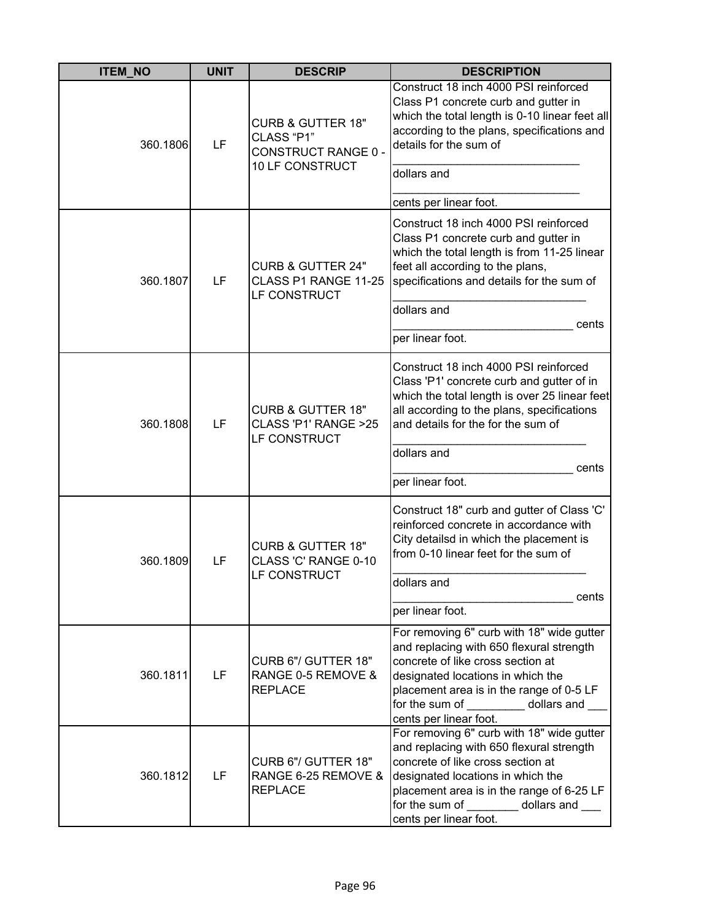| <b>ITEM NO</b> | <b>UNIT</b>                                                                    | <b>DESCRIP</b>                                                                                                                                                                                          | <b>DESCRIPTION</b>                                                                                                                                                                                                                                                   |
|----------------|--------------------------------------------------------------------------------|---------------------------------------------------------------------------------------------------------------------------------------------------------------------------------------------------------|----------------------------------------------------------------------------------------------------------------------------------------------------------------------------------------------------------------------------------------------------------------------|
| 360.1806       | <b>CURB &amp; GUTTER 18"</b><br>CLASS "P1"<br>LF<br><b>CONSTRUCT RANGE 0 -</b> | Construct 18 inch 4000 PSI reinforced<br>Class P1 concrete curb and gutter in<br>which the total length is 0-10 linear feet all<br>according to the plans, specifications and<br>details for the sum of |                                                                                                                                                                                                                                                                      |
|                |                                                                                | 10 LF CONSTRUCT                                                                                                                                                                                         | dollars and                                                                                                                                                                                                                                                          |
|                |                                                                                |                                                                                                                                                                                                         | cents per linear foot.                                                                                                                                                                                                                                               |
| 360.1807       | LF                                                                             | <b>CURB &amp; GUTTER 24"</b><br>CLASS P1 RANGE 11-25<br>LF CONSTRUCT                                                                                                                                    | Construct 18 inch 4000 PSI reinforced<br>Class P1 concrete curb and gutter in<br>which the total length is from 11-25 linear<br>feet all according to the plans,<br>specifications and details for the sum of                                                        |
|                |                                                                                |                                                                                                                                                                                                         | dollars and                                                                                                                                                                                                                                                          |
|                |                                                                                |                                                                                                                                                                                                         | cents<br>per linear foot.                                                                                                                                                                                                                                            |
| 360.1808       | LF                                                                             | <b>CURB &amp; GUTTER 18"</b><br>CLASS 'P1' RANGE >25<br>LF CONSTRUCT                                                                                                                                    | Construct 18 inch 4000 PSI reinforced<br>Class 'P1' concrete curb and gutter of in<br>which the total length is over 25 linear feet<br>all according to the plans, specifications<br>and details for the for the sum of                                              |
|                |                                                                                |                                                                                                                                                                                                         | dollars and<br>cents                                                                                                                                                                                                                                                 |
|                |                                                                                |                                                                                                                                                                                                         | per linear foot.                                                                                                                                                                                                                                                     |
| 360.1809       | LF                                                                             | <b>CURB &amp; GUTTER 18"</b><br>CLASS 'C' RANGE 0-10<br>LF CONSTRUCT                                                                                                                                    | Construct 18" curb and gutter of Class 'C'<br>reinforced concrete in accordance with<br>City detailsd in which the placement is<br>from 0-10 linear feet for the sum of<br>dollars and                                                                               |
|                |                                                                                |                                                                                                                                                                                                         | cents                                                                                                                                                                                                                                                                |
|                |                                                                                |                                                                                                                                                                                                         | per linear foot.<br>For removing 6" curb with 18" wide gutter                                                                                                                                                                                                        |
| 360.1811       | LF                                                                             | CURB 6"/ GUTTER 18"<br>RANGE 0-5 REMOVE &<br><b>REPLACE</b>                                                                                                                                             | and replacing with 650 flexural strength<br>concrete of like cross section at<br>designated locations in which the<br>placement area is in the range of 0-5 LF<br>for the sum of dollars and<br>cents per linear foot.                                               |
| 360.1812       | LF                                                                             | CURB 6"/ GUTTER 18"<br>RANGE 6-25 REMOVE &<br><b>REPLACE</b>                                                                                                                                            | For removing 6" curb with 18" wide gutter<br>and replacing with 650 flexural strength<br>concrete of like cross section at<br>designated locations in which the<br>placement area is in the range of 6-25 LF<br>for the sum of dollars and<br>cents per linear foot. |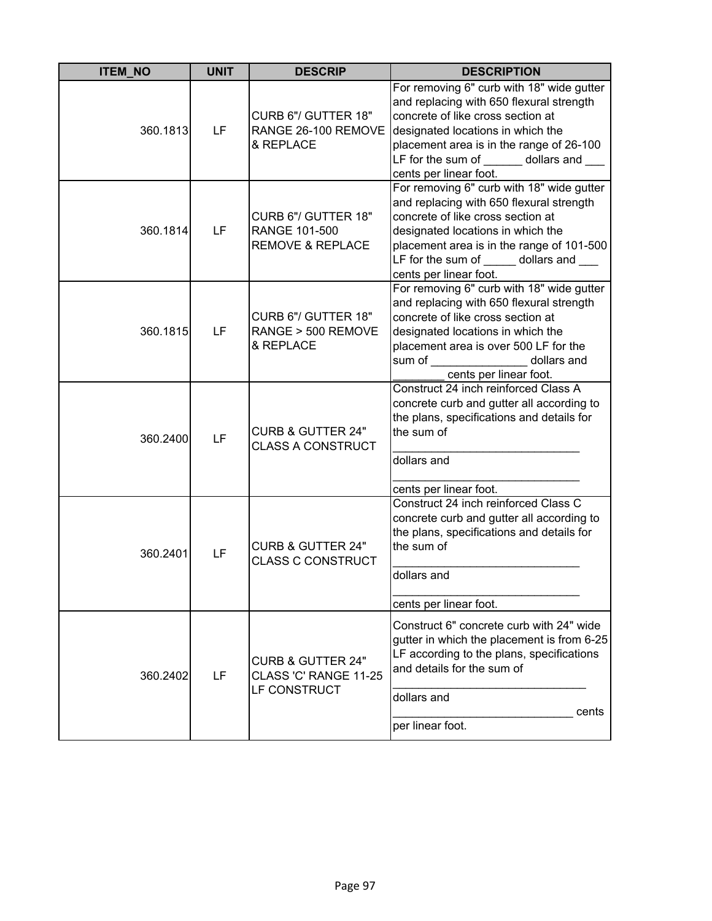| <b>ITEM_NO</b> | <b>UNIT</b> | <b>DESCRIP</b>                                                        | <b>DESCRIPTION</b>                                                                                                                                                                                                                                                      |
|----------------|-------------|-----------------------------------------------------------------------|-------------------------------------------------------------------------------------------------------------------------------------------------------------------------------------------------------------------------------------------------------------------------|
| 360.1813       | LF          | CURB 6"/ GUTTER 18"<br>RANGE 26-100 REMOVE<br>& REPLACE               | For removing 6" curb with 18" wide gutter<br>and replacing with 650 flexural strength<br>concrete of like cross section at<br>designated locations in which the<br>placement area is in the range of 26-100<br>LF for the sum of dollars and<br>cents per linear foot.  |
| 360.1814       | LF          | CURB 6"/ GUTTER 18"<br>RANGE 101-500<br><b>REMOVE &amp; REPLACE</b>   | For removing 6" curb with 18" wide gutter<br>and replacing with 650 flexural strength<br>concrete of like cross section at<br>designated locations in which the<br>placement area is in the range of 101-500<br>LF for the sum of dollars and<br>cents per linear foot. |
| 360.1815       | LF          | CURB 6"/ GUTTER 18"<br>RANGE > 500 REMOVE<br>& REPLACE                | For removing 6" curb with 18" wide gutter<br>and replacing with 650 flexural strength<br>concrete of like cross section at<br>designated locations in which the<br>placement area is over 500 LF for the<br>sum of<br>dollars and<br>cents per linear foot.             |
| 360.2400       | LF          | <b>CURB &amp; GUTTER 24"</b><br><b>CLASS A CONSTRUCT</b>              | Construct 24 inch reinforced Class A<br>concrete curb and gutter all according to<br>the plans, specifications and details for<br>the sum of<br>dollars and<br>cents per linear foot.                                                                                   |
| 360.2401       | LF          | <b>CURB &amp; GUTTER 24"</b><br><b>CLASS C CONSTRUCT</b>              | Construct 24 inch reinforced Class C<br>concrete curb and gutter all according to<br>the plans, specifications and details for<br>the sum of<br>dollars and<br>cents per linear foot.                                                                                   |
| 360.2402       | LF          | <b>CURB &amp; GUTTER 24"</b><br>CLASS 'C' RANGE 11-25<br>LF CONSTRUCT | Construct 6" concrete curb with 24" wide<br>gutter in which the placement is from 6-25<br>LF according to the plans, specifications<br>and details for the sum of<br>dollars and<br>cents<br>per linear foot.                                                           |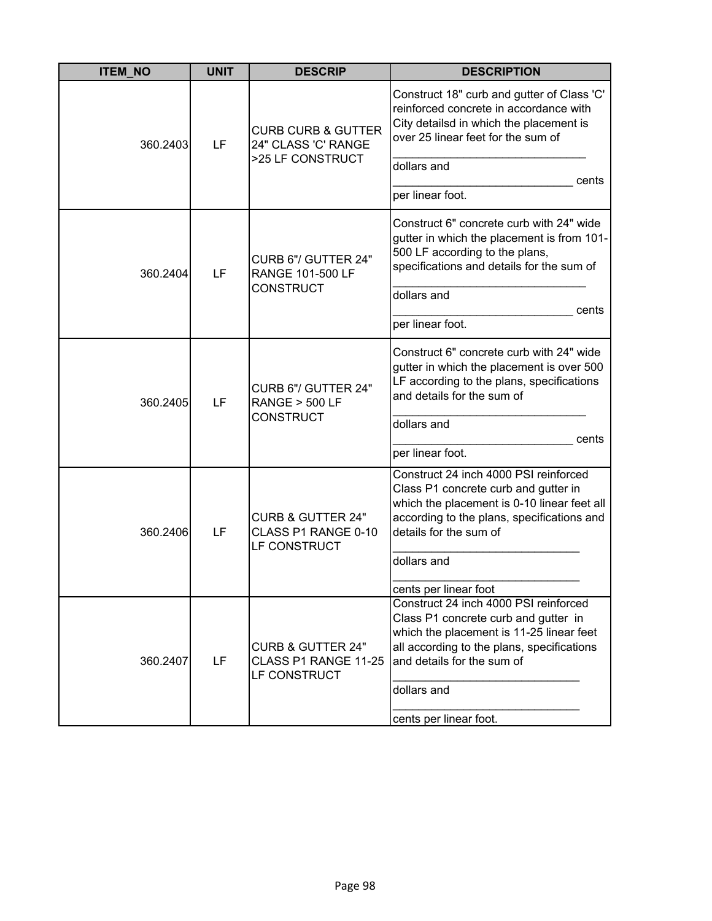| <b>ITEM_NO</b> | <b>UNIT</b> | <b>DESCRIP</b>                                                       | <b>DESCRIPTION</b>                                                                                                                                                                                    |
|----------------|-------------|----------------------------------------------------------------------|-------------------------------------------------------------------------------------------------------------------------------------------------------------------------------------------------------|
| 360.2403       | LF          | <b>CURB CURB &amp; GUTTER</b><br>24" CLASS 'C' RANGE                 | Construct 18" curb and gutter of Class 'C'<br>reinforced concrete in accordance with<br>City detailsd in which the placement is<br>over 25 linear feet for the sum of                                 |
|                |             | >25 LF CONSTRUCT                                                     | dollars and<br>cents<br>per linear foot.                                                                                                                                                              |
| 360.2404       | LF          | CURB 6"/ GUTTER 24"<br>RANGE 101-500 LF                              | Construct 6" concrete curb with 24" wide<br>gutter in which the placement is from 101-<br>500 LF according to the plans,<br>specifications and details for the sum of                                 |
|                |             | <b>CONSTRUCT</b>                                                     | dollars and<br>cents                                                                                                                                                                                  |
|                |             |                                                                      | per linear foot.                                                                                                                                                                                      |
| 360.2405       | LF          | CURB 6"/ GUTTER 24"<br><b>RANGE &gt; 500 LF</b><br><b>CONSTRUCT</b>  | Construct 6" concrete curb with 24" wide<br>gutter in which the placement is over 500<br>LF according to the plans, specifications<br>and details for the sum of                                      |
|                |             |                                                                      | dollars and<br>cents                                                                                                                                                                                  |
|                |             |                                                                      | per linear foot.                                                                                                                                                                                      |
| 360.2406       | LF          | <b>CURB &amp; GUTTER 24"</b><br>CLASS P1 RANGE 0-10<br>LF CONSTRUCT  | Construct 24 inch 4000 PSI reinforced<br>Class P1 concrete curb and gutter in<br>which the placement is 0-10 linear feet all<br>according to the plans, specifications and<br>details for the sum of  |
|                |             |                                                                      | dollars and                                                                                                                                                                                           |
|                |             |                                                                      | cents per linear foot                                                                                                                                                                                 |
| 360.2407       | LF          | <b>CURB &amp; GUTTER 24"</b><br>CLASS P1 RANGE 11-25<br>LF CONSTRUCT | Construct 24 inch 4000 PSI reinforced<br>Class P1 concrete curb and gutter in<br>which the placement is 11-25 linear feet<br>all according to the plans, specifications<br>and details for the sum of |
|                |             |                                                                      | dollars and                                                                                                                                                                                           |
|                |             |                                                                      | cents per linear foot.                                                                                                                                                                                |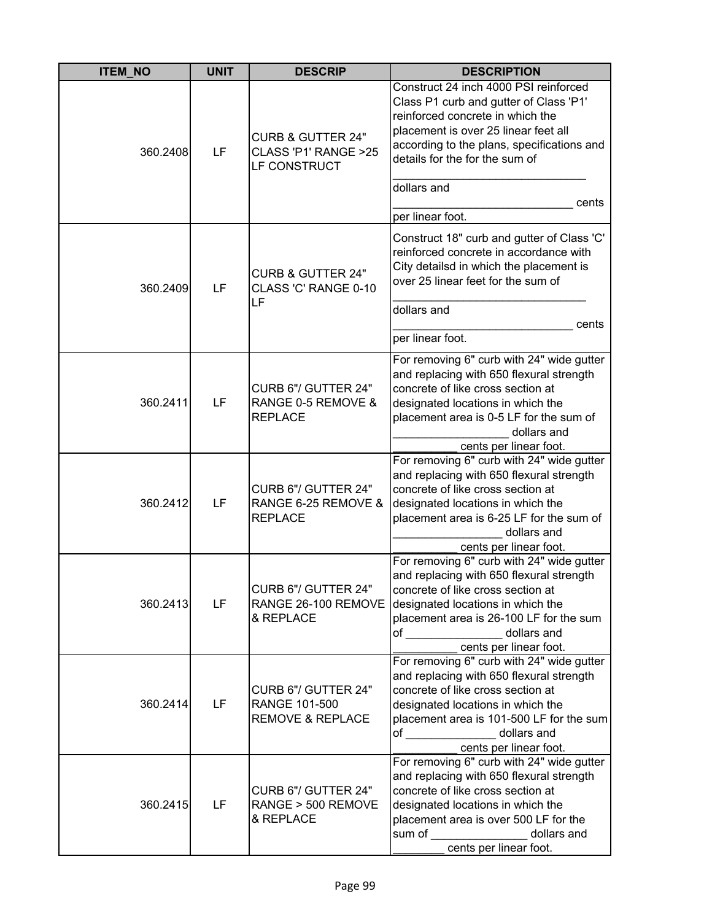| <b>ITEM_NO</b> | <b>UNIT</b> | <b>DESCRIP</b>                                                       | <b>DESCRIPTION</b>                                                                                                                                                                                                                                                                      |
|----------------|-------------|----------------------------------------------------------------------|-----------------------------------------------------------------------------------------------------------------------------------------------------------------------------------------------------------------------------------------------------------------------------------------|
| 360.2408       | LF          | <b>CURB &amp; GUTTER 24"</b><br>CLASS 'P1' RANGE >25<br>LF CONSTRUCT | Construct 24 inch 4000 PSI reinforced<br>Class P1 curb and gutter of Class 'P1'<br>reinforced concrete in which the<br>placement is over 25 linear feet all<br>according to the plans, specifications and<br>details for the for the sum of<br>dollars and<br>cents<br>per linear foot. |
| 360.2409       | LF          | <b>CURB &amp; GUTTER 24"</b><br>CLASS 'C' RANGE 0-10<br>LF           | Construct 18" curb and gutter of Class 'C'<br>reinforced concrete in accordance with<br>City detailsd in which the placement is<br>over 25 linear feet for the sum of<br>dollars and<br>cents<br>per linear foot.                                                                       |
| 360.2411       | LF          | CURB 6"/ GUTTER 24"<br>RANGE 0-5 REMOVE &<br><b>REPLACE</b>          | For removing 6" curb with 24" wide gutter<br>and replacing with 650 flexural strength<br>concrete of like cross section at<br>designated locations in which the<br>placement area is 0-5 LF for the sum of<br>dollars and<br>cents per linear foot.                                     |
| 360.2412       | LF          | CURB 6"/ GUTTER 24"<br>RANGE 6-25 REMOVE &<br><b>REPLACE</b>         | For removing 6" curb with 24" wide gutter<br>and replacing with 650 flexural strength<br>concrete of like cross section at<br>designated locations in which the<br>placement area is 6-25 LF for the sum of<br>dollars and<br>cents per linear foot.                                    |
| 360.2413       | LF          | CURB 6"/ GUTTER 24"<br>RANGE 26-100 REMOVE<br>& REPLACE              | For removing 6" curb with 24" wide gutter<br>and replacing with 650 flexural strength<br>concrete of like cross section at<br>designated locations in which the<br>placement area is 26-100 LF for the sum<br>of dollars and<br>cents per linear foot.                                  |
| 360.2414       | LF          | CURB 6"/ GUTTER 24"<br>RANGE 101-500<br><b>REMOVE &amp; REPLACE</b>  | For removing 6" curb with 24" wide gutter<br>and replacing with 650 flexural strength<br>concrete of like cross section at<br>designated locations in which the<br>placement area is 101-500 LF for the sum<br>of _______________ dollars and<br>cents per linear foot.                 |
| 360.2415       | LF          | CURB 6"/ GUTTER 24"<br>RANGE > 500 REMOVE<br>& REPLACE               | For removing 6" curb with 24" wide gutter<br>and replacing with 650 flexural strength<br>concrete of like cross section at<br>designated locations in which the<br>placement area is over 500 LF for the<br>sum of _________________<br>dollars and<br>cents per linear foot.           |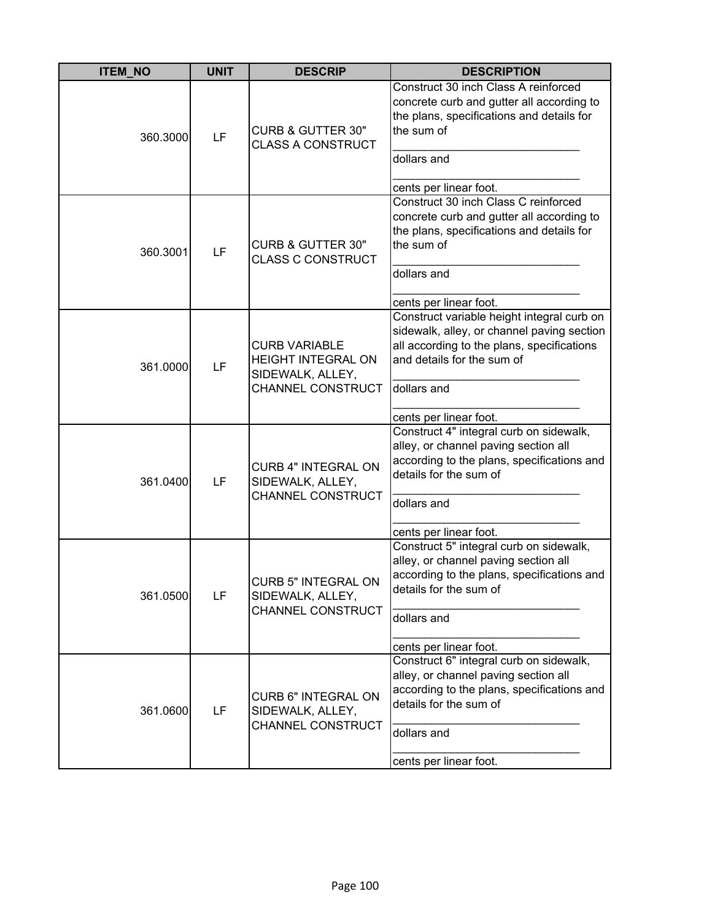| <b>ITEM NO</b> | <b>UNIT</b> | <b>DESCRIP</b>                                                                             | <b>DESCRIPTION</b>                                                                                                                                                                                            |
|----------------|-------------|--------------------------------------------------------------------------------------------|---------------------------------------------------------------------------------------------------------------------------------------------------------------------------------------------------------------|
| 360.3000       | LF          | <b>CURB &amp; GUTTER 30"</b><br><b>CLASS A CONSTRUCT</b>                                   | Construct 30 inch Class A reinforced<br>concrete curb and gutter all according to<br>the plans, specifications and details for<br>the sum of<br>dollars and<br>cents per linear foot.                         |
| 360.3001       | LF          | <b>CURB &amp; GUTTER 30"</b><br><b>CLASS C CONSTRUCT</b>                                   | Construct 30 inch Class C reinforced<br>concrete curb and gutter all according to<br>the plans, specifications and details for<br>the sum of<br>dollars and<br>cents per linear foot.                         |
| 361.0000       | LF          | <b>CURB VARIABLE</b><br><b>HEIGHT INTEGRAL ON</b><br>SIDEWALK, ALLEY,<br>CHANNEL CONSTRUCT | Construct variable height integral curb on<br>sidewalk, alley, or channel paving section<br>all according to the plans, specifications<br>and details for the sum of<br>dollars and<br>cents per linear foot. |
| 361.0400       | LF          | <b>CURB 4" INTEGRAL ON</b><br>SIDEWALK, ALLEY,<br>CHANNEL CONSTRUCT                        | Construct 4" integral curb on sidewalk,<br>alley, or channel paving section all<br>according to the plans, specifications and<br>details for the sum of<br>dollars and<br>cents per linear foot.              |
| 361.0500       | LF          | <b>CURB 5" INTEGRAL ON</b><br>SIDEWALK, ALLEY,<br><b>CHANNEL CONSTRUCT</b>                 | Construct 5" integral curb on sidewalk,<br>alley, or channel paving section all<br>according to the plans, specifications and<br>details for the sum of<br>dollars and<br>cents per linear foot.              |
| 361.0600       | LF          | <b>CURB 6" INTEGRAL ON</b><br>SIDEWALK, ALLEY,<br>CHANNEL CONSTRUCT                        | Construct 6" integral curb on sidewalk,<br>alley, or channel paving section all<br>according to the plans, specifications and<br>details for the sum of<br>dollars and<br>cents per linear foot.              |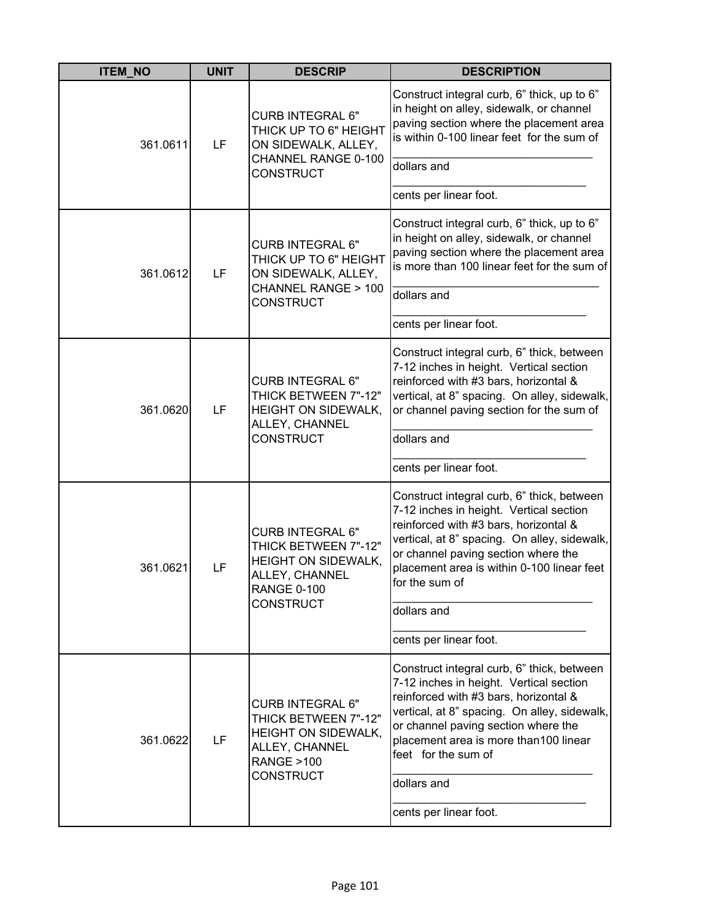| <b>ITEM_NO</b> | <b>UNIT</b> | <b>DESCRIP</b>                                                                                                                              | <b>DESCRIPTION</b>                                                                                                                                                                                                                                                                                                             |
|----------------|-------------|---------------------------------------------------------------------------------------------------------------------------------------------|--------------------------------------------------------------------------------------------------------------------------------------------------------------------------------------------------------------------------------------------------------------------------------------------------------------------------------|
| 361.0611       | LF          | <b>CURB INTEGRAL 6"</b><br>THICK UP TO 6" HEIGHT<br>ON SIDEWALK, ALLEY,<br>CHANNEL RANGE 0-100<br><b>CONSTRUCT</b>                          | Construct integral curb, 6" thick, up to 6"<br>in height on alley, sidewalk, or channel<br>paving section where the placement area<br>is within 0-100 linear feet for the sum of<br>dollars and<br>cents per linear foot.                                                                                                      |
| 361.0612       | LF          | <b>CURB INTEGRAL 6"</b><br>THICK UP TO 6" HEIGHT<br>ON SIDEWALK, ALLEY,<br>CHANNEL RANGE > 100<br><b>CONSTRUCT</b>                          | Construct integral curb, 6" thick, up to 6"<br>in height on alley, sidewalk, or channel<br>paving section where the placement area<br>is more than 100 linear feet for the sum of<br>dollars and<br>cents per linear foot.                                                                                                     |
| 361.0620       | LF          | <b>CURB INTEGRAL 6"</b><br>THICK BETWEEN 7"-12"<br><b>HEIGHT ON SIDEWALK,</b><br>ALLEY, CHANNEL<br><b>CONSTRUCT</b>                         | Construct integral curb, 6" thick, between<br>7-12 inches in height. Vertical section<br>reinforced with #3 bars, horizontal &<br>vertical, at 8" spacing. On alley, sidewalk,<br>or channel paving section for the sum of<br>dollars and<br>cents per linear foot.                                                            |
| 361.0621       | LF          | <b>CURB INTEGRAL 6"</b><br>THICK BETWEEN 7"-12"<br>HEIGHT ON SIDEWALK,<br>ALLEY, CHANNEL<br><b>RANGE 0-100</b><br><b>CONSTRUCT</b>          | Construct integral curb, 6" thick, between<br>7-12 inches in height. Vertical section<br>reinforced with #3 bars, horizontal &<br>vertical, at 8" spacing. On alley, sidewalk,<br>or channel paving section where the<br>placement area is within 0-100 linear feet<br>for the sum of<br>dollars and<br>cents per linear foot. |
| 361.0622       | LF          | <b>CURB INTEGRAL 6"</b><br>THICK BETWEEN 7"-12"<br><b>HEIGHT ON SIDEWALK,</b><br>ALLEY, CHANNEL<br><b>RANGE &gt;100</b><br><b>CONSTRUCT</b> | Construct integral curb, 6" thick, between<br>7-12 inches in height. Vertical section<br>reinforced with #3 bars, horizontal &<br>vertical, at 8" spacing. On alley, sidewalk,<br>or channel paving section where the<br>placement area is more than100 linear<br>feet for the sum of<br>dollars and<br>cents per linear foot. |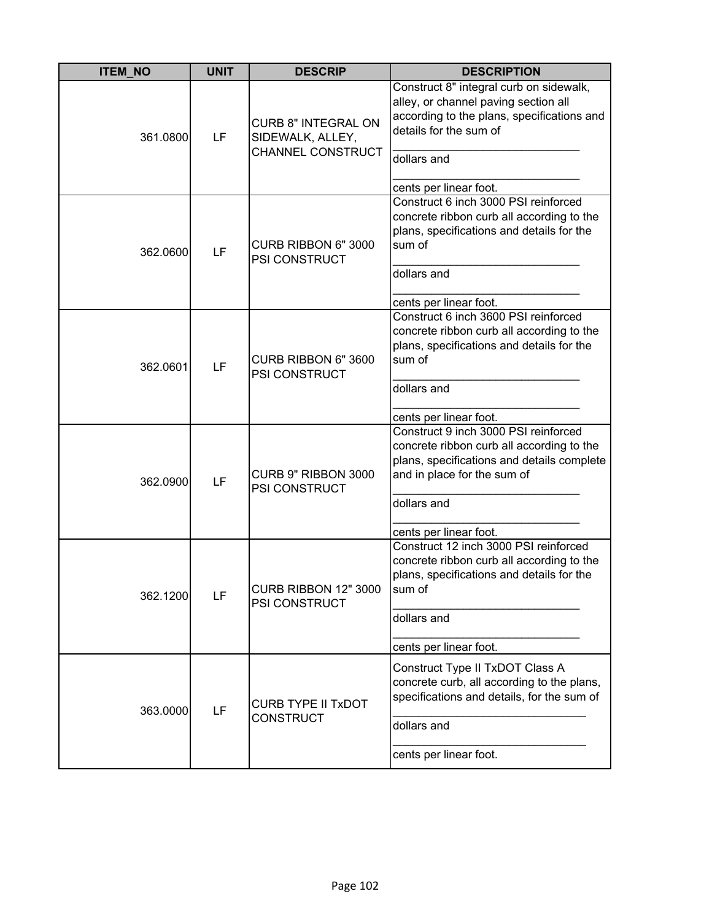| <b>ITEM NO</b> | <b>UNIT</b> | <b>DESCRIP</b>                                                      | <b>DESCRIPTION</b>                                                                                                                                                                                      |
|----------------|-------------|---------------------------------------------------------------------|---------------------------------------------------------------------------------------------------------------------------------------------------------------------------------------------------------|
| 361.0800       | LF          | <b>CURB 8" INTEGRAL ON</b><br>SIDEWALK, ALLEY,<br>CHANNEL CONSTRUCT | Construct 8" integral curb on sidewalk,<br>alley, or channel paving section all<br>according to the plans, specifications and<br>details for the sum of<br>dollars and<br>cents per linear foot.        |
| 362.0600       | LF          | CURB RIBBON 6" 3000<br><b>PSI CONSTRUCT</b>                         | Construct 6 inch 3000 PSI reinforced<br>concrete ribbon curb all according to the<br>plans, specifications and details for the<br>sum of<br>dollars and<br>cents per linear foot.                       |
| 362.0601       | LF          | CURB RIBBON 6" 3600<br>PSI CONSTRUCT                                | Construct 6 inch 3600 PSI reinforced<br>concrete ribbon curb all according to the<br>plans, specifications and details for the<br>sum of<br>dollars and<br>cents per linear foot.                       |
| 362.0900       | LF          | CURB 9" RIBBON 3000<br>PSI CONSTRUCT                                | Construct 9 inch 3000 PSI reinforced<br>concrete ribbon curb all according to the<br>plans, specifications and details complete<br>and in place for the sum of<br>dollars and<br>cents per linear foot. |
| 362.1200       | LF          | CURB RIBBON 12" 3000<br>PSI CONSTRUCT                               | Construct 12 inch 3000 PSI reinforced<br>concrete ribbon curb all according to the<br>plans, specifications and details for the<br>sum of<br>dollars and<br>cents per linear foot.                      |
| 363.0000       | LF          | <b>CURB TYPE II TXDOT</b><br><b>CONSTRUCT</b>                       | Construct Type II TxDOT Class A<br>concrete curb, all according to the plans,<br>specifications and details, for the sum of<br>dollars and<br>cents per linear foot.                                    |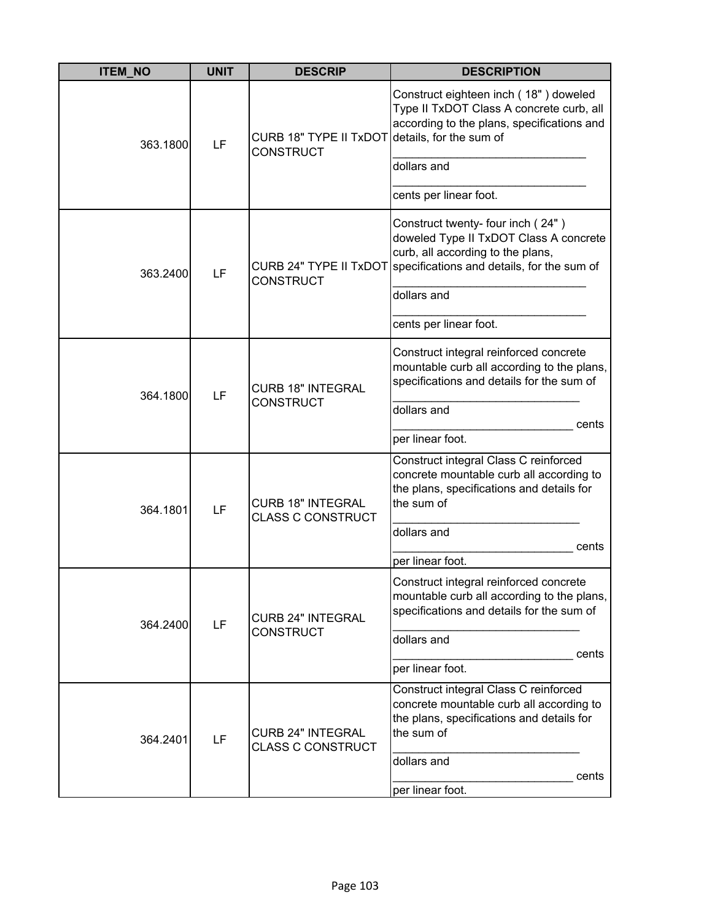| <b>ITEM_NO</b> | <b>UNIT</b> | <b>DESCRIP</b>                                                     | <b>DESCRIPTION</b>                                                                                                                                             |
|----------------|-------------|--------------------------------------------------------------------|----------------------------------------------------------------------------------------------------------------------------------------------------------------|
| 363.1800       | LF          | CURB 18" TYPE II TxDOT details, for the sum of<br><b>CONSTRUCT</b> | Construct eighteen inch (18") doweled<br>Type II TxDOT Class A concrete curb, all<br>according to the plans, specifications and                                |
|                |             |                                                                    | dollars and                                                                                                                                                    |
|                |             |                                                                    | cents per linear foot.                                                                                                                                         |
| 363.2400       | LF          | CURB 24" TYPE II TxDOT<br><b>CONSTRUCT</b>                         | Construct twenty- four inch (24")<br>doweled Type II TxDOT Class A concrete<br>curb, all according to the plans,<br>specifications and details, for the sum of |
|                |             |                                                                    | dollars and                                                                                                                                                    |
|                |             |                                                                    | cents per linear foot.                                                                                                                                         |
| 364.1800       | LF          | <b>CURB 18" INTEGRAL</b><br><b>CONSTRUCT</b>                       | Construct integral reinforced concrete<br>mountable curb all according to the plans,<br>specifications and details for the sum of                              |
|                |             |                                                                    | dollars and<br>cents                                                                                                                                           |
|                |             |                                                                    | per linear foot.                                                                                                                                               |
| 364.1801       | LF          | <b>CURB 18" INTEGRAL</b><br><b>CLASS C CONSTRUCT</b>               | Construct integral Class C reinforced<br>concrete mountable curb all according to<br>the plans, specifications and details for<br>the sum of                   |
|                |             |                                                                    | dollars and<br>cents                                                                                                                                           |
|                |             |                                                                    | per linear foot.                                                                                                                                               |
| 364.2400       | LF          | <b>CURB 24" INTEGRAL</b>                                           | Construct integral reinforced concrete<br>mountable curb all according to the plans,<br>specifications and details for the sum of                              |
|                |             | <b>CONSTRUCT</b>                                                   | dollars and<br>cents                                                                                                                                           |
|                |             |                                                                    | per linear foot.                                                                                                                                               |
| 364.2401       | LF          | <b>CURB 24" INTEGRAL</b><br><b>CLASS C CONSTRUCT</b>               | Construct integral Class C reinforced<br>concrete mountable curb all according to<br>the plans, specifications and details for<br>the sum of                   |
|                |             |                                                                    | dollars and<br>cents<br>per linear foot.                                                                                                                       |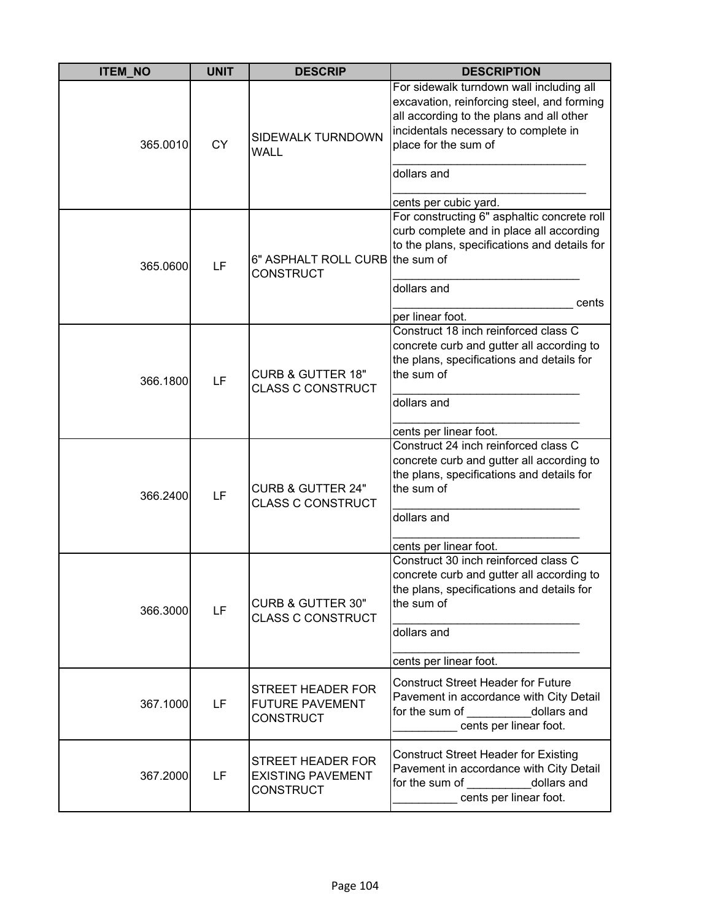| <b>ITEM_NO</b> | <b>UNIT</b> | <b>DESCRIP</b>                                                    | <b>DESCRIPTION</b>                                                                                                                                                                                                                         |
|----------------|-------------|-------------------------------------------------------------------|--------------------------------------------------------------------------------------------------------------------------------------------------------------------------------------------------------------------------------------------|
| 365.0010       | <b>CY</b>   | SIDEWALK TURNDOWN<br><b>WALL</b>                                  | For sidewalk turndown wall including all<br>excavation, reinforcing steel, and forming<br>all according to the plans and all other<br>incidentals necessary to complete in<br>place for the sum of<br>dollars and<br>cents per cubic yard. |
| 365.0600       | LF          | 6" ASPHALT ROLL CURB the sum of<br><b>CONSTRUCT</b>               | For constructing 6" asphaltic concrete roll<br>curb complete and in place all according<br>to the plans, specifications and details for<br>dollars and<br>cents<br>per linear foot.                                                        |
| 366.1800       | LF          | <b>CURB &amp; GUTTER 18"</b><br><b>CLASS C CONSTRUCT</b>          | Construct 18 inch reinforced class C<br>concrete curb and gutter all according to<br>the plans, specifications and details for<br>the sum of<br>dollars and<br>cents per linear foot.                                                      |
| 366.2400       | LF          | <b>CURB &amp; GUTTER 24"</b><br><b>CLASS C CONSTRUCT</b>          | Construct 24 inch reinforced class C<br>concrete curb and gutter all according to<br>the plans, specifications and details for<br>the sum of<br>dollars and<br>cents per linear foot.                                                      |
| 366.3000       | LF          | <b>CURB &amp; GUTTER 30"</b><br><b>CLASS C CONSTRUCT</b>          | Construct 30 inch reinforced class C<br>concrete curb and gutter all according to<br>the plans, specifications and details for<br>the sum of<br>dollars and<br>cents per linear foot.                                                      |
| 367.1000       | LF          | STREET HEADER FOR<br><b>FUTURE PAVEMENT</b><br><b>CONSTRUCT</b>   | <b>Construct Street Header for Future</b><br>Pavement in accordance with City Detail<br>for the sum of dollars and<br>cents per linear foot.                                                                                               |
| 367.2000       | LF          | STREET HEADER FOR<br><b>EXISTING PAVEMENT</b><br><b>CONSTRUCT</b> | <b>Construct Street Header for Existing</b><br>Pavement in accordance with City Detail<br>for the sum of<br>dollars and<br>cents per linear foot.                                                                                          |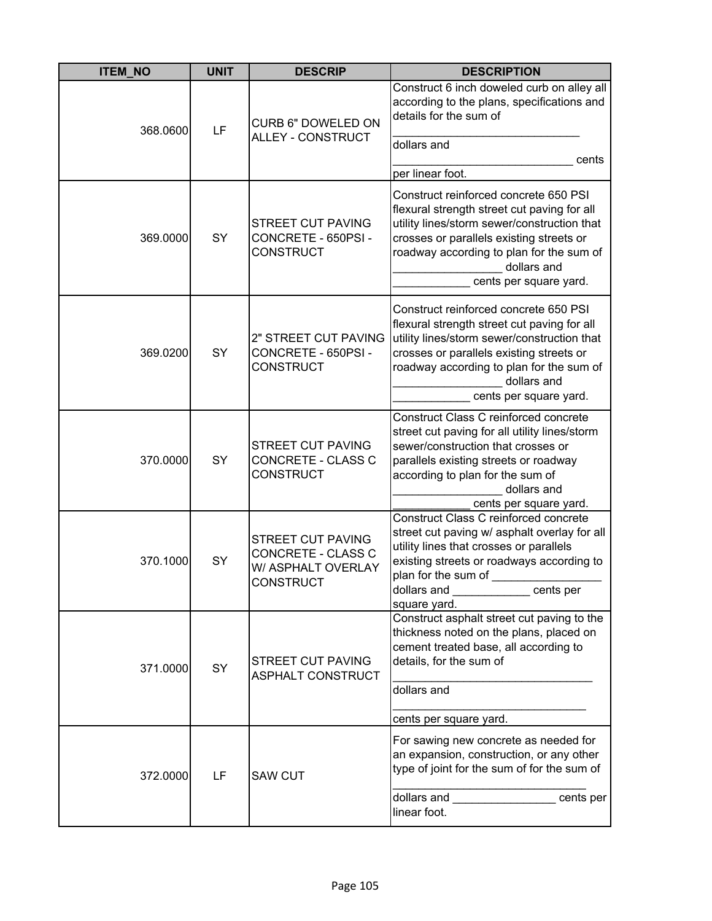| <b>ITEM_NO</b> | <b>UNIT</b> | <b>DESCRIP</b>                                                                    | <b>DESCRIPTION</b>                                                                                                                                                                                                                                                   |
|----------------|-------------|-----------------------------------------------------------------------------------|----------------------------------------------------------------------------------------------------------------------------------------------------------------------------------------------------------------------------------------------------------------------|
| 368.0600       | LF          | <b>CURB 6" DOWELED ON</b><br>ALLEY - CONSTRUCT                                    | Construct 6 inch doweled curb on alley all<br>according to the plans, specifications and<br>details for the sum of<br>dollars and<br>cents                                                                                                                           |
|                |             |                                                                                   | per linear foot.                                                                                                                                                                                                                                                     |
| 369.0000       | SY          | <b>STREET CUT PAVING</b><br>CONCRETE - 650PSI -<br><b>CONSTRUCT</b>               | Construct reinforced concrete 650 PSI<br>flexural strength street cut paving for all<br>utility lines/storm sewer/construction that<br>crosses or parallels existing streets or<br>roadway according to plan for the sum of<br>dollars and<br>cents per square yard. |
| 369.0200       | SY          | 2" STREET CUT PAVING<br>CONCRETE - 650PSI -<br><b>CONSTRUCT</b>                   | Construct reinforced concrete 650 PSI<br>flexural strength street cut paving for all<br>utility lines/storm sewer/construction that<br>crosses or parallels existing streets or<br>roadway according to plan for the sum of<br>dollars and<br>cents per square yard. |
| 370.0000       | SY          | <b>STREET CUT PAVING</b><br>CONCRETE - CLASS C<br><b>CONSTRUCT</b>                | Construct Class C reinforced concrete<br>street cut paving for all utility lines/storm<br>sewer/construction that crosses or<br>parallels existing streets or roadway<br>according to plan for the sum of<br>dollars and<br>cents per square yard.                   |
| 370.1000       | SY          | STREET CUT PAVING<br>CONCRETE - CLASS C<br>W/ ASPHALT OVERLAY<br><b>CONSTRUCT</b> | Construct Class C reinforced concrete<br>street cut paving w/ asphalt overlay for all<br>utility lines that crosses or parallels<br>existing streets or roadways according to<br>plan for the sum of<br>dollars and<br>cents per<br>square yard.                     |
| 371.0000       | SY          | <b>STREET CUT PAVING</b><br><b>ASPHALT CONSTRUCT</b>                              | Construct asphalt street cut paving to the<br>thickness noted on the plans, placed on<br>cement treated base, all according to<br>details, for the sum of<br>dollars and<br>cents per square yard.                                                                   |
| 372.0000       | LF          | <b>SAW CUT</b>                                                                    | For sawing new concrete as needed for<br>an expansion, construction, or any other<br>type of joint for the sum of for the sum of<br>dollars and<br>cents per<br>linear foot.                                                                                         |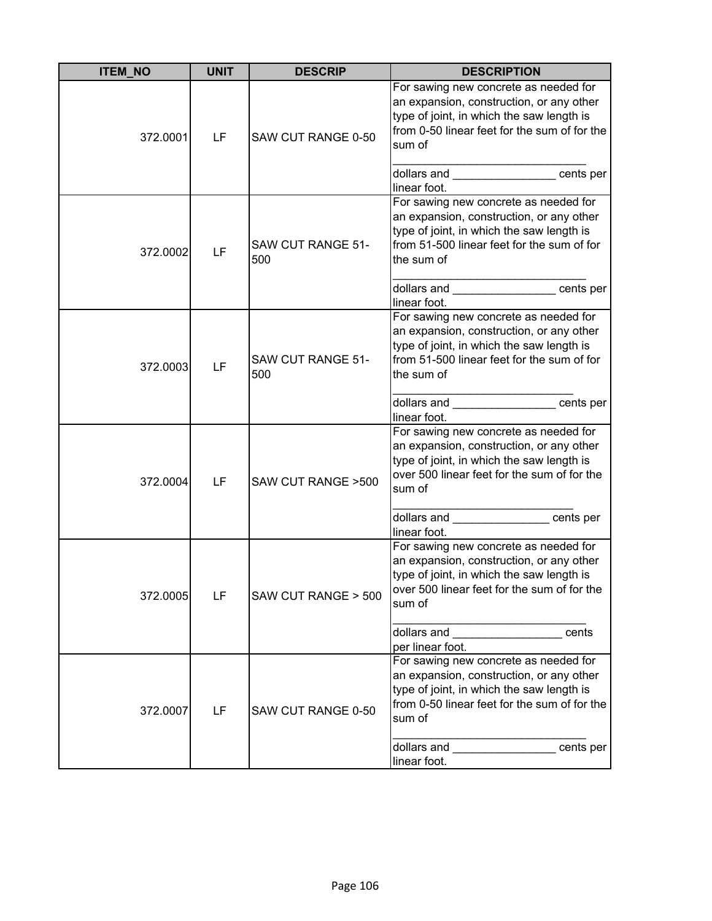| <b>ITEM_NO</b> | <b>UNIT</b> | <b>DESCRIP</b>                  | <b>DESCRIPTION</b>                                                                                                                                                                                                                                                                                                                                                                                                                                            |
|----------------|-------------|---------------------------------|---------------------------------------------------------------------------------------------------------------------------------------------------------------------------------------------------------------------------------------------------------------------------------------------------------------------------------------------------------------------------------------------------------------------------------------------------------------|
| 372.0001       | LF          | SAW CUT RANGE 0-50              | For sawing new concrete as needed for<br>an expansion, construction, or any other<br>type of joint, in which the saw length is<br>from 0-50 linear feet for the sum of for the<br>sum of<br>dollars and ___________________cents per<br>linear foot.                                                                                                                                                                                                          |
| 372.0002       | LF          | <b>SAW CUT RANGE 51-</b><br>500 | For sawing new concrete as needed for<br>an expansion, construction, or any other<br>type of joint, in which the saw length is<br>from 51-500 linear feet for the sum of for<br>the sum of<br>dollars and cents per<br>linear foot.                                                                                                                                                                                                                           |
| 372.0003       | LF          | <b>SAW CUT RANGE 51-</b><br>500 | For sawing new concrete as needed for<br>an expansion, construction, or any other<br>type of joint, in which the saw length is<br>from 51-500 linear feet for the sum of for<br>the sum of<br>dollars and __________________ cents per<br>linear foot.                                                                                                                                                                                                        |
| 372.0004       | LF          | SAW CUT RANGE > 500             | For sawing new concrete as needed for<br>an expansion, construction, or any other<br>type of joint, in which the saw length is<br>over 500 linear feet for the sum of for the<br>sum of<br>dollars and ________________ cents per<br>linear foot.                                                                                                                                                                                                             |
| 372.0005       | LF          | SAW CUT RANGE > 500             | For sawing new concrete as needed for<br>an expansion, construction, or any other<br>type of joint, in which the saw length is<br>over 500 linear feet for the sum of for the<br>sum of<br>dollars and <b>with the set of the set of the set of the set of the set of the set of the set of the set of the set of the set of the set of the set of the set of the set of the set of the set of the set of the set of the se</b><br>cents<br>per linear foot.  |
| 372.0007       | LF          | SAW CUT RANGE 0-50              | For sawing new concrete as needed for<br>an expansion, construction, or any other<br>type of joint, in which the saw length is<br>from 0-50 linear feet for the sum of for the<br>sum of<br>dollars and <b>contract the contract of the set of the set of the set of the set of the set of the set of the set of the set of the set of the set of the set of the set of the set of the set of the set of the set of the set </b><br>cents per<br>linear foot. |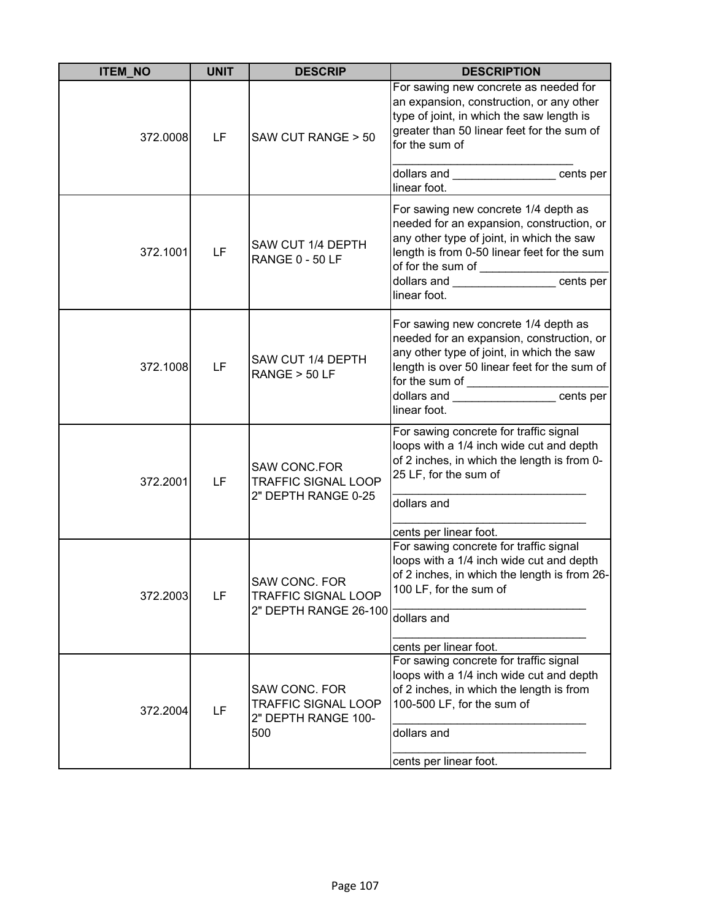| <b>ITEM_NO</b> | <b>UNIT</b> | <b>DESCRIP</b>                                                            | <b>DESCRIPTION</b>                                                                                                                                                                                                                                         |
|----------------|-------------|---------------------------------------------------------------------------|------------------------------------------------------------------------------------------------------------------------------------------------------------------------------------------------------------------------------------------------------------|
| 372.0008       | LF          | SAW CUT RANGE > 50                                                        | For sawing new concrete as needed for<br>an expansion, construction, or any other<br>type of joint, in which the saw length is<br>greater than 50 linear feet for the sum of<br>for the sum of<br>dollars and _________________ cents per                  |
| 372.1001       | LF          | SAW CUT 1/4 DEPTH<br><b>RANGE 0 - 50 LF</b>                               | linear foot.<br>For sawing new concrete 1/4 depth as<br>needed for an expansion, construction, or<br>any other type of joint, in which the saw<br>length is from 0-50 linear feet for the sum<br>dollars and ____________________cents per<br>linear foot. |
| 372.1008       | LF          | SAW CUT 1/4 DEPTH<br>RANGE > 50 LF                                        | For sawing new concrete 1/4 depth as<br>needed for an expansion, construction, or<br>any other type of joint, in which the saw<br>length is over 50 linear feet for the sum of<br>for the sum of _____________________cents per<br>linear foot.            |
| 372.2001       | LF          | <b>SAW CONC.FOR</b><br><b>TRAFFIC SIGNAL LOOP</b><br>2" DEPTH RANGE 0-25  | For sawing concrete for traffic signal<br>loops with a 1/4 inch wide cut and depth<br>of 2 inches, in which the length is from 0-<br>25 LF, for the sum of<br>dollars and<br>cents per linear foot.                                                        |
| 372.2003       | LF          | SAW CONC. FOR<br><b>TRAFFIC SIGNAL LOOP</b><br>2" DEPTH RANGE 26-100      | For sawing concrete for traffic signal<br>loops with a 1/4 inch wide cut and depth<br>of 2 inches, in which the length is from 26-<br>100 LF, for the sum of<br>dollars and<br>cents per linear foot.                                                      |
| 372.2004       | LF          | SAW CONC. FOR<br><b>TRAFFIC SIGNAL LOOP</b><br>2" DEPTH RANGE 100-<br>500 | For sawing concrete for traffic signal<br>loops with a 1/4 inch wide cut and depth<br>of 2 inches, in which the length is from<br>100-500 LF, for the sum of<br>dollars and<br>cents per linear foot.                                                      |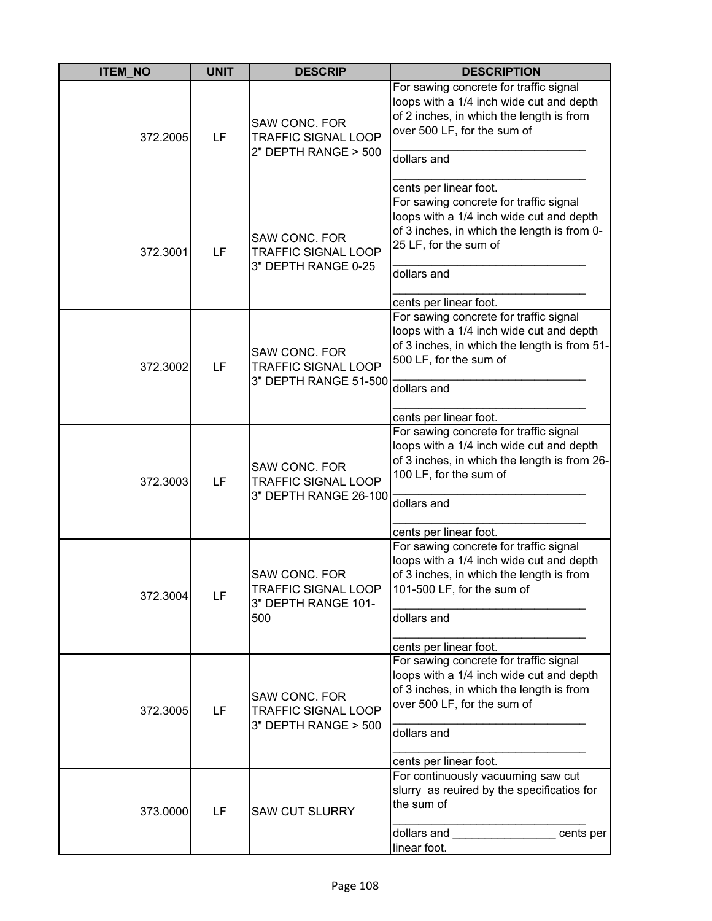| <b>ITEM_NO</b> | <b>UNIT</b> | <b>DESCRIP</b>                                                                   | <b>DESCRIPTION</b>                                                                                                                                                                                     |
|----------------|-------------|----------------------------------------------------------------------------------|--------------------------------------------------------------------------------------------------------------------------------------------------------------------------------------------------------|
| 372.2005       | LF          | <b>SAW CONC. FOR</b><br><b>TRAFFIC SIGNAL LOOP</b><br>2" DEPTH RANGE > 500       | For sawing concrete for traffic signal<br>loops with a 1/4 inch wide cut and depth<br>of 2 inches, in which the length is from<br>over 500 LF, for the sum of<br>dollars and<br>cents per linear foot. |
| 372.3001       | LF          | SAW CONC. FOR<br><b>TRAFFIC SIGNAL LOOP</b><br>3" DEPTH RANGE 0-25               | For sawing concrete for traffic signal<br>loops with a 1/4 inch wide cut and depth<br>of 3 inches, in which the length is from 0-<br>25 LF, for the sum of<br>dollars and<br>cents per linear foot.    |
| 372.3002       | LF          | <b>SAW CONC. FOR</b><br><b>TRAFFIC SIGNAL LOOP</b><br>3" DEPTH RANGE 51-500      | For sawing concrete for traffic signal<br>loops with a 1/4 inch wide cut and depth<br>of 3 inches, in which the length is from 51-<br>500 LF, for the sum of<br>dollars and<br>cents per linear foot.  |
| 372.3003       | LF          | SAW CONC. FOR<br><b>TRAFFIC SIGNAL LOOP</b><br>3" DEPTH RANGE 26-100             | For sawing concrete for traffic signal<br>loops with a 1/4 inch wide cut and depth<br>of 3 inches, in which the length is from 26-<br>100 LF, for the sum of<br>dollars and<br>cents per linear foot.  |
| 372.3004       | LF          | <b>SAW CONC. FOR</b><br><b>TRAFFIC SIGNAL LOOP</b><br>3" DEPTH RANGE 101-<br>500 | For sawing concrete for traffic signal<br>loops with a 1/4 inch wide cut and depth<br>of 3 inches, in which the length is from<br>101-500 LF, for the sum of<br>dollars and<br>cents per linear foot.  |
| 372.3005       | LF          | <b>SAW CONC. FOR</b><br><b>TRAFFIC SIGNAL LOOP</b><br>3" DEPTH RANGE > 500       | For sawing concrete for traffic signal<br>loops with a 1/4 inch wide cut and depth<br>of 3 inches, in which the length is from<br>over 500 LF, for the sum of<br>dollars and<br>cents per linear foot. |
| 373.0000       | LF          | <b>SAW CUT SLURRY</b>                                                            | For continuously vacuuming saw cut<br>slurry as reuired by the specificatios for<br>the sum of<br>dollars and <b>containers</b><br>cents per<br>linear foot.                                           |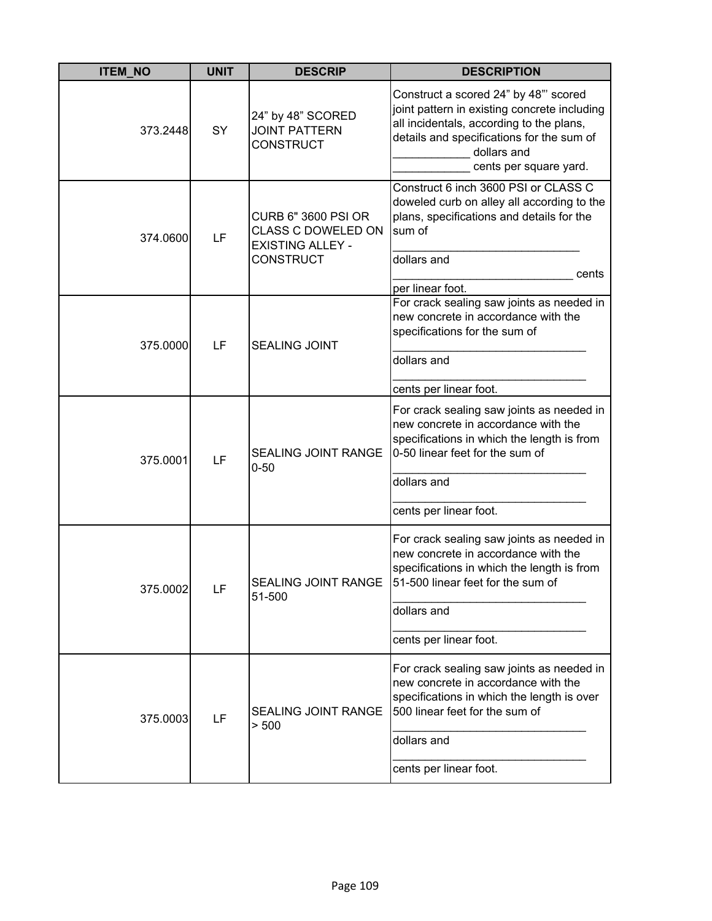| <b>ITEM NO</b> | <b>UNIT</b> | <b>DESCRIP</b>                                                                                         | <b>DESCRIPTION</b>                                                                                                                                                                                                      |
|----------------|-------------|--------------------------------------------------------------------------------------------------------|-------------------------------------------------------------------------------------------------------------------------------------------------------------------------------------------------------------------------|
| 373.2448       | SY          | 24" by 48" SCORED<br><b>JOINT PATTERN</b><br><b>CONSTRUCT</b>                                          | Construct a scored 24" by 48"' scored<br>joint pattern in existing concrete including<br>all incidentals, according to the plans,<br>details and specifications for the sum of<br>dollars and<br>cents per square yard. |
| 374.0600       | LF          | <b>CURB 6" 3600 PSI OR</b><br><b>CLASS C DOWELED ON</b><br><b>EXISTING ALLEY -</b><br><b>CONSTRUCT</b> | Construct 6 inch 3600 PSI or CLASS C<br>doweled curb on alley all according to the<br>plans, specifications and details for the<br>sum of<br>dollars and<br>cents<br>per linear foot.                                   |
| 375.0000       | LF          | <b>SEALING JOINT</b>                                                                                   | For crack sealing saw joints as needed in<br>new concrete in accordance with the<br>specifications for the sum of<br>dollars and<br>cents per linear foot.                                                              |
| 375.0001       | LF          | <b>SEALING JOINT RANGE</b><br>$0 - 50$                                                                 | For crack sealing saw joints as needed in<br>new concrete in accordance with the<br>specifications in which the length is from<br>0-50 linear feet for the sum of<br>dollars and<br>cents per linear foot.              |
| 375.0002       | LF          | SEALING JOINT RANGE<br>51-500                                                                          | For crack sealing saw joints as needed in<br>new concrete in accordance with the<br>specifications in which the length is from<br>51-500 linear feet for the sum of<br>dollars and<br>cents per linear foot.            |
| 375.0003       | LF          | <b>SEALING JOINT RANGE</b><br>> 500                                                                    | For crack sealing saw joints as needed in<br>new concrete in accordance with the<br>specifications in which the length is over<br>500 linear feet for the sum of<br>dollars and<br>cents per linear foot.               |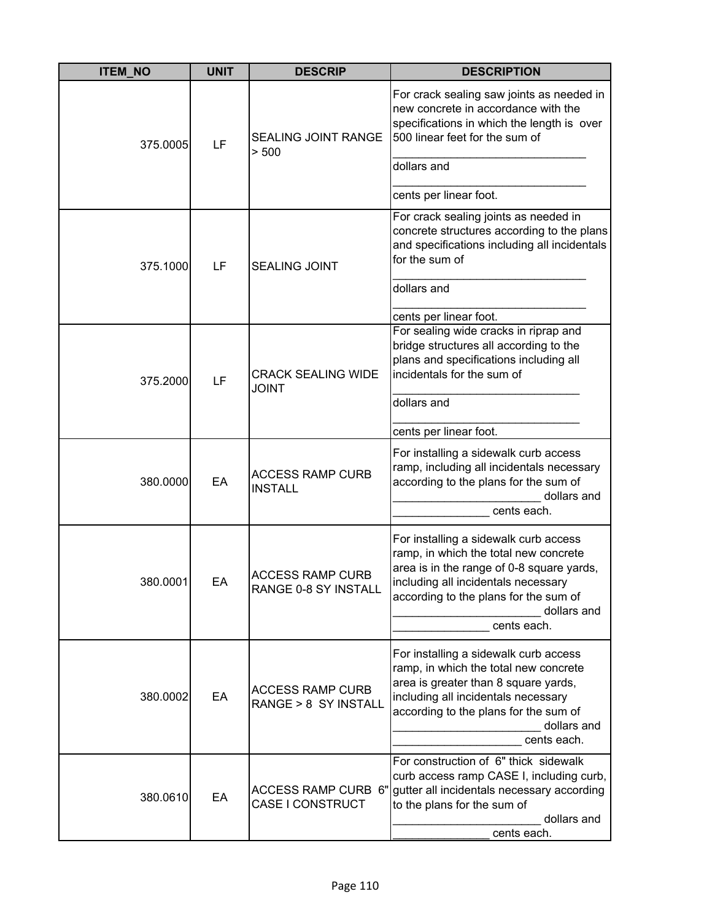| <b>ITEM_NO</b> | <b>UNIT</b> | <b>DESCRIP</b>                                  | <b>DESCRIPTION</b>                                                                                                                                                                                                                        |
|----------------|-------------|-------------------------------------------------|-------------------------------------------------------------------------------------------------------------------------------------------------------------------------------------------------------------------------------------------|
| 375.0005       | LF          | <b>SEALING JOINT RANGE</b><br>> 500             | For crack sealing saw joints as needed in<br>new concrete in accordance with the<br>specifications in which the length is over<br>500 linear feet for the sum of                                                                          |
|                |             |                                                 | dollars and                                                                                                                                                                                                                               |
|                |             |                                                 | cents per linear foot.                                                                                                                                                                                                                    |
| 375.1000       | LF          | <b>SEALING JOINT</b>                            | For crack sealing joints as needed in<br>concrete structures according to the plans<br>and specifications including all incidentals<br>for the sum of                                                                                     |
|                |             |                                                 | dollars and                                                                                                                                                                                                                               |
|                |             |                                                 | cents per linear foot.                                                                                                                                                                                                                    |
| 375.2000       | LF          | <b>CRACK SEALING WIDE</b><br><b>JOINT</b>       | For sealing wide cracks in riprap and<br>bridge structures all according to the<br>plans and specifications including all<br>incidentals for the sum of                                                                                   |
|                |             |                                                 | dollars and                                                                                                                                                                                                                               |
|                |             |                                                 | cents per linear foot.                                                                                                                                                                                                                    |
| 380.0000       | EA          | <b>ACCESS RAMP CURB</b><br><b>INSTALL</b>       | For installing a sidewalk curb access<br>ramp, including all incidentals necessary<br>according to the plans for the sum of<br>dollars and<br>cents each.                                                                                 |
| 380.0001       | EА          | <b>ACCESS RAMP CURB</b><br>RANGE 0-8 SY INSTALL | For installing a sidewalk curb access<br>ramp, in which the total new concrete<br>area is in the range of 0-8 square yards,<br>including all incidentals necessary<br>according to the plans for the sum of<br>dollars and<br>cents each. |
| 380.0002       | EA          | <b>ACCESS RAMP CURB</b><br>RANGE > 8 SY INSTALL | For installing a sidewalk curb access<br>ramp, in which the total new concrete<br>area is greater than 8 square yards,<br>including all incidentals necessary<br>according to the plans for the sum of<br>dollars and<br>cents each.      |
| 380.0610       | EA          | ACCESS RAMP CURB 6"<br>CASE I CONSTRUCT         | For construction of 6" thick sidewalk<br>curb access ramp CASE I, including curb,<br>gutter all incidentals necessary according<br>to the plans for the sum of<br>dollars and<br>cents each.                                              |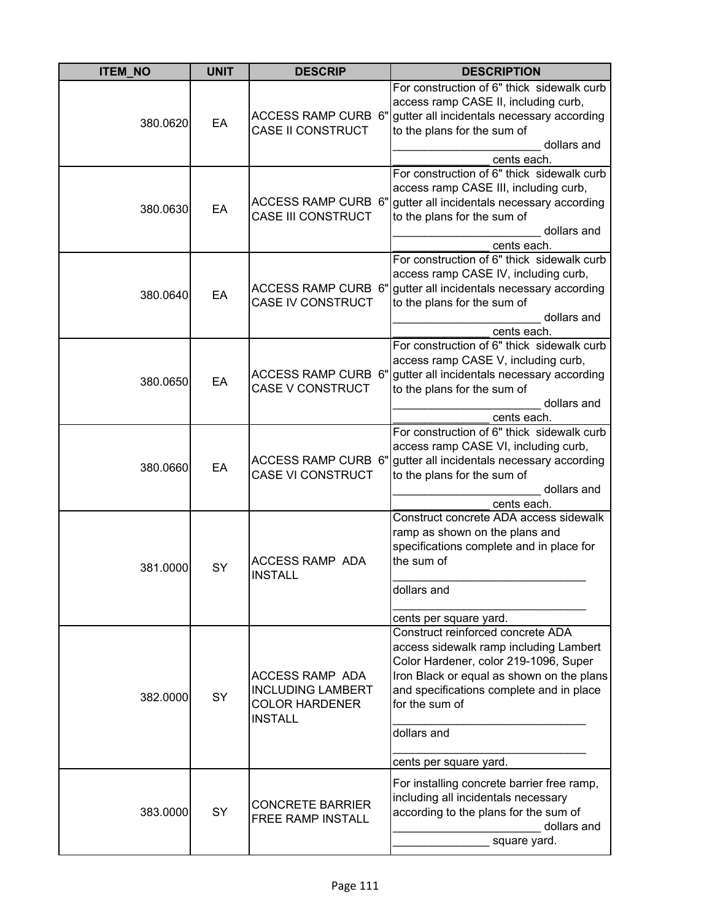| <b>ITEM_NO</b> | <b>UNIT</b> | <b>DESCRIP</b>                                                                         | <b>DESCRIPTION</b>                                                                                                                                                                                                                                                       |
|----------------|-------------|----------------------------------------------------------------------------------------|--------------------------------------------------------------------------------------------------------------------------------------------------------------------------------------------------------------------------------------------------------------------------|
| 380.0620       | EA          | ACCESS RAMP CURB 6"<br><b>CASE II CONSTRUCT</b>                                        | For construction of 6" thick sidewalk curb<br>access ramp CASE II, including curb,<br>gutter all incidentals necessary according<br>to the plans for the sum of<br>dollars and<br>cents each.                                                                            |
| 380.0630       | EA          | <b>ACCESS RAMP CURB 6"</b><br><b>CASE III CONSTRUCT</b>                                | For construction of 6" thick sidewalk curb<br>access ramp CASE III, including curb,<br>gutter all incidentals necessary according<br>to the plans for the sum of<br>dollars and<br>cents each.                                                                           |
| 380.0640       | EA          | <b>ACCESS RAMP CURB 6"</b><br><b>CASE IV CONSTRUCT</b>                                 | For construction of 6" thick sidewalk curb<br>access ramp CASE IV, including curb,<br>gutter all incidentals necessary according<br>to the plans for the sum of<br>dollars and<br>cents each.                                                                            |
| 380.0650       | EA          | <b>ACCESS RAMP CURB 6"</b><br><b>CASE V CONSTRUCT</b>                                  | For construction of 6" thick sidewalk curb<br>access ramp CASE V, including curb,<br>gutter all incidentals necessary according<br>to the plans for the sum of<br>dollars and<br>cents each.                                                                             |
| 380.0660       | EA          | <b>ACCESS RAMP CURB 6"</b><br><b>CASE VI CONSTRUCT</b>                                 | For construction of 6" thick sidewalk curb<br>access ramp CASE VI, including curb,<br>gutter all incidentals necessary according<br>to the plans for the sum of<br>dollars and<br>cents each.                                                                            |
| 381.0000       | SY          | <b>ACCESS RAMP ADA</b><br><b>INSTALL</b>                                               | Construct concrete ADA access sidewalk<br>ramp as shown on the plans and<br>specifications complete and in place for<br>the sum of<br>dollars and<br>cents per square yard.                                                                                              |
| 382.0000       | <b>SY</b>   | ACCESS RAMP ADA<br><b>INCLUDING LAMBERT</b><br><b>COLOR HARDENER</b><br><b>INSTALL</b> | Construct reinforced concrete ADA<br>access sidewalk ramp including Lambert<br>Color Hardener, color 219-1096, Super<br>Iron Black or equal as shown on the plans<br>and specifications complete and in place<br>for the sum of<br>dollars and<br>cents per square yard. |
| 383.0000       | SY          | <b>CONCRETE BARRIER</b><br>FREE RAMP INSTALL                                           | For installing concrete barrier free ramp,<br>including all incidentals necessary<br>according to the plans for the sum of<br>dollars and<br>square yard.                                                                                                                |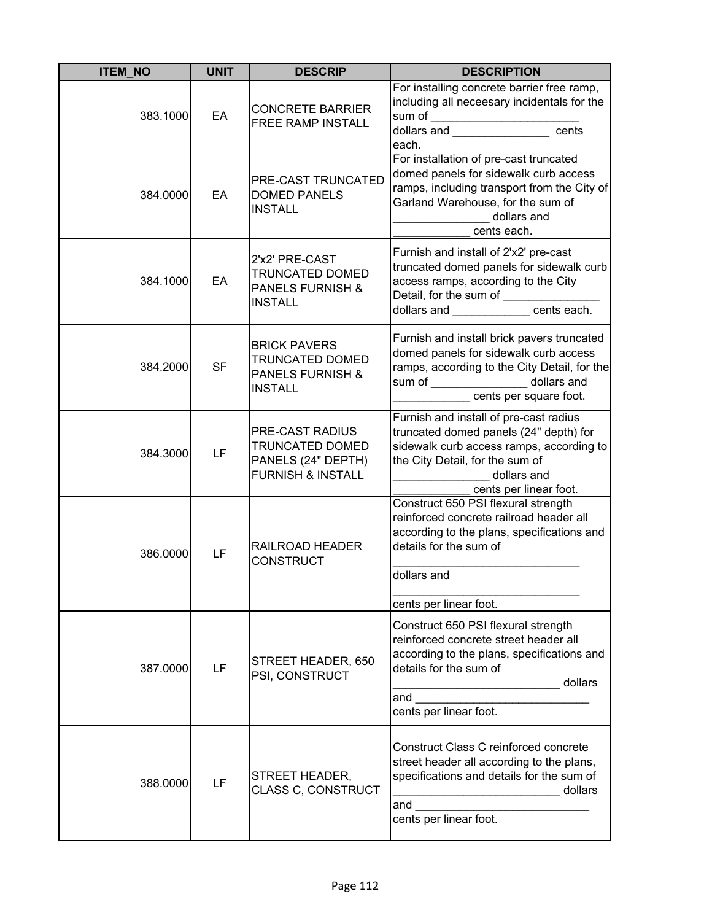| <b>ITEM_NO</b> | <b>UNIT</b> | <b>DESCRIP</b>                                                                                 | <b>DESCRIPTION</b>                                                                                                                                                                                                         |
|----------------|-------------|------------------------------------------------------------------------------------------------|----------------------------------------------------------------------------------------------------------------------------------------------------------------------------------------------------------------------------|
| 383.1000       | EA          | <b>CONCRETE BARRIER</b><br>FREE RAMP INSTALL                                                   | For installing concrete barrier free ramp,<br>including all neceesary incidentals for the<br>sum of ________________________________<br>dollars and _______________________ cents<br>each.                                 |
| 384.0000       | EA          | PRE-CAST TRUNCATED<br><b>DOMED PANELS</b><br><b>INSTALL</b>                                    | For installation of pre-cast truncated<br>domed panels for sidewalk curb access<br>ramps, including transport from the City of<br>Garland Warehouse, for the sum of<br>dollars and<br>cents each.                          |
| 384.1000       | EA          | 2'x2' PRE-CAST<br>TRUNCATED DOMED<br><b>PANELS FURNISH &amp;</b><br><b>INSTALL</b>             | Furnish and install of 2'x2' pre-cast<br>truncated domed panels for sidewalk curb<br>access ramps, according to the City<br>Detail, for the sum of ______________<br>dollars and ______________cents each.                 |
| 384.2000       | <b>SF</b>   | <b>BRICK PAVERS</b><br><b>TRUNCATED DOMED</b><br><b>PANELS FURNISH &amp;</b><br><b>INSTALL</b> | Furnish and install brick pavers truncated<br>domed panels for sidewalk curb access<br>ramps, according to the City Detail, for the<br>sum of _________________ dollars and<br>cents per square foot.                      |
| 384.3000       | LF          | PRE-CAST RADIUS<br>TRUNCATED DOMED<br>PANELS (24" DEPTH)<br><b>FURNISH &amp; INSTALL</b>       | Furnish and install of pre-cast radius<br>truncated domed panels (24" depth) for<br>sidewalk curb access ramps, according to<br>the City Detail, for the sum of<br>dollars and<br>cents per linear foot.                   |
| 386.0000       | LF          | RAILROAD HEADER<br><b>CONSTRUCT</b>                                                            | Construct 650 PSI flexural strength<br>reinforced concrete railroad header all<br>according to the plans, specifications and<br>details for the sum of<br>dollars and                                                      |
| 387.0000       | LF          | STREET HEADER, 650<br>PSI, CONSTRUCT                                                           | cents per linear foot.<br>Construct 650 PSI flexural strength<br>reinforced concrete street header all<br>according to the plans, specifications and<br>details for the sum of<br>dollars<br>and<br>cents per linear foot. |
| 388.0000       | LF          | STREET HEADER,<br>CLASS C, CONSTRUCT                                                           | Construct Class C reinforced concrete<br>street header all according to the plans,<br>specifications and details for the sum of<br>dollars<br>and<br>cents per linear foot.                                                |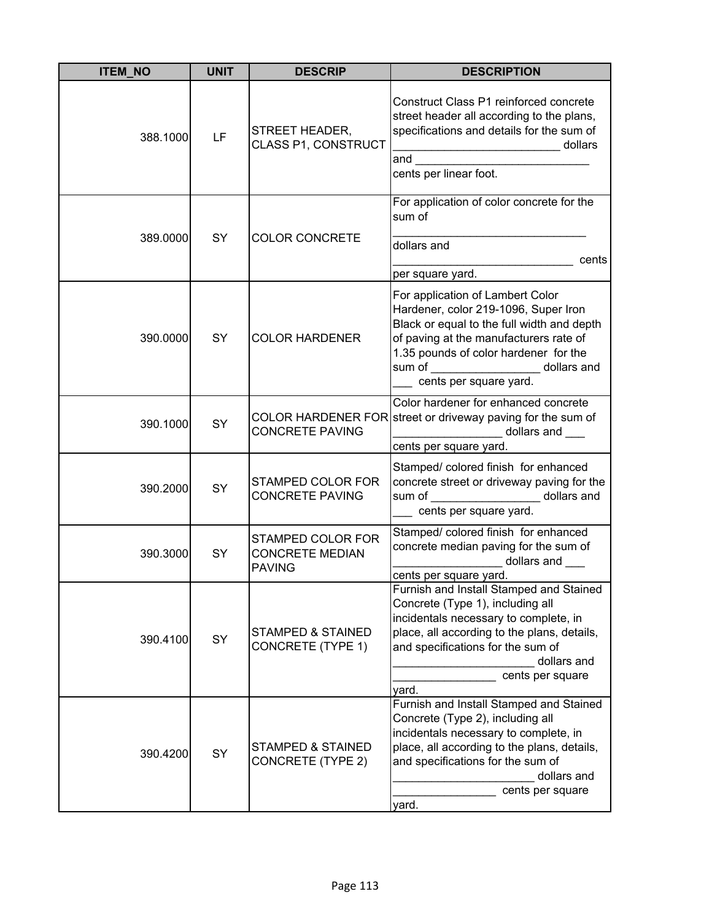| <b>ITEM NO</b> | <b>UNIT</b> | <b>DESCRIP</b>                                               | <b>DESCRIPTION</b>                                                                                                                                                                                                                                                            |
|----------------|-------------|--------------------------------------------------------------|-------------------------------------------------------------------------------------------------------------------------------------------------------------------------------------------------------------------------------------------------------------------------------|
| 388.1000       | LF          | <b>STREET HEADER,</b><br>CLASS P1, CONSTRUCT                 | Construct Class P1 reinforced concrete<br>street header all according to the plans,<br>specifications and details for the sum of<br>_________________________________ dollars<br>and $\qquad \qquad$<br>cents per linear foot.                                                |
| 389.0000       | SY          | <b>COLOR CONCRETE</b>                                        | For application of color concrete for the<br>sum of<br>dollars and<br>cents<br>per square yard.                                                                                                                                                                               |
| 390,0000       | <b>SY</b>   | <b>COLOR HARDENER</b>                                        | For application of Lambert Color<br>Hardener, color 219-1096, Super Iron<br>Black or equal to the full width and depth<br>of paving at the manufacturers rate of<br>1.35 pounds of color hardener for the<br>sum of ___________________ dollars and<br>cents per square yard. |
| 390.1000       | SY          | <b>CONCRETE PAVING</b>                                       | Color hardener for enhanced concrete<br>COLOR HARDENER FOR street or driveway paving for the sum of<br>_________________ dollars and ____<br>cents per square yard.                                                                                                           |
| 390.2000       | SY          | STAMPED COLOR FOR<br><b>CONCRETE PAVING</b>                  | Stamped/ colored finish for enhanced<br>concrete street or driveway paving for the<br>sum of _____________________ dollars and<br>cents per square yard.                                                                                                                      |
| 390.3000       | SY          | STAMPED COLOR FOR<br><b>CONCRETE MEDIAN</b><br><b>PAVING</b> | Stamped/ colored finish for enhanced<br>concrete median paving for the sum of<br>dollars and ___<br><u> 1990 - Johann Barnett, f</u><br>cents per square yard.                                                                                                                |
| 390.4100       | SY          | <b>STAMPED &amp; STAINED</b><br><b>CONCRETE (TYPE 1)</b>     | Furnish and Install Stamped and Stained<br>Concrete (Type 1), including all<br>incidentals necessary to complete, in<br>place, all according to the plans, details,<br>and specifications for the sum of<br>dollars and<br>cents per square<br>yard.                          |
| 390.4200       | SY          | <b>STAMPED &amp; STAINED</b><br>CONCRETE (TYPE 2)            | Furnish and Install Stamped and Stained<br>Concrete (Type 2), including all<br>incidentals necessary to complete, in<br>place, all according to the plans, details,<br>and specifications for the sum of<br>dollars and<br>cents per square<br>yard.                          |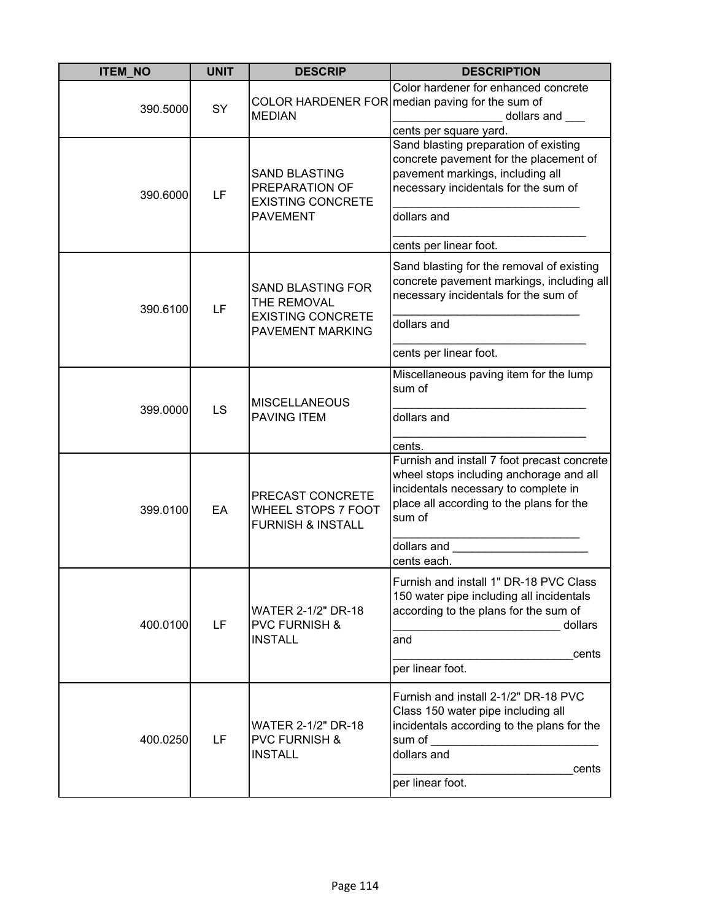| <b>ITEM NO</b> | <b>UNIT</b> | <b>DESCRIP</b>                                                                          | <b>DESCRIPTION</b>                                                                                                                                                                                                 |
|----------------|-------------|-----------------------------------------------------------------------------------------|--------------------------------------------------------------------------------------------------------------------------------------------------------------------------------------------------------------------|
| 390.5000       | SY          | <b>MEDIAN</b>                                                                           | Color hardener for enhanced concrete<br>COLOR HARDENER FOR median paving for the sum of<br>dollars and ___<br>cents per square yard.                                                                               |
| 390.6000       | LF          | <b>SAND BLASTING</b><br>PREPARATION OF<br><b>EXISTING CONCRETE</b><br><b>PAVEMENT</b>   | Sand blasting preparation of existing<br>concrete pavement for the placement of<br>pavement markings, including all<br>necessary incidentals for the sum of<br>dollars and<br>cents per linear foot.               |
| 390.6100       | LF          | <b>SAND BLASTING FOR</b><br>THE REMOVAL<br><b>EXISTING CONCRETE</b><br>PAVEMENT MARKING | Sand blasting for the removal of existing<br>concrete pavement markings, including all<br>necessary incidentals for the sum of<br>dollars and<br>cents per linear foot.                                            |
| 399.0000       | LS          | <b>MISCELLANEOUS</b><br><b>PAVING ITEM</b>                                              | Miscellaneous paving item for the lump<br>sum of<br>dollars and<br>cents.                                                                                                                                          |
| 399.0100       | EA          | PRECAST CONCRETE<br>WHEEL STOPS 7 FOOT<br><b>FURNISH &amp; INSTALL</b>                  | Furnish and install 7 foot precast concrete<br>wheel stops including anchorage and all<br>incidentals necessary to complete in<br>place all according to the plans for the<br>sum of<br>dollars and<br>cents each. |
| 400.0100       | LF          | <b>WATER 2-1/2" DR-18</b><br><b>PVC FURNISH &amp;</b><br><b>INSTALL</b>                 | Furnish and install 1" DR-18 PVC Class<br>150 water pipe including all incidentals<br>according to the plans for the sum of<br>dollars<br>and<br>cents<br>per linear foot.                                         |
| 400.0250       | LF          | <b>WATER 2-1/2" DR-18</b><br><b>PVC FURNISH &amp;</b><br><b>INSTALL</b>                 | Furnish and install 2-1/2" DR-18 PVC<br>Class 150 water pipe including all<br>incidentals according to the plans for the<br>sum of<br>dollars and<br>cents<br>per linear foot.                                     |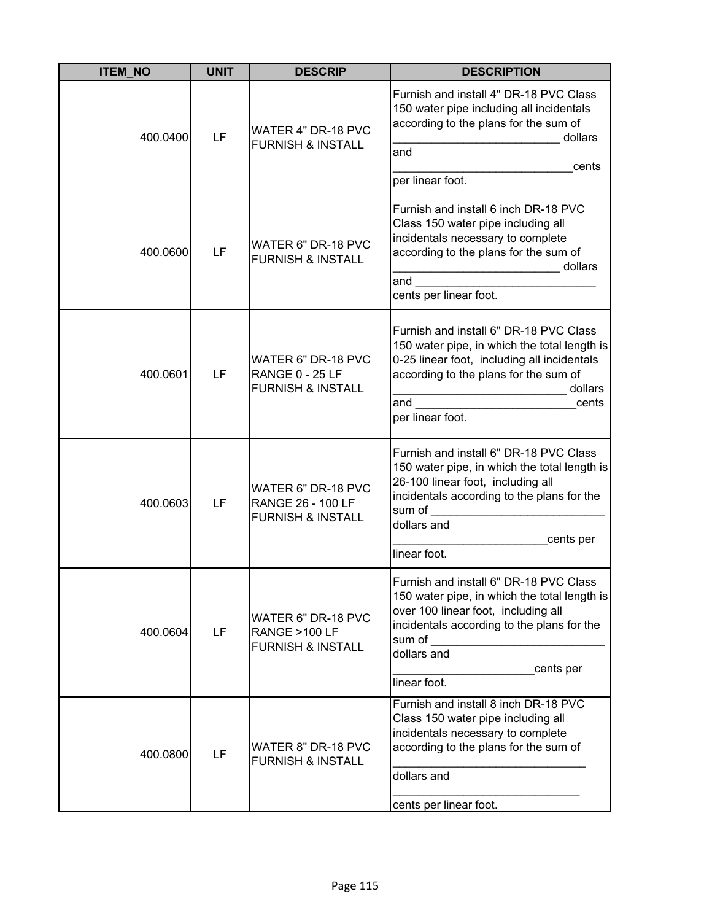| <b>ITEM_NO</b> | <b>UNIT</b> | <b>DESCRIP</b>                                                                 | <b>DESCRIPTION</b>                                                                                                                                                                                                                                                                                                                                                                                                                                                                                                                                                                                                                                                                                             |
|----------------|-------------|--------------------------------------------------------------------------------|----------------------------------------------------------------------------------------------------------------------------------------------------------------------------------------------------------------------------------------------------------------------------------------------------------------------------------------------------------------------------------------------------------------------------------------------------------------------------------------------------------------------------------------------------------------------------------------------------------------------------------------------------------------------------------------------------------------|
| 400.0400       | LF          | WATER 4" DR-18 PVC<br><b>FURNISH &amp; INSTALL</b>                             | Furnish and install 4" DR-18 PVC Class<br>150 water pipe including all incidentals<br>according to the plans for the sum of<br>dollars<br>and<br>cents<br>per linear foot.                                                                                                                                                                                                                                                                                                                                                                                                                                                                                                                                     |
| 400.0600       | LF          | WATER 6" DR-18 PVC<br><b>FURNISH &amp; INSTALL</b>                             | Furnish and install 6 inch DR-18 PVC<br>Class 150 water pipe including all<br>incidentals necessary to complete<br>according to the plans for the sum of<br>dollars<br>$\mathcal{L} = \mathcal{L} \times \mathcal{L} = \mathcal{L} \times \mathcal{L} = \mathcal{L} \times \mathcal{L} = \mathcal{L} \times \mathcal{L} = \mathcal{L} \times \mathcal{L} = \mathcal{L} \times \mathcal{L} = \mathcal{L} \times \mathcal{L} = \mathcal{L} \times \mathcal{L} = \mathcal{L} \times \mathcal{L} = \mathcal{L} \times \mathcal{L} = \mathcal{L} \times \mathcal{L} = \mathcal{L} \times \mathcal{L} = \mathcal{L} \times \mathcal{L} = \mathcal{L} \times \mathcal{L} = \mathcal$<br>and<br>cents per linear foot. |
| 400.0601       | LF          | WATER 6" DR-18 PVC<br><b>RANGE 0 - 25 LF</b><br><b>FURNISH &amp; INSTALL</b>   | Furnish and install 6" DR-18 PVC Class<br>150 water pipe, in which the total length is<br>0-25 linear foot, including all incidentals<br>according to the plans for the sum of<br>dollars<br>$\frac{1}{2}$ or the Summary state of $\frac{1}{2}$<br>cents<br>per linear foot.                                                                                                                                                                                                                                                                                                                                                                                                                                  |
| 400.0603       | LF          | WATER 6" DR-18 PVC<br><b>RANGE 26 - 100 LF</b><br><b>FURNISH &amp; INSTALL</b> | Furnish and install 6" DR-18 PVC Class<br>150 water pipe, in which the total length is<br>26-100 linear foot, including all<br>incidentals according to the plans for the<br>sum of<br>dollars and<br>cents per<br>linear foot.                                                                                                                                                                                                                                                                                                                                                                                                                                                                                |
| 400.0604       | LF          | WATER 6" DR-18 PVC<br>RANGE >100 LF<br><b>FURNISH &amp; INSTALL</b>            | Furnish and install 6" DR-18 PVC Class<br>150 water pipe, in which the total length is<br>over 100 linear foot, including all<br>incidentals according to the plans for the<br>sum of<br>dollars and<br>cents per<br>linear foot.                                                                                                                                                                                                                                                                                                                                                                                                                                                                              |
| 400.0800       | LF          | WATER 8" DR-18 PVC<br><b>FURNISH &amp; INSTALL</b>                             | Furnish and install 8 inch DR-18 PVC<br>Class 150 water pipe including all<br>incidentals necessary to complete<br>according to the plans for the sum of<br>dollars and<br>cents per linear foot.                                                                                                                                                                                                                                                                                                                                                                                                                                                                                                              |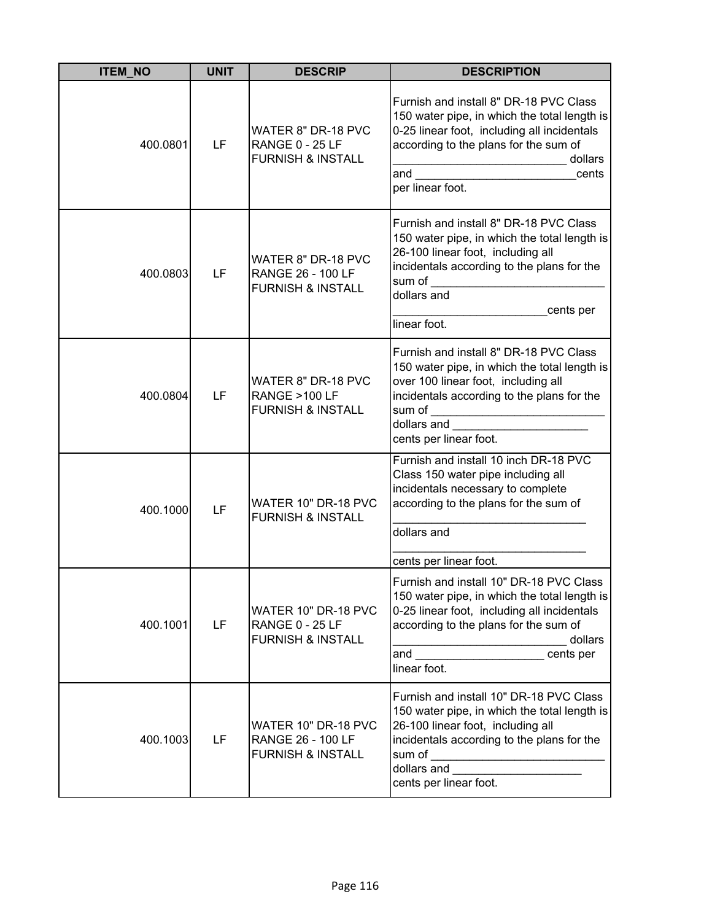| <b>ITEM_NO</b> | <b>UNIT</b> | <b>DESCRIP</b>                                                                 | <b>DESCRIPTION</b>                                                                                                                                                                                                              |
|----------------|-------------|--------------------------------------------------------------------------------|---------------------------------------------------------------------------------------------------------------------------------------------------------------------------------------------------------------------------------|
| 400.0801       | LF          | WATER 8" DR-18 PVC<br><b>RANGE 0 - 25 LF</b><br><b>FURNISH &amp; INSTALL</b>   | Furnish and install 8" DR-18 PVC Class<br>150 water pipe, in which the total length is<br>0-25 linear foot, including all incidentals<br>according to the plans for the sum of<br>dollars<br>and<br>cents<br>per linear foot.   |
| 400.0803       | LF          | WATER 8" DR-18 PVC<br><b>RANGE 26 - 100 LF</b><br><b>FURNISH &amp; INSTALL</b> | Furnish and install 8" DR-18 PVC Class<br>150 water pipe, in which the total length is<br>26-100 linear foot, including all<br>incidentals according to the plans for the<br>sum of<br>dollars and<br>cents per<br>linear foot. |
| 400.0804       | LF          | WATER 8" DR-18 PVC<br><b>RANGE &gt;100 LF</b><br><b>FURNISH &amp; INSTALL</b>  | Furnish and install 8" DR-18 PVC Class<br>150 water pipe, in which the total length is<br>over 100 linear foot, including all<br>incidentals according to the plans for the<br>dollars and<br>cents per linear foot.            |
| 400.1000       | LF          | WATER 10" DR-18 PVC<br><b>FURNISH &amp; INSTALL</b>                            | Furnish and install 10 inch DR-18 PVC<br>Class 150 water pipe including all<br>incidentals necessary to complete<br>according to the plans for the sum of<br>dollars and<br>cents per linear foot.                              |
| 400.1001       | LF          | WATER 10" DR-18 PVC<br><b>RANGE 0 - 25 LF</b><br><b>FURNISH &amp; INSTALL</b>  | Furnish and install 10" DR-18 PVC Class<br>150 water pipe, in which the total length is<br>0-25 linear foot, including all incidentals<br>according to the plans for the sum of<br>dollars<br>and<br>cents per<br>linear foot.  |
| 400.1003       | LF          | WATER 10" DR-18 PVC<br>RANGE 26 - 100 LF<br><b>FURNISH &amp; INSTALL</b>       | Furnish and install 10" DR-18 PVC Class<br>150 water pipe, in which the total length is<br>26-100 linear foot, including all<br>incidentals according to the plans for the<br>sum of<br>dollars and<br>cents per linear foot.   |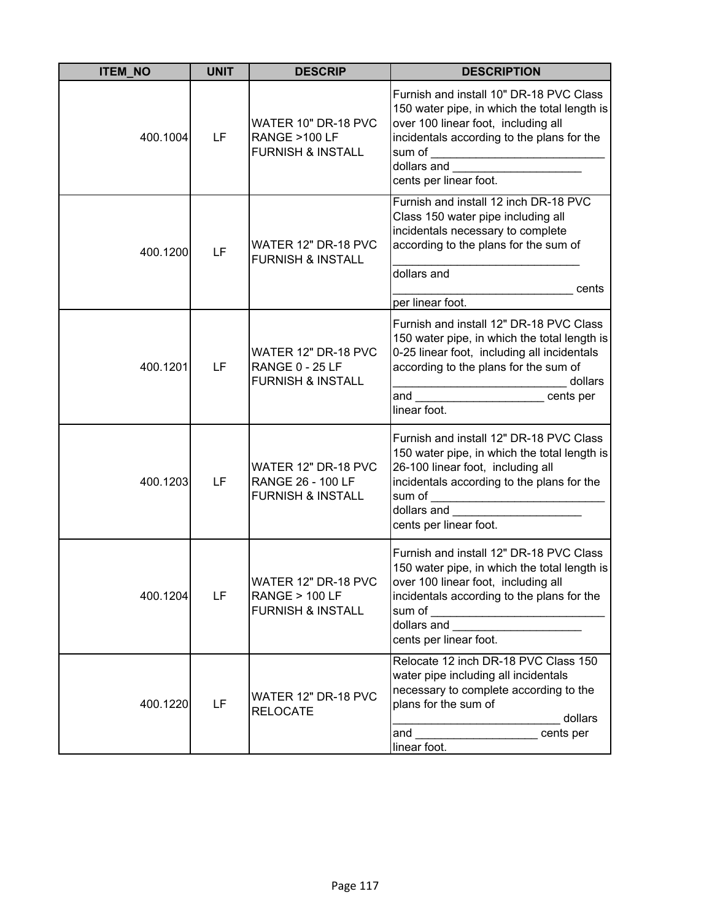| <b>ITEM_NO</b> | <b>UNIT</b> | <b>DESCRIP</b>                                                                  | <b>DESCRIPTION</b>                                                                                                                                                                                                                                                                                                                                                                                                                                              |
|----------------|-------------|---------------------------------------------------------------------------------|-----------------------------------------------------------------------------------------------------------------------------------------------------------------------------------------------------------------------------------------------------------------------------------------------------------------------------------------------------------------------------------------------------------------------------------------------------------------|
| 400.1004       | LF          | WATER 10" DR-18 PVC<br>RANGE >100 LF<br><b>FURNISH &amp; INSTALL</b>            | Furnish and install 10" DR-18 PVC Class<br>150 water pipe, in which the total length is<br>over 100 linear foot, including all<br>incidentals according to the plans for the<br>sum of ____________________________<br>dollars and<br>cents per linear foot.                                                                                                                                                                                                    |
| 400.1200       | LF          | WATER 12" DR-18 PVC<br><b>FURNISH &amp; INSTALL</b>                             | Furnish and install 12 inch DR-18 PVC<br>Class 150 water pipe including all<br>incidentals necessary to complete<br>according to the plans for the sum of<br>dollars and                                                                                                                                                                                                                                                                                        |
|                |             |                                                                                 | cents                                                                                                                                                                                                                                                                                                                                                                                                                                                           |
|                |             |                                                                                 | per linear foot.                                                                                                                                                                                                                                                                                                                                                                                                                                                |
| 400.1201       | LF          | WATER 12" DR-18 PVC<br><b>RANGE 0 - 25 LF</b><br><b>FURNISH &amp; INSTALL</b>   | Furnish and install 12" DR-18 PVC Class<br>150 water pipe, in which the total length is<br>0-25 linear foot, including all incidentals<br>according to the plans for the sum of<br>dollars<br>and <u>the contract of the contract of the contract of the contract of the contract of the contract of the contract of the contract of the contract of the contract of the contract of the contract of the contract of the contr</u><br>cents per<br>linear foot. |
| 400.1203       | LF          | WATER 12" DR-18 PVC<br>RANGE 26 - 100 LF<br><b>FURNISH &amp; INSTALL</b>        | Furnish and install 12" DR-18 PVC Class<br>150 water pipe, in which the total length is<br>26-100 linear foot, including all<br>incidentals according to the plans for the<br>sum of<br>dollars and<br>cents per linear foot.                                                                                                                                                                                                                                   |
| 400.1204       | LF          | WATER 12" DR-18 PVC<br><b>RANGE &gt; 100 LF</b><br><b>FURNISH &amp; INSTALL</b> | Furnish and install 12" DR-18 PVC Class<br>150 water pipe, in which the total length is<br>over 100 linear foot, including all<br>incidentals according to the plans for the<br>sum of<br>dollars and <b>container the contact of the contact of the contact of the contact of the contact of the contact of the contact of the contact of the contact of the contact of the contact of the contact of the contact of the </b><br>cents per linear foot.        |
| 400.1220       | LF          | WATER 12" DR-18 PVC<br><b>RELOCATE</b>                                          | Relocate 12 inch DR-18 PVC Class 150<br>water pipe including all incidentals<br>necessary to complete according to the<br>plans for the sum of<br>dollars<br>cents per<br>and<br>linear foot.                                                                                                                                                                                                                                                                   |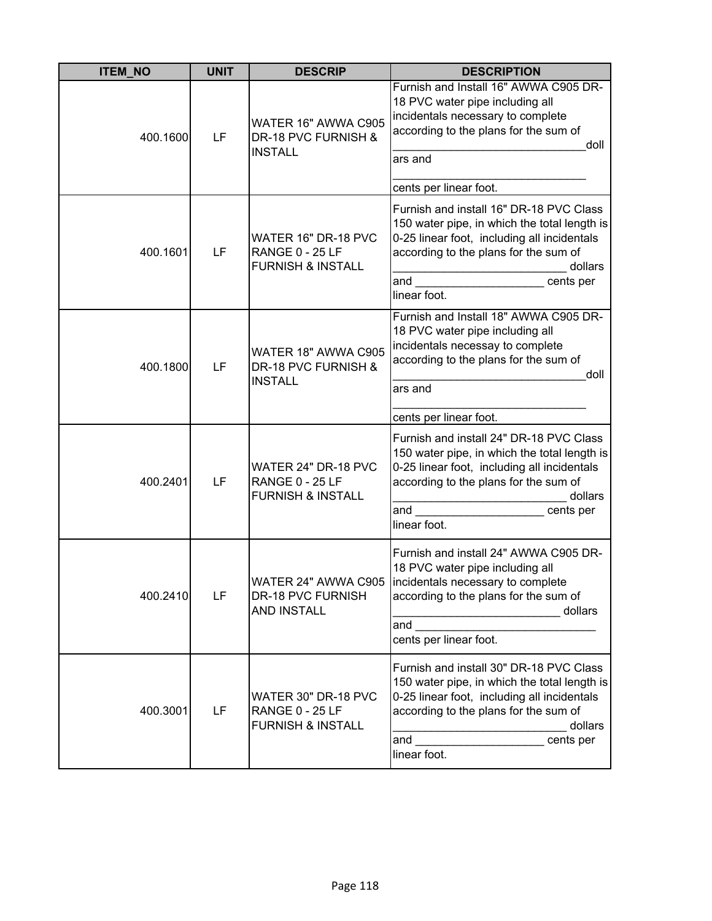| <b>ITEM_NO</b> | <b>UNIT</b> | <b>DESCRIP</b>                                                                | <b>DESCRIPTION</b>                                                                                                                                                                                                             |
|----------------|-------------|-------------------------------------------------------------------------------|--------------------------------------------------------------------------------------------------------------------------------------------------------------------------------------------------------------------------------|
| 400.1600       | LF          | WATER 16" AWWA C905<br>DR-18 PVC FURNISH &<br><b>INSTALL</b>                  | Furnish and Install 16" AWWA C905 DR-<br>18 PVC water pipe including all<br>incidentals necessary to complete<br>according to the plans for the sum of<br>doll<br>ars and<br>cents per linear foot.                            |
| 400.1601       | LF          | WATER 16" DR-18 PVC<br><b>RANGE 0 - 25 LF</b><br><b>FURNISH &amp; INSTALL</b> | Furnish and install 16" DR-18 PVC Class<br>150 water pipe, in which the total length is<br>0-25 linear foot, including all incidentals<br>according to the plans for the sum of<br>dollars<br>and<br>cents per<br>linear foot. |
| 400.1800       | LF          | WATER 18" AWWA C905<br>DR-18 PVC FURNISH &<br><b>INSTALL</b>                  | Furnish and Install 18" AWWA C905 DR-<br>18 PVC water pipe including all<br>incidentals necessay to complete<br>according to the plans for the sum of<br>doll<br>ars and<br>cents per linear foot.                             |
| 400.2401       | LF          | WATER 24" DR-18 PVC<br><b>RANGE 0 - 25 LF</b><br><b>FURNISH &amp; INSTALL</b> | Furnish and install 24" DR-18 PVC Class<br>150 water pipe, in which the total length is<br>0-25 linear foot, including all incidentals<br>according to the plans for the sum of<br>dollars<br>and<br>cents per<br>linear foot. |
| 400.2410       | LF          | <b>DR-18 PVC FURNISH</b><br><b>AND INSTALL</b>                                | Furnish and install 24" AWWA C905 DR-<br>18 PVC water pipe including all<br>WATER 24" AWWA C905 lincidentals necessary to complete<br>according to the plans for the sum of<br>dollars<br>and<br>cents per linear foot.        |
| 400.3001       | LF          | WATER 30" DR-18 PVC<br><b>RANGE 0 - 25 LF</b><br><b>FURNISH &amp; INSTALL</b> | Furnish and install 30" DR-18 PVC Class<br>150 water pipe, in which the total length is<br>0-25 linear foot, including all incidentals<br>according to the plans for the sum of<br>dollars<br>cents per<br>and<br>linear foot. |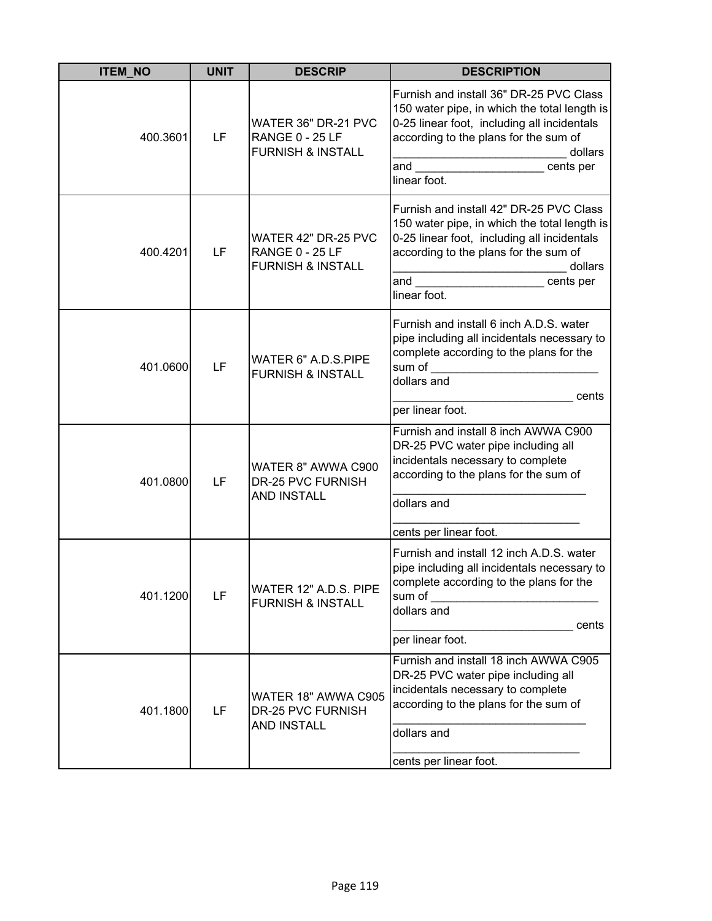| <b>ITEM_NO</b> | <b>UNIT</b> | <b>DESCRIP</b>                                                                | <b>DESCRIPTION</b>                                                                                                                                                                                                                      |
|----------------|-------------|-------------------------------------------------------------------------------|-----------------------------------------------------------------------------------------------------------------------------------------------------------------------------------------------------------------------------------------|
| 400.3601       | LF          | WATER 36" DR-21 PVC<br><b>RANGE 0 - 25 LF</b><br><b>FURNISH &amp; INSTALL</b> | Furnish and install 36" DR-25 PVC Class<br>150 water pipe, in which the total length is<br>0-25 linear foot, including all incidentals<br>according to the plans for the sum of<br>dollars<br>and<br>cents per<br>linear foot.          |
| 400.4201       | LF          | WATER 42" DR-25 PVC<br><b>RANGE 0 - 25 LF</b><br><b>FURNISH &amp; INSTALL</b> | Furnish and install 42" DR-25 PVC Class<br>150 water pipe, in which the total length is<br>0-25 linear foot, including all incidentals<br>according to the plans for the sum of<br>dollars<br>and $\qquad$<br>cents per<br>linear foot. |
| 401.0600       | LF          | WATER 6" A.D.S.PIPE<br><b>FURNISH &amp; INSTALL</b>                           | Furnish and install 6 inch A.D.S. water<br>pipe including all incidentals necessary to<br>complete according to the plans for the<br>sum of<br>dollars and<br>cents<br>per linear foot.                                                 |
| 401.0800       | LF          | WATER 8" AWWA C900<br>DR-25 PVC FURNISH<br><b>AND INSTALL</b>                 | Furnish and install 8 inch AWWA C900<br>DR-25 PVC water pipe including all<br>incidentals necessary to complete<br>according to the plans for the sum of<br>dollars and<br>cents per linear foot.                                       |
| 401.1200       | LF          | WATER 12" A.D.S. PIPE<br><b>FURNISH &amp; INSTALL</b>                         | Furnish and install 12 inch A.D.S. water<br>pipe including all incidentals necessary to<br>complete according to the plans for the<br>sum of<br>dollars and<br>cents<br>per linear foot.                                                |
| 401.1800       | LF          | WATER 18" AWWA C905<br>DR-25 PVC FURNISH<br><b>AND INSTALL</b>                | Furnish and install 18 inch AWWA C905<br>DR-25 PVC water pipe including all<br>incidentals necessary to complete<br>according to the plans for the sum of<br>dollars and<br>cents per linear foot.                                      |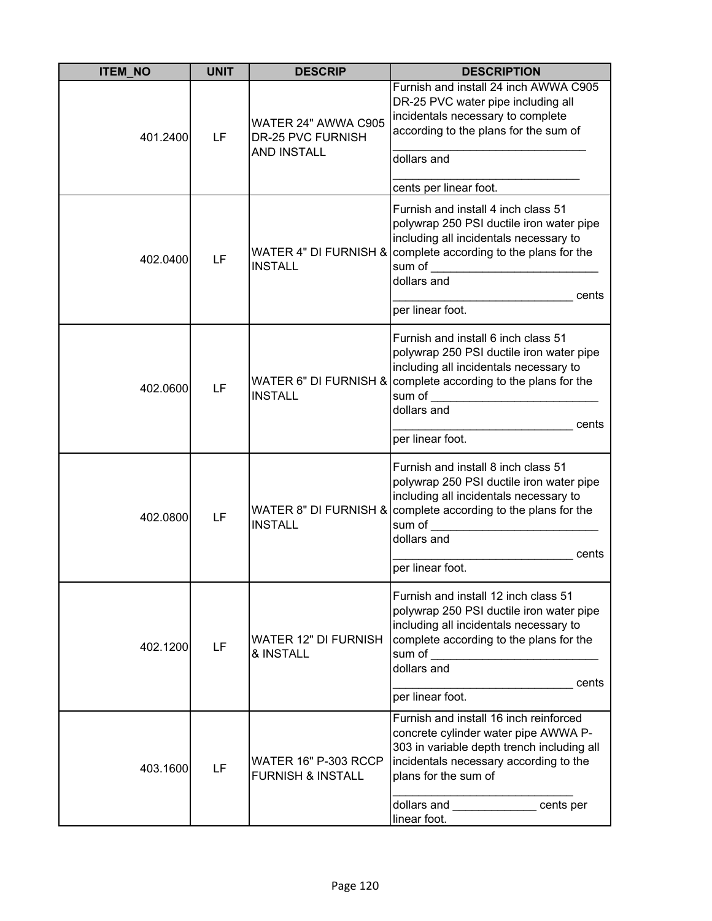| <b>ITEM_NO</b> | <b>UNIT</b> | <b>DESCRIP</b>                                                 | <b>DESCRIPTION</b>                                                                                                                                                                                                                                                                                                                                                                                                                                                  |
|----------------|-------------|----------------------------------------------------------------|---------------------------------------------------------------------------------------------------------------------------------------------------------------------------------------------------------------------------------------------------------------------------------------------------------------------------------------------------------------------------------------------------------------------------------------------------------------------|
| 401.2400       | LF          | WATER 24" AWWA C905<br>DR-25 PVC FURNISH<br><b>AND INSTALL</b> | Furnish and install 24 inch AWWA C905<br>DR-25 PVC water pipe including all<br>incidentals necessary to complete<br>according to the plans for the sum of<br>dollars and                                                                                                                                                                                                                                                                                            |
|                |             |                                                                | cents per linear foot.                                                                                                                                                                                                                                                                                                                                                                                                                                              |
| 402.0400       | LF          | WATER 4" DI FURNISH &<br><b>INSTALL</b>                        | Furnish and install 4 inch class 51<br>polywrap 250 PSI ductile iron water pipe<br>including all incidentals necessary to<br>complete according to the plans for the<br>sum of<br>dollars and<br>cents<br>per linear foot.                                                                                                                                                                                                                                          |
| 402.0600       | LF          | <b>INSTALL</b>                                                 | Furnish and install 6 inch class 51<br>polywrap 250 PSI ductile iron water pipe<br>including all incidentals necessary to<br>WATER 6" DI FURNISH & complete according to the plans for the<br>sum of<br>dollars and<br>cents<br>per linear foot.                                                                                                                                                                                                                    |
| 402.0800       | LF          | WATER 8" DI FURNISH &<br><b>INSTALL</b>                        | Furnish and install 8 inch class 51<br>polywrap 250 PSI ductile iron water pipe<br>including all incidentals necessary to<br>complete according to the plans for the<br>sum of<br>dollars and<br>cents<br>per linear foot.                                                                                                                                                                                                                                          |
| 402.1200       | LF          | <b>WATER 12" DI FURNISH</b><br>& INSTALL                       | Furnish and install 12 inch class 51<br>polywrap 250 PSI ductile iron water pipe<br>including all incidentals necessary to<br>complete according to the plans for the<br>sum of<br>dollars and<br>cents<br>per linear foot.                                                                                                                                                                                                                                         |
| 403.1600       | LF          | <b>WATER 16" P-303 RCCP</b><br><b>FURNISH &amp; INSTALL</b>    | Furnish and install 16 inch reinforced<br>concrete cylinder water pipe AWWA P-<br>303 in variable depth trench including all<br>incidentals necessary according to the<br>plans for the sum of<br>dollars and <b>with the control of the control of the control of the control of the control of the control of the control of the control of the control of the control of the control of the control of the control of the contr</b><br>cents per<br>linear foot. |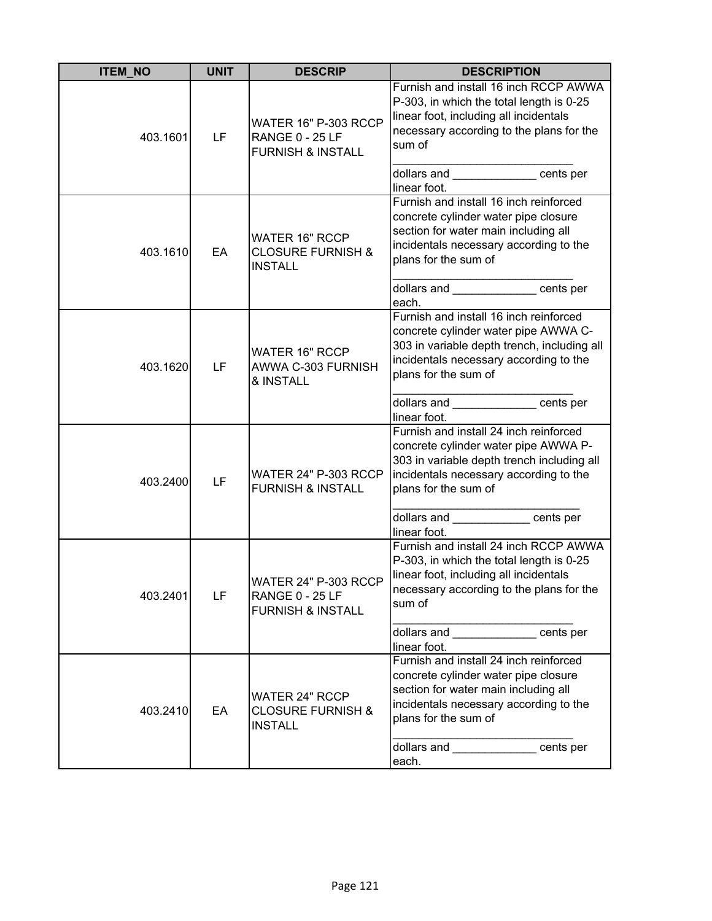| <b>ITEM_NO</b> | <b>UNIT</b> | <b>DESCRIP</b>                                                                        | <b>DESCRIPTION</b>                                                                                                                                                                                                                                                   |
|----------------|-------------|---------------------------------------------------------------------------------------|----------------------------------------------------------------------------------------------------------------------------------------------------------------------------------------------------------------------------------------------------------------------|
| 403.1601       | LF          | <b>WATER 16" P-303 RCCP</b><br><b>RANGE 0 - 25 LF</b><br><b>FURNISH &amp; INSTALL</b> | Furnish and install 16 inch RCCP AWWA<br>P-303, in which the total length is 0-25<br>linear foot, including all incidentals<br>necessary according to the plans for the<br>sum of<br>dollars and _____________ cents per                                             |
| 403.1610       | EA          | WATER 16" RCCP<br><b>CLOSURE FURNISH &amp;</b><br><b>INSTALL</b>                      | linear foot.<br>Furnish and install 16 inch reinforced<br>concrete cylinder water pipe closure<br>section for water main including all<br>incidentals necessary according to the<br>plans for the sum of<br>dollars and ______________ cents per                     |
| 403.1620       | LF          | <b>WATER 16" RCCP</b><br>AWWA C-303 FURNISH<br>& INSTALL                              | each.<br>Furnish and install 16 inch reinforced<br>concrete cylinder water pipe AWWA C-<br>303 in variable depth trench, including all<br>incidentals necessary according to the<br>plans for the sum of<br>dollars and ___________________cents per<br>linear foot. |
| 403.2400       | LF          | WATER 24" P-303 RCCP<br><b>FURNISH &amp; INSTALL</b>                                  | Furnish and install 24 inch reinforced<br>concrete cylinder water pipe AWWA P-<br>303 in variable depth trench including all<br>incidentals necessary according to the<br>plans for the sum of<br>dollars and ents per<br>linear foot.                               |
| 403.2401       | LF          | <b>WATER 24" P-303 RCCP</b><br>RANGE 0 - 25 LF<br><b>FURNISH &amp; INSTALL</b>        | Furnish and install 24 inch RCCP AWWA<br>P-303, in which the total length is 0-25<br>linear foot, including all incidentals<br>necessary according to the plans for the<br>sum of<br>dollars and _____________ cents per<br>linear foot.                             |
| 403.2410       | EA          | <b>WATER 24" RCCP</b><br><b>CLOSURE FURNISH &amp;</b><br><b>INSTALL</b>               | Furnish and install 24 inch reinforced<br>concrete cylinder water pipe closure<br>section for water main including all<br>incidentals necessary according to the<br>plans for the sum of<br>dollars and ______________ cents per<br>each.                            |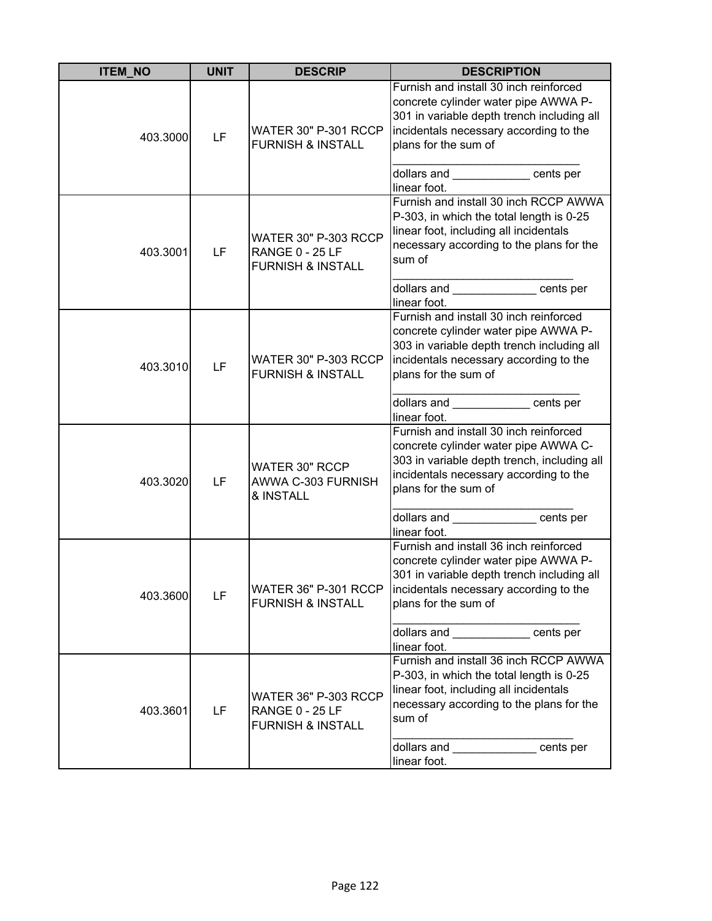| <b>ITEM NO</b> | <b>UNIT</b> | <b>DESCRIP</b>                                                                        | <b>DESCRIPTION</b>                                                                                                                                                                                                                                                   |
|----------------|-------------|---------------------------------------------------------------------------------------|----------------------------------------------------------------------------------------------------------------------------------------------------------------------------------------------------------------------------------------------------------------------|
| 403.3000       | LF          | <b>WATER 30" P-301 RCCP</b><br><b>FURNISH &amp; INSTALL</b>                           | Furnish and install 30 inch reinforced<br>concrete cylinder water pipe AWWA P-<br>301 in variable depth trench including all<br>incidentals necessary according to the<br>plans for the sum of<br>dollars and cents per                                              |
| 403.3001       | LF          | <b>WATER 30" P-303 RCCP</b><br><b>RANGE 0 - 25 LF</b><br><b>FURNISH &amp; INSTALL</b> | linear foot.<br>Furnish and install 30 inch RCCP AWWA<br>P-303, in which the total length is 0-25<br>linear foot, including all incidentals<br>necessary according to the plans for the<br>sum of<br>dollars and cents per                                           |
| 403.3010       | LF          | <b>WATER 30" P-303 RCCP</b><br><b>FURNISH &amp; INSTALL</b>                           | linear foot.<br>Furnish and install 30 inch reinforced<br>concrete cylinder water pipe AWWA P-<br>303 in variable depth trench including all<br>incidentals necessary according to the<br>plans for the sum of<br>dollars and ____________ cents per<br>linear foot. |
| 403.3020       | LF          | WATER 30" RCCP<br>AWWA C-303 FURNISH<br>& INSTALL                                     | Furnish and install 30 inch reinforced<br>concrete cylinder water pipe AWWA C-<br>303 in variable depth trench, including all<br>incidentals necessary according to the<br>plans for the sum of<br>dollars and _____________ cents per<br>linear foot.               |
| 403.3600       | LF          | WATER 36" P-301 RCCP<br><b>FURNISH &amp; INSTALL</b>                                  | Furnish and install 36 inch reinforced<br>concrete cylinder water pipe AWWA P-<br>301 in variable depth trench including all<br>incidentals necessary according to the<br>plans for the sum of<br>dollars and cents per<br>linear foot.                              |
| 403.3601       | LF          | WATER 36" P-303 RCCP<br><b>RANGE 0 - 25 LF</b><br><b>FURNISH &amp; INSTALL</b>        | Furnish and install 36 inch RCCP AWWA<br>P-303, in which the total length is 0-25<br>linear foot, including all incidentals<br>necessary according to the plans for the<br>sum of<br>dollars and _____________ cents per<br>linear foot.                             |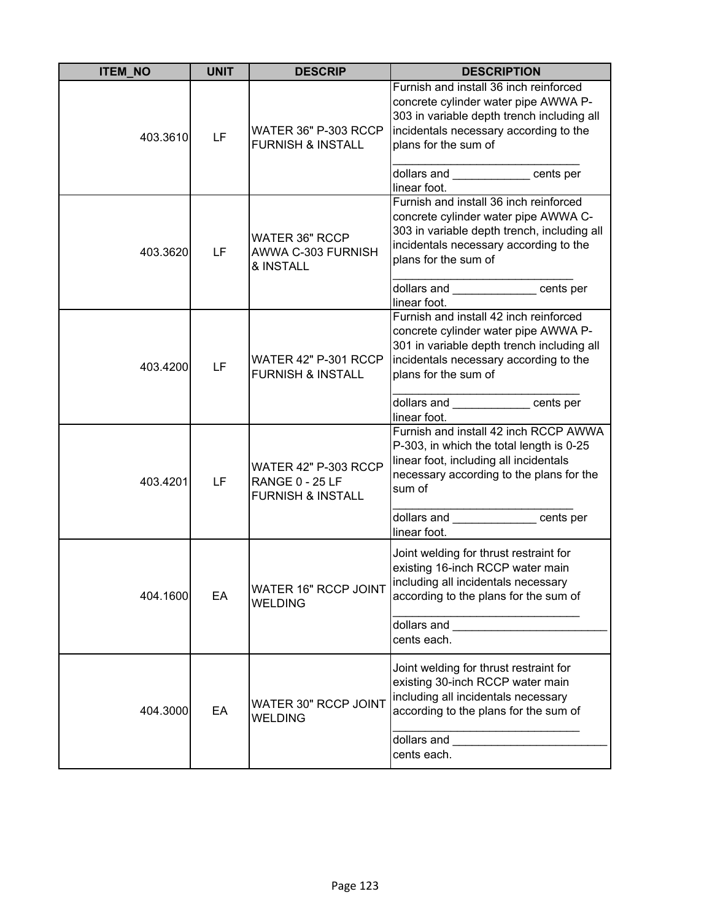| <b>ITEM_NO</b> | <b>UNIT</b> | <b>DESCRIP</b>                                                                 | <b>DESCRIPTION</b>                                                                                                                                                                                                                                                    |
|----------------|-------------|--------------------------------------------------------------------------------|-----------------------------------------------------------------------------------------------------------------------------------------------------------------------------------------------------------------------------------------------------------------------|
| 403.3610       | LF          | <b>WATER 36" P-303 RCCP</b><br><b>FURNISH &amp; INSTALL</b>                    | Furnish and install 36 inch reinforced<br>concrete cylinder water pipe AWWA P-<br>303 in variable depth trench including all<br>incidentals necessary according to the<br>plans for the sum of<br>dollars and ____________ cents per                                  |
| 403.3620       | LF          | <b>WATER 36" RCCP</b><br>AWWA C-303 FURNISH<br>& INSTALL                       | linear foot.<br>Furnish and install 36 inch reinforced<br>concrete cylinder water pipe AWWA C-<br>303 in variable depth trench, including all<br>incidentals necessary according to the<br>plans for the sum of<br>dollars and cents per                              |
| 403.4200       | LF          | WATER 42" P-301 RCCP<br><b>FURNISH &amp; INSTALL</b>                           | linear foot.<br>Furnish and install 42 inch reinforced<br>concrete cylinder water pipe AWWA P-<br>301 in variable depth trench including all<br>incidentals necessary according to the<br>plans for the sum of<br>dollars and _____________ cents per<br>linear foot. |
| 403.4201       | LF          | WATER 42" P-303 RCCP<br><b>RANGE 0 - 25 LF</b><br><b>FURNISH &amp; INSTALL</b> | Furnish and install 42 inch RCCP AWWA<br>P-303, in which the total length is 0-25<br>linear foot, including all incidentals<br>necessary according to the plans for the<br>sum of<br>dollars and _____________ cents per<br>linear foot.                              |
| 404.1600       | EA          | WATER 16" RCCP JOINT<br><b>WELDING</b>                                         | Joint welding for thrust restraint for<br>existing 16-inch RCCP water main<br>including all incidentals necessary<br>according to the plans for the sum of<br>dollars and <b>containers</b><br>cents each.                                                            |
| 404.3000       | EA          | WATER 30" RCCP JOINT<br><b>WELDING</b>                                         | Joint welding for thrust restraint for<br>existing 30-inch RCCP water main<br>including all incidentals necessary<br>according to the plans for the sum of<br>dollars and<br>cents each.                                                                              |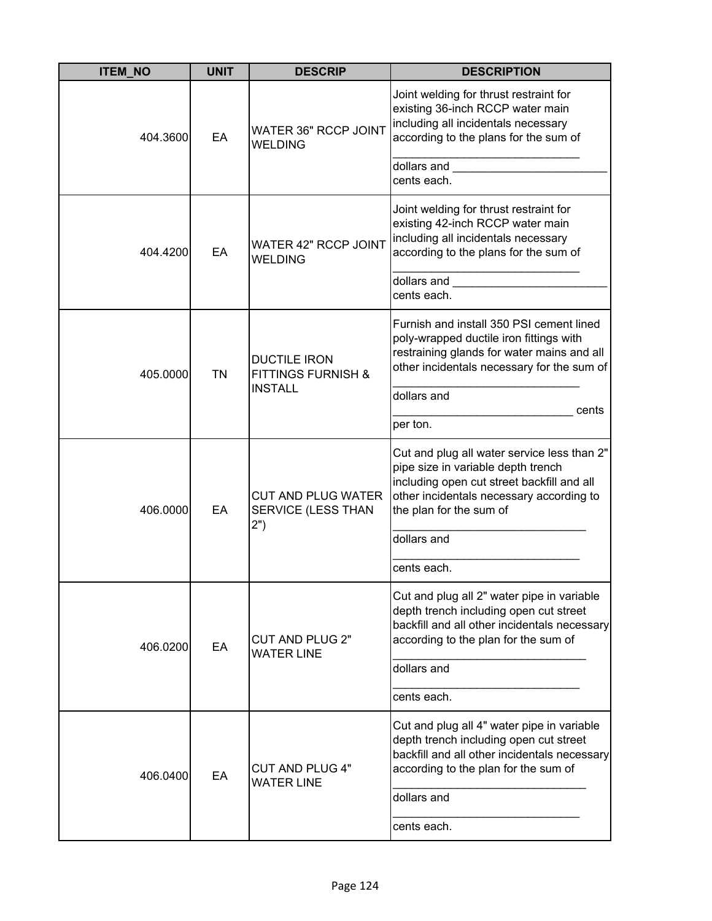| <b>ITEM_NO</b> | <b>UNIT</b> | <b>DESCRIP</b>                                                         | <b>DESCRIPTION</b>                                                                                                                                                                                     |
|----------------|-------------|------------------------------------------------------------------------|--------------------------------------------------------------------------------------------------------------------------------------------------------------------------------------------------------|
| 404.3600       | EA          | <b>WATER 36" RCCP JOINT</b><br>WELDING                                 | Joint welding for thrust restraint for<br>existing 36-inch RCCP water main<br>including all incidentals necessary<br>according to the plans for the sum of                                             |
|                |             |                                                                        | dollars and<br>cents each.                                                                                                                                                                             |
| 404.4200       | EA          | <b>WATER 42" RCCP JOINT</b><br><b>WELDING</b>                          | Joint welding for thrust restraint for<br>existing 42-inch RCCP water main<br>including all incidentals necessary<br>according to the plans for the sum of                                             |
|                |             |                                                                        | dollars and<br>cents each.                                                                                                                                                                             |
| 405.0000       | <b>TN</b>   | <b>DUCTILE IRON</b><br><b>FITTINGS FURNISH &amp;</b><br><b>INSTALL</b> | Furnish and install 350 PSI cement lined<br>poly-wrapped ductile iron fittings with<br>restraining glands for water mains and all<br>other incidentals necessary for the sum of                        |
|                |             |                                                                        | dollars and<br>cents                                                                                                                                                                                   |
|                |             |                                                                        | per ton.                                                                                                                                                                                               |
| 406.0000       | EA          | <b>CUT AND PLUG WATER</b><br>SERVICE (LESS THAN<br>2")                 | Cut and plug all water service less than 2"<br>pipe size in variable depth trench<br>including open cut street backfill and all<br>other incidentals necessary according to<br>the plan for the sum of |
|                |             |                                                                        | dollars and                                                                                                                                                                                            |
|                |             |                                                                        | cents each.                                                                                                                                                                                            |
| 406.0200       | EA          | <b>CUT AND PLUG 2"</b><br><b>WATER LINE</b>                            | Cut and plug all 2" water pipe in variable<br>depth trench including open cut street<br>backfill and all other incidentals necessary<br>according to the plan for the sum of                           |
|                |             |                                                                        | dollars and                                                                                                                                                                                            |
|                |             |                                                                        | cents each.                                                                                                                                                                                            |
| 406.0400       | EA          | <b>CUT AND PLUG 4"</b><br><b>WATER LINE</b>                            | Cut and plug all 4" water pipe in variable<br>depth trench including open cut street<br>backfill and all other incidentals necessary<br>according to the plan for the sum of                           |
|                |             |                                                                        | dollars and                                                                                                                                                                                            |
|                |             |                                                                        | cents each.                                                                                                                                                                                            |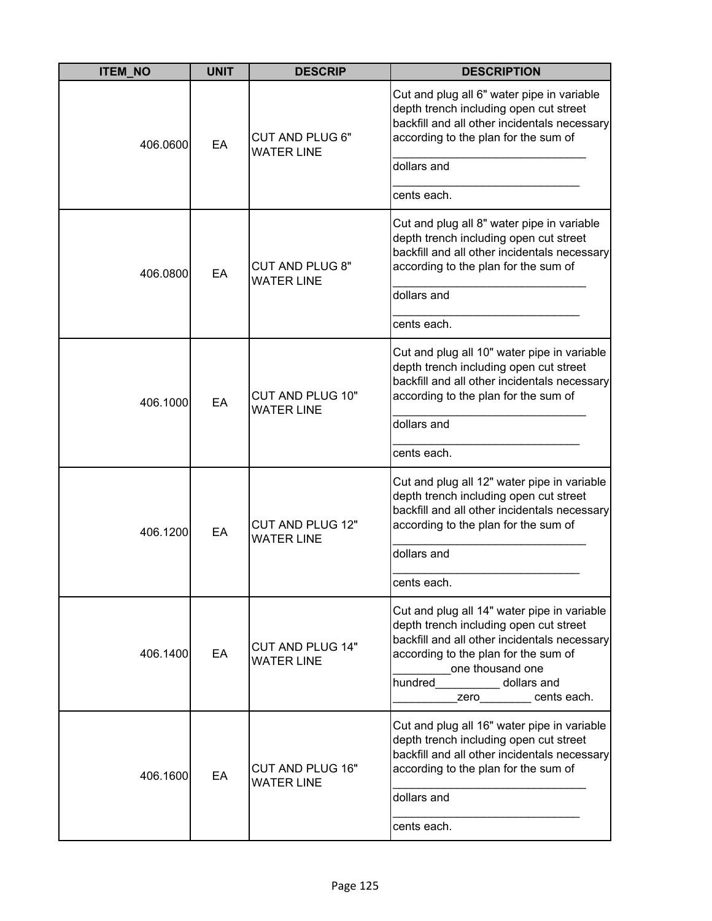| <b>ITEM_NO</b> | <b>UNIT</b> | <b>DESCRIP</b>                               | <b>DESCRIPTION</b>                                                                                                                                                                                                                                   |
|----------------|-------------|----------------------------------------------|------------------------------------------------------------------------------------------------------------------------------------------------------------------------------------------------------------------------------------------------------|
| 406.0600       | EA          | <b>CUT AND PLUG 6"</b><br><b>WATER LINE</b>  | Cut and plug all 6" water pipe in variable<br>depth trench including open cut street<br>backfill and all other incidentals necessary<br>according to the plan for the sum of                                                                         |
|                |             |                                              | dollars and                                                                                                                                                                                                                                          |
|                |             |                                              | cents each.                                                                                                                                                                                                                                          |
| 406.0800       | EA          | <b>CUT AND PLUG 8"</b><br><b>WATER LINE</b>  | Cut and plug all 8" water pipe in variable<br>depth trench including open cut street<br>backfill and all other incidentals necessary<br>according to the plan for the sum of                                                                         |
|                |             |                                              | dollars and                                                                                                                                                                                                                                          |
|                |             |                                              | cents each.                                                                                                                                                                                                                                          |
| 406.1000       | EA          | CUT AND PLUG 10"<br><b>WATER LINE</b>        | Cut and plug all 10" water pipe in variable<br>depth trench including open cut street<br>backfill and all other incidentals necessary<br>according to the plan for the sum of                                                                        |
|                |             |                                              | dollars and                                                                                                                                                                                                                                          |
|                |             |                                              | cents each.                                                                                                                                                                                                                                          |
| 406.1200       | EA          | CUT AND PLUG 12"<br><b>WATER LINE</b>        | Cut and plug all 12" water pipe in variable<br>depth trench including open cut street<br>backfill and all other incidentals necessary<br>according to the plan for the sum of                                                                        |
|                |             |                                              | dollars and                                                                                                                                                                                                                                          |
|                |             |                                              | cents each.                                                                                                                                                                                                                                          |
| 406.1400       | EA          | <b>CUT AND PLUG 14"</b><br><b>WATER LINE</b> | Cut and plug all 14" water pipe in variable<br>depth trench including open cut street<br>backfill and all other incidentals necessary<br>according to the plan for the sum of<br>one thousand one<br>hundred dollars and<br>zero________ cents each. |
| 406.1600       | EA          | <b>CUT AND PLUG 16"</b><br><b>WATER LINE</b> | Cut and plug all 16" water pipe in variable<br>depth trench including open cut street<br>backfill and all other incidentals necessary<br>according to the plan for the sum of<br>dollars and                                                         |
|                |             |                                              | cents each.                                                                                                                                                                                                                                          |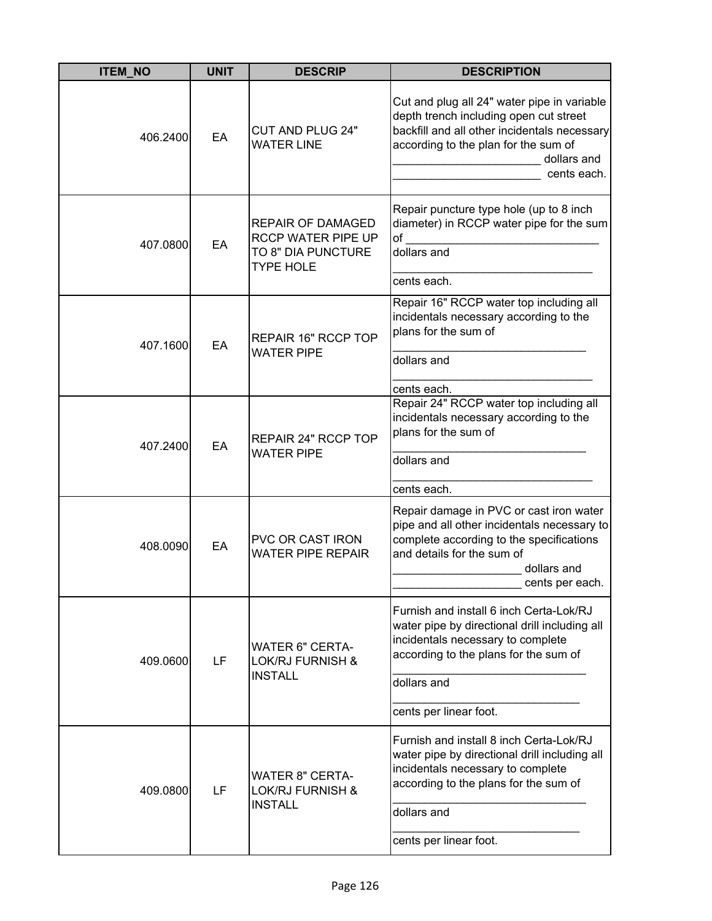| <b>ITEM_NO</b> | <b>UNIT</b> | <b>DESCRIP</b>                                                                           | <b>DESCRIPTION</b>                                                                                                                                                                                              |
|----------------|-------------|------------------------------------------------------------------------------------------|-----------------------------------------------------------------------------------------------------------------------------------------------------------------------------------------------------------------|
| 406.2400       | EA          | <b>CUT AND PLUG 24"</b><br><b>WATER LINE</b>                                             | Cut and plug all 24" water pipe in variable<br>depth trench including open cut street<br>backfill and all other incidentals necessary<br>according to the plan for the sum of<br>dollars and<br>cents each.     |
| 407.0800       | EA          | <b>REPAIR OF DAMAGED</b><br>RCCP WATER PIPE UP<br>TO 8" DIA PUNCTURE<br><b>TYPE HOLE</b> | Repair puncture type hole (up to 8 inch<br>diameter) in RCCP water pipe for the sum<br>of<br>dollars and<br>cents each.                                                                                         |
| 407.1600       | EA          | REPAIR 16" RCCP TOP<br><b>WATER PIPE</b>                                                 | Repair 16" RCCP water top including all<br>incidentals necessary according to the<br>plans for the sum of<br>dollars and<br>cents each.                                                                         |
| 407.2400       | EA          | REPAIR 24" RCCP TOP<br><b>WATER PIPE</b>                                                 | Repair 24" RCCP water top including all<br>incidentals necessary according to the<br>plans for the sum of<br>dollars and<br>cents each.                                                                         |
| 408.0090       | EA          | PVC OR CAST IRON<br><b>WATER PIPE REPAIR</b>                                             | Repair damage in PVC or cast iron water<br>pipe and all other incidentals necessary to<br>complete according to the specifications<br>and details for the sum of<br>dollars and<br>cents per each.              |
| 409.0600       | LF          | <b>WATER 6" CERTA-</b><br><b>LOK/RJ FURNISH &amp;</b><br><b>INSTALL</b>                  | Furnish and install 6 inch Certa-Lok/RJ<br>water pipe by directional drill including all<br>incidentals necessary to complete<br>according to the plans for the sum of<br>dollars and<br>cents per linear foot. |
| 409.0800       | LF          | <b>WATER 8" CERTA-</b><br><b>LOK/RJ FURNISH &amp;</b><br><b>INSTALL</b>                  | Furnish and install 8 inch Certa-Lok/RJ<br>water pipe by directional drill including all<br>incidentals necessary to complete<br>according to the plans for the sum of<br>dollars and<br>cents per linear foot. |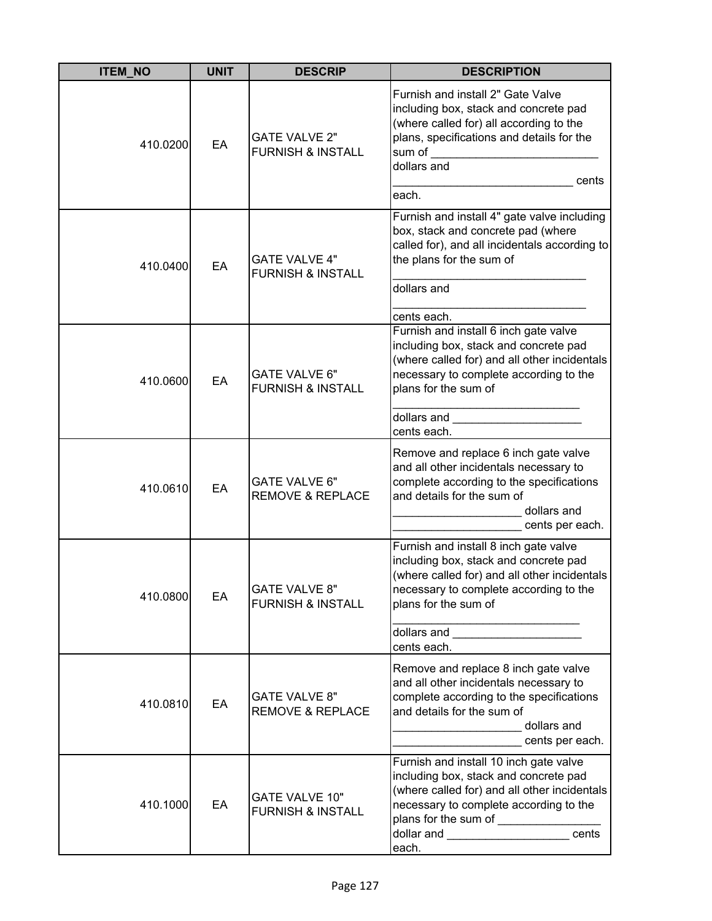| <b>ITEM_NO</b> | <b>UNIT</b> | <b>DESCRIP</b>                                        | <b>DESCRIPTION</b>                                                                                                                                                                                                                                      |
|----------------|-------------|-------------------------------------------------------|---------------------------------------------------------------------------------------------------------------------------------------------------------------------------------------------------------------------------------------------------------|
| 410.0200       | EA          | <b>GATE VALVE 2"</b><br><b>FURNISH &amp; INSTALL</b>  | Furnish and install 2" Gate Valve<br>including box, stack and concrete pad<br>(where called for) all according to the<br>plans, specifications and details for the<br>sum of<br>dollars and<br>cents<br>each.                                           |
| 410.0400       | EA          | <b>GATE VALVE 4"</b><br><b>FURNISH &amp; INSTALL</b>  | Furnish and install 4" gate valve including<br>box, stack and concrete pad (where<br>called for), and all incidentals according to<br>the plans for the sum of<br>dollars and<br>cents each.                                                            |
| 410.0600       | EA          | <b>GATE VALVE 6"</b><br><b>FURNISH &amp; INSTALL</b>  | Furnish and install 6 inch gate valve<br>including box, stack and concrete pad<br>(where called for) and all other incidentals<br>necessary to complete according to the<br>plans for the sum of<br>dollars and<br>cents each.                          |
| 410.0610       | EA          | GATE VALVE 6"<br><b>REMOVE &amp; REPLACE</b>          | Remove and replace 6 inch gate valve<br>and all other incidentals necessary to<br>complete according to the specifications<br>and details for the sum of<br>dollars and<br>cents per each.                                                              |
| 410.0800       | EA          | <b>GATE VALVE 8"</b><br><b>FURNISH &amp; INSTALL</b>  | Furnish and install 8 inch gate valve<br>including box, stack and concrete pad<br>(where called for) and all other incidentals<br>necessary to complete according to the<br>plans for the sum of<br>dollars and ________________________<br>cents each. |
| 410.0810       | EA          | <b>GATE VALVE 8"</b><br><b>REMOVE &amp; REPLACE</b>   | Remove and replace 8 inch gate valve<br>and all other incidentals necessary to<br>complete according to the specifications<br>and details for the sum of<br>dollars and<br>cents per each.                                                              |
| 410.1000       | EA          | <b>GATE VALVE 10"</b><br><b>FURNISH &amp; INSTALL</b> | Furnish and install 10 inch gate valve<br>including box, stack and concrete pad<br>(where called for) and all other incidentals<br>necessary to complete according to the<br>dollar and ____________________________cents<br>each.                      |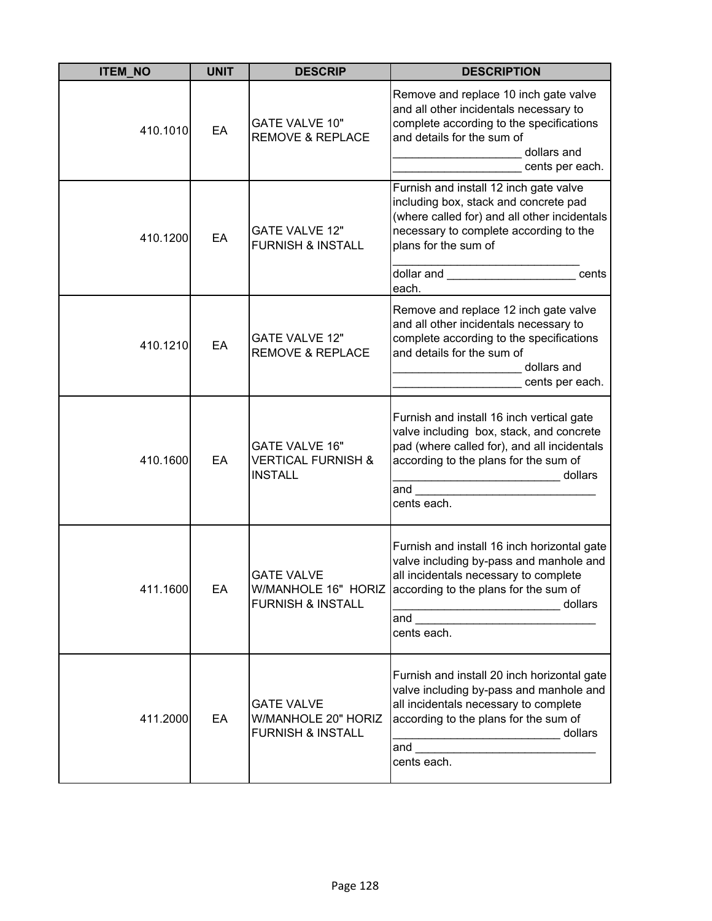| <b>ITEM NO</b> | <b>UNIT</b> | <b>DESCRIP</b>                                                           | <b>DESCRIPTION</b>                                                                                                                                                                                                                                                                                                                                                                                                                                    |
|----------------|-------------|--------------------------------------------------------------------------|-------------------------------------------------------------------------------------------------------------------------------------------------------------------------------------------------------------------------------------------------------------------------------------------------------------------------------------------------------------------------------------------------------------------------------------------------------|
| 410.1010       | EA          | <b>GATE VALVE 10"</b><br><b>REMOVE &amp; REPLACE</b>                     | Remove and replace 10 inch gate valve<br>and all other incidentals necessary to<br>complete according to the specifications<br>and details for the sum of<br>dollars and<br>cents per each.                                                                                                                                                                                                                                                           |
| 410.1200       | EA          | <b>GATE VALVE 12"</b><br><b>FURNISH &amp; INSTALL</b>                    | Furnish and install 12 inch gate valve<br>including box, stack and concrete pad<br>(where called for) and all other incidentals<br>necessary to complete according to the<br>plans for the sum of<br>dollar and the control of the control of the control of the control of the control of the control of the control of the control of the control of the control of the control of the control of the control of the control of t<br>cents<br>each. |
| 410.1210       | EA          | <b>GATE VALVE 12"</b><br><b>REMOVE &amp; REPLACE</b>                     | Remove and replace 12 inch gate valve<br>and all other incidentals necessary to<br>complete according to the specifications<br>and details for the sum of<br>dollars and<br>cents per each.                                                                                                                                                                                                                                                           |
| 410.1600       | EA          | <b>GATE VALVE 16"</b><br><b>VERTICAL FURNISH &amp;</b><br><b>INSTALL</b> | Furnish and install 16 inch vertical gate<br>valve including box, stack, and concrete<br>pad (where called for), and all incidentals<br>according to the plans for the sum of<br>dollars<br>and<br>cents each.                                                                                                                                                                                                                                        |
| 411.1600       | EA          | <b>GATE VALVE</b><br>W/MANHOLE 16" HORIZ<br><b>FURNISH &amp; INSTALL</b> | Furnish and install 16 inch horizontal gate<br>valve including by-pass and manhole and<br>all incidentals necessary to complete<br>according to the plans for the sum of<br>dollars<br>and<br>cents each.                                                                                                                                                                                                                                             |
| 411.2000       | EA          | <b>GATE VALVE</b><br>W/MANHOLE 20" HORIZ<br><b>FURNISH &amp; INSTALL</b> | Furnish and install 20 inch horizontal gate<br>valve including by-pass and manhole and<br>all incidentals necessary to complete<br>according to the plans for the sum of<br>dollars<br>and<br>cents each.                                                                                                                                                                                                                                             |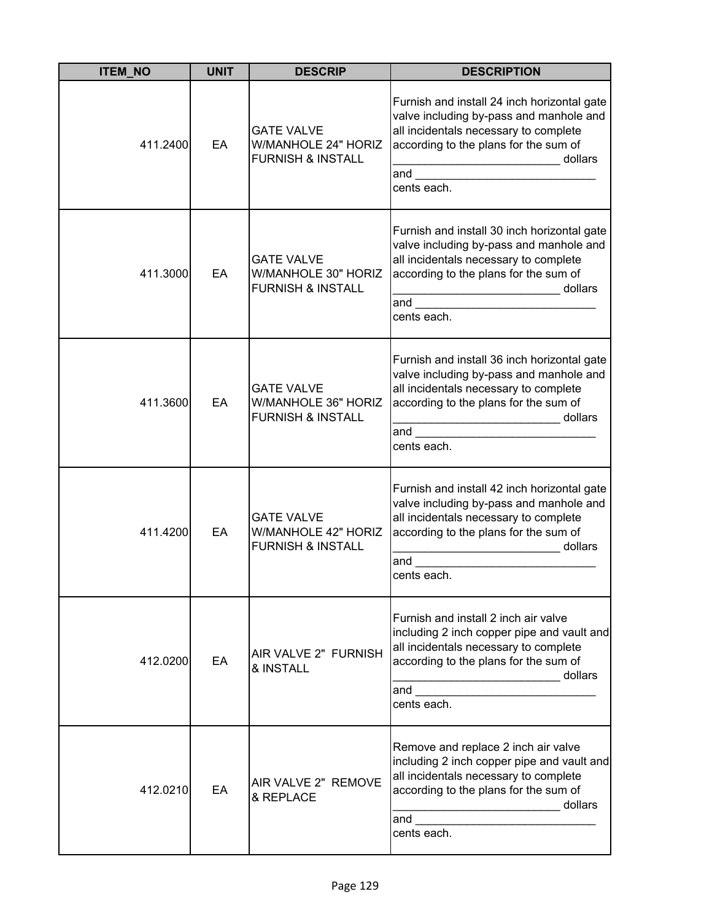| <b>ITEM NO</b> | <b>UNIT</b> | <b>DESCRIP</b>                                                                  | <b>DESCRIPTION</b>                                                                                                                                                                                             |
|----------------|-------------|---------------------------------------------------------------------------------|----------------------------------------------------------------------------------------------------------------------------------------------------------------------------------------------------------------|
| 411.2400       | EA          | <b>GATE VALVE</b><br><b>W/MANHOLE 24" HORIZ</b><br><b>FURNISH &amp; INSTALL</b> | Furnish and install 24 inch horizontal gate<br>valve including by-pass and manhole and<br>all incidentals necessary to complete<br>according to the plans for the sum of<br>dollars<br>and<br>cents each.      |
| 411.3000       | EA          | <b>GATE VALVE</b><br>W/MANHOLE 30" HORIZ<br><b>FURNISH &amp; INSTALL</b>        | Furnish and install 30 inch horizontal gate<br>valve including by-pass and manhole and<br>all incidentals necessary to complete<br>according to the plans for the sum of<br>dollars<br>.<br>and<br>cents each. |
| 411.3600       | EA          | <b>GATE VALVE</b><br>W/MANHOLE 36" HORIZ<br><b>FURNISH &amp; INSTALL</b>        | Furnish and install 36 inch horizontal gate<br>valve including by-pass and manhole and<br>all incidentals necessary to complete<br>according to the plans for the sum of<br>dollars<br>and<br>cents each.      |
| 411.4200       | EA          | <b>GATE VALVE</b><br><b>W/MANHOLE 42" HORIZ</b><br><b>FURNISH &amp; INSTALL</b> | Furnish and install 42 inch horizontal gate<br>valve including by-pass and manhole and<br>all incidentals necessary to complete<br>according to the plans for the sum of<br>dollars<br>and<br>cents each.      |
| 412.0200       | EA          | AIR VALVE 2" FURNISH<br>& INSTALL                                               | Furnish and install 2 inch air valve<br>including 2 inch copper pipe and vault and<br>all incidentals necessary to complete<br>according to the plans for the sum of<br>dollars<br>and<br>cents each.          |
| 412.0210       | EA          | AIR VALVE 2" REMOVE<br>& REPLACE                                                | Remove and replace 2 inch air valve<br>including 2 inch copper pipe and vault and<br>all incidentals necessary to complete<br>according to the plans for the sum of<br>dollars<br>and<br>cents each.           |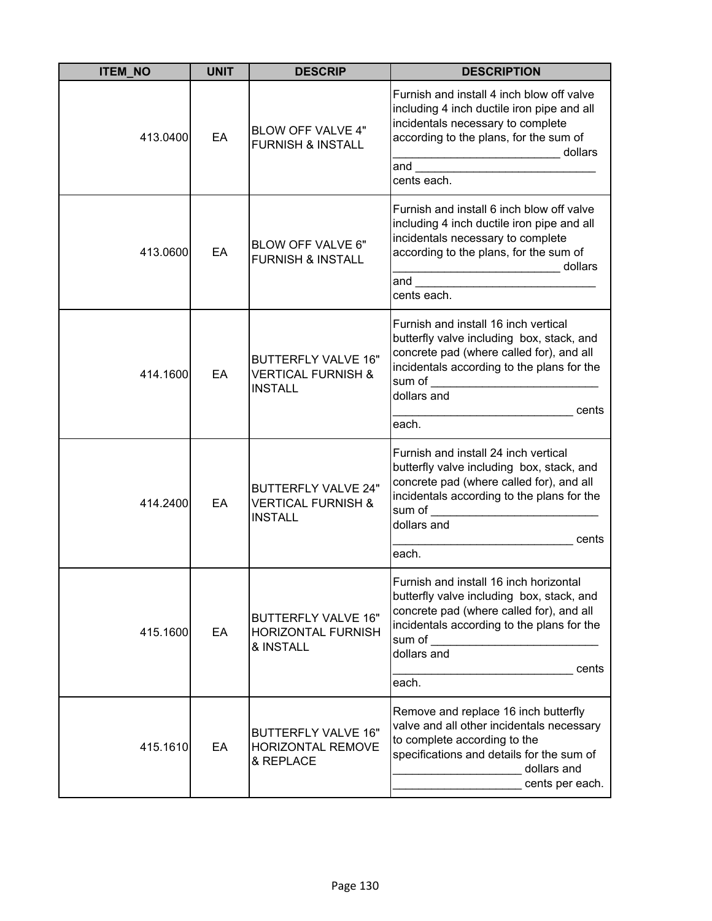| <b>ITEM NO</b> | <b>UNIT</b> | <b>DESCRIP</b>                                                                | <b>DESCRIPTION</b>                                                                                                                                                                                                                                                                                                                                                                                                                                               |
|----------------|-------------|-------------------------------------------------------------------------------|------------------------------------------------------------------------------------------------------------------------------------------------------------------------------------------------------------------------------------------------------------------------------------------------------------------------------------------------------------------------------------------------------------------------------------------------------------------|
| 413.0400       | EA          | <b>BLOW OFF VALVE 4"</b><br><b>FURNISH &amp; INSTALL</b>                      | Furnish and install 4 inch blow off valve<br>including 4 inch ductile iron pipe and all<br>incidentals necessary to complete<br>according to the plans, for the sum of<br>dollars<br>and the control of the control of the control of the control of the control of the control of the control of the control of the control of the control of the control of the control of the control of the control of the cont<br>cents each.                               |
| 413.0600       | EA          | BLOW OFF VALVE 6"<br><b>FURNISH &amp; INSTALL</b>                             | Furnish and install 6 inch blow off valve<br>including 4 inch ductile iron pipe and all<br>incidentals necessary to complete<br>according to the plans, for the sum of<br>_____________________________ dollars<br>and the contract of the contract of the contract of the contract of the contract of the contract of the contract of the contract of the contract of the contract of the contract of the contract of the contract of the contra<br>cents each. |
| 414.1600       | EA          | <b>BUTTERFLY VALVE 16"</b><br><b>VERTICAL FURNISH &amp;</b><br><b>INSTALL</b> | Furnish and install 16 inch vertical<br>butterfly valve including box, stack, and<br>concrete pad (where called for), and all<br>incidentals according to the plans for the<br>sum of _________________________________<br>dollars and<br>cents<br>each.                                                                                                                                                                                                         |
| 414.2400       | EA          | <b>BUTTERFLY VALVE 24"</b><br><b>VERTICAL FURNISH &amp;</b><br><b>INSTALL</b> | Furnish and install 24 inch vertical<br>butterfly valve including box, stack, and<br>concrete pad (where called for), and all<br>incidentals according to the plans for the<br>sum of<br>dollars and<br>cents<br>each.                                                                                                                                                                                                                                           |
| 415.1600       | EA          | <b>BUTTERFLY VALVE 16"</b><br><b>HORIZONTAL FURNISH</b><br>& INSTALL          | Furnish and install 16 inch horizontal<br>butterfly valve including box, stack, and<br>concrete pad (where called for), and all<br>incidentals according to the plans for the<br>sum of<br>dollars and<br>cents<br>each.                                                                                                                                                                                                                                         |
| 415.1610       | EA          | <b>BUTTERFLY VALVE 16"</b><br>HORIZONTAL REMOVE<br>& REPLACE                  | Remove and replace 16 inch butterfly<br>valve and all other incidentals necessary<br>to complete according to the<br>specifications and details for the sum of<br>dollars and<br>cents per each.                                                                                                                                                                                                                                                                 |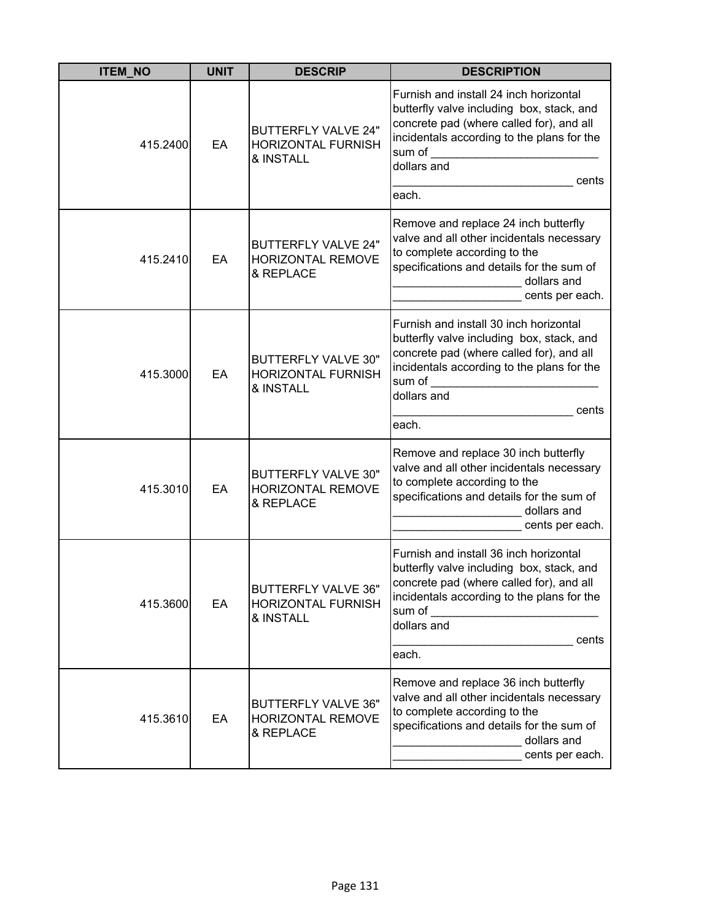| <b>ITEM_NO</b> | <b>UNIT</b> | <b>DESCRIP</b>                                                       | <b>DESCRIPTION</b>                                                                                                                                                                                                       |
|----------------|-------------|----------------------------------------------------------------------|--------------------------------------------------------------------------------------------------------------------------------------------------------------------------------------------------------------------------|
| 415.2400       | EA          | <b>BUTTERFLY VALVE 24"</b><br><b>HORIZONTAL FURNISH</b><br>& INSTALL | Furnish and install 24 inch horizontal<br>butterfly valve including box, stack, and<br>concrete pad (where called for), and all<br>incidentals according to the plans for the<br>sum of<br>dollars and<br>cents<br>each. |
| 415.2410       | EA          | <b>BUTTERFLY VALVE 24"</b><br><b>HORIZONTAL REMOVE</b><br>& REPLACE  | Remove and replace 24 inch butterfly<br>valve and all other incidentals necessary<br>to complete according to the<br>specifications and details for the sum of<br>dollars and<br>cents per each.                         |
| 415.3000       | EA          | <b>BUTTERFLY VALVE 30"</b><br><b>HORIZONTAL FURNISH</b><br>& INSTALL | Furnish and install 30 inch horizontal<br>butterfly valve including box, stack, and<br>concrete pad (where called for), and all<br>incidentals according to the plans for the<br>sum of<br>dollars and<br>cents<br>each. |
| 415.3010       | EA          | <b>BUTTERFLY VALVE 30"</b><br>HORIZONTAL REMOVE<br>& REPLACE         | Remove and replace 30 inch butterfly<br>valve and all other incidentals necessary<br>to complete according to the<br>specifications and details for the sum of<br>dollars and<br>cents per each.                         |
| 415.3600       | EA          | <b>BUTTERFLY VALVE 36"</b><br><b>HORIZONTAL FURNISH</b><br>& INSTALL | Furnish and install 36 inch horizontal<br>butterfly valve including box, stack, and<br>concrete pad (where called for), and all<br>incidentals according to the plans for the<br>sum of<br>dollars and<br>cents<br>each. |
| 415.3610       | EA          | <b>BUTTERFLY VALVE 36"</b><br>HORIZONTAL REMOVE<br>& REPLACE         | Remove and replace 36 inch butterfly<br>valve and all other incidentals necessary<br>to complete according to the<br>specifications and details for the sum of<br>dollars and<br>cents per each.                         |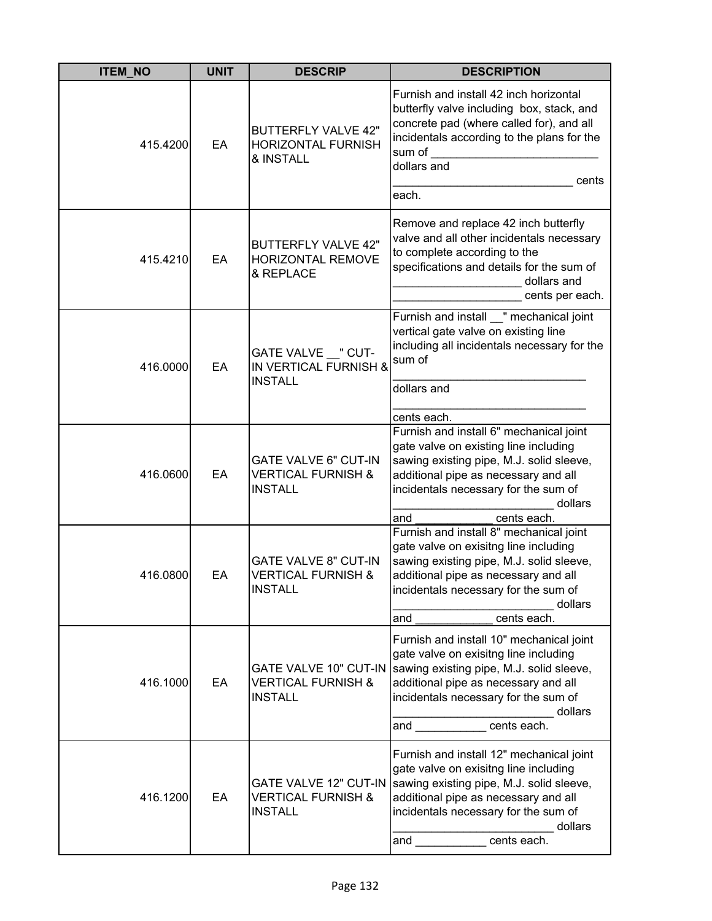| <b>ITEM_NO</b> | <b>UNIT</b> | <b>DESCRIP</b>                                                                  | <b>DESCRIPTION</b>                                                                                                                                                                                                                                                             |
|----------------|-------------|---------------------------------------------------------------------------------|--------------------------------------------------------------------------------------------------------------------------------------------------------------------------------------------------------------------------------------------------------------------------------|
| 415.4200       | EA          | <b>BUTTERFLY VALVE 42"</b><br><b>HORIZONTAL FURNISH</b><br>& INSTALL            | Furnish and install 42 inch horizontal<br>butterfly valve including box, stack, and<br>concrete pad (where called for), and all<br>incidentals according to the plans for the<br>sum of<br>dollars and<br>cents<br>each.                                                       |
| 415.4210       | EA          | <b>BUTTERFLY VALVE 42"</b><br><b>HORIZONTAL REMOVE</b><br>& REPLACE             | Remove and replace 42 inch butterfly<br>valve and all other incidentals necessary<br>to complete according to the<br>specifications and details for the sum of<br>dollars and<br>cents per each.                                                                               |
| 416.0000       | EA          | GATE VALVE __ " CUT-<br>IN VERTICAL FURNISH &<br><b>INSTALL</b>                 | Furnish and install " mechanical joint<br>vertical gate valve on existing line<br>including all incidentals necessary for the<br>sum of<br>dollars and<br>cents each.                                                                                                          |
| 416.0600       | EA          | <b>GATE VALVE 6" CUT-IN</b><br><b>VERTICAL FURNISH &amp;</b><br><b>INSTALL</b>  | Furnish and install 6" mechanical joint<br>gate valve on existing line including<br>sawing existing pipe, M.J. solid sleeve,<br>additional pipe as necessary and all<br>incidentals necessary for the sum of<br>dollars<br>and<br>cents each.                                  |
| 416.0800       | EA          | <b>GATE VALVE 8" CUT-IN</b><br><b>VERTICAL FURNISH &amp;</b><br><b>INSTALL</b>  | Furnish and install 8" mechanical joint<br>gate valve on exisitng line including<br>sawing existing pipe, M.J. solid sleeve,<br>additional pipe as necessary and all<br>incidentals necessary for the sum of<br>dollars<br>cents each.<br>and                                  |
| 416.1000       | EA          | <b>VERTICAL FURNISH &amp;</b><br><b>INSTALL</b>                                 | Furnish and install 10" mechanical joint<br>gate valve on exisitng line including<br>GATE VALVE 10" CUT-IN Sawing existing pipe, M.J. solid sleeve,<br>additional pipe as necessary and all<br>incidentals necessary for the sum of<br>dollars<br>and ____________ cents each. |
| 416.1200       | EA          | <b>GATE VALVE 12" CUT-IN</b><br><b>VERTICAL FURNISH &amp;</b><br><b>INSTALL</b> | Furnish and install 12" mechanical joint<br>gate valve on exisitng line including<br>sawing existing pipe, M.J. solid sleeve,<br>additional pipe as necessary and all<br>incidentals necessary for the sum of<br>dollars<br>and cents each.                                    |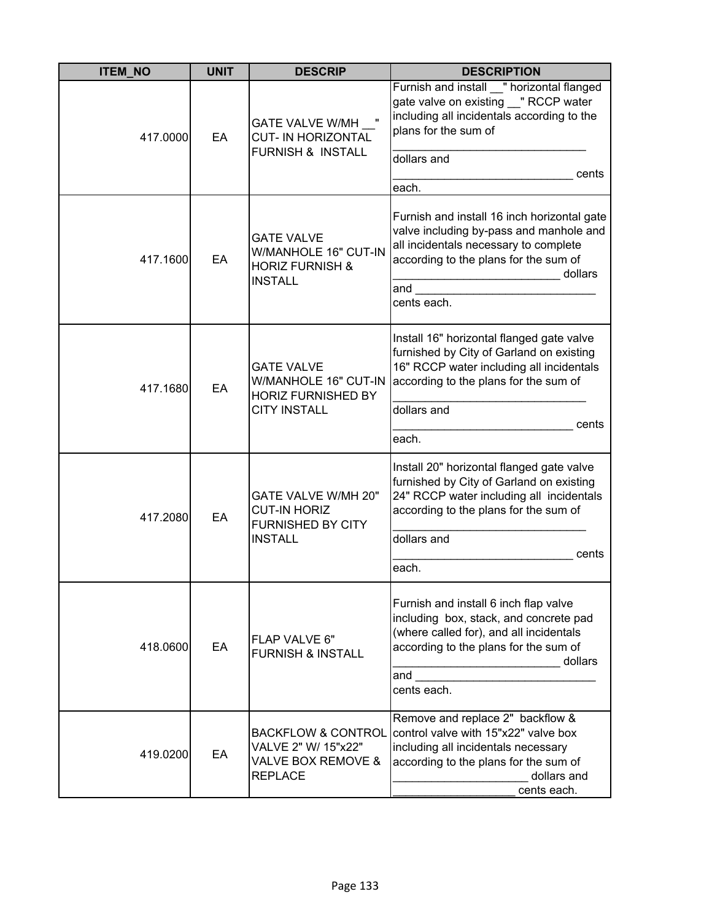| <b>ITEM_NO</b> | <b>UNIT</b> | <b>DESCRIP</b>                                                                                | <b>DESCRIPTION</b>                                                                                                                                                                                        |
|----------------|-------------|-----------------------------------------------------------------------------------------------|-----------------------------------------------------------------------------------------------------------------------------------------------------------------------------------------------------------|
| 417.0000       | EA          | <b>GATE VALVE W/MH</b><br><b>CUT- IN HORIZONTAL</b><br><b>FURNISH &amp; INSTALL</b>           | Furnish and install " horizontal flanged<br>gate valve on existing "RCCP water<br>including all incidentals according to the<br>plans for the sum of<br>dollars and                                       |
|                |             |                                                                                               | cents<br>each.                                                                                                                                                                                            |
| 417.1600       | EA          | <b>GATE VALVE</b><br>W/MANHOLE 16" CUT-IN<br><b>HORIZ FURNISH &amp;</b><br><b>INSTALL</b>     | Furnish and install 16 inch horizontal gate<br>valve including by-pass and manhole and<br>all incidentals necessary to complete<br>according to the plans for the sum of<br>dollars<br>and<br>cents each. |
| 417.1680       | EA          | <b>GATE VALVE</b><br>W/MANHOLE 16" CUT-IN<br><b>HORIZ FURNISHED BY</b><br><b>CITY INSTALL</b> | Install 16" horizontal flanged gate valve<br>furnished by City of Garland on existing<br>16" RCCP water including all incidentals<br>according to the plans for the sum of<br>dollars and<br>cents        |
|                |             |                                                                                               | each.                                                                                                                                                                                                     |
| 417.2080       | EA          | GATE VALVE W/MH 20"<br><b>CUT-IN HORIZ</b><br><b>FURNISHED BY CITY</b><br><b>INSTALL</b>      | Install 20" horizontal flanged gate valve<br>furnished by City of Garland on existing<br>24" RCCP water including all incidentals<br>according to the plans for the sum of                                |
|                |             |                                                                                               | dollars and                                                                                                                                                                                               |
|                |             |                                                                                               | cents<br>each.                                                                                                                                                                                            |
| 418.0600       | EA          | FLAP VALVE 6"<br><b>FURNISH &amp; INSTALL</b>                                                 | Furnish and install 6 inch flap valve<br>including box, stack, and concrete pad<br>(where called for), and all incidentals<br>according to the plans for the sum of<br>dollars<br>and<br>cents each.      |
| 419.0200       | EA          | <b>BACKFLOW &amp; CONTROL</b><br>VALVE 2" W/ 15"x22"<br>VALVE BOX REMOVE &<br><b>REPLACE</b>  | Remove and replace 2" backflow &<br>control valve with 15"x22" valve box<br>including all incidentals necessary<br>according to the plans for the sum of<br>dollars and<br>cents each.                    |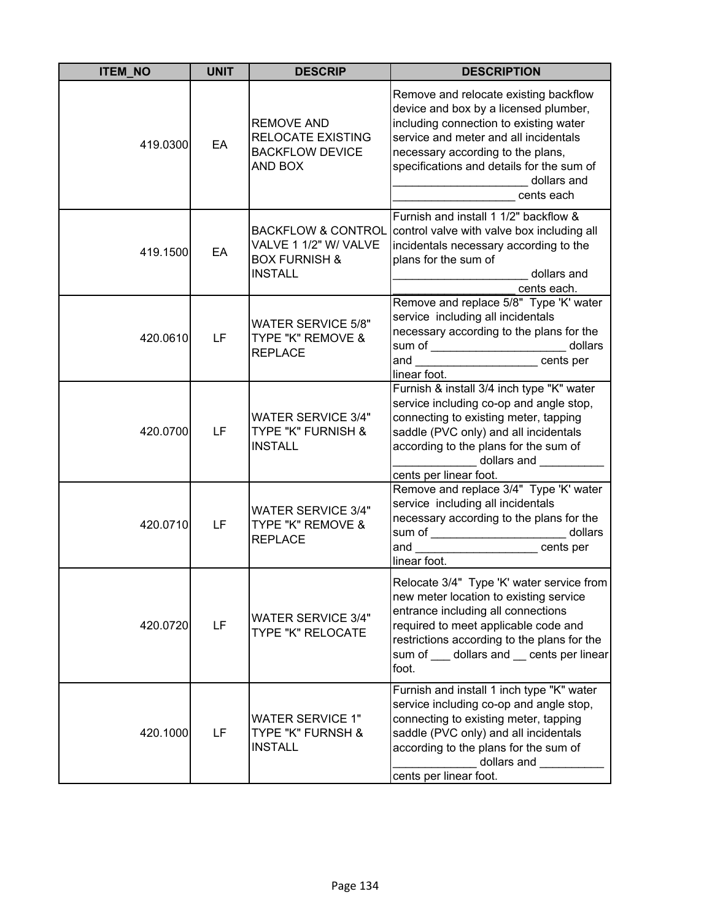| <b>ITEM_NO</b> | <b>UNIT</b> | <b>DESCRIP</b>                                                                                       | <b>DESCRIPTION</b>                                                                                                                                                                                                                                                               |
|----------------|-------------|------------------------------------------------------------------------------------------------------|----------------------------------------------------------------------------------------------------------------------------------------------------------------------------------------------------------------------------------------------------------------------------------|
| 419.0300       | EA          | <b>REMOVE AND</b><br><b>RELOCATE EXISTING</b><br><b>BACKFLOW DEVICE</b><br>AND BOX                   | Remove and relocate existing backflow<br>device and box by a licensed plumber,<br>including connection to existing water<br>service and meter and all incidentals<br>necessary according to the plans,<br>specifications and details for the sum of<br>dollars and<br>cents each |
| 419.1500       | EA          | <b>BACKFLOW &amp; CONTROL</b><br>VALVE 1 1/2" W/ VALVE<br><b>BOX FURNISH &amp;</b><br><b>INSTALL</b> | Furnish and install 1 1/2" backflow &<br>control valve with valve box including all<br>incidentals necessary according to the<br>plans for the sum of<br>dollars and<br><u> 1990 - Johann Barbara, martin a</u><br>cents each.                                                   |
| 420.0610       | LF          | <b>WATER SERVICE 5/8"</b><br>TYPE "K" REMOVE &<br><b>REPLACE</b>                                     | Remove and replace 5/8" Type 'K' water<br>service including all incidentals<br>necessary according to the plans for the<br>sum of __________________________ dollars<br>and ______________________cents per<br>linear foot.                                                      |
| 420.0700       | LF          | <b>WATER SERVICE 3/4"</b><br>TYPE "K" FURNISH &<br><b>INSTALL</b>                                    | Furnish & install 3/4 inch type "K" water<br>service including co-op and angle stop,<br>connecting to existing meter, tapping<br>saddle (PVC only) and all incidentals<br>according to the plans for the sum of<br>dollars and<br>cents per linear foot.                         |
| 420.0710       | LF          | <b>WATER SERVICE 3/4"</b><br>TYPE "K" REMOVE &<br><b>REPLACE</b>                                     | Remove and replace 3/4" Type 'K' water<br>service including all incidentals<br>necessary according to the plans for the<br>sum of _________________________ dollars<br>and ______________________cents per<br>linear foot.                                                       |
| 420.0720       | LF          | <b>WATER SERVICE 3/4"</b><br>TYPE "K" RELOCATE                                                       | Relocate 3/4" Type 'K' water service from<br>new meter location to existing service<br>entrance including all connections<br>required to meet applicable code and<br>restrictions according to the plans for the<br>sum of ____ dollars and __ cents per linear<br>foot.         |
| 420.1000       | LF          | <b>WATER SERVICE 1"</b><br><b>TYPE "K" FURNSH &amp;</b><br><b>INSTALL</b>                            | Furnish and install 1 inch type "K" water<br>service including co-op and angle stop,<br>connecting to existing meter, tapping<br>saddle (PVC only) and all incidentals<br>according to the plans for the sum of<br>dollars and<br>cents per linear foot.                         |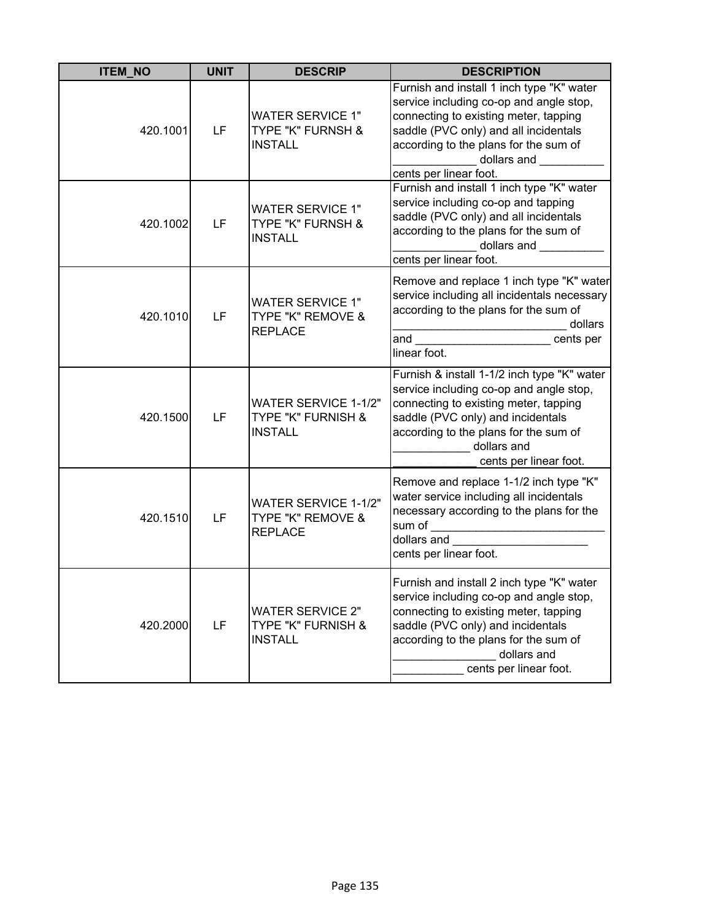| <b>ITEM_NO</b> | <b>UNIT</b> | <b>DESCRIP</b>                                                      | <b>DESCRIPTION</b>                                                                                                                                                                                                                                                                                                                                                                                                                                                                |
|----------------|-------------|---------------------------------------------------------------------|-----------------------------------------------------------------------------------------------------------------------------------------------------------------------------------------------------------------------------------------------------------------------------------------------------------------------------------------------------------------------------------------------------------------------------------------------------------------------------------|
| 420.1001       | LF          | <b>WATER SERVICE 1"</b><br>TYPE "K" FURNSH &<br><b>INSTALL</b>      | Furnish and install 1 inch type "K" water<br>service including co-op and angle stop,<br>connecting to existing meter, tapping<br>saddle (PVC only) and all incidentals<br>according to the plans for the sum of<br>dollars and <b>with the set of the set of the set of the set of the set of the set of the set of the set of the set of the set of the set of the set of the set of the set of the set of the set of the set of the set of the se</b><br>cents per linear foot. |
| 420.1002       | LF          | <b>WATER SERVICE 1"</b><br>TYPE "K" FURNSH &<br><b>INSTALL</b>      | Furnish and install 1 inch type "K" water<br>service including co-op and tapping<br>saddle (PVC only) and all incidentals<br>according to the plans for the sum of<br>dollars and <b>with the set of the set of the set of the set of the set of the set of the set of the set of the set of the set of the set of the set of the set of the set of the set of the set of the set of the set of the se</b><br>cents per linear foot.                                              |
| 420.1010       | LF          | <b>WATER SERVICE 1"</b><br>TYPE "K" REMOVE &<br><b>REPLACE</b>      | Remove and replace 1 inch type "K" water<br>service including all incidentals necessary<br>according to the plans for the sum of<br>dollars<br>and ___________________________cents per<br>linear foot.                                                                                                                                                                                                                                                                           |
| 420.1500       | LF          | <b>WATER SERVICE 1-1/2"</b><br>TYPE "K" FURNISH &<br><b>INSTALL</b> | Furnish & install 1-1/2 inch type "K" water<br>service including co-op and angle stop,<br>connecting to existing meter, tapping<br>saddle (PVC only) and incidentals<br>according to the plans for the sum of<br>dollars and<br>cents per linear foot.                                                                                                                                                                                                                            |
| 420.1510       | LF          | WATER SERVICE 1-1/2"<br>TYPE "K" REMOVE &<br><b>REPLACE</b>         | Remove and replace 1-1/2 inch type "K"<br>water service including all incidentals<br>necessary according to the plans for the<br>dollars and<br>cents per linear foot.                                                                                                                                                                                                                                                                                                            |
| 420.2000       | LF          | <b>WATER SERVICE 2"</b><br>TYPE "K" FURNISH &<br><b>INSTALL</b>     | Furnish and install 2 inch type "K" water<br>service including co-op and angle stop,<br>connecting to existing meter, tapping<br>saddle (PVC only) and incidentals<br>according to the plans for the sum of<br>dollars and<br>cents per linear foot.                                                                                                                                                                                                                              |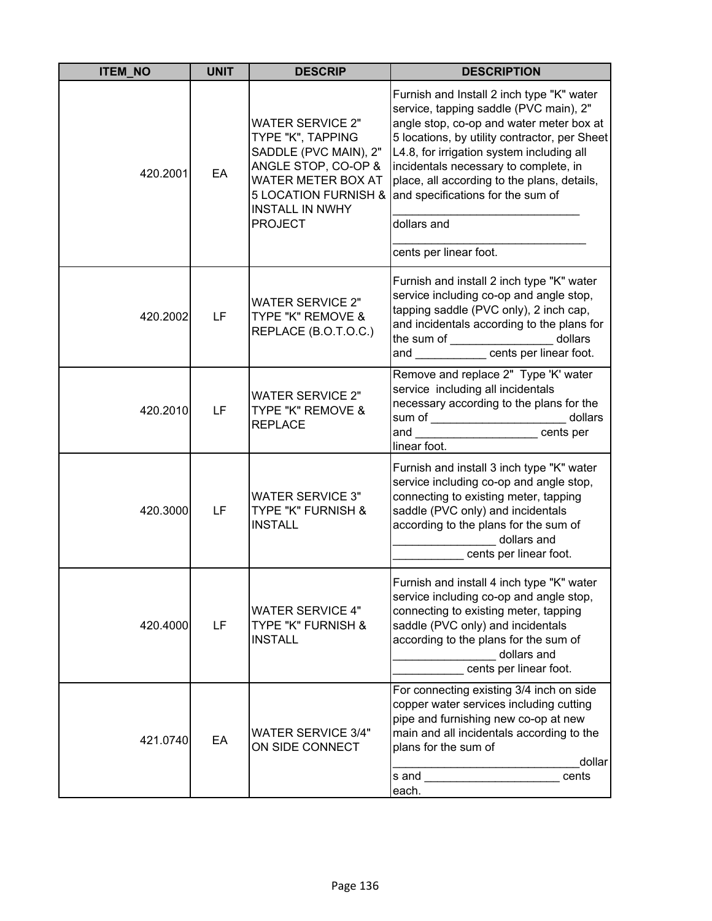| <b>ITEM NO</b> | <b>UNIT</b> | <b>DESCRIP</b>                                                                                                                                                                                    | <b>DESCRIPTION</b>                                                                                                                                                                                                                                                                                                                                                                                  |
|----------------|-------------|---------------------------------------------------------------------------------------------------------------------------------------------------------------------------------------------------|-----------------------------------------------------------------------------------------------------------------------------------------------------------------------------------------------------------------------------------------------------------------------------------------------------------------------------------------------------------------------------------------------------|
| 420.2001       | EA          | <b>WATER SERVICE 2"</b><br>TYPE "K", TAPPING<br>SADDLE (PVC MAIN), 2"<br>ANGLE STOP, CO-OP &<br>WATER METER BOX AT<br><b>5 LOCATION FURNISH &amp;</b><br><b>INSTALL IN NWHY</b><br><b>PROJECT</b> | Furnish and Install 2 inch type "K" water<br>service, tapping saddle (PVC main), 2"<br>angle stop, co-op and water meter box at<br>5 locations, by utility contractor, per Sheet<br>L4.8, for irrigation system including all<br>incidentals necessary to complete, in<br>place, all according to the plans, details,<br>and specifications for the sum of<br>dollars and<br>cents per linear foot. |
| 420.2002       | LF          | <b>WATER SERVICE 2"</b><br>TYPE "K" REMOVE &<br>REPLACE (B.O.T.O.C.)                                                                                                                              | Furnish and install 2 inch type "K" water<br>service including co-op and angle stop,<br>tapping saddle (PVC only), 2 inch cap,<br>and incidentals according to the plans for<br>the sum of ___________________ dollars<br>and ____________ cents per linear foot.                                                                                                                                   |
| 420.2010       | LF          | <b>WATER SERVICE 2"</b><br>TYPE "K" REMOVE &<br><b>REPLACE</b>                                                                                                                                    | Remove and replace 2" Type 'K' water<br>service including all incidentals<br>necessary according to the plans for the<br>sum of _________________________ dollars<br>and<br><b>Cents</b> per<br>linear foot.                                                                                                                                                                                        |
| 420.3000       | LF          | <b>WATER SERVICE 3"</b><br><b>TYPE "K" FURNISH &amp;</b><br><b>INSTALL</b>                                                                                                                        | Furnish and install 3 inch type "K" water<br>service including co-op and angle stop,<br>connecting to existing meter, tapping<br>saddle (PVC only) and incidentals<br>according to the plans for the sum of<br>dollars and<br>cents per linear foot.                                                                                                                                                |
| 420.4000       | LF          | <b>WATER SERVICE 4"</b><br>TYPE "K" FURNISH &<br><b>INSTALL</b>                                                                                                                                   | Furnish and install 4 inch type "K" water<br>service including co-op and angle stop,<br>connecting to existing meter, tapping<br>saddle (PVC only) and incidentals<br>according to the plans for the sum of<br>dollars and<br>cents per linear foot.                                                                                                                                                |
| 421.0740       | EA          | <b>WATER SERVICE 3/4"</b><br>ON SIDE CONNECT                                                                                                                                                      | For connecting existing 3/4 inch on side<br>copper water services including cutting<br>pipe and furnishing new co-op at new<br>main and all incidentals according to the<br>plans for the sum of<br>dollar<br>cents<br>s and<br>each.                                                                                                                                                               |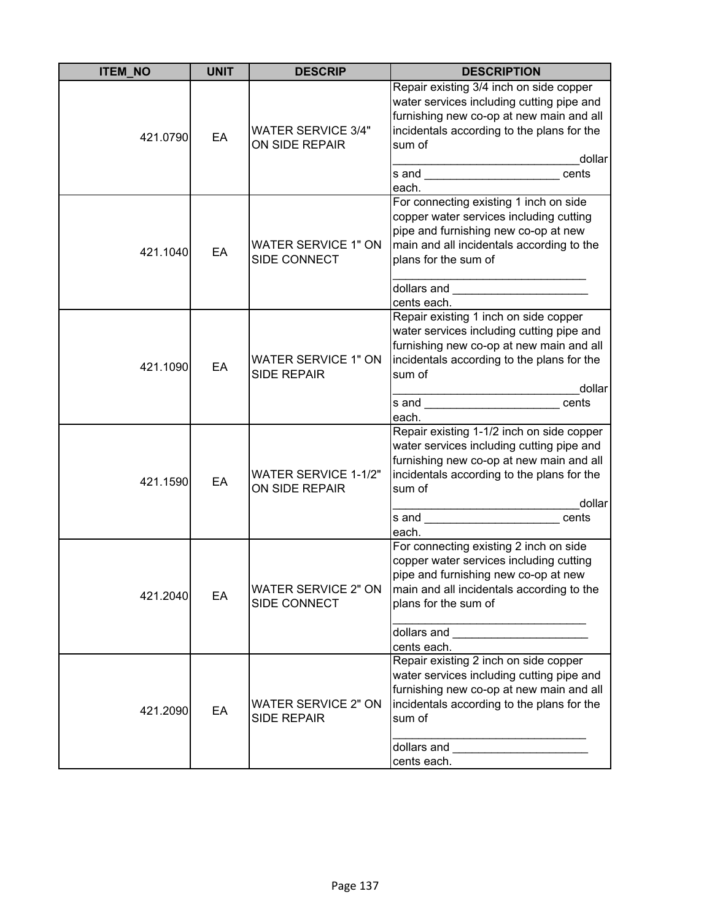| <b>ITEM_NO</b> | <b>UNIT</b> | <b>DESCRIP</b>                                   | <b>DESCRIPTION</b>                                                                                                                                                                                                                                                                                                                                                                                                                              |
|----------------|-------------|--------------------------------------------------|-------------------------------------------------------------------------------------------------------------------------------------------------------------------------------------------------------------------------------------------------------------------------------------------------------------------------------------------------------------------------------------------------------------------------------------------------|
| 421.0790       | EA          | <b>WATER SERVICE 3/4"</b><br>ON SIDE REPAIR      | Repair existing 3/4 inch on side copper<br>water services including cutting pipe and<br>furnishing new co-op at new main and all<br>incidentals according to the plans for the<br>sum of<br>dollar<br>cents<br>each.                                                                                                                                                                                                                            |
| 421.1040       | EA          | <b>WATER SERVICE 1" ON</b><br>SIDE CONNECT       | For connecting existing 1 inch on side<br>copper water services including cutting<br>pipe and furnishing new co-op at new<br>main and all incidentals according to the<br>plans for the sum of<br>cents each.                                                                                                                                                                                                                                   |
| 421.1090       | EA          | <b>WATER SERVICE 1" ON</b><br><b>SIDE REPAIR</b> | Repair existing 1 inch on side copper<br>water services including cutting pipe and<br>furnishing new co-op at new main and all<br>incidentals according to the plans for the<br>sum of<br>dollar<br>s and ________________________cents<br>each.                                                                                                                                                                                                |
| 421.1590       | EA          | <b>WATER SERVICE 1-1/2"</b><br>ON SIDE REPAIR    | Repair existing 1-1/2 inch on side copper<br>water services including cutting pipe and<br>furnishing new co-op at new main and all<br>incidentals according to the plans for the<br>sum of<br>dollar<br>s and service and service of the service of the service of the service of the service of the service of the service of the service of the service of the service of the service of the service of the service of the service o<br>each. |
| 421.2040       | EA          | <b>WATER SERVICE 2" ON</b><br>SIDE CONNECT       | For connecting existing 2 inch on side<br>copper water services including cutting<br>pipe and furnishing new co-op at new<br>main and all incidentals according to the<br>plans for the sum of<br>dollars and __________________________<br>cents each.                                                                                                                                                                                         |
| 421.2090       | EA          | <b>WATER SERVICE 2" ON</b><br><b>SIDE REPAIR</b> | Repair existing 2 inch on side copper<br>water services including cutting pipe and<br>furnishing new co-op at new main and all<br>incidentals according to the plans for the<br>sum of<br>cents each.                                                                                                                                                                                                                                           |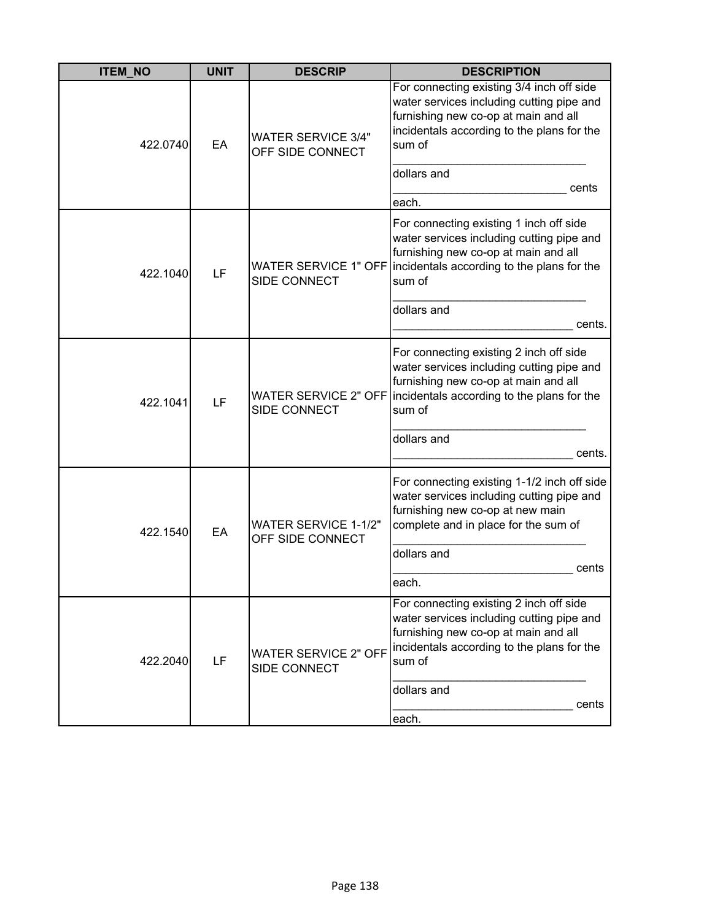| <b>ITEM_NO</b> | <b>UNIT</b> | <b>DESCRIP</b>                                     | <b>DESCRIPTION</b>                                                                                                                                                                                        |
|----------------|-------------|----------------------------------------------------|-----------------------------------------------------------------------------------------------------------------------------------------------------------------------------------------------------------|
| 422.0740       | EA          | <b>WATER SERVICE 3/4"</b><br>OFF SIDE CONNECT      | For connecting existing 3/4 inch off side<br>water services including cutting pipe and<br>furnishing new co-op at main and all<br>incidentals according to the plans for the<br>sum of                    |
|                |             |                                                    | dollars and<br>cents<br>each.                                                                                                                                                                             |
| 422.1040       | LF          | <b>WATER SERVICE 1" OFF</b><br><b>SIDE CONNECT</b> | For connecting existing 1 inch off side<br>water services including cutting pipe and<br>furnishing new co-op at main and all<br>incidentals according to the plans for the<br>sum of                      |
|                |             |                                                    | dollars and<br>cents.                                                                                                                                                                                     |
| 422.1041       | LF          | SIDE CONNECT                                       | For connecting existing 2 inch off side<br>water services including cutting pipe and<br>furnishing new co-op at main and all<br>WATER SERVICE 2" OFF incidentals according to the plans for the<br>sum of |
|                |             |                                                    | dollars and<br>cents.                                                                                                                                                                                     |
| 422.1540       | EA          | <b>WATER SERVICE 1-1/2"</b><br>OFF SIDE CONNECT    | For connecting existing 1-1/2 inch off side<br>water services including cutting pipe and<br>furnishing new co-op at new main<br>complete and in place for the sum of                                      |
|                |             |                                                    | dollars and<br>cents<br>each.                                                                                                                                                                             |
| 422.2040       | LF          | <b>WATER SERVICE 2" OFF</b><br>SIDE CONNECT        | For connecting existing 2 inch off side<br>water services including cutting pipe and<br>furnishing new co-op at main and all<br>incidentals according to the plans for the<br>sum of                      |
|                |             |                                                    | dollars and<br>cents<br>each.                                                                                                                                                                             |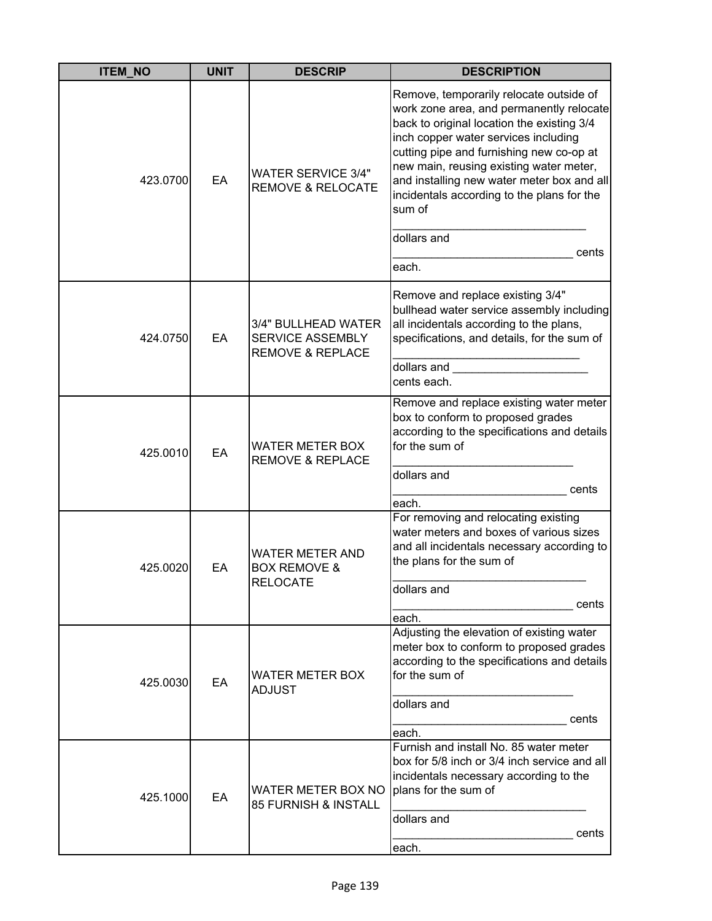| <b>ITEM_NO</b> | <b>UNIT</b>                                                     | <b>DESCRIP</b>                                                                                                                                                                                                                                                                                                                                                         | <b>DESCRIPTION</b>                                                                                                                                                                                    |
|----------------|-----------------------------------------------------------------|------------------------------------------------------------------------------------------------------------------------------------------------------------------------------------------------------------------------------------------------------------------------------------------------------------------------------------------------------------------------|-------------------------------------------------------------------------------------------------------------------------------------------------------------------------------------------------------|
| 423.0700       | <b>WATER SERVICE 3/4"</b><br>EA<br><b>REMOVE &amp; RELOCATE</b> | Remove, temporarily relocate outside of<br>work zone area, and permanently relocate<br>back to original location the existing 3/4<br>inch copper water services including<br>cutting pipe and furnishing new co-op at<br>new main, reusing existing water meter,<br>and installing new water meter box and all<br>incidentals according to the plans for the<br>sum of |                                                                                                                                                                                                       |
|                |                                                                 |                                                                                                                                                                                                                                                                                                                                                                        | dollars and<br>cents<br>each.                                                                                                                                                                         |
| 424.0750       | EA                                                              | 3/4" BULLHEAD WATER<br>SERVICE ASSEMBLY<br><b>REMOVE &amp; REPLACE</b>                                                                                                                                                                                                                                                                                                 | Remove and replace existing 3/4"<br>bullhead water service assembly including<br>all incidentals according to the plans,<br>specifications, and details, for the sum of<br>dollars and<br>cents each. |
| 425.0010       | EA                                                              | WATER METER BOX<br><b>REMOVE &amp; REPLACE</b>                                                                                                                                                                                                                                                                                                                         | Remove and replace existing water meter<br>box to conform to proposed grades<br>according to the specifications and details<br>for the sum of<br>dollars and<br>cents                                 |
|                |                                                                 |                                                                                                                                                                                                                                                                                                                                                                        | each.                                                                                                                                                                                                 |
| 425.0020       | EA                                                              | <b>WATER METER AND</b><br><b>BOX REMOVE &amp;</b><br><b>RELOCATE</b>                                                                                                                                                                                                                                                                                                   | For removing and relocating existing<br>water meters and boxes of various sizes<br>and all incidentals necessary according to<br>the plans for the sum of<br>dollars and<br>cents<br>each.            |
| 425.0030       | EA                                                              | WATER METER BOX<br><b>ADJUST</b>                                                                                                                                                                                                                                                                                                                                       | Adjusting the elevation of existing water<br>meter box to conform to proposed grades<br>according to the specifications and details<br>for the sum of<br>dollars and<br>cents                         |
| 425.1000       | EA                                                              | WATER METER BOX NO<br>85 FURNISH & INSTALL                                                                                                                                                                                                                                                                                                                             | each.<br>Furnish and install No. 85 water meter<br>box for 5/8 inch or 3/4 inch service and all<br>incidentals necessary according to the<br>plans for the sum of<br>dollars and<br>cents<br>each.    |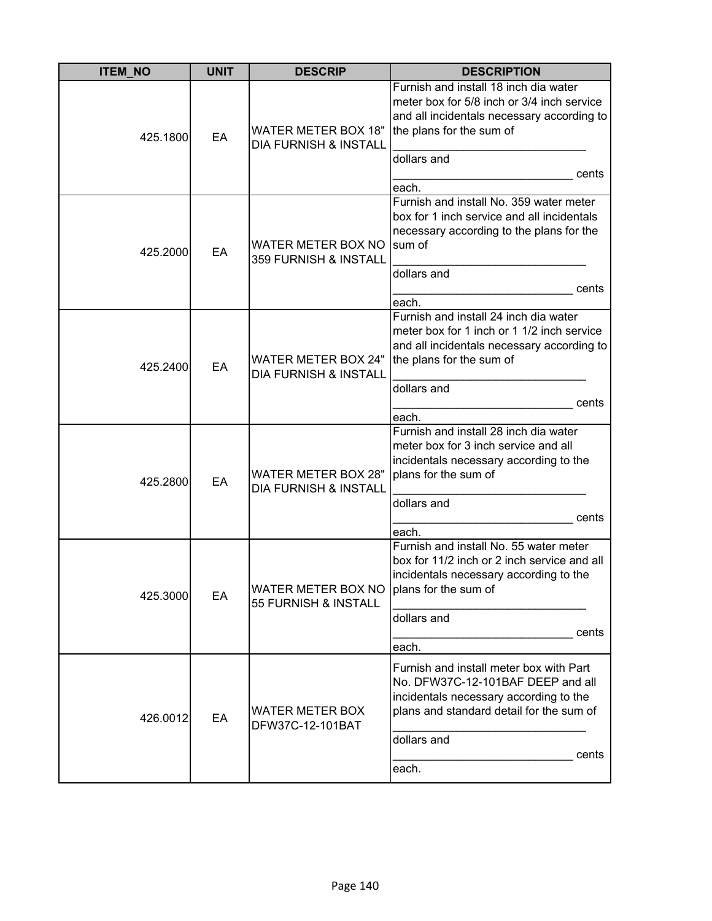| <b>ITEM_NO</b> | <b>UNIT</b> | <b>DESCRIP</b>                                                 | <b>DESCRIPTION</b>                                                                                                                                                                                  |
|----------------|-------------|----------------------------------------------------------------|-----------------------------------------------------------------------------------------------------------------------------------------------------------------------------------------------------|
| 425.1800       | EA          | <b>WATER METER BOX 18"</b><br><b>DIA FURNISH &amp; INSTALL</b> | Furnish and install 18 inch dia water<br>meter box for 5/8 inch or 3/4 inch service<br>and all incidentals necessary according to<br>the plans for the sum of<br>dollars and<br>cents<br>each.      |
| 425.2000       | EA          | WATER METER BOX NO<br>359 FURNISH & INSTALL                    | Furnish and install No. 359 water meter<br>box for 1 inch service and all incidentals<br>necessary according to the plans for the<br>sum of<br>dollars and<br>cents<br>each.                        |
| 425.2400       | EA          | <b>WATER METER BOX 24"</b><br><b>DIA FURNISH &amp; INSTALL</b> | Furnish and install 24 inch dia water<br>meter box for 1 inch or 1 1/2 inch service<br>and all incidentals necessary according to<br>the plans for the sum of<br>dollars and<br>cents<br>each.      |
| 425.2800       | EA          | <b>WATER METER BOX 28"</b><br><b>DIA FURNISH &amp; INSTALL</b> | Furnish and install 28 inch dia water<br>meter box for 3 inch service and all<br>incidentals necessary according to the<br>plans for the sum of<br>dollars and<br>cents<br>each.                    |
| 425.3000       | EA          | WATER METER BOX NO<br>55 FURNISH & INSTALL                     | Furnish and install No. 55 water meter<br>box for 11/2 inch or 2 inch service and all<br>incidentals necessary according to the<br>plans for the sum of<br>dollars and<br>cents<br>each.            |
| 426.0012       | EA          | <b>WATER METER BOX</b><br>DFW37C-12-101BAT                     | Furnish and install meter box with Part<br>No. DFW37C-12-101BAF DEEP and all<br>incidentals necessary according to the<br>plans and standard detail for the sum of<br>dollars and<br>cents<br>each. |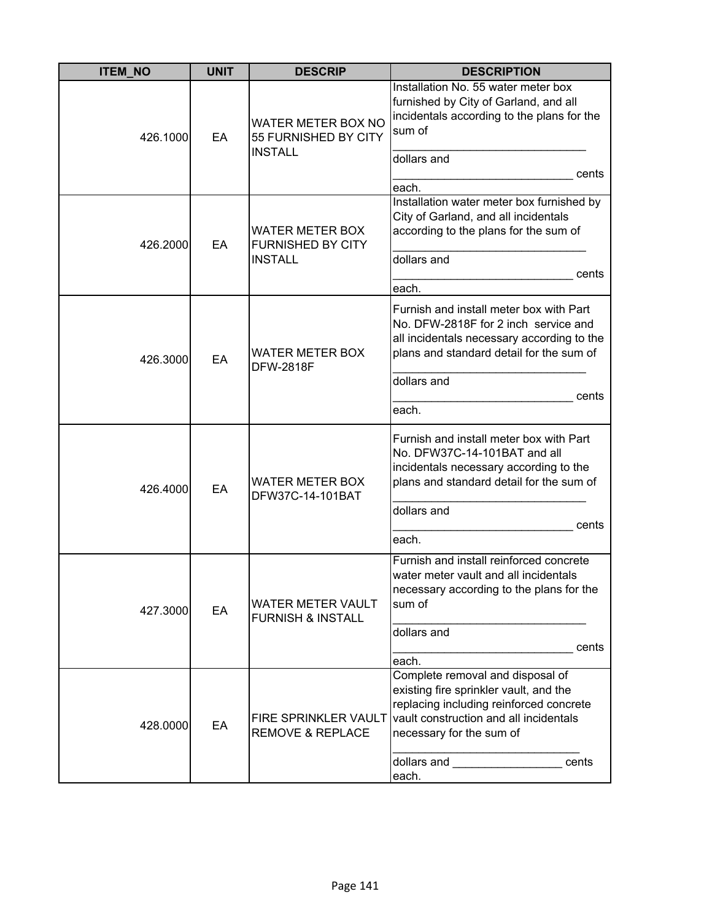| <b>ITEM_NO</b> | <b>UNIT</b> | <b>DESCRIP</b>                                                       | <b>DESCRIPTION</b>                                                                                                                                                                                                                                                                                                                                                                                                                                    |
|----------------|-------------|----------------------------------------------------------------------|-------------------------------------------------------------------------------------------------------------------------------------------------------------------------------------------------------------------------------------------------------------------------------------------------------------------------------------------------------------------------------------------------------------------------------------------------------|
| 426.1000       | EA          | WATER METER BOX NO<br>55 FURNISHED BY CITY<br><b>INSTALL</b>         | Installation No. 55 water meter box<br>furnished by City of Garland, and all<br>incidentals according to the plans for the<br>sum of<br>dollars and                                                                                                                                                                                                                                                                                                   |
|                |             |                                                                      | cents<br>each.                                                                                                                                                                                                                                                                                                                                                                                                                                        |
| 426.2000       | EA          | <b>WATER METER BOX</b><br><b>FURNISHED BY CITY</b><br><b>INSTALL</b> | Installation water meter box furnished by<br>City of Garland, and all incidentals<br>according to the plans for the sum of<br>dollars and<br>cents<br>each.                                                                                                                                                                                                                                                                                           |
| 426.3000       | EA          | <b>WATER METER BOX</b><br><b>DFW-2818F</b>                           | Furnish and install meter box with Part<br>No. DFW-2818F for 2 inch service and<br>all incidentals necessary according to the<br>plans and standard detail for the sum of<br>dollars and<br>cents<br>each.                                                                                                                                                                                                                                            |
| 426.4000       | EA          | <b>WATER METER BOX</b><br>DFW37C-14-101BAT                           | Furnish and install meter box with Part<br>No. DFW37C-14-101BAT and all<br>incidentals necessary according to the<br>plans and standard detail for the sum of<br>dollars and<br>cents<br>each.                                                                                                                                                                                                                                                        |
| 427.3000       | EA          | <b>WATER METER VAULT</b><br><b>FURNISH &amp; INSTALL</b>             | Furnish and install reinforced concrete<br>water meter vault and all incidentals<br>necessary according to the plans for the<br>sum of<br>dollars and<br>cents<br>each.                                                                                                                                                                                                                                                                               |
| 428.0000       | EA          | <b>FIRE SPRINKLER VAULT</b><br><b>REMOVE &amp; REPLACE</b>           | Complete removal and disposal of<br>existing fire sprinkler vault, and the<br>replacing including reinforced concrete<br>vault construction and all incidentals<br>necessary for the sum of<br>dollars and <b>with the set of the set of the set of the set of the set of the set of the set of the set of the set of the set of the set of the set of the set of the set of the set of the set of the set of the set of the se</b><br>cents<br>each. |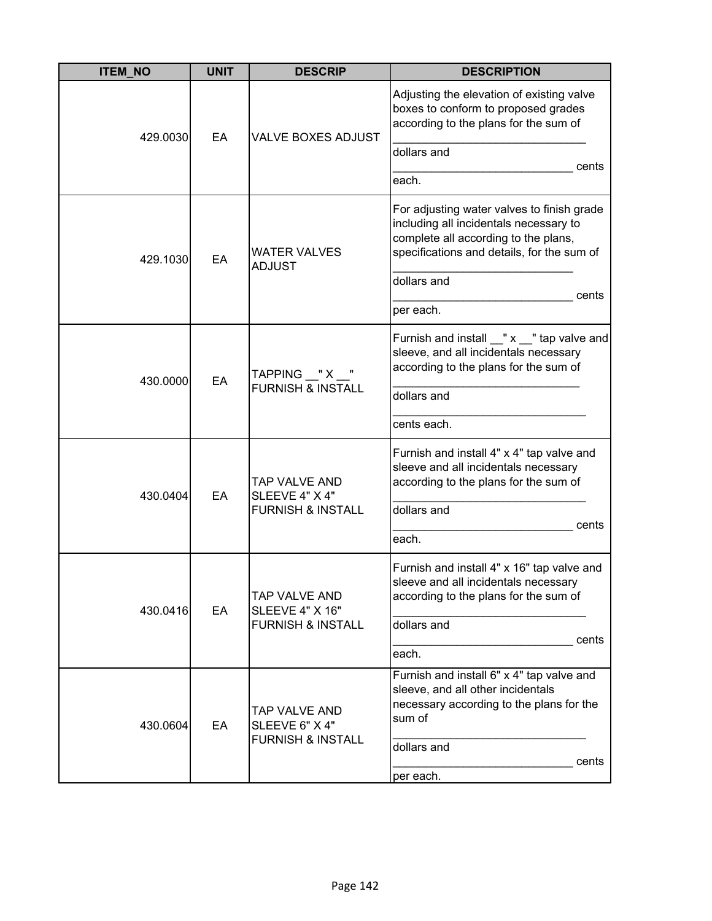| <b>ITEM NO</b> | <b>UNIT</b> | <b>DESCRIP</b>                                                          | <b>DESCRIPTION</b>                                                                                                                                                                                              |
|----------------|-------------|-------------------------------------------------------------------------|-----------------------------------------------------------------------------------------------------------------------------------------------------------------------------------------------------------------|
| 429.0030       | EA          | <b>VALVE BOXES ADJUST</b>                                               | Adjusting the elevation of existing valve<br>boxes to conform to proposed grades<br>according to the plans for the sum of<br>dollars and<br>cents<br>each.                                                      |
| 429.1030       | EA          | <b>WATER VALVES</b><br><b>ADJUST</b>                                    | For adjusting water valves to finish grade<br>including all incidentals necessary to<br>complete all according to the plans,<br>specifications and details, for the sum of<br>dollars and<br>cents<br>per each. |
| 430.0000       | EA          | TAPPING $X''$<br><b>FURNISH &amp; INSTALL</b>                           | Furnish and install __" x __" tap valve and<br>sleeve, and all incidentals necessary<br>according to the plans for the sum of<br>dollars and<br>cents each.                                                     |
| 430.0404       | EA          | TAP VALVE AND<br>SLEEVE 4" X 4"<br><b>FURNISH &amp; INSTALL</b>         | Furnish and install 4" x 4" tap valve and<br>sleeve and all incidentals necessary<br>according to the plans for the sum of<br>dollars and<br>cents<br>each.                                                     |
| 430.0416       | EA          | TAP VALVE AND<br><b>SLEEVE 4" X 16"</b><br><b>FURNISH &amp; INSTALL</b> | Furnish and install 4" x 16" tap valve and<br>sleeve and all incidentals necessary<br>according to the plans for the sum of<br>dollars and<br>cents<br>each.                                                    |
| 430.0604       | EA          | TAP VALVE AND<br>SLEEVE 6" X 4"<br><b>FURNISH &amp; INSTALL</b>         | Furnish and install 6" x 4" tap valve and<br>sleeve, and all other incidentals<br>necessary according to the plans for the<br>sum of<br>dollars and<br>cents<br>per each.                                       |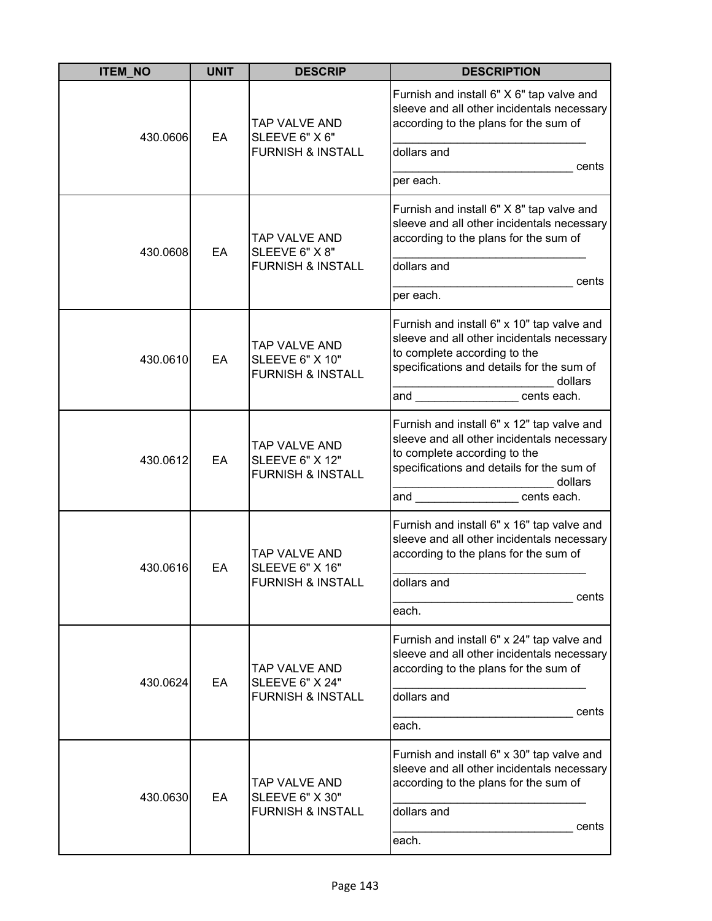| <b>ITEM NO</b> | <b>UNIT</b> | <b>DESCRIP</b>                                                          | <b>DESCRIPTION</b>                                                                                                                                                                                                       |
|----------------|-------------|-------------------------------------------------------------------------|--------------------------------------------------------------------------------------------------------------------------------------------------------------------------------------------------------------------------|
| 430.0606       | EA          | TAP VALVE AND<br>SLEEVE 6" X 6"                                         | Furnish and install 6" X 6" tap valve and<br>sleeve and all other incidentals necessary<br>according to the plans for the sum of                                                                                         |
|                |             | <b>FURNISH &amp; INSTALL</b>                                            | dollars and<br>cents                                                                                                                                                                                                     |
|                |             |                                                                         | per each.                                                                                                                                                                                                                |
| 430.0608       | EA          | TAP VALVE AND<br>SLEEVE 6" X 8"                                         | Furnish and install 6" X 8" tap valve and<br>sleeve and all other incidentals necessary<br>according to the plans for the sum of                                                                                         |
|                |             | <b>FURNISH &amp; INSTALL</b>                                            | dollars and                                                                                                                                                                                                              |
|                |             |                                                                         | cents<br>per each.                                                                                                                                                                                                       |
| 430.0610       | EA          | TAP VALVE AND<br><b>SLEEVE 6" X 10"</b><br><b>FURNISH &amp; INSTALL</b> | Furnish and install 6" x 10" tap valve and<br>sleeve and all other incidentals necessary<br>to complete according to the<br>specifications and details for the sum of<br>dollars<br>and ____________________ cents each. |
| 430.0612       | EA          | TAP VALVE AND<br><b>SLEEVE 6" X 12"</b><br><b>FURNISH &amp; INSTALL</b> | Furnish and install 6" x 12" tap valve and<br>sleeve and all other incidentals necessary<br>to complete according to the<br>specifications and details for the sum of<br>dollars<br>and<br>cents each.                   |
| 430.0616       | EA          | TAP VALVE AND<br><b>SLEEVE 6" X 16"</b><br><b>FURNISH &amp; INSTALL</b> | Furnish and install 6" x 16" tap valve and<br>sleeve and all other incidentals necessary<br>according to the plans for the sum of<br>dollars and                                                                         |
|                |             |                                                                         | cents                                                                                                                                                                                                                    |
| 430.0624       | EA          | TAP VALVE AND<br><b>SLEEVE 6" X 24"</b><br><b>FURNISH &amp; INSTALL</b> | each.<br>Furnish and install 6" x 24" tap valve and<br>sleeve and all other incidentals necessary<br>according to the plans for the sum of<br>dollars and                                                                |
|                |             |                                                                         | cents<br>each.                                                                                                                                                                                                           |
| 430.0630       | EA          | TAP VALVE AND<br><b>SLEEVE 6" X 30"</b><br><b>FURNISH &amp; INSTALL</b> | Furnish and install 6" x 30" tap valve and<br>sleeve and all other incidentals necessary<br>according to the plans for the sum of<br>dollars and                                                                         |
|                |             |                                                                         | cents<br>each.                                                                                                                                                                                                           |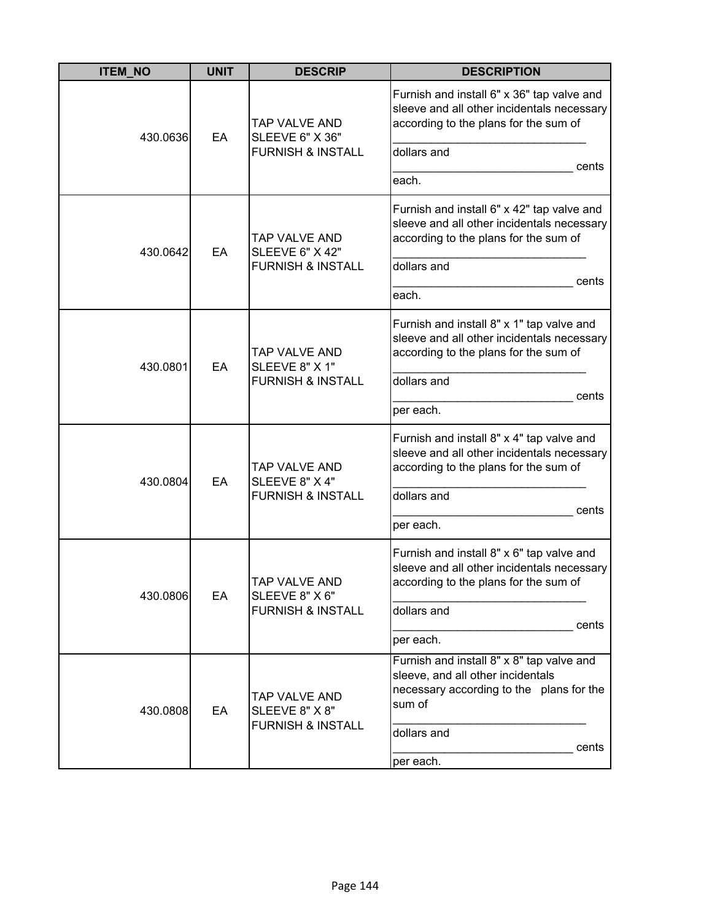| <b>ITEM_NO</b> | <b>UNIT</b> | <b>DESCRIP</b>                                                          | <b>DESCRIPTION</b>                                                                                                                                                        |
|----------------|-------------|-------------------------------------------------------------------------|---------------------------------------------------------------------------------------------------------------------------------------------------------------------------|
| 430.0636       | EA          | TAP VALVE AND<br>SLEEVE 6" X 36"<br><b>FURNISH &amp; INSTALL</b>        | Furnish and install 6" x 36" tap valve and<br>sleeve and all other incidentals necessary<br>according to the plans for the sum of<br>dollars and<br>cents<br>each.        |
| 430.0642       | EA          | TAP VALVE AND<br><b>SLEEVE 6" X 42"</b><br><b>FURNISH &amp; INSTALL</b> | Furnish and install 6" x 42" tap valve and<br>sleeve and all other incidentals necessary<br>according to the plans for the sum of<br>dollars and<br>cents<br>each.        |
| 430.0801       | EA          | <b>TAP VALVE AND</b><br>SLEEVE 8" X 1"<br><b>FURNISH &amp; INSTALL</b>  | Furnish and install 8" x 1" tap valve and<br>sleeve and all other incidentals necessary<br>according to the plans for the sum of<br>dollars and<br>cents<br>per each.     |
| 430.0804       | EA          | TAP VALVE AND<br>SLEEVE 8" X 4"<br><b>FURNISH &amp; INSTALL</b>         | Furnish and install 8" x 4" tap valve and<br>sleeve and all other incidentals necessary<br>according to the plans for the sum of<br>dollars and<br>cents<br>per each.     |
| 430.0806       | EA          | TAP VALVE AND<br>SLEEVE 8" X 6"<br><b>FURNISH &amp; INSTALL</b>         | Furnish and install 8" x 6" tap valve and<br>sleeve and all other incidentals necessary<br>according to the plans for the sum of<br>dollars and<br>cents<br>per each.     |
| 430.0808       | EA          | TAP VALVE AND<br>SLEEVE 8" X 8"<br><b>FURNISH &amp; INSTALL</b>         | Furnish and install 8" x 8" tap valve and<br>sleeve, and all other incidentals<br>necessary according to the plans for the<br>sum of<br>dollars and<br>cents<br>per each. |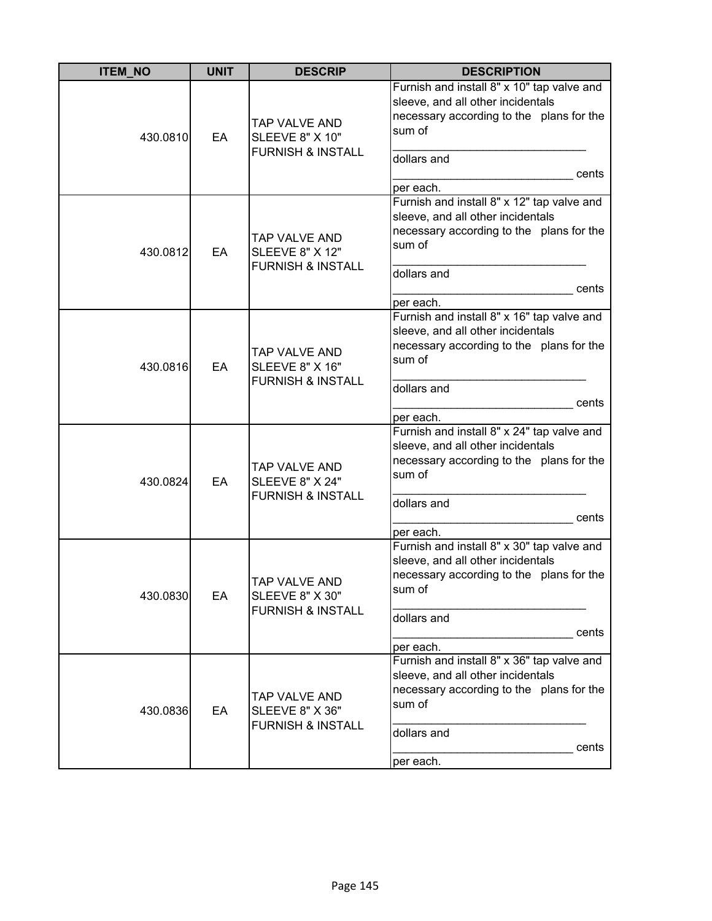| <b>ITEM_NO</b> | <b>UNIT</b> | <b>DESCRIP</b>                                                          | <b>DESCRIPTION</b>                                                                                                                                                         |
|----------------|-------------|-------------------------------------------------------------------------|----------------------------------------------------------------------------------------------------------------------------------------------------------------------------|
| 430.0810       | EA          | TAP VALVE AND<br><b>SLEEVE 8" X 10"</b><br><b>FURNISH &amp; INSTALL</b> | Furnish and install 8" x 10" tap valve and<br>sleeve, and all other incidentals<br>necessary according to the plans for the<br>sum of<br>dollars and<br>cents<br>per each. |
| 430.0812       | EA          | TAP VALVE AND<br><b>SLEEVE 8" X 12"</b><br><b>FURNISH &amp; INSTALL</b> | Furnish and install 8" x 12" tap valve and<br>sleeve, and all other incidentals<br>necessary according to the plans for the<br>sum of<br>dollars and<br>cents<br>per each. |
| 430.0816       | EA          | TAP VALVE AND<br><b>SLEEVE 8" X 16"</b><br><b>FURNISH &amp; INSTALL</b> | Furnish and install 8" x 16" tap valve and<br>sleeve, and all other incidentals<br>necessary according to the plans for the<br>sum of<br>dollars and<br>cents<br>per each. |
| 430.0824       | EA          | TAP VALVE AND<br><b>SLEEVE 8" X 24"</b><br><b>FURNISH &amp; INSTALL</b> | Furnish and install 8" x 24" tap valve and<br>sleeve, and all other incidentals<br>necessary according to the plans for the<br>sum of<br>dollars and<br>cents<br>per each. |
| 430.0830       | EA          | TAP VALVE AND<br><b>SLEEVE 8" X 30"</b><br><b>FURNISH &amp; INSTALL</b> | Furnish and install 8" x 30" tap valve and<br>sleeve, and all other incidentals<br>necessary according to the plans for the<br>sum of<br>dollars and<br>cents<br>per each. |
| 430.0836       | EA          | TAP VALVE AND<br><b>SLEEVE 8" X 36"</b><br><b>FURNISH &amp; INSTALL</b> | Furnish and install 8" x 36" tap valve and<br>sleeve, and all other incidentals<br>necessary according to the plans for the<br>sum of<br>dollars and<br>cents<br>per each. |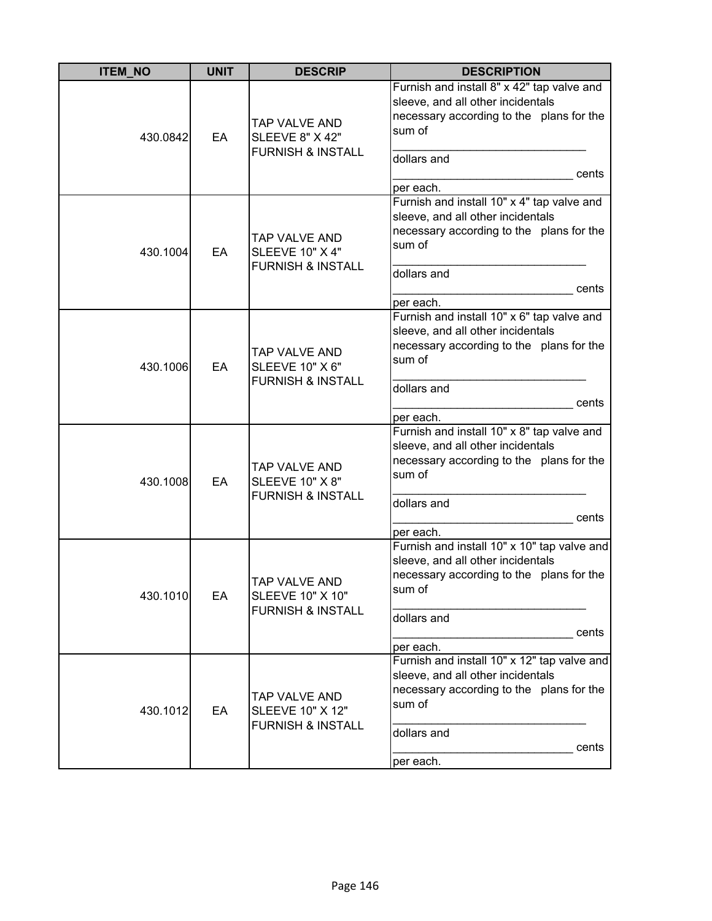| <b>ITEM NO</b> | <b>UNIT</b> | <b>DESCRIP</b>                                                                 | <b>DESCRIPTION</b>                                                                                                                                                          |
|----------------|-------------|--------------------------------------------------------------------------------|-----------------------------------------------------------------------------------------------------------------------------------------------------------------------------|
| 430.0842       | EA          | TAP VALVE AND<br><b>SLEEVE 8" X 42"</b><br><b>FURNISH &amp; INSTALL</b>        | Furnish and install 8" x 42" tap valve and<br>sleeve, and all other incidentals<br>necessary according to the plans for the<br>sum of<br>dollars and<br>cents<br>per each.  |
| 430.1004       | EA          | TAP VALVE AND<br><b>SLEEVE 10" X 4"</b><br><b>FURNISH &amp; INSTALL</b>        | Furnish and install 10" x 4" tap valve and<br>sleeve, and all other incidentals<br>necessary according to the plans for the<br>sum of<br>dollars and<br>cents<br>per each.  |
| 430.1006       | EA          | <b>TAP VALVE AND</b><br><b>SLEEVE 10" X 6"</b><br><b>FURNISH &amp; INSTALL</b> | Furnish and install 10" x 6" tap valve and<br>sleeve, and all other incidentals<br>necessary according to the plans for the<br>sum of<br>dollars and<br>cents<br>per each.  |
| 430.1008       | EA          | TAP VALVE AND<br><b>SLEEVE 10" X 8"</b><br><b>FURNISH &amp; INSTALL</b>        | Furnish and install 10" x 8" tap valve and<br>sleeve, and all other incidentals<br>necessary according to the plans for the<br>sum of<br>dollars and<br>cents<br>per each.  |
| 430.1010       | EA          | ITAP VALVE AND<br><b>SLEEVE 10" X 10"</b><br><b>FURNISH &amp; INSTALL</b>      | Furnish and install 10" x 10" tap valve and<br>sleeve, and all other incidentals<br>necessary according to the plans for the<br>sum of<br>dollars and<br>cents<br>per each. |
| 430.1012       | EA          | TAP VALVE AND<br><b>SLEEVE 10" X 12"</b><br><b>FURNISH &amp; INSTALL</b>       | Furnish and install 10" x 12" tap valve and<br>sleeve, and all other incidentals<br>necessary according to the plans for the<br>sum of<br>dollars and<br>cents<br>per each. |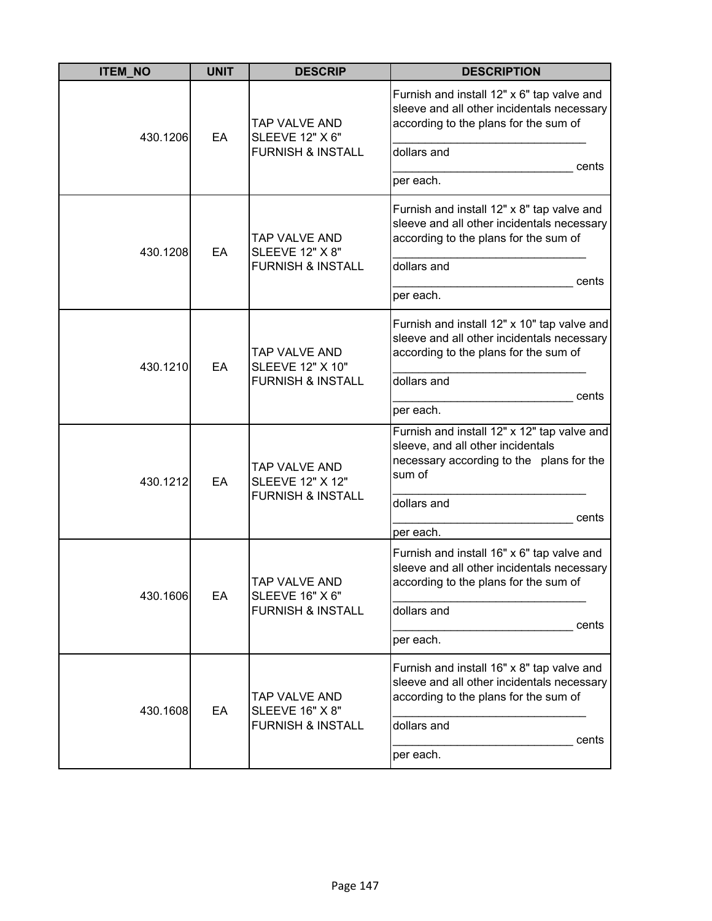| <b>ITEM_NO</b> | <b>UNIT</b> | <b>DESCRIP</b>                                                           | <b>DESCRIPTION</b>                                                                                                                                                          |
|----------------|-------------|--------------------------------------------------------------------------|-----------------------------------------------------------------------------------------------------------------------------------------------------------------------------|
| 430.1206       | EA          | TAP VALVE AND<br><b>SLEEVE 12" X 6"</b><br><b>FURNISH &amp; INSTALL</b>  | Furnish and install 12" x 6" tap valve and<br>sleeve and all other incidentals necessary<br>according to the plans for the sum of<br>dollars and<br>cents<br>per each.      |
| 430.1208       | EA          | TAP VALVE AND<br><b>SLEEVE 12" X 8"</b><br><b>FURNISH &amp; INSTALL</b>  | Furnish and install 12" x 8" tap valve and<br>sleeve and all other incidentals necessary<br>according to the plans for the sum of<br>dollars and<br>cents<br>per each.      |
| 430.1210       | EA          | TAP VALVE AND<br><b>SLEEVE 12" X 10"</b><br><b>FURNISH &amp; INSTALL</b> | Furnish and install 12" x 10" tap valve and<br>sleeve and all other incidentals necessary<br>according to the plans for the sum of<br>dollars and<br>cents<br>per each.     |
| 430.1212       | EA          | TAP VALVE AND<br><b>SLEEVE 12" X 12"</b><br><b>FURNISH &amp; INSTALL</b> | Furnish and install 12" x 12" tap valve and<br>sleeve, and all other incidentals<br>necessary according to the plans for the<br>sum of<br>dollars and<br>cents<br>per each. |
| 430.1606       | EA          | ITAP VALVE AND<br><b>SLEEVE 16" X 6"</b><br><b>FURNISH &amp; INSTALL</b> | Furnish and install 16" x 6" tap valve and<br>sleeve and all other incidentals necessary<br>according to the plans for the sum of<br>dollars and<br>cents<br>per each.      |
| 430.1608       | EA          | TAP VALVE AND<br><b>SLEEVE 16" X 8"</b><br><b>FURNISH &amp; INSTALL</b>  | Furnish and install 16" x 8" tap valve and<br>sleeve and all other incidentals necessary<br>according to the plans for the sum of<br>dollars and<br>cents<br>per each.      |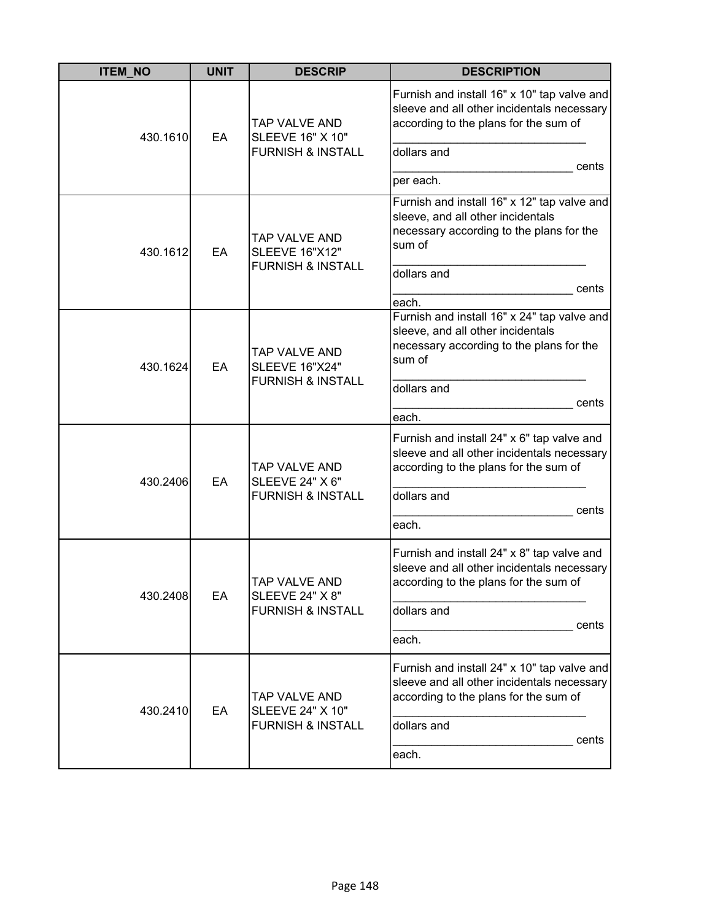| <b>ITEM_NO</b> | <b>UNIT</b> | <b>DESCRIP</b>                                                                | <b>DESCRIPTION</b>                                                                                                                                                      |
|----------------|-------------|-------------------------------------------------------------------------------|-------------------------------------------------------------------------------------------------------------------------------------------------------------------------|
| 430.1610       | EA          | TAP VALVE AND<br><b>SLEEVE 16" X 10"</b><br><b>FURNISH &amp; INSTALL</b>      | Furnish and install 16" x 10" tap valve and<br>sleeve and all other incidentals necessary<br>according to the plans for the sum of<br>dollars and<br>cents<br>per each. |
| 430.1612       | EA          | TAP VALVE AND<br><b>SLEEVE 16"X12"</b><br><b>FURNISH &amp; INSTALL</b>        | Furnish and install 16" x 12" tap valve and<br>sleeve, and all other incidentals<br>necessary according to the plans for the<br>sum of<br>dollars and<br>cents<br>each. |
| 430.1624       | EA          | <b>TAP VALVE AND</b><br><b>SLEEVE 16"X24"</b><br><b>FURNISH &amp; INSTALL</b> | Furnish and install 16" x 24" tap valve and<br>sleeve, and all other incidentals<br>necessary according to the plans for the<br>sum of<br>dollars and<br>cents<br>each. |
| 430.2406       | EA          | TAP VALVE AND<br><b>SLEEVE 24" X 6"</b><br><b>FURNISH &amp; INSTALL</b>       | Furnish and install 24" x 6" tap valve and<br>sleeve and all other incidentals necessary<br>according to the plans for the sum of<br>dollars and<br>cents<br>each.      |
| 430.2408       | EA          | ITAP VALVE AND<br><b>SLEEVE 24" X 8"</b><br><b>FURNISH &amp; INSTALL</b>      | Furnish and install 24" x 8" tap valve and<br>sleeve and all other incidentals necessary<br>according to the plans for the sum of<br>dollars and<br>cents<br>each.      |
| 430.2410       | EA          | TAP VALVE AND<br><b>SLEEVE 24" X 10"</b><br><b>FURNISH &amp; INSTALL</b>      | Furnish and install 24" x 10" tap valve and<br>sleeve and all other incidentals necessary<br>according to the plans for the sum of<br>dollars and<br>cents<br>each.     |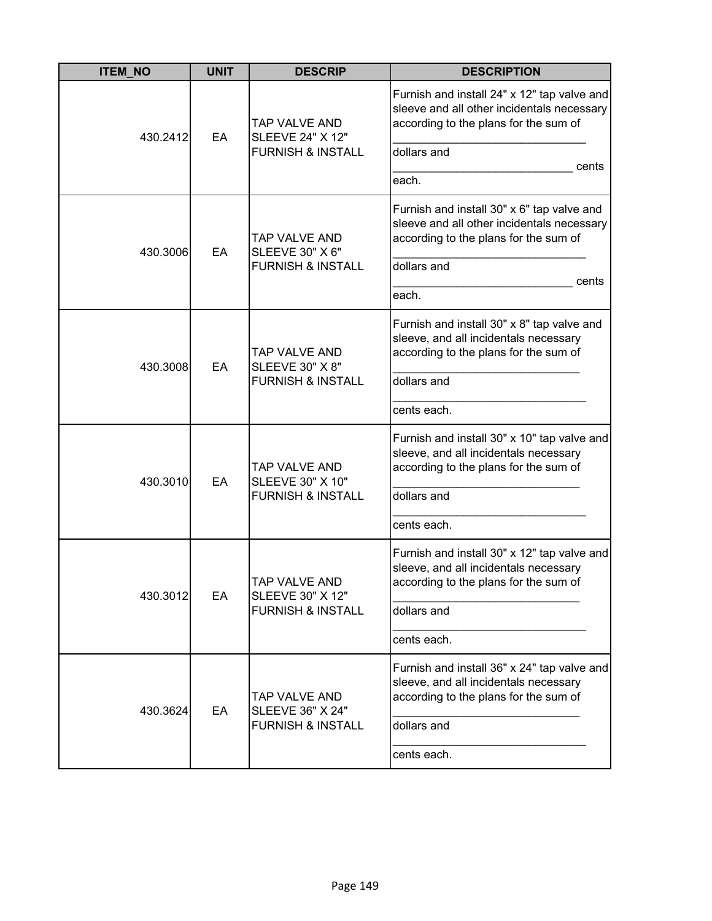| <b>ITEM_NO</b> | <b>UNIT</b> | <b>DESCRIP</b>                                                           | <b>DESCRIPTION</b>                                                                                                                                                  |
|----------------|-------------|--------------------------------------------------------------------------|---------------------------------------------------------------------------------------------------------------------------------------------------------------------|
| 430.2412       | EA          | TAP VALVE AND<br><b>SLEEVE 24" X 12"</b><br><b>FURNISH &amp; INSTALL</b> | Furnish and install 24" x 12" tap valve and<br>sleeve and all other incidentals necessary<br>according to the plans for the sum of<br>dollars and<br>cents<br>each. |
| 430.3006       | EA          | TAP VALVE AND<br><b>SLEEVE 30" X 6"</b><br><b>FURNISH &amp; INSTALL</b>  | Furnish and install 30" x 6" tap valve and<br>sleeve and all other incidentals necessary<br>according to the plans for the sum of<br>dollars and<br>cents<br>each.  |
| 430.3008       | EA          | TAP VALVE AND<br><b>SLEEVE 30" X 8"</b><br><b>FURNISH &amp; INSTALL</b>  | Furnish and install 30" x 8" tap valve and<br>sleeve, and all incidentals necessary<br>according to the plans for the sum of<br>dollars and<br>cents each.          |
| 430.3010       | EA          | TAP VALVE AND<br><b>SLEEVE 30" X 10"</b><br><b>FURNISH &amp; INSTALL</b> | Furnish and install 30" x 10" tap valve and<br>sleeve, and all incidentals necessary<br>according to the plans for the sum of<br>dollars and<br>cents each.         |
| 430.3012       | EA          | TAP VALVE AND<br><b>SLEEVE 30" X 12"</b><br><b>FURNISH &amp; INSTALL</b> | Furnish and install 30" x 12" tap valve and<br>sleeve, and all incidentals necessary<br>according to the plans for the sum of<br>dollars and<br>cents each.         |
| 430.3624       | EA          | TAP VALVE AND<br><b>SLEEVE 36" X 24"</b><br><b>FURNISH &amp; INSTALL</b> | Furnish and install 36" x 24" tap valve and<br>sleeve, and all incidentals necessary<br>according to the plans for the sum of<br>dollars and<br>cents each.         |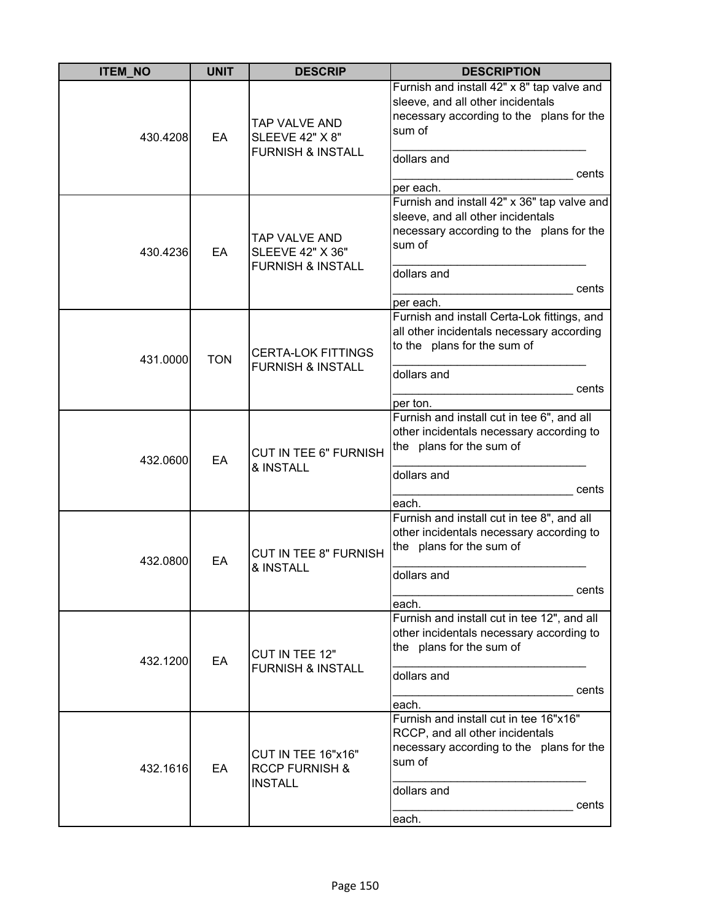| <b>ITEM_NO</b> | <b>UNIT</b> | <b>DESCRIP</b>                                                           | <b>DESCRIPTION</b>                                                                                                                                                          |
|----------------|-------------|--------------------------------------------------------------------------|-----------------------------------------------------------------------------------------------------------------------------------------------------------------------------|
| 430.4208       | EA          | TAP VALVE AND<br><b>SLEEVE 42" X 8"</b><br><b>FURNISH &amp; INSTALL</b>  | Furnish and install 42" x 8" tap valve and<br>sleeve, and all other incidentals<br>necessary according to the plans for the<br>sum of<br>dollars and<br>cents<br>per each.  |
| 430.4236       | EA          | TAP VALVE AND<br><b>SLEEVE 42" X 36"</b><br><b>FURNISH &amp; INSTALL</b> | Furnish and install 42" x 36" tap valve and<br>sleeve, and all other incidentals<br>necessary according to the plans for the<br>sum of<br>dollars and<br>cents<br>per each. |
| 431.0000       | <b>TON</b>  | <b>CERTA-LOK FITTINGS</b><br><b>FURNISH &amp; INSTALL</b>                | Furnish and install Certa-Lok fittings, and<br>all other incidentals necessary according<br>to the plans for the sum of<br>dollars and<br>cents<br>per ton.                 |
| 432.0600       | EA          | <b>CUT IN TEE 6" FURNISH</b><br>& INSTALL                                | Furnish and install cut in tee 6", and all<br>other incidentals necessary according to<br>the plans for the sum of<br>dollars and<br>cents<br>each.                         |
| 432.0800       | EA          | <b>CUT IN TEE 8" FURNISH</b><br>& INSTALL                                | Furnish and install cut in tee 8", and all<br>other incidentals necessary according to<br>the plans for the sum of<br>dollars and<br>cents<br>each.                         |
| 432.1200       | EA          | CUT IN TEE 12"<br><b>FURNISH &amp; INSTALL</b>                           | Furnish and install cut in tee 12", and all<br>other incidentals necessary according to<br>the plans for the sum of<br>dollars and<br>cents<br>each.                        |
| 432.1616       | EA          | CUT IN TEE 16"x16"<br><b>RCCP FURNISH &amp;</b><br><b>INSTALL</b>        | Furnish and install cut in tee 16"x16"<br>RCCP, and all other incidentals<br>necessary according to the plans for the<br>sum of<br>dollars and<br>cents<br>each.            |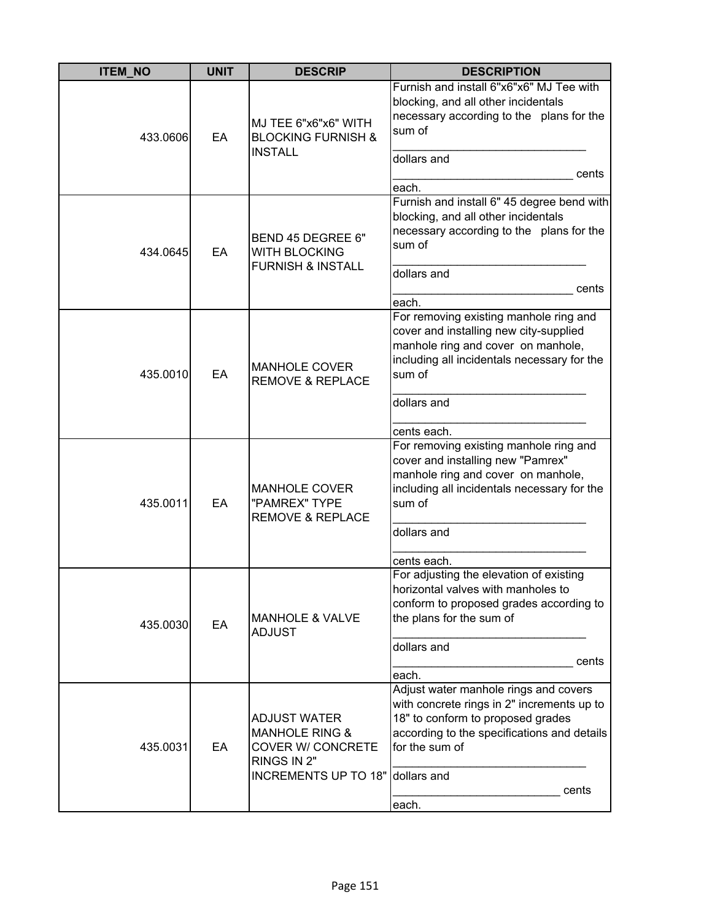| <b>ITEM NO</b> | <b>UNIT</b> | <b>DESCRIP</b>                                                                                                                  | <b>DESCRIPTION</b>                                                                                                                                                                                            |
|----------------|-------------|---------------------------------------------------------------------------------------------------------------------------------|---------------------------------------------------------------------------------------------------------------------------------------------------------------------------------------------------------------|
| 433.0606       | EA          | MJ TEE 6"x6"x6" WITH<br><b>BLOCKING FURNISH &amp;</b><br><b>INSTALL</b>                                                         | Furnish and install 6"x6"x6" MJ Tee with<br>blocking, and all other incidentals<br>necessary according to the plans for the<br>sum of<br>dollars and<br>cents<br>each.                                        |
| 434.0645       | EA          | BEND 45 DEGREE 6"<br><b>WITH BLOCKING</b><br><b>FURNISH &amp; INSTALL</b>                                                       | Furnish and install 6" 45 degree bend with<br>blocking, and all other incidentals<br>necessary according to the plans for the<br>sum of<br>dollars and<br>cents<br>each.                                      |
| 435.0010       | EA          | <b>MANHOLE COVER</b><br><b>REMOVE &amp; REPLACE</b>                                                                             | For removing existing manhole ring and<br>cover and installing new city-supplied<br>manhole ring and cover on manhole,<br>including all incidentals necessary for the<br>sum of<br>dollars and<br>cents each. |
| 435.0011       | EA          | <b>MANHOLE COVER</b><br>"PAMREX" TYPE<br><b>REMOVE &amp; REPLACE</b>                                                            | For removing existing manhole ring and<br>cover and installing new "Pamrex"<br>manhole ring and cover on manhole,<br>including all incidentals necessary for the<br>sum of<br>dollars and<br>cents each.      |
| 435.0030       | EA          | <b>MANHOLE &amp; VALVE</b><br><b>ADJUST</b>                                                                                     | For adjusting the elevation of existing<br>horizontal valves with manholes to<br>conform to proposed grades according to<br>the plans for the sum of<br>dollars and<br>cents<br>each.                         |
| 435.0031       | EA          | <b>ADJUST WATER</b><br><b>MANHOLE RING &amp;</b><br><b>COVER W/ CONCRETE</b><br>RINGS IN 2"<br>INCREMENTS UP TO 18" dollars and | Adjust water manhole rings and covers<br>with concrete rings in 2" increments up to<br>18" to conform to proposed grades<br>according to the specifications and details<br>for the sum of<br>cents<br>each.   |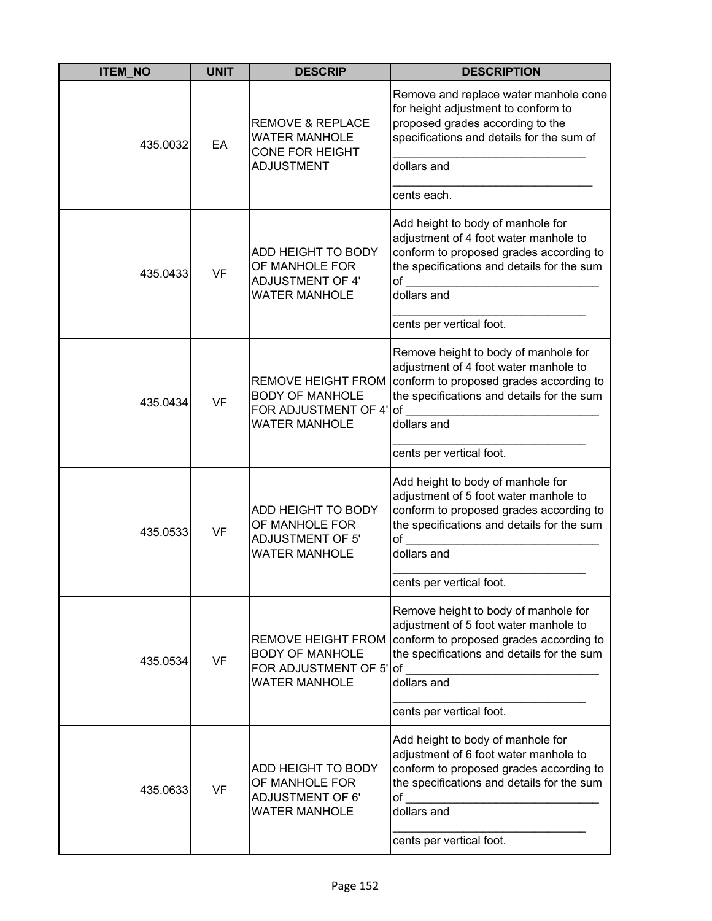| <b>ITEM_NO</b> | <b>UNIT</b> | <b>DESCRIP</b>                                                                                         | <b>DESCRIPTION</b>                                                                                                                                                                                                    |
|----------------|-------------|--------------------------------------------------------------------------------------------------------|-----------------------------------------------------------------------------------------------------------------------------------------------------------------------------------------------------------------------|
| 435.0032       | EA          | <b>REMOVE &amp; REPLACE</b><br><b>WATER MANHOLE</b><br><b>CONE FOR HEIGHT</b><br><b>ADJUSTMENT</b>     | Remove and replace water manhole cone<br>for height adjustment to conform to<br>proposed grades according to the<br>specifications and details for the sum of<br>dollars and                                          |
|                |             |                                                                                                        | cents each.                                                                                                                                                                                                           |
| 435.0433       | <b>VF</b>   | ADD HEIGHT TO BODY<br>OF MANHOLE FOR<br><b>ADJUSTMENT OF 4'</b><br><b>WATER MANHOLE</b>                | Add height to body of manhole for<br>adjustment of 4 foot water manhole to<br>conform to proposed grades according to<br>the specifications and details for the sum<br>$\mathsf{of}$ and $\mathsf{of}$<br>dollars and |
|                |             |                                                                                                        | cents per vertical foot.                                                                                                                                                                                              |
| 435.0434       | <b>VF</b>   | <b>REMOVE HEIGHT FROM</b><br><b>BODY OF MANHOLE</b><br>FOR ADJUSTMENT OF 4' of<br><b>WATER MANHOLE</b> | Remove height to body of manhole for<br>adjustment of 4 foot water manhole to<br>conform to proposed grades according to<br>the specifications and details for the sum<br>dollars and                                 |
|                |             |                                                                                                        | cents per vertical foot.                                                                                                                                                                                              |
| 435.0533       | <b>VF</b>   | ADD HEIGHT TO BODY<br>OF MANHOLE FOR<br><b>ADJUSTMENT OF 5'</b><br><b>WATER MANHOLE</b>                | Add height to body of manhole for<br>adjustment of 5 foot water manhole to<br>conform to proposed grades according to<br>the specifications and details for the sum<br>of<br>dollars and                              |
|                |             |                                                                                                        | cents per vertical foot.                                                                                                                                                                                              |
| 435.0534       | <b>VF</b>   | <b>REMOVE HEIGHT FROM</b><br><b>BODY OF MANHOLE</b><br>FOR ADJUSTMENT OF 5'<br><b>WATER MANHOLE</b>    | Remove height to body of manhole for<br>adjustment of 5 foot water manhole to<br>conform to proposed grades according to<br>the specifications and details for the sum<br>of<br>dollars and                           |
|                |             |                                                                                                        | cents per vertical foot.                                                                                                                                                                                              |
| 435.0633       | <b>VF</b>   | ADD HEIGHT TO BODY<br>OF MANHOLE FOR<br><b>ADJUSTMENT OF 6'</b><br><b>WATER MANHOLE</b>                | Add height to body of manhole for<br>adjustment of 6 foot water manhole to<br>conform to proposed grades according to<br>the specifications and details for the sum<br>of<br>dollars and                              |
|                |             |                                                                                                        | cents per vertical foot.                                                                                                                                                                                              |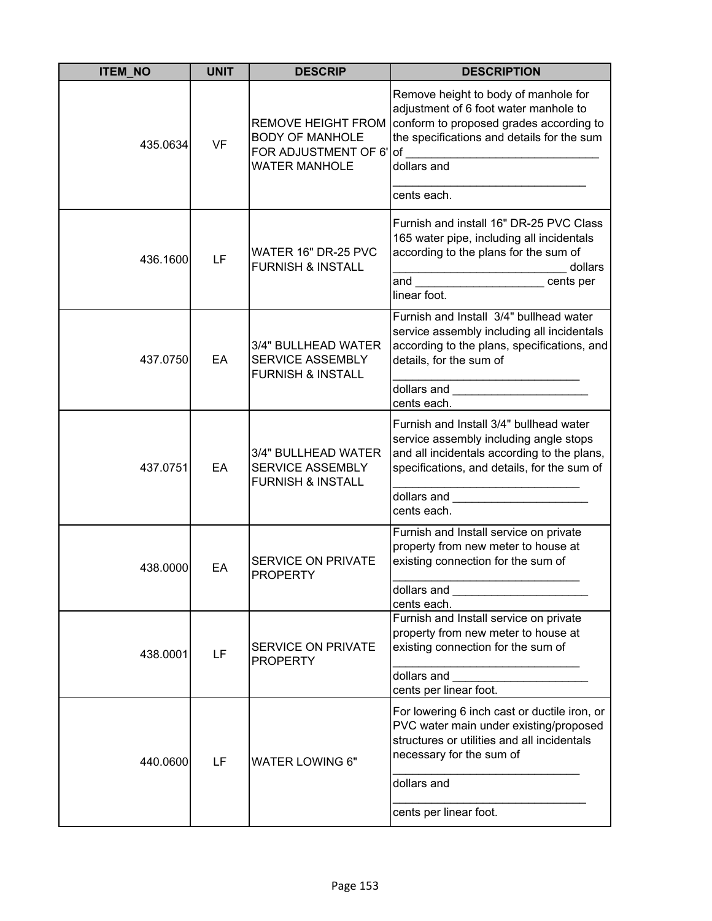| <b>ITEM_NO</b> | <b>UNIT</b> | <b>DESCRIP</b>                                                                                         | <b>DESCRIPTION</b>                                                                                                                                                                                                                                                                                                                                                                                              |
|----------------|-------------|--------------------------------------------------------------------------------------------------------|-----------------------------------------------------------------------------------------------------------------------------------------------------------------------------------------------------------------------------------------------------------------------------------------------------------------------------------------------------------------------------------------------------------------|
| 435.0634       | <b>VF</b>   | <b>REMOVE HEIGHT FROM</b><br><b>BODY OF MANHOLE</b><br>FOR ADJUSTMENT OF 6' of<br><b>WATER MANHOLE</b> | Remove height to body of manhole for<br>adjustment of 6 foot water manhole to<br>conform to proposed grades according to<br>the specifications and details for the sum<br>dollars and<br>cents each.                                                                                                                                                                                                            |
| 436.1600       | LF          | WATER 16" DR-25 PVC<br><b>FURNISH &amp; INSTALL</b>                                                    | Furnish and install 16" DR-25 PVC Class<br>165 water pipe, including all incidentals<br>according to the plans for the sum of<br>dollars<br>and<br>cents per<br>linear foot.                                                                                                                                                                                                                                    |
| 437.0750       | EA          | 3/4" BULLHEAD WATER<br><b>SERVICE ASSEMBLY</b><br><b>FURNISH &amp; INSTALL</b>                         | Furnish and Install 3/4" bullhead water<br>service assembly including all incidentals<br>according to the plans, specifications, and<br>details, for the sum of<br>dollars and the control of the control of the control of the control of the control of the control of the control of the control of the control of the control of the control of the control of the control of the control of<br>cents each. |
| 437.0751       | EA          | 3/4" BULLHEAD WATER<br>SERVICE ASSEMBLY<br><b>FURNISH &amp; INSTALL</b>                                | Furnish and Install 3/4" bullhead water<br>service assembly including angle stops<br>and all incidentals according to the plans,<br>specifications, and details, for the sum of<br>dollars and<br>cents each.                                                                                                                                                                                                   |
| 438.0000       | EA          | SERVICE ON PRIVATE<br><b>PROPERTY</b>                                                                  | Furnish and Install service on private<br>property from new meter to house at<br>existing connection for the sum of<br>dollars and<br>cents each.                                                                                                                                                                                                                                                               |
| 438.0001       | LF          | <b>SERVICE ON PRIVATE</b><br><b>PROPERTY</b>                                                           | Furnish and Install service on private<br>property from new meter to house at<br>existing connection for the sum of<br>dollars and<br>cents per linear foot.                                                                                                                                                                                                                                                    |
| 440.0600       | LF          | <b>WATER LOWING 6"</b>                                                                                 | For lowering 6 inch cast or ductile iron, or<br>PVC water main under existing/proposed<br>structures or utilities and all incidentals<br>necessary for the sum of<br>dollars and<br>cents per linear foot.                                                                                                                                                                                                      |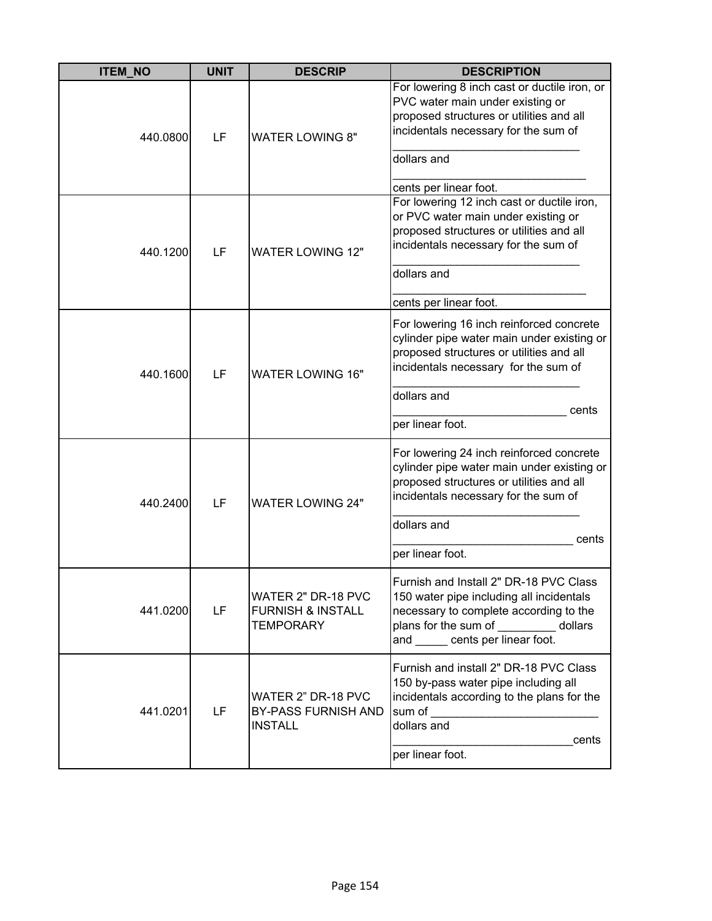| <b>ITEM_NO</b> | <b>UNIT</b> | <b>DESCRIP</b>                                                     | <b>DESCRIPTION</b>                                                                                                                                                                                                                                                                                                                                                                                         |
|----------------|-------------|--------------------------------------------------------------------|------------------------------------------------------------------------------------------------------------------------------------------------------------------------------------------------------------------------------------------------------------------------------------------------------------------------------------------------------------------------------------------------------------|
| 440.0800       | LF          | <b>WATER LOWING 8"</b>                                             | For lowering 8 inch cast or ductile iron, or<br>PVC water main under existing or<br>proposed structures or utilities and all<br>incidentals necessary for the sum of<br>dollars and<br>cents per linear foot.                                                                                                                                                                                              |
| 440.1200       | LF          | <b>WATER LOWING 12"</b>                                            | For lowering 12 inch cast or ductile iron,<br>or PVC water main under existing or<br>proposed structures or utilities and all<br>incidentals necessary for the sum of<br>dollars and<br>cents per linear foot.                                                                                                                                                                                             |
| 440.1600       | LF          | <b>WATER LOWING 16"</b>                                            | For lowering 16 inch reinforced concrete<br>cylinder pipe water main under existing or<br>proposed structures or utilities and all<br>incidentals necessary for the sum of<br>dollars and<br>cents<br>per linear foot.                                                                                                                                                                                     |
| 440.2400       | LF          | <b>WATER LOWING 24"</b>                                            | For lowering 24 inch reinforced concrete<br>cylinder pipe water main under existing or<br>proposed structures or utilities and all<br>incidentals necessary for the sum of<br>dollars and<br>cents<br>per linear foot.                                                                                                                                                                                     |
| 441.0200       | LF          | WATER 2" DR-18 PVC<br><b>FURNISH &amp; INSTALL</b><br>TEMPORARY    | Furnish and Install 2" DR-18 PVC Class<br>150 water pipe including all incidentals<br>necessary to complete according to the<br>plans for the sum of dollars<br>and cents per linear foot.                                                                                                                                                                                                                 |
| 441.0201       | LF          | WATER 2" DR-18 PVC<br><b>BY-PASS FURNISH AND</b><br><b>INSTALL</b> | Furnish and install 2" DR-18 PVC Class<br>150 by-pass water pipe including all<br>incidentals according to the plans for the<br>sum of the contract of the contract of the contract of the contract of the contract of the contract of the contract of the contract of the contract of the contract of the contract of the contract of the contract of the con<br>dollars and<br>cents<br>per linear foot. |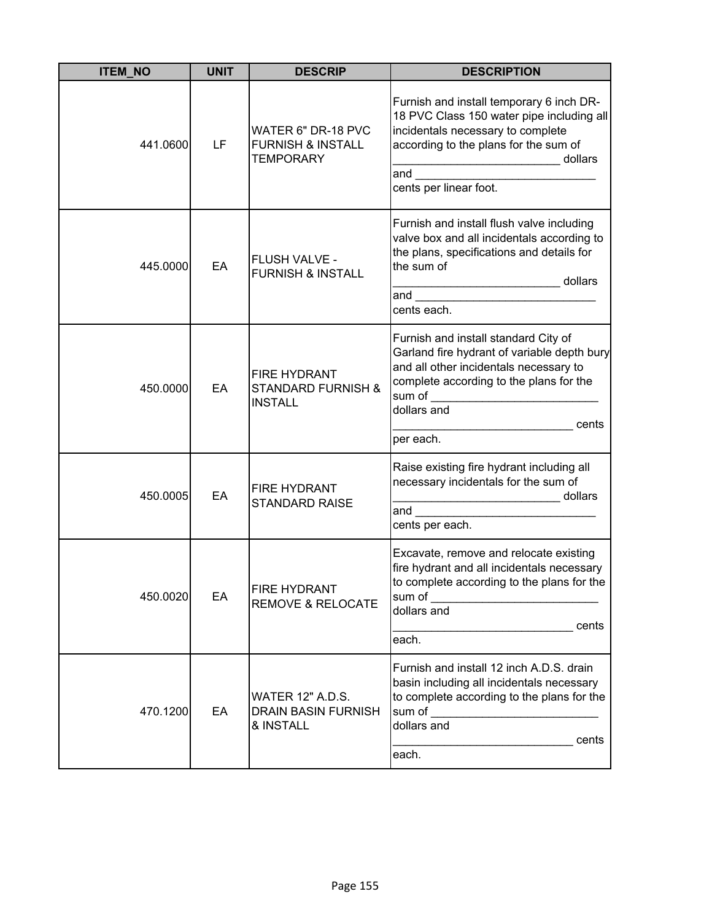| <b>ITEM NO</b> | <b>UNIT</b> | <b>DESCRIP</b>                                                         | <b>DESCRIPTION</b>                                                                                                                                                                                                                                                                                                                                                                                             |
|----------------|-------------|------------------------------------------------------------------------|----------------------------------------------------------------------------------------------------------------------------------------------------------------------------------------------------------------------------------------------------------------------------------------------------------------------------------------------------------------------------------------------------------------|
| 441.0600       | LF          | WATER 6" DR-18 PVC<br><b>FURNISH &amp; INSTALL</b><br><b>TEMPORARY</b> | Furnish and install temporary 6 inch DR-<br>18 PVC Class 150 water pipe including all<br>incidentals necessary to complete<br>according to the plans for the sum of<br>dollars<br>and $\qquad \qquad$<br>cents per linear foot.                                                                                                                                                                                |
| 445.0000       | EA          | FLUSH VALVE -<br><b>FURNISH &amp; INSTALL</b>                          | Furnish and install flush valve including<br>valve box and all incidentals according to<br>the plans, specifications and details for<br>the sum of<br>dollars<br>and the contract of the contract of the contract of the contract of the contract of the contract of the contract of the contract of the contract of the contract of the contract of the contract of the contract of the contra<br>cents each. |
| 450.0000       | EA          | <b>FIRE HYDRANT</b><br><b>STANDARD FURNISH &amp;</b><br><b>INSTALL</b> | Furnish and install standard City of<br>Garland fire hydrant of variable depth bury<br>and all other incidentals necessary to<br>complete according to the plans for the<br>sum of _________________________<br>dollars and<br>cents<br>per each.                                                                                                                                                              |
| 450.0005       | EA          | <b>FIRE HYDRANT</b><br><b>STANDARD RAISE</b>                           | Raise existing fire hydrant including all<br>necessary incidentals for the sum of<br>dollars<br>and<br>cents per each.                                                                                                                                                                                                                                                                                         |
| 450.0020       | EA          | <b>FIRE HYDRANT</b><br><b>REMOVE &amp; RELOCATE</b>                    | Excavate, remove and relocate existing<br>fire hydrant and all incidentals necessary<br>to complete according to the plans for the<br>sum of<br>dollars and<br>cents<br>each.                                                                                                                                                                                                                                  |
| 470.1200       | EA          | <b>WATER 12" A.D.S.</b><br><b>DRAIN BASIN FURNISH</b><br>& INSTALL     | Furnish and install 12 inch A.D.S. drain<br>basin including all incidentals necessary<br>to complete according to the plans for the<br>sum of the contract of the contract of the contract of the contract of the contract of the contract of the contract of the contract of the contract of the contract of the contract of the contract of the contract of the con<br>dollars and<br>cents<br>each.         |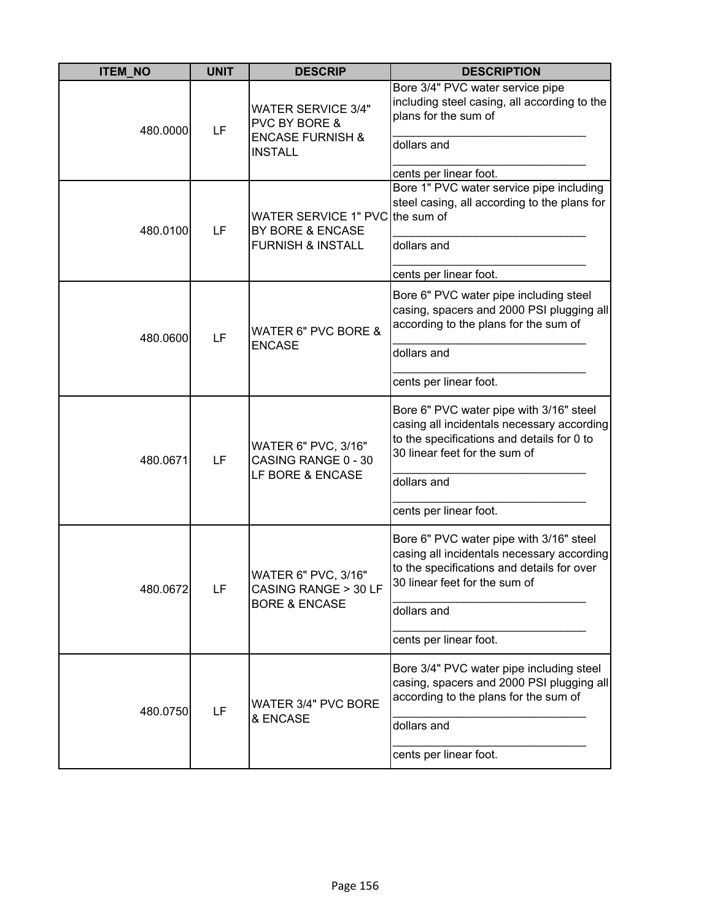| <b>ITEM_NO</b> | <b>UNIT</b> | <b>DESCRIP</b>                                                                                 | <b>DESCRIPTION</b>                                                                                                                                                                                            |
|----------------|-------------|------------------------------------------------------------------------------------------------|---------------------------------------------------------------------------------------------------------------------------------------------------------------------------------------------------------------|
| 480.0000       | LF          | <b>WATER SERVICE 3/4"</b><br>PVC BY BORE &<br><b>ENCASE FURNISH &amp;</b><br><b>INSTALL</b>    | Bore 3/4" PVC water service pipe<br>including steel casing, all according to the<br>plans for the sum of<br>dollars and                                                                                       |
| 480.0100       | LF          | WATER SERVICE 1" PVC the sum of<br><b>BY BORE &amp; ENCASE</b><br><b>FURNISH &amp; INSTALL</b> | cents per linear foot.<br>Bore 1" PVC water service pipe including<br>steel casing, all according to the plans for<br>dollars and<br>cents per linear foot.                                                   |
| 480.0600       | LF          | WATER 6" PVC BORE &<br><b>ENCASE</b>                                                           | Bore 6" PVC water pipe including steel<br>casing, spacers and 2000 PSI plugging all<br>according to the plans for the sum of<br>dollars and<br>cents per linear foot.                                         |
| 480.0671       | LF          | <b>WATER 6" PVC, 3/16"</b><br>CASING RANGE 0 - 30<br>LF BORE & ENCASE                          | Bore 6" PVC water pipe with 3/16" steel<br>casing all incidentals necessary according<br>to the specifications and details for 0 to<br>30 linear feet for the sum of<br>dollars and<br>cents per linear foot. |
| 480.0672       | LF          | WATER 6" PVC, 3/16"<br>CASING RANGE > 30 LF<br><b>BORE &amp; ENCASE</b>                        | Bore 6" PVC water pipe with 3/16" steel<br>casing all incidentals necessary according<br>to the specifications and details for over<br>30 linear feet for the sum of<br>dollars and<br>cents per linear foot. |
| 480.0750       | LF          | WATER 3/4" PVC BORE<br>& ENCASE                                                                | Bore 3/4" PVC water pipe including steel<br>casing, spacers and 2000 PSI plugging all<br>according to the plans for the sum of<br>dollars and<br>cents per linear foot.                                       |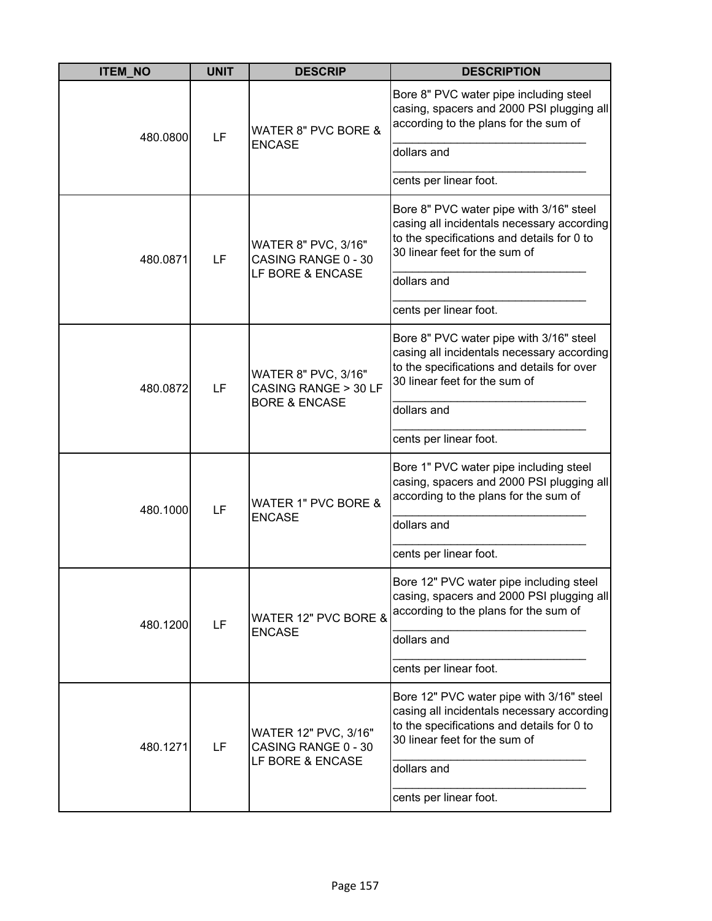| <b>ITEM_NO</b> | <b>UNIT</b> | <b>DESCRIP</b>                                                          | <b>DESCRIPTION</b>                                                                                                                                                                                             |
|----------------|-------------|-------------------------------------------------------------------------|----------------------------------------------------------------------------------------------------------------------------------------------------------------------------------------------------------------|
| 480.0800       | LF          | WATER 8" PVC BORE &<br><b>ENCASE</b>                                    | Bore 8" PVC water pipe including steel<br>casing, spacers and 2000 PSI plugging all<br>according to the plans for the sum of<br>dollars and<br>cents per linear foot.                                          |
| 480.0871       | LF          | WATER 8" PVC, 3/16"<br>CASING RANGE 0 - 30<br>LF BORE & ENCASE          | Bore 8" PVC water pipe with 3/16" steel<br>casing all incidentals necessary according<br>to the specifications and details for 0 to<br>30 linear feet for the sum of<br>dollars and<br>cents per linear foot.  |
| 480.0872       | LF          | WATER 8" PVC, 3/16"<br>CASING RANGE > 30 LF<br><b>BORE &amp; ENCASE</b> | Bore 8" PVC water pipe with 3/16" steel<br>casing all incidentals necessary according<br>to the specifications and details for over<br>30 linear feet for the sum of<br>dollars and<br>cents per linear foot.  |
| 480.1000       | LF          | WATER 1" PVC BORE &<br><b>ENCASE</b>                                    | Bore 1" PVC water pipe including steel<br>casing, spacers and 2000 PSI plugging all<br>according to the plans for the sum of<br>dollars and<br>cents per linear foot.                                          |
| 480.1200       | LF          | WATER 12" PVC BORE &<br><b>ENCASE</b>                                   | Bore 12" PVC water pipe including steel<br>casing, spacers and 2000 PSI plugging all<br>according to the plans for the sum of<br>dollars and<br>cents per linear foot.                                         |
| 480.1271       | LF          | WATER 12" PVC, 3/16"<br>CASING RANGE 0 - 30<br>LF BORE & ENCASE         | Bore 12" PVC water pipe with 3/16" steel<br>casing all incidentals necessary according<br>to the specifications and details for 0 to<br>30 linear feet for the sum of<br>dollars and<br>cents per linear foot. |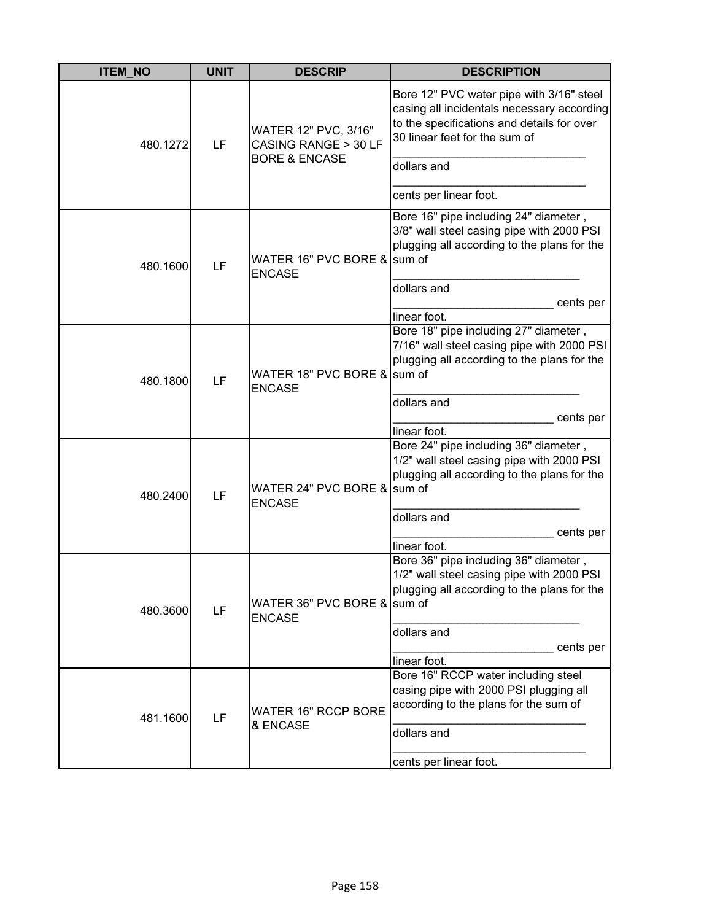| <b>ITEM_NO</b> | <b>UNIT</b>                            | <b>DESCRIP</b>                                                                                                                        | <b>DESCRIPTION</b>                                                                                                                                                                   |
|----------------|----------------------------------------|---------------------------------------------------------------------------------------------------------------------------------------|--------------------------------------------------------------------------------------------------------------------------------------------------------------------------------------|
| 480.1272       | LF                                     | WATER 12" PVC, 3/16"<br>CASING RANGE > 30 LF<br><b>BORE &amp; ENCASE</b>                                                              | Bore 12" PVC water pipe with 3/16" steel<br>casing all incidentals necessary according<br>to the specifications and details for over<br>30 linear feet for the sum of<br>dollars and |
|                |                                        |                                                                                                                                       | cents per linear foot.                                                                                                                                                               |
| 480.1600       | LF                                     | WATER 16" PVC BORE & sum of<br><b>ENCASE</b>                                                                                          | Bore 16" pipe including 24" diameter,<br>3/8" wall steel casing pipe with 2000 PSI<br>plugging all according to the plans for the                                                    |
|                |                                        |                                                                                                                                       | dollars and                                                                                                                                                                          |
|                |                                        |                                                                                                                                       | cents per<br>linear foot.                                                                                                                                                            |
| 480.1800       | LF                                     | WATER 18" PVC BORE & sum of<br><b>ENCASE</b>                                                                                          | Bore 18" pipe including 27" diameter,<br>7/16" wall steel casing pipe with 2000 PSI<br>plugging all according to the plans for the                                                   |
|                |                                        |                                                                                                                                       | dollars and                                                                                                                                                                          |
|                |                                        |                                                                                                                                       | cents per<br>linear foot.                                                                                                                                                            |
| 480.2400       | LF                                     | WATER 24" PVC BORE & sum of<br><b>ENCASE</b>                                                                                          | Bore 24" pipe including 36" diameter,<br>1/2" wall steel casing pipe with 2000 PSI<br>plugging all according to the plans for the                                                    |
|                |                                        |                                                                                                                                       | dollars and                                                                                                                                                                          |
|                |                                        |                                                                                                                                       | cents per<br>linear foot.                                                                                                                                                            |
| 480.3600       | LF                                     | WATER 36" PVC BORE & sum of<br><b>ENCASE</b>                                                                                          | Bore 36" pipe including 36" diameter,<br>1/2" wall steel casing pipe with 2000 PSI<br>plugging all according to the plans for the                                                    |
|                |                                        |                                                                                                                                       | dollars and                                                                                                                                                                          |
|                |                                        |                                                                                                                                       | cents per<br>linear foot.                                                                                                                                                            |
| LF<br>481.1600 | <b>WATER 16" RCCP BORE</b><br>& ENCASE | Bore 16" RCCP water including steel<br>casing pipe with 2000 PSI plugging all<br>according to the plans for the sum of<br>dollars and |                                                                                                                                                                                      |
|                |                                        |                                                                                                                                       |                                                                                                                                                                                      |
|                |                                        |                                                                                                                                       | cents per linear foot.                                                                                                                                                               |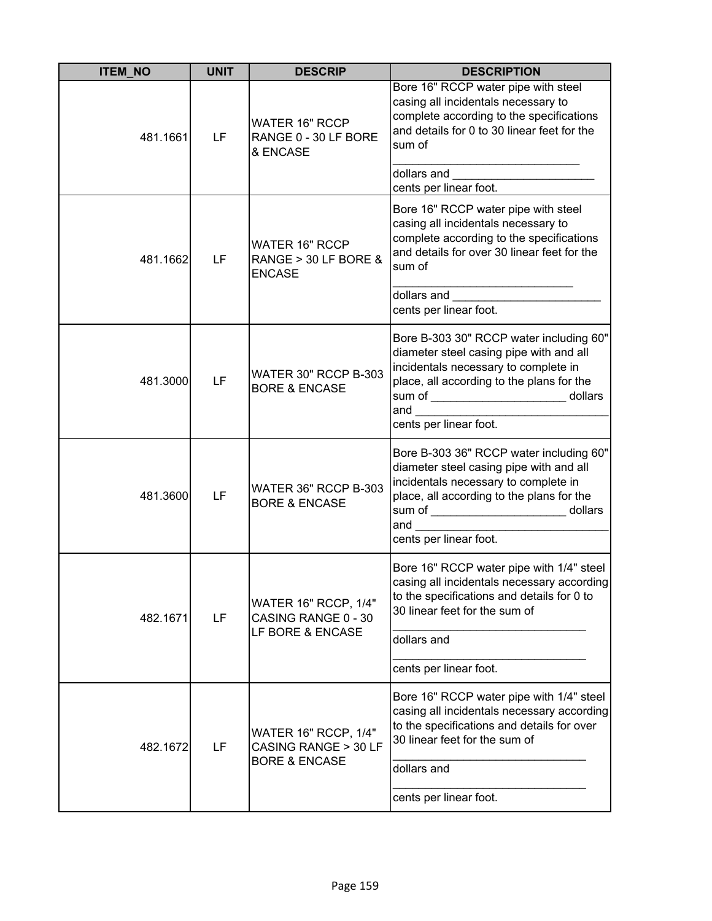| <b>ITEM_NO</b> | <b>UNIT</b> | <b>DESCRIP</b>                                                                  | <b>DESCRIPTION</b>                                                                                                                                                                                                                                   |
|----------------|-------------|---------------------------------------------------------------------------------|------------------------------------------------------------------------------------------------------------------------------------------------------------------------------------------------------------------------------------------------------|
| 481.1661       | LF          | <b>WATER 16" RCCP</b><br>RANGE 0 - 30 LF BORE<br>& ENCASE                       | Bore 16" RCCP water pipe with steel<br>casing all incidentals necessary to<br>complete according to the specifications<br>and details for 0 to 30 linear feet for the<br>sum of                                                                      |
|                |             |                                                                                 | cents per linear foot.                                                                                                                                                                                                                               |
| 481.1662       | LF          | <b>WATER 16" RCCP</b><br>RANGE > 30 LF BORE &<br><b>ENCASE</b>                  | Bore 16" RCCP water pipe with steel<br>casing all incidentals necessary to<br>complete according to the specifications<br>and details for over 30 linear feet for the<br>sum of                                                                      |
|                |             |                                                                                 | dollars and<br>cents per linear foot.                                                                                                                                                                                                                |
| 481.3000       | LF          | WATER 30" RCCP B-303<br><b>BORE &amp; ENCASE</b>                                | Bore B-303 30" RCCP water including 60"<br>diameter steel casing pipe with and all<br>incidentals necessary to complete in<br>place, all according to the plans for the<br>sum of _________________________ dollars<br>and<br>cents per linear foot. |
| 481.3600       | LF          | WATER 36" RCCP B-303<br><b>BORE &amp; ENCASE</b>                                | Bore B-303 36" RCCP water including 60"<br>diameter steel casing pipe with and all<br>incidentals necessary to complete in<br>place, all according to the plans for the<br>sum of ________________________ dollars<br>and<br>cents per linear foot.  |
| 482.1671       | LF          | <b>WATER 16" RCCP, 1/4"</b><br>CASING RANGE 0 - 30<br>LF BORE & ENCASE          | Bore 16" RCCP water pipe with 1/4" steel<br>casing all incidentals necessary according<br>to the specifications and details for 0 to<br>30 linear feet for the sum of<br>dollars and                                                                 |
|                |             |                                                                                 | cents per linear foot.                                                                                                                                                                                                                               |
| 482.1672       | LF          | <b>WATER 16" RCCP, 1/4"</b><br>CASING RANGE > 30 LF<br><b>BORE &amp; ENCASE</b> | Bore 16" RCCP water pipe with 1/4" steel<br>casing all incidentals necessary according<br>to the specifications and details for over<br>30 linear feet for the sum of                                                                                |
|                |             |                                                                                 | dollars and                                                                                                                                                                                                                                          |
|                |             |                                                                                 | cents per linear foot.                                                                                                                                                                                                                               |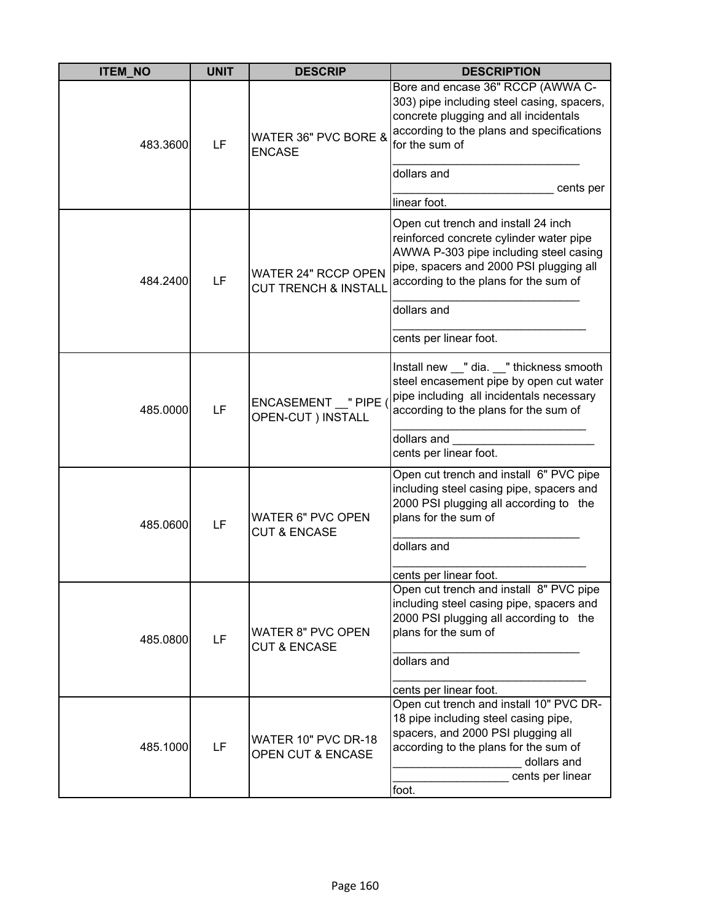| <b>ITEM NO</b> | <b>UNIT</b> | <b>DESCRIP</b>                                                | <b>DESCRIPTION</b>                                                                                                                                                                                                                                                    |
|----------------|-------------|---------------------------------------------------------------|-----------------------------------------------------------------------------------------------------------------------------------------------------------------------------------------------------------------------------------------------------------------------|
| 483.3600       | LF          | WATER 36" PVC BORE &<br><b>ENCASE</b>                         | Bore and encase 36" RCCP (AWWA C-<br>303) pipe including steel casing, spacers,<br>concrete plugging and all incidentals<br>according to the plans and specifications<br>for the sum of                                                                               |
|                |             |                                                               | dollars and<br>cents per                                                                                                                                                                                                                                              |
| 484.2400       | LF          | <b>WATER 24" RCCP OPEN</b><br><b>CUT TRENCH &amp; INSTALL</b> | linear foot.<br>Open cut trench and install 24 inch<br>reinforced concrete cylinder water pipe<br>AWWA P-303 pipe including steel casing<br>pipe, spacers and 2000 PSI plugging all<br>according to the plans for the sum of<br>dollars and<br>cents per linear foot. |
| 485.0000       | LF          | ENCASEMENT "PIPE<br>OPEN-CUT ) INSTALL                        | Install new __" dia. __" thickness smooth<br>steel encasement pipe by open cut water<br>pipe including all incidentals necessary<br>according to the plans for the sum of<br>dollars and<br>cents per linear foot.                                                    |
| 485.0600       | LF          | <b>WATER 6" PVC OPEN</b><br><b>CUT &amp; ENCASE</b>           | Open cut trench and install 6" PVC pipe<br>including steel casing pipe, spacers and<br>2000 PSI plugging all according to the<br>plans for the sum of<br>dollars and<br>cents per linear foot.                                                                        |
| 485.0800       | LF          | <b>WATER 8" PVC OPEN</b><br><b>CUT &amp; ENCASE</b>           | Open cut trench and install 8" PVC pipe<br>including steel casing pipe, spacers and<br>2000 PSI plugging all according to the<br>plans for the sum of<br>dollars and<br>cents per linear foot.                                                                        |
| 485.1000       | LF          | WATER 10" PVC DR-18<br><b>OPEN CUT &amp; ENCASE</b>           | Open cut trench and install 10" PVC DR-<br>18 pipe including steel casing pipe,<br>spacers, and 2000 PSI plugging all<br>according to the plans for the sum of<br>dollars and<br>cents per linear<br>foot.                                                            |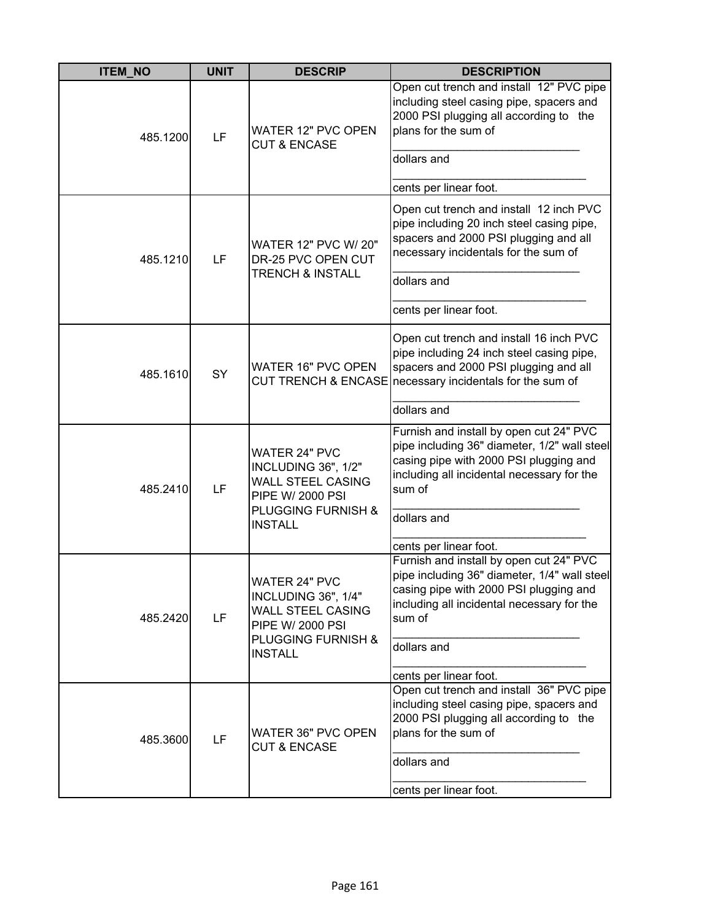| <b>ITEM NO</b> | <b>UNIT</b> | <b>DESCRIP</b>                                                                                                                                 | <b>DESCRIPTION</b>                                                                                                                                                                                                        |
|----------------|-------------|------------------------------------------------------------------------------------------------------------------------------------------------|---------------------------------------------------------------------------------------------------------------------------------------------------------------------------------------------------------------------------|
| 485.1200       | LF          | <b>WATER 12" PVC OPEN</b><br><b>CUT &amp; ENCASE</b>                                                                                           | Open cut trench and install 12" PVC pipe<br>including steel casing pipe, spacers and<br>2000 PSI plugging all according to the<br>plans for the sum of<br>dollars and                                                     |
|                |             |                                                                                                                                                | cents per linear foot.                                                                                                                                                                                                    |
| 485.1210       | LF          | WATER 12" PVC W/ 20"<br>DR-25 PVC OPEN CUT                                                                                                     | Open cut trench and install 12 inch PVC<br>pipe including 20 inch steel casing pipe,<br>spacers and 2000 PSI plugging and all<br>necessary incidentals for the sum of                                                     |
|                |             | <b>TRENCH &amp; INSTALL</b>                                                                                                                    | dollars and                                                                                                                                                                                                               |
|                |             |                                                                                                                                                | cents per linear foot.                                                                                                                                                                                                    |
| 485.1610       | SY          | <b>WATER 16" PVC OPEN</b>                                                                                                                      | Open cut trench and install 16 inch PVC<br>pipe including 24 inch steel casing pipe,<br>spacers and 2000 PSI plugging and all<br>CUT TRENCH & ENCASE necessary incidentals for the sum of                                 |
|                |             |                                                                                                                                                | dollars and                                                                                                                                                                                                               |
| 485.2410       | LF          | <b>WATER 24" PVC</b><br>INCLUDING 36", 1/2"<br><b>WALL STEEL CASING</b><br>PIPE W/ 2000 PSI<br><b>PLUGGING FURNISH &amp;</b><br><b>INSTALL</b> | Furnish and install by open cut 24" PVC<br>pipe including 36" diameter, 1/2" wall steel<br>casing pipe with 2000 PSI plugging and<br>including all incidental necessary for the<br>sum of<br>dollars and                  |
|                |             |                                                                                                                                                | cents per linear foot.                                                                                                                                                                                                    |
| 485.2420       | LF          | <b>WATER 24" PVC</b><br>INCLUDING 36", 1/4"<br><b>WALL STEEL CASING</b><br>PIPE W/ 2000 PSI<br>PLUGGING FURNISH &                              | Furnish and install by open cut 24" PVC<br>pipe including 36" diameter, 1/4" wall steel<br>casing pipe with 2000 PSI plugging and<br>including all incidental necessary for the<br>sum of                                 |
|                |             | <b>INSTALL</b>                                                                                                                                 | dollars and                                                                                                                                                                                                               |
| 485.3600       | LF          | WATER 36" PVC OPEN<br><b>CUT &amp; ENCASE</b>                                                                                                  | cents per linear foot.<br>Open cut trench and install 36" PVC pipe<br>including steel casing pipe, spacers and<br>2000 PSI plugging all according to the<br>plans for the sum of<br>dollars and<br>cents per linear foot. |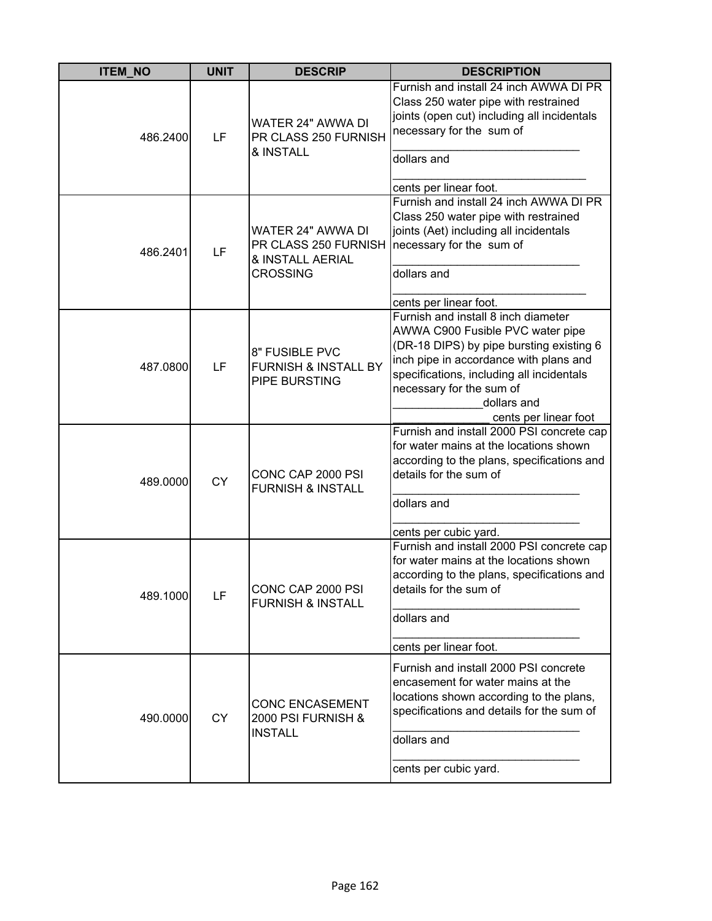| <b>ITEM_NO</b> | <b>UNIT</b> | <b>DESCRIP</b>                                                                   | <b>DESCRIPTION</b>                                                                                                                                                                                                                                                             |
|----------------|-------------|----------------------------------------------------------------------------------|--------------------------------------------------------------------------------------------------------------------------------------------------------------------------------------------------------------------------------------------------------------------------------|
| 486.2400       | LF          | WATER 24" AWWA DI<br>PR CLASS 250 FURNISH<br>& INSTALL                           | Furnish and install 24 inch AWWA DI PR<br>Class 250 water pipe with restrained<br>joints (open cut) including all incidentals<br>necessary for the sum of<br>dollars and<br>cents per linear foot.                                                                             |
| 486.2401       | LF          | WATER 24" AWWA DI<br>PR CLASS 250 FURNISH<br>& INSTALL AERIAL<br><b>CROSSING</b> | Furnish and install 24 inch AWWA DI PR<br>Class 250 water pipe with restrained<br>joints (Aet) including all incidentals<br>necessary for the sum of<br>dollars and<br>cents per linear foot.                                                                                  |
| 487.0800       | LF          | 8" FUSIBLE PVC<br><b>FURNISH &amp; INSTALL BY</b><br>PIPE BURSTING               | Furnish and install 8 inch diameter<br>AWWA C900 Fusible PVC water pipe<br>(DR-18 DIPS) by pipe bursting existing 6<br>inch pipe in accordance with plans and<br>specifications, including all incidentals<br>necessary for the sum of<br>dollars and<br>cents per linear foot |
| 489.0000       | <b>CY</b>   | CONC CAP 2000 PSI<br><b>FURNISH &amp; INSTALL</b>                                | Furnish and install 2000 PSI concrete cap<br>for water mains at the locations shown<br>according to the plans, specifications and<br>details for the sum of<br>dollars and<br>cents per cubic yard.                                                                            |
| 489.1000       | LF          | CONC CAP 2000 PSI<br><b>FURNISH &amp; INSTALL</b>                                | Furnish and install 2000 PSI concrete cap<br>for water mains at the locations shown<br>according to the plans, specifications and<br>details for the sum of<br>dollars and<br>cents per linear foot.                                                                           |
| 490.0000       | <b>CY</b>   | <b>CONC ENCASEMENT</b><br>2000 PSI FURNISH &<br><b>INSTALL</b>                   | Furnish and install 2000 PSI concrete<br>encasement for water mains at the<br>locations shown according to the plans,<br>specifications and details for the sum of<br>dollars and<br>cents per cubic yard.                                                                     |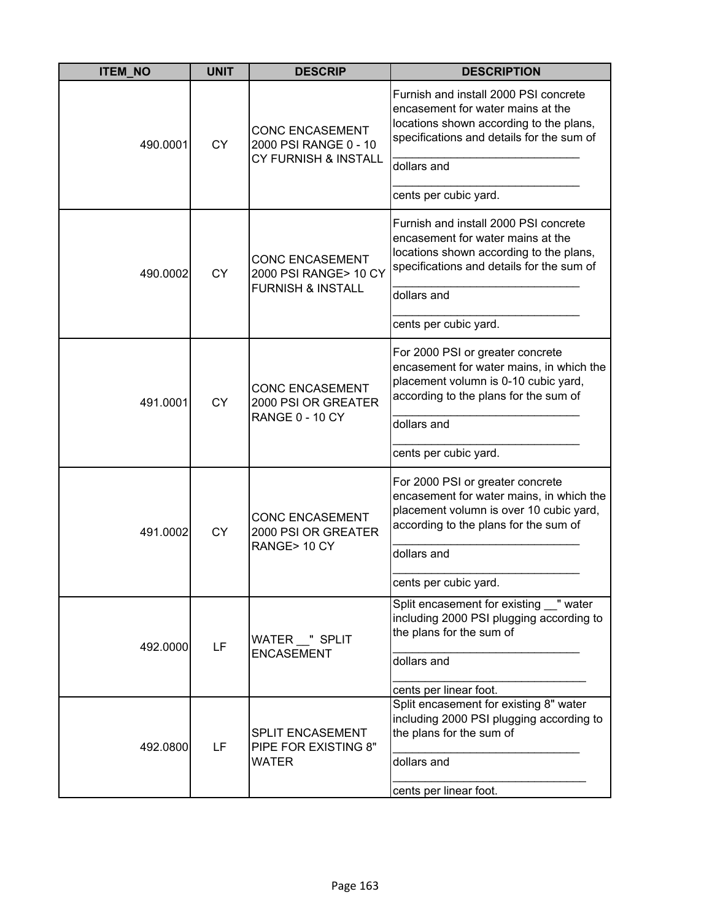| <b>ITEM_NO</b> | <b>UNIT</b> | <b>DESCRIP</b>                                                          | <b>DESCRIPTION</b>                                                                                                                                                                                       |
|----------------|-------------|-------------------------------------------------------------------------|----------------------------------------------------------------------------------------------------------------------------------------------------------------------------------------------------------|
| 490.0001       | <b>CY</b>   | <b>CONC ENCASEMENT</b><br>2000 PSI RANGE 0 - 10<br>CY FURNISH & INSTALL | Furnish and install 2000 PSI concrete<br>encasement for water mains at the<br>locations shown according to the plans,<br>specifications and details for the sum of                                       |
|                |             |                                                                         | dollars and                                                                                                                                                                                              |
|                |             |                                                                         | cents per cubic yard.                                                                                                                                                                                    |
| 490.0002       | <b>CY</b>   | <b>CONC ENCASEMENT</b><br>2000 PSI RANGE> 10 CY                         | Furnish and install 2000 PSI concrete<br>encasement for water mains at the<br>locations shown according to the plans,<br>specifications and details for the sum of                                       |
|                |             | <b>FURNISH &amp; INSTALL</b>                                            | dollars and                                                                                                                                                                                              |
|                |             |                                                                         | cents per cubic yard.                                                                                                                                                                                    |
| 491.0001       | <b>CY</b>   | <b>CONC ENCASEMENT</b><br>2000 PSI OR GREATER<br><b>RANGE 0 - 10 CY</b> | For 2000 PSI or greater concrete<br>encasement for water mains, in which the<br>placement volumn is 0-10 cubic yard,<br>according to the plans for the sum of<br>dollars and                             |
|                |             |                                                                         | cents per cubic yard.                                                                                                                                                                                    |
| 491.0002       | <b>CY</b>   | <b>CONC ENCASEMENT</b><br>2000 PSI OR GREATER<br>RANGE>10 CY            | For 2000 PSI or greater concrete<br>encasement for water mains, in which the<br>placement volumn is over 10 cubic yard,<br>according to the plans for the sum of<br>dollars and<br>cents per cubic yard. |
| 492.0000       | LF          | WATER __ " SPLIT<br><b>ENCASEMENT</b>                                   | Split encasement for existing "water<br>including 2000 PSI plugging according to<br>the plans for the sum of<br>dollars and<br>cents per linear foot.                                                    |
| 492.0800       | LF          | SPLIT ENCASEMENT<br>PIPE FOR EXISTING 8"<br><b>WATER</b>                | Split encasement for existing 8" water<br>including 2000 PSI plugging according to<br>the plans for the sum of<br>dollars and<br>cents per linear foot.                                                  |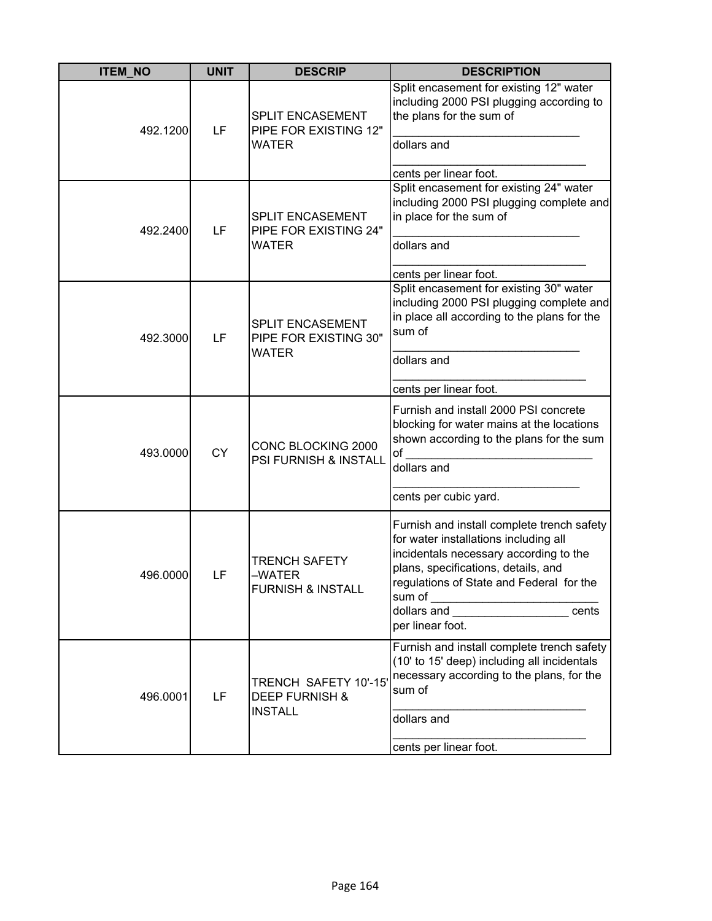| <b>ITEM_NO</b> | <b>UNIT</b> | <b>DESCRIP</b>                                                      | <b>DESCRIPTION</b>                                                                                                                                                                                                                                                                |
|----------------|-------------|---------------------------------------------------------------------|-----------------------------------------------------------------------------------------------------------------------------------------------------------------------------------------------------------------------------------------------------------------------------------|
| 492.1200       | LF          | SPLIT ENCASEMENT<br>PIPE FOR EXISTING 12"<br>WATER                  | Split encasement for existing 12" water<br>including 2000 PSI plugging according to<br>the plans for the sum of<br>dollars and<br>cents per linear foot.                                                                                                                          |
| 492.2400       | LF          | <b>SPLIT ENCASEMENT</b><br>PIPE FOR EXISTING 24"<br><b>WATER</b>    | Split encasement for existing 24" water<br>including 2000 PSI plugging complete and<br>in place for the sum of<br>dollars and<br>cents per linear foot.                                                                                                                           |
| 492.3000       | LF          | <b>SPLIT ENCASEMENT</b><br>PIPE FOR EXISTING 30"<br><b>WATER</b>    | Split encasement for existing 30" water<br>including 2000 PSI plugging complete and<br>in place all according to the plans for the<br>sum of<br>dollars and                                                                                                                       |
| 493.0000       | <b>CY</b>   | CONC BLOCKING 2000<br>PSI FURNISH & INSTALL                         | cents per linear foot.<br>Furnish and install 2000 PSI concrete<br>blocking for water mains at the locations<br>shown according to the plans for the sum<br>of<br>dollars and<br>cents per cubic yard.                                                                            |
| 496.0000       | LF          | <b>TRENCH SAFETY</b><br>–WATER<br><b>FURNISH &amp; INSTALL</b>      | Furnish and install complete trench safety<br>for water installations including all<br>incidentals necessary according to the<br>plans, specifications, details, and<br>regulations of State and Federal for the<br>dollars and _______________________ cents<br>per linear foot. |
| 496.0001       | LF          | TRENCH SAFETY 10'-15<br><b>DEEP FURNISH &amp;</b><br><b>INSTALL</b> | Furnish and install complete trench safety<br>(10' to 15' deep) including all incidentals<br>necessary according to the plans, for the<br>sum of<br>dollars and<br>cents per linear foot.                                                                                         |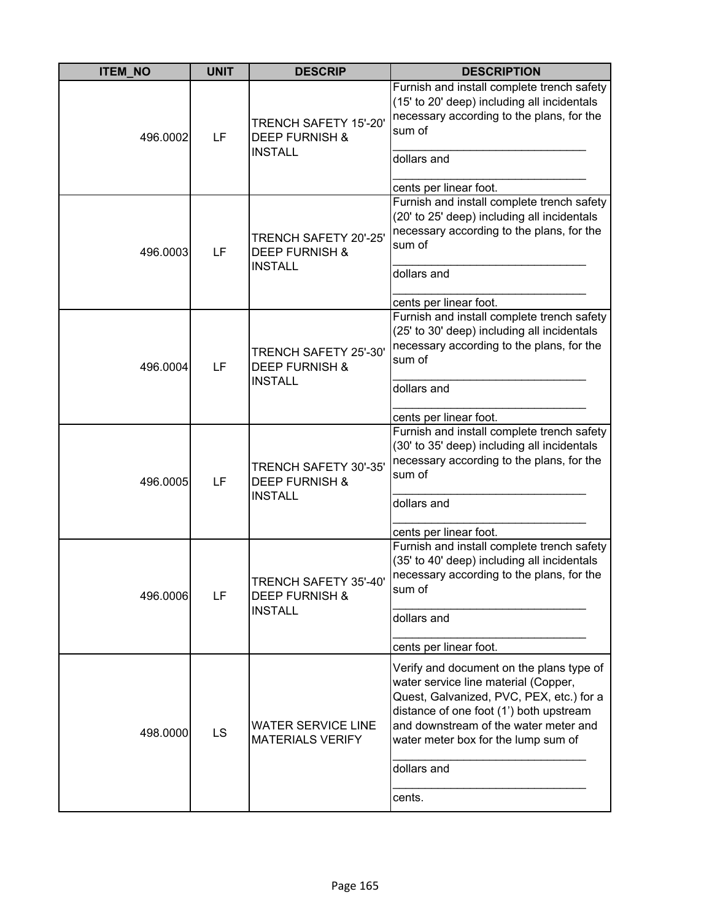| <b>ITEM_NO</b> | <b>UNIT</b> | <b>DESCRIP</b>                                                       | <b>DESCRIPTION</b>                                                                                                                                                                                                                                                               |
|----------------|-------------|----------------------------------------------------------------------|----------------------------------------------------------------------------------------------------------------------------------------------------------------------------------------------------------------------------------------------------------------------------------|
| 496.0002       | LF          | TRENCH SAFETY 15'-20'<br><b>DEEP FURNISH &amp;</b><br><b>INSTALL</b> | Furnish and install complete trench safety<br>(15' to 20' deep) including all incidentals<br>necessary according to the plans, for the<br>sum of<br>dollars and<br>cents per linear foot.                                                                                        |
| 496.0003       | LF          | TRENCH SAFETY 20'-25'<br><b>DEEP FURNISH &amp;</b><br><b>INSTALL</b> | Furnish and install complete trench safety<br>(20' to 25' deep) including all incidentals<br>necessary according to the plans, for the<br>sum of<br>dollars and<br>cents per linear foot.                                                                                        |
| 496.0004       | LF          | TRENCH SAFETY 25'-30'<br><b>DEEP FURNISH &amp;</b><br><b>INSTALL</b> | Furnish and install complete trench safety<br>(25' to 30' deep) including all incidentals<br>necessary according to the plans, for the<br>sum of<br>dollars and<br>cents per linear foot.                                                                                        |
| 496.0005       | LF          | TRENCH SAFETY 30'-35'<br><b>DEEP FURNISH &amp;</b><br><b>INSTALL</b> | Furnish and install complete trench safety<br>(30' to 35' deep) including all incidentals<br>necessary according to the plans, for the<br>sum of<br>dollars and<br>cents per linear foot.                                                                                        |
| 496.0006       | LF          | TRENCH SAFETY 35'-40'<br><b>DEEP FURNISH &amp;</b><br><b>INSTALL</b> | Furnish and install complete trench safety<br>(35' to 40' deep) including all incidentals<br>necessary according to the plans, for the<br>sum of<br>dollars and<br>cents per linear foot.                                                                                        |
| 498.0000       | LS          | <b>WATER SERVICE LINE</b><br><b>MATERIALS VERIFY</b>                 | Verify and document on the plans type of<br>water service line material (Copper,<br>Quest, Galvanized, PVC, PEX, etc.) for a<br>distance of one foot (1') both upstream<br>and downstream of the water meter and<br>water meter box for the lump sum of<br>dollars and<br>cents. |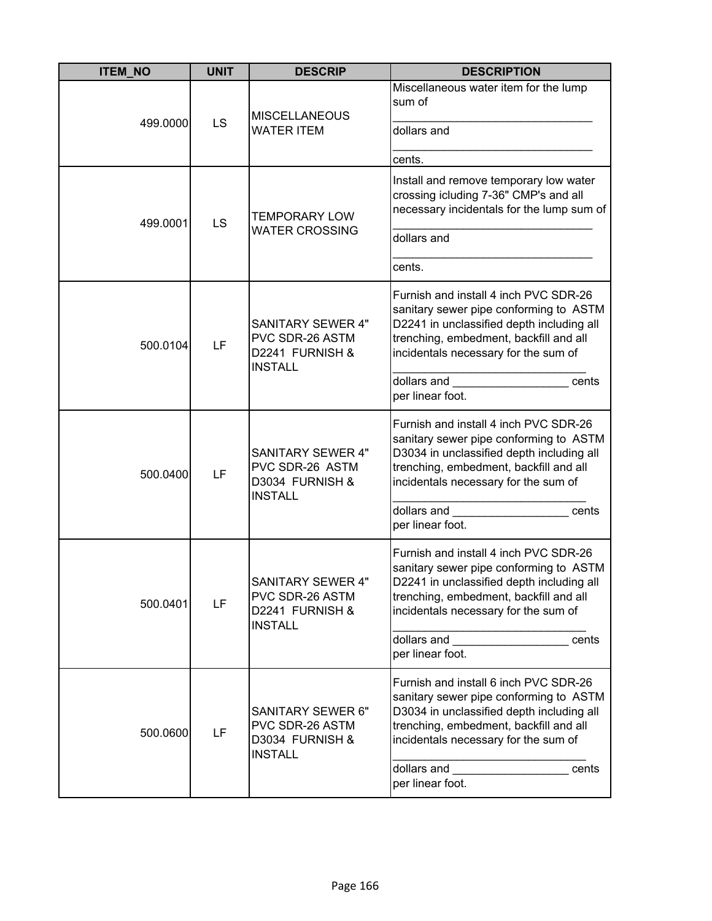| <b>ITEM_NO</b> | <b>UNIT</b> | <b>DESCRIP</b>                                                                   | <b>DESCRIPTION</b>                                                                                                                                                                                                                                                                                                                                                                                                                                                                  |
|----------------|-------------|----------------------------------------------------------------------------------|-------------------------------------------------------------------------------------------------------------------------------------------------------------------------------------------------------------------------------------------------------------------------------------------------------------------------------------------------------------------------------------------------------------------------------------------------------------------------------------|
| 499.0000       | LS          | <b>MISCELLANEOUS</b><br><b>WATER ITEM</b>                                        | Miscellaneous water item for the lump<br>sum of<br>dollars and<br>cents.                                                                                                                                                                                                                                                                                                                                                                                                            |
| 499.0001       | LS          | <b>TEMPORARY LOW</b><br><b>WATER CROSSING</b>                                    | Install and remove temporary low water<br>crossing icluding 7-36" CMP's and all<br>necessary incidentals for the lump sum of<br>dollars and<br>cents.                                                                                                                                                                                                                                                                                                                               |
| 500.0104       | LF          | <b>SANITARY SEWER 4"</b><br>PVC SDR-26 ASTM<br>D2241 FURNISH &<br><b>INSTALL</b> | Furnish and install 4 inch PVC SDR-26<br>sanitary sewer pipe conforming to ASTM<br>D2241 in unclassified depth including all<br>trenching, embedment, backfill and all<br>incidentals necessary for the sum of<br>dollars and the control of the control of the control of the control of the control of the control of the control of the control of the control of the control of the control of the control of the control of the control of<br>cents<br>per linear foot.        |
| 500.0400       | LF          | <b>SANITARY SEWER 4"</b><br>PVC SDR-26 ASTM<br>D3034 FURNISH &<br><b>INSTALL</b> | Furnish and install 4 inch PVC SDR-26<br>sanitary sewer pipe conforming to ASTM<br>D3034 in unclassified depth including all<br>trenching, embedment, backfill and all<br>incidentals necessary for the sum of<br>dollars and<br>cents<br>per linear foot.                                                                                                                                                                                                                          |
| 500.0401       | LF          | SANITARY SFWFR 4"<br>PVC SDR-26 ASTM<br>D2241 FURNISH &<br><b>INSTALL</b>        | Furnish and install 4 inch PVC SDR-26<br>sanitary sewer pipe conforming to ASTM<br>D2241 in unclassified depth including all<br>trenching, embedment, backfill and all<br>incidentals necessary for the sum of<br>dollars and <b>with the contract of the contract of the contract of the contract of the contract of the contract of the contract of the contract of the contract of the contract of the contract of the contract of the contract</b><br>cents<br>per linear foot. |
| 500.0600       | LF          | <b>SANITARY SEWER 6"</b><br>PVC SDR-26 ASTM<br>D3034 FURNISH &<br><b>INSTALL</b> | Furnish and install 6 inch PVC SDR-26<br>sanitary sewer pipe conforming to ASTM<br>D3034 in unclassified depth including all<br>trenching, embedment, backfill and all<br>incidentals necessary for the sum of<br>dollars and<br>cents<br>per linear foot.                                                                                                                                                                                                                          |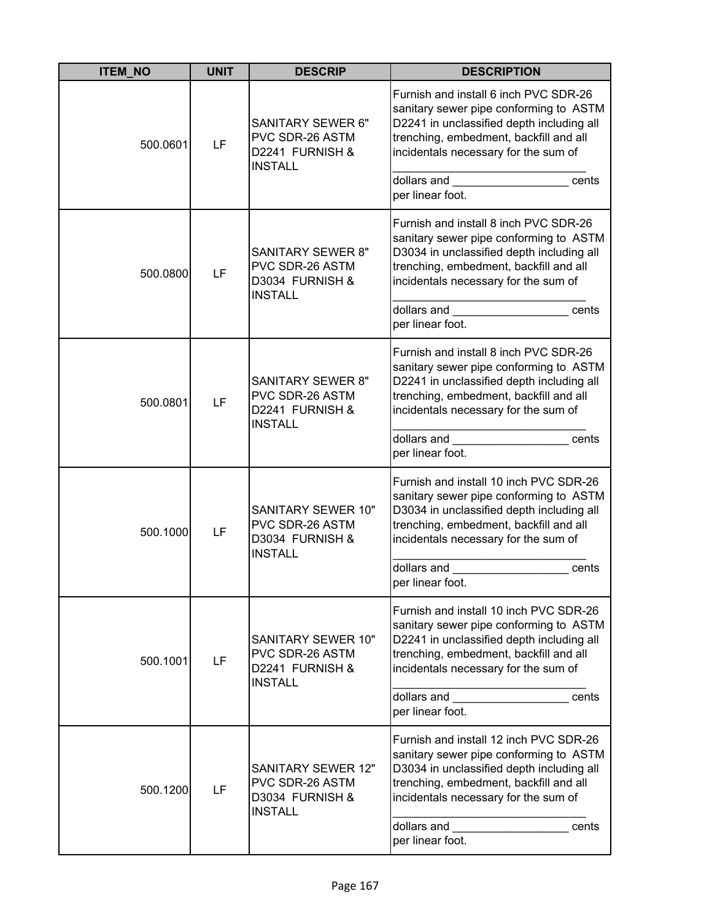| <b>ITEM_NO</b> | <b>UNIT</b> | <b>DESCRIP</b>                                                                    | <b>DESCRIPTION</b>                                                                                                                                                                                                                                                                                                                                                                                                                                              |
|----------------|-------------|-----------------------------------------------------------------------------------|-----------------------------------------------------------------------------------------------------------------------------------------------------------------------------------------------------------------------------------------------------------------------------------------------------------------------------------------------------------------------------------------------------------------------------------------------------------------|
| 500.0601       | LF          | <b>SANITARY SEWER 6"</b><br>PVC SDR-26 ASTM<br>D2241 FURNISH &<br><b>INSTALL</b>  | Furnish and install 6 inch PVC SDR-26<br>sanitary sewer pipe conforming to ASTM<br>D2241 in unclassified depth including all<br>trenching, embedment, backfill and all<br>incidentals necessary for the sum of<br>dollars and <b>with the set of the set of the set of the set of the set of the set of the set of the set of the set of the set of the set of the set of the set of the set of the set of the set of the set of the set of the se</b><br>cents |
|                |             |                                                                                   | per linear foot.                                                                                                                                                                                                                                                                                                                                                                                                                                                |
| 500.0800       | LF          | <b>SANITARY SEWER 8"</b><br>PVC SDR-26 ASTM<br>D3034 FURNISH &<br><b>INSTALL</b>  | Furnish and install 8 inch PVC SDR-26<br>sanitary sewer pipe conforming to ASTM<br>D3034 in unclassified depth including all<br>trenching, embedment, backfill and all<br>incidentals necessary for the sum of                                                                                                                                                                                                                                                  |
|                |             |                                                                                   | dollars and the control of the control of the control of the control of the control of the control of the control of the control of the control of the control of the control of the control of the control of the control of<br>cents<br>per linear foot.                                                                                                                                                                                                      |
| 500.0801       | LF          | <b>SANITARY SEWER 8"</b><br>PVC SDR-26 ASTM<br>D2241 FURNISH &<br><b>INSTALL</b>  | Furnish and install 8 inch PVC SDR-26<br>sanitary sewer pipe conforming to ASTM<br>D2241 in unclassified depth including all<br>trenching, embedment, backfill and all<br>incidentals necessary for the sum of                                                                                                                                                                                                                                                  |
|                |             |                                                                                   | dollars and<br>cents<br>per linear foot.                                                                                                                                                                                                                                                                                                                                                                                                                        |
| 500.1000       | LF          | SANITARY SEWER 10"<br>PVC SDR-26 ASTM<br>D3034 FURNISH &<br><b>INSTALL</b>        | Furnish and install 10 inch PVC SDR-26<br>sanitary sewer pipe conforming to ASTM<br>D3034 in unclassified depth including all<br>trenching, embedment, backfill and all<br>incidentals necessary for the sum of                                                                                                                                                                                                                                                 |
|                |             |                                                                                   | dollars and<br>cents<br>per linear foot.                                                                                                                                                                                                                                                                                                                                                                                                                        |
| 500.1001<br>LF |             | SANITARY SEWER 10"<br>PVC SDR-26 ASTM<br>D2241 FURNISH &<br><b>INSTALL</b>        | Furnish and install 10 inch PVC SDR-26<br>sanitary sewer pipe conforming to ASTM<br>D2241 in unclassified depth including all<br>trenching, embedment, backfill and all<br>incidentals necessary for the sum of                                                                                                                                                                                                                                                 |
|                |             |                                                                                   | dollars and <b>state of the state of the state of the state</b><br>cents<br>per linear foot.                                                                                                                                                                                                                                                                                                                                                                    |
| 500.1200       | LF          | <b>SANITARY SEWER 12"</b><br>PVC SDR-26 ASTM<br>D3034 FURNISH &<br><b>INSTALL</b> | Furnish and install 12 inch PVC SDR-26<br>sanitary sewer pipe conforming to ASTM<br>D3034 in unclassified depth including all<br>trenching, embedment, backfill and all<br>incidentals necessary for the sum of                                                                                                                                                                                                                                                 |
|                |             |                                                                                   | dollars and<br>cents<br>per linear foot.                                                                                                                                                                                                                                                                                                                                                                                                                        |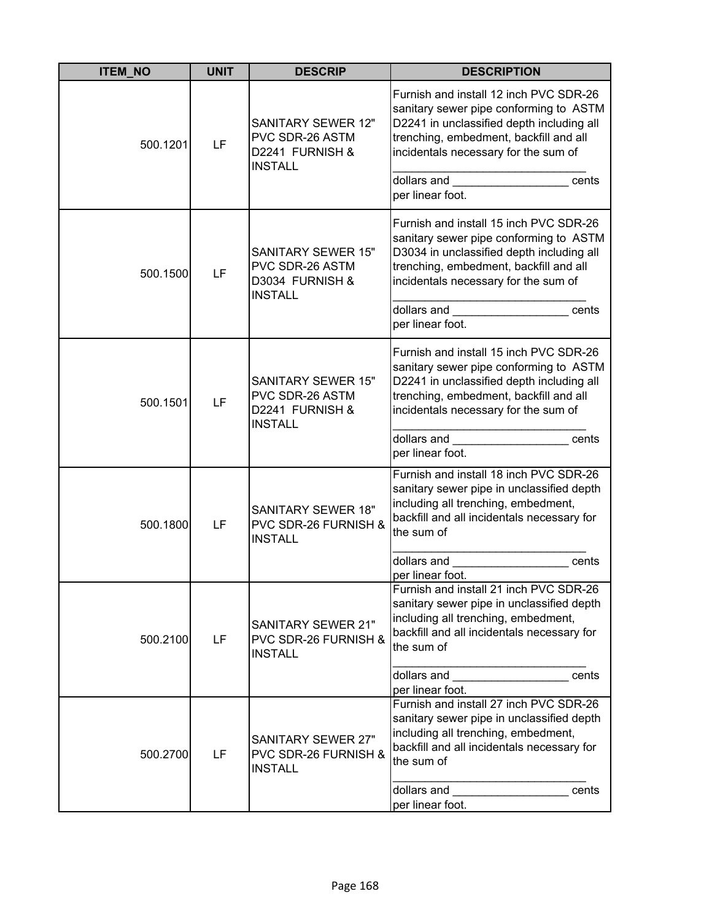| <b>ITEM_NO</b> | <b>UNIT</b> | <b>DESCRIP</b>                                                                    | <b>DESCRIPTION</b>                                                                                                                                                                                                                                                                                                                                                                                                                                                            |
|----------------|-------------|-----------------------------------------------------------------------------------|-------------------------------------------------------------------------------------------------------------------------------------------------------------------------------------------------------------------------------------------------------------------------------------------------------------------------------------------------------------------------------------------------------------------------------------------------------------------------------|
| 500.1201       | LF          | <b>SANITARY SEWER 12"</b><br>PVC SDR-26 ASTM<br>D2241 FURNISH &<br><b>INSTALL</b> | Furnish and install 12 inch PVC SDR-26<br>sanitary sewer pipe conforming to ASTM<br>D2241 in unclassified depth including all<br>trenching, embedment, backfill and all<br>incidentals necessary for the sum of<br>dollars and <b>state of the state of the state</b><br>cents<br>per linear foot.                                                                                                                                                                            |
| 500.1500       | LF          | <b>SANITARY SEWER 15"</b><br>PVC SDR-26 ASTM<br>D3034 FURNISH &<br><b>INSTALL</b> | Furnish and install 15 inch PVC SDR-26<br>sanitary sewer pipe conforming to ASTM<br>D3034 in unclassified depth including all<br>trenching, embedment, backfill and all<br>incidentals necessary for the sum of<br>dollars and<br>cents<br>per linear foot.                                                                                                                                                                                                                   |
| 500.1501       | LF          | <b>SANITARY SEWER 15"</b><br>PVC SDR-26 ASTM<br>D2241 FURNISH &<br><b>INSTALL</b> | Furnish and install 15 inch PVC SDR-26<br>sanitary sewer pipe conforming to ASTM<br>D2241 in unclassified depth including all<br>trenching, embedment, backfill and all<br>incidentals necessary for the sum of<br>dollars and the control of the control of the control of the control of the control of the control of the control of the control of the control of the control of the control of the control of the control of the control of<br>cents<br>per linear foot. |
| 500.1800       | LF          | <b>SANITARY SEWER 18"</b><br>PVC SDR-26 FURNISH &<br><b>INSTALL</b>               | Furnish and install 18 inch PVC SDR-26<br>sanitary sewer pipe in unclassified depth<br>including all trenching, embedment,<br>backfill and all incidentals necessary for<br>the sum of<br>dollars and<br>cents<br>per linear foot.                                                                                                                                                                                                                                            |
| 500.2100       | LF          | <b>SANITARY SEWER 21"</b><br>PVC SDR-26 FURNISH &<br><b>INSTALL</b>               | Furnish and install 21 inch PVC SDR-26<br>sanitary sewer pipe in unclassified depth<br>including all trenching, embedment,<br>backfill and all incidentals necessary for<br>the sum of<br>dollars and the control of the control of the control of the control of the control of the control of the control of the control of the control of the control of the control of the control of the control of the control of<br>cents<br>per linear foot.                          |
| 500.2700       | LF          | <b>SANITARY SEWER 27"</b><br>PVC SDR-26 FURNISH &<br><b>INSTALL</b>               | Furnish and install 27 inch PVC SDR-26<br>sanitary sewer pipe in unclassified depth<br>including all trenching, embedment,<br>backfill and all incidentals necessary for<br>the sum of<br>dollars and<br>cents<br>per linear foot.                                                                                                                                                                                                                                            |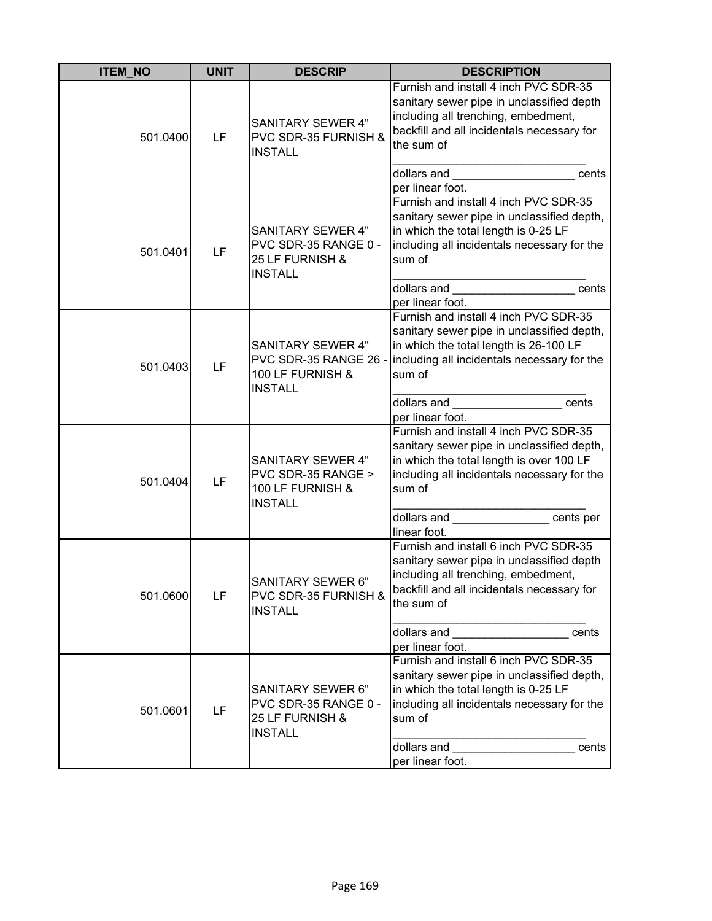| <b>ITEM_NO</b> | <b>UNIT</b> | <b>DESCRIP</b>                                                                          | <b>DESCRIPTION</b>                                                                                                                                                                                                                                                |
|----------------|-------------|-----------------------------------------------------------------------------------------|-------------------------------------------------------------------------------------------------------------------------------------------------------------------------------------------------------------------------------------------------------------------|
| 501.0400       | LF          | <b>SANITARY SEWER 4"</b><br>PVC SDR-35 FURNISH &<br><b>INSTALL</b>                      | Furnish and install 4 inch PVC SDR-35<br>sanitary sewer pipe in unclassified depth<br>including all trenching, embedment,<br>backfill and all incidentals necessary for<br>the sum of                                                                             |
|                |             |                                                                                         | dollars and <b>with the control of the control of the control of the control of the control of the control of the control of the control of the control of the control of the control of the control of the control of the contr</b><br>cents<br>per linear foot. |
| 501.0401       | LF          | <b>SANITARY SEWER 4"</b><br>PVC SDR-35 RANGE 0 -<br>25 LF FURNISH &<br><b>INSTALL</b>   | Furnish and install 4 inch PVC SDR-35<br>sanitary sewer pipe in unclassified depth,<br>in which the total length is 0-25 LF<br>including all incidentals necessary for the<br>sum of                                                                              |
|                |             |                                                                                         | dollars and<br>cents<br>per linear foot.                                                                                                                                                                                                                          |
| 501.0403       | LF          | <b>SANITARY SEWER 4"</b><br>PVC SDR-35 RANGE 26 -<br>100 LF FURNISH &<br><b>INSTALL</b> | Furnish and install 4 inch PVC SDR-35<br>sanitary sewer pipe in unclassified depth,<br>in which the total length is 26-100 LF<br>including all incidentals necessary for the<br>sum of                                                                            |
|                |             |                                                                                         | dollars and the cents<br>per linear foot.                                                                                                                                                                                                                         |
| 501.0404       | LF          | <b>SANITARY SEWER 4"</b><br>PVC SDR-35 RANGE ><br>100 LF FURNISH &<br><b>INSTALL</b>    | Furnish and install 4 inch PVC SDR-35<br>sanitary sewer pipe in unclassified depth,<br>in which the total length is over 100 LF<br>including all incidentals necessary for the<br>sum of                                                                          |
|                |             |                                                                                         | dollars and cents per<br>linear foot.                                                                                                                                                                                                                             |
| 501.0600       | LF          | <b>SANITARY SEWER 6"</b><br>PVC SDR-35 FURNISH &<br><b>INSTALL</b>                      | Furnish and install 6 inch PVC SDR-35<br>sanitary sewer pipe in unclassified depth<br>including all trenching, embedment,<br>backfill and all incidentals necessary for<br>the sum of                                                                             |
|                |             |                                                                                         | dollars and <b>with the set of the set of the set of the set of the set of the set of the set of the set of the set of the set of the set of the set of the set of the set of the set of the set of the set of the set of the se</b><br>cents<br>per linear foot. |
| 501.0601       | LF          | SANITARY SEWER 6"<br>PVC SDR-35 RANGE 0 -<br>25 LF FURNISH &<br><b>INSTALL</b>          | Furnish and install 6 inch PVC SDR-35<br>sanitary sewer pipe in unclassified depth,<br>in which the total length is 0-25 LF<br>including all incidentals necessary for the<br>sum of<br>dollars and<br>cents                                                      |
|                |             |                                                                                         | per linear foot.                                                                                                                                                                                                                                                  |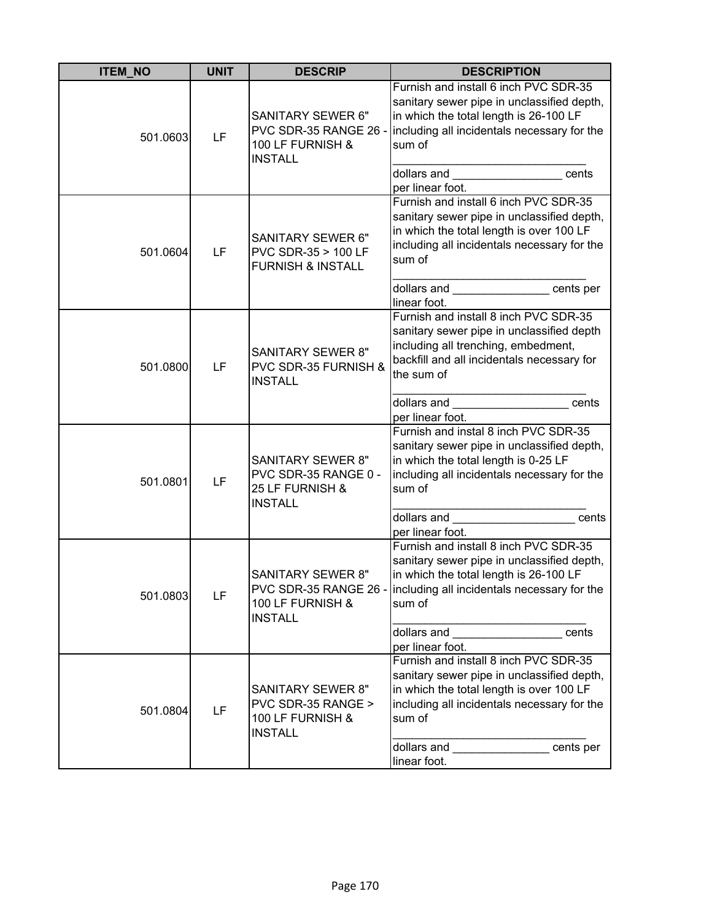| <b>ITEM_NO</b> | <b>UNIT</b> | <b>DESCRIP</b>                                                                        | <b>DESCRIPTION</b>                                                                                                                                                                                                                                                                                                                                                                                                                                                                |
|----------------|-------------|---------------------------------------------------------------------------------------|-----------------------------------------------------------------------------------------------------------------------------------------------------------------------------------------------------------------------------------------------------------------------------------------------------------------------------------------------------------------------------------------------------------------------------------------------------------------------------------|
| 501.0603       | LF          | SANITARY SEWER 6"<br>PVC SDR-35 RANGE 26 -<br>100 LF FURNISH &<br><b>INSTALL</b>      | Furnish and install 6 inch PVC SDR-35<br>sanitary sewer pipe in unclassified depth,<br>in which the total length is 26-100 LF<br>including all incidentals necessary for the<br>sum of<br>dollars and _____________________<br>cents<br>per linear foot.                                                                                                                                                                                                                          |
| 501.0604       | LF          | <b>SANITARY SEWER 6"</b><br>PVC SDR-35 > 100 LF<br><b>FURNISH &amp; INSTALL</b>       | Furnish and install 6 inch PVC SDR-35<br>sanitary sewer pipe in unclassified depth,<br>in which the total length is over 100 LF<br>including all incidentals necessary for the<br>sum of<br>dollars and the cents per                                                                                                                                                                                                                                                             |
| 501.0800       | LF          | <b>SANITARY SEWER 8"</b><br>PVC SDR-35 FURNISH &<br><b>INSTALL</b>                    | linear foot.<br>Furnish and install 8 inch PVC SDR-35<br>sanitary sewer pipe in unclassified depth<br>including all trenching, embedment,<br>backfill and all incidentals necessary for<br>the sum of<br>dollars and the control of the control of the control of the control of the control of the control of the control of the control of the control of the control of the control of the control of the control of the control of<br>cents<br>per linear foot.               |
| 501.0801       | LF          | <b>SANITARY SEWER 8"</b><br>PVC SDR-35 RANGE 0 -<br>25 LF FURNISH &<br><b>INSTALL</b> | Furnish and instal 8 inch PVC SDR-35<br>sanitary sewer pipe in unclassified depth,<br>in which the total length is 0-25 LF<br>including all incidentals necessary for the<br>sum of<br>dollars and<br>cents<br>per linear foot.                                                                                                                                                                                                                                                   |
| 501.0803       | LF          | <b>SANITARY SEWER 8"</b><br>100 LF FURNISH &<br><b>INSTALL</b>                        | Furnish and install 8 inch PVC SDR-35<br>sanitary sewer pipe in unclassified depth,<br>in which the total length is 26-100 LF<br>PVC SDR-35 RANGE 26 - including all incidentals necessary for the<br>sum of<br>dollars and <b>with the control of the control of the control of the control of the control of the control of the control of the control of the control of the control of the control of the control of the control of the contr</b><br>cents<br>per linear foot. |
| 501.0804       | LF          | <b>SANITARY SEWER 8"</b><br>PVC SDR-35 RANGE ><br>100 LF FURNISH &<br><b>INSTALL</b>  | Furnish and install 8 inch PVC SDR-35<br>sanitary sewer pipe in unclassified depth,<br>in which the total length is over 100 LF<br>including all incidentals necessary for the<br>sum of<br>dollars and __________________cents per<br>linear foot.                                                                                                                                                                                                                               |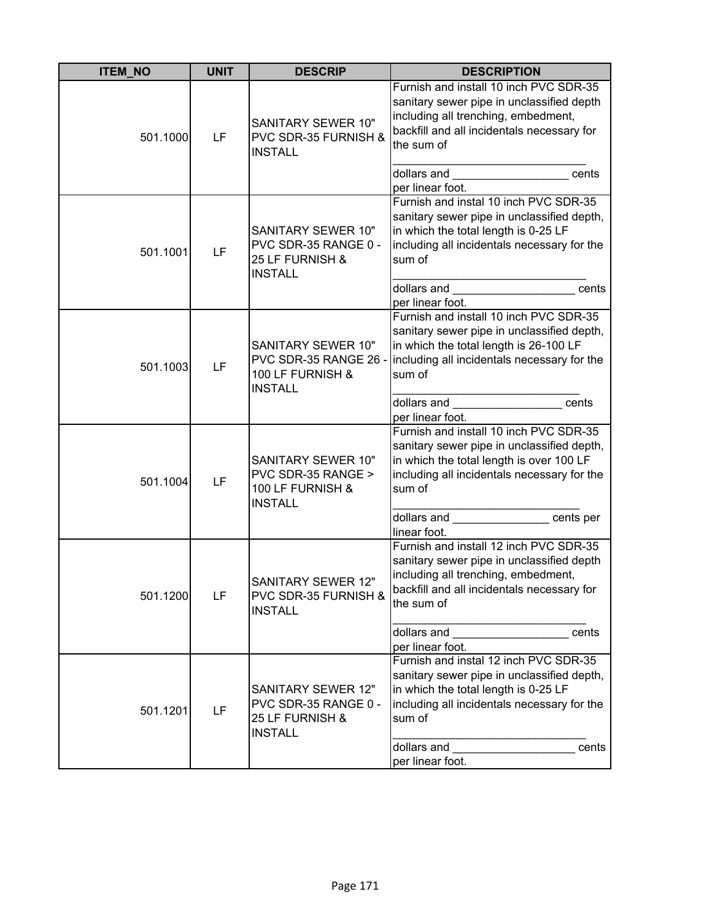| <b>ITEM_NO</b> | <b>UNIT</b> | <b>DESCRIP</b>                                                                         | <b>DESCRIPTION</b>                                                                                                                                                                                           |
|----------------|-------------|----------------------------------------------------------------------------------------|--------------------------------------------------------------------------------------------------------------------------------------------------------------------------------------------------------------|
| 501.1000       | LF          | SANITARY SEWER 10"<br>PVC SDR-35 FURNISH &<br><b>INSTALL</b>                           | Furnish and install 10 inch PVC SDR-35<br>sanitary sewer pipe in unclassified depth<br>including all trenching, embedment,<br>backfill and all incidentals necessary for<br>the sum of                       |
|                |             |                                                                                        | dollars and <b>with the contract of the contract of the contract of the contract of the contract of the contract o</b><br>cents<br>per linear foot.                                                          |
| 501.1001       | LF          | SANITARY SEWER 10"<br>PVC SDR-35 RANGE 0 -<br>25 LF FURNISH &<br><b>INSTALL</b>        | Furnish and instal 10 inch PVC SDR-35<br>sanitary sewer pipe in unclassified depth,<br>in which the total length is 0-25 LF<br>including all incidentals necessary for the<br>sum of                         |
|                |             |                                                                                        | dollars and<br>cents<br>per linear foot.                                                                                                                                                                     |
| 501.1003       | LF          | SANITARY SEWER 10"<br>PVC SDR-35 RANGE 26 -<br>100 LF FURNISH &<br><b>INSTALL</b>      | Furnish and install 10 inch PVC SDR-35<br>sanitary sewer pipe in unclassified depth,<br>in which the total length is 26-100 LF<br>including all incidentals necessary for the<br>sum of                      |
|                |             |                                                                                        | dollars and cents<br>per linear foot.                                                                                                                                                                        |
| 501.1004       | LF          | SANITARY SEWER 10"<br>PVC SDR-35 RANGE ><br>100 LF FURNISH &<br><b>INSTALL</b>         | Furnish and install 10 inch PVC SDR-35<br>sanitary sewer pipe in unclassified depth,<br>in which the total length is over 100 LF<br>including all incidentals necessary for the<br>sum of                    |
|                |             |                                                                                        | dollars and cents per<br>linear foot.                                                                                                                                                                        |
| 501.1200       | LF          | <b>SANITARY SEWER 12"</b><br>PVC SDR-35 FURNISH &<br><b>INSTALL</b>                    | Furnish and install 12 inch PVC SDR-35<br>sanitary sewer pipe in unclassified depth<br>including all trenching, embedment,<br>backfill and all incidentals necessary for<br>the sum of                       |
|                |             |                                                                                        | cents<br>per linear foot.                                                                                                                                                                                    |
| 501.1201       | LF          | <b>SANITARY SEWER 12"</b><br>PVC SDR-35 RANGE 0 -<br>25 LF FURNISH &<br><b>INSTALL</b> | Furnish and instal 12 inch PVC SDR-35<br>sanitary sewer pipe in unclassified depth,<br>in which the total length is 0-25 LF<br>including all incidentals necessary for the<br>sum of<br>dollars and<br>cents |
|                |             |                                                                                        | per linear foot.                                                                                                                                                                                             |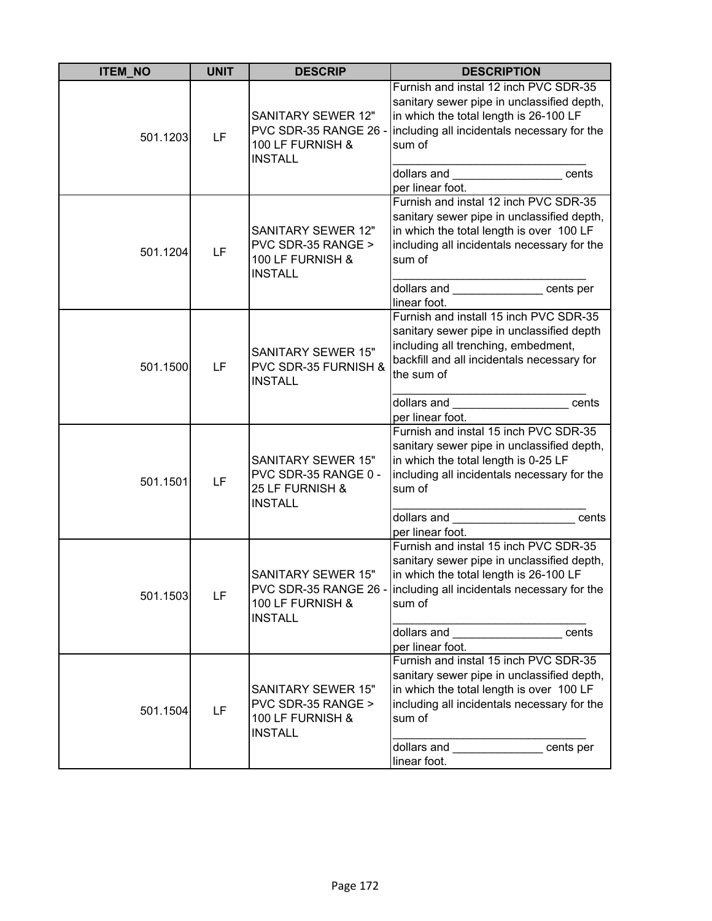| <b>ITEM NO</b> | <b>UNIT</b> | <b>DESCRIP</b>                                                                           | <b>DESCRIPTION</b>                                                                                                                                                                                                                                                                                                                                                                                                                                                                |
|----------------|-------------|------------------------------------------------------------------------------------------|-----------------------------------------------------------------------------------------------------------------------------------------------------------------------------------------------------------------------------------------------------------------------------------------------------------------------------------------------------------------------------------------------------------------------------------------------------------------------------------|
| 501.1203       | LF          | <b>SANITARY SEWER 12"</b><br>PVC SDR-35 RANGE 26 -<br>100 LF FURNISH &<br><b>INSTALL</b> | Furnish and instal 12 inch PVC SDR-35<br>sanitary sewer pipe in unclassified depth,<br>in which the total length is 26-100 LF<br>including all incidentals necessary for the<br>sum of<br>cents<br>per linear foot.                                                                                                                                                                                                                                                               |
| 501.1204       | LF          | SANITARY SEWER 12"<br>PVC SDR-35 RANGE ><br>100 LF FURNISH &<br><b>INSTALL</b>           | Furnish and instal 12 inch PVC SDR-35<br>sanitary sewer pipe in unclassified depth,<br>in which the total length is over 100 LF<br>including all incidentals necessary for the<br>sum of<br>dollars and the cents per<br>linear foot.                                                                                                                                                                                                                                             |
| 501.1500       | LF          | <b>SANITARY SEWER 15"</b><br>PVC SDR-35 FURNISH &<br><b>INSTALL</b>                      | Furnish and install 15 inch PVC SDR-35<br>sanitary sewer pipe in unclassified depth<br>including all trenching, embedment,<br>backfill and all incidentals necessary for<br>the sum of<br>dollars and<br>cents<br>per linear foot.                                                                                                                                                                                                                                                |
| 501.1501       | LF          | <b>SANITARY SEWER 15"</b><br>PVC SDR-35 RANGE 0 -<br>25 LF FURNISH &<br><b>INSTALL</b>   | Furnish and instal 15 inch PVC SDR-35<br>sanitary sewer pipe in unclassified depth,<br>in which the total length is 0-25 LF<br>including all incidentals necessary for the<br>sum of<br>dollars and<br>cents<br>per linear foot.                                                                                                                                                                                                                                                  |
| 501.1503       | LF          | <b>SANITARY SEWER 15"</b><br>100 LF FURNISH &<br><b>INSTALL</b>                          | Furnish and instal 15 inch PVC SDR-35<br>sanitary sewer pipe in unclassified depth,<br>in which the total length is 26-100 LF<br>PVC SDR-35 RANGE 26 - including all incidentals necessary for the<br>sum of<br>dollars and <b>with the control of the control of the control of the control of the control of the control of the control of the control of the control of the control of the control of the control of the control of the contr</b><br>cents<br>per linear foot. |
| 501.1504       | LF          | <b>SANITARY SEWER 15"</b><br>PVC SDR-35 RANGE ><br>100 LF FURNISH &<br><b>INSTALL</b>    | Furnish and instal 15 inch PVC SDR-35<br>sanitary sewer pipe in unclassified depth,<br>in which the total length is over 100 LF<br>including all incidentals necessary for the<br>sum of<br>dollars and cents per<br>linear foot.                                                                                                                                                                                                                                                 |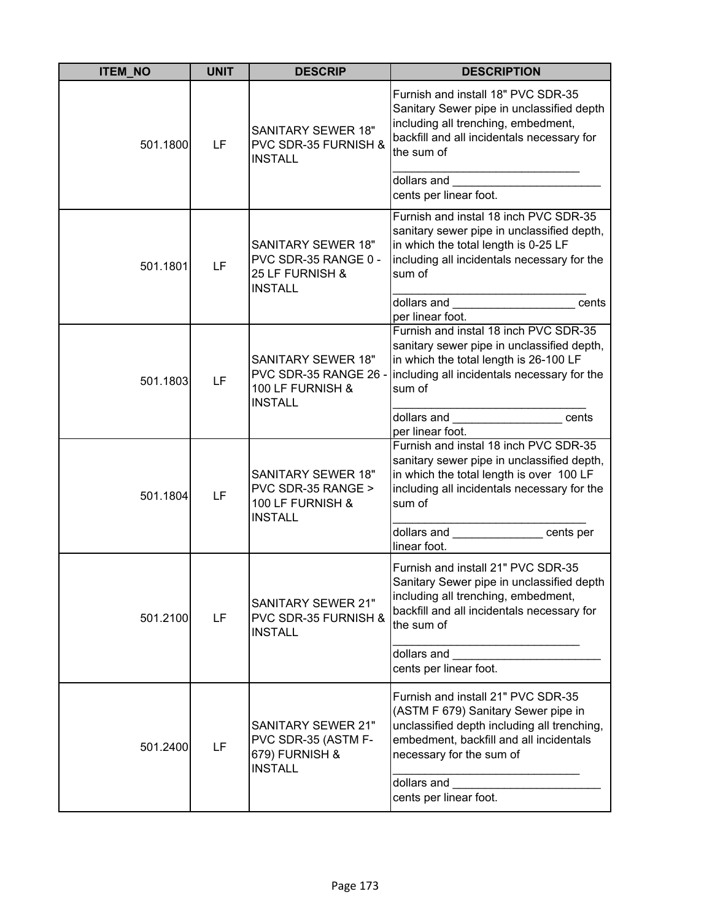| <b>ITEM_NO</b> | <b>UNIT</b> | <b>DESCRIP</b>                                                                           | <b>DESCRIPTION</b>                                                                                                                                                                                                                                             |
|----------------|-------------|------------------------------------------------------------------------------------------|----------------------------------------------------------------------------------------------------------------------------------------------------------------------------------------------------------------------------------------------------------------|
| 501.1800       | LF          | <b>SANITARY SEWER 18"</b><br>PVC SDR-35 FURNISH &<br><b>INSTALL</b>                      | Furnish and install 18" PVC SDR-35<br>Sanitary Sewer pipe in unclassified depth<br>including all trenching, embedment,<br>backfill and all incidentals necessary for<br>the sum of                                                                             |
|                |             |                                                                                          | dollars and <b>with the set of the set of the set of the set of the set of the set of the set of the set of the set of the set of the set of the set of the set of the set of the set of the set of the set of the set of the se</b><br>cents per linear foot. |
| 501.1801       | LF          | <b>SANITARY SEWER 18"</b><br>PVC SDR-35 RANGE 0 -<br>25 LF FURNISH &<br><b>INSTALL</b>   | Furnish and instal 18 inch PVC SDR-35<br>sanitary sewer pipe in unclassified depth,<br>in which the total length is 0-25 LF<br>including all incidentals necessary for the<br>sum of                                                                           |
|                |             |                                                                                          | dollars and the control of the control of the control of the control of the control of the control of the control of the control of the control of the control of the control of the control of the control of the control of<br>cents<br>per linear foot.     |
| 501.1803       | LF          | <b>SANITARY SEWER 18"</b><br>PVC SDR-35 RANGE 26 -<br>100 LF FURNISH &<br><b>INSTALL</b> | Furnish and instal 18 inch PVC SDR-35<br>sanitary sewer pipe in unclassified depth,<br>in which the total length is 26-100 LF<br>including all incidentals necessary for the<br>sum of                                                                         |
|                |             |                                                                                          | dollars and _____________________ cents<br>per linear foot.                                                                                                                                                                                                    |
| 501.1804       | LF          | <b>SANITARY SEWER 18"</b><br>PVC SDR-35 RANGE ><br>100 LF FURNISH &<br><b>INSTALL</b>    | Furnish and instal 18 inch PVC SDR-35<br>sanitary sewer pipe in unclassified depth,<br>in which the total length is over 100 LF<br>including all incidentals necessary for the<br>sum of<br>dollars and cents per                                              |
|                |             |                                                                                          | linear foot.                                                                                                                                                                                                                                                   |
| 501.2100       | LF          | <b>SANITARY SEWER 21"</b><br>PVC SDR-35 FURNISH &<br><b>INSTALL</b>                      | Furnish and install 21" PVC SDR-35<br>Sanitary Sewer pipe in unclassified depth<br>including all trenching, embedment,<br>backfill and all incidentals necessary for<br>the sum of                                                                             |
|                |             |                                                                                          | dollars and<br>cents per linear foot.                                                                                                                                                                                                                          |
| 501.2400       | LF          | <b>SANITARY SEWER 21"</b><br>PVC SDR-35 (ASTM F-<br>679) FURNISH &<br><b>INSTALL</b>     | Furnish and install 21" PVC SDR-35<br>(ASTM F 679) Sanitary Sewer pipe in<br>unclassified depth including all trenching,<br>embedment, backfill and all incidentals<br>necessary for the sum of<br>dollars and<br>cents per linear foot.                       |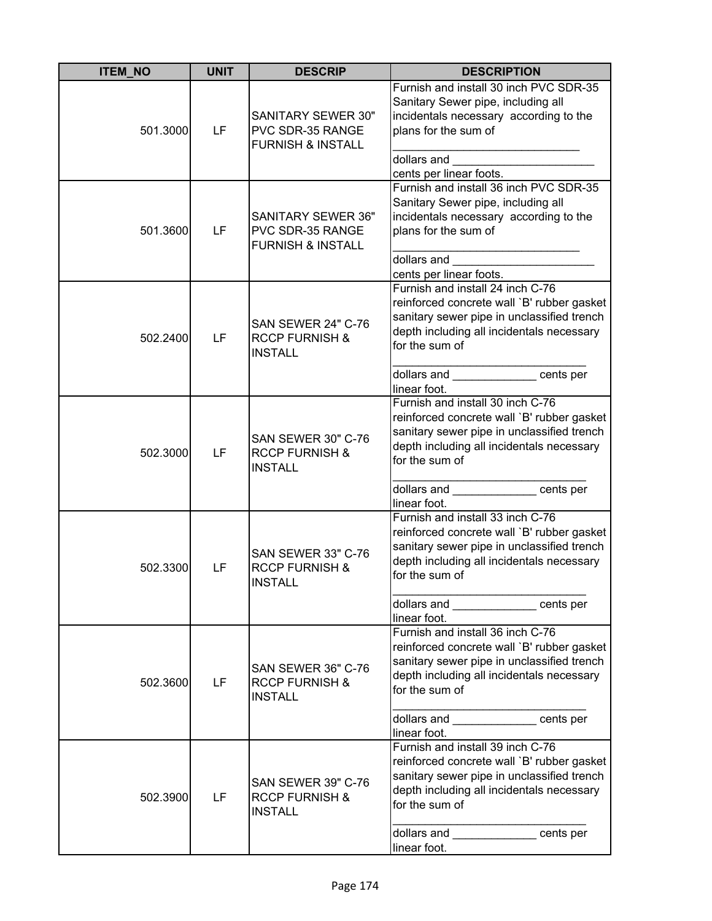| <b>ITEM_NO</b> | <b>UNIT</b> | <b>DESCRIP</b>                                                                | <b>DESCRIPTION</b>                                                                                                                                                                                                                                                            |
|----------------|-------------|-------------------------------------------------------------------------------|-------------------------------------------------------------------------------------------------------------------------------------------------------------------------------------------------------------------------------------------------------------------------------|
| 501.3000       | LF          | <b>SANITARY SEWER 30"</b><br>PVC SDR-35 RANGE<br><b>FURNISH &amp; INSTALL</b> | Furnish and install 30 inch PVC SDR-35<br>Sanitary Sewer pipe, including all<br>incidentals necessary according to the<br>plans for the sum of<br>dollars and<br>cents per linear foots.                                                                                      |
| 501.3600       | LF          | <b>SANITARY SEWER 36"</b><br>PVC SDR-35 RANGE<br><b>FURNISH &amp; INSTALL</b> | Furnish and install 36 inch PVC SDR-35<br>Sanitary Sewer pipe, including all<br>incidentals necessary according to the<br>plans for the sum of<br>dollars and                                                                                                                 |
| 502.2400       | LF          | <b>SAN SEWER 24" C-76</b><br><b>RCCP FURNISH &amp;</b><br><b>INSTALL</b>      | cents per linear foots.<br>Furnish and install 24 inch C-76<br>reinforced concrete wall `B' rubber gasket<br>sanitary sewer pipe in unclassified trench<br>depth including all incidentals necessary<br>for the sum of<br>dollars and _____________ cents per<br>linear foot. |
| 502.3000       | LF          | SAN SEWER 30" C-76<br><b>RCCP FURNISH &amp;</b><br><b>INSTALL</b>             | Furnish and install 30 inch C-76<br>reinforced concrete wall `B' rubber gasket<br>sanitary sewer pipe in unclassified trench<br>depth including all incidentals necessary<br>for the sum of<br>dollars and _____________ cents per                                            |
| 502.3300       | LF          | <b>SAN SEWER 33" C-76</b><br><b>RCCP FURNISH &amp;</b><br><b>INSTALL</b>      | linear foot.<br>Furnish and install 33 inch C-76<br>reinforced concrete wall `B' rubber gasket<br>sanitary sewer pipe in unclassified trench<br>depth including all incidentals necessary<br>for the sum of<br>dollars and cents per<br>linear foot.                          |
| 502.3600       | LF          | <b>SAN SEWER 36" C-76</b><br><b>RCCP FURNISH &amp;</b><br><b>INSTALL</b>      | Furnish and install 36 inch C-76<br>reinforced concrete wall `B' rubber gasket<br>sanitary sewer pipe in unclassified trench<br>depth including all incidentals necessary<br>for the sum of<br>dollars and _____________ cents per<br>linear foot.                            |
| 502.3900       | LF          | <b>SAN SEWER 39" C-76</b><br><b>RCCP FURNISH &amp;</b><br><b>INSTALL</b>      | Furnish and install 39 inch C-76<br>reinforced concrete wall `B' rubber gasket<br>sanitary sewer pipe in unclassified trench<br>depth including all incidentals necessary<br>for the sum of<br>dollars and ______________ cents per<br>linear foot.                           |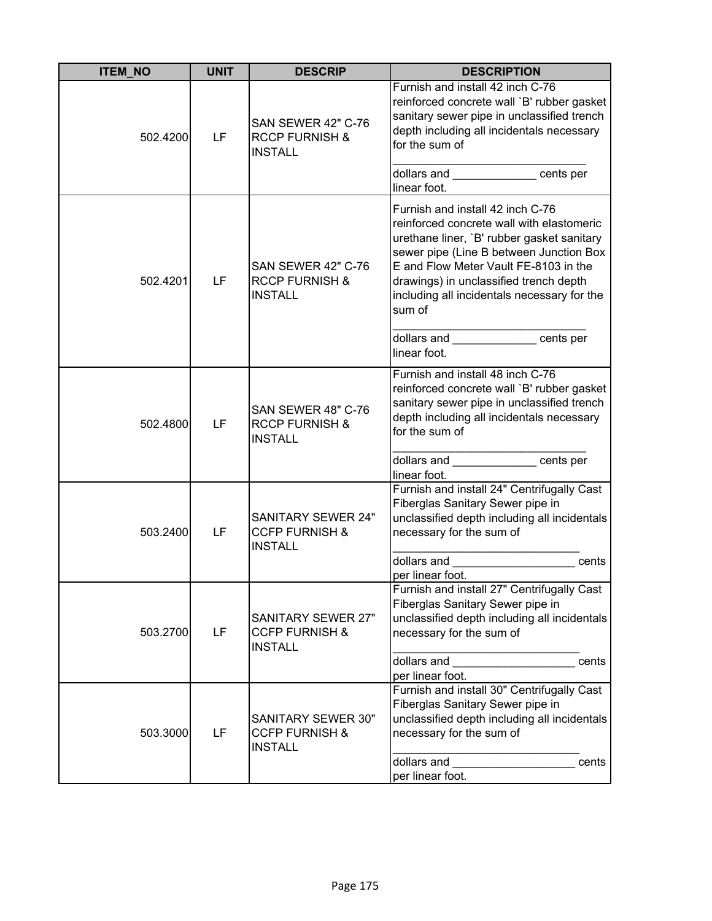| <b>ITEM_NO</b> | <b>UNIT</b> | <b>DESCRIP</b>                                                           | <b>DESCRIPTION</b>                                                                                                                                                                                                                                                                                                 |
|----------------|-------------|--------------------------------------------------------------------------|--------------------------------------------------------------------------------------------------------------------------------------------------------------------------------------------------------------------------------------------------------------------------------------------------------------------|
| 502.4200       | LF          | SAN SEWER 42" C-76<br><b>RCCP FURNISH &amp;</b><br><b>INSTALL</b>        | Furnish and install 42 inch C-76<br>reinforced concrete wall `B' rubber gasket<br>sanitary sewer pipe in unclassified trench<br>depth including all incidentals necessary<br>for the sum of                                                                                                                        |
|                |             |                                                                          | dollars and ______________ cents per<br>linear foot.                                                                                                                                                                                                                                                               |
| 502.4201       | LF          | SAN SEWER 42" C-76<br><b>RCCP FURNISH &amp;</b><br><b>INSTALL</b>        | Furnish and install 42 inch C-76<br>reinforced concrete wall with elastomeric<br>urethane liner, `B' rubber gasket sanitary<br>sewer pipe (Line B between Junction Box<br>E and Flow Meter Vault FE-8103 in the<br>drawings) in unclassified trench depth<br>including all incidentals necessary for the<br>sum of |
|                |             |                                                                          | dollars and _____________ cents per<br>linear foot.                                                                                                                                                                                                                                                                |
| 502.4800       | LF          | SAN SEWER 48" C-76<br><b>RCCP FURNISH &amp;</b><br><b>INSTALL</b>        | Furnish and install 48 inch C-76<br>reinforced concrete wall `B' rubber gasket<br>sanitary sewer pipe in unclassified trench<br>depth including all incidentals necessary<br>for the sum of                                                                                                                        |
|                |             |                                                                          | dollars and ______________ cents per<br>linear foot.                                                                                                                                                                                                                                                               |
| 503.2400       | LF          | <b>SANITARY SEWER 24"</b><br><b>CCFP FURNISH &amp;</b><br><b>INSTALL</b> | Furnish and install 24" Centrifugally Cast<br>Fiberglas Sanitary Sewer pipe in<br>unclassified depth including all incidentals<br>necessary for the sum of                                                                                                                                                         |
|                |             |                                                                          | dollars and <b>contract the contract of the contract of the contract of the contract of the contract of the control</b><br>cents<br>per linear foot.                                                                                                                                                               |
| 503.2700       | LF          | <b>SANITARY SEWER 27"</b><br><b>CCFP FURNISH &amp;</b><br><b>INSTALL</b> | Furnish and install 27" Centrifugally Cast<br>Fiberglas Sanitary Sewer pipe in<br>unclassified depth including all incidentals<br>necessary for the sum of                                                                                                                                                         |
|                |             |                                                                          | dollars and<br>cents<br>per linear foot.                                                                                                                                                                                                                                                                           |
| 503.3000       | LF          | SANITARY SEWER 30"<br><b>CCFP FURNISH &amp;</b><br><b>INSTALL</b>        | Furnish and install 30" Centrifugally Cast<br>Fiberglas Sanitary Sewer pipe in<br>unclassified depth including all incidentals<br>necessary for the sum of                                                                                                                                                         |
|                |             |                                                                          | dollars and<br>cents<br>per linear foot.                                                                                                                                                                                                                                                                           |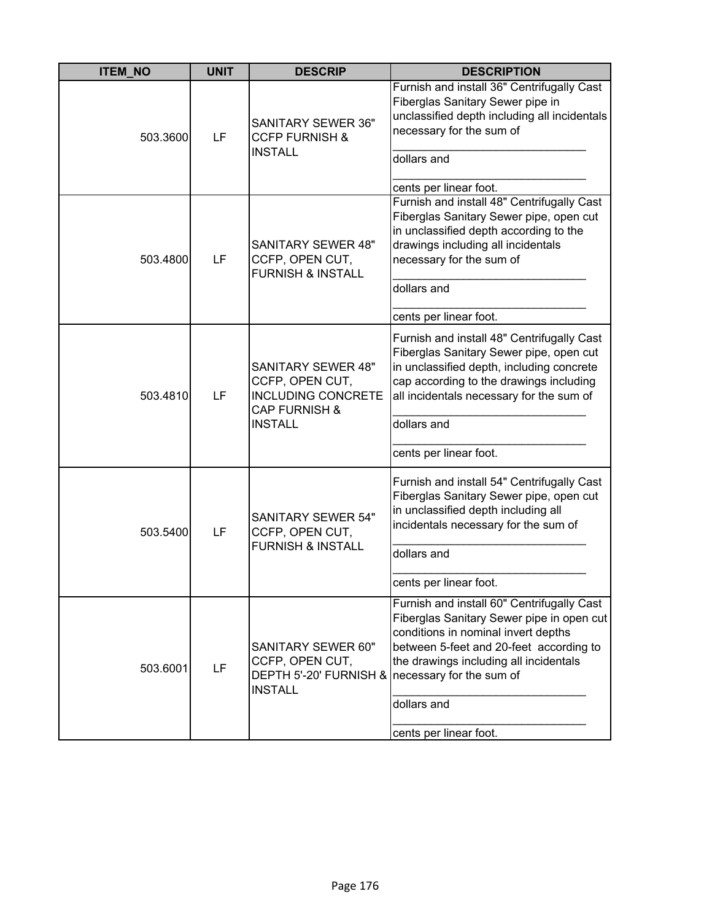| <b>ITEM_NO</b> | <b>UNIT</b> | <b>DESCRIP</b>                                                                                                    | <b>DESCRIPTION</b>                                                                                                                                                                                                                                                 |
|----------------|-------------|-------------------------------------------------------------------------------------------------------------------|--------------------------------------------------------------------------------------------------------------------------------------------------------------------------------------------------------------------------------------------------------------------|
| 503.3600       | LF          | <b>SANITARY SEWER 36"</b><br><b>CCFP FURNISH &amp;</b><br><b>INSTALL</b>                                          | Furnish and install 36" Centrifugally Cast<br>Fiberglas Sanitary Sewer pipe in<br>unclassified depth including all incidentals<br>necessary for the sum of<br>dollars and<br>cents per linear foot.                                                                |
| 503.4800       | LF          | <b>SANITARY SEWER 48"</b><br>CCFP, OPEN CUT,<br><b>FURNISH &amp; INSTALL</b>                                      | Furnish and install 48" Centrifugally Cast<br>Fiberglas Sanitary Sewer pipe, open cut<br>in unclassified depth according to the<br>drawings including all incidentals<br>necessary for the sum of<br>dollars and<br>cents per linear foot.                         |
| 503.4810       | LF          | <b>SANITARY SEWER 48"</b><br>CCFP, OPEN CUT,<br><b>INCLUDING CONCRETE</b><br>CAP FURNISH &<br><b>INSTALL</b>      | Furnish and install 48" Centrifugally Cast<br>Fiberglas Sanitary Sewer pipe, open cut<br>in unclassified depth, including concrete<br>cap according to the drawings including<br>all incidentals necessary for the sum of<br>dollars and<br>cents per linear foot. |
| 503.5400       | LF          | <b>SANITARY SEWER 54"</b><br>CCFP, OPEN CUT,<br><b>FURNISH &amp; INSTALL</b>                                      | Furnish and install 54" Centrifugally Cast<br>Fiberglas Sanitary Sewer pipe, open cut<br>in unclassified depth including all<br>incidentals necessary for the sum of<br>dollars and<br>cents per linear foot.                                                      |
| 503.6001       | LF          | <b>SANITARY SEWER 60"</b><br>CCFP, OPEN CUT,<br>DEPTH 5'-20' FURNISH & necessary for the sum of<br><b>INSTALL</b> | Furnish and install 60" Centrifugally Cast<br>Fiberglas Sanitary Sewer pipe in open cut<br>conditions in nominal invert depths<br>between 5-feet and 20-feet according to<br>the drawings including all incidentals<br>dollars and<br>cents per linear foot.       |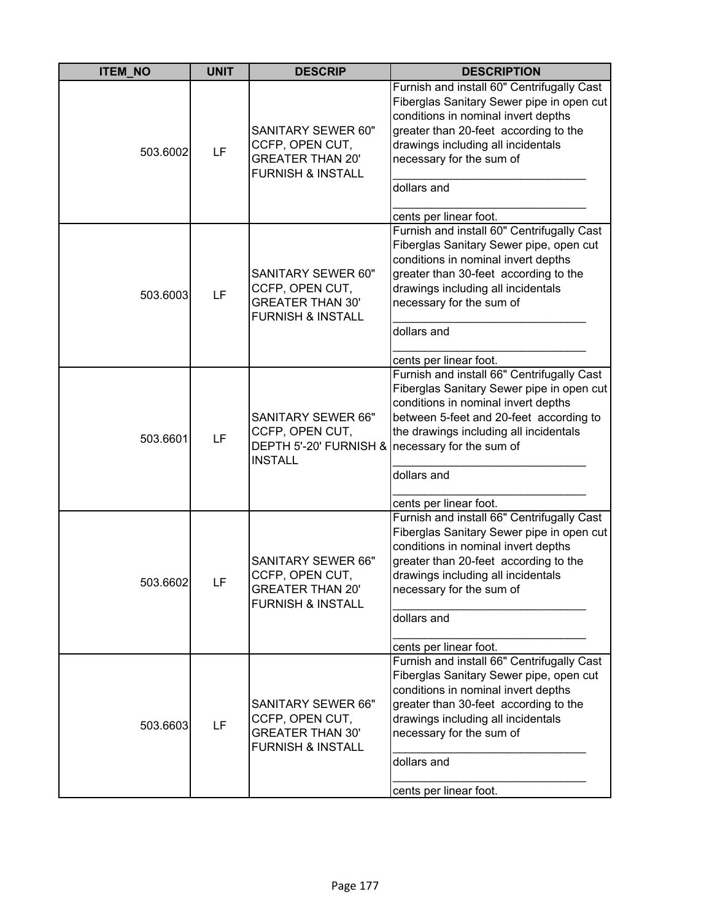| <b>ITEM_NO</b> | <b>UNIT</b> | <b>DESCRIP</b>                                                                                          | <b>DESCRIPTION</b>                                                                                                                                                                                                                                                                       |
|----------------|-------------|---------------------------------------------------------------------------------------------------------|------------------------------------------------------------------------------------------------------------------------------------------------------------------------------------------------------------------------------------------------------------------------------------------|
| 503.6002       | LF          | <b>SANITARY SEWER 60"</b><br>CCFP, OPEN CUT,<br><b>GREATER THAN 20'</b><br><b>FURNISH &amp; INSTALL</b> | Furnish and install 60" Centrifugally Cast<br>Fiberglas Sanitary Sewer pipe in open cut<br>conditions in nominal invert depths<br>greater than 20-feet according to the<br>drawings including all incidentals<br>necessary for the sum of<br>dollars and<br>cents per linear foot.       |
| 503.6003       | LF          | <b>SANITARY SEWER 60"</b><br>CCFP, OPEN CUT,<br><b>GREATER THAN 30'</b><br><b>FURNISH &amp; INSTALL</b> | Furnish and install 60" Centrifugally Cast<br>Fiberglas Sanitary Sewer pipe, open cut<br>conditions in nominal invert depths<br>greater than 30-feet according to the<br>drawings including all incidentals<br>necessary for the sum of<br>dollars and<br>cents per linear foot.         |
| 503.6601       | LF          | <b>SANITARY SEWER 66"</b><br>CCFP, OPEN CUT,<br>DEPTH 5'-20' FURNISH &<br><b>INSTALL</b>                | Furnish and install 66" Centrifugally Cast<br>Fiberglas Sanitary Sewer pipe in open cut<br>conditions in nominal invert depths<br>between 5-feet and 20-feet according to<br>the drawings including all incidentals<br>necessary for the sum of<br>dollars and<br>cents per linear foot. |
| 503.6602       | LF          | <b>SANITARY SEWER 66"</b><br>CCFP, OPEN CUT,<br><b>GREATER THAN 20'</b><br><b>FURNISH &amp; INSTALL</b> | Furnish and install 66" Centrifugally Cast<br>Fiberglas Sanitary Sewer pipe in open cut<br>conditions in nominal invert depths<br>greater than 20-feet according to the<br>drawings including all incidentals<br>necessary for the sum of<br>dollars and<br>cents per linear foot.       |
| 503.6603       | LF          | <b>SANITARY SEWER 66"</b><br>CCFP, OPEN CUT,<br><b>GREATER THAN 30'</b><br><b>FURNISH &amp; INSTALL</b> | Furnish and install 66" Centrifugally Cast<br>Fiberglas Sanitary Sewer pipe, open cut<br>conditions in nominal invert depths<br>greater than 30-feet according to the<br>drawings including all incidentals<br>necessary for the sum of<br>dollars and<br>cents per linear foot.         |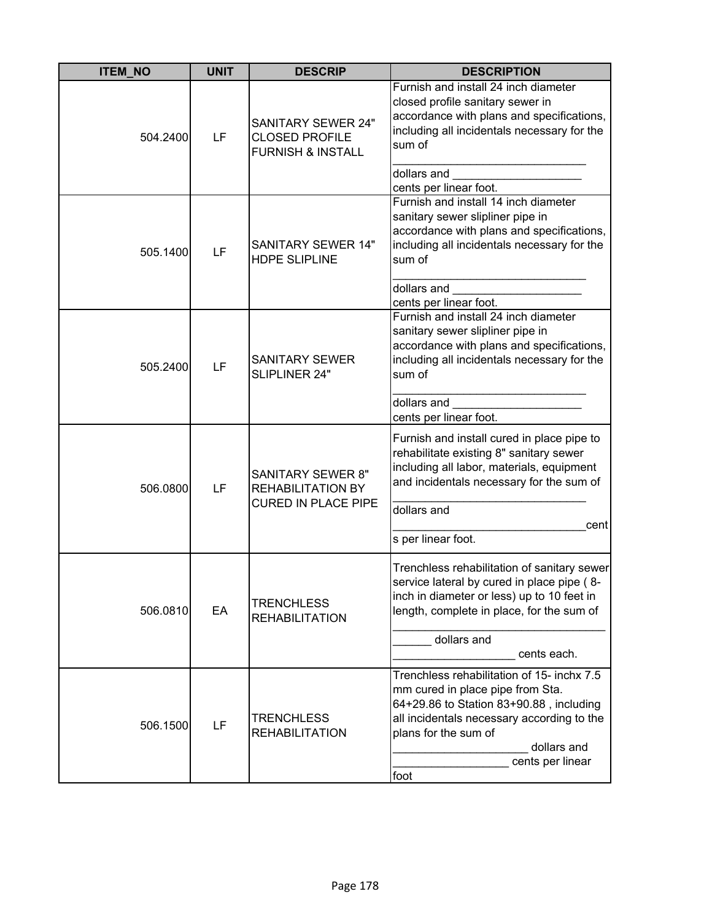| <b>ITEM NO</b> | <b>UNIT</b> | <b>DESCRIP</b>                                                                     | <b>DESCRIPTION</b>                                                                                                                                                                                                                         |
|----------------|-------------|------------------------------------------------------------------------------------|--------------------------------------------------------------------------------------------------------------------------------------------------------------------------------------------------------------------------------------------|
| 504.2400       | LF          | <b>SANITARY SEWER 24"</b><br><b>CLOSED PROFILE</b><br><b>FURNISH &amp; INSTALL</b> | Furnish and install 24 inch diameter<br>closed profile sanitary sewer in<br>accordance with plans and specifications,<br>including all incidentals necessary for the<br>sum of                                                             |
|                |             |                                                                                    | dollars and<br>cents per linear foot.                                                                                                                                                                                                      |
| 505.1400       | LF          | <b>SANITARY SEWER 14"</b><br><b>HDPE SLIPLINE</b>                                  | Furnish and install 14 inch diameter<br>sanitary sewer slipliner pipe in<br>accordance with plans and specifications,<br>including all incidentals necessary for the<br>sum of                                                             |
|                |             |                                                                                    | dollars and                                                                                                                                                                                                                                |
| 505.2400       | LF          | <b>SANITARY SEWER</b><br>SLIPLINER 24"                                             | cents per linear foot.<br>Furnish and install 24 inch diameter<br>sanitary sewer slipliner pipe in<br>accordance with plans and specifications,<br>including all incidentals necessary for the<br>sum of<br>dollars and                    |
|                |             |                                                                                    | cents per linear foot.                                                                                                                                                                                                                     |
| 506.0800       | LF          | <b>SANITARY SEWER 8"</b><br><b>REHABILITATION BY</b><br><b>CURED IN PLACE PIPE</b> | Furnish and install cured in place pipe to<br>rehabilitate existing 8" sanitary sewer<br>including all labor, materials, equipment<br>and incidentals necessary for the sum of                                                             |
|                |             |                                                                                    | dollars and                                                                                                                                                                                                                                |
|                |             |                                                                                    | cent<br>s per linear foot.                                                                                                                                                                                                                 |
| 506.0810       | EA          | <b>TRENCHLESS</b><br><b>REHABILITATION</b>                                         | Trenchless rehabilitation of sanitary sewer<br>service lateral by cured in place pipe (8-<br>inch in diameter or less) up to 10 feet in<br>length, complete in place, for the sum of                                                       |
|                |             |                                                                                    | dollars and<br>cents each.                                                                                                                                                                                                                 |
| 506.1500       | LF          | <b>TRENCHLESS</b><br><b>REHABILITATION</b>                                         | Trenchless rehabilitation of 15- inchx 7.5<br>mm cured in place pipe from Sta.<br>64+29.86 to Station 83+90.88, including<br>all incidentals necessary according to the<br>plans for the sum of<br>dollars and<br>cents per linear<br>foot |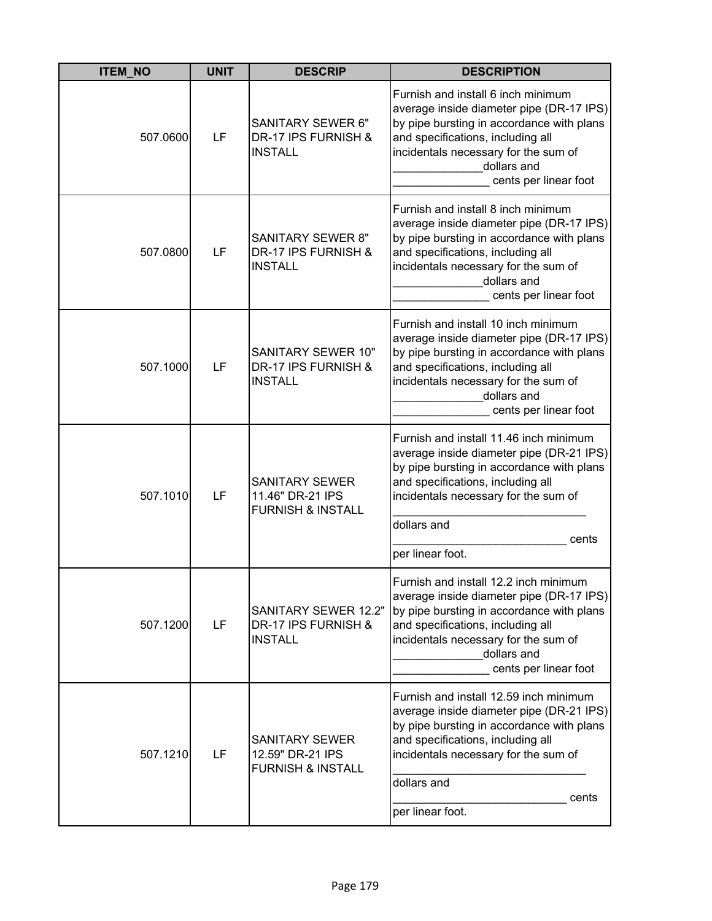| <b>ITEM_NO</b> | <b>UNIT</b> | <b>DESCRIP</b>                                                            | <b>DESCRIPTION</b>                                                                                                                                                                                                                                       |
|----------------|-------------|---------------------------------------------------------------------------|----------------------------------------------------------------------------------------------------------------------------------------------------------------------------------------------------------------------------------------------------------|
| 507.0600       | LF          | SANITARY SEWER 6"<br>DR-17 IPS FURNISH &<br><b>INSTALL</b>                | Furnish and install 6 inch minimum<br>average inside diameter pipe (DR-17 IPS)<br>by pipe bursting in accordance with plans<br>and specifications, including all<br>incidentals necessary for the sum of<br>dollars and<br>cents per linear foot         |
| 507.0800       | LF          | <b>SANITARY SEWER 8"</b><br>DR-17 IPS FURNISH &<br><b>INSTALL</b>         | Furnish and install 8 inch minimum<br>average inside diameter pipe (DR-17 IPS)<br>by pipe bursting in accordance with plans<br>and specifications, including all<br>incidentals necessary for the sum of<br>dollars and<br>cents per linear foot         |
| 507.1000       | LF          | <b>SANITARY SEWER 10"</b><br>DR-17 IPS FURNISH &<br><b>INSTALL</b>        | Furnish and install 10 inch minimum<br>average inside diameter pipe (DR-17 IPS)<br>by pipe bursting in accordance with plans<br>and specifications, including all<br>incidentals necessary for the sum of<br>dollars and<br>cents per linear foot        |
| 507.1010       | LF          | <b>SANITARY SEWER</b><br>11.46" DR-21 IPS<br><b>FURNISH &amp; INSTALL</b> | Furnish and install 11.46 inch minimum<br>average inside diameter pipe (DR-21 IPS)<br>by pipe bursting in accordance with plans<br>and specifications, including all<br>incidentals necessary for the sum of<br>dollars and<br>cents<br>per linear foot. |
| 507.1200       | LF          | <b>SANITARY SEWER 12.2"</b><br>DR-17 IPS FURNISH &<br><b>INSTALL</b>      | Furnish and install 12.2 inch minimum<br>average inside diameter pipe (DR-17 IPS)<br>by pipe bursting in accordance with plans<br>and specifications, including all<br>incidentals necessary for the sum of<br>dollars and<br>cents per linear foot      |
| 507.1210       | LF          | <b>SANITARY SEWER</b><br>12.59" DR-21 IPS<br><b>FURNISH &amp; INSTALL</b> | Furnish and install 12.59 inch minimum<br>average inside diameter pipe (DR-21 IPS)<br>by pipe bursting in accordance with plans<br>and specifications, including all<br>incidentals necessary for the sum of<br>dollars and<br>cents<br>per linear foot. |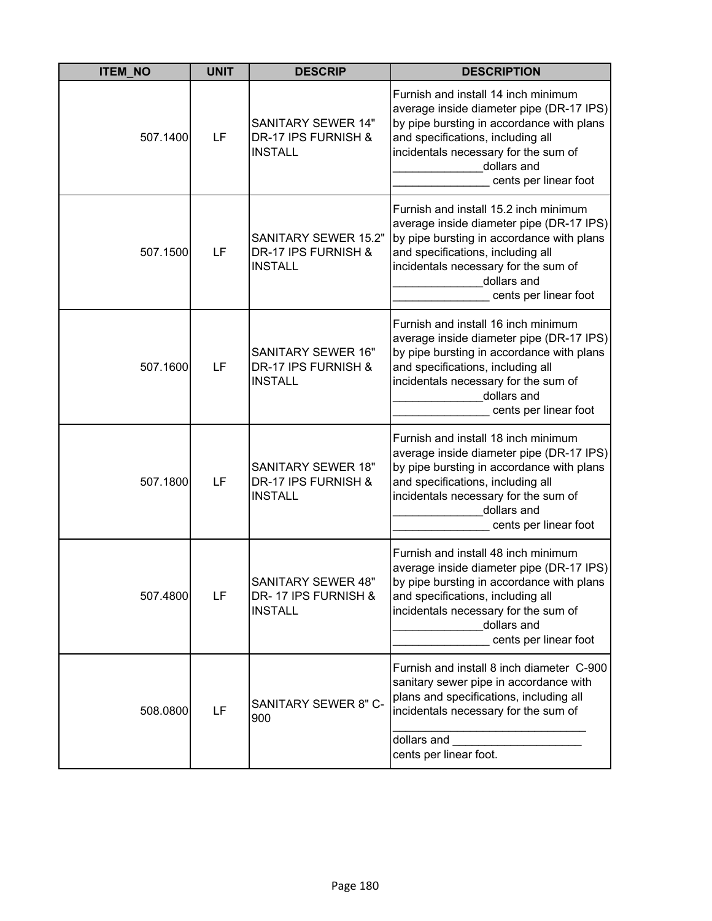| <b>ITEM_NO</b> | <b>UNIT</b> | <b>DESCRIP</b>                                                       | <b>DESCRIPTION</b>                                                                                                                                                                                                                                  |
|----------------|-------------|----------------------------------------------------------------------|-----------------------------------------------------------------------------------------------------------------------------------------------------------------------------------------------------------------------------------------------------|
| 507.1400       | LF          | <b>SANITARY SEWER 14"</b><br>DR-17 IPS FURNISH &<br><b>INSTALL</b>   | Furnish and install 14 inch minimum<br>average inside diameter pipe (DR-17 IPS)<br>by pipe bursting in accordance with plans<br>and specifications, including all<br>incidentals necessary for the sum of<br>dollars and<br>cents per linear foot   |
| 507.1500       | LF          | <b>SANITARY SEWER 15.2"</b><br>DR-17 IPS FURNISH &<br><b>INSTALL</b> | Furnish and install 15.2 inch minimum<br>average inside diameter pipe (DR-17 IPS)<br>by pipe bursting in accordance with plans<br>and specifications, including all<br>incidentals necessary for the sum of<br>dollars and<br>cents per linear foot |
| 507.1600       | LF          | <b>SANITARY SEWER 16"</b><br>DR-17 IPS FURNISH &<br><b>INSTALL</b>   | Furnish and install 16 inch minimum<br>average inside diameter pipe (DR-17 IPS)<br>by pipe bursting in accordance with plans<br>and specifications, including all<br>incidentals necessary for the sum of<br>dollars and<br>cents per linear foot   |
| 507.1800       | LF          | <b>SANITARY SEWER 18"</b><br>DR-17 IPS FURNISH &<br><b>INSTALL</b>   | Furnish and install 18 inch minimum<br>average inside diameter pipe (DR-17 IPS)<br>by pipe bursting in accordance with plans<br>and specifications, including all<br>incidentals necessary for the sum of<br>dollars and<br>cents per linear foot   |
| 507.4800       | LF          | <b>SANITARY SEWER 48"</b><br>DR-17 IPS FURNISH &<br><b>INSTALL</b>   | Furnish and install 48 inch minimum<br>average inside diameter pipe (DR-17 IPS)<br>by pipe bursting in accordance with plans<br>and specifications, including all<br>incidentals necessary for the sum of<br>dollars and<br>cents per linear foot   |
| 508.0800       | LF          | SANITARY SEWER 8" C-<br>900                                          | Furnish and install 8 inch diameter C-900<br>sanitary sewer pipe in accordance with<br>plans and specifications, including all<br>incidentals necessary for the sum of<br>dollars and<br>cents per linear foot.                                     |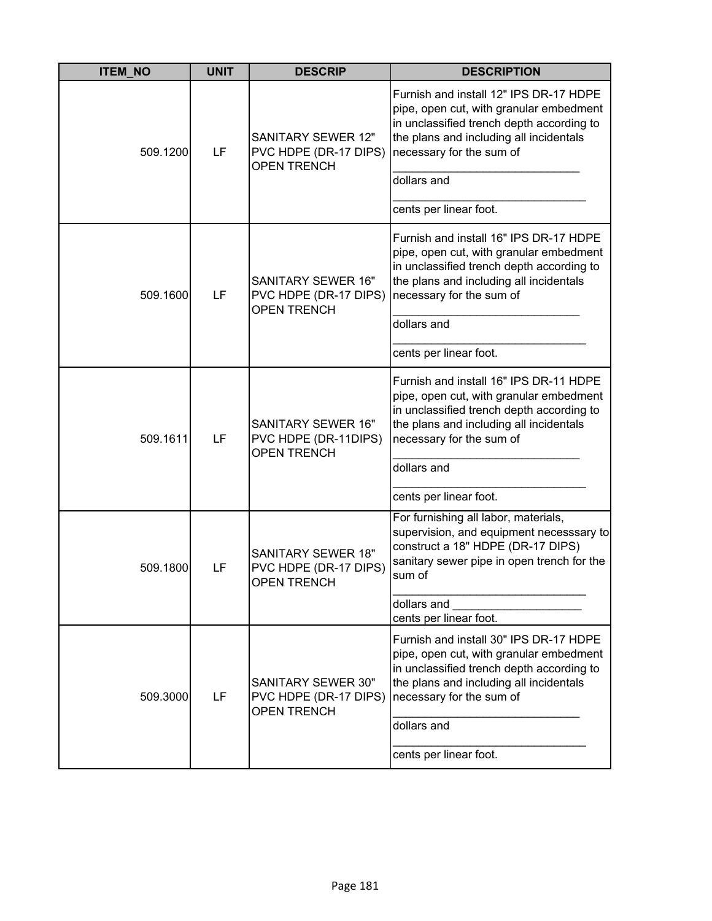| <b>ITEM_NO</b> | <b>UNIT</b> | <b>DESCRIP</b>                                                           | <b>DESCRIPTION</b>                                                                                                                                                                                                                             |
|----------------|-------------|--------------------------------------------------------------------------|------------------------------------------------------------------------------------------------------------------------------------------------------------------------------------------------------------------------------------------------|
| 509.1200       | LF          | <b>SANITARY SEWER 12"</b><br>PVC HDPE (DR-17 DIPS)<br><b>OPEN TRENCH</b> | Furnish and install 12" IPS DR-17 HDPE<br>pipe, open cut, with granular embedment<br>in unclassified trench depth according to<br>the plans and including all incidentals<br>necessary for the sum of<br>dollars and<br>cents per linear foot. |
|                |             |                                                                          |                                                                                                                                                                                                                                                |
| 509.1600       | LF          | <b>SANITARY SEWER 16"</b><br>PVC HDPE (DR-17 DIPS)<br><b>OPEN TRENCH</b> | Furnish and install 16" IPS DR-17 HDPE<br>pipe, open cut, with granular embedment<br>in unclassified trench depth according to<br>the plans and including all incidentals<br>necessary for the sum of                                          |
|                |             |                                                                          | dollars and                                                                                                                                                                                                                                    |
|                |             |                                                                          | cents per linear foot.                                                                                                                                                                                                                         |
| 509.1611       | LF          | <b>SANITARY SEWER 16"</b><br>PVC HDPE (DR-11DIPS)<br><b>OPEN TRENCH</b>  | Furnish and install 16" IPS DR-11 HDPE<br>pipe, open cut, with granular embedment<br>in unclassified trench depth according to<br>the plans and including all incidentals<br>necessary for the sum of<br>dollars and                           |
|                |             |                                                                          | cents per linear foot.                                                                                                                                                                                                                         |
| 509.1800       | LF          | <b>SANITARY SEWER 18"</b><br>PVC HDPE (DR-17 DIPS)<br><b>OPEN TRENCH</b> | For furnishing all labor, materials,<br>supervision, and equipment necesssary to<br>construct a 18" HDPE (DR-17 DIPS)<br>sanitary sewer pipe in open trench for the<br>sum of                                                                  |
|                |             |                                                                          | dollars and<br>cents per linear foot.                                                                                                                                                                                                          |
| 509.3000       | LF          | <b>SANITARY SEWER 30"</b><br>PVC HDPE (DR-17 DIPS)<br><b>OPEN TRENCH</b> | Furnish and install 30" IPS DR-17 HDPE<br>pipe, open cut, with granular embedment<br>in unclassified trench depth according to<br>the plans and including all incidentals<br>necessary for the sum of<br>dollars and                           |
|                |             |                                                                          | cents per linear foot.                                                                                                                                                                                                                         |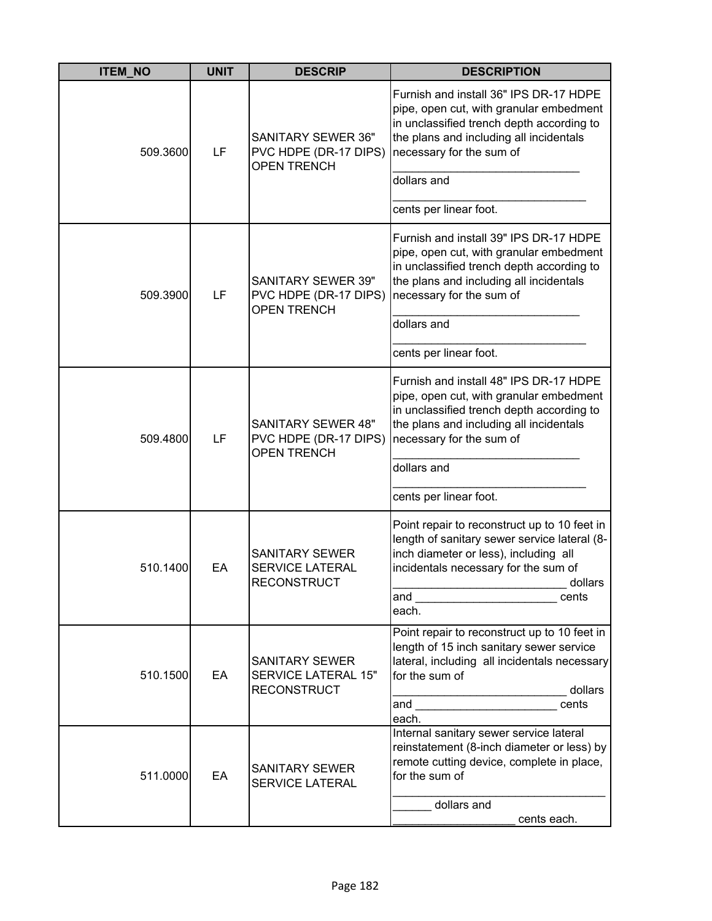| <b>ITEM NO</b> | <b>UNIT</b> | <b>DESCRIP</b>                                                            | <b>DESCRIPTION</b>                                                                                                                                                                                                                   |
|----------------|-------------|---------------------------------------------------------------------------|--------------------------------------------------------------------------------------------------------------------------------------------------------------------------------------------------------------------------------------|
| 509.3600       | LF          | <b>SANITARY SEWER 36"</b><br>PVC HDPE (DR-17 DIPS)<br><b>OPEN TRENCH</b>  | Furnish and install 36" IPS DR-17 HDPE<br>pipe, open cut, with granular embedment<br>in unclassified trench depth according to<br>the plans and including all incidentals<br>necessary for the sum of                                |
|                |             |                                                                           | dollars and                                                                                                                                                                                                                          |
|                |             |                                                                           | cents per linear foot.                                                                                                                                                                                                               |
| 509.3900       | LF          | SANITARY SEWER 39"<br>PVC HDPE (DR-17 DIPS)<br><b>OPEN TRENCH</b>         | Furnish and install 39" IPS DR-17 HDPE<br>pipe, open cut, with granular embedment<br>in unclassified trench depth according to<br>the plans and including all incidentals<br>necessary for the sum of                                |
|                |             |                                                                           | dollars and                                                                                                                                                                                                                          |
|                |             |                                                                           | cents per linear foot.                                                                                                                                                                                                               |
| 509.4800       | LF          | <b>SANITARY SEWER 48"</b><br>PVC HDPE (DR-17 DIPS)<br><b>OPEN TRENCH</b>  | Furnish and install 48" IPS DR-17 HDPE<br>pipe, open cut, with granular embedment<br>in unclassified trench depth according to<br>the plans and including all incidentals<br>necessary for the sum of<br>dollars and                 |
|                |             |                                                                           |                                                                                                                                                                                                                                      |
| 510.1400       | EA          | <b>SANITARY SEWER</b><br><b>SERVICE LATERAL</b><br><b>RECONSTRUCT</b>     | cents per linear foot.<br>Point repair to reconstruct up to 10 feet in<br>length of sanitary sewer service lateral (8-<br>inch diameter or less), including all<br>incidentals necessary for the sum of<br>dollars<br>cents<br>each. |
| 510.1500       | EA          | <b>SANITARY SEWER</b><br><b>SERVICE LATERAL 15"</b><br><b>RECONSTRUCT</b> | Point repair to reconstruct up to 10 feet in<br>length of 15 inch sanitary sewer service<br>lateral, including all incidentals necessary<br>for the sum of<br>dollars<br>cents<br>each.                                              |
| 511.0000       | EA          | SANITARY SEWER<br>SERVICE LATERAL                                         | Internal sanitary sewer service lateral<br>reinstatement (8-inch diameter or less) by<br>remote cutting device, complete in place,<br>for the sum of<br>dollars and<br>cents each.                                                   |
|                |             |                                                                           |                                                                                                                                                                                                                                      |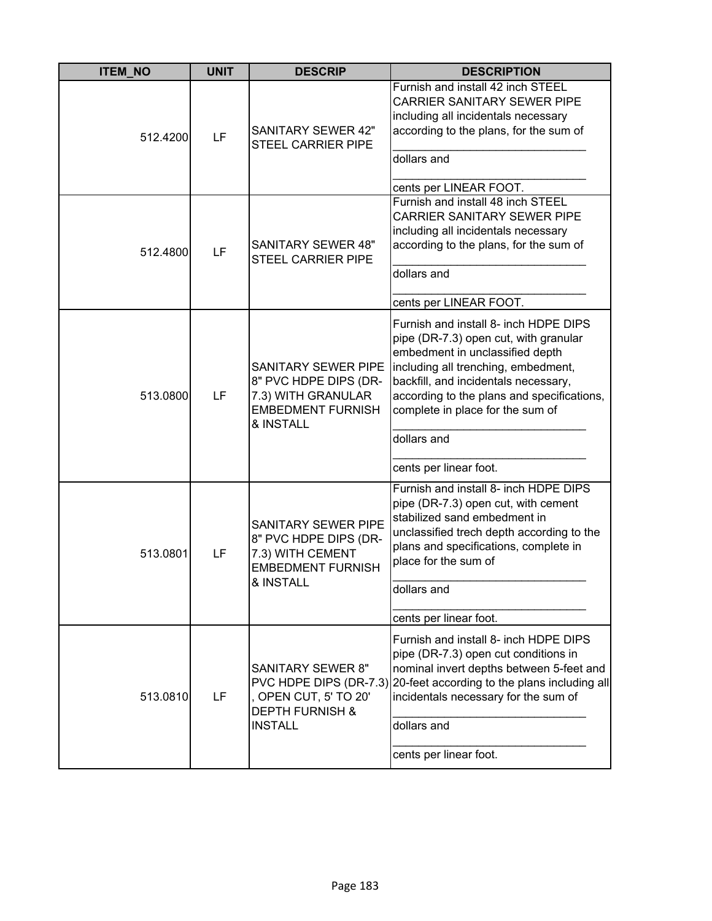| <b>ITEM NO</b> | <b>UNIT</b> | <b>DESCRIP</b>                                                                                                     | <b>DESCRIPTION</b>                                                                                                                                                                                                                                                                                |
|----------------|-------------|--------------------------------------------------------------------------------------------------------------------|---------------------------------------------------------------------------------------------------------------------------------------------------------------------------------------------------------------------------------------------------------------------------------------------------|
| 512.4200       | LF          | <b>SANITARY SEWER 42"</b><br><b>STEEL CARRIER PIPE</b>                                                             | Furnish and install 42 inch STEEL<br><b>CARRIER SANITARY SEWER PIPE</b><br>including all incidentals necessary<br>according to the plans, for the sum of<br>dollars and<br>cents per LINEAR FOOT.                                                                                                 |
| 512.4800       | LF          | <b>SANITARY SEWER 48"</b><br>STEEL CARRIER PIPE                                                                    | Furnish and install 48 inch STEEL<br>CARRIER SANITARY SEWER PIPE<br>including all incidentals necessary<br>according to the plans, for the sum of<br>dollars and<br>cents per LINEAR FOOT.                                                                                                        |
| 513.0800       | LF          | <b>SANITARY SEWER PIPE</b><br>8" PVC HDPE DIPS (DR-<br>7.3) WITH GRANULAR<br><b>EMBEDMENT FURNISH</b><br>& INSTALL | Furnish and install 8- inch HDPE DIPS<br>pipe (DR-7.3) open cut, with granular<br>embedment in unclassified depth<br>including all trenching, embedment,<br>backfill, and incidentals necessary,<br>according to the plans and specifications,<br>complete in place for the sum of<br>dollars and |
| 513.0801       | LF          | <b>SANITARY SEWER PIPE</b><br>8" PVC HDPE DIPS (DR-<br>7.3) WITH CEMENT<br><b>EMBEDMENT FURNISH</b><br>& INSTALL   | cents per linear foot.<br>Furnish and install 8- inch HDPE DIPS<br>pipe (DR-7.3) open cut, with cement<br>stabilized sand embedment in<br>unclassified trech depth according to the<br>plans and specifications, complete in<br>place for the sum of<br>dollars and<br>cents per linear foot.     |
| 513.0810       | LF          | <b>SANITARY SEWER 8"</b><br>, OPEN CUT, 5' TO 20'<br><b>DEPTH FURNISH &amp;</b><br><b>INSTALL</b>                  | Furnish and install 8- inch HDPE DIPS<br>pipe (DR-7.3) open cut conditions in<br>nominal invert depths between 5-feet and<br>PVC HDPE DIPS (DR-7.3) 20-feet according to the plans including all<br>incidentals necessary for the sum of<br>dollars and<br>cents per linear foot.                 |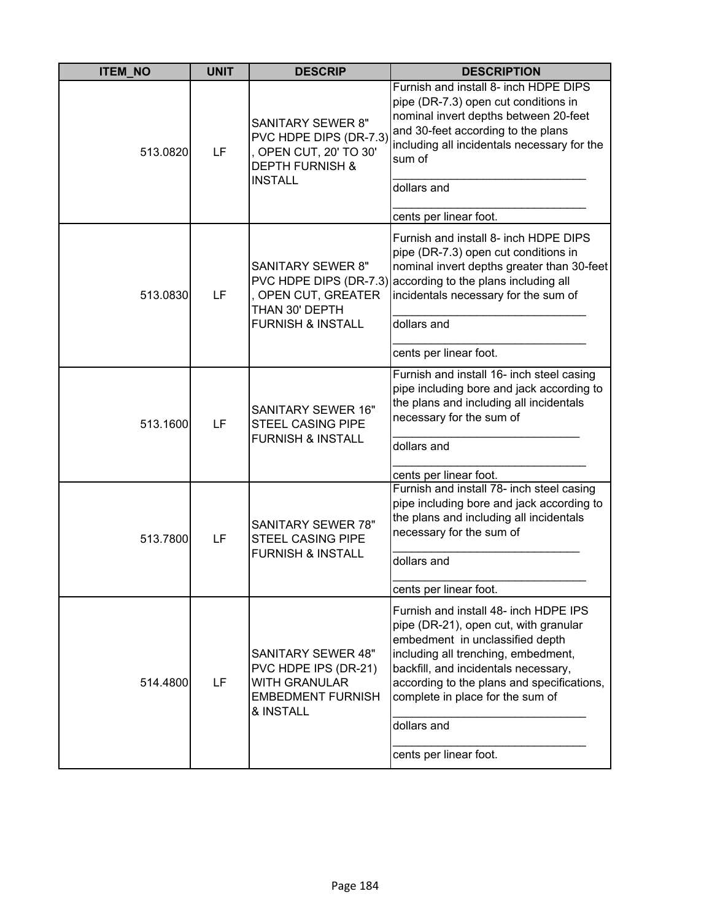| <b>ITEM_NO</b> | <b>UNIT</b> | <b>DESCRIP</b>                                                                                                               | <b>DESCRIPTION</b>                                                                                                                                                                                                                                                                                |
|----------------|-------------|------------------------------------------------------------------------------------------------------------------------------|---------------------------------------------------------------------------------------------------------------------------------------------------------------------------------------------------------------------------------------------------------------------------------------------------|
| 513.0820       | LF          | <b>SANITARY SEWER 8"</b><br>PVC HDPE DIPS (DR-7.3)<br>, OPEN CUT, 20' TO 30'<br><b>DEPTH FURNISH &amp;</b><br><b>INSTALL</b> | Furnish and install 8- inch HDPE DIPS<br>pipe (DR-7.3) open cut conditions in<br>nominal invert depths between 20-feet<br>and 30-feet according to the plans<br>including all incidentals necessary for the<br>sum of<br>dollars and                                                              |
|                |             |                                                                                                                              | cents per linear foot.                                                                                                                                                                                                                                                                            |
| 513.0830       | LF          | <b>SANITARY SEWER 8"</b><br>, OPEN CUT, GREATER<br>THAN 30' DEPTH                                                            | Furnish and install 8- inch HDPE DIPS<br>pipe (DR-7.3) open cut conditions in<br>nominal invert depths greater than 30-feet<br>PVC HDPE DIPS (DR-7.3) according to the plans including all<br>incidentals necessary for the sum of                                                                |
|                |             | <b>FURNISH &amp; INSTALL</b>                                                                                                 | dollars and                                                                                                                                                                                                                                                                                       |
|                |             |                                                                                                                              | cents per linear foot.                                                                                                                                                                                                                                                                            |
| 513.1600       | LF          | <b>SANITARY SEWER 16"</b><br><b>STEEL CASING PIPE</b><br><b>FURNISH &amp; INSTALL</b>                                        | Furnish and install 16- inch steel casing<br>pipe including bore and jack according to<br>the plans and including all incidentals<br>necessary for the sum of<br>dollars and<br>cents per linear foot.                                                                                            |
|                |             |                                                                                                                              | Furnish and install 78- inch steel casing                                                                                                                                                                                                                                                         |
| 513.7800       | LF          | <b>SANITARY SEWER 78"</b><br>STEEL CASING PIPE<br><b>FURNISH &amp; INSTALL</b>                                               | pipe including bore and jack according to<br>the plans and including all incidentals<br>necessary for the sum of                                                                                                                                                                                  |
|                |             |                                                                                                                              | dollars and                                                                                                                                                                                                                                                                                       |
|                |             |                                                                                                                              | cents per linear foot.                                                                                                                                                                                                                                                                            |
| 514.4800       | LF          | <b>SANITARY SEWER 48"</b><br>PVC HDPE IPS (DR-21)<br><b>WITH GRANULAR</b><br><b>EMBEDMENT FURNISH</b><br>& INSTALL           | Furnish and install 48- inch HDPE IPS<br>pipe (DR-21), open cut, with granular<br>embedment in unclassified depth<br>including all trenching, embedment,<br>backfill, and incidentals necessary,<br>according to the plans and specifications,<br>complete in place for the sum of<br>dollars and |
|                |             |                                                                                                                              | cents per linear foot.                                                                                                                                                                                                                                                                            |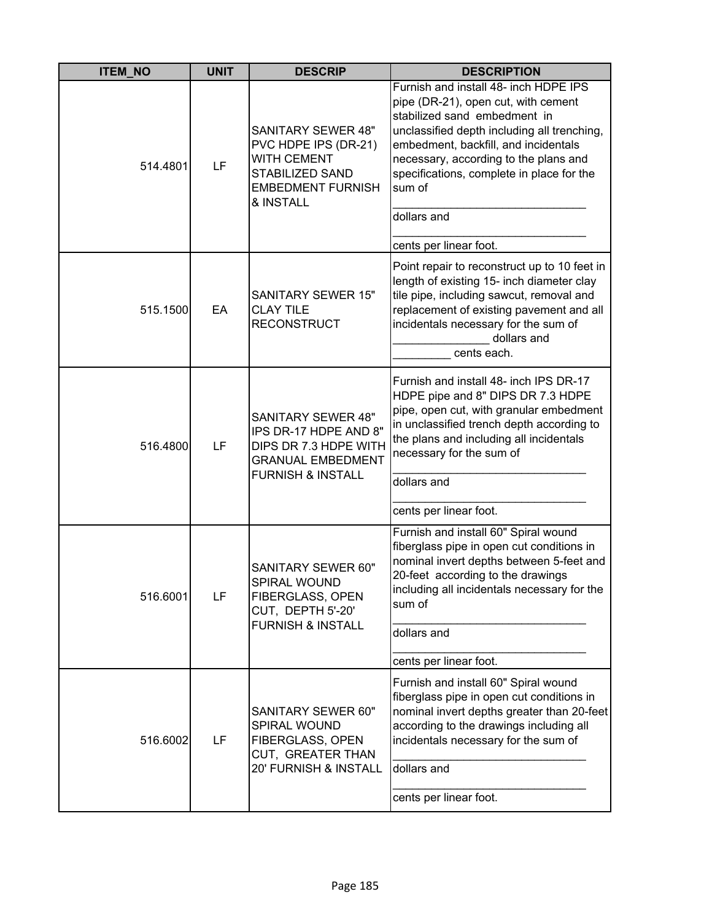| <b>ITEM NO</b> | <b>UNIT</b> | <b>DESCRIP</b>                                                                                                                             | <b>DESCRIPTION</b>                                                                                                                                                                                                                                                                                                 |
|----------------|-------------|--------------------------------------------------------------------------------------------------------------------------------------------|--------------------------------------------------------------------------------------------------------------------------------------------------------------------------------------------------------------------------------------------------------------------------------------------------------------------|
| 514.4801       | LF          | <b>SANITARY SEWER 48"</b><br>PVC HDPE IPS (DR-21)<br><b>WITH CEMENT</b><br><b>STABILIZED SAND</b><br><b>EMBEDMENT FURNISH</b><br>& INSTALL | Furnish and install 48- inch HDPE IPS<br>pipe (DR-21), open cut, with cement<br>stabilized sand embedment in<br>unclassified depth including all trenching,<br>embedment, backfill, and incidentals<br>necessary, according to the plans and<br>specifications, complete in place for the<br>sum of<br>dollars and |
|                |             |                                                                                                                                            | cents per linear foot.                                                                                                                                                                                                                                                                                             |
| 515.1500       | EA          | <b>SANITARY SEWER 15"</b><br><b>CLAY TILE</b><br><b>RECONSTRUCT</b>                                                                        | Point repair to reconstruct up to 10 feet in<br>length of existing 15- inch diameter clay<br>tile pipe, including sawcut, removal and<br>replacement of existing pavement and all<br>incidentals necessary for the sum of<br>dollars and<br>cents each.                                                            |
| 516.4800       | LF          | <b>SANITARY SEWER 48"</b><br>IPS DR-17 HDPE AND 8"<br>DIPS DR 7.3 HDPE WITH<br><b>GRANUAL EMBEDMENT</b><br><b>FURNISH &amp; INSTALL</b>    | Furnish and install 48- inch IPS DR-17<br>HDPE pipe and 8" DIPS DR 7.3 HDPE<br>pipe, open cut, with granular embedment<br>in unclassified trench depth according to<br>the plans and including all incidentals<br>necessary for the sum of<br>dollars and<br>cents per linear foot.                                |
| 516.6001       | LF          | SANITARY SEWER 60"<br>SPIRAL WOUND<br>FIBERGLASS, OPEN<br>CUT, DEPTH 5'-20'<br><b>FURNISH &amp; INSTALL</b>                                | Furnish and install 60" Spiral wound<br>fiberglass pipe in open cut conditions in<br>nominal invert depths between 5-feet and<br>20-feet according to the drawings<br>including all incidentals necessary for the<br>sum of<br>dollars and<br>cents per linear foot.                                               |
| 516.6002       | LF          | SANITARY SEWER 60"<br>SPIRAL WOUND<br>FIBERGLASS, OPEN<br>CUT, GREATER THAN<br>20' FURNISH & INSTALL                                       | Furnish and install 60" Spiral wound<br>fiberglass pipe in open cut conditions in<br>nominal invert depths greater than 20-feet<br>according to the drawings including all<br>incidentals necessary for the sum of<br>dollars and<br>cents per linear foot.                                                        |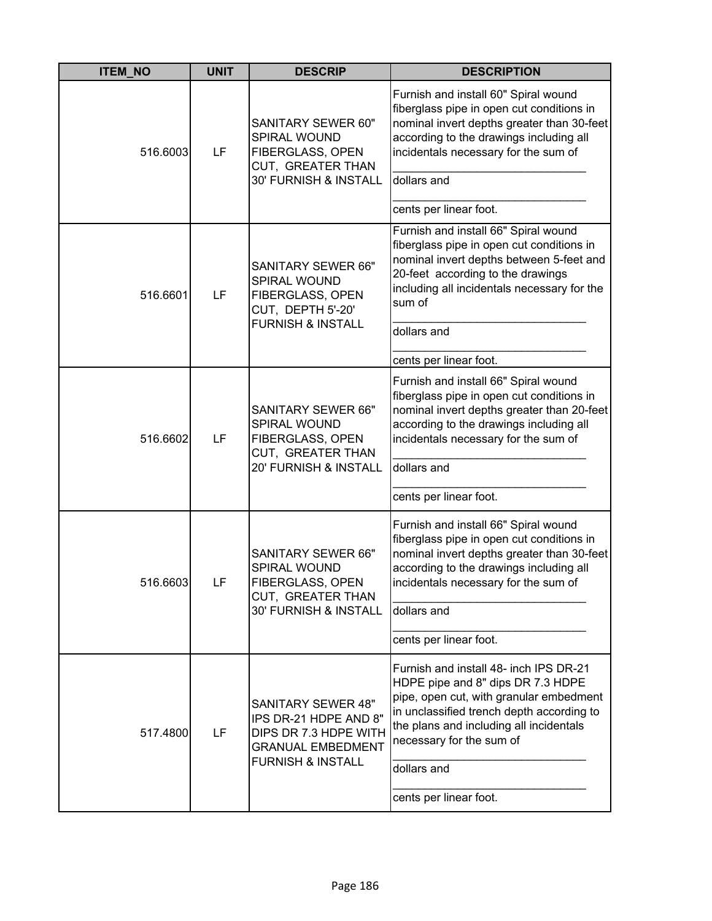| <b>ITEM_NO</b> | <b>UNIT</b> | <b>DESCRIP</b>                                                                                                                          | <b>DESCRIPTION</b>                                                                                                                                                                                                                                                                  |
|----------------|-------------|-----------------------------------------------------------------------------------------------------------------------------------------|-------------------------------------------------------------------------------------------------------------------------------------------------------------------------------------------------------------------------------------------------------------------------------------|
| 516.6003       | LF          | SANITARY SEWER 60"<br>SPIRAL WOUND<br>FIBERGLASS, OPEN<br>CUT, GREATER THAN<br>30' FURNISH & INSTALL                                    | Furnish and install 60" Spiral wound<br>fiberglass pipe in open cut conditions in<br>nominal invert depths greater than 30-feet<br>according to the drawings including all<br>incidentals necessary for the sum of<br>dollars and                                                   |
|                |             |                                                                                                                                         | cents per linear foot.                                                                                                                                                                                                                                                              |
| 516.6601       | LF          | SANITARY SEWER 66"<br>SPIRAL WOUND<br>FIBERGLASS, OPEN<br>CUT, DEPTH 5'-20'<br><b>FURNISH &amp; INSTALL</b>                             | Furnish and install 66" Spiral wound<br>fiberglass pipe in open cut conditions in<br>nominal invert depths between 5-feet and<br>20-feet according to the drawings<br>including all incidentals necessary for the<br>sum of<br>dollars and                                          |
|                |             |                                                                                                                                         | cents per linear foot.                                                                                                                                                                                                                                                              |
| 516.6602       | LF          | SANITARY SEWER 66"<br>SPIRAL WOUND<br>FIBERGLASS, OPEN<br>CUT, GREATER THAN<br>20' FURNISH & INSTALL                                    | Furnish and install 66" Spiral wound<br>fiberglass pipe in open cut conditions in<br>nominal invert depths greater than 20-feet<br>according to the drawings including all<br>incidentals necessary for the sum of<br>dollars and<br>cents per linear foot.                         |
| 516.6603       | LF          | <b>SANITARY SEWER 66"</b><br>SPIRAL WOUND<br><b>FIBERGLASS, OPEN</b><br>CUT, GREATER THAN<br>30' FURNISH & INSTALL                      | Furnish and install 66" Spiral wound<br>fiberglass pipe in open cut conditions in<br>nominal invert depths greater than 30-feet<br>according to the drawings including all<br>incidentals necessary for the sum of<br>dollars and<br>cents per linear foot.                         |
| 517.4800       | LF          | <b>SANITARY SEWER 48"</b><br>IPS DR-21 HDPE AND 8"<br>DIPS DR 7.3 HDPE WITH<br><b>GRANUAL EMBEDMENT</b><br><b>FURNISH &amp; INSTALL</b> | Furnish and install 48- inch IPS DR-21<br>HDPE pipe and 8" dips DR 7.3 HDPE<br>pipe, open cut, with granular embedment<br>in unclassified trench depth according to<br>the plans and including all incidentals<br>necessary for the sum of<br>dollars and<br>cents per linear foot. |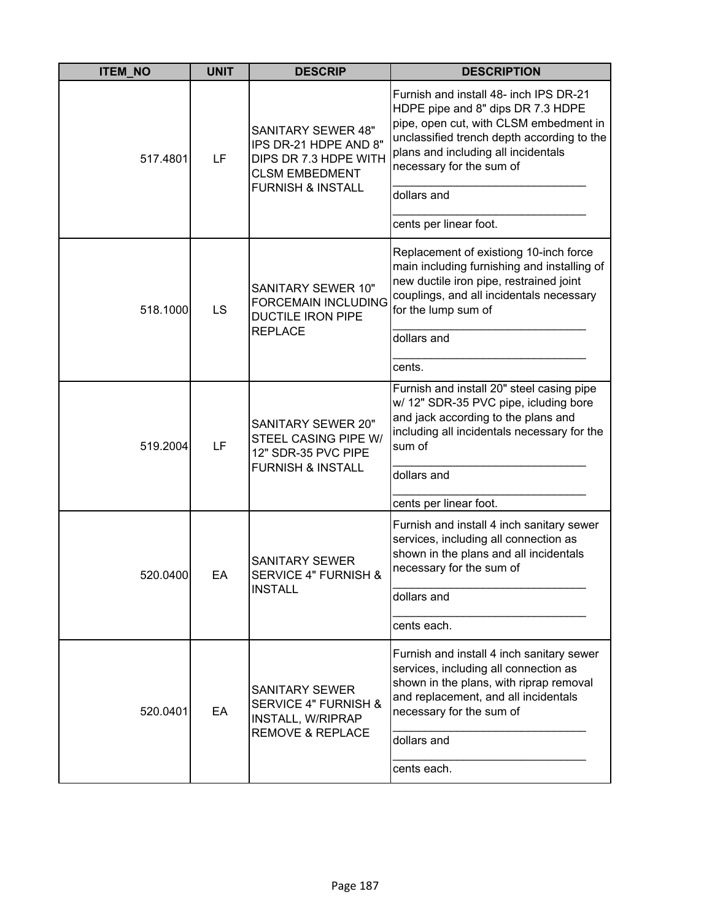| <b>ITEM_NO</b> | <b>UNIT</b> | <b>DESCRIP</b>                                                                                                                       | <b>DESCRIPTION</b>                                                                                                                                                                                                                                                              |
|----------------|-------------|--------------------------------------------------------------------------------------------------------------------------------------|---------------------------------------------------------------------------------------------------------------------------------------------------------------------------------------------------------------------------------------------------------------------------------|
| 517.4801       | LF          | <b>SANITARY SEWER 48"</b><br>IPS DR-21 HDPE AND 8"<br>DIPS DR 7.3 HDPE WITH<br><b>CLSM EMBEDMENT</b><br><b>FURNISH &amp; INSTALL</b> | Furnish and install 48- inch IPS DR-21<br>HDPE pipe and 8" dips DR 7.3 HDPE<br>pipe, open cut, with CLSM embedment in<br>unclassified trench depth according to the<br>plans and including all incidentals<br>necessary for the sum of<br>dollars and<br>cents per linear foot. |
| 518.1000       | LS          | <b>SANITARY SEWER 10"</b><br><b>FORCEMAIN INCLUDING</b><br><b>DUCTILE IRON PIPE</b><br><b>REPLACE</b>                                | Replacement of existiong 10-inch force<br>main including furnishing and installing of<br>new ductile iron pipe, restrained joint<br>couplings, and all incidentals necessary<br>for the lump sum of<br>dollars and<br>cents.                                                    |
| 519.2004       | LF          | <b>SANITARY SEWER 20"</b><br>STEEL CASING PIPE W/<br>12" SDR-35 PVC PIPE<br><b>FURNISH &amp; INSTALL</b>                             | Furnish and install 20" steel casing pipe<br>w/ 12" SDR-35 PVC pipe, icluding bore<br>and jack according to the plans and<br>including all incidentals necessary for the<br>sum of<br>dollars and<br>cents per linear foot.                                                     |
| 520.0400       | EA          | <b>SANITARY SEWER</b><br><b>SERVICE 4" FURNISH &amp;</b><br><b>INSTALL</b>                                                           | Furnish and install 4 inch sanitary sewer<br>services, including all connection as<br>shown in the plans and all incidentals<br>necessary for the sum of<br>dollars and<br>cents each.                                                                                          |
| 520.0401       | EA          | <b>SANITARY SEWER</b><br><b>SERVICE 4" FURNISH &amp;</b><br>INSTALL, W/RIPRAP<br><b>REMOVE &amp; REPLACE</b>                         | Furnish and install 4 inch sanitary sewer<br>services, including all connection as<br>shown in the plans, with riprap removal<br>and replacement, and all incidentals<br>necessary for the sum of<br>dollars and<br>cents each.                                                 |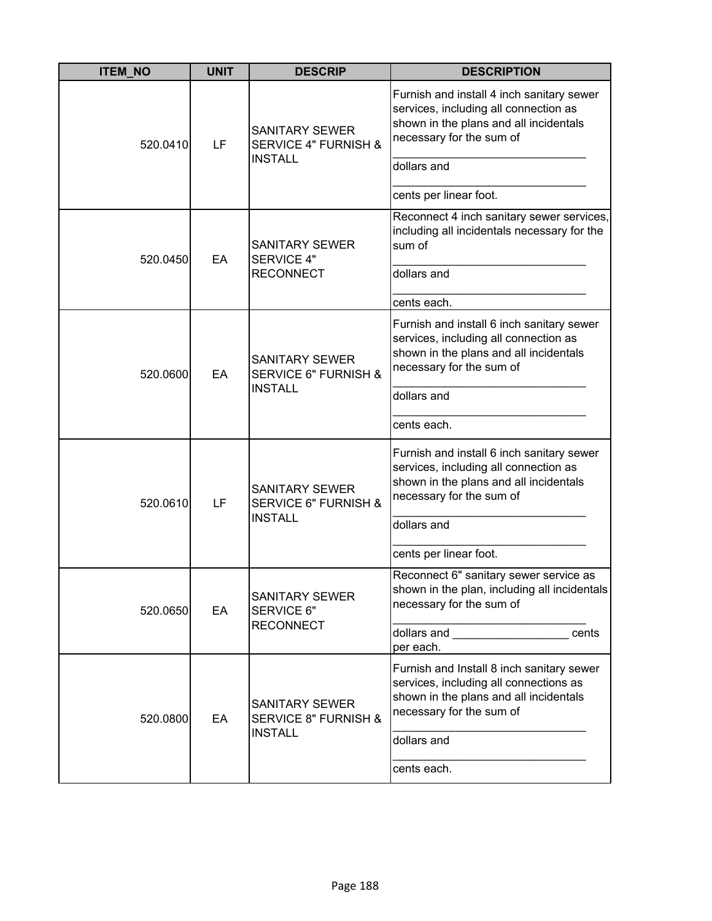| <b>ITEM_NO</b> | <b>UNIT</b> | <b>DESCRIP</b>                                                             | <b>DESCRIPTION</b>                                                                                                                                        |
|----------------|-------------|----------------------------------------------------------------------------|-----------------------------------------------------------------------------------------------------------------------------------------------------------|
| 520.0410       | LF          | <b>SANITARY SEWER</b><br><b>SERVICE 4" FURNISH &amp;</b>                   | Furnish and install 4 inch sanitary sewer<br>services, including all connection as<br>shown in the plans and all incidentals<br>necessary for the sum of  |
|                |             | <b>INSTALL</b>                                                             | dollars and                                                                                                                                               |
|                |             |                                                                            | cents per linear foot.                                                                                                                                    |
|                | EA          | <b>SANITARY SEWER</b>                                                      | Reconnect 4 inch sanitary sewer services,<br>including all incidentals necessary for the<br>sum of                                                        |
| 520.0450       |             | <b>SERVICE 4"</b><br><b>RECONNECT</b>                                      | dollars and                                                                                                                                               |
|                |             |                                                                            | cents each.                                                                                                                                               |
| 520.0600       | EA          | <b>SANITARY SEWER</b><br><b>SERVICE 6" FURNISH &amp;</b><br><b>INSTALL</b> | Furnish and install 6 inch sanitary sewer<br>services, including all connection as<br>shown in the plans and all incidentals<br>necessary for the sum of  |
|                |             |                                                                            | dollars and                                                                                                                                               |
|                |             |                                                                            | cents each.                                                                                                                                               |
| 520.0610       | LF          | SANITARY SEWER<br><b>SERVICE 6" FURNISH &amp;</b><br><b>INSTALL</b>        | Furnish and install 6 inch sanitary sewer<br>services, including all connection as<br>shown in the plans and all incidentals<br>necessary for the sum of  |
|                |             |                                                                            | dollars and                                                                                                                                               |
|                |             |                                                                            | cents per linear foot.                                                                                                                                    |
| 520.0650       | EA          | <b>SANITARY SEWER</b><br>SERVICE 6"                                        | Reconnect 6" sanitary sewer service as<br>shown in the plan, including all incidentals<br>necessary for the sum of                                        |
|                |             | <b>RECONNECT</b>                                                           | dollars and ____________________<br>cents<br>per each.                                                                                                    |
| 520.0800       | EA          | <b>SANITARY SEWER</b><br><b>SERVICE 8" FURNISH &amp;</b><br><b>INSTALL</b> | Furnish and Install 8 inch sanitary sewer<br>services, including all connections as<br>shown in the plans and all incidentals<br>necessary for the sum of |
|                |             |                                                                            | dollars and                                                                                                                                               |
|                |             |                                                                            | cents each.                                                                                                                                               |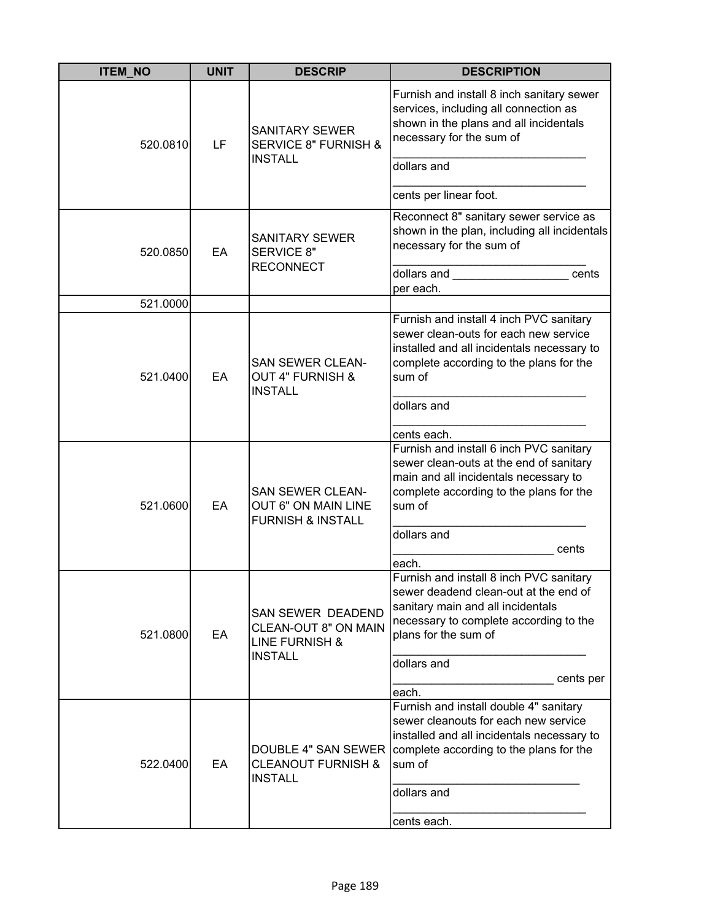| <b>ITEM_NO</b> | <b>UNIT</b> | <b>DESCRIP</b>                                                                           | <b>DESCRIPTION</b>                                                                                                                                                                                                                                     |
|----------------|-------------|------------------------------------------------------------------------------------------|--------------------------------------------------------------------------------------------------------------------------------------------------------------------------------------------------------------------------------------------------------|
| 520.0810       | LF          | <b>SANITARY SEWER</b><br><b>SERVICE 8" FURNISH &amp;</b><br><b>INSTALL</b>               | Furnish and install 8 inch sanitary sewer<br>services, including all connection as<br>shown in the plans and all incidentals<br>necessary for the sum of                                                                                               |
|                |             |                                                                                          | dollars and                                                                                                                                                                                                                                            |
|                |             |                                                                                          | cents per linear foot.                                                                                                                                                                                                                                 |
| 520.0850       | EA          | <b>SANITARY SEWER</b><br>SERVICE 8"<br><b>RECONNECT</b>                                  | Reconnect 8" sanitary sewer service as<br>shown in the plan, including all incidentals<br>necessary for the sum of<br>dollars and <b>contract the contract of the contract of the contract of the contract of the contract of the control</b><br>cents |
|                |             |                                                                                          | per each.                                                                                                                                                                                                                                              |
| 521.0000       |             |                                                                                          |                                                                                                                                                                                                                                                        |
| 521.0400       | EA          | <b>SAN SEWER CLEAN-</b><br><b>OUT 4" FURNISH &amp;</b><br><b>INSTALL</b>                 | Furnish and install 4 inch PVC sanitary<br>sewer clean-outs for each new service<br>installed and all incidentals necessary to<br>complete according to the plans for the<br>sum of<br>dollars and                                                     |
|                |             |                                                                                          |                                                                                                                                                                                                                                                        |
|                |             |                                                                                          | cents each.                                                                                                                                                                                                                                            |
| 521.0600       | EA          | <b>SAN SEWER CLEAN-</b><br>OUT 6" ON MAIN LINE<br><b>FURNISH &amp; INSTALL</b>           | Furnish and install 6 inch PVC sanitary<br>sewer clean-outs at the end of sanitary<br>main and all incidentals necessary to<br>complete according to the plans for the<br>sum of<br>dollars and<br>cents                                               |
|                |             |                                                                                          | each.                                                                                                                                                                                                                                                  |
| 521.0800       | EA          | SAN SEWER DEADEND<br>CLEAN-OUT 8" ON MAIN<br><b>LINE FURNISH &amp;</b><br><b>INSTALL</b> | Furnish and install 8 inch PVC sanitary<br>sewer deadend clean-out at the end of<br>sanitary main and all incidentals<br>necessary to complete according to the<br>plans for the sum of<br>dollars and                                                 |
|                |             |                                                                                          | cents per                                                                                                                                                                                                                                              |
|                |             |                                                                                          | each.                                                                                                                                                                                                                                                  |
| 522.0400       | EA          | <b>DOUBLE 4" SAN SEWER</b><br><b>CLEANOUT FURNISH &amp;</b><br><b>INSTALL</b>            | Furnish and install double 4" sanitary<br>sewer cleanouts for each new service<br>installed and all incidentals necessary to<br>complete according to the plans for the<br>sum of<br>dollars and                                                       |
|                |             |                                                                                          | cents each.                                                                                                                                                                                                                                            |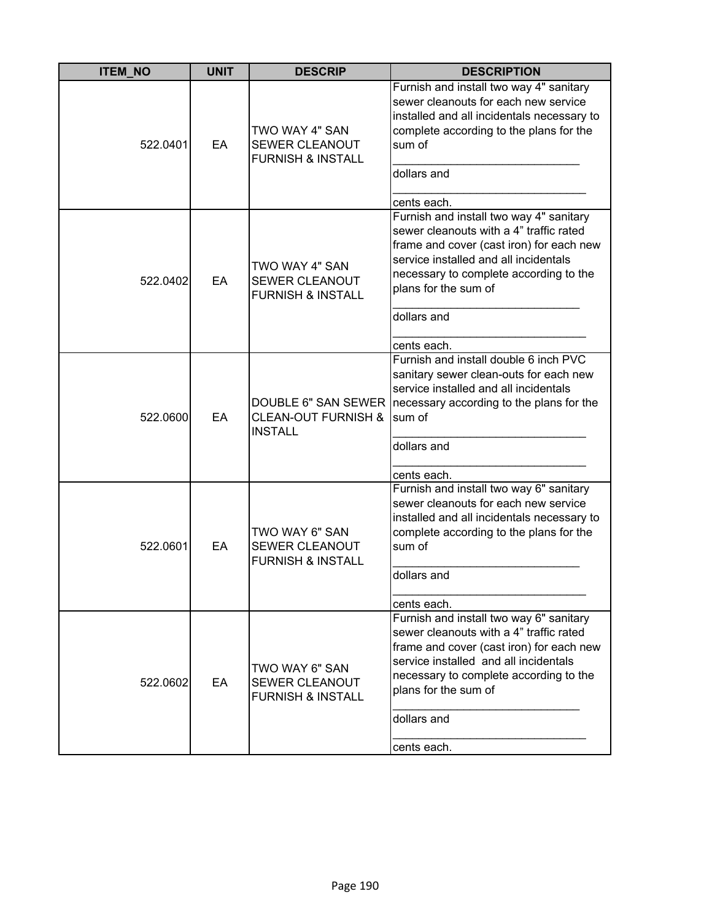| <b>ITEM_NO</b> | <b>UNIT</b> | <b>DESCRIP</b>                                                          | <b>DESCRIPTION</b>                                                                                                                                                                                                                                                      |
|----------------|-------------|-------------------------------------------------------------------------|-------------------------------------------------------------------------------------------------------------------------------------------------------------------------------------------------------------------------------------------------------------------------|
| 522.0401       | EA          | TWO WAY 4" SAN<br>SEWER CLEANOUT<br><b>FURNISH &amp; INSTALL</b>        | Furnish and install two way 4" sanitary<br>sewer cleanouts for each new service<br>installed and all incidentals necessary to<br>complete according to the plans for the<br>sum of<br>dollars and<br>cents each.                                                        |
| 522.0402       | EA          | TWO WAY 4" SAN<br>SEWER CLEANOUT<br><b>FURNISH &amp; INSTALL</b>        | Furnish and install two way 4" sanitary<br>sewer cleanouts with a 4" traffic rated<br>frame and cover (cast iron) for each new<br>service installed and all incidentals<br>necessary to complete according to the<br>plans for the sum of<br>dollars and<br>cents each. |
| 522.0600       | EA          | <b>CLEAN-OUT FURNISH &amp;</b><br><b>INSTALL</b>                        | Furnish and install double 6 inch PVC<br>sanitary sewer clean-outs for each new<br>service installed and all incidentals<br>DOUBLE 6" SAN SEWER   necessary according to the plans for the<br>sum of<br>dollars and                                                     |
| 522.0601       | EA          | TWO WAY 6" SAN<br><b>SEWER CLEANOUT</b><br><b>FURNISH &amp; INSTALL</b> | cents each.<br>Furnish and install two way 6" sanitary<br>sewer cleanouts for each new service<br>installed and all incidentals necessary to<br>complete according to the plans for the<br>sum of<br>dollars and<br>cents each.                                         |
| 522.0602       | EA          | TWO WAY 6" SAN<br>SEWER CLEANOUT<br><b>FURNISH &amp; INSTALL</b>        | Furnish and install two way 6" sanitary<br>sewer cleanouts with a 4" traffic rated<br>frame and cover (cast iron) for each new<br>service installed and all incidentals<br>necessary to complete according to the<br>plans for the sum of<br>dollars and<br>cents each. |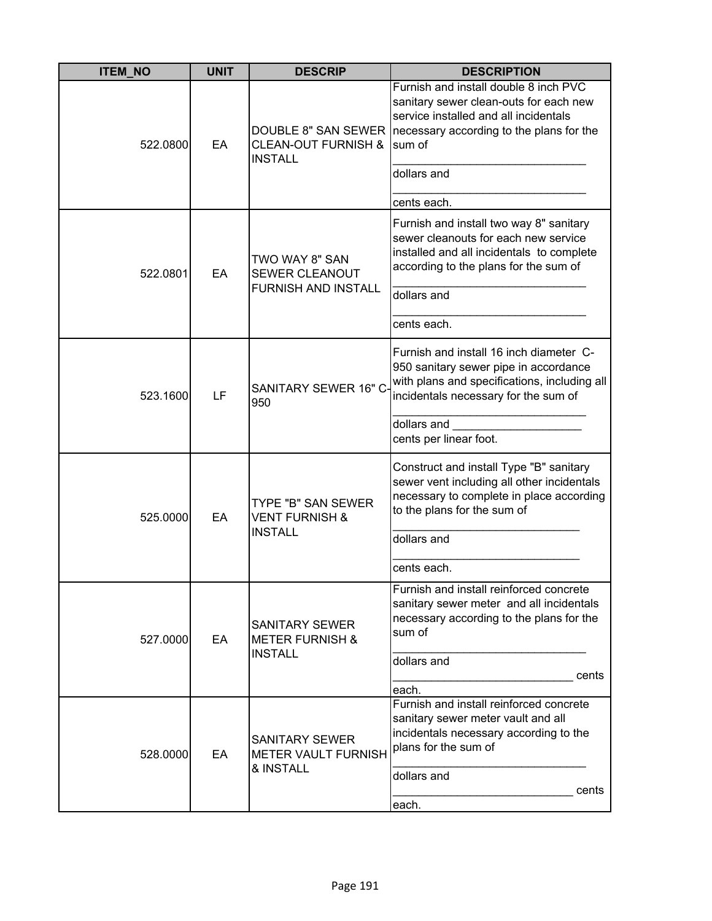| <b>ITEM_NO</b> | <b>UNIT</b> | <b>DESCRIP</b>                                                        | <b>DESCRIPTION</b>                                                                                                                                                                                                  |
|----------------|-------------|-----------------------------------------------------------------------|---------------------------------------------------------------------------------------------------------------------------------------------------------------------------------------------------------------------|
| 522.0800       | EA          | <b>CLEAN-OUT FURNISH &amp;</b><br><b>INSTALL</b>                      | Furnish and install double 8 inch PVC<br>sanitary sewer clean-outs for each new<br>service installed and all incidentals<br>DOUBLE 8" SAN SEWER   necessary according to the plans for the<br>sum of<br>dollars and |
|                |             |                                                                       |                                                                                                                                                                                                                     |
| 522.0801       | EA          | TWO WAY 8" SAN<br>SEWER CLEANOUT<br><b>FURNISH AND INSTALL</b>        | cents each.<br>Furnish and install two way 8" sanitary<br>sewer cleanouts for each new service<br>installed and all incidentals to complete<br>according to the plans for the sum of<br>dollars and                 |
|                |             |                                                                       | cents each.                                                                                                                                                                                                         |
| 523.1600       | LF          | SANITARY SEWER 16" C<br>950                                           | Furnish and install 16 inch diameter C-<br>950 sanitary sewer pipe in accordance<br>with plans and specifications, including all<br>incidentals necessary for the sum of<br>dollars and<br>cents per linear foot.   |
| 525.0000       | EA          | TYPE "B" SAN SEWER<br><b>VENT FURNISH &amp;</b><br><b>INSTALL</b>     | Construct and install Type "B" sanitary<br>sewer vent including all other incidentals<br>necessary to complete in place according<br>to the plans for the sum of<br>dollars and<br>cents each.                      |
| 527.0000       | EA          | <b>SANITARY SEWER</b><br><b>METER FURNISH &amp;</b><br><b>INSTALL</b> | Furnish and install reinforced concrete<br>sanitary sewer meter and all incidentals<br>necessary according to the plans for the<br>sum of<br>dollars and<br>cents<br>each.                                          |
| 528.0000       | EA          | <b>SANITARY SEWER</b><br>METER VAULT FURNISH<br>& INSTALL             | Furnish and install reinforced concrete<br>sanitary sewer meter vault and all<br>incidentals necessary according to the<br>plans for the sum of<br>dollars and<br>cents<br>each.                                    |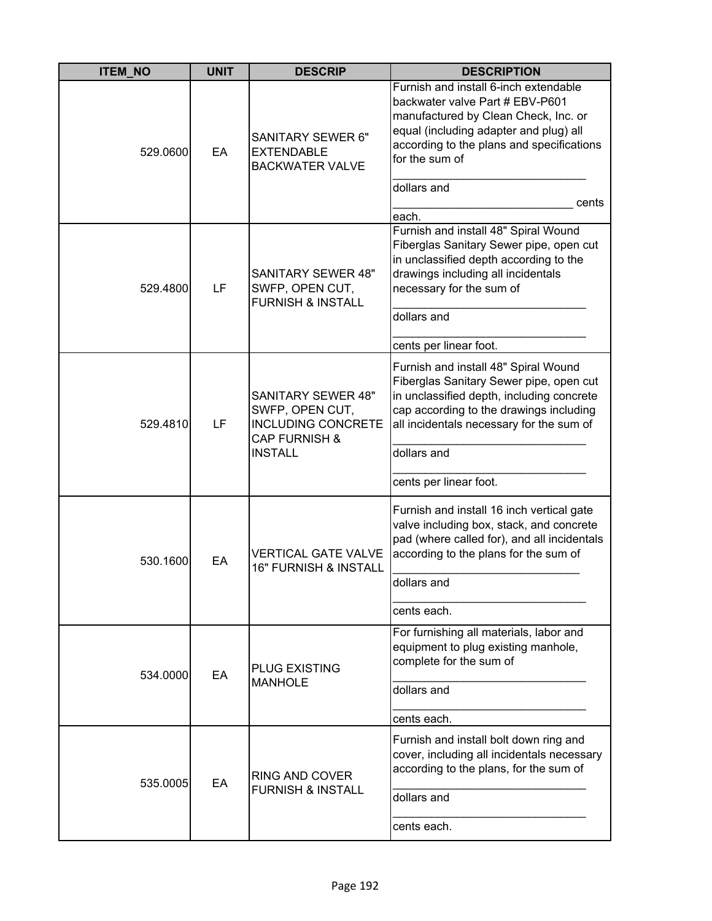| <b>ITEM_NO</b> | <b>UNIT</b> | <b>DESCRIP</b>                                                                                                          | <b>DESCRIPTION</b>                                                                                                                                                                                                                       |
|----------------|-------------|-------------------------------------------------------------------------------------------------------------------------|------------------------------------------------------------------------------------------------------------------------------------------------------------------------------------------------------------------------------------------|
| 529.0600       | EA          | <b>SANITARY SEWER 6"</b><br><b>EXTENDABLE</b><br><b>BACKWATER VALVE</b>                                                 | Furnish and install 6-inch extendable<br>backwater valve Part # EBV-P601<br>manufactured by Clean Check, Inc. or<br>equal (including adapter and plug) all<br>according to the plans and specifications<br>for the sum of<br>dollars and |
|                |             |                                                                                                                         | cents                                                                                                                                                                                                                                    |
| 529.4800       | LF          | <b>SANITARY SEWER 48"</b><br>SWFP, OPEN CUT,<br><b>FURNISH &amp; INSTALL</b>                                            | each.<br>Furnish and install 48" Spiral Wound<br>Fiberglas Sanitary Sewer pipe, open cut<br>in unclassified depth according to the<br>drawings including all incidentals<br>necessary for the sum of<br>dollars and                      |
|                |             |                                                                                                                         | cents per linear foot.                                                                                                                                                                                                                   |
| 529.4810       | LF          | <b>SANITARY SEWER 48"</b><br>SWFP, OPEN CUT,<br><b>INCLUDING CONCRETE</b><br><b>CAP FURNISH &amp;</b><br><b>INSTALL</b> | Furnish and install 48" Spiral Wound<br>Fiberglas Sanitary Sewer pipe, open cut<br>in unclassified depth, including concrete<br>cap according to the drawings including<br>all incidentals necessary for the sum of<br>dollars and       |
|                |             |                                                                                                                         | cents per linear foot.                                                                                                                                                                                                                   |
| 530.1600       | EA          | <b>VERTICAL GATE VALVE</b><br><b>16" FURNISH &amp; INSTALL</b>                                                          | Furnish and install 16 inch vertical gate<br>valve including box, stack, and concrete<br>pad (where called for), and all incidentals<br>according to the plans for the sum of                                                            |
|                |             |                                                                                                                         | dollars and                                                                                                                                                                                                                              |
|                |             |                                                                                                                         | cents each.                                                                                                                                                                                                                              |
| 534.0000       | EA          | <b>PLUG EXISTING</b>                                                                                                    | For furnishing all materials, labor and<br>equipment to plug existing manhole,<br>complete for the sum of                                                                                                                                |
|                |             | <b>MANHOLE</b>                                                                                                          | dollars and                                                                                                                                                                                                                              |
|                |             |                                                                                                                         | cents each.                                                                                                                                                                                                                              |
| 535.0005       | EA          | RING AND COVER<br><b>FURNISH &amp; INSTALL</b>                                                                          | Furnish and install bolt down ring and<br>cover, including all incidentals necessary<br>according to the plans, for the sum of                                                                                                           |
|                |             |                                                                                                                         | dollars and                                                                                                                                                                                                                              |
|                |             |                                                                                                                         | cents each.                                                                                                                                                                                                                              |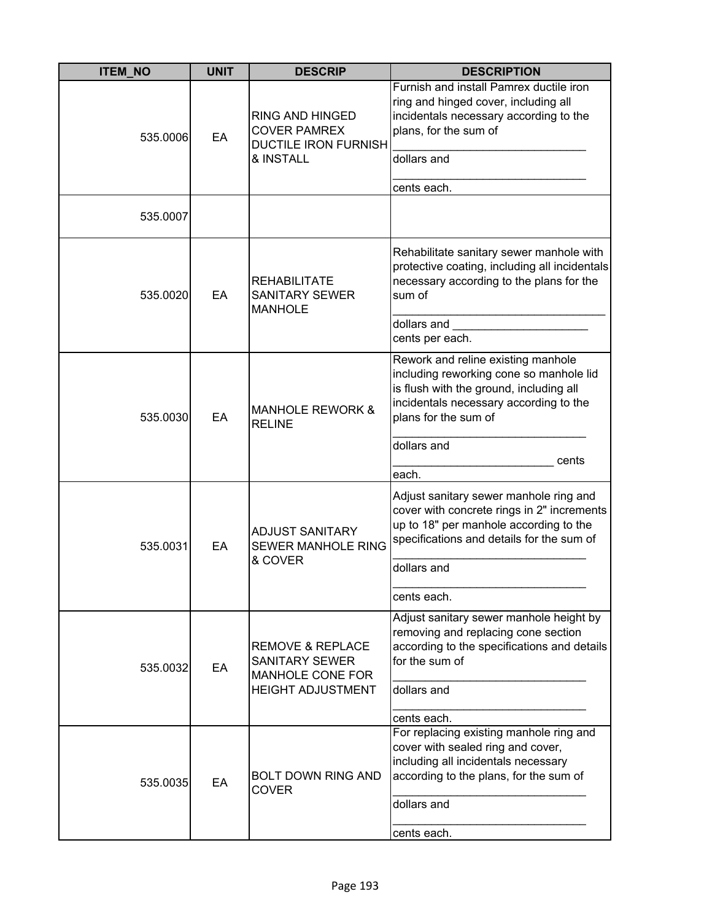| <b>ITEM_NO</b> | <b>UNIT</b> | <b>DESCRIP</b>                                                                                       | <b>DESCRIPTION</b>                                                                                                                                                                         |
|----------------|-------------|------------------------------------------------------------------------------------------------------|--------------------------------------------------------------------------------------------------------------------------------------------------------------------------------------------|
| 535.0006       | EA          | <b>RING AND HINGED</b><br><b>COVER PAMREX</b><br><b>DUCTILE IRON FURNISH</b><br>& INSTALL            | Furnish and install Pamrex ductile iron<br>ring and hinged cover, including all<br>incidentals necessary according to the<br>plans, for the sum of<br>dollars and<br>cents each.           |
| 535.0007       |             |                                                                                                      |                                                                                                                                                                                            |
| 535.0020       | EA          | <b>REHABILITATE</b><br><b>SANITARY SEWER</b><br><b>MANHOLE</b>                                       | Rehabilitate sanitary sewer manhole with<br>protective coating, including all incidentals<br>necessary according to the plans for the<br>sum of                                            |
|                |             |                                                                                                      | dollars and<br>cents per each.                                                                                                                                                             |
| 535.0030       | EA          | <b>MANHOLE REWORK &amp;</b><br><b>RELINE</b>                                                         | Rework and reline existing manhole<br>including reworking cone so manhole lid<br>is flush with the ground, including all<br>incidentals necessary according to the<br>plans for the sum of |
|                |             |                                                                                                      | dollars and<br>cents<br>each.                                                                                                                                                              |
| 535.0031       | EA          | <b>ADJUST SANITARY</b><br><b>SEWER MANHOLE RING</b><br>& COVER                                       | Adjust sanitary sewer manhole ring and<br>cover with concrete rings in 2" increments<br>up to 18" per manhole according to the<br>specifications and details for the sum of                |
|                |             |                                                                                                      | dollars and                                                                                                                                                                                |
|                |             |                                                                                                      | cents each.                                                                                                                                                                                |
| 535.0032       | EA          | <b>REMOVE &amp; REPLACE</b><br><b>SANITARY SEWER</b><br>MANHOLE CONE FOR<br><b>HEIGHT ADJUSTMENT</b> | Adjust sanitary sewer manhole height by<br>removing and replacing cone section<br>according to the specifications and details<br>for the sum of<br>dollars and                             |
|                |             |                                                                                                      | cents each.                                                                                                                                                                                |
| 535.0035       | EA          | <b>BOLT DOWN RING AND</b><br><b>COVER</b>                                                            | For replacing existing manhole ring and<br>cover with sealed ring and cover,<br>including all incidentals necessary<br>according to the plans, for the sum of                              |
|                |             |                                                                                                      | dollars and<br>cents each.                                                                                                                                                                 |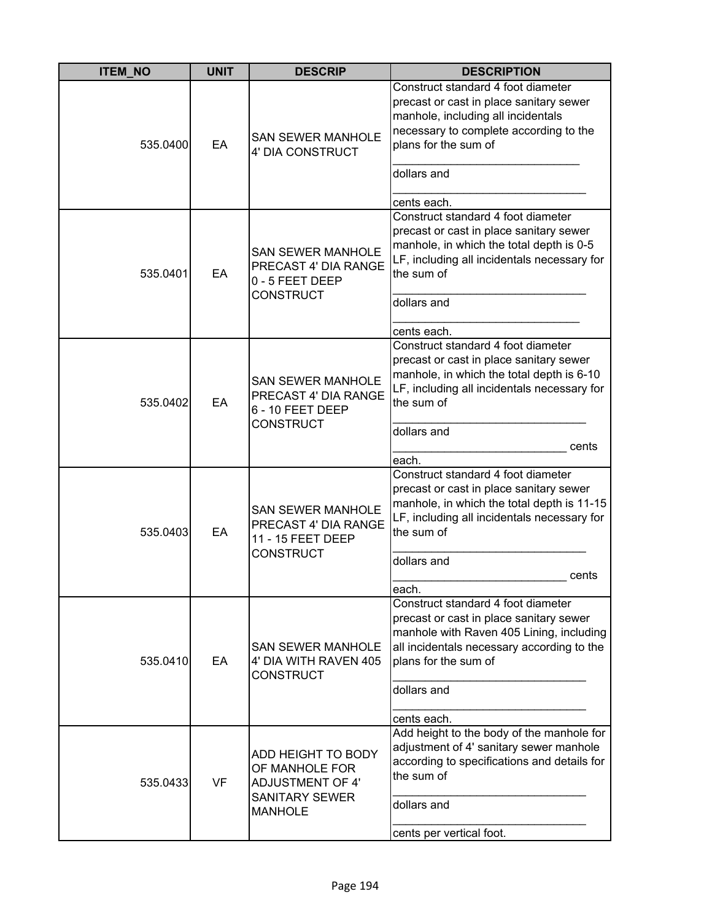| <b>ITEM_NO</b> | <b>UNIT</b> | <b>DESCRIP</b>                                                                                             | <b>DESCRIPTION</b>                                                                                                                                                                                                            |
|----------------|-------------|------------------------------------------------------------------------------------------------------------|-------------------------------------------------------------------------------------------------------------------------------------------------------------------------------------------------------------------------------|
| 535.0400       | EA          | <b>SAN SEWER MANHOLE</b><br>4' DIA CONSTRUCT                                                               | Construct standard 4 foot diameter<br>precast or cast in place sanitary sewer<br>manhole, including all incidentals<br>necessary to complete according to the<br>plans for the sum of<br>dollars and<br>cents each.           |
| 535.0401       | EA          | <b>SAN SEWER MANHOLE</b><br>PRECAST 4' DIA RANGE<br>0 - 5 FEET DEEP<br><b>CONSTRUCT</b>                    | Construct standard 4 foot diameter<br>precast or cast in place sanitary sewer<br>manhole, in which the total depth is 0-5<br>LF, including all incidentals necessary for<br>the sum of<br>dollars and<br>cents each.          |
| 535.0402       | EA          | <b>SAN SEWER MANHOLE</b><br>PRECAST 4' DIA RANGE<br>6 - 10 FEET DEEP<br><b>CONSTRUCT</b>                   | Construct standard 4 foot diameter<br>precast or cast in place sanitary sewer<br>manhole, in which the total depth is 6-10<br>LF, including all incidentals necessary for<br>the sum of<br>dollars and<br>cents<br>each.      |
| 535.0403       | EA          | <b>SAN SEWER MANHOLE</b><br>PRECAST 4' DIA RANGE<br>11 - 15 FEET DEEP<br><b>CONSTRUCT</b>                  | Construct standard 4 foot diameter<br>precast or cast in place sanitary sewer<br>manhole, in which the total depth is 11-15<br>LF, including all incidentals necessary for<br>the sum of<br>dollars and<br>cents<br>each.     |
| 535.0410       | EA          | <b>SAN SEWER MANHOLE</b><br>4' DIA WITH RAVEN 405<br><b>CONSTRUCT</b>                                      | Construct standard 4 foot diameter<br>precast or cast in place sanitary sewer<br>manhole with Raven 405 Lining, including<br>all incidentals necessary according to the<br>plans for the sum of<br>dollars and<br>cents each. |
| 535.0433       | <b>VF</b>   | ADD HEIGHT TO BODY<br>OF MANHOLE FOR<br><b>ADJUSTMENT OF 4'</b><br><b>SANITARY SEWER</b><br><b>MANHOLE</b> | Add height to the body of the manhole for<br>adjustment of 4' sanitary sewer manhole<br>according to specifications and details for<br>the sum of<br>dollars and<br>cents per vertical foot.                                  |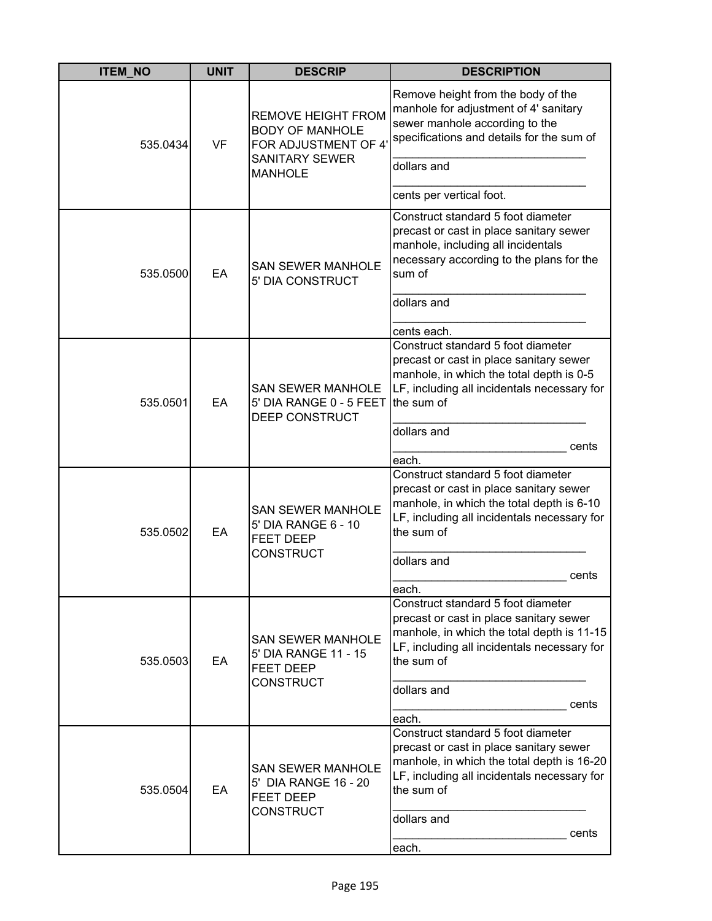| <b>ITEM_NO</b> | <b>UNIT</b> | <b>DESCRIP</b>                                                                                       | <b>DESCRIPTION</b>                                                                                                                                                                                                        |
|----------------|-------------|------------------------------------------------------------------------------------------------------|---------------------------------------------------------------------------------------------------------------------------------------------------------------------------------------------------------------------------|
| 535.0434       | VF          | <b>REMOVE HEIGHT FROM</b><br><b>BODY OF MANHOLE</b><br>FOR ADJUSTMENT OF 4'<br><b>SANITARY SEWER</b> | Remove height from the body of the<br>manhole for adjustment of 4' sanitary<br>sewer manhole according to the<br>specifications and details for the sum of<br>dollars and                                                 |
|                |             | <b>MANHOLE</b>                                                                                       | cents per vertical foot.                                                                                                                                                                                                  |
| 535.0500       | EA          | <b>SAN SEWER MANHOLE</b><br>5' DIA CONSTRUCT                                                         | Construct standard 5 foot diameter<br>precast or cast in place sanitary sewer<br>manhole, including all incidentals<br>necessary according to the plans for the<br>sum of<br>dollars and                                  |
|                |             |                                                                                                      | cents each.                                                                                                                                                                                                               |
| 535.0501       | EA          | <b>SAN SEWER MANHOLE</b><br>5' DIA RANGE 0 - 5 FEET<br>DEEP CONSTRUCT                                | Construct standard 5 foot diameter<br>precast or cast in place sanitary sewer<br>manhole, in which the total depth is 0-5<br>LF, including all incidentals necessary for<br>the sum of                                    |
|                |             |                                                                                                      | dollars and                                                                                                                                                                                                               |
|                |             |                                                                                                      | cents<br>each.                                                                                                                                                                                                            |
| 535.0502       | EA          | <b>SAN SEWER MANHOLE</b><br>5' DIA RANGE 6 - 10<br><b>FEET DEEP</b><br><b>CONSTRUCT</b>              | Construct standard 5 foot diameter<br>precast or cast in place sanitary sewer<br>manhole, in which the total depth is 6-10<br>LF, including all incidentals necessary for<br>the sum of<br>dollars and<br>cents<br>each.  |
| 535.0503       | EA          | <b>SAN SEWER MANHOLE</b><br>5' DIA RANGE 11 - 15<br><b>FEET DEEP</b><br><b>CONSTRUCT</b>             | Construct standard 5 foot diameter<br>precast or cast in place sanitary sewer<br>manhole, in which the total depth is 11-15<br>LF, including all incidentals necessary for<br>the sum of<br>dollars and<br>cents<br>each. |
| 535.0504       | EA          | <b>SAN SEWER MANHOLE</b><br>5' DIA RANGE 16 - 20<br>FEET DEEP<br><b>CONSTRUCT</b>                    | Construct standard 5 foot diameter<br>precast or cast in place sanitary sewer<br>manhole, in which the total depth is 16-20<br>LF, including all incidentals necessary for<br>the sum of<br>dollars and<br>cents<br>each. |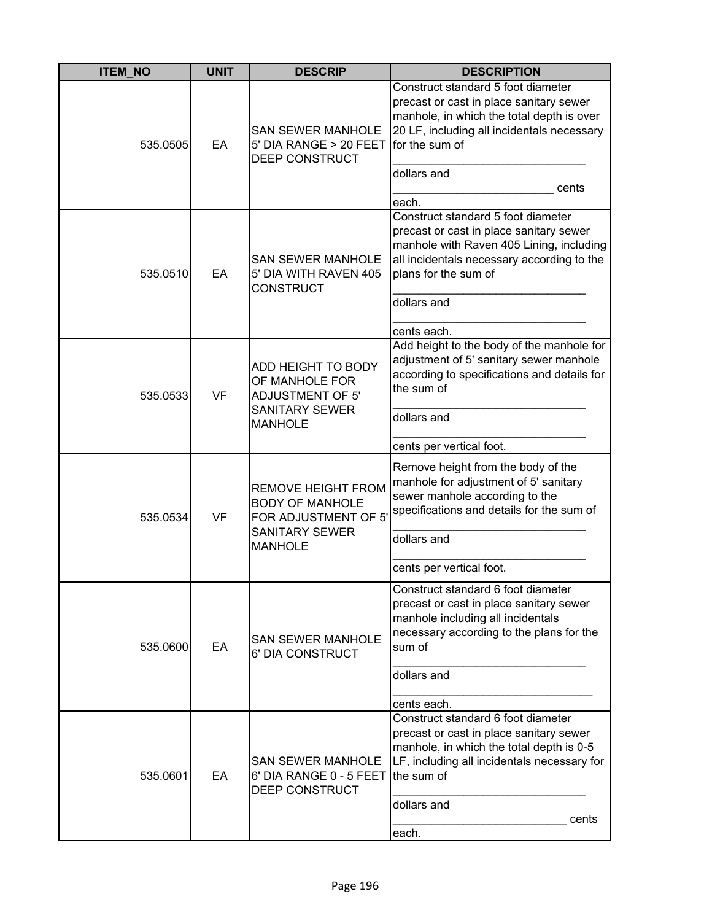| <b>ITEM_NO</b> | <b>UNIT</b> | <b>DESCRIP</b>                                                                                                         | <b>DESCRIPTION</b>                                                                                                                                                                                                            |
|----------------|-------------|------------------------------------------------------------------------------------------------------------------------|-------------------------------------------------------------------------------------------------------------------------------------------------------------------------------------------------------------------------------|
| 535.0505       | EA          | <b>SAN SEWER MANHOLE</b><br>5' DIA RANGE > 20 FEET<br>DEEP CONSTRUCT                                                   | Construct standard 5 foot diameter<br>precast or cast in place sanitary sewer<br>manhole, in which the total depth is over<br>20 LF, including all incidentals necessary<br>for the sum of<br>dollars and<br>cents<br>each.   |
| 535.0510       | EA          | <b>SAN SEWER MANHOLE</b><br>5' DIA WITH RAVEN 405<br><b>CONSTRUCT</b>                                                  | Construct standard 5 foot diameter<br>precast or cast in place sanitary sewer<br>manhole with Raven 405 Lining, including<br>all incidentals necessary according to the<br>plans for the sum of<br>dollars and<br>cents each. |
| 535.0533       | <b>VF</b>   | ADD HEIGHT TO BODY<br>OF MANHOLE FOR<br><b>ADJUSTMENT OF 5'</b><br><b>SANITARY SEWER</b><br><b>MANHOLE</b>             | Add height to the body of the manhole for<br>adjustment of 5' sanitary sewer manhole<br>according to specifications and details for<br>the sum of<br>dollars and<br>cents per vertical foot.                                  |
| 535.0534       | <b>VF</b>   | <b>REMOVE HEIGHT FROM</b><br><b>BODY OF MANHOLE</b><br>FOR ADJUSTMENT OF 5'<br><b>SANITARY SEWER</b><br><b>MANHOLE</b> | Remove height from the body of the<br>manhole for adjustment of 5' sanitary<br>sewer manhole according to the<br>specifications and details for the sum of<br>dollars and<br>cents per vertical foot.                         |
| 535.0600       | EA          | <b>SAN SEWER MANHOLE</b><br>6' DIA CONSTRUCT                                                                           | Construct standard 6 foot diameter<br>precast or cast in place sanitary sewer<br>manhole including all incidentals<br>necessary according to the plans for the<br>sum of<br>dollars and<br>cents each.                        |
| 535.0601       | EA          | <b>SAN SEWER MANHOLE</b><br>6' DIA RANGE 0 - 5 FEET<br>DEEP CONSTRUCT                                                  | Construct standard 6 foot diameter<br>precast or cast in place sanitary sewer<br>manhole, in which the total depth is 0-5<br>LF, including all incidentals necessary for<br>the sum of<br>dollars and<br>cents<br>each.       |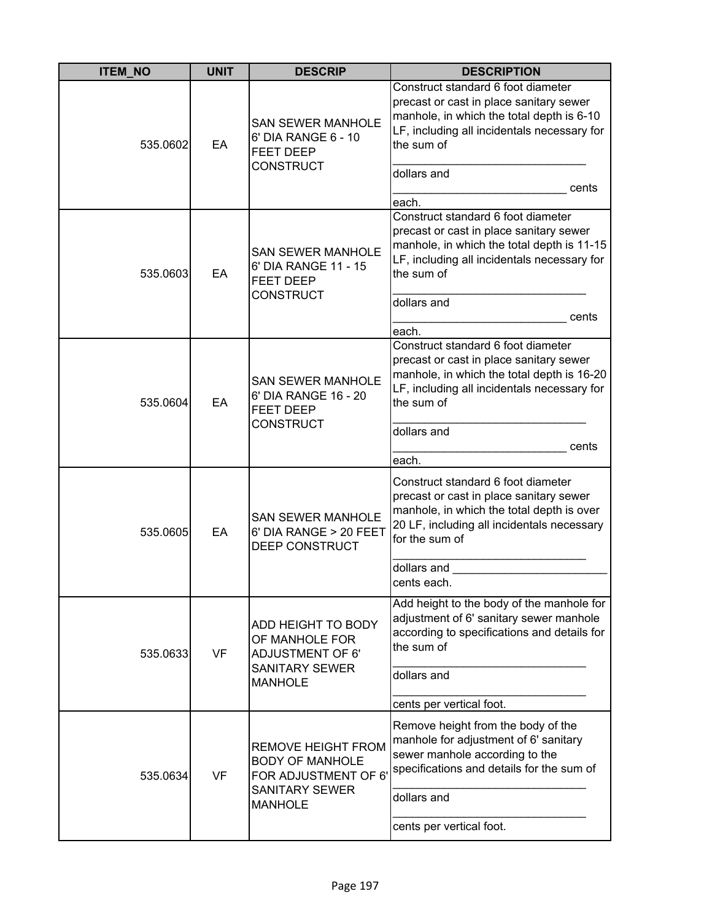| <b>ITEM_NO</b> | <b>UNIT</b> | <b>DESCRIP</b>                                                                                                         | <b>DESCRIPTION</b>                                                                                                                                                                                                        |
|----------------|-------------|------------------------------------------------------------------------------------------------------------------------|---------------------------------------------------------------------------------------------------------------------------------------------------------------------------------------------------------------------------|
| 535.0602       | EA          | <b>SAN SEWER MANHOLE</b><br>6' DIA RANGE 6 - 10<br><b>FEET DEEP</b><br><b>CONSTRUCT</b>                                | Construct standard 6 foot diameter<br>precast or cast in place sanitary sewer<br>manhole, in which the total depth is 6-10<br>LF, including all incidentals necessary for<br>the sum of<br>dollars and<br>cents<br>each.  |
| 535.0603       | EA          | <b>SAN SEWER MANHOLE</b><br>6' DIA RANGE 11 - 15<br><b>FEET DEEP</b><br><b>CONSTRUCT</b>                               | Construct standard 6 foot diameter<br>precast or cast in place sanitary sewer<br>manhole, in which the total depth is 11-15<br>LF, including all incidentals necessary for<br>the sum of<br>dollars and<br>cents<br>each. |
| 535.0604       | EA          | <b>SAN SEWER MANHOLE</b><br>6' DIA RANGE 16 - 20<br><b>FEET DEEP</b><br><b>CONSTRUCT</b>                               | Construct standard 6 foot diameter<br>precast or cast in place sanitary sewer<br>manhole, in which the total depth is 16-20<br>LF, including all incidentals necessary for<br>the sum of<br>dollars and<br>cents<br>each. |
| 535.0605       | EA          | <b>SAN SEWER MANHOLE</b><br>6' DIA RANGE > 20 FEET<br>DEEP CONSTRUCT                                                   | Construct standard 6 foot diameter<br>precast or cast in place sanitary sewer<br>manhole, in which the total depth is over<br>20 LF, including all incidentals necessary<br>for the sum of<br>dollars and<br>cents each.  |
| 535.0633       | <b>VF</b>   | ADD HEIGHT TO BODY<br>OF MANHOLE FOR<br><b>ADJUSTMENT OF 6'</b><br><b>SANITARY SEWER</b><br><b>MANHOLE</b>             | Add height to the body of the manhole for<br>adjustment of 6' sanitary sewer manhole<br>according to specifications and details for<br>the sum of<br>dollars and<br>cents per vertical foot.                              |
| 535.0634       | <b>VF</b>   | <b>REMOVE HEIGHT FROM</b><br><b>BODY OF MANHOLE</b><br>FOR ADJUSTMENT OF 6'<br><b>SANITARY SEWER</b><br><b>MANHOLE</b> | Remove height from the body of the<br>manhole for adjustment of 6' sanitary<br>sewer manhole according to the<br>specifications and details for the sum of<br>dollars and<br>cents per vertical foot.                     |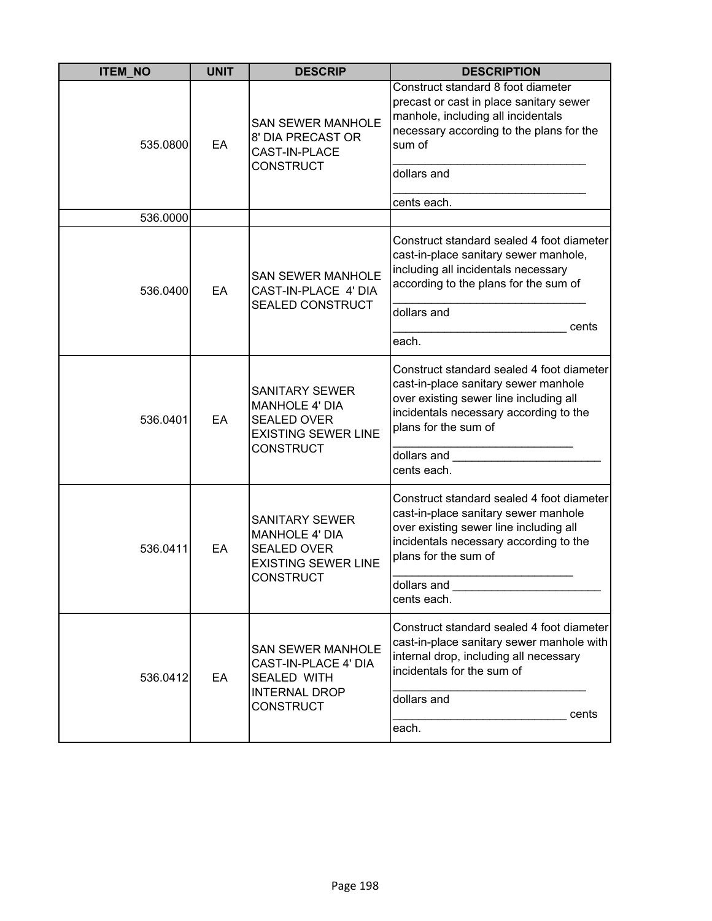| <b>ITEM_NO</b> | <b>UNIT</b> | <b>DESCRIP</b>                                                                                                         | <b>DESCRIPTION</b>                                                                                                                                                                                           |
|----------------|-------------|------------------------------------------------------------------------------------------------------------------------|--------------------------------------------------------------------------------------------------------------------------------------------------------------------------------------------------------------|
| 535.0800       | EA          | <b>SAN SEWER MANHOLE</b><br>8' DIA PRECAST OR<br>CAST-IN-PLACE                                                         | Construct standard 8 foot diameter<br>precast or cast in place sanitary sewer<br>manhole, including all incidentals<br>necessary according to the plans for the<br>sum of                                    |
|                |             | <b>CONSTRUCT</b>                                                                                                       | dollars and<br>cents each.                                                                                                                                                                                   |
| 536.0000       |             |                                                                                                                        |                                                                                                                                                                                                              |
| 536.0400       | EA          | <b>SAN SEWER MANHOLE</b><br>CAST-IN-PLACE 4' DIA<br>SEALED CONSTRUCT                                                   | Construct standard sealed 4 foot diameter<br>cast-in-place sanitary sewer manhole,<br>including all incidentals necessary<br>according to the plans for the sum of                                           |
|                |             |                                                                                                                        | dollars and                                                                                                                                                                                                  |
|                |             |                                                                                                                        | cents<br>each.                                                                                                                                                                                               |
| 536.0401       | EA          | <b>SANITARY SEWER</b><br><b>MANHOLE 4' DIA</b><br><b>SEALED OVER</b><br><b>EXISTING SEWER LINE</b><br>CONSTRUCT        | Construct standard sealed 4 foot diameter<br>cast-in-place sanitary sewer manhole<br>over existing sewer line including all<br>incidentals necessary according to the<br>plans for the sum of<br>dollars and |
|                |             |                                                                                                                        | cents each.                                                                                                                                                                                                  |
| 536.0411       | EA          | <b>SANITARY SEWER</b><br><b>MANHOLE 4' DIA</b><br><b>SEALED OVER</b><br><b>EXISTING SEWER LINE</b><br><b>CONSTRUCT</b> | Construct standard sealed 4 foot diameter<br>cast-in-place sanitary sewer manhole<br>over existing sewer line including all<br>incidentals necessary according to the<br>plans for the sum of<br>dollars and |
|                |             |                                                                                                                        | cents each.                                                                                                                                                                                                  |
| 536.0412       | EA          | <b>SAN SEWER MANHOLE</b><br>CAST-IN-PLACE 4' DIA<br><b>SEALED WITH</b><br><b>INTERNAL DROP</b>                         | Construct standard sealed 4 foot diameter<br>cast-in-place sanitary sewer manhole with<br>internal drop, including all necessary<br>incidentals for the sum of<br>dollars and                                |
|                |             | <b>CONSTRUCT</b>                                                                                                       | cents                                                                                                                                                                                                        |
|                |             |                                                                                                                        | each.                                                                                                                                                                                                        |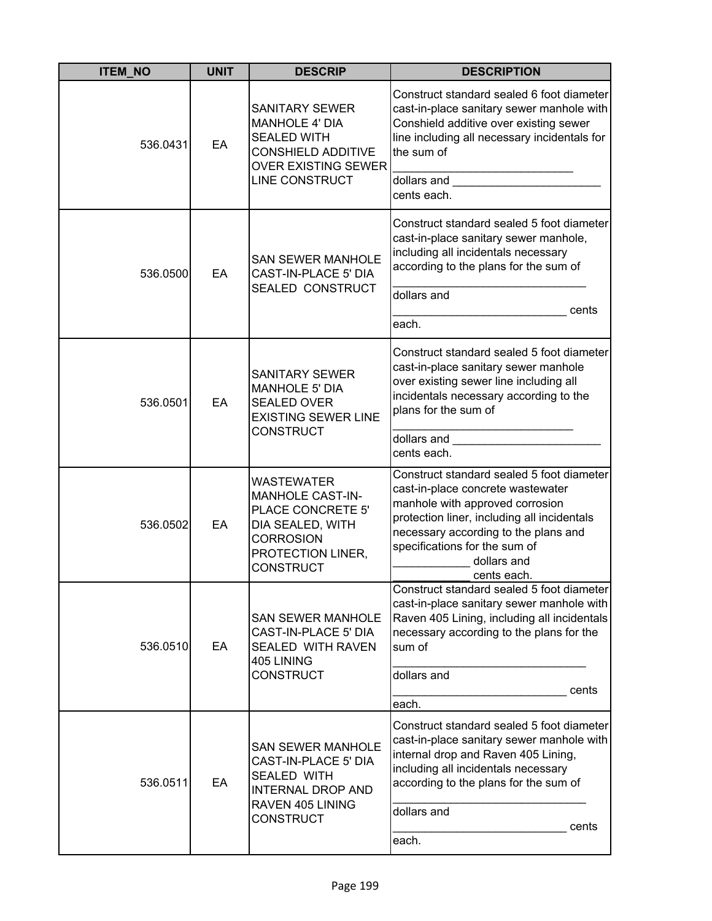| <b>ITEM_NO</b> | <b>UNIT</b> | <b>DESCRIP</b>                                                                                                                                     | <b>DESCRIPTION</b>                                                                                                                                                                                                                                                      |
|----------------|-------------|----------------------------------------------------------------------------------------------------------------------------------------------------|-------------------------------------------------------------------------------------------------------------------------------------------------------------------------------------------------------------------------------------------------------------------------|
| 536.0431       | EA          | <b>SANITARY SEWER</b><br><b>MANHOLE 4' DIA</b><br><b>SEALED WITH</b><br><b>CONSHIELD ADDITIVE</b><br><b>OVER EXISTING SEWER</b>                    | Construct standard sealed 6 foot diameter<br>cast-in-place sanitary sewer manhole with<br>Conshield additive over existing sewer<br>line including all necessary incidentals for<br>the sum of                                                                          |
|                |             | <b>LINE CONSTRUCT</b>                                                                                                                              | dollars and the control of the control of the control of the control of the control of the control of the control of the control of the control of the control of the control of the control of the control of the control of<br>cents each.                            |
| 536.0500       | EA          | <b>SAN SEWER MANHOLE</b><br>CAST-IN-PLACE 5' DIA                                                                                                   | Construct standard sealed 5 foot diameter<br>cast-in-place sanitary sewer manhole,<br>including all incidentals necessary<br>according to the plans for the sum of                                                                                                      |
|                |             | SEALED CONSTRUCT                                                                                                                                   | dollars and<br>cents                                                                                                                                                                                                                                                    |
|                |             |                                                                                                                                                    | each.                                                                                                                                                                                                                                                                   |
| 536.0501       | EA          | <b>SANITARY SEWER</b><br><b>MANHOLE 5' DIA</b><br><b>SEALED OVER</b><br><b>EXISTING SEWER LINE</b><br><b>CONSTRUCT</b>                             | Construct standard sealed 5 foot diameter<br>cast-in-place sanitary sewer manhole<br>over existing sewer line including all<br>incidentals necessary according to the<br>plans for the sum of                                                                           |
|                |             |                                                                                                                                                    | dollars and <b>contract the contract of the contract of the contract of the contract of the contract of the control</b><br>cents each.                                                                                                                                  |
| 536.0502       | EA          | <b>WASTEWATER</b><br><b>MANHOLE CAST-IN-</b><br>PLACE CONCRETE 5'<br>DIA SEALED, WITH<br><b>CORROSION</b><br>PROTECTION LINER,<br><b>CONSTRUCT</b> | Construct standard sealed 5 foot diameter<br>cast-in-place concrete wastewater<br>manhole with approved corrosion<br>protection liner, including all incidentals<br>necessary according to the plans and<br>specifications for the sum of<br>dollars and<br>cents each. |
| 536.0510       | EA          | <b>SAN SEWER MANHOLE</b><br>CAST-IN-PLACE 5' DIA<br>SEALED WITH RAVEN<br>405 LINING<br><b>CONSTRUCT</b>                                            | Construct standard sealed 5 foot diameter<br>cast-in-place sanitary sewer manhole with<br>Raven 405 Lining, including all incidentals<br>necessary according to the plans for the<br>sum of<br>dollars and                                                              |
|                |             |                                                                                                                                                    | cents<br>each.                                                                                                                                                                                                                                                          |
| 536.0511       | EA          | <b>SAN SEWER MANHOLE</b><br>CAST-IN-PLACE 5' DIA<br><b>SEALED WITH</b><br><b>INTERNAL DROP AND</b><br>RAVEN 405 LINING<br><b>CONSTRUCT</b>         | Construct standard sealed 5 foot diameter<br>cast-in-place sanitary sewer manhole with<br>internal drop and Raven 405 Lining,<br>including all incidentals necessary<br>according to the plans for the sum of<br>dollars and<br>cents<br>each.                          |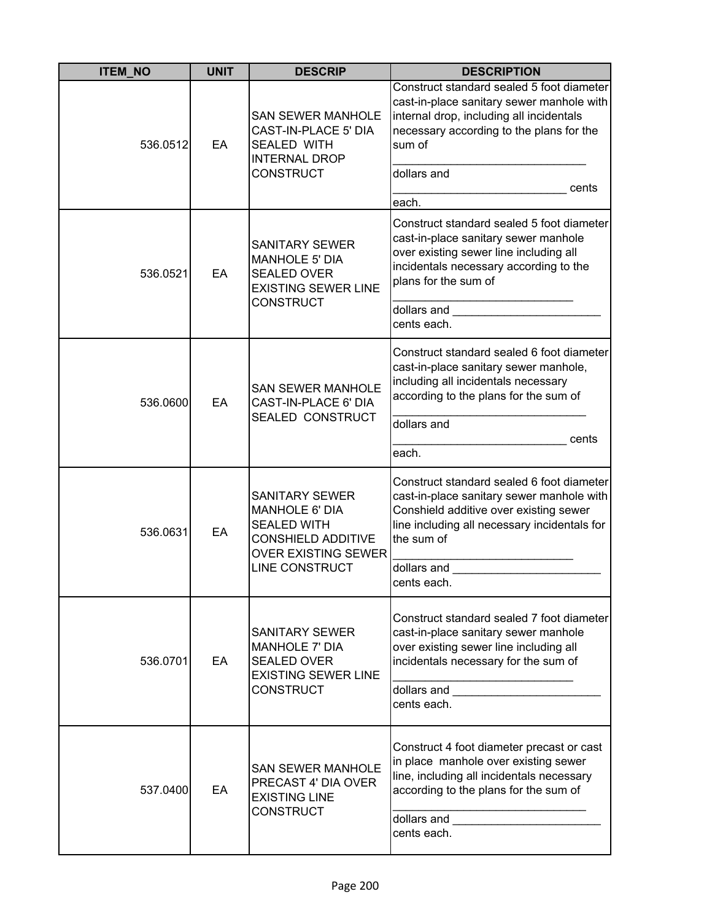| <b>ITEM_NO</b> | <b>UNIT</b> | <b>DESCRIP</b>                                                                                                                                           | <b>DESCRIPTION</b>                                                                                                                                                                                                                                                                                                                                                                                                      |
|----------------|-------------|----------------------------------------------------------------------------------------------------------------------------------------------------------|-------------------------------------------------------------------------------------------------------------------------------------------------------------------------------------------------------------------------------------------------------------------------------------------------------------------------------------------------------------------------------------------------------------------------|
| 536.0512       | EA          | <b>SAN SEWER MANHOLE</b><br>CAST-IN-PLACE 5' DIA<br><b>SEALED WITH</b><br><b>INTERNAL DROP</b><br><b>CONSTRUCT</b>                                       | Construct standard sealed 5 foot diameter<br>cast-in-place sanitary sewer manhole with<br>internal drop, including all incidentals<br>necessary according to the plans for the<br>sum of<br>dollars and<br>cents<br>each.                                                                                                                                                                                               |
| 536.0521       | EA          | <b>SANITARY SEWER</b><br><b>MANHOLE 5' DIA</b><br><b>SEALED OVER</b><br><b>EXISTING SEWER LINE</b><br><b>CONSTRUCT</b>                                   | Construct standard sealed 5 foot diameter<br>cast-in-place sanitary sewer manhole<br>over existing sewer line including all<br>incidentals necessary according to the<br>plans for the sum of<br>dollars and<br>cents each.                                                                                                                                                                                             |
| 536.0600       | EA          | <b>SAN SEWER MANHOLE</b><br>CAST-IN-PLACE 6' DIA<br>SEALED CONSTRUCT                                                                                     | Construct standard sealed 6 foot diameter<br>cast-in-place sanitary sewer manhole,<br>including all incidentals necessary<br>according to the plans for the sum of<br>dollars and<br>cents<br>each.                                                                                                                                                                                                                     |
| 536.0631       | EA          | <b>SANITARY SEWER</b><br><b>MANHOLE 6' DIA</b><br><b>SEALED WITH</b><br><b>CONSHIELD ADDITIVE</b><br><b>OVER EXISTING SEWER</b><br><b>LINE CONSTRUCT</b> | Construct standard sealed 6 foot diameter<br>cast-in-place sanitary sewer manhole with<br>Conshield additive over existing sewer<br>line including all necessary incidentals for<br>the sum of<br>dollars and<br>cents each.                                                                                                                                                                                            |
| 536.0701       | EA          | <b>SANITARY SEWER</b><br><b>MANHOLE 7' DIA</b><br><b>SEALED OVER</b><br><b>EXISTING SEWER LINE</b><br><b>CONSTRUCT</b>                                   | Construct standard sealed 7 foot diameter<br>cast-in-place sanitary sewer manhole<br>over existing sewer line including all<br>incidentals necessary for the sum of<br>cents each.                                                                                                                                                                                                                                      |
| 537.0400       | EA          | <b>SAN SEWER MANHOLE</b><br>PRECAST 4' DIA OVER<br><b>EXISTING LINE</b><br><b>CONSTRUCT</b>                                                              | Construct 4 foot diameter precast or cast<br>in place manhole over existing sewer<br>line, including all incidentals necessary<br>according to the plans for the sum of<br>dollars and the control of the control of the control of the control of the control of the control of the control of the control of the control of the control of the control of the control of the control of the control of<br>cents each. |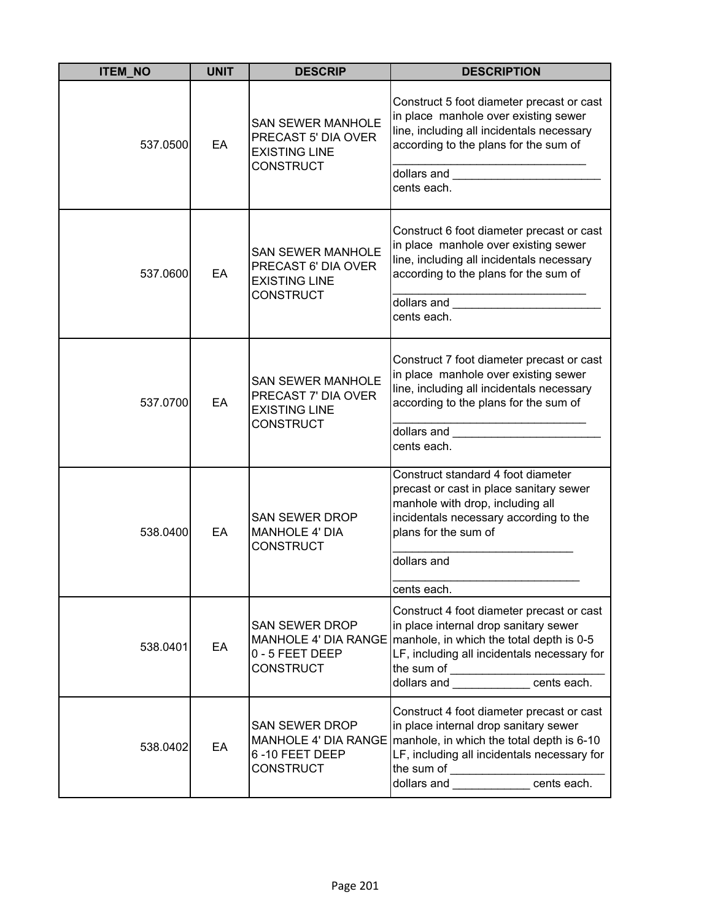| <b>ITEM_NO</b> | <b>UNIT</b> | <b>DESCRIP</b>                                                                              | <b>DESCRIPTION</b>                                                                                                                                                                                                                                                                                                                                                                                                      |
|----------------|-------------|---------------------------------------------------------------------------------------------|-------------------------------------------------------------------------------------------------------------------------------------------------------------------------------------------------------------------------------------------------------------------------------------------------------------------------------------------------------------------------------------------------------------------------|
| 537.0500       | EA          | <b>SAN SEWER MANHOLE</b><br>PRECAST 5' DIA OVER<br><b>EXISTING LINE</b><br><b>CONSTRUCT</b> | Construct 5 foot diameter precast or cast<br>in place manhole over existing sewer<br>line, including all incidentals necessary<br>according to the plans for the sum of<br>cents each.                                                                                                                                                                                                                                  |
| 537.0600       | EA          | <b>SAN SEWER MANHOLE</b><br>PRECAST 6' DIA OVER<br><b>EXISTING LINE</b><br><b>CONSTRUCT</b> | Construct 6 foot diameter precast or cast<br>in place manhole over existing sewer<br>line, including all incidentals necessary<br>according to the plans for the sum of<br>dollars and the control of the control of the control of the control of the control of the control of the control of the control of the control of the control of the control of the control of the control of the control of<br>cents each. |
| 537.0700       | EA          | <b>SAN SEWER MANHOLE</b><br>PRECAST 7' DIA OVER<br><b>EXISTING LINE</b><br><b>CONSTRUCT</b> | Construct 7 foot diameter precast or cast<br>in place manhole over existing sewer<br>line, including all incidentals necessary<br>according to the plans for the sum of<br>cents each.                                                                                                                                                                                                                                  |
| 538.0400       | EA          | <b>SAN SEWER DROP</b><br><b>MANHOLE 4' DIA</b><br><b>CONSTRUCT</b>                          | Construct standard 4 foot diameter<br>precast or cast in place sanitary sewer<br>manhole with drop, including all<br>incidentals necessary according to the<br>plans for the sum of<br>dollars and<br>cents each.                                                                                                                                                                                                       |
| 538.0401       | EA          | <b>SAN SEWER DROP</b><br>0 - 5 FEET DEEP<br><b>CONSTRUCT</b>                                | Construct 4 foot diameter precast or cast<br>in place internal drop sanitary sewer<br>MANHOLE 4' DIA RANGE   manhole, in which the total depth is 0-5<br>LF, including all incidentals necessary for<br>the sum of __________________________________<br> dollars and ________________ cents each.                                                                                                                      |
| 538.0402       | EA          | <b>SAN SEWER DROP</b><br>6-10 FEET DEEP<br><b>CONSTRUCT</b>                                 | Construct 4 foot diameter precast or cast<br>in place internal drop sanitary sewer<br>MANHOLE 4' DIA RANGE   manhole, in which the total depth is 6-10<br>LF, including all incidentals necessary for                                                                                                                                                                                                                   |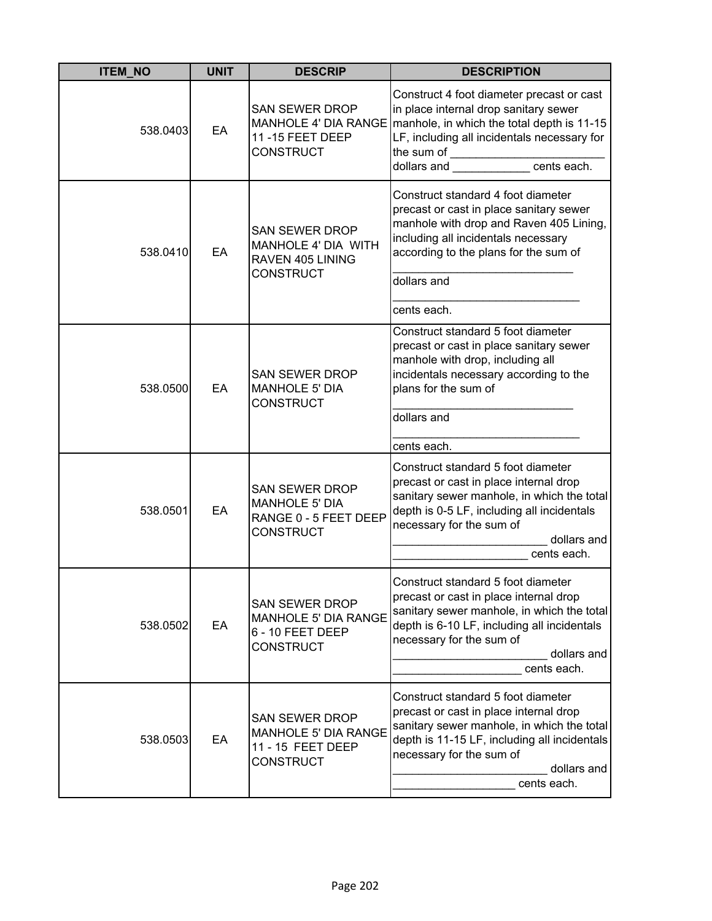| <b>ITEM_NO</b> | <b>UNIT</b> | <b>DESCRIP</b>                                                                               | <b>DESCRIPTION</b>                                                                                                                                                                                                                                   |
|----------------|-------------|----------------------------------------------------------------------------------------------|------------------------------------------------------------------------------------------------------------------------------------------------------------------------------------------------------------------------------------------------------|
| 538.0403       | EA          | <b>SAN SEWER DROP</b><br>11-15 FEET DEEP<br><b>CONSTRUCT</b>                                 | Construct 4 foot diameter precast or cast<br>in place internal drop sanitary sewer<br>MANHOLE 4' DIA RANGE   manhole, in which the total depth is 11-15<br>LF, including all incidentals necessary for<br>the sum of ____________________cents each. |
| 538.0410       | EA          | <b>SAN SEWER DROP</b><br>MANHOLE 4' DIA WITH<br>RAVEN 405 LINING<br><b>CONSTRUCT</b>         | Construct standard 4 foot diameter<br>precast or cast in place sanitary sewer<br>manhole with drop and Raven 405 Lining,<br>including all incidentals necessary<br>according to the plans for the sum of<br>dollars and<br>cents each.               |
| 538.0500       | EA          | <b>SAN SEWER DROP</b><br><b>MANHOLE 5' DIA</b><br><b>CONSTRUCT</b>                           | Construct standard 5 foot diameter<br>precast or cast in place sanitary sewer<br>manhole with drop, including all<br>incidentals necessary according to the<br>plans for the sum of<br>dollars and<br>cents each.                                    |
| 538.0501       | EA          | <b>SAN SEWER DROP</b><br><b>MANHOLE 5' DIA</b><br>RANGE 0 - 5 FEET DEEP<br><b>CONSTRUCT</b>  | Construct standard 5 foot diameter<br>precast or cast in place internal drop<br>sanitary sewer manhole, in which the total<br>depth is 0-5 LF, including all incidentals<br>necessary for the sum of<br>dollars and<br>cents each.                   |
| 538.0502       | EA          | <b>SAN SEWER DROP</b><br><b>MANHOLE 5' DIA RANGE</b><br>6 - 10 FEET DEEP<br><b>CONSTRUCT</b> | Construct standard 5 foot diameter<br>precast or cast in place internal drop<br>sanitary sewer manhole, in which the total<br>depth is 6-10 LF, including all incidentals<br>necessary for the sum of<br>dollars and<br>cents each.                  |
| 538.0503       | EA          | <b>SAN SEWER DROP</b><br>MANHOLE 5' DIA RANGE<br>11 - 15 FEET DEEP<br><b>CONSTRUCT</b>       | Construct standard 5 foot diameter<br>precast or cast in place internal drop<br>sanitary sewer manhole, in which the total<br>depth is 11-15 LF, including all incidentals<br>necessary for the sum of<br>dollars and<br>cents each.                 |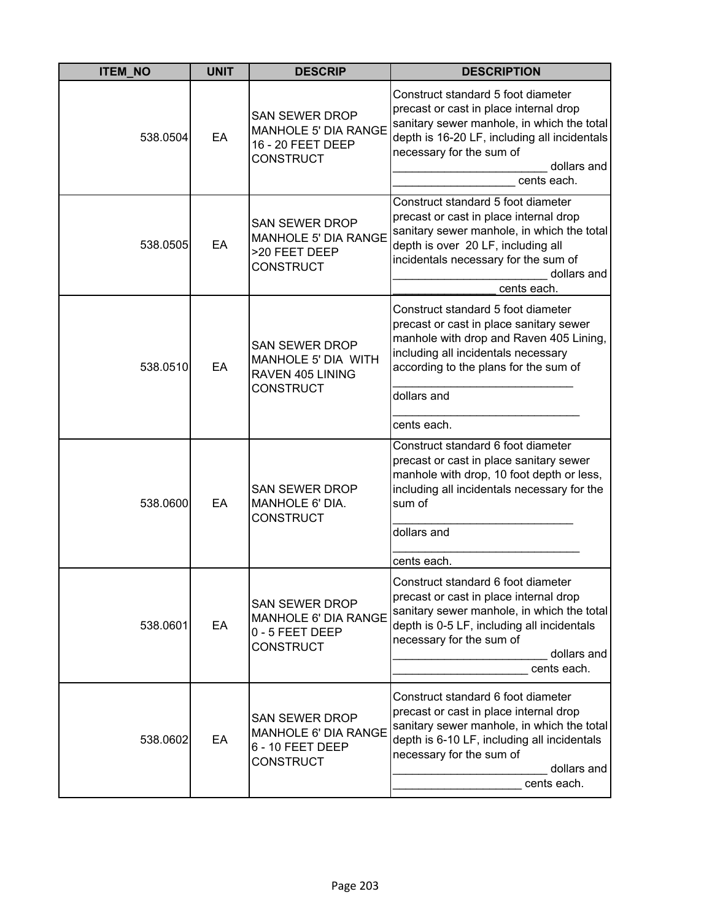| <b>ITEM_NO</b> | <b>UNIT</b> | <b>DESCRIP</b>                                                                            | <b>DESCRIPTION</b>                                                                                                                                                                                                                     |
|----------------|-------------|-------------------------------------------------------------------------------------------|----------------------------------------------------------------------------------------------------------------------------------------------------------------------------------------------------------------------------------------|
| 538.0504       | EA          | <b>SAN SEWER DROP</b><br>MANHOLE 5' DIA RANGE<br>16 - 20 FEET DEEP<br><b>CONSTRUCT</b>    | Construct standard 5 foot diameter<br>precast or cast in place internal drop<br>sanitary sewer manhole, in which the total<br>depth is 16-20 LF, including all incidentals<br>necessary for the sum of<br>dollars and<br>cents each.   |
| 538.0505       | EA          | <b>SAN SEWER DROP</b><br><b>MANHOLE 5' DIA RANGE</b><br>>20 FEET DEEP<br><b>CONSTRUCT</b> | Construct standard 5 foot diameter<br>precast or cast in place internal drop<br>sanitary sewer manhole, in which the total<br>depth is over 20 LF, including all<br>incidentals necessary for the sum of<br>dollars and<br>cents each. |
| 538.0510       | EA          | <b>SAN SEWER DROP</b><br>MANHOLE 5' DIA WITH<br>RAVEN 405 LINING<br><b>CONSTRUCT</b>      | Construct standard 5 foot diameter<br>precast or cast in place sanitary sewer<br>manhole with drop and Raven 405 Lining,<br>including all incidentals necessary<br>according to the plans for the sum of<br>dollars and<br>cents each. |
| 538.0600       | EA          | <b>SAN SEWER DROP</b><br>MANHOLE 6' DIA.<br><b>CONSTRUCT</b>                              | Construct standard 6 foot diameter<br>precast or cast in place sanitary sewer<br>manhole with drop, 10 foot depth or less,<br>including all incidentals necessary for the<br>sum of<br>dollars and<br>cents each.                      |
| 538.0601       | EA          | <b>SAN SEWER DROP</b><br>MANHOLE 6' DIA RANGE<br>0 - 5 FEET DEEP<br><b>CONSTRUCT</b>      | Construct standard 6 foot diameter<br>precast or cast in place internal drop<br>sanitary sewer manhole, in which the total<br>depth is 0-5 LF, including all incidentals<br>necessary for the sum of<br>dollars and<br>cents each.     |
| 538.0602       | EA          | <b>SAN SEWER DROP</b><br>MANHOLE 6' DIA RANGE<br>6 - 10 FEET DEEP<br><b>CONSTRUCT</b>     | Construct standard 6 foot diameter<br>precast or cast in place internal drop<br>sanitary sewer manhole, in which the total<br>depth is 6-10 LF, including all incidentals<br>necessary for the sum of<br>dollars and<br>cents each.    |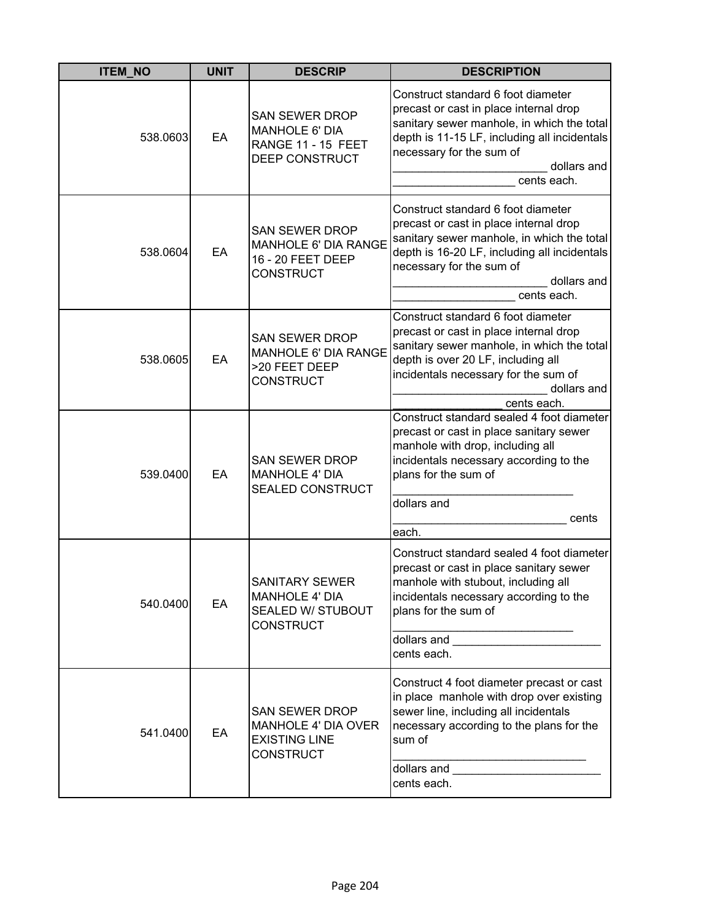| <b>ITEM_NO</b> | <b>UNIT</b> | <b>DESCRIP</b>                                                                                  | <b>DESCRIPTION</b>                                                                                                                                                                                                                                                                                                                                                                                                                    |
|----------------|-------------|-------------------------------------------------------------------------------------------------|---------------------------------------------------------------------------------------------------------------------------------------------------------------------------------------------------------------------------------------------------------------------------------------------------------------------------------------------------------------------------------------------------------------------------------------|
| 538.0603       | EA          | <b>SAN SEWER DROP</b><br><b>MANHOLE 6' DIA</b><br>RANGE 11 - 15 FEET<br>DEEP CONSTRUCT          | Construct standard 6 foot diameter<br>precast or cast in place internal drop<br>sanitary sewer manhole, in which the total<br>depth is 11-15 LF, including all incidentals<br>necessary for the sum of<br>dollars and<br>cents each.                                                                                                                                                                                                  |
| 538.0604       | EA          | <b>SAN SEWER DROP</b><br>MANHOLE 6' DIA RANGE<br>16 - 20 FEET DEEP<br><b>CONSTRUCT</b>          | Construct standard 6 foot diameter<br>precast or cast in place internal drop<br>sanitary sewer manhole, in which the total<br>depth is 16-20 LF, including all incidentals<br>necessary for the sum of<br>dollars and<br>cents each.                                                                                                                                                                                                  |
| 538.0605       | EA          | <b>SAN SEWER DROP</b><br>MANHOLE 6' DIA RANGE<br>>20 FEET DEEP<br><b>CONSTRUCT</b>              | Construct standard 6 foot diameter<br>precast or cast in place internal drop<br>sanitary sewer manhole, in which the total<br>depth is over 20 LF, including all<br>incidentals necessary for the sum of<br>dollars and<br>cents each.                                                                                                                                                                                                |
| 539.0400       | EA          | <b>SAN SEWER DROP</b><br><b>MANHOLE 4' DIA</b><br><b>SEALED CONSTRUCT</b>                       | Construct standard sealed 4 foot diameter<br>precast or cast in place sanitary sewer<br>manhole with drop, including all<br>incidentals necessary according to the<br>plans for the sum of<br>dollars and                                                                                                                                                                                                                             |
|                |             |                                                                                                 | cents<br>each.                                                                                                                                                                                                                                                                                                                                                                                                                        |
| 540.0400       | EA          | SANITARY SEWER<br><b>MANHOLE 4' DIA</b><br>SEALED W/ STUBOUT<br><b>CONSTRUCT</b>                | Construct standard sealed 4 foot diameter<br>precast or cast in place sanitary sewer<br>manhole with stubout, including all<br>incidentals necessary according to the<br>plans for the sum of<br>dollars and <b>with the control of the control of the control of the control of the control of the control of the control of the control of the control of the control of the control of the control of the control of the contr</b> |
|                |             |                                                                                                 | cents each.                                                                                                                                                                                                                                                                                                                                                                                                                           |
| 541.0400       | EA          | <b>SAN SEWER DROP</b><br><b>MANHOLE 4' DIA OVER</b><br><b>EXISTING LINE</b><br><b>CONSTRUCT</b> | Construct 4 foot diameter precast or cast<br>in place manhole with drop over existing<br>sewer line, including all incidentals<br>necessary according to the plans for the<br>sum of<br>dollars and<br>cents each.                                                                                                                                                                                                                    |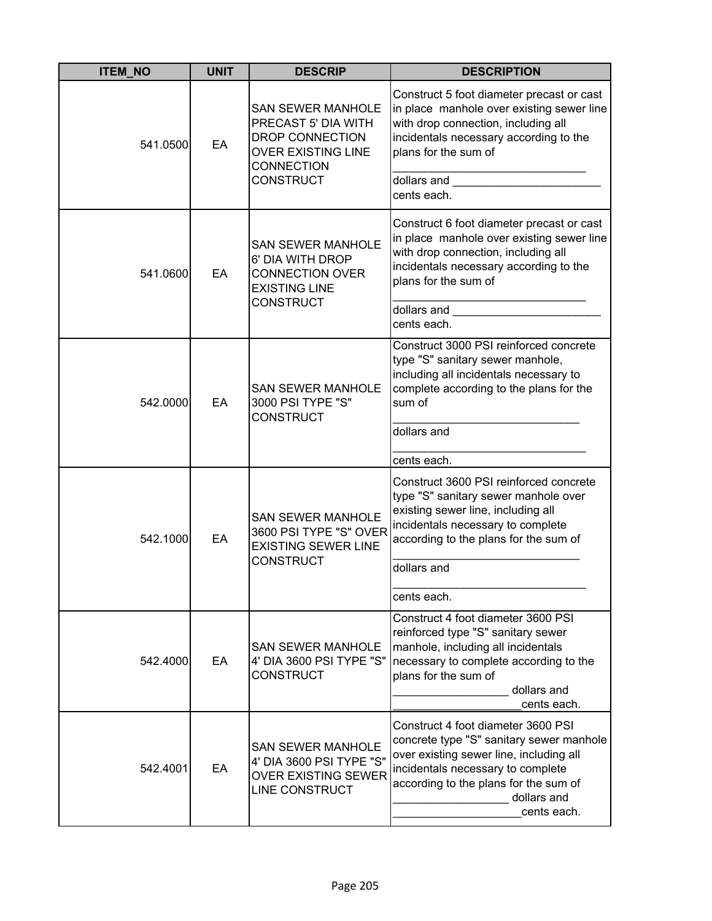| <b>ITEM_NO</b> | <b>UNIT</b> | <b>DESCRIP</b>                                                                                                                           | <b>DESCRIPTION</b>                                                                                                                                                                                                                                                                                                                                                                                                                                     |
|----------------|-------------|------------------------------------------------------------------------------------------------------------------------------------------|--------------------------------------------------------------------------------------------------------------------------------------------------------------------------------------------------------------------------------------------------------------------------------------------------------------------------------------------------------------------------------------------------------------------------------------------------------|
| 541.0500       | EA          | <b>SAN SEWER MANHOLE</b><br>PRECAST 5' DIA WITH<br>DROP CONNECTION<br><b>OVER EXISTING LINE</b><br><b>CONNECTION</b><br><b>CONSTRUCT</b> | Construct 5 foot diameter precast or cast<br>in place manhole over existing sewer line<br>with drop connection, including all<br>incidentals necessary according to the<br>plans for the sum of<br>dollars and <b>contract the contract of the contract of the contract of the contract of the contract of the contract of the contract of the contract of the contract of the contract of the contract of the contract of the cont</b><br>cents each. |
| 541.0600       | EA          | <b>SAN SEWER MANHOLE</b><br>6' DIA WITH DROP<br><b>CONNECTION OVER</b><br><b>EXISTING LINE</b><br><b>CONSTRUCT</b>                       | Construct 6 foot diameter precast or cast<br>in place manhole over existing sewer line<br>with drop connection, including all<br>incidentals necessary according to the<br>plans for the sum of<br>dollars and the control of the control of the control of the control of the control of the control of the control of the control of the control of the control of the control of the control of the control of the control of<br>cents each.        |
| 542.0000       | EA          | <b>SAN SEWER MANHOLE</b><br>3000 PSI TYPE "S"<br><b>CONSTRUCT</b>                                                                        | Construct 3000 PSI reinforced concrete<br>type "S" sanitary sewer manhole,<br>including all incidentals necessary to<br>complete according to the plans for the<br>sum of<br>dollars and                                                                                                                                                                                                                                                               |
|                |             |                                                                                                                                          | cents each.                                                                                                                                                                                                                                                                                                                                                                                                                                            |
| 542.1000<br>EA |             | <b>SAN SEWER MANHOLE</b><br>3600 PSI TYPE "S" OVER<br><b>EXISTING SEWER LINE</b><br><b>CONSTRUCT</b>                                     | Construct 3600 PSI reinforced concrete<br>type "S" sanitary sewer manhole over<br>existing sewer line, including all<br>incidentals necessary to complete<br>according to the plans for the sum of<br>dollars and                                                                                                                                                                                                                                      |
|                |             |                                                                                                                                          | cents each.                                                                                                                                                                                                                                                                                                                                                                                                                                            |
| 542.4000       | EA          | <b>SAN SEWER MANHOLE</b><br>4' DIA 3600 PSI TYPE "S"<br><b>CONSTRUCT</b>                                                                 | Construct 4 foot diameter 3600 PSI<br>reinforced type "S" sanitary sewer<br>manhole, including all incidentals<br>necessary to complete according to the<br>plans for the sum of<br>dollars and<br>cents each.                                                                                                                                                                                                                                         |
| 542.4001       | EA          | <b>SAN SEWER MANHOLE</b><br>4' DIA 3600 PSI TYPE "S"<br><b>OVER EXISTING SEWER</b><br>LINE CONSTRUCT                                     | Construct 4 foot diameter 3600 PSI<br>concrete type "S" sanitary sewer manhole<br>over existing sewer line, including all<br>incidentals necessary to complete<br>according to the plans for the sum of<br>dollars and<br>cents each.                                                                                                                                                                                                                  |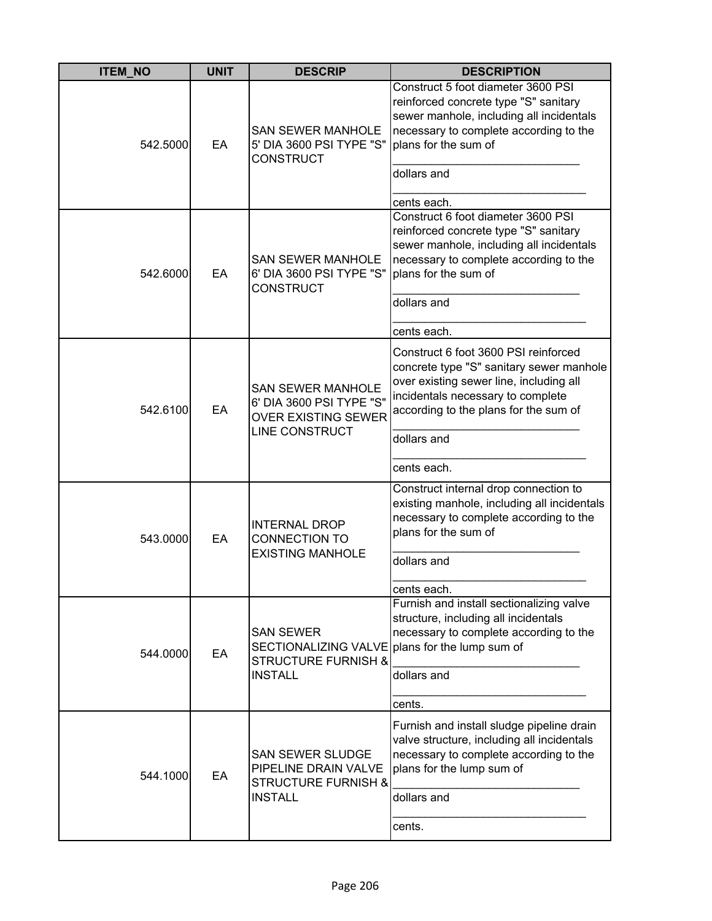| <b>ITEM_NO</b> | <b>UNIT</b> | <b>DESCRIP</b>                                                                                       | <b>DESCRIPTION</b>                                                                                                                                                                                                                      |
|----------------|-------------|------------------------------------------------------------------------------------------------------|-----------------------------------------------------------------------------------------------------------------------------------------------------------------------------------------------------------------------------------------|
| 542.5000       | EA          | <b>SAN SEWER MANHOLE</b><br>5' DIA 3600 PSI TYPE "S"<br><b>CONSTRUCT</b>                             | Construct 5 foot diameter 3600 PSI<br>reinforced concrete type "S" sanitary<br>sewer manhole, including all incidentals<br>necessary to complete according to the<br>plans for the sum of<br>dollars and<br>cents each.                 |
| 542.6000       | EA          | <b>SAN SEWER MANHOLE</b><br>6' DIA 3600 PSI TYPE "S"<br><b>CONSTRUCT</b>                             | Construct 6 foot diameter 3600 PSI<br>reinforced concrete type "S" sanitary<br>sewer manhole, including all incidentals<br>necessary to complete according to the<br>plans for the sum of<br>dollars and<br>cents each.                 |
| 542.6100       | EA          | <b>SAN SEWER MANHOLE</b><br>6' DIA 3600 PSI TYPE "S"<br><b>OVER EXISTING SEWER</b><br>LINE CONSTRUCT | Construct 6 foot 3600 PSI reinforced<br>concrete type "S" sanitary sewer manhole<br>over existing sewer line, including all<br>incidentals necessary to complete<br>according to the plans for the sum of<br>dollars and<br>cents each. |
| 543.0000       | EA          | <b>INTERNAL DROP</b><br><b>CONNECTION TO</b><br><b>EXISTING MANHOLE</b>                              | Construct internal drop connection to<br>existing manhole, including all incidentals<br>necessary to complete according to the<br>plans for the sum of<br>dollars and<br>cents each.                                                    |
| 544.0000       | EA          | <b>SAN SEWER</b><br>SECTIONALIZING VALVE<br><b>STRUCTURE FURNISH &amp;</b><br><b>INSTALL</b>         | Furnish and install sectionalizing valve<br>structure, including all incidentals<br>necessary to complete according to the<br>plans for the lump sum of<br>dollars and<br>cents.                                                        |
| 544.1000       | EA          | <b>SAN SEWER SLUDGE</b><br>PIPELINE DRAIN VALVE<br><b>STRUCTURE FURNISH &amp;</b><br><b>INSTALL</b>  | Furnish and install sludge pipeline drain<br>valve structure, including all incidentals<br>necessary to complete according to the<br>plans for the lump sum of<br>dollars and<br>cents.                                                 |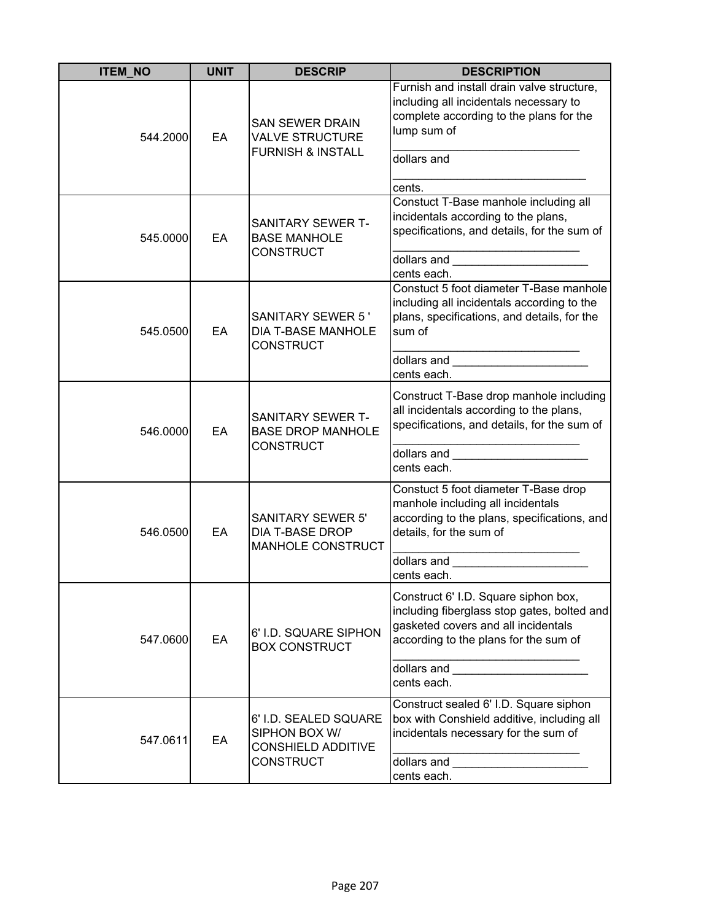| <b>ITEM_NO</b> | <b>UNIT</b> | <b>DESCRIP</b>                                                                          | <b>DESCRIPTION</b>                                                                                                                                                                                                                                                                                                                                                                                                         |
|----------------|-------------|-----------------------------------------------------------------------------------------|----------------------------------------------------------------------------------------------------------------------------------------------------------------------------------------------------------------------------------------------------------------------------------------------------------------------------------------------------------------------------------------------------------------------------|
| 544.2000       | EA          | <b>SAN SEWER DRAIN</b><br><b>VALVE STRUCTURE</b><br><b>FURNISH &amp; INSTALL</b>        | Furnish and install drain valve structure,<br>including all incidentals necessary to<br>complete according to the plans for the<br>lump sum of<br>dollars and<br>cents.                                                                                                                                                                                                                                                    |
| 545.0000       | EA          | SANITARY SEWER T-<br><b>BASE MANHOLE</b><br><b>CONSTRUCT</b>                            | Constuct T-Base manhole including all<br>incidentals according to the plans,<br>specifications, and details, for the sum of<br>cents each.                                                                                                                                                                                                                                                                                 |
| 545.0500       | EA          | <b>SANITARY SEWER 5'</b><br>DIA T-BASE MANHOLE<br><b>CONSTRUCT</b>                      | Constuct 5 foot diameter T-Base manhole<br>including all incidentals according to the<br>plans, specifications, and details, for the<br>sum of<br>dollars and __________________________<br>cents each.                                                                                                                                                                                                                    |
| 546.0000       | EA          | SANITARY SEWER T-<br><b>BASE DROP MANHOLE</b><br><b>CONSTRUCT</b>                       | Construct T-Base drop manhole including<br>all incidentals according to the plans,<br>specifications, and details, for the sum of<br>dollars and the contract of the contract of the contract of the contract of the contract of the contract of the contract of the contract of the contract of the contract of the contract of the contract of the contract of th<br>cents each.                                         |
| 546.0500       | EA          | <b>SANITARY SEWER 5'</b><br><b>DIA T-BASE DROP</b><br>MANHOLE CONSTRUCT                 | Constuct 5 foot diameter T-Base drop<br>manhole including all incidentals<br>according to the plans, specifications, and<br>details, for the sum of<br>dollars and the contract of the contract of the contract of the contract of the contract of the contract of the contract of the contract of the contract of the contract of the contract of the contract of the contract of th<br>cents each.                       |
| 547.0600       | EA          | 6' I.D. SQUARE SIPHON<br><b>BOX CONSTRUCT</b>                                           | Construct 6' I.D. Square siphon box,<br>including fiberglass stop gates, bolted and<br>gasketed covers and all incidentals<br>according to the plans for the sum of<br>dollars and <b>with the contract of the contract of the contract of the contract of the contract of the contract of the contract of the contract of the contract of the contract of the contract of the contract of the contract</b><br>cents each. |
| 547.0611       | EA          | 6' I.D. SEALED SQUARE<br>SIPHON BOX W/<br><b>CONSHIELD ADDITIVE</b><br><b>CONSTRUCT</b> | Construct sealed 6' I.D. Square siphon<br>box with Conshield additive, including all<br>incidentals necessary for the sum of<br>dollars and<br><u> 2000 - Jan Barat, martin da basar da basar</u><br>cents each.                                                                                                                                                                                                           |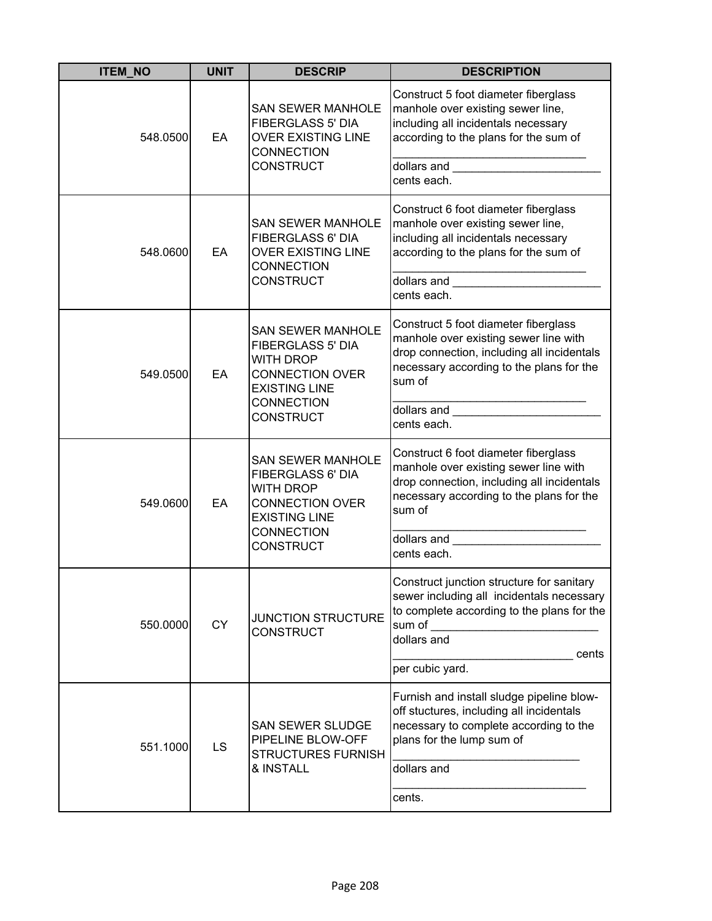| <b>ITEM_NO</b> | <b>UNIT</b> | <b>DESCRIP</b>                                                                                                                                                      | <b>DESCRIPTION</b>                                                                                                                                                                                                                                                                                                                                                                                               |
|----------------|-------------|---------------------------------------------------------------------------------------------------------------------------------------------------------------------|------------------------------------------------------------------------------------------------------------------------------------------------------------------------------------------------------------------------------------------------------------------------------------------------------------------------------------------------------------------------------------------------------------------|
| 548.0500       | EA          | <b>SAN SEWER MANHOLE</b><br><b>FIBERGLASS 5' DIA</b><br><b>OVER EXISTING LINE</b><br><b>CONNECTION</b><br><b>CONSTRUCT</b>                                          | Construct 5 foot diameter fiberglass<br>manhole over existing sewer line,<br>including all incidentals necessary<br>according to the plans for the sum of<br>dollars and <b>contract the contract of the contract of the contract of the contract of the contract of the contract of the contract of the contract of the contract of the contract of the contract of the contract of the cont</b><br>cents each. |
| 548.0600       | EA          | <b>SAN SEWER MANHOLE</b><br>FIBERGLASS 6' DIA<br><b>OVER EXISTING LINE</b><br><b>CONNECTION</b><br><b>CONSTRUCT</b>                                                 | Construct 6 foot diameter fiberglass<br>manhole over existing sewer line,<br>including all incidentals necessary<br>according to the plans for the sum of<br>cents each.                                                                                                                                                                                                                                         |
| 549.0500       | EA          | <b>SAN SEWER MANHOLE</b><br><b>FIBERGLASS 5' DIA</b><br><b>WITH DROP</b><br><b>CONNECTION OVER</b><br><b>EXISTING LINE</b><br><b>CONNECTION</b><br><b>CONSTRUCT</b> | Construct 5 foot diameter fiberglass<br>manhole over existing sewer line with<br>drop connection, including all incidentals<br>necessary according to the plans for the<br>sum of<br>dollars and the contract of the contract of the contract of the contract of the contract of the contract of the<br>cents each.                                                                                              |
| 549.0600       | EA          | <b>SAN SEWER MANHOLE</b><br>FIBERGLASS 6' DIA<br><b>WITH DROP</b><br><b>CONNECTION OVER</b><br><b>EXISTING LINE</b><br><b>CONNECTION</b><br><b>CONSTRUCT</b>        | Construct 6 foot diameter fiberglass<br>manhole over existing sewer line with<br>drop connection, including all incidentals<br>necessary according to the plans for the<br>sum of<br>dollars and<br>cents each.                                                                                                                                                                                                  |
| 550.0000       | <b>CY</b>   | <b>JUNCTION STRUCTURE</b><br><b>CONSTRUCT</b>                                                                                                                       | Construct junction structure for sanitary<br>sewer including all incidentals necessary<br>to complete according to the plans for the<br>sum of<br>dollars and<br>cents<br>per cubic yard.                                                                                                                                                                                                                        |
| 551.1000       | LS          | <b>SAN SEWER SLUDGE</b><br>PIPELINE BLOW-OFF<br><b>STRUCTURES FURNISH</b><br>& INSTALL                                                                              | Furnish and install sludge pipeline blow-<br>off stuctures, including all incidentals<br>necessary to complete according to the<br>plans for the lump sum of<br>dollars and<br>cents.                                                                                                                                                                                                                            |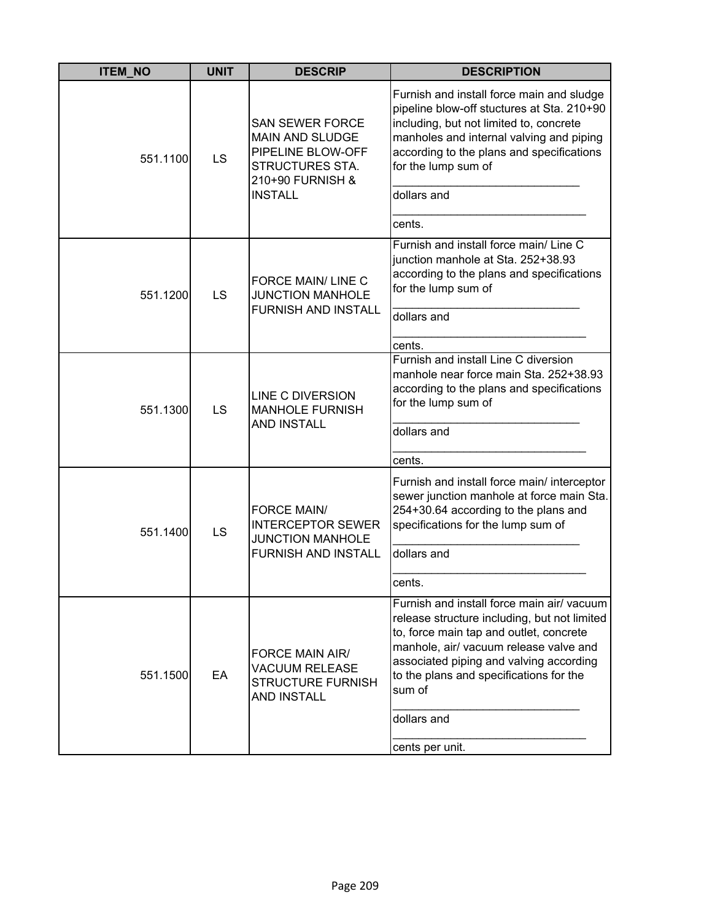| <b>ITEM NO</b> | <b>UNIT</b> | <b>DESCRIP</b>                                                                                                          | <b>DESCRIPTION</b>                                                                                                                                                                                                                                                                                                |
|----------------|-------------|-------------------------------------------------------------------------------------------------------------------------|-------------------------------------------------------------------------------------------------------------------------------------------------------------------------------------------------------------------------------------------------------------------------------------------------------------------|
| 551.1100       | LS          | <b>SAN SEWER FORCE</b><br>MAIN AND SLUDGE<br>PIPELINE BLOW-OFF<br>STRUCTURES STA.<br>210+90 FURNISH &<br><b>INSTALL</b> | Furnish and install force main and sludge<br>pipeline blow-off stuctures at Sta. 210+90<br>including, but not limited to, concrete<br>manholes and internal valving and piping<br>according to the plans and specifications<br>for the lump sum of<br>dollars and<br>cents.                                       |
| 551.1200       | LS          | FORCE MAIN/LINE C<br><b>JUNCTION MANHOLE</b><br><b>FURNISH AND INSTALL</b>                                              | Furnish and install force main/ Line C<br>junction manhole at Sta. 252+38.93<br>according to the plans and specifications<br>for the lump sum of<br>dollars and<br>cents.                                                                                                                                         |
| 551.1300       | LS          | <b>LINE C DIVERSION</b><br><b>MANHOLE FURNISH</b><br><b>AND INSTALL</b>                                                 | Furnish and install Line C diversion<br>manhole near force main Sta. 252+38.93<br>according to the plans and specifications<br>for the lump sum of<br>dollars and<br>cents.                                                                                                                                       |
| 551.1400       | LS          | <b>FORCE MAIN/</b><br><b>INTERCEPTOR SEWER</b><br><b>JUNCTION MANHOLE</b><br><b>FURNISH AND INSTALL</b>                 | Furnish and install force main/ interceptor<br>sewer junction manhole at force main Sta.<br>254+30.64 according to the plans and<br>specifications for the lump sum of<br>dollars and<br>cents.                                                                                                                   |
| 551.1500       | EA          | FORCE MAIN AIR/<br><b>VACUUM RELEASE</b><br><b>STRUCTURE FURNISH</b><br><b>AND INSTALL</b>                              | Furnish and install force main air/ vacuum<br>release structure including, but not limited<br>to, force main tap and outlet, concrete<br>manhole, air/ vacuum release valve and<br>associated piping and valving according<br>to the plans and specifications for the<br>sum of<br>dollars and<br>cents per unit. |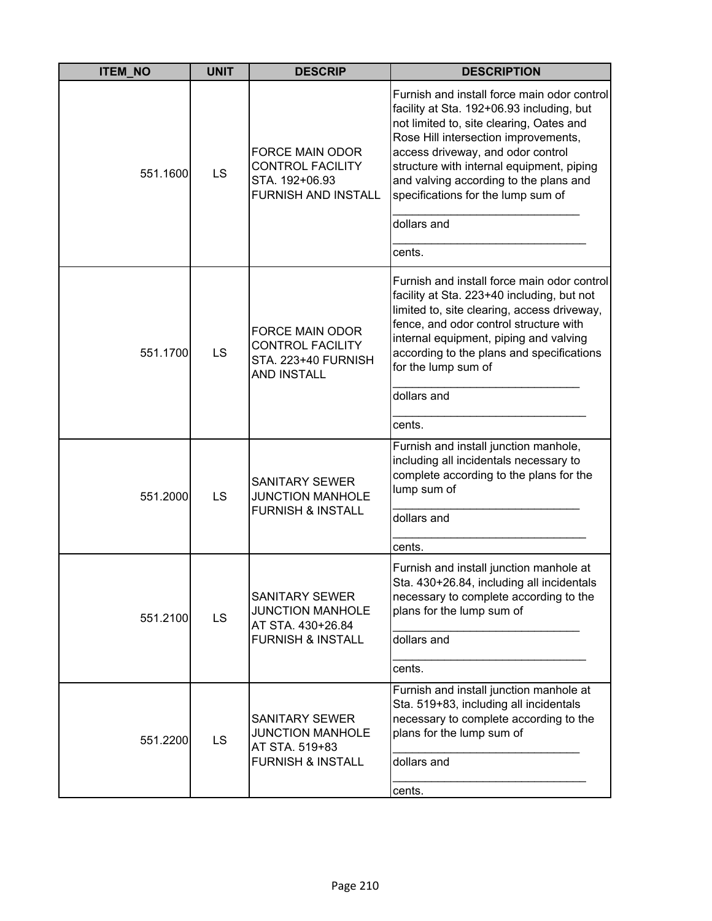| <b>ITEM NO</b> | <b>UNIT</b> | <b>DESCRIP</b>                                                                                        | <b>DESCRIPTION</b>                                                                                                                                                                                                                                                                                                                                                      |
|----------------|-------------|-------------------------------------------------------------------------------------------------------|-------------------------------------------------------------------------------------------------------------------------------------------------------------------------------------------------------------------------------------------------------------------------------------------------------------------------------------------------------------------------|
| 551.1600       | LS          | <b>FORCE MAIN ODOR</b><br><b>CONTROL FACILITY</b><br>STA. 192+06.93<br><b>FURNISH AND INSTALL</b>     | Furnish and install force main odor control<br>facility at Sta. 192+06.93 including, but<br>not limited to, site clearing, Oates and<br>Rose Hill intersection improvements,<br>access driveway, and odor control<br>structure with internal equipment, piping<br>and valving according to the plans and<br>specifications for the lump sum of<br>dollars and<br>cents. |
| 551.1700       | LS          | <b>FORCE MAIN ODOR</b><br><b>CONTROL FACILITY</b><br>STA. 223+40 FURNISH<br><b>AND INSTALL</b>        | Furnish and install force main odor control<br>facility at Sta. 223+40 including, but not<br>limited to, site clearing, access driveway,<br>fence, and odor control structure with<br>internal equipment, piping and valving<br>according to the plans and specifications<br>for the lump sum of<br>dollars and<br>cents.                                               |
| 551.2000       | LS          | <b>SANITARY SEWER</b><br><b>JUNCTION MANHOLE</b><br><b>FURNISH &amp; INSTALL</b>                      | Furnish and install junction manhole,<br>including all incidentals necessary to<br>complete according to the plans for the<br>lump sum of<br>dollars and<br>cents.                                                                                                                                                                                                      |
| 551.2100       | LS          | <b>SANITARY SEWER</b><br><b>JUNCTION MANHOLE</b><br>AT STA. 430+26.84<br><b>FURNISH &amp; INSTALL</b> | Furnish and install junction manhole at<br>Sta. 430+26.84, including all incidentals<br>necessary to complete according to the<br>plans for the lump sum of<br>dollars and<br>cents.                                                                                                                                                                                    |
| 551.2200       | <b>LS</b>   | <b>SANITARY SEWER</b><br><b>JUNCTION MANHOLE</b><br>AT STA. 519+83<br><b>FURNISH &amp; INSTALL</b>    | Furnish and install junction manhole at<br>Sta. 519+83, including all incidentals<br>necessary to complete according to the<br>plans for the lump sum of<br>dollars and<br>cents.                                                                                                                                                                                       |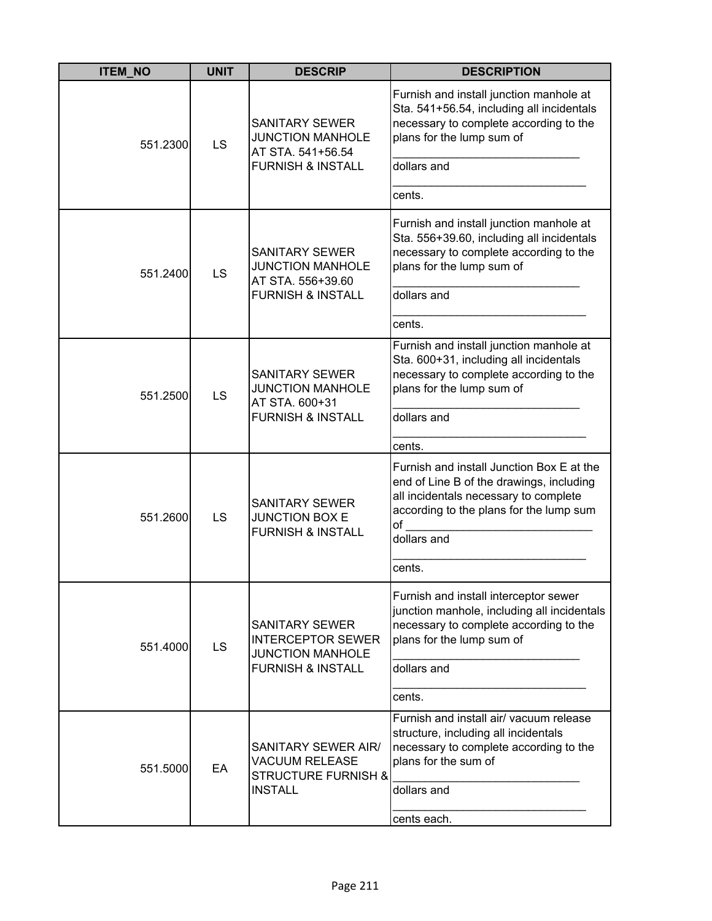| <b>ITEM_NO</b> | <b>UNIT</b> | <b>DESCRIP</b>                                                                                               | <b>DESCRIPTION</b>                                                                                                                                                                                       |
|----------------|-------------|--------------------------------------------------------------------------------------------------------------|----------------------------------------------------------------------------------------------------------------------------------------------------------------------------------------------------------|
| 551.2300       | <b>LS</b>   | <b>SANITARY SEWER</b><br><b>JUNCTION MANHOLE</b><br>AT STA. 541+56.54<br><b>FURNISH &amp; INSTALL</b>        | Furnish and install junction manhole at<br>Sta. 541+56.54, including all incidentals<br>necessary to complete according to the<br>plans for the lump sum of<br>dollars and<br>cents.                     |
| 551.2400       | LS          | <b>SANITARY SEWER</b><br><b>JUNCTION MANHOLE</b><br>AT STA. 556+39.60<br><b>FURNISH &amp; INSTALL</b>        | Furnish and install junction manhole at<br>Sta. 556+39.60, including all incidentals<br>necessary to complete according to the<br>plans for the lump sum of<br>dollars and<br>cents.                     |
| 551.2500       | LS          | <b>SANITARY SEWER</b><br><b>JUNCTION MANHOLE</b><br>AT STA. 600+31<br><b>FURNISH &amp; INSTALL</b>           | Furnish and install junction manhole at<br>Sta. 600+31, including all incidentals<br>necessary to complete according to the<br>plans for the lump sum of<br>dollars and<br>cents.                        |
| 551.2600       | LS          | <b>SANITARY SEWER</b><br><b>JUNCTION BOX E</b><br><b>FURNISH &amp; INSTALL</b>                               | Furnish and install Junction Box E at the<br>end of Line B of the drawings, including<br>all incidentals necessary to complete<br>according to the plans for the lump sum<br>of<br>dollars and<br>cents. |
| 551.4000       | LS          | <b>SANITARY SEWER</b><br><b>INTERCEPTOR SEWER</b><br><b>JUNCTION MANHOLE</b><br><b>FURNISH &amp; INSTALL</b> | Furnish and install interceptor sewer<br>junction manhole, including all incidentals<br>necessary to complete according to the<br>plans for the lump sum of<br>dollars and<br>cents.                     |
| 551.5000       | EA          | SANITARY SEWER AIR/<br><b>VACUUM RELEASE</b><br><b>STRUCTURE FURNISH &amp;</b><br><b>INSTALL</b>             | Furnish and install air/ vacuum release<br>structure, including all incidentals<br>necessary to complete according to the<br>plans for the sum of<br>dollars and<br>cents each.                          |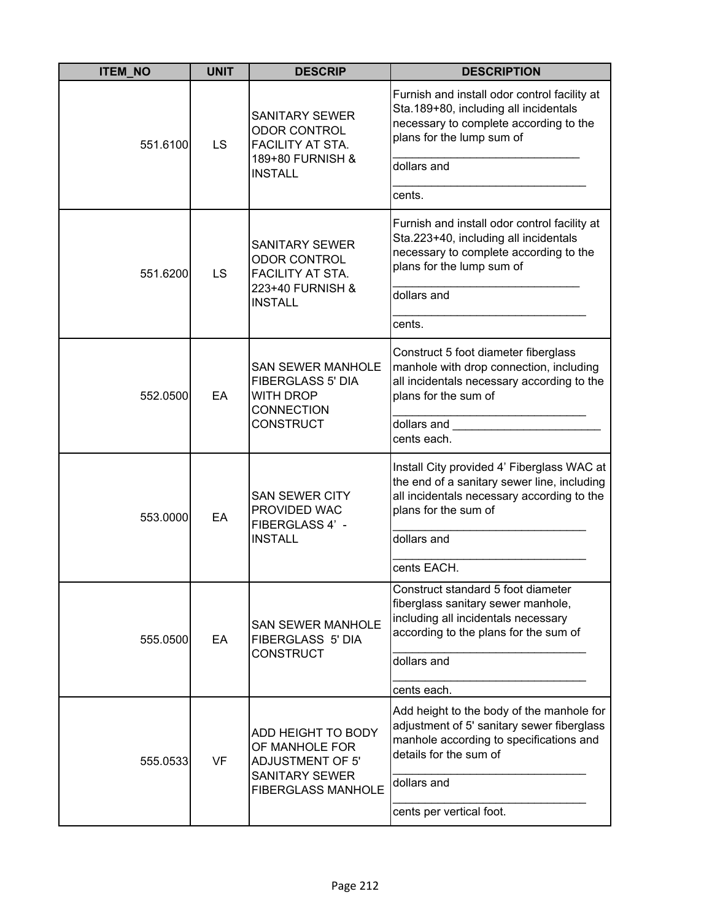| <b>ITEM_NO</b> | <b>UNIT</b> | <b>DESCRIP</b>                                                                                                        | <b>DESCRIPTION</b>                                                                                                                                                          |
|----------------|-------------|-----------------------------------------------------------------------------------------------------------------------|-----------------------------------------------------------------------------------------------------------------------------------------------------------------------------|
| 551.6100       | LS          | <b>SANITARY SEWER</b><br><b>ODOR CONTROL</b><br>FACILITY AT STA.<br>189+80 FURNISH &<br><b>INSTALL</b>                | Furnish and install odor control facility at<br>Sta.189+80, including all incidentals<br>necessary to complete according to the<br>plans for the lump sum of<br>dollars and |
|                |             |                                                                                                                       | cents.                                                                                                                                                                      |
| 551.6200       | LS          | <b>SANITARY SEWER</b><br><b>ODOR CONTROL</b><br>FACILITY AT STA.                                                      | Furnish and install odor control facility at<br>Sta.223+40, including all incidentals<br>necessary to complete according to the<br>plans for the lump sum of                |
|                |             | 223+40 FURNISH &<br><b>INSTALL</b>                                                                                    | dollars and                                                                                                                                                                 |
|                |             |                                                                                                                       | cents.                                                                                                                                                                      |
| 552.0500       | EA          | <b>SAN SEWER MANHOLE</b><br><b>FIBERGLASS 5' DIA</b><br><b>WITH DROP</b><br><b>CONNECTION</b><br><b>CONSTRUCT</b>     | Construct 5 foot diameter fiberglass<br>manhole with drop connection, including<br>all incidentals necessary according to the<br>plans for the sum of                       |
|                |             |                                                                                                                       | dollars and<br>cents each.                                                                                                                                                  |
| 553.0000       | EA          | <b>SAN SEWER CITY</b><br>PROVIDED WAC<br>FIBERGLASS 4' -<br><b>INSTALL</b>                                            | Install City provided 4' Fiberglass WAC at<br>the end of a sanitary sewer line, including<br>all incidentals necessary according to the<br>plans for the sum of             |
|                |             |                                                                                                                       | dollars and                                                                                                                                                                 |
|                |             |                                                                                                                       | cents EACH.                                                                                                                                                                 |
| 555.0500       | EA          | <b>SAN SEWER MANHOLE</b><br><b>FIBERGLASS 5' DIA</b><br><b>CONSTRUCT</b>                                              | Construct standard 5 foot diameter<br>fiberglass sanitary sewer manhole,<br>including all incidentals necessary<br>according to the plans for the sum of<br>dollars and     |
|                |             |                                                                                                                       | cents each.                                                                                                                                                                 |
| 555.0533       | <b>VF</b>   | ADD HEIGHT TO BODY<br>OF MANHOLE FOR<br><b>ADJUSTMENT OF 5'</b><br><b>SANITARY SEWER</b><br><b>FIBERGLASS MANHOLE</b> | Add height to the body of the manhole for<br>adjustment of 5' sanitary sewer fiberglass<br>manhole according to specifications and<br>details for the sum of                |
|                |             |                                                                                                                       | dollars and                                                                                                                                                                 |
|                |             |                                                                                                                       | cents per vertical foot.                                                                                                                                                    |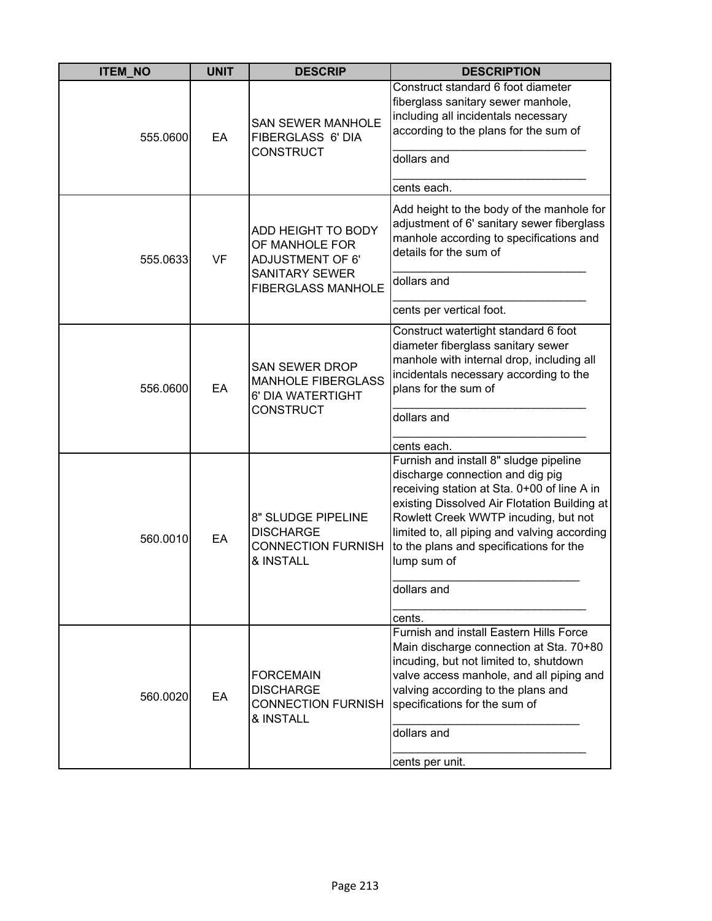| <b>ITEM_NO</b> | <b>UNIT</b> | <b>DESCRIP</b>                                                                                                        | <b>DESCRIPTION</b>                                                                                                                                                                                                                                                                                                                                   |
|----------------|-------------|-----------------------------------------------------------------------------------------------------------------------|------------------------------------------------------------------------------------------------------------------------------------------------------------------------------------------------------------------------------------------------------------------------------------------------------------------------------------------------------|
| 555.0600       | EA          | <b>SAN SEWER MANHOLE</b><br>FIBERGLASS 6' DIA<br><b>CONSTRUCT</b>                                                     | Construct standard 6 foot diameter<br>fiberglass sanitary sewer manhole,<br>including all incidentals necessary<br>according to the plans for the sum of<br>dollars and<br>cents each.                                                                                                                                                               |
| 555.0633       | <b>VF</b>   | ADD HEIGHT TO BODY<br>OF MANHOLE FOR<br><b>ADJUSTMENT OF 6'</b><br><b>SANITARY SEWER</b><br><b>FIBERGLASS MANHOLE</b> | Add height to the body of the manhole for<br>adjustment of 6' sanitary sewer fiberglass<br>manhole according to specifications and<br>details for the sum of<br>dollars and<br>cents per vertical foot.                                                                                                                                              |
| 556.0600       | EA          | <b>SAN SEWER DROP</b><br><b>MANHOLE FIBERGLASS</b><br>6' DIA WATERTIGHT<br>CONSTRUCT                                  | Construct watertight standard 6 foot<br>diameter fiberglass sanitary sewer<br>manhole with internal drop, including all<br>incidentals necessary according to the<br>plans for the sum of<br>dollars and<br>cents each.                                                                                                                              |
| 560.0010       | EA          | 8" SLUDGE PIPELINE<br><b>DISCHARGE</b><br><b>CONNECTION FURNISH</b><br>& INSTALL                                      | Furnish and install 8" sludge pipeline<br>discharge connection and dig pig<br>receiving station at Sta. 0+00 of line A in<br>existing Dissolved Air Flotation Building at<br>Rowlett Creek WWTP incuding, but not<br>limited to, all piping and valving according<br>to the plans and specifications for the<br>lump sum of<br>dollars and<br>cents. |
| 560.0020       | EA          | <b>FORCEMAIN</b><br><b>DISCHARGE</b><br><b>CONNECTION FURNISH</b><br>& INSTALL                                        | <b>Furnish and install Eastern Hills Force</b><br>Main discharge connection at Sta. 70+80<br>incuding, but not limited to, shutdown<br>valve access manhole, and all piping and<br>valving according to the plans and<br>specifications for the sum of<br>dollars and<br>cents per unit.                                                             |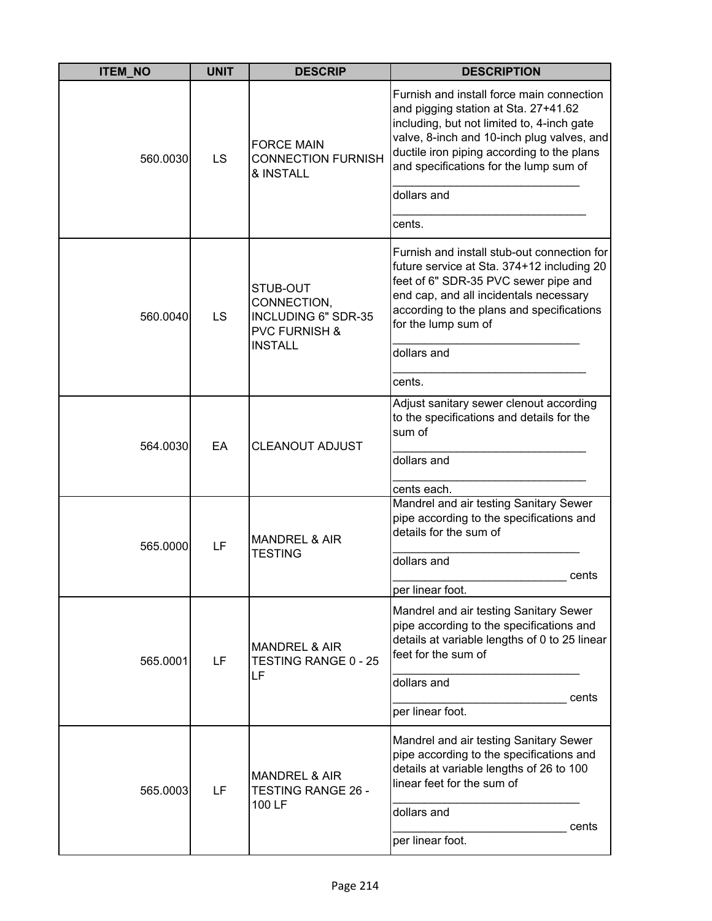| <b>ITEM_NO</b> | <b>UNIT</b> | <b>DESCRIP</b>                                                                               | <b>DESCRIPTION</b>                                                                                                                                                                                                                                                    |
|----------------|-------------|----------------------------------------------------------------------------------------------|-----------------------------------------------------------------------------------------------------------------------------------------------------------------------------------------------------------------------------------------------------------------------|
| 560.0030       | LS          | <b>FORCE MAIN</b><br><b>CONNECTION FURNISH</b><br>& INSTALL                                  | Furnish and install force main connection<br>and pigging station at Sta. 27+41.62<br>including, but not limited to, 4-inch gate<br>valve, 8-inch and 10-inch plug valves, and<br>ductile iron piping according to the plans<br>and specifications for the lump sum of |
|                |             |                                                                                              | dollars and                                                                                                                                                                                                                                                           |
|                |             |                                                                                              | cents.                                                                                                                                                                                                                                                                |
| 560.0040       | LS          | STUB-OUT<br>CONNECTION,<br>INCLUDING 6" SDR-35<br><b>PVC FURNISH &amp;</b><br><b>INSTALL</b> | Furnish and install stub-out connection for<br>future service at Sta. 374+12 including 20<br>feet of 6" SDR-35 PVC sewer pipe and<br>end cap, and all incidentals necessary<br>according to the plans and specifications<br>for the lump sum of<br>dollars and        |
|                |             |                                                                                              | cents.                                                                                                                                                                                                                                                                |
| 564.0030       | EA          | <b>CLEANOUT ADJUST</b>                                                                       | Adjust sanitary sewer clenout according<br>to the specifications and details for the<br>sum of<br>dollars and<br>cents each.                                                                                                                                          |
| 565.0000       | LF          | <b>MANDREL &amp; AIR</b><br><b>TESTING</b>                                                   | Mandrel and air testing Sanitary Sewer<br>pipe according to the specifications and<br>details for the sum of<br>dollars and<br>cents<br>per linear foot.                                                                                                              |
| 565.0001       | LF          | <b>MANDREL &amp; AIR</b><br>TESTING RANGE 0 - 25<br>LF                                       | Mandrel and air testing Sanitary Sewer<br>pipe according to the specifications and<br>details at variable lengths of 0 to 25 linear<br>feet for the sum of<br>dollars and<br>cents<br>per linear foot.                                                                |
| 565.0003       | LF          | <b>MANDREL &amp; AIR</b><br>TESTING RANGE 26 -<br>100 LF                                     | Mandrel and air testing Sanitary Sewer<br>pipe according to the specifications and<br>details at variable lengths of 26 to 100<br>linear feet for the sum of<br>dollars and<br>cents<br>per linear foot.                                                              |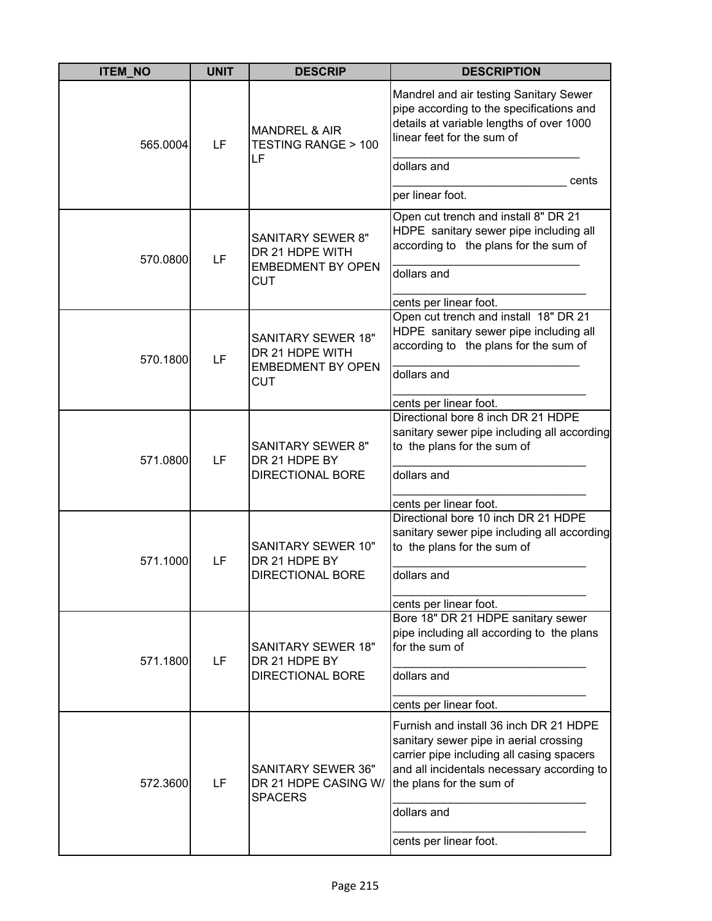| <b>ITEM_NO</b> | <b>UNIT</b>    | <b>DESCRIP</b>                                                                  | <b>DESCRIPTION</b>                                                                                                                                                                                      |
|----------------|----------------|---------------------------------------------------------------------------------|---------------------------------------------------------------------------------------------------------------------------------------------------------------------------------------------------------|
| 565.0004       | LF             | <b>MANDREL &amp; AIR</b><br>TESTING RANGE > 100<br>LF                           | Mandrel and air testing Sanitary Sewer<br>pipe according to the specifications and<br>details at variable lengths of over 1000<br>linear feet for the sum of<br>dollars and                             |
|                |                |                                                                                 | cents<br>per linear foot.                                                                                                                                                                               |
| 570.0800       | LF             | <b>SANITARY SEWER 8"</b><br>DR 21 HDPE WITH                                     | Open cut trench and install 8" DR 21<br>HDPE sanitary sewer pipe including all<br>according to the plans for the sum of                                                                                 |
|                |                | <b>EMBEDMENT BY OPEN</b><br><b>CUT</b>                                          | dollars and                                                                                                                                                                                             |
| 570.1800       | LF             | <b>SANITARY SEWER 18"</b><br>DR 21 HDPE WITH<br><b>EMBEDMENT BY OPEN</b><br>CUT | cents per linear foot.<br>Open cut trench and install 18" DR 21<br>HDPE sanitary sewer pipe including all<br>according to the plans for the sum of                                                      |
|                |                |                                                                                 | dollars and                                                                                                                                                                                             |
|                | 571.0800<br>LF | <b>SANITARY SEWER 8"</b><br>DR 21 HDPE BY<br><b>DIRECTIONAL BORE</b>            | cents per linear foot.<br>Directional bore 8 inch DR 21 HDPE<br>sanitary sewer pipe including all according<br>to the plans for the sum of<br>dollars and                                               |
|                |                |                                                                                 | cents per linear foot.                                                                                                                                                                                  |
| 571.1000       | LF             | SANITARY SEWER 10"<br>DR 21 HDPE BY<br><b>DIRECTIONAL BORE</b>                  | Directional bore 10 inch DR 21 HDPE<br>sanitary sewer pipe including all according<br>to the plans for the sum of                                                                                       |
|                |                |                                                                                 | dollars and                                                                                                                                                                                             |
|                |                |                                                                                 | cents per linear foot.                                                                                                                                                                                  |
| 571.1800       | LF             | <b>SANITARY SEWER 18"</b><br>DR 21 HDPE BY                                      | Bore 18" DR 21 HDPE sanitary sewer<br>pipe including all according to the plans<br>for the sum of                                                                                                       |
|                |                | <b>DIRECTIONAL BORE</b>                                                         | dollars and                                                                                                                                                                                             |
|                |                |                                                                                 | cents per linear foot.                                                                                                                                                                                  |
| 572.3600       | LF             | <b>SANITARY SEWER 36"</b><br>DR 21 HDPE CASING W/<br><b>SPACERS</b>             | Furnish and install 36 inch DR 21 HDPE<br>sanitary sewer pipe in aerial crossing<br>carrier pipe including all casing spacers<br>and all incidentals necessary according to<br>the plans for the sum of |
|                |                |                                                                                 | dollars and                                                                                                                                                                                             |
|                |                |                                                                                 | cents per linear foot.                                                                                                                                                                                  |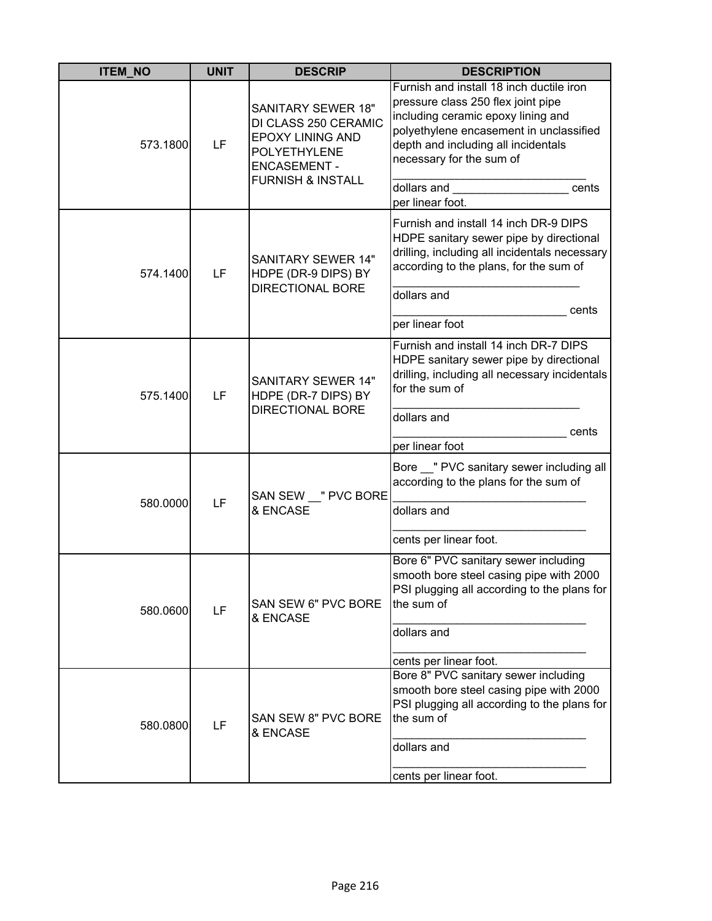| <b>ITEM_NO</b> | <b>UNIT</b> | <b>DESCRIP</b>                                                                                                                                             | <b>DESCRIPTION</b>                                                                                                                                                                                                                                                             |
|----------------|-------------|------------------------------------------------------------------------------------------------------------------------------------------------------------|--------------------------------------------------------------------------------------------------------------------------------------------------------------------------------------------------------------------------------------------------------------------------------|
| 573.1800       | LF          | <b>SANITARY SEWER 18"</b><br>DI CLASS 250 CERAMIC<br><b>EPOXY LINING AND</b><br><b>POLYETHYLENE</b><br><b>ENCASEMENT -</b><br><b>FURNISH &amp; INSTALL</b> | Furnish and install 18 inch ductile iron<br>pressure class 250 flex joint pipe<br>including ceramic epoxy lining and<br>polyethylene encasement in unclassified<br>depth and including all incidentals<br>necessary for the sum of<br>dollars and<br>cents<br>per linear foot. |
| 574.1400       | LF          | <b>SANITARY SEWER 14"</b><br>HDPE (DR-9 DIPS) BY<br><b>DIRECTIONAL BORE</b>                                                                                | Furnish and install 14 inch DR-9 DIPS<br>HDPE sanitary sewer pipe by directional<br>drilling, including all incidentals necessary<br>according to the plans, for the sum of<br>dollars and<br>cents<br>per linear foot                                                         |
| 575.1400       | LF          | <b>SANITARY SEWER 14"</b><br>HDPE (DR-7 DIPS) BY<br><b>DIRECTIONAL BORE</b>                                                                                | Furnish and install 14 inch DR-7 DIPS<br>HDPE sanitary sewer pipe by directional<br>drilling, including all necessary incidentals<br>for the sum of<br>dollars and<br>cents<br>per linear foot                                                                                 |
| 580.0000       | LF          | SAN SEW "PVC BORE<br>& ENCASE                                                                                                                              | Bore __ " PVC sanitary sewer including all<br>according to the plans for the sum of<br>dollars and<br>cents per linear foot.                                                                                                                                                   |
| 580.0600       | LF          | <b>SAN SEW 6" PVC BORE</b><br>& ENCASE                                                                                                                     | Bore 6" PVC sanitary sewer including<br>smooth bore steel casing pipe with 2000<br>PSI plugging all according to the plans for<br>the sum of<br>dollars and<br>cents per linear foot.                                                                                          |
| 580.0800       | LF          | SAN SEW 8" PVC BORE<br>& ENCASE                                                                                                                            | Bore 8" PVC sanitary sewer including<br>smooth bore steel casing pipe with 2000<br>PSI plugging all according to the plans for<br>the sum of<br>dollars and<br>cents per linear foot.                                                                                          |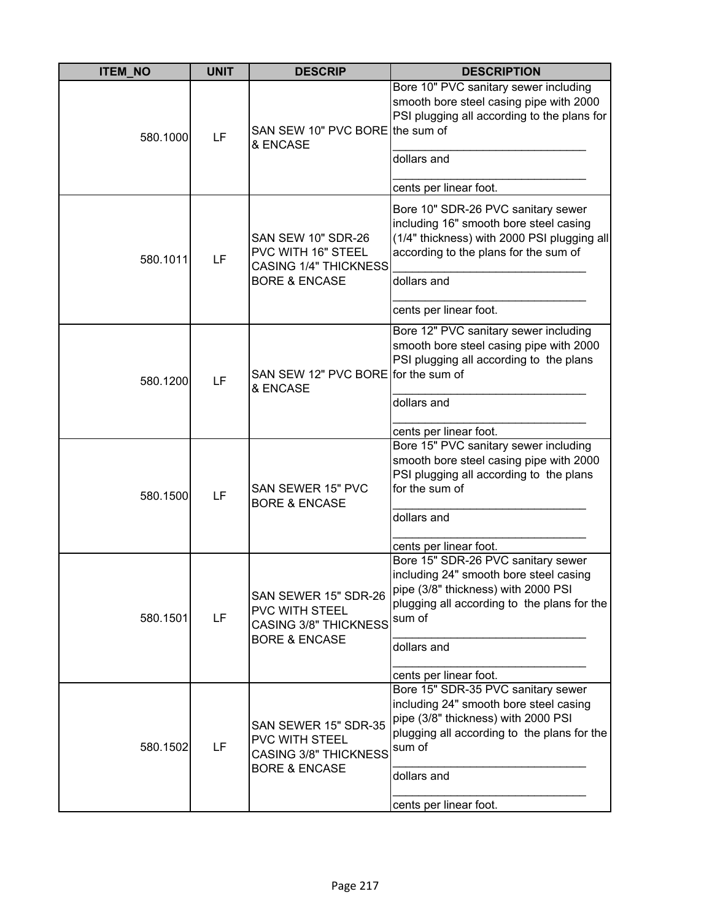| <b>ITEM_NO</b> | <b>UNIT</b> | <b>DESCRIP</b>                                                                                     | <b>DESCRIPTION</b>                                                                                                                                                                          |
|----------------|-------------|----------------------------------------------------------------------------------------------------|---------------------------------------------------------------------------------------------------------------------------------------------------------------------------------------------|
| 580.1000       | LF          | SAN SEW 10" PVC BORE the sum of<br>& ENCASE                                                        | Bore 10" PVC sanitary sewer including<br>smooth bore steel casing pipe with 2000<br>PSI plugging all according to the plans for<br>dollars and                                              |
|                |             |                                                                                                    | cents per linear foot.                                                                                                                                                                      |
| 580.1011       | LF          | <b>SAN SEW 10" SDR-26</b><br>PVC WITH 16" STEEL<br><b>CASING 1/4" THICKNESS</b>                    | Bore 10" SDR-26 PVC sanitary sewer<br>including 16" smooth bore steel casing<br>(1/4" thickness) with 2000 PSI plugging all<br>according to the plans for the sum of                        |
|                |             | <b>BORE &amp; ENCASE</b>                                                                           | dollars and                                                                                                                                                                                 |
|                |             |                                                                                                    | cents per linear foot.                                                                                                                                                                      |
| 580.1200       | LF          | SAN SEW 12" PVC BORE for the sum of<br>& ENCASE                                                    | Bore 12" PVC sanitary sewer including<br>smooth bore steel casing pipe with 2000<br>PSI plugging all according to the plans                                                                 |
|                |             |                                                                                                    | dollars and                                                                                                                                                                                 |
|                |             |                                                                                                    | cents per linear foot.                                                                                                                                                                      |
| 580.1500       | LF          | SAN SEWER 15" PVC<br><b>BORE &amp; ENCASE</b>                                                      | Bore 15" PVC sanitary sewer including<br>smooth bore steel casing pipe with 2000<br>PSI plugging all according to the plans<br>for the sum of<br>dollars and                                |
|                |             |                                                                                                    | cents per linear foot.                                                                                                                                                                      |
| 580.1501       | LF          | SAN SEWER 15" SDR-26<br>PVC WITH STEEL<br><b>CASING 3/8" THICKNESS</b><br><b>BORE &amp; ENCASE</b> | Bore 15" SDR-26 PVC sanitary sewer<br>including 24" smooth bore steel casing<br>pipe (3/8" thickness) with 2000 PSI<br>plugging all according to the plans for the<br>sum of<br>dollars and |
|                |             |                                                                                                    |                                                                                                                                                                                             |
|                |             |                                                                                                    | cents per linear foot.                                                                                                                                                                      |
| 580.1502       | LF          | SAN SEWER 15" SDR-35<br>PVC WITH STEEL<br><b>CASING 3/8" THICKNESS</b><br><b>BORE &amp; ENCASE</b> | Bore 15" SDR-35 PVC sanitary sewer<br>including 24" smooth bore steel casing<br>pipe (3/8" thickness) with 2000 PSI<br>plugging all according to the plans for the<br>sum of<br>dollars and |
|                |             |                                                                                                    | cents per linear foot.                                                                                                                                                                      |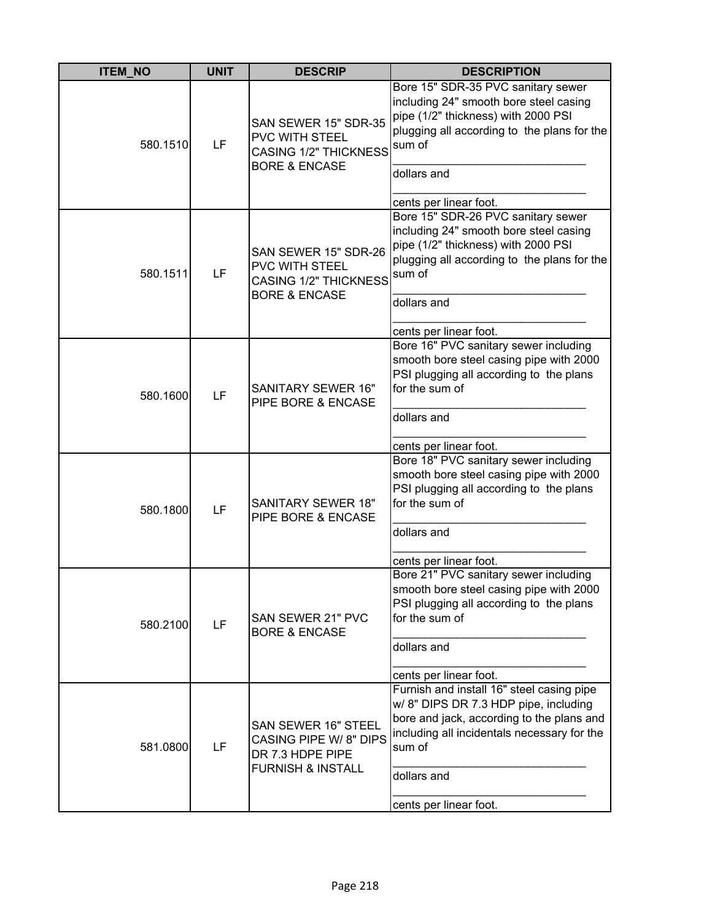| <b>ITEM_NO</b> | <b>UNIT</b> | <b>DESCRIP</b>                                                                                          | <b>DESCRIPTION</b>                                                                                                                                                                                                                |
|----------------|-------------|---------------------------------------------------------------------------------------------------------|-----------------------------------------------------------------------------------------------------------------------------------------------------------------------------------------------------------------------------------|
| 580.1510       | LF          | SAN SEWER 15" SDR-35<br>PVC WITH STEEL<br><b>CASING 1/2" THICKNESS</b><br><b>BORE &amp; ENCASE</b>      | Bore 15" SDR-35 PVC sanitary sewer<br>including 24" smooth bore steel casing<br>pipe (1/2" thickness) with 2000 PSI<br>plugging all according to the plans for the<br>sum of<br>dollars and<br>cents per linear foot.             |
| 580.1511       | LF          | SAN SEWER 15" SDR-26<br>PVC WITH STEEL<br><b>CASING 1/2" THICKNESS</b><br><b>BORE &amp; ENCASE</b>      | Bore 15" SDR-26 PVC sanitary sewer<br>including 24" smooth bore steel casing<br>pipe (1/2" thickness) with 2000 PSI<br>plugging all according to the plans for the<br>sum of<br>dollars and<br>cents per linear foot.             |
| 580.1600       | LF          | <b>SANITARY SEWER 16"</b><br>PIPE BORE & ENCASE                                                         | Bore 16" PVC sanitary sewer including<br>smooth bore steel casing pipe with 2000<br>PSI plugging all according to the plans<br>for the sum of<br>dollars and<br>cents per linear foot.                                            |
| 580.1800       | LF          | <b>SANITARY SEWER 18"</b><br>PIPE BORE & ENCASE                                                         | Bore 18" PVC sanitary sewer including<br>smooth bore steel casing pipe with 2000<br>PSI plugging all according to the plans<br>for the sum of<br>dollars and<br>cents per linear foot.                                            |
| 580.2100       | LF          | SAN SEWER 21" PVC<br><b>BORE &amp; ENCASE</b>                                                           | Bore 21" PVC sanitary sewer including<br>smooth bore steel casing pipe with 2000<br>PSI plugging all according to the plans<br>for the sum of<br>dollars and<br>cents per linear foot.                                            |
| 581.0800       | LF          | SAN SEWER 16" STEEL<br><b>CASING PIPE W/8" DIPS</b><br>DR 7.3 HDPE PIPE<br><b>FURNISH &amp; INSTALL</b> | Furnish and install 16" steel casing pipe<br>w/ 8" DIPS DR 7.3 HDP pipe, including<br>bore and jack, according to the plans and<br>including all incidentals necessary for the<br>sum of<br>dollars and<br>cents per linear foot. |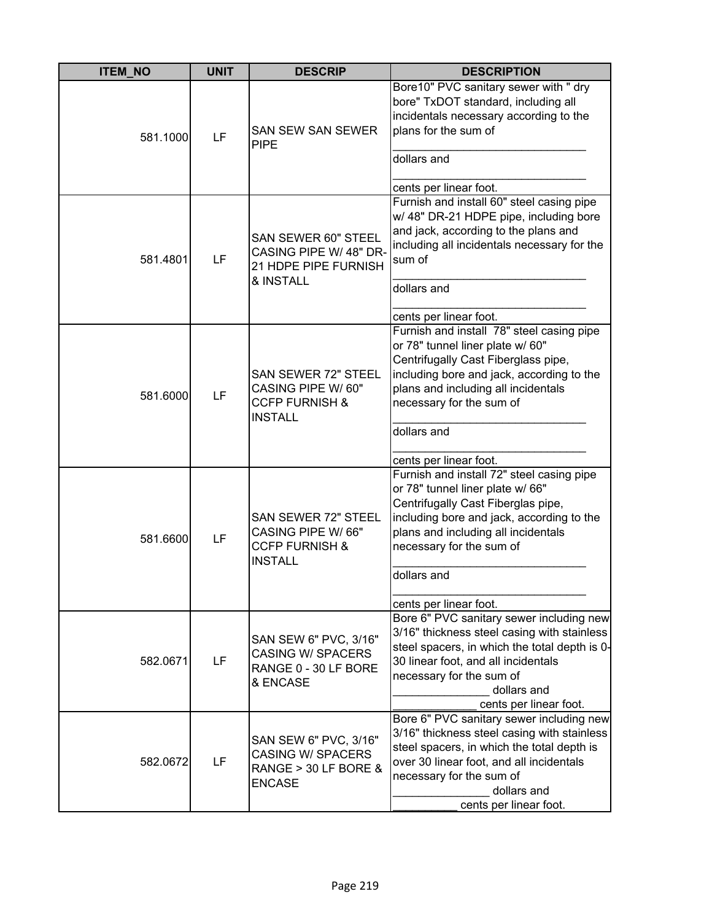| <b>ITEM_NO</b> | <b>UNIT</b> | <b>DESCRIP</b>                                                                                  | <b>DESCRIPTION</b>                                                                                                                                                                                                                                                            |
|----------------|-------------|-------------------------------------------------------------------------------------------------|-------------------------------------------------------------------------------------------------------------------------------------------------------------------------------------------------------------------------------------------------------------------------------|
| 581.1000       | LF          | <b>SAN SEW SAN SEWER</b><br><b>PIPE</b>                                                         | Bore10" PVC sanitary sewer with " dry<br>bore" TxDOT standard, including all<br>incidentals necessary according to the<br>plans for the sum of<br>dollars and<br>cents per linear foot.                                                                                       |
| 581.4801       | LF          | SAN SEWER 60" STEEL<br>CASING PIPE W/ 48" DR-<br>21 HDPE PIPE FURNISH<br>& INSTALL              | Furnish and install 60" steel casing pipe<br>w/ 48" DR-21 HDPE pipe, including bore<br>and jack, according to the plans and<br>including all incidentals necessary for the<br>sum of<br>dollars and<br>cents per linear foot.                                                 |
| 581.6000       | LF          | <b>SAN SEWER 72" STEEL</b><br>CASING PIPE W/ 60"<br><b>CCFP FURNISH &amp;</b><br><b>INSTALL</b> | Furnish and install 78" steel casing pipe<br>or 78" tunnel liner plate w/ 60"<br>Centrifugally Cast Fiberglass pipe,<br>including bore and jack, according to the<br>plans and including all incidentals<br>necessary for the sum of<br>dollars and<br>cents per linear foot. |
| 581.6600       | LF          | SAN SEWER 72" STEEL<br>CASING PIPE W/66"<br><b>CCFP FURNISH &amp;</b><br><b>INSTALL</b>         | Furnish and install 72" steel casing pipe<br>or 78" tunnel liner plate w/ 66"<br>Centrifugally Cast Fiberglas pipe,<br>including bore and jack, according to the<br>plans and including all incidentals<br>necessary for the sum of<br>dollars and<br>cents per linear foot.  |
| 582.0671       | LF          | SAN SEW 6" PVC, 3/16"<br><b>CASING W/ SPACERS</b><br>RANGE 0 - 30 LF BORE<br>& ENCASE           | Bore 6" PVC sanitary sewer including new<br>3/16" thickness steel casing with stainless<br>steel spacers, in which the total depth is 0-<br>30 linear foot, and all incidentals<br>necessary for the sum of<br>dollars and<br>cents per linear foot.                          |
| 582.0672       | LF          | SAN SEW 6" PVC, 3/16"<br><b>CASING W/ SPACERS</b><br>RANGE > 30 LF BORE &<br><b>ENCASE</b>      | Bore 6" PVC sanitary sewer including new<br>3/16" thickness steel casing with stainless<br>steel spacers, in which the total depth is<br>over 30 linear foot, and all incidentals<br>necessary for the sum of<br>dollars and<br>cents per linear foot.                        |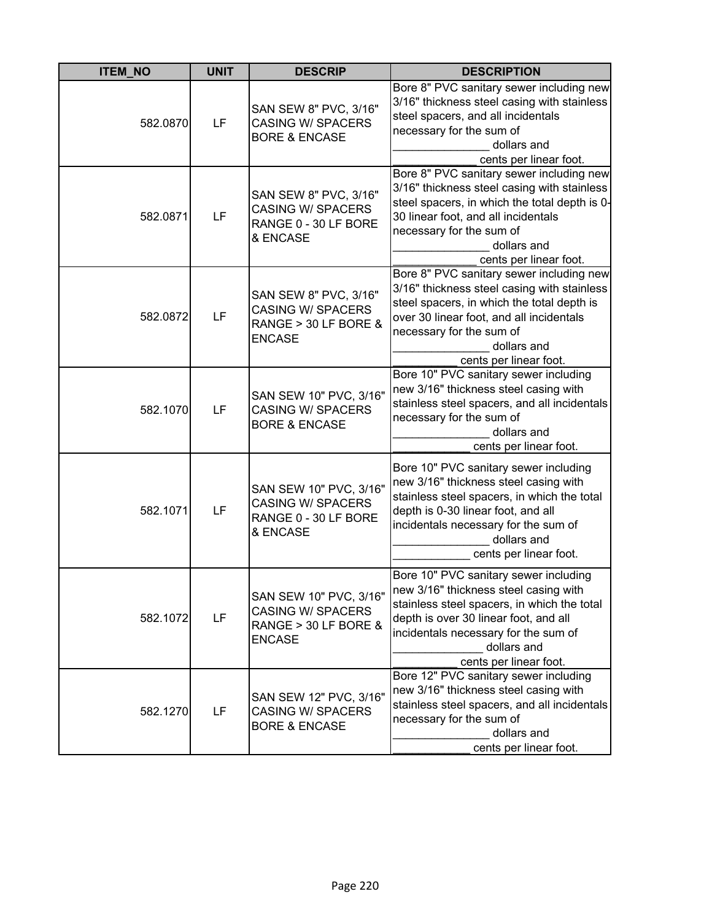| <b>ITEM_NO</b> | <b>UNIT</b> | <b>DESCRIP</b>                                                                              | <b>DESCRIPTION</b>                                                                                                                                                                                                                                      |
|----------------|-------------|---------------------------------------------------------------------------------------------|---------------------------------------------------------------------------------------------------------------------------------------------------------------------------------------------------------------------------------------------------------|
| 582.0870       | LF          | SAN SEW 8" PVC, 3/16"<br><b>CASING W/ SPACERS</b><br><b>BORE &amp; ENCASE</b>               | Bore 8" PVC sanitary sewer including new<br>3/16" thickness steel casing with stainless<br>steel spacers, and all incidentals<br>necessary for the sum of<br>dollars and<br>cents per linear foot.                                                      |
| 582.0871       | LF          | SAN SEW 8" PVC, 3/16"<br><b>CASING W/ SPACERS</b><br>RANGE 0 - 30 LF BORE<br>& ENCASE       | Bore 8" PVC sanitary sewer including new<br>3/16" thickness steel casing with stainless<br>steel spacers, in which the total depth is 0-<br>30 linear foot, and all incidentals<br>necessary for the sum of<br>dollars and<br>cents per linear foot.    |
| 582.0872       | LF          | SAN SEW 8" PVC, 3/16"<br><b>CASING W/ SPACERS</b><br>RANGE > 30 LF BORE &<br><b>ENCASE</b>  | Bore 8" PVC sanitary sewer including new<br>3/16" thickness steel casing with stainless<br>steel spacers, in which the total depth is<br>over 30 linear foot, and all incidentals<br>necessary for the sum of<br>dollars and<br>cents per linear foot.  |
| 582.1070       | LF          | SAN SEW 10" PVC, 3/16"<br><b>CASING W/ SPACERS</b><br><b>BORE &amp; ENCASE</b>              | Bore 10" PVC sanitary sewer including<br>new 3/16" thickness steel casing with<br>stainless steel spacers, and all incidentals<br>necessary for the sum of<br>dollars and<br>cents per linear foot.                                                     |
| 582.1071       | LF          | SAN SEW 10" PVC, 3/16"<br><b>CASING W/ SPACERS</b><br>RANGE 0 - 30 LF BORE<br>& ENCASE      | Bore 10" PVC sanitary sewer including<br>new 3/16" thickness steel casing with<br>stainless steel spacers, in which the total<br>depth is 0-30 linear foot, and all<br>incidentals necessary for the sum of<br>dollars and<br>cents per linear foot.    |
| 582.1072       | LF          | SAN SEW 10" PVC, 3/16"<br><b>CASING W/ SPACERS</b><br>RANGE > 30 LF BORE &<br><b>ENCASE</b> | Bore 10" PVC sanitary sewer including<br>new 3/16" thickness steel casing with<br>stainless steel spacers, in which the total<br>depth is over 30 linear foot, and all<br>incidentals necessary for the sum of<br>dollars and<br>cents per linear foot. |
| 582.1270       | LF          | SAN SEW 12" PVC, 3/16"<br><b>CASING W/ SPACERS</b><br><b>BORE &amp; ENCASE</b>              | Bore 12" PVC sanitary sewer including<br>new 3/16" thickness steel casing with<br>stainless steel spacers, and all incidentals<br>necessary for the sum of<br>dollars and<br>cents per linear foot.                                                     |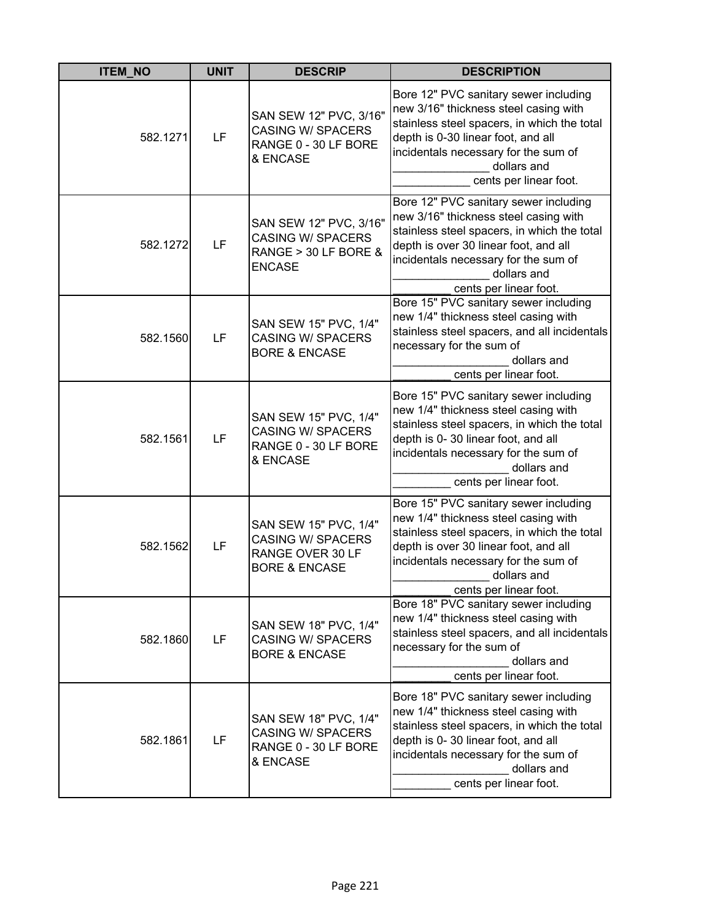| <b>ITEM_NO</b> | <b>UNIT</b> | <b>DESCRIP</b>                                                                                    | <b>DESCRIPTION</b>                                                                                                                                                                                                                                      |
|----------------|-------------|---------------------------------------------------------------------------------------------------|---------------------------------------------------------------------------------------------------------------------------------------------------------------------------------------------------------------------------------------------------------|
| 582.1271       | LF          | SAN SEW 12" PVC, 3/16"<br><b>CASING W/ SPACERS</b><br>RANGE 0 - 30 LF BORE<br>& ENCASE            | Bore 12" PVC sanitary sewer including<br>new 3/16" thickness steel casing with<br>stainless steel spacers, in which the total<br>depth is 0-30 linear foot, and all<br>incidentals necessary for the sum of<br>dollars and<br>cents per linear foot.    |
| 582.1272       | LF          | SAN SEW 12" PVC, 3/16"<br><b>CASING W/ SPACERS</b><br>RANGE > 30 LF BORE &<br><b>ENCASE</b>       | Bore 12" PVC sanitary sewer including<br>new 3/16" thickness steel casing with<br>stainless steel spacers, in which the total<br>depth is over 30 linear foot, and all<br>incidentals necessary for the sum of<br>dollars and<br>cents per linear foot. |
| 582.1560       | LF          | SAN SEW 15" PVC, 1/4"<br><b>CASING W/ SPACERS</b><br><b>BORE &amp; ENCASE</b>                     | Bore 15" PVC sanitary sewer including<br>new 1/4" thickness steel casing with<br>stainless steel spacers, and all incidentals<br>necessary for the sum of<br>dollars and<br>cents per linear foot.                                                      |
| 582.1561       | LF          | SAN SEW 15" PVC, 1/4"<br><b>CASING W/ SPACERS</b><br>RANGE 0 - 30 LF BORE<br>& ENCASE             | Bore 15" PVC sanitary sewer including<br>new 1/4" thickness steel casing with<br>stainless steel spacers, in which the total<br>depth is 0-30 linear foot, and all<br>incidentals necessary for the sum of<br>dollars and<br>cents per linear foot.     |
| 582.1562       | LF          | SAN SEW 15" PVC, 1/4"<br><b>CASING W/ SPACERS</b><br>RANGE OVER 30 LF<br><b>BORE &amp; ENCASE</b> | Bore 15" PVC sanitary sewer including<br>new 1/4" thickness steel casing with<br>stainless steel spacers, in which the total<br>depth is over 30 linear foot, and all<br>incidentals necessary for the sum of<br>dollars and<br>cents per linear foot.  |
| 582.1860       | LF          | SAN SEW 18" PVC, 1/4"<br><b>CASING W/ SPACERS</b><br><b>BORE &amp; ENCASE</b>                     | Bore 18" PVC sanitary sewer including<br>new 1/4" thickness steel casing with<br>stainless steel spacers, and all incidentals<br>necessary for the sum of<br>dollars and<br>cents per linear foot.                                                      |
| 582.1861       | LF          | SAN SEW 18" PVC, 1/4"<br><b>CASING W/ SPACERS</b><br>RANGE 0 - 30 LF BORE<br>& ENCASE             | Bore 18" PVC sanitary sewer including<br>new 1/4" thickness steel casing with<br>stainless steel spacers, in which the total<br>depth is 0-30 linear foot, and all<br>incidentals necessary for the sum of<br>dollars and<br>cents per linear foot.     |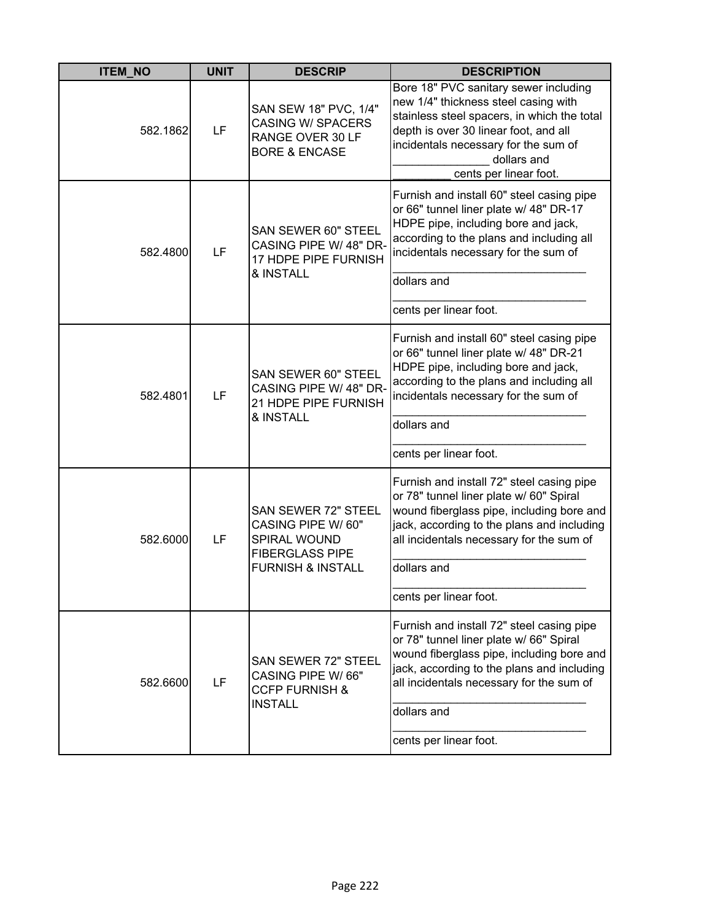| <b>ITEM_NO</b> | <b>UNIT</b> | <b>DESCRIP</b>                                                                                                      | <b>DESCRIPTION</b>                                                                                                                                                                                                                                                   |
|----------------|-------------|---------------------------------------------------------------------------------------------------------------------|----------------------------------------------------------------------------------------------------------------------------------------------------------------------------------------------------------------------------------------------------------------------|
| 582.1862       | LF          | SAN SEW 18" PVC, 1/4"<br><b>CASING W/ SPACERS</b><br>RANGE OVER 30 LF<br><b>BORE &amp; ENCASE</b>                   | Bore 18" PVC sanitary sewer including<br>new 1/4" thickness steel casing with<br>stainless steel spacers, in which the total<br>depth is over 30 linear foot, and all<br>incidentals necessary for the sum of<br>dollars and<br>cents per linear foot.               |
| 582.4800       | LF          | SAN SEWER 60" STEEL<br>CASING PIPE W/ 48" DR-<br>17 HDPE PIPE FURNISH<br>& INSTALL                                  | Furnish and install 60" steel casing pipe<br>or 66" tunnel liner plate w/ 48" DR-17<br>HDPE pipe, including bore and jack,<br>according to the plans and including all<br>incidentals necessary for the sum of<br>dollars and<br>cents per linear foot.              |
| 582.4801       | LF          | SAN SEWER 60" STEEL<br>CASING PIPE W/ 48" DR-<br>21 HDPE PIPE FURNISH<br>& INSTALL                                  | Furnish and install 60" steel casing pipe<br>or 66" tunnel liner plate w/ 48" DR-21<br>HDPE pipe, including bore and jack,<br>according to the plans and including all<br>incidentals necessary for the sum of<br>dollars and<br>cents per linear foot.              |
| 582.6000       | LF          | SAN SEWER 72" STEEL<br>CASING PIPE W/ 60"<br>SPIRAL WOUND<br><b>FIBERGLASS PIPE</b><br><b>FURNISH &amp; INSTALL</b> | Furnish and install 72" steel casing pipe<br>or 78" tunnel liner plate w/ 60" Spiral<br>wound fiberglass pipe, including bore and<br>jack, according to the plans and including<br>all incidentals necessary for the sum of<br>dollars and<br>cents per linear foot. |
| 582.6600       | LF          | <b>SAN SEWER 72" STEEL</b><br>CASING PIPE W/66"<br><b>CCFP FURNISH &amp;</b><br><b>INSTALL</b>                      | Furnish and install 72" steel casing pipe<br>or 78" tunnel liner plate w/ 66" Spiral<br>wound fiberglass pipe, including bore and<br>jack, according to the plans and including<br>all incidentals necessary for the sum of<br>dollars and<br>cents per linear foot. |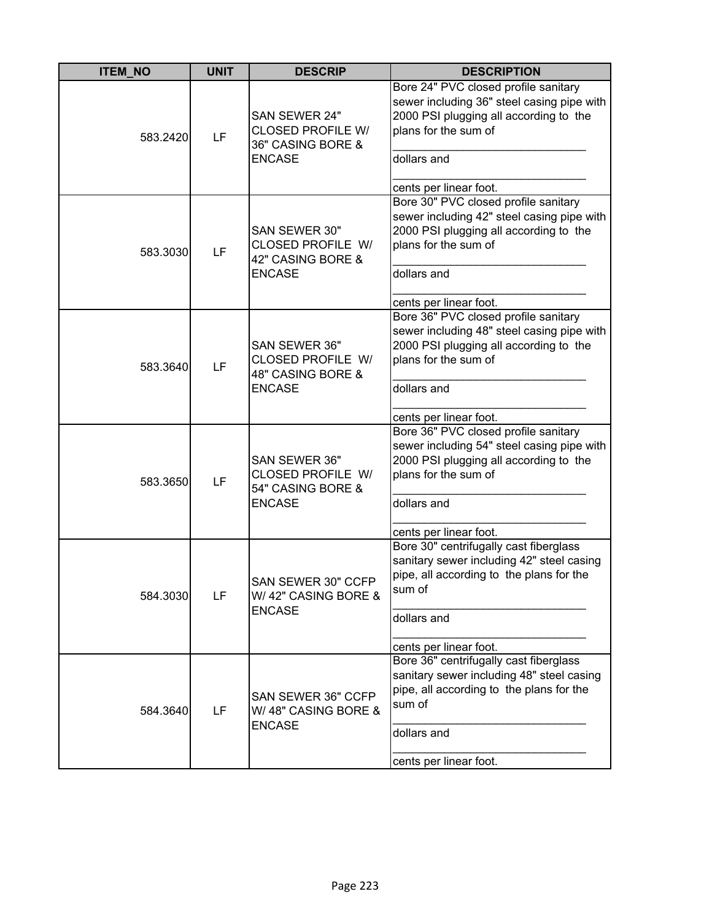| <b>ITEM_NO</b> | <b>UNIT</b> | <b>DESCRIP</b>                                                                  | <b>DESCRIPTION</b>                                                                                                                                                                            |
|----------------|-------------|---------------------------------------------------------------------------------|-----------------------------------------------------------------------------------------------------------------------------------------------------------------------------------------------|
| 583.2420       | LF          | SAN SEWER 24"<br><b>CLOSED PROFILE W/</b><br>36" CASING BORE &<br><b>ENCASE</b> | Bore 24" PVC closed profile sanitary<br>sewer including 36" steel casing pipe with<br>2000 PSI plugging all according to the<br>plans for the sum of<br>dollars and<br>cents per linear foot. |
| 583.3030       | LF          | SAN SEWER 30"<br>CLOSED PROFILE W/<br>42" CASING BORE &<br><b>ENCASE</b>        | Bore 30" PVC closed profile sanitary<br>sewer including 42" steel casing pipe with<br>2000 PSI plugging all according to the<br>plans for the sum of<br>dollars and<br>cents per linear foot. |
| 583.3640       | LF          | SAN SEWER 36"<br>CLOSED PROFILE W/<br>48" CASING BORE &<br><b>ENCASE</b>        | Bore 36" PVC closed profile sanitary<br>sewer including 48" steel casing pipe with<br>2000 PSI plugging all according to the<br>plans for the sum of<br>dollars and<br>cents per linear foot. |
| 583.3650       | LF          | SAN SEWER 36"<br>CLOSED PROFILE W/<br>54" CASING BORE &<br><b>ENCASE</b>        | Bore 36" PVC closed profile sanitary<br>sewer including 54" steel casing pipe with<br>2000 PSI plugging all according to the<br>plans for the sum of<br>dollars and<br>cents per linear foot. |
| 584.3030       | LF          | <b>SAN SEWER 30" CCFP</b><br>W/42" CASING BORE &<br><b>ENCASE</b>               | Bore 30" centrifugally cast fiberglass<br>sanitary sewer including 42" steel casing<br>pipe, all according to the plans for the<br>sum of<br>dollars and<br>cents per linear foot.            |
| 584.3640       | LF          | SAN SEWER 36" CCFP<br>W/48" CASING BORE &<br><b>ENCASE</b>                      | Bore 36" centrifugally cast fiberglass<br>sanitary sewer including 48" steel casing<br>pipe, all according to the plans for the<br>sum of<br>dollars and<br>cents per linear foot.            |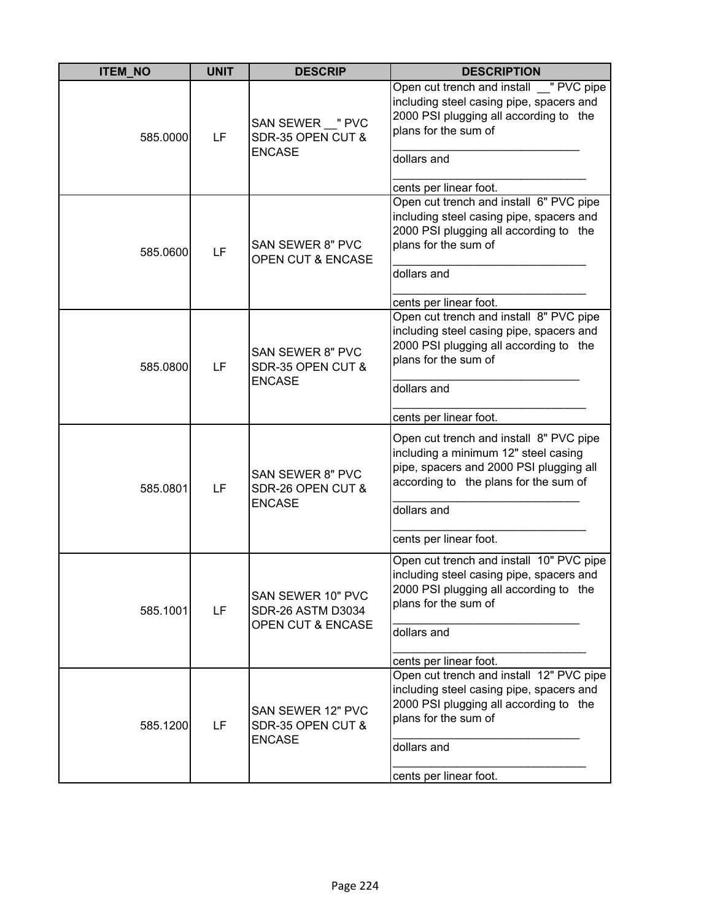| <b>ITEM_NO</b> | <b>UNIT</b> | <b>DESCRIP</b>                                                                | <b>DESCRIPTION</b>                                                                                                                                                                                           |
|----------------|-------------|-------------------------------------------------------------------------------|--------------------------------------------------------------------------------------------------------------------------------------------------------------------------------------------------------------|
| 585.0000       | LF          | SAN SEWER "PVC<br>SDR-35 OPEN CUT &<br><b>ENCASE</b>                          | Open cut trench and install "PVC pipe<br>including steel casing pipe, spacers and<br>2000 PSI plugging all according to the<br>plans for the sum of<br>dollars and<br>cents per linear foot.                 |
| 585.0600       | LF          | <b>SAN SEWER 8" PVC</b><br><b>OPEN CUT &amp; ENCASE</b>                       | Open cut trench and install 6" PVC pipe<br>including steel casing pipe, spacers and<br>2000 PSI plugging all according to the<br>plans for the sum of<br>dollars and<br>cents per linear foot.               |
| 585.0800       | LF          | <b>SAN SEWER 8" PVC</b><br>SDR-35 OPEN CUT &<br><b>ENCASE</b>                 | Open cut trench and install 8" PVC pipe<br>including steel casing pipe, spacers and<br>2000 PSI plugging all according to the<br>plans for the sum of<br>dollars and<br>cents per linear foot.               |
| 585.0801       | LF          | SAN SEWER 8" PVC<br>SDR-26 OPEN CUT &<br><b>ENCASE</b>                        | Open cut trench and install 8" PVC pipe<br>including a minimum 12" steel casing<br>pipe, spacers and 2000 PSI plugging all<br>according to the plans for the sum of<br>dollars and<br>cents per linear foot. |
| 585.1001       | LF          | SAN SEWER 10" PVC<br><b>SDR-26 ASTM D3034</b><br><b>OPEN CUT &amp; ENCASE</b> | Open cut trench and install 10" PVC pipe<br>including steel casing pipe, spacers and<br>2000 PSI plugging all according to the<br>plans for the sum of<br>dollars and<br>cents per linear foot.              |
| 585.1200       | LF          | SAN SEWER 12" PVC<br>SDR-35 OPEN CUT &<br><b>ENCASE</b>                       | Open cut trench and install 12" PVC pipe<br>including steel casing pipe, spacers and<br>2000 PSI plugging all according to the<br>plans for the sum of<br>dollars and<br>cents per linear foot.              |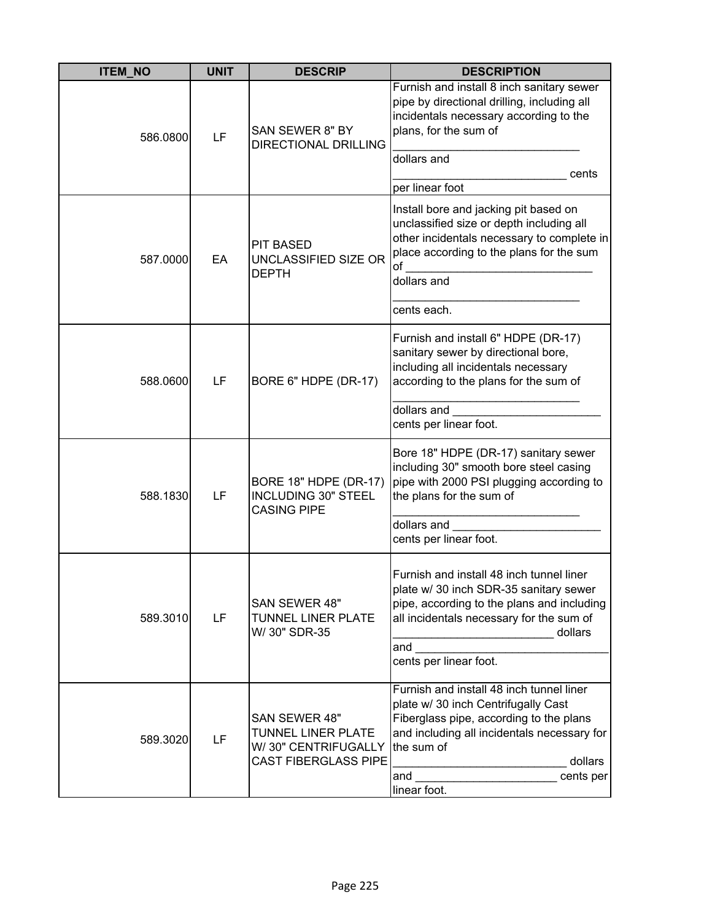| <b>ITEM NO</b> | <b>UNIT</b> | <b>DESCRIP</b>                                                                                   | <b>DESCRIPTION</b>                                                                                                                                                                                                       |
|----------------|-------------|--------------------------------------------------------------------------------------------------|--------------------------------------------------------------------------------------------------------------------------------------------------------------------------------------------------------------------------|
| 586.0800       | LF          | SAN SEWER 8" BY<br><b>DIRECTIONAL DRILLING</b>                                                   | Furnish and install 8 inch sanitary sewer<br>pipe by directional drilling, including all<br>incidentals necessary according to the<br>plans, for the sum of<br>dollars and                                               |
|                |             |                                                                                                  | cents<br>per linear foot                                                                                                                                                                                                 |
| 587.0000       | EA          | <b>PIT BASED</b><br>UNCLASSIFIED SIZE OR<br><b>DEPTH</b>                                         | Install bore and jacking pit based on<br>unclassified size or depth including all<br>other incidentals necessary to complete in<br>place according to the plans for the sum<br>of<br>dollars and<br>cents each.          |
| 588.0600       | LF          | BORE 6" HDPE (DR-17)                                                                             | Furnish and install 6" HDPE (DR-17)<br>sanitary sewer by directional bore,<br>including all incidentals necessary<br>according to the plans for the sum of                                                               |
|                |             |                                                                                                  | dollars and<br>cents per linear foot.                                                                                                                                                                                    |
| 588.1830       | LF          | BORE 18" HDPE (DR-17)<br><b>INCLUDING 30" STEEL</b><br><b>CASING PIPE</b>                        | Bore 18" HDPE (DR-17) sanitary sewer<br>including 30" smooth bore steel casing<br>pipe with 2000 PSI plugging according to<br>the plans for the sum of                                                                   |
|                |             |                                                                                                  | dollars and<br>cents per linear foot.                                                                                                                                                                                    |
| 589.3010       | LF          | SAN SEWER 48"<br><b>TUNNEL LINER PLATE</b><br>W/ 30" SDR-35                                      | Furnish and install 48 inch tunnel liner<br>plate w/ 30 inch SDR-35 sanitary sewer<br>pipe, according to the plans and including<br>all incidentals necessary for the sum of<br>dollars<br>and<br>cents per linear foot. |
|                |             |                                                                                                  | Furnish and install 48 inch tunnel liner<br>plate w/ 30 inch Centrifugally Cast                                                                                                                                          |
| 589.3020       | LF          | SAN SEWER 48"<br><b>TUNNEL LINER PLATE</b><br>W/30" CENTRIFUGALLY<br><b>CAST FIBERGLASS PIPE</b> | Fiberglass pipe, according to the plans<br>and including all incidentals necessary for<br>the sum of<br>dollars<br>and<br>cents per                                                                                      |
|                |             |                                                                                                  | linear foot.                                                                                                                                                                                                             |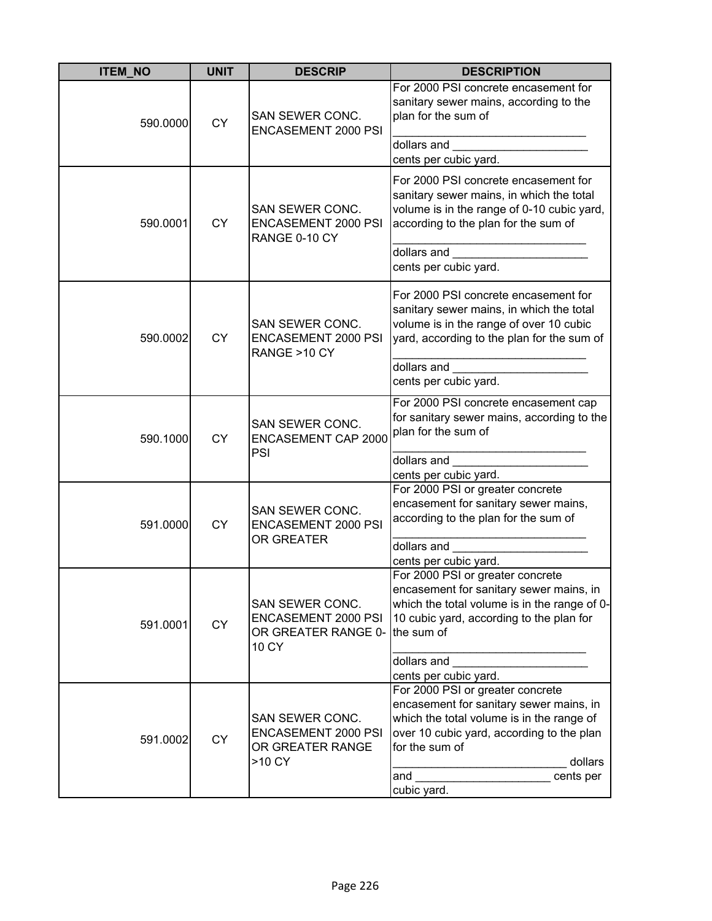| <b>ITEM_NO</b>        | <b>UNIT</b> | <b>DESCRIP</b>                                                              | <b>DESCRIPTION</b>                                                                                                                                                                                                     |
|-----------------------|-------------|-----------------------------------------------------------------------------|------------------------------------------------------------------------------------------------------------------------------------------------------------------------------------------------------------------------|
| 590.0000              | <b>CY</b>   | SAN SEWER CONC.<br><b>ENCASEMENT 2000 PSI</b>                               | For 2000 PSI concrete encasement for<br>sanitary sewer mains, according to the<br>plan for the sum of                                                                                                                  |
|                       |             |                                                                             | dollars and<br>cents per cubic yard.                                                                                                                                                                                   |
| 590.0001              | <b>CY</b>   | SAN SEWER CONC.<br><b>ENCASEMENT 2000 PSI</b><br>RANGE 0-10 CY              | For 2000 PSI concrete encasement for<br>sanitary sewer mains, in which the total<br>volume is in the range of 0-10 cubic yard,<br>according to the plan for the sum of<br>dollars and                                  |
|                       |             |                                                                             | cents per cubic yard.                                                                                                                                                                                                  |
| 590.0002              | <b>CY</b>   | SAN SEWER CONC.<br><b>ENCASEMENT 2000 PSI</b><br>RANGE >10 CY               | For 2000 PSI concrete encasement for<br>sanitary sewer mains, in which the total<br>volume is in the range of over 10 cubic<br>yard, according to the plan for the sum of                                              |
|                       |             |                                                                             | dollars and<br>cents per cubic yard.                                                                                                                                                                                   |
| 590.1000              | <b>CY</b>   | SAN SEWER CONC.<br><b>ENCASEMENT CAP 2000</b><br>PSI                        | For 2000 PSI concrete encasement cap<br>for sanitary sewer mains, according to the<br>plan for the sum of                                                                                                              |
|                       |             |                                                                             | dollars and                                                                                                                                                                                                            |
|                       |             |                                                                             | cents per cubic yard.                                                                                                                                                                                                  |
| 591.0000<br><b>CY</b> |             | SAN SEWER CONC.<br><b>ENCASEMENT 2000 PSI</b><br>OR GREATER                 | For 2000 PSI or greater concrete<br>encasement for sanitary sewer mains,<br>according to the plan for the sum of                                                                                                       |
|                       |             |                                                                             | dollars and                                                                                                                                                                                                            |
|                       |             |                                                                             | cents per cubic yard.                                                                                                                                                                                                  |
| 591.0001              | <b>CY</b>   | SAN SEWER CONC.<br>ENCASEMENT 2000 PSI<br>OR GREATER RANGE 0-<br>10 CY      | For 2000 PSI or greater concrete<br>encasement for sanitary sewer mains, in<br>which the total volume is in the range of 0-<br>10 cubic yard, according to the plan for<br>the sum of                                  |
|                       |             |                                                                             | dollars and                                                                                                                                                                                                            |
|                       |             |                                                                             | cents per cubic yard.                                                                                                                                                                                                  |
| 591.0002              | <b>CY</b>   | SAN SEWER CONC.<br><b>ENCASEMENT 2000 PSI</b><br>OR GREATER RANGE<br>>10 CY | For 2000 PSI or greater concrete<br>encasement for sanitary sewer mains, in<br>which the total volume is in the range of<br>over 10 cubic yard, according to the plan<br>for the sum of<br>dollars<br>cents per<br>and |
|                       |             |                                                                             | cubic yard.                                                                                                                                                                                                            |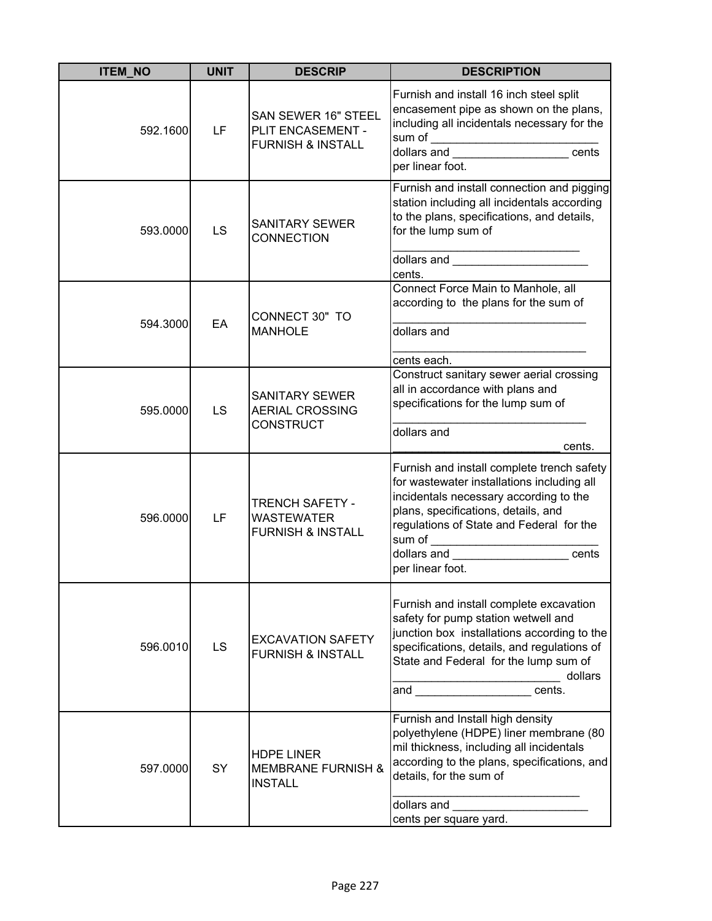| <b>ITEM_NO</b> | <b>UNIT</b> | <b>DESCRIP</b>                                                              | <b>DESCRIPTION</b>                                                                                                                                                                                                                                                                                                                                                                                                                                                                                                                                                                                                             |
|----------------|-------------|-----------------------------------------------------------------------------|--------------------------------------------------------------------------------------------------------------------------------------------------------------------------------------------------------------------------------------------------------------------------------------------------------------------------------------------------------------------------------------------------------------------------------------------------------------------------------------------------------------------------------------------------------------------------------------------------------------------------------|
| 592.1600       | LF          | SAN SEWER 16" STEEL<br>PLIT ENCASEMENT -<br><b>FURNISH &amp; INSTALL</b>    | Furnish and install 16 inch steel split<br>encasement pipe as shown on the plans,<br>including all incidentals necessary for the<br>$\begin{array}{ l l }\n\hline\n\text{including an nonzero} & \text{if} & \text{if} & \text{if} & \text{if} & \text{if} & \text{if} & \text{if} & \text{if} & \text{if} & \text{if} & \text{if} & \text{if} & \text{if} & \text{if} & \text{if} & \text{if} & \text{if} & \text{if} & \text{if} & \text{if} & \text{if} & \text{if} & \text{if} & \text{if} & \text{if} & \text{if} & \text{if} & \text{if} & \text{if} & \text{if} & \text{if} & \text{if} & \text{if$<br>per linear foot. |
| 593.0000       | <b>LS</b>   | SANITARY SEWER<br><b>CONNECTION</b>                                         | Furnish and install connection and pigging<br>station including all incidentals according<br>to the plans, specifications, and details,<br>for the lump sum of<br>dollars and <b>contract the contract of the contract of the contract of the contract of the contract of the contract of the contract of the contract of the contract of the contract of the contract of the contract of the cont</b><br>cents.                                                                                                                                                                                                               |
| 594.3000       | EA          | CONNECT 30" TO<br><b>MANHOLE</b>                                            | Connect Force Main to Manhole, all<br>according to the plans for the sum of<br>dollars and<br>cents each.                                                                                                                                                                                                                                                                                                                                                                                                                                                                                                                      |
| 595.0000       | LS          | <b>SANITARY SEWER</b><br><b>AERIAL CROSSING</b><br>CONSTRUCT                | Construct sanitary sewer aerial crossing<br>all in accordance with plans and<br>specifications for the lump sum of<br>dollars and<br>cents.                                                                                                                                                                                                                                                                                                                                                                                                                                                                                    |
| 596.0000       | LF          | <b>TRENCH SAFETY -</b><br><b>WASTEWATER</b><br><b>FURNISH &amp; INSTALL</b> | Furnish and install complete trench safety<br>for wastewater installations including all<br>incidentals necessary according to the<br>plans, specifications, details, and<br>regulations of State and Federal for the<br>sum of ___________________________<br>dollars and the control of the control of the control of the control of the control of the control of the control of the control of the control of the control of the control of the control of the control of the control of<br>cents<br>per linear foot.                                                                                                      |
| 596.0010       | LS          | <b>EXCAVATION SAFETY</b><br><b>FURNISH &amp; INSTALL</b>                    | Furnish and install complete excavation<br>safety for pump station wetwell and<br>junction box installations according to the<br>specifications, details, and regulations of<br>State and Federal for the lump sum of<br>dollars<br>and the control of the control of the control of the control of the control of the control of the control of the control of the control of the control of the control of the control of the control of the control of the cont<br>cents.                                                                                                                                                   |
| 597.0000       | SY          | <b>HDPE LINER</b><br><b>MEMBRANE FURNISH &amp;</b><br><b>INSTALL</b>        | Furnish and Install high density<br>polyethylene (HDPE) liner membrane (80<br>mil thickness, including all incidentals<br>according to the plans, specifications, and<br>details, for the sum of<br>dollars and<br>cents per square yard.                                                                                                                                                                                                                                                                                                                                                                                      |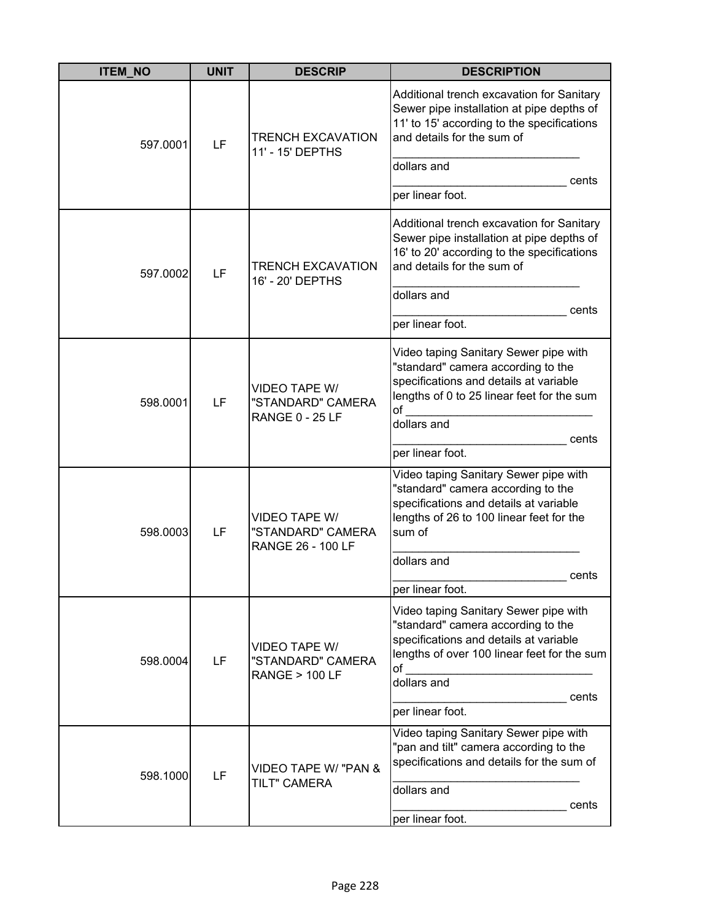| <b>ITEM_NO</b> | <b>UNIT</b> | <b>DESCRIP</b>                                                        | <b>DESCRIPTION</b>                                                                                                                                                                                 |
|----------------|-------------|-----------------------------------------------------------------------|----------------------------------------------------------------------------------------------------------------------------------------------------------------------------------------------------|
| 597.0001       | LF          | <b>TRENCH EXCAVATION</b><br>11' - 15' DEPTHS                          | Additional trench excavation for Sanitary<br>Sewer pipe installation at pipe depths of<br>11' to 15' according to the specifications<br>and details for the sum of<br>dollars and<br>cents         |
|                |             |                                                                       | per linear foot.                                                                                                                                                                                   |
| 597.0002       | LF          | <b>TRENCH EXCAVATION</b><br>16' - 20' DEPTHS                          | Additional trench excavation for Sanitary<br>Sewer pipe installation at pipe depths of<br>16' to 20' according to the specifications<br>and details for the sum of                                 |
|                |             |                                                                       | dollars and                                                                                                                                                                                        |
|                |             |                                                                       | cents<br>per linear foot.                                                                                                                                                                          |
| 598.0001       | LF          | <b>VIDEO TAPE W/</b><br>"STANDARD" CAMERA<br><b>RANGE 0 - 25 LF</b>   | Video taping Sanitary Sewer pipe with<br>"standard" camera according to the<br>specifications and details at variable<br>lengths of 0 to 25 linear feet for the sum<br>of<br>dollars and           |
|                |             |                                                                       | cents                                                                                                                                                                                              |
|                |             |                                                                       | per linear foot.                                                                                                                                                                                   |
| 598.0003       | LF          | <b>VIDEO TAPE W/</b><br>"STANDARD" CAMERA<br><b>RANGE 26 - 100 LF</b> | Video taping Sanitary Sewer pipe with<br>"standard" camera according to the<br>specifications and details at variable<br>lengths of 26 to 100 linear feet for the<br>sum of                        |
|                |             |                                                                       | dollars and                                                                                                                                                                                        |
|                |             |                                                                       | cents<br>per linear foot.                                                                                                                                                                          |
| 598.0004       | LF          | <b>VIDEO TAPE W/</b><br>"STANDARD" CAMERA<br><b>RANGE &gt; 100 LF</b> | Video taping Sanitary Sewer pipe with<br>"standard" camera according to the<br>specifications and details at variable<br>lengths of over 100 linear feet for the sum<br>of<br>dollars and<br>cents |
|                |             |                                                                       | per linear foot.                                                                                                                                                                                   |
| 598.1000       | LF          | VIDEO TAPE W/ "PAN &<br><b>TILT" CAMERA</b>                           | Video taping Sanitary Sewer pipe with<br>"pan and tilt" camera according to the<br>specifications and details for the sum of                                                                       |
|                |             |                                                                       | dollars and<br>cents<br>per linear foot.                                                                                                                                                           |
|                |             |                                                                       |                                                                                                                                                                                                    |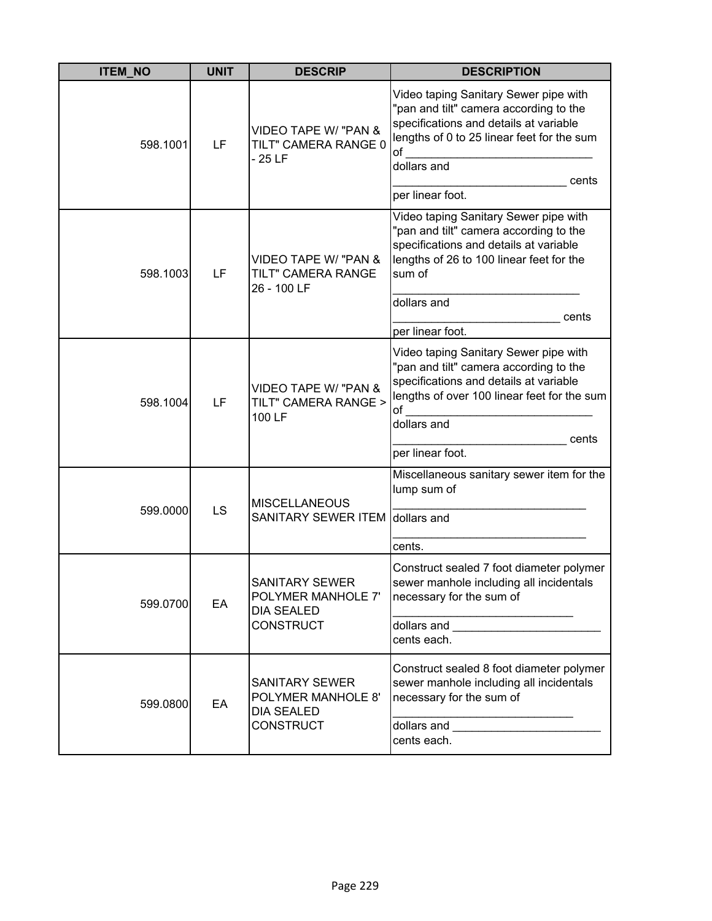| <b>ITEM NO</b> | <b>UNIT</b> | <b>DESCRIP</b>                                                                       | <b>DESCRIPTION</b>                                                                                                                                                                                                                                                                                                                                                     |
|----------------|-------------|--------------------------------------------------------------------------------------|------------------------------------------------------------------------------------------------------------------------------------------------------------------------------------------------------------------------------------------------------------------------------------------------------------------------------------------------------------------------|
| 598.1001       | LF          | VIDEO TAPE W/ "PAN &<br>TILT" CAMERA RANGE 0<br>$-25LF$                              | Video taping Sanitary Sewer pipe with<br>"pan and tilt" camera according to the<br>specifications and details at variable<br>lengths of 0 to 25 linear feet for the sum<br>of<br>dollars and<br>cents<br>per linear foot.                                                                                                                                              |
| 598.1003       | LF          | VIDEO TAPE W/ "PAN &<br>TILT" CAMERA RANGE<br>26 - 100 LF                            | Video taping Sanitary Sewer pipe with<br>"pan and tilt" camera according to the<br>specifications and details at variable<br>lengths of 26 to 100 linear feet for the<br>sum of<br>dollars and<br>cents<br>per linear foot.                                                                                                                                            |
| 598.1004       | LF          | VIDEO TAPE W/ "PAN &<br>TILT" CAMERA RANGE ><br>100 LF                               | Video taping Sanitary Sewer pipe with<br>"pan and tilt" camera according to the<br>specifications and details at variable<br>lengths of over 100 linear feet for the sum<br>of<br>dollars and<br>cents<br>per linear foot.                                                                                                                                             |
| 599.0000       | LS          | <b>MISCELLANEOUS</b><br>SANITARY SEWER ITEM                                          | Miscellaneous sanitary sewer item for the<br>lump sum of<br>dollars and<br>cents.                                                                                                                                                                                                                                                                                      |
| 599.0700       | EA          | <b>SANITARY SEWER</b><br>POLYMER MANHOLE 7'<br><b>DIA SEALED</b><br><b>CONSTRUCT</b> | Construct sealed 7 foot diameter polymer<br>sewer manhole including all incidentals<br>necessary for the sum of<br>dollars and <b>with the contract of the contract of the contract of the contract of the contract of the contract of the contract of the contract of the contract of the contract of the contract of the contract of the contract</b><br>cents each. |
| 599.0800       | EA          | <b>SANITARY SEWER</b><br>POLYMER MANHOLE 8'<br><b>DIA SEALED</b><br>CONSTRUCT        | Construct sealed 8 foot diameter polymer<br>sewer manhole including all incidentals<br>necessary for the sum of<br>dollars and<br>cents each.                                                                                                                                                                                                                          |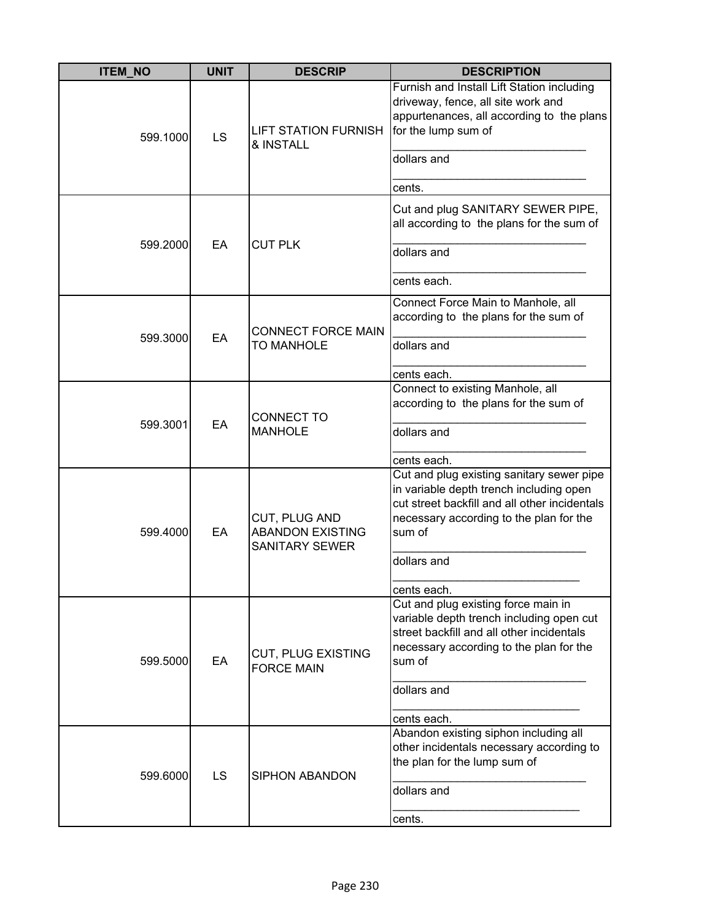| <b>ITEM_NO</b> | <b>UNIT</b> | <b>DESCRIP</b>                                                    | <b>DESCRIPTION</b>                                                                                                                                                                         |
|----------------|-------------|-------------------------------------------------------------------|--------------------------------------------------------------------------------------------------------------------------------------------------------------------------------------------|
| 599.1000       | LS          | <b>LIFT STATION FURNISH</b><br>& INSTALL                          | Furnish and Install Lift Station including<br>driveway, fence, all site work and<br>appurtenances, all according to the plans<br>for the lump sum of                                       |
|                |             |                                                                   | dollars and                                                                                                                                                                                |
|                |             |                                                                   | cents.                                                                                                                                                                                     |
|                |             |                                                                   | Cut and plug SANITARY SEWER PIPE,<br>all according to the plans for the sum of                                                                                                             |
| 599.2000       | EA          | <b>CUT PLK</b>                                                    | dollars and                                                                                                                                                                                |
|                |             |                                                                   | cents each.                                                                                                                                                                                |
|                |             | <b>CONNECT FORCE MAIN</b>                                         | Connect Force Main to Manhole, all<br>according to the plans for the sum of                                                                                                                |
| 599.3000       | EA          | <b>TO MANHOLE</b>                                                 | dollars and                                                                                                                                                                                |
|                |             |                                                                   | cents each.                                                                                                                                                                                |
|                |             |                                                                   | Connect to existing Manhole, all                                                                                                                                                           |
|                |             |                                                                   | according to the plans for the sum of                                                                                                                                                      |
| 599.3001       | EA          | <b>CONNECT TO</b><br><b>MANHOLE</b>                               | dollars and                                                                                                                                                                                |
|                |             |                                                                   | cents each.                                                                                                                                                                                |
| 599.4000       | EA          | CUT, PLUG AND<br><b>ABANDON EXISTING</b><br><b>SANITARY SEWER</b> | Cut and plug existing sanitary sewer pipe<br>in variable depth trench including open<br>cut street backfill and all other incidentals<br>necessary according to the plan for the<br>sum of |
|                |             |                                                                   | dollars and                                                                                                                                                                                |
|                |             |                                                                   | cents each.                                                                                                                                                                                |
| 599.5000       | EA          | <b>CUT, PLUG EXISTING</b><br><b>FORCE MAIN</b>                    | Cut and plug existing force main in<br>variable depth trench including open cut<br>street backfill and all other incidentals<br>necessary according to the plan for the<br>sum of          |
|                |             |                                                                   | dollars and                                                                                                                                                                                |
|                |             |                                                                   | cents each.                                                                                                                                                                                |
| 599.6000       | <b>LS</b>   | <b>SIPHON ABANDON</b>                                             | Abandon existing siphon including all<br>other incidentals necessary according to<br>the plan for the lump sum of                                                                          |
|                |             |                                                                   | dollars and                                                                                                                                                                                |
|                |             |                                                                   | cents.                                                                                                                                                                                     |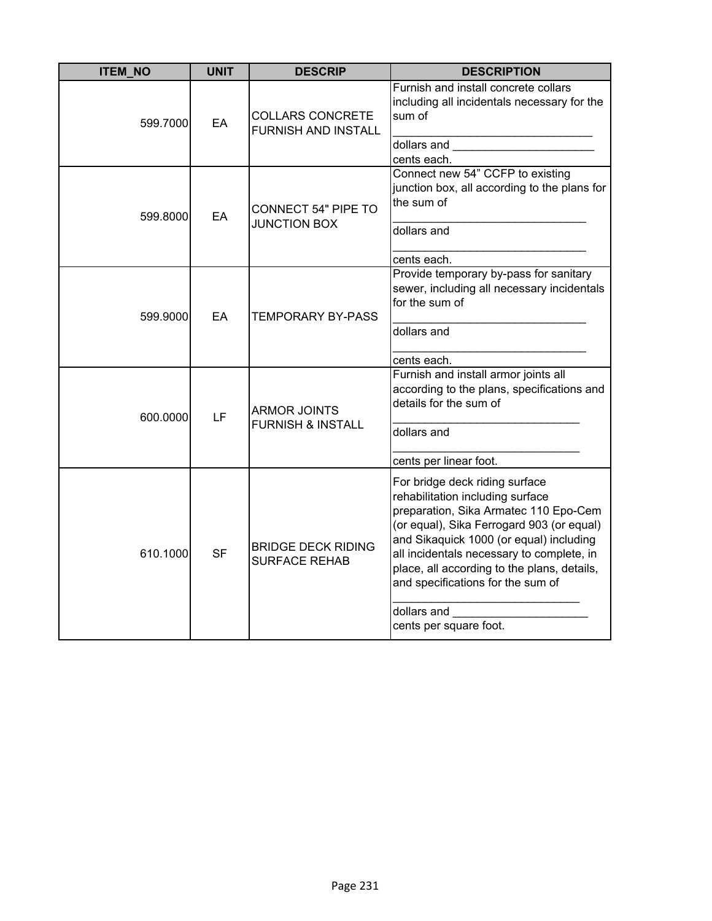| <b>ITEM_NO</b> | <b>UNIT</b> | <b>DESCRIP</b>                                        | <b>DESCRIPTION</b>                                                                                                                                                                                                                                                                                                                                                            |
|----------------|-------------|-------------------------------------------------------|-------------------------------------------------------------------------------------------------------------------------------------------------------------------------------------------------------------------------------------------------------------------------------------------------------------------------------------------------------------------------------|
| 599.7000       | EA          | <b>COLLARS CONCRETE</b><br><b>FURNISH AND INSTALL</b> | Furnish and install concrete collars<br>including all incidentals necessary for the<br>sum of<br>dollars and the control of the control of the control of the control of the control of the control of the control of the control of the control of the control of the control of the control of the control of the control of<br>cents each.                                 |
| 599.8000       | EA          | CONNECT 54" PIPE TO<br><b>JUNCTION BOX</b>            | Connect new 54" CCFP to existing<br>junction box, all according to the plans for<br>the sum of<br>dollars and                                                                                                                                                                                                                                                                 |
| 599.9000       | EA          | <b>TEMPORARY BY-PASS</b>                              | cents each.<br>Provide temporary by-pass for sanitary<br>sewer, including all necessary incidentals<br>for the sum of<br>dollars and<br>cents each.                                                                                                                                                                                                                           |
| 600.0000       | LF          | <b>ARMOR JOINTS</b><br><b>FURNISH &amp; INSTALL</b>   | Furnish and install armor joints all<br>according to the plans, specifications and<br>details for the sum of<br>dollars and<br>cents per linear foot.                                                                                                                                                                                                                         |
| 610.1000       | <b>SF</b>   | <b>BRIDGE DECK RIDING</b><br><b>SURFACE REHAB</b>     | For bridge deck riding surface<br>rehabilitation including surface<br>preparation, Sika Armatec 110 Epo-Cem<br>(or equal), Sika Ferrogard 903 (or equal)<br>and Sikaquick 1000 (or equal) including<br>all incidentals necessary to complete, in<br>place, all according to the plans, details,<br>and specifications for the sum of<br>dollars and<br>cents per square foot. |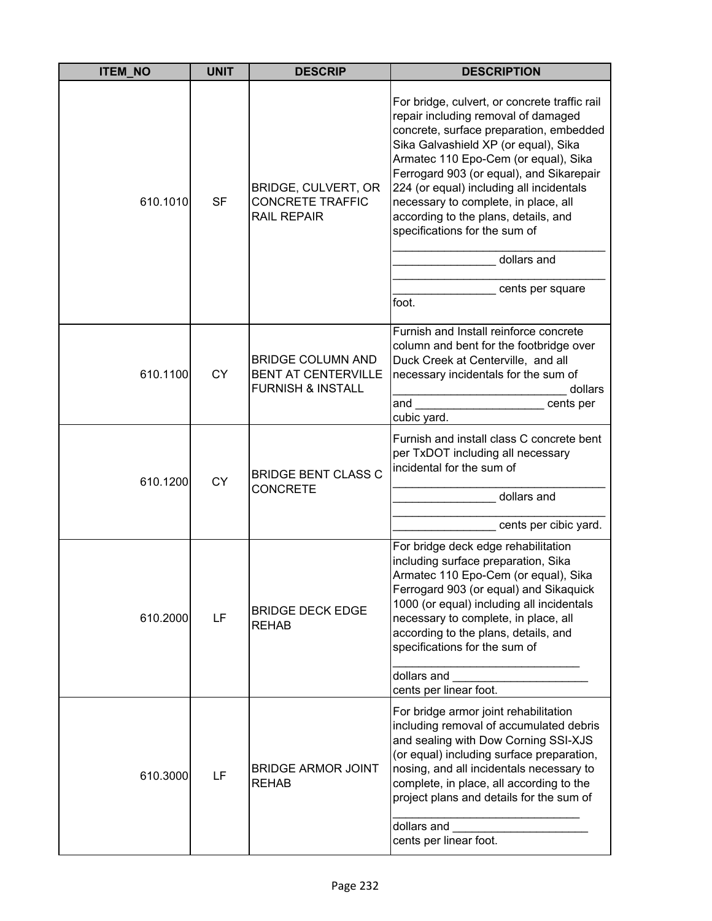| <b>ITEM_NO</b> | <b>UNIT</b> | <b>DESCRIP</b>                                                                         | <b>DESCRIPTION</b>                                                                                                                                                                                                                                                                                                                                                                                                                                                   |
|----------------|-------------|----------------------------------------------------------------------------------------|----------------------------------------------------------------------------------------------------------------------------------------------------------------------------------------------------------------------------------------------------------------------------------------------------------------------------------------------------------------------------------------------------------------------------------------------------------------------|
| 610.1010       | <b>SF</b>   | BRIDGE, CULVERT, OR<br><b>CONCRETE TRAFFIC</b><br><b>RAIL REPAIR</b>                   | For bridge, culvert, or concrete traffic rail<br>repair including removal of damaged<br>concrete, surface preparation, embedded<br>Sika Galvashield XP (or equal), Sika<br>Armatec 110 Epo-Cem (or equal), Sika<br>Ferrogard 903 (or equal), and Sikarepair<br>224 (or equal) including all incidentals<br>necessary to complete, in place, all<br>according to the plans, details, and<br>specifications for the sum of<br>dollars and<br>cents per square<br>foot. |
| 610.1100       | <b>CY</b>   | <b>BRIDGE COLUMN AND</b><br><b>BENT AT CENTERVILLE</b><br><b>FURNISH &amp; INSTALL</b> | Furnish and Install reinforce concrete<br>column and bent for the footbridge over<br>Duck Creek at Centerville, and all<br>necessary incidentals for the sum of<br>dollars<br>and<br>cents per<br>cubic yard.                                                                                                                                                                                                                                                        |
| 610.1200       | <b>CY</b>   | <b>BRIDGE BENT CLASS C</b><br><b>CONCRETE</b>                                          | Furnish and install class C concrete bent<br>per TxDOT including all necessary<br>incidental for the sum of<br>dollars and<br>cents per cibic yard.                                                                                                                                                                                                                                                                                                                  |
| 610.2000       | LF          | <b>BRIDGE DECK EDGE</b><br><b>REHAB</b>                                                | For bridge deck edge rehabilitation<br>including surface preparation, Sika<br>Armatec 110 Epo-Cem (or equal), Sika<br>Ferrogard 903 (or equal) and Sikaquick<br>1000 (or equal) including all incidentals<br>necessary to complete, in place, all<br>according to the plans, details, and<br>specifications for the sum of<br>dollars and<br>cents per linear foot.                                                                                                  |
| 610.3000       | LF          | <b>BRIDGE ARMOR JOINT</b><br><b>REHAB</b>                                              | For bridge armor joint rehabilitation<br>including removal of accumulated debris<br>and sealing with Dow Corning SSI-XJS<br>(or equal) including surface preparation,<br>nosing, and all incidentals necessary to<br>complete, in place, all according to the<br>project plans and details for the sum of<br>dollars and<br>cents per linear foot.                                                                                                                   |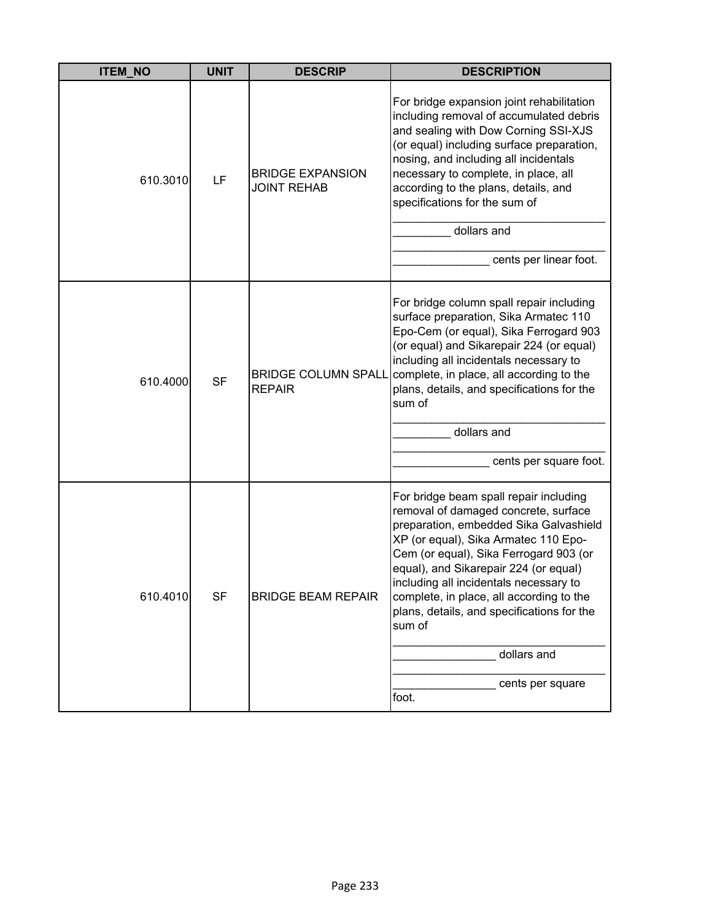| <b>ITEM_NO</b> | <b>UNIT</b> | <b>DESCRIP</b>                                | <b>DESCRIPTION</b>                                                                                                                                                                                                                                                                                                                                                                                                                            |
|----------------|-------------|-----------------------------------------------|-----------------------------------------------------------------------------------------------------------------------------------------------------------------------------------------------------------------------------------------------------------------------------------------------------------------------------------------------------------------------------------------------------------------------------------------------|
| 610.3010       | LF          | <b>BRIDGE EXPANSION</b><br><b>JOINT REHAB</b> | For bridge expansion joint rehabilitation<br>including removal of accumulated debris<br>and sealing with Dow Corning SSI-XJS<br>(or equal) including surface preparation,<br>nosing, and including all incidentals<br>necessary to complete, in place, all<br>according to the plans, details, and<br>specifications for the sum of<br>dollars and<br>cents per linear foot.                                                                  |
| 610.4000       | <b>SF</b>   | <b>BRIDGE COLUMN SPALL</b><br><b>REPAIR</b>   | For bridge column spall repair including<br>surface preparation, Sika Armatec 110<br>Epo-Cem (or equal), Sika Ferrogard 903<br>(or equal) and Sikarepair 224 (or equal)<br>including all incidentals necessary to<br>complete, in place, all according to the<br>plans, details, and specifications for the<br>sum of<br>dollars and<br>cents per square foot.                                                                                |
| 610.4010       | <b>SF</b>   | <b>BRIDGE BEAM REPAIR</b>                     | For bridge beam spall repair including<br>removal of damaged concrete, surface<br>preparation, embedded Sika Galvashield<br>XP (or equal), Sika Armatec 110 Epo-<br>Cem (or equal), Sika Ferrogard 903 (or<br>equal), and Sikarepair 224 (or equal)<br>including all incidentals necessary to<br>complete, in place, all according to the<br>plans, details, and specifications for the<br>sum of<br>dollars and<br>cents per square<br>foot. |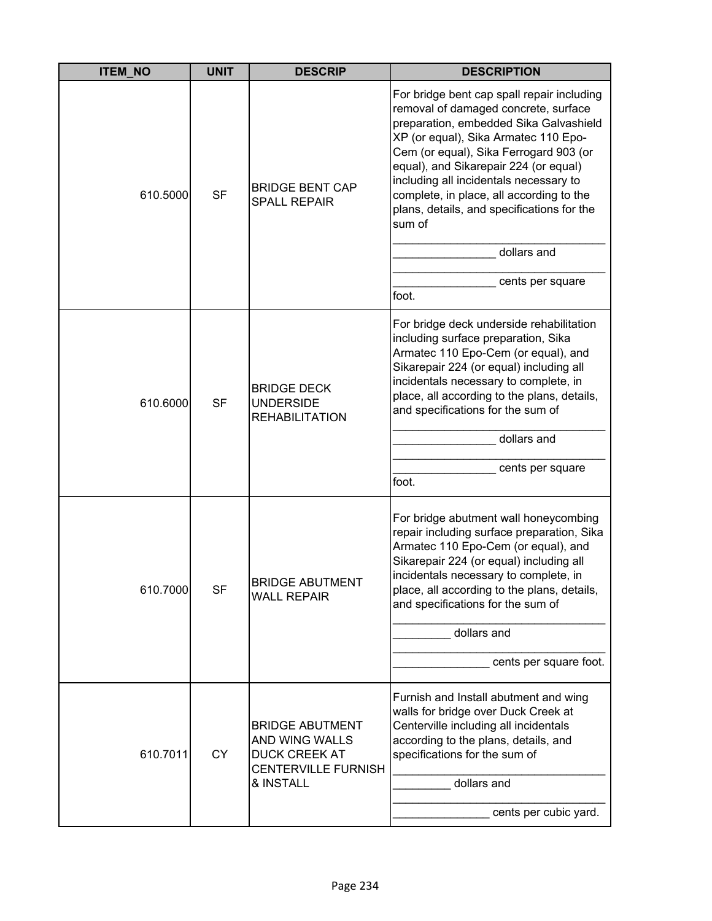| <b>ITEM_NO</b> | <b>UNIT</b> | <b>DESCRIP</b>                                                                                              | <b>DESCRIPTION</b>                                                                                                                                                                                                                                                                                                                                                                                                                                |
|----------------|-------------|-------------------------------------------------------------------------------------------------------------|---------------------------------------------------------------------------------------------------------------------------------------------------------------------------------------------------------------------------------------------------------------------------------------------------------------------------------------------------------------------------------------------------------------------------------------------------|
| 610.5000       | <b>SF</b>   | <b>BRIDGE BENT CAP</b><br><b>SPALL REPAIR</b>                                                               | For bridge bent cap spall repair including<br>removal of damaged concrete, surface<br>preparation, embedded Sika Galvashield<br>XP (or equal), Sika Armatec 110 Epo-<br>Cem (or equal), Sika Ferrogard 903 (or<br>equal), and Sikarepair 224 (or equal)<br>including all incidentals necessary to<br>complete, in place, all according to the<br>plans, details, and specifications for the<br>sum of<br>dollars and<br>cents per square<br>foot. |
| 610.6000       | <b>SF</b>   | <b>BRIDGE DECK</b><br><b>UNDERSIDE</b><br><b>REHABILITATION</b>                                             | For bridge deck underside rehabilitation<br>including surface preparation, Sika<br>Armatec 110 Epo-Cem (or equal), and<br>Sikarepair 224 (or equal) including all<br>incidentals necessary to complete, in<br>place, all according to the plans, details,<br>and specifications for the sum of<br>dollars and<br>cents per square<br>foot.                                                                                                        |
| 610.7000       | <b>SF</b>   | <b>BRIDGE ABUTMENT</b><br><b>WALL REPAIR</b>                                                                | For bridge abutment wall honeycombing<br>repair including surface preparation, Sika<br>Armatec 110 Epo-Cem (or equal), and<br>Sikarepair 224 (or equal) including all<br>incidentals necessary to complete, in<br>place, all according to the plans, details,<br>and specifications for the sum of<br>dollars and<br>cents per square foot.                                                                                                       |
| 610.7011       | <b>CY</b>   | <b>BRIDGE ABUTMENT</b><br>AND WING WALLS<br><b>DUCK CREEK AT</b><br><b>CENTERVILLE FURNISH</b><br>& INSTALL | Furnish and Install abutment and wing<br>walls for bridge over Duck Creek at<br>Centerville including all incidentals<br>according to the plans, details, and<br>specifications for the sum of<br>dollars and<br>cents per cubic yard.                                                                                                                                                                                                            |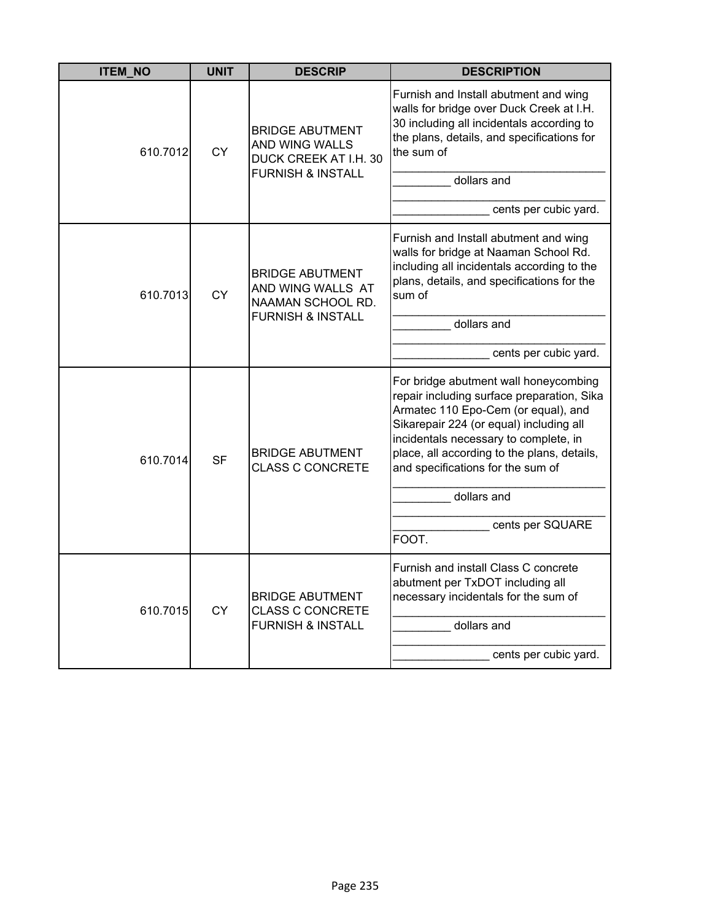| <b>ITEM_NO</b> | <b>UNIT</b> | <b>DESCRIP</b>                                                                                    | <b>DESCRIPTION</b>                                                                                                                                                                                                                                                                                                                             |
|----------------|-------------|---------------------------------------------------------------------------------------------------|------------------------------------------------------------------------------------------------------------------------------------------------------------------------------------------------------------------------------------------------------------------------------------------------------------------------------------------------|
| 610.7012       | <b>CY</b>   | <b>BRIDGE ABUTMENT</b><br>AND WING WALLS<br>DUCK CREEK AT I.H. 30<br><b>FURNISH &amp; INSTALL</b> | Furnish and Install abutment and wing<br>walls for bridge over Duck Creek at I.H.<br>30 including all incidentals according to<br>the plans, details, and specifications for<br>the sum of<br>dollars and<br>cents per cubic yard.                                                                                                             |
| 610.7013       | <b>CY</b>   | <b>BRIDGE ABUTMENT</b><br>AND WING WALLS AT<br>NAAMAN SCHOOL RD.<br><b>FURNISH &amp; INSTALL</b>  | Furnish and Install abutment and wing<br>walls for bridge at Naaman School Rd.<br>including all incidentals according to the<br>plans, details, and specifications for the<br>sum of<br>dollars and<br>cents per cubic yard.                                                                                                                   |
| 610.7014       | <b>SF</b>   | <b>BRIDGE ABUTMENT</b><br><b>CLASS C CONCRETE</b>                                                 | For bridge abutment wall honeycombing<br>repair including surface preparation, Sika<br>Armatec 110 Epo-Cem (or equal), and<br>Sikarepair 224 (or equal) including all<br>incidentals necessary to complete, in<br>place, all according to the plans, details,<br>and specifications for the sum of<br>dollars and<br>cents per SQUARE<br>FOOT. |
| 610.7015       | СY          | <b>BRIDGE ABUTMENT</b><br><b>CLASS C CONCRETE</b><br><b>FURNISH &amp; INSTALL</b>                 | Furnish and install Class C concrete<br>abutment per TxDOT including all<br>necessary incidentals for the sum of<br>dollars and<br>cents per cubic yard.                                                                                                                                                                                       |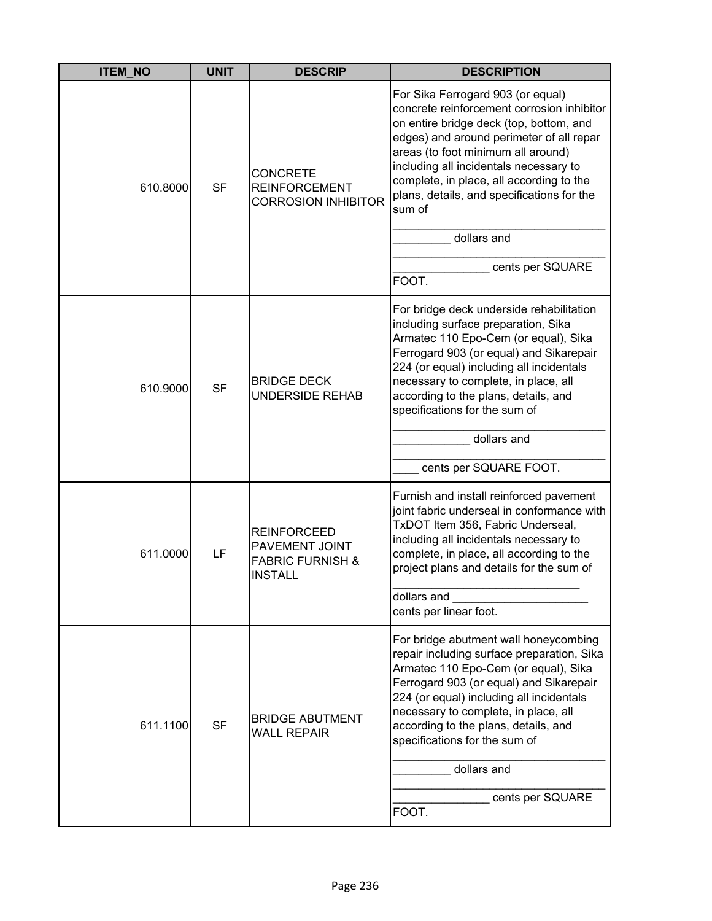| <b>ITEM_NO</b> | <b>UNIT</b> | <b>DESCRIP</b>                                                                               | <b>DESCRIPTION</b>                                                                                                                                                                                                                                                                                                                                                                                     |
|----------------|-------------|----------------------------------------------------------------------------------------------|--------------------------------------------------------------------------------------------------------------------------------------------------------------------------------------------------------------------------------------------------------------------------------------------------------------------------------------------------------------------------------------------------------|
| 610.8000       | <b>SF</b>   | <b>CONCRETE</b><br><b>REINFORCEMENT</b><br><b>CORROSION INHIBITOR</b>                        | For Sika Ferrogard 903 (or equal)<br>concrete reinforcement corrosion inhibitor<br>on entire bridge deck (top, bottom, and<br>edges) and around perimeter of all repar<br>areas (to foot minimum all around)<br>including all incidentals necessary to<br>complete, in place, all according to the<br>plans, details, and specifications for the<br>sum of<br>dollars and<br>cents per SQUARE<br>FOOT. |
| 610.9000       | <b>SF</b>   | <b>BRIDGE DECK</b><br><b>UNDERSIDE REHAB</b>                                                 | For bridge deck underside rehabilitation<br>including surface preparation, Sika<br>Armatec 110 Epo-Cem (or equal), Sika<br>Ferrogard 903 (or equal) and Sikarepair<br>224 (or equal) including all incidentals<br>necessary to complete, in place, all<br>according to the plans, details, and<br>specifications for the sum of<br>dollars and<br>cents per SQUARE FOOT.                               |
| 611.0000       | LF          | <b>REINFORCEED</b><br><b>PAVEMENT JOINT</b><br><b>FABRIC FURNISH &amp;</b><br><b>INSTALL</b> | Furnish and install reinforced pavement<br>joint fabric underseal in conformance with<br>TxDOT Item 356, Fabric Underseal,<br>including all incidentals necessary to<br>complete, in place, all according to the<br>project plans and details for the sum of<br>dollars and<br>cents per linear foot.                                                                                                  |
| 611.1100       | <b>SF</b>   | <b>BRIDGE ABUTMENT</b><br><b>WALL REPAIR</b>                                                 | For bridge abutment wall honeycombing<br>repair including surface preparation, Sika<br>Armatec 110 Epo-Cem (or equal), Sika<br>Ferrogard 903 (or equal) and Sikarepair<br>224 (or equal) including all incidentals<br>necessary to complete, in place, all<br>according to the plans, details, and<br>specifications for the sum of<br>dollars and<br>cents per SQUARE<br>FOOT.                        |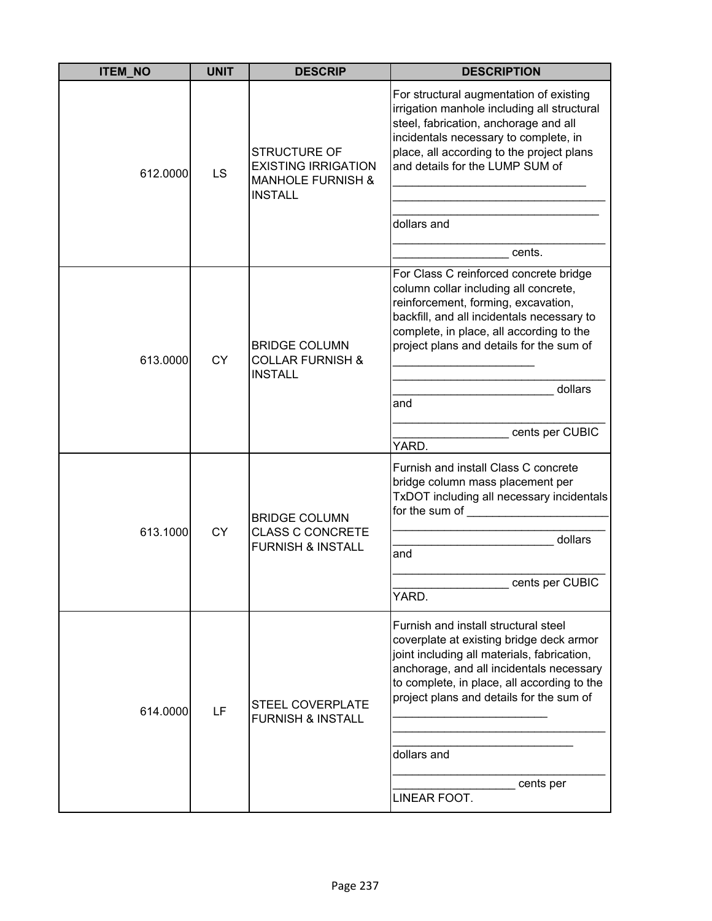| <b>ITEM_NO</b> | <b>UNIT</b> | <b>DESCRIP</b>                                                                                      | <b>DESCRIPTION</b>                                                                                                                                                                                                                                                                                 |
|----------------|-------------|-----------------------------------------------------------------------------------------------------|----------------------------------------------------------------------------------------------------------------------------------------------------------------------------------------------------------------------------------------------------------------------------------------------------|
| 612.0000       | LS          | <b>STRUCTURE OF</b><br><b>EXISTING IRRIGATION</b><br><b>MANHOLE FURNISH &amp;</b><br><b>INSTALL</b> | For structural augmentation of existing<br>irrigation manhole including all structural<br>steel, fabrication, anchorage and all<br>incidentals necessary to complete, in<br>place, all according to the project plans<br>and details for the LUMP SUM of<br>dollars and<br>cents.                  |
|                |             |                                                                                                     | For Class C reinforced concrete bridge                                                                                                                                                                                                                                                             |
| 613.0000       | <b>CY</b>   | <b>BRIDGE COLUMN</b><br><b>COLLAR FURNISH &amp;</b><br><b>INSTALL</b>                               | column collar including all concrete,<br>reinforcement, forming, excavation,<br>backfill, and all incidentals necessary to<br>complete, in place, all according to the<br>project plans and details for the sum of<br>dollars<br>and                                                               |
|                |             |                                                                                                     |                                                                                                                                                                                                                                                                                                    |
|                |             |                                                                                                     | cents per CUBIC<br>YARD.                                                                                                                                                                                                                                                                           |
|                | <b>CY</b>   | <b>BRIDGE COLUMN</b><br><b>CLASS C CONCRETE</b><br><b>FURNISH &amp; INSTALL</b>                     | Furnish and install Class C concrete<br>bridge column mass placement per<br>TxDOT including all necessary incidentals<br>for the sum of                                                                                                                                                            |
| 613.1000       |             |                                                                                                     | dollars<br>and                                                                                                                                                                                                                                                                                     |
|                |             |                                                                                                     | cents per CUBIC<br>YARD.                                                                                                                                                                                                                                                                           |
| 614.0000       | LF          | <b>STEEL COVERPLATE</b><br><b>FURNISH &amp; INSTALL</b>                                             | Furnish and install structural steel<br>coverplate at existing bridge deck armor<br>joint including all materials, fabrication,<br>anchorage, and all incidentals necessary<br>to complete, in place, all according to the<br>project plans and details for the sum of<br>dollars and<br>cents per |
|                |             |                                                                                                     | LINEAR FOOT.                                                                                                                                                                                                                                                                                       |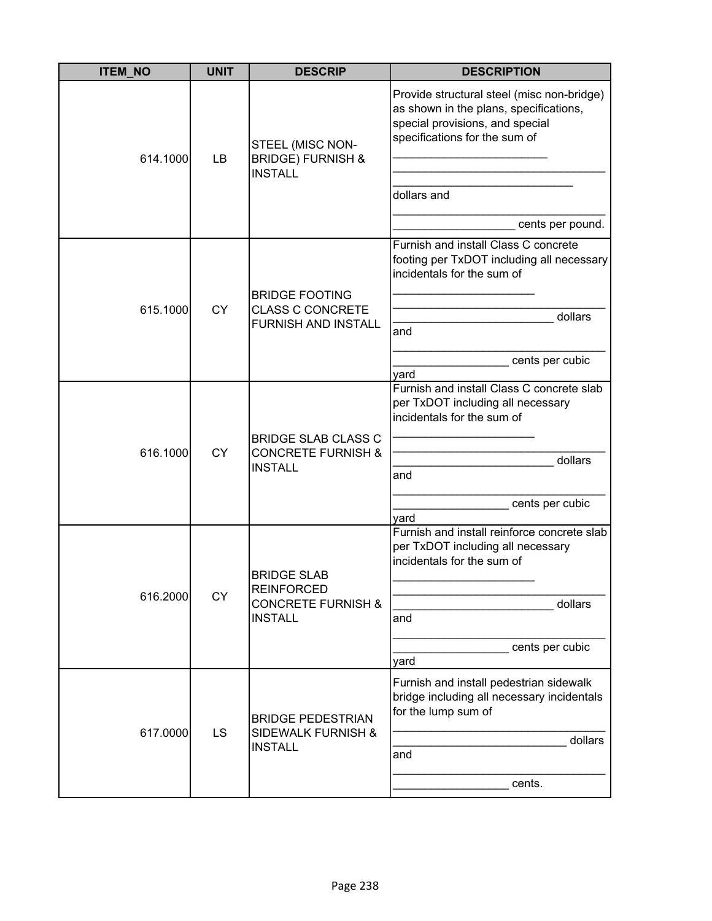| <b>ITEM_NO</b> | <b>UNIT</b> | <b>DESCRIP</b>                                                                             | <b>DESCRIPTION</b>                                                                                                                                                                          |
|----------------|-------------|--------------------------------------------------------------------------------------------|---------------------------------------------------------------------------------------------------------------------------------------------------------------------------------------------|
| 614.1000       | LB          | STEEL (MISC NON-<br><b>BRIDGE) FURNISH &amp;</b><br><b>INSTALL</b>                         | Provide structural steel (misc non-bridge)<br>as shown in the plans, specifications,<br>special provisions, and special<br>specifications for the sum of<br>dollars and<br>cents per pound. |
| 615.1000       | <b>CY</b>   | <b>BRIDGE FOOTING</b><br><b>CLASS C CONCRETE</b><br><b>FURNISH AND INSTALL</b>             | Furnish and install Class C concrete<br>footing per TxDOT including all necessary<br>incidentals for the sum of<br>dollars<br>and<br>cents per cubic<br>yard                                |
| 616.1000       | <b>CY</b>   | <b>BRIDGE SLAB CLASS C</b><br><b>CONCRETE FURNISH &amp;</b><br><b>INSTALL</b>              | Furnish and install Class C concrete slab<br>per TxDOT including all necessary<br>incidentals for the sum of<br>dollars<br>and<br>cents per cubic<br>yard                                   |
| 616.2000       | <b>CY</b>   | <b>BRIDGE SLAB</b><br><b>REINFORCED</b><br><b>CONCRETE FURNISH &amp;</b><br><b>INSTALL</b> | Furnish and install reinforce concrete slab<br>per TxDOT including all necessary<br>incidentals for the sum of<br>dollars<br>and<br>cents per cubic<br>yard                                 |
| 617.0000       | LS          | <b>BRIDGE PEDESTRIAN</b><br><b>SIDEWALK FURNISH &amp;</b><br><b>INSTALL</b>                | Furnish and install pedestrian sidewalk<br>bridge including all necessary incidentals<br>for the lump sum of<br>dollars<br>and<br>cents.                                                    |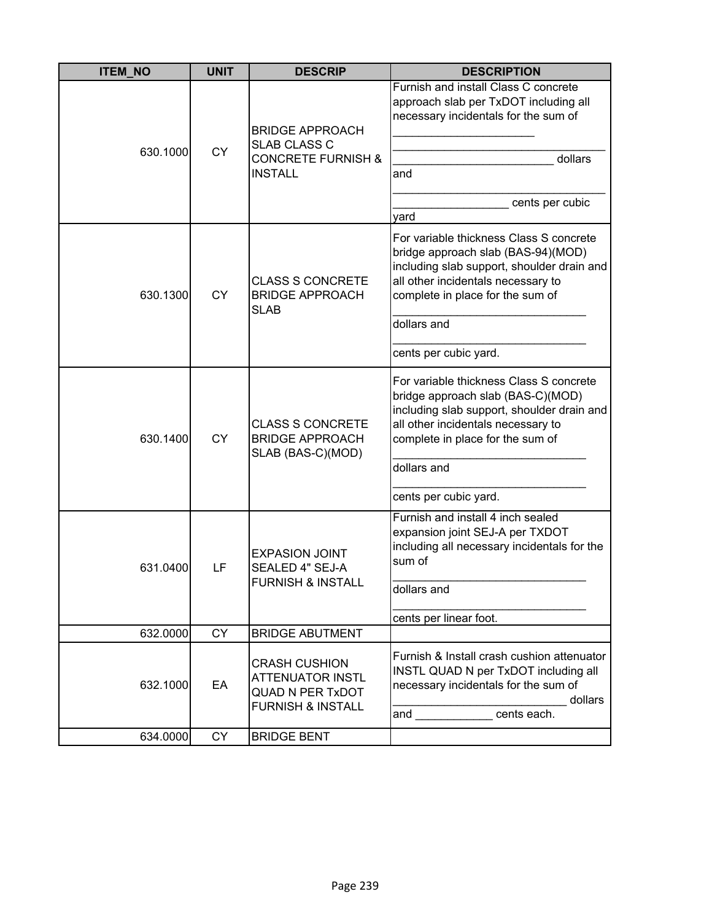| <b>ITEM_NO</b> | <b>UNIT</b> | <b>DESCRIP</b>                                                                                             | <b>DESCRIPTION</b>                                                                                                                                                                                                                                                                                                                                                                     |
|----------------|-------------|------------------------------------------------------------------------------------------------------------|----------------------------------------------------------------------------------------------------------------------------------------------------------------------------------------------------------------------------------------------------------------------------------------------------------------------------------------------------------------------------------------|
| 630.1000       | <b>CY</b>   | <b>BRIDGE APPROACH</b><br>SLAB CLASS C<br><b>CONCRETE FURNISH &amp;</b><br><b>INSTALL</b>                  | Furnish and install Class C concrete<br>approach slab per TxDOT including all<br>necessary incidentals for the sum of<br>dollars<br>and<br>cents per cubic<br>yard                                                                                                                                                                                                                     |
| 630.1300       | CY          | <b>CLASS S CONCRETE</b><br><b>BRIDGE APPROACH</b><br><b>SLAB</b>                                           | For variable thickness Class S concrete<br>bridge approach slab (BAS-94)(MOD)<br>including slab support, shoulder drain and<br>all other incidentals necessary to<br>complete in place for the sum of<br>dollars and<br>cents per cubic yard.                                                                                                                                          |
| 630.1400       | <b>CY</b>   | <b>CLASS S CONCRETE</b><br><b>BRIDGE APPROACH</b><br>SLAB (BAS-C)(MOD)                                     | For variable thickness Class S concrete<br>bridge approach slab (BAS-C)(MOD)<br>including slab support, shoulder drain and<br>all other incidentals necessary to<br>complete in place for the sum of<br>dollars and<br>cents per cubic yard.                                                                                                                                           |
| 631.0400       | LF          | <b>EXPASION JOINT</b><br>SEALED 4" SEJ-A<br><b>FURNISH &amp; INSTALL</b>                                   | Furnish and install 4 inch sealed<br>expansion joint SEJ-A per TXDOT<br>including all necessary incidentals for the<br>sum of<br>dollars and<br>cents per linear foot.                                                                                                                                                                                                                 |
| 632.0000       | <b>CY</b>   | <b>BRIDGE ABUTMENT</b>                                                                                     |                                                                                                                                                                                                                                                                                                                                                                                        |
| 632.1000       | EA          | <b>CRASH CUSHION</b><br><b>ATTENUATOR INSTL</b><br><b>QUAD N PER TxDOT</b><br><b>FURNISH &amp; INSTALL</b> | Furnish & Install crash cushion attenuator<br>INSTL QUAD N per TxDOT including all<br>necessary incidentals for the sum of<br>dollars<br>cents each.<br>and the control of the control of the control of the control of the control of the control of the control of the control of the control of the control of the control of the control of the control of the control of the cont |
| 634.0000       | <b>CY</b>   | <b>BRIDGE BENT</b>                                                                                         |                                                                                                                                                                                                                                                                                                                                                                                        |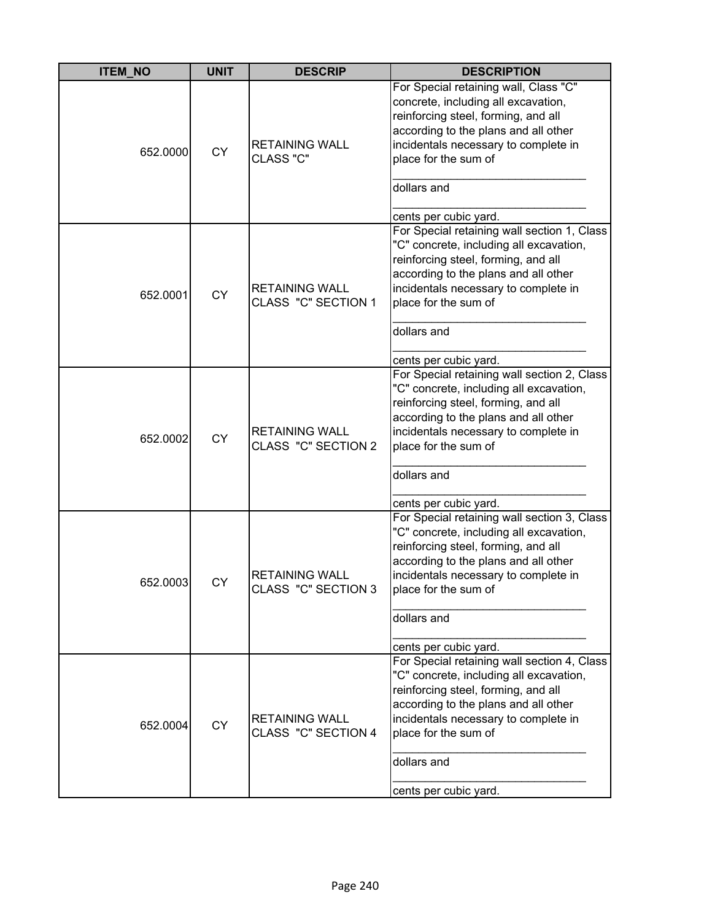| <b>ITEM_NO</b> | <b>UNIT</b> | <b>DESCRIP</b>                               | <b>DESCRIPTION</b>                                                                                                                                                                                                                                                            |
|----------------|-------------|----------------------------------------------|-------------------------------------------------------------------------------------------------------------------------------------------------------------------------------------------------------------------------------------------------------------------------------|
| 652.0000       | <b>CY</b>   | <b>RETAINING WALL</b><br>CLASS "C"           | For Special retaining wall, Class "C"<br>concrete, including all excavation,<br>reinforcing steel, forming, and all<br>according to the plans and all other<br>incidentals necessary to complete in<br>place for the sum of<br>dollars and<br>cents per cubic yard.           |
| 652.0001       | <b>CY</b>   | <b>RETAINING WALL</b><br>CLASS "C" SECTION 1 | For Special retaining wall section 1, Class<br>"C" concrete, including all excavation,<br>reinforcing steel, forming, and all<br>according to the plans and all other<br>incidentals necessary to complete in<br>place for the sum of<br>dollars and<br>cents per cubic yard. |
| 652.0002       | <b>CY</b>   | <b>RETAINING WALL</b><br>CLASS "C" SECTION 2 | For Special retaining wall section 2, Class<br>"C" concrete, including all excavation,<br>reinforcing steel, forming, and all<br>according to the plans and all other<br>incidentals necessary to complete in<br>place for the sum of<br>dollars and<br>cents per cubic yard. |
| 652.0003       | СY          | <b>RETAINING WALL</b><br>CLASS "C" SECTION 3 | For Special retaining wall section 3, Class<br>"C" concrete, including all excavation,<br>reinforcing steel, forming, and all<br>according to the plans and all other<br>incidentals necessary to complete in<br>place for the sum of<br>dollars and<br>cents per cubic yard. |
| 652.0004       | <b>CY</b>   | <b>RETAINING WALL</b><br>CLASS "C" SECTION 4 | For Special retaining wall section 4, Class<br>"C" concrete, including all excavation,<br>reinforcing steel, forming, and all<br>according to the plans and all other<br>incidentals necessary to complete in<br>place for the sum of<br>dollars and<br>cents per cubic yard. |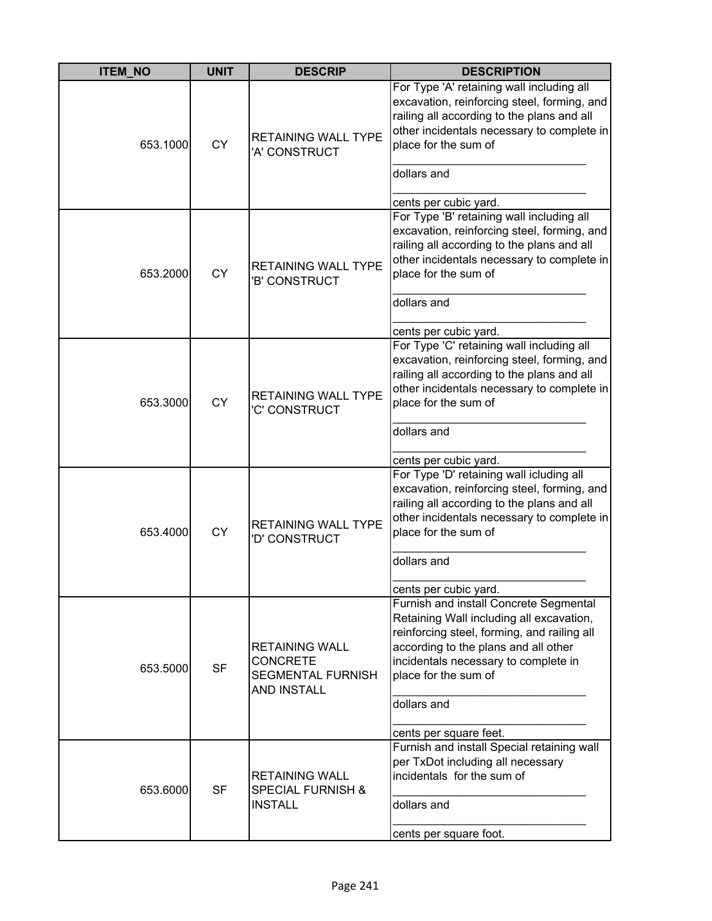| <b>ITEM NO</b> | <b>UNIT</b> | <b>DESCRIP</b>                                                                             | <b>DESCRIPTION</b>                                                                                                                                                                                                                                                                 |
|----------------|-------------|--------------------------------------------------------------------------------------------|------------------------------------------------------------------------------------------------------------------------------------------------------------------------------------------------------------------------------------------------------------------------------------|
| 653.1000       | <b>CY</b>   | <b>RETAINING WALL TYPE</b><br>'A' CONSTRUCT                                                | For Type 'A' retaining wall including all<br>excavation, reinforcing steel, forming, and<br>railing all according to the plans and all<br>other incidentals necessary to complete in<br>place for the sum of<br>dollars and<br>cents per cubic yard.                               |
| 653.2000       | <b>CY</b>   | <b>RETAINING WALL TYPE</b><br>'B' CONSTRUCT                                                | For Type 'B' retaining wall including all<br>excavation, reinforcing steel, forming, and<br>railing all according to the plans and all<br>other incidentals necessary to complete in<br>place for the sum of<br>dollars and<br>cents per cubic yard.                               |
| 653.3000       | <b>CY</b>   | <b>RETAINING WALL TYPE</b><br>'C' CONSTRUCT                                                | For Type 'C' retaining wall including all<br>excavation, reinforcing steel, forming, and<br>railing all according to the plans and all<br>other incidentals necessary to complete in<br>place for the sum of<br>dollars and<br>cents per cubic yard.                               |
| 653.4000       | <b>CY</b>   | <b>RETAINING WALL TYPE</b><br><b>D' CONSTRUCT</b>                                          | For Type 'D' retaining wall icluding all<br>excavation, reinforcing steel, forming, and<br>railing all according to the plans and all<br>other incidentals necessary to complete in<br>place for the sum of<br>dollars and<br>cents per cubic yard.                                |
| 653.5000       | <b>SF</b>   | <b>RETAINING WALL</b><br><b>CONCRETE</b><br><b>SEGMENTAL FURNISH</b><br><b>AND INSTALL</b> | Furnish and install Concrete Segmental<br>Retaining Wall including all excavation,<br>reinforcing steel, forming, and railing all<br>according to the plans and all other<br>incidentals necessary to complete in<br>place for the sum of<br>dollars and<br>cents per square feet. |
| 653.6000       | <b>SF</b>   | <b>RETAINING WALL</b><br><b>SPECIAL FURNISH &amp;</b><br><b>INSTALL</b>                    | Furnish and install Special retaining wall<br>per TxDot including all necessary<br>incidentals for the sum of<br>dollars and<br>cents per square foot.                                                                                                                             |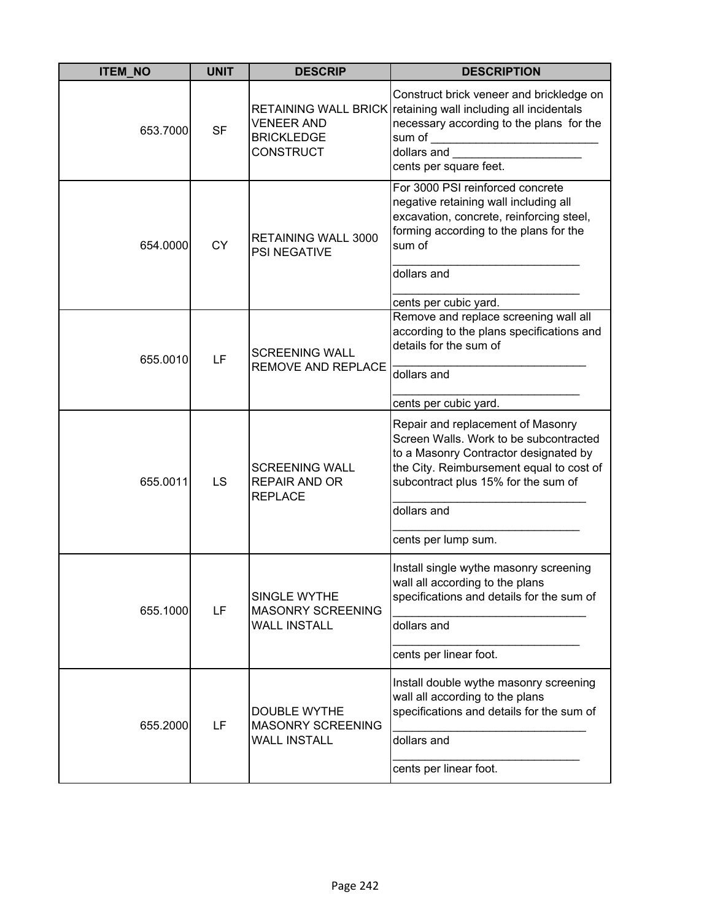| <b>ITEM_NO</b> | <b>UNIT</b> | <b>DESCRIP</b>                                                         | <b>DESCRIPTION</b>                                                                                                                                                                                                                            |
|----------------|-------------|------------------------------------------------------------------------|-----------------------------------------------------------------------------------------------------------------------------------------------------------------------------------------------------------------------------------------------|
| 653.7000       | <b>SF</b>   | <b>VENEER AND</b><br><b>BRICKLEDGE</b><br><b>CONSTRUCT</b>             | Construct brick veneer and brickledge on<br>RETAINING WALL BRICK retaining wall including all incidentals<br>necessary according to the plans for the<br>sum of<br>dollars and<br>cents per square feet.                                      |
| 654.0000       | <b>CY</b>   | <b>RETAINING WALL 3000</b><br><b>PSI NEGATIVE</b>                      | For 3000 PSI reinforced concrete<br>negative retaining wall including all<br>excavation, concrete, reinforcing steel,<br>forming according to the plans for the<br>sum of<br>dollars and<br>cents per cubic yard.                             |
| 655.0010       | LF          | <b>SCREENING WALL</b><br><b>REMOVE AND REPLACE</b>                     | Remove and replace screening wall all<br>according to the plans specifications and<br>details for the sum of<br>dollars and<br>cents per cubic yard.                                                                                          |
| 655.0011       | LS          | <b>SCREENING WALL</b><br><b>REPAIR AND OR</b><br><b>REPLACE</b>        | Repair and replacement of Masonry<br>Screen Walls. Work to be subcontracted<br>to a Masonry Contractor designated by<br>the City. Reimbursement equal to cost of<br>subcontract plus 15% for the sum of<br>dollars and<br>cents per lump sum. |
| 655.1000       | LF          | SINGLE WYTHE<br><b>MASONRY SCREENING</b><br><b>WALL INSTALL</b>        | Install single wythe masonry screening<br>wall all according to the plans<br>specifications and details for the sum of<br>dollars and<br>cents per linear foot.                                                                               |
| 655.2000       | LF          | <b>DOUBLE WYTHE</b><br><b>MASONRY SCREENING</b><br><b>WALL INSTALL</b> | Install double wythe masonry screening<br>wall all according to the plans<br>specifications and details for the sum of<br>dollars and<br>cents per linear foot.                                                                               |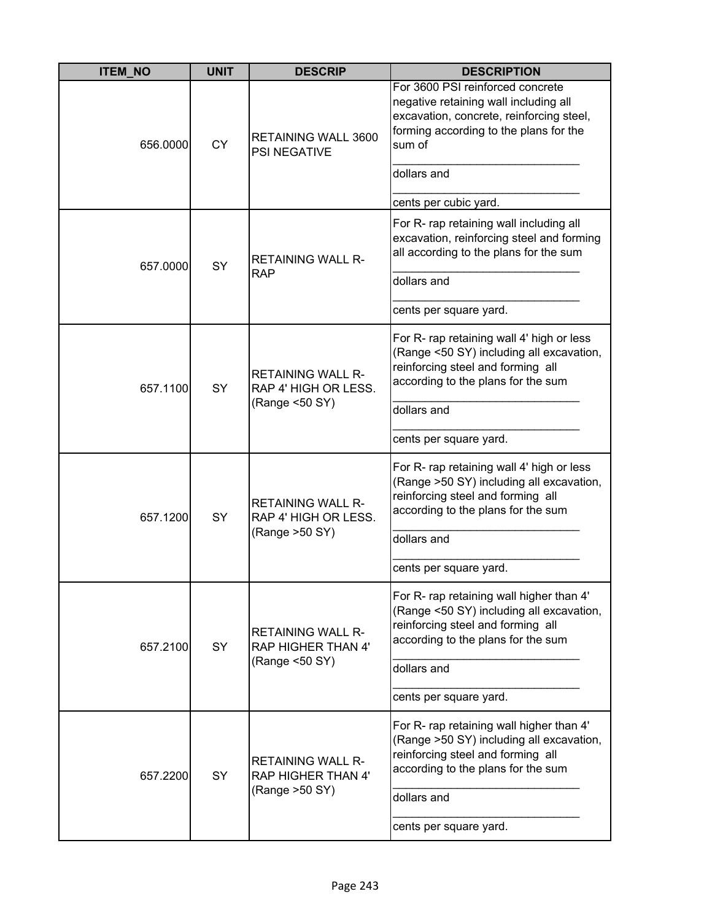| <b>ITEM_NO</b> | <b>UNIT</b> | <b>DESCRIP</b>                                                      | <b>DESCRIPTION</b>                                                                                                                                                        |
|----------------|-------------|---------------------------------------------------------------------|---------------------------------------------------------------------------------------------------------------------------------------------------------------------------|
| 656.0000       | <b>CY</b>   | <b>RETAINING WALL 3600</b><br><b>PSI NEGATIVE</b>                   | For 3600 PSI reinforced concrete<br>negative retaining wall including all<br>excavation, concrete, reinforcing steel,<br>forming according to the plans for the<br>sum of |
|                |             |                                                                     | dollars and                                                                                                                                                               |
|                |             |                                                                     | cents per cubic yard.                                                                                                                                                     |
| 657.0000       | SY          | <b>RETAINING WALL R-</b><br><b>RAP</b>                              | For R- rap retaining wall including all<br>excavation, reinforcing steel and forming<br>all according to the plans for the sum<br>dollars and                             |
|                |             |                                                                     |                                                                                                                                                                           |
|                |             |                                                                     | cents per square yard.                                                                                                                                                    |
| 657.1100       | <b>SY</b>   | <b>RETAINING WALL R-</b><br>RAP 4' HIGH OR LESS.<br>(Range <50 SY)  | For R- rap retaining wall 4' high or less<br>(Range <50 SY) including all excavation,<br>reinforcing steel and forming all<br>according to the plans for the sum          |
|                |             |                                                                     | dollars and                                                                                                                                                               |
|                |             |                                                                     | cents per square yard.                                                                                                                                                    |
| 657.1200       | SY          | <b>RETAINING WALL R-</b><br>RAP 4' HIGH OR LESS.<br>(Range > 50 SY) | For R- rap retaining wall 4' high or less<br>(Range >50 SY) including all excavation,<br>reinforcing steel and forming all<br>according to the plans for the sum          |
|                |             |                                                                     | dollars and                                                                                                                                                               |
|                |             |                                                                     | cents per square yard.                                                                                                                                                    |
| 657.2100       | <b>SY</b>   | <b>RETAINING WALL R-</b><br>RAP HIGHER THAN 4'                      | For R- rap retaining wall higher than 4'<br>(Range <50 SY) including all excavation,<br>reinforcing steel and forming all<br>according to the plans for the sum           |
|                |             | (Range <50 SY)                                                      | dollars and                                                                                                                                                               |
|                |             |                                                                     | cents per square yard.                                                                                                                                                    |
| 657.2200       | SY          | <b>RETAINING WALL R-</b><br><b>RAP HIGHER THAN 4'</b>               | For R- rap retaining wall higher than 4'<br>(Range >50 SY) including all excavation,<br>reinforcing steel and forming all<br>according to the plans for the sum           |
|                |             | (Range > 50 SY)                                                     | dollars and                                                                                                                                                               |
|                |             |                                                                     | cents per square yard.                                                                                                                                                    |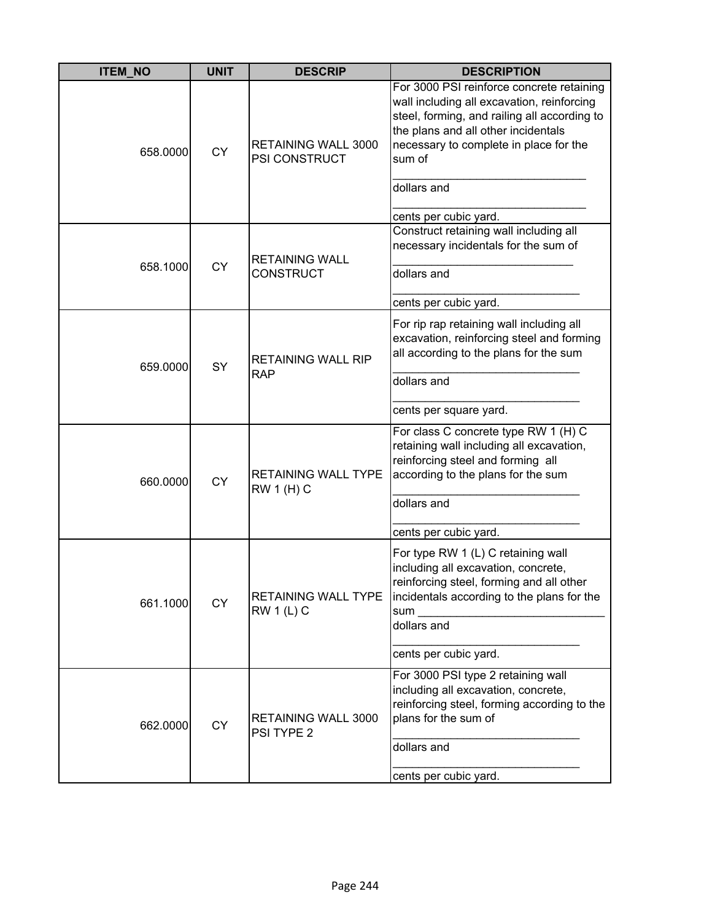| <b>ITEM_NO</b> | <b>UNIT</b> | <b>DESCRIP</b>                                  | <b>DESCRIPTION</b>                                                                                                                                                                                                                 |
|----------------|-------------|-------------------------------------------------|------------------------------------------------------------------------------------------------------------------------------------------------------------------------------------------------------------------------------------|
| 658.0000       | <b>CY</b>   | <b>RETAINING WALL 3000</b><br>PSI CONSTRUCT     | For 3000 PSI reinforce concrete retaining<br>wall including all excavation, reinforcing<br>steel, forming, and railing all according to<br>the plans and all other incidentals<br>necessary to complete in place for the<br>sum of |
|                |             |                                                 | dollars and<br>cents per cubic yard.                                                                                                                                                                                               |
| 658.1000       | <b>CY</b>   | <b>RETAINING WALL</b><br><b>CONSTRUCT</b>       | Construct retaining wall including all<br>necessary incidentals for the sum of<br>dollars and                                                                                                                                      |
|                |             |                                                 | cents per cubic yard.                                                                                                                                                                                                              |
| 659.0000       | SY          | <b>RETAINING WALL RIP</b><br><b>RAP</b>         | For rip rap retaining wall including all<br>excavation, reinforcing steel and forming<br>all according to the plans for the sum<br>dollars and                                                                                     |
|                |             |                                                 | cents per square yard.                                                                                                                                                                                                             |
| 660.0000       | <b>CY</b>   | <b>RETAINING WALL TYPE</b><br><b>RW 1 (H) C</b> | For class C concrete type RW 1 (H) C<br>retaining wall including all excavation,<br>reinforcing steel and forming all<br>according to the plans for the sum<br>dollars and                                                         |
|                |             |                                                 | cents per cubic yard.                                                                                                                                                                                                              |
| 661.1000       | <b>CY</b>   | <b>RETAINING WALL TYPE</b><br><b>RW 1 (L) C</b> | For type RW 1 (L) C retaining wall<br>including all excavation, concrete,<br>reinforcing steel, forming and all other<br>incidentals according to the plans for the<br>$sum_$<br>dollars and                                       |
|                |             |                                                 | cents per cubic yard.                                                                                                                                                                                                              |
| 662.0000       | <b>CY</b>   | RETAINING WALL 3000<br>PSI TYPE 2               | For 3000 PSI type 2 retaining wall<br>including all excavation, concrete,<br>reinforcing steel, forming according to the<br>plans for the sum of                                                                                   |
|                |             |                                                 | dollars and<br>cents per cubic yard.                                                                                                                                                                                               |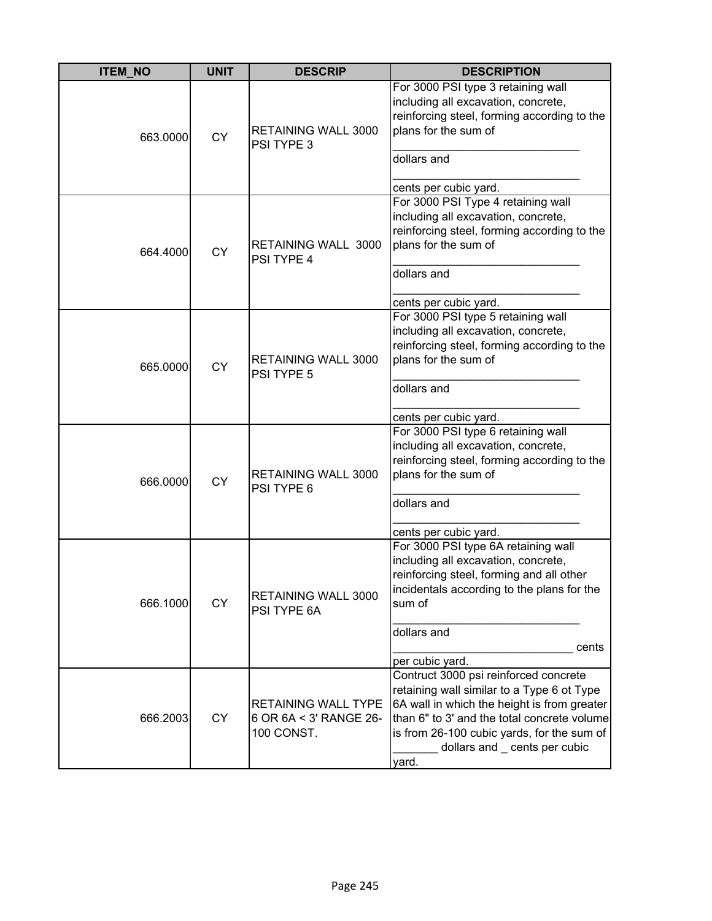| <b>ITEM_NO</b> | <b>UNIT</b> | <b>DESCRIP</b>                                                     | <b>DESCRIPTION</b>                                                                                                                                                                                                                                                        |
|----------------|-------------|--------------------------------------------------------------------|---------------------------------------------------------------------------------------------------------------------------------------------------------------------------------------------------------------------------------------------------------------------------|
| 663.0000       | <b>CY</b>   | RETAINING WALL 3000<br>PSI TYPE 3                                  | For 3000 PSI type 3 retaining wall<br>including all excavation, concrete,<br>reinforcing steel, forming according to the<br>plans for the sum of<br>dollars and<br>cents per cubic yard.                                                                                  |
| 664.4000       | <b>CY</b>   | <b>RETAINING WALL 3000</b><br>PSI TYPE 4                           | For 3000 PSI Type 4 retaining wall<br>including all excavation, concrete,<br>reinforcing steel, forming according to the<br>plans for the sum of<br>dollars and<br>cents per cubic yard.                                                                                  |
| 665.0000       | <b>CY</b>   | RETAINING WALL 3000<br>PSI TYPE 5                                  | For 3000 PSI type 5 retaining wall<br>including all excavation, concrete,<br>reinforcing steel, forming according to the<br>plans for the sum of<br>dollars and<br>cents per cubic yard.                                                                                  |
| 666.0000       | <b>CY</b>   | RETAINING WALL 3000<br>PSI TYPE 6                                  | For 3000 PSI type 6 retaining wall<br>including all excavation, concrete,<br>reinforcing steel, forming according to the<br>plans for the sum of<br>dollars and<br>cents per cubic yard.                                                                                  |
| 666.1000       | <b>CY</b>   | RETAINING WALL 3000<br>PSI TYPE 6A                                 | For 3000 PSI type 6A retaining wall<br>including all excavation, concrete,<br>reinforcing steel, forming and all other<br>incidentals according to the plans for the<br>sum of<br>dollars and<br>cents<br>per cubic yard.                                                 |
| 666.2003       | <b>CY</b>   | <b>RETAINING WALL TYPE</b><br>6 OR 6A < 3' RANGE 26-<br>100 CONST. | Contruct 3000 psi reinforced concrete<br>retaining wall similar to a Type 6 ot Type<br>6A wall in which the height is from greater<br>than 6" to 3' and the total concrete volume<br>is from 26-100 cubic yards, for the sum of<br>dollars and _ cents per cubic<br>yard. |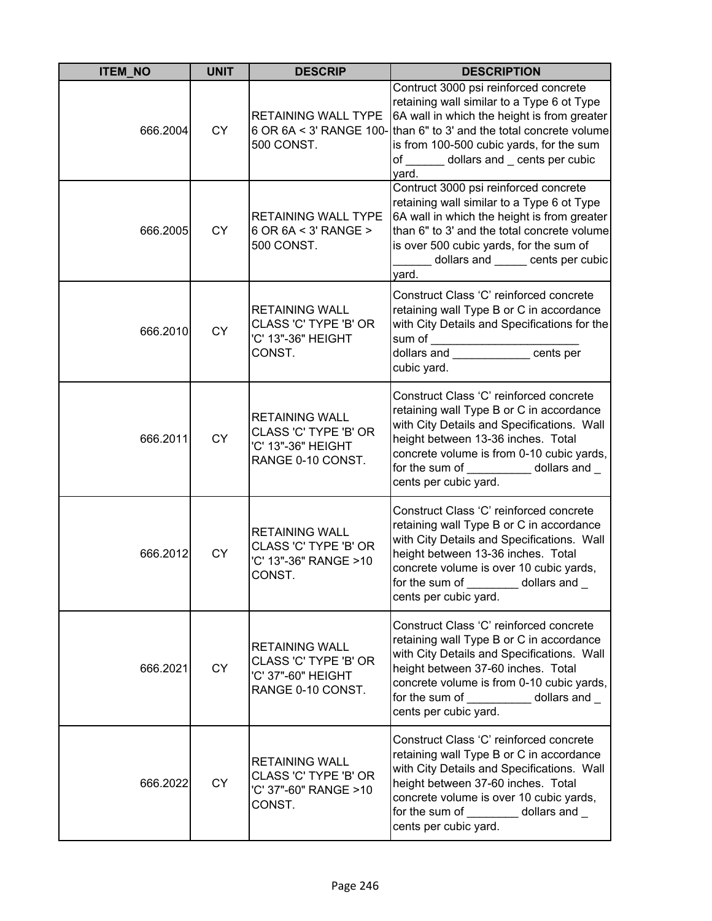| <b>ITEM_NO</b> | <b>UNIT</b> | <b>DESCRIP</b>                                                                            | <b>DESCRIPTION</b>                                                                                                                                                                                                                                                                               |
|----------------|-------------|-------------------------------------------------------------------------------------------|--------------------------------------------------------------------------------------------------------------------------------------------------------------------------------------------------------------------------------------------------------------------------------------------------|
| 666.2004       | <b>CY</b>   | RETAINING WALL TYPE<br>500 CONST.                                                         | Contruct 3000 psi reinforced concrete<br>retaining wall similar to a Type 6 ot Type<br>6A wall in which the height is from greater<br>6 OR 6A < 3' RANGE 100- than 6" to 3' and the total concrete volume<br>is from 100-500 cubic yards, for the sum<br>of dollars and cents per cubic<br>yard. |
| 666.2005       | <b>CY</b>   | <b>RETAINING WALL TYPE</b><br>6 OR 6A < 3' RANGE ><br>500 CONST.                          | Contruct 3000 psi reinforced concrete<br>retaining wall similar to a Type 6 ot Type<br>6A wall in which the height is from greater<br>than 6" to 3' and the total concrete volume<br>is over 500 cubic yards, for the sum of<br>dollars and ______ cents per cubic<br>yard.                      |
| 666.2010       | <b>CY</b>   | <b>RETAINING WALL</b><br>CLASS 'C' TYPE 'B' OR<br>'C' 13"-36" HEIGHT<br>CONST.            | Construct Class 'C' reinforced concrete<br>retaining wall Type B or C in accordance<br>with City Details and Specifications for the<br>sum of _______________________<br>dollars and ________________cents per<br>cubic yard.                                                                    |
| 666.2011       | <b>CY</b>   | <b>RETAINING WALL</b><br>CLASS 'C' TYPE 'B' OR<br>'C' 13"-36" HEIGHT<br>RANGE 0-10 CONST. | Construct Class 'C' reinforced concrete<br>retaining wall Type B or C in accordance<br>with City Details and Specifications. Wall<br>height between 13-36 inches. Total<br>concrete volume is from 0-10 cubic yards,<br>for the sum of dollars and<br>cents per cubic yard.                      |
| 666.2012       | <b>CY</b>   | <b>RETAINING WALL</b><br>CLASS 'C' TYPE 'B' OR<br>'C' 13"-36" RANGE >10<br>CONST.         | Construct Class 'C' reinforced concrete<br>retaining wall Type B or C in accordance<br>with City Details and Specifications. Wall<br>height between 13-36 inches. Total<br>concrete volume is over 10 cubic yards,<br>for the sum of dollars and<br>cents per cubic yard.                        |
| 666.2021       | <b>CY</b>   | <b>RETAINING WALL</b><br>CLASS 'C' TYPE 'B' OR<br>'C' 37"-60" HEIGHT<br>RANGE 0-10 CONST. | Construct Class 'C' reinforced concrete<br>retaining wall Type B or C in accordance<br>with City Details and Specifications. Wall<br>height between 37-60 inches. Total<br>concrete volume is from 0-10 cubic yards,<br>for the sum of <b>container</b><br>dollars and<br>cents per cubic yard.  |
| 666.2022       | <b>CY</b>   | <b>RETAINING WALL</b><br>CLASS 'C' TYPE 'B' OR<br>'C' 37"-60" RANGE >10<br>CONST.         | Construct Class 'C' reinforced concrete<br>retaining wall Type B or C in accordance<br>with City Details and Specifications. Wall<br>height between 37-60 inches. Total<br>concrete volume is over 10 cubic yards,<br>for the sum of __________ dollars and _<br>cents per cubic yard.           |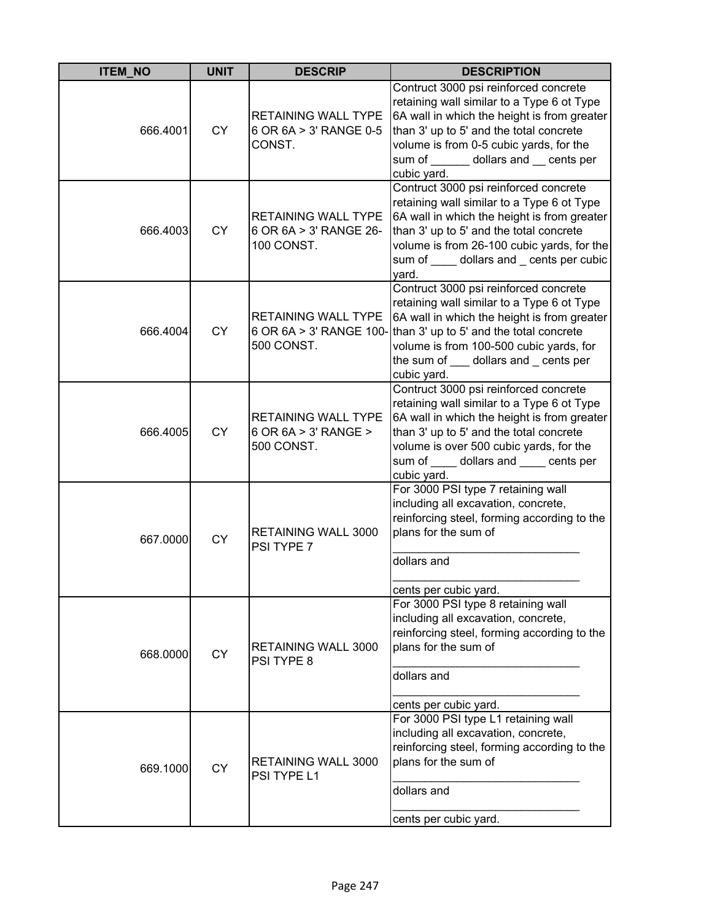| <b>ITEM_NO</b> | <b>UNIT</b> | <b>DESCRIP</b>                                                     | <b>DESCRIPTION</b>                                                                                                                                                                                                                                                                  |
|----------------|-------------|--------------------------------------------------------------------|-------------------------------------------------------------------------------------------------------------------------------------------------------------------------------------------------------------------------------------------------------------------------------------|
| 666.4001       | <b>CY</b>   | <b>RETAINING WALL TYPE</b><br>6 OR 6A > 3' RANGE 0-5<br>CONST.     | Contruct 3000 psi reinforced concrete<br>retaining wall similar to a Type 6 ot Type<br>6A wall in which the height is from greater<br>than 3' up to 5' and the total concrete<br>volume is from 0-5 cubic yards, for the<br>sum of ______ dollars and __ cents per<br>cubic yard.   |
| 666.4003       | <b>CY</b>   | <b>RETAINING WALL TYPE</b><br>6 OR 6A > 3' RANGE 26-<br>100 CONST. | Contruct 3000 psi reinforced concrete<br>retaining wall similar to a Type 6 ot Type<br>6A wall in which the height is from greater<br>than 3' up to 5' and the total concrete<br>volume is from 26-100 cubic yards, for the<br>sum of _____ dollars and _ cents per cubic<br>yard.  |
| 666.4004       | <b>CY</b>   | RETAINING WALL TYPE<br>6 OR 6A > 3' RANGE 100-<br>500 CONST.       | Contruct 3000 psi reinforced concrete<br>retaining wall similar to a Type 6 ot Type<br>6A wall in which the height is from greater<br>than 3' up to 5' and the total concrete<br>volume is from 100-500 cubic yards, for<br>the sum of ___ dollars and _ cents per<br>cubic yard.   |
| 666.4005       | CY          | <b>RETAINING WALL TYPE</b><br>6 OR 6A > 3' RANGE ><br>500 CONST.   | Contruct 3000 psi reinforced concrete<br>retaining wall similar to a Type 6 ot Type<br>6A wall in which the height is from greater<br>than 3' up to 5' and the total concrete<br>volume is over 500 cubic yards, for the<br>sum of _____ dollars and _____ cents per<br>cubic yard. |
| 667.0000       | <b>CY</b>   | <b>RETAINING WALL 3000</b><br>PSI TYPE 7                           | For 3000 PSI type 7 retaining wall<br>including all excavation, concrete,<br>reinforcing steel, forming according to the<br>plans for the sum of<br>dollars and<br>cents per cubic yard.                                                                                            |
| 668.0000       | <b>CY</b>   | RETAINING WALL 3000<br>PSI TYPE 8                                  | For 3000 PSI type 8 retaining wall<br>including all excavation, concrete,<br>reinforcing steel, forming according to the<br>plans for the sum of<br>dollars and<br>cents per cubic yard.                                                                                            |
| 669.1000       | <b>CY</b>   | RETAINING WALL 3000<br>PSI TYPE L1                                 | For 3000 PSI type L1 retaining wall<br>including all excavation, concrete,<br>reinforcing steel, forming according to the<br>plans for the sum of<br>dollars and<br>cents per cubic yard.                                                                                           |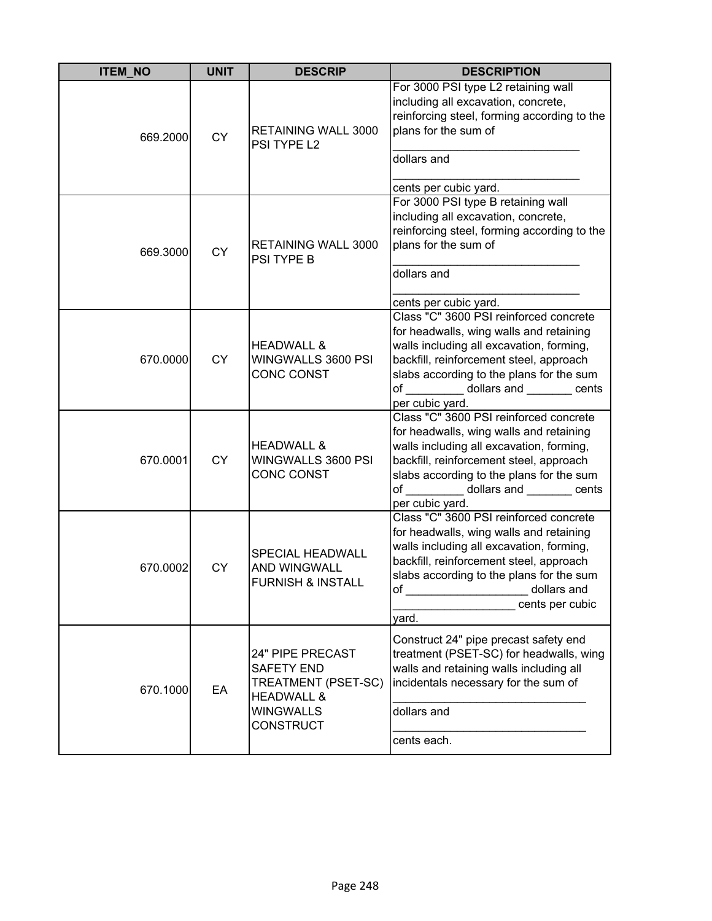| <b>ITEM_NO</b> | <b>UNIT</b> | <b>DESCRIP</b>                                                                                                                | <b>DESCRIPTION</b>                                                                                                                                                                                                                                                                   |
|----------------|-------------|-------------------------------------------------------------------------------------------------------------------------------|--------------------------------------------------------------------------------------------------------------------------------------------------------------------------------------------------------------------------------------------------------------------------------------|
| 669.2000       | <b>CY</b>   | RETAINING WALL 3000<br>PSI TYPE L2                                                                                            | For 3000 PSI type L2 retaining wall<br>including all excavation, concrete,<br>reinforcing steel, forming according to the<br>plans for the sum of<br>dollars and<br>cents per cubic yard.                                                                                            |
| 669.3000       | <b>CY</b>   | RETAINING WALL 3000<br>PSI TYPE B                                                                                             | For 3000 PSI type B retaining wall<br>including all excavation, concrete,<br>reinforcing steel, forming according to the<br>plans for the sum of<br>dollars and<br>cents per cubic yard.                                                                                             |
| 670.0000       | CY          | <b>HEADWALL &amp;</b><br>WINGWALLS 3600 PSI<br><b>CONC CONST</b>                                                              | Class "C" 3600 PSI reinforced concrete<br>for headwalls, wing walls and retaining<br>walls including all excavation, forming,<br>backfill, reinforcement steel, approach<br>slabs according to the plans for the sum<br>of ___________ dollars and ________ cents<br>per cubic yard. |
| 670.0001       | <b>CY</b>   | <b>HEADWALL &amp;</b><br>WINGWALLS 3600 PSI<br><b>CONC CONST</b>                                                              | Class "C" 3600 PSI reinforced concrete<br>for headwalls, wing walls and retaining<br>walls including all excavation, forming,<br>backfill, reinforcement steel, approach<br>slabs according to the plans for the sum<br>dollars and ________ cents<br>of<br>per cubic yard.          |
| 670.0002       | CY          | <b>SPECIAL HEADWALL</b><br>AND WINGWALL<br><b>FURNISH &amp; INSTALL</b>                                                       | Class "C" 3600 PSI reinforced concrete<br>for headwalls, wing walls and retaining<br>walls including all excavation, forming,<br>backfill, reinforcement steel, approach<br>slabs according to the plans for the sum<br>of<br>dollars and<br>cents per cubic<br>yard.                |
| 670.1000       | EA          | 24" PIPE PRECAST<br><b>SAFETY END</b><br>TREATMENT (PSET-SC)<br><b>HEADWALL &amp;</b><br><b>WINGWALLS</b><br><b>CONSTRUCT</b> | Construct 24" pipe precast safety end<br>treatment (PSET-SC) for headwalls, wing<br>walls and retaining walls including all<br>incidentals necessary for the sum of<br>dollars and<br>cents each.                                                                                    |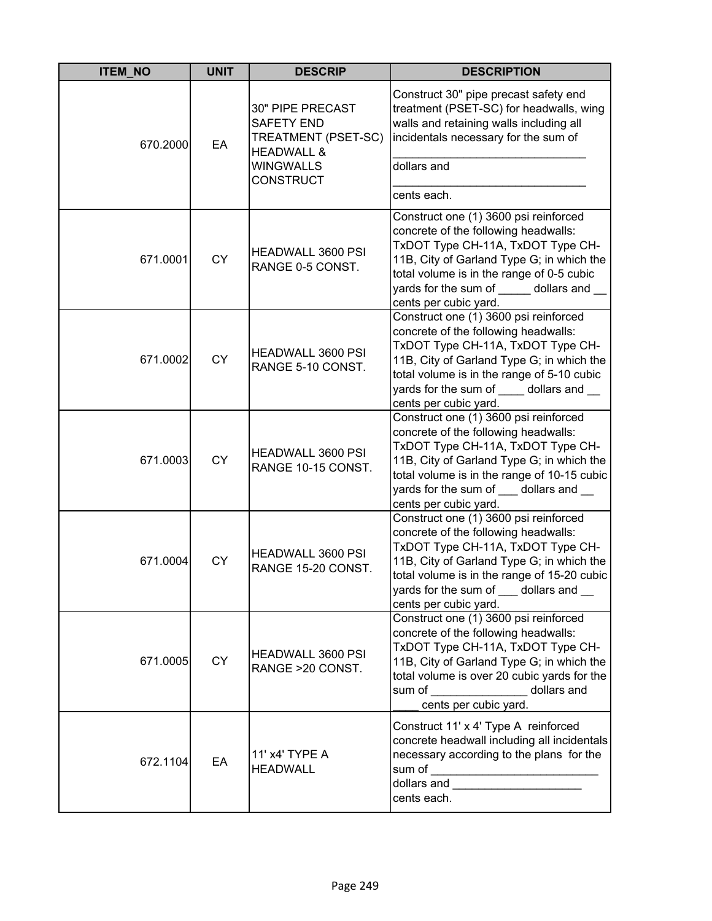| <b>ITEM_NO</b> | <b>UNIT</b> | <b>DESCRIP</b>                                                                                                                | <b>DESCRIPTION</b>                                                                                                                                                                                                                                                                                                                                                                        |
|----------------|-------------|-------------------------------------------------------------------------------------------------------------------------------|-------------------------------------------------------------------------------------------------------------------------------------------------------------------------------------------------------------------------------------------------------------------------------------------------------------------------------------------------------------------------------------------|
| 670.2000       | EA          | 30" PIPE PRECAST<br><b>SAFETY END</b><br>TREATMENT (PSET-SC)<br><b>HEADWALL &amp;</b><br><b>WINGWALLS</b><br><b>CONSTRUCT</b> | Construct 30" pipe precast safety end<br>treatment (PSET-SC) for headwalls, wing<br>walls and retaining walls including all<br>incidentals necessary for the sum of<br>dollars and<br>cents each.                                                                                                                                                                                         |
| 671.0001       | <b>CY</b>   | HEADWALL 3600 PSI<br>RANGE 0-5 CONST.                                                                                         | Construct one (1) 3600 psi reinforced<br>concrete of the following headwalls:<br>TxDOT Type CH-11A, TxDOT Type CH-<br>11B, City of Garland Type G; in which the<br>total volume is in the range of 0-5 cubic<br>yards for the sum of _____ dollars and __<br>cents per cubic yard.                                                                                                        |
| 671.0002       | <b>CY</b>   | HEADWALL 3600 PSI<br>RANGE 5-10 CONST.                                                                                        | Construct one (1) 3600 psi reinforced<br>concrete of the following headwalls:<br>TxDOT Type CH-11A, TxDOT Type CH-<br>11B, City of Garland Type G; in which the<br>total volume is in the range of 5-10 cubic<br>yards for the sum of dollars and<br>cents per cubic yard.                                                                                                                |
| 671.0003       | <b>CY</b>   | HEADWALL 3600 PSI<br>RANGE 10-15 CONST.                                                                                       | Construct one (1) 3600 psi reinforced<br>concrete of the following headwalls:<br>TxDOT Type CH-11A, TxDOT Type CH-<br>11B, City of Garland Type G; in which the<br>total volume is in the range of 10-15 cubic<br>yards for the sum of dollars and<br>cents per cubic yard.                                                                                                               |
| 671.0004       | <b>CY</b>   | HEADWALL 3600 PSI<br>RANGE 15-20 CONST.                                                                                       | Construct one (1) 3600 psi reinforced<br>concrete of the following headwalls:<br>TxDOT Type CH-11A, TxDOT Type CH-<br>11B, City of Garland Type G; in which the<br>total volume is in the range of 15-20 cubic<br>yards for the sum of ___ dollars and __<br>cents per cubic yard.                                                                                                        |
| 671.0005       | <b>CY</b>   | HEADWALL 3600 PSI<br>RANGE >20 CONST.                                                                                         | Construct one (1) 3600 psi reinforced<br>concrete of the following headwalls:<br>TxDOT Type CH-11A, TxDOT Type CH-<br>11B, City of Garland Type G; in which the<br>total volume is over 20 cubic yards for the<br>sum of<br>dollars and<br>cents per cubic yard.                                                                                                                          |
| 672.1104       | EA          | 11' x4' TYPE A<br><b>HEADWALL</b>                                                                                             | Construct 11' x 4' Type A reinforced<br>concrete headwall including all incidentals<br>necessary according to the plans for the<br>sum of<br>dollars and the control of the control of the control of the control of the control of the control of the control of the control of the control of the control of the control of the control of the control of the control of<br>cents each. |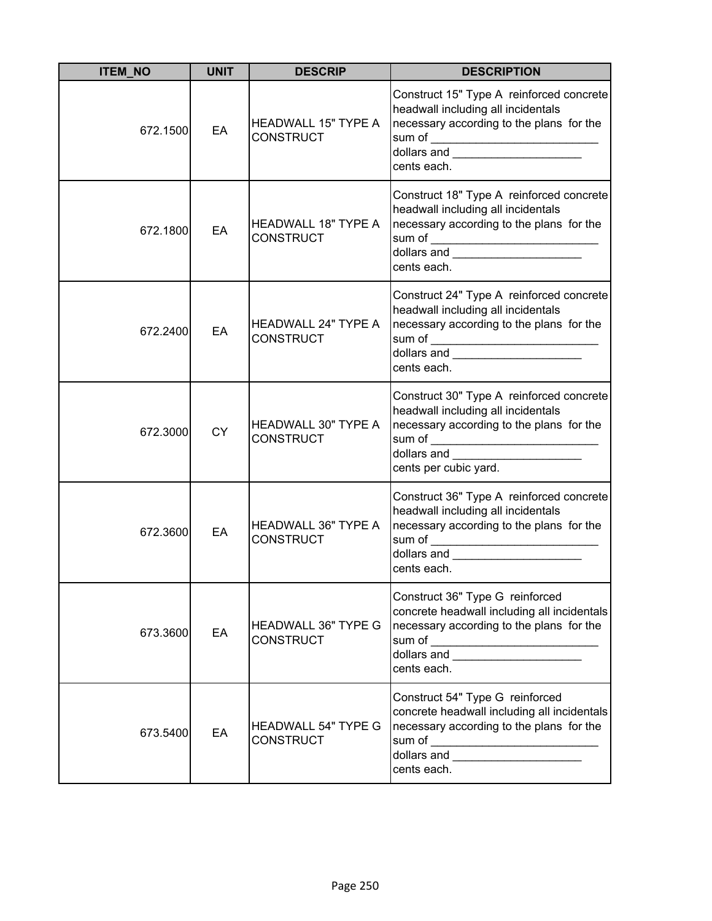| <b>ITEM_NO</b> | <b>UNIT</b> | <b>DESCRIP</b>                                 | <b>DESCRIPTION</b>                                                                                                                                                                                                                                                                                                                                                                |
|----------------|-------------|------------------------------------------------|-----------------------------------------------------------------------------------------------------------------------------------------------------------------------------------------------------------------------------------------------------------------------------------------------------------------------------------------------------------------------------------|
| 672.1500       | EA          | <b>HEADWALL 15" TYPE A</b><br><b>CONSTRUCT</b> | Construct 15" Type A reinforced concrete<br>headwall including all incidentals<br>necessary according to the plans for the<br>sum of ____________________________<br> dollars and _______________________<br>cents each.                                                                                                                                                          |
| 672.1800       | EA          | <b>HEADWALL 18" TYPE A</b><br><b>CONSTRUCT</b> | Construct 18" Type A reinforced concrete<br>headwall including all incidentals<br>necessary according to the plans for the<br>dollars and _______________________<br>cents each.                                                                                                                                                                                                  |
| 672.2400       | EA          | <b>HEADWALL 24" TYPE A</b><br><b>CONSTRUCT</b> | Construct 24" Type A reinforced concrete<br>headwall including all incidentals<br>necessary according to the plans for the<br>dollars and _______________________<br>cents each.                                                                                                                                                                                                  |
| 672.3000       | <b>CY</b>   | <b>HEADWALL 30" TYPE A</b><br><b>CONSTRUCT</b> | Construct 30" Type A reinforced concrete<br>headwall including all incidentals<br>necessary according to the plans for the<br>cents per cubic yard.                                                                                                                                                                                                                               |
| 672.3600       | EA          | <b>HEADWALL 36" TYPE A</b><br><b>CONSTRUCT</b> | Construct 36" Type A reinforced concrete<br>headwall including all incidentals<br>necessary according to the plans for the<br>dollars and <b>contract the contract of the contract of the contract of the contract of the contract of the contract of the contract of the contract of the contract of the contract of the contract of the contract of the cont</b><br>cents each. |
| 673.3600       | EA          | <b>HEADWALL 36" TYPE G</b><br><b>CONSTRUCT</b> | Construct 36" Type G reinforced<br>concrete headwall including all incidentals<br>necessary according to the plans for the<br>sum of ____________________________<br>dollars and _______________________<br>cents each.                                                                                                                                                           |
| 673.5400       | EA          | <b>HEADWALL 54" TYPE G</b><br><b>CONSTRUCT</b> | Construct 54" Type G reinforced<br>concrete headwall including all incidentals<br>necessary according to the plans for the<br>dollars and <b>with the contract of the contract of the contract of the contract of the contract of the contract of the contract of the contract of the contract of the contract of the contract of the contract of the contract</b><br>cents each. |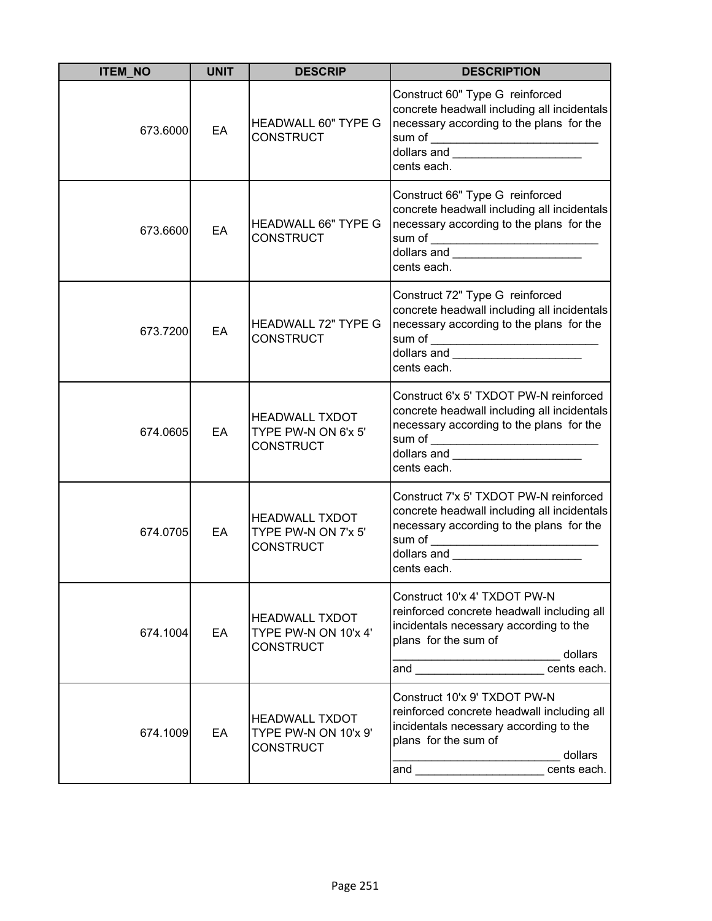| <b>ITEM_NO</b> | <b>UNIT</b> | <b>DESCRIP</b>                                                    | <b>DESCRIPTION</b>                                                                                                                                                                                                                                                                                                                                                                                                             |
|----------------|-------------|-------------------------------------------------------------------|--------------------------------------------------------------------------------------------------------------------------------------------------------------------------------------------------------------------------------------------------------------------------------------------------------------------------------------------------------------------------------------------------------------------------------|
| 673.6000       | EA          | <b>HEADWALL 60" TYPE G</b><br><b>CONSTRUCT</b>                    | Construct 60" Type G reinforced<br>concrete headwall including all incidentals<br>necessary according to the plans for the<br>cents each.                                                                                                                                                                                                                                                                                      |
| 673.6600       | EA          | <b>HEADWALL 66" TYPE G</b><br><b>CONSTRUCT</b>                    | Construct 66" Type G reinforced<br>concrete headwall including all incidentals<br>necessary according to the plans for the<br>dollars and _______________________<br>cents each.                                                                                                                                                                                                                                               |
| 673.7200       | EA          | <b>HEADWALL 72" TYPE G</b><br><b>CONSTRUCT</b>                    | Construct 72" Type G reinforced<br>concrete headwall including all incidentals<br>necessary according to the plans for the<br>dollars and ________________________<br>cents each.                                                                                                                                                                                                                                              |
| 674.0605       | EA          | <b>HEADWALL TXDOT</b><br>TYPE PW-N ON 6'x 5'<br><b>CONSTRUCT</b>  | Construct 6'x 5' TXDOT PW-N reinforced<br>concrete headwall including all incidentals<br>necessary according to the plans for the<br>sum of __________________________________<br>dollars and the control of the control of the control of the control of the control of the control of the control of the control of the control of the control of the control of the control of the control of the control of<br>cents each. |
| 674.0705       | EA          | <b>HEADWALL TXDOT</b><br>TYPE PW-N ON 7'x 5'<br><b>CONSTRUCT</b>  | Construct 7'x 5' TXDOT PW-N reinforced<br>concrete headwall including all incidentals<br>necessary according to the plans for the<br>dollars and ____________________<br>cents each.                                                                                                                                                                                                                                           |
| 674.1004       | EA          | <b>HEADWALL TXDOT</b><br>TYPE PW-N ON 10'x 4'<br><b>CONSTRUCT</b> | Construct 10'x 4' TXDOT PW-N<br>reinforced concrete headwall including all<br>incidentals necessary according to the<br>plans for the sum of<br>dollars<br>cents each.                                                                                                                                                                                                                                                         |
| 674.1009       | EA          | <b>HEADWALL TXDOT</b><br>TYPE PW-N ON 10'x 9'<br><b>CONSTRUCT</b> | Construct 10'x 9' TXDOT PW-N<br>reinforced concrete headwall including all<br>incidentals necessary according to the<br>plans for the sum of<br>dollars<br>and ________________________cents each.                                                                                                                                                                                                                             |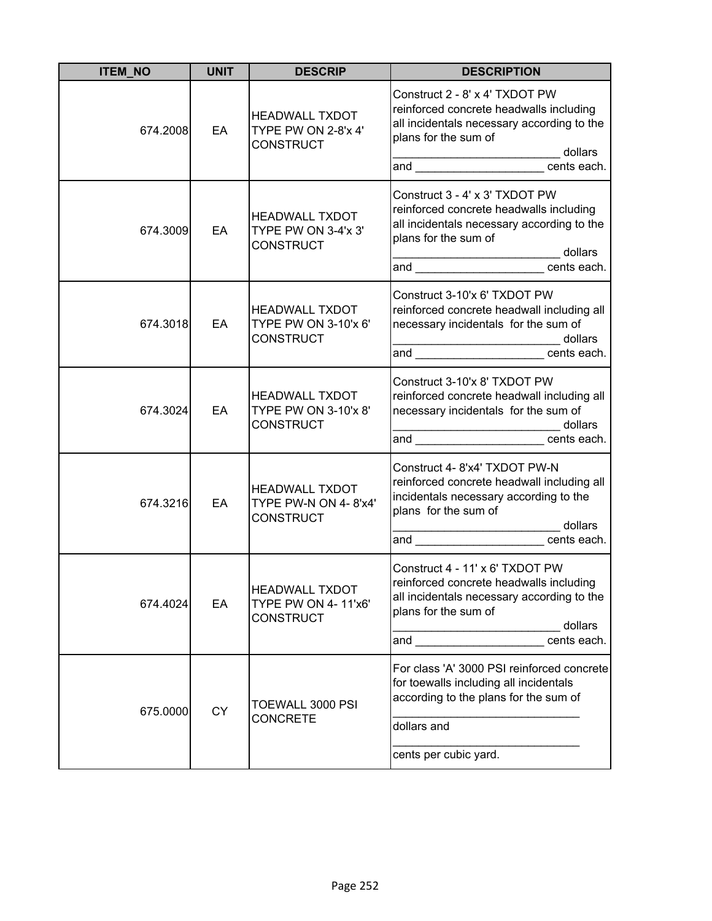| <b>ITEM_NO</b> | <b>UNIT</b> | <b>DESCRIP</b>                                                    | <b>DESCRIPTION</b>                                                                                                                                                                                                                   |
|----------------|-------------|-------------------------------------------------------------------|--------------------------------------------------------------------------------------------------------------------------------------------------------------------------------------------------------------------------------------|
| 674.2008       | EA          | <b>HEADWALL TXDOT</b><br>TYPE PW ON 2-8'x 4'<br><b>CONSTRUCT</b>  | Construct 2 - 8' x 4' TXDOT PW<br>reinforced concrete headwalls including<br>all incidentals necessary according to the<br>plans for the sum of<br>___________________________ dollars<br>and ___________________________cents each. |
| 674.3009       | EA          | <b>HEADWALL TXDOT</b><br>TYPE PW ON 3-4'x 3'<br><b>CONSTRUCT</b>  | Construct 3 - 4' x 3' TXDOT PW<br>reinforced concrete headwalls including<br>all incidentals necessary according to the<br>plans for the sum of<br>dollars dollars<br>and _______________________ cents each.                        |
| 674.3018       | EA          | <b>HEADWALL TXDOT</b><br>TYPE PW ON 3-10'x 6'<br><b>CONSTRUCT</b> | Construct 3-10'x 6' TXDOT PW<br>reinforced concrete headwall including all<br>necessary incidentals for the sum of<br>________________________________dollars<br>and _____________________________cents each.                        |
| 674.3024       | EA          | <b>HEADWALL TXDOT</b><br>TYPE PW ON 3-10'x 8'<br><b>CONSTRUCT</b> | Construct 3-10'x 8' TXDOT PW<br>reinforced concrete headwall including all<br>necessary incidentals for the sum of<br>dollars<br>and ____________________________cents each.                                                         |
| 674.3216       | EA          | <b>HEADWALL TXDOT</b><br>TYPE PW-N ON 4-8'x4'<br><b>CONSTRUCT</b> | Construct 4- 8'x4' TXDOT PW-N<br>reinforced concrete headwall including all<br>incidentals necessary according to the<br>plans for the sum of<br>_________________________________ dollars<br>and cents each.                        |
| 674.4024       | EA          | <b>HEADWALL TXDOT</b><br>TYPE PW ON 4-11'x6'<br>CONSTRUCT         | Construct 4 - 11' x 6' TXDOT PW<br>reinforced concrete headwalls including<br>all incidentals necessary according to the<br>plans for the sum of<br>dollars<br>cents each.<br>and ___________________                                |
| 675.0000       | <b>CY</b>   | TOEWALL 3000 PSI<br><b>CONCRETE</b>                               | For class 'A' 3000 PSI reinforced concrete<br>for toewalls including all incidentals<br>according to the plans for the sum of<br>dollars and<br>cents per cubic yard.                                                                |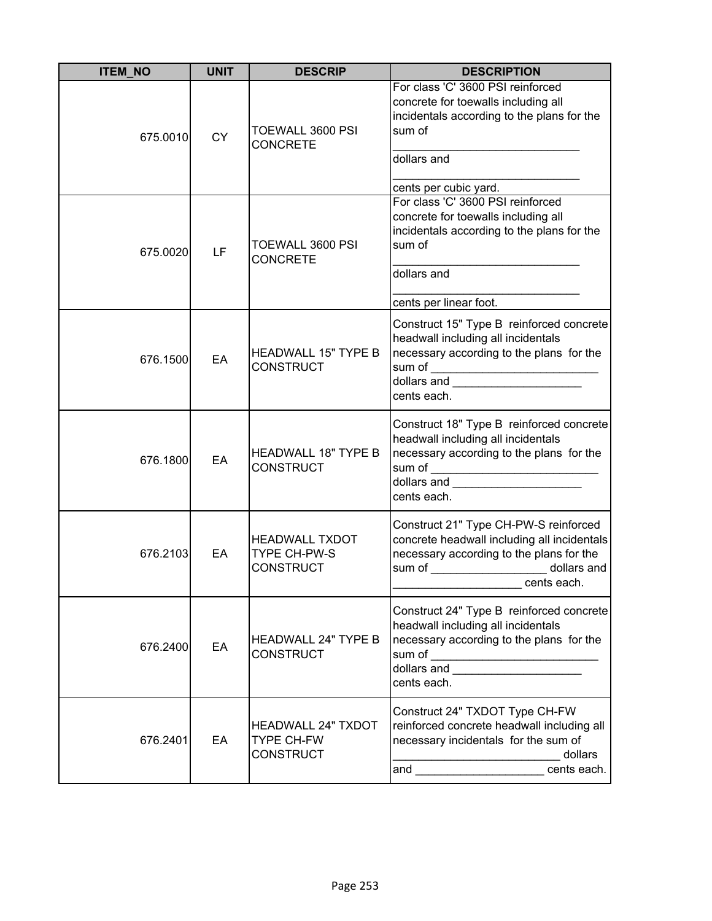| <b>ITEM_NO</b> | <b>UNIT</b> | <b>DESCRIP</b>                                                     | <b>DESCRIPTION</b>                                                                                                                                                                                                                                       |
|----------------|-------------|--------------------------------------------------------------------|----------------------------------------------------------------------------------------------------------------------------------------------------------------------------------------------------------------------------------------------------------|
| 675.0010       | <b>CY</b>   | TOEWALL 3600 PSI<br><b>CONCRETE</b>                                | For class 'C' 3600 PSI reinforced<br>concrete for toewalls including all<br>incidentals according to the plans for the<br>sum of<br>dollars and                                                                                                          |
| 675.0020       | LF          | TOEWALL 3600 PSI<br><b>CONCRETE</b>                                | cents per cubic yard.<br>For class 'C' 3600 PSI reinforced<br>concrete for toewalls including all<br>incidentals according to the plans for the<br>sum of<br>dollars and                                                                                 |
|                |             |                                                                    | cents per linear foot.                                                                                                                                                                                                                                   |
| 676.1500       | EA          | <b>HEADWALL 15" TYPE B</b><br><b>CONSTRUCT</b>                     | Construct 15" Type B reinforced concrete<br>headwall including all incidentals<br>necessary according to the plans for the<br>sum of _________________________________<br>dollars and <b>Contract Contract of the Contract of Table 1</b><br>cents each. |
| 676.1800       | EA          | <b>HEADWALL 18" TYPE B</b><br><b>CONSTRUCT</b>                     | Construct 18" Type B reinforced concrete<br>headwall including all incidentals<br>necessary according to the plans for the<br>dollars and<br>cents each.                                                                                                 |
| 676.2103       | EA          | <b>HEADWALL TXDOT</b><br>TYPE CH-PW-S<br><b>CONSTRUCT</b>          | Construct 21" Type CH-PW-S reinforced<br>concrete headwall including all incidentals<br>necessary according to the plans for the<br>sum of dollars and<br>cents each.                                                                                    |
| 676.2400       | EA          | <b>HEADWALL 24" TYPE B</b><br><b>CONSTRUCT</b>                     | Construct 24" Type B reinforced concrete<br>headwall including all incidentals<br>necessary according to the plans for the<br>sum of __________________________________<br>dollars and _______________________<br>cents each.                            |
| 676.2401       | EA          | <b>HEADWALL 24" TXDOT</b><br><b>TYPE CH-FW</b><br><b>CONSTRUCT</b> | Construct 24" TXDOT Type CH-FW<br>reinforced concrete headwall including all<br>necessary incidentals for the sum of<br>dollars<br>and cents each.                                                                                                       |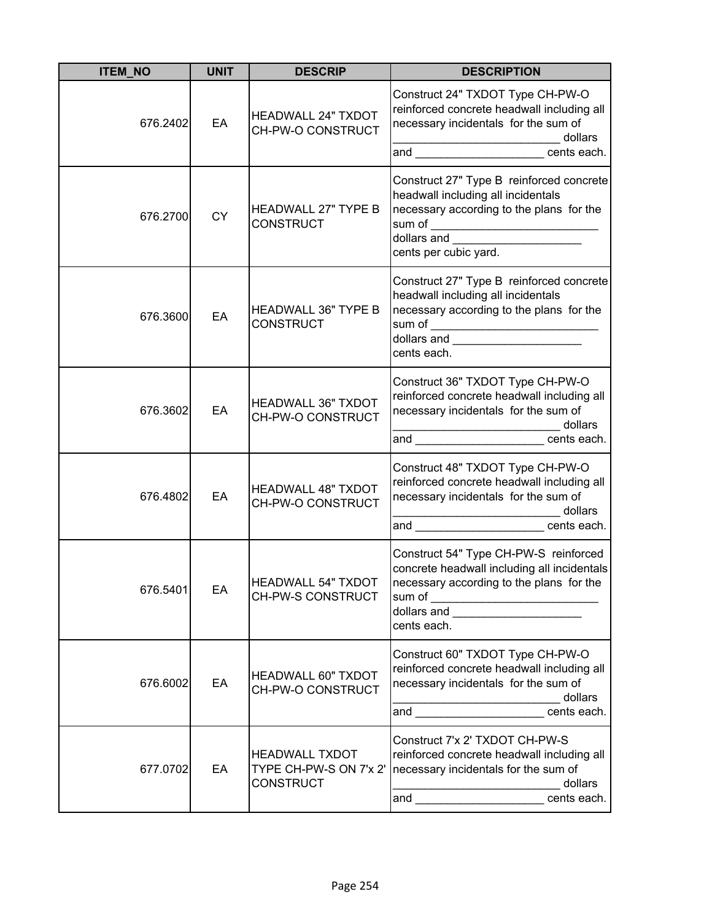| <b>ITEM_NO</b> | <b>UNIT</b> | <b>DESCRIP</b>                                                      | <b>DESCRIPTION</b>                                                                                                                                                                                                                                                                                                                                                                                                                                                                                                                                                                                                                                  |
|----------------|-------------|---------------------------------------------------------------------|-----------------------------------------------------------------------------------------------------------------------------------------------------------------------------------------------------------------------------------------------------------------------------------------------------------------------------------------------------------------------------------------------------------------------------------------------------------------------------------------------------------------------------------------------------------------------------------------------------------------------------------------------------|
| 676.2402       | EA          | <b>HEADWALL 24" TXDOT</b><br>CH-PW-O CONSTRUCT                      | Construct 24" TXDOT Type CH-PW-O<br>reinforced concrete headwall including all<br>necessary incidentals for the sum of<br>dollars<br> _________________________________dollars<br> and ___________________________cents each.                                                                                                                                                                                                                                                                                                                                                                                                                       |
| 676.2700       | <b>CY</b>   | <b>HEADWALL 27" TYPE B</b><br><b>CONSTRUCT</b>                      | Construct 27" Type B reinforced concrete<br>headwall including all incidentals<br>necessary according to the plans for the<br>dollars and _______________________<br>cents per cubic yard.                                                                                                                                                                                                                                                                                                                                                                                                                                                          |
| 676.3600       | EA          | <b>HEADWALL 36" TYPE B</b><br><b>CONSTRUCT</b>                      | Construct 27" Type B reinforced concrete<br>headwall including all incidentals<br>necessary according to the plans for the<br>sum of __________________________________<br>dollars and ________________________<br>cents each.                                                                                                                                                                                                                                                                                                                                                                                                                      |
| 676.3602       | EA          | <b>HEADWALL 36" TXDOT</b><br>CH-PW-O CONSTRUCT                      | Construct 36" TXDOT Type CH-PW-O<br>reinforced concrete headwall including all<br>necessary incidentals for the sum of<br>dollars<br>$\label{eq:3.1} \frac{1}{2} \left( \frac{1}{2} \left( \frac{1}{2} \right) \left( \frac{1}{2} \right) \left( \frac{1}{2} \right) \left( \frac{1}{2} \right) \left( \frac{1}{2} \right) \left( \frac{1}{2} \right) \left( \frac{1}{2} \right) \left( \frac{1}{2} \right) \left( \frac{1}{2} \right) \left( \frac{1}{2} \right) \left( \frac{1}{2} \right) \left( \frac{1}{2} \right) \left( \frac{1}{2} \right) \left( \frac{1}{2} \right) \left( \frac{1}{2} \right$<br>and ________________________cents each. |
| 676.4802       | EA          | <b>HEADWALL 48" TXDOT</b><br>CH-PW-O CONSTRUCT                      | Construct 48" TXDOT Type CH-PW-O<br>reinforced concrete headwall including all<br>necessary incidentals for the sum of<br>dollars<br><u> 2002 - Jan James James Jan James James James James James James James James James James James James James James</u><br>and cents each.                                                                                                                                                                                                                                                                                                                                                                      |
| 676.5401       | EA          | HEADWALL 54" TXDOT<br>CH-PW-S CONSTRUCT                             | Construct 54" Type CH-PW-S reinforced<br>concrete headwall including all incidentals<br>necessary according to the plans for the<br>sum of _________________________________<br>dollars and _______________________<br>cents each.                                                                                                                                                                                                                                                                                                                                                                                                                  |
| 676.6002       | EA          | <b>HEADWALL 60" TXDOT</b><br>CH-PW-O CONSTRUCT                      | Construct 60" TXDOT Type CH-PW-O<br>reinforced concrete headwall including all<br>necessary incidentals for the sum of<br>dollars<br>and cents each.                                                                                                                                                                                                                                                                                                                                                                                                                                                                                                |
| 677.0702       | EA          | <b>HEADWALL TXDOT</b><br>TYPE CH-PW-S ON 7'x 2'<br><b>CONSTRUCT</b> | Construct 7'x 2' TXDOT CH-PW-S<br>reinforced concrete headwall including all<br>necessary incidentals for the sum of<br>dollars<br>and cents each.                                                                                                                                                                                                                                                                                                                                                                                                                                                                                                  |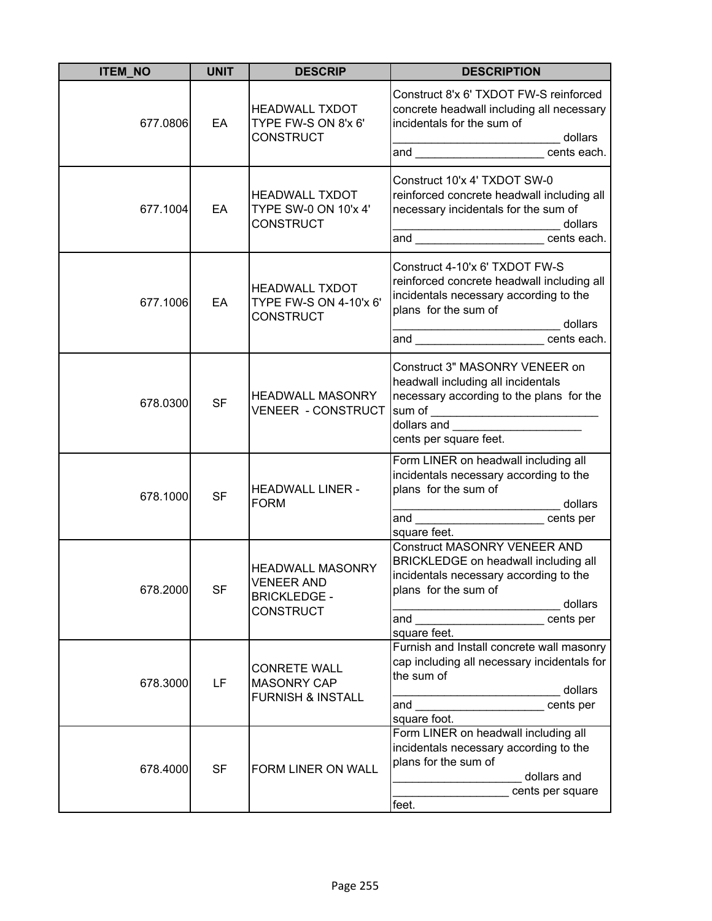| <b>ITEM_NO</b> | <b>UNIT</b> | <b>DESCRIP</b>                                                                          | <b>DESCRIPTION</b>                                                                                                                                                                                                            |
|----------------|-------------|-----------------------------------------------------------------------------------------|-------------------------------------------------------------------------------------------------------------------------------------------------------------------------------------------------------------------------------|
| 677.0806       | EA          | <b>HEADWALL TXDOT</b><br>TYPE FW-S ON 8'x 6'<br><b>CONSTRUCT</b>                        | Construct 8'x 6' TXDOT FW-S reinforced<br>concrete headwall including all necessary<br>incidentals for the sum of<br>dollars<br>and ______________________ cents each.                                                        |
| 677.1004       | EA          | <b>HEADWALL TXDOT</b><br>TYPE SW-0 ON 10'x 4'<br><b>CONSTRUCT</b>                       | Construct 10'x 4' TXDOT SW-0<br>reinforced concrete headwall including all<br>necessary incidentals for the sum of<br>_ dollars<br>and ______________________cents each.                                                      |
| 677.1006       | EA          | <b>HEADWALL TXDOT</b><br>TYPE FW-S ON 4-10'x 6'<br><b>CONSTRUCT</b>                     | Construct 4-10'x 6' TXDOT FW-S<br>reinforced concrete headwall including all<br>incidentals necessary according to the<br>plans for the sum of<br>_________________________ dollars<br>and ______________________ cents each. |
| 678.0300       | <b>SF</b>   | <b>HEADWALL MASONRY</b><br><b>VENEER - CONSTRUCT</b>                                    | Construct 3" MASONRY VENEER on<br>headwall including all incidentals<br>necessary according to the plans for the<br>sum of _____________________________<br> dollars and _______________________<br>cents per square feet.    |
| 678.1000       | <b>SF</b>   | <b>HEADWALL LINER -</b><br><b>FORM</b>                                                  | Form LINER on headwall including all<br>incidentals necessary according to the<br>plans for the sum of<br>__________________________ dollars<br>and _________________________cents per<br>square feet.                        |
| 678.2000       | <b>SF</b>   | <b>HEADWALL MASONRY</b><br><b>VENEER AND</b><br><b>BRICKLEDGE -</b><br><b>CONSTRUCT</b> | <b>Construct MASONRY VENEER AND</b><br>BRICKLEDGE on headwall including all<br>incidentals necessary according to the<br>plans for the sum of<br>dollars<br>and <u>expression and</u><br>cents per<br>square feet.            |
| 678.3000       | LF          | <b>CONRETE WALL</b><br><b>MASONRY CAP</b><br><b>FURNISH &amp; INSTALL</b>               | Furnish and Install concrete wall masonry<br>cap including all necessary incidentals for<br>the sum of<br>dollars<br>cents per<br>square foot.                                                                                |
| 678.4000       | <b>SF</b>   | FORM LINER ON WALL                                                                      | Form LINER on headwall including all<br>incidentals necessary according to the<br>plans for the sum of<br>dollars and<br>cents per square<br>feet.                                                                            |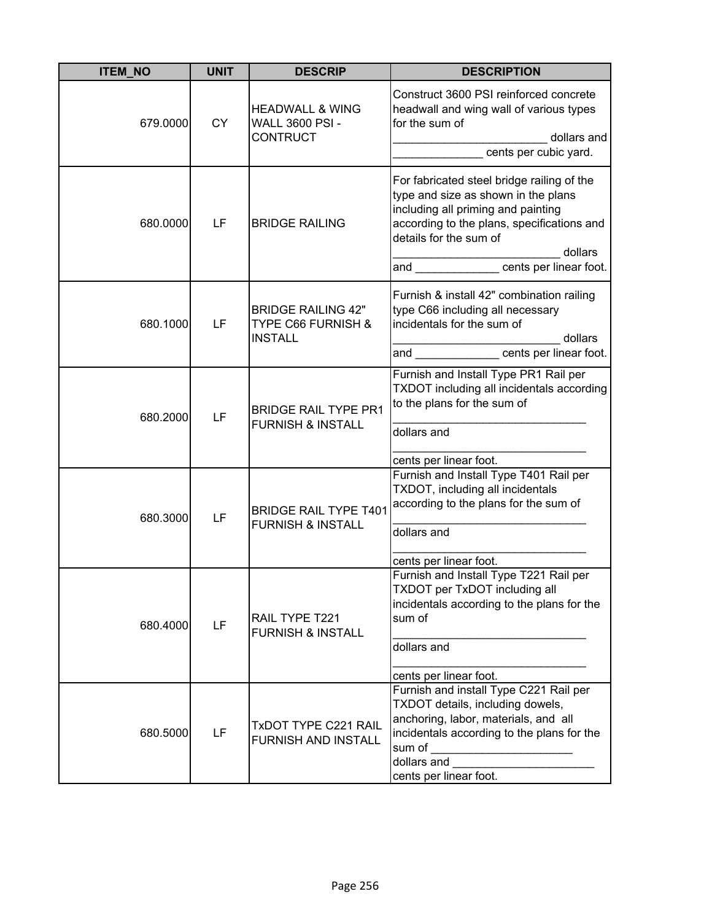| <b>ITEM_NO</b> | <b>UNIT</b> | <b>DESCRIP</b>                                                               | <b>DESCRIPTION</b>                                                                                                                                                                                                  |
|----------------|-------------|------------------------------------------------------------------------------|---------------------------------------------------------------------------------------------------------------------------------------------------------------------------------------------------------------------|
| 679.0000       | <b>CY</b>   | <b>HEADWALL &amp; WING</b><br><b>WALL 3600 PSI -</b><br><b>CONTRUCT</b>      | Construct 3600 PSI reinforced concrete<br>headwall and wing wall of various types<br>for the sum of<br>dollars and<br>cents per cubic yard.                                                                         |
| 680.0000       | LF          | <b>BRIDGE RAILING</b>                                                        | For fabricated steel bridge railing of the<br>type and size as shown in the plans<br>including all priming and painting<br>according to the plans, specifications and<br>details for the sum of<br>dollars          |
| 680.1000       | LF          | <b>BRIDGE RAILING 42"</b><br><b>TYPE C66 FURNISH &amp;</b><br><b>INSTALL</b> | Furnish & install 42" combination railing<br>type C66 including all necessary<br>incidentals for the sum of<br>dollars                                                                                              |
| 680.2000       | LF          | <b>BRIDGE RAIL TYPE PR1</b><br><b>FURNISH &amp; INSTALL</b>                  | Furnish and Install Type PR1 Rail per<br>TXDOT including all incidentals according<br>to the plans for the sum of<br>dollars and<br>cents per linear foot.                                                          |
| 680.3000       | LF          | <b>BRIDGE RAIL TYPE T401</b><br><b>FURNISH &amp; INSTALL</b>                 | Furnish and Install Type T401 Rail per<br>TXDOT, including all incidentals<br>according to the plans for the sum of<br>dollars and<br>cents per linear foot.                                                        |
| 680.4000       | LF          | RAIL TYPE T221<br><b>FURNISH &amp; INSTALL</b>                               | Furnish and Install Type T221 Rail per<br>TXDOT per TxDOT including all<br>incidentals according to the plans for the<br>sum of<br>dollars and<br>cents per linear foot.                                            |
| 680.5000       | LF          | <b>TxDOT TYPE C221 RAIL</b><br><b>FURNISH AND INSTALL</b>                    | Furnish and install Type C221 Rail per<br>TXDOT details, including dowels,<br>anchoring, labor, materials, and all<br>incidentals according to the plans for the<br>sum of<br>dollars and<br>cents per linear foot. |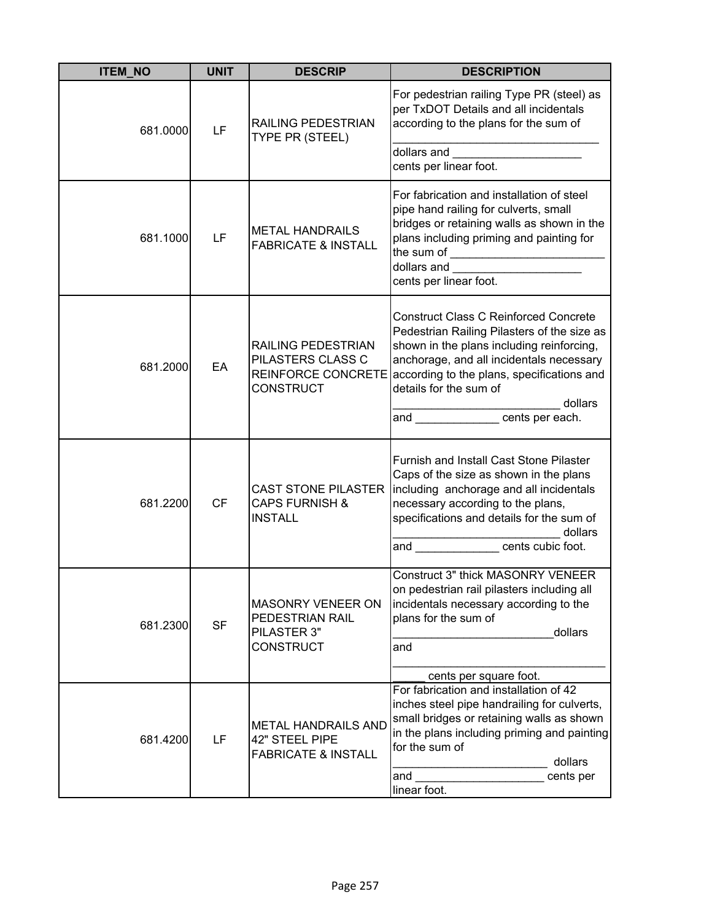| <b>ITEM_NO</b> | <b>UNIT</b> | <b>DESCRIP</b>                                                                           | <b>DESCRIPTION</b>                                                                                                                                                                                                                                                                                                                                                                                                                             |
|----------------|-------------|------------------------------------------------------------------------------------------|------------------------------------------------------------------------------------------------------------------------------------------------------------------------------------------------------------------------------------------------------------------------------------------------------------------------------------------------------------------------------------------------------------------------------------------------|
| 681.0000       | LF          | RAILING PEDESTRIAN<br>TYPE PR (STEEL)                                                    | For pedestrian railing Type PR (steel) as<br>per TxDOT Details and all incidentals<br>according to the plans for the sum of<br>dollars and ________________________<br>cents per linear foot.                                                                                                                                                                                                                                                  |
| 681.1000       | LF          | <b>METAL HANDRAILS</b><br><b>FABRICATE &amp; INSTALL</b>                                 | For fabrication and installation of steel<br>pipe hand railing for culverts, small<br>bridges or retaining walls as shown in the<br>plans including priming and painting for<br>dollars and <b>contract the contract of the contract of the contract of the contract of the contract of the contract of the contract of the contract of the contract of the contract of the contract of the contract of the cont</b><br>cents per linear foot. |
| 681.2000       | EA          | RAILING PEDESTRIAN<br>PILASTERS CLASS C<br><b>REINFORCE CONCRETE</b><br><b>CONSTRUCT</b> | <b>Construct Class C Reinforced Concrete</b><br>Pedestrian Railing Pilasters of the size as<br>shown in the plans including reinforcing,<br>anchorage, and all incidentals necessary<br>according to the plans, specifications and<br>details for the sum of<br>dollars<br>and _________________________________dollard                                                                                                                        |
| 681.2200       | <b>CF</b>   | <b>CAST STONE PILASTER</b><br><b>CAPS FURNISH &amp;</b><br><b>INSTALL</b>                | <b>Furnish and Install Cast Stone Pilaster</b><br>Caps of the size as shown in the plans<br>including anchorage and all incidentals<br>necessary according to the plans,<br>specifications and details for the sum of<br>dollars<br>dolla<br>and ___________________cents cubic foot.                                                                                                                                                          |
| 681.2300       | <b>SF</b>   | <b>MASONRY VENEER ON</b><br>PEDESTRIAN RAIL<br>PILASTER 3"<br><b>CONSTRUCT</b>           | Construct 3" thick MASONRY VENEER<br>on pedestrian rail pilasters including all<br>incidentals necessary according to the<br>plans for the sum of<br>dollars<br>and<br>cents per square foot.                                                                                                                                                                                                                                                  |
| 681.4200       | LF          | <b>METAL HANDRAILS AND</b><br>42" STEEL PIPE<br><b>FABRICATE &amp; INSTALL</b>           | For fabrication and installation of 42<br>inches steel pipe handrailing for culverts,<br>small bridges or retaining walls as shown<br>in the plans including priming and painting<br>for the sum of<br>dollars<br>and<br>cents per<br>linear foot.                                                                                                                                                                                             |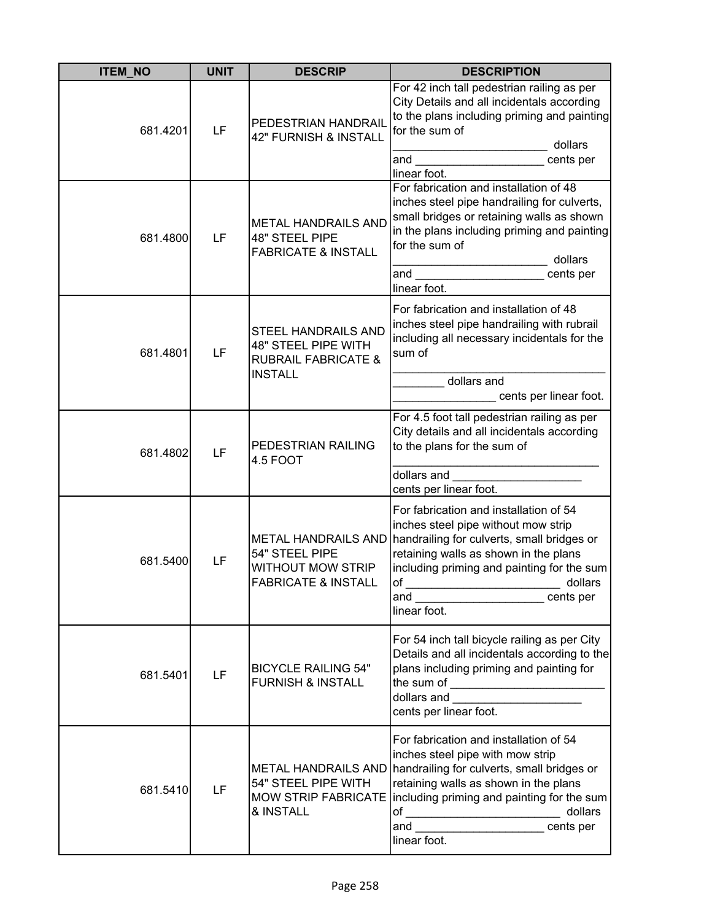| <b>ITEM NO</b> | <b>UNIT</b> | <b>DESCRIP</b>                                                                                        | <b>DESCRIPTION</b>                                                                                                                                                                                                                                                                                                                                                                                                                                                                                                            |
|----------------|-------------|-------------------------------------------------------------------------------------------------------|-------------------------------------------------------------------------------------------------------------------------------------------------------------------------------------------------------------------------------------------------------------------------------------------------------------------------------------------------------------------------------------------------------------------------------------------------------------------------------------------------------------------------------|
| 681.4201       | LF          | PEDESTRIAN HANDRAIL<br>42" FURNISH & INSTALL                                                          | For 42 inch tall pedestrian railing as per<br>City Details and all incidentals according<br>to the plans including priming and painting<br>for the sum of<br>dollars<br>and<br>cents per<br>linear foot.                                                                                                                                                                                                                                                                                                                      |
| 681.4800       | LF          | <b>METAL HANDRAILS AND</b><br><b>48" STEEL PIPE</b><br><b>FABRICATE &amp; INSTALL</b>                 | For fabrication and installation of 48<br>inches steel pipe handrailing for culverts,<br>small bridges or retaining walls as shown<br>in the plans including priming and painting<br>for the sum of<br>dollars<br>and<br>cents per<br>linear foot.                                                                                                                                                                                                                                                                            |
| 681.4801       | LF          | <b>STEEL HANDRAILS AND</b><br>48" STEEL PIPE WITH<br><b>RUBRAIL FABRICATE &amp;</b><br><b>INSTALL</b> | For fabrication and installation of 48<br>inches steel pipe handrailing with rubrail<br>including all necessary incidentals for the<br>sum of<br>dollars and<br>cents per linear foot.                                                                                                                                                                                                                                                                                                                                        |
| 681.4802       | LF          | PEDESTRIAN RAILING<br>4.5 FOOT                                                                        | For 4.5 foot tall pedestrian railing as per<br>City details and all incidentals according<br>to the plans for the sum of<br>dollars and                                                                                                                                                                                                                                                                                                                                                                                       |
| 681.5400       | LF          | <b>METAL HANDRAILS AND</b><br>54" STEEL PIPE<br>WITHOUT MOW STRIP<br><b>FABRICATE &amp; INSTALL</b>   | cents per linear foot.<br>For fabrication and installation of 54<br>inches steel pipe without mow strip<br>handrailing for culverts, small bridges or<br>retaining walls as shown in the plans<br>including priming and painting for the sum<br>lof<br>dollars<br>and the contract of the contract of the contract of the contract of the contract of the contract of the contract of the contract of the contract of the contract of the contract of the contract of the contract of the contra<br>cents per<br>linear foot. |
| 681.5401       | LF          | <b>BICYCLE RAILING 54"</b><br><b>FURNISH &amp; INSTALL</b>                                            | For 54 inch tall bicycle railing as per City<br>Details and all incidentals according to the<br>plans including priming and painting for<br>dollars and ____________________<br>cents per linear foot.                                                                                                                                                                                                                                                                                                                        |
| 681.5410       | LF          | <b>METAL HANDRAILS AND</b><br>54" STEEL PIPE WITH<br><b>MOW STRIP FABRICATE</b><br>& INSTALL          | For fabrication and installation of 54<br>inches steel pipe with mow strip<br>handrailing for culverts, small bridges or<br>retaining walls as shown in the plans<br>including priming and painting for the sum<br>of ___________________________________ dollars<br>and cents per<br>linear foot.                                                                                                                                                                                                                            |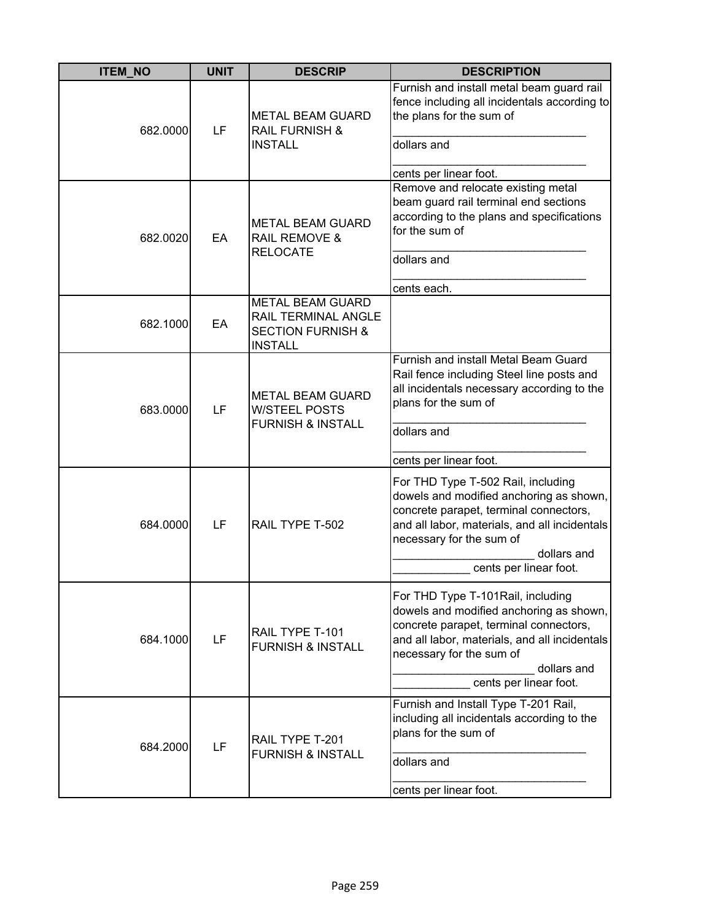| <b>ITEM_NO</b> | <b>UNIT</b> | <b>DESCRIP</b>                                                                                   | <b>DESCRIPTION</b>                                                                                                                                                                                                                            |
|----------------|-------------|--------------------------------------------------------------------------------------------------|-----------------------------------------------------------------------------------------------------------------------------------------------------------------------------------------------------------------------------------------------|
| 682.0000       | LF          | <b>METAL BEAM GUARD</b><br><b>RAIL FURNISH &amp;</b><br><b>INSTALL</b>                           | Furnish and install metal beam guard rail<br>fence including all incidentals according to<br>the plans for the sum of<br>dollars and<br>cents per linear foot.                                                                                |
| 682.0020       | EA          | <b>METAL BEAM GUARD</b><br><b>RAIL REMOVE &amp;</b><br><b>RELOCATE</b>                           | Remove and relocate existing metal<br>beam guard rail terminal end sections<br>according to the plans and specifications<br>for the sum of<br>dollars and<br>cents each.                                                                      |
| 682.1000       | EA          | <b>METAL BEAM GUARD</b><br>RAIL TERMINAL ANGLE<br><b>SECTION FURNISH &amp;</b><br><b>INSTALL</b> |                                                                                                                                                                                                                                               |
| 683.0000       | LF          | <b>METAL BEAM GUARD</b><br><b>W/STEEL POSTS</b><br><b>FURNISH &amp; INSTALL</b>                  | Furnish and install Metal Beam Guard<br>Rail fence including Steel line posts and<br>all incidentals necessary according to the<br>plans for the sum of<br>dollars and<br>cents per linear foot.                                              |
| 684.0000       | LF          | RAIL TYPE T-502                                                                                  | For THD Type T-502 Rail, including<br>dowels and modified anchoring as shown,<br>concrete parapet, terminal connectors,<br>and all labor, materials, and all incidentals<br>necessary for the sum of<br>dollars and<br>cents per linear foot. |
| 684.1000       | LF          | RAIL TYPE T-101<br><b>FURNISH &amp; INSTALL</b>                                                  | For THD Type T-101Rail, including<br>dowels and modified anchoring as shown,<br>concrete parapet, terminal connectors,<br>and all labor, materials, and all incidentals<br>necessary for the sum of<br>dollars and<br>cents per linear foot.  |
| 684.2000       | LF          | RAIL TYPE T-201<br><b>FURNISH &amp; INSTALL</b>                                                  | Furnish and Install Type T-201 Rail,<br>including all incidentals according to the<br>plans for the sum of<br>dollars and<br>cents per linear foot.                                                                                           |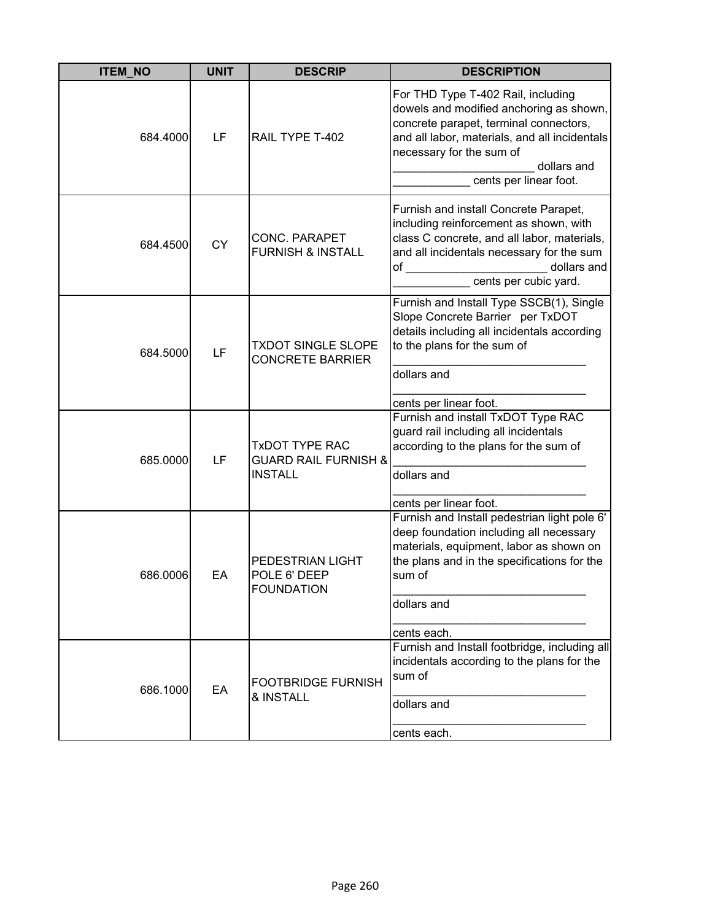| <b>ITEM NO</b> | <b>UNIT</b> | <b>DESCRIP</b>                                                             | <b>DESCRIPTION</b>                                                                                                                                                                                                                            |
|----------------|-------------|----------------------------------------------------------------------------|-----------------------------------------------------------------------------------------------------------------------------------------------------------------------------------------------------------------------------------------------|
| 684.4000       | LF          | RAIL TYPE T-402                                                            | For THD Type T-402 Rail, including<br>dowels and modified anchoring as shown,<br>concrete parapet, terminal connectors,<br>and all labor, materials, and all incidentals<br>necessary for the sum of<br>dollars and<br>cents per linear foot. |
| 684.4500       | <b>CY</b>   | <b>CONC. PARAPET</b><br><b>FURNISH &amp; INSTALL</b>                       | Furnish and install Concrete Parapet,<br>including reinforcement as shown, with<br>class C concrete, and all labor, materials,<br>and all incidentals necessary for the sum<br>dollars and<br>of<br>cents per cubic yard.                     |
| 684.5000       | LF          | <b>TXDOT SINGLE SLOPE</b><br><b>CONCRETE BARRIER</b>                       | Furnish and Install Type SSCB(1), Single<br>Slope Concrete Barrier per TxDOT<br>details including all incidentals according<br>to the plans for the sum of<br>dollars and<br>cents per linear foot.                                           |
| 685.0000       | LF          | <b>TXDOT TYPE RAC</b><br><b>GUARD RAIL FURNISH &amp;</b><br><b>INSTALL</b> | Furnish and install TxDOT Type RAC<br>guard rail including all incidentals<br>according to the plans for the sum of<br>dollars and<br>cents per linear foot.                                                                                  |
| 686.0006       | EA          | PEDESTRIAN LIGHT<br>POLE 6' DEEP<br><b>FOUNDATION</b>                      | Furnish and Install pedestrian light pole 6'<br>deep foundation including all necessary<br>materials, equipment, labor as shown on<br>the plans and in the specifications for the<br>sum of<br>dollars and<br>cents each.                     |
| 686.1000       | EA          | <b>FOOTBRIDGE FURNISH</b><br>& INSTALL                                     | Furnish and Install footbridge, including all<br>incidentals according to the plans for the<br>sum of<br>dollars and<br>cents each.                                                                                                           |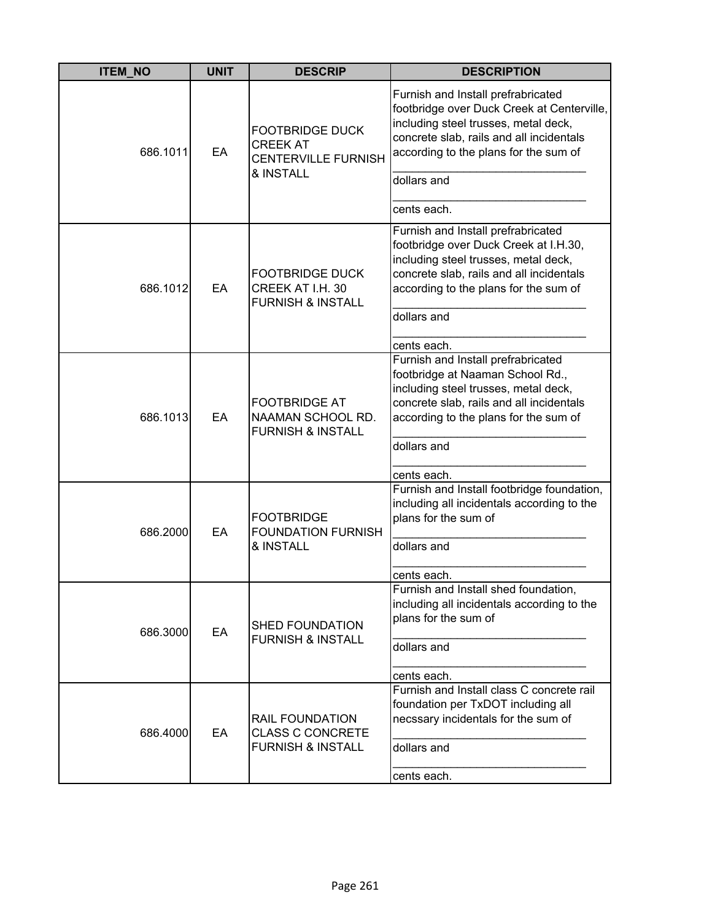| <b>ITEM_NO</b> | <b>UNIT</b> | <b>DESCRIP</b>                                                                       | <b>DESCRIPTION</b>                                                                                                                                                                                                           |
|----------------|-------------|--------------------------------------------------------------------------------------|------------------------------------------------------------------------------------------------------------------------------------------------------------------------------------------------------------------------------|
| 686.1011       | EA          | <b>FOOTBRIDGE DUCK</b><br><b>CREEK AT</b><br><b>CENTERVILLE FURNISH</b><br>& INSTALL | Furnish and Install prefrabricated<br>footbridge over Duck Creek at Centerville,<br>including steel trusses, metal deck,<br>concrete slab, rails and all incidentals<br>according to the plans for the sum of<br>dollars and |
|                |             |                                                                                      | cents each.                                                                                                                                                                                                                  |
| 686.1012       | EA          | <b>FOOTBRIDGE DUCK</b><br>CREEK AT I.H. 30<br><b>FURNISH &amp; INSTALL</b>           | Furnish and Install prefrabricated<br>footbridge over Duck Creek at I.H.30,<br>including steel trusses, metal deck,<br>concrete slab, rails and all incidentals<br>according to the plans for the sum of<br>dollars and      |
|                |             |                                                                                      | cents each.<br>Furnish and Install prefrabricated                                                                                                                                                                            |
| 686.1013       | EA          | <b>FOOTBRIDGE AT</b><br>NAAMAN SCHOOL RD.<br><b>FURNISH &amp; INSTALL</b>            | footbridge at Naaman School Rd.,<br>including steel trusses, metal deck,<br>concrete slab, rails and all incidentals<br>according to the plans for the sum of<br>dollars and<br>cents each.                                  |
|                |             |                                                                                      | Furnish and Install footbridge foundation,                                                                                                                                                                                   |
| 686.2000       | EA          | <b>FOOTBRIDGE</b><br><b>FOUNDATION FURNISH</b><br>& INSTALL                          | including all incidentals according to the<br>plans for the sum of<br>dollars and                                                                                                                                            |
|                |             |                                                                                      |                                                                                                                                                                                                                              |
| 686.3000       | EA          | <b>SHED FOUNDATION</b><br><b>FURNISH &amp; INSTALL</b>                               | cents each.<br>Furnish and Install shed foundation,<br>including all incidentals according to the<br>plans for the sum of<br>dollars and<br>cents each.                                                                      |
| 686.4000       | EA          | <b>RAIL FOUNDATION</b><br><b>CLASS C CONCRETE</b><br><b>FURNISH &amp; INSTALL</b>    | Furnish and Install class C concrete rail<br>foundation per TxDOT including all<br>necssary incidentals for the sum of<br>dollars and<br>cents each.                                                                         |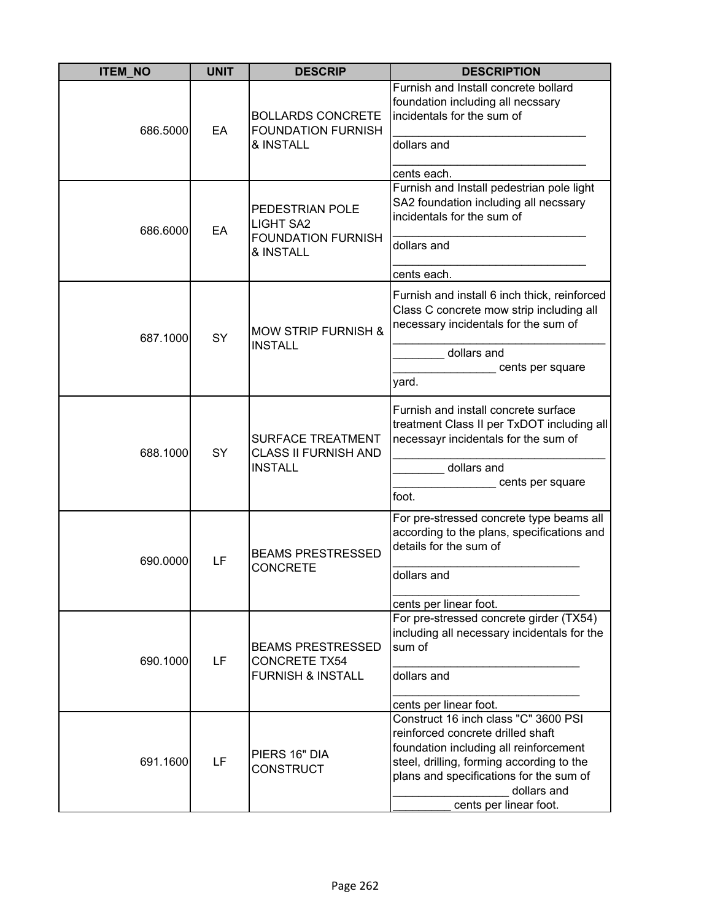| <b>ITEM NO</b> | <b>UNIT</b> | <b>DESCRIP</b>                                                                   | <b>DESCRIPTION</b>                                                                                                                                                                                                                                   |
|----------------|-------------|----------------------------------------------------------------------------------|------------------------------------------------------------------------------------------------------------------------------------------------------------------------------------------------------------------------------------------------------|
| 686.5000       | EA          | <b>BOLLARDS CONCRETE</b><br><b>FOUNDATION FURNISH</b><br>& INSTALL               | Furnish and Install concrete bollard<br>foundation including all necssary<br>incidentals for the sum of<br>dollars and<br>cents each.                                                                                                                |
| 686.6000       | EA          | PEDESTRIAN POLE<br><b>LIGHT SA2</b><br><b>FOUNDATION FURNISH</b><br>& INSTALL    | Furnish and Install pedestrian pole light<br>SA2 foundation including all necssary<br>incidentals for the sum of<br>dollars and<br>cents each.                                                                                                       |
| 687.1000       | SY          | <b>MOW STRIP FURNISH &amp;</b><br><b>INSTALL</b>                                 | Furnish and install 6 inch thick, reinforced<br>Class C concrete mow strip including all<br>necessary incidentals for the sum of<br>dollars and<br>cents per square<br>yard.                                                                         |
| 688.1000       | SY          | <b>SURFACE TREATMENT</b><br><b>CLASS II FURNISH AND</b><br><b>INSTALL</b>        | Furnish and install concrete surface<br>treatment Class II per TxDOT including all<br>necessayr incidentals for the sum of<br>dollars and<br>cents per square<br>foot.                                                                               |
| 690.0000       | LF          | <b>BEAMS PRESTRESSED</b><br><b>CONCRETE</b>                                      | For pre-stressed concrete type beams all<br>according to the plans, specifications and<br>details for the sum of<br>dollars and<br>cents per linear foot.                                                                                            |
| 690.1000       | LF          | <b>BEAMS PRESTRESSED</b><br><b>CONCRETE TX54</b><br><b>FURNISH &amp; INSTALL</b> | For pre-stressed concrete girder (TX54)<br>including all necessary incidentals for the<br>sum of<br>dollars and<br>cents per linear foot.                                                                                                            |
| 691.1600       | LF          | PIERS 16" DIA<br><b>CONSTRUCT</b>                                                | Construct 16 inch class "C" 3600 PSI<br>reinforced concrete drilled shaft<br>foundation including all reinforcement<br>steel, drilling, forming according to the<br>plans and specifications for the sum of<br>dollars and<br>cents per linear foot. |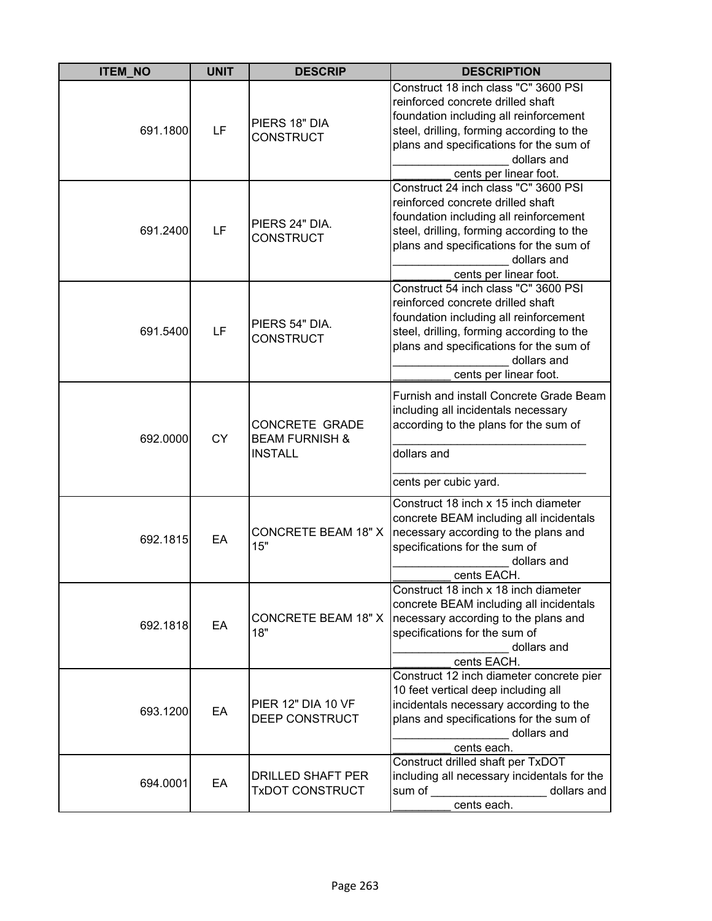| <b>ITEM_NO</b> | <b>UNIT</b> | <b>DESCRIP</b>                                                       | <b>DESCRIPTION</b>                                                                                                                                                                                                                                   |
|----------------|-------------|----------------------------------------------------------------------|------------------------------------------------------------------------------------------------------------------------------------------------------------------------------------------------------------------------------------------------------|
| 691.1800       | LF          | PIERS 18" DIA<br><b>CONSTRUCT</b>                                    | Construct 18 inch class "C" 3600 PSI<br>reinforced concrete drilled shaft<br>foundation including all reinforcement<br>steel, drilling, forming according to the<br>plans and specifications for the sum of<br>dollars and<br>cents per linear foot. |
| 691.2400       | LF          | PIERS 24" DIA.<br><b>CONSTRUCT</b>                                   | Construct 24 inch class "C" 3600 PSI<br>reinforced concrete drilled shaft<br>foundation including all reinforcement<br>steel, drilling, forming according to the<br>plans and specifications for the sum of<br>dollars and<br>cents per linear foot. |
| 691.5400       | LF          | PIERS 54" DIA.<br><b>CONSTRUCT</b>                                   | Construct 54 inch class "C" 3600 PSI<br>reinforced concrete drilled shaft<br>foundation including all reinforcement<br>steel, drilling, forming according to the<br>plans and specifications for the sum of<br>dollars and<br>cents per linear foot. |
| 692.0000       | <b>CY</b>   | <b>CONCRETE GRADE</b><br><b>BEAM FURNISH &amp;</b><br><b>INSTALL</b> | Furnish and install Concrete Grade Beam<br>including all incidentals necessary<br>according to the plans for the sum of<br>dollars and<br>cents per cubic yard.                                                                                      |
| 692.1815       | EA          | <b>CONCRETE BEAM 18" X</b><br>15"                                    | Construct 18 inch x 15 inch diameter<br>concrete BEAM including all incidentals<br>necessary according to the plans and<br>specifications for the sum of<br>dollars and<br>cents EACH.                                                               |
| 692.1818       | EA          | <b>CONCRETE BEAM 18" X</b><br>18"                                    | Construct 18 inch x 18 inch diameter<br>concrete BEAM including all incidentals<br>necessary according to the plans and<br>specifications for the sum of<br>dollars and<br>cents EACH.                                                               |
| 693.1200       | EA          | PIER 12" DIA 10 VF<br>DEEP CONSTRUCT                                 | Construct 12 inch diameter concrete pier<br>10 feet vertical deep including all<br>incidentals necessary according to the<br>plans and specifications for the sum of<br>dollars and<br>cents each.                                                   |
| 694.0001       | EA          | DRILLED SHAFT PER<br>TxDOT CONSTRUCT                                 | Construct drilled shaft per TxDOT<br>including all necessary incidentals for the<br>sum of<br>dollars and<br>cents each.                                                                                                                             |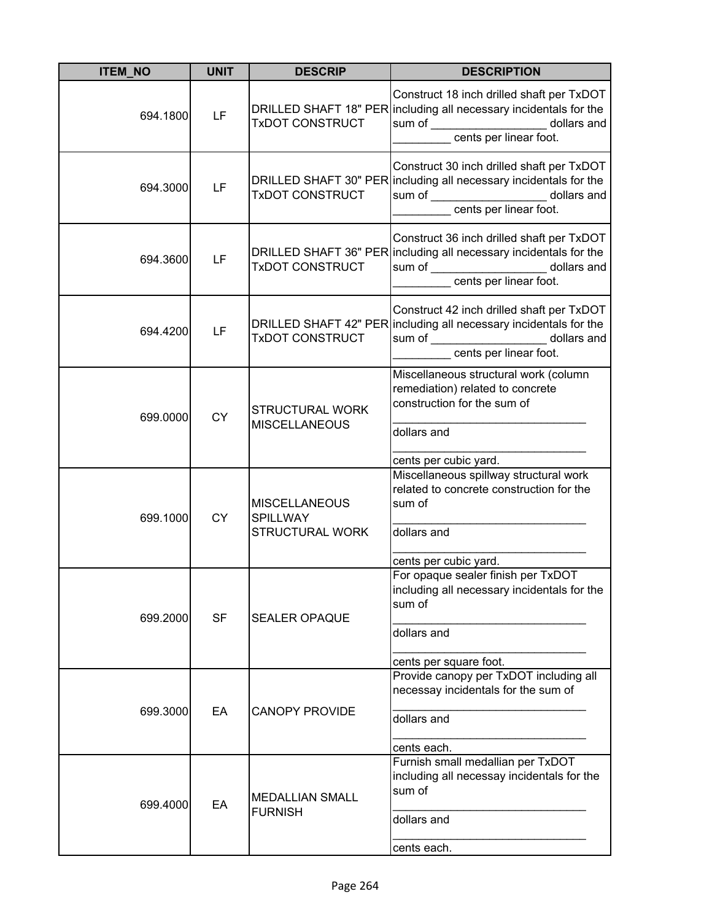| <b>ITEM_NO</b> | <b>UNIT</b> | <b>DESCRIP</b>                                         | <b>DESCRIPTION</b>                                                                                                                                                                                |
|----------------|-------------|--------------------------------------------------------|---------------------------------------------------------------------------------------------------------------------------------------------------------------------------------------------------|
| 694.1800       | <b>LF</b>   | <b>TxDOT CONSTRUCT</b>                                 | Construct 18 inch drilled shaft per TxDOT<br>DRILLED SHAFT 18" PER including all necessary incidentals for the<br>sum of _____________________ dollars and<br>____________ cents per linear foot. |
| 694.3000       | LF          | <b>TxDOT CONSTRUCT</b>                                 | Construct 30 inch drilled shaft per TxDOT<br>DRILLED SHAFT 30" PER including all necessary incidentals for the<br>sum of ______________________ dollars and<br>cents per linear foot.             |
| 694.3600       | LF          | <b>DRILLED SHAFT 36" PER</b><br><b>TxDOT CONSTRUCT</b> | Construct 36 inch drilled shaft per TxDOT<br>including all necessary incidentals for the<br>sum of _____________________ dollars and<br>cents per linear foot.                                    |
| 694.4200       | LF          | <b>TxDOT CONSTRUCT</b>                                 | Construct 42 inch drilled shaft per TxDOT<br>DRILLED SHAFT 42" PER including all necessary incidentals for the<br>sum of ______________________ dollars and<br>cents per linear foot.             |
| 699.0000       | <b>CY</b>   | <b>STRUCTURAL WORK</b><br><b>MISCELLANEOUS</b>         | Miscellaneous structural work (column<br>remediation) related to concrete<br>construction for the sum of<br>dollars and                                                                           |
|                |             |                                                        | cents per cubic yard.                                                                                                                                                                             |
| 699.1000       | <b>CY</b>   | <b>MISCELLANEOUS</b><br><b>SPILLWAY</b>                | Miscellaneous spillway structural work<br>related to concrete construction for the<br>sum of                                                                                                      |
|                |             | STRUCTURAL WORK                                        | dollars and                                                                                                                                                                                       |
| 699.2000       | <b>SF</b>   | SEALER OPAQUE                                          | cents per cubic yard.<br>For opaque sealer finish per TxDOT<br>including all necessary incidentals for the<br>sum of<br>dollars and                                                               |
|                |             |                                                        | cents per square foot.                                                                                                                                                                            |
|                |             |                                                        | Provide canopy per TxDOT including all<br>necessay incidentals for the sum of                                                                                                                     |
| 699.3000       | EA          | <b>CANOPY PROVIDE</b>                                  | dollars and                                                                                                                                                                                       |
|                |             |                                                        | cents each.                                                                                                                                                                                       |
| 699.4000       | EA          | <b>MEDALLIAN SMALL</b><br><b>FURNISH</b>               | Furnish small medallian per TxDOT<br>including all necessay incidentals for the<br>sum of                                                                                                         |
|                |             |                                                        | dollars and                                                                                                                                                                                       |
|                |             |                                                        | cents each.                                                                                                                                                                                       |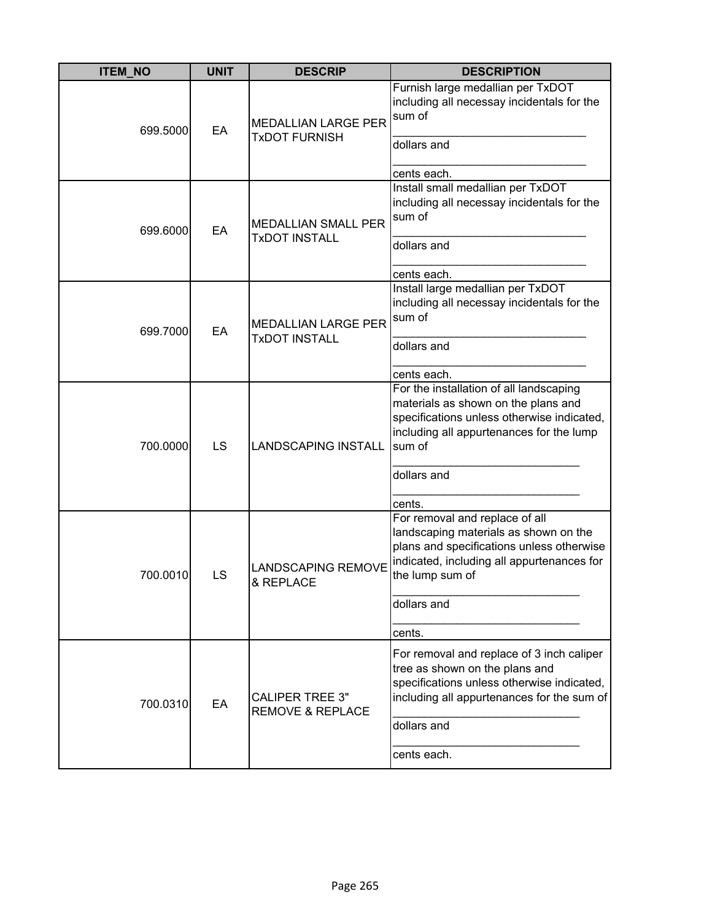| <b>ITEM_NO</b> | <b>UNIT</b> | <b>DESCRIP</b>                                        | <b>DESCRIPTION</b>                                                                                                                                                                                                       |
|----------------|-------------|-------------------------------------------------------|--------------------------------------------------------------------------------------------------------------------------------------------------------------------------------------------------------------------------|
| 699.5000       | EA          | <b>MEDALLIAN LARGE PER</b><br><b>TxDOT FURNISH</b>    | Furnish large medallian per TxDOT<br>including all necessay incidentals for the<br>sum of<br>dollars and                                                                                                                 |
| 699.6000       | EA          | <b>MEDALLIAN SMALL PER</b><br><b>TxDOT INSTALL</b>    | cents each.<br>Install small medallian per TxDOT<br>including all necessay incidentals for the<br>sum of<br>dollars and<br>cents each.                                                                                   |
| 699.7000       | EA          | <b>MEDALLIAN LARGE PER</b><br><b>TxDOT INSTALL</b>    | Install large medallian per TxDOT<br>including all necessay incidentals for the<br>sum of<br>dollars and<br>cents each.                                                                                                  |
| 700.0000       | LS          | <b>LANDSCAPING INSTALL</b>                            | For the installation of all landscaping<br>materials as shown on the plans and<br>specifications unless otherwise indicated,<br>including all appurtenances for the lump<br>sum of<br>dollars and                        |
| 700.0010       | LS          | <b>LANDSCAPING REMOVE</b><br>& REPLACE                | cents.<br>For removal and replace of all<br>landscaping materials as shown on the<br>plans and specifications unless otherwise<br>indicated, including all appurtenances for<br>the lump sum of<br>dollars and<br>cents. |
| 700.0310       | EA          | <b>CALIPER TREE 3"</b><br><b>REMOVE &amp; REPLACE</b> | For removal and replace of 3 inch caliper<br>tree as shown on the plans and<br>specifications unless otherwise indicated,<br>including all appurtenances for the sum of<br>dollars and<br>cents each.                    |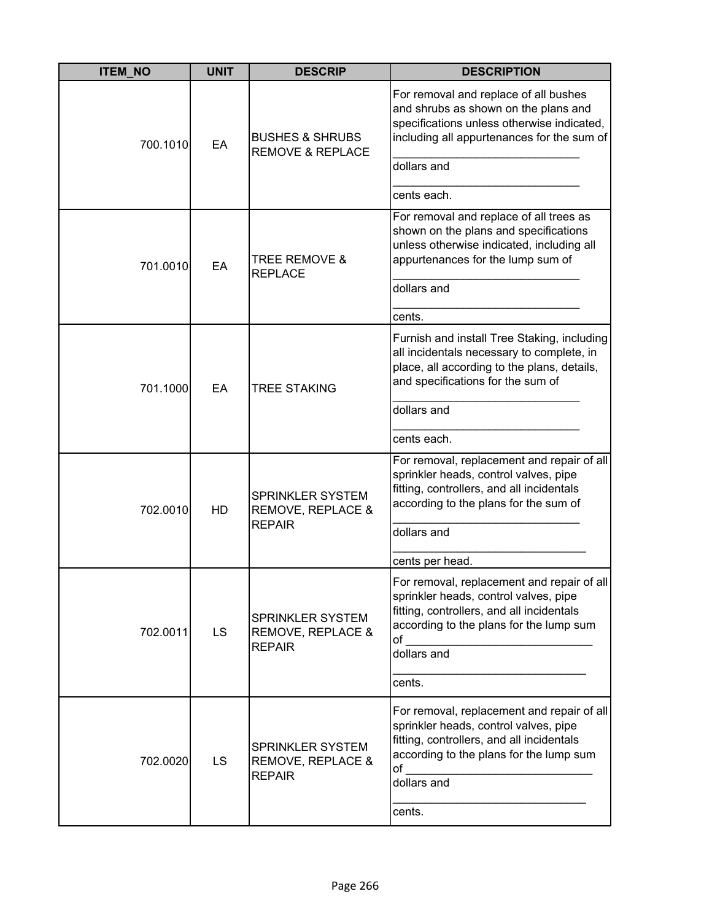| <b>ITEM_NO</b> | <b>UNIT</b> | <b>DESCRIP</b>                                                | <b>DESCRIPTION</b>                                                                                                                                                                                          |
|----------------|-------------|---------------------------------------------------------------|-------------------------------------------------------------------------------------------------------------------------------------------------------------------------------------------------------------|
| 700.1010       | EA          | <b>BUSHES &amp; SHRUBS</b><br><b>REMOVE &amp; REPLACE</b>     | For removal and replace of all bushes<br>and shrubs as shown on the plans and<br>specifications unless otherwise indicated,<br>including all appurtenances for the sum of<br>dollars and<br>cents each.     |
| 701.0010       | EA          | TREE REMOVE &<br><b>REPLACE</b>                               | For removal and replace of all trees as<br>shown on the plans and specifications<br>unless otherwise indicated, including all<br>appurtenances for the lump sum of<br>dollars and<br>cents.                 |
| 701.1000       | EA          | <b>TREE STAKING</b>                                           | Furnish and install Tree Staking, including<br>all incidentals necessary to complete, in<br>place, all according to the plans, details,<br>and specifications for the sum of<br>dollars and<br>cents each.  |
| 702.0010       | HD          | SPRINKLER SYSTEM<br>REMOVE, REPLACE &<br><b>REPAIR</b>        | For removal, replacement and repair of all<br>sprinkler heads, control valves, pipe<br>fitting, controllers, and all incidentals<br>according to the plans for the sum of<br>dollars and<br>cents per head. |
| 702.0011       | <b>LS</b>   | <b>SPRINKLER SYSTEM</b><br>REMOVE, REPLACE &<br><b>REPAIR</b> | For removal, replacement and repair of all<br>sprinkler heads, control valves, pipe<br>fitting, controllers, and all incidentals<br>according to the plans for the lump sum<br>of<br>dollars and<br>cents.  |
| 702.0020       | <b>LS</b>   | <b>SPRINKLER SYSTEM</b><br>REMOVE, REPLACE &<br><b>REPAIR</b> | For removal, replacement and repair of all<br>sprinkler heads, control valves, pipe<br>fitting, controllers, and all incidentals<br>according to the plans for the lump sum<br>of<br>dollars and<br>cents.  |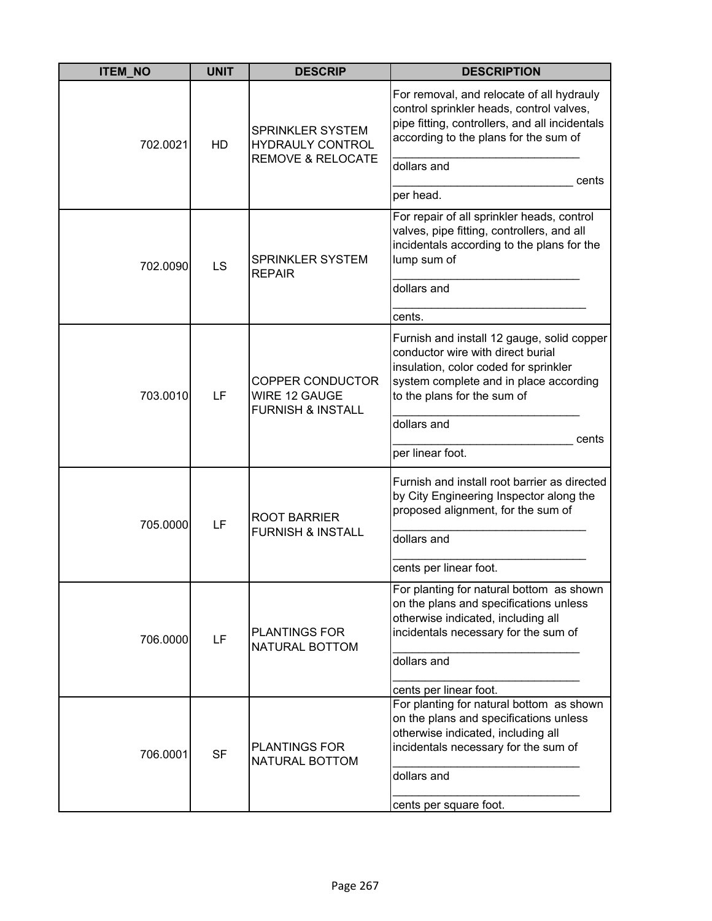| <b>ITEM NO</b> | <b>UNIT</b> | <b>DESCRIP</b>                                                              | <b>DESCRIPTION</b>                                                                                                                                                                                               |
|----------------|-------------|-----------------------------------------------------------------------------|------------------------------------------------------------------------------------------------------------------------------------------------------------------------------------------------------------------|
| 702.0021       | HD          | SPRINKLER SYSTEM<br><b>HYDRAULY CONTROL</b><br><b>REMOVE &amp; RELOCATE</b> | For removal, and relocate of all hydrauly<br>control sprinkler heads, control valves,<br>pipe fitting, controllers, and all incidentals<br>according to the plans for the sum of<br>dollars and<br>cents         |
|                |             |                                                                             | per head.                                                                                                                                                                                                        |
| 702.0090       | LS          | SPRINKLER SYSTEM<br><b>REPAIR</b>                                           | For repair of all sprinkler heads, control<br>valves, pipe fitting, controllers, and all<br>incidentals according to the plans for the<br>lump sum of                                                            |
|                |             |                                                                             | dollars and                                                                                                                                                                                                      |
|                |             |                                                                             | cents.                                                                                                                                                                                                           |
| 703.0010       | LF          | <b>COPPER CONDUCTOR</b><br>WIRE 12 GAUGE<br><b>FURNISH &amp; INSTALL</b>    | Furnish and install 12 gauge, solid copper<br>conductor wire with direct burial<br>insulation, color coded for sprinkler<br>system complete and in place according<br>to the plans for the sum of<br>dollars and |
|                |             |                                                                             | cents                                                                                                                                                                                                            |
|                |             |                                                                             | per linear foot.                                                                                                                                                                                                 |
| 705.0000       | LF          | <b>ROOT BARRIER</b><br><b>FURNISH &amp; INSTALL</b>                         | Furnish and install root barrier as directed<br>by City Engineering Inspector along the<br>proposed alignment, for the sum of                                                                                    |
|                |             |                                                                             | dollars and                                                                                                                                                                                                      |
|                |             |                                                                             | cents per linear foot.                                                                                                                                                                                           |
| 706.0000       | LF          | <b>PLANTINGS FOR</b><br>NATURAL BOTTOM                                      | For planting for natural bottom as shown<br>on the plans and specifications unless<br>otherwise indicated, including all<br>incidentals necessary for the sum of<br>dollars and                                  |
|                |             |                                                                             |                                                                                                                                                                                                                  |
| 706.0001       | <b>SF</b>   | <b>PLANTINGS FOR</b><br>NATURAL BOTTOM                                      | cents per linear foot.<br>For planting for natural bottom as shown<br>on the plans and specifications unless<br>otherwise indicated, including all<br>incidentals necessary for the sum of<br>dollars and        |
|                |             |                                                                             | cents per square foot.                                                                                                                                                                                           |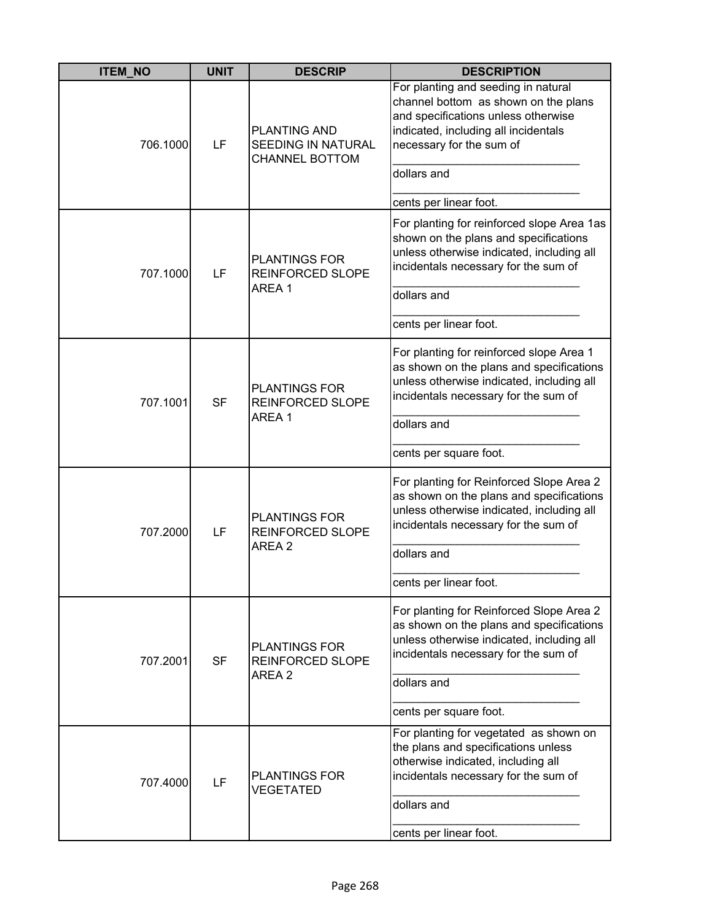| <b>ITEM_NO</b> | <b>UNIT</b> | <b>DESCRIP</b>                                                            | <b>DESCRIPTION</b>                                                                                                                                                                                    |
|----------------|-------------|---------------------------------------------------------------------------|-------------------------------------------------------------------------------------------------------------------------------------------------------------------------------------------------------|
| 706.1000       | LF          | <b>PLANTING AND</b><br><b>SEEDING IN NATURAL</b><br><b>CHANNEL BOTTOM</b> | For planting and seeding in natural<br>channel bottom as shown on the plans<br>and specifications unless otherwise<br>indicated, including all incidentals<br>necessary for the sum of<br>dollars and |
|                |             |                                                                           | cents per linear foot.                                                                                                                                                                                |
| 707.1000       | LF          | <b>PLANTINGS FOR</b><br><b>REINFORCED SLOPE</b>                           | For planting for reinforced slope Area 1as<br>shown on the plans and specifications<br>unless otherwise indicated, including all<br>incidentals necessary for the sum of                              |
|                |             | AREA 1                                                                    | dollars and                                                                                                                                                                                           |
|                |             |                                                                           | cents per linear foot.                                                                                                                                                                                |
| 707.1001       | <b>SF</b>   | <b>PLANTINGS FOR</b><br><b>REINFORCED SLOPE</b><br>AREA 1                 | For planting for reinforced slope Area 1<br>as shown on the plans and specifications<br>unless otherwise indicated, including all<br>incidentals necessary for the sum of                             |
|                |             |                                                                           | dollars and                                                                                                                                                                                           |
|                |             |                                                                           | cents per square foot.                                                                                                                                                                                |
| 707.2000       | LF          | <b>PLANTINGS FOR</b><br><b>REINFORCED SLOPE</b><br>AREA 2                 | For planting for Reinforced Slope Area 2<br>as shown on the plans and specifications<br>unless otherwise indicated, including all<br>incidentals necessary for the sum of                             |
|                |             |                                                                           | dollars and                                                                                                                                                                                           |
|                |             |                                                                           | cents per linear foot.                                                                                                                                                                                |
| 707.2001       | <b>SF</b>   | <b>PLANTINGS FOR</b><br>REINFORCED SLOPE                                  | For planting for Reinforced Slope Area 2<br>as shown on the plans and specifications<br>unless otherwise indicated, including all<br>incidentals necessary for the sum of                             |
|                |             | AREA 2                                                                    | dollars and                                                                                                                                                                                           |
|                |             |                                                                           | cents per square foot.                                                                                                                                                                                |
| 707.4000       | LF          | <b>PLANTINGS FOR</b><br><b>VEGETATED</b>                                  | For planting for vegetated as shown on<br>the plans and specifications unless<br>otherwise indicated, including all<br>incidentals necessary for the sum of                                           |
|                |             |                                                                           | dollars and                                                                                                                                                                                           |
|                |             |                                                                           | cents per linear foot.                                                                                                                                                                                |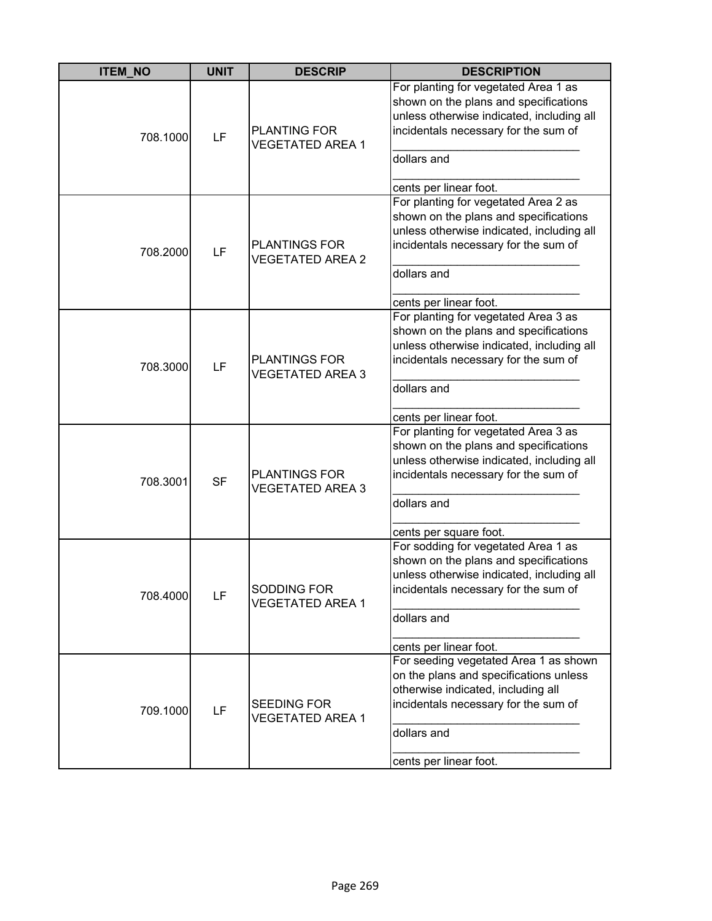| <b>ITEM NO</b> | <b>UNIT</b> | <b>DESCRIP</b>                                  | <b>DESCRIPTION</b>                                                                                                                                                                                          |
|----------------|-------------|-------------------------------------------------|-------------------------------------------------------------------------------------------------------------------------------------------------------------------------------------------------------------|
| 708.1000       | LF          | <b>PLANTING FOR</b><br><b>VEGETATED AREA 1</b>  | For planting for vegetated Area 1 as<br>shown on the plans and specifications<br>unless otherwise indicated, including all<br>incidentals necessary for the sum of<br>dollars and<br>cents per linear foot. |
| 708.2000       | LF          | <b>PLANTINGS FOR</b><br><b>VEGETATED AREA 2</b> | For planting for vegetated Area 2 as<br>shown on the plans and specifications<br>unless otherwise indicated, including all<br>incidentals necessary for the sum of<br>dollars and<br>cents per linear foot. |
| 708.3000       | LF          | <b>PLANTINGS FOR</b><br><b>VEGETATED AREA 3</b> | For planting for vegetated Area 3 as<br>shown on the plans and specifications<br>unless otherwise indicated, including all<br>incidentals necessary for the sum of<br>dollars and<br>cents per linear foot. |
| 708.3001       | <b>SF</b>   | <b>PLANTINGS FOR</b><br><b>VEGETATED AREA 3</b> | For planting for vegetated Area 3 as<br>shown on the plans and specifications<br>unless otherwise indicated, including all<br>incidentals necessary for the sum of<br>dollars and<br>cents per square foot. |
| 708.4000       | LF          | SODDING FOR<br><b>VEGETATED AREA 1</b>          | For sodding for vegetated Area 1 as<br>shown on the plans and specifications<br>unless otherwise indicated, including all<br>incidentals necessary for the sum of<br>dollars and<br>cents per linear foot.  |
| 709.1000       | LF          | <b>SEEDING FOR</b><br><b>VEGETATED AREA 1</b>   | For seeding vegetated Area 1 as shown<br>on the plans and specifications unless<br>otherwise indicated, including all<br>incidentals necessary for the sum of<br>dollars and<br>cents per linear foot.      |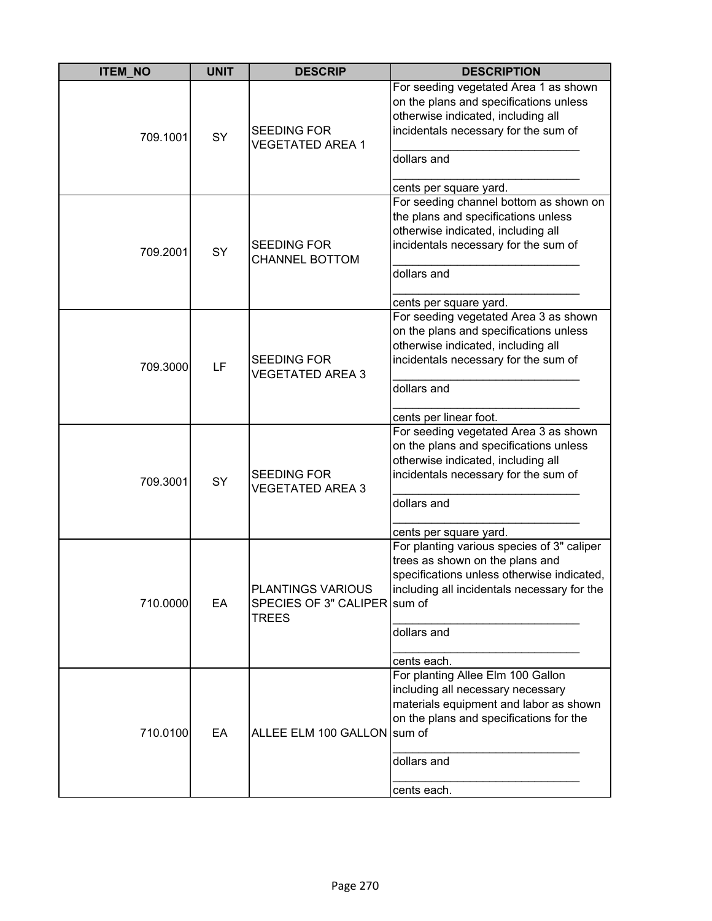| <b>ITEM_NO</b> | <b>UNIT</b> | <b>DESCRIP</b>                                                    | <b>DESCRIPTION</b>                                                                                                                                                                                       |
|----------------|-------------|-------------------------------------------------------------------|----------------------------------------------------------------------------------------------------------------------------------------------------------------------------------------------------------|
| 709.1001       | SY          | <b>SEEDING FOR</b><br><b>VEGETATED AREA 1</b>                     | For seeding vegetated Area 1 as shown<br>on the plans and specifications unless<br>otherwise indicated, including all<br>incidentals necessary for the sum of<br>dollars and<br>cents per square yard.   |
| 709.2001       | SY          | <b>SEEDING FOR</b><br><b>CHANNEL BOTTOM</b>                       | For seeding channel bottom as shown on<br>the plans and specifications unless<br>otherwise indicated, including all<br>incidentals necessary for the sum of<br>dollars and<br>cents per square yard.     |
| 709.3000       | LF          | <b>SEEDING FOR</b><br><b>VEGETATED AREA 3</b>                     | For seeding vegetated Area 3 as shown<br>on the plans and specifications unless<br>otherwise indicated, including all<br>incidentals necessary for the sum of<br>dollars and<br>cents per linear foot.   |
| 709.3001       | SY          | <b>SEEDING FOR</b><br><b>VEGETATED AREA 3</b>                     | For seeding vegetated Area 3 as shown<br>on the plans and specifications unless<br>otherwise indicated, including all<br>incidentals necessary for the sum of<br>dollars and<br>cents per square yard.   |
| 710.0000       | EA          | PLANTINGS VARIOUS<br>SPECIES OF 3" CALIPER sum of<br><b>TREES</b> | For planting various species of 3" caliper<br>trees as shown on the plans and<br>specifications unless otherwise indicated,<br>including all incidentals necessary for the<br>dollars and<br>cents each. |
| 710.0100       | EA          | ALLEE ELM 100 GALLON sum of                                       | For planting Allee Elm 100 Gallon<br>including all necessary necessary<br>materials equipment and labor as shown<br>on the plans and specifications for the<br>dollars and<br>cents each.                |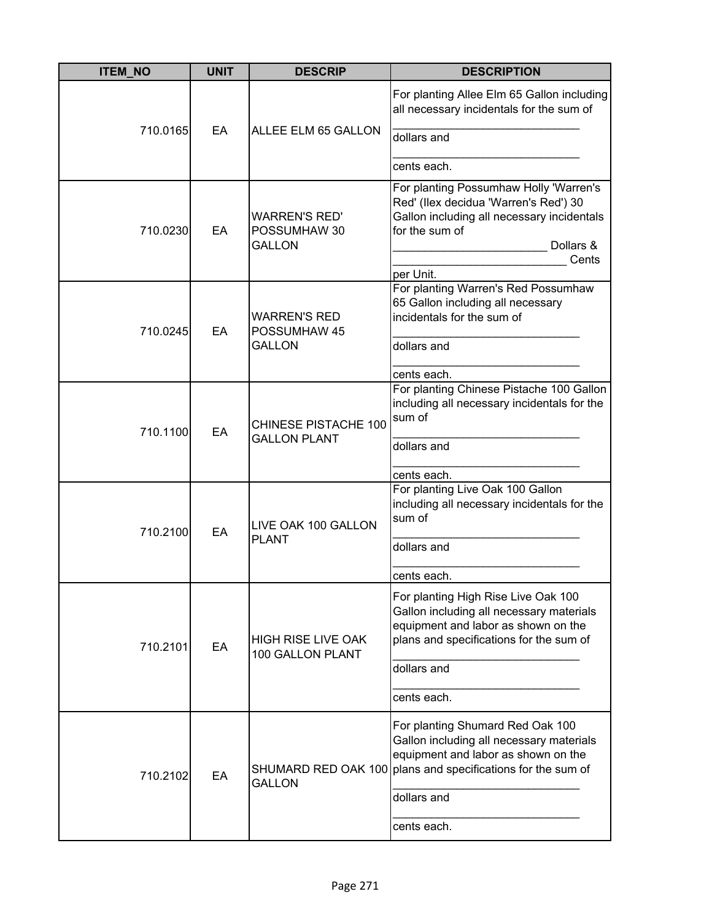| <b>ITEM_NO</b> | <b>UNIT</b> | <b>DESCRIP</b>                                        | <b>DESCRIPTION</b>                                                                                                                                                                                               |
|----------------|-------------|-------------------------------------------------------|------------------------------------------------------------------------------------------------------------------------------------------------------------------------------------------------------------------|
| 710.0165       | EA          | ALLEE ELM 65 GALLON                                   | For planting Allee Elm 65 Gallon including<br>all necessary incidentals for the sum of<br>dollars and<br>cents each.                                                                                             |
| 710.0230       | EA          | <b>WARREN'S RED'</b><br>POSSUMHAW 30<br><b>GALLON</b> | For planting Possumhaw Holly 'Warren's<br>Red' (Ilex decidua 'Warren's Red') 30<br>Gallon including all necessary incidentals<br>for the sum of<br>Dollars &<br>Cents<br>per Unit.                               |
| 710.0245       | EA          | <b>WARREN'S RED</b><br>POSSUMHAW 45<br><b>GALLON</b>  | For planting Warren's Red Possumhaw<br>65 Gallon including all necessary<br>incidentals for the sum of<br>dollars and<br>cents each.                                                                             |
| 710.1100       | EA          | <b>CHINESE PISTACHE 100</b><br><b>GALLON PLANT</b>    | For planting Chinese Pistache 100 Gallon<br>including all necessary incidentals for the<br>sum of<br>dollars and<br>cents each.                                                                                  |
| 710.2100       | EA          | LIVE OAK 100 GALLON<br><b>PLANT</b>                   | For planting Live Oak 100 Gallon<br>including all necessary incidentals for the<br>sum of<br>dollars and<br>cents each.                                                                                          |
| 710.2101       | EA          | <b>HIGH RISE LIVE OAK</b><br>100 GALLON PLANT         | For planting High Rise Live Oak 100<br>Gallon including all necessary materials<br>equipment and labor as shown on the<br>plans and specifications for the sum of<br>dollars and<br>cents each.                  |
| 710.2102       | EA          | <b>GALLON</b>                                         | For planting Shumard Red Oak 100<br>Gallon including all necessary materials<br>equipment and labor as shown on the<br>SHUMARD RED OAK 100 plans and specifications for the sum of<br>dollars and<br>cents each. |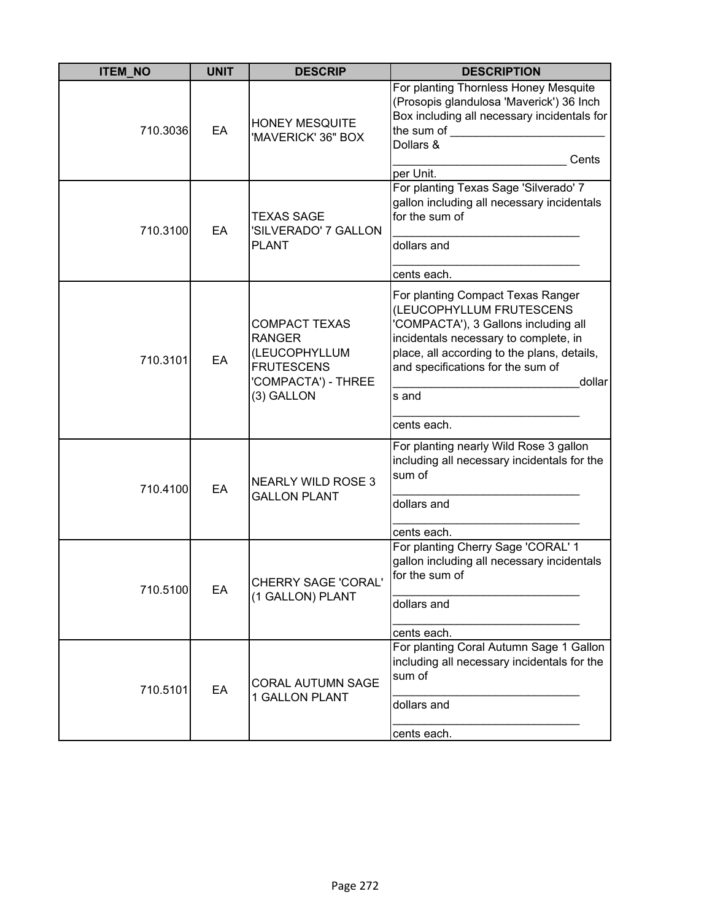| <b>ITEM_NO</b> | <b>UNIT</b> | <b>DESCRIP</b>                                                                                                   | <b>DESCRIPTION</b>                                                                                                                                                                                                                                                   |
|----------------|-------------|------------------------------------------------------------------------------------------------------------------|----------------------------------------------------------------------------------------------------------------------------------------------------------------------------------------------------------------------------------------------------------------------|
| 710.3036       | EA          | <b>HONEY MESQUITE</b><br>'MAVERICK' 36" BOX                                                                      | For planting Thornless Honey Mesquite<br>(Prosopis glandulosa 'Maverick') 36 Inch<br>Box including all necessary incidentals for<br>the sum of<br>Dollars &<br>Cents<br>per Unit.                                                                                    |
| 710.3100       | EA          | <b>TEXAS SAGE</b><br>'SILVERADO' 7 GALLON<br><b>PLANT</b>                                                        | For planting Texas Sage 'Silverado' 7<br>gallon including all necessary incidentals<br>for the sum of<br>dollars and<br>cents each.                                                                                                                                  |
| 710.3101       | EA          | <b>COMPACT TEXAS</b><br><b>RANGER</b><br>(LEUCOPHYLLUM<br><b>FRUTESCENS</b><br>'COMPACTA') - THREE<br>(3) GALLON | For planting Compact Texas Ranger<br>(LEUCOPHYLLUM FRUTESCENS<br>'COMPACTA'), 3 Gallons including all<br>incidentals necessary to complete, in<br>place, all according to the plans, details,<br>and specifications for the sum of<br>dollar<br>s and<br>cents each. |
| 710.4100       | EA          | <b>NEARLY WILD ROSE 3</b><br><b>GALLON PLANT</b>                                                                 | For planting nearly Wild Rose 3 gallon<br>including all necessary incidentals for the<br>sum of<br>dollars and<br>cents each.                                                                                                                                        |
| 710.5100       | EA          | <b>CHERRY SAGE 'CORAL'</b><br>(1 GALLON) PLANT                                                                   | For planting Cherry Sage 'CORAL' 1<br>gallon including all necessary incidentals<br>for the sum of<br>dollars and<br>cents each.                                                                                                                                     |
| 710.5101       | EA          | <b>CORAL AUTUMN SAGE</b><br>1 GALLON PLANT                                                                       | For planting Coral Autumn Sage 1 Gallon<br>including all necessary incidentals for the<br>sum of<br>dollars and<br>cents each.                                                                                                                                       |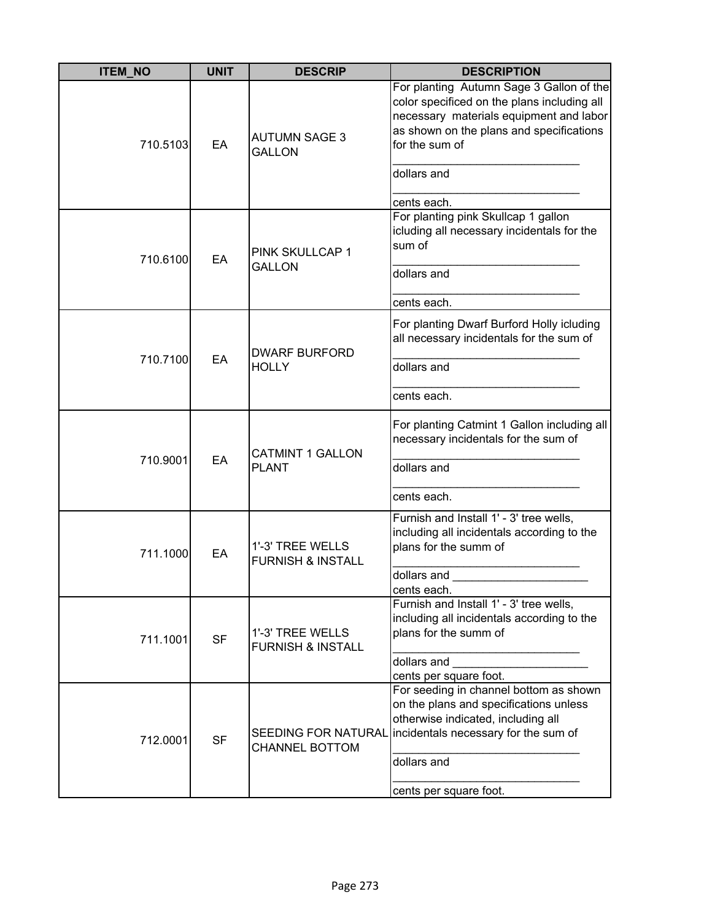| <b>ITEM NO</b> | <b>UNIT</b> | <b>DESCRIP</b>                                      | <b>DESCRIPTION</b>                                                                                                                                                                                                             |
|----------------|-------------|-----------------------------------------------------|--------------------------------------------------------------------------------------------------------------------------------------------------------------------------------------------------------------------------------|
| 710.5103       | EA          | <b>AUTUMN SAGE 3</b><br><b>GALLON</b>               | For planting Autumn Sage 3 Gallon of the<br>color specificed on the plans including all<br>necessary materials equipment and labor<br>as shown on the plans and specifications<br>for the sum of<br>dollars and<br>cents each. |
| 710.6100       | EA          | PINK SKULLCAP 1<br>GALLON                           | For planting pink Skullcap 1 gallon<br>icluding all necessary incidentals for the<br>sum of<br>dollars and<br>cents each.                                                                                                      |
| 710.7100       | EA          | <b>DWARF BURFORD</b><br><b>HOLLY</b>                | For planting Dwarf Burford Holly icluding<br>all necessary incidentals for the sum of<br>dollars and<br>cents each.                                                                                                            |
| 710.9001       | EA          | <b>CATMINT 1 GALLON</b><br><b>PLANT</b>             | For planting Catmint 1 Gallon including all<br>necessary incidentals for the sum of<br>dollars and<br>cents each.                                                                                                              |
| 711.1000       | EA          | 1'-3' TREE WELLS<br><b>FURNISH &amp; INSTALL</b>    | Furnish and Install 1' - 3' tree wells,<br>including all incidentals according to the<br>plans for the summ of<br>dollars and<br>cents each.                                                                                   |
| 711.1001       | <b>SF</b>   | 1'-3' TREE WELLS<br><b>FURNISH &amp; INSTALL</b>    | Furnish and Install 1' - 3' tree wells,<br>including all incidentals according to the<br>plans for the summ of<br>dollars and<br>cents per square foot.                                                                        |
| 712.0001       | <b>SF</b>   | <b>SEEDING FOR NATURAL</b><br><b>CHANNEL BOTTOM</b> | For seeding in channel bottom as shown<br>on the plans and specifications unless<br>otherwise indicated, including all<br>incidentals necessary for the sum of<br>dollars and<br>cents per square foot.                        |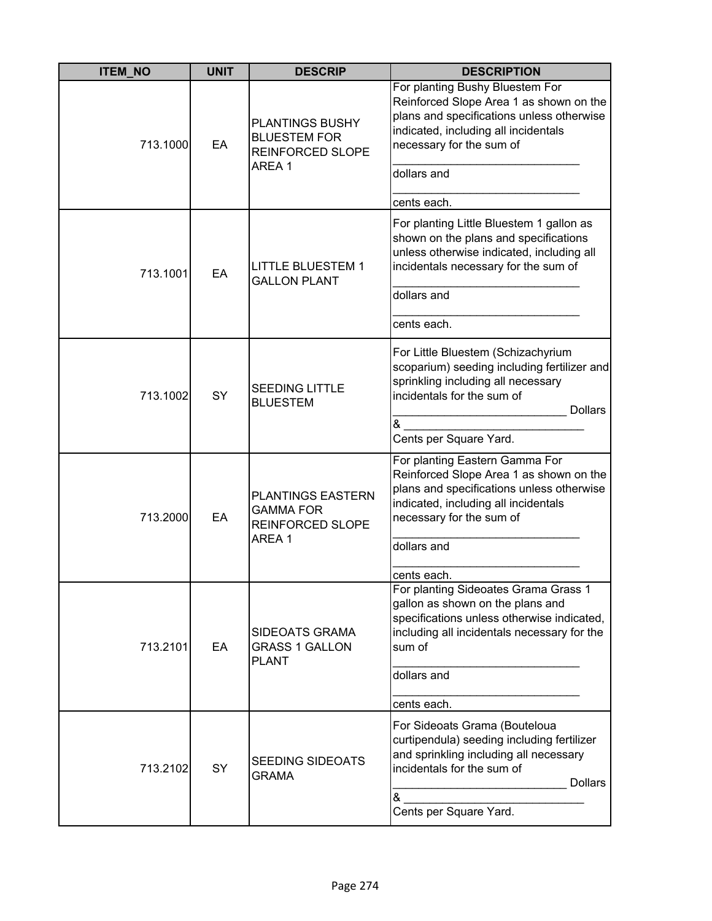| <b>ITEM NO</b> | <b>UNIT</b> | <b>DESCRIP</b>                                                      | <b>DESCRIPTION</b>                                                                                                                                                                          |
|----------------|-------------|---------------------------------------------------------------------|---------------------------------------------------------------------------------------------------------------------------------------------------------------------------------------------|
| 713.1000       | EA          | <b>PLANTINGS BUSHY</b><br><b>BLUESTEM FOR</b><br>REINFORCED SLOPE   | For planting Bushy Bluestem For<br>Reinforced Slope Area 1 as shown on the<br>plans and specifications unless otherwise<br>indicated, including all incidentals<br>necessary for the sum of |
|                |             | AREA 1                                                              | dollars and                                                                                                                                                                                 |
|                |             |                                                                     | cents each.                                                                                                                                                                                 |
| 713.1001       | EA          | <b>LITTLE BLUESTEM 1</b><br><b>GALLON PLANT</b>                     | For planting Little Bluestem 1 gallon as<br>shown on the plans and specifications<br>unless otherwise indicated, including all<br>incidentals necessary for the sum of                      |
|                |             |                                                                     | dollars and                                                                                                                                                                                 |
|                |             |                                                                     | cents each.                                                                                                                                                                                 |
| 713.1002       | <b>SY</b>   | <b>SEEDING LITTLE</b><br><b>BLUESTEM</b>                            | For Little Bluestem (Schizachyrium<br>scoparium) seeding including fertilizer and<br>sprinkling including all necessary<br>incidentals for the sum of<br><b>Dollars</b>                     |
|                |             |                                                                     | &<br>Cents per Square Yard.                                                                                                                                                                 |
| 713.2000       | EA          | PLANTINGS EASTERN<br><b>GAMMA FOR</b><br>REINFORCED SLOPE<br>AREA 1 | For planting Eastern Gamma For<br>Reinforced Slope Area 1 as shown on the<br>plans and specifications unless otherwise<br>indicated, including all incidentals<br>necessary for the sum of  |
|                |             |                                                                     | dollars and                                                                                                                                                                                 |
|                |             |                                                                     | cents each.                                                                                                                                                                                 |
| 713.2101       | EA          | SIDEOATS GRAMA<br><b>GRASS 1 GALLON</b><br><b>PLANT</b>             | For planting Sideoates Grama Grass 1<br>gallon as shown on the plans and<br>specifications unless otherwise indicated,<br>including all incidentals necessary for the<br>sum of             |
|                |             |                                                                     | dollars and                                                                                                                                                                                 |
|                |             |                                                                     | cents each.                                                                                                                                                                                 |
| 713.2102       | SY          | <b>SEEDING SIDEOATS</b><br>GRAMA                                    | For Sideoats Grama (Bouteloua<br>curtipendula) seeding including fertilizer<br>and sprinkling including all necessary<br>incidentals for the sum of<br><b>Dollars</b><br>&                  |
|                |             |                                                                     | Cents per Square Yard.                                                                                                                                                                      |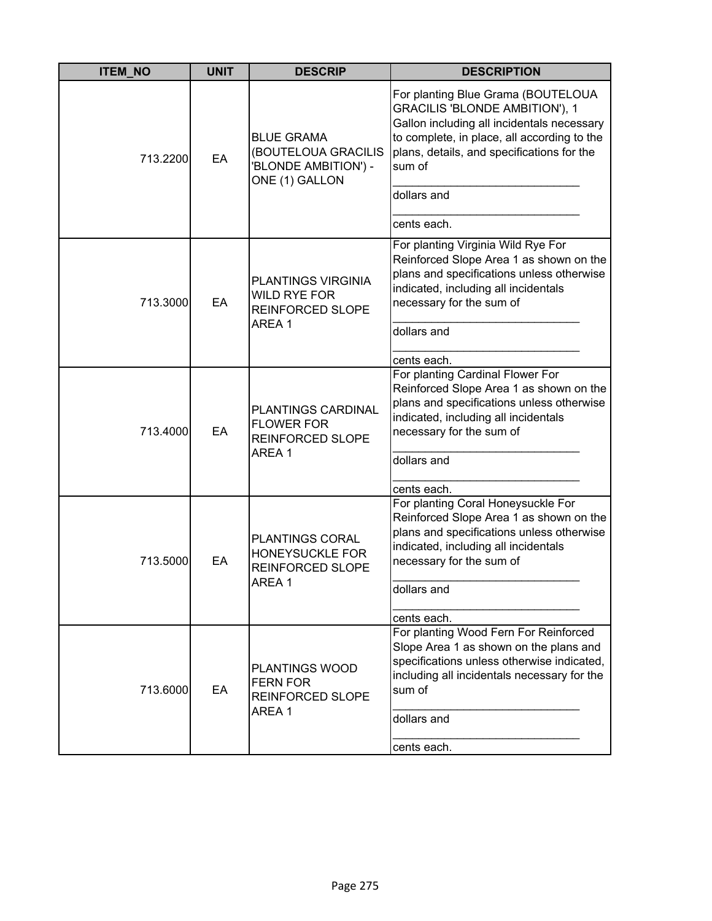| <b>ITEM_NO</b> | <b>UNIT</b> | <b>DESCRIP</b>                                                                     | <b>DESCRIPTION</b>                                                                                                                                                                                                                                      |
|----------------|-------------|------------------------------------------------------------------------------------|---------------------------------------------------------------------------------------------------------------------------------------------------------------------------------------------------------------------------------------------------------|
| 713.2200       | EA          | <b>BLUE GRAMA</b><br>(BOUTELOUA GRACILIS<br>'BLONDE AMBITION') -<br>ONE (1) GALLON | For planting Blue Grama (BOUTELOUA<br>GRACILIS 'BLONDE AMBITION'), 1<br>Gallon including all incidentals necessary<br>to complete, in place, all according to the<br>plans, details, and specifications for the<br>sum of<br>dollars and<br>cents each. |
| 713.3000       | EA          | PLANTINGS VIRGINIA<br><b>WILD RYE FOR</b><br><b>REINFORCED SLOPE</b><br>AREA 1     | For planting Virginia Wild Rye For<br>Reinforced Slope Area 1 as shown on the<br>plans and specifications unless otherwise<br>indicated, including all incidentals<br>necessary for the sum of<br>dollars and<br>cents each.                            |
| 713.4000       | EA          | PLANTINGS CARDINAL<br><b>FLOWER FOR</b><br>REINFORCED SLOPE<br>AREA 1              | For planting Cardinal Flower For<br>Reinforced Slope Area 1 as shown on the<br>plans and specifications unless otherwise<br>indicated, including all incidentals<br>necessary for the sum of<br>dollars and<br>cents each.                              |
| 713.5000       | EA          | <b>PLANTINGS CORAL</b><br>HONEYSUCKLE FOR<br><b>REINFORCED SLOPE</b><br>AREA 1     | For planting Coral Honeysuckle For<br>Reinforced Slope Area 1 as shown on the<br>plans and specifications unless otherwise<br>indicated, including all incidentals<br>necessary for the sum of<br>dollars and<br>cents each.                            |
| 713.6000       | EA          | PLANTINGS WOOD<br><b>FERN FOR</b><br>REINFORCED SLOPE<br>AREA 1                    | For planting Wood Fern For Reinforced<br>Slope Area 1 as shown on the plans and<br>specifications unless otherwise indicated,<br>including all incidentals necessary for the<br>sum of<br>dollars and<br>cents each.                                    |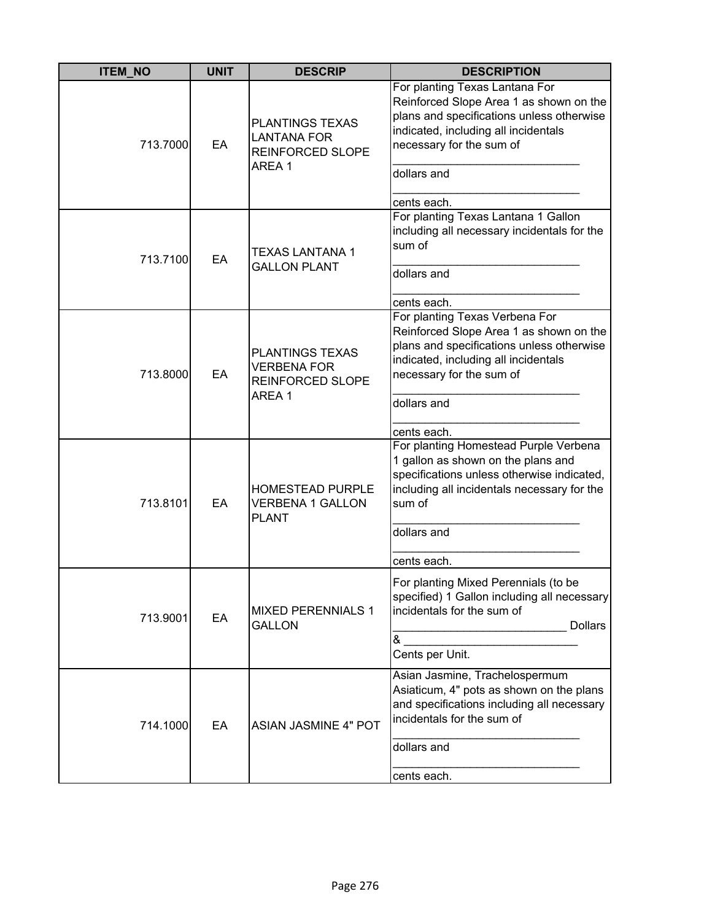| <b>ITEM_NO</b> | <b>UNIT</b> | <b>DESCRIP</b>                                                                    | <b>DESCRIPTION</b>                                                                                                                                                                                                       |
|----------------|-------------|-----------------------------------------------------------------------------------|--------------------------------------------------------------------------------------------------------------------------------------------------------------------------------------------------------------------------|
| 713.7000       | EA          | <b>PLANTINGS TEXAS</b><br><b>LANTANA FOR</b><br><b>REINFORCED SLOPE</b><br>AREA 1 | For planting Texas Lantana For<br>Reinforced Slope Area 1 as shown on the<br>plans and specifications unless otherwise<br>indicated, including all incidentals<br>necessary for the sum of<br>dollars and<br>cents each. |
| 713.7100       | EA          | <b>TEXAS LANTANA 1</b><br><b>GALLON PLANT</b>                                     | For planting Texas Lantana 1 Gallon<br>including all necessary incidentals for the<br>sum of<br>dollars and<br>cents each.                                                                                               |
| 713.8000       | EA          | <b>PLANTINGS TEXAS</b><br><b>VERBENA FOR</b><br><b>REINFORCED SLOPE</b><br>AREA 1 | For planting Texas Verbena For<br>Reinforced Slope Area 1 as shown on the<br>plans and specifications unless otherwise<br>indicated, including all incidentals<br>necessary for the sum of<br>dollars and<br>cents each. |
| 713.8101       | EA          | <b>HOMESTEAD PURPLE</b><br><b>VERBENA 1 GALLON</b><br><b>PLANT</b>                | For planting Homestead Purple Verbena<br>1 gallon as shown on the plans and<br>specifications unless otherwise indicated,<br>including all incidentals necessary for the<br>sum of<br>dollars and<br>cents each.         |
| 713.9001       | EA          | <b>MIXED PERENNIALS 1</b><br><b>GALLON</b>                                        | For planting Mixed Perennials (to be<br>specified) 1 Gallon including all necessary<br>incidentals for the sum of<br>Dollars<br>&<br>Cents per Unit.                                                                     |
| 714.1000       | EA          | <b>ASIAN JASMINE 4" POT</b>                                                       | Asian Jasmine, Trachelospermum<br>Asiaticum, 4" pots as shown on the plans<br>and specifications including all necessary<br>incidentals for the sum of<br>dollars and<br>cents each.                                     |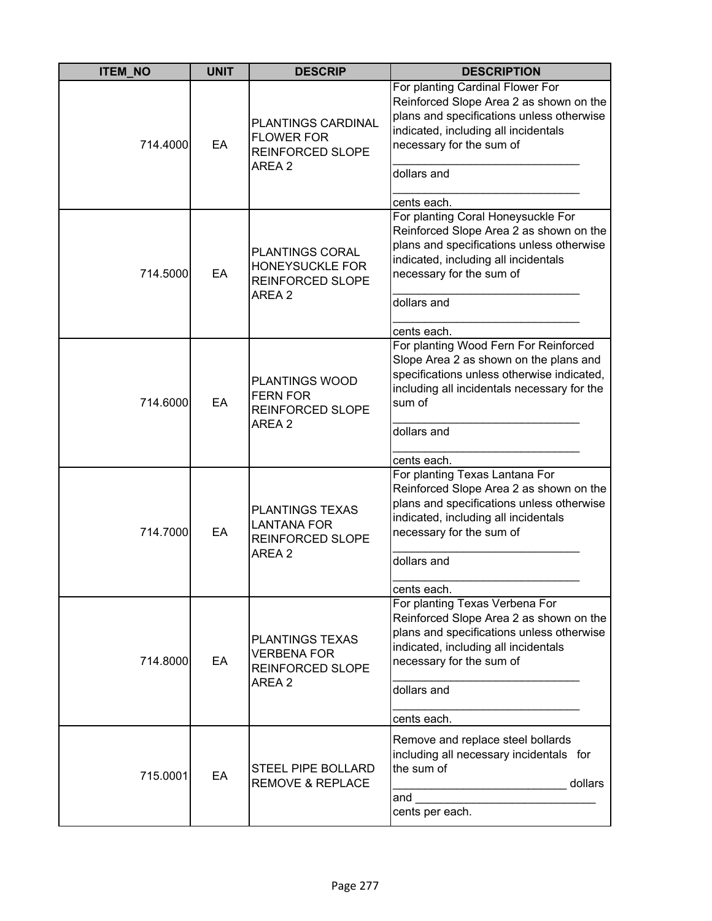| <b>ITEM_NO</b> | <b>UNIT</b> | <b>DESCRIP</b>                                                                    | <b>DESCRIPTION</b>                                                                                                                                                                                                       |
|----------------|-------------|-----------------------------------------------------------------------------------|--------------------------------------------------------------------------------------------------------------------------------------------------------------------------------------------------------------------------|
| 714.4000       | EA          | PLANTINGS CARDINAL<br><b>FLOWER FOR</b><br><b>REINFORCED SLOPE</b><br>AREA 2      | For planting Cardinal Flower For<br>Reinforced Slope Area 2 as shown on the<br>plans and specifications unless otherwise<br>indicated, including all incidentals<br>necessary for the sum of<br>dollars and              |
|                |             |                                                                                   | cents each.                                                                                                                                                                                                              |
| 714.5000       | EA          | PLANTINGS CORAL<br>HONEYSUCKLE FOR<br>REINFORCED SLOPE<br>AREA 2                  | For planting Coral Honeysuckle For<br>Reinforced Slope Area 2 as shown on the<br>plans and specifications unless otherwise<br>indicated, including all incidentals<br>necessary for the sum of<br>dollars and            |
|                |             |                                                                                   |                                                                                                                                                                                                                          |
|                |             |                                                                                   | cents each.                                                                                                                                                                                                              |
| 714.6000       | EA          | <b>PLANTINGS WOOD</b><br><b>FERN FOR</b><br>REINFORCED SLOPE<br>AREA 2            | For planting Wood Fern For Reinforced<br>Slope Area 2 as shown on the plans and<br>specifications unless otherwise indicated,<br>including all incidentals necessary for the<br>sum of<br>dollars and                    |
|                |             |                                                                                   |                                                                                                                                                                                                                          |
| 714.7000       | EA          | <b>PLANTINGS TEXAS</b><br><b>LANTANA FOR</b><br>REINFORCED SLOPE<br>AREA 2        | cents each.<br>For planting Texas Lantana For<br>Reinforced Slope Area 2 as shown on the<br>plans and specifications unless otherwise<br>indicated, including all incidentals<br>necessary for the sum of<br>dollars and |
|                |             |                                                                                   | cents each.                                                                                                                                                                                                              |
| 714.8000       | EA          | <b>PLANTINGS TEXAS</b><br><b>VERBENA FOR</b><br><b>REINFORCED SLOPE</b><br>AREA 2 | For planting Texas Verbena For<br>Reinforced Slope Area 2 as shown on the<br>plans and specifications unless otherwise<br>indicated, including all incidentals<br>necessary for the sum of<br>dollars and                |
|                |             |                                                                                   |                                                                                                                                                                                                                          |
|                |             |                                                                                   | cents each.                                                                                                                                                                                                              |
| 715.0001       | EA          | STEEL PIPE BOLLARD<br><b>REMOVE &amp; REPLACE</b>                                 | Remove and replace steel bollards<br>including all necessary incidentals for<br>the sum of<br>dollars<br>and<br>cents per each.                                                                                          |
|                |             |                                                                                   |                                                                                                                                                                                                                          |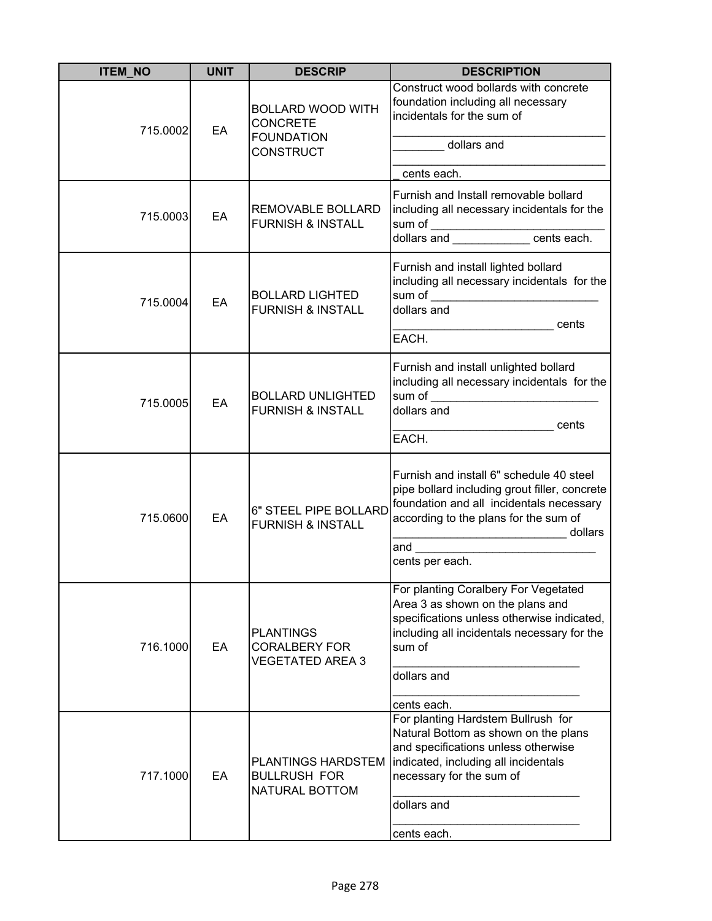| <b>ITEM_NO</b> | <b>UNIT</b> | <b>DESCRIP</b>                                                                       | <b>DESCRIPTION</b>                                                                                                                                                                                                                                    |
|----------------|-------------|--------------------------------------------------------------------------------------|-------------------------------------------------------------------------------------------------------------------------------------------------------------------------------------------------------------------------------------------------------|
| 715.0002       | EA          | <b>BOLLARD WOOD WITH</b><br><b>CONCRETE</b><br><b>FOUNDATION</b><br><b>CONSTRUCT</b> | Construct wood bollards with concrete<br>foundation including all necessary<br>incidentals for the sum of<br>dollars and<br>cents each.                                                                                                               |
| 715.0003       | EA          | REMOVABLE BOLLARD<br><b>FURNISH &amp; INSTALL</b>                                    | Furnish and Install removable bollard<br>including all necessary incidentals for the<br>sum of _____________________cents each.                                                                                                                       |
| 715.0004       | EA          | <b>BOLLARD LIGHTED</b><br><b>FURNISH &amp; INSTALL</b>                               | Furnish and install lighted bollard<br>including all necessary incidentals for the<br>dollars and<br>_________________________________cents<br>EACH.                                                                                                  |
| 715.0005       | EA          | <b>BOLLARD UNLIGHTED</b><br><b>FURNISH &amp; INSTALL</b>                             | Furnish and install unlighted bollard<br>including all necessary incidentals for the<br>dollars and<br>cents<br><u> 1980 - Johann Barbara, martxa alemaniar a</u><br>EACH.                                                                            |
| 715.0600       | EA          | 6" STEEL PIPE BOLLARD<br><b>FURNISH &amp; INSTALL</b>                                | Furnish and install 6" schedule 40 steel<br>pipe bollard including grout filler, concrete<br>foundation and all incidentals necessary<br>according to the plans for the sum of<br>_________________________________ dollars<br>and<br>cents per each. |
| 716.1000       | EA          | <b>PLANTINGS</b><br><b>CORALBERY FOR</b><br><b>VEGETATED AREA 3</b>                  | For planting Coralbery For Vegetated<br>Area 3 as shown on the plans and<br>specifications unless otherwise indicated,<br>including all incidentals necessary for the<br>sum of<br>dollars and<br>cents each.                                         |
| 717.1000       | EA          | PLANTINGS HARDSTEM<br><b>BULLRUSH FOR</b><br>NATURAL BOTTOM                          | For planting Hardstem Bullrush for<br>Natural Bottom as shown on the plans<br>and specifications unless otherwise<br>indicated, including all incidentals<br>necessary for the sum of<br>dollars and<br>cents each.                                   |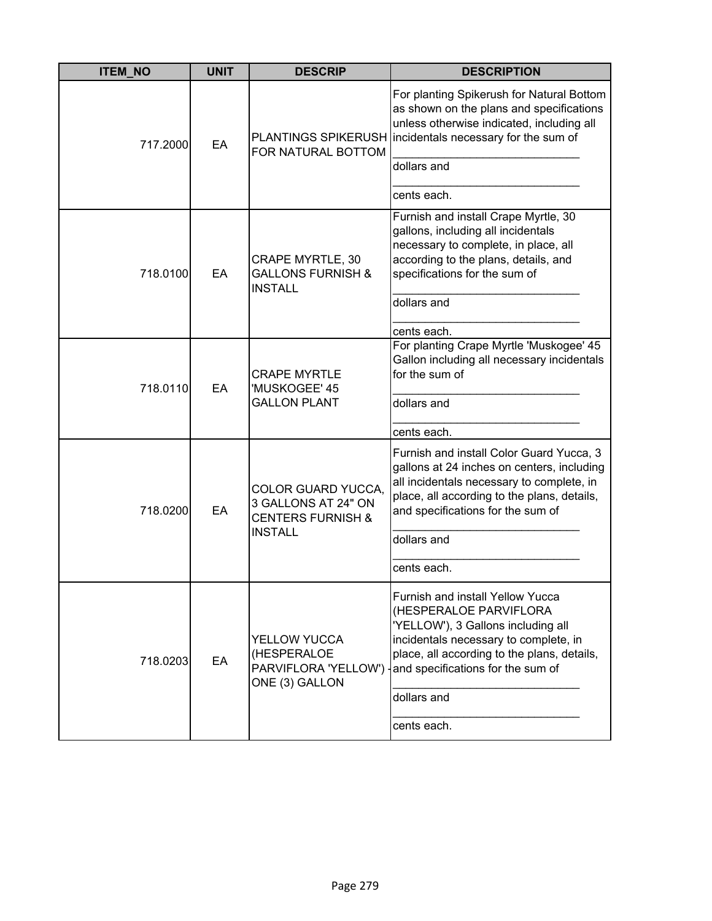| <b>ITEM_NO</b> | <b>UNIT</b> | <b>DESCRIP</b>                                                                   | <b>DESCRIPTION</b>                                                                                                                                                                                                                                                               |
|----------------|-------------|----------------------------------------------------------------------------------|----------------------------------------------------------------------------------------------------------------------------------------------------------------------------------------------------------------------------------------------------------------------------------|
| 717.2000       | EA          | FOR NATURAL BOTTOM                                                               | For planting Spikerush for Natural Bottom<br>as shown on the plans and specifications<br>unless otherwise indicated, including all<br>PLANTINGS SPIKERUSH incidentals necessary for the sum of                                                                                   |
|                |             |                                                                                  | dollars and                                                                                                                                                                                                                                                                      |
|                |             |                                                                                  | cents each.                                                                                                                                                                                                                                                                      |
| 718.0100       | EA          | <b>CRAPE MYRTLE, 30</b><br><b>GALLONS FURNISH &amp;</b><br><b>INSTALL</b>        | Furnish and install Crape Myrtle, 30<br>gallons, including all incidentals<br>necessary to complete, in place, all<br>according to the plans, details, and<br>specifications for the sum of<br>dollars and                                                                       |
|                |             |                                                                                  | cents each.                                                                                                                                                                                                                                                                      |
| 718.0110       | EA          | <b>CRAPE MYRTLE</b><br>'MUSKOGEE' 45<br><b>GALLON PLANT</b>                      | For planting Crape Myrtle 'Muskogee' 45<br>Gallon including all necessary incidentals<br>for the sum of                                                                                                                                                                          |
|                |             |                                                                                  | dollars and                                                                                                                                                                                                                                                                      |
|                |             |                                                                                  | cents each.                                                                                                                                                                                                                                                                      |
| 718.0200       | EA          | <b>COLOR GUARD YUCCA,</b><br>3 GALLONS AT 24" ON<br><b>CENTERS FURNISH &amp;</b> | Furnish and install Color Guard Yucca, 3<br>gallons at 24 inches on centers, including<br>all incidentals necessary to complete, in<br>place, all according to the plans, details,<br>and specifications for the sum of                                                          |
|                |             | <b>INSTALL</b>                                                                   | dollars and                                                                                                                                                                                                                                                                      |
|                |             |                                                                                  | cents each.                                                                                                                                                                                                                                                                      |
| 718.0203       | EA          | YELLOW YUCCA<br>(HESPERALOE<br>ONE (3) GALLON                                    | Furnish and install Yellow Yucca<br>(HESPERALOE PARVIFLORA<br>'YELLOW'), 3 Gallons including all<br>incidentals necessary to complete, in<br>place, all according to the plans, details,<br>PARVIFLORA 'YELLOW') and specifications for the sum of<br>dollars and<br>cents each. |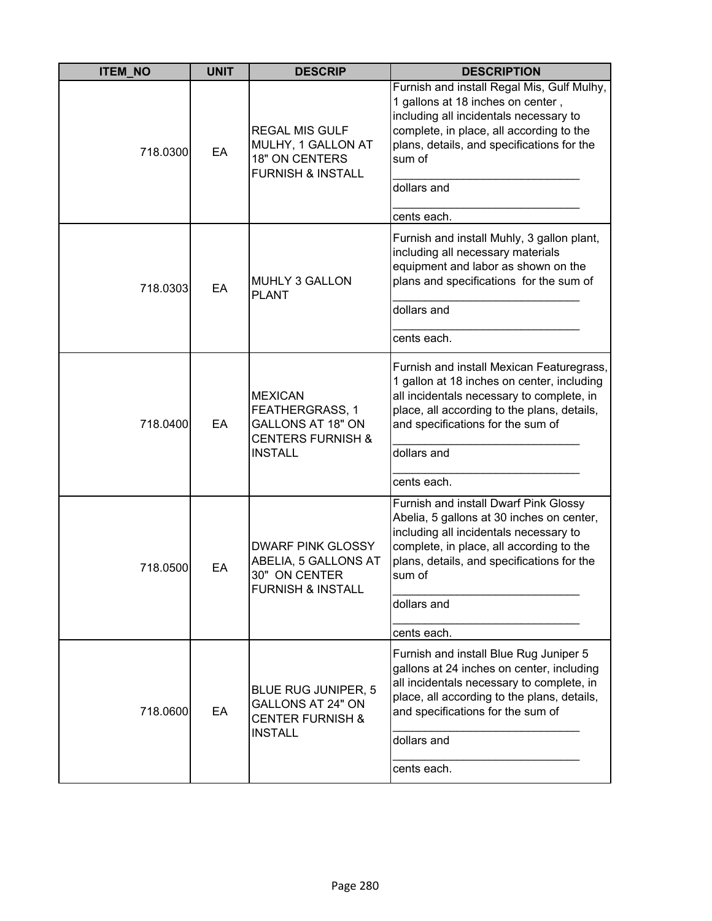| <b>ITEM_NO</b> | <b>UNIT</b> | <b>DESCRIP</b>                                                                                                  | <b>DESCRIPTION</b>                                                                                                                                                                                                                                             |
|----------------|-------------|-----------------------------------------------------------------------------------------------------------------|----------------------------------------------------------------------------------------------------------------------------------------------------------------------------------------------------------------------------------------------------------------|
| 718.0300       | EA          | <b>REGAL MIS GULF</b><br>MULHY, 1 GALLON AT<br><b>18" ON CENTERS</b><br><b>FURNISH &amp; INSTALL</b>            | Furnish and install Regal Mis, Gulf Mulhy,<br>1 gallons at 18 inches on center,<br>including all incidentals necessary to<br>complete, in place, all according to the<br>plans, details, and specifications for the<br>sum of<br>dollars and                   |
|                |             |                                                                                                                 | cents each.                                                                                                                                                                                                                                                    |
| 718.0303       | EA          | <b>MUHLY 3 GALLON</b><br><b>PLANT</b>                                                                           | Furnish and install Muhly, 3 gallon plant,<br>including all necessary materials<br>equipment and labor as shown on the<br>plans and specifications for the sum of<br>dollars and                                                                               |
|                |             |                                                                                                                 | cents each.                                                                                                                                                                                                                                                    |
| 718.0400       | EA          | <b>MEXICAN</b><br>FEATHERGRASS, 1<br><b>GALLONS AT 18" ON</b><br><b>CENTERS FURNISH &amp;</b><br><b>INSTALL</b> | Furnish and install Mexican Featuregrass,<br>1 gallon at 18 inches on center, including<br>all incidentals necessary to complete, in<br>place, all according to the plans, details,<br>and specifications for the sum of<br>dollars and<br>cents each.         |
| 718.0500       | EA          | <b>DWARF PINK GLOSSY</b><br>ABELIA, 5 GALLONS AT<br>30" ON CENTER<br><b>FURNISH &amp; INSTALL</b>               | Furnish and install Dwarf Pink Glossy<br>Abelia, 5 gallons at 30 inches on center,<br>including all incidentals necessary to<br>complete, in place, all according to the<br>plans, details, and specifications for the<br>sum of<br>dollars and<br>cents each. |
| 718.0600       | EA          | <b>BLUE RUG JUNIPER, 5</b><br><b>GALLONS AT 24" ON</b><br><b>CENTER FURNISH &amp;</b><br><b>INSTALL</b>         | Furnish and install Blue Rug Juniper 5<br>gallons at 24 inches on center, including<br>all incidentals necessary to complete, in<br>place, all according to the plans, details,<br>and specifications for the sum of<br>dollars and<br>cents each.             |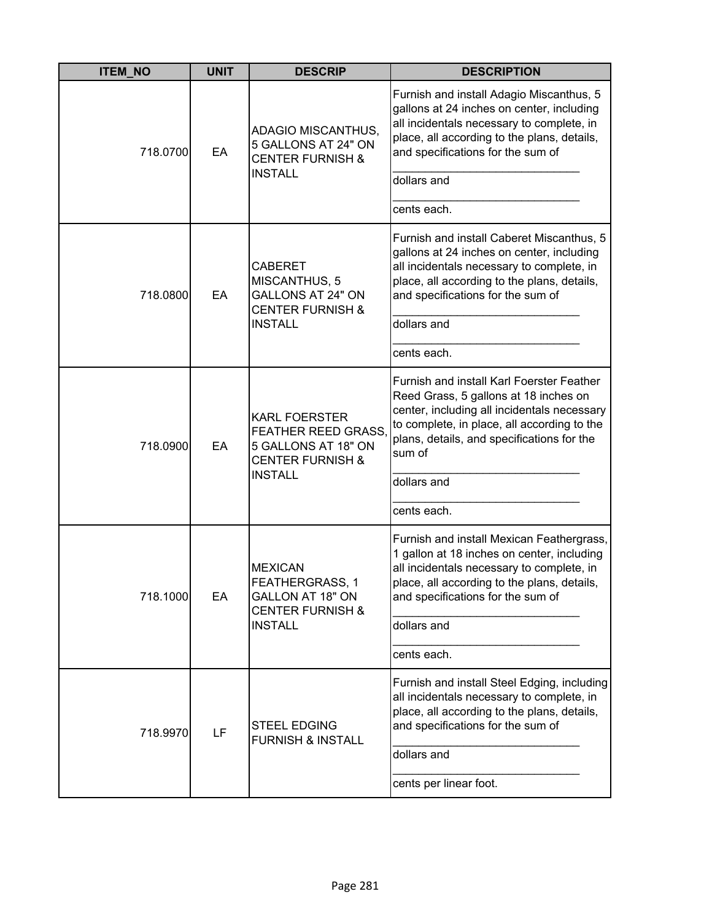| <b>ITEM_NO</b> | <b>UNIT</b> | <b>DESCRIP</b>                                                                                                             | <b>DESCRIPTION</b>                                                                                                                                                                                                                       |
|----------------|-------------|----------------------------------------------------------------------------------------------------------------------------|------------------------------------------------------------------------------------------------------------------------------------------------------------------------------------------------------------------------------------------|
| 718.0700       | EA          | ADAGIO MISCANTHUS,<br>5 GALLONS AT 24" ON<br><b>CENTER FURNISH &amp;</b><br><b>INSTALL</b>                                 | Furnish and install Adagio Miscanthus, 5<br>gallons at 24 inches on center, including<br>all incidentals necessary to complete, in<br>place, all according to the plans, details,<br>and specifications for the sum of<br>dollars and    |
|                |             |                                                                                                                            | cents each.                                                                                                                                                                                                                              |
| 718.0800       | EA          | <b>CABERET</b><br>MISCANTHUS, 5<br><b>GALLONS AT 24" ON</b><br><b>CENTER FURNISH &amp;</b><br><b>INSTALL</b>               | Furnish and install Caberet Miscanthus, 5<br>gallons at 24 inches on center, including<br>all incidentals necessary to complete, in<br>place, all according to the plans, details,<br>and specifications for the sum of<br>dollars and   |
|                |             |                                                                                                                            | cents each.                                                                                                                                                                                                                              |
| 718.0900       | EA          | <b>KARL FOERSTER</b><br><b>FEATHER REED GRASS,</b><br>5 GALLONS AT 18" ON<br><b>CENTER FURNISH &amp;</b><br><b>INSTALL</b> | Furnish and install Karl Foerster Feather<br>Reed Grass, 5 gallons at 18 inches on<br>center, including all incidentals necessary<br>to complete, in place, all according to the<br>plans, details, and specifications for the<br>sum of |
|                |             |                                                                                                                            | dollars and                                                                                                                                                                                                                              |
|                |             |                                                                                                                            | cents each.                                                                                                                                                                                                                              |
| 718.1000       | EA          | <b>MEXICAN</b><br><b>FEATHERGRASS, 1</b><br><b>GALLON AT 18" ON</b><br><b>CENTER FURNISH &amp;</b><br><b>INSTALL</b>       | Furnish and install Mexican Feathergrass,<br>1 gallon at 18 inches on center, including<br>all incidentals necessary to complete, in<br>place, all according to the plans, details,<br>and specifications for the sum of<br>dollars and  |
|                |             |                                                                                                                            | cents each.                                                                                                                                                                                                                              |
| 718.9970       | LF          | <b>STEEL EDGING</b><br><b>FURNISH &amp; INSTALL</b>                                                                        | Furnish and install Steel Edging, including<br>all incidentals necessary to complete, in<br>place, all according to the plans, details,<br>and specifications for the sum of<br>dollars and                                              |
|                |             |                                                                                                                            | cents per linear foot.                                                                                                                                                                                                                   |
|                |             |                                                                                                                            |                                                                                                                                                                                                                                          |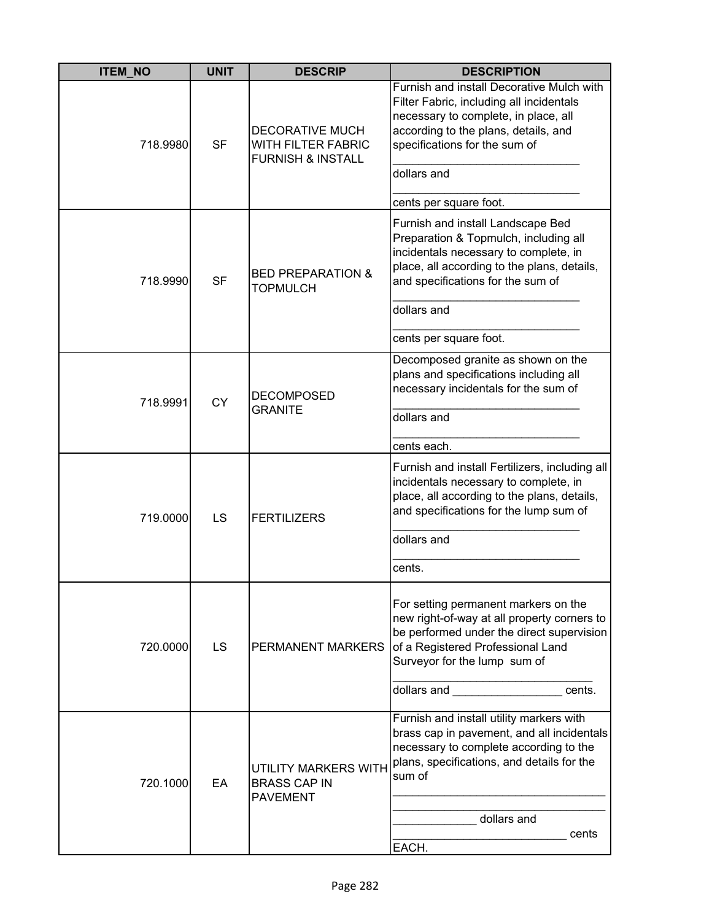| <b>ITEM NO</b> | <b>UNIT</b> | <b>DESCRIP</b>                                                               | <b>DESCRIPTION</b>                                                                                                                                                                                                                                                                                                                                                                                                                               |
|----------------|-------------|------------------------------------------------------------------------------|--------------------------------------------------------------------------------------------------------------------------------------------------------------------------------------------------------------------------------------------------------------------------------------------------------------------------------------------------------------------------------------------------------------------------------------------------|
| 718.9980       | <b>SF</b>   | <b>DECORATIVE MUCH</b><br>WITH FILTER FABRIC<br><b>FURNISH &amp; INSTALL</b> | Furnish and install Decorative Mulch with<br>Filter Fabric, including all incidentals<br>necessary to complete, in place, all<br>according to the plans, details, and<br>specifications for the sum of<br>dollars and<br>cents per square foot.                                                                                                                                                                                                  |
| 718.9990       | <b>SF</b>   | <b>BED PREPARATION &amp;</b><br><b>TOPMULCH</b>                              | Furnish and install Landscape Bed<br>Preparation & Topmulch, including all<br>incidentals necessary to complete, in<br>place, all according to the plans, details,<br>and specifications for the sum of<br>dollars and<br>cents per square foot.                                                                                                                                                                                                 |
| 718.9991       | <b>CY</b>   | <b>DECOMPOSED</b><br><b>GRANITE</b>                                          | Decomposed granite as shown on the<br>plans and specifications including all<br>necessary incidentals for the sum of<br>dollars and<br>cents each.                                                                                                                                                                                                                                                                                               |
| 719.0000       | LS          | <b>FERTILIZERS</b>                                                           | Furnish and install Fertilizers, including all<br>incidentals necessary to complete, in<br>place, all according to the plans, details,<br>and specifications for the lump sum of<br>dollars and<br>cents.                                                                                                                                                                                                                                        |
| 720.0000       | LS          | PERMANENT MARKERS                                                            | For setting permanent markers on the<br>new right-of-way at all property corners to<br>be performed under the direct supervision<br>of a Registered Professional Land<br>Surveyor for the lump sum of<br>dollars and the control of the control of the control of the control of the control of the control of the control of the control of the control of the control of the control of the control of the control of the control of<br>cents. |
| 720.1000       | EA          | UTILITY MARKERS WITH<br><b>BRASS CAP IN</b><br><b>PAVEMENT</b>               | Furnish and install utility markers with<br>brass cap in pavement, and all incidentals<br>necessary to complete according to the<br>plans, specifications, and details for the<br>sum of<br>dollars and<br>cents<br>EACH.                                                                                                                                                                                                                        |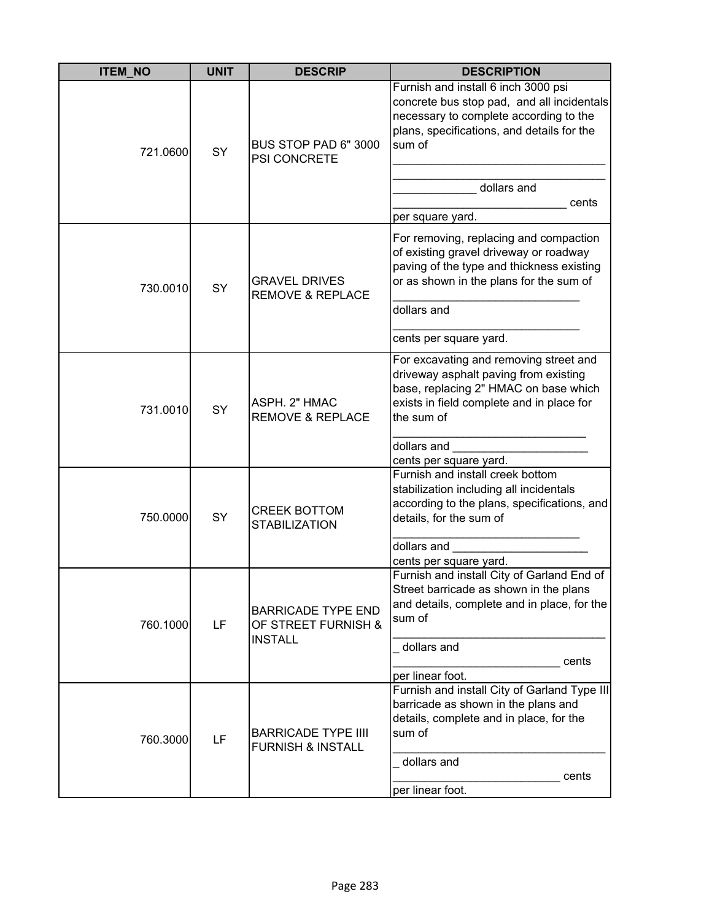| <b>ITEM_NO</b> | <b>UNIT</b> | <b>DESCRIP</b>                                                     | <b>DESCRIPTION</b>                                                                                                                                                                                                              |
|----------------|-------------|--------------------------------------------------------------------|---------------------------------------------------------------------------------------------------------------------------------------------------------------------------------------------------------------------------------|
| 721.0600       | SY          | BUS STOP PAD 6" 3000<br>PSI CONCRETE                               | Furnish and install 6 inch 3000 psi<br>concrete bus stop pad, and all incidentals<br>necessary to complete according to the<br>plans, specifications, and details for the<br>sum of<br>dollars and<br>cents<br>per square yard. |
| 730.0010       | SY          | <b>GRAVEL DRIVES</b><br><b>REMOVE &amp; REPLACE</b>                | For removing, replacing and compaction<br>of existing gravel driveway or roadway<br>paving of the type and thickness existing<br>or as shown in the plans for the sum of<br>dollars and<br>cents per square yard.               |
| 731.0010       | <b>SY</b>   | ASPH. 2" HMAC<br><b>REMOVE &amp; REPLACE</b>                       | For excavating and removing street and<br>driveway asphalt paving from existing<br>base, replacing 2" HMAC on base which<br>exists in field complete and in place for<br>the sum of<br>dollars and<br>cents per square yard.    |
| 750.0000       | SY          | <b>CREEK BOTTOM</b><br><b>STABILIZATION</b>                        | Furnish and install creek bottom<br>stabilization including all incidentals<br>according to the plans, specifications, and<br>details, for the sum of<br>dollars and<br>cents per square yard.                                  |
| 760.1000       | LF          | <b>BARRICADE TYPE END</b><br>OF STREET FURNISH &<br><b>INSTALL</b> | Furnish and install City of Garland End of<br>Street barricade as shown in the plans<br>and details, complete and in place, for the<br>sum of<br>dollars and<br>cents<br>per linear foot.                                       |
| 760.3000       | LF          | <b>BARRICADE TYPE IIII</b><br><b>FURNISH &amp; INSTALL</b>         | Furnish and install City of Garland Type III<br>barricade as shown in the plans and<br>details, complete and in place, for the<br>sum of<br>dollars and<br>cents<br>per linear foot.                                            |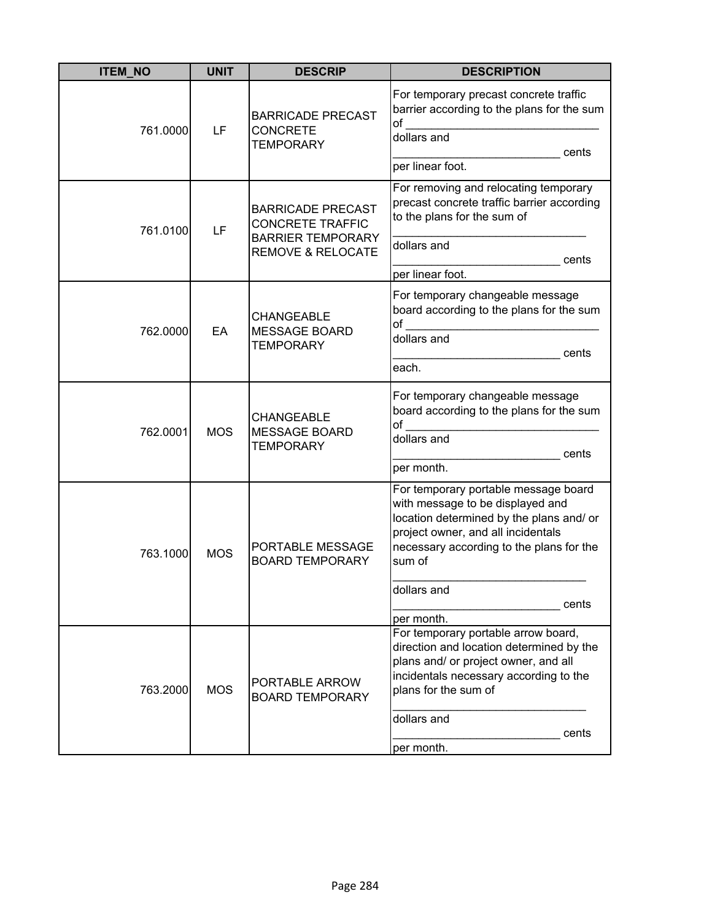| <b>ITEM_NO</b> | <b>UNIT</b> | <b>DESCRIP</b>                                                                                                  | <b>DESCRIPTION</b>                                                                                                                                                                                                                                     |
|----------------|-------------|-----------------------------------------------------------------------------------------------------------------|--------------------------------------------------------------------------------------------------------------------------------------------------------------------------------------------------------------------------------------------------------|
| 761.0000       | LF          | <b>BARRICADE PRECAST</b><br><b>CONCRETE</b><br><b>TEMPORARY</b>                                                 | For temporary precast concrete traffic<br>barrier according to the plans for the sum<br>of<br>dollars and<br>cents<br>per linear foot.                                                                                                                 |
| 761.0100       | LF          | <b>BARRICADE PRECAST</b><br><b>CONCRETE TRAFFIC</b><br><b>BARRIER TEMPORARY</b><br><b>REMOVE &amp; RELOCATE</b> | For removing and relocating temporary<br>precast concrete traffic barrier according<br>to the plans for the sum of<br>dollars and<br>cents                                                                                                             |
|                |             |                                                                                                                 | per linear foot.                                                                                                                                                                                                                                       |
| 762.0000       | EA          | <b>CHANGEABLE</b><br><b>MESSAGE BOARD</b>                                                                       | For temporary changeable message<br>board according to the plans for the sum<br>$\circ$ of                                                                                                                                                             |
|                |             | <b>TEMPORARY</b>                                                                                                | dollars and<br>cents<br>each.                                                                                                                                                                                                                          |
| 762.0001       | <b>MOS</b>  | <b>CHANGEABLE</b><br><b>MESSAGE BOARD</b><br><b>TEMPORARY</b>                                                   | For temporary changeable message<br>board according to the plans for the sum<br>dollars and<br>cents<br>per month.                                                                                                                                     |
| 763.1000       | <b>MOS</b>  | <b>PORTABLE MESSAGE</b><br><b>BOARD TEMPORARY</b>                                                               | For temporary portable message board<br>with message to be displayed and<br>location determined by the plans and/ or<br>project owner, and all incidentals<br>necessary according to the plans for the<br>sum of<br>dollars and<br>cents<br>per month. |
| 763.2000       | <b>MOS</b>  | PORTABLE ARROW<br><b>BOARD TEMPORARY</b>                                                                        | For temporary portable arrow board,<br>direction and location determined by the<br>plans and/ or project owner, and all<br>incidentals necessary according to the<br>plans for the sum of<br>dollars and<br>cents<br>per month.                        |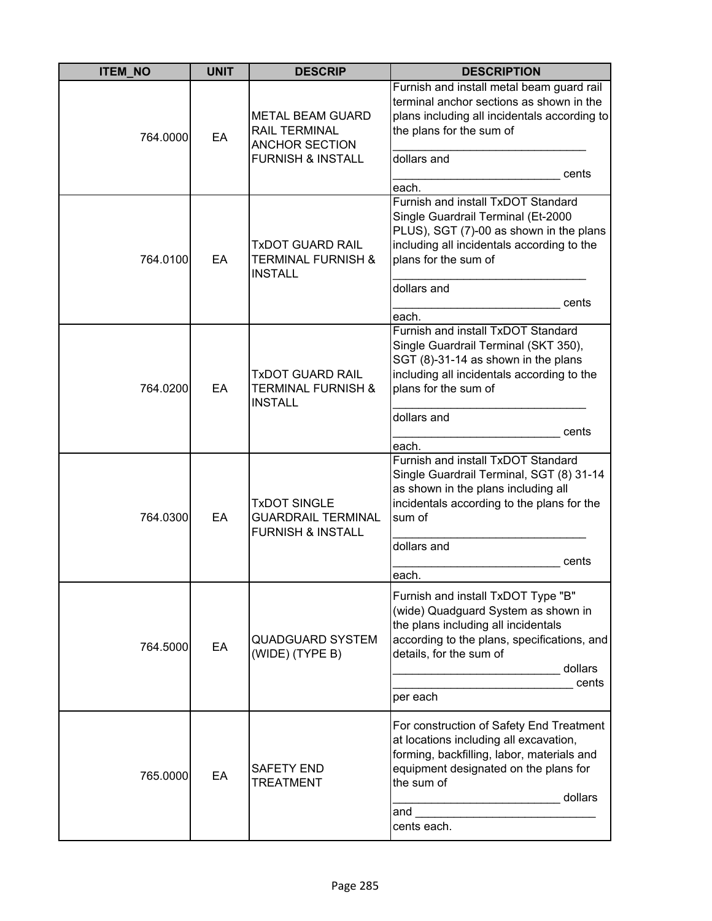| <b>ITEM_NO</b> | <b>UNIT</b> | <b>DESCRIP</b>                                                                             | <b>DESCRIPTION</b>                                                                                                                                                                                                         |
|----------------|-------------|--------------------------------------------------------------------------------------------|----------------------------------------------------------------------------------------------------------------------------------------------------------------------------------------------------------------------------|
| 764.0000       | EA          | METAL BEAM GUARD<br>RAIL TERMINAL<br><b>ANCHOR SECTION</b><br><b>FURNISH &amp; INSTALL</b> | Furnish and install metal beam guard rail<br>terminal anchor sections as shown in the<br>plans including all incidentals according to<br>the plans for the sum of<br>dollars and<br>cents<br>each.                         |
| 764.0100       | EA          | <b>TxDOT GUARD RAIL</b><br>TERMINAL FURNISH &<br><b>INSTALL</b>                            | Furnish and install TxDOT Standard<br>Single Guardrail Terminal (Et-2000<br>PLUS), SGT (7)-00 as shown in the plans<br>including all incidentals according to the<br>plans for the sum of<br>dollars and<br>cents<br>each. |
| 764.0200       | EA          | <b>TxDOT GUARD RAIL</b><br><b>TERMINAL FURNISH &amp;</b><br><b>INSTALL</b>                 | Furnish and install TxDOT Standard<br>Single Guardrail Terminal (SKT 350),<br>SGT (8)-31-14 as shown in the plans<br>including all incidentals according to the<br>plans for the sum of<br>dollars and<br>cents<br>each.   |
| 764.0300       | EA          | <b>TxDOT SINGLE</b><br><b>GUARDRAIL TERMINAL</b><br><b>FURNISH &amp; INSTALL</b>           | Furnish and install TxDOT Standard<br>Single Guardrail Terminal, SGT (8) 31-14<br>as shown in the plans including all<br>incidentals according to the plans for the<br>sum of<br>dollars and<br>cents<br>each.             |
| 764.5000       | EA          | <b>QUADGUARD SYSTEM</b><br>(WIDE) (TYPE B)                                                 | Furnish and install TxDOT Type "B"<br>(wide) Quadguard System as shown in<br>the plans including all incidentals<br>according to the plans, specifications, and<br>details, for the sum of<br>dollars<br>cents<br>per each |
| 765.0000       | EA          | <b>SAFETY END</b><br>TREATMENT                                                             | For construction of Safety End Treatment<br>at locations including all excavation,<br>forming, backfilling, labor, materials and<br>equipment designated on the plans for<br>the sum of<br>dollars<br>and<br>cents each.   |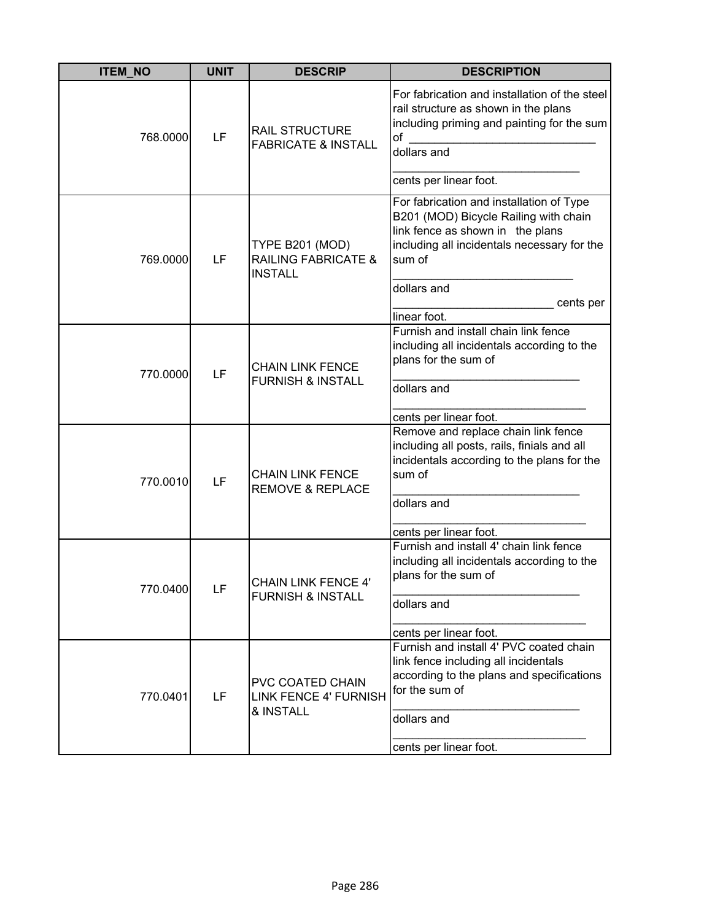| <b>ITEM_NO</b> | <b>UNIT</b> | <b>DESCRIP</b>                                                      | <b>DESCRIPTION</b>                                                                                                                                                                                                         |
|----------------|-------------|---------------------------------------------------------------------|----------------------------------------------------------------------------------------------------------------------------------------------------------------------------------------------------------------------------|
| 768.0000       | LF          | <b>RAIL STRUCTURE</b><br><b>FABRICATE &amp; INSTALL</b>             | For fabrication and installation of the steel<br>rail structure as shown in the plans<br>including priming and painting for the sum<br>of<br>dollars and<br>cents per linear foot.                                         |
| 769.0000       | LF          | TYPE B201 (MOD)<br><b>RAILING FABRICATE &amp;</b><br><b>INSTALL</b> | For fabrication and installation of Type<br>B201 (MOD) Bicycle Railing with chain<br>link fence as shown in the plans<br>including all incidentals necessary for the<br>sum of<br>dollars and<br>cents per<br>linear foot. |
| 770.0000       | LF          | <b>CHAIN LINK FENCE</b><br><b>FURNISH &amp; INSTALL</b>             | Furnish and install chain link fence<br>including all incidentals according to the<br>plans for the sum of<br>dollars and<br>cents per linear foot.                                                                        |
| 770.0010       | LF          | <b>CHAIN LINK FENCE</b><br><b>REMOVE &amp; REPLACE</b>              | Remove and replace chain link fence<br>including all posts, rails, finials and all<br>incidentals according to the plans for the<br>sum of<br>dollars and<br>cents per linear foot.                                        |
| 770.0400       | LF          | <b>CHAIN LINK FENCE 4'</b><br><b>FURNISH &amp; INSTALL</b>          | Furnish and install 4' chain link fence<br>including all incidentals according to the<br>plans for the sum of<br>dollars and<br>cents per linear foot.                                                                     |
| 770.0401       | LF          | PVC COATED CHAIN<br><b>LINK FENCE 4' FURNISH</b><br>& INSTALL       | Furnish and install 4' PVC coated chain<br>link fence including all incidentals<br>according to the plans and specifications<br>for the sum of<br>dollars and<br>cents per linear foot.                                    |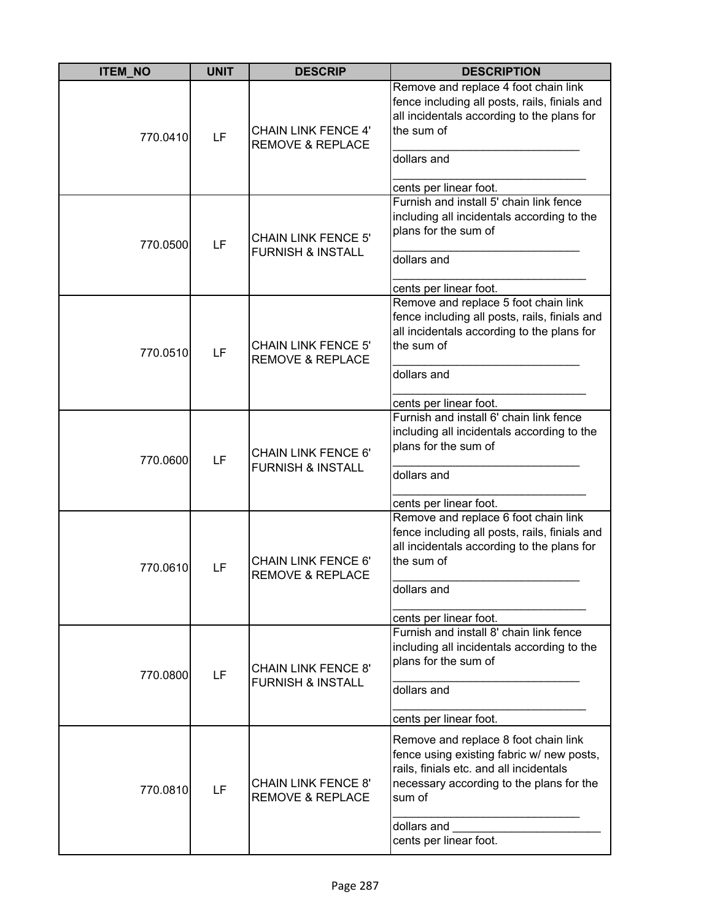| <b>ITEM_NO</b> | <b>UNIT</b> | <b>DESCRIP</b>                                             | <b>DESCRIPTION</b>                                                                                                                                                                                                          |
|----------------|-------------|------------------------------------------------------------|-----------------------------------------------------------------------------------------------------------------------------------------------------------------------------------------------------------------------------|
| 770.0410       | LF          | <b>CHAIN LINK FENCE 4'</b><br><b>REMOVE &amp; REPLACE</b>  | Remove and replace 4 foot chain link<br>fence including all posts, rails, finials and<br>all incidentals according to the plans for<br>the sum of<br>dollars and<br>cents per linear foot.                                  |
| 770.0500       | LF          | <b>CHAIN LINK FENCE 5'</b><br><b>FURNISH &amp; INSTALL</b> | Furnish and install 5' chain link fence<br>including all incidentals according to the<br>plans for the sum of<br>dollars and<br>cents per linear foot.                                                                      |
| 770.0510       | LF          | <b>CHAIN LINK FENCE 5'</b><br><b>REMOVE &amp; REPLACE</b>  | Remove and replace 5 foot chain link<br>fence including all posts, rails, finials and<br>all incidentals according to the plans for<br>the sum of<br>dollars and<br>cents per linear foot.                                  |
| 770.0600       | LF          | <b>CHAIN LINK FENCE 6'</b><br><b>FURNISH &amp; INSTALL</b> | Furnish and install 6' chain link fence<br>including all incidentals according to the<br>plans for the sum of<br>dollars and<br>cents per linear foot.                                                                      |
| 770.0610       | LF          | <b>CHAIN LINK FENCE 6'</b><br><b>REMOVE &amp; REPLACE</b>  | Remove and replace 6 foot chain link<br>fence including all posts, rails, finials and<br>all incidentals according to the plans for<br>the sum of<br>dollars and<br>cents per linear foot.                                  |
| 770.0800       | LF          | <b>CHAIN LINK FENCE 8'</b><br><b>FURNISH &amp; INSTALL</b> | Furnish and install 8' chain link fence<br>including all incidentals according to the<br>plans for the sum of<br>dollars and<br>cents per linear foot.                                                                      |
| 770.0810       | LF          | <b>CHAIN LINK FENCE 8'</b><br><b>REMOVE &amp; REPLACE</b>  | Remove and replace 8 foot chain link<br>fence using existing fabric w/ new posts,<br>rails, finials etc. and all incidentals<br>necessary according to the plans for the<br>sum of<br>dollars and<br>cents per linear foot. |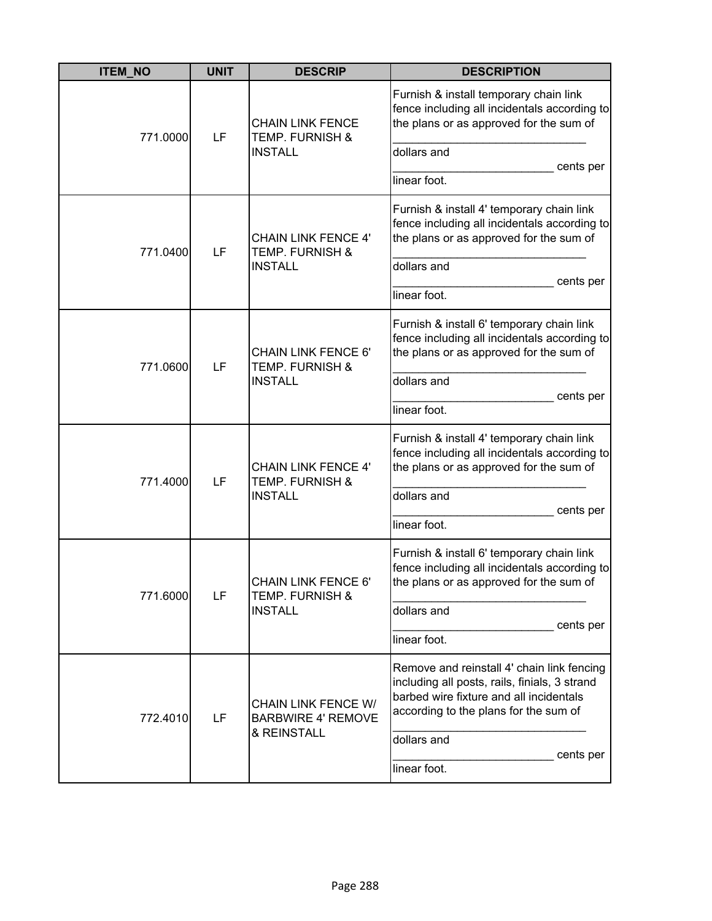| <b>ITEM_NO</b> | <b>UNIT</b> | <b>DESCRIP</b>                                                             | <b>DESCRIPTION</b>                                                                                                                                                              |
|----------------|-------------|----------------------------------------------------------------------------|---------------------------------------------------------------------------------------------------------------------------------------------------------------------------------|
| 771.0000       | LF          | <b>CHAIN LINK FENCE</b><br><b>TEMP. FURNISH &amp;</b>                      | Furnish & install temporary chain link<br>fence including all incidentals according to<br>the plans or as approved for the sum of                                               |
|                |             | <b>INSTALL</b>                                                             | dollars and<br>cents per                                                                                                                                                        |
|                |             |                                                                            | linear foot.                                                                                                                                                                    |
| 771.0400       | LF          | <b>CHAIN LINK FENCE 4'</b><br>TEMP. FURNISH &                              | Furnish & install 4' temporary chain link<br>fence including all incidentals according to<br>the plans or as approved for the sum of                                            |
|                |             | <b>INSTALL</b>                                                             | dollars and<br>cents per                                                                                                                                                        |
|                |             |                                                                            | linear foot.                                                                                                                                                                    |
|                | LF          | <b>CHAIN LINK FENCE 6'</b><br><b>TEMP. FURNISH &amp;</b><br><b>INSTALL</b> | Furnish & install 6' temporary chain link<br>fence including all incidentals according to<br>the plans or as approved for the sum of                                            |
| 771.0600       |             |                                                                            | dollars and                                                                                                                                                                     |
|                |             |                                                                            | cents per<br>linear foot.                                                                                                                                                       |
| 771.4000       | LF          | <b>CHAIN LINK FENCE 4'</b><br><b>TEMP. FURNISH &amp;</b><br><b>INSTALL</b> | Furnish & install 4' temporary chain link<br>fence including all incidentals according to<br>the plans or as approved for the sum of                                            |
|                |             |                                                                            | dollars and<br>cents per                                                                                                                                                        |
|                |             |                                                                            | linear foot.                                                                                                                                                                    |
| 771.6000       | LF          | CHAIN LINK FENCE 6'<br>TEMP. FURNISH &                                     | Furnish & install 6' temporary chain link<br>fence including all incidentals according to<br>the plans or as approved for the sum of                                            |
|                |             | <b>INSTALL</b>                                                             | dollars and<br>cents per                                                                                                                                                        |
|                |             |                                                                            | linear foot.                                                                                                                                                                    |
| 772.4010       | LF          | <b>CHAIN LINK FENCE W/</b><br><b>BARBWIRE 4' REMOVE</b><br>& REINSTALL     | Remove and reinstall 4' chain link fencing<br>including all posts, rails, finials, 3 strand<br>barbed wire fixture and all incidentals<br>according to the plans for the sum of |
|                |             |                                                                            | dollars and<br>cents per                                                                                                                                                        |
|                |             |                                                                            | linear foot.                                                                                                                                                                    |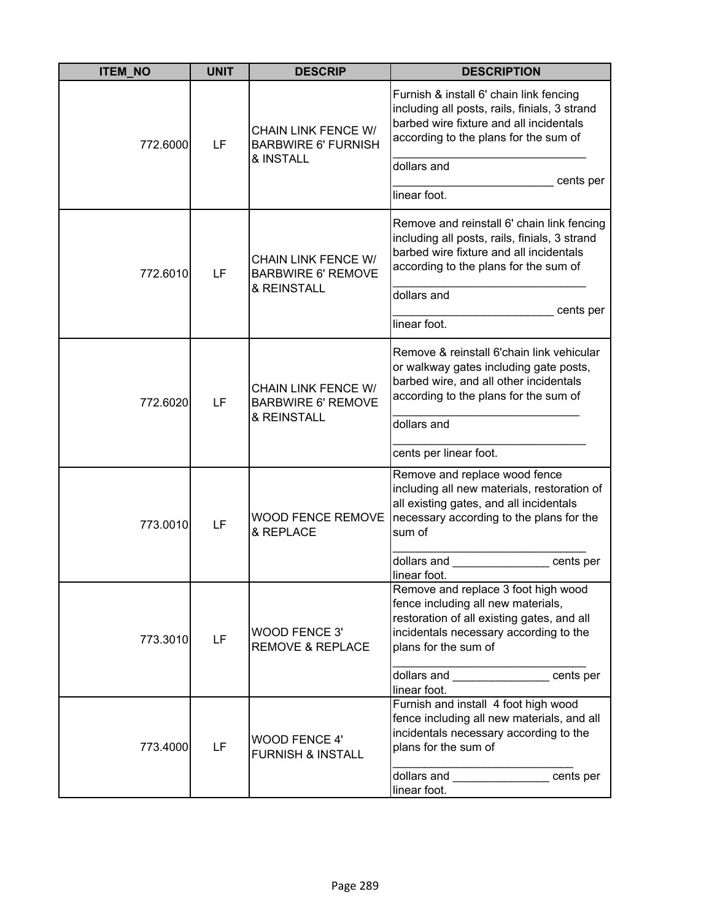| <b>ITEM_NO</b> | <b>UNIT</b> | <b>DESCRIP</b>                                                         | <b>DESCRIPTION</b>                                                                                                                                                                             |
|----------------|-------------|------------------------------------------------------------------------|------------------------------------------------------------------------------------------------------------------------------------------------------------------------------------------------|
| 772.6000       | LF          | <b>CHAIN LINK FENCE W/</b><br><b>BARBWIRE 6' FURNISH</b>               | Furnish & install 6' chain link fencing<br>including all posts, rails, finials, 3 strand<br>barbed wire fixture and all incidentals<br>according to the plans for the sum of                   |
|                |             | & INSTALL                                                              | dollars and<br>cents per<br>linear foot.                                                                                                                                                       |
| 772.6010       | LF          | <b>CHAIN LINK FENCE W/</b><br><b>BARBWIRE 6' REMOVE</b><br>& REINSTALL | Remove and reinstall 6' chain link fencing<br>including all posts, rails, finials, 3 strand<br>barbed wire fixture and all incidentals<br>according to the plans for the sum of<br>dollars and |
|                |             |                                                                        | cents per<br>linear foot.                                                                                                                                                                      |
| 772.6020       | LF          | <b>CHAIN LINK FENCE W/</b><br><b>BARBWIRE 6' REMOVE</b><br>& REINSTALL | Remove & reinstall 6'chain link vehicular<br>or walkway gates including gate posts,<br>barbed wire, and all other incidentals<br>according to the plans for the sum of<br>dollars and          |
|                |             |                                                                        | cents per linear foot.                                                                                                                                                                         |
| 773.0010       | LF          | <b>WOOD FENCE REMOVE</b><br>& REPLACE                                  | Remove and replace wood fence<br>including all new materials, restoration of<br>all existing gates, and all incidentals<br>necessary according to the plans for the<br>sum of                  |
|                |             |                                                                        | dollars and<br>cents per<br>linear foot.                                                                                                                                                       |
| 773.3010       | LF          | <b>WOOD FENCE 3'</b><br><b>REMOVE &amp; REPLACE</b>                    | Remove and replace 3 foot high wood<br>fence including all new materials,<br>restoration of all existing gates, and all<br>incidentals necessary according to the<br>plans for the sum of      |
|                |             |                                                                        | dollars and ________________ cents per<br>linear foot.                                                                                                                                         |
| 773.4000       | LF          | <b>WOOD FENCE 4'</b><br><b>FURNISH &amp; INSTALL</b>                   | Furnish and install 4 foot high wood<br>fence including all new materials, and all<br>incidentals necessary according to the<br>plans for the sum of                                           |
|                |             |                                                                        | dollars and ________________ cents per<br>linear foot.                                                                                                                                         |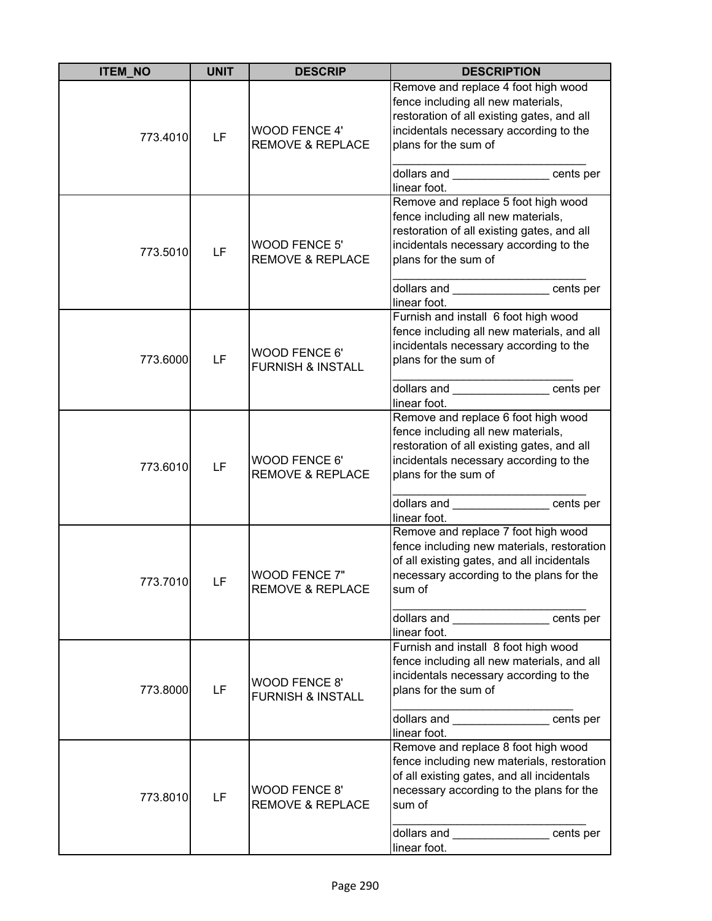| <b>ITEM_NO</b> | <b>UNIT</b> | <b>DESCRIP</b>                                       | <b>DESCRIPTION</b>                                                                                                                                                                                                                                   |
|----------------|-------------|------------------------------------------------------|------------------------------------------------------------------------------------------------------------------------------------------------------------------------------------------------------------------------------------------------------|
| 773.4010       | LF          | <b>WOOD FENCE 4'</b><br><b>REMOVE &amp; REPLACE</b>  | Remove and replace 4 foot high wood<br>fence including all new materials,<br>restoration of all existing gates, and all<br>incidentals necessary according to the<br>plans for the sum of<br>dollars and _______________ cents per<br>linear foot.   |
| 773.5010       | LF          | <b>WOOD FENCE 5'</b><br><b>REMOVE &amp; REPLACE</b>  | Remove and replace 5 foot high wood<br>fence including all new materials,<br>restoration of all existing gates, and all<br>incidentals necessary according to the<br>plans for the sum of<br>dollars and cents per<br>linear foot.                   |
| 773.6000       | LF          | WOOD FENCE 6'<br><b>FURNISH &amp; INSTALL</b>        | Furnish and install 6 foot high wood<br>fence including all new materials, and all<br>incidentals necessary according to the<br>plans for the sum of<br>dollars and _______________________cents per<br>linear foot.                                 |
| 773.6010       | LF          | <b>WOOD FENCE 6'</b><br><b>REMOVE &amp; REPLACE</b>  | Remove and replace 6 foot high wood<br>fence including all new materials,<br>restoration of all existing gates, and all<br>incidentals necessary according to the<br>plans for the sum of<br>dollars and __________________cents per<br>linear foot. |
| 773.7010       | <b>LF</b>   | WOOD FENCE 7"<br><b>REMOVE &amp; REPLACE</b>         | Remove and replace 7 foot high wood<br>fence including new materials, restoration<br>of all existing gates, and all incidentals<br>necessary according to the plans for the<br>sum of<br>dollars and cents per<br>linear foot.                       |
| 773.8000       | LF          | <b>WOOD FENCE 8'</b><br><b>FURNISH &amp; INSTALL</b> | Furnish and install 8 foot high wood<br>fence including all new materials, and all<br>incidentals necessary according to the<br>plans for the sum of<br>dollars and _______________ cents per<br>linear foot.                                        |
| 773.8010       | LF          | <b>WOOD FENCE 8'</b><br><b>REMOVE &amp; REPLACE</b>  | Remove and replace 8 foot high wood<br>fence including new materials, restoration<br>of all existing gates, and all incidentals<br>necessary according to the plans for the<br>sum of<br>dollars and ________________ cents per<br>linear foot.      |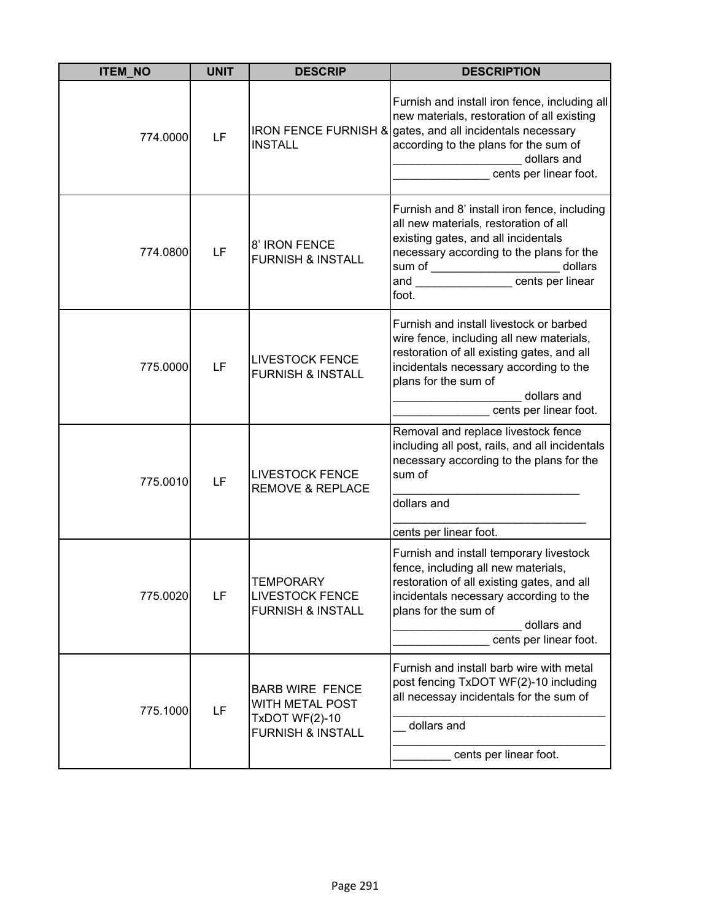| <b>ITEM_NO</b> | <b>UNIT</b> | <b>DESCRIP</b>                                                                                     | <b>DESCRIPTION</b>                                                                                                                                                                                                                           |
|----------------|-------------|----------------------------------------------------------------------------------------------------|----------------------------------------------------------------------------------------------------------------------------------------------------------------------------------------------------------------------------------------------|
| 774.0000       | LF          | <b>INSTALL</b>                                                                                     | Furnish and install iron fence, including all<br>new materials, restoration of all existing<br>IRON FENCE FURNISH & gates, and all incidentals necessary<br>according to the plans for the sum of<br>dollars and<br>cents per linear foot.   |
| 774.0800       | LF          | 8' IRON FENCE<br><b>FURNISH &amp; INSTALL</b>                                                      | Furnish and 8' install iron fence, including<br>all new materials, restoration of all<br>existing gates, and all incidentals<br>necessary according to the plans for the<br>dollars<br>and <u>Contract Counter</u> Cents per linear<br>foot. |
| 775.0000       | LF          | <b>LIVESTOCK FENCE</b><br><b>FURNISH &amp; INSTALL</b>                                             | Furnish and install livestock or barbed<br>wire fence, including all new materials,<br>restoration of all existing gates, and all<br>incidentals necessary according to the<br>plans for the sum of<br>dollars and<br>cents per linear foot. |
| 775.0010       | LF          | <b>LIVESTOCK FENCE</b><br><b>REMOVE &amp; REPLACE</b>                                              | Removal and replace livestock fence<br>including all post, rails, and all incidentals<br>necessary according to the plans for the<br>sum of<br>dollars and<br>cents per linear foot.                                                         |
| 775.0020       | LF          | <b>TEMPORARY</b><br><b>LIVESTOCK FENCE</b><br><b>FURNISH &amp; INSTALL</b>                         | Furnish and install temporary livestock<br>fence, including all new materials,<br>restoration of all existing gates, and all<br>incidentals necessary according to the<br>plans for the sum of<br>dollars and<br>cents per linear foot.      |
| 775.1000       | LF          | <b>BARB WIRE FENCE</b><br>WITH METAL POST<br><b>TxDOT WF(2)-10</b><br><b>FURNISH &amp; INSTALL</b> | Furnish and install barb wire with metal<br>post fencing TxDOT WF(2)-10 including<br>all necessay incidentals for the sum of<br>dollars and<br>cents per linear foot.                                                                        |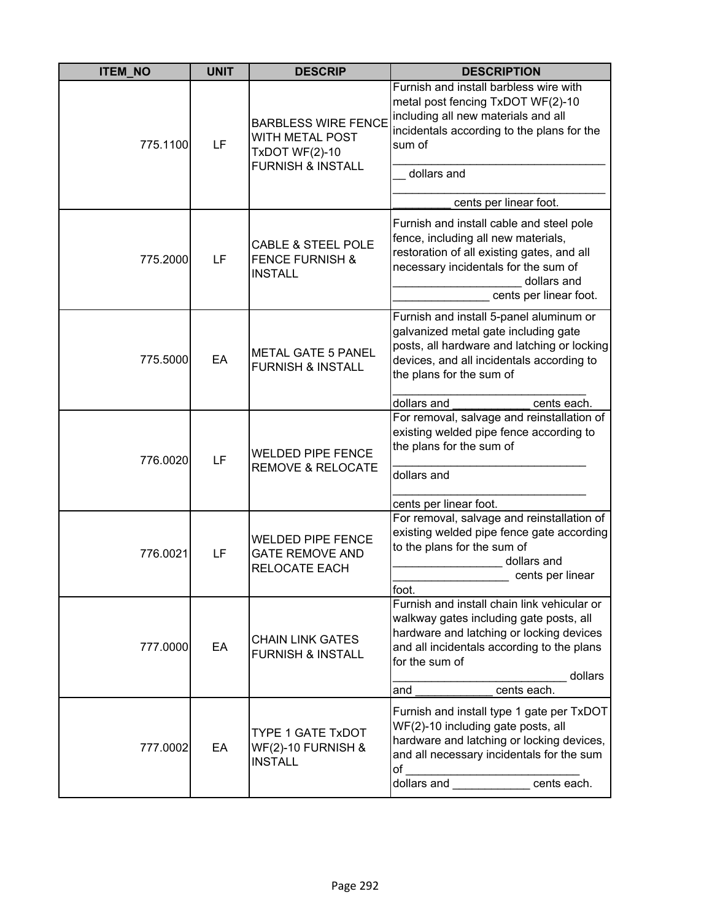| <b>ITEM_NO</b> | <b>UNIT</b> | <b>DESCRIP</b>                                                                                         | <b>DESCRIPTION</b>                                                                                                                                                                                                  |
|----------------|-------------|--------------------------------------------------------------------------------------------------------|---------------------------------------------------------------------------------------------------------------------------------------------------------------------------------------------------------------------|
| 775.1100       | LF          | <b>BARBLESS WIRE FENCE</b><br>WITH METAL POST<br><b>TxDOT WF(2)-10</b><br><b>FURNISH &amp; INSTALL</b> | Furnish and install barbless wire with<br>metal post fencing TxDOT WF(2)-10<br>including all new materials and all<br>incidentals according to the plans for the<br>sum of<br>dollars and<br>cents per linear foot. |
|                |             |                                                                                                        |                                                                                                                                                                                                                     |
| 775.2000       | LF          | <b>CABLE &amp; STEEL POLE</b><br><b>FENCE FURNISH &amp;</b><br><b>INSTALL</b>                          | Furnish and install cable and steel pole<br>fence, including all new materials,<br>restoration of all existing gates, and all<br>necessary incidentals for the sum of<br>dollars and<br>cents per linear foot.      |
| 775.5000       | EA          | <b>METAL GATE 5 PANEL</b><br><b>FURNISH &amp; INSTALL</b>                                              | Furnish and install 5-panel aluminum or<br>galvanized metal gate including gate<br>posts, all hardware and latching or locking<br>devices, and all incidentals according to<br>the plans for the sum of             |
|                |             |                                                                                                        | dollars and<br>cents each.<br>For removal, salvage and reinstallation of                                                                                                                                            |
| 776.0020       | LF          | <b>WELDED PIPE FENCE</b><br><b>REMOVE &amp; RELOCATE</b>                                               | existing welded pipe fence according to<br>the plans for the sum of<br>dollars and<br>cents per linear foot.                                                                                                        |
|                |             |                                                                                                        | For removal, salvage and reinstallation of                                                                                                                                                                          |
| 776.0021       | LF          | <b>WELDED PIPE FENCE</b><br><b>GATE REMOVE AND</b><br>RELOCATE EACH                                    | existing welded pipe fence gate according<br>to the plans for the sum of<br>dollars and<br>cents per linear<br>foot.                                                                                                |
| 777.0000       | EA          | <b>CHAIN LINK GATES</b><br><b>FURNISH &amp; INSTALL</b>                                                | Furnish and install chain link vehicular or<br>walkway gates including gate posts, all<br>hardware and latching or locking devices<br>and all incidentals according to the plans<br>for the sum of<br>dollars       |
|                |             |                                                                                                        | cents each.<br>and                                                                                                                                                                                                  |
| 777.0002       | EA          | <b>TYPE 1 GATE TxDOT</b><br><b>WF(2)-10 FURNISH &amp;</b><br><b>INSTALL</b>                            | Furnish and install type 1 gate per TxDOT<br>WF(2)-10 including gate posts, all<br>hardware and latching or locking devices,<br>and all necessary incidentals for the sum<br>of<br>dollars and <b>cents</b> each.   |
|                |             |                                                                                                        |                                                                                                                                                                                                                     |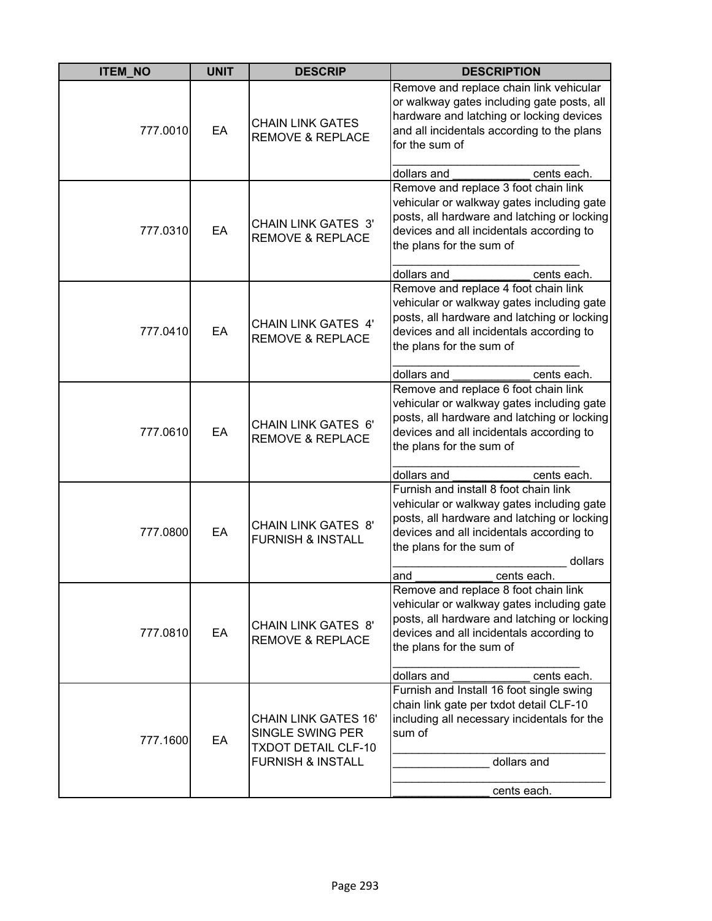| <b>ITEM_NO</b> | <b>UNIT</b> | <b>DESCRIP</b>                                                                                                | <b>DESCRIPTION</b>                                                                                                                                                                                                                         |
|----------------|-------------|---------------------------------------------------------------------------------------------------------------|--------------------------------------------------------------------------------------------------------------------------------------------------------------------------------------------------------------------------------------------|
| 777.0010       | EA          | <b>CHAIN LINK GATES</b><br><b>REMOVE &amp; REPLACE</b>                                                        | Remove and replace chain link vehicular<br>or walkway gates including gate posts, all<br>hardware and latching or locking devices<br>and all incidentals according to the plans<br>for the sum of                                          |
|                |             |                                                                                                               | dollars and<br>cents each.                                                                                                                                                                                                                 |
| 777.0310       | EA          | <b>CHAIN LINK GATES 3'</b><br><b>REMOVE &amp; REPLACE</b>                                                     | Remove and replace 3 foot chain link<br>vehicular or walkway gates including gate<br>posts, all hardware and latching or locking<br>devices and all incidentals according to<br>the plans for the sum of<br>dollars and<br>cents each.     |
| 777.0410       | EA          | <b>CHAIN LINK GATES 4'</b><br><b>REMOVE &amp; REPLACE</b>                                                     | Remove and replace 4 foot chain link<br>vehicular or walkway gates including gate<br>posts, all hardware and latching or locking<br>devices and all incidentals according to<br>the plans for the sum of<br>dollars and<br>cents each.     |
| 777.0610       | EA          | <b>CHAIN LINK GATES 6'</b><br><b>REMOVE &amp; REPLACE</b>                                                     | Remove and replace 6 foot chain link<br>vehicular or walkway gates including gate<br>posts, all hardware and latching or locking<br>devices and all incidentals according to<br>the plans for the sum of                                   |
|                |             |                                                                                                               | dollars and<br>cents each.                                                                                                                                                                                                                 |
| 777.0800       | EA          | <b>CHAIN LINK GATES 8'</b><br><b>FURNISH &amp; INSTALL</b>                                                    | Furnish and install 8 foot chain link<br>vehicular or walkway gates including gate<br>posts, all hardware and latching or locking<br>devices and all incidentals according to<br>the plans for the sum of<br>dollars<br>cents each.<br>and |
| 777.0810       | EA          | <b>CHAIN LINK GATES 8'</b><br><b>REMOVE &amp; REPLACE</b>                                                     | Remove and replace 8 foot chain link<br>vehicular or walkway gates including gate<br>posts, all hardware and latching or locking<br>devices and all incidentals according to<br>the plans for the sum of<br>dollars and<br>cents each.     |
| 777.1600       | EA          | <b>CHAIN LINK GATES 16'</b><br>SINGLE SWING PER<br><b>TXDOT DETAIL CLF-10</b><br><b>FURNISH &amp; INSTALL</b> | Furnish and Install 16 foot single swing<br>chain link gate per txdot detail CLF-10<br>including all necessary incidentals for the<br>sum of<br>dollars and<br>cents each.                                                                 |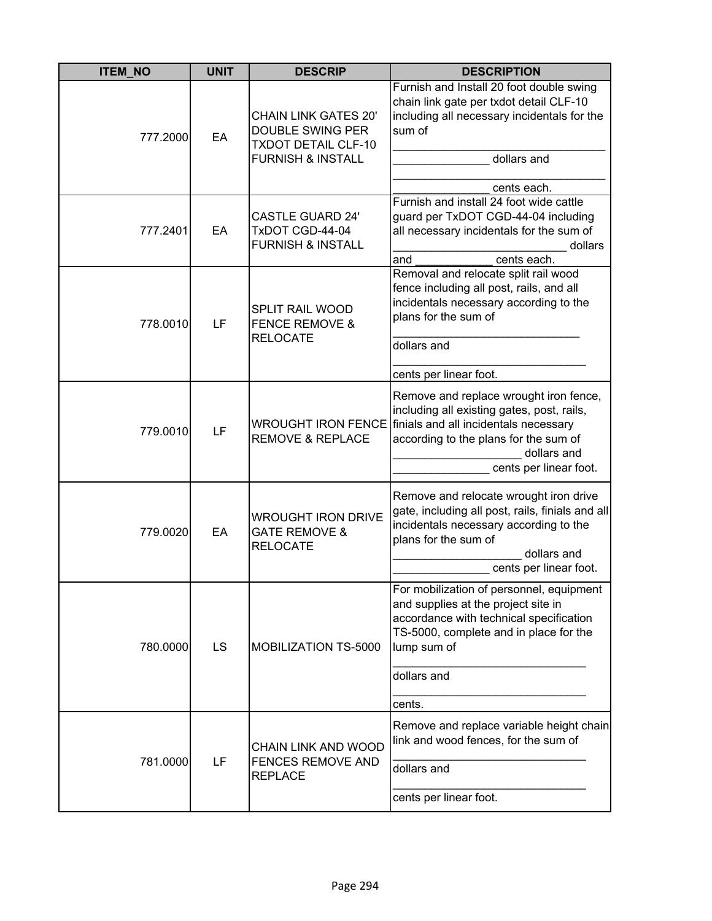| <b>ITEM NO</b> | <b>UNIT</b> | <b>DESCRIP</b>                                                                                                | <b>DESCRIPTION</b>                                                                                                                                                                                                                 |
|----------------|-------------|---------------------------------------------------------------------------------------------------------------|------------------------------------------------------------------------------------------------------------------------------------------------------------------------------------------------------------------------------------|
| 777.2000       | EA          | <b>CHAIN LINK GATES 20'</b><br>DOUBLE SWING PER<br><b>TXDOT DETAIL CLF-10</b><br><b>FURNISH &amp; INSTALL</b> | Furnish and Install 20 foot double swing<br>chain link gate per txdot detail CLF-10<br>including all necessary incidentals for the<br>sum of<br>dollars and<br>cents each.                                                         |
| 777.2401       | EA          | <b>CASTLE GUARD 24'</b><br>TxDOT CGD-44-04<br><b>FURNISH &amp; INSTALL</b>                                    | Furnish and install 24 foot wide cattle<br>guard per TxDOT CGD-44-04 including<br>all necessary incidentals for the sum of<br>dollars<br>cents each.<br>and                                                                        |
| 778.0010       | LF          | SPLIT RAIL WOOD<br><b>FENCE REMOVE &amp;</b><br><b>RELOCATE</b>                                               | Removal and relocate split rail wood<br>fence including all post, rails, and all<br>incidentals necessary according to the<br>plans for the sum of<br>dollars and<br>cents per linear foot.                                        |
| 779.0010       | LF          | <b>REMOVE &amp; REPLACE</b>                                                                                   | Remove and replace wrought iron fence,<br>including all existing gates, post, rails,<br>WROUGHT IRON FENCE finials and all incidentals necessary<br>according to the plans for the sum of<br>dollars and<br>cents per linear foot. |
| 779.0020       | EA          | <b>WROUGHT IRON DRIVE</b><br><b>GATE REMOVE &amp;</b><br><b>RELOCATE</b>                                      | Remove and relocate wrought iron drive<br>gate, including all post, rails, finials and all<br>incidentals necessary according to the<br>plans for the sum of<br>dollars and<br>cents per linear foot.                              |
| 780.0000       | LS          | MOBILIZATION TS-5000                                                                                          | For mobilization of personnel, equipment<br>and supplies at the project site in<br>accordance with technical specification<br>TS-5000, complete and in place for the<br>lump sum of<br>dollars and<br>cents.                       |
| 781.0000       | LF          | CHAIN LINK AND WOOD<br>FENCES REMOVE AND<br><b>REPLACE</b>                                                    | Remove and replace variable height chain<br>link and wood fences, for the sum of<br>dollars and<br>cents per linear foot.                                                                                                          |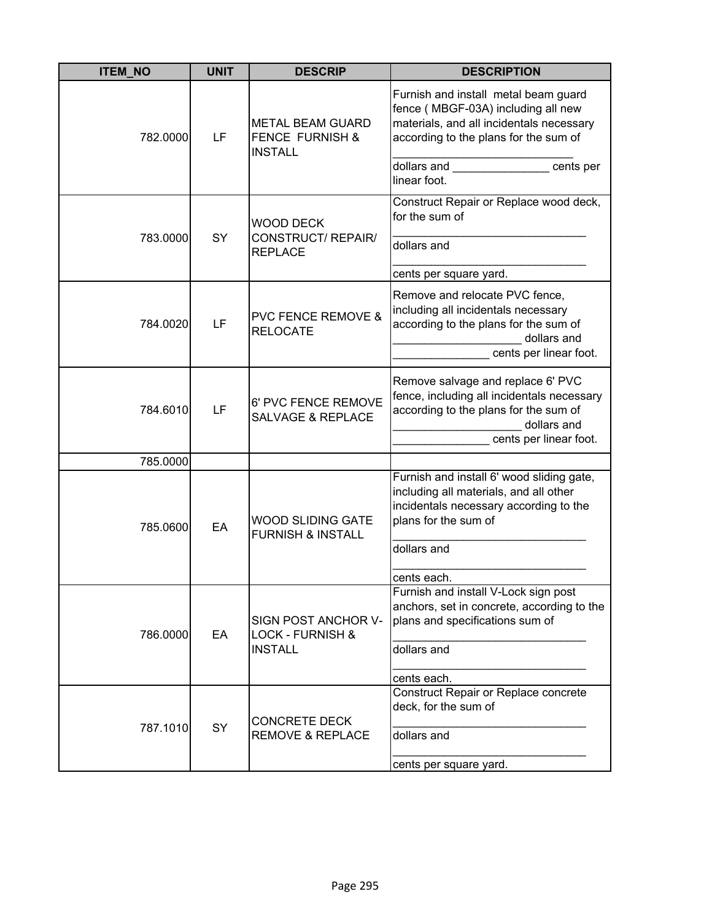| <b>ITEM_NO</b> | <b>UNIT</b> | <b>DESCRIP</b>                                                          | <b>DESCRIPTION</b>                                                                                                                                                                                                                                         |
|----------------|-------------|-------------------------------------------------------------------------|------------------------------------------------------------------------------------------------------------------------------------------------------------------------------------------------------------------------------------------------------------|
| 782.0000       | LF          | <b>METAL BEAM GUARD</b><br><b>FENCE FURNISH &amp;</b><br><b>INSTALL</b> | Furnish and install metal beam guard<br>fence (MBGF-03A) including all new<br>materials, and all incidentals necessary<br>according to the plans for the sum of                                                                                            |
|                |             |                                                                         | dollars and the control of the control of the control of the control of the control of the control of the control of the control of the control of the control of the control of the control of the control of the control of<br>cents per<br>linear foot. |
| 783.0000       | SY          | WOOD DECK<br>CONSTRUCT/REPAIR/                                          | Construct Repair or Replace wood deck,<br>for the sum of<br>dollars and                                                                                                                                                                                    |
|                |             | <b>REPLACE</b>                                                          | cents per square yard.                                                                                                                                                                                                                                     |
| 784.0020       | LF          | <b>PVC FENCE REMOVE &amp;</b><br><b>RELOCATE</b>                        | Remove and relocate PVC fence,<br>including all incidentals necessary<br>according to the plans for the sum of<br>dollars and<br>cents per linear foot.                                                                                                    |
| 784.6010       | LF          | 6' PVC FENCE REMOVE<br><b>SALVAGE &amp; REPLACE</b>                     | Remove salvage and replace 6' PVC<br>fence, including all incidentals necessary<br>according to the plans for the sum of<br>dollars and<br>cents per linear foot.                                                                                          |
| 785.0000       |             |                                                                         |                                                                                                                                                                                                                                                            |
| 785.0600       | EA          | <b>WOOD SLIDING GATE</b><br><b>FURNISH &amp; INSTALL</b>                | Furnish and install 6' wood sliding gate,<br>including all materials, and all other<br>incidentals necessary according to the<br>plans for the sum of<br>dollars and                                                                                       |
|                |             |                                                                         | cents each.                                                                                                                                                                                                                                                |
| 786.0000       | EA          | SIGN POST ANCHOR V-<br><b>LOCK - FURNISH &amp;</b><br><b>INSTALL</b>    | Furnish and install V-Lock sign post<br>anchors, set in concrete, according to the<br>plans and specifications sum of<br>dollars and                                                                                                                       |
|                |             |                                                                         | cents each.                                                                                                                                                                                                                                                |
| 787.1010       | SY          | <b>CONCRETE DECK</b><br><b>REMOVE &amp; REPLACE</b>                     | Construct Repair or Replace concrete<br>deck, for the sum of<br>dollars and                                                                                                                                                                                |
|                |             |                                                                         | cents per square yard.                                                                                                                                                                                                                                     |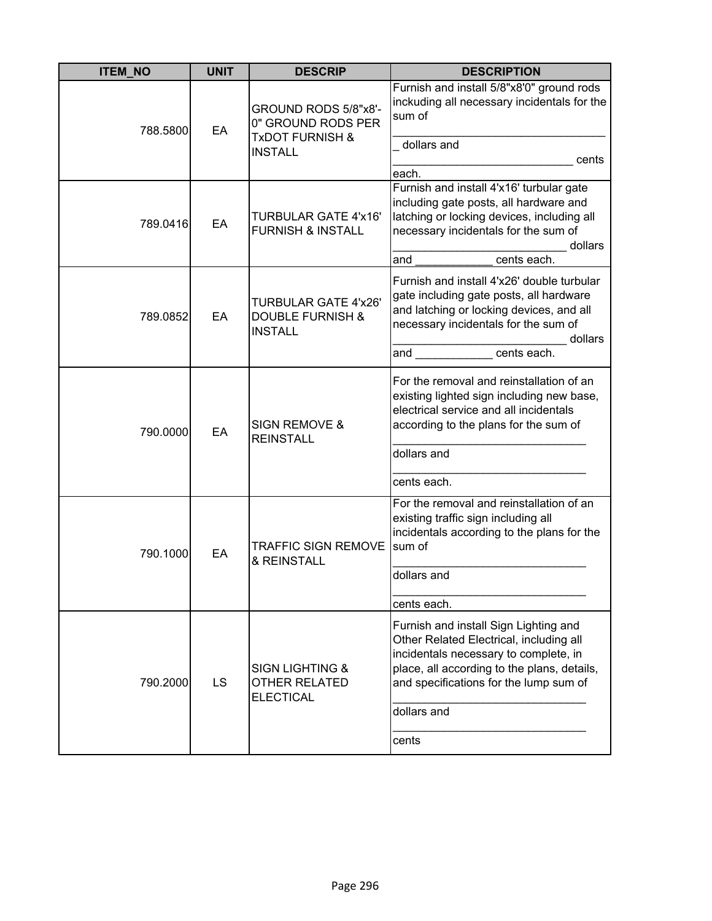| <b>ITEM_NO</b> | <b>UNIT</b> | <b>DESCRIP</b>                                                               | <b>DESCRIPTION</b>                                                                                                                                                                                                                            |
|----------------|-------------|------------------------------------------------------------------------------|-----------------------------------------------------------------------------------------------------------------------------------------------------------------------------------------------------------------------------------------------|
| 788.5800       | EA          | GROUND RODS 5/8"x8'-<br>0" GROUND RODS PER<br><b>TxDOT FURNISH &amp;</b>     | Furnish and install 5/8"x8'0" ground rods<br>inckuding all necessary incidentals for the<br>sum of                                                                                                                                            |
|                |             | <b>INSTALL</b>                                                               | dollars and<br>cents<br>each.                                                                                                                                                                                                                 |
| 789.0416       | EA          | <b>TURBULAR GATE 4'x16'</b><br><b>FURNISH &amp; INSTALL</b>                  | Furnish and install 4'x16' turbular gate<br>including gate posts, all hardware and<br>latching or locking devices, including all<br>necessary incidentals for the sum of<br>dollars<br>cents each.<br>and                                     |
|                |             |                                                                              |                                                                                                                                                                                                                                               |
| 789.0852       | EA          | <b>TURBULAR GATE 4'x26'</b><br><b>DOUBLE FURNISH &amp;</b><br><b>INSTALL</b> | Furnish and install 4'x26' double turbular<br>gate including gate posts, all hardware<br>and latching or locking devices, and all<br>necessary incidentals for the sum of<br>dollars                                                          |
|                |             |                                                                              | cents each.<br>and the contract of the contract of the contract of the contract of the contract of the contract of the contract of the contract of the contract of the contract of the contract of the contract of the contract of the contra |
| 790.0000       | EA          | <b>SIGN REMOVE &amp;</b><br><b>REINSTALL</b>                                 | For the removal and reinstallation of an<br>existing lighted sign including new base,<br>electrical service and all incidentals<br>according to the plans for the sum of<br>dollars and                                                       |
|                |             |                                                                              | cents each.                                                                                                                                                                                                                                   |
| 790.1000       | EA          | <b>TRAFFIC SIGN REMOVE</b><br>& REINSTALL                                    | For the removal and reinstallation of an<br>existing traffic sign including all<br>incidentals according to the plans for the<br>sum of                                                                                                       |
|                |             |                                                                              | dollars and                                                                                                                                                                                                                                   |
|                |             |                                                                              | cents each.                                                                                                                                                                                                                                   |
| 790.2000       | LS          | <b>SIGN LIGHTING &amp;</b><br><b>OTHER RELATED</b><br><b>ELECTICAL</b>       | Furnish and install Sign Lighting and<br>Other Related Electrical, including all<br>incidentals necessary to complete, in<br>place, all according to the plans, details,<br>and specifications for the lump sum of<br>dollars and             |
|                |             |                                                                              | cents                                                                                                                                                                                                                                         |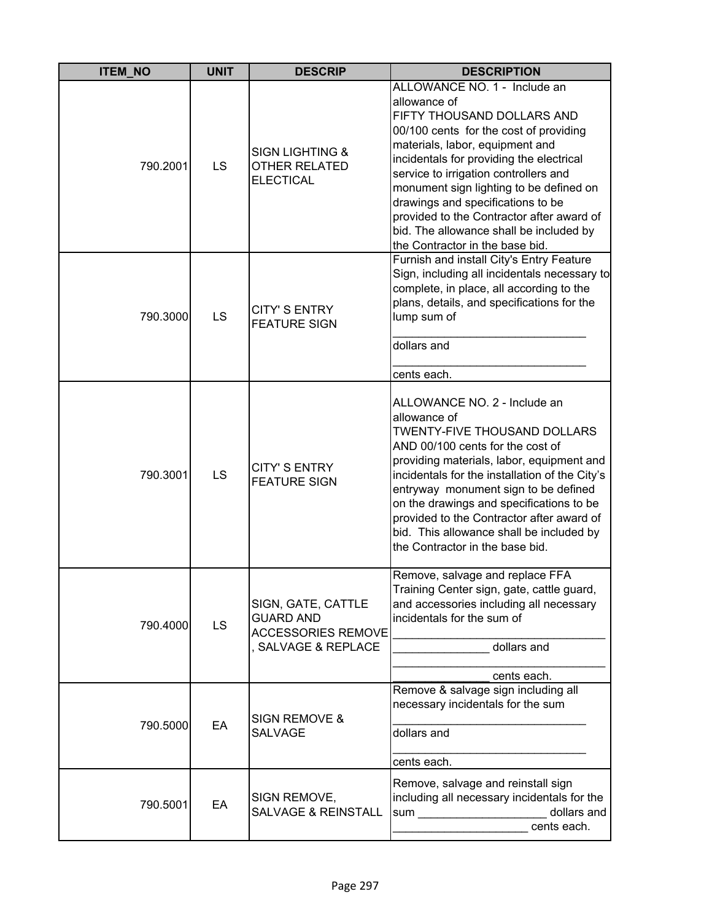| <b>ITEM_NO</b> | <b>UNIT</b> | <b>DESCRIP</b>                                                                           | <b>DESCRIPTION</b>                                                                                                                                                                                                                                                                                                                                                                                                                                      |
|----------------|-------------|------------------------------------------------------------------------------------------|---------------------------------------------------------------------------------------------------------------------------------------------------------------------------------------------------------------------------------------------------------------------------------------------------------------------------------------------------------------------------------------------------------------------------------------------------------|
| 790.2001       | LS          | <b>SIGN LIGHTING &amp;</b><br><b>OTHER RELATED</b><br><b>ELECTICAL</b>                   | ALLOWANCE NO. 1 - Include an<br>allowance of<br>FIFTY THOUSAND DOLLARS AND<br>00/100 cents for the cost of providing<br>materials, labor, equipment and<br>incidentals for providing the electrical<br>service to irrigation controllers and<br>monument sign lighting to be defined on<br>drawings and specifications to be<br>provided to the Contractor after award of<br>bid. The allowance shall be included by<br>the Contractor in the base bid. |
| 790.3000       | LS          | <b>CITY'S ENTRY</b><br><b>FEATURE SIGN</b>                                               | Furnish and install City's Entry Feature<br>Sign, including all incidentals necessary to<br>complete, in place, all according to the<br>plans, details, and specifications for the<br>lump sum of<br>dollars and<br>cents each.                                                                                                                                                                                                                         |
| 790.3001       | LS          | <b>CITY'S ENTRY</b><br><b>FEATURE SIGN</b>                                               | ALLOWANCE NO. 2 - Include an<br>allowance of<br><b>TWENTY-FIVE THOUSAND DOLLARS</b><br>AND 00/100 cents for the cost of<br>providing materials, labor, equipment and<br>incidentals for the installation of the City's<br>entryway monument sign to be defined<br>on the drawings and specifications to be<br>provided to the Contractor after award of<br>bid. This allowance shall be included by<br>the Contractor in the base bid.                  |
| 790.4000       | <b>LS</b>   | SIGN, GATE, CATTLE<br><b>GUARD AND</b><br><b>ACCESSORIES REMOVE</b><br>SALVAGE & REPLACE | Remove, salvage and replace FFA<br>Training Center sign, gate, cattle guard,<br>and accessories including all necessary<br>incidentals for the sum of<br>dollars and<br>cents each.                                                                                                                                                                                                                                                                     |
| 790.5000       | EA          | <b>SIGN REMOVE &amp;</b><br><b>SALVAGE</b>                                               | Remove & salvage sign including all<br>necessary incidentals for the sum<br>dollars and<br>cents each.                                                                                                                                                                                                                                                                                                                                                  |
| 790.5001       | EA          | SIGN REMOVE,<br><b>SALVAGE &amp; REINSTALL</b>                                           | Remove, salvage and reinstall sign<br>including all necessary incidentals for the<br>dollars and<br>cents each.                                                                                                                                                                                                                                                                                                                                         |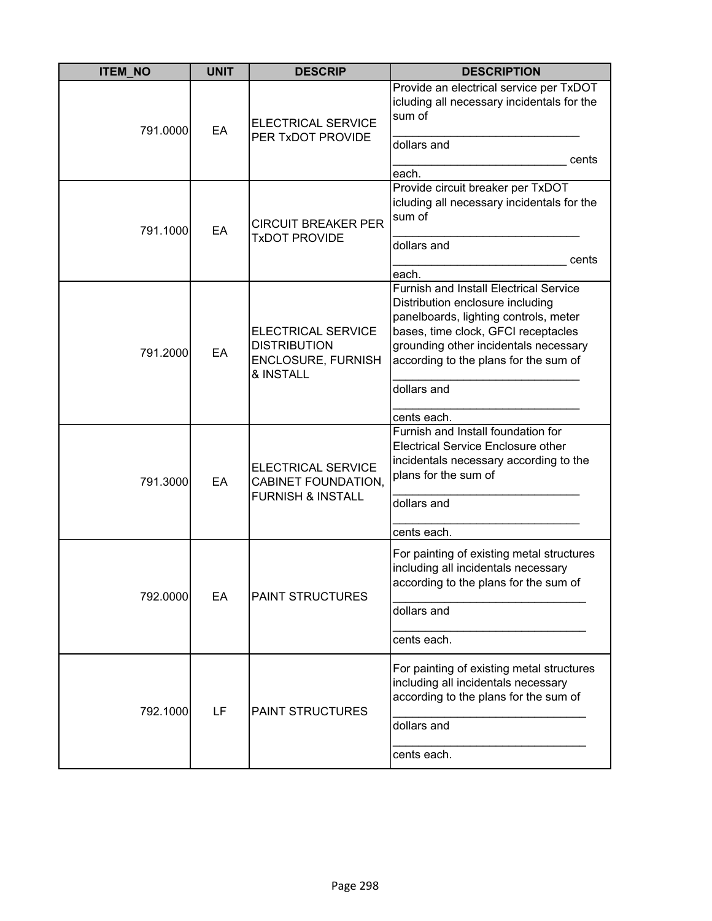| <b>ITEM_NO</b> | <b>UNIT</b> | <b>DESCRIP</b>                                                                             | <b>DESCRIPTION</b>                                                                                                                                                                                                                                                                |
|----------------|-------------|--------------------------------------------------------------------------------------------|-----------------------------------------------------------------------------------------------------------------------------------------------------------------------------------------------------------------------------------------------------------------------------------|
| 791.0000       | EA          | <b>ELECTRICAL SERVICE</b><br>PER TxDOT PROVIDE                                             | Provide an electrical service per TxDOT<br>icluding all necessary incidentals for the<br>sum of<br>dollars and<br>cents<br>each.                                                                                                                                                  |
| 791.1000       | EA          | <b>CIRCUIT BREAKER PER</b><br><b>TxDOT PROVIDE</b>                                         | Provide circuit breaker per TxDOT<br>icluding all necessary incidentals for the<br>sum of<br>dollars and<br>cents<br>each.                                                                                                                                                        |
| 791.2000       | EA          | <b>ELECTRICAL SERVICE</b><br><b>DISTRIBUTION</b><br><b>ENCLOSURE, FURNISH</b><br>& INSTALL | <b>Furnish and Install Electrical Service</b><br>Distribution enclosure including<br>panelboards, lighting controls, meter<br>bases, time clock, GFCI receptacles<br>grounding other incidentals necessary<br>according to the plans for the sum of<br>dollars and<br>cents each. |
| 791.3000       | EA          | <b>ELECTRICAL SERVICE</b><br>CABINET FOUNDATION,<br><b>FURNISH &amp; INSTALL</b>           | Furnish and Install foundation for<br><b>Electrical Service Enclosure other</b><br>incidentals necessary according to the<br>plans for the sum of<br>dollars and<br>cents each.                                                                                                   |
| 792.0000       | EA          | <b>PAINT STRUCTURES</b>                                                                    | For painting of existing metal structures<br>including all incidentals necessary<br>according to the plans for the sum of<br>dollars and<br>cents each.                                                                                                                           |
| 792.1000       | LF          | <b>PAINT STRUCTURES</b>                                                                    | For painting of existing metal structures<br>including all incidentals necessary<br>according to the plans for the sum of<br>dollars and<br>cents each.                                                                                                                           |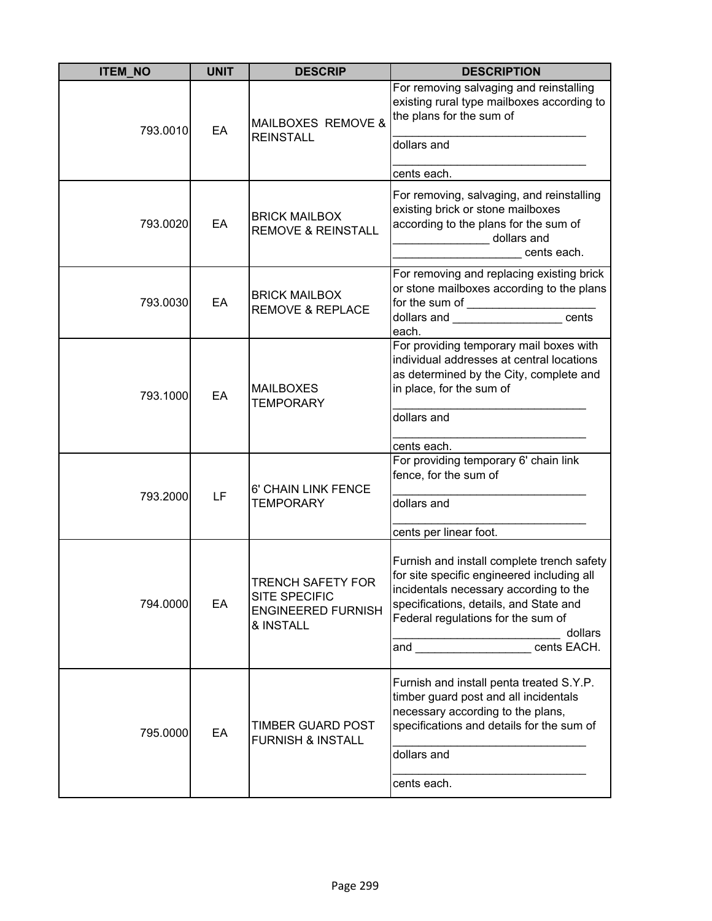| <b>ITEM_NO</b> | <b>UNIT</b> | <b>DESCRIP</b>                                                                      | <b>DESCRIPTION</b>                                                                                                                                                                                                                               |
|----------------|-------------|-------------------------------------------------------------------------------------|--------------------------------------------------------------------------------------------------------------------------------------------------------------------------------------------------------------------------------------------------|
| 793.0010       | EA          | MAILBOXES REMOVE &<br><b>REINSTALL</b>                                              | For removing salvaging and reinstalling<br>existing rural type mailboxes according to<br>the plans for the sum of<br>dollars and<br>cents each.                                                                                                  |
| 793.0020       | EA          | <b>BRICK MAILBOX</b><br><b>REMOVE &amp; REINSTALL</b>                               | For removing, salvaging, and reinstalling<br>existing brick or stone mailboxes<br>according to the plans for the sum of<br>dollars and<br>cents each.                                                                                            |
| 793.0030       | EA          | <b>BRICK MAILBOX</b><br><b>REMOVE &amp; REPLACE</b>                                 | For removing and replacing existing brick<br>or stone mailboxes according to the plans<br>dollars and _________________________cents<br>each.                                                                                                    |
| 793.1000       | EA          | <b>MAILBOXES</b><br><b>TEMPORARY</b>                                                | For providing temporary mail boxes with<br>individual addresses at central locations<br>as determined by the City, complete and<br>in place, for the sum of<br>dollars and<br>cents each.                                                        |
| 793.2000       | LF          | 6' CHAIN LINK FENCE<br><b>TEMPORARY</b>                                             | For providing temporary 6' chain link<br>fence, for the sum of<br>dollars and<br>cents per linear foot.                                                                                                                                          |
| 794.0000       | EA          | <b>TRENCH SAFETY FOR</b><br>SITE SPECIFIC<br><b>ENGINEERED FURNISH</b><br>& INSTALL | Furnish and install complete trench safety<br>for site specific engineered including all<br>incidentals necessary according to the<br>specifications, details, and State and<br>Federal regulations for the sum of<br>dollars<br>and cents EACH. |
| 795.0000       | EA          | <b>TIMBER GUARD POST</b><br><b>FURNISH &amp; INSTALL</b>                            | Furnish and install penta treated S.Y.P.<br>timber guard post and all incidentals<br>necessary according to the plans,<br>specifications and details for the sum of<br>dollars and<br>cents each.                                                |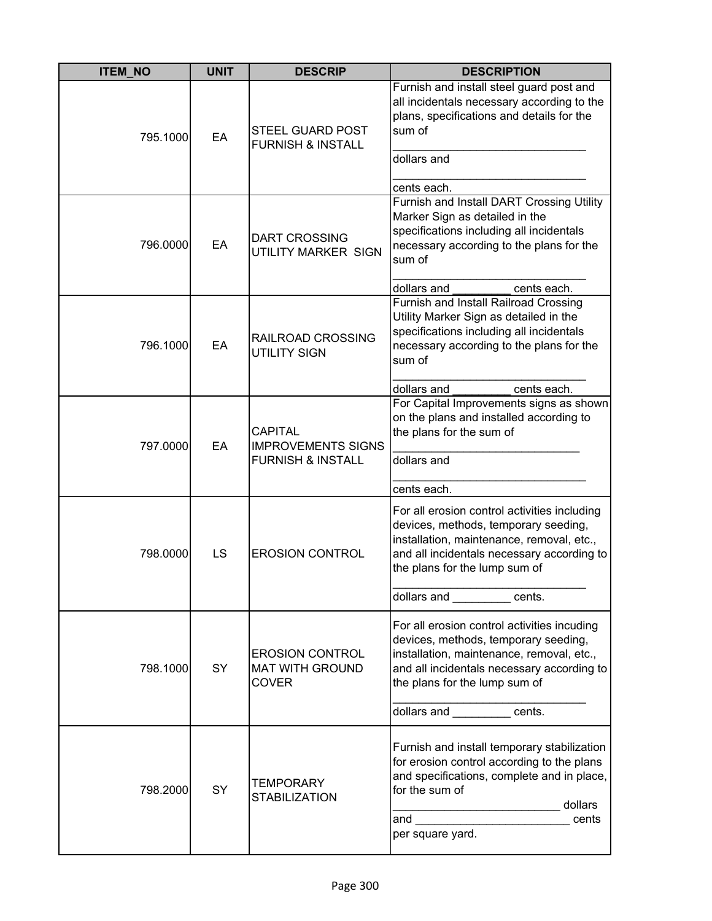| <b>ITEM_NO</b> | <b>UNIT</b> | <b>DESCRIP</b>                                                              | <b>DESCRIPTION</b>                                                                                                                                                                                                                             |
|----------------|-------------|-----------------------------------------------------------------------------|------------------------------------------------------------------------------------------------------------------------------------------------------------------------------------------------------------------------------------------------|
| 795.1000       | EA          | <b>STEEL GUARD POST</b><br><b>FURNISH &amp; INSTALL</b>                     | Furnish and install steel guard post and<br>all incidentals necessary according to the<br>plans, specifications and details for the<br>sum of<br>dollars and<br>cents each.                                                                    |
| 796.0000       | EA          | <b>DART CROSSING</b><br>UTILITY MARKER SIGN                                 | Furnish and Install DART Crossing Utility<br>Marker Sign as detailed in the<br>specifications including all incidentals<br>necessary according to the plans for the<br>sum of<br>dollars and<br>cents each.                                    |
| 796.1000       | EA          | RAILROAD CROSSING<br><b>UTILITY SIGN</b>                                    | Furnish and Install Railroad Crossing<br>Utility Marker Sign as detailed in the<br>specifications including all incidentals<br>necessary according to the plans for the<br>sum of<br>dollars and<br>cents each.                                |
| 797.0000       | EA          | <b>CAPITAL</b><br><b>IMPROVEMENTS SIGNS</b><br><b>FURNISH &amp; INSTALL</b> | For Capital Improvements signs as shown<br>on the plans and installed according to<br>the plans for the sum of<br>dollars and<br>cents each.                                                                                                   |
| 798.0000       | LS          | <b>EROSION CONTROL</b>                                                      | For all erosion control activities including<br>devices, methods, temporary seeding,<br>installation, maintenance, removal, etc.,<br>and all incidentals necessary according to<br>the plans for the lump sum of<br>dollars and <b>cents</b> . |
| 798.1000       | SY          | <b>EROSION CONTROL</b><br><b>MAT WITH GROUND</b><br><b>COVER</b>            | For all erosion control activities incuding<br>devices, methods, temporary seeding,<br>installation, maintenance, removal, etc.,<br>and all incidentals necessary according to<br>the plans for the lump sum of<br>dollars and ents.           |
| 798.2000       | SY          | <b>TEMPORARY</b><br><b>STABILIZATION</b>                                    | Furnish and install temporary stabilization<br>for erosion control according to the plans<br>and specifications, complete and in place,<br>for the sum of<br>dollars<br>and <u>____________________</u><br>cents<br>per square yard.           |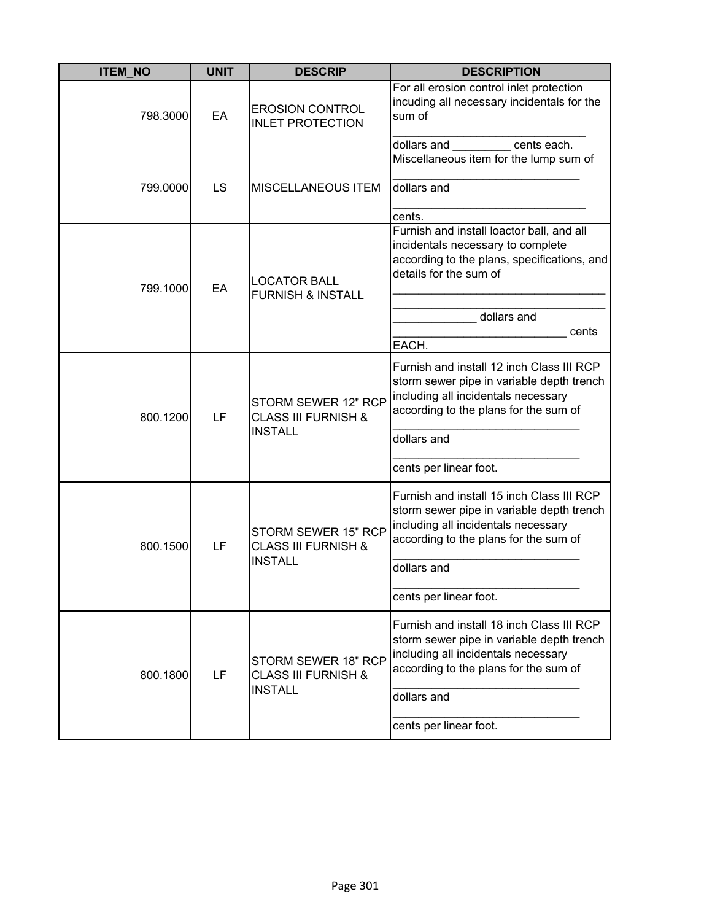| <b>ITEM NO</b> | <b>UNIT</b> | <b>DESCRIP</b>                                                          | <b>DESCRIPTION</b>                                                                                                                                                                                              |
|----------------|-------------|-------------------------------------------------------------------------|-----------------------------------------------------------------------------------------------------------------------------------------------------------------------------------------------------------------|
| 798.3000       | EA          | <b>EROSION CONTROL</b><br><b>INLET PROTECTION</b>                       | For all erosion control inlet protection<br>incuding all necessary incidentals for the<br>sum of<br>dollars and<br>cents each.                                                                                  |
|                |             |                                                                         | Miscellaneous item for the lump sum of                                                                                                                                                                          |
| 799.0000       | LS          | <b>MISCELLANEOUS ITEM</b>                                               | dollars and<br>cents.                                                                                                                                                                                           |
| 799.1000       | EA          | <b>LOCATOR BALL</b><br><b>FURNISH &amp; INSTALL</b>                     | Furnish and install loactor ball, and all<br>incidentals necessary to complete<br>according to the plans, specifications, and<br>details for the sum of<br>dollars and<br>cents<br>EACH.                        |
| 800.1200       | LF          | STORM SEWER 12" RCP<br><b>CLASS III FURNISH &amp;</b><br><b>INSTALL</b> | Furnish and install 12 inch Class III RCP<br>storm sewer pipe in variable depth trench<br>including all incidentals necessary<br>according to the plans for the sum of<br>dollars and<br>cents per linear foot. |
| 800.1500       | LF          | STORM SEWER 15" RCP<br><b>CLASS III FURNISH &amp;</b><br><b>INSTALL</b> | Furnish and install 15 inch Class III RCP<br>storm sewer pipe in variable depth trench<br>including all incidentals necessary<br>according to the plans for the sum of<br>dollars and<br>cents per linear foot. |
| 800.1800       | LF          | STORM SEWER 18" RCP<br><b>CLASS III FURNISH &amp;</b><br><b>INSTALL</b> | Furnish and install 18 inch Class III RCP<br>storm sewer pipe in variable depth trench<br>including all incidentals necessary<br>according to the plans for the sum of<br>dollars and<br>cents per linear foot. |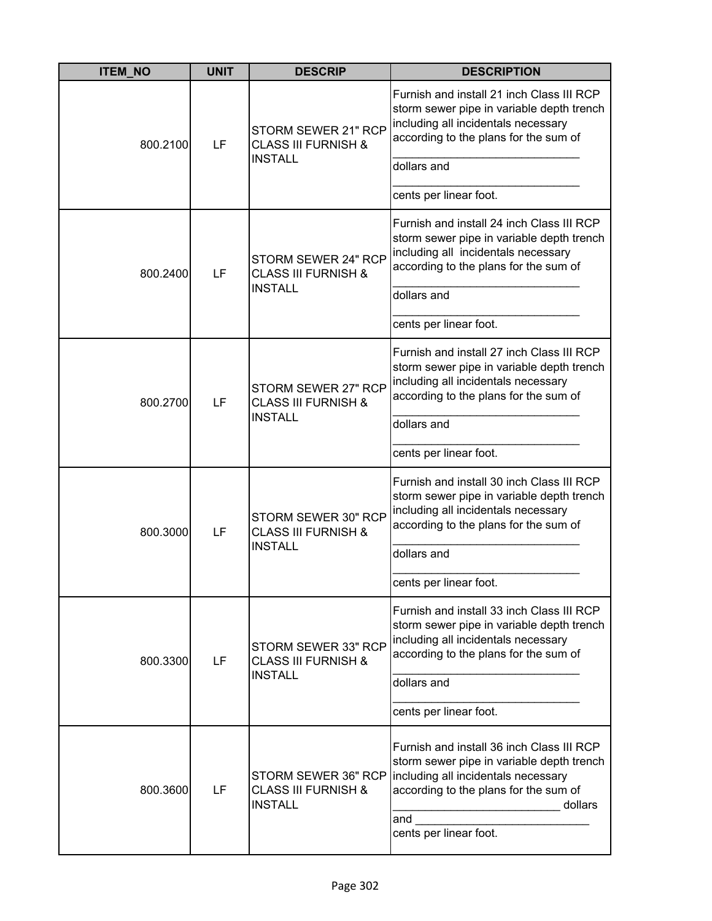| <b>ITEM_NO</b> | <b>UNIT</b> | <b>DESCRIP</b>                                                          | <b>DESCRIPTION</b>                                                                                                                                                                                                 |
|----------------|-------------|-------------------------------------------------------------------------|--------------------------------------------------------------------------------------------------------------------------------------------------------------------------------------------------------------------|
| 800.2100       | LF          | STORM SEWER 21" RCP<br><b>CLASS III FURNISH &amp;</b><br><b>INSTALL</b> | Furnish and install 21 inch Class III RCP<br>storm sewer pipe in variable depth trench<br>including all incidentals necessary<br>according to the plans for the sum of<br>dollars and                              |
|                |             |                                                                         | cents per linear foot.                                                                                                                                                                                             |
| 800.2400       | LF          | STORM SEWER 24" RCP<br><b>CLASS III FURNISH &amp;</b>                   | Furnish and install 24 inch Class III RCP<br>storm sewer pipe in variable depth trench<br>including all incidentals necessary<br>according to the plans for the sum of                                             |
|                |             | <b>INSTALL</b>                                                          | dollars and                                                                                                                                                                                                        |
|                |             |                                                                         | cents per linear foot.                                                                                                                                                                                             |
| 800.2700       | LF          | STORM SEWER 27" RCP<br><b>CLASS III FURNISH &amp;</b><br><b>INSTALL</b> | Furnish and install 27 inch Class III RCP<br>storm sewer pipe in variable depth trench<br>including all incidentals necessary<br>according to the plans for the sum of<br>dollars and                              |
|                |             |                                                                         | cents per linear foot.                                                                                                                                                                                             |
| 800.3000       | LF          | STORM SEWER 30" RCP<br><b>CLASS III FURNISH &amp;</b><br><b>INSTALL</b> | Furnish and install 30 inch Class III RCP<br>storm sewer pipe in variable depth trench<br>including all incidentals necessary<br>according to the plans for the sum of<br>dollars and<br>cents per linear foot.    |
| 800.3300       | LF          | STORM SEWER 33" RCP<br><b>CLASS III FURNISH &amp;</b><br><b>INSTALL</b> | Furnish and install 33 inch Class III RCP<br>storm sewer pipe in variable depth trench<br>including all incidentals necessary<br>according to the plans for the sum of<br>dollars and<br>cents per linear foot.    |
| 800.3600       | LF          | STORM SEWER 36" RCP<br><b>CLASS III FURNISH &amp;</b><br><b>INSTALL</b> | Furnish and install 36 inch Class III RCP<br>storm sewer pipe in variable depth trench<br>including all incidentals necessary<br>according to the plans for the sum of<br>dollars<br>and<br>cents per linear foot. |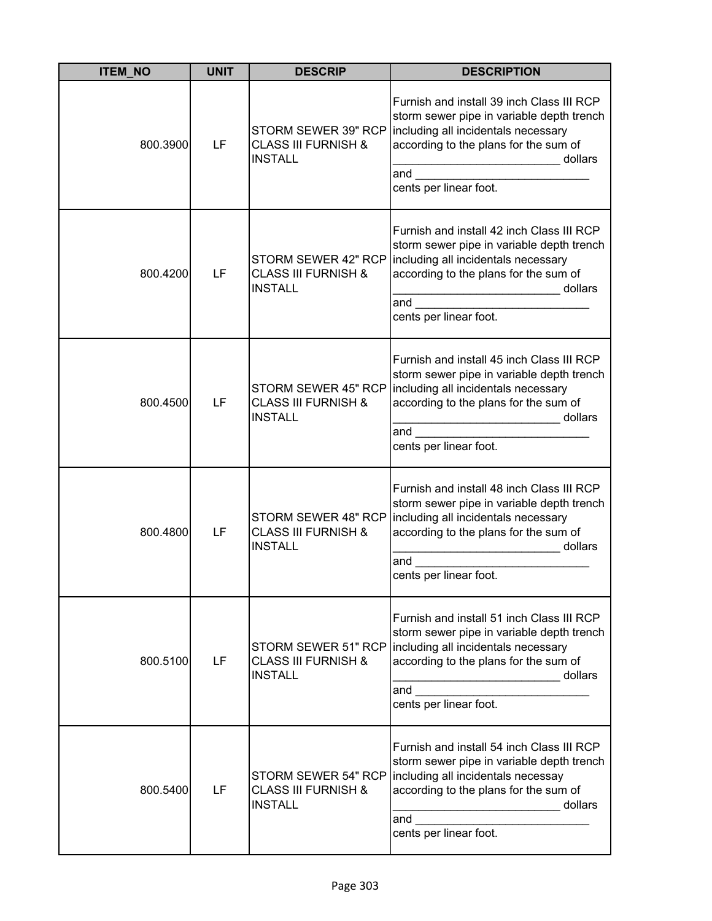| <b>ITEM_NO</b> | <b>UNIT</b> | <b>DESCRIP</b>                                                          | <b>DESCRIPTION</b>                                                                                                                                                                                                                                                                                                                                                                                                                            |
|----------------|-------------|-------------------------------------------------------------------------|-----------------------------------------------------------------------------------------------------------------------------------------------------------------------------------------------------------------------------------------------------------------------------------------------------------------------------------------------------------------------------------------------------------------------------------------------|
| 800.3900       | LF          | STORM SEWER 39" RCP<br><b>CLASS III FURNISH &amp;</b><br><b>INSTALL</b> | Furnish and install 39 inch Class III RCP<br>storm sewer pipe in variable depth trench<br>including all incidentals necessary<br>according to the plans for the sum of<br>dollars<br>and $\qquad \qquad$<br>cents per linear foot.                                                                                                                                                                                                            |
| 800.4200       | LF          | STORM SEWER 42" RCP<br><b>CLASS III FURNISH &amp;</b><br><b>INSTALL</b> | Furnish and install 42 inch Class III RCP<br>storm sewer pipe in variable depth trench<br>including all incidentals necessary<br>according to the plans for the sum of<br>dollars<br>and the control of the control of the control of the control of the control of the control of the control of the control of the control of the control of the control of the control of the control of the control of the cont<br>cents per linear foot. |
| 800.4500       | LF          | STORM SEWER 45" RCP<br><b>CLASS III FURNISH &amp;</b><br><b>INSTALL</b> | Furnish and install 45 inch Class III RCP<br>storm sewer pipe in variable depth trench<br>including all incidentals necessary<br>according to the plans for the sum of<br>______________________________ dollars<br>and $\overline{\phantom{a}}$<br>cents per linear foot.                                                                                                                                                                    |
| 800.4800       | LF          | STORM SEWER 48" RCP<br><b>CLASS III FURNISH &amp;</b><br><b>INSTALL</b> | Furnish and install 48 inch Class III RCP<br>storm sewer pipe in variable depth trench<br>including all incidentals necessary<br>according to the plans for the sum of<br>dollars<br>and<br>cents per linear foot.                                                                                                                                                                                                                            |
| 800.5100       | LF          | STORM SEWER 51" RCP<br><b>CLASS III FURNISH &amp;</b><br><b>INSTALL</b> | Furnish and install 51 inch Class III RCP<br>storm sewer pipe in variable depth trench<br>including all incidentals necessary<br>according to the plans for the sum of<br>dollars<br>and<br>cents per linear foot.                                                                                                                                                                                                                            |
| 800.5400       | LF          | STORM SEWER 54" RCP<br><b>CLASS III FURNISH &amp;</b><br><b>INSTALL</b> | Furnish and install 54 inch Class III RCP<br>storm sewer pipe in variable depth trench<br>including all incidentals necessay<br>according to the plans for the sum of<br>dollars<br>and the control of the control of the control of the control of the control of the control of the control of the control of the control of the control of the control of the control of the control of the control of the cont<br>cents per linear foot.  |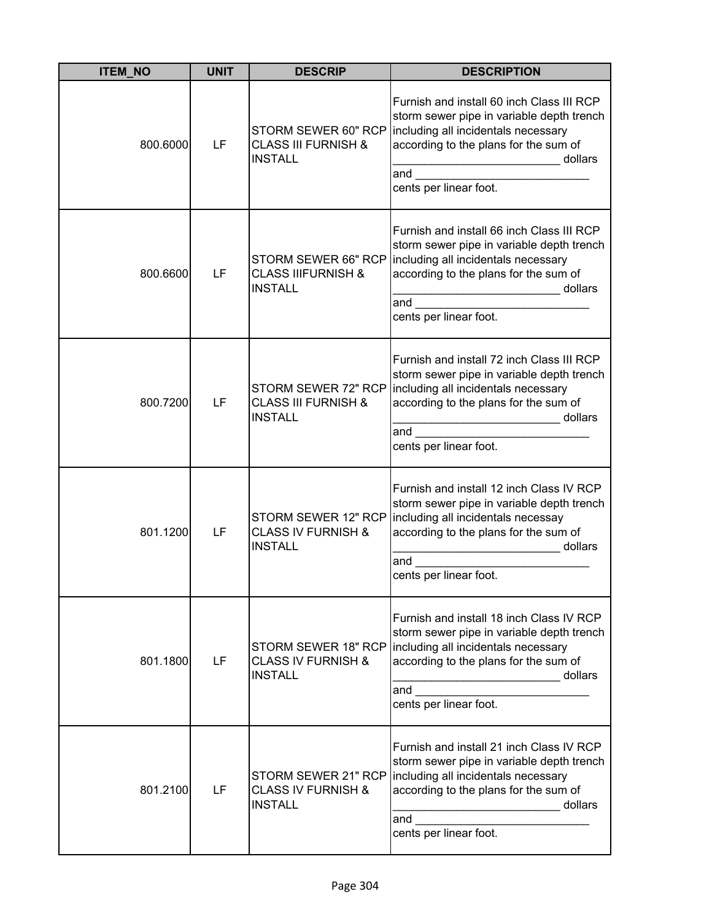| <b>ITEM_NO</b> | <b>UNIT</b> | <b>DESCRIP</b>                                                          | <b>DESCRIPTION</b>                                                                                                                                                                                                 |
|----------------|-------------|-------------------------------------------------------------------------|--------------------------------------------------------------------------------------------------------------------------------------------------------------------------------------------------------------------|
| 800.6000       | LF          | STORM SEWER 60" RCP<br><b>CLASS III FURNISH &amp;</b><br><b>INSTALL</b> | Furnish and install 60 inch Class III RCP<br>storm sewer pipe in variable depth trench<br>including all incidentals necessary<br>according to the plans for the sum of<br>dollars<br>and<br>cents per linear foot. |
| 800.6600       | LF          | STORM SEWER 66" RCP<br><b>CLASS IIIFURNISH &amp;</b><br><b>INSTALL</b>  | Furnish and install 66 inch Class III RCP<br>storm sewer pipe in variable depth trench<br>including all incidentals necessary<br>according to the plans for the sum of<br>dollars<br>and<br>cents per linear foot. |
| 800.7200       | LF          | STORM SEWER 72" RCP<br><b>CLASS III FURNISH &amp;</b><br><b>INSTALL</b> | Furnish and install 72 inch Class III RCP<br>storm sewer pipe in variable depth trench<br>including all incidentals necessary<br>according to the plans for the sum of<br>dollars<br>and<br>cents per linear foot. |
| 801.1200       | LF          | STORM SEWER 12" RCP<br><b>CLASS IV FURNISH &amp;</b><br><b>INSTALL</b>  | Furnish and install 12 inch Class IV RCP<br>storm sewer pipe in variable depth trench<br>including all incidentals necessay<br>according to the plans for the sum of<br>dollars<br>and<br>cents per linear foot.   |
| 801.1800       | LF          | STORM SEWER 18" RCP<br><b>CLASS IV FURNISH &amp;</b><br><b>INSTALL</b>  | Furnish and install 18 inch Class IV RCP<br>storm sewer pipe in variable depth trench<br>including all incidentals necessary<br>according to the plans for the sum of<br>dollars<br>and<br>cents per linear foot.  |
| 801.2100       | LF          | STORM SEWER 21" RCP<br><b>CLASS IV FURNISH &amp;</b><br><b>INSTALL</b>  | Furnish and install 21 inch Class IV RCP<br>storm sewer pipe in variable depth trench<br>including all incidentals necessary<br>according to the plans for the sum of<br>dollars<br>and<br>cents per linear foot.  |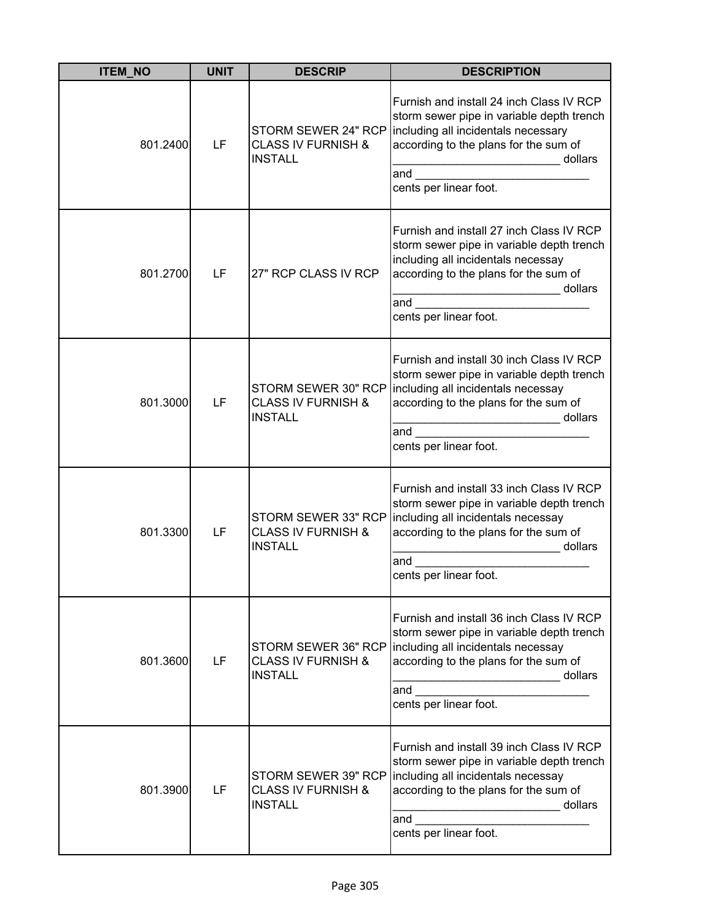| <b>ITEM_NO</b> | <b>UNIT</b> | <b>DESCRIP</b>                                                         | <b>DESCRIPTION</b>                                                                                                                                                                                                                                                                                                                                                                                                                          |
|----------------|-------------|------------------------------------------------------------------------|---------------------------------------------------------------------------------------------------------------------------------------------------------------------------------------------------------------------------------------------------------------------------------------------------------------------------------------------------------------------------------------------------------------------------------------------|
| 801.2400       | LF          | STORM SEWER 24" RCP<br><b>CLASS IV FURNISH &amp;</b><br><b>INSTALL</b> | Furnish and install 24 inch Class IV RCP<br>storm sewer pipe in variable depth trench<br>including all incidentals necessary<br>according to the plans for the sum of<br>dollars<br>and $\qquad \qquad$<br>cents per linear foot.                                                                                                                                                                                                           |
| 801.2700       | LF          | 27" RCP CLASS IV RCP                                                   | Furnish and install 27 inch Class IV RCP<br>storm sewer pipe in variable depth trench<br>including all incidentals necessay<br>according to the plans for the sum of<br>dollars<br>and the control of the control of the control of the control of the control of the control of the control of the control of the control of the control of the control of the control of the control of the control of the cont<br>cents per linear foot. |
| 801.3000       | LF          | STORM SEWER 30" RCP<br><b>CLASS IV FURNISH &amp;</b><br><b>INSTALL</b> | Furnish and install 30 inch Class IV RCP<br>storm sewer pipe in variable depth trench<br>including all incidentals necessay<br>according to the plans for the sum of<br>cents per linear foot.                                                                                                                                                                                                                                              |
| 801.3300       | LF          | STORM SEWER 33" RCP<br><b>CLASS IV FURNISH &amp;</b><br><b>INSTALL</b> | Furnish and install 33 inch Class IV RCP<br>storm sewer pipe in variable depth trench<br>including all incidentals necessay<br>according to the plans for the sum of<br>dollars<br>and<br>cents per linear foot.                                                                                                                                                                                                                            |
| 801.3600       | LF          | STORM SEWER 36" RCP<br><b>CLASS IV FURNISH &amp;</b><br><b>INSTALL</b> | Furnish and install 36 inch Class IV RCP<br>storm sewer pipe in variable depth trench<br>including all incidentals necessay<br>according to the plans for the sum of<br>dollars<br>.<br>and<br>cents per linear foot.                                                                                                                                                                                                                       |
| 801.3900       | LF          | STORM SEWER 39" RCP<br><b>CLASS IV FURNISH &amp;</b><br><b>INSTALL</b> | Furnish and install 39 inch Class IV RCP<br>storm sewer pipe in variable depth trench<br>including all incidentals necessay<br>according to the plans for the sum of<br>dollars<br>and the control of the control of the control of the control of the control of the control of the control of the control of the control of the control of the control of the control of the control of the control of the cont<br>cents per linear foot. |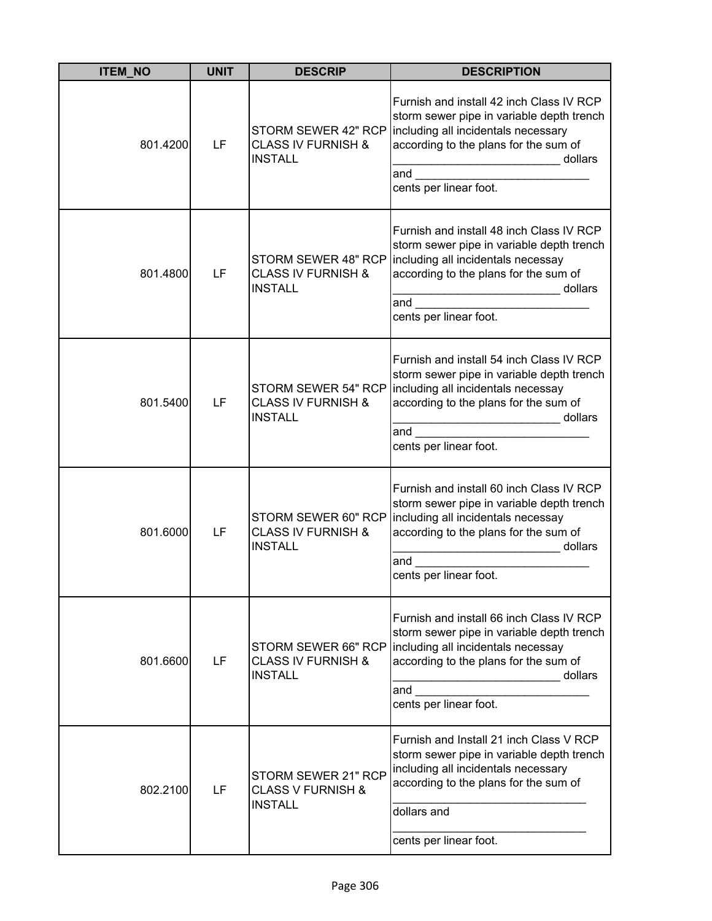| <b>ITEM_NO</b> | <b>UNIT</b> | <b>DESCRIP</b>                                                         | <b>DESCRIPTION</b>                                                                                                                                                                                                                             |
|----------------|-------------|------------------------------------------------------------------------|------------------------------------------------------------------------------------------------------------------------------------------------------------------------------------------------------------------------------------------------|
| 801.4200       | LF          | STORM SEWER 42" RCP<br><b>CLASS IV FURNISH &amp;</b><br><b>INSTALL</b> | Furnish and install 42 inch Class IV RCP<br>storm sewer pipe in variable depth trench<br>including all incidentals necessary<br>according to the plans for the sum of<br>dollars<br>and $\qquad \qquad$<br>cents per linear foot.              |
| 801.4800       | LF          | STORM SEWER 48" RCP<br><b>CLASS IV FURNISH &amp;</b><br><b>INSTALL</b> | Furnish and install 48 inch Class IV RCP<br>storm sewer pipe in variable depth trench<br>including all incidentals necessay<br>according to the plans for the sum of<br>_____________________________ dollars<br>and<br>cents per linear foot. |
| 801.5400       | LF          | STORM SEWER 54" RCP<br><b>CLASS IV FURNISH &amp;</b><br><b>INSTALL</b> | Furnish and install 54 inch Class IV RCP<br>storm sewer pipe in variable depth trench<br>including all incidentals necessay<br>according to the plans for the sum of<br>cents per linear foot.                                                 |
| 801.6000       | LF          | STORM SEWER 60" RCP<br><b>CLASS IV FURNISH &amp;</b><br><b>INSTALL</b> | Furnish and install 60 inch Class IV RCP<br>storm sewer pipe in variable depth trench<br>including all incidentals necessay<br>according to the plans for the sum of<br>dollars<br>and<br>cents per linear foot.                               |
| 801.6600       | LF          | <b>CLASS IV FURNISH &amp;</b><br><b>INSTALL</b>                        | Furnish and install 66 inch Class IV RCP<br>storm sewer pipe in variable depth trench<br>STORM SEWER 66" RCP   including all incidentals necessay<br>according to the plans for the sum of<br>dollars<br>and<br>cents per linear foot.         |
| 802.2100       | LF          | STORM SEWER 21" RCP<br><b>CLASS V FURNISH &amp;</b><br><b>INSTALL</b>  | Furnish and Install 21 inch Class V RCP<br>storm sewer pipe in variable depth trench<br>including all incidentals necessary<br>according to the plans for the sum of<br>dollars and<br>cents per linear foot.                                  |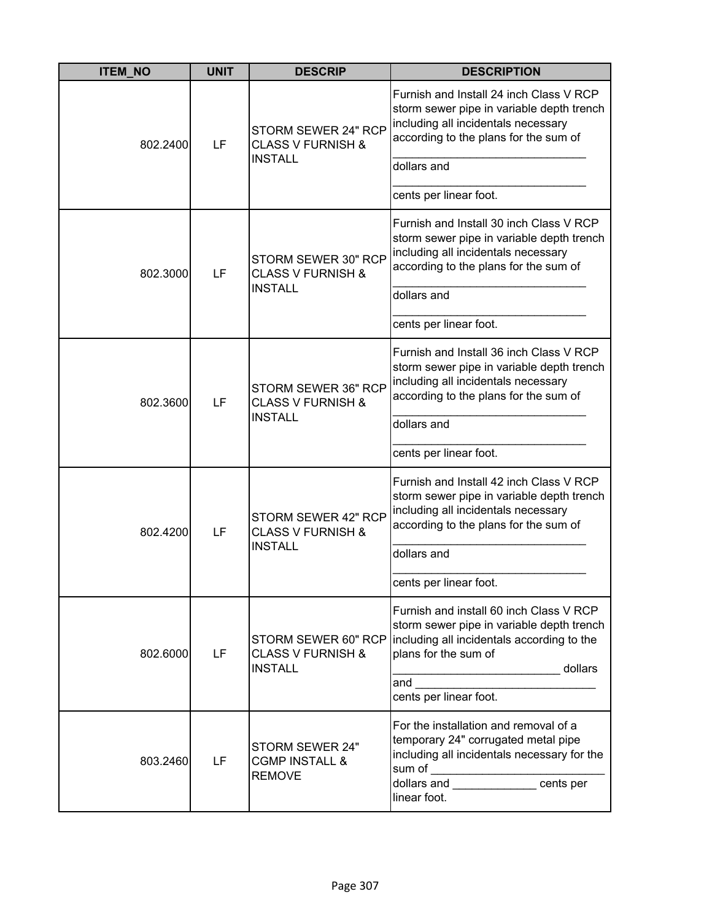| <b>ITEM_NO</b> | <b>UNIT</b> | <b>DESCRIP</b>                                                        | <b>DESCRIPTION</b>                                                                                                                                                                                                                                                                                                                                                                                                                                               |
|----------------|-------------|-----------------------------------------------------------------------|------------------------------------------------------------------------------------------------------------------------------------------------------------------------------------------------------------------------------------------------------------------------------------------------------------------------------------------------------------------------------------------------------------------------------------------------------------------|
| 802.2400       | LF          | STORM SEWER 24" RCP<br><b>CLASS V FURNISH &amp;</b><br><b>INSTALL</b> | Furnish and Install 24 inch Class V RCP<br>storm sewer pipe in variable depth trench<br>including all incidentals necessary<br>according to the plans for the sum of                                                                                                                                                                                                                                                                                             |
|                |             |                                                                       | dollars and                                                                                                                                                                                                                                                                                                                                                                                                                                                      |
|                |             |                                                                       | cents per linear foot.                                                                                                                                                                                                                                                                                                                                                                                                                                           |
| 802.3000       | LF          | STORM SEWER 30" RCP<br><b>CLASS V FURNISH &amp;</b>                   | Furnish and Install 30 inch Class V RCP<br>storm sewer pipe in variable depth trench<br>including all incidentals necessary<br>according to the plans for the sum of                                                                                                                                                                                                                                                                                             |
|                |             | <b>INSTALL</b>                                                        | dollars and                                                                                                                                                                                                                                                                                                                                                                                                                                                      |
|                |             |                                                                       | cents per linear foot.                                                                                                                                                                                                                                                                                                                                                                                                                                           |
| 802.3600       | LF          | STORM SEWER 36" RCP<br><b>CLASS V FURNISH &amp;</b><br><b>INSTALL</b> | Furnish and Install 36 inch Class V RCP<br>storm sewer pipe in variable depth trench<br>including all incidentals necessary<br>according to the plans for the sum of<br>dollars and                                                                                                                                                                                                                                                                              |
|                |             |                                                                       |                                                                                                                                                                                                                                                                                                                                                                                                                                                                  |
|                |             |                                                                       | cents per linear foot.                                                                                                                                                                                                                                                                                                                                                                                                                                           |
| 802.4200       | LF          | STORM SEWER 42" RCP<br><b>CLASS V FURNISH &amp;</b><br><b>INSTALL</b> | Furnish and Install 42 inch Class V RCP<br>storm sewer pipe in variable depth trench<br>including all incidentals necessary<br>according to the plans for the sum of                                                                                                                                                                                                                                                                                             |
|                |             |                                                                       | dollars and                                                                                                                                                                                                                                                                                                                                                                                                                                                      |
|                |             |                                                                       | cents per linear foot.                                                                                                                                                                                                                                                                                                                                                                                                                                           |
| 802.6000       | LF          | STORM SEWER 60" RCP<br><b>CLASS V FURNISH &amp;</b><br><b>INSTALL</b> | Furnish and install 60 inch Class V RCP<br>storm sewer pipe in variable depth trench<br>including all incidentals according to the<br>plans for the sum of<br>________________________ dollars<br>and <u>the contract of the contract of the contract of the contract of the contract of the contract of the contract of the contract of the contract of the contract of the contract of the contract of the contract of the contr</u><br>cents per linear foot. |
| 803.2460       | LF          | STORM SEWER 24"<br><b>CGMP INSTALL &amp;</b><br><b>REMOVE</b>         | For the installation and removal of a<br>temporary 24" corrugated metal pipe<br>including all incidentals necessary for the<br>sum of _______________________cents per<br>linear foot.                                                                                                                                                                                                                                                                           |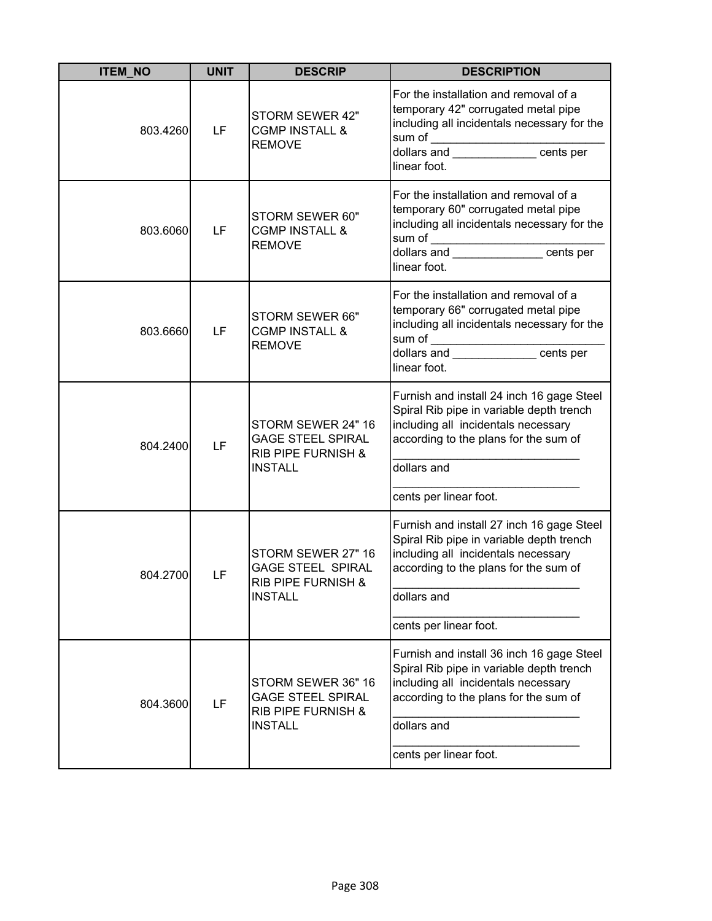| <b>ITEM NO</b> | <b>UNIT</b> | <b>DESCRIP</b>                                                                                    | <b>DESCRIPTION</b>                                                                                                                                                                                                            |
|----------------|-------------|---------------------------------------------------------------------------------------------------|-------------------------------------------------------------------------------------------------------------------------------------------------------------------------------------------------------------------------------|
| 803.4260       | LF          | STORM SEWER 42"<br><b>CGMP INSTALL &amp;</b><br><b>REMOVE</b>                                     | For the installation and removal of a<br>temporary 42" corrugated metal pipe<br>including all incidentals necessary for the<br>sum of _____________________cents per<br>linear foot.                                          |
| 803.6060       | LF          | STORM SEWER 60"<br><b>CGMP INSTALL &amp;</b><br><b>REMOVE</b>                                     | For the installation and removal of a<br>temporary 60" corrugated metal pipe<br>including all incidentals necessary for the<br>sum of ______________________cents per<br>linear foot.                                         |
| 803.6660       | LF          | STORM SEWER 66"<br><b>CGMP INSTALL &amp;</b><br><b>REMOVE</b>                                     | For the installation and removal of a<br>temporary 66" corrugated metal pipe<br>including all incidentals necessary for the<br>sum of $\overline{\qquad \qquad }$<br>dollars and ___________________cents per<br>linear foot. |
| 804.2400       | LF          | STORM SEWER 24" 16<br><b>GAGE STEEL SPIRAL</b><br><b>RIB PIPE FURNISH &amp;</b><br><b>INSTALL</b> | Furnish and install 24 inch 16 gage Steel<br>Spiral Rib pipe in variable depth trench<br>including all incidentals necessary<br>according to the plans for the sum of<br>dollars and<br>cents per linear foot.                |
| 804.2700       | LF          | STORM SEWER 27" 16<br><b>GAGE STEEL SPIRAL</b><br>RIB PIPE FURNISH &<br><b>INSTALL</b>            | Furnish and install 27 inch 16 gage Steel<br>Spiral Rib pipe in variable depth trench<br>including all incidentals necessary<br>according to the plans for the sum of<br>dollars and<br>cents per linear foot.                |
| 804.3600       | LF          | STORM SEWER 36" 16<br><b>GAGE STEEL SPIRAL</b><br><b>RIB PIPE FURNISH &amp;</b><br><b>INSTALL</b> | Furnish and install 36 inch 16 gage Steel<br>Spiral Rib pipe in variable depth trench<br>including all incidentals necessary<br>according to the plans for the sum of<br>dollars and<br>cents per linear foot.                |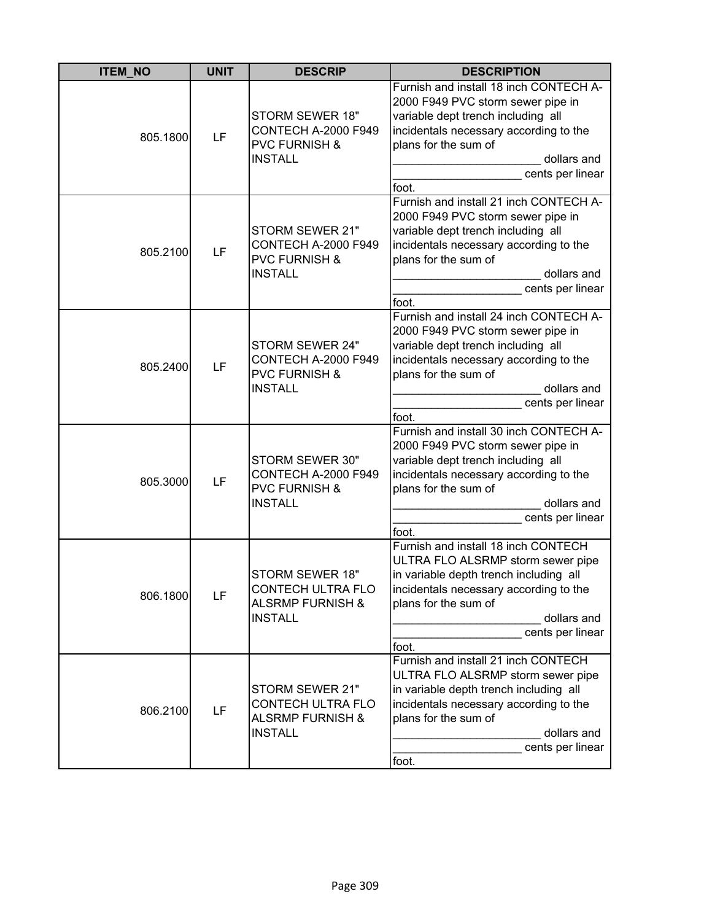| <b>ITEM NO</b> | <b>UNIT</b> | <b>DESCRIP</b>                                                                               | <b>DESCRIPTION</b>                                                                                                                                                                                                               |
|----------------|-------------|----------------------------------------------------------------------------------------------|----------------------------------------------------------------------------------------------------------------------------------------------------------------------------------------------------------------------------------|
| 805.1800       | LF          | STORM SEWER 18"<br><b>CONTECH A-2000 F949</b><br><b>PVC FURNISH &amp;</b><br><b>INSTALL</b>  | Furnish and install 18 inch CONTECH A-<br>2000 F949 PVC storm sewer pipe in<br>variable dept trench including all<br>incidentals necessary according to the<br>plans for the sum of<br>dollars and<br>cents per linear<br>foot.  |
| 805.2100       | LF          | STORM SEWER 21"<br><b>CONTECH A-2000 F949</b><br><b>PVC FURNISH &amp;</b><br><b>INSTALL</b>  | Furnish and install 21 inch CONTECH A-<br>2000 F949 PVC storm sewer pipe in<br>variable dept trench including all<br>incidentals necessary according to the<br>plans for the sum of<br>dollars and<br>cents per linear<br>foot.  |
| 805.2400       | LF          | STORM SEWER 24"<br><b>CONTECH A-2000 F949</b><br><b>PVC FURNISH &amp;</b><br><b>INSTALL</b>  | Furnish and install 24 inch CONTECH A-<br>2000 F949 PVC storm sewer pipe in<br>variable dept trench including all<br>incidentals necessary according to the<br>plans for the sum of<br>dollars and<br>cents per linear<br>foot.  |
| 805.3000       | LF          | STORM SEWER 30"<br><b>CONTECH A-2000 F949</b><br><b>PVC FURNISH &amp;</b><br><b>INSTALL</b>  | Furnish and install 30 inch CONTECH A-<br>2000 F949 PVC storm sewer pipe in<br>variable dept trench including all<br>incidentals necessary according to the<br>plans for the sum of<br>dollars and<br>cents per linear<br>foot.  |
| 806.1800       | LF          | STORM SEWER 18"<br><b>CONTECH ULTRA FLO</b><br><b>ALSRMP FURNISH &amp;</b><br><b>INSTALL</b> | Furnish and install 18 inch CONTECH<br>ULTRA FLO ALSRMP storm sewer pipe<br>in variable depth trench including all<br>incidentals necessary according to the<br>plans for the sum of<br>dollars and<br>cents per linear<br>foot. |
| 806.2100       | LF          | STORM SEWER 21"<br>CONTECH ULTRA FLO<br><b>ALSRMP FURNISH &amp;</b><br><b>INSTALL</b>        | Furnish and install 21 inch CONTECH<br>ULTRA FLO ALSRMP storm sewer pipe<br>in variable depth trench including all<br>incidentals necessary according to the<br>plans for the sum of<br>dollars and<br>cents per linear<br>foot. |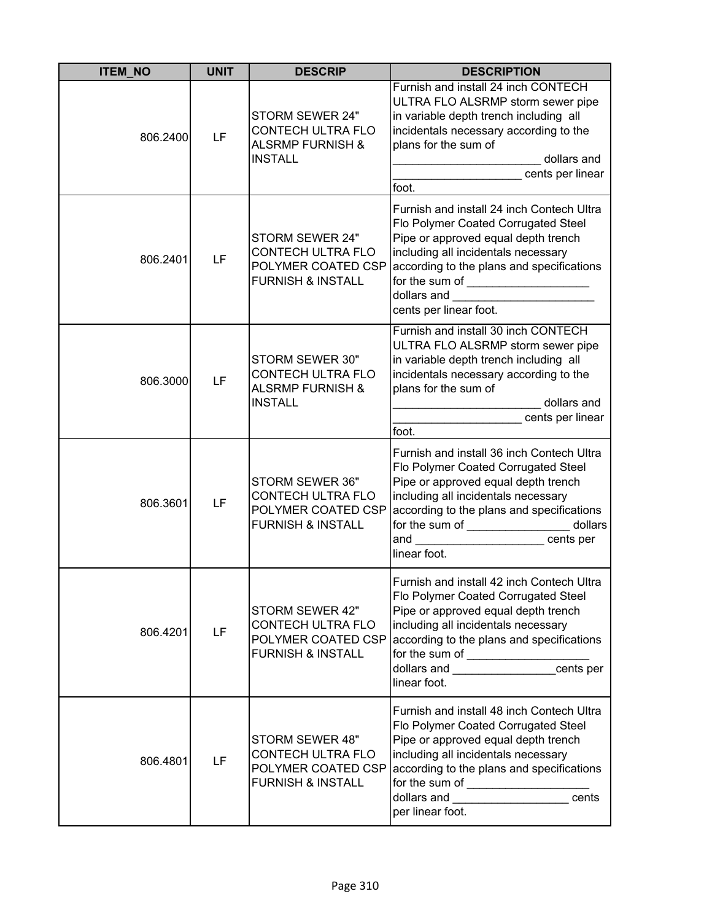| <b>ITEM_NO</b> | <b>UNIT</b> | <b>DESCRIP</b>                                                                                    | <b>DESCRIPTION</b>                                                                                                                                                                                                                                                                                                                                                                                                                                                                                                                        |
|----------------|-------------|---------------------------------------------------------------------------------------------------|-------------------------------------------------------------------------------------------------------------------------------------------------------------------------------------------------------------------------------------------------------------------------------------------------------------------------------------------------------------------------------------------------------------------------------------------------------------------------------------------------------------------------------------------|
| 806.2400       | LF          | STORM SEWER 24"<br>CONTECH ULTRA FLO<br><b>ALSRMP FURNISH &amp;</b><br><b>INSTALL</b>             | Furnish and install 24 inch CONTECH<br>ULTRA FLO ALSRMP storm sewer pipe<br>in variable depth trench including all<br>incidentals necessary according to the<br>plans for the sum of<br>dollars and<br>cents per linear<br>foot.                                                                                                                                                                                                                                                                                                          |
| 806.2401       | LF          | STORM SEWER 24"<br><b>CONTECH ULTRA FLO</b><br>POLYMER COATED CSP<br><b>FURNISH &amp; INSTALL</b> | Furnish and install 24 inch Contech Ultra<br>Flo Polymer Coated Corrugated Steel<br>Pipe or approved equal depth trench<br>including all incidentals necessary<br>according to the plans and specifications<br>for the sum of ________________________<br>cents per linear foot.                                                                                                                                                                                                                                                          |
| 806.3000       | LF          | STORM SEWER 30"<br>CONTECH ULTRA FLO<br><b>ALSRMP FURNISH &amp;</b><br><b>INSTALL</b>             | Furnish and install 30 inch CONTECH<br>ULTRA FLO ALSRMP storm sewer pipe<br>in variable depth trench including all<br>incidentals necessary according to the<br>plans for the sum of<br>dollars and<br>cents per linear<br>foot.                                                                                                                                                                                                                                                                                                          |
| 806.3601       | LF          | STORM SEWER 36"<br>CONTECH ULTRA FLO<br>POLYMER COATED CSP<br><b>FURNISH &amp; INSTALL</b>        | Furnish and install 36 inch Contech Ultra<br>Flo Polymer Coated Corrugated Steel<br>Pipe or approved equal depth trench<br>including all incidentals necessary<br>according to the plans and specifications<br>for the sum of ____________________ dollars<br>and cents per<br>linear foot.                                                                                                                                                                                                                                               |
| 806.4201       | LF          | STORM SEWER 42"<br>CONTECH ULTRA FLO<br>POLYMER COATED CSP<br><b>FURNISH &amp; INSTALL</b>        | Furnish and install 42 inch Contech Ultra<br>Flo Polymer Coated Corrugated Steel<br>Pipe or approved equal depth trench<br>including all incidentals necessary<br>according to the plans and specifications<br>for the sum of _________________cents per<br>linear foot.                                                                                                                                                                                                                                                                  |
| 806.4801       | LF          | STORM SEWER 48"<br>CONTECH ULTRA FLO<br>POLYMER COATED CSP<br><b>FURNISH &amp; INSTALL</b>        | Furnish and install 48 inch Contech Ultra<br>Flo Polymer Coated Corrugated Steel<br>Pipe or approved equal depth trench<br>including all incidentals necessary<br>according to the plans and specifications<br>for the sum of $\frac{1}{2}$ of $\frac{1}{2}$ of $\frac{1}{2}$ of $\frac{1}{2}$ of $\frac{1}{2}$ of $\frac{1}{2}$ of $\frac{1}{2}$ of $\frac{1}{2}$ of $\frac{1}{2}$ of $\frac{1}{2}$ of $\frac{1}{2}$ of $\frac{1}{2}$ of $\frac{1}{2}$ of $\frac{1}{2}$ of $\frac{1}{2}$ of $\frac{1}{2}$ o<br>cents<br>per linear foot. |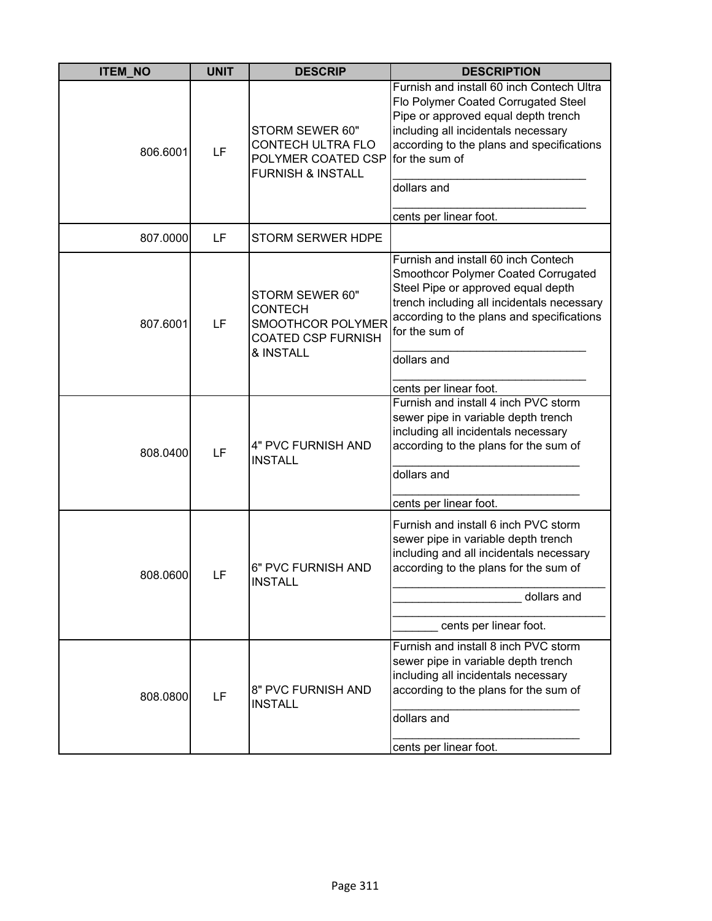| <b>ITEM_NO</b> | <b>UNIT</b> | <b>DESCRIP</b>                                                                                   | <b>DESCRIPTION</b>                                                                                                                                                                                                                                                     |
|----------------|-------------|--------------------------------------------------------------------------------------------------|------------------------------------------------------------------------------------------------------------------------------------------------------------------------------------------------------------------------------------------------------------------------|
| 806.6001       | LF          | STORM SEWER 60"<br>CONTECH ULTRA FLO<br>POLYMER COATED CSP<br><b>FURNISH &amp; INSTALL</b>       | Furnish and install 60 inch Contech Ultra<br>Flo Polymer Coated Corrugated Steel<br>Pipe or approved equal depth trench<br>including all incidentals necessary<br>according to the plans and specifications<br>for the sum of<br>dollars and<br>cents per linear foot. |
| 807.0000       | LF          | <b>STORM SERWER HDPE</b>                                                                         |                                                                                                                                                                                                                                                                        |
| 807.6001       | LF          | STORM SEWER 60"<br><b>CONTECH</b><br>SMOOTHCOR POLYMER<br><b>COATED CSP FURNISH</b><br>& INSTALL | Furnish and install 60 inch Contech<br>Smoothcor Polymer Coated Corrugated<br>Steel Pipe or approved equal depth<br>trench including all incidentals necessary<br>according to the plans and specifications<br>for the sum of<br>dollars and                           |
| 808.0400       | LF          | 4" PVC FURNISH AND<br><b>INSTALL</b>                                                             | cents per linear foot.<br>Furnish and install 4 inch PVC storm<br>sewer pipe in variable depth trench<br>including all incidentals necessary<br>according to the plans for the sum of<br>dollars and<br>cents per linear foot.                                         |
| 808.0600       | LF          | 6" PVC FURNISH AND<br><b>INSTALL</b>                                                             | Furnish and install 6 inch PVC storm<br>sewer pipe in variable depth trench<br>including and all incidentals necessary<br>according to the plans for the sum of<br>dollars and<br>cents per linear foot.                                                               |
| 808.0800       | LF          | 8" PVC FURNISH AND<br><b>INSTALL</b>                                                             | Furnish and install 8 inch PVC storm<br>sewer pipe in variable depth trench<br>including all incidentals necessary<br>according to the plans for the sum of<br>dollars and<br>cents per linear foot.                                                                   |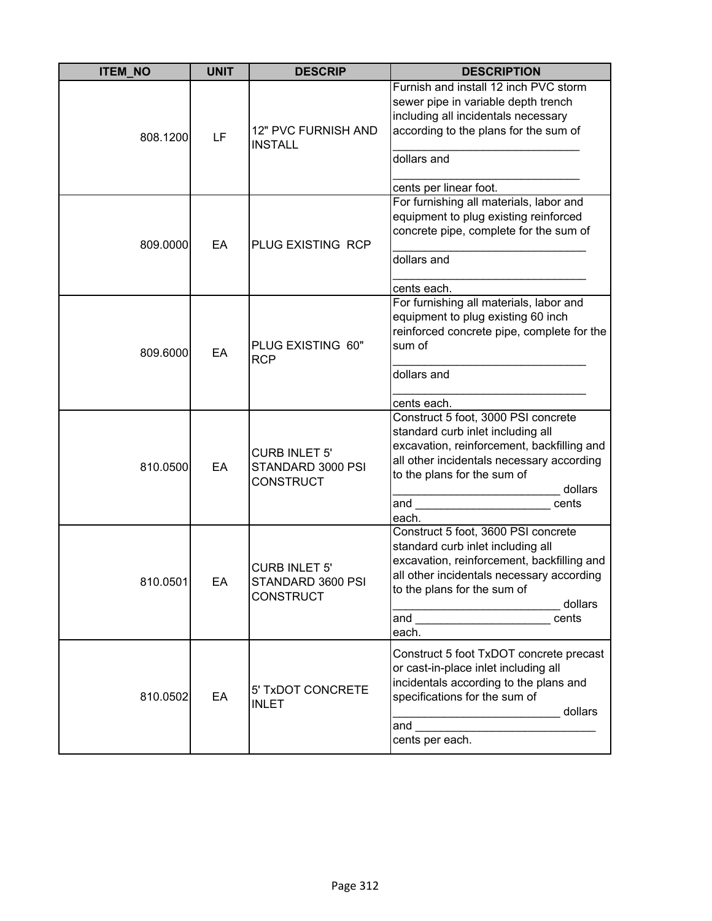| <b>ITEM_NO</b> | <b>UNIT</b> | <b>DESCRIP</b>                                                | <b>DESCRIPTION</b>                                                                                                                                                                                                                                                   |
|----------------|-------------|---------------------------------------------------------------|----------------------------------------------------------------------------------------------------------------------------------------------------------------------------------------------------------------------------------------------------------------------|
| 808.1200       | LF          | 12" PVC FURNISH AND<br><b>INSTALL</b>                         | Furnish and install 12 inch PVC storm<br>sewer pipe in variable depth trench<br>including all incidentals necessary<br>according to the plans for the sum of<br>dollars and<br>cents per linear foot.                                                                |
| 809.0000       | EA          | PLUG EXISTING RCP                                             | For furnishing all materials, labor and<br>equipment to plug existing reinforced<br>concrete pipe, complete for the sum of<br>dollars and<br>cents each.                                                                                                             |
| 809.6000       | EA          | PLUG EXISTING 60"<br><b>RCP</b>                               | For furnishing all materials, labor and<br>equipment to plug existing 60 inch<br>reinforced concrete pipe, complete for the<br>sum of<br>dollars and<br>cents each.                                                                                                  |
| 810.0500       | EA          | <b>CURB INLET 5'</b><br>STANDARD 3000 PSI<br><b>CONSTRUCT</b> | Construct 5 foot, 3000 PSI concrete<br>standard curb inlet including all<br>excavation, reinforcement, backfilling and<br>all other incidentals necessary according<br>to the plans for the sum of<br>dollars<br>and<br>cents<br>each.                               |
| 810.0501       | EА          | <b>CURB INLET 5'</b><br>STANDARD 3600 PSI<br><b>CONSTRUCT</b> | Construct 5 foot, 3600 PSI concrete<br>standard curb inlet including all<br>excavation, reinforcement, backfilling and<br>all other incidentals necessary according<br>to the plans for the sum of<br>dollars<br>and ________________________________ cents<br>each. |
| 810.0502       | EA          | 5' TxDOT CONCRETE<br><b>INLET</b>                             | Construct 5 foot TxDOT concrete precast<br>or cast-in-place inlet including all<br>incidentals according to the plans and<br>specifications for the sum of<br>dollars<br>cents per each.                                                                             |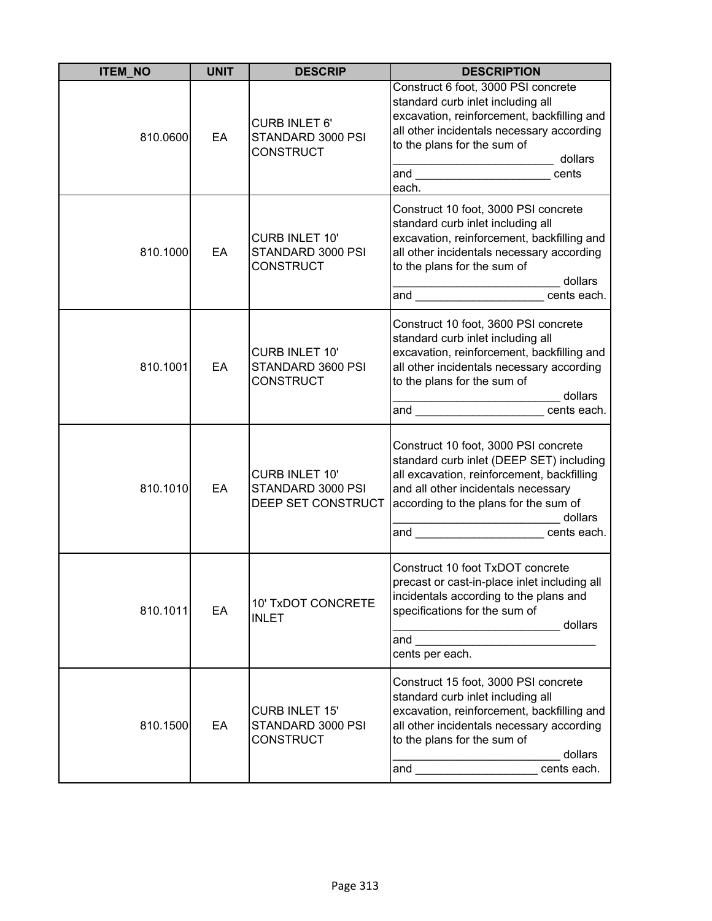| <b>ITEM_NO</b> | <b>UNIT</b> | <b>DESCRIP</b>                                                   | <b>DESCRIPTION</b>                                                                                                                                                                                                                                                                                                                                                                                                          |
|----------------|-------------|------------------------------------------------------------------|-----------------------------------------------------------------------------------------------------------------------------------------------------------------------------------------------------------------------------------------------------------------------------------------------------------------------------------------------------------------------------------------------------------------------------|
| 810.0600       | EA          | <b>CURB INLET 6'</b><br>STANDARD 3000 PSI<br><b>CONSTRUCT</b>    | Construct 6 foot, 3000 PSI concrete<br>standard curb inlet including all<br>excavation, reinforcement, backfilling and<br>all other incidentals necessary according<br>to the plans for the sum of<br>dollars<br>.<br>cents<br>each.                                                                                                                                                                                        |
| 810.1000       | EA          | <b>CURB INLET 10'</b><br>STANDARD 3000 PSI<br><b>CONSTRUCT</b>   | Construct 10 foot, 3000 PSI concrete<br>standard curb inlet including all<br>excavation, reinforcement, backfilling and<br>all other incidentals necessary according<br>to the plans for the sum of<br>________________________ dollars<br>and ___________________________cents each.                                                                                                                                       |
| 810.1001       | EA          | <b>CURB INLET 10'</b><br>STANDARD 3600 PSI<br><b>CONSTRUCT</b>   | Construct 10 foot, 3600 PSI concrete<br>standard curb inlet including all<br>excavation, reinforcement, backfilling and<br>all other incidentals necessary according<br>to the plans for the sum of<br>and ______________________ cents each.                                                                                                                                                                               |
| 810.1010       | EA          | <b>CURB INLET 10'</b><br>STANDARD 3000 PSI<br>DEEP SET CONSTRUCT | Construct 10 foot, 3000 PSI concrete<br>standard curb inlet (DEEP SET) including<br>all excavation, reinforcement, backfilling<br>and all other incidentals necessary<br>according to the plans for the sum of<br>dollars<br>and ______________________cents each.                                                                                                                                                          |
| 810.1011       | EA          | 10' TxDOT CONCRETE<br><b>INLET</b>                               | Construct 10 foot TxDOT concrete<br>precast or cast-in-place inlet including all<br>incidentals according to the plans and<br>specifications for the sum of<br>dollars<br>and the contract of the contract of the contract of the contract of the contract of the contract of the contract of the contract of the contract of the contract of the contract of the contract of the contract of the contra<br>cents per each. |
| 810.1500       | EA          | <b>CURB INLET 15'</b><br>STANDARD 3000 PSI<br><b>CONSTRUCT</b>   | Construct 15 foot, 3000 PSI concrete<br>standard curb inlet including all<br>excavation, reinforcement, backfilling and<br>all other incidentals necessary according<br>to the plans for the sum of<br>dollars<br>cents each.<br>and <b>and and and and and and and</b>                                                                                                                                                     |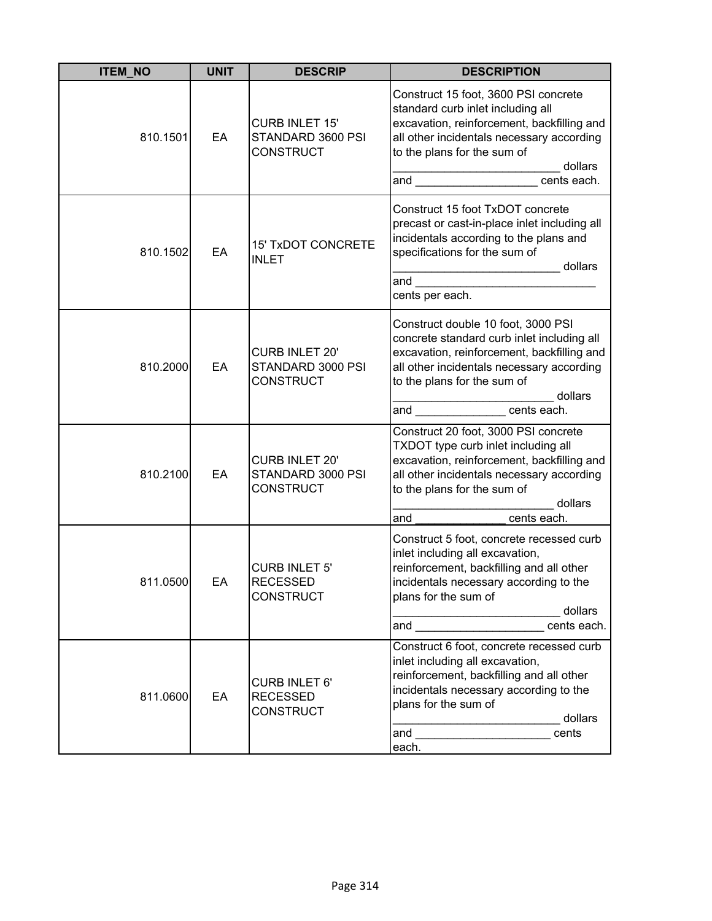| <b>ITEM NO</b> | <b>UNIT</b> | <b>DESCRIP</b>                                                 | <b>DESCRIPTION</b>                                                                                                                                                                                                                                                                                   |
|----------------|-------------|----------------------------------------------------------------|------------------------------------------------------------------------------------------------------------------------------------------------------------------------------------------------------------------------------------------------------------------------------------------------------|
| 810.1501       | EA          | <b>CURB INLET 15'</b><br>STANDARD 3600 PSI<br><b>CONSTRUCT</b> | Construct 15 foot, 3600 PSI concrete<br>standard curb inlet including all<br>excavation, reinforcement, backfilling and<br>all other incidentals necessary according<br>to the plans for the sum of<br>dollars<br>and _______________________ cents each.                                            |
| 810.1502       | EA          | <b>15' TxDOT CONCRETE</b><br><b>INLET</b>                      | Construct 15 foot TxDOT concrete<br>precast or cast-in-place inlet including all<br>incidentals according to the plans and<br>specifications for the sum of<br>dollars<br>cents per each.                                                                                                            |
| 810.2000       | EA          | <b>CURB INLET 20'</b><br>STANDARD 3000 PSI<br><b>CONSTRUCT</b> | Construct double 10 foot, 3000 PSI<br>concrete standard curb inlet including all<br>excavation, reinforcement, backfilling and<br>all other incidentals necessary according<br>to the plans for the sum of<br>dollars<br> ________________________________do<br> and ____________________cents each. |
| 810.2100       | EA          | <b>CURB INLET 20'</b><br>STANDARD 3000 PSI<br><b>CONSTRUCT</b> | Construct 20 foot, 3000 PSI concrete<br>TXDOT type curb inlet including all<br>excavation, reinforcement, backfilling and<br>all other incidentals necessary according<br>to the plans for the sum of<br>dollars<br>cents each.<br>and                                                               |
| 811.0500       | EA          | <b>CURB INLET 5'</b><br><b>RECESSED</b><br><b>CONSTRUCT</b>    | Construct 5 foot, concrete recessed curb<br>inlet including all excavation,<br>reinforcement, backfilling and all other<br>incidentals necessary according to the<br>plans for the sum of<br>_________________________ dollars<br>and ________________________ cents each.                           |
| 811.0600       | EA          | <b>CURB INLET 6'</b><br><b>RECESSED</b><br><b>CONSTRUCT</b>    | Construct 6 foot, concrete recessed curb<br>inlet including all excavation,<br>reinforcement, backfilling and all other<br>incidentals necessary according to the<br>plans for the sum of<br>dollars<br>cents<br>each.                                                                               |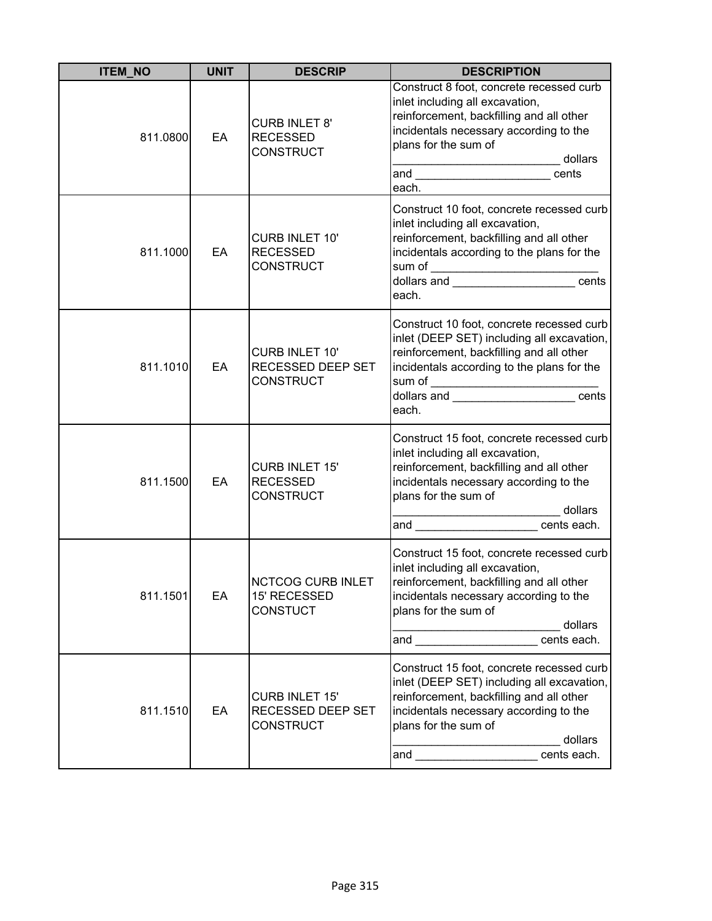| <b>ITEM_NO</b> | <b>UNIT</b> | <b>DESCRIP</b>                                                 | <b>DESCRIPTION</b>                                                                                                                                                                                                                                                                                                                                                               |
|----------------|-------------|----------------------------------------------------------------|----------------------------------------------------------------------------------------------------------------------------------------------------------------------------------------------------------------------------------------------------------------------------------------------------------------------------------------------------------------------------------|
| 811.0800       | EA          | <b>CURB INLET 8'</b><br><b>RECESSED</b><br><b>CONSTRUCT</b>    | Construct 8 foot, concrete recessed curb<br>inlet including all excavation,<br>reinforcement, backfilling and all other<br>incidentals necessary according to the<br>plans for the sum of<br>dollars<br><u> Listen kalendari kalendari kalendari kalendari kalendari kalendari kalendari kalendari kalendari kalendari k</u><br>and __________________________<br>cents<br>each. |
| 811.1000       | EA          | CURB INLET 10'<br><b>RECESSED</b><br><b>CONSTRUCT</b>          | Construct 10 foot, concrete recessed curb<br>inlet including all excavation,<br>reinforcement, backfilling and all other<br>incidentals according to the plans for the<br>sum of _______________________________cents<br> dollars and _______________________cents<br>each.                                                                                                      |
| 811.1010       | EA          | <b>CURB INLET 10'</b><br>RECESSED DEEP SET<br><b>CONSTRUCT</b> | Construct 10 foot, concrete recessed curb<br>inlet (DEEP SET) including all excavation,<br>reinforcement, backfilling and all other<br>incidentals according to the plans for the<br>sum of _________________________________cents<br> dollars and _______________________cents<br>each.                                                                                         |
| 811.1500       | EA          | <b>CURB INLET 15'</b><br><b>RECESSED</b><br><b>CONSTRUCT</b>   | Construct 15 foot, concrete recessed curb<br>inlet including all excavation,<br>reinforcement, backfilling and all other<br>incidentals necessary according to the<br>plans for the sum of<br>dollars<br>and cents each.                                                                                                                                                         |
| 811.1501       | EA          | NCTCOG CURB INLET<br>15' RECESSED<br><b>CONSTUCT</b>           | Construct 15 foot, concrete recessed curb<br>inlet including all excavation,<br>reinforcement, backfilling and all other<br>incidentals necessary according to the<br>plans for the sum of<br>dollars<br>and ______________________ cents each.                                                                                                                                  |
| 811.1510       | EA          | <b>CURB INLET 15'</b><br>RECESSED DEEP SET<br><b>CONSTRUCT</b> | Construct 15 foot, concrete recessed curb<br>inlet (DEEP SET) including all excavation,<br>reinforcement, backfilling and all other<br>incidentals necessary according to the<br>plans for the sum of<br>dollars<br>cents each.<br>and                                                                                                                                           |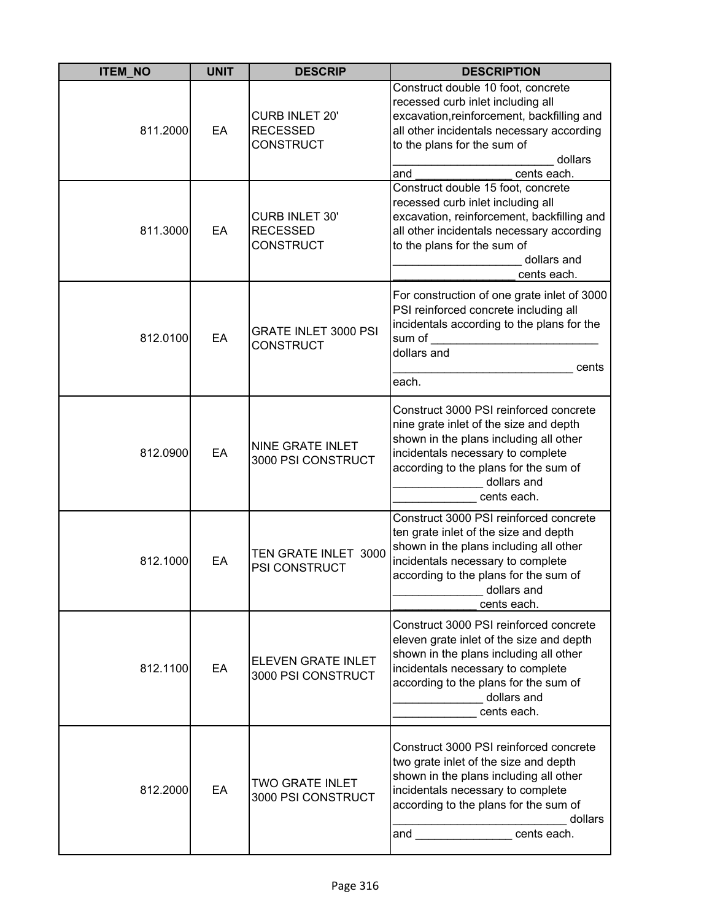| <b>ITEM_NO</b> | <b>UNIT</b> | <b>DESCRIP</b>                                               | <b>DESCRIPTION</b>                                                                                                                                                                                                                                      |
|----------------|-------------|--------------------------------------------------------------|---------------------------------------------------------------------------------------------------------------------------------------------------------------------------------------------------------------------------------------------------------|
| 811.2000       | EA          | <b>CURB INLET 20'</b><br><b>RECESSED</b><br><b>CONSTRUCT</b> | Construct double 10 foot, concrete<br>recessed curb inlet including all<br>excavation, reinforcement, backfilling and<br>all other incidentals necessary according<br>to the plans for the sum of<br>dollars<br>and<br>cents each.                      |
| 811.3000       | EA          | <b>CURB INLET 30'</b><br><b>RECESSED</b><br><b>CONSTRUCT</b> | Construct double 15 foot, concrete<br>recessed curb inlet including all<br>excavation, reinforcement, backfilling and<br>all other incidentals necessary according<br>to the plans for the sum of<br>dollars and<br>cents each.                         |
| 812.0100       | EA          | <b>GRATE INLET 3000 PSI</b><br><b>CONSTRUCT</b>              | For construction of one grate inlet of 3000<br>PSI reinforced concrete including all<br>incidentals according to the plans for the<br>sum of<br>dollars and<br>cents<br>each.                                                                           |
| 812.0900       | EA          | NINE GRATE INLET<br>3000 PSI CONSTRUCT                       | Construct 3000 PSI reinforced concrete<br>nine grate inlet of the size and depth<br>shown in the plans including all other<br>incidentals necessary to complete<br>according to the plans for the sum of<br>dollars and<br>cents each.                  |
| 812.1000       | EA          | TEN GRATE INLET 3000<br>PSI CONSTRUCT                        | Construct 3000 PSI reinforced concrete<br>ten grate inlet of the size and depth<br>shown in the plans including all other<br>incidentals necessary to complete<br>according to the plans for the sum of<br>dollars and<br>cents each.                   |
| 812.1100       | EA          | <b>ELEVEN GRATE INLET</b><br>3000 PSI CONSTRUCT              | Construct 3000 PSI reinforced concrete<br>eleven grate inlet of the size and depth<br>shown in the plans including all other<br>incidentals necessary to complete<br>according to the plans for the sum of<br>dollars and<br>cents each.                |
| 812.2000       | EA          | <b>TWO GRATE INLET</b><br>3000 PSI CONSTRUCT                 | Construct 3000 PSI reinforced concrete<br>two grate inlet of the size and depth<br>shown in the plans including all other<br>incidentals necessary to complete<br>according to the plans for the sum of<br>dollars<br>and __________________cents each. |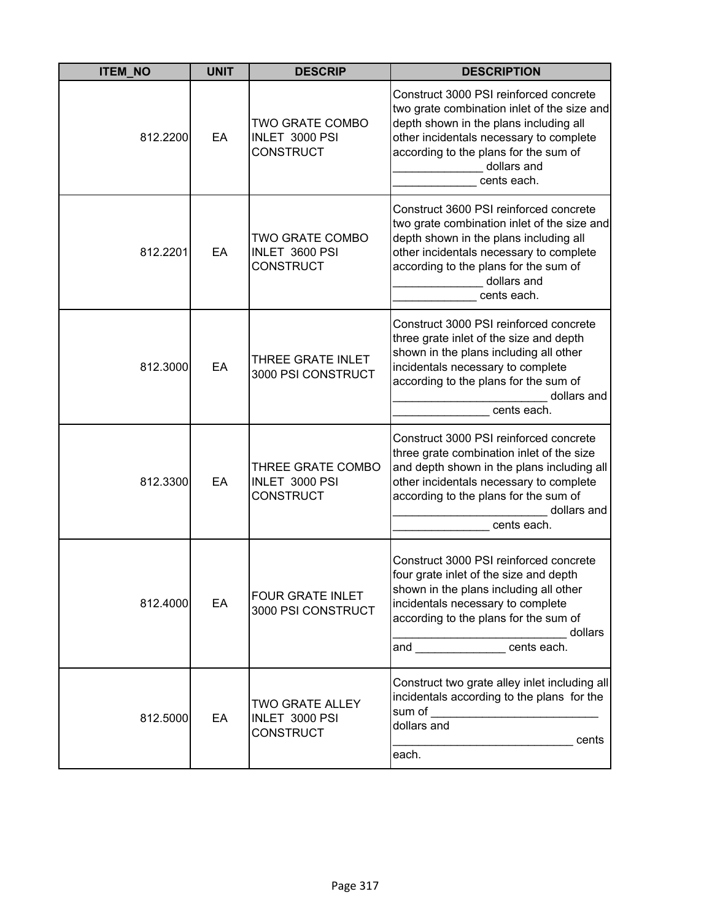| <b>ITEM_NO</b> | <b>UNIT</b> | <b>DESCRIP</b>                                               | <b>DESCRIPTION</b>                                                                                                                                                                                                                                  |
|----------------|-------------|--------------------------------------------------------------|-----------------------------------------------------------------------------------------------------------------------------------------------------------------------------------------------------------------------------------------------------|
| 812.2200       | EA          | TWO GRATE COMBO<br>INLET 3000 PSI<br><b>CONSTRUCT</b>        | Construct 3000 PSI reinforced concrete<br>two grate combination inlet of the size and<br>depth shown in the plans including all<br>other incidentals necessary to complete<br>according to the plans for the sum of<br>dollars and<br>cents each.   |
| 812.2201       | EA          | TWO GRATE COMBO<br>INLET 3600 PSI<br>CONSTRUCT               | Construct 3600 PSI reinforced concrete<br>two grate combination inlet of the size and<br>depth shown in the plans including all<br>other incidentals necessary to complete<br>according to the plans for the sum of<br>dollars and<br>cents each.   |
| 812.3000       | EA          | THREE GRATE INLET<br>3000 PSI CONSTRUCT                      | Construct 3000 PSI reinforced concrete<br>three grate inlet of the size and depth<br>shown in the plans including all other<br>incidentals necessary to complete<br>according to the plans for the sum of<br>dollars and<br>cents each.             |
| 812.3300       | EA          | THREE GRATE COMBO<br>INLET 3000 PSI<br><b>CONSTRUCT</b>      | Construct 3000 PSI reinforced concrete<br>three grate combination inlet of the size<br>and depth shown in the plans including all<br>other incidentals necessary to complete<br>according to the plans for the sum of<br>dollars and<br>cents each. |
| 812.4000       | EA          | <b>FOUR GRATE INLET</b><br>3000 PSI CONSTRUCT                | Construct 3000 PSI reinforced concrete<br>four grate inlet of the size and depth<br>shown in the plans including all other<br>incidentals necessary to complete<br>according to the plans for the sum of<br>dollars<br>cents each.                  |
| 812.5000       | EA          | <b>TWO GRATE ALLEY</b><br>INLET 3000 PSI<br><b>CONSTRUCT</b> | Construct two grate alley inlet including all<br>incidentals according to the plans for the<br>sum of<br>the control of the control of the control of<br>dollars and<br>cents<br>each.                                                              |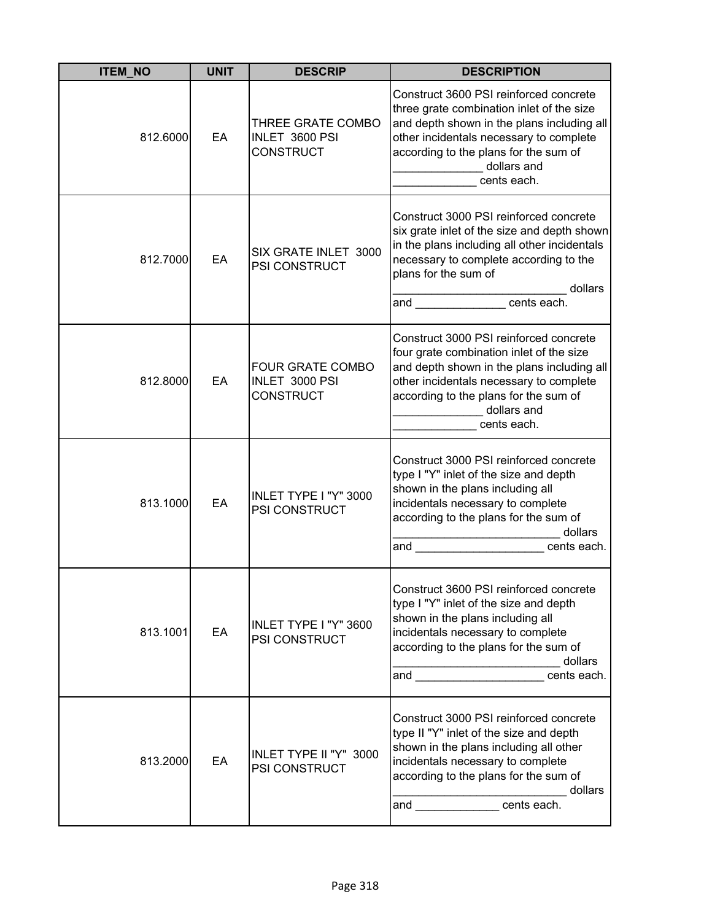| <b>ITEM_NO</b> | <b>UNIT</b> | <b>DESCRIP</b>                                                | <b>DESCRIPTION</b>                                                                                                                                                                                                                                                                                                                                                                                                                                             |
|----------------|-------------|---------------------------------------------------------------|----------------------------------------------------------------------------------------------------------------------------------------------------------------------------------------------------------------------------------------------------------------------------------------------------------------------------------------------------------------------------------------------------------------------------------------------------------------|
| 812.6000       | EA          | THREE GRATE COMBO<br>INLET 3600 PSI<br><b>CONSTRUCT</b>       | Construct 3600 PSI reinforced concrete<br>three grate combination inlet of the size<br>and depth shown in the plans including all<br>other incidentals necessary to complete<br>according to the plans for the sum of<br>dollars and<br>cents each.                                                                                                                                                                                                            |
| 812.7000       | EA          | SIX GRATE INLET 3000<br>PSI CONSTRUCT                         | Construct 3000 PSI reinforced concrete<br>six grate inlet of the size and depth shown<br>in the plans including all other incidentals<br>necessary to complete according to the<br>plans for the sum of<br>dollars<br>and cents each.                                                                                                                                                                                                                          |
| 812.8000       | EA          | <b>FOUR GRATE COMBO</b><br>INLET 3000 PSI<br><b>CONSTRUCT</b> | Construct 3000 PSI reinforced concrete<br>four grate combination inlet of the size<br>and depth shown in the plans including all<br>other incidentals necessary to complete<br>according to the plans for the sum of<br>dollars and<br>cents each.                                                                                                                                                                                                             |
| 813.1000       | EA          | INLET TYPE I "Y" 3000<br>PSI CONSTRUCT                        | Construct 3000 PSI reinforced concrete<br>type I "Y" inlet of the size and depth<br>shown in the plans including all<br>incidentals necessary to complete<br>according to the plans for the sum of<br>dollars<br>and the contract of the contract of the contract of the contract of the contract of the contract of the contract of the contract of the contract of the contract of the contract of the contract of the contract of the contra<br>cents each. |
| 813.1001       | EA          | INLET TYPE I "Y" 3600<br>PSI CONSTRUCT                        | Construct 3600 PSI reinforced concrete<br>type I "Y" inlet of the size and depth<br>shown in the plans including all<br>incidentals necessary to complete<br>according to the plans for the sum of<br>dollars<br>cents each.<br>and <u>the contract of the set of the set of the set of the set of the set of the set of the set of the set of th</u>                                                                                                          |
| 813.2000       | EA          | INLET TYPE II "Y" 3000<br>PSI CONSTRUCT                       | Construct 3000 PSI reinforced concrete<br>type II "Y" inlet of the size and depth<br>shown in the plans including all other<br>incidentals necessary to complete<br>according to the plans for the sum of<br>dollars<br>and cents each.                                                                                                                                                                                                                        |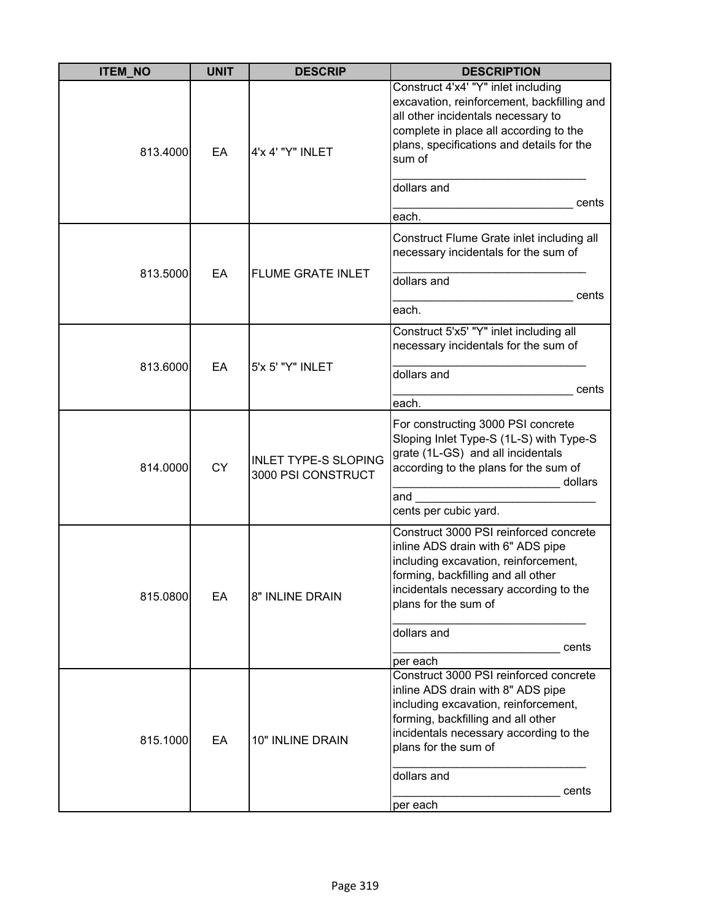| <b>ITEM_NO</b> | <b>UNIT</b> | <b>DESCRIP</b>                                    | <b>DESCRIPTION</b>                                                                                                                                                                                                                                     |
|----------------|-------------|---------------------------------------------------|--------------------------------------------------------------------------------------------------------------------------------------------------------------------------------------------------------------------------------------------------------|
| 813.4000       | EA          | 4'x 4' "Y" INLET                                  | Construct 4'x4' "Y" inlet including<br>excavation, reinforcement, backfilling and<br>all other incidentals necessary to<br>complete in place all according to the<br>plans, specifications and details for the<br>sum of                               |
|                |             |                                                   | dollars and<br>cents<br>each.                                                                                                                                                                                                                          |
|                |             |                                                   | Construct Flume Grate inlet including all<br>necessary incidentals for the sum of                                                                                                                                                                      |
| 813.5000       | EA          | <b>FLUME GRATE INLET</b>                          | dollars and<br>cents<br>each.                                                                                                                                                                                                                          |
|                |             |                                                   | Construct 5'x5' "Y" inlet including all                                                                                                                                                                                                                |
|                |             |                                                   | necessary incidentals for the sum of                                                                                                                                                                                                                   |
| 813.6000       | EA          | 5'x 5' "Y" INLET                                  | dollars and<br>cents                                                                                                                                                                                                                                   |
|                |             |                                                   | each.                                                                                                                                                                                                                                                  |
| 814.0000       | <b>CY</b>   | <b>INLET TYPE-S SLOPING</b><br>3000 PSI CONSTRUCT | For constructing 3000 PSI concrete<br>Sloping Inlet Type-S (1L-S) with Type-S<br>grate (1L-GS) and all incidentals<br>according to the plans for the sum of<br>dollars                                                                                 |
|                |             |                                                   | and                                                                                                                                                                                                                                                    |
|                |             |                                                   | cents per cubic yard.                                                                                                                                                                                                                                  |
| 815.0800       | EA          | 8" INLINE DRAIN                                   | Construct 3000 PSI reinforced concrete<br>inline ADS drain with 6" ADS pipe<br>including excavation, reinforcement,<br>forming, backfilling and all other<br>incidentals necessary according to the<br>plans for the sum of                            |
|                |             |                                                   | dollars and                                                                                                                                                                                                                                            |
|                |             |                                                   | cents                                                                                                                                                                                                                                                  |
| 815.1000       | EA          | 10" INLINE DRAIN                                  | per each<br>Construct 3000 PSI reinforced concrete<br>inline ADS drain with 8" ADS pipe<br>including excavation, reinforcement,<br>forming, backfilling and all other<br>incidentals necessary according to the<br>plans for the sum of<br>dollars and |
|                |             |                                                   | cents<br>per each                                                                                                                                                                                                                                      |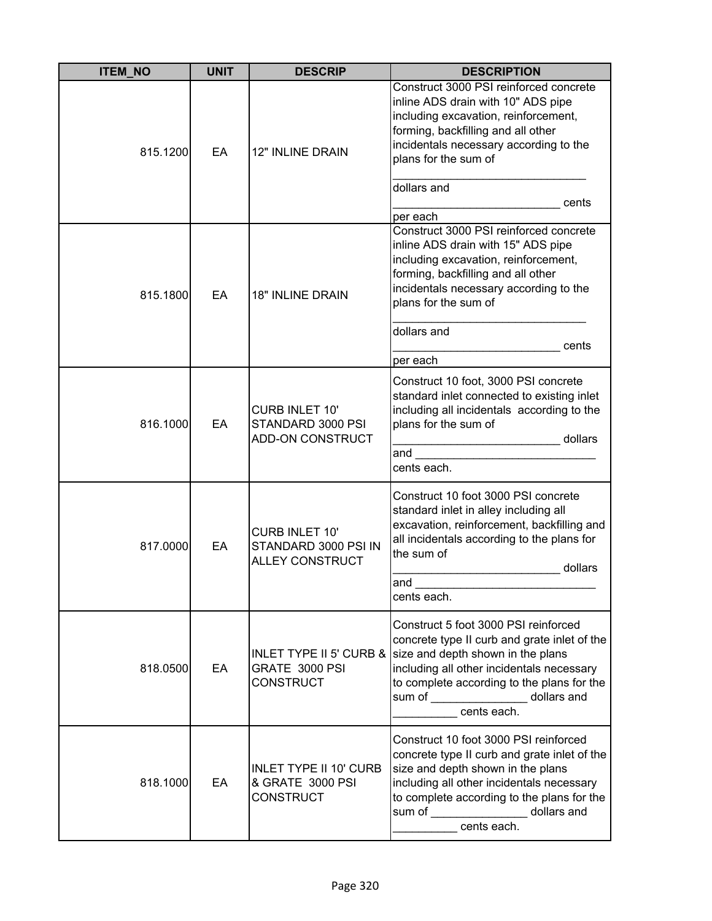| <b>ITEM_NO</b> | <b>UNIT</b> | <b>DESCRIP</b>                                                          | <b>DESCRIPTION</b>                                                                                                                                                                                                                                                                                        |
|----------------|-------------|-------------------------------------------------------------------------|-----------------------------------------------------------------------------------------------------------------------------------------------------------------------------------------------------------------------------------------------------------------------------------------------------------|
| 815.1200       | EA          | 12" INLINE DRAIN                                                        | Construct 3000 PSI reinforced concrete<br>inline ADS drain with 10" ADS pipe<br>including excavation, reinforcement,<br>forming, backfilling and all other<br>incidentals necessary according to the<br>plans for the sum of<br>dollars and<br>cents                                                      |
| 815.1800       | EA          | <b>18" INLINE DRAIN</b>                                                 | per each<br>Construct 3000 PSI reinforced concrete<br>inline ADS drain with 15" ADS pipe<br>including excavation, reinforcement,<br>forming, backfilling and all other<br>incidentals necessary according to the<br>plans for the sum of<br>dollars and<br>cents<br>per each                              |
| 816.1000       | EA          | CURB INLET 10'<br>STANDARD 3000 PSI<br>ADD-ON CONSTRUCT                 | Construct 10 foot, 3000 PSI concrete<br>standard inlet connected to existing inlet<br>including all incidentals according to the<br>plans for the sum of<br>dollars<br>and<br>cents each.                                                                                                                 |
| 817.0000       | EA          | <b>CURB INLET 10'</b><br>STANDARD 3000 PSI IN<br><b>ALLEY CONSTRUCT</b> | Construct 10 foot 3000 PSI concrete<br>standard inlet in alley including all<br>excavation, reinforcement, backfilling and<br>all incidentals according to the plans for<br>the sum of<br>dollars<br>and<br>cents each.                                                                                   |
| 818.0500       | EA          | GRATE 3000 PSI<br><b>CONSTRUCT</b>                                      | Construct 5 foot 3000 PSI reinforced<br>concrete type II curb and grate inlet of the<br>INLET TYPE II 5' CURB & size and depth shown in the plans<br>including all other incidentals necessary<br>to complete according to the plans for the<br>sum of ____________________<br>dollars and<br>cents each. |
| 818.1000       | EA          | <b>INLET TYPE II 10' CURB</b><br>& GRATE 3000 PSI<br><b>CONSTRUCT</b>   | Construct 10 foot 3000 PSI reinforced<br>concrete type II curb and grate inlet of the<br>size and depth shown in the plans<br>including all other incidentals necessary<br>to complete according to the plans for the<br>sum of _________________ dollars and<br>cents each.                              |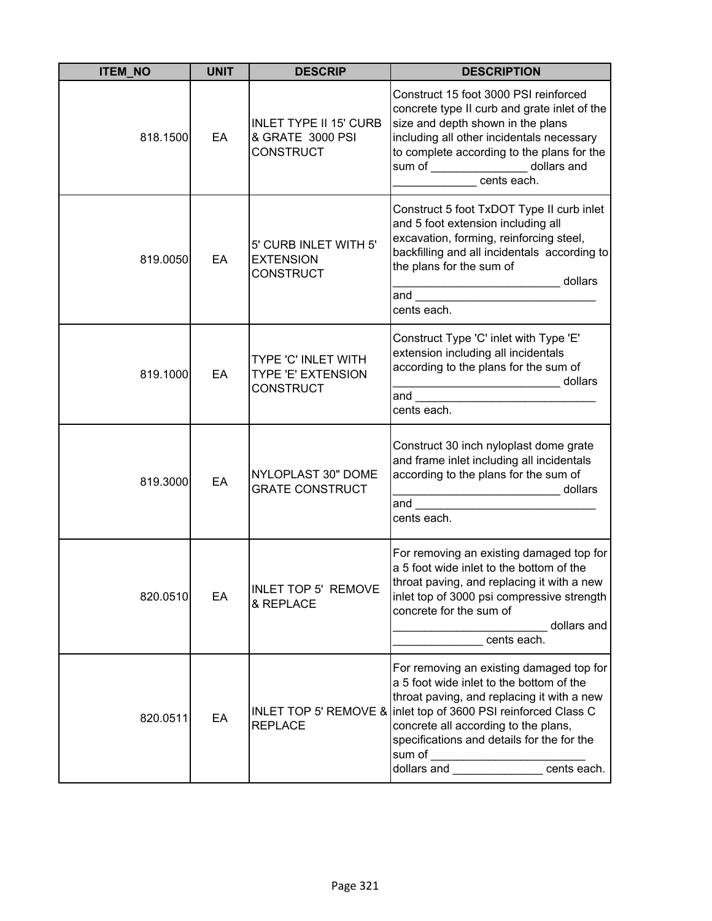| <b>ITEM NO</b> | <b>UNIT</b> | <b>DESCRIP</b>                                                        | <b>DESCRIPTION</b>                                                                                                                                                                                                                                                                                                        |
|----------------|-------------|-----------------------------------------------------------------------|---------------------------------------------------------------------------------------------------------------------------------------------------------------------------------------------------------------------------------------------------------------------------------------------------------------------------|
| 818.1500       | EA          | <b>INLET TYPE II 15' CURB</b><br>& GRATE 3000 PSI<br><b>CONSTRUCT</b> | Construct 15 foot 3000 PSI reinforced<br>concrete type II curb and grate inlet of the<br>size and depth shown in the plans<br>including all other incidentals necessary<br>to complete according to the plans for the<br>sum of _________________ dollars and<br>cents each.                                              |
| 819.0050       | EA          | 5' CURB INLET WITH 5'<br><b>EXTENSION</b><br><b>CONSTRUCT</b>         | Construct 5 foot TxDOT Type II curb inlet<br>and 5 foot extension including all<br>excavation, forming, reinforcing steel,<br>backfilling and all incidentals according to<br>the plans for the sum of<br>dollars<br>_________________________________ dollars<br>and __________________________________<br>cents each.   |
| 819.1000       | EA          | TYPE 'C' INLET WITH<br>TYPE 'E' EXTENSION<br><b>CONSTRUCT</b>         | Construct Type 'C' inlet with Type 'E'<br>extension including all incidentals<br>according to the plans for the sum of<br>cents each.                                                                                                                                                                                     |
| 819.3000       | EA          | NYLOPLAST 30" DOME<br><b>GRATE CONSTRUCT</b>                          | Construct 30 inch nyloplast dome grate<br>and frame inlet including all incidentals<br>according to the plans for the sum of<br>_____________________________ dollars<br>and<br>cents each.                                                                                                                               |
| 820.0510       | EA          | INLET TOP 5' REMOVE<br>& REPLACE                                      | For removing an existing damaged top for<br>a 5 foot wide inlet to the bottom of the<br>throat paving, and replacing it with a new<br>inlet top of 3000 psi compressive strength<br>concrete for the sum of<br>dollars and<br>cents each.                                                                                 |
| 820.0511       | EA          | INLET TOP 5' REMOVE &<br><b>REPLACE</b>                               | For removing an existing damaged top for<br>a 5 foot wide inlet to the bottom of the<br>throat paving, and replacing it with a new<br>inlet top of 3600 PSI reinforced Class C<br>concrete all according to the plans,<br>specifications and details for the for the<br>sum of<br>dollars and <u>entitled</u> cents each. |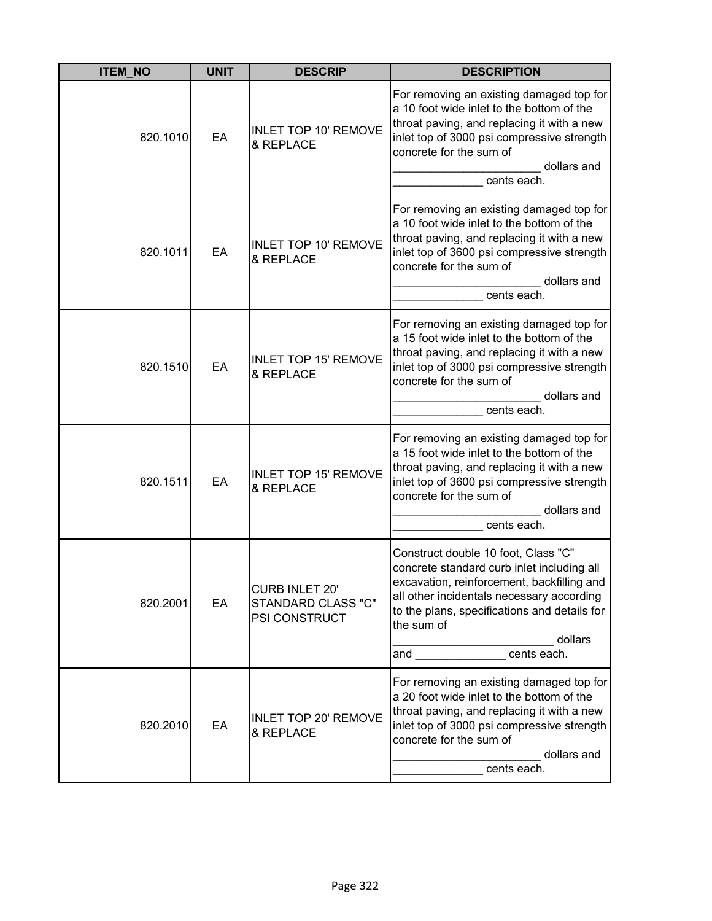| <b>ITEM NO</b> | <b>UNIT</b> | <b>DESCRIP</b>                                        | <b>DESCRIPTION</b>                                                                                                                                                                                                                                                       |
|----------------|-------------|-------------------------------------------------------|--------------------------------------------------------------------------------------------------------------------------------------------------------------------------------------------------------------------------------------------------------------------------|
| 820.1010       | EA          | <b>INLET TOP 10' REMOVE</b><br>& REPLACE              | For removing an existing damaged top for<br>a 10 foot wide inlet to the bottom of the<br>throat paving, and replacing it with a new<br>inlet top of 3000 psi compressive strength<br>concrete for the sum of<br>dollars and<br>cents each.                               |
| 820.1011       | EA          | <b>INLET TOP 10' REMOVE</b><br>& REPLACE              | For removing an existing damaged top for<br>a 10 foot wide inlet to the bottom of the<br>throat paving, and replacing it with a new<br>inlet top of 3600 psi compressive strength<br>concrete for the sum of<br>dollars and<br>cents each.                               |
| 820.1510       | EA          | <b>INLET TOP 15' REMOVE</b><br>& REPLACE              | For removing an existing damaged top for<br>a 15 foot wide inlet to the bottom of the<br>throat paving, and replacing it with a new<br>inlet top of 3000 psi compressive strength<br>concrete for the sum of<br>dollars and<br>cents each.                               |
| 820.1511       | EA          | <b>INLET TOP 15' REMOVE</b><br>& REPLACE              | For removing an existing damaged top for<br>a 15 foot wide inlet to the bottom of the<br>throat paving, and replacing it with a new<br>inlet top of 3600 psi compressive strength<br>concrete for the sum of<br>dollars and<br>cents each.                               |
| 820.2001       | EA          | CURB INLET 20'<br>STANDARD CLASS "C"<br>PSI CONSTRUCT | Construct double 10 foot, Class "C"<br>concrete standard curb inlet including all<br>excavation, reinforcement, backfilling and<br>all other incidentals necessary according<br>to the plans, specifications and details for<br>the sum of<br>dollars<br>and cents each. |
| 820.2010       | EA          | <b>INLET TOP 20' REMOVE</b><br>& REPLACE              | For removing an existing damaged top for<br>a 20 foot wide inlet to the bottom of the<br>throat paving, and replacing it with a new<br>inlet top of 3000 psi compressive strength<br>concrete for the sum of<br>dollars and<br>cents each.                               |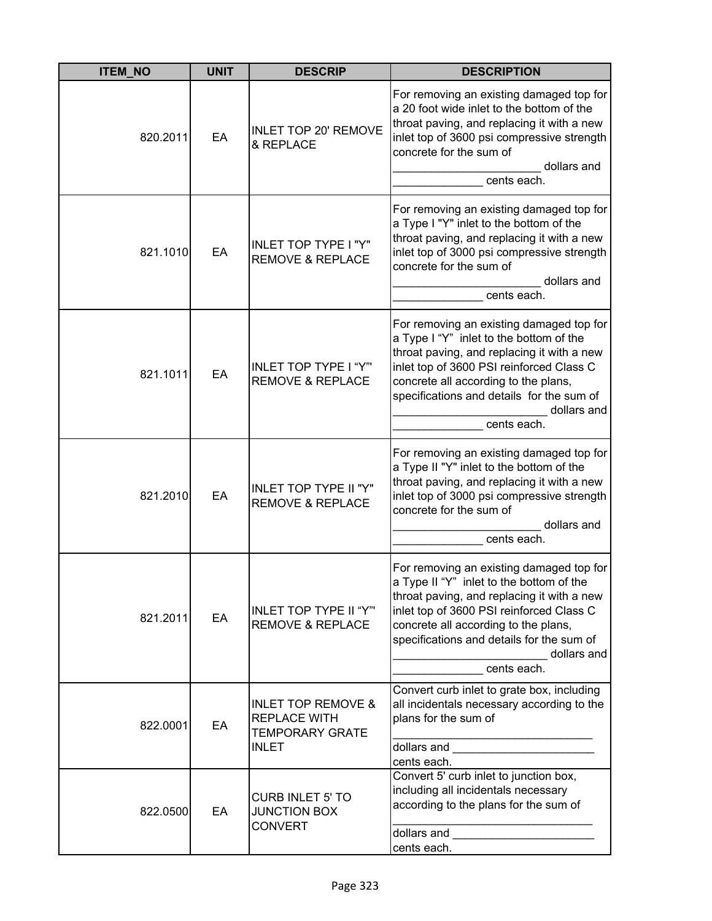| <b>ITEM_NO</b> | <b>UNIT</b> | <b>DESCRIP</b>                                                                                 | <b>DESCRIPTION</b>                                                                                                                                                                                                                                                                                |
|----------------|-------------|------------------------------------------------------------------------------------------------|---------------------------------------------------------------------------------------------------------------------------------------------------------------------------------------------------------------------------------------------------------------------------------------------------|
| 820.2011       | EA          | <b>INLET TOP 20' REMOVE</b><br>& REPLACE                                                       | For removing an existing damaged top for<br>a 20 foot wide inlet to the bottom of the<br>throat paving, and replacing it with a new<br>inlet top of 3600 psi compressive strength<br>concrete for the sum of<br>dollars and<br>cents each.                                                        |
| 821.1010       | EA          | INLET TOP TYPE I "Y"<br><b>REMOVE &amp; REPLACE</b>                                            | For removing an existing damaged top for<br>a Type I "Y" inlet to the bottom of the<br>throat paving, and replacing it with a new<br>inlet top of 3000 psi compressive strength<br>concrete for the sum of<br>dollars and<br>cents each.                                                          |
| 821.1011       | EA          | <b>INLET TOP TYPE I "Y"'</b><br><b>REMOVE &amp; REPLACE</b>                                    | For removing an existing damaged top for<br>a Type I "Y" inlet to the bottom of the<br>throat paving, and replacing it with a new<br>inlet top of 3600 PSI reinforced Class C<br>concrete all according to the plans,<br>specifications and details for the sum of<br>dollars and<br>cents each.  |
| 821.2010       | EA          | INLET TOP TYPE II "Y"<br><b>REMOVE &amp; REPLACE</b>                                           | For removing an existing damaged top for<br>a Type II "Y" inlet to the bottom of the<br>throat paving, and replacing it with a new<br>inlet top of 3000 psi compressive strength<br>concrete for the sum of<br>dollars and<br>cents each.                                                         |
| 821.2011       | EA          | <b>INLET TOP TYPE II "Y"'</b><br><b>REMOVE &amp; REPLACE</b>                                   | For removing an existing damaged top for<br>a Type II "Y" inlet to the bottom of the<br>throat paving, and replacing it with a new<br>inlet top of 3600 PSI reinforced Class C<br>concrete all according to the plans,<br>specifications and details for the sum of<br>dollars and<br>cents each. |
| 822.0001       | EA          | <b>INLET TOP REMOVE &amp;</b><br><b>REPLACE WITH</b><br><b>TEMPORARY GRATE</b><br><b>INLET</b> | Convert curb inlet to grate box, including<br>all incidentals necessary according to the<br>plans for the sum of<br>dollars and<br>cents each.                                                                                                                                                    |
| 822.0500       | EA          | <b>CURB INLET 5' TO</b><br><b>JUNCTION BOX</b><br><b>CONVERT</b>                               | Convert 5' curb inlet to junction box,<br>including all incidentals necessary<br>according to the plans for the sum of<br>cents each.                                                                                                                                                             |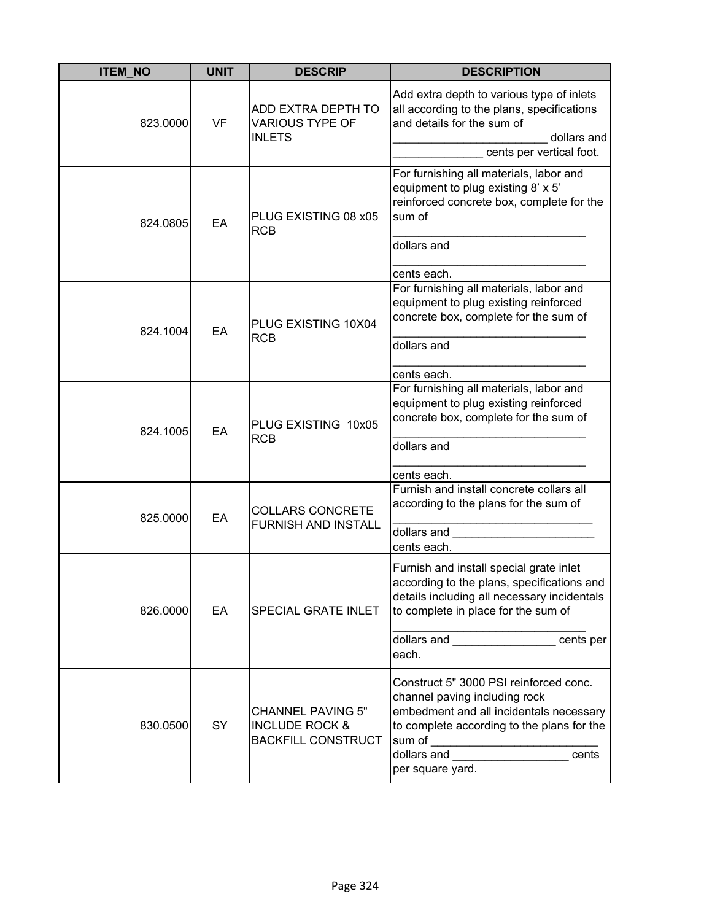| <b>ITEM_NO</b> | <b>UNIT</b> | <b>DESCRIP</b>                                                                     | <b>DESCRIPTION</b>                                                                                                                                                                                                                                                       |
|----------------|-------------|------------------------------------------------------------------------------------|--------------------------------------------------------------------------------------------------------------------------------------------------------------------------------------------------------------------------------------------------------------------------|
| 823.0000       | <b>VF</b>   | ADD EXTRA DEPTH TO<br><b>VARIOUS TYPE OF</b><br><b>INLETS</b>                      | Add extra depth to various type of inlets<br>all according to the plans, specifications<br>and details for the sum of<br>dollars and<br>cents per vertical foot.                                                                                                         |
| 824.0805       | EA          | PLUG EXISTING 08 x05<br><b>RCB</b>                                                 | For furnishing all materials, labor and<br>equipment to plug existing 8' x 5'<br>reinforced concrete box, complete for the<br>sum of<br>dollars and<br>cents each.                                                                                                       |
| 824.1004       | EA          | PLUG EXISTING 10X04<br><b>RCB</b>                                                  | For furnishing all materials, labor and<br>equipment to plug existing reinforced<br>concrete box, complete for the sum of<br>dollars and<br>cents each.                                                                                                                  |
| 824.1005       | EA          | PLUG EXISTING 10x05<br><b>RCB</b>                                                  | For furnishing all materials, labor and<br>equipment to plug existing reinforced<br>concrete box, complete for the sum of<br>dollars and<br>cents each.                                                                                                                  |
| 825.0000       | EA          | <b>COLLARS CONCRETE</b><br><b>FURNISH AND INSTALL</b>                              | Furnish and install concrete collars all<br>according to the plans for the sum of<br>dollars and<br>cents each.                                                                                                                                                          |
| 826.0000       | EA          | SPECIAL GRATE INLET                                                                | Furnish and install special grate inlet<br>according to the plans, specifications and<br>details including all necessary incidentals<br>to complete in place for the sum of<br>dollars and __________________ cents per<br>each.                                         |
| 830.0500       | SY          | <b>CHANNEL PAVING 5"</b><br><b>INCLUDE ROCK &amp;</b><br><b>BACKFILL CONSTRUCT</b> | Construct 5" 3000 PSI reinforced conc.<br>channel paving including rock<br>embedment and all incidentals necessary<br>to complete according to the plans for the<br>sum of<br>.<br>dollars and <b>contract the contract of the contract</b><br>cents<br>per square yard. |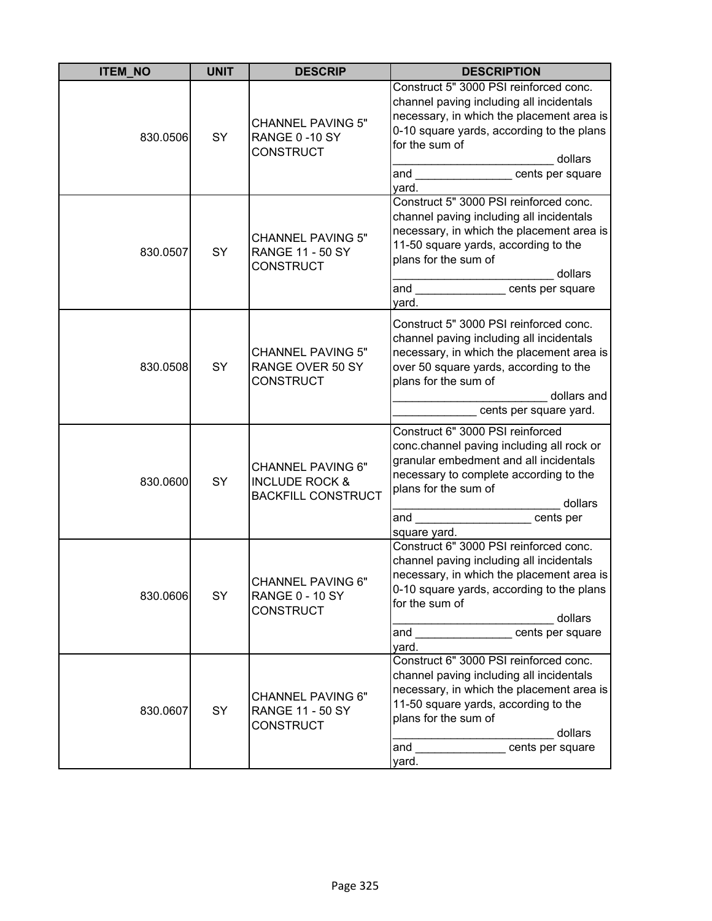| <b>ITEM_NO</b> | <b>UNIT</b> | <b>DESCRIP</b>                                                                     | <b>DESCRIPTION</b>                                                                                                                                                                                                                             |
|----------------|-------------|------------------------------------------------------------------------------------|------------------------------------------------------------------------------------------------------------------------------------------------------------------------------------------------------------------------------------------------|
| 830.0506       | SY          | <b>CHANNEL PAVING 5"</b><br>RANGE 0-10 SY<br><b>CONSTRUCT</b>                      | Construct 5" 3000 PSI reinforced conc.<br>channel paving including all incidentals<br>necessary, in which the placement area is<br>0-10 square yards, according to the plans<br>for the sum of<br>dollars<br>and<br>cents per square<br>yard.  |
| 830.0507       | SY          | <b>CHANNEL PAVING 5"</b><br><b>RANGE 11 - 50 SY</b><br><b>CONSTRUCT</b>            | Construct 5" 3000 PSI reinforced conc.<br>channel paving including all incidentals<br>necessary, in which the placement area is<br>11-50 square yards, according to the<br>plans for the sum of<br>dollars<br>and<br>cents per square<br>yard. |
| 830.0508       | SY          | <b>CHANNEL PAVING 5"</b><br>RANGE OVER 50 SY<br><b>CONSTRUCT</b>                   | Construct 5" 3000 PSI reinforced conc.<br>channel paving including all incidentals<br>necessary, in which the placement area is<br>over 50 square yards, according to the<br>plans for the sum of<br>dollars and<br>cents per square yard.     |
| 830.0600       | SY          | <b>CHANNEL PAVING 6"</b><br><b>INCLUDE ROCK &amp;</b><br><b>BACKFILL CONSTRUCT</b> | Construct 6" 3000 PSI reinforced<br>conc.channel paving including all rock or<br>granular embedment and all incidentals<br>necessary to complete according to the<br>plans for the sum of<br>dollars<br>cents per<br>and<br>square yard.       |
| 830.0606       | SY          | <b>CHANNEL PAVING 6"</b><br><b>RANGE 0 - 10 SY</b><br><b>CONSTRUCT</b>             | Construct 6" 3000 PSI reinforced conc.<br>channel paving including all incidentals<br>necessary, in which the placement area is<br>0-10 square yards, according to the plans<br>for the sum of<br>dollars<br>cents per square<br>and<br>yard.  |
| 830.0607       | SY          | <b>CHANNEL PAVING 6"</b><br><b>RANGE 11 - 50 SY</b><br><b>CONSTRUCT</b>            | Construct 6" 3000 PSI reinforced conc.<br>channel paving including all incidentals<br>necessary, in which the placement area is<br>11-50 square yards, according to the<br>plans for the sum of<br>dollars<br>and<br>cents per square<br>yard. |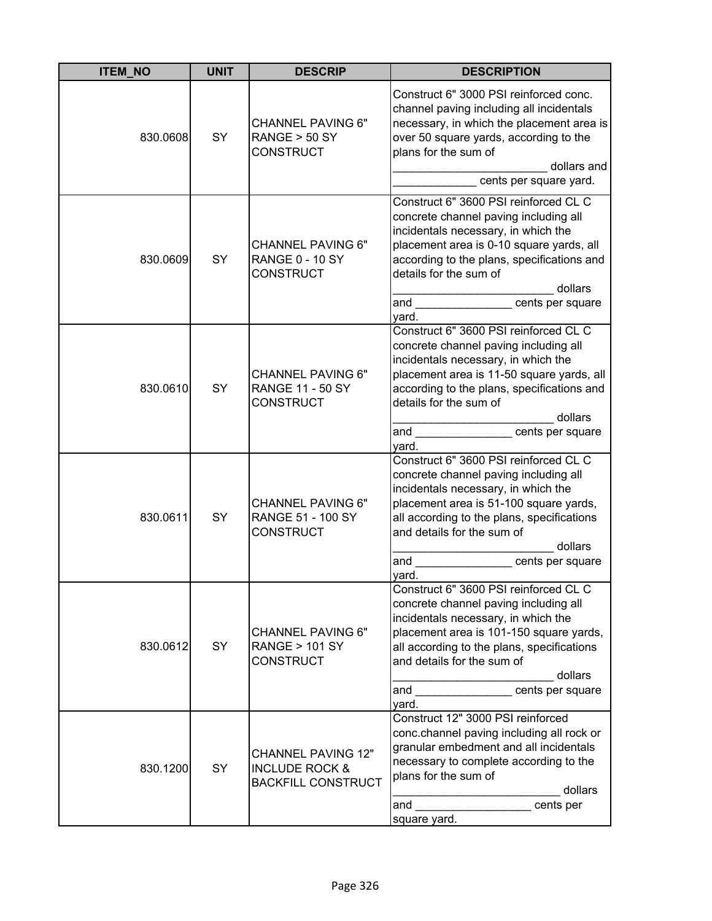| <b>ITEM NO</b> | <b>UNIT</b> | <b>DESCRIP</b>                                                                      | <b>DESCRIPTION</b>                                                                                                                                                                                                                                                                          |
|----------------|-------------|-------------------------------------------------------------------------------------|---------------------------------------------------------------------------------------------------------------------------------------------------------------------------------------------------------------------------------------------------------------------------------------------|
| 830.0608       | SY          | <b>CHANNEL PAVING 6"</b><br>RANGE > 50 SY<br><b>CONSTRUCT</b>                       | Construct 6" 3000 PSI reinforced conc.<br>channel paving including all incidentals<br>necessary, in which the placement area is<br>over 50 square yards, according to the<br>plans for the sum of<br>dollars and<br>cents per square yard.                                                  |
| 830.0609       | SY          | <b>CHANNEL PAVING 6"</b><br><b>RANGE 0 - 10 SY</b><br><b>CONSTRUCT</b>              | Construct 6" 3600 PSI reinforced CL C<br>concrete channel paving including all<br>incidentals necessary, in which the<br>placement area is 0-10 square yards, all<br>according to the plans, specifications and<br>details for the sum of<br>dollars<br>and<br>cents per square<br>yard.    |
| 830.0610       | SY          | <b>CHANNEL PAVING 6"</b><br><b>RANGE 11 - 50 SY</b><br><b>CONSTRUCT</b>             | Construct 6" 3600 PSI reinforced CL C<br>concrete channel paving including all<br>incidentals necessary, in which the<br>placement area is 11-50 square yards, all<br>according to the plans, specifications and<br>details for the sum of<br>dollars<br>cents per square<br>and<br>yard.   |
| 830.0611       | SY          | <b>CHANNEL PAVING 6"</b><br>RANGE 51 - 100 SY<br><b>CONSTRUCT</b>                   | Construct 6" 3600 PSI reinforced CL C<br>concrete channel paving including all<br>incidentals necessary, in which the<br>placement area is 51-100 square yards,<br>all according to the plans, specifications<br>and details for the sum of<br>dollars<br>and<br>cents per square<br>yard.  |
| 830.0612       | SY          | <b>CHANNEL PAVING 6"</b><br><b>RANGE &gt; 101 SY</b><br><b>CONSTRUCT</b>            | Construct 6" 3600 PSI reinforced CL C<br>concrete channel paving including all<br>incidentals necessary, in which the<br>placement area is 101-150 square yards,<br>all according to the plans, specifications<br>and details for the sum of<br>dollars<br>cents per square<br>and<br>yard. |
| 830.1200       | SY          | <b>CHANNEL PAVING 12"</b><br><b>INCLUDE ROCK &amp;</b><br><b>BACKFILL CONSTRUCT</b> | Construct 12" 3000 PSI reinforced<br>conc.channel paving including all rock or<br>granular embedment and all incidentals<br>necessary to complete according to the<br>plans for the sum of<br>dollars<br>cents per<br>and<br>square yard.                                                   |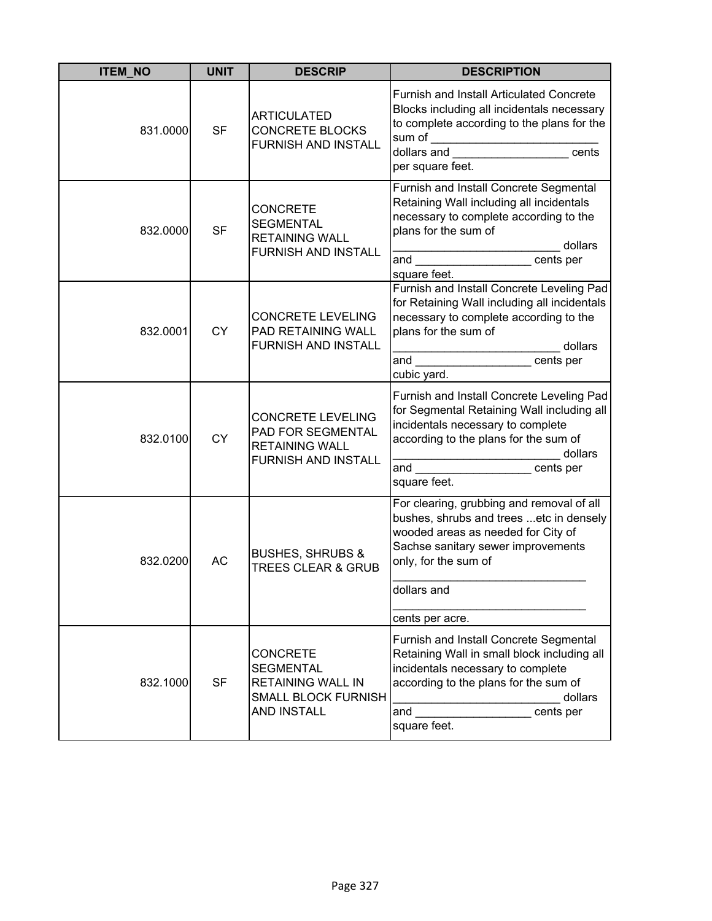| <b>ITEM_NO</b> | <b>UNIT</b> | <b>DESCRIP</b>                                                                                                      | <b>DESCRIPTION</b>                                                                                                                                                                                                                        |
|----------------|-------------|---------------------------------------------------------------------------------------------------------------------|-------------------------------------------------------------------------------------------------------------------------------------------------------------------------------------------------------------------------------------------|
| 831.0000       | <b>SF</b>   | <b>ARTICULATED</b><br><b>CONCRETE BLOCKS</b><br><b>FURNISH AND INSTALL</b>                                          | <b>Furnish and Install Articulated Concrete</b><br>Blocks including all incidentals necessary<br>to complete according to the plans for the<br>per square feet.                                                                           |
| 832.0000       | <b>SF</b>   | <b>CONCRETE</b><br><b>SEGMENTAL</b><br><b>RETAINING WALL</b><br><b>FURNISH AND INSTALL</b>                          | Furnish and Install Concrete Segmental<br>Retaining Wall including all incidentals<br>necessary to complete according to the<br>plans for the sum of<br>dollars<br>and ______________________cents per<br>square feet.                    |
| 832.0001       | <b>CY</b>   | <b>CONCRETE LEVELING</b><br>PAD RETAINING WALL<br><b>FURNISH AND INSTALL</b>                                        | Furnish and Install Concrete Leveling Pad<br>for Retaining Wall including all incidentals<br>necessary to complete according to the<br>plans for the sum of<br>________________ dollars<br>cubic yard.                                    |
| 832.0100       | <b>CY</b>   | CONCRETE LEVELING<br>PAD FOR SEGMENTAL<br><b>RETAINING WALL</b><br><b>FURNISH AND INSTALL</b>                       | Furnish and Install Concrete Leveling Pad<br>for Segmental Retaining Wall including all<br>incidentals necessary to complete<br>according to the plans for the sum of<br>dollars<br>and ________________________cents per<br>square feet. |
| 832.0200       | <b>AC</b>   | <b>BUSHES, SHRUBS &amp;</b><br><b>TREES CLEAR &amp; GRUB</b>                                                        | For clearing, grubbing and removal of all<br>bushes, shrubs and trees etc in densely<br>wooded areas as needed for City of<br>Sachse sanitary sewer improvements<br>only, for the sum of<br>dollars and<br>cents per acre.                |
| 832.1000       | <b>SF</b>   | <b>CONCRETE</b><br><b>SEGMENTAL</b><br><b>RETAINING WALL IN</b><br><b>SMALL BLOCK FURNISH</b><br><b>AND INSTALL</b> | Furnish and Install Concrete Segmental<br>Retaining Wall in small block including all<br>incidentals necessary to complete<br>according to the plans for the sum of<br>dollars<br>and<br>cents per<br>square feet.                        |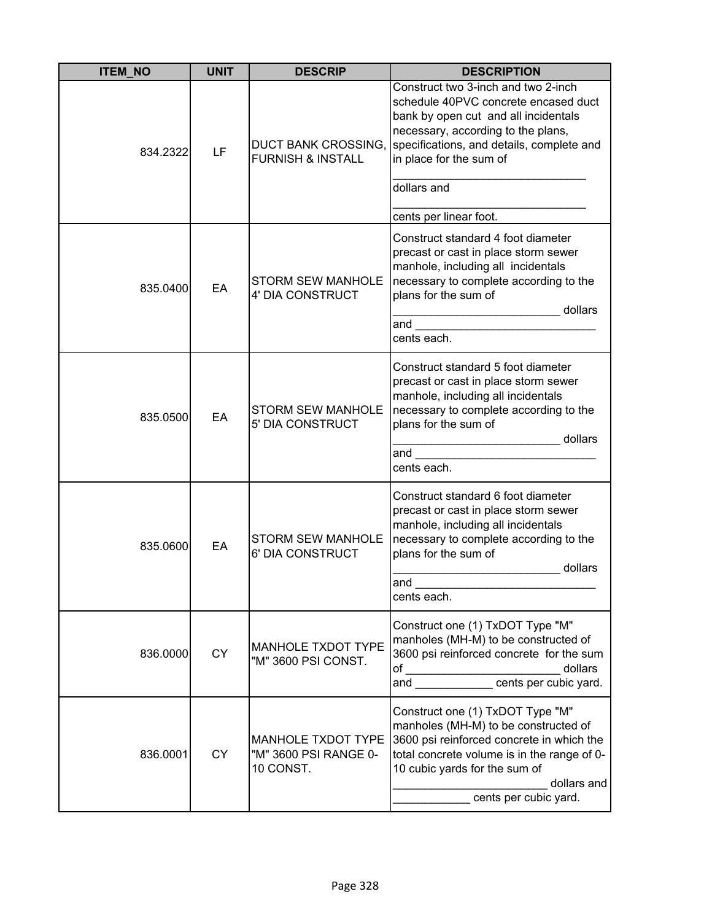| <b>ITEM_NO</b> | <b>UNIT</b> | <b>DESCRIP</b>                                           | <b>DESCRIPTION</b>                                                                                                                                                                                                                            |
|----------------|-------------|----------------------------------------------------------|-----------------------------------------------------------------------------------------------------------------------------------------------------------------------------------------------------------------------------------------------|
| 834.2322       | LF          | DUCT BANK CROSSING,<br><b>FURNISH &amp; INSTALL</b>      | Construct two 3-inch and two 2-inch<br>schedule 40PVC concrete encased duct<br>bank by open cut and all incidentals<br>necessary, according to the plans,<br>specifications, and details, complete and<br>in place for the sum of             |
|                |             |                                                          | dollars and<br>cents per linear foot.                                                                                                                                                                                                         |
| 835.0400       | EA          | <b>STORM SEW MANHOLE</b><br>4' DIA CONSTRUCT             | Construct standard 4 foot diameter<br>precast or cast in place storm sewer<br>manhole, including all incidentals<br>necessary to complete according to the<br>plans for the sum of<br>dollars<br>and<br>cents each.                           |
| 835.0500       | EA          | <b>STORM SEW MANHOLE</b><br>5' DIA CONSTRUCT             | Construct standard 5 foot diameter<br>precast or cast in place storm sewer<br>manhole, including all incidentals<br>necessary to complete according to the<br>plans for the sum of<br>dollars<br>and<br>cents each.                           |
| 835.0600       | EA          | <b>STORM SEW MANHOLE</b><br>6' DIA CONSTRUCT             | Construct standard 6 foot diameter<br>precast or cast in place storm sewer<br>manhole, including all incidentals<br>necessary to complete according to the<br>plans for the sum of<br>dollars<br>and<br>cents each.                           |
| 836.0000       | <b>CY</b>   | <b>MANHOLE TXDOT TYPE</b><br>"M" 3600 PSI CONST.         | Construct one (1) TxDOT Type "M"<br>manholes (MH-M) to be constructed of<br>3600 psi reinforced concrete for the sum<br>of _______________________________dollars<br>and ________________cents per cubic yard.                                |
| 836.0001       | <b>CY</b>   | MANHOLE TXDOT TYPE<br>"M" 3600 PSI RANGE 0-<br>10 CONST. | Construct one (1) TxDOT Type "M"<br>manholes (MH-M) to be constructed of<br>3600 psi reinforced concrete in which the<br>total concrete volume is in the range of 0-<br>10 cubic yards for the sum of<br>dollars and<br>cents per cubic yard. |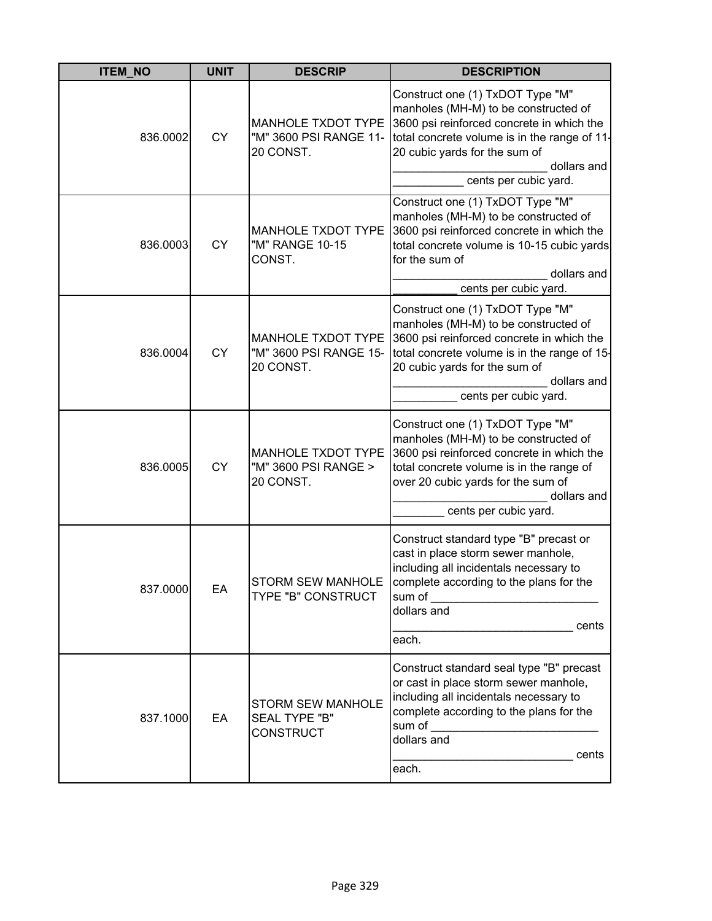| <b>ITEM_NO</b> | <b>UNIT</b> | <b>DESCRIP</b>                                                       | <b>DESCRIPTION</b>                                                                                                                                                                                                                              |
|----------------|-------------|----------------------------------------------------------------------|-------------------------------------------------------------------------------------------------------------------------------------------------------------------------------------------------------------------------------------------------|
| 836.0002       | <b>CY</b>   | <b>MANHOLE TXDOT TYPE</b><br>"M" 3600 PSI RANGE 11-<br>20 CONST.     | Construct one (1) TxDOT Type "M"<br>manholes (MH-M) to be constructed of<br>3600 psi reinforced concrete in which the<br>total concrete volume is in the range of 11-<br>20 cubic yards for the sum of<br>dollars and<br>cents per cubic yard.  |
| 836.0003       | <b>CY</b>   | MANHOLE TXDOT TYPE<br>"M" RANGE 10-15<br>CONST.                      | Construct one (1) TxDOT Type "M"<br>manholes (MH-M) to be constructed of<br>3600 psi reinforced concrete in which the<br>total concrete volume is 10-15 cubic yards<br>for the sum of<br>dollars and<br>cents per cubic yard.                   |
| 836.0004       | <b>CY</b>   | MANHOLE TXDOT TYPE<br>"M" 3600 PSI RANGE 15-<br>20 CONST.            | Construct one (1) TxDOT Type "M"<br>manholes (MH-M) to be constructed of<br>3600 psi reinforced concrete in which the<br>total concrete volume is in the range of 15-<br>20 cubic yards for the sum of<br>dollars and<br>cents per cubic yard.  |
| 836.0005       | <b>CY</b>   | MANHOLE TXDOT TYPE<br>"M" 3600 PSI RANGE ><br>20 CONST.              | Construct one (1) TxDOT Type "M"<br>manholes (MH-M) to be constructed of<br>3600 psi reinforced concrete in which the<br>total concrete volume is in the range of<br>over 20 cubic yards for the sum of<br>dollars and<br>cents per cubic yard. |
| 837.0000       | EA          | STORM SEW MANHOLE<br>TYPE "B" CONSTRUCT                              | Construct standard type "B" precast or<br>cast in place storm sewer manhole,<br>including all incidentals necessary to<br>complete according to the plans for the<br>sum of<br>dollars and<br>cents<br>each.                                    |
| 837.1000       | EA          | <b>STORM SEW MANHOLE</b><br><b>SEAL TYPE "B"</b><br><b>CONSTRUCT</b> | Construct standard seal type "B" precast<br>or cast in place storm sewer manhole,<br>including all incidentals necessary to<br>complete according to the plans for the<br>sum of<br>dollars and<br>cents<br>each.                               |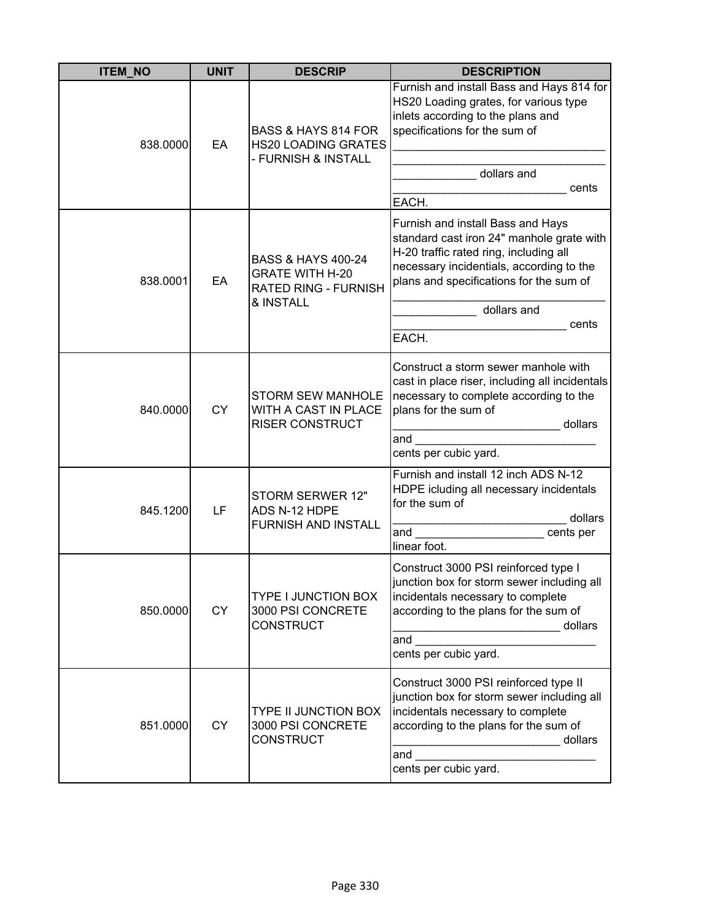| <b>ITEM NO</b> | <b>UNIT</b> | <b>DESCRIP</b>                                                                                      | <b>DESCRIPTION</b>                                                                                                                                                                                                                               |
|----------------|-------------|-----------------------------------------------------------------------------------------------------|--------------------------------------------------------------------------------------------------------------------------------------------------------------------------------------------------------------------------------------------------|
| 838.0000       | EA          | BASS & HAYS 814 FOR<br><b>HS20 LOADING GRATES</b><br>- FURNISH & INSTALL                            | Furnish and install Bass and Hays 814 for<br>HS20 Loading grates, for various type<br>inlets according to the plans and<br>specifications for the sum of<br>dollars and<br>cents<br>EACH.                                                        |
| 838.0001       | EA          | <b>BASS &amp; HAYS 400-24</b><br><b>GRATE WITH H-20</b><br><b>RATED RING - FURNISH</b><br>& INSTALL | Furnish and install Bass and Hays<br>standard cast iron 24" manhole grate with<br>H-20 traffic rated ring, including all<br>necessary incidentials, according to the<br>plans and specifications for the sum of<br>dollars and<br>cents<br>EACH. |
| 840.0000       | <b>CY</b>   | <b>STORM SEW MANHOLE</b><br>WITH A CAST IN PLACE<br><b>RISER CONSTRUCT</b>                          | Construct a storm sewer manhole with<br>cast in place riser, including all incidentals<br>necessary to complete according to the<br>plans for the sum of<br>dollars<br>and<br>cents per cubic yard.                                              |
| 845.1200       | LF          | STORM SERWER 12"<br>ADS N-12 HDPE<br>FURNISH AND INSTALL                                            | Furnish and install 12 inch ADS N-12<br>HDPE icluding all necessary incidentals<br>for the sum of<br>dollars<br>and<br>cents per<br>linear foot.                                                                                                 |
| 850.0000       | <b>CY</b>   | <b>TYPE I JUNCTION BOX</b><br>3000 PSI CONCRETE<br><b>CONSTRUCT</b>                                 | Construct 3000 PSI reinforced type I<br>junction box for storm sewer including all<br>incidentals necessary to complete<br>according to the plans for the sum of<br>dollars<br>and<br>cents per cubic yard.                                      |
| 851.0000       | <b>CY</b>   | <b>TYPE II JUNCTION BOX</b><br>3000 PSI CONCRETE<br><b>CONSTRUCT</b>                                | Construct 3000 PSI reinforced type II<br>junction box for storm sewer including all<br>incidentals necessary to complete<br>according to the plans for the sum of<br>dollars<br>and<br>cents per cubic yard.                                     |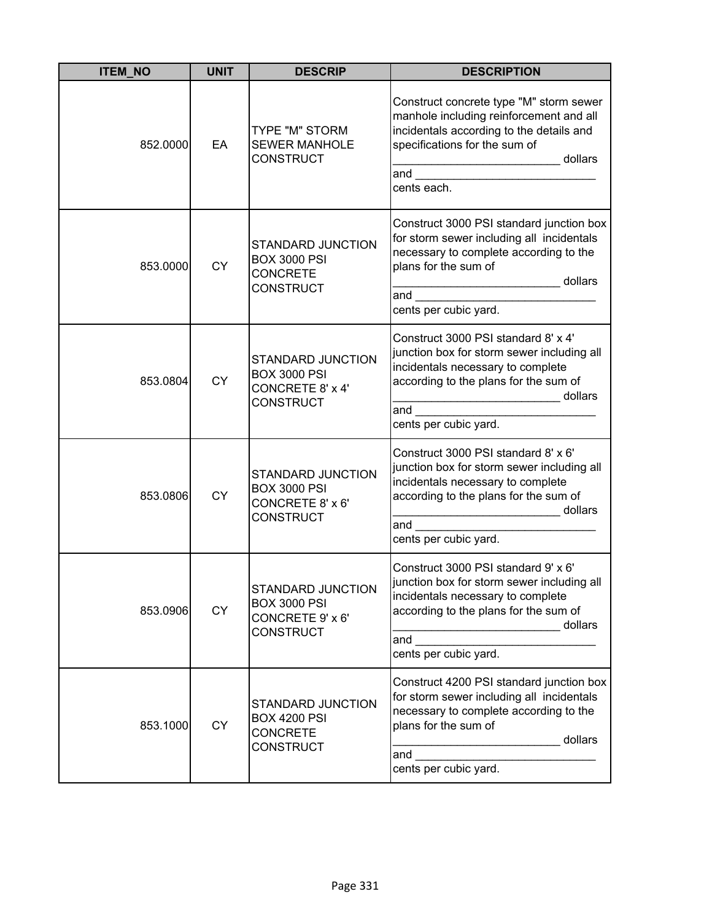| <b>ITEM_NO</b> | <b>UNIT</b> | <b>DESCRIP</b>                                                                   | <b>DESCRIPTION</b>                                                                                                                                                                                                                                                                                                                                                                                                                                                                                                                                                                                                                                                                                                   |
|----------------|-------------|----------------------------------------------------------------------------------|----------------------------------------------------------------------------------------------------------------------------------------------------------------------------------------------------------------------------------------------------------------------------------------------------------------------------------------------------------------------------------------------------------------------------------------------------------------------------------------------------------------------------------------------------------------------------------------------------------------------------------------------------------------------------------------------------------------------|
| 852.0000       | EA          | TYPE "M" STORM<br><b>SEWER MANHOLE</b><br><b>CONSTRUCT</b>                       | Construct concrete type "M" storm sewer<br>manhole including reinforcement and all<br>incidentals according to the details and<br>specifications for the sum of<br>dollars<br><u> 1989 - Johann Barnett, martin santa shekara ta 1989 - A</u><br>and the contract of the contract of the contract of the contract of the contract of the contract of the contract of the contract of the contract of the contract of the contract of the contract of the contract of the contra<br>cents each.                                                                                                                                                                                                                       |
| 853.0000       | <b>CY</b>   | STANDARD JUNCTION<br><b>BOX 3000 PSI</b><br><b>CONCRETE</b><br><b>CONSTRUCT</b>  | Construct 3000 PSI standard junction box<br>for storm sewer including all incidentals<br>necessary to complete according to the<br>plans for the sum of<br>dollars<br>and<br>cents per cubic yard.                                                                                                                                                                                                                                                                                                                                                                                                                                                                                                                   |
| 853.0804       | <b>CY</b>   | STANDARD JUNCTION<br><b>BOX 3000 PSI</b><br>CONCRETE 8' x 4'<br><b>CONSTRUCT</b> | Construct 3000 PSI standard 8' x 4'<br>junction box for storm sewer including all<br>incidentals necessary to complete<br>according to the plans for the sum of<br>dollars<br>$\begin{array}{cccccccccc} \multicolumn{2}{c}{} & \multicolumn{2}{c}{} & \multicolumn{2}{c}{} & \multicolumn{2}{c}{} & \multicolumn{2}{c}{} & \multicolumn{2}{c}{} & \multicolumn{2}{c}{} & \multicolumn{2}{c}{} & \multicolumn{2}{c}{} & \multicolumn{2}{c}{} & \multicolumn{2}{c}{} & \multicolumn{2}{c}{} & \multicolumn{2}{c}{} & \multicolumn{2}{c}{} & \multicolumn{2}{c}{} & \multicolumn{2}{c}{} & \multicolumn{2}{c}{} & \multicolumn{2}{c}{} & \multicolumn{2}{c}{} & \mult$<br>and $\qquad \qquad$<br>cents per cubic yard. |
| 853.0806       | <b>CY</b>   | STANDARD JUNCTION<br><b>BOX 3000 PSI</b><br>CONCRETE 8' x 6'<br><b>CONSTRUCT</b> | Construct 3000 PSI standard 8' x 6'<br>junction box for storm sewer including all<br>incidentals necessary to complete<br>according to the plans for the sum of<br>and<br>cents per cubic yard.                                                                                                                                                                                                                                                                                                                                                                                                                                                                                                                      |
| 853.0906       | <b>CY</b>   | STANDARD JUNCTION<br><b>BOX 3000 PSI</b><br>CONCRETE 9' x 6'<br><b>CONSTRUCT</b> | Construct 3000 PSI standard 9' x 6'<br>junction box for storm sewer including all<br>incidentals necessary to complete<br>according to the plans for the sum of<br>dollars<br>and the control of the control of the control of the control of the control of the control of the control of the control of the control of the control of the control of the control of the control of the control of the cont<br>cents per cubic yard.                                                                                                                                                                                                                                                                                |
| 853.1000       | <b>CY</b>   | STANDARD JUNCTION<br><b>BOX 4200 PSI</b><br><b>CONCRETE</b><br><b>CONSTRUCT</b>  | Construct 4200 PSI standard junction box<br>for storm sewer including all incidentals<br>necessary to complete according to the<br>plans for the sum of<br>dollars<br>and<br>cents per cubic yard.                                                                                                                                                                                                                                                                                                                                                                                                                                                                                                                   |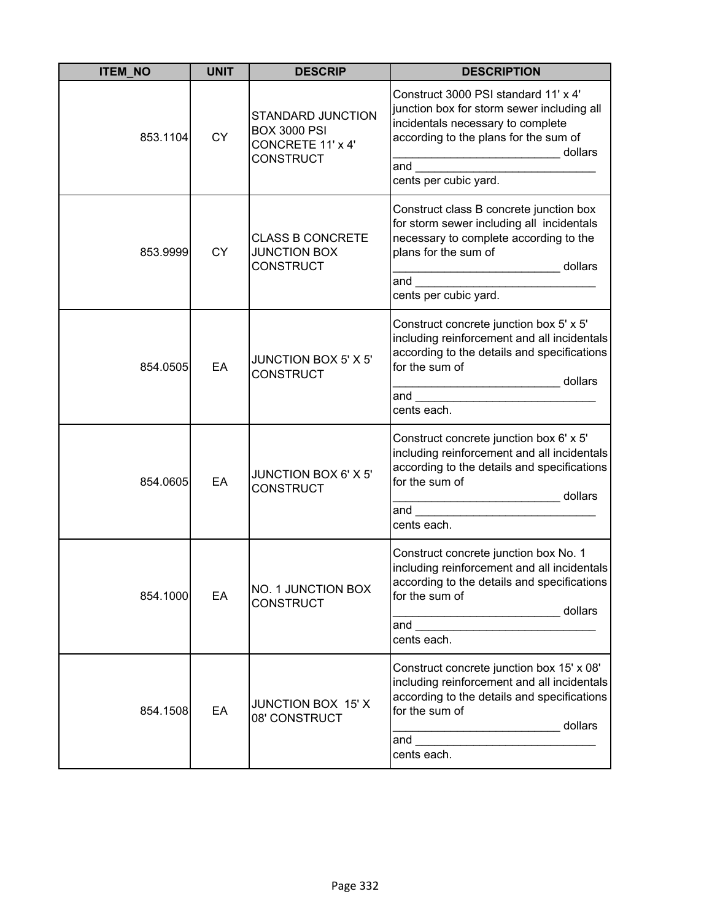| <b>ITEM_NO</b> | <b>UNIT</b> | <b>DESCRIP</b>                                                                           | <b>DESCRIPTION</b>                                                                                                                                                                                                                                                                                                                                                                                                |
|----------------|-------------|------------------------------------------------------------------------------------------|-------------------------------------------------------------------------------------------------------------------------------------------------------------------------------------------------------------------------------------------------------------------------------------------------------------------------------------------------------------------------------------------------------------------|
| 853.1104       | <b>CY</b>   | <b>STANDARD JUNCTION</b><br><b>BOX 3000 PSI</b><br>CONCRETE 11' x 4'<br><b>CONSTRUCT</b> | Construct 3000 PSI standard 11' x 4'<br>junction box for storm sewer including all<br>incidentals necessary to complete<br>according to the plans for the sum of<br>______________________________ dollars<br>and<br>cents per cubic yard.                                                                                                                                                                        |
| 853.9999       | <b>CY</b>   | <b>CLASS B CONCRETE</b><br><b>JUNCTION BOX</b><br><b>CONSTRUCT</b>                       | Construct class B concrete junction box<br>for storm sewer including all incidentals<br>necessary to complete according to the<br>plans for the sum of<br>dollars<br>.<br>and $\overline{\phantom{a}}$<br>cents per cubic yard.                                                                                                                                                                                   |
| 854.0505       | EA          | JUNCTION BOX 5' X 5'<br><b>CONSTRUCT</b>                                                 | Construct concrete junction box 5' x 5'<br>including reinforcement and all incidentals<br>according to the details and specifications<br>for the sum of<br>cents each.                                                                                                                                                                                                                                            |
| 854.0605       | EA          | JUNCTION BOX 6' X 5'<br><b>CONSTRUCT</b>                                                 | Construct concrete junction box 6' x 5'<br>including reinforcement and all incidentals<br>according to the details and specifications<br>for the sum of<br>dollars<br>and<br>cents each.                                                                                                                                                                                                                          |
| 854.1000       | EA          | NO. 1 JUNCTION BOX<br><b>CONSTRUCT</b>                                                   | Construct concrete junction box No. 1<br>including reinforcement and all incidentals<br>according to the details and specifications<br>for the sum of<br>dollars<br>and the control of the control of the control of the control of the control of the control of the control of the control of the control of the control of the control of the control of the control of the control of the cont<br>cents each. |
| 854.1508       | EA          | JUNCTION BOX 15' X<br>08' CONSTRUCT                                                      | Construct concrete junction box 15' x 08'<br>including reinforcement and all incidentals<br>according to the details and specifications<br>for the sum of<br>dollars<br>the control of the control of the control of<br>and<br>cents each.                                                                                                                                                                        |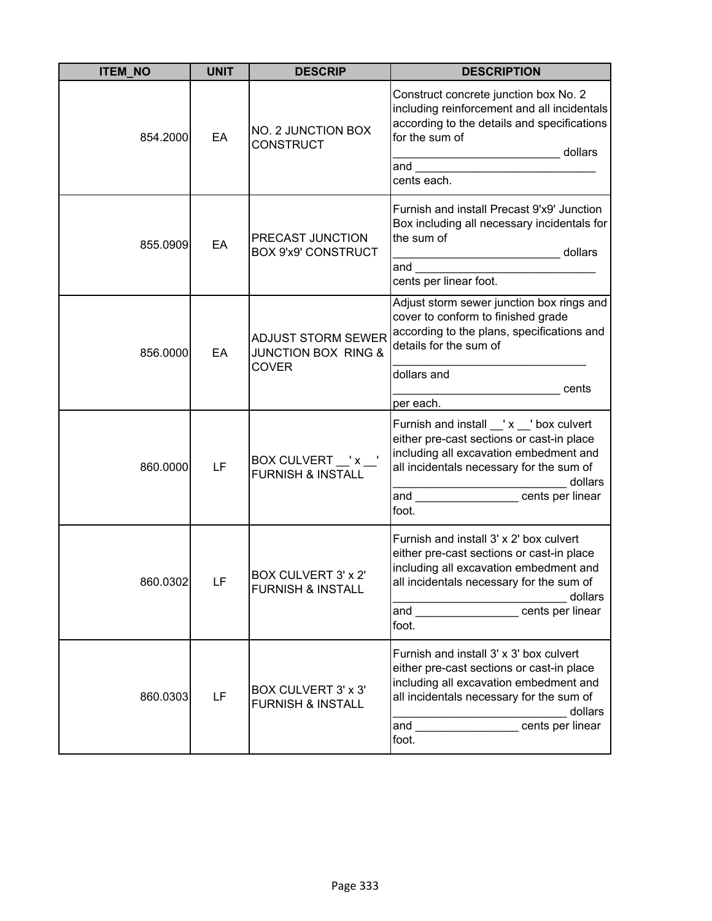| <b>ITEM_NO</b> | <b>UNIT</b> | <b>DESCRIP</b>                                                       | <b>DESCRIPTION</b>                                                                                                                                                                                                                                                                                                                                                                                                |
|----------------|-------------|----------------------------------------------------------------------|-------------------------------------------------------------------------------------------------------------------------------------------------------------------------------------------------------------------------------------------------------------------------------------------------------------------------------------------------------------------------------------------------------------------|
| 854.2000       | EA          | NO. 2 JUNCTION BOX<br><b>CONSTRUCT</b>                               | Construct concrete junction box No. 2<br>including reinforcement and all incidentals<br>according to the details and specifications<br>for the sum of<br>dollars<br>and the control of the control of the control of the control of the control of the control of the control of the control of the control of the control of the control of the control of the control of the control of the cont<br>cents each. |
| 855.0909       | EA          | PRECAST JUNCTION<br><b>BOX 9'x9' CONSTRUCT</b>                       | Furnish and install Precast 9'x9' Junction<br>Box including all necessary incidentals for<br>the sum of<br>dollars<br>and<br>cents per linear foot.                                                                                                                                                                                                                                                               |
| 856.0000       | EA          | ADJUST STORM SEWER<br><b>JUNCTION BOX RING &amp;</b><br><b>COVER</b> | Adjust storm sewer junction box rings and<br>cover to conform to finished grade<br>according to the plans, specifications and<br>details for the sum of<br>dollars and<br>cents<br>per each.                                                                                                                                                                                                                      |
| 860.0000       | LF          | BOX CULVERT __' x _<br><b>FURNISH &amp; INSTALL</b>                  | Furnish and install _'x _' box culvert<br>either pre-cast sections or cast-in place<br>including all excavation embedment and<br>all incidentals necessary for the sum of<br>dollars<br>and<br>cents per linear<br>foot.                                                                                                                                                                                          |
| 860.0302       | LF          | BOX CULVERT 3' x 2'<br><b>FURNISH &amp; INSTALL</b>                  | Furnish and install 3' x 2' box culvert<br>either pre-cast sections or cast-in place<br>including all excavation embedment and<br>all incidentals necessary for the sum of<br>dollars<br>and _________________cents per linear<br>foot.                                                                                                                                                                           |
| 860.0303       | LF          | BOX CULVERT 3' x 3'<br><b>FURNISH &amp; INSTALL</b>                  | Furnish and install 3' x 3' box culvert<br>either pre-cast sections or cast-in place<br>including all excavation embedment and<br>all incidentals necessary for the sum of<br>dollars<br>cents per linear<br>and<br>foot.                                                                                                                                                                                         |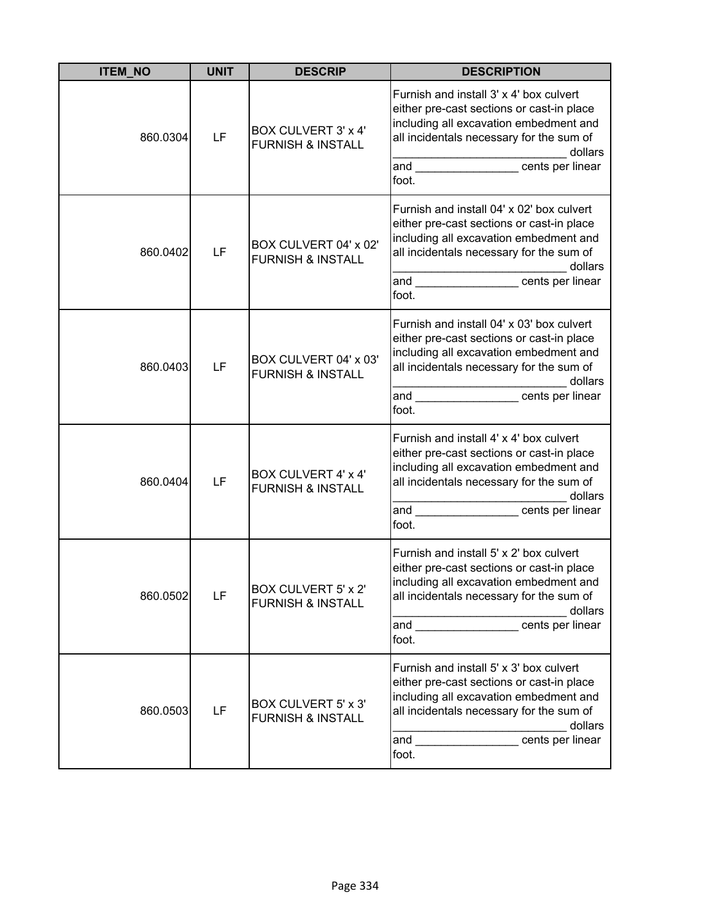| <b>ITEM NO</b> | <b>UNIT</b> | <b>DESCRIP</b>                                             | <b>DESCRIPTION</b>                                                                                                                                                                                                                                                                                                                                                                                                                                   |
|----------------|-------------|------------------------------------------------------------|------------------------------------------------------------------------------------------------------------------------------------------------------------------------------------------------------------------------------------------------------------------------------------------------------------------------------------------------------------------------------------------------------------------------------------------------------|
| 860.0304       | LF          | BOX CULVERT 3' x 4'<br><b>FURNISH &amp; INSTALL</b>        | Furnish and install 3' x 4' box culvert<br>either pre-cast sections or cast-in place<br>including all excavation embedment and<br>all incidentals necessary for the sum of<br>dollars<br>and the contract of the contract of the contract of the contract of the contract of the contract of the contract of the contract of the contract of the contract of the contract of the contract of the contract of the contra<br>cents per linear<br>foot. |
| 860.0402       | LF          | BOX CULVERT 04' x 02'<br><b>FURNISH &amp; INSTALL</b>      | Furnish and install 04' x 02' box culvert<br>either pre-cast sections or cast-in place<br>including all excavation embedment and<br>all incidentals necessary for the sum of<br>dollars<br>and cents per linear<br>foot.                                                                                                                                                                                                                             |
| 860.0403       | LF          | BOX CULVERT 04' x 03'<br><b>FURNISH &amp; INSTALL</b>      | Furnish and install 04' x 03' box culvert<br>either pre-cast sections or cast-in place<br>including all excavation embedment and<br>all incidentals necessary for the sum of<br>dollars<br>and cents per linear<br>foot.                                                                                                                                                                                                                             |
| 860.0404       | LF          | <b>BOX CULVERT 4' x 4'</b><br><b>FURNISH &amp; INSTALL</b> | Furnish and install 4' x 4' box culvert<br>either pre-cast sections or cast-in place<br>including all excavation embedment and<br>all incidentals necessary for the sum of<br>dollars<br>and<br>cents per linear<br>foot.                                                                                                                                                                                                                            |
| 860.0502       | LF          | <b>BOX CULVERT 5' x 2'</b><br><b>FURNISH &amp; INSTALL</b> | Furnish and install 5' x 2' box culvert<br>either pre-cast sections or cast-in place<br>including all excavation embedment and<br>all incidentals necessary for the sum of<br>dollars<br>and __________________cents per linear<br>foot.                                                                                                                                                                                                             |
| 860.0503       | LF          | BOX CULVERT 5' x 3'<br><b>FURNISH &amp; INSTALL</b>        | Furnish and install 5' x 3' box culvert<br>either pre-cast sections or cast-in place<br>including all excavation embedment and<br>all incidentals necessary for the sum of<br>dollars<br>cents per linear<br>and<br>foot.                                                                                                                                                                                                                            |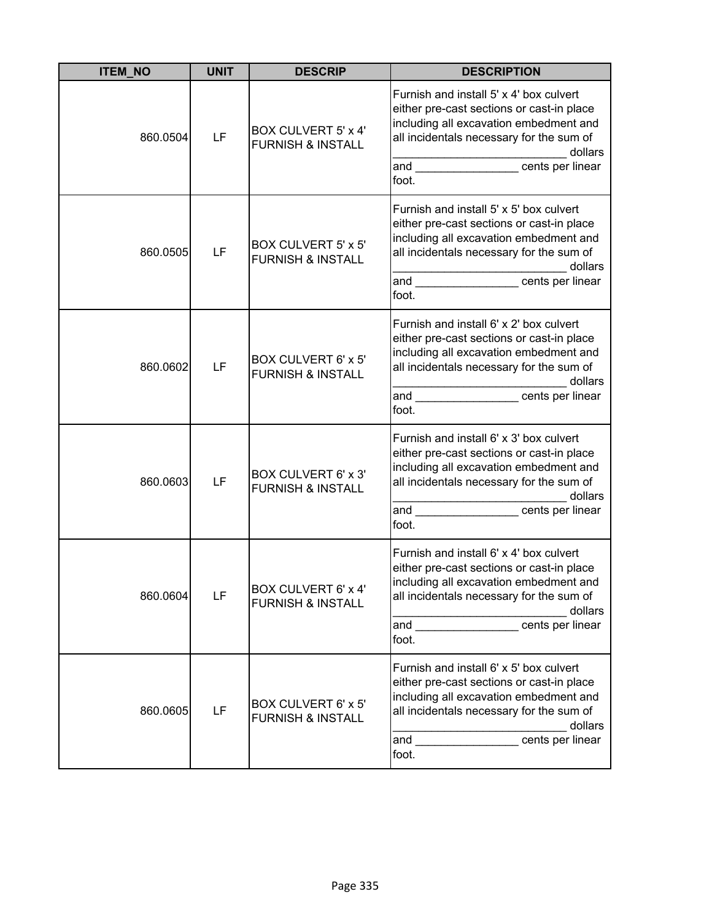| <b>ITEM NO</b> | <b>UNIT</b> | <b>DESCRIP</b>                                             | <b>DESCRIPTION</b>                                                                                                                                                                                                                                                                                                                                                                                                                                   |
|----------------|-------------|------------------------------------------------------------|------------------------------------------------------------------------------------------------------------------------------------------------------------------------------------------------------------------------------------------------------------------------------------------------------------------------------------------------------------------------------------------------------------------------------------------------------|
| 860.0504       | LF          | <b>BOX CULVERT 5' x 4'</b><br><b>FURNISH &amp; INSTALL</b> | Furnish and install 5' x 4' box culvert<br>either pre-cast sections or cast-in place<br>including all excavation embedment and<br>all incidentals necessary for the sum of<br>dollars<br>and the contract of the contract of the contract of the contract of the contract of the contract of the contract of the contract of the contract of the contract of the contract of the contract of the contract of the contra<br>cents per linear<br>foot. |
| 860.0505       | LF          | BOX CULVERT 5' x 5'<br><b>FURNISH &amp; INSTALL</b>        | Furnish and install 5' x 5' box culvert<br>either pre-cast sections or cast-in place<br>including all excavation embedment and<br>all incidentals necessary for the sum of<br>dollars<br>and cents per linear<br>foot.                                                                                                                                                                                                                               |
| 860.0602       | LF          | BOX CULVERT 6' x 5'<br><b>FURNISH &amp; INSTALL</b>        | Furnish and install 6' x 2' box culvert<br>either pre-cast sections or cast-in place<br>including all excavation embedment and<br>all incidentals necessary for the sum of<br>dollars<br>and cents per linear<br>foot.                                                                                                                                                                                                                               |
| 860.0603       | LF          | BOX CULVERT 6' x 3'<br><b>FURNISH &amp; INSTALL</b>        | Furnish and install 6' x 3' box culvert<br>either pre-cast sections or cast-in place<br>including all excavation embedment and<br>all incidentals necessary for the sum of<br>dollars<br>cents per linear<br>and<br>foot.                                                                                                                                                                                                                            |
| 860.0604       | LF          | <b>BOX CULVERT 6' x 4'</b><br><b>FURNISH &amp; INSTALL</b> | Furnish and install 6' x 4' box culvert<br>either pre-cast sections or cast-in place<br>including all excavation embedment and<br>all incidentals necessary for the sum of<br>dollars<br>and __________________cents per linear<br>foot.                                                                                                                                                                                                             |
| 860.0605       | LF          | BOX CULVERT 6' x 5'<br><b>FURNISH &amp; INSTALL</b>        | Furnish and install 6' x 5' box culvert<br>either pre-cast sections or cast-in place<br>including all excavation embedment and<br>all incidentals necessary for the sum of<br>dollars<br>cents per linear<br>and<br>foot.                                                                                                                                                                                                                            |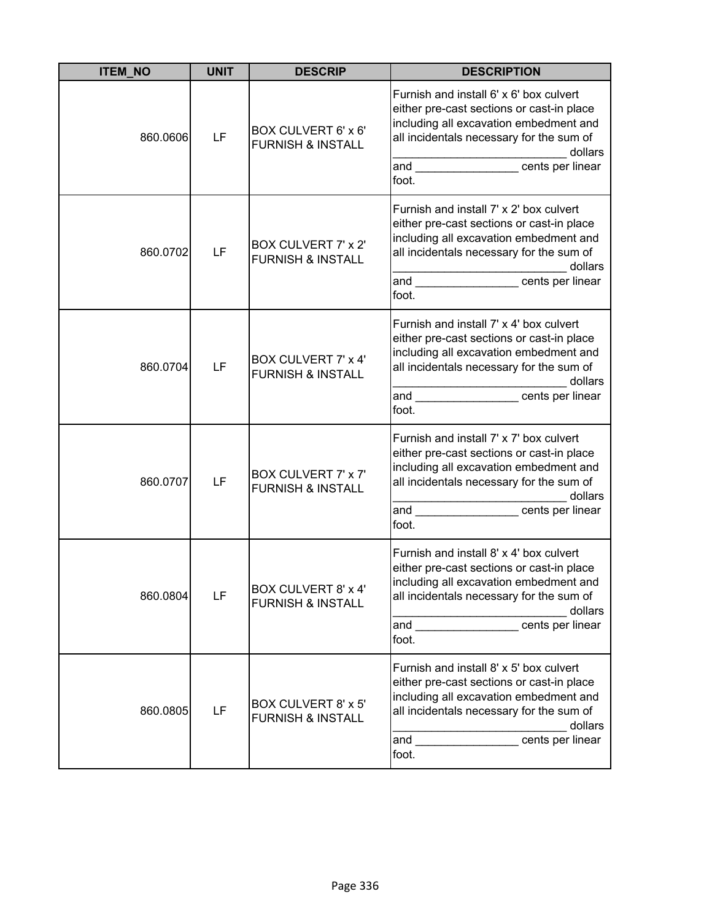| <b>ITEM_NO</b> | <b>UNIT</b> | <b>DESCRIP</b>                                             | <b>DESCRIPTION</b>                                                                                                                                                                                                                                                                                                                                                                                                                                   |
|----------------|-------------|------------------------------------------------------------|------------------------------------------------------------------------------------------------------------------------------------------------------------------------------------------------------------------------------------------------------------------------------------------------------------------------------------------------------------------------------------------------------------------------------------------------------|
| 860.0606       | LF          | BOX CULVERT 6' x 6'<br><b>FURNISH &amp; INSTALL</b>        | Furnish and install 6' x 6' box culvert<br>either pre-cast sections or cast-in place<br>including all excavation embedment and<br>all incidentals necessary for the sum of<br>dollars<br>and the contract of the contract of the contract of the contract of the contract of the contract of the contract of the contract of the contract of the contract of the contract of the contract of the contract of the contra<br>cents per linear<br>foot. |
| 860.0702       | LF          | <b>BOX CULVERT 7' x 2'</b><br><b>FURNISH &amp; INSTALL</b> | Furnish and install 7' x 2' box culvert<br>either pre-cast sections or cast-in place<br>including all excavation embedment and<br>all incidentals necessary for the sum of<br>dollars<br>and cents per linear<br>foot.                                                                                                                                                                                                                               |
| 860.0704       | LF          | <b>BOX CULVERT 7' x 4'</b><br><b>FURNISH &amp; INSTALL</b> | Furnish and install 7' x 4' box culvert<br>either pre-cast sections or cast-in place<br>including all excavation embedment and<br>all incidentals necessary for the sum of<br>dollars<br>and entry cents per linear<br>foot.                                                                                                                                                                                                                         |
| 860.0707       | LF          | BOX CULVERT 7' x 7'<br><b>FURNISH &amp; INSTALL</b>        | Furnish and install 7' x 7' box culvert<br>either pre-cast sections or cast-in place<br>including all excavation embedment and<br>all incidentals necessary for the sum of<br>dollars<br>and<br>cents per linear<br>foot.                                                                                                                                                                                                                            |
| 860.0804       | LF          | <b>BOX CULVERT 8' x 4'</b><br><b>FURNISH &amp; INSTALL</b> | Furnish and install 8' x 4' box culvert<br>either pre-cast sections or cast-in place<br>including all excavation embedment and<br>all incidentals necessary for the sum of<br>dollars<br>cents per linear<br>and<br>foot.                                                                                                                                                                                                                            |
| 860.0805       | LF          | BOX CULVERT 8' x 5'<br><b>FURNISH &amp; INSTALL</b>        | Furnish and install 8' x 5' box culvert<br>either pre-cast sections or cast-in place<br>including all excavation embedment and<br>all incidentals necessary for the sum of<br>dollars<br>cents per linear<br>and<br>foot.                                                                                                                                                                                                                            |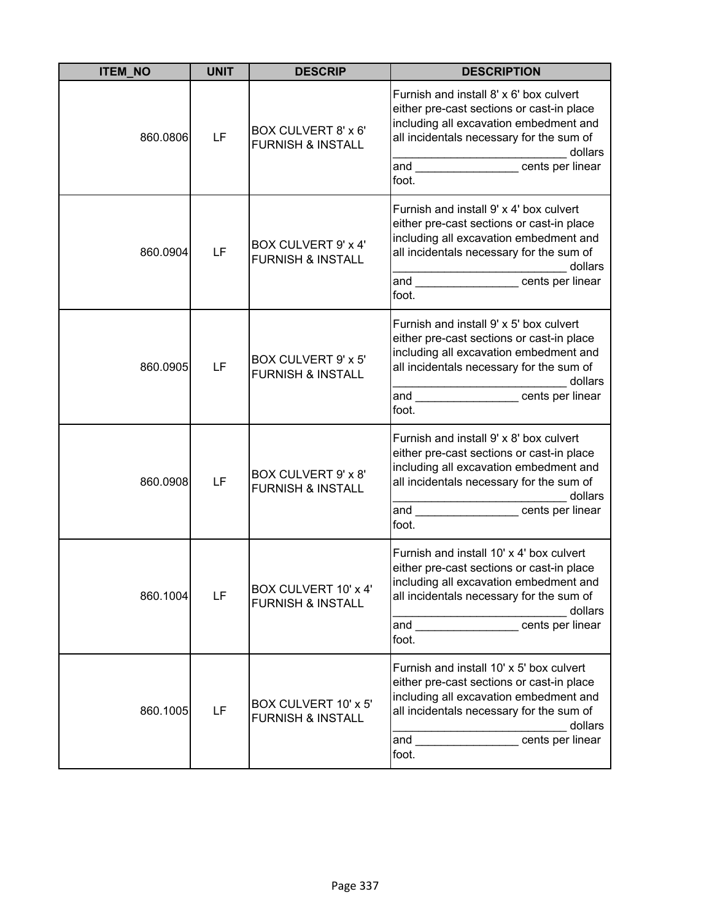| <b>ITEM NO</b> | <b>UNIT</b> | <b>DESCRIP</b>                                       | <b>DESCRIPTION</b>                                                                                                                                                                                                                                                                                                                                                                                                                                   |
|----------------|-------------|------------------------------------------------------|------------------------------------------------------------------------------------------------------------------------------------------------------------------------------------------------------------------------------------------------------------------------------------------------------------------------------------------------------------------------------------------------------------------------------------------------------|
| 860.0806       | LF          | BOX CULVERT 8' x 6'<br><b>FURNISH &amp; INSTALL</b>  | Furnish and install 8' x 6' box culvert<br>either pre-cast sections or cast-in place<br>including all excavation embedment and<br>all incidentals necessary for the sum of<br>dollars<br>and the contract of the contract of the contract of the contract of the contract of the contract of the contract of the contract of the contract of the contract of the contract of the contract of the contract of the contra<br>cents per linear<br>foot. |
| 860.0904       | LF          | BOX CULVERT 9' x 4'<br><b>FURNISH &amp; INSTALL</b>  | Furnish and install 9' x 4' box culvert<br>either pre-cast sections or cast-in place<br>including all excavation embedment and<br>all incidentals necessary for the sum of<br>dollars<br>and cents per linear<br>foot.                                                                                                                                                                                                                               |
| 860.0905       | LF          | BOX CULVERT 9' x 5'<br><b>FURNISH &amp; INSTALL</b>  | Furnish and install 9' x 5' box culvert<br>either pre-cast sections or cast-in place<br>including all excavation embedment and<br>all incidentals necessary for the sum of<br>dollars<br>and cents per linear<br>foot.                                                                                                                                                                                                                               |
| 860.0908       | LF          | BOX CULVERT 9' x 8'<br><b>FURNISH &amp; INSTALL</b>  | Furnish and install 9' x 8' box culvert<br>either pre-cast sections or cast-in place<br>including all excavation embedment and<br>all incidentals necessary for the sum of<br>dollars<br>cents per linear<br>and<br>foot.                                                                                                                                                                                                                            |
| 860.1004       | LF          | BOX CULVERT 10' x 4'<br><b>FURNISH &amp; INSTALL</b> | Furnish and install 10' x 4' box culvert<br>either pre-cast sections or cast-in place<br>including all excavation embedment and<br>all incidentals necessary for the sum of<br>dollars<br>and __________________cents per linear<br>foot.                                                                                                                                                                                                            |
| 860.1005       | LF          | BOX CULVERT 10' x 5'<br><b>FURNISH &amp; INSTALL</b> | Furnish and install 10' x 5' box culvert<br>either pre-cast sections or cast-in place<br>including all excavation embedment and<br>all incidentals necessary for the sum of<br>dollars<br>cents per linear<br>and<br>foot.                                                                                                                                                                                                                           |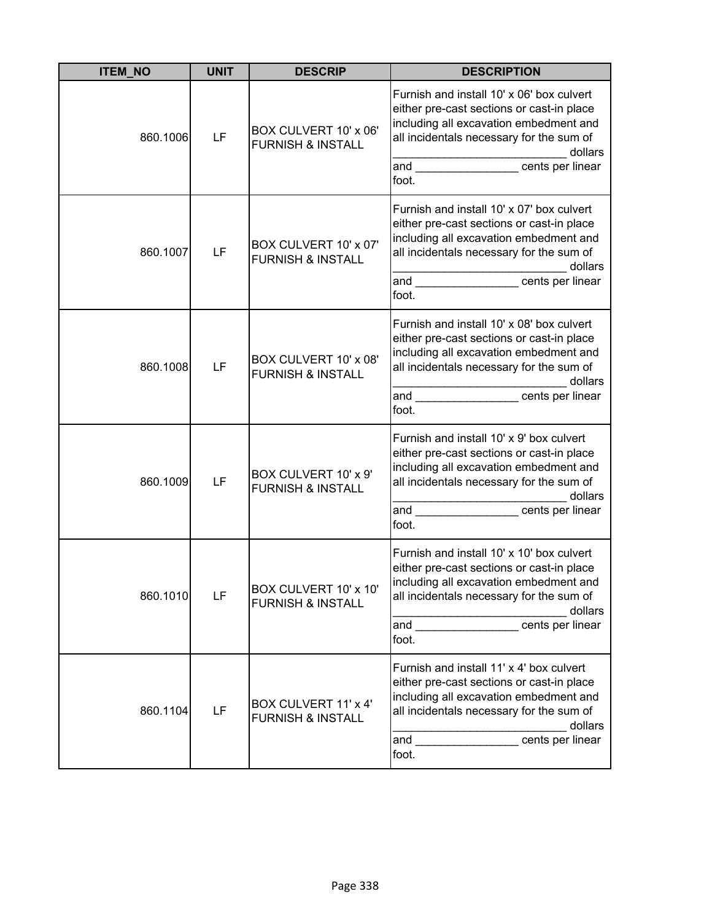| <b>ITEM_NO</b> | <b>UNIT</b> | <b>DESCRIP</b>                                        | <b>DESCRIPTION</b>                                                                                                                                                                                                                                                                                                                                                                                                                                     |
|----------------|-------------|-------------------------------------------------------|--------------------------------------------------------------------------------------------------------------------------------------------------------------------------------------------------------------------------------------------------------------------------------------------------------------------------------------------------------------------------------------------------------------------------------------------------------|
| 860.1006       | LF          | BOX CULVERT 10' x 06'<br><b>FURNISH &amp; INSTALL</b> | Furnish and install 10' x 06' box culvert<br>either pre-cast sections or cast-in place<br>including all excavation embedment and<br>all incidentals necessary for the sum of<br>dollars<br>and the contract of the contract of the contract of the contract of the contract of the contract of the contract of the contract of the contract of the contract of the contract of the contract of the contract of the contra<br>cents per linear<br>foot. |
| 860.1007       | LF          | BOX CULVERT 10' x 07'<br><b>FURNISH &amp; INSTALL</b> | Furnish and install 10' x 07' box culvert<br>either pre-cast sections or cast-in place<br>including all excavation embedment and<br>all incidentals necessary for the sum of<br>dollars<br>and cents per linear<br>foot.                                                                                                                                                                                                                               |
| 860.1008       | LF          | BOX CULVERT 10' x 08'<br><b>FURNISH &amp; INSTALL</b> | Furnish and install 10' x 08' box culvert<br>either pre-cast sections or cast-in place<br>including all excavation embedment and<br>all incidentals necessary for the sum of<br>dollars<br>and cents per linear<br>foot.                                                                                                                                                                                                                               |
| 860.1009       | LF          | BOX CULVERT 10' x 9'<br><b>FURNISH &amp; INSTALL</b>  | Furnish and install 10' x 9' box culvert<br>either pre-cast sections or cast-in place<br>including all excavation embedment and<br>all incidentals necessary for the sum of<br>dollars<br>and<br>cents per linear<br>foot.                                                                                                                                                                                                                             |
| 860.1010       | LF          | BOX CULVERT 10' x 10'<br><b>FURNISH &amp; INSTALL</b> | Furnish and install 10' x 10' box culvert<br>either pre-cast sections or cast-in place<br>including all excavation embedment and<br>all incidentals necessary for the sum of<br>dollars<br>and __________________cents per linear<br>foot.                                                                                                                                                                                                             |
| 860.1104       | LF          | BOX CULVERT 11' x 4'<br><b>FURNISH &amp; INSTALL</b>  | Furnish and install 11' x 4' box culvert<br>either pre-cast sections or cast-in place<br>including all excavation embedment and<br>all incidentals necessary for the sum of<br>dollars<br>cents per linear<br>and<br>foot.                                                                                                                                                                                                                             |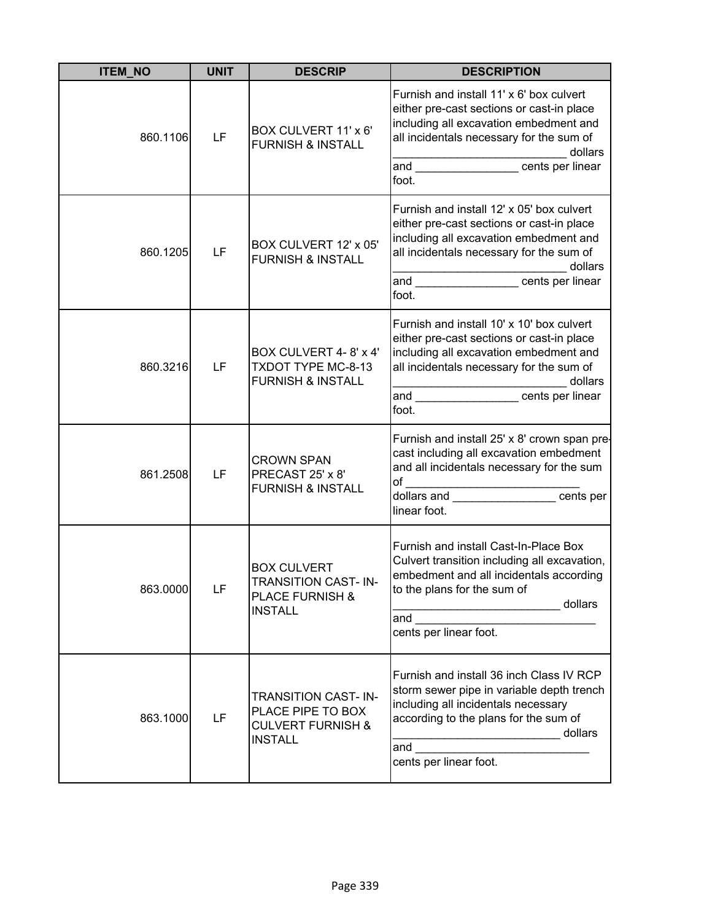| <b>ITEM_NO</b> | <b>UNIT</b> | <b>DESCRIP</b>                                                                                    | <b>DESCRIPTION</b>                                                                                                                                                                                                                        |
|----------------|-------------|---------------------------------------------------------------------------------------------------|-------------------------------------------------------------------------------------------------------------------------------------------------------------------------------------------------------------------------------------------|
| 860.1106       | LF          | BOX CULVERT 11' x 6'<br><b>FURNISH &amp; INSTALL</b>                                              | Furnish and install 11' x 6' box culvert<br>either pre-cast sections or cast-in place<br>including all excavation embedment and<br>all incidentals necessary for the sum of<br>dollars<br>and cents per linear<br>foot.                   |
| 860.1205       | LF          | BOX CULVERT 12' x 05'<br><b>FURNISH &amp; INSTALL</b>                                             | Furnish and install 12' x 05' box culvert<br>either pre-cast sections or cast-in place<br>including all excavation embedment and<br>all incidentals necessary for the sum of<br>dollars<br>and cents per linear<br>foot.                  |
| 860.3216       | LF          | BOX CULVERT 4-8' x 4'<br>TXDOT TYPE MC-8-13<br><b>FURNISH &amp; INSTALL</b>                       | Furnish and install 10' x 10' box culvert<br>either pre-cast sections or cast-in place<br>including all excavation embedment and<br>all incidentals necessary for the sum of<br>dollars<br>and _________________cents per linear<br>foot. |
| 861.2508       | LF          | <b>CROWN SPAN</b><br>PRECAST 25' x 8'<br><b>FURNISH &amp; INSTALL</b>                             | Furnish and install 25' x 8' crown span pre-<br>cast including all excavation embedment<br>and all incidentals necessary for the sum<br>of<br>dollars and<br><b>Example 2016</b> cents per<br>linear foot.                                |
| 863.0000       | LF          | <b>BOX CULVERT</b><br>TRANSITION CAST- IN-<br>PLACE FURNISH &<br><b>INSTALL</b>                   | Furnish and install Cast-In-Place Box<br>Culvert transition including all excavation,<br>embedment and all incidentals according<br>to the plans for the sum of<br>dollars<br>and<br>cents per linear foot.                               |
| 863.1000       | LF          | <b>TRANSITION CAST-IN-</b><br>PLACE PIPE TO BOX<br><b>CULVERT FURNISH &amp;</b><br><b>INSTALL</b> | Furnish and install 36 inch Class IV RCP<br>storm sewer pipe in variable depth trench<br>including all incidentals necessary<br>according to the plans for the sum of<br>dollars<br>and<br>cents per linear foot.                         |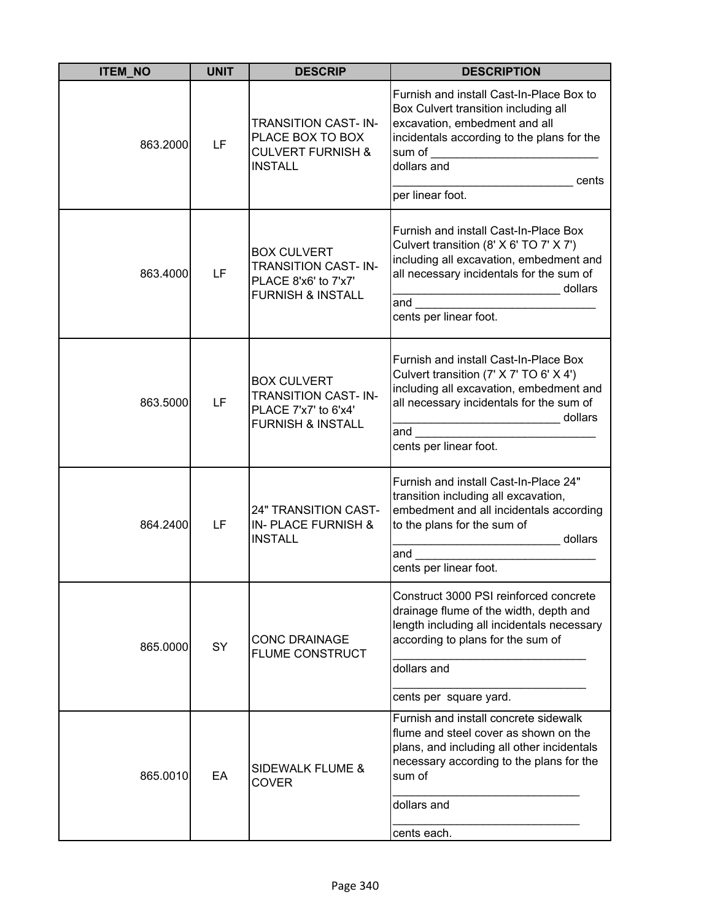| <b>ITEM_NO</b> | <b>UNIT</b> | <b>DESCRIP</b>                                                                                           | <b>DESCRIPTION</b>                                                                                                                                                                                                    |
|----------------|-------------|----------------------------------------------------------------------------------------------------------|-----------------------------------------------------------------------------------------------------------------------------------------------------------------------------------------------------------------------|
| 863.2000       | LF          | <b>TRANSITION CAST-IN-</b><br>PLACE BOX TO BOX<br><b>CULVERT FURNISH &amp;</b><br><b>INSTALL</b>         | Furnish and install Cast-In-Place Box to<br>Box Culvert transition including all<br>excavation, embedment and all<br>incidentals according to the plans for the<br>sum of<br>dollars and<br>cents<br>per linear foot. |
| 863.4000       | LF          | <b>BOX CULVERT</b><br><b>TRANSITION CAST-IN-</b><br>PLACE 8'x6' to 7'x7'<br><b>FURNISH &amp; INSTALL</b> | Furnish and install Cast-In-Place Box<br>Culvert transition (8' X 6' TO 7' X 7')<br>including all excavation, embedment and<br>all necessary incidentals for the sum of<br>dollars<br>and<br>cents per linear foot.   |
| 863.5000       | LF          | <b>BOX CULVERT</b><br><b>TRANSITION CAST-IN-</b><br>PLACE 7'x7' to 6'x4'<br><b>FURNISH &amp; INSTALL</b> | Furnish and install Cast-In-Place Box<br>Culvert transition (7' X 7' TO 6' X 4')<br>including all excavation, embedment and<br>all necessary incidentals for the sum of<br>dollars<br>and<br>cents per linear foot.   |
| 864.2400       | LF          | <b>24" TRANSITION CAST-</b><br><b>IN- PLACE FURNISH &amp;</b><br><b>INSTALL</b>                          | Furnish and install Cast-In-Place 24"<br>transition including all excavation,<br>embedment and all incidentals according<br>to the plans for the sum of<br>dollars<br>and<br>cents per linear foot.                   |
| 865.0000       | SY          | <b>CONC DRAINAGE</b><br><b>FLUME CONSTRUCT</b>                                                           | Construct 3000 PSI reinforced concrete<br>drainage flume of the width, depth and<br>length including all incidentals necessary<br>according to plans for the sum of<br>dollars and<br>cents per square yard.          |
| 865.0010       | EA          | <b>SIDEWALK FLUME &amp;</b><br><b>COVER</b>                                                              | Furnish and install concrete sidewalk<br>flume and steel cover as shown on the<br>plans, and including all other incidentals<br>necessary according to the plans for the<br>sum of<br>dollars and<br>cents each.      |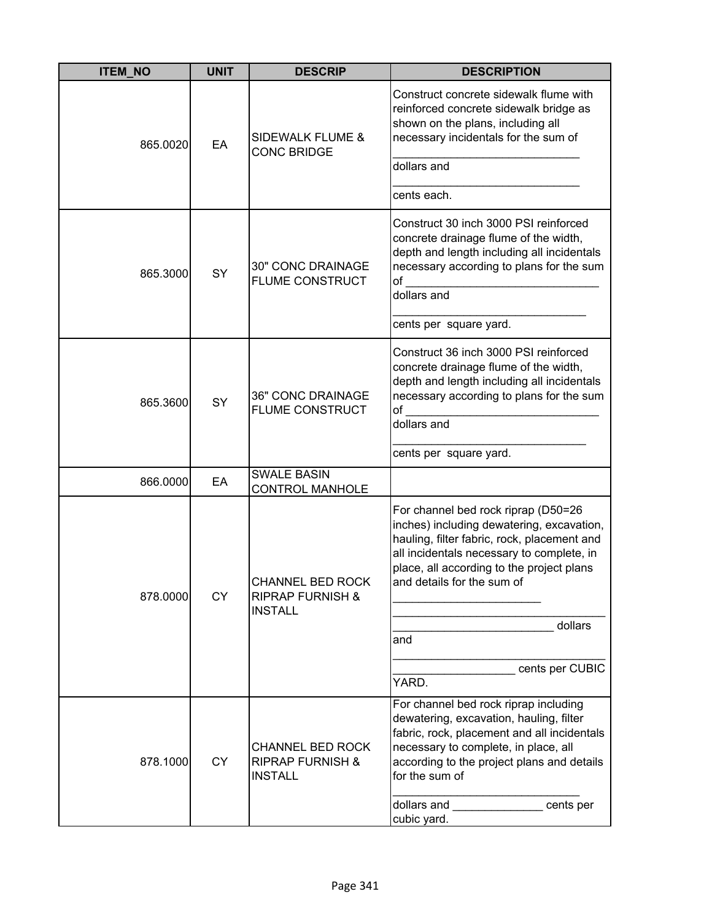| <b>ITEM_NO</b> | <b>UNIT</b> | <b>DESCRIP</b>                                                           | <b>DESCRIPTION</b>                                                                                                                                                                                                                                                                                    |
|----------------|-------------|--------------------------------------------------------------------------|-------------------------------------------------------------------------------------------------------------------------------------------------------------------------------------------------------------------------------------------------------------------------------------------------------|
| 865.0020       | EA          | <b>SIDEWALK FLUME &amp;</b><br><b>CONC BRIDGE</b>                        | Construct concrete sidewalk flume with<br>reinforced concrete sidewalk bridge as<br>shown on the plans, including all<br>necessary incidentals for the sum of<br>dollars and<br>cents each.                                                                                                           |
| 865.3000       | SY          | 30" CONC DRAINAGE<br><b>FLUME CONSTRUCT</b>                              | Construct 30 inch 3000 PSI reinforced<br>concrete drainage flume of the width,<br>depth and length including all incidentals<br>necessary according to plans for the sum<br>of<br>dollars and<br>cents per square yard.                                                                               |
| 865.3600       | SY          | <b>36" CONC DRAINAGE</b><br><b>FLUME CONSTRUCT</b>                       | Construct 36 inch 3000 PSI reinforced<br>concrete drainage flume of the width,<br>depth and length including all incidentals<br>necessary according to plans for the sum<br>of<br>dollars and<br>cents per square yard.                                                                               |
| 866.0000       | EA          | <b>SWALE BASIN</b><br><b>CONTROL MANHOLE</b>                             |                                                                                                                                                                                                                                                                                                       |
| 878.0000       | CY          | <b>CHANNEL BED ROCK</b><br><b>RIPRAP FURNISH &amp;</b><br><b>INSTALL</b> | For channel bed rock riprap (D50=26<br>inches) including dewatering, excavation,<br>hauling, filter fabric, rock, placement and<br>all incidentals necessary to complete, in<br>place, all according to the project plans<br>and details for the sum of<br>dollars<br>and<br>cents per CUBIC<br>YARD. |
| 878.1000       | <b>CY</b>   | <b>CHANNEL BED ROCK</b><br><b>RIPRAP FURNISH &amp;</b><br><b>INSTALL</b> | For channel bed rock riprap including<br>dewatering, excavation, hauling, filter<br>fabric, rock, placement and all incidentals<br>necessary to complete, in place, all<br>according to the project plans and details<br>for the sum of<br>dollars and entitled cents per<br>cubic yard.              |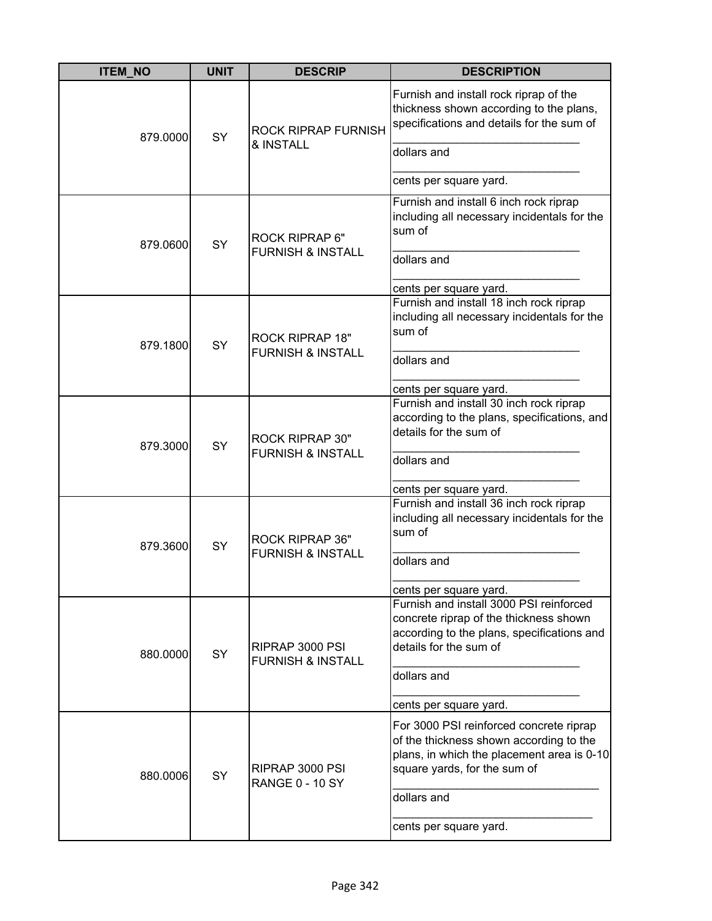| <b>ITEM_NO</b> | <b>UNIT</b> | <b>DESCRIP</b>                                         | <b>DESCRIPTION</b>                                                                                                                                                                                        |
|----------------|-------------|--------------------------------------------------------|-----------------------------------------------------------------------------------------------------------------------------------------------------------------------------------------------------------|
| 879.0000       | SY          | <b>ROCK RIPRAP FURNISH</b><br>& INSTALL                | Furnish and install rock riprap of the<br>thickness shown according to the plans,<br>specifications and details for the sum of<br>dollars and<br>cents per square yard.                                   |
| 879.0600       | SY          | ROCK RIPRAP 6"<br><b>FURNISH &amp; INSTALL</b>         | Furnish and install 6 inch rock riprap<br>including all necessary incidentals for the<br>sum of<br>dollars and<br>cents per square yard.                                                                  |
| 879.1800       | SY          | <b>ROCK RIPRAP 18"</b><br><b>FURNISH &amp; INSTALL</b> | Furnish and install 18 inch rock riprap<br>including all necessary incidentals for the<br>sum of<br>dollars and<br>cents per square yard.                                                                 |
| 879.3000       | SY          | <b>ROCK RIPRAP 30"</b><br><b>FURNISH &amp; INSTALL</b> | Furnish and install 30 inch rock riprap<br>according to the plans, specifications, and<br>details for the sum of<br>dollars and                                                                           |
| 879.3600       | SY          | <b>ROCK RIPRAP 36"</b><br><b>FURNISH &amp; INSTALL</b> | cents per square yard.<br>Furnish and install 36 inch rock riprap<br>including all necessary incidentals for the<br>sum of<br>dollars and<br>cents per square yard.                                       |
| 880.0000       | SY          | RIPRAP 3000 PSI<br><b>FURNISH &amp; INSTALL</b>        | Furnish and install 3000 PSI reinforced<br>concrete riprap of the thickness shown<br>according to the plans, specifications and<br>details for the sum of<br>dollars and<br>cents per square yard.        |
| 880.0006       | SY          | RIPRAP 3000 PSI<br><b>RANGE 0 - 10 SY</b>              | For 3000 PSI reinforced concrete riprap<br>of the thickness shown according to the<br>plans, in which the placement area is 0-10<br>square yards, for the sum of<br>dollars and<br>cents per square yard. |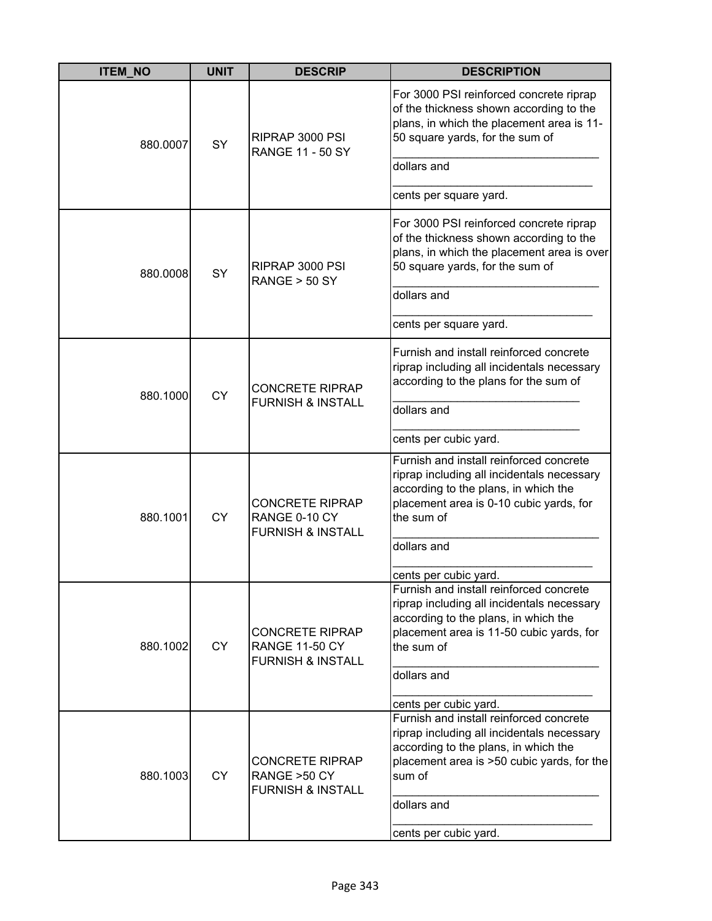| <b>ITEM NO</b> | <b>UNIT</b> | <b>DESCRIP</b>                                                                  | <b>DESCRIPTION</b>                                                                                                                                                                                                                                       |
|----------------|-------------|---------------------------------------------------------------------------------|----------------------------------------------------------------------------------------------------------------------------------------------------------------------------------------------------------------------------------------------------------|
| 880.0007       | SY          | RIPRAP 3000 PSI<br><b>RANGE 11 - 50 SY</b>                                      | For 3000 PSI reinforced concrete riprap<br>of the thickness shown according to the<br>plans, in which the placement area is 11-<br>50 square yards, for the sum of                                                                                       |
|                |             |                                                                                 | dollars and                                                                                                                                                                                                                                              |
|                |             |                                                                                 | cents per square yard.                                                                                                                                                                                                                                   |
| 880.0008       | SY          | RIPRAP 3000 PSI<br>RANGE > 50 SY                                                | For 3000 PSI reinforced concrete riprap<br>of the thickness shown according to the<br>plans, in which the placement area is over<br>50 square yards, for the sum of                                                                                      |
|                |             |                                                                                 | dollars and                                                                                                                                                                                                                                              |
|                |             |                                                                                 | cents per square yard.                                                                                                                                                                                                                                   |
| 880.1000       | <b>CY</b>   | <b>CONCRETE RIPRAP</b><br><b>FURNISH &amp; INSTALL</b>                          | Furnish and install reinforced concrete<br>riprap including all incidentals necessary<br>according to the plans for the sum of                                                                                                                           |
|                |             |                                                                                 | dollars and                                                                                                                                                                                                                                              |
|                |             |                                                                                 | cents per cubic yard.                                                                                                                                                                                                                                    |
| 880.1001       | <b>CY</b>   | <b>CONCRETE RIPRAP</b><br>RANGE 0-10 CY<br><b>FURNISH &amp; INSTALL</b>         | Furnish and install reinforced concrete<br>riprap including all incidentals necessary<br>according to the plans, in which the<br>placement area is 0-10 cubic yards, for<br>the sum of<br>dollars and                                                    |
| 880.1002       | <b>CY</b>   | <b>CONCRETE RIPRAP</b><br><b>RANGE 11-50 CY</b><br><b>FURNISH &amp; INSTALL</b> | cents per cubic yard.<br>Furnish and install reinforced concrete<br>riprap including all incidentals necessary<br>according to the plans, in which the<br>placement area is 11-50 cubic yards, for<br>the sum of<br>dollars and<br>cents per cubic yard. |
| 880.1003       | <b>CY</b>   | <b>CONCRETE RIPRAP</b><br>RANGE > 50 CY<br><b>FURNISH &amp; INSTALL</b>         | Furnish and install reinforced concrete<br>riprap including all incidentals necessary<br>according to the plans, in which the<br>placement area is >50 cubic yards, for the<br>sum of<br>dollars and<br>cents per cubic yard.                            |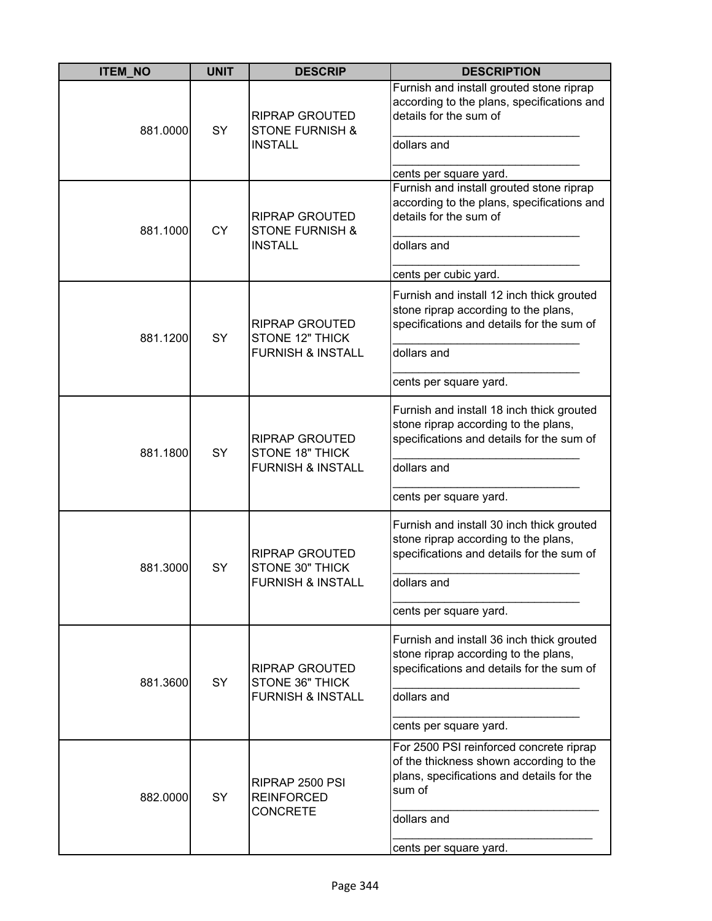| <b>ITEM_NO</b> | <b>UNIT</b> | <b>DESCRIP</b>                                                                  | <b>DESCRIPTION</b>                                                                                                                                                                 |
|----------------|-------------|---------------------------------------------------------------------------------|------------------------------------------------------------------------------------------------------------------------------------------------------------------------------------|
| 881.0000       | SY          | <b>RIPRAP GROUTED</b><br><b>STONE FURNISH &amp;</b><br><b>INSTALL</b>           | Furnish and install grouted stone riprap<br>according to the plans, specifications and<br>details for the sum of<br>dollars and<br>cents per square yard.                          |
| 881.1000       | <b>CY</b>   | <b>RIPRAP GROUTED</b><br><b>STONE FURNISH &amp;</b><br><b>INSTALL</b>           | Furnish and install grouted stone riprap<br>according to the plans, specifications and<br>details for the sum of<br>dollars and<br>cents per cubic yard.                           |
| 881.1200       | SY          | <b>RIPRAP GROUTED</b><br><b>STONE 12" THICK</b><br><b>FURNISH &amp; INSTALL</b> | Furnish and install 12 inch thick grouted<br>stone riprap according to the plans,<br>specifications and details for the sum of<br>dollars and<br>cents per square yard.            |
| 881.1800       | SY          | RIPRAP GROUTED<br>STONE 18" THICK<br><b>FURNISH &amp; INSTALL</b>               | Furnish and install 18 inch thick grouted<br>stone riprap according to the plans,<br>specifications and details for the sum of<br>dollars and<br>cents per square yard.            |
| 881.3000       | SY          | <b>RIPRAP GROUTED</b><br>STONE 30" THICK<br>FURNISH & INSTALL                   | Furnish and install 30 inch thick grouted<br>stone riprap according to the plans,<br>specifications and details for the sum of<br>dollars and<br>cents per square yard.            |
| 881.3600       | <b>SY</b>   | <b>RIPRAP GROUTED</b><br>STONE 36" THICK<br><b>FURNISH &amp; INSTALL</b>        | Furnish and install 36 inch thick grouted<br>stone riprap according to the plans,<br>specifications and details for the sum of<br>dollars and<br>cents per square yard.            |
| 882.0000       | SY          | RIPRAP 2500 PSI<br><b>REINFORCED</b><br><b>CONCRETE</b>                         | For 2500 PSI reinforced concrete riprap<br>of the thickness shown according to the<br>plans, specifications and details for the<br>sum of<br>dollars and<br>cents per square yard. |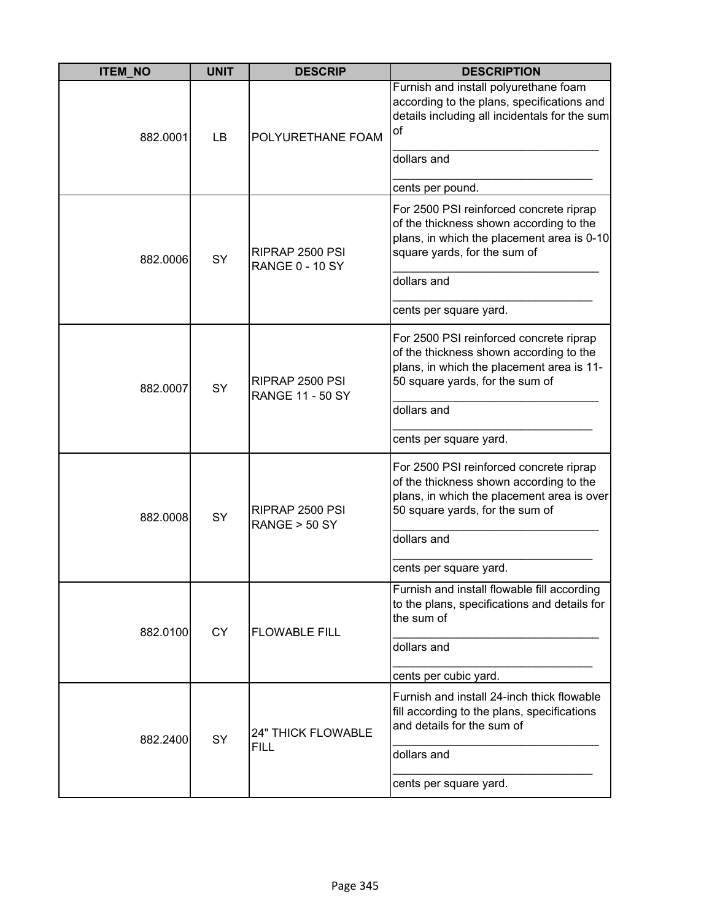| <b>ITEM_NO</b> | <b>UNIT</b> | <b>DESCRIP</b>                             | <b>DESCRIPTION</b>                                                                                                                                                  |
|----------------|-------------|--------------------------------------------|---------------------------------------------------------------------------------------------------------------------------------------------------------------------|
| 882.0001       | LB          | POLYURETHANE FOAM                          | Furnish and install polyurethane foam<br>according to the plans, specifications and<br>details including all incidentals for the sum<br>of<br>dollars and           |
|                |             |                                            | cents per pound.                                                                                                                                                    |
| 882.0006       | SY          | RIPRAP 2500 PSI<br><b>RANGE 0 - 10 SY</b>  | For 2500 PSI reinforced concrete riprap<br>of the thickness shown according to the<br>plans, in which the placement area is 0-10<br>square yards, for the sum of    |
|                |             |                                            | dollars and                                                                                                                                                         |
|                |             |                                            | cents per square yard.                                                                                                                                              |
| 882.0007       | SY          | RIPRAP 2500 PSI<br><b>RANGE 11 - 50 SY</b> | For 2500 PSI reinforced concrete riprap<br>of the thickness shown according to the<br>plans, in which the placement area is 11-<br>50 square yards, for the sum of  |
|                |             |                                            | dollars and                                                                                                                                                         |
|                |             |                                            | cents per square yard.                                                                                                                                              |
| 882.0008       | <b>SY</b>   | RIPRAP 2500 PSI<br><b>RANGE &gt; 50 SY</b> | For 2500 PSI reinforced concrete riprap<br>of the thickness shown according to the<br>plans, in which the placement area is over<br>50 square yards, for the sum of |
|                |             |                                            | dollars and                                                                                                                                                         |
|                |             |                                            | cents per square yard.                                                                                                                                              |
| 882.0100       | <b>CY</b>   | <b>FLOWABLE FILL</b>                       | Furnish and install flowable fill according<br>to the plans, specifications and details for<br>the sum of                                                           |
|                |             |                                            | dollars and                                                                                                                                                         |
|                |             |                                            | cents per cubic yard.                                                                                                                                               |
| 882.2400       | SY          | <b>24" THICK FLOWABLE</b><br><b>FILL</b>   | Furnish and install 24-inch thick flowable<br>fill according to the plans, specifications<br>and details for the sum of                                             |
|                |             |                                            | dollars and                                                                                                                                                         |
|                |             |                                            | cents per square yard.                                                                                                                                              |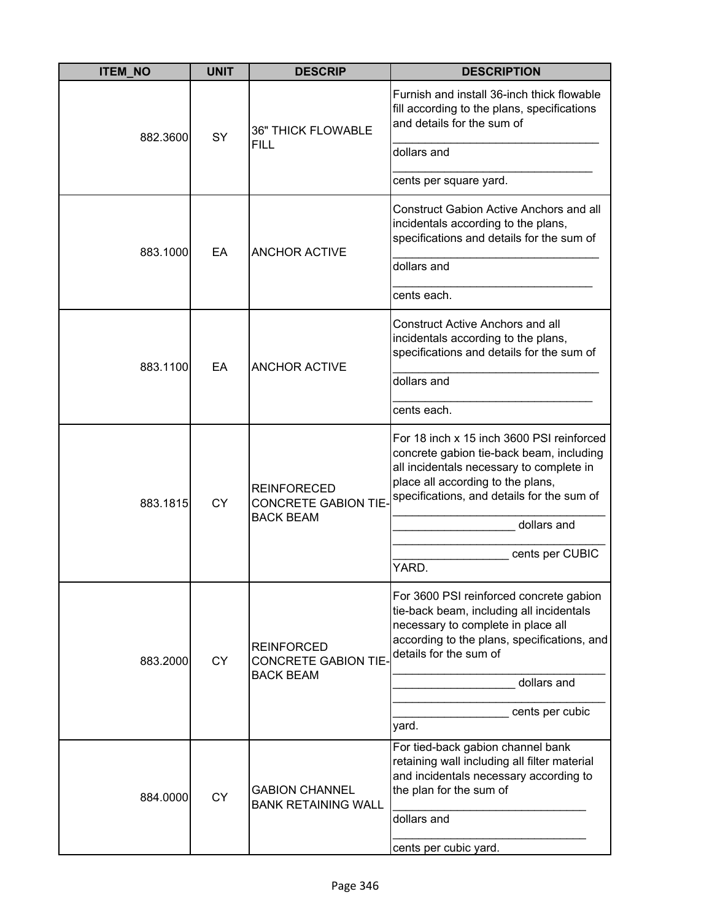| <b>ITEM_NO</b> | <b>UNIT</b> | <b>DESCRIP</b>                                                        | <b>DESCRIPTION</b>                                                                                                                                                                                                                                              |
|----------------|-------------|-----------------------------------------------------------------------|-----------------------------------------------------------------------------------------------------------------------------------------------------------------------------------------------------------------------------------------------------------------|
| 882.3600       | SY          | <b>36" THICK FLOWABLE</b>                                             | Furnish and install 36-inch thick flowable<br>fill according to the plans, specifications<br>and details for the sum of                                                                                                                                         |
|                |             | <b>FILL</b>                                                           | dollars and                                                                                                                                                                                                                                                     |
|                |             |                                                                       | cents per square yard.                                                                                                                                                                                                                                          |
|                |             | <b>ANCHOR ACTIVE</b>                                                  | Construct Gabion Active Anchors and all<br>incidentals according to the plans,<br>specifications and details for the sum of                                                                                                                                     |
| 883.1000       | EA          |                                                                       | dollars and                                                                                                                                                                                                                                                     |
|                |             |                                                                       | cents each.                                                                                                                                                                                                                                                     |
|                |             | <b>ANCHOR ACTIVE</b>                                                  | <b>Construct Active Anchors and all</b><br>incidentals according to the plans,<br>specifications and details for the sum of                                                                                                                                     |
| 883.1100       | EA          |                                                                       | dollars and                                                                                                                                                                                                                                                     |
|                |             |                                                                       | cents each.                                                                                                                                                                                                                                                     |
| 883.1815       | <b>CY</b>   | <b>REINFORECED</b><br><b>CONCRETE GABION TIE-</b><br><b>BACK BEAM</b> | For 18 inch x 15 inch 3600 PSI reinforced<br>concrete gabion tie-back beam, including<br>all incidentals necessary to complete in<br>place all according to the plans,<br>specifications, and details for the sum of<br>dollars and<br>cents per CUBIC<br>YARD. |
| 883.2000       | <b>CY</b>   | <b>REINFORCED</b><br><b>CONCRETE GABION TIE-</b><br><b>BACK BEAM</b>  | For 3600 PSI reinforced concrete gabion<br>tie-back beam, including all incidentals<br>necessary to complete in place all<br>according to the plans, specifications, and<br>details for the sum of<br>dollars and<br>cents per cubic<br>yard.                   |
| 884.0000       | <b>CY</b>   | <b>GABION CHANNEL</b><br><b>BANK RETAINING WALL</b>                   | For tied-back gabion channel bank<br>retaining wall including all filter material<br>and incidentals necessary according to<br>the plan for the sum of<br>dollars and<br>cents per cubic yard.                                                                  |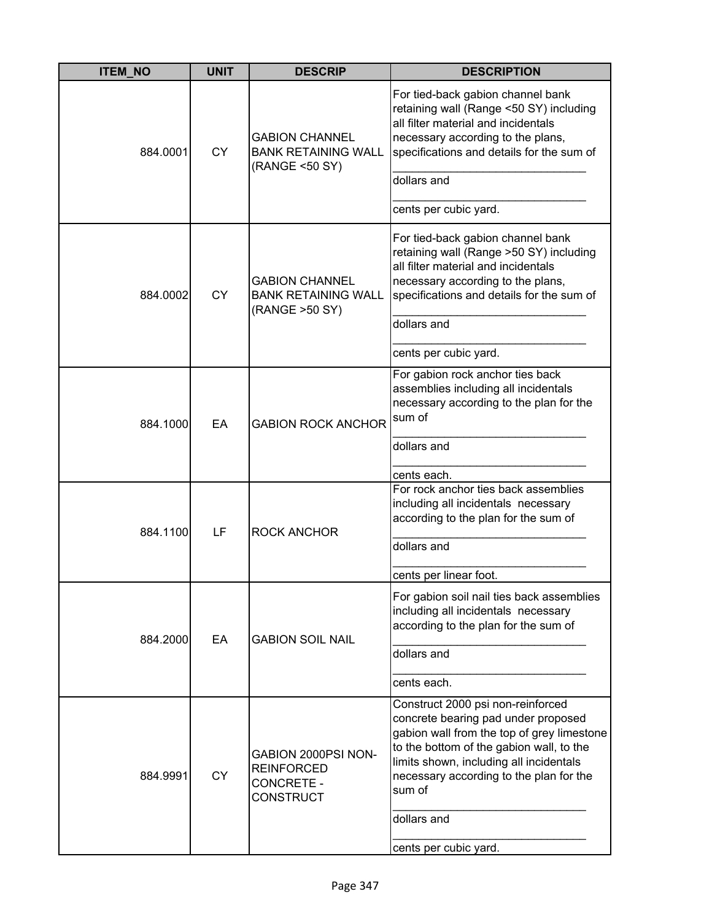| <b>ITEM_NO</b> | <b>UNIT</b> | <b>DESCRIP</b>                                                                    | <b>DESCRIPTION</b>                                                                                                                                                                                                                                                 |
|----------------|-------------|-----------------------------------------------------------------------------------|--------------------------------------------------------------------------------------------------------------------------------------------------------------------------------------------------------------------------------------------------------------------|
| 884.0001       | <b>CY</b>   | <b>GABION CHANNEL</b><br><b>BANK RETAINING WALL</b><br>(RANGE <50 SY)             | For tied-back gabion channel bank<br>retaining wall (Range <50 SY) including<br>all filter material and incidentals<br>necessary according to the plans,<br>specifications and details for the sum of                                                              |
|                |             |                                                                                   | dollars and                                                                                                                                                                                                                                                        |
|                |             |                                                                                   | cents per cubic yard.                                                                                                                                                                                                                                              |
| 884.0002       | <b>CY</b>   | <b>GABION CHANNEL</b><br><b>BANK RETAINING WALL</b><br>(RANGE > 50 SY)            | For tied-back gabion channel bank<br>retaining wall (Range >50 SY) including<br>all filter material and incidentals<br>necessary according to the plans,<br>specifications and details for the sum of                                                              |
|                |             |                                                                                   | dollars and                                                                                                                                                                                                                                                        |
|                |             |                                                                                   | cents per cubic yard.                                                                                                                                                                                                                                              |
| 884.1000       | EA          | <b>GABION ROCK ANCHOR</b>                                                         | For gabion rock anchor ties back<br>assemblies including all incidentals<br>necessary according to the plan for the<br>sum of                                                                                                                                      |
|                |             |                                                                                   | dollars and                                                                                                                                                                                                                                                        |
|                |             |                                                                                   | cents each.                                                                                                                                                                                                                                                        |
| 884.1100       | LF          | <b>ROCK ANCHOR</b>                                                                | For rock anchor ties back assemblies<br>including all incidentals necessary<br>according to the plan for the sum of                                                                                                                                                |
|                |             |                                                                                   | dollars and                                                                                                                                                                                                                                                        |
|                |             |                                                                                   | cents per linear foot.                                                                                                                                                                                                                                             |
| 884.2000       | EA          | <b>GABION SOIL NAIL</b>                                                           | For gabion soil nail ties back assemblies<br>including all incidentals necessary<br>according to the plan for the sum of                                                                                                                                           |
|                |             |                                                                                   | dollars and                                                                                                                                                                                                                                                        |
|                |             |                                                                                   | cents each.                                                                                                                                                                                                                                                        |
| 884.9991       | <b>CY</b>   | GABION 2000PSI NON-<br><b>REINFORCED</b><br><b>CONCRETE -</b><br><b>CONSTRUCT</b> | Construct 2000 psi non-reinforced<br>concrete bearing pad under proposed<br>gabion wall from the top of grey limestone<br>to the bottom of the gabion wall, to the<br>limits shown, including all incidentals<br>necessary according to the plan for the<br>sum of |
|                |             |                                                                                   | dollars and<br>cents per cubic yard.                                                                                                                                                                                                                               |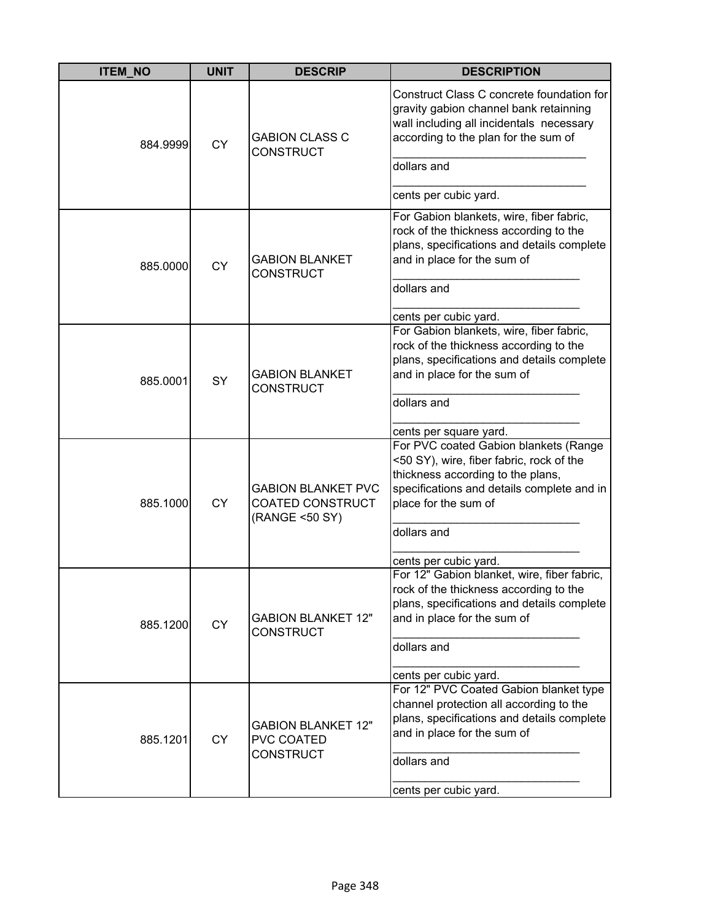| <b>ITEM_NO</b> | <b>UNIT</b> | <b>DESCRIP</b>                                                  | <b>DESCRIPTION</b>                                                                                                                                                                                                                                             |
|----------------|-------------|-----------------------------------------------------------------|----------------------------------------------------------------------------------------------------------------------------------------------------------------------------------------------------------------------------------------------------------------|
| 884.9999       | <b>CY</b>   | <b>GABION CLASS C</b><br><b>CONSTRUCT</b>                       | Construct Class C concrete foundation for<br>gravity gabion channel bank retainning<br>wall including all incidentals necessary<br>according to the plan for the sum of<br>dollars and                                                                         |
|                |             |                                                                 | cents per cubic yard.                                                                                                                                                                                                                                          |
| 885.0000       | <b>CY</b>   | <b>GABION BLANKET</b><br><b>CONSTRUCT</b>                       | For Gabion blankets, wire, fiber fabric,<br>rock of the thickness according to the<br>plans, specifications and details complete<br>and in place for the sum of                                                                                                |
|                |             |                                                                 | dollars and                                                                                                                                                                                                                                                    |
|                |             |                                                                 | cents per cubic yard.                                                                                                                                                                                                                                          |
| 885.0001       | <b>SY</b>   | <b>GABION BLANKET</b><br><b>CONSTRUCT</b>                       | For Gabion blankets, wire, fiber fabric,<br>rock of the thickness according to the<br>plans, specifications and details complete<br>and in place for the sum of<br>dollars and                                                                                 |
|                |             |                                                                 |                                                                                                                                                                                                                                                                |
| 885.1000       | <b>CY</b>   | <b>GABION BLANKET PVC</b><br>COATED CONSTRUCT<br>(RANGE <50 SY) | cents per square yard.<br>For PVC coated Gabion blankets (Range<br><50 SY), wire, fiber fabric, rock of the<br>thickness according to the plans,<br>specifications and details complete and in<br>place for the sum of<br>dollars and<br>cents per cubic yard. |
|                |             |                                                                 | For 12" Gabion blanket, wire, fiber fabric,                                                                                                                                                                                                                    |
| 885.1200       | <b>CY</b>   | <b>GABION BLANKET 12"</b><br><b>CONSTRUCT</b>                   | rock of the thickness according to the<br>plans, specifications and details complete<br>and in place for the sum of                                                                                                                                            |
|                |             |                                                                 | dollars and                                                                                                                                                                                                                                                    |
|                |             |                                                                 | cents per cubic yard.                                                                                                                                                                                                                                          |
| 885.1201       | <b>CY</b>   | <b>GABION BLANKET 12"</b><br>PVC COATED<br><b>CONSTRUCT</b>     | For 12" PVC Coated Gabion blanket type<br>channel protection all according to the<br>plans, specifications and details complete<br>and in place for the sum of<br>dollars and<br>cents per cubic yard.                                                         |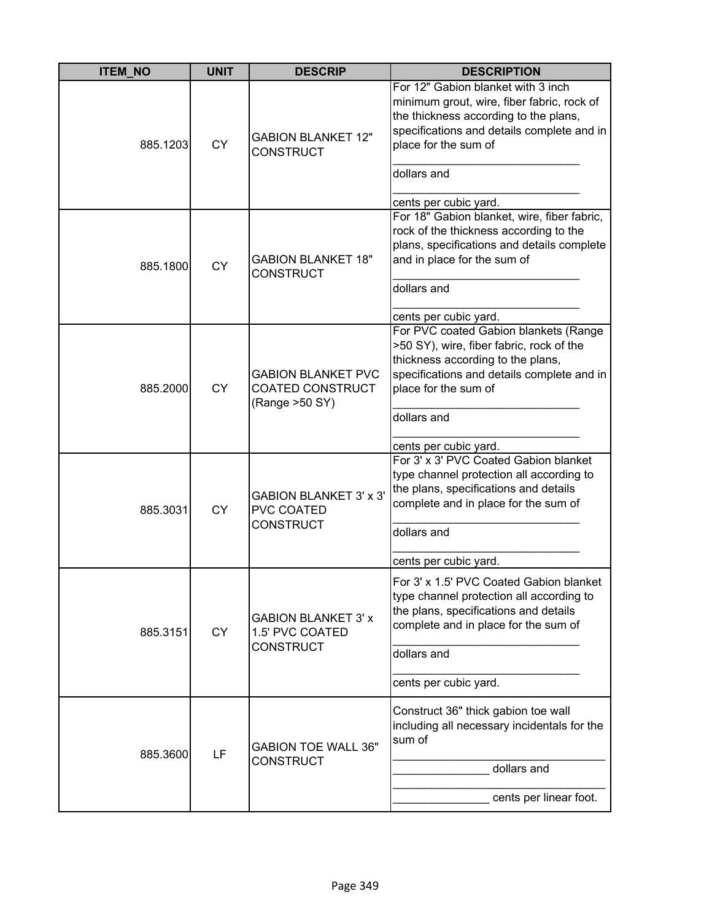| <b>ITEM NO</b> | <b>UNIT</b> | <b>DESCRIP</b>                                                         | <b>DESCRIPTION</b>                                                                                                                                                                                                                      |
|----------------|-------------|------------------------------------------------------------------------|-----------------------------------------------------------------------------------------------------------------------------------------------------------------------------------------------------------------------------------------|
| 885.1203       | <b>CY</b>   | <b>GABION BLANKET 12"</b><br><b>CONSTRUCT</b>                          | For 12" Gabion blanket with 3 inch<br>minimum grout, wire, fiber fabric, rock of<br>the thickness according to the plans,<br>specifications and details complete and in<br>place for the sum of<br>dollars and<br>cents per cubic yard. |
| 885.1800       | <b>CY</b>   | <b>GABION BLANKET 18"</b><br><b>CONSTRUCT</b>                          | For 18" Gabion blanket, wire, fiber fabric,<br>rock of the thickness according to the<br>plans, specifications and details complete<br>and in place for the sum of<br>dollars and<br>cents per cubic yard.                              |
| 885.2000       | <b>CY</b>   | <b>GABION BLANKET PVC</b><br>COATED CONSTRUCT<br>(Range >50 SY)        | For PVC coated Gabion blankets (Range<br>>50 SY), wire, fiber fabric, rock of the<br>thickness according to the plans,<br>specifications and details complete and in<br>place for the sum of<br>dollars and                             |
| 885.3031       | <b>CY</b>   | <b>GABION BLANKET 3' x 3'</b><br><b>PVC COATED</b><br><b>CONSTRUCT</b> | cents per cubic yard.<br>For 3' x 3' PVC Coated Gabion blanket<br>type channel protection all according to<br>the plans, specifications and details<br>complete and in place for the sum of<br>dollars and<br>cents per cubic yard.     |
| 885.3151       | <b>CY</b>   | <b>GABION BLANKET 3' x</b><br>1.5' PVC COATED<br><b>CONSTRUCT</b>      | For 3' x 1.5' PVC Coated Gabion blanket<br>type channel protection all according to<br>the plans, specifications and details<br>complete and in place for the sum of<br>dollars and<br>cents per cubic yard.                            |
| 885.3600       | LF          | <b>GABION TOE WALL 36"</b><br><b>CONSTRUCT</b>                         | Construct 36" thick gabion toe wall<br>including all necessary incidentals for the<br>sum of<br>dollars and<br>cents per linear foot.                                                                                                   |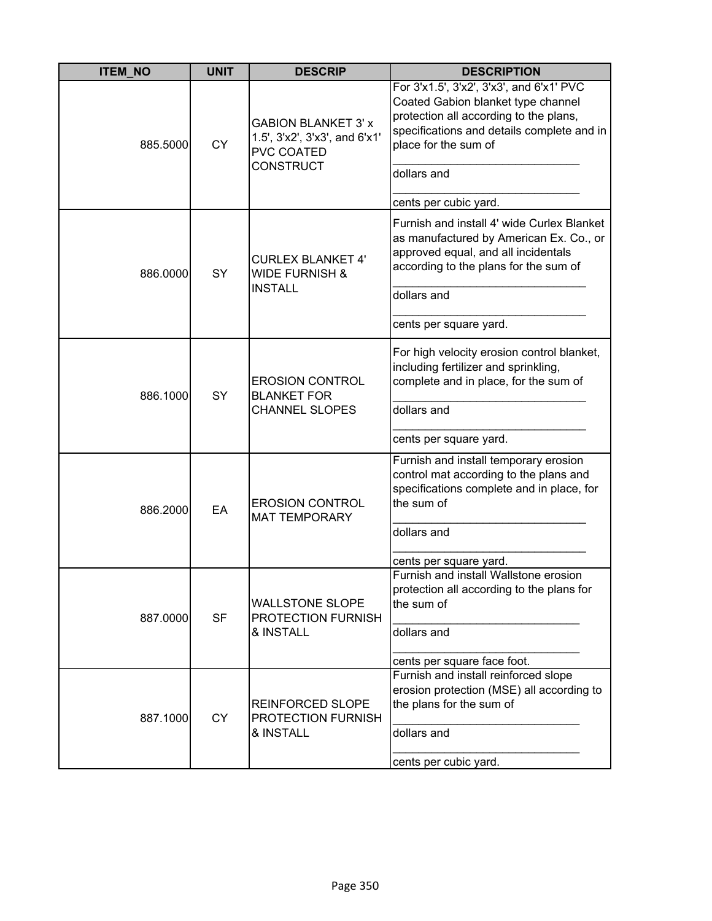| <b>ITEM_NO</b>        | <b>UNIT</b> | <b>DESCRIP</b>                                                                                       | <b>DESCRIPTION</b>                                                                                                                                                                                            |
|-----------------------|-------------|------------------------------------------------------------------------------------------------------|---------------------------------------------------------------------------------------------------------------------------------------------------------------------------------------------------------------|
| <b>CY</b><br>885.5000 |             | <b>GABION BLANKET 3' x</b><br>1.5', 3'x2', 3'x3', and 6'x1'<br><b>PVC COATED</b><br><b>CONSTRUCT</b> | For 3'x1.5', 3'x2', 3'x3', and 6'x1' PVC<br>Coated Gabion blanket type channel<br>protection all according to the plans,<br>specifications and details complete and in<br>place for the sum of<br>dollars and |
|                       |             |                                                                                                      |                                                                                                                                                                                                               |
| 886.0000              | SY          | <b>CURLEX BLANKET 4'</b><br><b>WIDE FURNISH &amp;</b><br><b>INSTALL</b>                              | cents per cubic yard.<br>Furnish and install 4' wide Curlex Blanket<br>as manufactured by American Ex. Co., or<br>approved equal, and all incidentals<br>according to the plans for the sum of<br>dollars and |
|                       |             |                                                                                                      | cents per square yard.                                                                                                                                                                                        |
| 886.1000              | <b>SY</b>   | <b>EROSION CONTROL</b><br><b>BLANKET FOR</b><br><b>CHANNEL SLOPES</b>                                | For high velocity erosion control blanket,<br>including fertilizer and sprinkling,<br>complete and in place, for the sum of<br>dollars and                                                                    |
|                       |             |                                                                                                      | cents per square yard.                                                                                                                                                                                        |
| 886.2000              | EA          | <b>EROSION CONTROL</b><br><b>MAT TEMPORARY</b>                                                       | Furnish and install temporary erosion<br>control mat according to the plans and<br>specifications complete and in place, for<br>the sum of                                                                    |
|                       |             |                                                                                                      | dollars and                                                                                                                                                                                                   |
|                       |             |                                                                                                      | cents per square yard.                                                                                                                                                                                        |
| 887.0000              | <b>SF</b>   | <b>WALLSTONE SLOPE</b><br>PROTECTION FURNISH<br>& INSTALL                                            | Furnish and install Wallstone erosion<br>protection all according to the plans for<br>the sum of<br>dollars and                                                                                               |
|                       |             |                                                                                                      | cents per square face foot.                                                                                                                                                                                   |
| 887.1000              | <b>CY</b>   | <b>REINFORCED SLOPE</b><br>PROTECTION FURNISH                                                        | Furnish and install reinforced slope<br>erosion protection (MSE) all according to<br>the plans for the sum of<br>dollars and                                                                                  |
|                       |             | & INSTALL                                                                                            | cents per cubic yard.                                                                                                                                                                                         |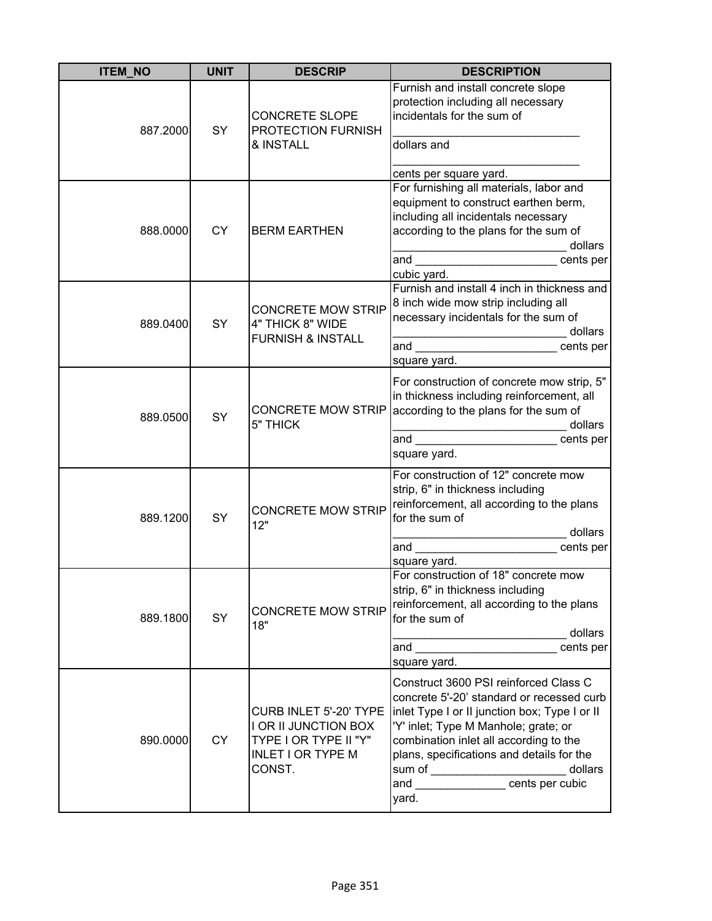| <b>ITEM_NO</b> | <b>UNIT</b> | <b>DESCRIP</b>                                                                                                | <b>DESCRIPTION</b>                                                                                                                                                                                                                                                                                                                                                        |
|----------------|-------------|---------------------------------------------------------------------------------------------------------------|---------------------------------------------------------------------------------------------------------------------------------------------------------------------------------------------------------------------------------------------------------------------------------------------------------------------------------------------------------------------------|
| 887.2000       | SY          | <b>CONCRETE SLOPE</b><br>PROTECTION FURNISH<br>& INSTALL                                                      | Furnish and install concrete slope<br>protection including all necessary<br>incidentals for the sum of<br>dollars and<br>cents per square yard.                                                                                                                                                                                                                           |
| 888.0000       | <b>CY</b>   | <b>BERM EARTHEN</b>                                                                                           | For furnishing all materials, labor and<br>equipment to construct earthen berm,<br>including all incidentals necessary<br>according to the plans for the sum of<br>dollars<br>and<br>cents per<br>cubic yard.                                                                                                                                                             |
| 889.0400       | SY          | <b>CONCRETE MOW STRIP</b><br>4" THICK 8" WIDE<br><b>FURNISH &amp; INSTALL</b>                                 | Furnish and install 4 inch in thickness and<br>8 inch wide mow strip including all<br>necessary incidentals for the sum of<br>dollars<br>and ___________________________ cents per<br>square yard.                                                                                                                                                                        |
| 889.0500       | SY          | <b>CONCRETE MOW STRIP</b><br>5" THICK                                                                         | For construction of concrete mow strip, 5"<br>in thickness including reinforcement, all<br>according to the plans for the sum of<br>dollars<br>cents per<br>square yard.                                                                                                                                                                                                  |
| 889.1200       | SY          | <b>CONCRETE MOW STRIP</b><br>12"                                                                              | For construction of 12" concrete mow<br>strip, 6" in thickness including<br>reinforcement, all according to the plans<br>for the sum of<br>dollars<br>cents per<br>square yard.                                                                                                                                                                                           |
| 889.1800       | SY          | <b>CONCRETE MOW STRIP</b><br>18"                                                                              | For construction of 18" concrete mow<br>strip, 6" in thickness including<br>reinforcement, all according to the plans<br>for the sum of<br>dollars<br>and _____________________________cents per<br>square yard.                                                                                                                                                          |
| 890.0000       | <b>CY</b>   | CURB INLET 5'-20' TYPE<br>I OR II JUNCTION BOX<br>TYPE I OR TYPE II "Y"<br><b>INLET I OR TYPE M</b><br>CONST. | Construct 3600 PSI reinforced Class C<br>concrete 5'-20' standard or recessed curb<br>linlet Type I or II junction box; Type I or II<br>'Y' inlet; Type M Manhole; grate; or<br>combination inlet all according to the<br>plans, specifications and details for the<br>sum of _______________________dolla<br> and ___________________cents per cubic<br>dollars<br>yard. |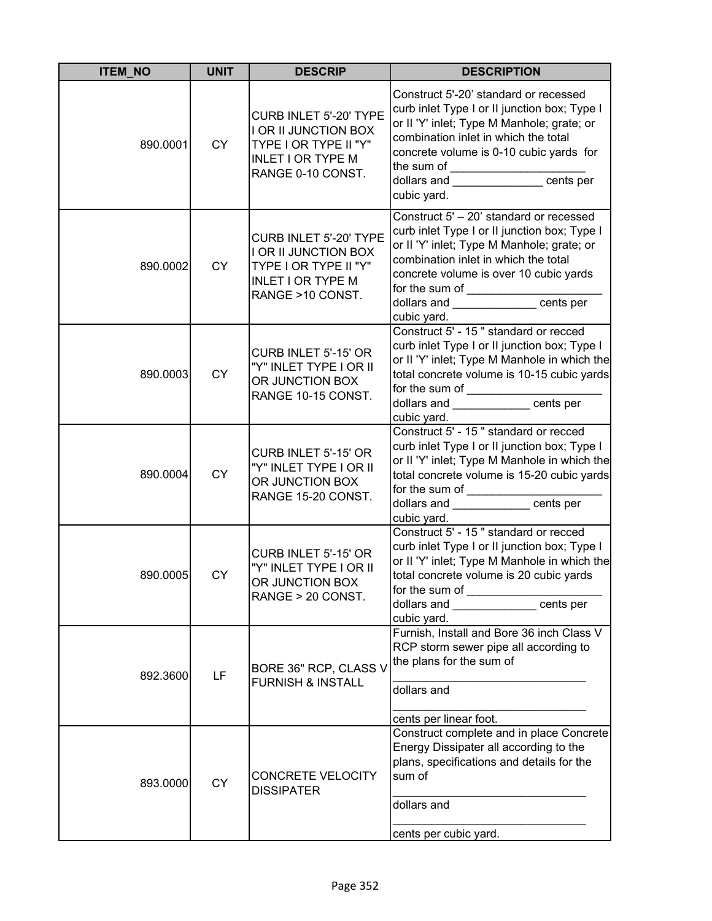| <b>ITEM NO</b> | <b>UNIT</b> | <b>DESCRIP</b>                                                                                                                  | <b>DESCRIPTION</b>                                                                                                                                                                                                                                                                                                       |
|----------------|-------------|---------------------------------------------------------------------------------------------------------------------------------|--------------------------------------------------------------------------------------------------------------------------------------------------------------------------------------------------------------------------------------------------------------------------------------------------------------------------|
| 890.0001       | <b>CY</b>   | CURB INLET 5'-20' TYPE<br><b>I OR II JUNCTION BOX</b><br>TYPE I OR TYPE II "Y"<br><b>INLET I OR TYPE M</b><br>RANGE 0-10 CONST. | Construct 5'-20' standard or recessed<br>curb inlet Type I or II junction box; Type I<br>or II 'Y' inlet; Type M Manhole; grate; or<br>combination inlet in which the total<br>concrete volume is 0-10 cubic yards for<br>the sum of ________________________<br> dollars and _________________ cents per<br>cubic yard. |
| 890.0002       | <b>CY</b>   | CURB INLET 5'-20' TYPE<br><b>I OR II JUNCTION BOX</b><br>TYPE I OR TYPE II "Y"<br><b>INLET I OR TYPE M</b><br>RANGE >10 CONST.  | Construct 5' - 20' standard or recessed<br>curb inlet Type I or II junction box; Type I<br>or II 'Y' inlet; Type M Manhole; grate; or<br>combination inlet in which the total<br>concrete volume is over 10 cubic yards<br>for the sum of _________________cents per<br>cubic yard.                                      |
| 890.0003       | <b>CY</b>   | CURB INLET 5'-15' OR<br>"Y" INLET TYPE I OR II<br>OR JUNCTION BOX<br>RANGE 10-15 CONST.                                         | Construct 5' - 15" standard or recced<br>curb inlet Type I or II junction box; Type I<br>or II 'Y' inlet; Type M Manhole in which the<br>total concrete volume is 10-15 cubic yards<br>dollars and ____________ cents per<br>cubic yard.                                                                                 |
| 890.0004       | CY          | CURB INLET 5'-15' OR<br>"Y" INLET TYPE I OR II<br>OR JUNCTION BOX<br>RANGE 15-20 CONST.                                         | Construct 5' - 15" standard or recced<br>curb inlet Type I or II junction box; Type I<br>or II 'Y' inlet; Type M Manhole in which the<br>total concrete volume is 15-20 cubic yards<br>for the sum of _________________<br>dollars and _______________cents per<br>cubic yard.                                           |
| 890.0005       | <b>CY</b>   | CURB INLET 5'-15' OR<br>"Y" INLET TYPE I OR II<br>OR JUNCTION BOX<br>RANGE > 20 CONST.                                          | Construct 5' - 15" standard or recced<br>curb inlet Type I or II junction box; Type I<br>or II 'Y' inlet; Type M Manhole in which the<br>total concrete volume is 20 cubic yards<br>for the sum of _____________<br>dollars and _____________ cents per<br>cubic yard.                                                   |
| 892.3600       | LF          | BORE 36" RCP, CLASS V<br><b>FURNISH &amp; INSTALL</b>                                                                           | Furnish, Install and Bore 36 inch Class V<br>RCP storm sewer pipe all according to<br>the plans for the sum of<br>dollars and<br>cents per linear foot.                                                                                                                                                                  |
| 893.0000       | <b>CY</b>   | CONCRETE VELOCITY<br><b>DISSIPATER</b>                                                                                          | Construct complete and in place Concrete<br>Energy Dissipater all according to the<br>plans, specifications and details for the<br>sum of<br>dollars and<br>cents per cubic yard.                                                                                                                                        |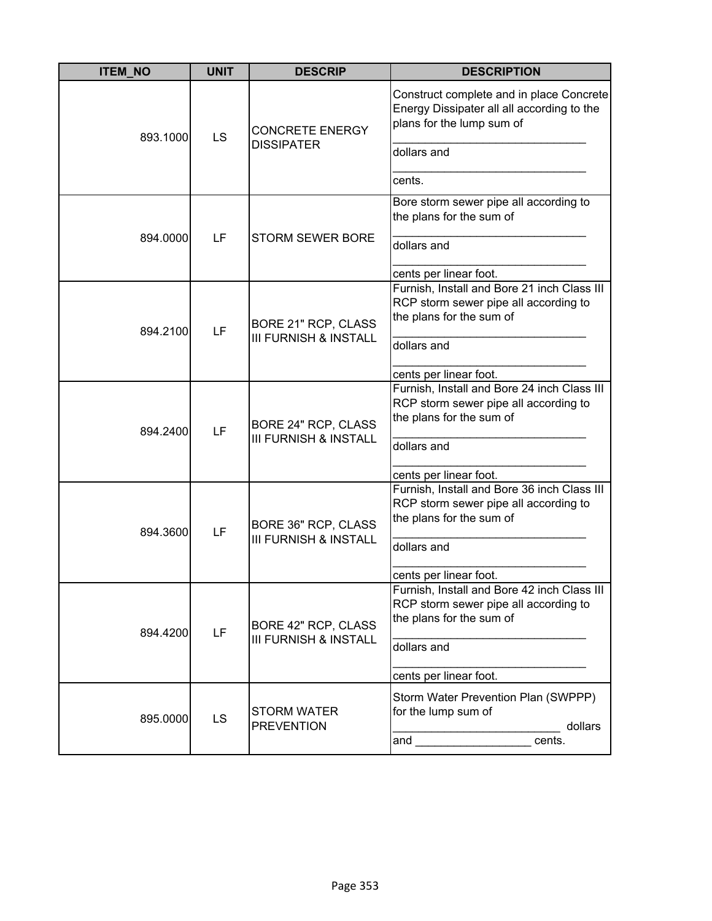| <b>ITEM_NO</b> | <b>UNIT</b> | <b>DESCRIP</b>                                          | <b>DESCRIPTION</b>                                                                                                                                                                                                                                                                                                |
|----------------|-------------|---------------------------------------------------------|-------------------------------------------------------------------------------------------------------------------------------------------------------------------------------------------------------------------------------------------------------------------------------------------------------------------|
| 893.1000       | LS          | <b>CONCRETE ENERGY</b><br><b>DISSIPATER</b>             | Construct complete and in place Concrete<br>Energy Dissipater all all according to the<br>plans for the lump sum of<br>dollars and<br>cents.                                                                                                                                                                      |
| 894.0000       | LF          | <b>STORM SEWER BORE</b>                                 | Bore storm sewer pipe all according to<br>the plans for the sum of<br>dollars and<br>cents per linear foot.                                                                                                                                                                                                       |
| 894.2100       | LF          | BORE 21" RCP, CLASS<br><b>III FURNISH &amp; INSTALL</b> | Furnish, Install and Bore 21 inch Class III<br>RCP storm sewer pipe all according to<br>the plans for the sum of<br>dollars and<br>cents per linear foot.                                                                                                                                                         |
| 894.2400       | LF          | BORE 24" RCP, CLASS<br><b>III FURNISH &amp; INSTALL</b> | Furnish, Install and Bore 24 inch Class III<br>RCP storm sewer pipe all according to<br>the plans for the sum of<br>dollars and                                                                                                                                                                                   |
| 894.3600       | LF          | BORE 36" RCP, CLASS<br><b>III FURNISH &amp; INSTALL</b> | cents per linear foot.<br>Furnish, Install and Bore 36 inch Class III<br>RCP storm sewer pipe all according to<br>the plans for the sum of<br>dollars and<br>cents per linear foot.                                                                                                                               |
| 894.4200       | LF          | BORE 42" RCP, CLASS<br><b>III FURNISH &amp; INSTALL</b> | Furnish, Install and Bore 42 inch Class III<br>RCP storm sewer pipe all according to<br>the plans for the sum of<br>dollars and<br>cents per linear foot.                                                                                                                                                         |
| 895.0000       | <b>LS</b>   | <b>STORM WATER</b><br><b>PREVENTION</b>                 | Storm Water Prevention Plan (SWPPP)<br>for the lump sum of<br>dollars<br>and the contract of the contract of the contract of the contract of the contract of the contract of the contract of the contract of the contract of the contract of the contract of the contract of the contract of the contra<br>cents. |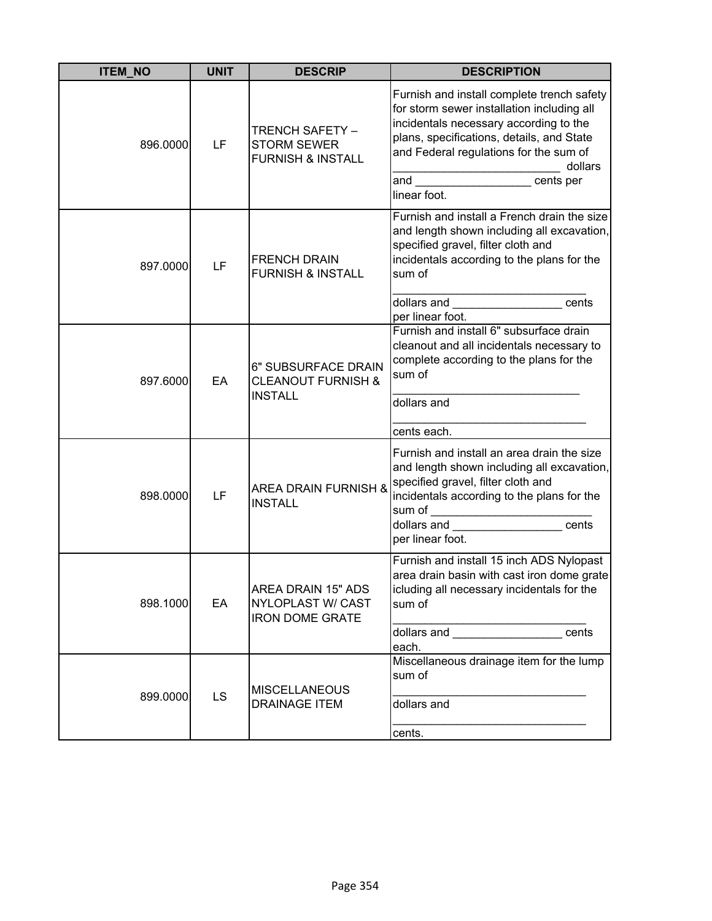| <b>ITEM NO</b> | <b>UNIT</b> | <b>DESCRIP</b>                                                           | <b>DESCRIPTION</b>                                                                                                                                                                                                                                                                                                                                                                                                                                    |
|----------------|-------------|--------------------------------------------------------------------------|-------------------------------------------------------------------------------------------------------------------------------------------------------------------------------------------------------------------------------------------------------------------------------------------------------------------------------------------------------------------------------------------------------------------------------------------------------|
| 896.0000       | LF          | TRENCH SAFETY -<br><b>STORM SEWER</b><br><b>FURNISH &amp; INSTALL</b>    | Furnish and install complete trench safety<br>for storm sewer installation including all<br>incidentals necessary according to the<br>plans, specifications, details, and State<br>and Federal regulations for the sum of<br>dollars<br>and<br>cents per<br>linear foot.                                                                                                                                                                              |
| 897.0000       | LF          | <b>FRENCH DRAIN</b><br><b>FURNISH &amp; INSTALL</b>                      | Furnish and install a French drain the size<br>and length shown including all excavation,<br>specified gravel, filter cloth and<br>incidentals according to the plans for the<br>sum of<br>dollars and the control of the control of the control of the control of the control of the control of the control of the control of the control of the control of the control of the control of the control of the control of<br>cents<br>per linear foot. |
| 897.6000       | EA          | 6" SUBSURFACE DRAIN<br><b>CLEANOUT FURNISH &amp;</b><br><b>INSTALL</b>   | Furnish and install 6" subsurface drain<br>cleanout and all incidentals necessary to<br>complete according to the plans for the<br>sum of<br>dollars and<br>cents each.                                                                                                                                                                                                                                                                               |
| 898.0000       | LF          | <b>AREA DRAIN FURNISH &amp;</b><br><b>INSTALL</b>                        | Furnish and install an area drain the size<br>and length shown including all excavation,<br>specified gravel, filter cloth and<br>incidentals according to the plans for the<br>sum of<br><u> 1990 - Johann Barbara, martin a</u><br>dollars and<br>cents<br>per linear foot.                                                                                                                                                                         |
| 898.1000       | EA          | AREA DRAIN 15" ADS<br><b>NYLOPLAST W/ CAST</b><br><b>IRON DOME GRATE</b> | Furnish and install 15 inch ADS Nylopast<br>area drain basin with cast iron dome grate<br>icluding all necessary incidentals for the<br>sum of<br>dollars and _____________________cents<br>each.                                                                                                                                                                                                                                                     |
| 899.0000       | <b>LS</b>   | <b>MISCELLANEOUS</b><br><b>DRAINAGE ITEM</b>                             | Miscellaneous drainage item for the lump<br>sum of<br>dollars and<br>cents.                                                                                                                                                                                                                                                                                                                                                                           |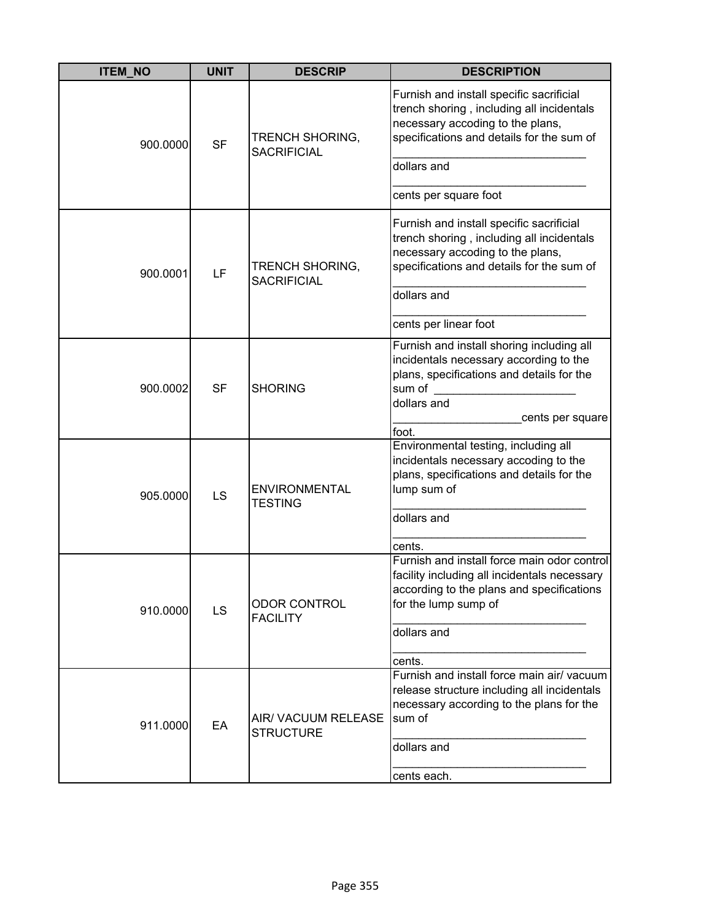| <b>ITEM NO</b> | <b>UNIT</b> | <b>DESCRIP</b>                               | <b>DESCRIPTION</b>                                                                                                                                                            |
|----------------|-------------|----------------------------------------------|-------------------------------------------------------------------------------------------------------------------------------------------------------------------------------|
| 900.0000       | <b>SF</b>   | TRENCH SHORING,<br><b>SACRIFICIAL</b>        | Furnish and install specific sacrificial<br>trench shoring, including all incidentals<br>necessary accoding to the plans,<br>specifications and details for the sum of        |
|                |             |                                              | dollars and                                                                                                                                                                   |
|                |             |                                              | cents per square foot                                                                                                                                                         |
| 900.0001       | LF          | <b>TRENCH SHORING,</b><br><b>SACRIFICIAL</b> | Furnish and install specific sacrificial<br>trench shoring, including all incidentals<br>necessary accoding to the plans,<br>specifications and details for the sum of        |
|                |             |                                              | dollars and                                                                                                                                                                   |
|                |             |                                              | cents per linear foot                                                                                                                                                         |
| 900.0002       | <b>SF</b>   | <b>SHORING</b>                               | Furnish and install shoring including all<br>incidentals necessary according to the<br>plans, specifications and details for the<br>sum of<br>dollars and<br>cents per square |
|                |             |                                              | foot.                                                                                                                                                                         |
| 905.0000       | LS          | <b>ENVIRONMENTAL</b><br>TESTING              | Environmental testing, including all<br>incidentals necessary accoding to the<br>plans, specifications and details for the<br>lump sum of                                     |
|                |             |                                              | dollars and                                                                                                                                                                   |
|                |             |                                              | cents.                                                                                                                                                                        |
| 910.0000       | LS          | <b>ODOR CONTROL</b><br><b>FACILITY</b>       | Furnish and install force main odor control<br>facility including all incidentals necessary<br>according to the plans and specifications<br>for the lump sump of              |
|                |             |                                              | dollars and                                                                                                                                                                   |
|                |             |                                              | cents.                                                                                                                                                                        |
| 911.0000       | EA          | AIR/ VACUUM RELEASE<br><b>STRUCTURE</b>      | Furnish and install force main air/vacuum<br>release structure including all incidentals<br>necessary according to the plans for the<br>sum of                                |
|                |             |                                              | dollars and                                                                                                                                                                   |
|                |             |                                              | cents each.                                                                                                                                                                   |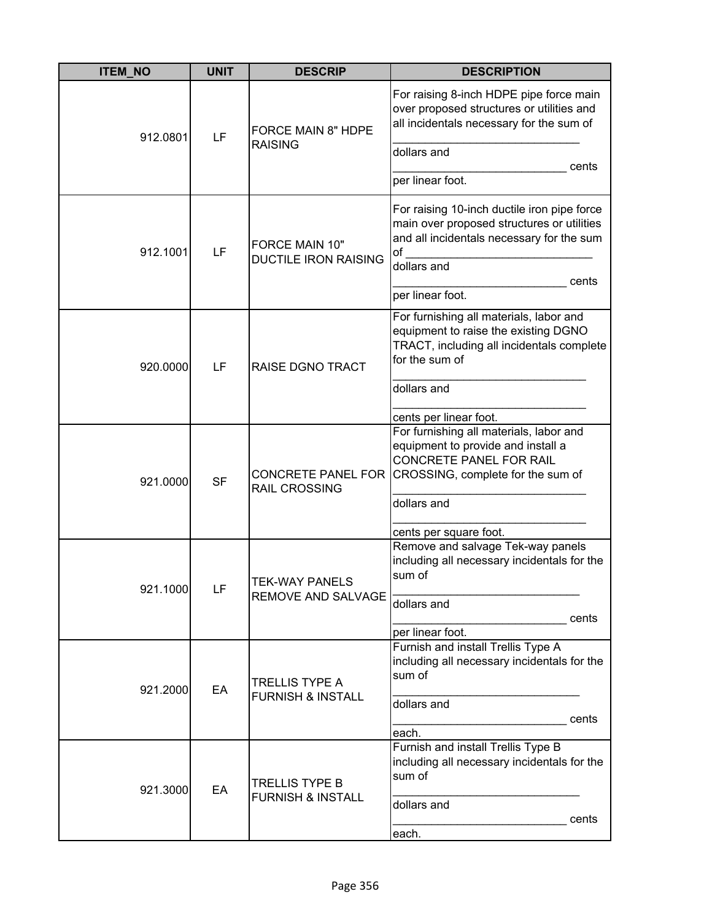| <b>ITEM NO</b> | <b>UNIT</b> | <b>DESCRIP</b>                                        | <b>DESCRIPTION</b>                                                                                                                                                                            |
|----------------|-------------|-------------------------------------------------------|-----------------------------------------------------------------------------------------------------------------------------------------------------------------------------------------------|
| 912.0801       | LF          | <b>FORCE MAIN 8" HDPE</b><br><b>RAISING</b>           | For raising 8-inch HDPE pipe force main<br>over proposed structures or utilities and<br>all incidentals necessary for the sum of<br>dollars and<br>cents<br>per linear foot.                  |
| 912.1001       | LF          | FORCE MAIN 10"<br><b>DUCTILE IRON RAISING</b>         | For raising 10-inch ductile iron pipe force<br>main over proposed structures or utilities<br>and all incidentals necessary for the sum<br>of<br>dollars and<br>cents<br>per linear foot.      |
| 920.0000       | LF          | <b>RAISE DGNO TRACT</b>                               | For furnishing all materials, labor and<br>equipment to raise the existing DGNO<br>TRACT, including all incidentals complete<br>for the sum of<br>dollars and<br>cents per linear foot.       |
| 921.0000       | <b>SF</b>   | <b>CONCRETE PANEL FOR</b><br><b>RAIL CROSSING</b>     | For furnishing all materials, labor and<br>equipment to provide and install a<br><b>CONCRETE PANEL FOR RAIL</b><br>CROSSING, complete for the sum of<br>dollars and<br>cents per square foot. |
| 921.1000       | LF          | <b>TEK-WAY PANELS</b><br><b>REMOVE AND SALVAGE</b>    | Remove and salvage Tek-way panels<br>including all necessary incidentals for the<br>sum of<br>dollars and<br>cents<br>per linear foot.                                                        |
| 921.2000       | EA          | <b>TRELLIS TYPE A</b><br><b>FURNISH &amp; INSTALL</b> | Furnish and install Trellis Type A<br>including all necessary incidentals for the<br>sum of<br>dollars and<br>cents<br>each.                                                                  |
| 921.3000       | EA          | <b>TRELLIS TYPE B</b><br><b>FURNISH &amp; INSTALL</b> | Furnish and install Trellis Type B<br>including all necessary incidentals for the<br>sum of<br>dollars and<br>cents<br>each.                                                                  |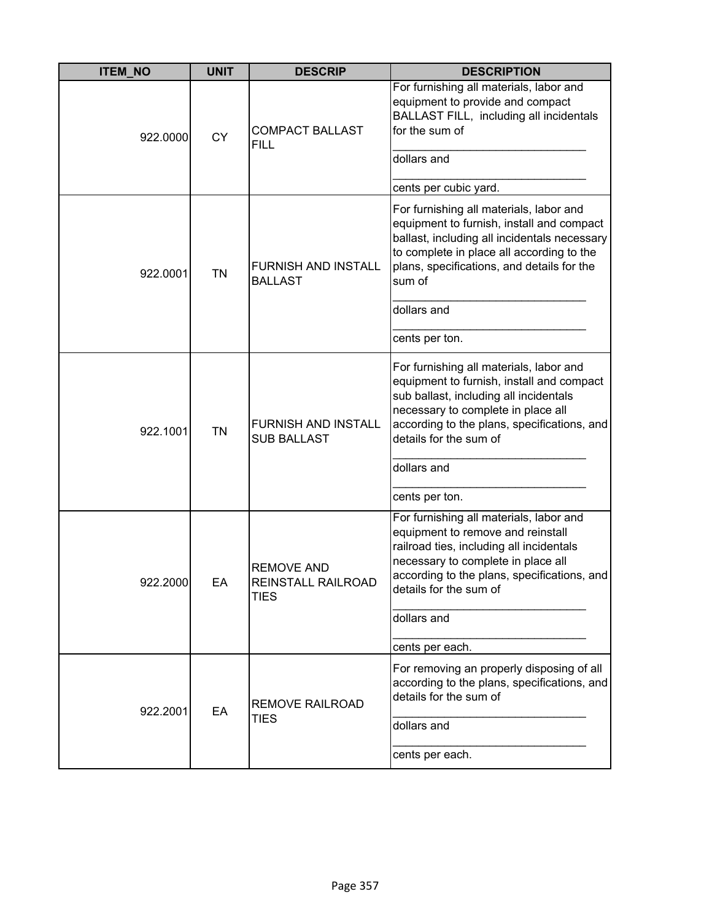| <b>ITEM NO</b> | <b>UNIT</b> | <b>DESCRIP</b>                                         | <b>DESCRIPTION</b>                                                                                                                                                                                                                                                             |
|----------------|-------------|--------------------------------------------------------|--------------------------------------------------------------------------------------------------------------------------------------------------------------------------------------------------------------------------------------------------------------------------------|
| 922.0000       | <b>CY</b>   | <b>COMPACT BALLAST</b><br><b>FILL</b>                  | For furnishing all materials, labor and<br>equipment to provide and compact<br>BALLAST FILL, including all incidentals<br>for the sum of<br>dollars and<br>cents per cubic yard.                                                                                               |
| 922.0001       | <b>TN</b>   | <b>FURNISH AND INSTALL</b><br><b>BALLAST</b>           | For furnishing all materials, labor and<br>equipment to furnish, install and compact<br>ballast, including all incidentals necessary<br>to complete in place all according to the<br>plans, specifications, and details for the<br>sum of<br>dollars and<br>cents per ton.     |
| 922.1001       | <b>TN</b>   | <b>FURNISH AND INSTALL</b><br><b>SUB BALLAST</b>       | For furnishing all materials, labor and<br>equipment to furnish, install and compact<br>sub ballast, including all incidentals<br>necessary to complete in place all<br>according to the plans, specifications, and<br>details for the sum of<br>dollars and<br>cents per ton. |
| 922 2000       | EА          | <b>REMOVE AND</b><br>REINSTALL RAILROAD<br><b>TIES</b> | For furnishing all materials, labor and<br>equipment to remove and reinstall<br>railroad ties, including all incidentals<br>necessary to complete in place all<br>according to the plans, specifications, and<br>details for the sum of<br>dollars and<br>cents per each.      |
| 922.2001       | EA          | <b>REMOVE RAILROAD</b><br><b>TIES</b>                  | For removing an properly disposing of all<br>according to the plans, specifications, and<br>details for the sum of<br>dollars and<br>cents per each.                                                                                                                           |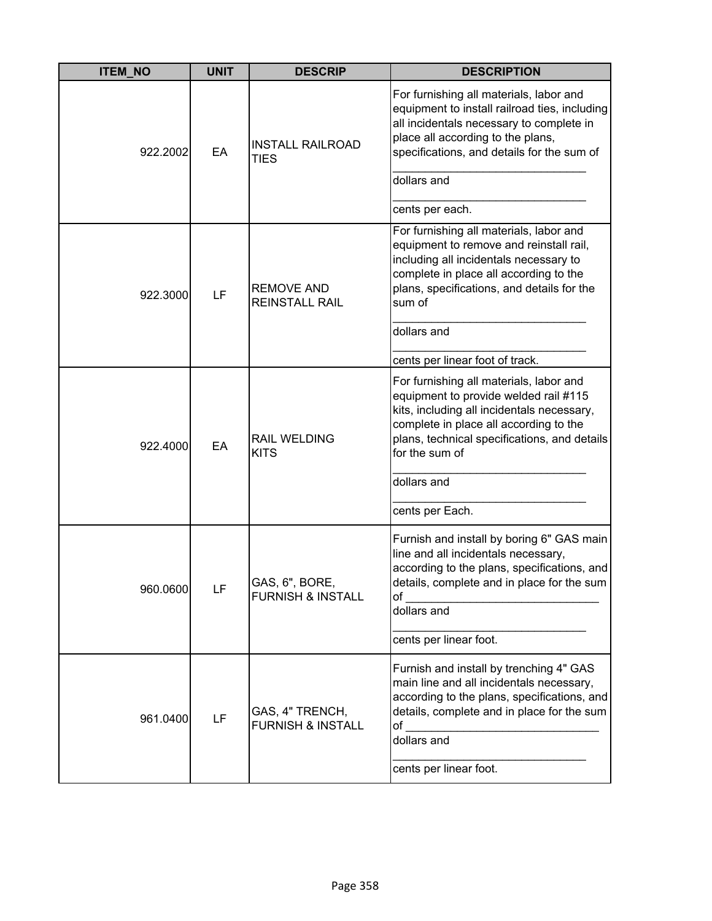| <b>ITEM_NO</b> | <b>UNIT</b> | <b>DESCRIP</b>                                  | <b>DESCRIPTION</b>                                                                                                                                                                                                                                                           |
|----------------|-------------|-------------------------------------------------|------------------------------------------------------------------------------------------------------------------------------------------------------------------------------------------------------------------------------------------------------------------------------|
| 922.2002       | EA          | <b>INSTALL RAILROAD</b><br><b>TIES</b>          | For furnishing all materials, labor and<br>equipment to install railroad ties, including<br>all incidentals necessary to complete in<br>place all according to the plans,<br>specifications, and details for the sum of                                                      |
|                |             |                                                 | dollars and<br>cents per each.                                                                                                                                                                                                                                               |
| 922.3000       | LF          | <b>REMOVE AND</b><br><b>REINSTALL RAIL</b>      | For furnishing all materials, labor and<br>equipment to remove and reinstall rail,<br>including all incidentals necessary to<br>complete in place all according to the<br>plans, specifications, and details for the<br>sum of                                               |
|                |             |                                                 | dollars and<br>cents per linear foot of track.                                                                                                                                                                                                                               |
| 922.4000       | EA          | <b>RAIL WELDING</b><br><b>KITS</b>              | For furnishing all materials, labor and<br>equipment to provide welded rail #115<br>kits, including all incidentals necessary,<br>complete in place all according to the<br>plans, technical specifications, and details<br>for the sum of<br>dollars and<br>cents per Each. |
| 960.0600       | LF          | GAS, 6", BORE,<br><b>FURNISH &amp; INSTALL</b>  | Furnish and install by boring 6" GAS main<br>line and all incidentals necessary,<br>according to the plans, specifications, and<br>details, complete and in place for the sum<br>of<br>dollars and<br>cents per linear foot.                                                 |
| 961.0400       | LF          | GAS, 4" TRENCH,<br><b>FURNISH &amp; INSTALL</b> | Furnish and install by trenching 4" GAS<br>main line and all incidentals necessary,<br>according to the plans, specifications, and<br>details, complete and in place for the sum<br>of<br>dollars and<br>cents per linear foot.                                              |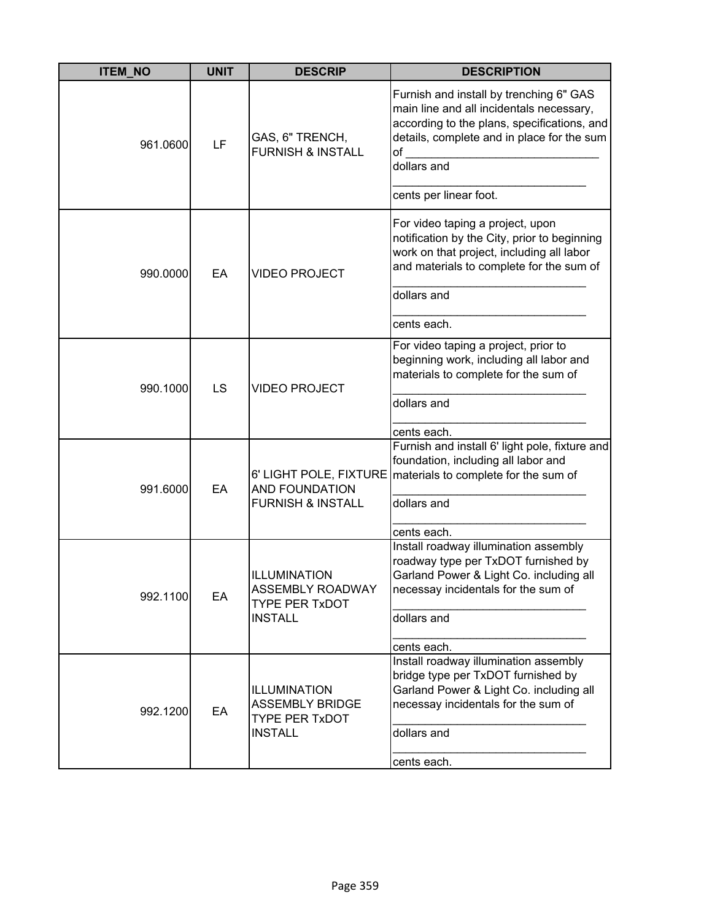| <b>ITEM_NO</b> | <b>UNIT</b> | <b>DESCRIP</b>                                                                     | <b>DESCRIPTION</b>                                                                                                                                                                                    |
|----------------|-------------|------------------------------------------------------------------------------------|-------------------------------------------------------------------------------------------------------------------------------------------------------------------------------------------------------|
| 961.0600       | LF          | GAS, 6" TRENCH,<br><b>FURNISH &amp; INSTALL</b>                                    | Furnish and install by trenching 6" GAS<br>main line and all incidentals necessary,<br>according to the plans, specifications, and<br>details, complete and in place for the sum<br>of<br>dollars and |
|                |             |                                                                                    | cents per linear foot.                                                                                                                                                                                |
| 990.0000       | EA          | <b>VIDEO PROJECT</b>                                                               | For video taping a project, upon<br>notification by the City, prior to beginning<br>work on that project, including all labor<br>and materials to complete for the sum of                             |
|                |             |                                                                                    | dollars and                                                                                                                                                                                           |
|                |             |                                                                                    | cents each.                                                                                                                                                                                           |
| 990.1000       | LS          | <b>VIDEO PROJECT</b>                                                               | For video taping a project, prior to<br>beginning work, including all labor and<br>materials to complete for the sum of                                                                               |
|                |             |                                                                                    | dollars and                                                                                                                                                                                           |
|                |             |                                                                                    | cents each.                                                                                                                                                                                           |
| 991.6000       | EA          | 6' LIGHT POLE, FIXTURE<br><b>AND FOUNDATION</b><br><b>FURNISH &amp; INSTALL</b>    | Furnish and install 6' light pole, fixture and<br>foundation, including all labor and<br>materials to complete for the sum of                                                                         |
|                |             |                                                                                    | dollars and                                                                                                                                                                                           |
|                |             |                                                                                    | cents each.                                                                                                                                                                                           |
| 992.1100       | EA          | ILLUMINATION<br><b>ASSEMBLY ROADWAY</b><br><b>TYPE PER TxDOT</b><br><b>INSTALL</b> | Install roadway illumination assembly<br>roadway type per TxDOT furnished by<br>Garland Power & Light Co. including all<br>necessay incidentals for the sum of<br>dollars and                         |
|                |             |                                                                                    | cents each.                                                                                                                                                                                           |
| 992.1200       | EA          | ILLUMINATION<br><b>ASSEMBLY BRIDGE</b><br><b>TYPE PER TxDOT</b><br><b>INSTALL</b>  | Install roadway illumination assembly<br>bridge type per TxDOT furnished by<br>Garland Power & Light Co. including all<br>necessay incidentals for the sum of<br>dollars and                          |
|                |             |                                                                                    | cents each.                                                                                                                                                                                           |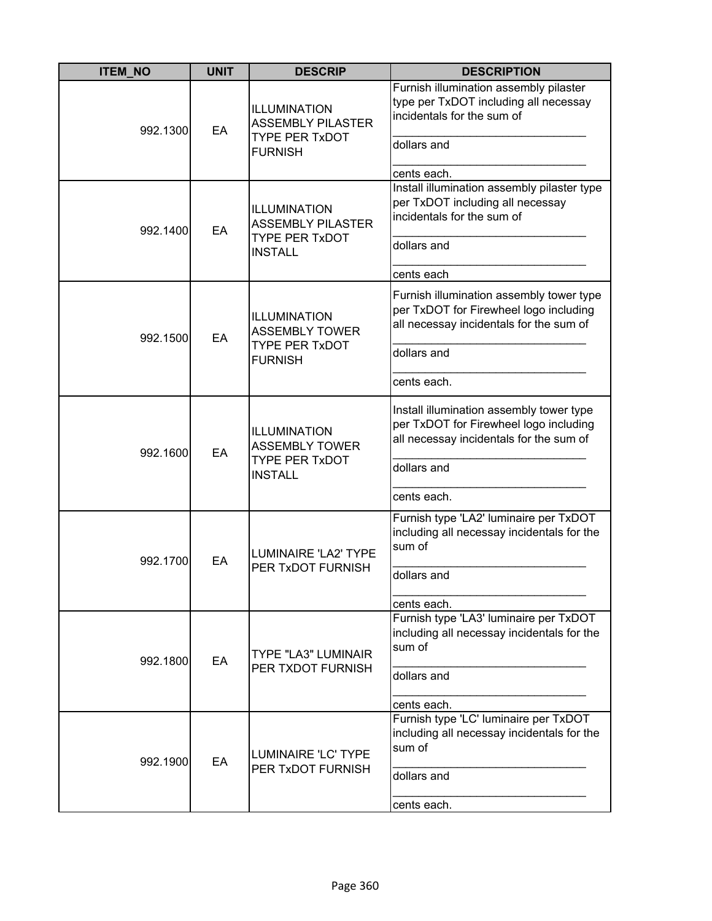| <b>ITEM_NO</b> | <b>UNIT</b> | <b>DESCRIP</b>                                                                          | <b>DESCRIPTION</b>                                                                                                                                          |
|----------------|-------------|-----------------------------------------------------------------------------------------|-------------------------------------------------------------------------------------------------------------------------------------------------------------|
| 992.1300       | EA          | ILLUMINATION<br><b>ASSEMBLY PILASTER</b><br><b>TYPE PER TxDOT</b><br><b>FURNISH</b>     | Furnish illumination assembly pilaster<br>type per TxDOT including all necessay<br>incidentals for the sum of<br>dollars and<br>cents each.                 |
| 992.1400       | EA          | ILLUMINATION<br><b>ASSEMBLY PILASTER</b><br><b>TYPE PER TxDOT</b><br><b>INSTALL</b>     | Install illumination assembly pilaster type<br>per TxDOT including all necessay<br>incidentals for the sum of<br>dollars and<br>cents each                  |
| 992.1500       | EA          | <b>ILLUMINATION</b><br><b>ASSEMBLY TOWER</b><br><b>TYPE PER TxDOT</b><br><b>FURNISH</b> | Furnish illumination assembly tower type<br>per TxDOT for Firewheel logo including<br>all necessay incidentals for the sum of<br>dollars and<br>cents each. |
| 992.1600       | EA          | ILLUMINATION<br><b>ASSEMBLY TOWER</b><br><b>TYPE PER TxDOT</b><br><b>INSTALL</b>        | Install illumination assembly tower type<br>per TxDOT for Firewheel logo including<br>all necessay incidentals for the sum of<br>dollars and<br>cents each. |
| 992.1700       | EA          | LUMINAIRE 'LA2' TYPE<br>PER TxDOT FURNISH                                               | Furnish type 'LA2' luminaire per TxDOT<br>including all necessay incidentals for the<br>sum of<br>dollars and<br>cents each.                                |
| 992.1800       | EA          | <b>TYPE "LA3" LUMINAIR</b><br>PER TXDOT FURNISH                                         | Furnish type 'LA3' luminaire per TxDOT<br>including all necessay incidentals for the<br>sum of<br>dollars and<br>cents each.                                |
| 992.1900       | EA          | <b>LUMINAIRE 'LC' TYPE</b><br>PER TxDOT FURNISH                                         | Furnish type 'LC' luminaire per TxDOT<br>including all necessay incidentals for the<br>sum of<br>dollars and<br>cents each.                                 |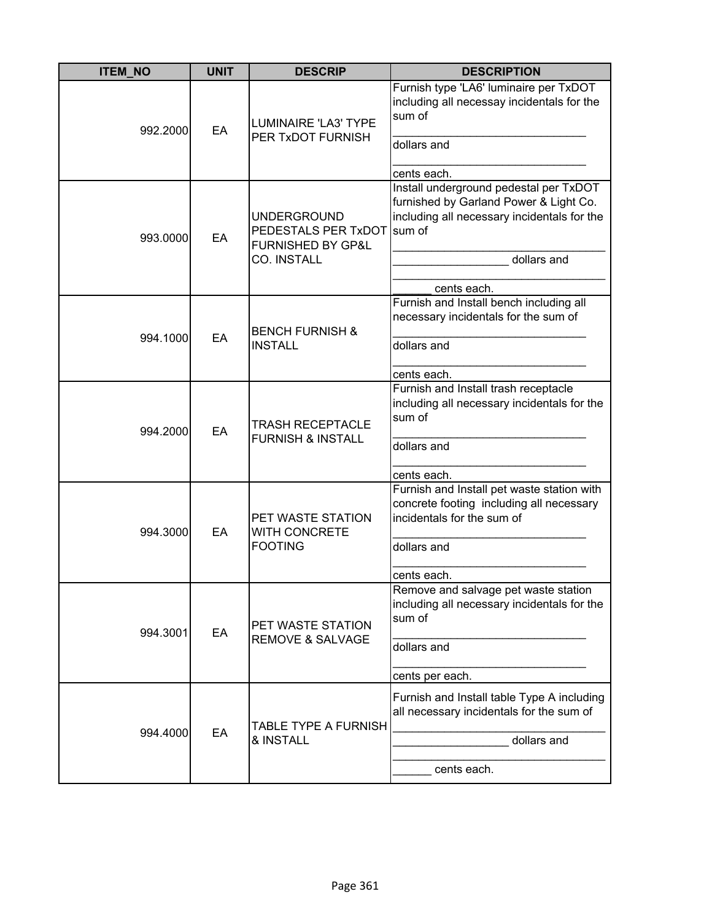| <b>ITEM_NO</b> | <b>UNIT</b> | <b>DESCRIP</b>                                                                                  | <b>DESCRIPTION</b>                                                                                                                                            |
|----------------|-------------|-------------------------------------------------------------------------------------------------|---------------------------------------------------------------------------------------------------------------------------------------------------------------|
| 992.2000       | EA          | <b>LUMINAIRE 'LA3' TYPE</b><br>PER TxDOT FURNISH                                                | Furnish type 'LA6' luminaire per TxDOT<br>including all necessay incidentals for the<br>sum of<br>dollars and<br>cents each.                                  |
| 993.0000       | EA          | <b>UNDERGROUND</b><br>PEDESTALS PER TxDOT sum of<br><b>FURNISHED BY GP&amp;L</b><br>CO. INSTALL | Install underground pedestal per TxDOT<br>furnished by Garland Power & Light Co.<br>including all necessary incidentals for the<br>dollars and<br>cents each. |
| 994.1000       | EA          | <b>BENCH FURNISH &amp;</b><br><b>INSTALL</b>                                                    | Furnish and Install bench including all<br>necessary incidentals for the sum of<br>dollars and<br>cents each.                                                 |
| 994.2000       | EA          | <b>TRASH RECEPTACLE</b><br><b>FURNISH &amp; INSTALL</b>                                         | Furnish and Install trash receptacle<br>including all necessary incidentals for the<br>sum of<br>dollars and<br>cents each.                                   |
| 994.3000       | EA          | PET WASTE STATION<br><b>WITH CONCRETE</b><br><b>FOOTING</b>                                     | Furnish and Install pet waste station with<br>concrete footing including all necessary<br>incidentals for the sum of<br>dollars and<br>cents each.            |
| 994.3001       | EA          | PET WASTE STATION<br><b>REMOVE &amp; SALVAGE</b>                                                | Remove and salvage pet waste station<br>including all necessary incidentals for the<br>sum of<br>dollars and<br>cents per each.                               |
| 994.4000       | EA          | TABLE TYPE A FURNISH<br>& INSTALL                                                               | Furnish and Install table Type A including<br>all necessary incidentals for the sum of<br>dollars and<br>cents each.                                          |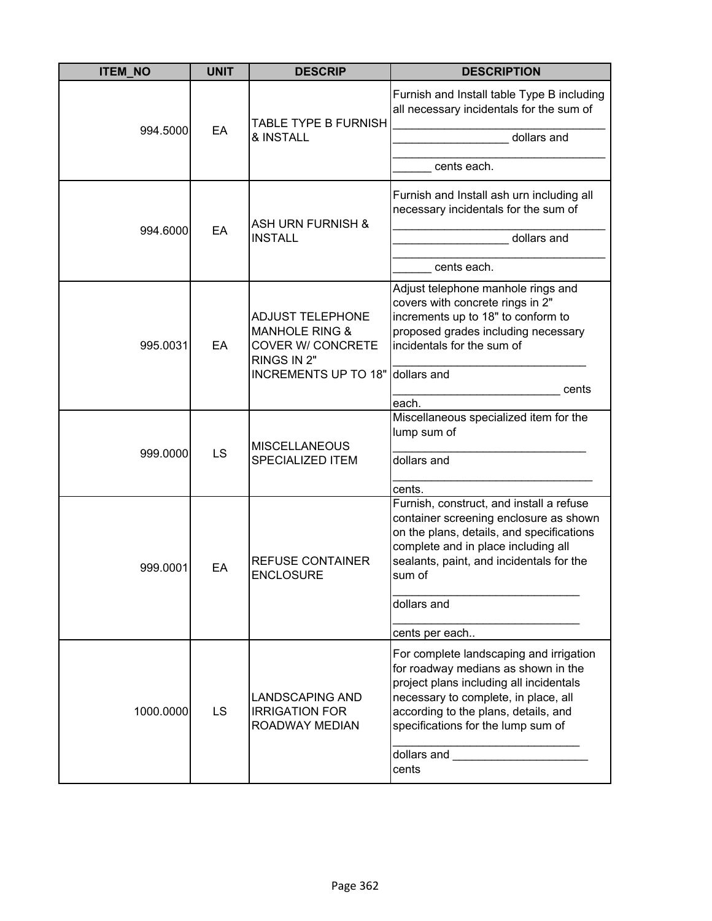| <b>ITEM_NO</b> | <b>UNIT</b> | <b>DESCRIP</b>                                                                                                                      | <b>DESCRIPTION</b>                                                                                                                                                                                                                              |
|----------------|-------------|-------------------------------------------------------------------------------------------------------------------------------------|-------------------------------------------------------------------------------------------------------------------------------------------------------------------------------------------------------------------------------------------------|
| 994.5000       | EA          | TABLE TYPE B FURNISH<br>& INSTALL                                                                                                   | Furnish and Install table Type B including<br>all necessary incidentals for the sum of<br>dollars and<br>cents each.                                                                                                                            |
|                |             |                                                                                                                                     |                                                                                                                                                                                                                                                 |
| 994.6000       | EA          | <b>ASH URN FURNISH &amp;</b>                                                                                                        | Furnish and Install ash urn including all<br>necessary incidentals for the sum of                                                                                                                                                               |
|                |             | <b>INSTALL</b>                                                                                                                      | dollars and                                                                                                                                                                                                                                     |
|                |             |                                                                                                                                     | cents each.                                                                                                                                                                                                                                     |
| 995.0031       | EA          | <b>ADJUST TELEPHONE</b><br><b>MANHOLE RING &amp;</b><br><b>COVER W/ CONCRETE</b><br>RINGS IN 2"<br>INCREMENTS UP TO 18" dollars and | Adjust telephone manhole rings and<br>covers with concrete rings in 2"<br>increments up to 18" to conform to<br>proposed grades including necessary<br>incidentals for the sum of<br>cents                                                      |
|                |             |                                                                                                                                     | each.                                                                                                                                                                                                                                           |
| 999.0000       | LS          | <b>MISCELLANEOUS</b><br><b>SPECIALIZED ITEM</b>                                                                                     | Miscellaneous specialized item for the<br>lump sum of<br>dollars and                                                                                                                                                                            |
|                |             |                                                                                                                                     | cents.                                                                                                                                                                                                                                          |
| 999.0001       | EA          | <b>REFUSE CONTAINER</b><br><b>ENCLOSURE</b>                                                                                         | Furnish, construct, and install a refuse<br>container screening enclosure as shown<br>on the plans, details, and specifications<br>complete and in place including all<br>sealants, paint, and incidentals for the<br>sum of<br>dollars and     |
|                |             |                                                                                                                                     |                                                                                                                                                                                                                                                 |
|                |             |                                                                                                                                     | cents per each                                                                                                                                                                                                                                  |
| 1000.0000      | <b>LS</b>   | <b>LANDSCAPING AND</b><br><b>IRRIGATION FOR</b><br>ROADWAY MEDIAN                                                                   | For complete landscaping and irrigation<br>for roadway medians as shown in the<br>project plans including all incidentals<br>necessary to complete, in place, all<br>according to the plans, details, and<br>specifications for the lump sum of |
|                |             |                                                                                                                                     | dollars and<br>cents                                                                                                                                                                                                                            |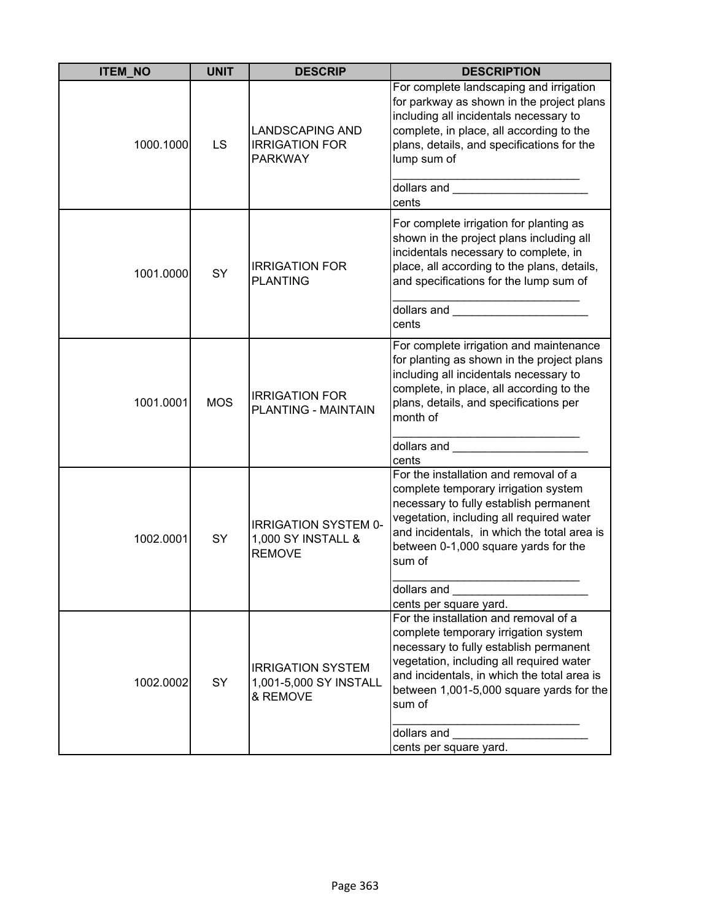| <b>ITEM NO</b> | <b>UNIT</b> | <b>DESCRIP</b>                                                     | <b>DESCRIPTION</b>                                                                                                                                                                                                                                                                                                                                                                                                                                                                 |
|----------------|-------------|--------------------------------------------------------------------|------------------------------------------------------------------------------------------------------------------------------------------------------------------------------------------------------------------------------------------------------------------------------------------------------------------------------------------------------------------------------------------------------------------------------------------------------------------------------------|
| 1000.1000      | LS          | <b>LANDSCAPING AND</b><br><b>IRRIGATION FOR</b><br><b>PARKWAY</b>  | For complete landscaping and irrigation<br>for parkway as shown in the project plans<br>including all incidentals necessary to<br>complete, in place, all according to the<br>plans, details, and specifications for the<br>lump sum of<br>dollars and _________________________                                                                                                                                                                                                   |
|                |             |                                                                    | cents                                                                                                                                                                                                                                                                                                                                                                                                                                                                              |
| 1001.0000      | SY          | <b>IRRIGATION FOR</b><br><b>PLANTING</b>                           | For complete irrigation for planting as<br>shown in the project plans including all<br>incidentals necessary to complete, in<br>place, all according to the plans, details,<br>and specifications for the lump sum of<br>dollars and _________________________<br>cents                                                                                                                                                                                                            |
| 1001.0001      | <b>MOS</b>  | <b>IRRIGATION FOR</b><br>PLANTING - MAINTAIN                       | For complete irrigation and maintenance<br>for planting as shown in the project plans<br>including all incidentals necessary to<br>complete, in place, all according to the<br>plans, details, and specifications per<br>month of<br>dollars and <b>contract the contract of the contract of the contract of the contract of the contract of the contract of the contract of the contract of the contract of the contract of the contract of the contract of the cont</b><br>cents |
| 1002.0001      | SY          | <b>IRRIGATION SYSTEM 0-</b><br>1,000 SY INSTALL &<br><b>REMOVE</b> | For the installation and removal of a<br>complete temporary irrigation system<br>necessary to fully establish permanent<br>vegetation, including all required water<br>and incidentals, in which the total area is<br>between 0-1,000 square yards for the<br>sum of<br>dollars and<br>cents per square yard.                                                                                                                                                                      |
| 1002.0002      | SY          | <b>IRRIGATION SYSTEM</b><br>1,001-5,000 SY INSTALL<br>& REMOVE     | For the installation and removal of a<br>complete temporary irrigation system<br>necessary to fully establish permanent<br>vegetation, including all required water<br>and incidentals, in which the total area is<br>between 1,001-5,000 square yards for the<br>sum of<br>dollars and<br>cents per square yard.                                                                                                                                                                  |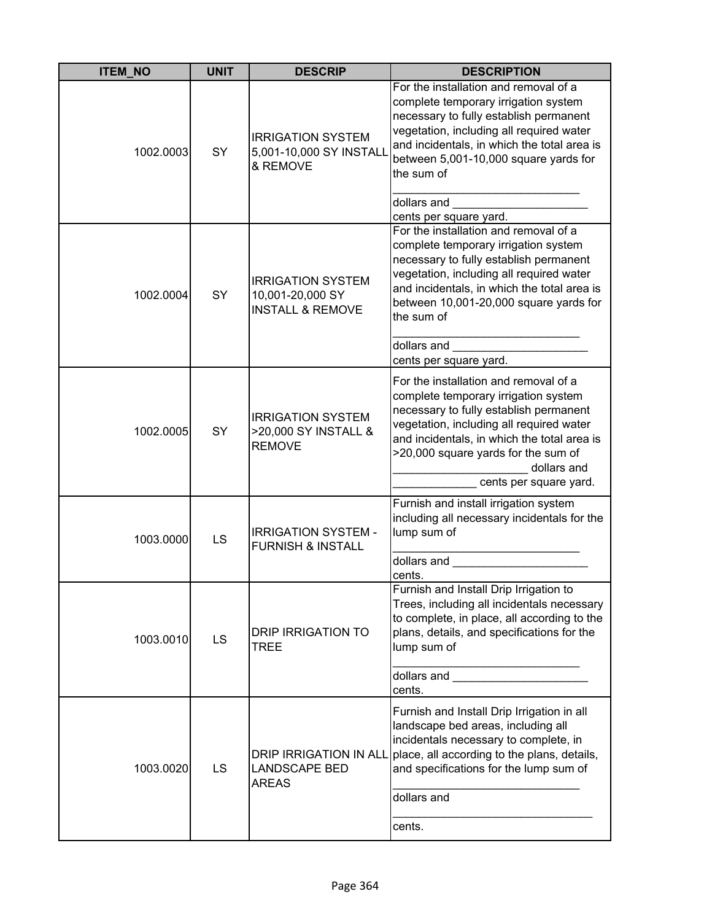| <b>ITEM_NO</b> | <b>UNIT</b> | <b>DESCRIP</b>                                                              | <b>DESCRIPTION</b>                                                                                                                                                                                                                                                                                                           |
|----------------|-------------|-----------------------------------------------------------------------------|------------------------------------------------------------------------------------------------------------------------------------------------------------------------------------------------------------------------------------------------------------------------------------------------------------------------------|
| 1002.0003      | SY          | <b>IRRIGATION SYSTEM</b><br>5,001-10,000 SY INSTALL<br>& REMOVE             | For the installation and removal of a<br>complete temporary irrigation system<br>necessary to fully establish permanent<br>vegetation, including all required water<br>and incidentals, in which the total area is<br>between 5,001-10,000 square yards for<br>the sum of<br>dollars and<br>cents per square yard.           |
| 1002.0004      | SY          | <b>IRRIGATION SYSTEM</b><br>10,001-20,000 SY<br><b>INSTALL &amp; REMOVE</b> | For the installation and removal of a<br>complete temporary irrigation system<br>necessary to fully establish permanent<br>vegetation, including all required water<br>and incidentals, in which the total area is<br>between 10,001-20,000 square yards for<br>the sum of<br>dollars and                                    |
| 1002.0005      | SY          | <b>IRRIGATION SYSTEM</b><br>>20,000 SY INSTALL &<br><b>REMOVE</b>           | cents per square yard.<br>For the installation and removal of a<br>complete temporary irrigation system<br>necessary to fully establish permanent<br>vegetation, including all required water<br>and incidentals, in which the total area is<br>>20,000 square yards for the sum of<br>dollars and<br>cents per square yard. |
| 1003.0000      | LS          | <b>IRRIGATION SYSTEM -</b><br><b>FURNISH &amp; INSTALL</b>                  | Furnish and install irrigation system<br>including all necessary incidentals for the<br>lump sum of<br>dollars and<br>cents.                                                                                                                                                                                                 |
| 1003.0010      | LS          | <b>DRIP IRRIGATION TO</b><br><b>TREE</b>                                    | Furnish and Install Drip Irrigation to<br>Trees, including all incidentals necessary<br>to complete, in place, all according to the<br>plans, details, and specifications for the<br>lump sum of<br>dollars and ________________________<br>cents.                                                                           |
| 1003.0020      | LS          | <b>DRIP IRRIGATION IN ALL</b><br><b>LANDSCAPE BED</b><br><b>AREAS</b>       | Furnish and Install Drip Irrigation in all<br>landscape bed areas, including all<br>incidentals necessary to complete, in<br>place, all according to the plans, details,<br>and specifications for the lump sum of<br>dollars and<br>cents.                                                                                  |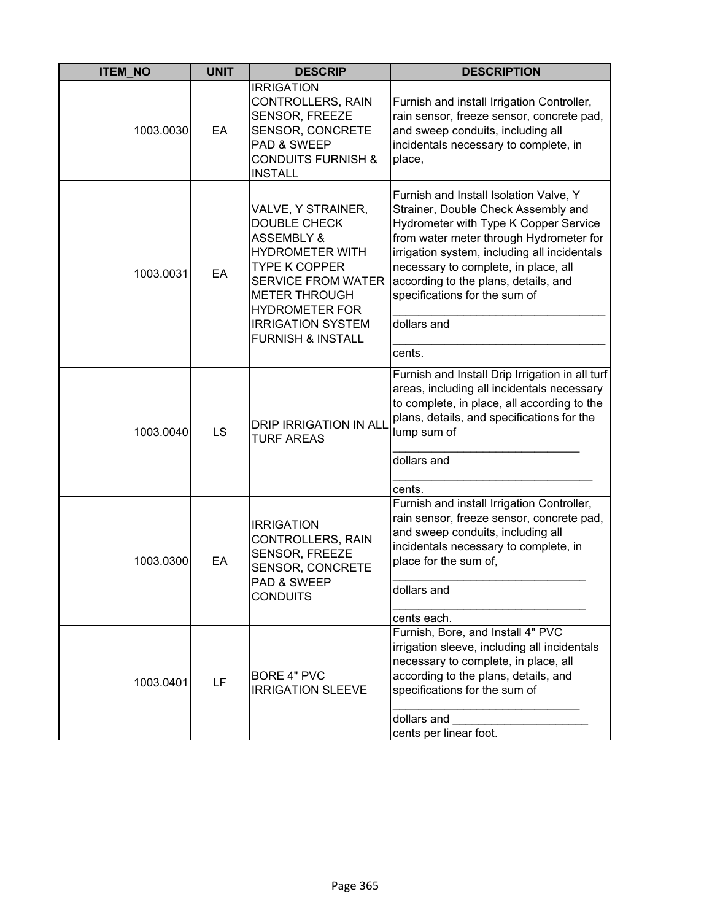| <b>ITEM_NO</b> | <b>UNIT</b> | <b>DESCRIP</b>                                                                                                                                                                                                                                                 | <b>DESCRIPTION</b>                                                                                                                                                                                                                                                                                                                                |
|----------------|-------------|----------------------------------------------------------------------------------------------------------------------------------------------------------------------------------------------------------------------------------------------------------------|---------------------------------------------------------------------------------------------------------------------------------------------------------------------------------------------------------------------------------------------------------------------------------------------------------------------------------------------------|
| 1003.0030      | EA          | <b>IRRIGATION</b><br><b>CONTROLLERS, RAIN</b><br>SENSOR, FREEZE<br>SENSOR, CONCRETE<br>PAD & SWEEP<br><b>CONDUITS FURNISH &amp;</b><br><b>INSTALL</b>                                                                                                          | Furnish and install Irrigation Controller,<br>rain sensor, freeze sensor, concrete pad,<br>and sweep conduits, including all<br>incidentals necessary to complete, in<br>place,                                                                                                                                                                   |
| 1003.0031      | EA          | VALVE, Y STRAINER,<br><b>DOUBLE CHECK</b><br><b>ASSEMBLY &amp;</b><br><b>HYDROMETER WITH</b><br><b>TYPE K COPPER</b><br><b>SERVICE FROM WATER</b><br><b>METER THROUGH</b><br><b>HYDROMETER FOR</b><br><b>IRRIGATION SYSTEM</b><br><b>FURNISH &amp; INSTALL</b> | Furnish and Install Isolation Valve, Y<br>Strainer, Double Check Assembly and<br>Hydrometer with Type K Copper Service<br>from water meter through Hydrometer for<br>irrigation system, including all incidentals<br>necessary to complete, in place, all<br>according to the plans, details, and<br>specifications for the sum of<br>dollars and |
|                |             |                                                                                                                                                                                                                                                                | cents.                                                                                                                                                                                                                                                                                                                                            |
| 1003.0040      | LS          | <b>DRIP IRRIGATION IN ALL</b><br><b>TURF AREAS</b>                                                                                                                                                                                                             | Furnish and Install Drip Irrigation in all turf<br>areas, including all incidentals necessary<br>to complete, in place, all according to the<br>plans, details, and specifications for the<br>lump sum of<br>dollars and<br>cents.                                                                                                                |
| 1003.0300      | EA          | <b>IRRIGATION</b><br>CONTROLLERS, RAIN<br>SENSOR, FREEZE<br><b>SENSOR, CONCRETE</b><br>PAD & SWEEP<br><b>CONDUITS</b>                                                                                                                                          | Furnish and install Irrigation Controller,<br>rain sensor, freeze sensor, concrete pad,<br>and sweep conduits, including all<br>incidentals necessary to complete, in<br>place for the sum of.<br>dollars and<br>cents each.                                                                                                                      |
| 1003.0401      | LF          | <b>BORE 4" PVC</b><br><b>IRRIGATION SLEEVE</b>                                                                                                                                                                                                                 | Furnish, Bore, and Install 4" PVC<br>irrigation sleeve, including all incidentals<br>necessary to complete, in place, all<br>according to the plans, details, and<br>specifications for the sum of<br>dollars and<br>cents per linear foot.                                                                                                       |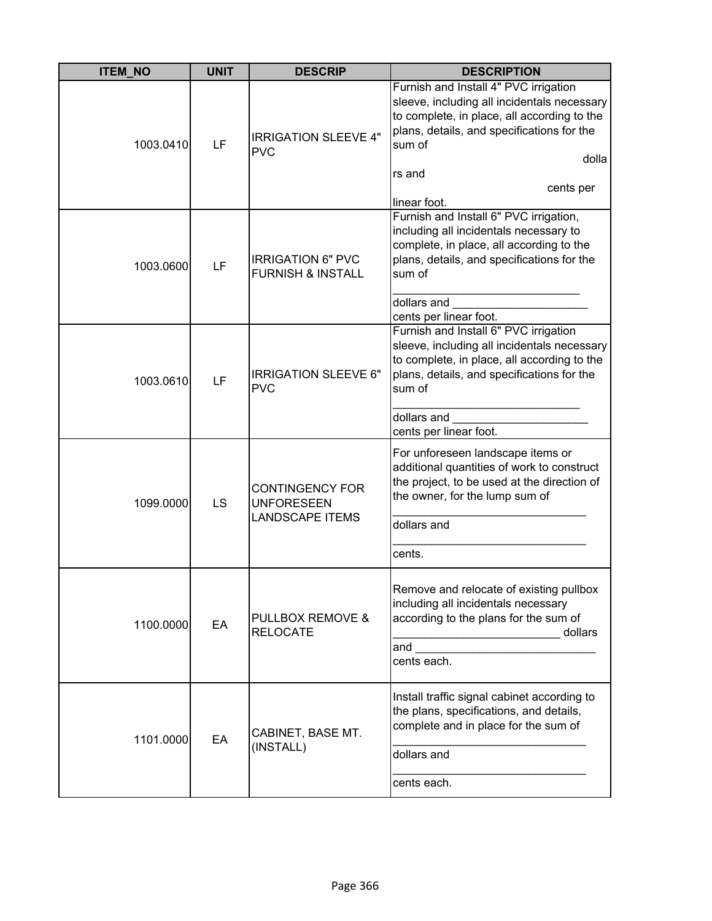| <b>ITEM_NO</b> | <b>UNIT</b> | <b>DESCRIP</b>                                                        | <b>DESCRIPTION</b>                                                                                                                                                                                                                          |
|----------------|-------------|-----------------------------------------------------------------------|---------------------------------------------------------------------------------------------------------------------------------------------------------------------------------------------------------------------------------------------|
| 1003.0410      | LF          | <b>IRRIGATION SLEEVE 4"</b><br><b>PVC</b>                             | Furnish and Install 4" PVC irrigation<br>sleeve, including all incidentals necessary<br>to complete, in place, all according to the<br>plans, details, and specifications for the<br>sum of<br>dolla<br>rs and<br>cents per<br>linear foot. |
| 1003.0600      | LF          | <b>IRRIGATION 6" PVC</b><br><b>FURNISH &amp; INSTALL</b>              | Furnish and Install 6" PVC irrigation,<br>including all incidentals necessary to<br>complete, in place, all according to the<br>plans, details, and specifications for the<br>sum of<br>dollars and<br>cents per linear foot.               |
| 1003.0610      | LF          | <b>IRRIGATION SLEEVE 6"</b><br><b>PVC</b>                             | Furnish and Install 6" PVC irrigation<br>sleeve, including all incidentals necessary<br>to complete, in place, all according to the<br>plans, details, and specifications for the<br>sum of<br>dollars and<br>cents per linear foot.        |
| 1099.0000      | LS          | <b>CONTINGENCY FOR</b><br><b>UNFORESEEN</b><br><b>LANDSCAPE ITEMS</b> | For unforeseen landscape items or<br>additional quantities of work to construct<br>the project, to be used at the direction of<br>the owner, for the lump sum of<br>dollars and<br>cents.                                                   |
| 1100.0000      | EA          | PULLBOX REMOVE &<br><b>RELOCATE</b>                                   | Remove and relocate of existing pullbox<br>including all incidentals necessary<br>according to the plans for the sum of<br>dollars<br>and<br>cents each.                                                                                    |
| 1101.0000      | EA          | CABINET, BASE MT.<br>(INSTALL)                                        | Install traffic signal cabinet according to<br>the plans, specifications, and details,<br>complete and in place for the sum of<br>dollars and<br>cents each.                                                                                |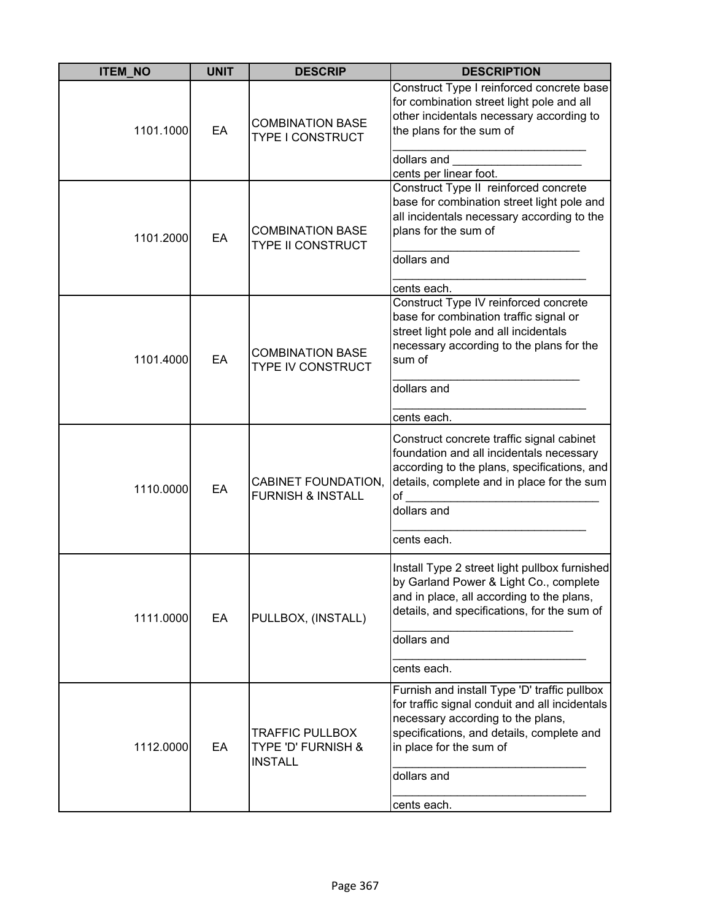| <b>ITEM_NO</b> | <b>UNIT</b> | <b>DESCRIP</b>                                                 | <b>DESCRIPTION</b>                                                                                                                                                                                                                        |
|----------------|-------------|----------------------------------------------------------------|-------------------------------------------------------------------------------------------------------------------------------------------------------------------------------------------------------------------------------------------|
| 1101.1000      | EA          | <b>COMBINATION BASE</b><br>TYPE I CONSTRUCT                    | Construct Type I reinforced concrete base<br>for combination street light pole and all<br>other incidentals necessary according to<br>the plans for the sum of<br>dollars and<br>cents per linear foot.                                   |
| 1101.2000      | EA          | <b>COMBINATION BASE</b><br><b>TYPE II CONSTRUCT</b>            | Construct Type II reinforced concrete<br>base for combination street light pole and<br>all incidentals necessary according to the<br>plans for the sum of<br>dollars and<br>cents each.                                                   |
| 1101.4000      | EA          | <b>COMBINATION BASE</b><br>TYPE IV CONSTRUCT                   | Construct Type IV reinforced concrete<br>base for combination traffic signal or<br>street light pole and all incidentals<br>necessary according to the plans for the<br>sum of<br>dollars and<br>cents each.                              |
| 1110.0000      | EA          | <b>CABINET FOUNDATION,</b><br><b>FURNISH &amp; INSTALL</b>     | Construct concrete traffic signal cabinet<br>foundation and all incidentals necessary<br>according to the plans, specifications, and<br>details, complete and in place for the sum<br>of<br>dollars and<br>cents each.                    |
| 1111.0000      | EA          | PULLBOX, (INSTALL)                                             | Install Type 2 street light pullbox furnished<br>by Garland Power & Light Co., complete<br>and in place, all according to the plans,<br>details, and specifications, for the sum of<br>dollars and<br>cents each.                         |
| 1112.0000      | EA          | <b>TRAFFIC PULLBOX</b><br>TYPE 'D' FURNISH &<br><b>INSTALL</b> | Furnish and install Type 'D' traffic pullbox<br>for traffic signal conduit and all incidentals<br>necessary according to the plans,<br>specifications, and details, complete and<br>in place for the sum of<br>dollars and<br>cents each. |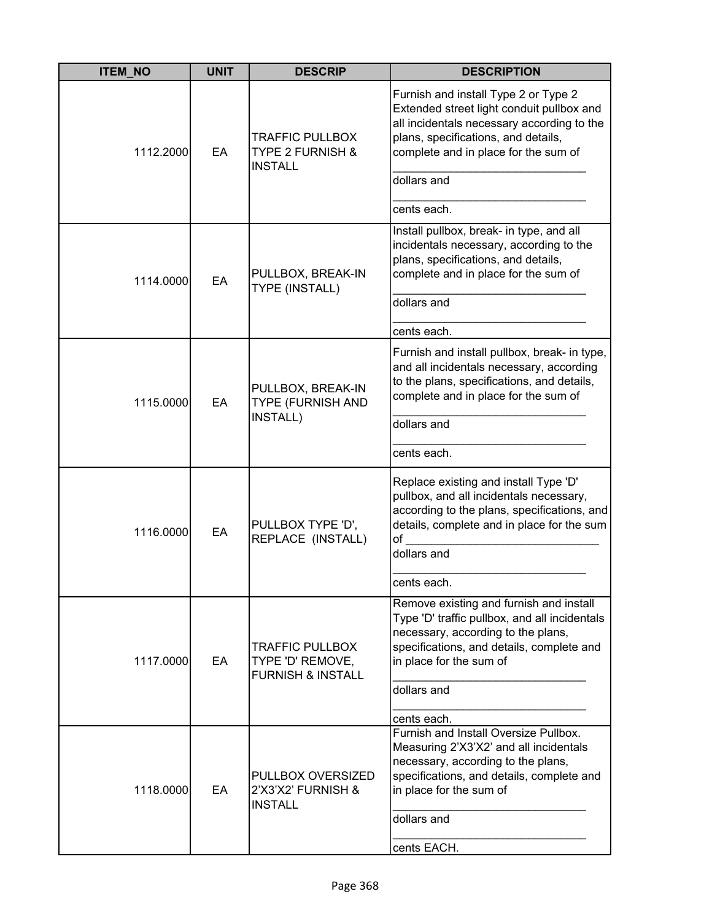| <b>ITEM NO</b> | <b>UNIT</b> | <b>DESCRIP</b>                                                             | <b>DESCRIPTION</b>                                                                                                                                                                                             |
|----------------|-------------|----------------------------------------------------------------------------|----------------------------------------------------------------------------------------------------------------------------------------------------------------------------------------------------------------|
| 1112.2000      | EA          | <b>TRAFFIC PULLBOX</b><br><b>TYPE 2 FURNISH &amp;</b><br><b>INSTALL</b>    | Furnish and install Type 2 or Type 2<br>Extended street light conduit pullbox and<br>all incidentals necessary according to the<br>plans, specifications, and details,<br>complete and in place for the sum of |
|                |             |                                                                            | dollars and                                                                                                                                                                                                    |
|                |             |                                                                            | cents each.                                                                                                                                                                                                    |
| 1114.0000      | EA          | PULLBOX, BREAK-IN<br><b>TYPE (INSTALL)</b>                                 | Install pullbox, break- in type, and all<br>incidentals necessary, according to the<br>plans, specifications, and details,<br>complete and in place for the sum of<br>dollars and                              |
|                |             |                                                                            |                                                                                                                                                                                                                |
|                |             |                                                                            | cents each.                                                                                                                                                                                                    |
| 1115.0000      | EA          | PULLBOX, BREAK-IN<br>TYPE (FURNISH AND<br>INSTALL)                         | Furnish and install pullbox, break- in type,<br>and all incidentals necessary, according<br>to the plans, specifications, and details,<br>complete and in place for the sum of                                 |
|                |             |                                                                            | dollars and                                                                                                                                                                                                    |
|                |             |                                                                            | cents each.                                                                                                                                                                                                    |
| 1116.0000      | EA          | PULLBOX TYPE 'D',<br>REPLACE (INSTALL)                                     | Replace existing and install Type 'D'<br>pullbox, and all incidentals necessary,<br>according to the plans, specifications, and<br>details, complete and in place for the sum<br>of<br>dollars and             |
|                |             |                                                                            |                                                                                                                                                                                                                |
|                |             |                                                                            | cents each.                                                                                                                                                                                                    |
| 1117.0000      | EA          | <b>TRAFFIC PULLBOX</b><br>TYPE 'D' REMOVE,<br><b>FURNISH &amp; INSTALL</b> | Remove existing and furnish and install<br>Type 'D' traffic pullbox, and all incidentals<br>necessary, according to the plans,<br>specifications, and details, complete and<br>in place for the sum of         |
|                |             |                                                                            | dollars and                                                                                                                                                                                                    |
|                |             |                                                                            | cents each.                                                                                                                                                                                                    |
| 1118.0000      | EA          | PULLBOX OVERSIZED<br>2'X3'X2' FURNISH &<br><b>INSTALL</b>                  | Furnish and Install Oversize Pullbox.<br>Measuring 2'X3'X2' and all incidentals<br>necessary, according to the plans,<br>specifications, and details, complete and<br>in place for the sum of<br>dollars and   |
|                |             |                                                                            | cents EACH.                                                                                                                                                                                                    |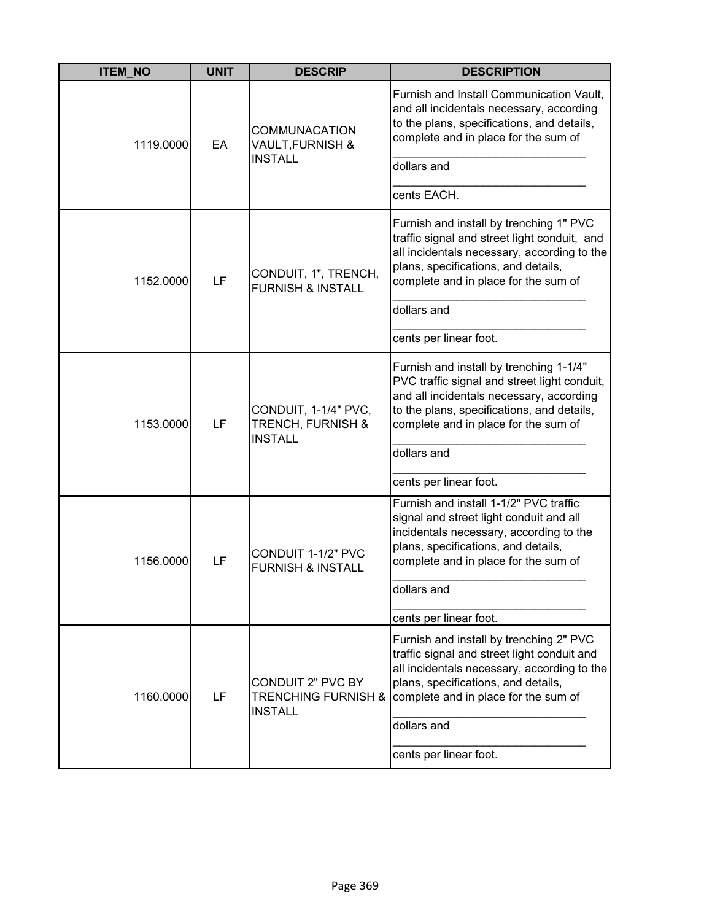| <b>ITEM_NO</b> | <b>UNIT</b> | <b>DESCRIP</b>                                                               | <b>DESCRIPTION</b>                                                                                                                                                                                                                       |
|----------------|-------------|------------------------------------------------------------------------------|------------------------------------------------------------------------------------------------------------------------------------------------------------------------------------------------------------------------------------------|
| 1119.0000      | EA          | <b>COMMUNACATION</b><br><b>VAULT, FURNISH &amp;</b>                          | Furnish and Install Communication Vault,<br>and all incidentals necessary, according<br>to the plans, specifications, and details,<br>complete and in place for the sum of                                                               |
|                |             | <b>INSTALL</b>                                                               | dollars and                                                                                                                                                                                                                              |
|                |             |                                                                              | cents EACH.                                                                                                                                                                                                                              |
| 1152.0000      | LF          | CONDUIT, 1", TRENCH,<br><b>FURNISH &amp; INSTALL</b>                         | Furnish and install by trenching 1" PVC<br>traffic signal and street light conduit, and<br>all incidentals necessary, according to the<br>plans, specifications, and details,<br>complete and in place for the sum of                    |
|                |             |                                                                              | dollars and                                                                                                                                                                                                                              |
|                |             |                                                                              | cents per linear foot.                                                                                                                                                                                                                   |
| 1153.0000      | LF          | CONDUIT, 1-1/4" PVC,<br>TRENCH, FURNISH &<br><b>INSTALL</b>                  | Furnish and install by trenching 1-1/4"<br>PVC traffic signal and street light conduit,<br>and all incidentals necessary, according<br>to the plans, specifications, and details,<br>complete and in place for the sum of<br>dollars and |
|                |             |                                                                              | cents per linear foot.                                                                                                                                                                                                                   |
| 1156.0000      | LF          | CONDUIT 1-1/2" PVC<br><b>FURNISH &amp; INSTALL</b>                           | Furnish and install 1-1/2" PVC traffic<br>signal and street light conduit and all<br>incidentals necessary, according to the<br>plans, specifications, and details,<br>complete and in place for the sum of<br>dollars and               |
|                |             |                                                                              | cents per linear foot.                                                                                                                                                                                                                   |
| 1160.0000      | LF          | <b>CONDUIT 2" PVC BY</b><br><b>TRENCHING FURNISH &amp;</b><br><b>INSTALL</b> | Furnish and install by trenching 2" PVC<br>traffic signal and street light conduit and<br>all incidentals necessary, according to the<br>plans, specifications, and details,<br>complete and in place for the sum of<br>dollars and      |
|                |             |                                                                              | cents per linear foot.                                                                                                                                                                                                                   |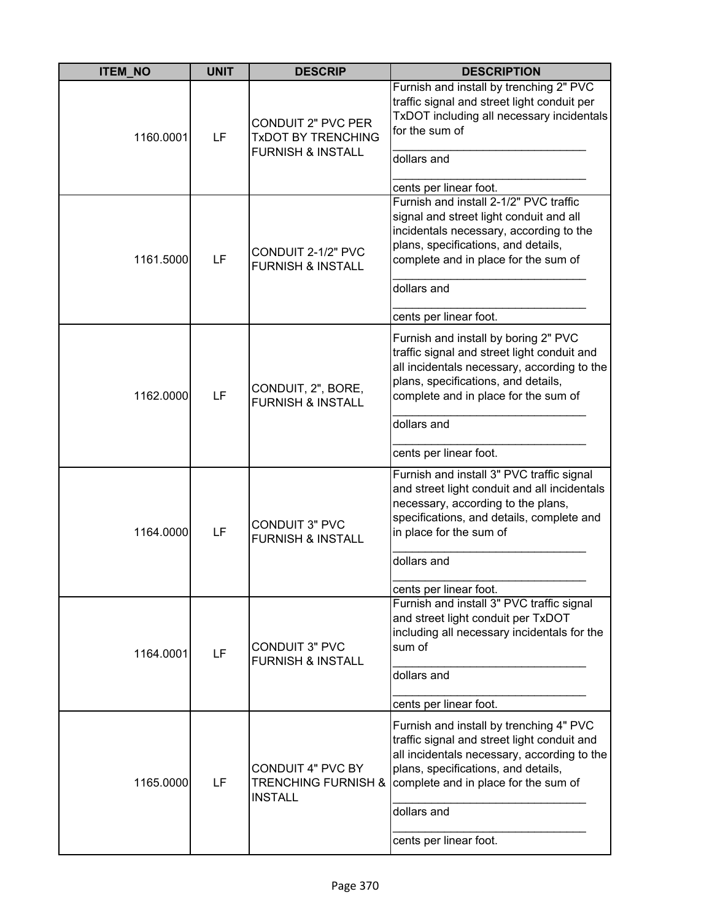| <b>ITEM_NO</b> | <b>UNIT</b> | <b>DESCRIP</b>                                                                  | <b>DESCRIPTION</b>                                                                                                                                                                                                                                            |
|----------------|-------------|---------------------------------------------------------------------------------|---------------------------------------------------------------------------------------------------------------------------------------------------------------------------------------------------------------------------------------------------------------|
| 1160.0001      | LF          | CONDUIT 2" PVC PER<br><b>TXDOT BY TRENCHING</b><br><b>FURNISH &amp; INSTALL</b> | Furnish and install by trenching 2" PVC<br>traffic signal and street light conduit per<br>TxDOT including all necessary incidentals<br>for the sum of<br>dollars and<br>cents per linear foot.                                                                |
| 1161.5000      | LF          | CONDUIT 2-1/2" PVC<br><b>FURNISH &amp; INSTALL</b>                              | Furnish and install 2-1/2" PVC traffic<br>signal and street light conduit and all<br>incidentals necessary, according to the<br>plans, specifications, and details,<br>complete and in place for the sum of<br>dollars and<br>cents per linear foot.          |
| 1162.0000      | LF          | CONDUIT, 2", BORE,<br><b>FURNISH &amp; INSTALL</b>                              | Furnish and install by boring 2" PVC<br>traffic signal and street light conduit and<br>all incidentals necessary, according to the<br>plans, specifications, and details,<br>complete and in place for the sum of<br>dollars and<br>cents per linear foot.    |
| 1164.0000      | LF          | <b>CONDUIT 3" PVC</b><br><b>FURNISH &amp; INSTALL</b>                           | Furnish and install 3" PVC traffic signal<br>and street light conduit and all incidentals<br>necessary, according to the plans,<br>specifications, and details, complete and<br>in place for the sum of<br>dollars and<br>cents per linear foot.              |
| 1164.0001      | LF          | <b>CONDUIT 3" PVC</b><br><b>FURNISH &amp; INSTALL</b>                           | Furnish and install 3" PVC traffic signal<br>and street light conduit per TxDOT<br>including all necessary incidentals for the<br>sum of<br>dollars and<br>cents per linear foot.                                                                             |
| 1165.0000      | LF          | <b>CONDUIT 4" PVC BY</b><br><b>TRENCHING FURNISH &amp;</b><br><b>INSTALL</b>    | Furnish and install by trenching 4" PVC<br>traffic signal and street light conduit and<br>all incidentals necessary, according to the<br>plans, specifications, and details,<br>complete and in place for the sum of<br>dollars and<br>cents per linear foot. |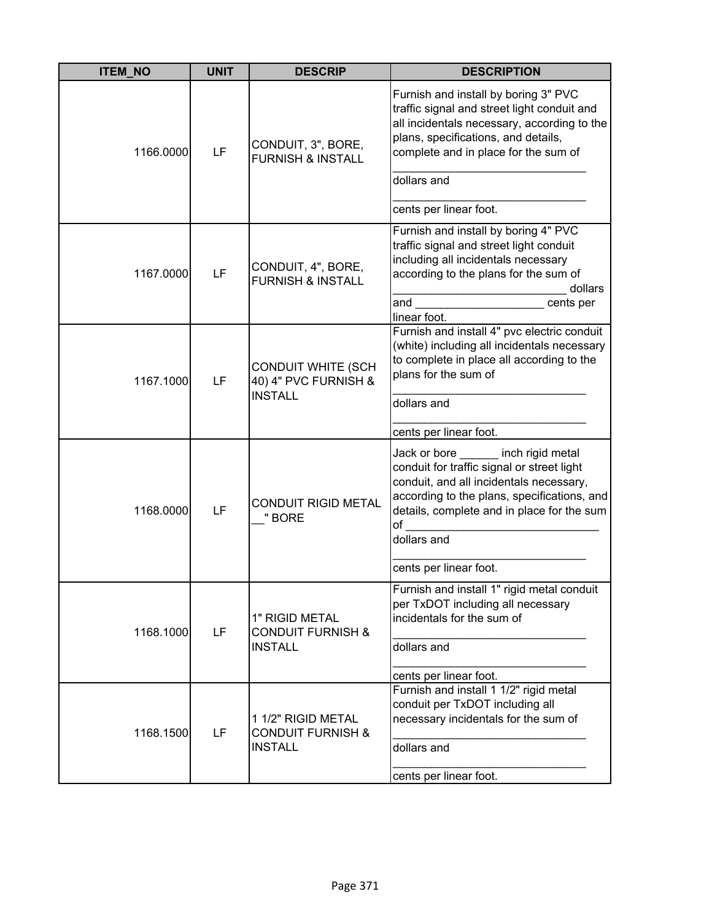| <b>ITEM_NO</b> | <b>UNIT</b> | <b>DESCRIP</b>                                                       | <b>DESCRIPTION</b>                                                                                                                                                                                                                             |
|----------------|-------------|----------------------------------------------------------------------|------------------------------------------------------------------------------------------------------------------------------------------------------------------------------------------------------------------------------------------------|
| 1166.0000      | LF          | CONDUIT, 3", BORE,<br><b>FURNISH &amp; INSTALL</b>                   | Furnish and install by boring 3" PVC<br>traffic signal and street light conduit and<br>all incidentals necessary, according to the<br>plans, specifications, and details,<br>complete and in place for the sum of<br>dollars and               |
|                |             |                                                                      | cents per linear foot.                                                                                                                                                                                                                         |
| 1167.0000      | LF          | CONDUIT, 4", BORE,<br><b>FURNISH &amp; INSTALL</b>                   | Furnish and install by boring 4" PVC<br>traffic signal and street light conduit<br>including all incidentals necessary<br>according to the plans for the sum of<br>dollars<br>and cents per<br>linear foot.                                    |
| 1167.1000      | LF          | <b>CONDUIT WHITE (SCH</b><br>40) 4" PVC FURNISH &<br><b>INSTALL</b>  | Furnish and install 4" pvc electric conduit<br>(white) including all incidentals necessary<br>to complete in place all according to the<br>plans for the sum of<br>dollars and                                                                 |
|                |             |                                                                      | cents per linear foot.                                                                                                                                                                                                                         |
| 1168.0000      | LF          | <b>CONDUIT RIGID METAL</b><br>" BORE                                 | Jack or bore _____ inch rigid metal<br>conduit for traffic signal or street light<br>conduit, and all incidentals necessary,<br>according to the plans, specifications, and<br>details, complete and in place for the sum<br>of<br>dollars and |
|                |             |                                                                      | cents per linear foot.                                                                                                                                                                                                                         |
| 1168.1000      | LF          | 1" RIGID METAL<br><b>CONDUIT FURNISH &amp;</b><br><b>INSTALL</b>     | Furnish and install 1" rigid metal conduit<br>per TxDOT including all necessary<br>incidentals for the sum of<br>dollars and                                                                                                                   |
| 1168.1500      | LF          | 1 1/2" RIGID METAL<br><b>CONDUIT FURNISH &amp;</b><br><b>INSTALL</b> | cents per linear foot.<br>Furnish and install 1 1/2" rigid metal<br>conduit per TxDOT including all<br>necessary incidentals for the sum of<br>dollars and<br>cents per linear foot.                                                           |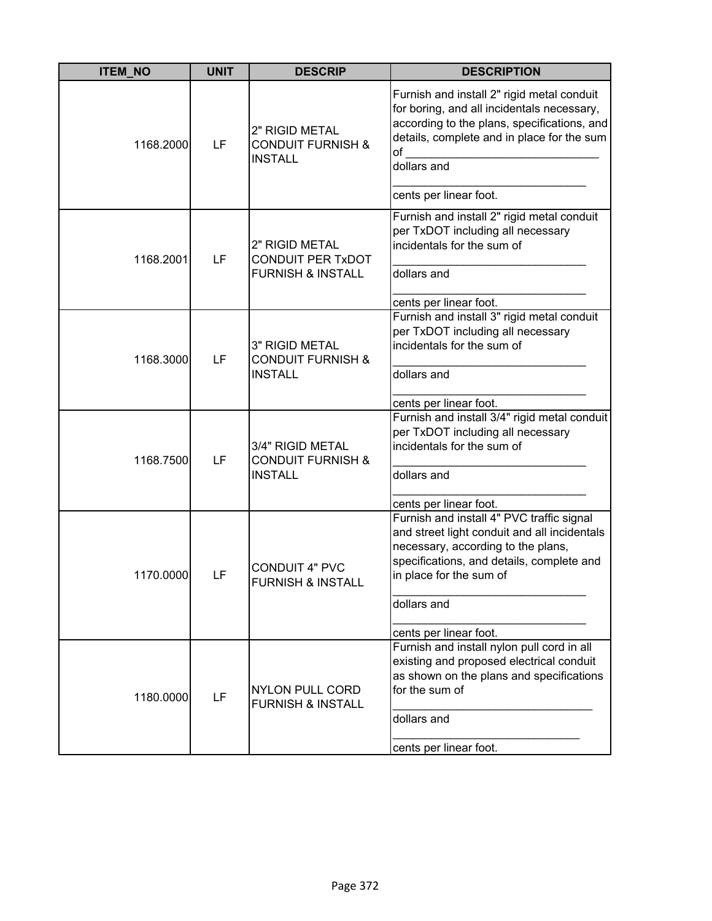| <b>ITEM_NO</b> | <b>UNIT</b> | <b>DESCRIP</b>                                                             | <b>DESCRIPTION</b>                                                                                                                                                                                                                               |
|----------------|-------------|----------------------------------------------------------------------------|--------------------------------------------------------------------------------------------------------------------------------------------------------------------------------------------------------------------------------------------------|
| 1168.2000      | LF          | 2" RIGID METAL<br><b>CONDUIT FURNISH &amp;</b><br><b>INSTALL</b>           | Furnish and install 2" rigid metal conduit<br>for boring, and all incidentals necessary,<br>according to the plans, specifications, and<br>details, complete and in place for the sum<br>of<br>dollars and<br>cents per linear foot.             |
| 1168.2001      | LF          | 2" RIGID METAL<br><b>CONDUIT PER TxDOT</b><br><b>FURNISH &amp; INSTALL</b> | Furnish and install 2" rigid metal conduit<br>per TxDOT including all necessary<br>incidentals for the sum of<br>dollars and<br>cents per linear foot.                                                                                           |
| 1168.3000      | LF          | 3" RIGID METAL<br><b>CONDUIT FURNISH &amp;</b><br><b>INSTALL</b>           | Furnish and install 3" rigid metal conduit<br>per TxDOT including all necessary<br>incidentals for the sum of<br>dollars and<br>cents per linear foot.                                                                                           |
| 1168.7500      | LF          | 3/4" RIGID METAL<br><b>CONDUIT FURNISH &amp;</b><br><b>INSTALL</b>         | Furnish and install 3/4" rigid metal conduit<br>per TxDOT including all necessary<br>incidentals for the sum of<br>dollars and<br>cents per linear foot.                                                                                         |
| 1170.0000      | LF          | <b>CONDUIT 4" PVC</b><br><b>FURNISH &amp; INSTALI</b>                      | Furnish and install 4" PVC traffic signal<br>and street light conduit and all incidentals<br>necessary, according to the plans,<br>specifications, and details, complete and<br>in place for the sum of<br>dollars and<br>cents per linear foot. |
| 1180.0000      | LF          | <b>NYLON PULL CORD</b><br><b>FURNISH &amp; INSTALL</b>                     | Furnish and install nylon pull cord in all<br>existing and proposed electrical conduit<br>as shown on the plans and specifications<br>for the sum of<br>dollars and<br>cents per linear foot.                                                    |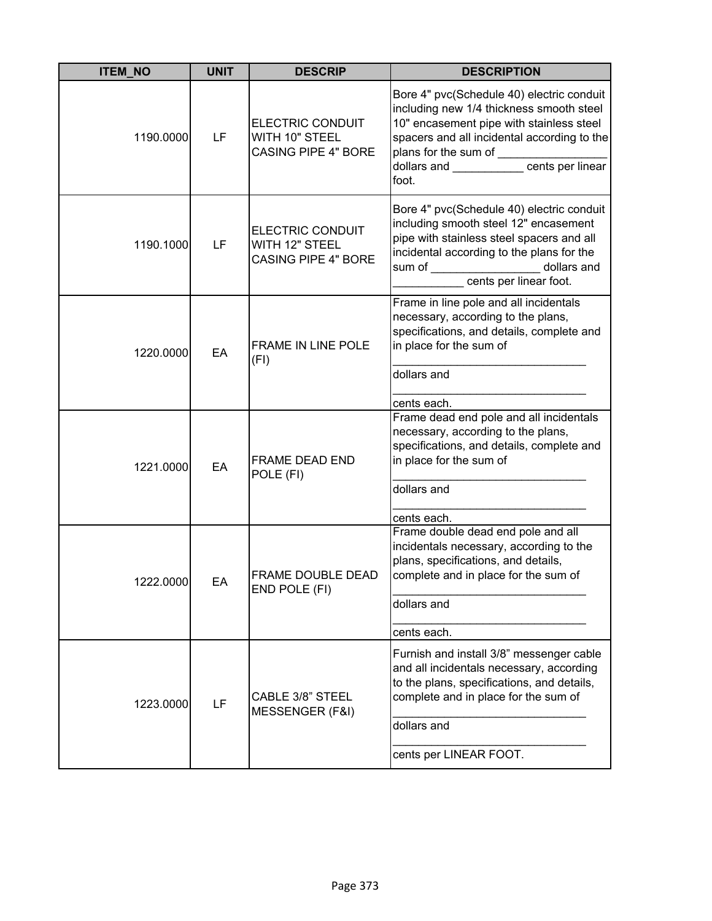| <b>ITEM_NO</b> | <b>UNIT</b> | <b>DESCRIP</b>                                                          | <b>DESCRIPTION</b>                                                                                                                                                                                                                                                             |
|----------------|-------------|-------------------------------------------------------------------------|--------------------------------------------------------------------------------------------------------------------------------------------------------------------------------------------------------------------------------------------------------------------------------|
| 1190.0000      | LF          | <b>ELECTRIC CONDUIT</b><br>WITH 10" STEEL<br><b>CASING PIPE 4" BORE</b> | Bore 4" pvc(Schedule 40) electric conduit<br>including new 1/4 thickness smooth steel<br>10" encasement pipe with stainless steel<br>spacers and all incidental according to the<br>plans for the sum of ________________<br>dollars and ___________ cents per linear<br>foot. |
| 1190.1000      | LF          | <b>ELECTRIC CONDUIT</b><br>WITH 12" STEEL<br><b>CASING PIPE 4" BORE</b> | Bore 4" pvc(Schedule 40) electric conduit<br>including smooth steel 12" encasement<br>pipe with stainless steel spacers and all<br>incidental according to the plans for the<br>dollars and<br>cents per linear foot.                                                          |
| 1220.0000      | EA          | FRAME IN LINE POLE<br>(FI)                                              | Frame in line pole and all incidentals<br>necessary, according to the plans,<br>specifications, and details, complete and<br>in place for the sum of<br>dollars and<br>cents each.                                                                                             |
| 1221.0000      | EA          | FRAME DEAD END<br>POLE (FI)                                             | Frame dead end pole and all incidentals<br>necessary, according to the plans,<br>specifications, and details, complete and<br>in place for the sum of<br>dollars and<br>cents each.                                                                                            |
| 1222.0000      | EA          | FRAME DOUBLE DEAD<br>END POLE (FI)                                      | Frame double dead end pole and all<br>incidentals necessary, according to the<br>plans, specifications, and details,<br>complete and in place for the sum of<br>dollars and<br>cents each.                                                                                     |
| 1223.0000      | LF          | <b>CABLE 3/8" STEEL</b><br>MESSENGER (F&I)                              | Furnish and install 3/8" messenger cable<br>and all incidentals necessary, according<br>to the plans, specifications, and details,<br>complete and in place for the sum of<br>dollars and<br>cents per LINEAR FOOT.                                                            |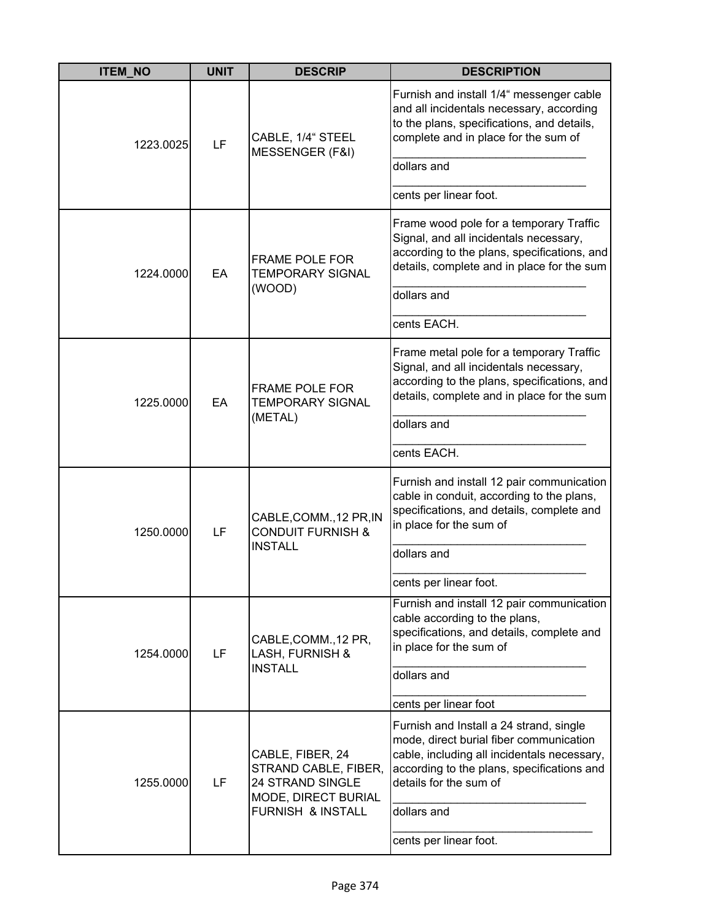| <b>ITEM_NO</b> | <b>UNIT</b> | <b>DESCRIP</b>                                                                             | <b>DESCRIPTION</b>                                                                                                                                                                                        |
|----------------|-------------|--------------------------------------------------------------------------------------------|-----------------------------------------------------------------------------------------------------------------------------------------------------------------------------------------------------------|
| 1223.0025      | LF          | CABLE, 1/4" STEEL<br>MESSENGER (F&I)                                                       | Furnish and install 1/4" messenger cable<br>and all incidentals necessary, according<br>to the plans, specifications, and details,<br>complete and in place for the sum of                                |
|                |             |                                                                                            | dollars and                                                                                                                                                                                               |
|                |             |                                                                                            | cents per linear foot.                                                                                                                                                                                    |
| 1224.0000      | EA          | <b>FRAME POLE FOR</b><br><b>TEMPORARY SIGNAL</b>                                           | Frame wood pole for a temporary Traffic<br>Signal, and all incidentals necessary,<br>according to the plans, specifications, and<br>details, complete and in place for the sum                            |
|                |             | (WOOD)                                                                                     | dollars and                                                                                                                                                                                               |
|                |             |                                                                                            | cents EACH.                                                                                                                                                                                               |
| 1225.0000      | EA          | <b>FRAME POLE FOR</b><br><b>TEMPORARY SIGNAL</b><br>(METAL)                                | Frame metal pole for a temporary Traffic<br>Signal, and all incidentals necessary,<br>according to the plans, specifications, and<br>details, complete and in place for the sum<br>dollars and            |
|                |             |                                                                                            | cents EACH.                                                                                                                                                                                               |
| 1250.0000      | LF          | CABLE, COMM., 12 PR, IN<br><b>CONDUIT FURNISH &amp;</b><br><b>INSTALL</b>                  | Furnish and install 12 pair communication<br>cable in conduit, according to the plans,<br>specifications, and details, complete and<br>in place for the sum of<br>dollars and                             |
|                |             |                                                                                            | cents per linear foot.                                                                                                                                                                                    |
| 1254.0000      | LF          | CABLE, COMM., 12 PR,<br>LASH, FURNISH &                                                    | Furnish and install 12 pair communication<br>cable according to the plans,<br>specifications, and details, complete and<br>in place for the sum of                                                        |
|                |             | <b>INSTALL</b>                                                                             | dollars and                                                                                                                                                                                               |
|                |             |                                                                                            | cents per linear foot                                                                                                                                                                                     |
| 1255.0000      | LF          | CABLE, FIBER, 24<br>STRAND CABLE, FIBER,<br>24 STRAND SINGLE<br><b>MODE, DIRECT BURIAL</b> | Furnish and Install a 24 strand, single<br>mode, direct burial fiber communication<br>cable, including all incidentals necessary,<br>according to the plans, specifications and<br>details for the sum of |
|                |             | <b>FURNISH &amp; INSTALL</b>                                                               | dollars and                                                                                                                                                                                               |
|                |             |                                                                                            | cents per linear foot.                                                                                                                                                                                    |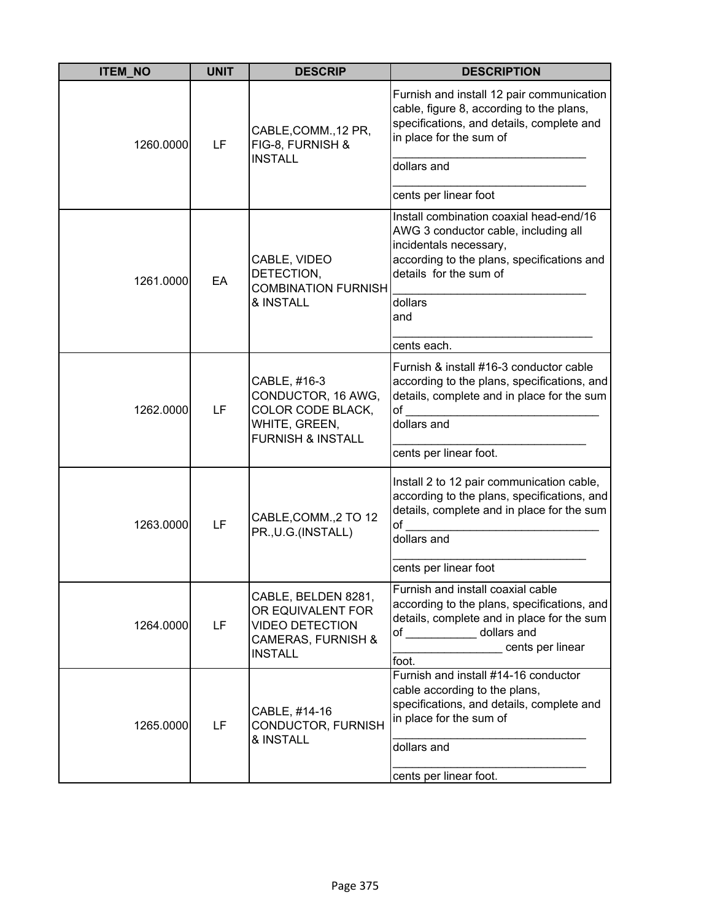| <b>ITEM_NO</b> | <b>UNIT</b> | <b>DESCRIP</b>                                                                                                        | <b>DESCRIPTION</b>                                                                                                                                                                     |
|----------------|-------------|-----------------------------------------------------------------------------------------------------------------------|----------------------------------------------------------------------------------------------------------------------------------------------------------------------------------------|
| 1260.0000      | LF          | CABLE, COMM., 12 PR,<br>FIG-8, FURNISH &<br><b>INSTALL</b>                                                            | Furnish and install 12 pair communication<br>cable, figure 8, according to the plans,<br>specifications, and details, complete and<br>in place for the sum of                          |
|                |             |                                                                                                                       | dollars and                                                                                                                                                                            |
|                |             |                                                                                                                       | cents per linear foot                                                                                                                                                                  |
| 1261.0000      | EA          | CABLE, VIDEO<br>DETECTION,<br><b>COMBINATION FURNISH</b>                                                              | Install combination coaxial head-end/16<br>AWG 3 conductor cable, including all<br>incidentals necessary,<br>according to the plans, specifications and<br>details for the sum of      |
|                |             | & INSTALL                                                                                                             | dollars<br>and                                                                                                                                                                         |
|                |             |                                                                                                                       | cents each.                                                                                                                                                                            |
| 1262.0000      | LF          | CABLE, #16-3<br>CONDUCTOR, 16 AWG,<br>COLOR CODE BLACK,<br>WHITE, GREEN,<br><b>FURNISH &amp; INSTALL</b>              | Furnish & install #16-3 conductor cable<br>according to the plans, specifications, and<br>details, complete and in place for the sum<br>of<br>dollars and<br>cents per linear foot.    |
| 1263.0000      | LF          | CABLE, COMM., 2 TO 12<br>PR., U.G. (INSTALL)                                                                          | Install 2 to 12 pair communication cable,<br>according to the plans, specifications, and<br>details, complete and in place for the sum<br>of<br>dollars and<br>cents per linear foot   |
| 1264.0000      | LF          | CABLE, BELDEN 8281,<br>OR EQUIVALENT FOR<br><b>VIDEO DETECTION</b><br><b>CAMERAS, FURNISH &amp;</b><br><b>INSTALL</b> | Furnish and install coaxial cable<br>according to the plans, specifications, and<br>details, complete and in place for the sum<br>of dollars and<br>cents per linear<br>foot.          |
| 1265.0000      | LF          | CABLE, #14-16<br>CONDUCTOR, FURNISH<br>& INSTALL                                                                      | Furnish and install #14-16 conductor<br>cable according to the plans,<br>specifications, and details, complete and<br>in place for the sum of<br>dollars and<br>cents per linear foot. |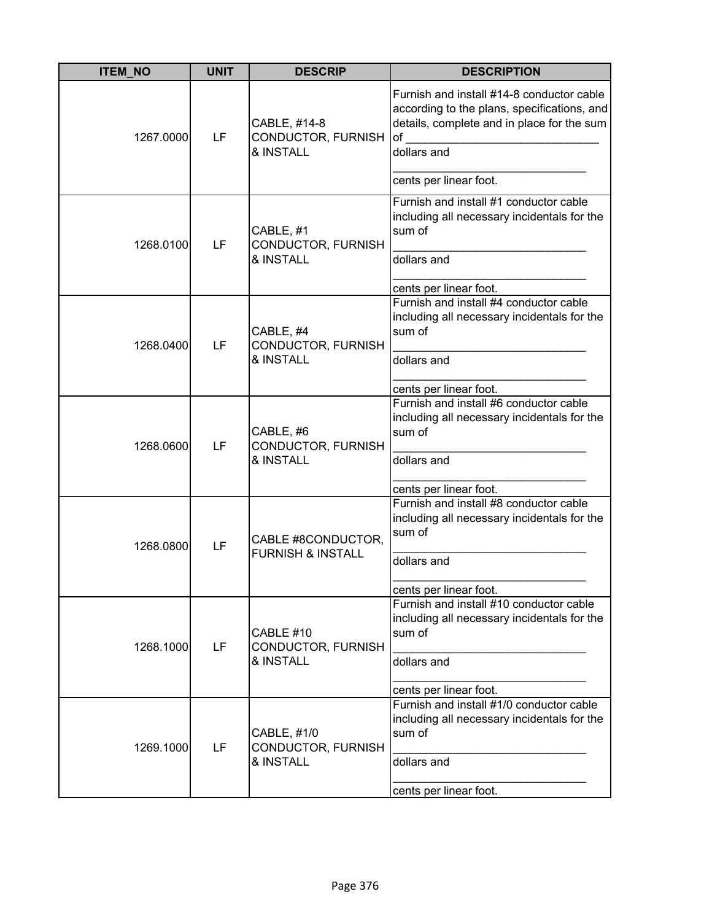| <b>ITEM_NO</b> | <b>UNIT</b> | <b>DESCRIP</b>                                     | <b>DESCRIPTION</b>                                                                                                                                                                    |
|----------------|-------------|----------------------------------------------------|---------------------------------------------------------------------------------------------------------------------------------------------------------------------------------------|
| 1267.0000      | LF          | CABLE, #14-8<br>CONDUCTOR, FURNISH<br>& INSTALL    | Furnish and install #14-8 conductor cable<br>according to the plans, specifications, and<br>details, complete and in place for the sum<br>of<br>dollars and<br>cents per linear foot. |
| 1268.0100      | LF          | CABLE, #1<br>CONDUCTOR, FURNISH<br>& INSTALL       | Furnish and install #1 conductor cable<br>including all necessary incidentals for the<br>sum of<br>dollars and<br>cents per linear foot.                                              |
| 1268.0400      | LF          | CABLE, #4<br>CONDUCTOR, FURNISH<br>& INSTALL       | Furnish and install #4 conductor cable<br>including all necessary incidentals for the<br>sum of<br>dollars and<br>cents per linear foot.                                              |
| 1268.0600      | LF          | CABLE, #6<br>CONDUCTOR, FURNISH<br>& INSTALL       | Furnish and install #6 conductor cable<br>including all necessary incidentals for the<br>sum of<br>dollars and<br>cents per linear foot.                                              |
| 1268.0800      | LF          | CABLE #8CONDUCTOR,<br><b>FURNISH &amp; INSTALL</b> | Furnish and install #8 conductor cable<br>including all necessary incidentals for the<br>sum of<br>dollars and<br>cents per linear foot.                                              |
| 1268.1000      | LF          | CABLE #10<br>CONDUCTOR, FURNISH<br>& INSTALL       | Furnish and install #10 conductor cable<br>including all necessary incidentals for the<br>sum of<br>dollars and<br>cents per linear foot.                                             |
| 1269.1000      | LF          | CABLE, #1/0<br>CONDUCTOR, FURNISH<br>& INSTALL     | Furnish and install #1/0 conductor cable<br>including all necessary incidentals for the<br>sum of<br>dollars and<br>cents per linear foot.                                            |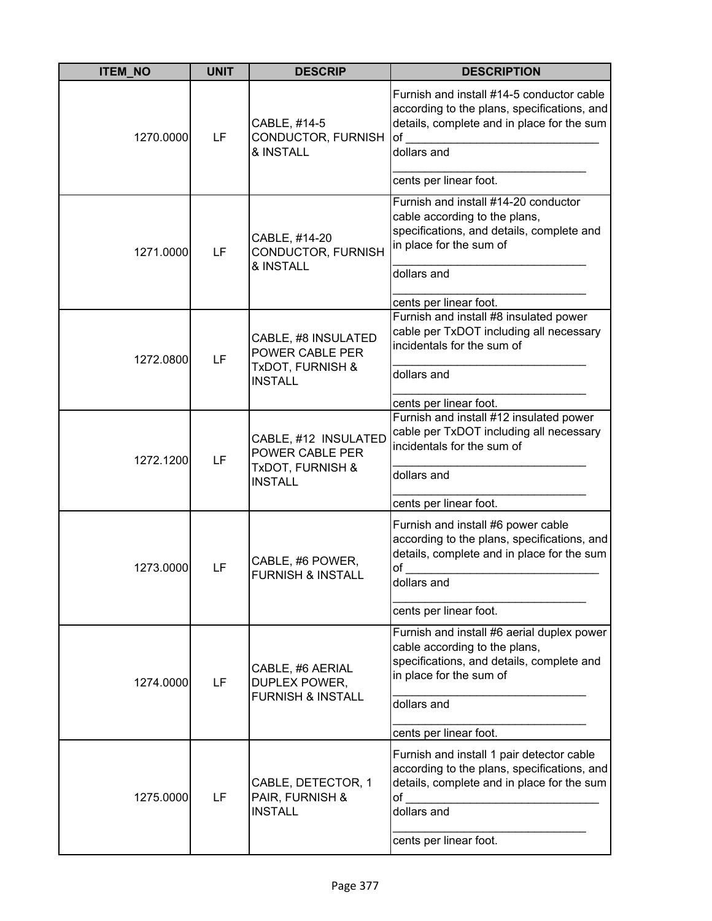| <b>ITEM_NO</b> | <b>UNIT</b> | <b>DESCRIP</b>                                                                | <b>DESCRIPTION</b>                                                                                                                                                                           |
|----------------|-------------|-------------------------------------------------------------------------------|----------------------------------------------------------------------------------------------------------------------------------------------------------------------------------------------|
| 1270.0000      | LF          | CABLE, #14-5<br>CONDUCTOR, FURNISH<br>& INSTALL                               | Furnish and install #14-5 conductor cable<br>according to the plans, specifications, and<br>details, complete and in place for the sum<br>of<br>dollars and                                  |
|                |             |                                                                               | cents per linear foot.                                                                                                                                                                       |
| 1271.0000      | LF          | CABLE, #14-20<br>CONDUCTOR, FURNISH<br>& INSTALL                              | Furnish and install #14-20 conductor<br>cable according to the plans,<br>specifications, and details, complete and<br>in place for the sum of<br>dollars and<br>cents per linear foot.       |
| 1272.0800      | LF          | CABLE, #8 INSULATED<br>POWER CABLE PER<br>TxDOT, FURNISH &<br><b>INSTALL</b>  | Furnish and install #8 insulated power<br>cable per TxDOT including all necessary<br>incidentals for the sum of<br>dollars and<br>cents per linear foot.                                     |
| 1272.1200      | LF          | CABLE, #12 INSULATED<br>POWER CABLE PER<br>TxDOT, FURNISH &<br><b>INSTALL</b> | Furnish and install #12 insulated power<br>cable per TxDOT including all necessary<br>incidentals for the sum of<br>dollars and<br>cents per linear foot.                                    |
| 1273.0000      | LF          | CABLE, #6 POWER,<br><b>FURNISH &amp; INSTALL</b>                              | Furnish and install #6 power cable<br>according to the plans, specifications, and<br>details, complete and in place for the sum<br>of<br>dollars and<br>cents per linear foot.               |
| 1274.0000      | LF          | CABLE, #6 AERIAL<br>DUPLEX POWER,<br><b>FURNISH &amp; INSTALL</b>             | Furnish and install #6 aerial duplex power<br>cable according to the plans,<br>specifications, and details, complete and<br>in place for the sum of<br>dollars and<br>cents per linear foot. |
| 1275.0000      | LF          | CABLE, DETECTOR, 1<br>PAIR, FURNISH &<br><b>INSTALL</b>                       | Furnish and install 1 pair detector cable<br>according to the plans, specifications, and<br>details, complete and in place for the sum<br>of<br>dollars and<br>cents per linear foot.        |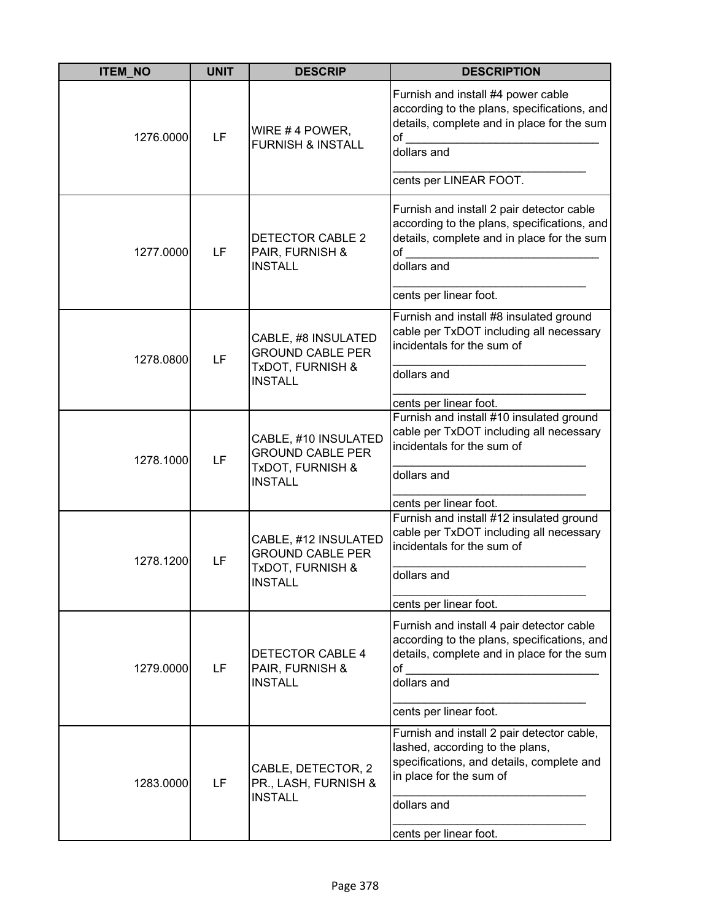| <b>ITEM NO</b> | <b>UNIT</b> | <b>DESCRIP</b>                                                                                   | <b>DESCRIPTION</b>                                                                                                                                          |
|----------------|-------------|--------------------------------------------------------------------------------------------------|-------------------------------------------------------------------------------------------------------------------------------------------------------------|
| 1276.0000      | LF          | WIRE #4 POWER,<br><b>FURNISH &amp; INSTALL</b>                                                   | Furnish and install #4 power cable<br>according to the plans, specifications, and<br>details, complete and in place for the sum<br>of<br>dollars and        |
|                |             |                                                                                                  | cents per LINEAR FOOT.                                                                                                                                      |
| 1277.0000      | LF          | DETECTOR CABLE 2<br>PAIR, FURNISH &<br><b>INSTALL</b>                                            | Furnish and install 2 pair detector cable<br>according to the plans, specifications, and<br>details, complete and in place for the sum<br>of<br>dollars and |
|                |             |                                                                                                  | cents per linear foot.                                                                                                                                      |
| 1278.0800      | LF          | CABLE, #8 INSULATED<br><b>GROUND CABLE PER</b><br><b>TxDOT, FURNISH &amp;</b><br><b>INSTALL</b>  | Furnish and install #8 insulated ground<br>cable per TxDOT including all necessary<br>incidentals for the sum of                                            |
|                |             |                                                                                                  | dollars and                                                                                                                                                 |
|                |             |                                                                                                  | cents per linear foot.                                                                                                                                      |
| 1278.1000      | LF          | CABLE, #10 INSULATED<br><b>GROUND CABLE PER</b><br><b>TxDOT, FURNISH &amp;</b><br><b>INSTALL</b> | Furnish and install #10 insulated ground<br>cable per TxDOT including all necessary<br>incidentals for the sum of                                           |
|                |             |                                                                                                  | dollars and                                                                                                                                                 |
|                |             |                                                                                                  | cents per linear foot.<br>Furnish and install #12 insulated ground                                                                                          |
| 1278.1200      | LF          | CABLE, #12 INSULATED<br><b>GROUND CABLE PER</b><br><b>TxDOT, FURNISH &amp;</b><br>INSTALL        | cable per TxDOT including all necessary<br>incidentals for the sum of                                                                                       |
|                |             |                                                                                                  | dollars and                                                                                                                                                 |
|                |             |                                                                                                  | cents per linear foot.                                                                                                                                      |
| 1279.0000      | LF          | <b>DETECTOR CABLE 4</b><br>PAIR, FURNISH &<br><b>INSTALL</b>                                     | Furnish and install 4 pair detector cable<br>according to the plans, specifications, and<br>details, complete and in place for the sum<br>of<br>dollars and |
|                |             |                                                                                                  | cents per linear foot.                                                                                                                                      |
|                |             |                                                                                                  | Furnish and install 2 pair detector cable,                                                                                                                  |
| 1283.0000      | LF          | CABLE, DETECTOR, 2<br>PR., LASH, FURNISH &<br><b>INSTALL</b>                                     | lashed, according to the plans,<br>specifications, and details, complete and<br>in place for the sum of                                                     |
|                |             |                                                                                                  | dollars and                                                                                                                                                 |
|                |             |                                                                                                  | cents per linear foot.                                                                                                                                      |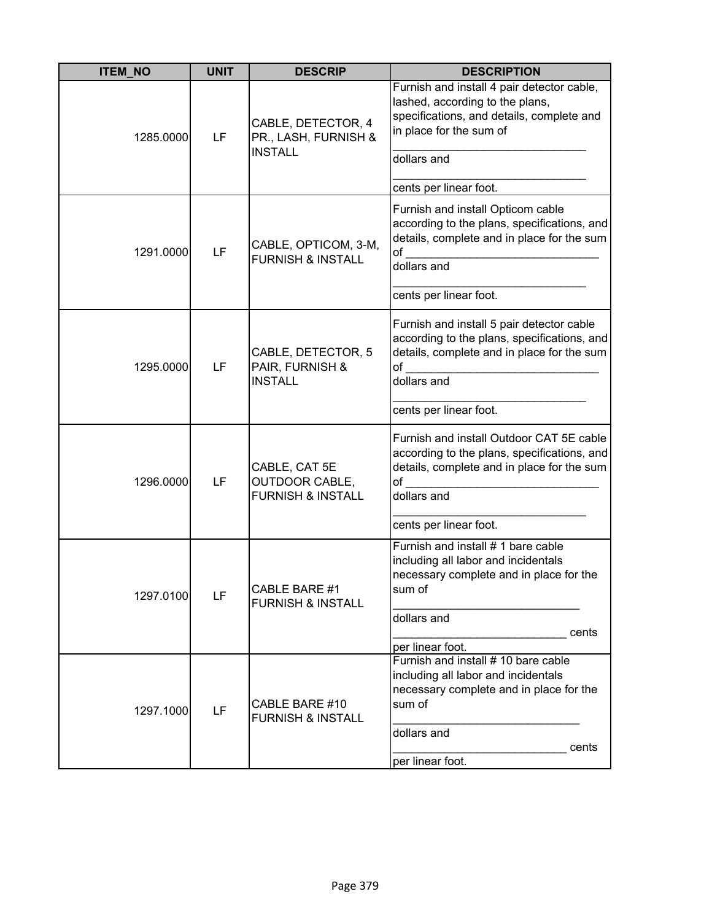| <b>ITEM_NO</b> | <b>UNIT</b> | <b>DESCRIP</b>                                                         | <b>DESCRIPTION</b>                                                                                                                                                                                      |
|----------------|-------------|------------------------------------------------------------------------|---------------------------------------------------------------------------------------------------------------------------------------------------------------------------------------------------------|
| 1285.0000      | LF          | CABLE, DETECTOR, 4<br>PR., LASH, FURNISH &<br><b>INSTALL</b>           | Furnish and install 4 pair detector cable,<br>lashed, according to the plans,<br>specifications, and details, complete and<br>in place for the sum of<br>dollars and                                    |
| 1291.0000      | LF          | CABLE, OPTICOM, 3-M,<br><b>FURNISH &amp; INSTALL</b>                   | cents per linear foot.<br>Furnish and install Opticom cable<br>according to the plans, specifications, and<br>details, complete and in place for the sum<br>of<br>dollars and<br>cents per linear foot. |
| 1295.0000      | LF          | CABLE, DETECTOR, 5<br>PAIR, FURNISH &<br><b>INSTALL</b>                | Furnish and install 5 pair detector cable<br>according to the plans, specifications, and<br>details, complete and in place for the sum<br>of<br>dollars and<br>cents per linear foot.                   |
| 1296.0000      | LF          | CABLE, CAT 5E<br><b>OUTDOOR CABLE,</b><br><b>FURNISH &amp; INSTALL</b> | Furnish and install Outdoor CAT 5E cable<br>according to the plans, specifications, and<br>details, complete and in place for the sum<br>of<br>dollars and<br>cents per linear foot.                    |
| 1297.0100      | LF          | CABLE BARE #1<br><b>FURNISH &amp; INSTALL</b>                          | Furnish and install # 1 bare cable<br>including all labor and incidentals<br>necessary complete and in place for the<br>sum of<br>dollars and<br>cents<br>per linear foot.                              |
| 1297.1000      | LF          | CABLE BARE #10<br><b>FURNISH &amp; INSTALL</b>                         | Furnish and install # 10 bare cable<br>including all labor and incidentals<br>necessary complete and in place for the<br>sum of<br>dollars and<br>cents<br>per linear foot.                             |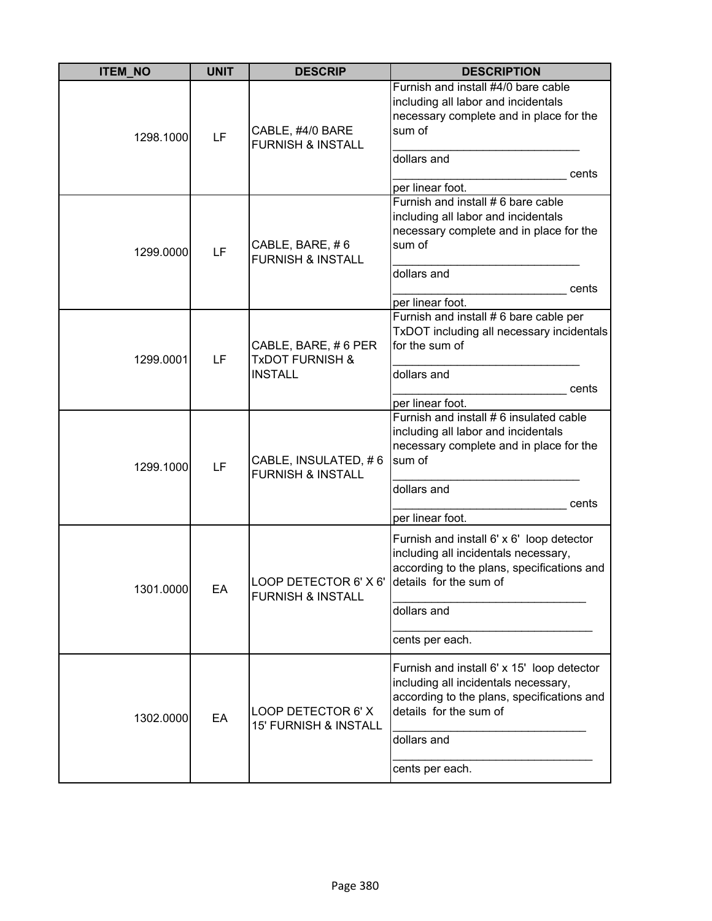| <b>ITEM_NO</b> | <b>UNIT</b> | <b>DESCRIP</b>                                                                | <b>DESCRIPTION</b>                                                                                                                                                                           |
|----------------|-------------|-------------------------------------------------------------------------------|----------------------------------------------------------------------------------------------------------------------------------------------------------------------------------------------|
| 1298.1000      | LF          | CABLE, #4/0 BARE<br><b>FURNISH &amp; INSTALL</b>                              | Furnish and install #4/0 bare cable<br>including all labor and incidentals<br>necessary complete and in place for the<br>sum of<br>dollars and<br>cents<br>per linear foot.                  |
| 1299.0000      | LF          | CABLE, BARE, #6<br><b>FURNISH &amp; INSTALL</b>                               | Furnish and install # 6 bare cable<br>including all labor and incidentals<br>necessary complete and in place for the<br>sum of<br>dollars and<br>cents<br>per linear foot.                   |
| 1299.0001      | LF          | CABLE, BARE, #6 PER<br><b>TxDOT FURNISH &amp;</b><br><b>INSTALL</b>           | Furnish and install # 6 bare cable per<br>TxDOT including all necessary incidentals<br>for the sum of<br>dollars and<br>cents<br>per linear foot.                                            |
| 1299.1000      | LF          | CABLE, INSULATED, #6<br><b>FURNISH &amp; INSTALL</b>                          | Furnish and install # 6 insulated cable<br>including all labor and incidentals<br>necessary complete and in place for the<br>sum of<br>dollars and<br>cents<br>per linear foot.              |
| 1301.0000      | EA          | LOOP DETECTOR 6' X 6' Idetails for the sum of<br><b>FURNISH &amp; INSTALL</b> | Furnish and install 6' x 6' loop detector<br>including all incidentals necessary,<br>according to the plans, specifications and<br>dollars and<br>cents per each.                            |
| 1302.0000      | EA          | LOOP DETECTOR 6' X<br><b>15' FURNISH &amp; INSTALL</b>                        | Furnish and install 6' x 15' loop detector<br>including all incidentals necessary,<br>according to the plans, specifications and<br>details for the sum of<br>dollars and<br>cents per each. |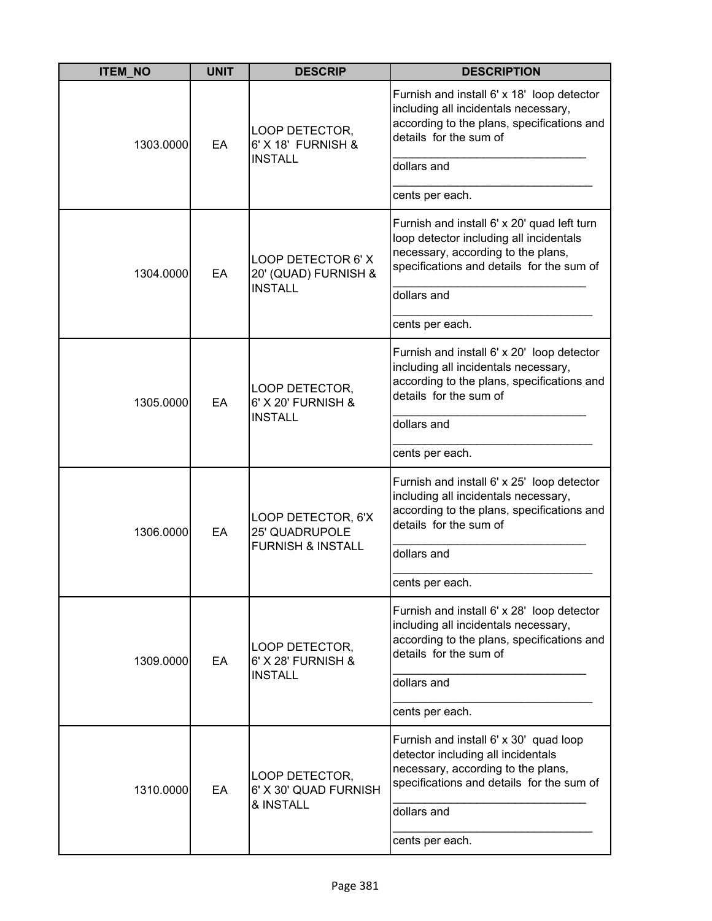| <b>ITEM_NO</b> | <b>UNIT</b> | <b>DESCRIP</b>                                                              | <b>DESCRIPTION</b>                                                                                                                                                        |
|----------------|-------------|-----------------------------------------------------------------------------|---------------------------------------------------------------------------------------------------------------------------------------------------------------------------|
| 1303.0000      | EA          | LOOP DETECTOR,<br>6' X 18' FURNISH &                                        | Furnish and install 6' x 18' loop detector<br>including all incidentals necessary,<br>according to the plans, specifications and<br>details for the sum of                |
|                |             | <b>INSTALL</b>                                                              | dollars and                                                                                                                                                               |
|                |             |                                                                             | cents per each.                                                                                                                                                           |
| 1304.0000      | EA          | LOOP DETECTOR 6' X<br>20' (QUAD) FURNISH &                                  | Furnish and install 6' x 20' quad left turn<br>loop detector including all incidentals<br>necessary, according to the plans,<br>specifications and details for the sum of |
|                |             | <b>INSTALL</b>                                                              | dollars and                                                                                                                                                               |
|                |             |                                                                             | cents per each.                                                                                                                                                           |
| 1305.0000      | EA          | LOOP DETECTOR,<br>6' X 20' FURNISH &<br><b>INSTALL</b>                      | Furnish and install 6' x 20' loop detector<br>including all incidentals necessary,<br>according to the plans, specifications and<br>details for the sum of                |
|                |             |                                                                             | dollars and                                                                                                                                                               |
|                |             |                                                                             | cents per each.                                                                                                                                                           |
| 1306.0000      | EA          | LOOP DETECTOR, 6'X<br><b>25' QUADRUPOLE</b><br><b>FURNISH &amp; INSTALL</b> | Furnish and install 6' x 25' loop detector<br>including all incidentals necessary,<br>according to the plans, specifications and<br>details for the sum of                |
|                |             |                                                                             | dollars and                                                                                                                                                               |
|                |             |                                                                             | cents per each.                                                                                                                                                           |
| 1309.0000      | EA          | LOOP DETECTOR,<br>6' X 28' FURNISH &                                        | Furnish and install 6' x 28' loop detector<br>including all incidentals necessary,<br>according to the plans, specifications and<br>details for the sum of                |
|                |             | <b>INSTALL</b>                                                              | dollars and                                                                                                                                                               |
|                |             |                                                                             | cents per each.                                                                                                                                                           |
| 1310.0000      | EA          | LOOP DETECTOR,<br>6' X 30' QUAD FURNISH                                     | Furnish and install 6' x 30' quad loop<br>detector including all incidentals<br>necessary, according to the plans,<br>specifications and details for the sum of           |
|                |             | & INSTALL                                                                   | dollars and                                                                                                                                                               |
|                |             |                                                                             | cents per each.                                                                                                                                                           |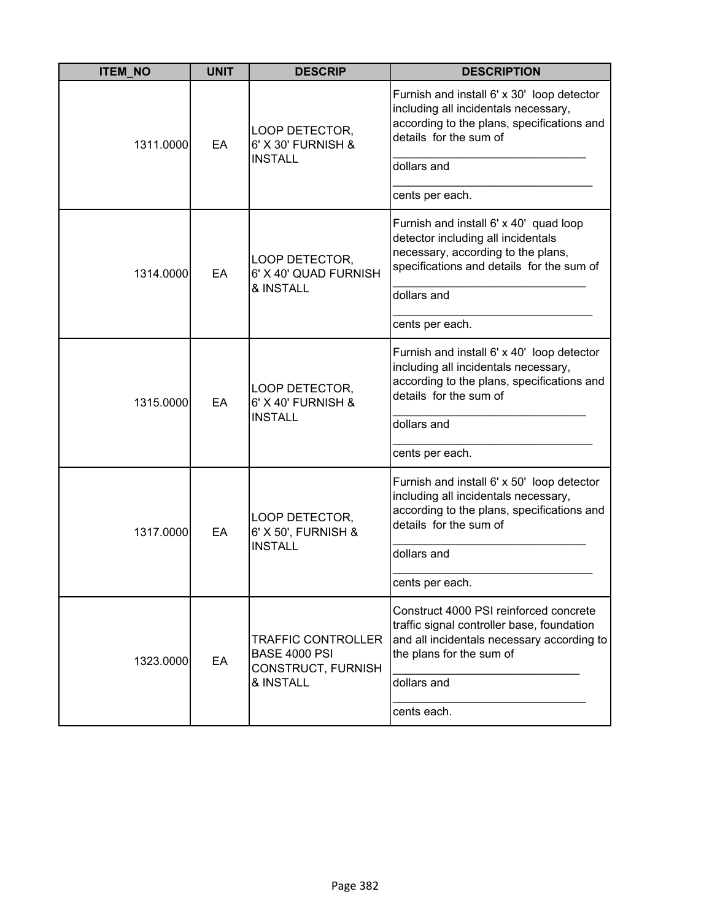| <b>ITEM_NO</b> | <b>UNIT</b> | <b>DESCRIP</b>                                                                       | <b>DESCRIPTION</b>                                                                                                                                                                                |
|----------------|-------------|--------------------------------------------------------------------------------------|---------------------------------------------------------------------------------------------------------------------------------------------------------------------------------------------------|
| 1311.0000      | EA          | LOOP DETECTOR,<br>6' X 30' FURNISH &<br><b>INSTALL</b>                               | Furnish and install 6' x 30' loop detector<br>including all incidentals necessary,<br>according to the plans, specifications and<br>details for the sum of                                        |
|                |             |                                                                                      | dollars and<br>cents per each.                                                                                                                                                                    |
| 1314.0000      | EA          | LOOP DETECTOR,<br>6' X 40' QUAD FURNISH<br>& INSTALL                                 | Furnish and install 6' x 40' quad loop<br>detector including all incidentals<br>necessary, according to the plans,<br>specifications and details for the sum of<br>dollars and<br>cents per each. |
| 1315.0000      | EA          | LOOP DETECTOR,<br>6' X 40' FURNISH &<br><b>INSTALL</b>                               | Furnish and install 6' x 40' loop detector<br>including all incidentals necessary,<br>according to the plans, specifications and<br>details for the sum of<br>dollars and<br>cents per each.      |
| 1317.0000      | EA          | LOOP DETECTOR,<br>6' X 50', FURNISH &<br><b>INSTALL</b>                              | Furnish and install 6' x 50' loop detector<br>including all incidentals necessary,<br>according to the plans, specifications and<br>details for the sum of<br>dollars and<br>cents per each.      |
| 1323.0000      | EA          | <b>TRAFFIC CONTROLLER</b><br><b>BASE 4000 PSI</b><br>CONSTRUCT, FURNISH<br>& INSTALL | Construct 4000 PSI reinforced concrete<br>traffic signal controller base, foundation<br>and all incidentals necessary according to<br>the plans for the sum of<br>dollars and<br>cents each.      |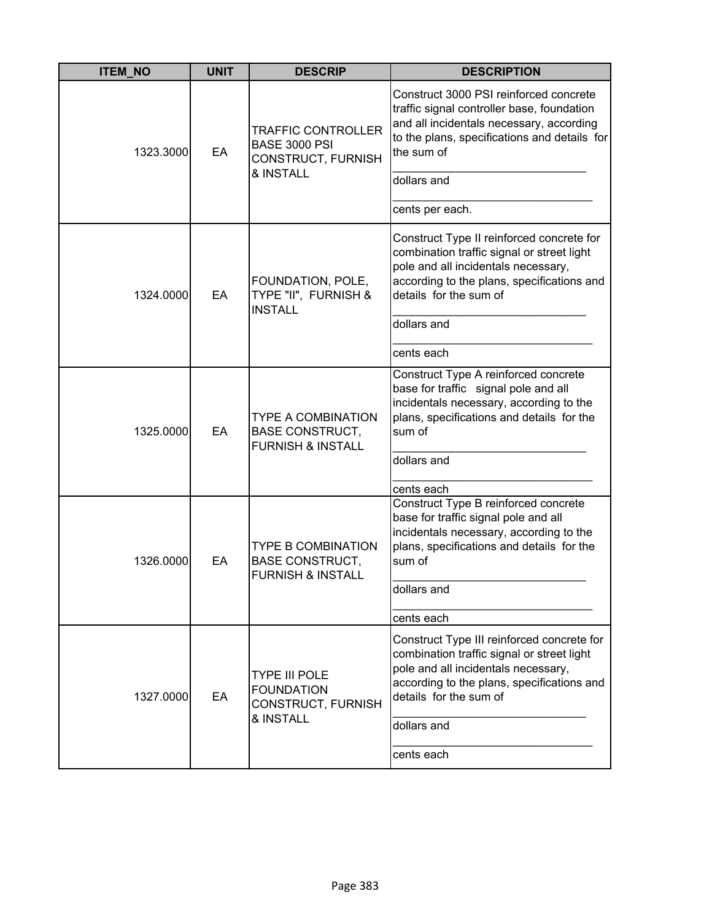| <b>ITEM_NO</b> | <b>UNIT</b> | <b>DESCRIP</b>                                                                       | <b>DESCRIPTION</b>                                                                                                                                                                                            |
|----------------|-------------|--------------------------------------------------------------------------------------|---------------------------------------------------------------------------------------------------------------------------------------------------------------------------------------------------------------|
| 1323.3000      | EA          | <b>TRAFFIC CONTROLLER</b><br><b>BASE 3000 PSI</b><br>CONSTRUCT, FURNISH<br>& INSTALL | Construct 3000 PSI reinforced concrete<br>traffic signal controller base, foundation<br>and all incidentals necessary, according<br>to the plans, specifications and details for<br>the sum of<br>dollars and |
|                |             |                                                                                      | cents per each.                                                                                                                                                                                               |
| 1324.0000      | EA          | FOUNDATION, POLE,<br>TYPE "II", FURNISH &<br><b>INSTALL</b>                          | Construct Type II reinforced concrete for<br>combination traffic signal or street light<br>pole and all incidentals necessary,<br>according to the plans, specifications and<br>details for the sum of        |
|                |             |                                                                                      | dollars and                                                                                                                                                                                                   |
|                |             |                                                                                      | cents each                                                                                                                                                                                                    |
| 1325.0000      | EA          | <b>TYPE A COMBINATION</b><br><b>BASE CONSTRUCT,</b><br><b>FURNISH &amp; INSTALL</b>  | Construct Type A reinforced concrete<br>base for traffic signal pole and all<br>incidentals necessary, according to the<br>plans, specifications and details for the<br>sum of<br>dollars and                 |
|                |             |                                                                                      | cents each                                                                                                                                                                                                    |
| 1326.0000      | EA          | <b>TYPE B COMBINATION</b><br><b>BASE CONSTRUCT,</b><br><b>FURNISH &amp; INSTALL</b>  | Construct Type B reinforced concrete<br>base for traffic signal pole and all<br>incidentals necessary, according to the<br>plans, specifications and details for the<br>sum of<br>dollars and                 |
|                |             |                                                                                      |                                                                                                                                                                                                               |
|                |             |                                                                                      | cents each                                                                                                                                                                                                    |
| 1327.0000      | EA          | <b>TYPE III POLE</b><br><b>FOUNDATION</b><br>CONSTRUCT, FURNISH<br>& INSTALL         | Construct Type III reinforced concrete for<br>combination traffic signal or street light<br>pole and all incidentals necessary,<br>according to the plans, specifications and<br>details for the sum of       |
|                |             |                                                                                      | dollars and                                                                                                                                                                                                   |
|                |             |                                                                                      | cents each                                                                                                                                                                                                    |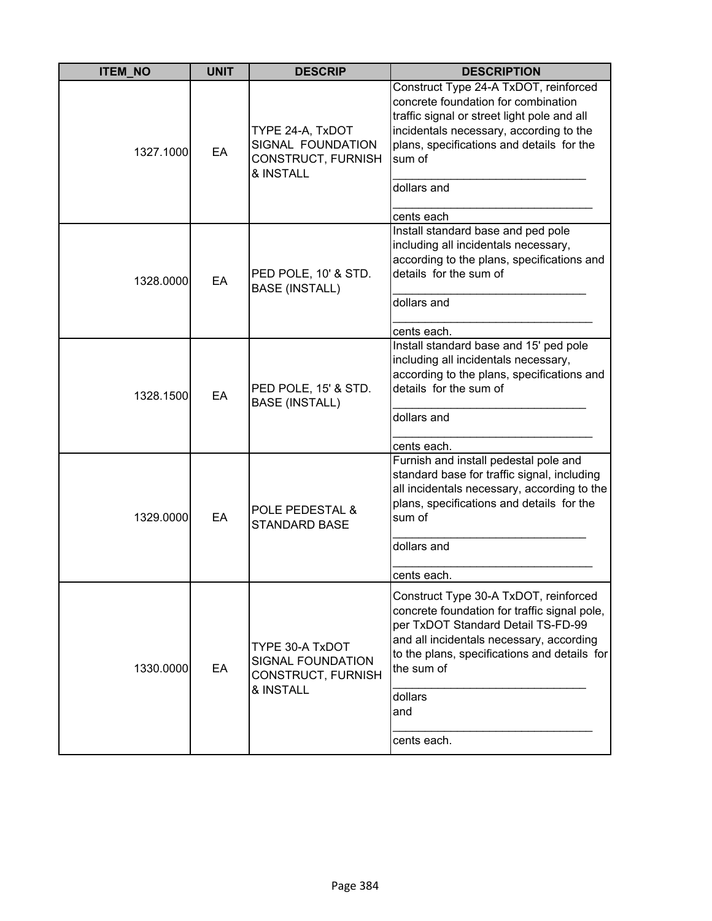| <b>ITEM NO</b> | <b>UNIT</b> | <b>DESCRIP</b>                                                           | <b>DESCRIPTION</b>                                                                                                                                                                                                                                                     |
|----------------|-------------|--------------------------------------------------------------------------|------------------------------------------------------------------------------------------------------------------------------------------------------------------------------------------------------------------------------------------------------------------------|
| 1327.1000      | EA          | TYPE 24-A, TxDOT<br>SIGNAL FOUNDATION<br>CONSTRUCT, FURNISH<br>& INSTALL | Construct Type 24-A TxDOT, reinforced<br>concrete foundation for combination<br>traffic signal or street light pole and all<br>incidentals necessary, according to the<br>plans, specifications and details for the<br>sum of<br>dollars and<br>cents each             |
| 1328.0000      | EA          | PED POLE, 10' & STD.<br><b>BASE (INSTALL)</b>                            | Install standard base and ped pole<br>including all incidentals necessary,<br>according to the plans, specifications and<br>details for the sum of<br>dollars and<br>cents each.                                                                                       |
| 1328.1500      | EA          | PED POLE, 15' & STD.<br><b>BASE (INSTALL)</b>                            | Install standard base and 15' ped pole<br>including all incidentals necessary,<br>according to the plans, specifications and<br>details for the sum of<br>dollars and<br>cents each.                                                                                   |
| 1329.0000      | EA          | POLE PEDESTAL &<br><b>STANDARD BASE</b>                                  | Furnish and install pedestal pole and<br>standard base for traffic signal, including<br>all incidentals necessary, according to the<br>plans, specifications and details for the<br>sum of<br>dollars and<br>cents each.                                               |
| 1330.0000      | EA          | TYPE 30-A TxDOT<br>SIGNAL FOUNDATION<br>CONSTRUCT, FURNISH<br>& INSTALL  | Construct Type 30-A TxDOT, reinforced<br>concrete foundation for traffic signal pole,<br>per TxDOT Standard Detail TS-FD-99<br>and all incidentals necessary, according<br>to the plans, specifications and details for<br>the sum of<br>dollars<br>and<br>cents each. |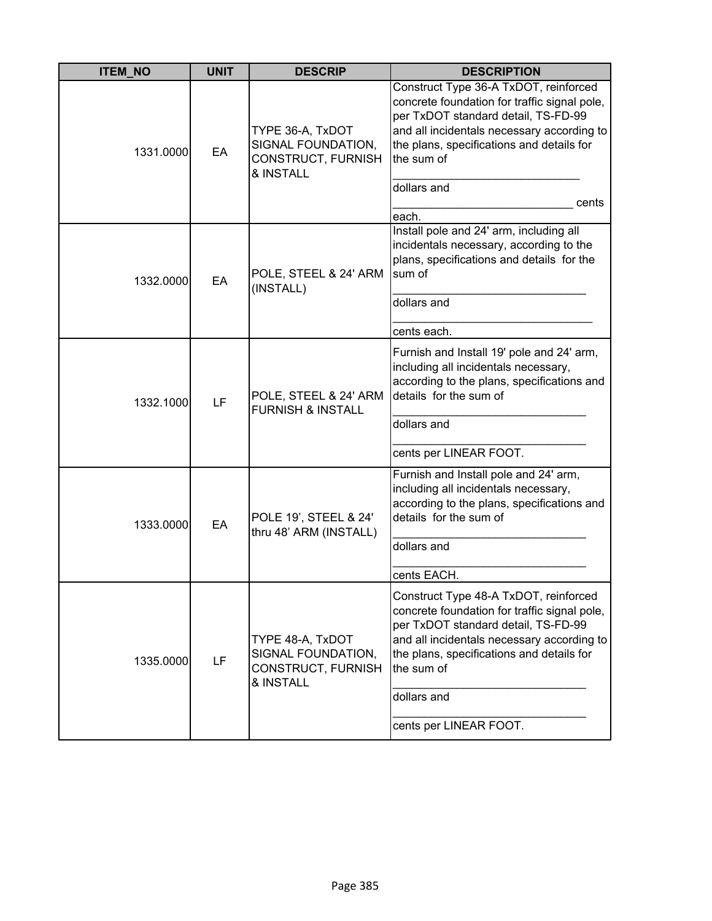| <b>ITEM_NO</b> | <b>UNIT</b> | <b>DESCRIP</b>                                                            | <b>DESCRIPTION</b>                                                                                                                                                                                                                                                             |
|----------------|-------------|---------------------------------------------------------------------------|--------------------------------------------------------------------------------------------------------------------------------------------------------------------------------------------------------------------------------------------------------------------------------|
| 1331.0000      | EA          | TYPE 36-A, TxDOT<br>SIGNAL FOUNDATION,<br>CONSTRUCT, FURNISH<br>& INSTALL | Construct Type 36-A TxDOT, reinforced<br>concrete foundation for traffic signal pole,<br>per TxDOT standard detail, TS-FD-99<br>and all incidentals necessary according to<br>the plans, specifications and details for<br>the sum of<br>dollars and<br>cents<br>each.         |
| 1332.0000      | EA          | POLE, STEEL & 24' ARM<br>(INSTALL)                                        | Install pole and 24' arm, including all<br>incidentals necessary, according to the<br>plans, specifications and details for the<br>sum of<br>dollars and<br>cents each.                                                                                                        |
| 1332.1000      | LF          | POLE, STEEL & 24' ARM<br><b>FURNISH &amp; INSTALL</b>                     | Furnish and Install 19' pole and 24' arm,<br>including all incidentals necessary,<br>according to the plans, specifications and<br>details for the sum of<br>dollars and<br>cents per LINEAR FOOT.                                                                             |
| 1333.0000      | EA          | POLE 19', STEEL & 24'<br>thru 48' ARM (INSTALL)                           | Furnish and Install pole and 24' arm,<br>including all incidentals necessary,<br>according to the plans, specifications and<br>details for the sum of<br>dollars and<br>cents EACH.                                                                                            |
| 1335.0000      | LF          | TYPE 48-A, TxDOT<br>SIGNAL FOUNDATION,<br>CONSTRUCT, FURNISH<br>& INSTALL | Construct Type 48-A TxDOT, reinforced<br>concrete foundation for traffic signal pole,<br>per TxDOT standard detail, TS-FD-99<br>and all incidentals necessary according to<br>the plans, specifications and details for<br>the sum of<br>dollars and<br>cents per LINEAR FOOT. |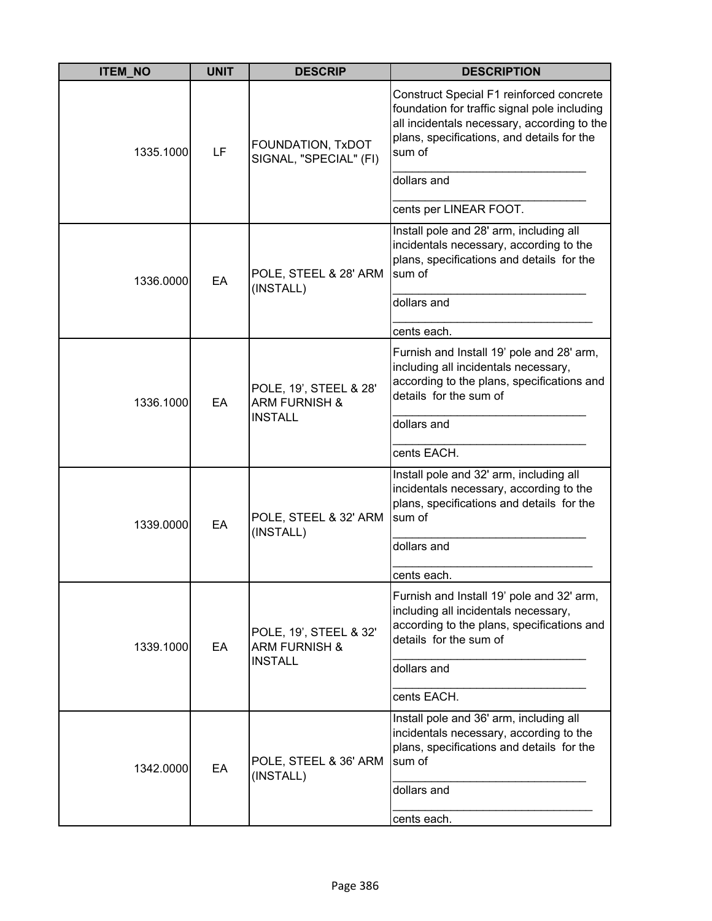| <b>ITEM_NO</b> | <b>UNIT</b> | <b>DESCRIP</b>                                                       | <b>DESCRIPTION</b>                                                                                                                                                                              |
|----------------|-------------|----------------------------------------------------------------------|-------------------------------------------------------------------------------------------------------------------------------------------------------------------------------------------------|
| 1335.1000      | LF          | FOUNDATION, TxDOT<br>SIGNAL, "SPECIAL" (FI)                          | Construct Special F1 reinforced concrete<br>foundation for traffic signal pole including<br>all incidentals necessary, according to the<br>plans, specifications, and details for the<br>sum of |
|                |             |                                                                      | dollars and                                                                                                                                                                                     |
|                |             |                                                                      | cents per LINEAR FOOT.                                                                                                                                                                          |
| 1336.0000      | EA          | POLE, STEEL & 28' ARM                                                | Install pole and 28' arm, including all<br>incidentals necessary, according to the<br>plans, specifications and details for the<br>sum of                                                       |
|                |             | (INSTALL)                                                            | dollars and                                                                                                                                                                                     |
|                |             |                                                                      | cents each.                                                                                                                                                                                     |
| 1336.1000      | EA          | POLE, 19', STEEL & 28'<br><b>ARM FURNISH &amp;</b><br><b>INSTALL</b> | Furnish and Install 19' pole and 28' arm,<br>including all incidentals necessary,<br>according to the plans, specifications and<br>details for the sum of                                       |
|                |             |                                                                      | dollars and                                                                                                                                                                                     |
|                |             |                                                                      | cents EACH.                                                                                                                                                                                     |
| 1339.0000      | EA          | POLE, STEEL & 32' ARM<br>(INSTALL)                                   | Install pole and 32' arm, including all<br>incidentals necessary, according to the<br>plans, specifications and details for the<br>sum of                                                       |
|                |             |                                                                      | dollars and                                                                                                                                                                                     |
|                |             |                                                                      | cents each.                                                                                                                                                                                     |
| 1339.1000      | EA          | POLE, 19', STEEL & 32'<br><b>ARM FURNISH &amp;</b><br><b>INSTALL</b> | Furnish and Install 19' pole and 32' arm,<br>including all incidentals necessary,<br>according to the plans, specifications and<br>details for the sum of                                       |
|                |             |                                                                      | dollars and                                                                                                                                                                                     |
|                |             |                                                                      | cents EACH.                                                                                                                                                                                     |
| 1342.0000      | EA          | POLE, STEEL & 36' ARM<br>(INSTALL)                                   | Install pole and 36' arm, including all<br>incidentals necessary, according to the<br>plans, specifications and details for the<br>sum of                                                       |
|                |             |                                                                      | dollars and                                                                                                                                                                                     |
|                |             |                                                                      | cents each.                                                                                                                                                                                     |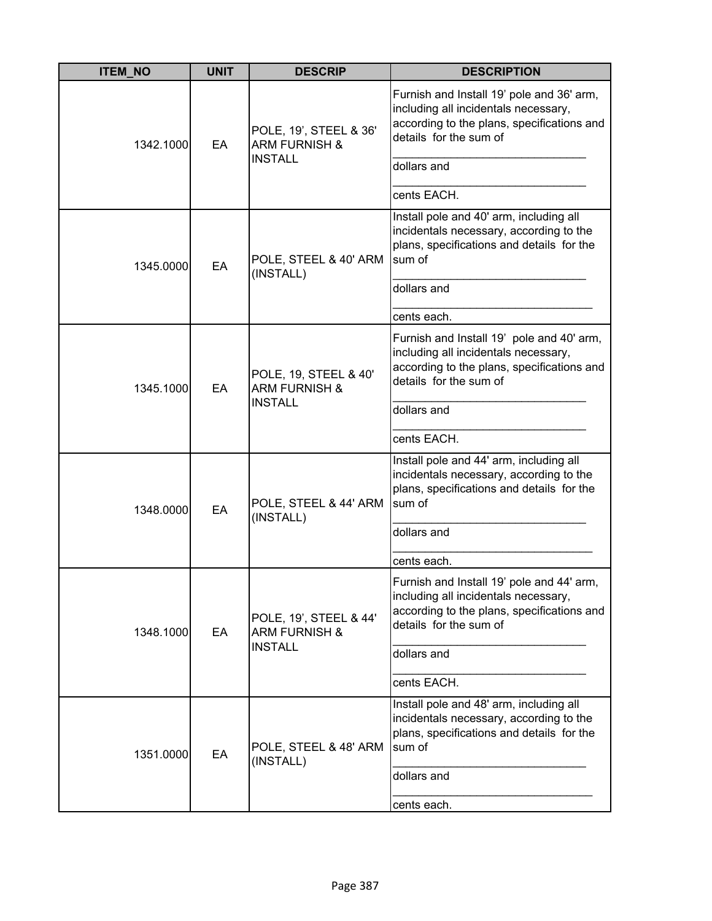| <b>ITEM_NO</b> | <b>UNIT</b> | <b>DESCRIP</b>                                                       | <b>DESCRIPTION</b>                                                                                                                                                                      |
|----------------|-------------|----------------------------------------------------------------------|-----------------------------------------------------------------------------------------------------------------------------------------------------------------------------------------|
| 1342.1000      | EA          | POLE, 19', STEEL & 36'<br><b>ARM FURNISH &amp;</b><br><b>INSTALL</b> | Furnish and Install 19' pole and 36' arm,<br>including all incidentals necessary,<br>according to the plans, specifications and<br>details for the sum of<br>dollars and<br>cents EACH. |
| 1345.0000      | EA          | POLE, STEEL & 40' ARM<br>(INSTALL)                                   | Install pole and 40' arm, including all<br>incidentals necessary, according to the<br>plans, specifications and details for the<br>sum of<br>dollars and<br>cents each.                 |
| 1345.1000      | EA          | POLE, 19, STEEL & 40'<br><b>ARM FURNISH &amp;</b><br><b>INSTALL</b>  | Furnish and Install 19' pole and 40' arm,<br>including all incidentals necessary,<br>according to the plans, specifications and<br>details for the sum of<br>dollars and<br>cents EACH. |
| 1348.0000      | EA          | POLE, STEEL & 44' ARM<br>(INSTALL)                                   | Install pole and 44' arm, including all<br>incidentals necessary, according to the<br>plans, specifications and details for the<br>sum of<br>dollars and<br>cents each.                 |
| 1348.1000      | EA          | POLE, 19', STEEL & 44'<br><b>ARM FURNISH &amp;</b><br><b>INSTALL</b> | Furnish and Install 19' pole and 44' arm<br>including all incidentals necessary,<br>according to the plans, specifications and<br>details for the sum of<br>dollars and<br>cents EACH.  |
| 1351.0000      | EA          | POLE, STEEL & 48' ARM<br>(INSTALL)                                   | Install pole and 48' arm, including all<br>incidentals necessary, according to the<br>plans, specifications and details for the<br>sum of<br>dollars and<br>cents each.                 |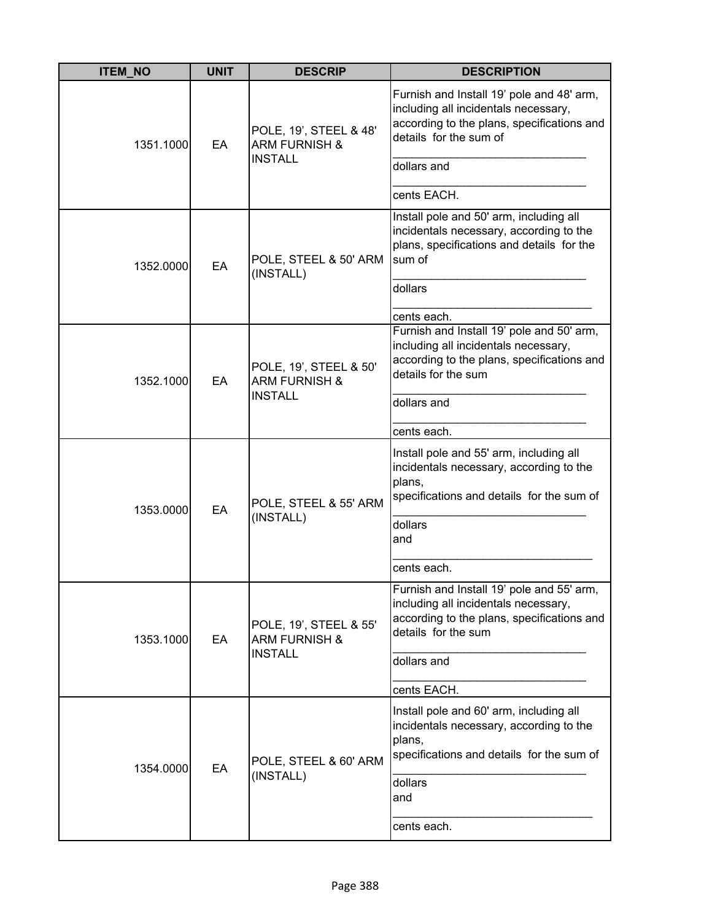| <b>ITEM_NO</b> | <b>UNIT</b> | <b>DESCRIP</b>                                                       | <b>DESCRIPTION</b>                                                                                                                                                       |
|----------------|-------------|----------------------------------------------------------------------|--------------------------------------------------------------------------------------------------------------------------------------------------------------------------|
| 1351.1000      | EA          | POLE, 19', STEEL & 48'<br><b>ARM FURNISH &amp;</b><br><b>INSTALL</b> | Furnish and Install 19' pole and 48' arm,<br>including all incidentals necessary,<br>according to the plans, specifications and<br>details for the sum of<br>dollars and |
|                |             |                                                                      | cents EACH.                                                                                                                                                              |
| 1352.0000      | EA          | POLE, STEEL & 50' ARM<br>(INSTALL)                                   | Install pole and 50' arm, including all<br>incidentals necessary, according to the<br>plans, specifications and details for the<br>sum of                                |
|                |             |                                                                      | dollars                                                                                                                                                                  |
|                |             |                                                                      | cents each.                                                                                                                                                              |
| 1352.1000      | EA          | POLE, 19', STEEL & 50'<br><b>ARM FURNISH &amp;</b><br><b>INSTALL</b> | Furnish and Install 19' pole and 50' arm,<br>including all incidentals necessary,<br>according to the plans, specifications and<br>details for the sum                   |
|                |             |                                                                      | dollars and                                                                                                                                                              |
|                |             |                                                                      | cents each.                                                                                                                                                              |
| 1353.0000      | EA          | POLE, STEEL & 55' ARM<br>(INSTALL)                                   | Install pole and 55' arm, including all<br>incidentals necessary, according to the<br>plans,<br>specifications and details for the sum of                                |
|                |             |                                                                      | dollars<br>and                                                                                                                                                           |
|                |             |                                                                      | cents each.                                                                                                                                                              |
| 1353.1000      | EA          | POLE, 19', STEEL & 55'<br><b>ARM FURNISH &amp;</b>                   | Furnish and Install 19' pole and 55' arm,<br>including all incidentals necessary,<br>according to the plans, specifications and<br>details for the sum                   |
|                |             | <b>INSTALL</b>                                                       | dollars and                                                                                                                                                              |
|                |             |                                                                      | cents EACH.                                                                                                                                                              |
| 1354.0000      | EA          | POLE, STEEL & 60' ARM<br>(INSTALL)                                   | Install pole and 60' arm, including all<br>incidentals necessary, according to the<br>plans,<br>specifications and details for the sum of                                |
|                |             |                                                                      | dollars<br>and                                                                                                                                                           |
|                |             |                                                                      | cents each.                                                                                                                                                              |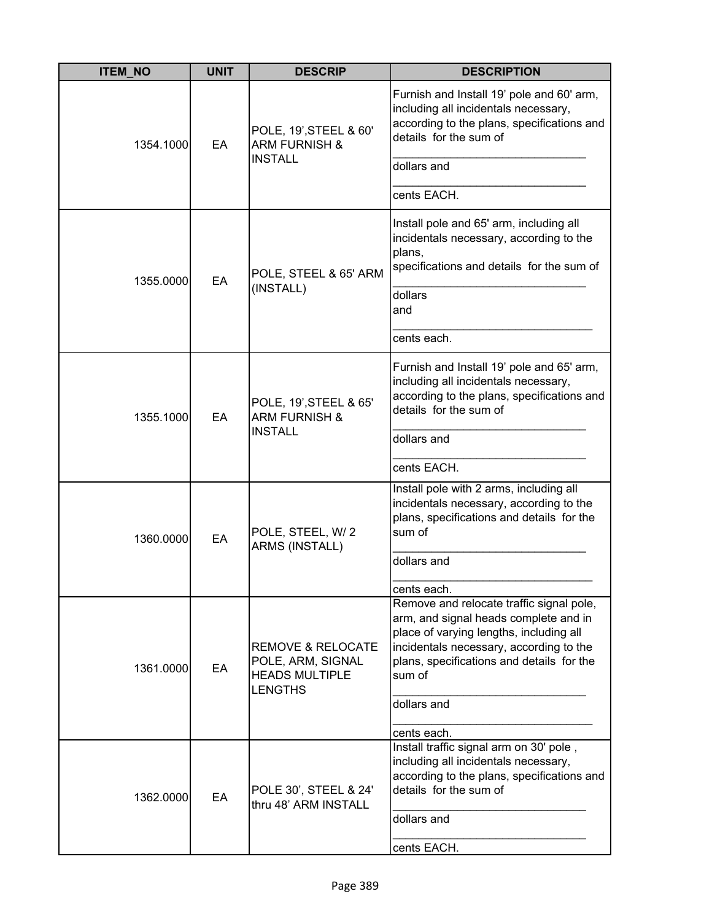| <b>ITEM NO</b> | <b>UNIT</b> | <b>DESCRIP</b>                                                                               | <b>DESCRIPTION</b>                                                                                                                                                                                                                            |
|----------------|-------------|----------------------------------------------------------------------------------------------|-----------------------------------------------------------------------------------------------------------------------------------------------------------------------------------------------------------------------------------------------|
| 1354.1000      | EA          | POLE, 19', STEEL & 60'<br><b>ARM FURNISH &amp;</b>                                           | Furnish and Install 19' pole and 60' arm,<br>including all incidentals necessary,<br>according to the plans, specifications and<br>details for the sum of                                                                                     |
|                |             | <b>INSTALL</b>                                                                               | dollars and                                                                                                                                                                                                                                   |
|                |             |                                                                                              | cents EACH.                                                                                                                                                                                                                                   |
| 1355.0000      | EA          | POLE, STEEL & 65' ARM                                                                        | Install pole and 65' arm, including all<br>incidentals necessary, according to the<br>plans,<br>specifications and details for the sum of                                                                                                     |
|                |             | (INSTALL)                                                                                    | dollars<br>and                                                                                                                                                                                                                                |
|                |             |                                                                                              | cents each.                                                                                                                                                                                                                                   |
| 1355.1000      | EA          | POLE, 19', STEEL & 65'<br><b>ARM FURNISH &amp;</b><br><b>INSTALL</b>                         | Furnish and Install 19' pole and 65' arm,<br>including all incidentals necessary,<br>according to the plans, specifications and<br>details for the sum of                                                                                     |
|                |             |                                                                                              | dollars and                                                                                                                                                                                                                                   |
|                |             |                                                                                              | cents EACH.                                                                                                                                                                                                                                   |
| 1360.0000      | EA          | POLE, STEEL, W/2<br>ARMS (INSTALL)                                                           | Install pole with 2 arms, including all<br>incidentals necessary, according to the<br>plans, specifications and details for the<br>sum of                                                                                                     |
|                |             |                                                                                              | dollars and                                                                                                                                                                                                                                   |
|                |             |                                                                                              | cents each.                                                                                                                                                                                                                                   |
| 1361.0000      | EA          | <b>REMOVE &amp; RELOCATE</b><br>POLE, ARM, SIGNAL<br><b>HEADS MULTIPLE</b><br><b>LENGTHS</b> | Remove and relocate traffic signal pole,<br>arm, and signal heads complete and in<br>place of varying lengths, including all<br>incidentals necessary, according to the<br>plans, specifications and details for the<br>sum of<br>dollars and |
|                |             |                                                                                              | cents each.                                                                                                                                                                                                                                   |
| 1362.0000      | EA          | POLE 30', STEEL & 24'<br>thru 48' ARM INSTALL                                                | Install traffic signal arm on 30' pole,<br>including all incidentals necessary,<br>according to the plans, specifications and<br>details for the sum of<br>dollars and                                                                        |
|                |             |                                                                                              | cents EACH.                                                                                                                                                                                                                                   |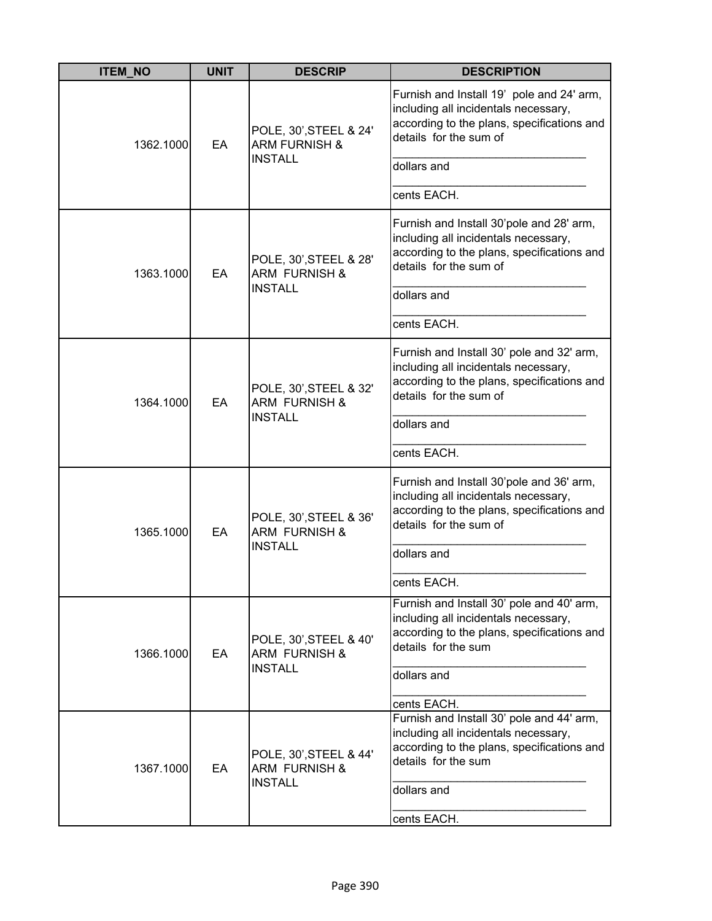| <b>ITEM_NO</b> | <b>UNIT</b> | <b>DESCRIP</b>                                                       | <b>DESCRIPTION</b>                                                                                                                                                                      |
|----------------|-------------|----------------------------------------------------------------------|-----------------------------------------------------------------------------------------------------------------------------------------------------------------------------------------|
| 1362.1000      | EA          | POLE, 30', STEEL & 24'<br><b>ARM FURNISH &amp;</b><br><b>INSTALL</b> | Furnish and Install 19' pole and 24' arm,<br>including all incidentals necessary,<br>according to the plans, specifications and<br>details for the sum of<br>dollars and<br>cents EACH. |
| 1363.1000      | EA          | POLE, 30', STEEL & 28'<br><b>ARM FURNISH &amp;</b><br><b>INSTALL</b> | Furnish and Install 30'pole and 28' arm,<br>including all incidentals necessary,<br>according to the plans, specifications and<br>details for the sum of<br>dollars and<br>cents EACH.  |
| 1364.1000      | EA          | POLE, 30', STEEL & 32'<br><b>ARM FURNISH &amp;</b><br><b>INSTALL</b> | Furnish and Install 30' pole and 32' arm,<br>including all incidentals necessary,<br>according to the plans, specifications and<br>details for the sum of<br>dollars and<br>cents EACH. |
| 1365.1000      | EA          | POLE, 30', STEEL & 36'<br><b>ARM FURNISH &amp;</b><br><b>INSTALL</b> | Furnish and Install 30'pole and 36' arm,<br>including all incidentals necessary,<br>according to the plans, specifications and<br>details for the sum of<br>dollars and<br>cents EACH.  |
| 1366.1000      | EA          | POLE, 30', STEEL & 40'<br><b>ARM FURNISH &amp;</b><br><b>INSTALL</b> | Furnish and Install 30' pole and 40' arm,<br>including all incidentals necessary,<br>according to the plans, specifications and<br>details for the sum<br>dollars and<br>cents EACH.    |
| 1367.1000      | EA          | POLE, 30', STEEL & 44'<br><b>ARM FURNISH &amp;</b><br><b>INSTALL</b> | Furnish and Install 30' pole and 44' arm,<br>including all incidentals necessary,<br>according to the plans, specifications and<br>details for the sum<br>dollars and<br>cents EACH.    |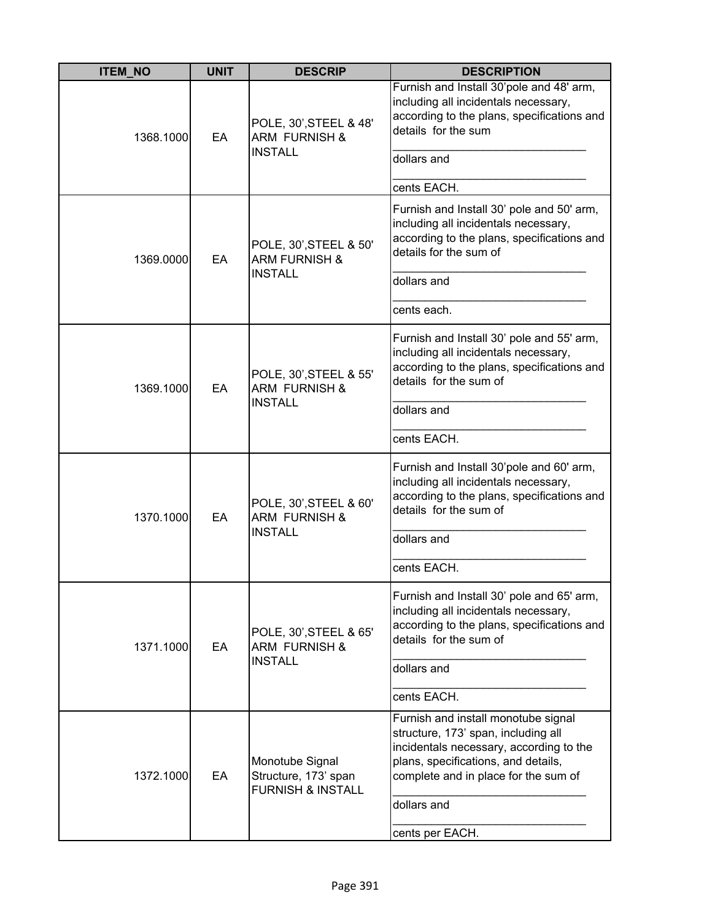| <b>ITEM_NO</b> | <b>UNIT</b> | <b>DESCRIP</b>                                                          | <b>DESCRIPTION</b>                                                                                                                                                                                                                     |
|----------------|-------------|-------------------------------------------------------------------------|----------------------------------------------------------------------------------------------------------------------------------------------------------------------------------------------------------------------------------------|
| 1368.1000      | EA          | POLE, 30', STEEL & 48'<br><b>ARM FURNISH &amp;</b><br><b>INSTALL</b>    | Furnish and Install 30'pole and 48' arm,<br>including all incidentals necessary,<br>according to the plans, specifications and<br>details for the sum<br>dollars and<br>cents EACH.                                                    |
| 1369.0000      | EA          | POLE, 30', STEEL & 50'<br><b>ARM FURNISH &amp;</b><br><b>INSTALL</b>    | Furnish and Install 30' pole and 50' arm,<br>including all incidentals necessary,<br>according to the plans, specifications and<br>details for the sum of<br>dollars and<br>cents each.                                                |
| 1369.1000      | EA          | POLE, 30', STEEL & 55'<br><b>ARM FURNISH &amp;</b><br><b>INSTALL</b>    | Furnish and Install 30' pole and 55' arm,<br>including all incidentals necessary,<br>according to the plans, specifications and<br>details for the sum of<br>dollars and<br>cents EACH.                                                |
| 1370.1000      | EA          | POLE, 30', STEEL & 60'<br><b>ARM FURNISH &amp;</b><br><b>INSTALL</b>    | Furnish and Install 30'pole and 60' arm,<br>including all incidentals necessary,<br>according to the plans, specifications and<br>details for the sum of<br>dollars and<br>cents EACH.                                                 |
| 1371.1000      | EA          | POLE, 30', STEEL & 65'<br><b>ARM FURNISH &amp;</b><br><b>INSTALL</b>    | Furnish and Install 30' pole and 65' arm,<br>including all incidentals necessary,<br>according to the plans, specifications and<br>details for the sum of<br>dollars and<br>cents EACH.                                                |
| 1372.1000      | EA          | Monotube Signal<br>Structure, 173' span<br><b>FURNISH &amp; INSTALL</b> | Furnish and install monotube signal<br>structure, 173' span, including all<br>incidentals necessary, according to the<br>plans, specifications, and details,<br>complete and in place for the sum of<br>dollars and<br>cents per EACH. |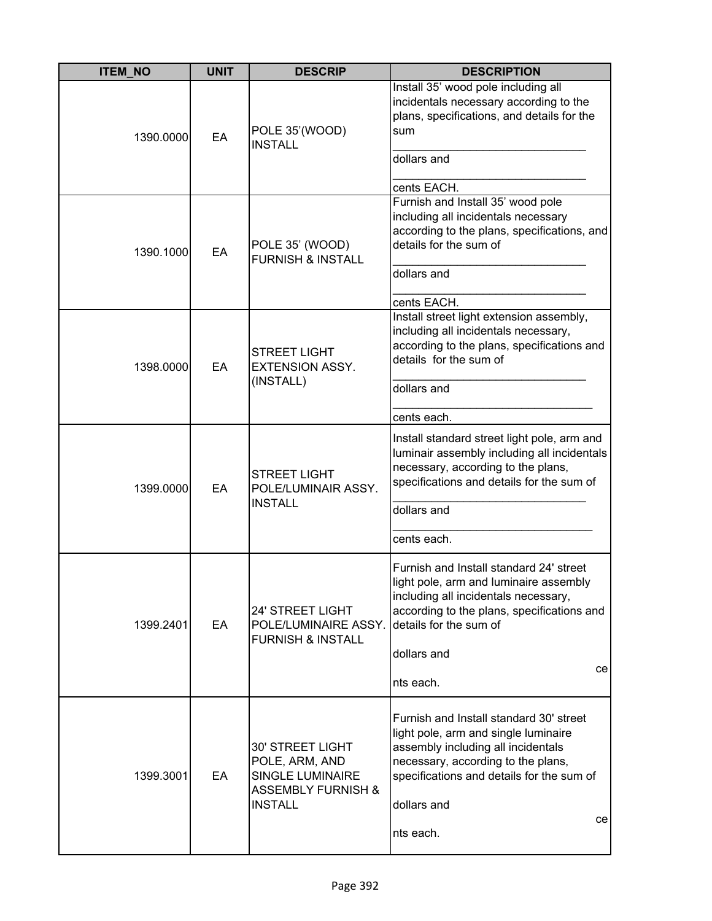| <b>ITEM_NO</b> | <b>UNIT</b> | <b>DESCRIP</b>                                                                                                   | <b>DESCRIPTION</b>                                                                                                                                                                                                                         |
|----------------|-------------|------------------------------------------------------------------------------------------------------------------|--------------------------------------------------------------------------------------------------------------------------------------------------------------------------------------------------------------------------------------------|
| 1390.0000      | EA          | POLE 35'(WOOD)<br><b>INSTALL</b>                                                                                 | Install 35' wood pole including all<br>incidentals necessary according to the<br>plans, specifications, and details for the<br>sum<br>dollars and<br>cents EACH.                                                                           |
| 1390.1000      | EA          | POLE 35' (WOOD)<br><b>FURNISH &amp; INSTALL</b>                                                                  | Furnish and Install 35' wood pole<br>including all incidentals necessary<br>according to the plans, specifications, and<br>details for the sum of<br>dollars and<br>cents EACH.                                                            |
| 1398.0000      | EA          | <b>STREET LIGHT</b><br><b>EXTENSION ASSY.</b><br>(INSTALL)                                                       | Install street light extension assembly,<br>including all incidentals necessary,<br>according to the plans, specifications and<br>details for the sum of<br>dollars and<br>cents each.                                                     |
| 1399.0000      | EA          | <b>STREET LIGHT</b><br>POLE/LUMINAIR ASSY.<br><b>INSTALL</b>                                                     | Install standard street light pole, arm and<br>luminair assembly including all incidentals<br>necessary, according to the plans,<br>specifications and details for the sum of<br>dollars and<br>cents each.                                |
| 1399.2401      | EA          | 24' STREET LIGHT<br>POLE/LUMINAIRE ASSY.<br><b>FURNISH &amp; INSTALL</b>                                         | Furnish and Install standard 24' street<br>light pole, arm and luminaire assembly<br>including all incidentals necessary,<br>according to the plans, specifications and<br>details for the sum of<br>dollars and<br>ce<br>nts each.        |
| 1399.3001      | EA          | 30' STREET LIGHT<br>POLE, ARM, AND<br><b>SINGLE LUMINAIRE</b><br><b>ASSEMBLY FURNISH &amp;</b><br><b>INSTALL</b> | Furnish and Install standard 30' street<br>light pole, arm and single luminaire<br>assembly including all incidentals<br>necessary, according to the plans,<br>specifications and details for the sum of<br>dollars and<br>ce<br>nts each. |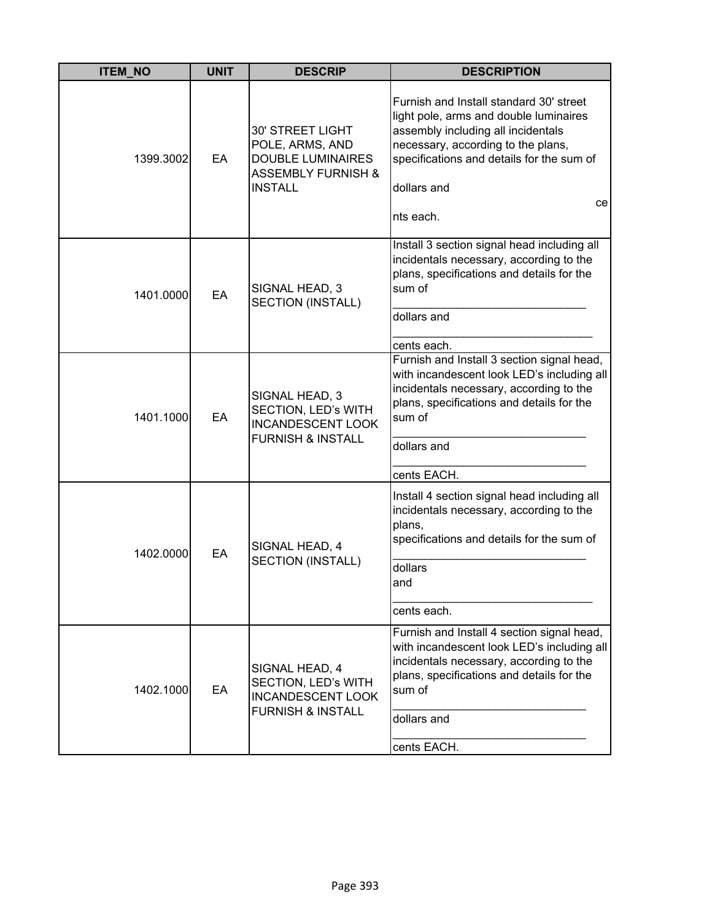| <b>ITEM_NO</b> | <b>UNIT</b> | <b>DESCRIP</b>                                                                                                            | <b>DESCRIPTION</b>                                                                                                                                                                                                                           |
|----------------|-------------|---------------------------------------------------------------------------------------------------------------------------|----------------------------------------------------------------------------------------------------------------------------------------------------------------------------------------------------------------------------------------------|
| 1399.3002      | EA          | <b>30' STREET LIGHT</b><br>POLE, ARMS, AND<br><b>DOUBLE LUMINAIRES</b><br><b>ASSEMBLY FURNISH &amp;</b><br><b>INSTALL</b> | Furnish and Install standard 30' street<br>light pole, arms and double luminaires<br>assembly including all incidentals<br>necessary, according to the plans,<br>specifications and details for the sum of<br>dollars and<br>ce<br>nts each. |
| 1401.0000      | EA          | SIGNAL HEAD, 3<br>SECTION (INSTALL)                                                                                       | Install 3 section signal head including all<br>incidentals necessary, according to the<br>plans, specifications and details for the<br>sum of<br>dollars and<br>cents each.                                                                  |
| 1401.1000      | EA          | SIGNAL HEAD, 3<br>SECTION, LED's WITH<br><b>INCANDESCENT LOOK</b><br><b>FURNISH &amp; INSTALL</b>                         | Furnish and Install 3 section signal head,<br>with incandescent look LED's including all<br>incidentals necessary, according to the<br>plans, specifications and details for the<br>sum of<br>dollars and                                    |
| 1402.0000      | EA          | SIGNAL HEAD, 4<br>SECTION (INSTALL)                                                                                       | cents EACH.<br>Install 4 section signal head including all<br>incidentals necessary, according to the<br>plans,<br>specifications and details for the sum of<br>dollars<br>and<br>cents each.                                                |
| 1402.1000      | EA          | SIGNAL HEAD, 4<br>SECTION, LED's WITH<br><b>INCANDESCENT LOOK</b><br><b>FURNISH &amp; INSTALL</b>                         | Furnish and Install 4 section signal head,<br>with incandescent look LED's including all<br>incidentals necessary, according to the<br>plans, specifications and details for the<br>sum of<br>dollars and<br>cents EACH.                     |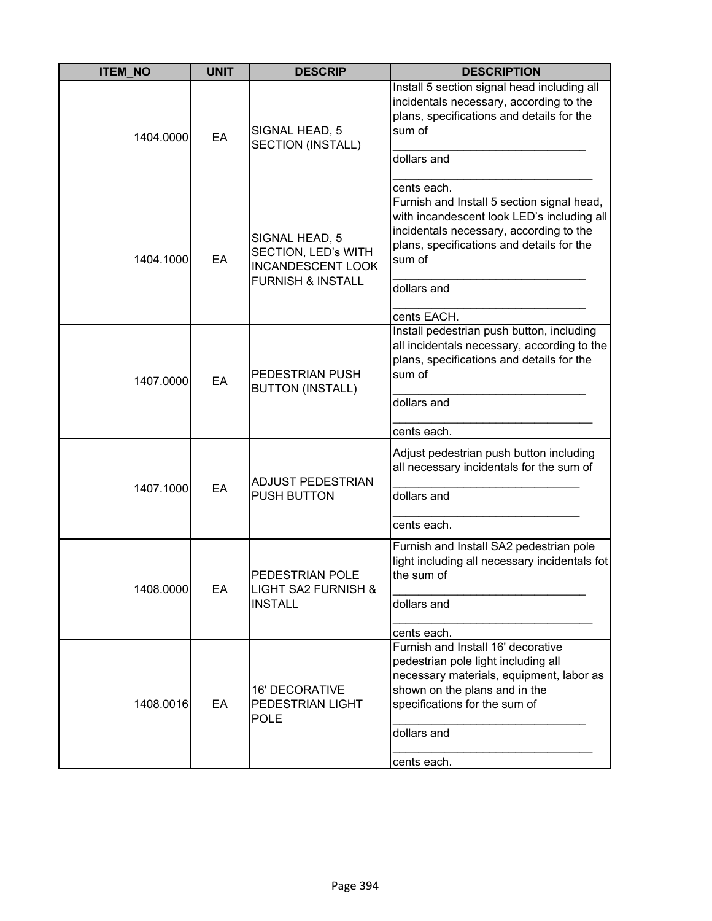| <b>ITEM_NO</b> | <b>UNIT</b> | <b>DESCRIP</b>                                                                                    | <b>DESCRIPTION</b>                                                                                                                                                                                                       |
|----------------|-------------|---------------------------------------------------------------------------------------------------|--------------------------------------------------------------------------------------------------------------------------------------------------------------------------------------------------------------------------|
| 1404.0000      | EA          | SIGNAL HEAD, 5<br><b>SECTION (INSTALL)</b>                                                        | Install 5 section signal head including all<br>incidentals necessary, according to the<br>plans, specifications and details for the<br>sum of<br>dollars and<br>cents each.                                              |
| 1404.1000      | EA          | SIGNAL HEAD, 5<br>SECTION, LED's WITH<br><b>INCANDESCENT LOOK</b><br><b>FURNISH &amp; INSTALL</b> | Furnish and Install 5 section signal head,<br>with incandescent look LED's including all<br>incidentals necessary, according to the<br>plans, specifications and details for the<br>sum of<br>dollars and<br>cents EACH. |
| 1407.0000      | EA          | PEDESTRIAN PUSH<br><b>BUTTON (INSTALL)</b>                                                        | Install pedestrian push button, including<br>all incidentals necessary, according to the<br>plans, specifications and details for the<br>sum of<br>dollars and<br>cents each.                                            |
| 1407.1000      | EA          | <b>ADJUST PEDESTRIAN</b><br><b>PUSH BUTTON</b>                                                    | Adjust pedestrian push button including<br>all necessary incidentals for the sum of<br>dollars and<br>cents each.                                                                                                        |
| 1408.0000      | EA          | PEDESTRIAN POLE<br><b>LIGHT SA2 FURNISH &amp;</b><br><b>INSTALL</b>                               | Furnish and Install SA2 pedestrian pole<br>light including all necessary incidentals fot<br>the sum of<br>dollars and<br>cents each.                                                                                     |
| 1408.0016      | EA          | <b>16' DECORATIVE</b><br>PEDESTRIAN LIGHT<br><b>POLE</b>                                          | Furnish and Install 16' decorative<br>pedestrian pole light including all<br>necessary materials, equipment, labor as<br>shown on the plans and in the<br>specifications for the sum of<br>dollars and<br>cents each.    |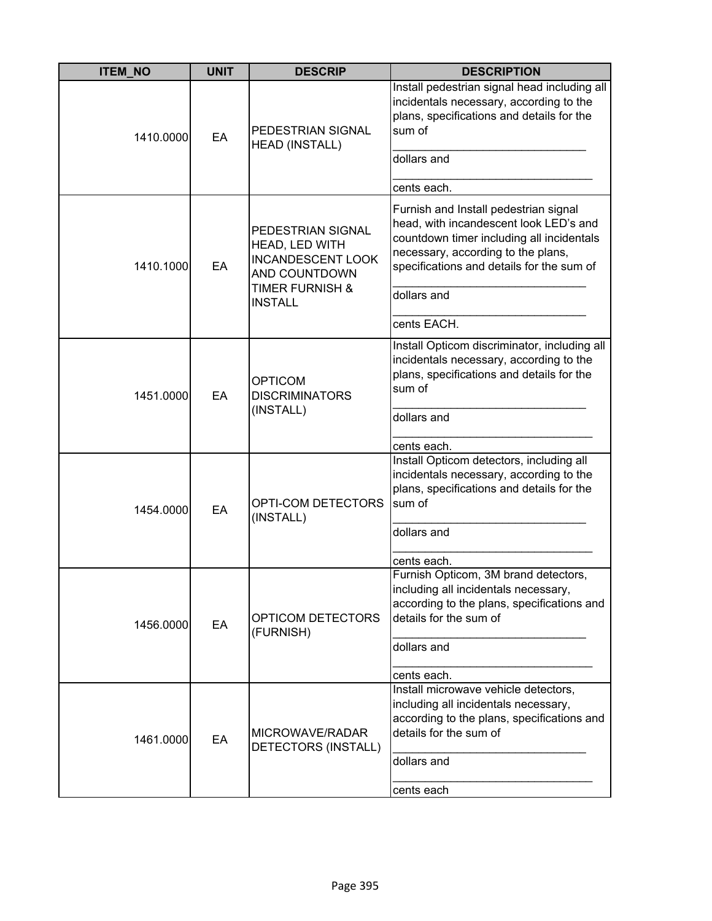| <b>ITEM_NO</b> | <b>UNIT</b> | <b>DESCRIP</b>                                                                   | <b>DESCRIPTION</b>                                                                                                                                                                                              |
|----------------|-------------|----------------------------------------------------------------------------------|-----------------------------------------------------------------------------------------------------------------------------------------------------------------------------------------------------------------|
| 1410.0000      | EA          | PEDESTRIAN SIGNAL<br><b>HEAD (INSTALL)</b>                                       | Install pedestrian signal head including all<br>incidentals necessary, according to the<br>plans, specifications and details for the<br>sum of<br>dollars and                                                   |
|                |             |                                                                                  |                                                                                                                                                                                                                 |
|                |             |                                                                                  | cents each.                                                                                                                                                                                                     |
| 1410.1000      | EA          | PEDESTRIAN SIGNAL<br>HEAD, LED WITH<br><b>INCANDESCENT LOOK</b><br>AND COUNTDOWN | Furnish and Install pedestrian signal<br>head, with incandescent look LED's and<br>countdown timer including all incidentals<br>necessary, according to the plans,<br>specifications and details for the sum of |
|                |             | <b>TIMER FURNISH &amp;</b><br><b>INSTALL</b>                                     | dollars and                                                                                                                                                                                                     |
|                |             |                                                                                  | cents EACH.                                                                                                                                                                                                     |
| 1451.0000      | EA          | <b>OPTICOM</b><br><b>DISCRIMINATORS</b><br>(INSTALL)                             | Install Opticom discriminator, including all<br>incidentals necessary, according to the<br>plans, specifications and details for the<br>sum of<br>dollars and                                                   |
|                |             |                                                                                  | cents each.                                                                                                                                                                                                     |
| 1454.0000      | EA          | OPTI-COM DETECTORS<br>(INSTALL)                                                  | Install Opticom detectors, including all<br>incidentals necessary, according to the<br>plans, specifications and details for the<br>sum of                                                                      |
|                |             |                                                                                  | dollars and                                                                                                                                                                                                     |
|                |             |                                                                                  | cents each.                                                                                                                                                                                                     |
| 1456.0000      | EA          | OPTICOM DETECTORS<br>(FURNISH)                                                   | Furnish Opticom, 3M brand detectors,<br>including all incidentals necessary,<br>according to the plans, specifications and<br>details for the sum of                                                            |
|                |             |                                                                                  | dollars and                                                                                                                                                                                                     |
|                |             |                                                                                  | cents each.                                                                                                                                                                                                     |
| 1461.0000      | EA          | MICROWAVE/RADAR<br>DETECTORS (INSTALL)                                           | Install microwave vehicle detectors,<br>including all incidentals necessary,<br>according to the plans, specifications and<br>details for the sum of<br>dollars and                                             |
|                |             |                                                                                  | cents each                                                                                                                                                                                                      |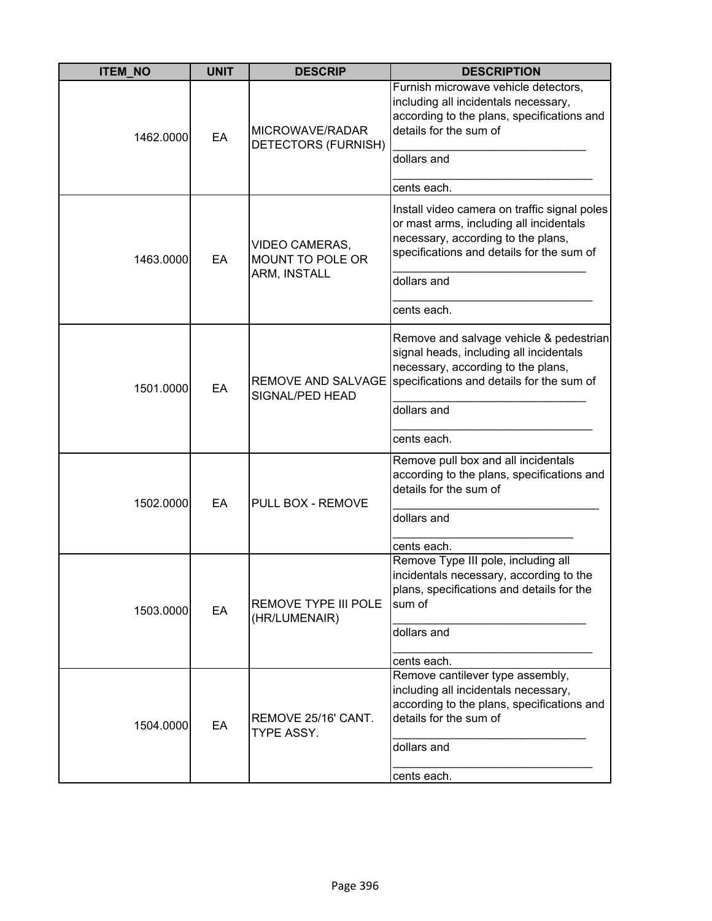| <b>ITEM_NO</b> | <b>UNIT</b> | <b>DESCRIP</b>                               | <b>DESCRIPTION</b>                                                                                                                                                                       |
|----------------|-------------|----------------------------------------------|------------------------------------------------------------------------------------------------------------------------------------------------------------------------------------------|
| 1462.0000      | EA          | MICROWAVE/RADAR<br>DETECTORS (FURNISH)       | Furnish microwave vehicle detectors,<br>including all incidentals necessary,<br>according to the plans, specifications and<br>details for the sum of<br>dollars and                      |
|                |             |                                              | cents each.                                                                                                                                                                              |
| 1463.0000      | EA          | VIDEO CAMERAS,<br>MOUNT TO POLE OR           | Install video camera on traffic signal poles<br>or mast arms, including all incidentals<br>necessary, according to the plans,<br>specifications and details for the sum of               |
|                |             | ARM, INSTALL                                 | dollars and                                                                                                                                                                              |
|                |             |                                              | cents each.                                                                                                                                                                              |
| 1501.0000      | EA          | SIGNAL/PED HEAD                              | Remove and salvage vehicle & pedestrian<br>signal heads, including all incidentals<br>necessary, according to the plans,<br>REMOVE AND SALVAGE specifications and details for the sum of |
|                |             |                                              | dollars and                                                                                                                                                                              |
|                |             |                                              | cents each.                                                                                                                                                                              |
| 1502.0000      | EA          | PULL BOX - REMOVE                            | Remove pull box and all incidentals<br>according to the plans, specifications and<br>details for the sum of                                                                              |
|                |             |                                              | dollars and                                                                                                                                                                              |
|                |             |                                              | cents each.                                                                                                                                                                              |
| 1503.0000      | EA          | <b>REMOVE TYPE III POLE</b><br>(HR/LUMENAIR) | Remove Type III pole, including all<br>incidentals necessary, according to the<br>plans, specifications and details for the<br>sum of                                                    |
|                |             |                                              | dollars and                                                                                                                                                                              |
|                |             |                                              | cents each.<br>Remove cantilever type assembly,                                                                                                                                          |
| 1504.0000      | EA          | REMOVE 25/16' CANT.<br>TYPE ASSY.            | including all incidentals necessary,<br>according to the plans, specifications and<br>details for the sum of                                                                             |
|                |             |                                              | dollars and                                                                                                                                                                              |
|                |             |                                              | cents each.                                                                                                                                                                              |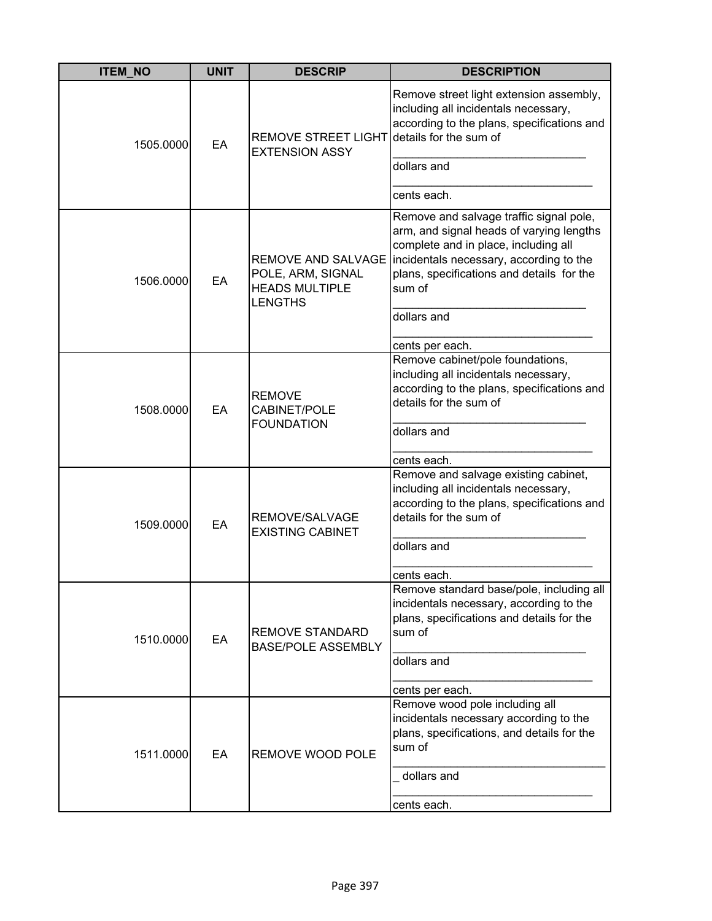| <b>ITEM NO</b> | <b>UNIT</b> | <b>DESCRIP</b>                                                                            | <b>DESCRIPTION</b>                                                                                                                                                                                                                                              |
|----------------|-------------|-------------------------------------------------------------------------------------------|-----------------------------------------------------------------------------------------------------------------------------------------------------------------------------------------------------------------------------------------------------------------|
| 1505.0000      | EA          | REMOVE STREET LIGHT details for the sum of<br><b>EXTENSION ASSY</b>                       | Remove street light extension assembly,<br>including all incidentals necessary,<br>according to the plans, specifications and<br>dollars and<br>cents each.                                                                                                     |
| 1506.0000      | EA          | <b>REMOVE AND SALVAGE</b><br>POLE, ARM, SIGNAL<br><b>HEADS MULTIPLE</b><br><b>LENGTHS</b> | Remove and salvage traffic signal pole,<br>arm, and signal heads of varying lengths<br>complete and in place, including all<br>incidentals necessary, according to the<br>plans, specifications and details for the<br>sum of<br>dollars and<br>cents per each. |
| 1508.0000      | EA          | <b>REMOVE</b><br>CABINET/POLE<br><b>FOUNDATION</b>                                        | Remove cabinet/pole foundations,<br>including all incidentals necessary,<br>according to the plans, specifications and<br>details for the sum of<br>dollars and<br>cents each.                                                                                  |
| 1509.0000      | EA          | REMOVE/SALVAGE<br><b>EXISTING CABINET</b>                                                 | Remove and salvage existing cabinet,<br>including all incidentals necessary,<br>according to the plans, specifications and<br>details for the sum of<br>dollars and<br>cents each.                                                                              |
| 1510.0000      | EA          | <b>REMOVE STANDARD</b><br><b>BASE/POLE ASSEMBLY</b>                                       | Remove standard base/pole, including all<br>incidentals necessary, according to the<br>plans, specifications and details for the<br>sum of<br>dollars and<br>cents per each.                                                                                    |
| 1511.0000      | EA          | REMOVE WOOD POLE                                                                          | Remove wood pole including all<br>incidentals necessary according to the<br>plans, specifications, and details for the<br>sum of<br>dollars and<br>cents each.                                                                                                  |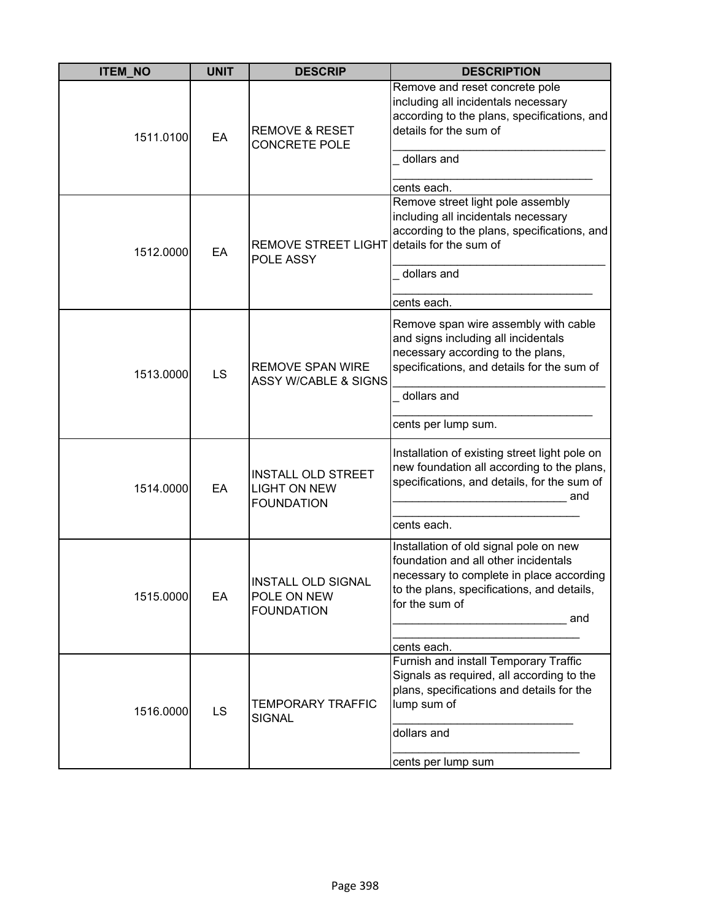| <b>ITEM_NO</b> | <b>UNIT</b> | <b>DESCRIP</b>                                                        | <b>DESCRIPTION</b>                                                                                                                                                                                               |
|----------------|-------------|-----------------------------------------------------------------------|------------------------------------------------------------------------------------------------------------------------------------------------------------------------------------------------------------------|
| 1511.0100      | EA          | <b>REMOVE &amp; RESET</b><br><b>CONCRETE POLE</b>                     | Remove and reset concrete pole<br>including all incidentals necessary<br>according to the plans, specifications, and<br>details for the sum of<br>dollars and<br>cents each.                                     |
| 1512.0000      | EA          | <b>REMOVE STREET LIGHT</b><br>POLE ASSY                               | Remove street light pole assembly<br>including all incidentals necessary<br>according to the plans, specifications, and<br>details for the sum of<br>dollars and<br>cents each.                                  |
| 1513.0000      | LS          | <b>REMOVE SPAN WIRE</b><br><b>ASSY W/CABLE &amp; SIGNS</b>            | Remove span wire assembly with cable<br>and signs including all incidentals<br>necessary according to the plans,<br>specifications, and details for the sum of<br>dollars and<br>cents per lump sum.             |
| 1514.0000      | EA          | <b>INSTALL OLD STREET</b><br><b>LIGHT ON NEW</b><br><b>FOUNDATION</b> | Installation of existing street light pole on<br>new foundation all according to the plans,<br>specifications, and details, for the sum of<br>and<br>cents each.                                                 |
| 1515.0000      | EA          | <b>INSTALL OLD SIGNAL</b><br>POLE ON NEW<br><b>FOUNDATION</b>         | Installation of old signal pole on new<br>foundation and all other incidentals<br>necessary to complete in place according<br>to the plans, specifications, and details,<br>for the sum of<br>and<br>cents each. |
| 1516.0000      | <b>LS</b>   | TEMPORARY TRAFFIC<br><b>SIGNAL</b>                                    | Furnish and install Temporary Traffic<br>Signals as required, all according to the<br>plans, specifications and details for the<br>lump sum of<br>dollars and<br>cents per lump sum                              |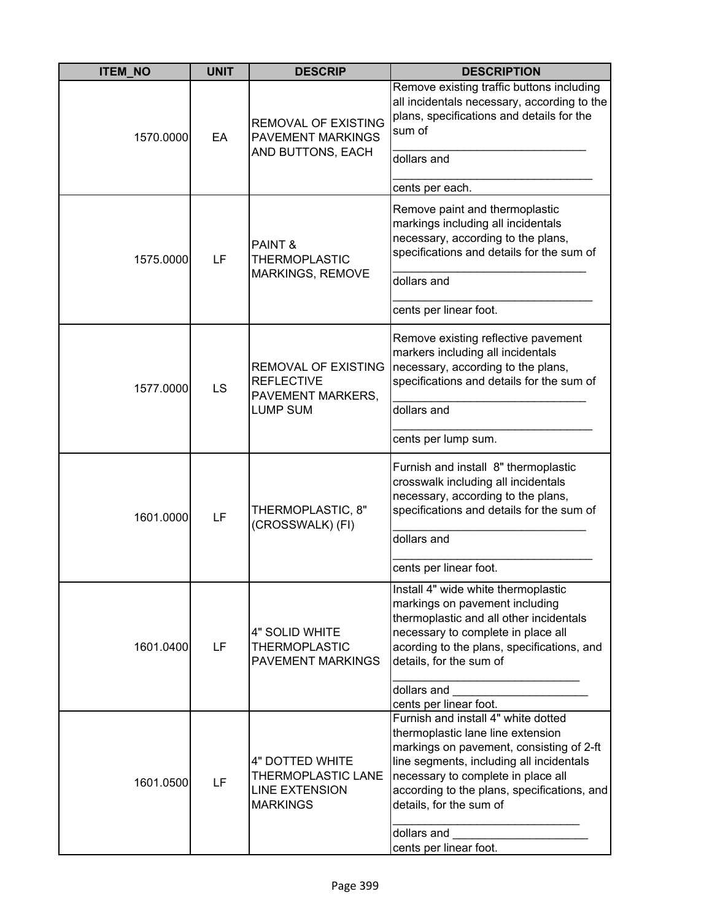| <b>ITEM_NO</b> | <b>UNIT</b> | <b>DESCRIP</b>                                                                           | <b>DESCRIPTION</b>                                                                                                                                                                                                                                                                                                        |
|----------------|-------------|------------------------------------------------------------------------------------------|---------------------------------------------------------------------------------------------------------------------------------------------------------------------------------------------------------------------------------------------------------------------------------------------------------------------------|
| 1570.0000      | EA          | <b>REMOVAL OF EXISTING</b><br><b>PAVEMENT MARKINGS</b><br>AND BUTTONS, EACH              | Remove existing traffic buttons including<br>all incidentals necessary, according to the<br>plans, specifications and details for the<br>sum of<br>dollars and                                                                                                                                                            |
|                |             |                                                                                          | cents per each.                                                                                                                                                                                                                                                                                                           |
| 1575.0000      | LF          | PAINT &<br><b>THERMOPLASTIC</b><br>MARKINGS, REMOVE                                      | Remove paint and thermoplastic<br>markings including all incidentals<br>necessary, according to the plans,<br>specifications and details for the sum of<br>dollars and                                                                                                                                                    |
|                |             |                                                                                          | cents per linear foot.                                                                                                                                                                                                                                                                                                    |
| 1577.0000      | LS          | <b>REMOVAL OF EXISTING</b><br><b>REFLECTIVE</b><br>PAVEMENT MARKERS,<br><b>LUMP SUM</b>  | Remove existing reflective pavement<br>markers including all incidentals<br>necessary, according to the plans,<br>specifications and details for the sum of<br>dollars and                                                                                                                                                |
|                |             |                                                                                          | cents per lump sum.                                                                                                                                                                                                                                                                                                       |
| 1601.0000      | LF          | THERMOPLASTIC, 8"<br>(CROSSWALK) (FI)                                                    | Furnish and install 8" thermoplastic<br>crosswalk including all incidentals<br>necessary, according to the plans,<br>specifications and details for the sum of<br>dollars and                                                                                                                                             |
|                |             |                                                                                          | cents per linear foot.                                                                                                                                                                                                                                                                                                    |
| 1601.0400      | LF          | 4" SOLID WHITE<br><b>THERMOPLASTIC</b><br><b>PAVEMENT MARKINGS</b>                       | Install 4" wide white thermoplastic<br>markings on pavement including<br>thermoplastic and all other incidentals<br>necessary to complete in place all<br>acording to the plans, specifications, and<br>details, for the sum of                                                                                           |
|                |             |                                                                                          | dollars and<br>cents per linear foot.                                                                                                                                                                                                                                                                                     |
| 1601.0500      | LF          | 4" DOTTED WHITE<br><b>THERMOPLASTIC LANE</b><br><b>LINE EXTENSION</b><br><b>MARKINGS</b> | Furnish and install 4" white dotted<br>thermoplastic lane line extension<br>markings on pavement, consisting of 2-ft<br>line segments, including all incidentals<br>necessary to complete in place all<br>according to the plans, specifications, and<br>details, for the sum of<br>dollars and<br>cents per linear foot. |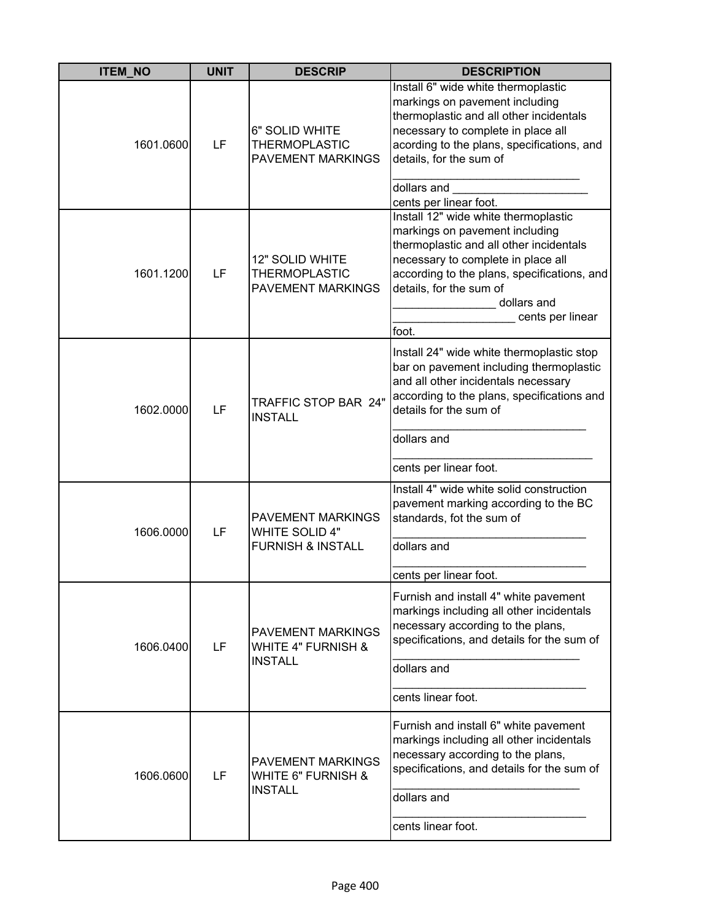| <b>ITEM_NO</b> | <b>UNIT</b> | <b>DESCRIP</b>                                                                    | <b>DESCRIPTION</b>                                                                                                                                                                                                                                                            |
|----------------|-------------|-----------------------------------------------------------------------------------|-------------------------------------------------------------------------------------------------------------------------------------------------------------------------------------------------------------------------------------------------------------------------------|
| 1601.0600      | LF          | 6" SOLID WHITE<br><b>THERMOPLASTIC</b><br><b>PAVEMENT MARKINGS</b>                | Install 6" wide white thermoplastic<br>markings on pavement including<br>thermoplastic and all other incidentals<br>necessary to complete in place all<br>acording to the plans, specifications, and<br>details, for the sum of<br>dollars and<br>cents per linear foot.      |
| 1601.1200      | LF          | 12" SOLID WHITE<br><b>THERMOPLASTIC</b><br>PAVEMENT MARKINGS                      | Install 12" wide white thermoplastic<br>markings on pavement including<br>thermoplastic and all other incidentals<br>necessary to complete in place all<br>according to the plans, specifications, and<br>details, for the sum of<br>dollars and<br>cents per linear<br>foot. |
| 1602.0000      | LF          | TRAFFIC STOP BAR 24"<br><b>INSTALL</b>                                            | Install 24" wide white thermoplastic stop<br>bar on pavement including thermoplastic<br>and all other incidentals necessary<br>according to the plans, specifications and<br>details for the sum of<br>dollars and<br>cents per linear foot.                                  |
| 1606.0000      | LF          | <b>PAVEMENT MARKINGS</b><br><b>WHITE SOLID 4"</b><br><b>FURNISH &amp; INSTALL</b> | Install 4" wide white solid construction<br>pavement marking according to the BC<br>standards, fot the sum of<br>dollars and<br>cents per linear foot.                                                                                                                        |
| 1606.0400      | LF          | <b>PAVEMENT MARKINGS</b><br><b>WHITE 4" FURNISH &amp;</b><br><b>INSTALL</b>       | Furnish and install 4" white pavement<br>markings including all other incidentals<br>necessary according to the plans,<br>specifications, and details for the sum of<br>dollars and<br>cents linear foot.                                                                     |
| 1606.0600      | LF          | <b>PAVEMENT MARKINGS</b><br><b>WHITE 6" FURNISH &amp;</b><br><b>INSTALL</b>       | Furnish and install 6" white pavement<br>markings including all other incidentals<br>necessary according to the plans,<br>specifications, and details for the sum of<br>dollars and<br>cents linear foot.                                                                     |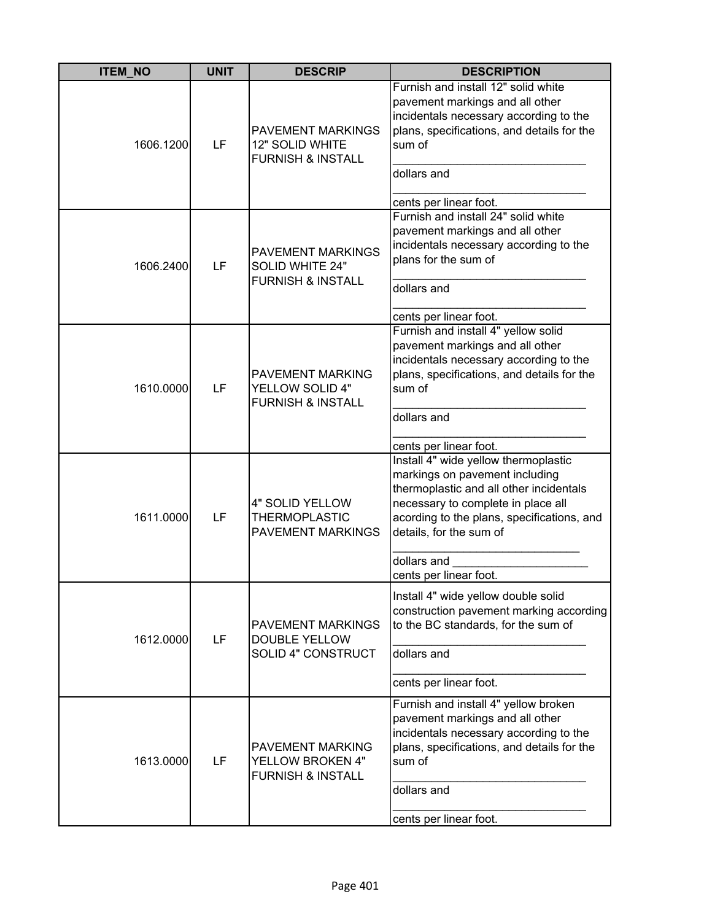| <b>ITEM_NO</b> | <b>UNIT</b> | <b>DESCRIP</b>                                                                     | <b>DESCRIPTION</b>                                                                                                                                                                                                                                                        |
|----------------|-------------|------------------------------------------------------------------------------------|---------------------------------------------------------------------------------------------------------------------------------------------------------------------------------------------------------------------------------------------------------------------------|
| 1606.1200      | LF          | <b>PAVEMENT MARKINGS</b><br>12" SOLID WHITE<br><b>FURNISH &amp; INSTALL</b>        | Furnish and install 12" solid white<br>pavement markings and all other<br>incidentals necessary according to the<br>plans, specifications, and details for the<br>sum of<br>dollars and<br>cents per linear foot.                                                         |
| 1606.2400      | LF          | <b>PAVEMENT MARKINGS</b><br><b>SOLID WHITE 24"</b><br><b>FURNISH &amp; INSTALL</b> | Furnish and install 24" solid white<br>pavement markings and all other<br>incidentals necessary according to the<br>plans for the sum of<br>dollars and<br>cents per linear foot.                                                                                         |
| 1610.0000      | LF          | <b>PAVEMENT MARKING</b><br><b>YELLOW SOLID 4"</b><br><b>FURNISH &amp; INSTALL</b>  | Furnish and install 4" yellow solid<br>pavement markings and all other<br>incidentals necessary according to the<br>plans, specifications, and details for the<br>sum of<br>dollars and<br>cents per linear foot.                                                         |
| 1611.0000      | LF          | 4" SOLID YELLOW<br><b>THERMOPLASTIC</b><br><b>PAVEMENT MARKINGS</b>                | Install 4" wide yellow thermoplastic<br>markings on pavement including<br>thermoplastic and all other incidentals<br>necessary to complete in place all<br>acording to the plans, specifications, and<br>details, for the sum of<br>dollars and<br>cents per linear foot. |
| 1612.0000      | LF          | <b>PAVEMENT MARKINGS</b><br><b>DOUBLE YELLOW</b><br>SOLID 4" CONSTRUCT             | Install 4" wide yellow double solid<br>construction pavement marking according<br>to the BC standards, for the sum of<br>dollars and<br>cents per linear foot.                                                                                                            |
| 1613.0000      | LF          | PAVEMENT MARKING<br>YELLOW BROKEN 4"<br><b>FURNISH &amp; INSTALL</b>               | Furnish and install 4" yellow broken<br>pavement markings and all other<br>incidentals necessary according to the<br>plans, specifications, and details for the<br>sum of<br>dollars and<br>cents per linear foot.                                                        |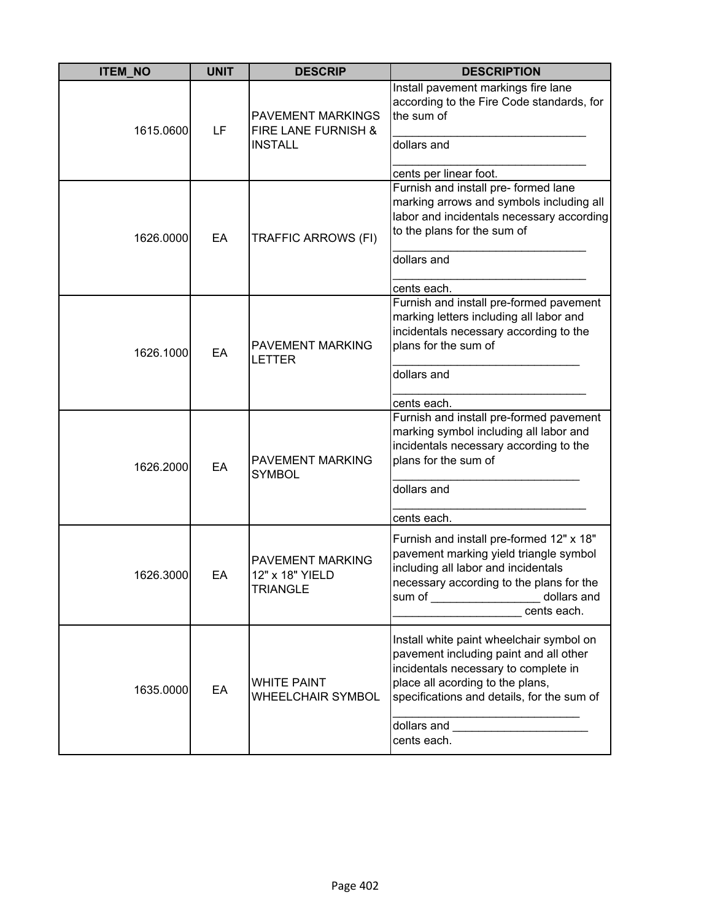| <b>ITEM_NO</b> | <b>UNIT</b> | <b>DESCRIP</b>                                                    | <b>DESCRIPTION</b>                                                                                                                                                                                                                                                                                                                                                                                                                                                  |
|----------------|-------------|-------------------------------------------------------------------|---------------------------------------------------------------------------------------------------------------------------------------------------------------------------------------------------------------------------------------------------------------------------------------------------------------------------------------------------------------------------------------------------------------------------------------------------------------------|
| 1615.0600      | LF          | <b>PAVEMENT MARKINGS</b><br>FIRE LANE FURNISH &<br><b>INSTALL</b> | Install pavement markings fire lane<br>according to the Fire Code standards, for<br>the sum of<br>dollars and<br>cents per linear foot.                                                                                                                                                                                                                                                                                                                             |
| 1626.0000      | EA          | TRAFFIC ARROWS (FI)                                               | Furnish and install pre- formed lane<br>marking arrows and symbols including all<br>labor and incidentals necessary according<br>to the plans for the sum of<br>dollars and<br>cents each.                                                                                                                                                                                                                                                                          |
| 1626.1000      | EA          | PAVEMENT MARKING<br><b>LETTER</b>                                 | Furnish and install pre-formed pavement<br>marking letters including all labor and<br>incidentals necessary according to the<br>plans for the sum of<br>dollars and<br>cents each.                                                                                                                                                                                                                                                                                  |
| 1626.2000      | EA          | PAVEMENT MARKING<br><b>SYMBOL</b>                                 | Furnish and install pre-formed pavement<br>marking symbol including all labor and<br>incidentals necessary according to the<br>plans for the sum of<br>dollars and<br>cents each.                                                                                                                                                                                                                                                                                   |
| 1626.3000      | EA          | PAVEMENT MARKING<br>12" x 18" YIELD<br><b>TRIANGLE</b>            | Furnish and install pre-formed 12" x 18"<br>pavement marking yield triangle symbol<br>including all labor and incidentals<br>necessary according to the plans for the<br>sum of ____________________ dollars and<br>cents each.                                                                                                                                                                                                                                     |
| 1635.0000      | EA          | <b>WHITE PAINT</b><br>WHEELCHAIR SYMBOL                           | Install white paint wheelchair symbol on<br>pavement including paint and all other<br>incidentals necessary to complete in<br>place all acording to the plans,<br>specifications and details, for the sum of<br>dollars and <b>with the contract of the contract of the contract of the contract of the contract of the contract of the contract of the contract of the contract of the contract of the contract of the contract of the contract</b><br>cents each. |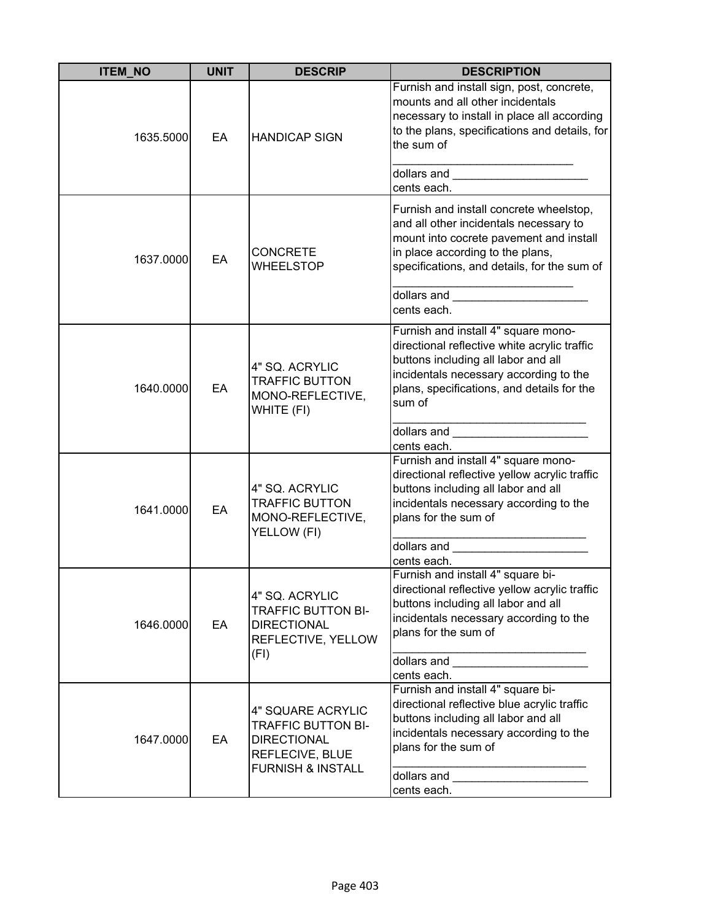| <b>ITEM_NO</b> | <b>UNIT</b> | <b>DESCRIP</b>                                                                                                          | <b>DESCRIPTION</b>                                                                                                                                                                                                                               |
|----------------|-------------|-------------------------------------------------------------------------------------------------------------------------|--------------------------------------------------------------------------------------------------------------------------------------------------------------------------------------------------------------------------------------------------|
| 1635.5000      | EA          | <b>HANDICAP SIGN</b>                                                                                                    | Furnish and install sign, post, concrete,<br>mounts and all other incidentals<br>necessary to install in place all according<br>to the plans, specifications and details, for<br>the sum of                                                      |
|                |             |                                                                                                                         | dollars and _________________________<br>cents each.                                                                                                                                                                                             |
| 1637.0000      | EA          | <b>CONCRETE</b><br><b>WHEELSTOP</b>                                                                                     | Furnish and install concrete wheelstop,<br>and all other incidentals necessary to<br>mount into cocrete pavement and install<br>in place according to the plans,<br>specifications, and details, for the sum of                                  |
|                |             |                                                                                                                         | cents each.                                                                                                                                                                                                                                      |
| 1640.0000      | EA          | 4" SQ. ACRYLIC<br><b>TRAFFIC BUTTON</b><br>MONO-REFLECTIVE,<br>WHITE (FI)                                               | Furnish and install 4" square mono-<br>directional reflective white acrylic traffic<br>buttons including all labor and all<br>incidentals necessary according to the<br>plans, specifications, and details for the<br>sum of                     |
|                |             |                                                                                                                         | dollars and ________________________                                                                                                                                                                                                             |
| 1641.0000      | EA          | 4" SQ. ACRYLIC<br><b>TRAFFIC BUTTON</b><br>MONO-REFLECTIVE,<br>YELLOW (FI)                                              | cents each.<br>Furnish and install 4" square mono-<br>directional reflective yellow acrylic traffic<br>buttons including all labor and all<br>incidentals necessary according to the<br>plans for the sum of                                     |
|                |             |                                                                                                                         |                                                                                                                                                                                                                                                  |
| 1646.0000      | EA          | 4" SQ. ACRYLIC<br><b>TRAFFIC BUTTON BI-</b><br><b>DIRECTIONAL</b><br>REFLECTIVE, YELLOW<br>(FI)                         | cents each.<br>Furnish and install 4" square bi-<br>directional reflective yellow acrylic traffic<br>buttons including all labor and all<br>incidentals necessary according to the<br>plans for the sum of                                       |
|                |             |                                                                                                                         | cents each.                                                                                                                                                                                                                                      |
| 1647.0000      | EA          | 4" SQUARE ACRYLIC<br><b>TRAFFIC BUTTON BI-</b><br><b>DIRECTIONAL</b><br>REFLECIVE, BLUE<br><b>FURNISH &amp; INSTALL</b> | Furnish and install 4" square bi-<br>directional reflective blue acrylic traffic<br>buttons including all labor and all<br>incidentals necessary according to the<br>plans for the sum of<br>dollars and ________________________<br>cents each. |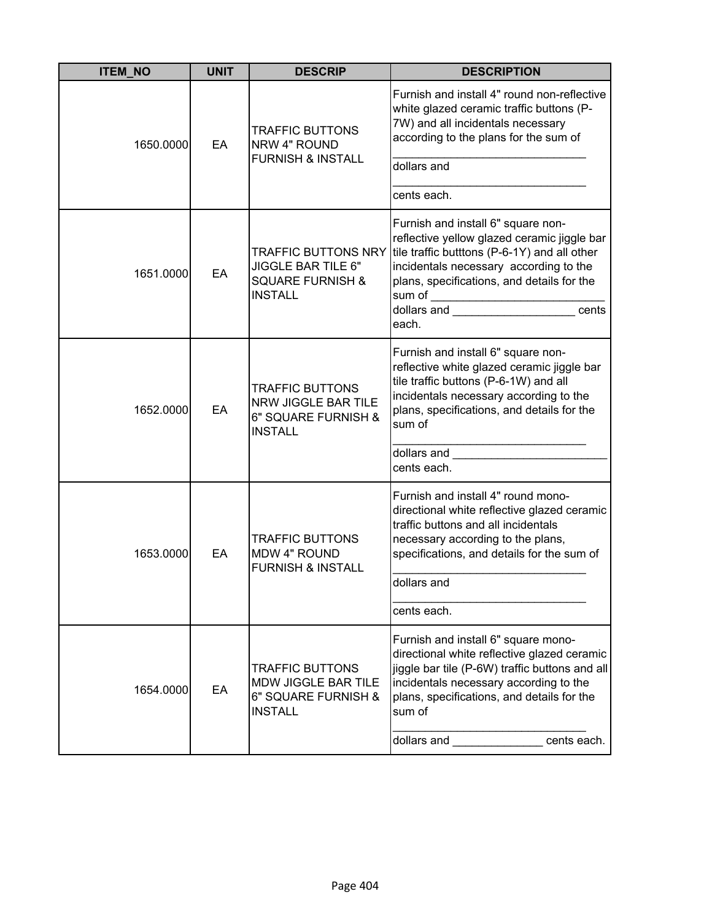| <b>ITEM_NO</b> | <b>UNIT</b> | <b>DESCRIP</b>                                                                                    | <b>DESCRIPTION</b>                                                                                                                                                                                                                                                                                 |
|----------------|-------------|---------------------------------------------------------------------------------------------------|----------------------------------------------------------------------------------------------------------------------------------------------------------------------------------------------------------------------------------------------------------------------------------------------------|
| 1650.0000      | EA          | <b>TRAFFIC BUTTONS</b><br>NRW 4" ROUND<br><b>FURNISH &amp; INSTALL</b>                            | Furnish and install 4" round non-reflective<br>white glazed ceramic traffic buttons (P-<br>7W) and all incidentals necessary<br>according to the plans for the sum of<br>dollars and                                                                                                               |
|                |             |                                                                                                   |                                                                                                                                                                                                                                                                                                    |
|                |             |                                                                                                   | cents each.                                                                                                                                                                                                                                                                                        |
| 1651.0000      | EA          | <b>TRAFFIC BUTTONS NRY</b><br>JIGGLE BAR TILE 6"<br><b>SQUARE FURNISH &amp;</b><br><b>INSTALL</b> | Furnish and install 6" square non-<br>reflective yellow glazed ceramic jiggle bar<br>tile traffic butttons (P-6-1Y) and all other<br>incidentals necessary according to the<br>plans, specifications, and details for the<br>sum of ____________________________<br>dollars and the cents<br>each. |
| 1652.0000      | EA          | <b>TRAFFIC BUTTONS</b><br>NRW JIGGLE BAR TILE<br>6" SQUARE FURNISH &<br><b>INSTALL</b>            | Furnish and install 6" square non-<br>reflective white glazed ceramic jiggle bar<br>tile traffic buttons (P-6-1W) and all<br>incidentals necessary according to the<br>plans, specifications, and details for the<br>sum of<br>dollars and<br>cents each.                                          |
| 1653.0000      | EA          | <b>TRAFFIC BUTTONS</b><br><b>MDW 4" ROUND</b><br><b>FURNISH &amp; INSTALL</b>                     | Furnish and install 4" round mono-<br>directional white reflective glazed ceramic<br>traffic buttons and all incidentals<br>necessary according to the plans,<br>specifications, and details for the sum of<br>dollars and<br>cents each.                                                          |
| 1654.0000      | EA          | <b>TRAFFIC BUTTONS</b><br>MDW JIGGLE BAR TILE<br>6" SQUARE FURNISH &<br><b>INSTALL</b>            | Furnish and install 6" square mono-<br>directional white reflective glazed ceramic<br>jiggle bar tile (P-6W) traffic buttons and all<br>incidentals necessary according to the<br>plans, specifications, and details for the<br>sum of<br>dollars and<br>cents each.                               |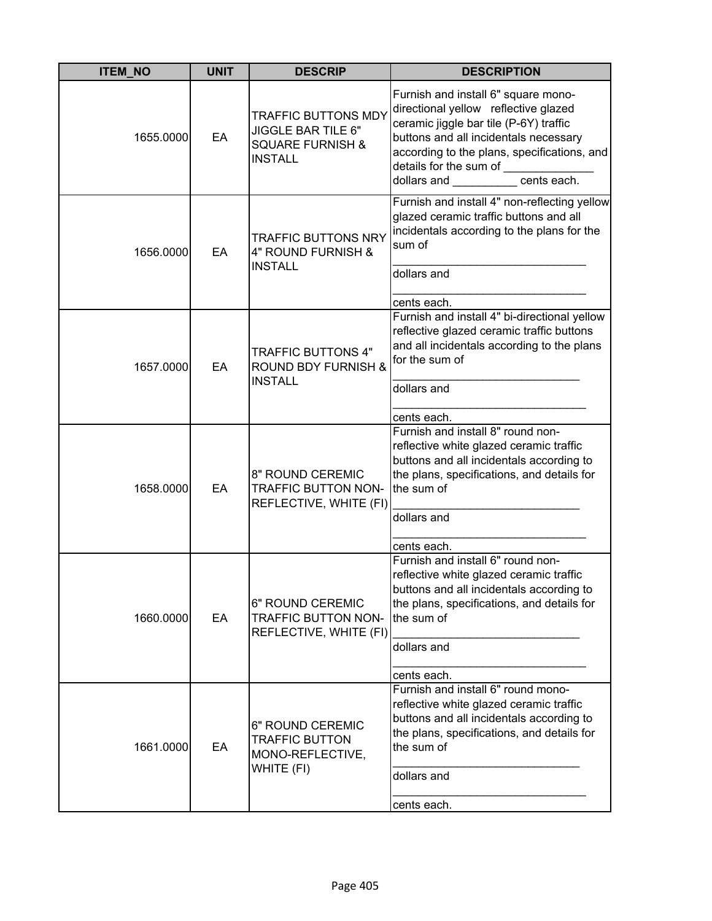| <b>ITEM_NO</b> | <b>UNIT</b> | <b>DESCRIP</b>                                                                                    | <b>DESCRIPTION</b>                                                                                                                                                                                                                                                                     |
|----------------|-------------|---------------------------------------------------------------------------------------------------|----------------------------------------------------------------------------------------------------------------------------------------------------------------------------------------------------------------------------------------------------------------------------------------|
| 1655.0000      | EA          | <b>TRAFFIC BUTTONS MDY</b><br>JIGGLE BAR TILE 6"<br><b>SQUARE FURNISH &amp;</b><br><b>INSTALL</b> | Furnish and install 6" square mono-<br>directional yellow reflective glazed<br>ceramic jiggle bar tile (P-6Y) traffic<br>buttons and all incidentals necessary<br>according to the plans, specifications, and<br>details for the sum of ________<br>dollars and __________ cents each. |
| 1656.0000      | EA          | <b>TRAFFIC BUTTONS NRY</b><br>4" ROUND FURNISH &<br><b>INSTALL</b>                                | Furnish and install 4" non-reflecting yellow<br>glazed ceramic traffic buttons and all<br>incidentals according to the plans for the<br>sum of<br>dollars and<br>cents each.                                                                                                           |
| 1657.0000      | EA          | <b>TRAFFIC BUTTONS 4"</b><br><b>ROUND BDY FURNISH &amp;</b><br><b>INSTALL</b>                     | Furnish and install 4" bi-directional yellow<br>reflective glazed ceramic traffic buttons<br>and all incidentals according to the plans<br>for the sum of<br>dollars and<br>cents each.                                                                                                |
| 1658.0000      | EA          | 8" ROUND CEREMIC<br><b>TRAFFIC BUTTON NON-</b><br>REFLECTIVE, WHITE (FI)                          | Furnish and install 8" round non-<br>reflective white glazed ceramic traffic<br>buttons and all incidentals according to<br>the plans, specifications, and details for<br>the sum of<br>dollars and<br>cents each.                                                                     |
| 1660.0000      | EA          | 6" ROUND CEREMIC<br>TRAFFIC BUTTON NON-<br>REFLECTIVE, WHITE (FI)                                 | Furnish and install 6" round non-<br>reflective white glazed ceramic traffic<br>buttons and all incidentals according to<br>the plans, specifications, and details for<br>the sum of<br>dollars and<br>cents each.                                                                     |
| 1661.0000      | EA          | 6" ROUND CEREMIC<br><b>TRAFFIC BUTTON</b><br>MONO-REFLECTIVE,<br>WHITE (FI)                       | Furnish and install 6" round mono-<br>reflective white glazed ceramic traffic<br>buttons and all incidentals according to<br>the plans, specifications, and details for<br>the sum of<br>dollars and<br>cents each.                                                                    |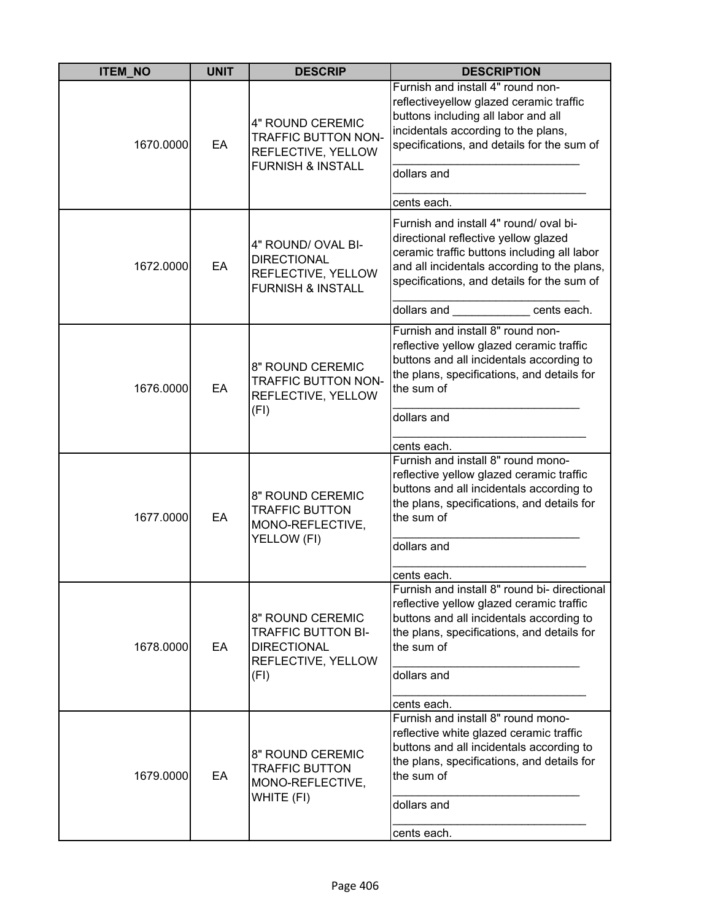| <b>ITEM_NO</b> | <b>UNIT</b> | <b>DESCRIP</b>                                                                                       | <b>DESCRIPTION</b>                                                                                                                                                                                                                                    |
|----------------|-------------|------------------------------------------------------------------------------------------------------|-------------------------------------------------------------------------------------------------------------------------------------------------------------------------------------------------------------------------------------------------------|
| 1670.0000      | EA          | 4" ROUND CEREMIC<br><b>TRAFFIC BUTTON NON-</b><br>REFLECTIVE, YELLOW<br><b>FURNISH &amp; INSTALL</b> | Furnish and install 4" round non-<br>reflectiveyellow glazed ceramic traffic<br>buttons including all labor and all<br>incidentals according to the plans,<br>specifications, and details for the sum of<br>dollars and<br>cents each.                |
| 1672.0000      | EA          | 4" ROUND/ OVAL BI-<br><b>DIRECTIONAL</b><br>REFLECTIVE, YELLOW<br><b>FURNISH &amp; INSTALL</b>       | Furnish and install 4" round/ oval bi-<br>directional reflective yellow glazed<br>ceramic traffic buttons including all labor<br>and all incidentals according to the plans,<br>specifications, and details for the sum of<br>dollars and cents each. |
| 1676.0000      | EA          | 8" ROUND CEREMIC<br><b>TRAFFIC BUTTON NON-</b><br>REFLECTIVE, YELLOW<br>(FI)                         | Furnish and install 8" round non-<br>reflective yellow glazed ceramic traffic<br>buttons and all incidentals according to<br>the plans, specifications, and details for<br>the sum of<br>dollars and<br>cents each.                                   |
| 1677.0000      | EA          | 8" ROUND CEREMIC<br><b>TRAFFIC BUTTON</b><br>MONO-REFLECTIVE,<br>YELLOW (FI)                         | Furnish and install 8" round mono-<br>reflective yellow glazed ceramic traffic<br>buttons and all incidentals according to<br>the plans, specifications, and details for<br>the sum of<br>dollars and<br>cents each.                                  |
| 1678.0000      | EA          | 8" ROUND CEREMIC<br><b>TRAFFIC BUTTON BI-</b><br><b>DIRECTIONAL</b><br>REFLECTIVE, YELLOW<br>(FI)    | Furnish and install 8" round bi- directional<br>reflective yellow glazed ceramic traffic<br>buttons and all incidentals according to<br>the plans, specifications, and details for<br>the sum of<br>dollars and<br>cents each.                        |
| 1679.0000      | EA          | 8" ROUND CEREMIC<br><b>TRAFFIC BUTTON</b><br>MONO-REFLECTIVE,<br>WHITE (FI)                          | Furnish and install 8" round mono-<br>reflective white glazed ceramic traffic<br>buttons and all incidentals according to<br>the plans, specifications, and details for<br>the sum of<br>dollars and<br>cents each.                                   |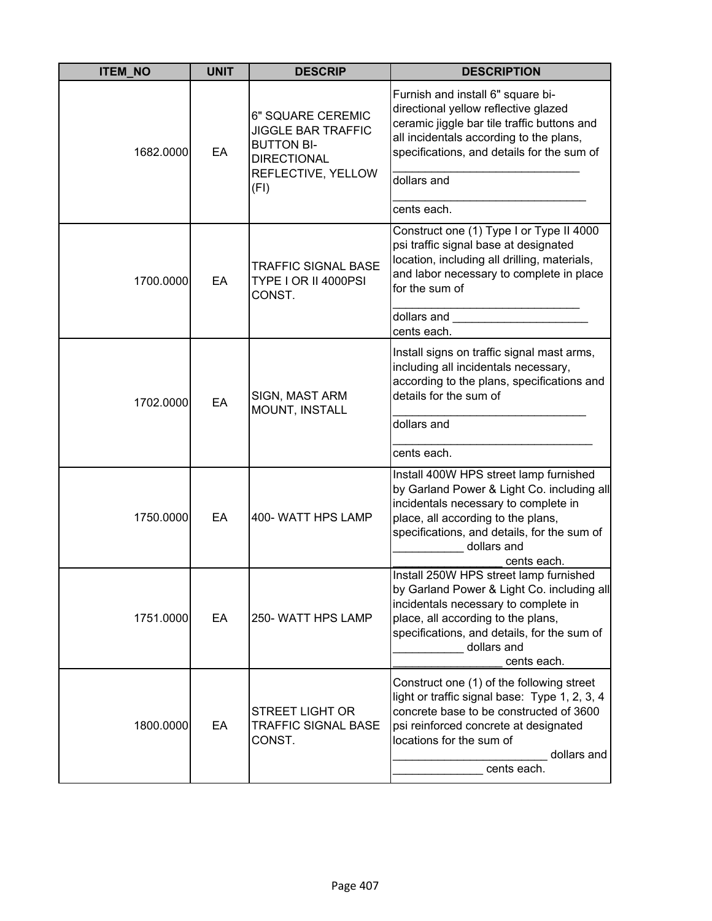| <b>ITEM_NO</b> | <b>UNIT</b> | <b>DESCRIP</b>                                                                                                  | <b>DESCRIPTION</b>                                                                                                                                                                                                                              |
|----------------|-------------|-----------------------------------------------------------------------------------------------------------------|-------------------------------------------------------------------------------------------------------------------------------------------------------------------------------------------------------------------------------------------------|
| 1682.0000      | EA          | 6" SQUARE CEREMIC<br><b>JIGGLE BAR TRAFFIC</b><br><b>BUTTON BI-</b><br><b>DIRECTIONAL</b><br>REFLECTIVE, YELLOW | Furnish and install 6" square bi-<br>directional yellow reflective glazed<br>ceramic jiggle bar tile traffic buttons and<br>all incidentals according to the plans,<br>specifications, and details for the sum of                               |
|                |             | (FI)                                                                                                            | dollars and<br>cents each.                                                                                                                                                                                                                      |
| 1700.0000      | EA          | <b>TRAFFIC SIGNAL BASE</b><br>TYPE I OR II 4000PSI<br>CONST.                                                    | Construct one (1) Type I or Type II 4000<br>psi traffic signal base at designated<br>location, including all drilling, materials,<br>and labor necessary to complete in place<br>for the sum of                                                 |
|                |             |                                                                                                                 | dollars and<br>cents each.                                                                                                                                                                                                                      |
| 1702.0000      | EA          | SIGN, MAST ARM<br>MOUNT, INSTALL                                                                                | Install signs on traffic signal mast arms,<br>including all incidentals necessary,<br>according to the plans, specifications and<br>details for the sum of                                                                                      |
|                |             |                                                                                                                 | dollars and                                                                                                                                                                                                                                     |
|                |             |                                                                                                                 | cents each.                                                                                                                                                                                                                                     |
| 1750.0000      | EA          | 400- WATT HPS LAMP                                                                                              | Install 400W HPS street lamp furnished<br>by Garland Power & Light Co. including all<br>incidentals necessary to complete in<br>place, all according to the plans,<br>specifications, and details, for the sum of<br>dollars and<br>cents each. |
| 1751.0000      | EA          | 250- WATT HPS LAMP                                                                                              | Install 250W HPS street lamp furnished<br>by Garland Power & Light Co. including all<br>incidentals necessary to complete in<br>place, all according to the plans,<br>specifications, and details, for the sum of<br>dollars and<br>cents each. |
| 1800.0000      | EA          | <b>STREET LIGHT OR</b><br><b>TRAFFIC SIGNAL BASE</b><br>CONST.                                                  | Construct one (1) of the following street<br>light or traffic signal base: Type 1, 2, 3, 4<br>concrete base to be constructed of 3600<br>psi reinforced concrete at designated<br>locations for the sum of<br>dollars and<br>cents each.        |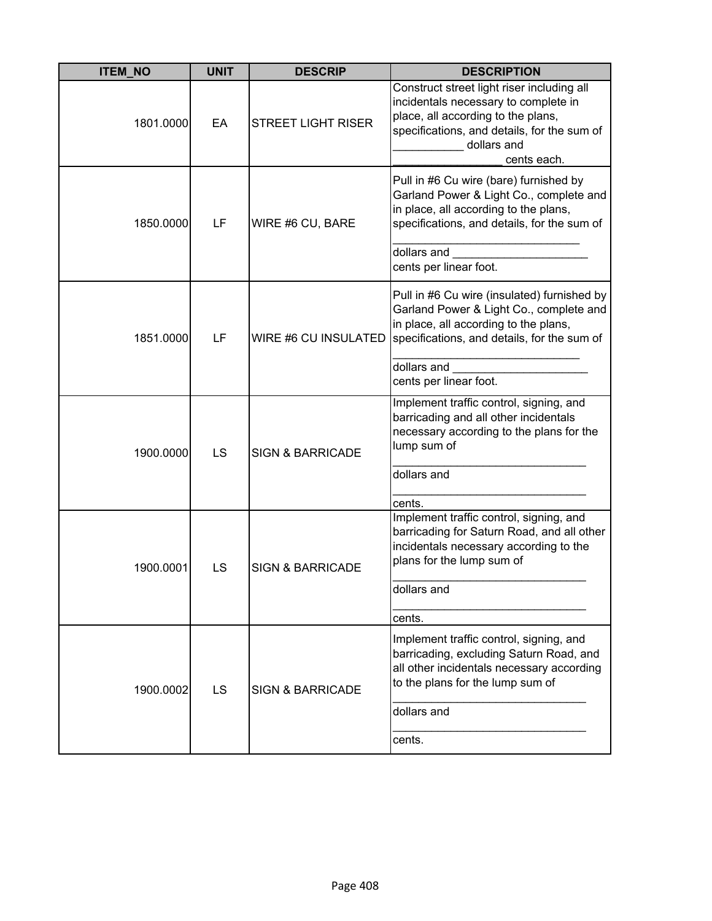| <b>ITEM_NO</b> | <b>UNIT</b> | <b>DESCRIP</b>              | <b>DESCRIPTION</b>                                                                                                                                                                                                      |
|----------------|-------------|-----------------------------|-------------------------------------------------------------------------------------------------------------------------------------------------------------------------------------------------------------------------|
| 1801.0000      | EA          | <b>STREET LIGHT RISER</b>   | Construct street light riser including all<br>incidentals necessary to complete in<br>place, all according to the plans,<br>specifications, and details, for the sum of<br>dollars and<br>cents each.                   |
| 1850.0000      | LF          | WIRE #6 CU, BARE            | Pull in #6 Cu wire (bare) furnished by<br>Garland Power & Light Co., complete and<br>in place, all according to the plans,<br>specifications, and details, for the sum of<br>dollars and<br>cents per linear foot.      |
| 1851.0000      | LF          | WIRE #6 CU INSULATED        | Pull in #6 Cu wire (insulated) furnished by<br>Garland Power & Light Co., complete and<br>in place, all according to the plans,<br>specifications, and details, for the sum of<br>dollars and<br>cents per linear foot. |
| 1900.0000      | LS          | <b>SIGN &amp; BARRICADE</b> | Implement traffic control, signing, and<br>barricading and all other incidentals<br>necessary according to the plans for the<br>lump sum of<br>dollars and<br>cents.                                                    |
| 1900.0001      | LS          | <b>SIGN &amp; BARRICADE</b> | Implement traffic control, signing, and<br>barricading for Saturn Road, and all other<br>incidentals necessary according to the<br>plans for the lump sum of<br>dollars and<br>cents.                                   |
| 1900.0002      | LS          | <b>SIGN &amp; BARRICADE</b> | Implement traffic control, signing, and<br>barricading, excluding Saturn Road, and<br>all other incidentals necessary according<br>to the plans for the lump sum of<br>dollars and<br>cents.                            |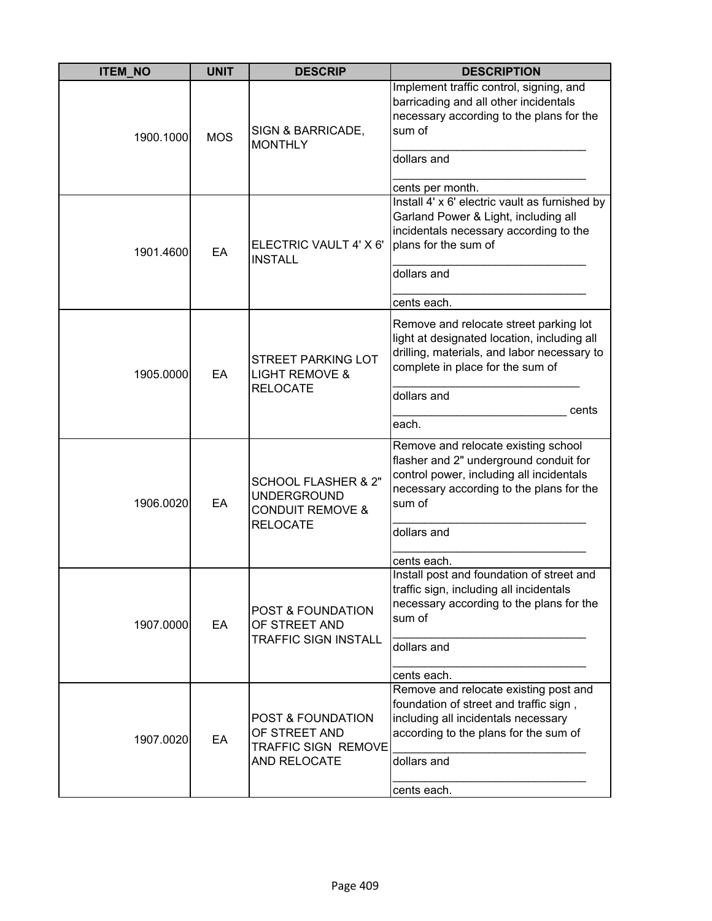| <b>ITEM_NO</b> | <b>UNIT</b>     | <b>DESCRIP</b>                                                                                         | <b>DESCRIPTION</b>                                                                                                                                                                                           |
|----------------|-----------------|--------------------------------------------------------------------------------------------------------|--------------------------------------------------------------------------------------------------------------------------------------------------------------------------------------------------------------|
| 1900.1000      | <b>MOS</b>      | SIGN & BARRICADE,<br><b>MONTHLY</b>                                                                    | Implement traffic control, signing, and<br>barricading and all other incidentals<br>necessary according to the plans for the<br>sum of<br>dollars and                                                        |
|                |                 |                                                                                                        | cents per month.<br>Install 4' x 6' electric vault as furnished by                                                                                                                                           |
| 1901.4600      | EA              | ELECTRIC VAULT 4' X 6'<br><b>INSTALL</b>                                                               | Garland Power & Light, including all<br>incidentals necessary according to the<br>plans for the sum of<br>dollars and                                                                                        |
|                |                 |                                                                                                        | cents each.                                                                                                                                                                                                  |
| 1905.0000      | EA              | <b>STREET PARKING LOT</b><br><b>LIGHT REMOVE &amp;</b><br><b>RELOCATE</b>                              | Remove and relocate street parking lot<br>light at designated location, including all<br>drilling, materials, and labor necessary to<br>complete in place for the sum of                                     |
|                |                 |                                                                                                        | dollars and                                                                                                                                                                                                  |
|                |                 |                                                                                                        | cents<br>each.                                                                                                                                                                                               |
| 1906.0020      | EA              | <b>SCHOOL FLASHER &amp; 2"</b><br><b>UNDERGROUND</b><br><b>CONDUIT REMOVE &amp;</b><br><b>RELOCATE</b> | Remove and relocate existing school<br>flasher and 2" underground conduit for<br>control power, including all incidentals<br>necessary according to the plans for the<br>sum of<br>dollars and               |
|                |                 |                                                                                                        |                                                                                                                                                                                                              |
|                | EA<br>1907.0000 | POST & FOUNDATION<br>OF STREET AND<br><b>TRAFFIC SIGN INSTALL</b>                                      | cents each.<br>Install post and foundation of street and<br>traffic sign, including all incidentals<br>necessary according to the plans for the<br>sum of<br>dollars and                                     |
|                |                 |                                                                                                        |                                                                                                                                                                                                              |
| 1907.0020      | EA              | <b>POST &amp; FOUNDATION</b><br>OF STREET AND<br>TRAFFIC SIGN REMOVE<br>AND RELOCATE                   | cents each.<br>Remove and relocate existing post and<br>foundation of street and traffic sign,<br>including all incidentals necessary<br>according to the plans for the sum of<br>dollars and<br>cents each. |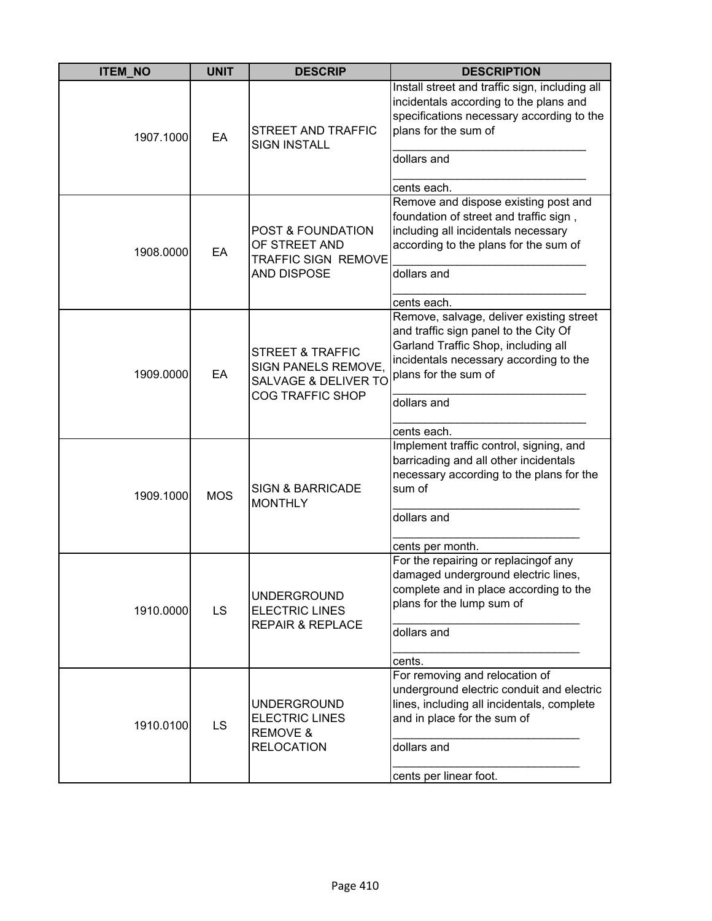| <b>ITEM_NO</b> | <b>UNIT</b> | <b>DESCRIP</b>                                                                                            | <b>DESCRIPTION</b>                                                                                                                                                                                        |
|----------------|-------------|-----------------------------------------------------------------------------------------------------------|-----------------------------------------------------------------------------------------------------------------------------------------------------------------------------------------------------------|
| 1907.1000      | EA          | <b>STREET AND TRAFFIC</b><br><b>SIGN INSTALL</b>                                                          | Install street and traffic sign, including all<br>incidentals according to the plans and<br>specifications necessary according to the<br>plans for the sum of<br>dollars and                              |
|                |             |                                                                                                           | cents each.                                                                                                                                                                                               |
| 1908.0000      | EA          | <b>POST &amp; FOUNDATION</b><br>OF STREET AND<br><b>TRAFFIC SIGN REMOVE</b><br><b>AND DISPOSE</b>         | Remove and dispose existing post and<br>foundation of street and traffic sign,<br>including all incidentals necessary<br>according to the plans for the sum of<br>dollars and                             |
|                |             |                                                                                                           | cents each.                                                                                                                                                                                               |
| 1909.0000      | EA          | <b>STREET &amp; TRAFFIC</b><br>SIGN PANELS REMOVE,<br><b>SALVAGE &amp; DELIVER TO</b><br>COG TRAFFIC SHOP | Remove, salvage, deliver existing street<br>and traffic sign panel to the City Of<br>Garland Traffic Shop, including all<br>incidentals necessary according to the<br>plans for the sum of<br>dollars and |
|                |             |                                                                                                           | cents each.                                                                                                                                                                                               |
| 1909.1000      | <b>MOS</b>  | <b>SIGN &amp; BARRICADE</b><br><b>MONTHLY</b>                                                             | Implement traffic control, signing, and<br>barricading and all other incidentals<br>necessary according to the plans for the<br>sum of                                                                    |
|                |             |                                                                                                           | dollars and                                                                                                                                                                                               |
|                |             |                                                                                                           | cents per month.                                                                                                                                                                                          |
| 1910.0000      | LS          | <b>UNDERGROUND</b><br><b>ELECTRIC LINES</b><br><b>REPAIR &amp; REPLACE</b>                                | For the repairing or replacingof any<br>damaged underground electric lines,<br>complete and in place according to the<br>plans for the lump sum of<br>dollars and<br>cents.                               |
| 1910.0100      | <b>LS</b>   | <b>UNDERGROUND</b><br><b>ELECTRIC LINES</b><br><b>REMOVE &amp;</b><br><b>RELOCATION</b>                   | For removing and relocation of<br>underground electric conduit and electric<br>lines, including all incidentals, complete<br>and in place for the sum of<br>dollars and<br>cents per linear foot.         |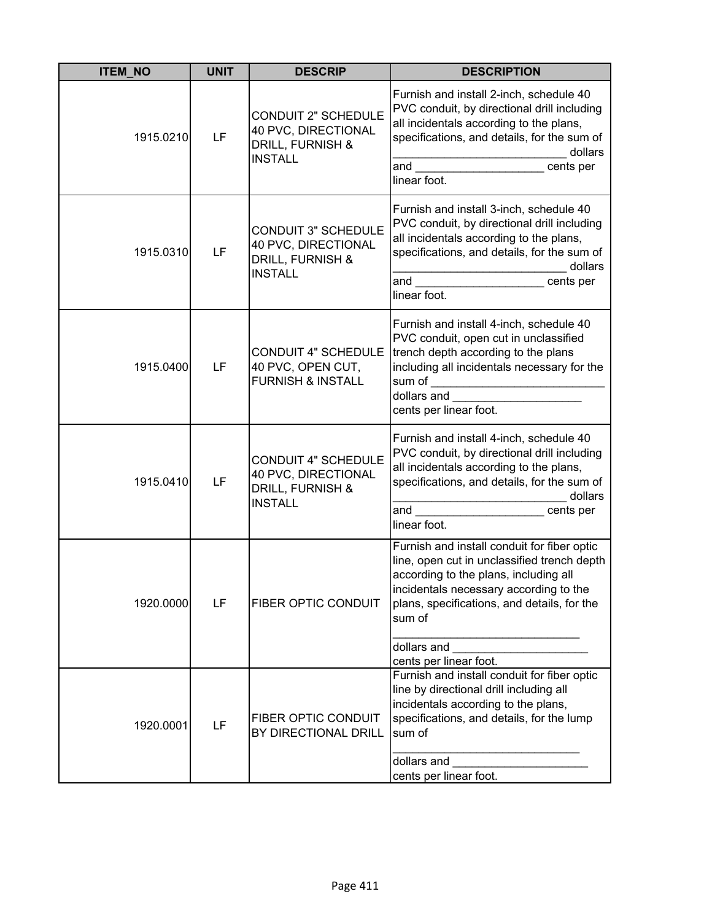| <b>ITEM NO</b> | <b>UNIT</b> | <b>DESCRIP</b>                                                                          | <b>DESCRIPTION</b>                                                                                                                                                                                                                                                                                                                                                                                                                                               |
|----------------|-------------|-----------------------------------------------------------------------------------------|------------------------------------------------------------------------------------------------------------------------------------------------------------------------------------------------------------------------------------------------------------------------------------------------------------------------------------------------------------------------------------------------------------------------------------------------------------------|
| 1915.0210      | LF          | <b>CONDUIT 2" SCHEDULE</b><br>40 PVC, DIRECTIONAL<br>DRILL, FURNISH &<br><b>INSTALL</b> | Furnish and install 2-inch, schedule 40<br>PVC conduit, by directional drill including<br>all incidentals according to the plans,<br>specifications, and details, for the sum of<br>dollars<br>and<br>cents per<br>linear foot.                                                                                                                                                                                                                                  |
| 1915.0310      | LF          | <b>CONDUIT 3" SCHEDULE</b><br>40 PVC, DIRECTIONAL<br>DRILL, FURNISH &<br><b>INSTALL</b> | Furnish and install 3-inch, schedule 40<br>PVC conduit, by directional drill including<br>all incidentals according to the plans,<br>specifications, and details, for the sum of<br>dollars<br>and <u>the contract of the contract of the contract of the contract of the contract of the contract of the contract of the contract of the contract of the contract of the contract of the contract of the contract of the contr</u><br>cents per<br>linear foot. |
| 1915.0400      | LF          | <b>CONDUIT 4" SCHEDULE</b><br>40 PVC, OPEN CUT,<br><b>FURNISH &amp; INSTALL</b>         | Furnish and install 4-inch, schedule 40<br>PVC conduit, open cut in unclassified<br>trench depth according to the plans<br>including all incidentals necessary for the<br>dollars and<br>cents per linear foot.                                                                                                                                                                                                                                                  |
| 1915.0410      | LF          | <b>CONDUIT 4" SCHEDULE</b><br>40 PVC, DIRECTIONAL<br>DRILL, FURNISH &<br><b>INSTALL</b> | Furnish and install 4-inch, schedule 40<br>PVC conduit, by directional drill including<br>all incidentals according to the plans,<br>specifications, and details, for the sum of<br>dollars<br>and<br>cents per<br>linear foot.                                                                                                                                                                                                                                  |
| 1920.0000      | LF          | <b>FIBER OPTIC CONDUIT</b>                                                              | Furnish and install conduit for fiber optic<br>line, open cut in unclassified trench depth<br>according to the plans, including all<br>incidentals necessary according to the<br>plans, specifications, and details, for the<br>sum of<br>dollars and                                                                                                                                                                                                            |
| 1920.0001      | LF          | <b>FIBER OPTIC CONDUIT</b><br>BY DIRECTIONAL DRILL                                      | cents per linear foot.<br>Furnish and install conduit for fiber optic<br>line by directional drill including all<br>incidentals according to the plans,<br>specifications, and details, for the lump<br>sum of<br>dollars and<br>cents per linear foot.                                                                                                                                                                                                          |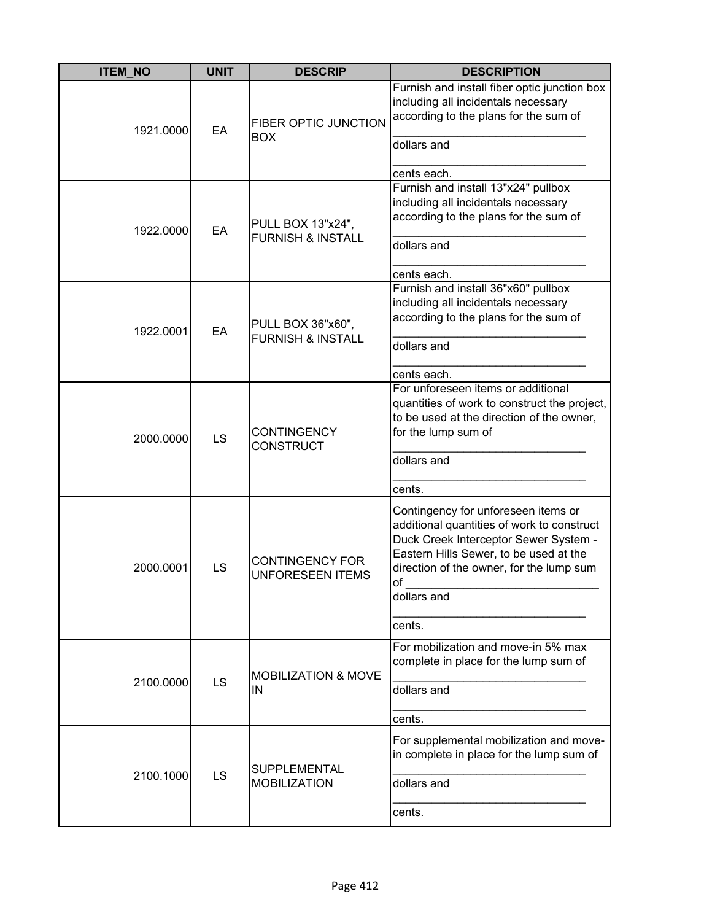| <b>ITEM_NO</b> | <b>UNIT</b> | <b>DESCRIP</b>                                    | <b>DESCRIPTION</b>                                                                                                                                                                                                                                        |
|----------------|-------------|---------------------------------------------------|-----------------------------------------------------------------------------------------------------------------------------------------------------------------------------------------------------------------------------------------------------------|
| 1921.0000      | EA          | <b>FIBER OPTIC JUNCTION</b><br><b>BOX</b>         | Furnish and install fiber optic junction box<br>including all incidentals necessary<br>according to the plans for the sum of<br>dollars and<br>cents each.                                                                                                |
| 1922.0000      | EA          | PULL BOX 13"x24",<br><b>FURNISH &amp; INSTALL</b> | Furnish and install 13"x24" pullbox<br>including all incidentals necessary<br>according to the plans for the sum of<br>dollars and<br>cents each.                                                                                                         |
| 1922.0001      | EA          | PULL BOX 36"x60",<br><b>FURNISH &amp; INSTALL</b> | Furnish and install 36"x60" pullbox<br>including all incidentals necessary<br>according to the plans for the sum of<br>dollars and<br>cents each.                                                                                                         |
| 2000.0000      | LS          | <b>CONTINGENCY</b><br><b>CONSTRUCT</b>            | For unforeseen items or additional<br>quantities of work to construct the project,<br>to be used at the direction of the owner,<br>for the lump sum of<br>dollars and                                                                                     |
| 2000.0001      | LS          | <b>CONTINGENCY FOR</b><br><b>UNFORESEEN ITEMS</b> | cents.<br>Contingency for unforeseen items or<br>additional quantities of work to construct<br>Duck Creek Interceptor Sewer System -<br>Eastern Hills Sewer, to be used at the<br>direction of the owner, for the lump sum<br>Ωf<br>dollars and<br>cents. |
| 2100.0000      | <b>LS</b>   | <b>MOBILIZATION &amp; MOVE</b><br>IN              | For mobilization and move-in 5% max<br>complete in place for the lump sum of<br>dollars and<br>cents.                                                                                                                                                     |
| 2100.1000      | <b>LS</b>   | <b>SUPPLEMENTAL</b><br><b>MOBILIZATION</b>        | For supplemental mobilization and move-<br>in complete in place for the lump sum of<br>dollars and<br>cents.                                                                                                                                              |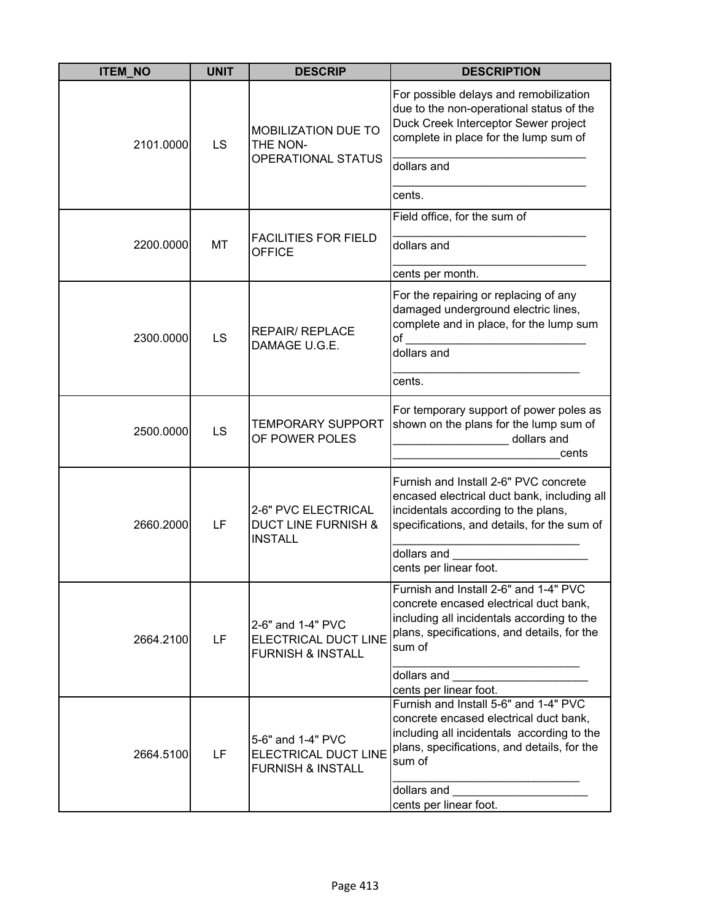| <b>ITEM_NO</b> | <b>UNIT</b> | <b>DESCRIP</b>                                                            | <b>DESCRIPTION</b>                                                                                                                                                                                                              |
|----------------|-------------|---------------------------------------------------------------------------|---------------------------------------------------------------------------------------------------------------------------------------------------------------------------------------------------------------------------------|
| 2101.0000      | LS          | <b>MOBILIZATION DUE TO</b><br>THE NON-<br><b>OPERATIONAL STATUS</b>       | For possible delays and remobilization<br>due to the non-operational status of the<br>Duck Creek Interceptor Sewer project<br>complete in place for the lump sum of<br>dollars and<br>cents.                                    |
| 2200.0000      | MT          | <b>FACILITIES FOR FIELD</b><br><b>OFFICE</b>                              | Field office, for the sum of<br>dollars and<br>cents per month.                                                                                                                                                                 |
| 2300.0000      | LS          | <b>REPAIR/ REPLACE</b><br>DAMAGE U.G.E.                                   | For the repairing or replacing of any<br>damaged underground electric lines,<br>complete and in place, for the lump sum<br>of<br>dollars and<br>cents.                                                                          |
| 2500.0000      | LS          | <b>TEMPORARY SUPPORT</b><br>OF POWER POLES                                | For temporary support of power poles as<br>shown on the plans for the lump sum of<br>dollars and<br>cents                                                                                                                       |
| 2660.2000      | LF          | 2-6" PVC ELECTRICAL<br><b>DUCT LINE FURNISH &amp;</b><br><b>INSTALL</b>   | Furnish and Install 2-6" PVC concrete<br>encased electrical duct bank, including all<br>incidentals according to the plans,<br>specifications, and details, for the sum of<br>dollars and<br>cents per linear foot.             |
| 2664.2100      | <b>LF</b>   | 2-6" and 1-4" PVC<br>ELECTRICAL DUCT LINE<br><b>FURNISH &amp; INSTALL</b> | Furnish and Install 2-6" and 1-4" PVC<br>concrete encased electrical duct bank,<br>including all incidentals according to the<br>plans, specifications, and details, for the<br>sum of<br>dollars and<br>cents per linear foot. |
| 2664.5100      | LF          | 5-6" and 1-4" PVC<br>ELECTRICAL DUCT LINE<br><b>FURNISH &amp; INSTALL</b> | Furnish and Install 5-6" and 1-4" PVC<br>concrete encased electrical duct bank,<br>including all incidentals according to the<br>plans, specifications, and details, for the<br>sum of<br>dollars and<br>cents per linear foot. |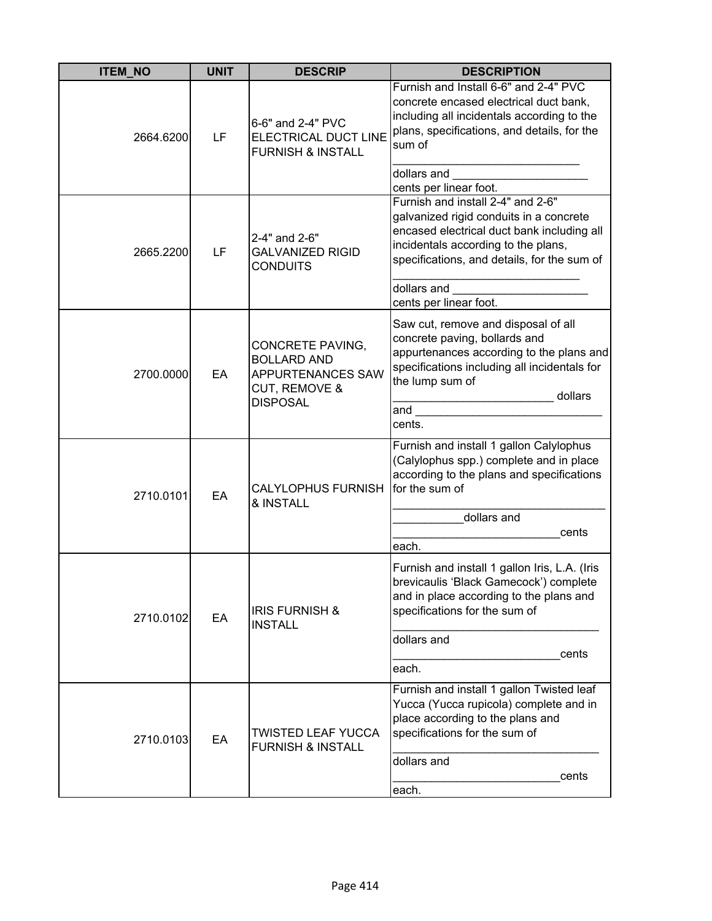| <b>ITEM NO</b> | <b>UNIT</b> | <b>DESCRIP</b>                                                                                         | <b>DESCRIPTION</b>                                                                                                                                                                                                                                                                                 |
|----------------|-------------|--------------------------------------------------------------------------------------------------------|----------------------------------------------------------------------------------------------------------------------------------------------------------------------------------------------------------------------------------------------------------------------------------------------------|
| 2664.6200      | LF          | 6-6" and 2-4" PVC<br>ELECTRICAL DUCT LINE<br><b>FURNISH &amp; INSTALL</b>                              | Furnish and Install 6-6" and 2-4" PVC<br>concrete encased electrical duct bank,<br>including all incidentals according to the<br>plans, specifications, and details, for the<br>sum of                                                                                                             |
| 2665.2200      | LF          | 2-4" and 2-6"<br><b>GALVANIZED RIGID</b><br><b>CONDUITS</b>                                            | dollars and<br>cents per linear foot.<br>Furnish and install 2-4" and 2-6"<br>galvanized rigid conduits in a concrete<br>encased electrical duct bank including all<br>incidentals according to the plans,<br>specifications, and details, for the sum of<br>dollars and<br>cents per linear foot. |
| 2700.0000      | EA          | CONCRETE PAVING,<br><b>BOLLARD AND</b><br><b>APPURTENANCES SAW</b><br>CUT, REMOVE &<br><b>DISPOSAL</b> | Saw cut, remove and disposal of all<br>concrete paving, bollards and<br>appurtenances according to the plans and<br>specifications including all incidentals for<br>the lump sum of<br>dollars<br>and<br>cents.                                                                                    |
| 2710.0101      | EA          | <b>CALYLOPHUS FURNISH</b><br>& INSTALL                                                                 | Furnish and install 1 gallon Calylophus<br>(Calylophus spp.) complete and in place<br>according to the plans and specifications<br>for the sum of<br>dollars and<br>cents<br>each.                                                                                                                 |
| 2710.0102      | EA          | <b>IRIS FURNISH &amp;</b><br><b>INSTALL</b>                                                            | Furnish and install 1 gallon Iris, L.A. (Iris<br>brevicaulis 'Black Gamecock') complete<br>and in place according to the plans and<br>specifications for the sum of<br>dollars and<br>cents<br>each.                                                                                               |
| 2710.0103      | EA          | TWISTED LEAF YUCCA<br><b>FURNISH &amp; INSTALL</b>                                                     | Furnish and install 1 gallon Twisted leaf<br>Yucca (Yucca rupicola) complete and in<br>place according to the plans and<br>specifications for the sum of<br>dollars and<br>cents<br>each.                                                                                                          |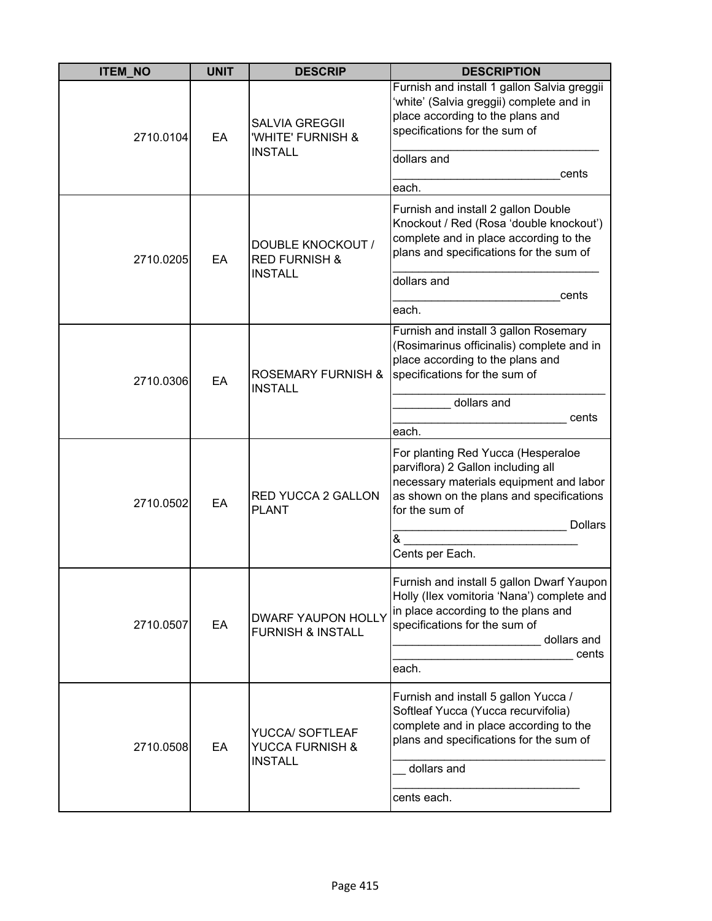| <b>ITEM_NO</b> | <b>UNIT</b> | <b>DESCRIP</b>                                               | <b>DESCRIPTION</b>                                                                                                                                                                                  |
|----------------|-------------|--------------------------------------------------------------|-----------------------------------------------------------------------------------------------------------------------------------------------------------------------------------------------------|
| 2710.0104      | EA          | <b>SALVIA GREGGII</b><br>'WHITE' FURNISH &<br><b>INSTALL</b> | Furnish and install 1 gallon Salvia greggii<br>'white' (Salvia greggii) complete and in<br>place according to the plans and<br>specifications for the sum of<br>dollars and                         |
|                |             |                                                              | cents<br>each.                                                                                                                                                                                      |
| 2710.0205      | EA          | <b>DOUBLE KNOCKOUT /</b><br><b>RED FURNISH &amp;</b>         | Furnish and install 2 gallon Double<br>Knockout / Red (Rosa 'double knockout')<br>complete and in place according to the<br>plans and specifications for the sum of                                 |
|                |             | <b>INSTALL</b>                                               | dollars and<br>cents                                                                                                                                                                                |
|                |             |                                                              | each.                                                                                                                                                                                               |
| 2710.0306      | EA          | <b>ROSEMARY FURNISH &amp;</b><br><b>INSTALL</b>              | Furnish and install 3 gallon Rosemary<br>(Rosimarinus officinalis) complete and in<br>place according to the plans and<br>specifications for the sum of                                             |
|                |             |                                                              | dollars and<br>cents                                                                                                                                                                                |
|                |             |                                                              | each.                                                                                                                                                                                               |
| 2710.0502      | EA          | <b>RED YUCCA 2 GALLON</b><br><b>PLANT</b>                    | For planting Red Yucca (Hesperaloe<br>parviflora) 2 Gallon including all<br>necessary materials equipment and labor<br>as shown on the plans and specifications<br>for the sum of<br><b>Dollars</b> |
|                |             |                                                              | &<br>Cents per Each.                                                                                                                                                                                |
| 2710.0507      | EA          | <b>DWARF YAUPON HOLLY</b><br><b>FURNISH &amp; INSTALL</b>    | Furnish and install 5 gallon Dwarf Yaupon<br>Holly (Ilex vomitoria 'Nana') complete and<br>in place according to the plans and<br>specifications for the sum of<br>dollars and<br>cents<br>each.    |
| 2710.0508      | EA          | YUCCA/ SOFTLEAF<br>YUCCA FURNISH &<br><b>INSTALL</b>         | Furnish and install 5 gallon Yucca /<br>Softleaf Yucca (Yucca recurvifolia)<br>complete and in place according to the<br>plans and specifications for the sum of<br>dollars and                     |
|                |             |                                                              | cents each.                                                                                                                                                                                         |
|                |             |                                                              |                                                                                                                                                                                                     |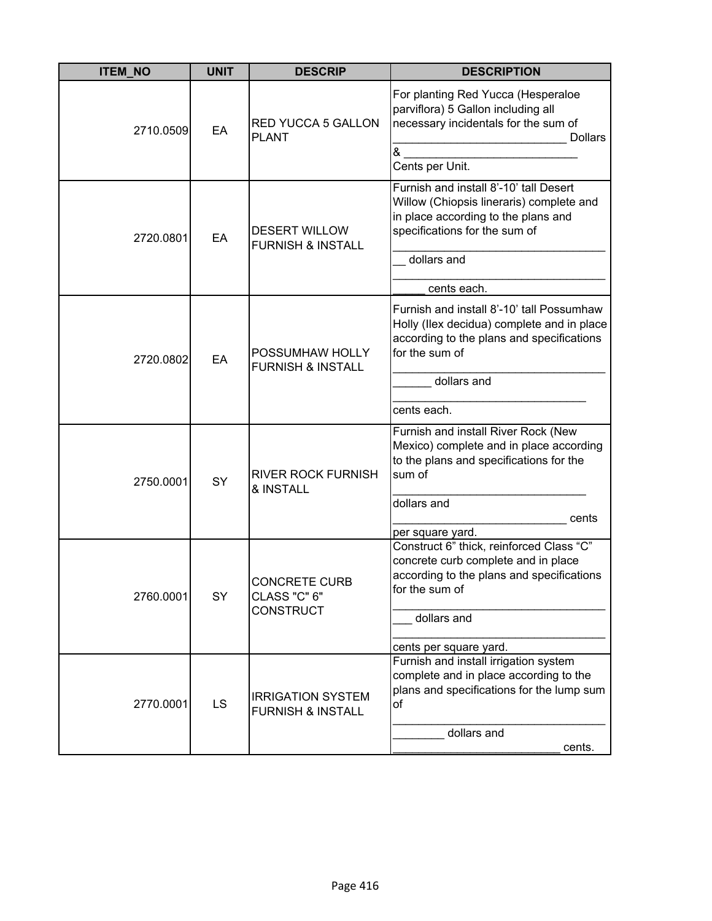| <b>ITEM_NO</b> | <b>UNIT</b> | <b>DESCRIP</b>                                           | <b>DESCRIPTION</b>                                                                                                                                                                       |
|----------------|-------------|----------------------------------------------------------|------------------------------------------------------------------------------------------------------------------------------------------------------------------------------------------|
| 2710.0509      | EA          | <b>RED YUCCA 5 GALLON</b><br><b>PLANT</b>                | For planting Red Yucca (Hesperaloe<br>parviflora) 5 Gallon including all<br>necessary incidentals for the sum of<br><b>Dollars</b><br>&<br>Cents per Unit.                               |
| 2720.0801      | EA          | <b>DESERT WILLOW</b><br><b>FURNISH &amp; INSTALL</b>     | Furnish and install 8'-10' tall Desert<br>Willow (Chiopsis lineraris) complete and<br>in place according to the plans and<br>specifications for the sum of<br>dollars and<br>cents each. |
| 2720.0802      | EA          | POSSUMHAW HOLLY<br><b>FURNISH &amp; INSTALL</b>          | Furnish and install 8'-10' tall Possumhaw<br>Holly (Ilex decidua) complete and in place<br>according to the plans and specifications<br>for the sum of<br>dollars and<br>cents each.     |
| 2750.0001      | SY          | <b>RIVER ROCK FURNISH</b><br>& INSTALL                   | Furnish and install River Rock (New<br>Mexico) complete and in place according<br>to the plans and specifications for the<br>sum of<br>dollars and<br>cents<br>per square yard.          |
| 2760.0001      | SY          | <b>CONCRETE CURB</b><br>CLASS "C" 6"<br><b>CONSTRUCT</b> | Construct 6" thick, reinforced Class "C"<br>concrete curb complete and in place<br>according to the plans and specifications<br>for the sum of<br>dollars and<br>cents per square yard.  |
| 2770.0001      | LS          | <b>IRRIGATION SYSTEM</b><br><b>FURNISH &amp; INSTALL</b> | Furnish and install irrigation system<br>complete and in place according to the<br>plans and specifications for the lump sum<br>of<br>dollars and<br>cents.                              |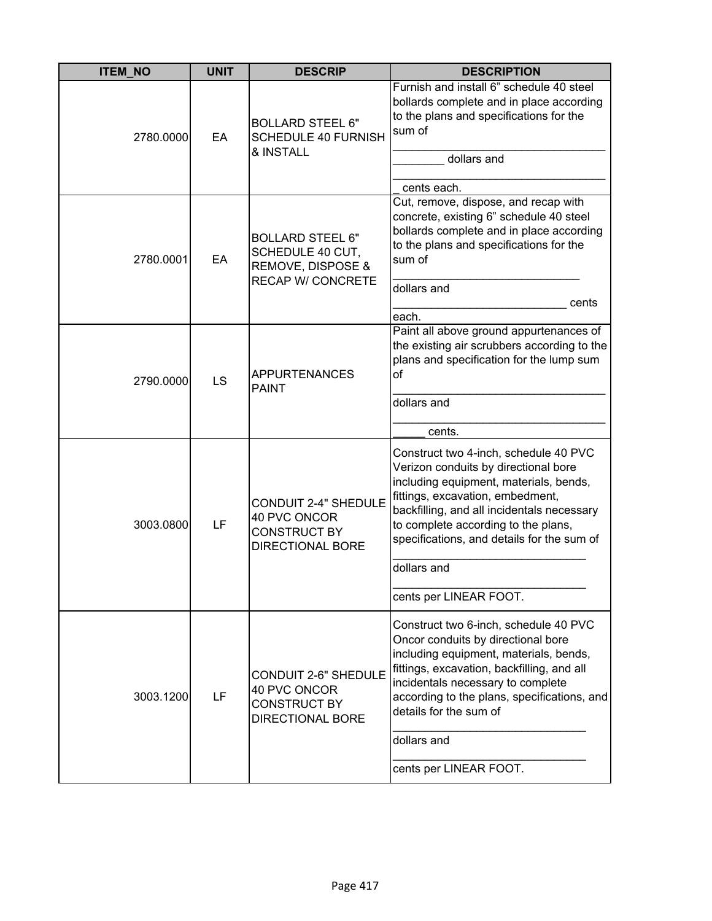| <b>ITEM_NO</b> | <b>UNIT</b> | <b>DESCRIP</b>                                                                                | <b>DESCRIPTION</b>                                                                                                                                                                                                                                                                               |
|----------------|-------------|-----------------------------------------------------------------------------------------------|--------------------------------------------------------------------------------------------------------------------------------------------------------------------------------------------------------------------------------------------------------------------------------------------------|
| 2780.0000      | EA          | <b>BOLLARD STEEL 6"</b><br><b>SCHEDULE 40 FURNISH</b><br>& INSTALL                            | Furnish and install 6" schedule 40 steel<br>bollards complete and in place according<br>to the plans and specifications for the<br>sum of<br>dollars and                                                                                                                                         |
|                |             |                                                                                               | cents each.                                                                                                                                                                                                                                                                                      |
| 2780.0001      | EA          | <b>BOLLARD STEEL 6"</b><br>SCHEDULE 40 CUT,<br>REMOVE, DISPOSE &<br><b>RECAP W/ CONCRETE</b>  | Cut, remove, dispose, and recap with<br>concrete, existing 6" schedule 40 steel<br>bollards complete and in place according<br>to the plans and specifications for the<br>sum of<br>dollars and<br>cents                                                                                         |
|                |             |                                                                                               | each.                                                                                                                                                                                                                                                                                            |
| 2790.0000      | LS          | <b>APPURTENANCES</b><br><b>PAINT</b>                                                          | Paint all above ground appurtenances of<br>the existing air scrubbers according to the<br>plans and specification for the lump sum<br>of                                                                                                                                                         |
|                |             |                                                                                               | dollars and                                                                                                                                                                                                                                                                                      |
|                |             |                                                                                               | cents.                                                                                                                                                                                                                                                                                           |
| 3003.0800      | LF          | <b>CONDUIT 2-4" SHEDULE</b><br>40 PVC ONCOR<br><b>CONSTRUCT BY</b><br><b>DIRECTIONAL BORE</b> | Construct two 4-inch, schedule 40 PVC<br>Verizon conduits by directional bore<br>including equipment, materials, bends,<br>fittings, excavation, embedment,<br>backfilling, and all incidentals necessary<br>to complete according to the plans,<br>specifications, and details for the sum of   |
|                |             |                                                                                               | dollars and                                                                                                                                                                                                                                                                                      |
|                |             |                                                                                               | cents per LINEAR FOOT.                                                                                                                                                                                                                                                                           |
| 3003.1200      | LF          | <b>CONDUIT 2-6" SHEDULE</b><br>40 PVC ONCOR<br><b>CONSTRUCT BY</b><br><b>DIRECTIONAL BORE</b> | Construct two 6-inch, schedule 40 PVC<br>Oncor conduits by directional bore<br>including equipment, materials, bends,<br>fittings, excavation, backfilling, and all<br>incidentals necessary to complete<br>according to the plans, specifications, and<br>details for the sum of<br>dollars and |
|                |             |                                                                                               | cents per LINEAR FOOT.                                                                                                                                                                                                                                                                           |
|                |             |                                                                                               |                                                                                                                                                                                                                                                                                                  |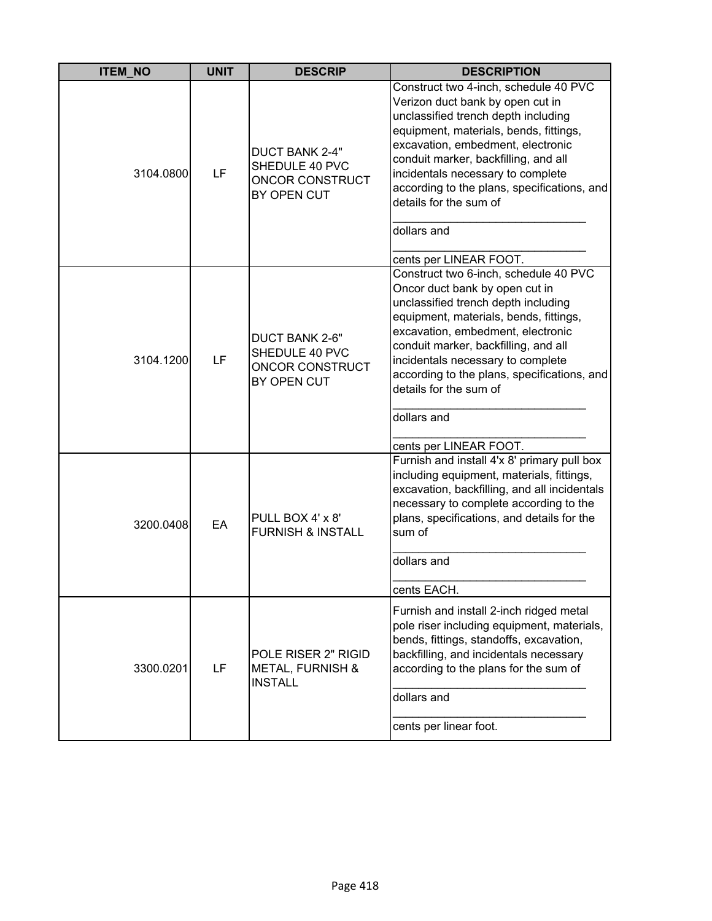| <b>ITEM NO</b> | <b>UNIT</b> | <b>DESCRIP</b>                                                            | <b>DESCRIPTION</b>                                                                                                                                                                                                                                                                                                                                                                             |
|----------------|-------------|---------------------------------------------------------------------------|------------------------------------------------------------------------------------------------------------------------------------------------------------------------------------------------------------------------------------------------------------------------------------------------------------------------------------------------------------------------------------------------|
| 3104.0800      | LF          | <b>DUCT BANK 2-4"</b><br>SHEDULE 40 PVC<br>ONCOR CONSTRUCT<br>BY OPEN CUT | Construct two 4-inch, schedule 40 PVC<br>Verizon duct bank by open cut in<br>unclassified trench depth including<br>equipment, materials, bends, fittings,<br>excavation, embedment, electronic<br>conduit marker, backfilling, and all<br>incidentals necessary to complete<br>according to the plans, specifications, and<br>details for the sum of<br>dollars and<br>cents per LINEAR FOOT. |
| 3104.1200      | LF          | DUCT BANK 2-6"<br>SHEDULE 40 PVC<br>ONCOR CONSTRUCT<br>BY OPEN CUT        | Construct two 6-inch, schedule 40 PVC<br>Oncor duct bank by open cut in<br>unclassified trench depth including<br>equipment, materials, bends, fittings,<br>excavation, embedment, electronic<br>conduit marker, backfilling, and all<br>incidentals necessary to complete<br>according to the plans, specifications, and<br>details for the sum of<br>dollars and<br>cents per LINEAR FOOT.   |
| 3200.0408      | EA          | PULL BOX 4' x 8'<br><b>FURNISH &amp; INSTALL</b>                          | Furnish and install 4'x 8' primary pull box<br>including equipment, materials, fittings,<br>excavation, backfilling, and all incidentals<br>necessary to complete according to the<br>plans, specifications, and details for the<br>sum of<br>dollars and<br>cents EACH.                                                                                                                       |
| 3300.0201      | LF          | POLE RISER 2" RIGID<br><b>METAL, FURNISH &amp;</b><br><b>INSTALL</b>      | Furnish and install 2-inch ridged metal<br>pole riser including equipment, materials,<br>bends, fittings, standoffs, excavation,<br>backfilling, and incidentals necessary<br>according to the plans for the sum of<br>dollars and<br>cents per linear foot.                                                                                                                                   |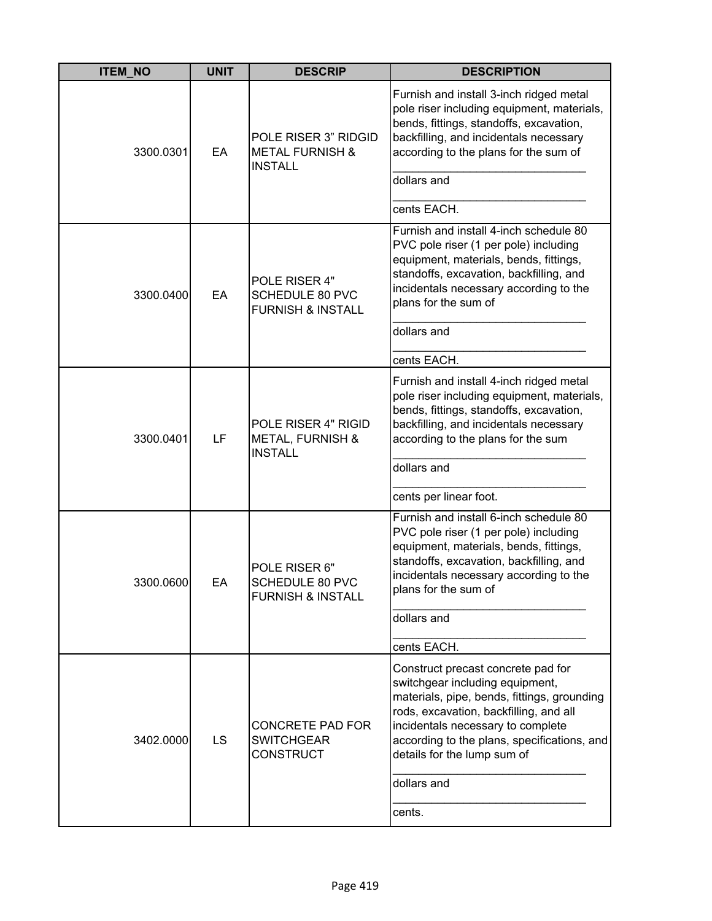| <b>ITEM_NO</b> | <b>UNIT</b> | <b>DESCRIP</b>                                                          | <b>DESCRIPTION</b>                                                                                                                                                                                                                                                                               |
|----------------|-------------|-------------------------------------------------------------------------|--------------------------------------------------------------------------------------------------------------------------------------------------------------------------------------------------------------------------------------------------------------------------------------------------|
| 3300.0301      | EA          | POLE RISER 3" RIDGID<br><b>METAL FURNISH &amp;</b><br><b>INSTALL</b>    | Furnish and install 3-inch ridged metal<br>pole riser including equipment, materials,<br>bends, fittings, standoffs, excavation,<br>backfilling, and incidentals necessary<br>according to the plans for the sum of<br>dollars and                                                               |
|                |             |                                                                         | cents EACH.                                                                                                                                                                                                                                                                                      |
| 3300.0400      | EA          | POLE RISER 4"<br><b>SCHEDULE 80 PVC</b><br><b>FURNISH &amp; INSTALL</b> | Furnish and install 4-inch schedule 80<br>PVC pole riser (1 per pole) including<br>equipment, materials, bends, fittings,<br>standoffs, excavation, backfilling, and<br>incidentals necessary according to the<br>plans for the sum of                                                           |
|                |             |                                                                         | dollars and                                                                                                                                                                                                                                                                                      |
|                |             |                                                                         | cents EACH.                                                                                                                                                                                                                                                                                      |
| 3300.0401      | LF          | POLE RISER 4" RIGID<br><b>METAL, FURNISH &amp;</b><br><b>INSTALL</b>    | Furnish and install 4-inch ridged metal<br>pole riser including equipment, materials,<br>bends, fittings, standoffs, excavation,<br>backfilling, and incidentals necessary<br>according to the plans for the sum<br>dollars and                                                                  |
|                |             |                                                                         | cents per linear foot.                                                                                                                                                                                                                                                                           |
| 3300.0600      | EА          | POLE RISER 6"<br>SCHEDULE 80 PVC<br><b>FURNISH &amp; INSTALL</b>        | Furnish and install 6-inch schedule 80<br>PVC pole riser (1 per pole) including<br>equipment, materials, bends, fittings,<br>standoffs, excavation, backfilling, and<br>incidentals necessary according to the<br>plans for the sum of                                                           |
|                |             |                                                                         | dollars and                                                                                                                                                                                                                                                                                      |
|                |             |                                                                         | cents EACH.                                                                                                                                                                                                                                                                                      |
| 3402.0000      | <b>LS</b>   | CONCRETE PAD FOR<br><b>SWITCHGEAR</b><br><b>CONSTRUCT</b>               | Construct precast concrete pad for<br>switchgear including equipment,<br>materials, pipe, bends, fittings, grounding<br>rods, excavation, backfilling, and all<br>incidentals necessary to complete<br>according to the plans, specifications, and<br>details for the lump sum of<br>dollars and |
|                |             |                                                                         | cents.                                                                                                                                                                                                                                                                                           |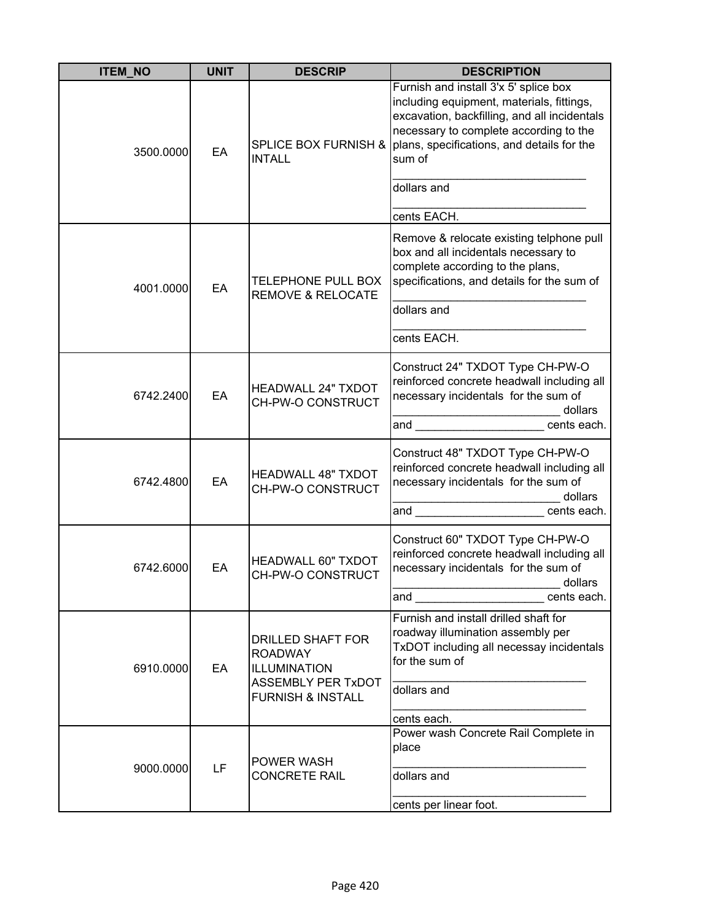| <b>ITEM_NO</b> | <b>UNIT</b> | <b>DESCRIP</b>                                                                                                                 | <b>DESCRIPTION</b>                                                                                                                                                                                                                                                                                                                                                                 |
|----------------|-------------|--------------------------------------------------------------------------------------------------------------------------------|------------------------------------------------------------------------------------------------------------------------------------------------------------------------------------------------------------------------------------------------------------------------------------------------------------------------------------------------------------------------------------|
| 3500.0000      | EA          | <b>SPLICE BOX FURNISH &amp;</b><br><b>INTALL</b>                                                                               | Furnish and install 3'x 5' splice box<br>including equipment, materials, fittings,<br>excavation, backfilling, and all incidentals<br>necessary to complete according to the<br>plans, specifications, and details for the<br>sum of                                                                                                                                               |
|                |             |                                                                                                                                | dollars and<br>cents EACH.                                                                                                                                                                                                                                                                                                                                                         |
| 4001.0000      | EA          | <b>TELEPHONE PULL BOX</b><br><b>REMOVE &amp; RELOCATE</b>                                                                      | Remove & relocate existing telphone pull<br>box and all incidentals necessary to<br>complete according to the plans,<br>specifications, and details for the sum of                                                                                                                                                                                                                 |
|                |             |                                                                                                                                | dollars and<br>cents EACH.                                                                                                                                                                                                                                                                                                                                                         |
| 6742.2400      | EA          | <b>HEADWALL 24" TXDOT</b><br>CH-PW-O CONSTRUCT                                                                                 | Construct 24" TXDOT Type CH-PW-O<br>reinforced concrete headwall including all<br>necessary incidentals for the sum of<br>dollars<br>and<br>cents each.                                                                                                                                                                                                                            |
| 6742.4800      | EA          | <b>HEADWALL 48" TXDOT</b><br>CH-PW-O CONSTRUCT                                                                                 | Construct 48" TXDOT Type CH-PW-O<br>reinforced concrete headwall including all<br>necessary incidentals for the sum of<br>dollars<br>and<br>cents each.                                                                                                                                                                                                                            |
| 6742.6000      | EA          | <b>HEADWALL 60" TXDOT</b><br>CH-PW-O CONSTRUCT                                                                                 | Construct 60" TXDOT Type CH-PW-O<br>reinforced concrete headwall including all<br>necessary incidentals for the sum of<br>dollars<br>and the contract of the contract of the contract of the contract of the contract of the contract of the contract of the contract of the contract of the contract of the contract of the contract of the contract of the contra<br>cents each. |
| 6910.0000      | EA          | <b>DRILLED SHAFT FOR</b><br><b>ROADWAY</b><br><b>ILLUMINATION</b><br><b>ASSEMBLY PER TxDOT</b><br><b>FURNISH &amp; INSTALL</b> | Furnish and install drilled shaft for<br>roadway illumination assembly per<br>TxDOT including all necessay incidentals<br>for the sum of<br>dollars and                                                                                                                                                                                                                            |
| 9000.0000      | LF          | POWER WASH<br><b>CONCRETE RAIL</b>                                                                                             | cents each.<br>Power wash Concrete Rail Complete in<br>place<br>dollars and<br>cents per linear foot.                                                                                                                                                                                                                                                                              |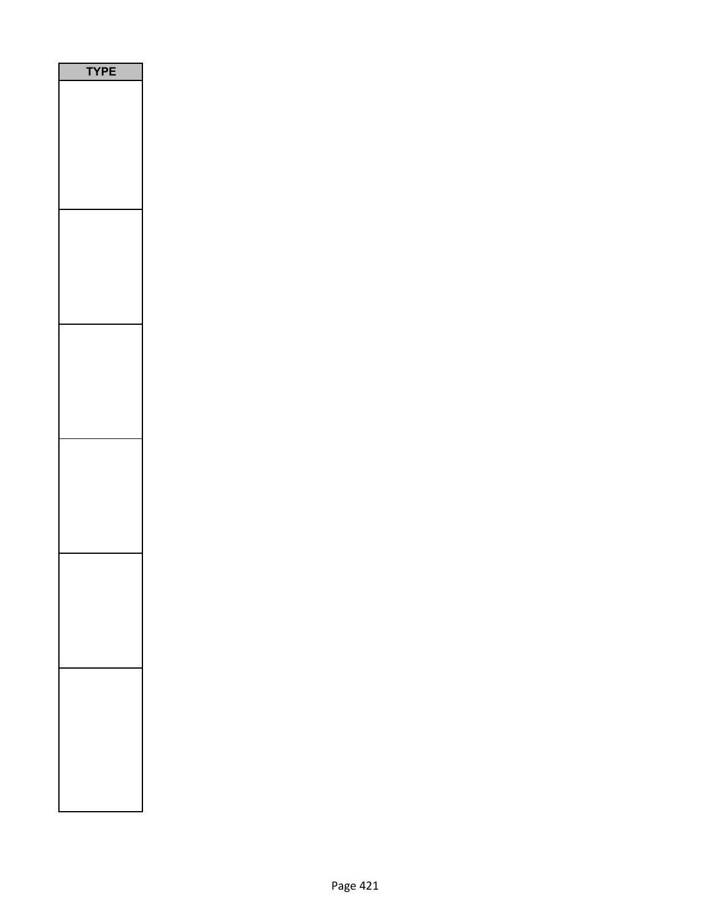| E<br>P |
|--------|
|        |
|        |
|        |
|        |
|        |
|        |
|        |
|        |
|        |
|        |
|        |
|        |
|        |
|        |
|        |
|        |
|        |
|        |
|        |
|        |
|        |
|        |
|        |
|        |
|        |
|        |
|        |
|        |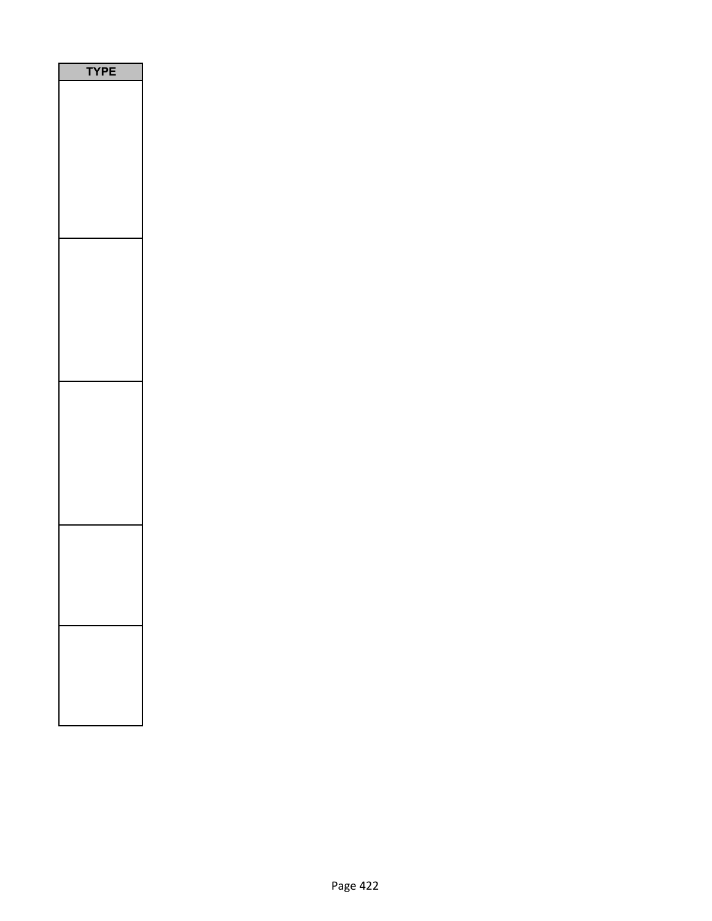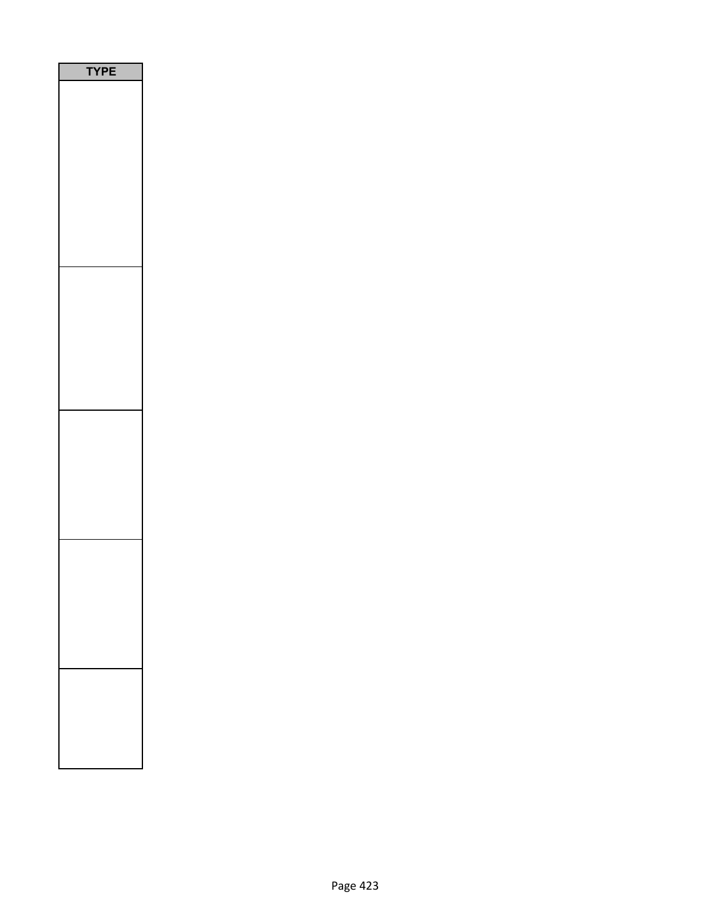| Ε<br>P<br>r |  |  |
|-------------|--|--|
|             |  |  |
|             |  |  |
|             |  |  |
|             |  |  |
|             |  |  |
|             |  |  |
|             |  |  |
|             |  |  |
|             |  |  |
|             |  |  |
|             |  |  |
|             |  |  |
|             |  |  |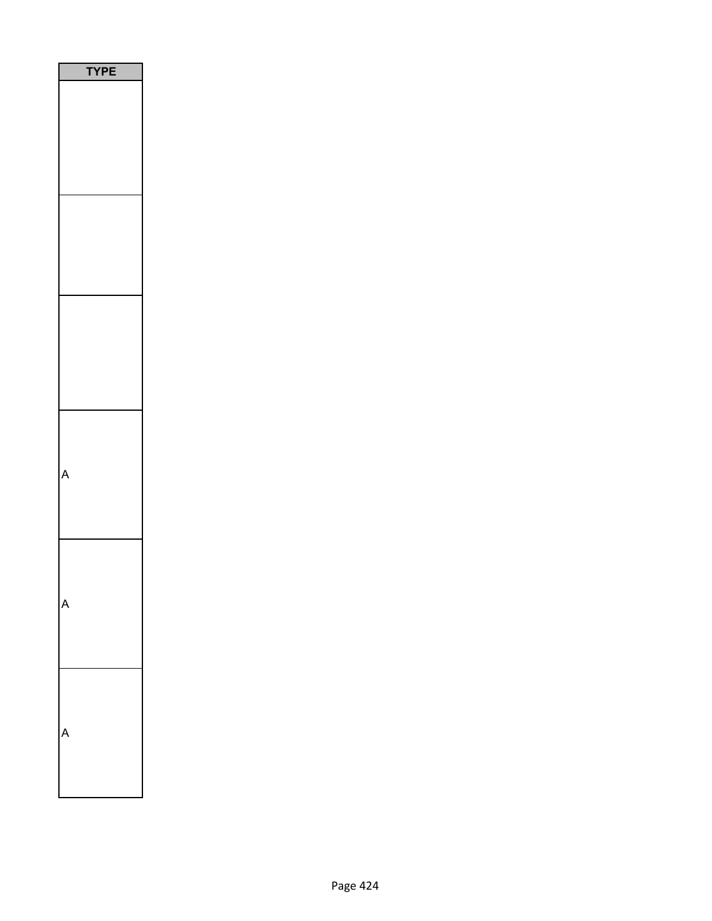| YPE |
|-----|
|     |
|     |
|     |
|     |
|     |
|     |
|     |
|     |
|     |
|     |
| ſ   |
|     |
|     |
|     |
|     |
|     |
|     |
|     |
|     |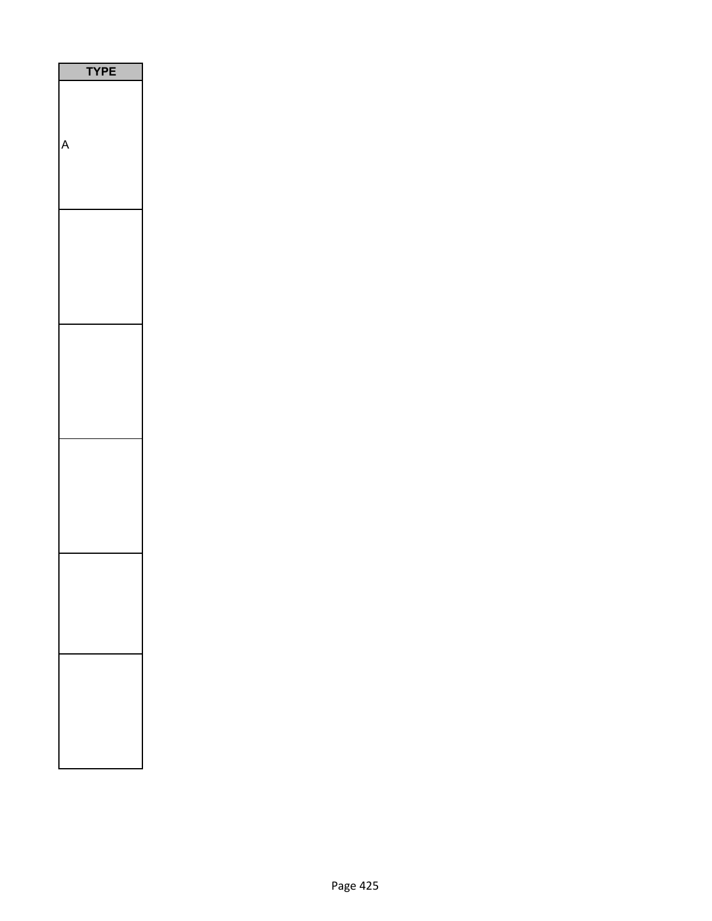| PE<br>Υ |
|---------|
|         |
|         |
|         |
|         |
|         |
|         |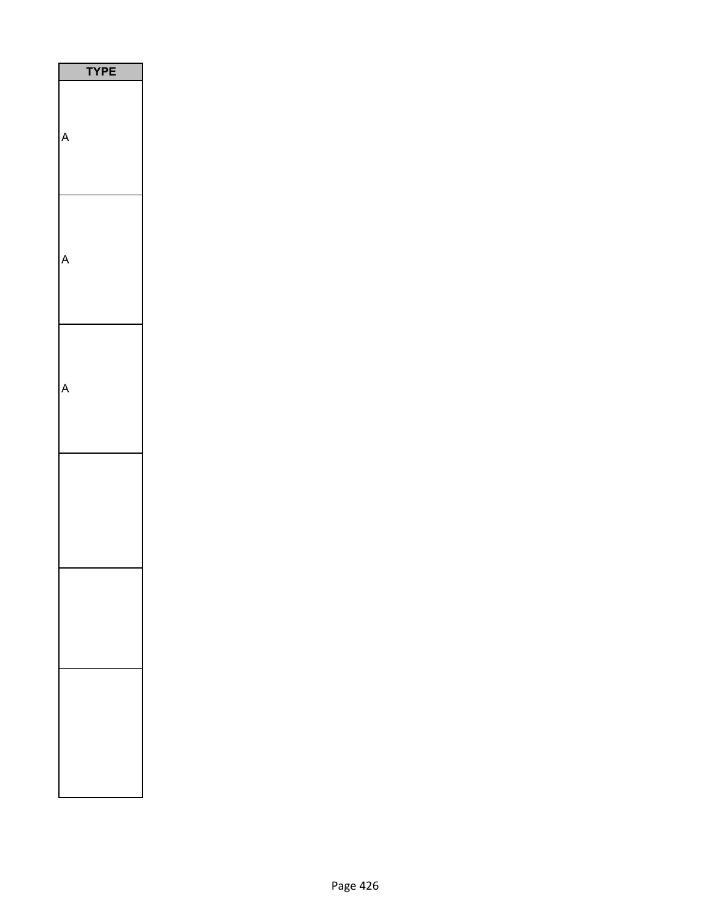| <b>YPE</b> |
|------------|
|            |
|            |
|            |
|            |
|            |
|            |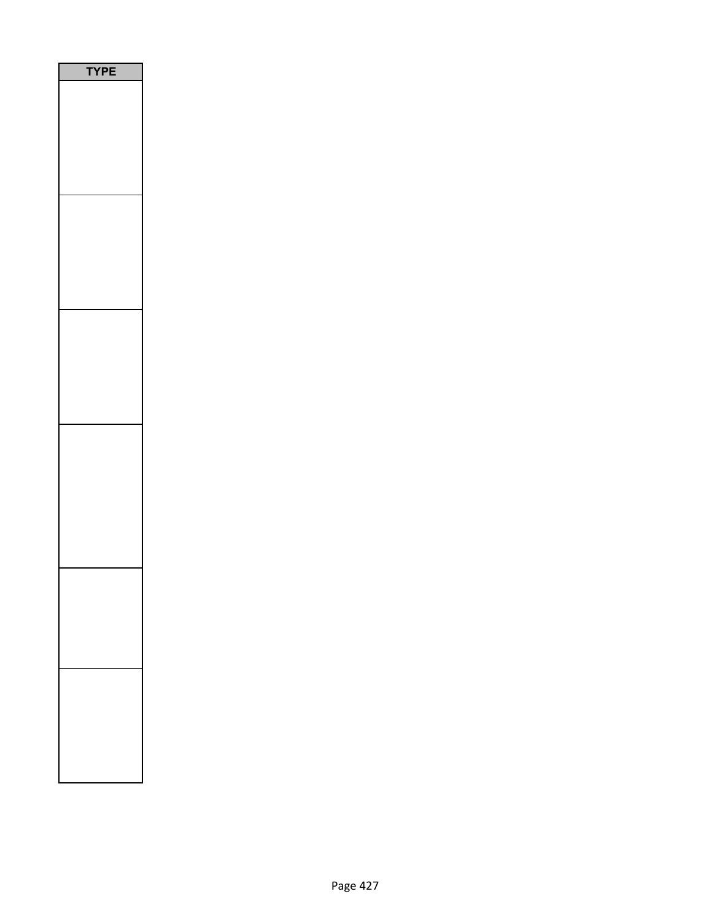| E<br>P |
|--------|
|        |
|        |
|        |
|        |
|        |
|        |
|        |
|        |
|        |
|        |
|        |
|        |
|        |
|        |
|        |
|        |
|        |
|        |
|        |
|        |
|        |
|        |
|        |
|        |
|        |
|        |
|        |
|        |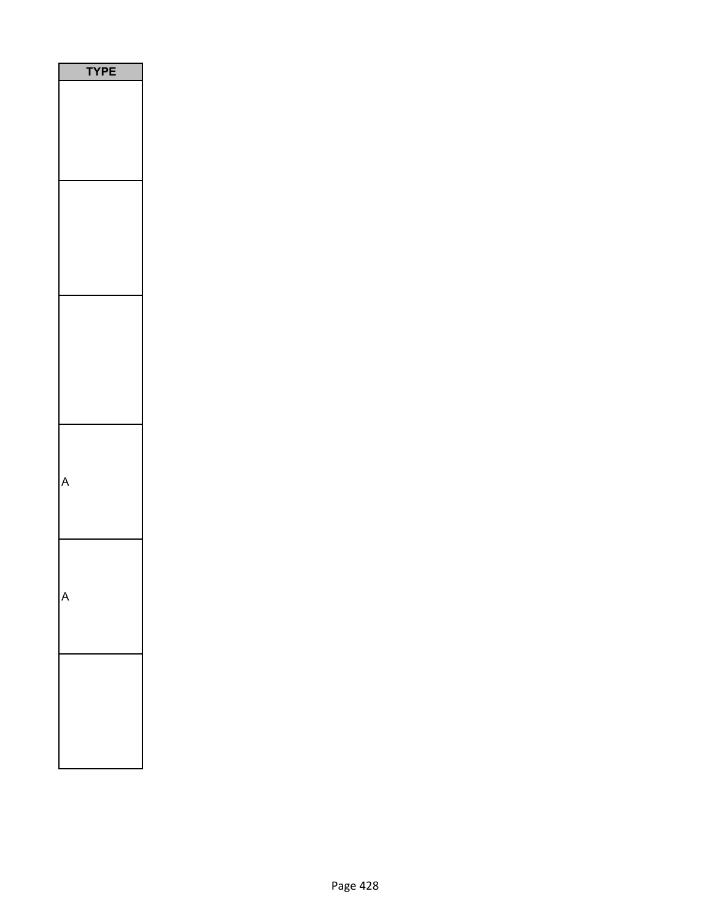| РE |
|----|
|    |
|    |
|    |
|    |
|    |
|    |
|    |
|    |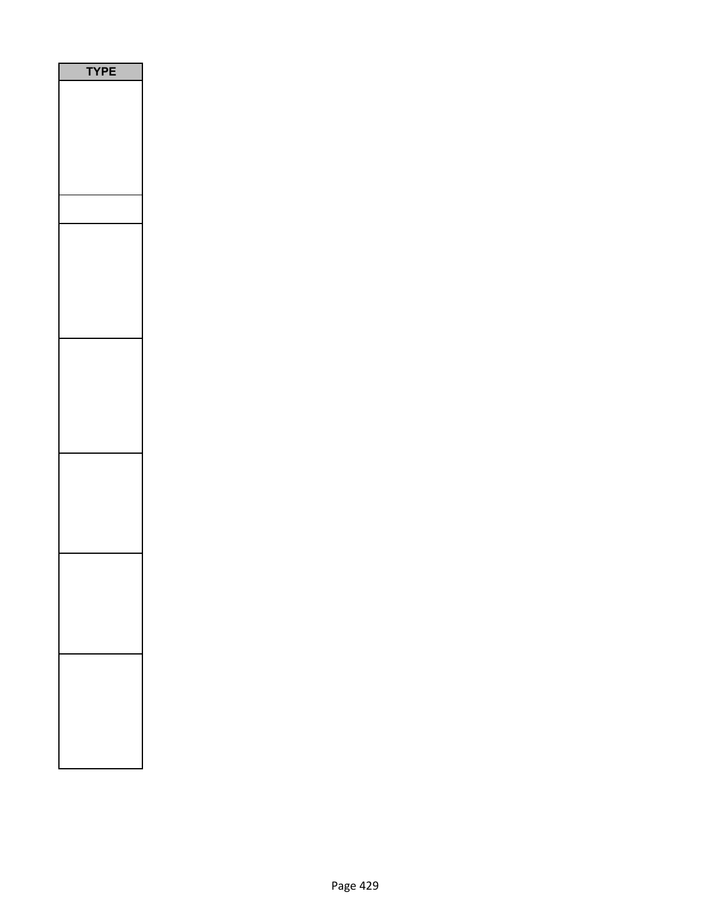| PE<br>۵ |
|---------|
|         |
|         |
|         |
|         |
|         |
|         |
|         |
|         |
|         |
|         |
|         |
|         |
|         |
|         |
|         |
|         |
|         |
|         |
|         |
|         |
|         |
|         |
|         |
|         |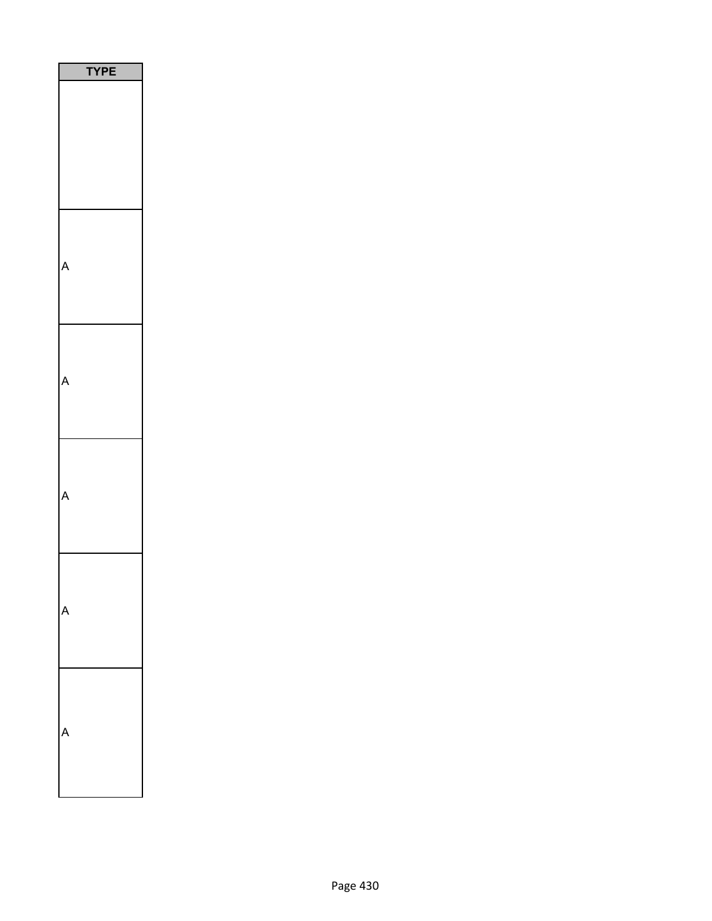| <b>TYPE</b> |  |
|-------------|--|
|             |  |
|             |  |
|             |  |
|             |  |
|             |  |
|             |  |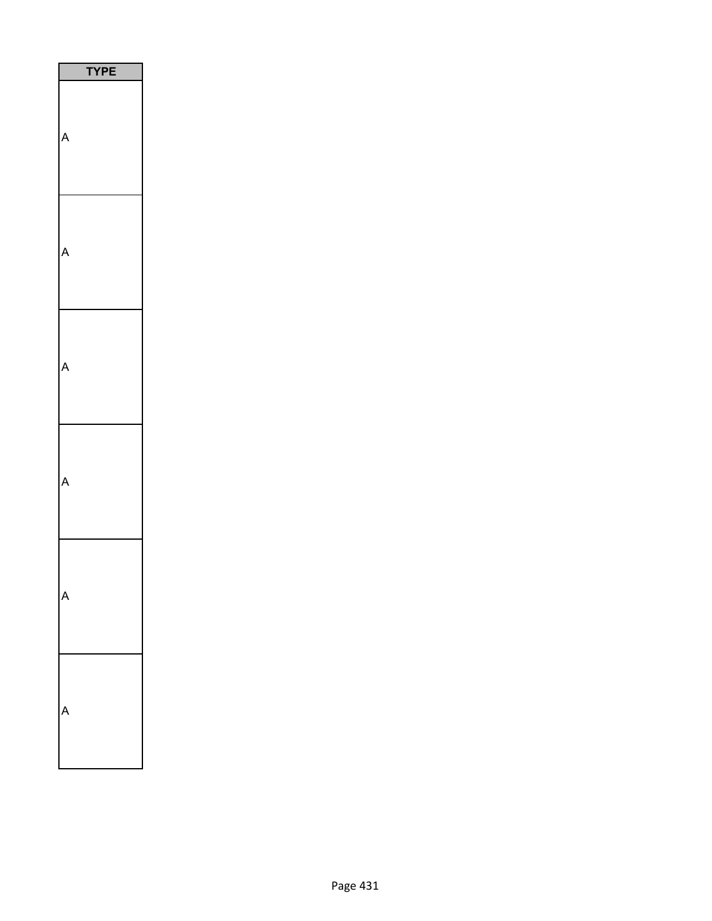| PЕ<br>Y |
|---------|
|         |
|         |
|         |
|         |
|         |
|         |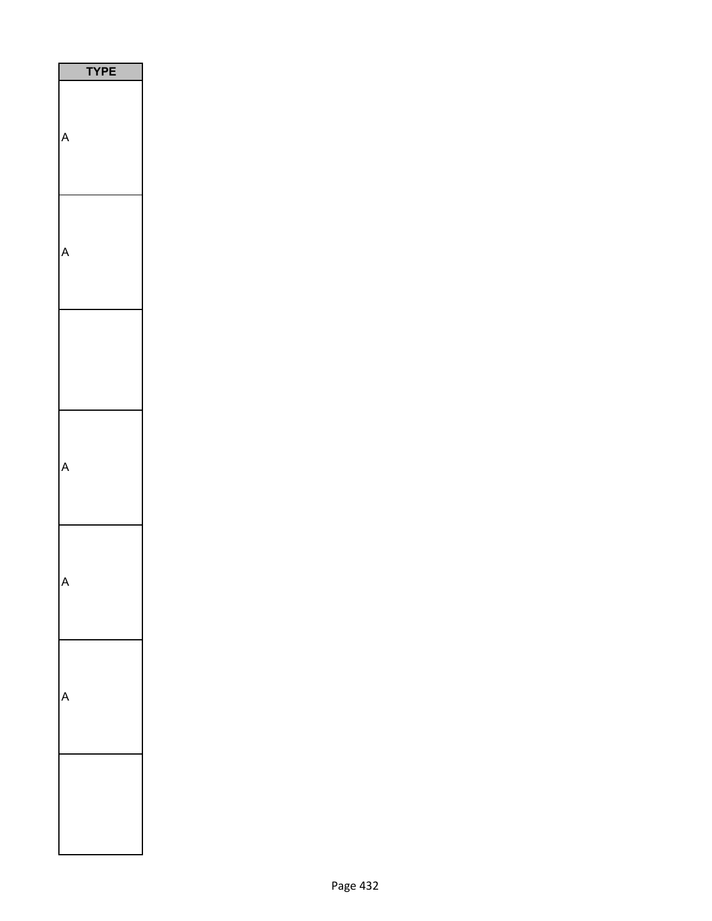| <b>TYPE</b><br>I |  |
|------------------|--|
|                  |  |
|                  |  |
|                  |  |
|                  |  |
|                  |  |
|                  |  |
|                  |  |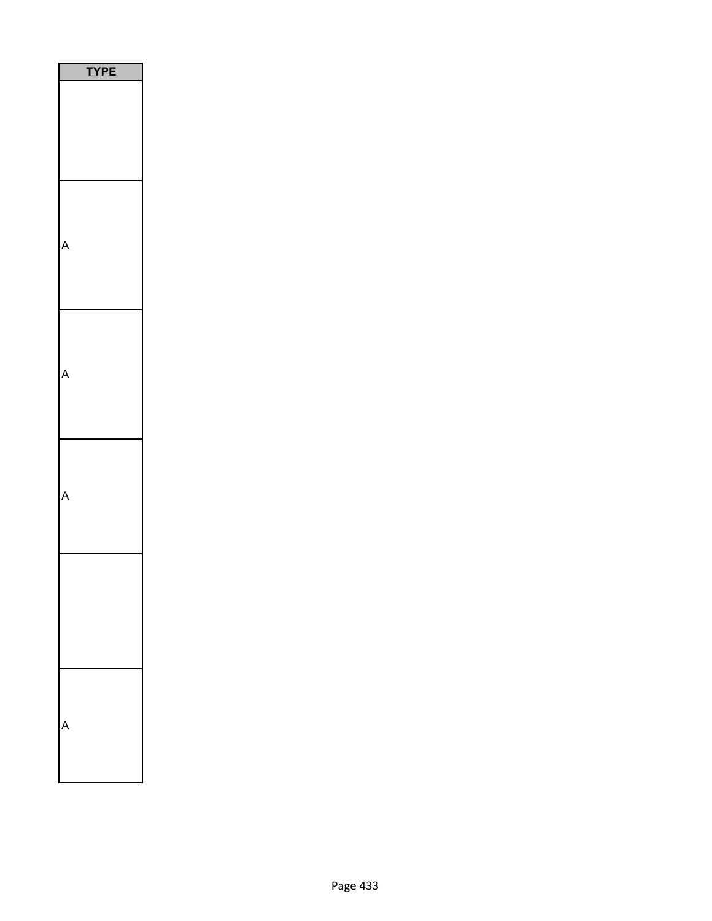| ֦ׅ֚֘֡֡֡֡֡֡֡֝<br>٦<br>۲<br>ľ. |  |
|------------------------------|--|
|                              |  |
|                              |  |
|                              |  |
|                              |  |
|                              |  |
|                              |  |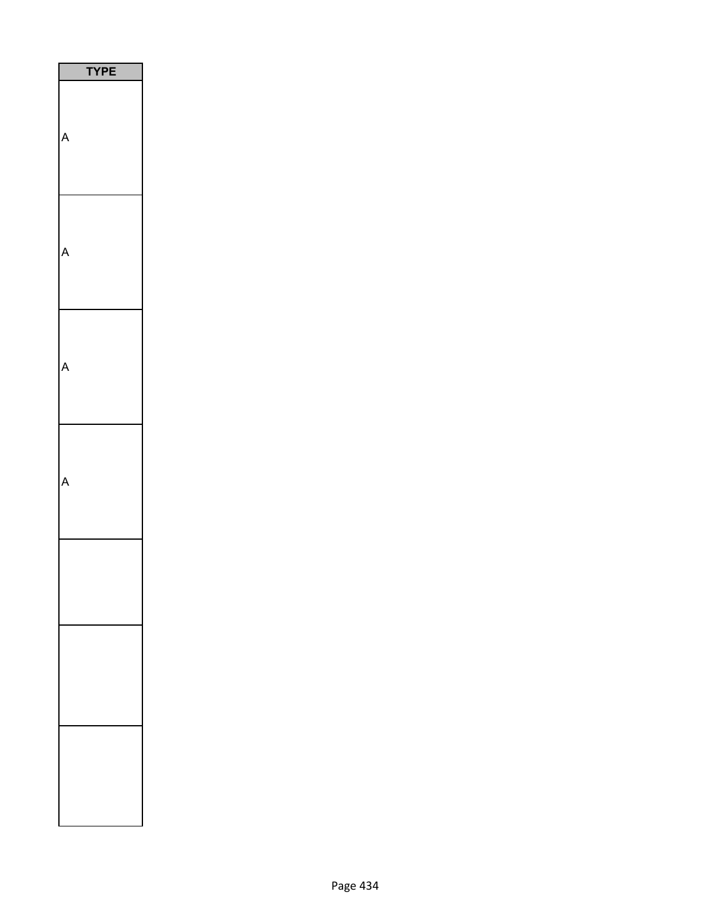| <b>YPE</b> |
|------------|
|            |
|            |
|            |
|            |
|            |
|            |
|            |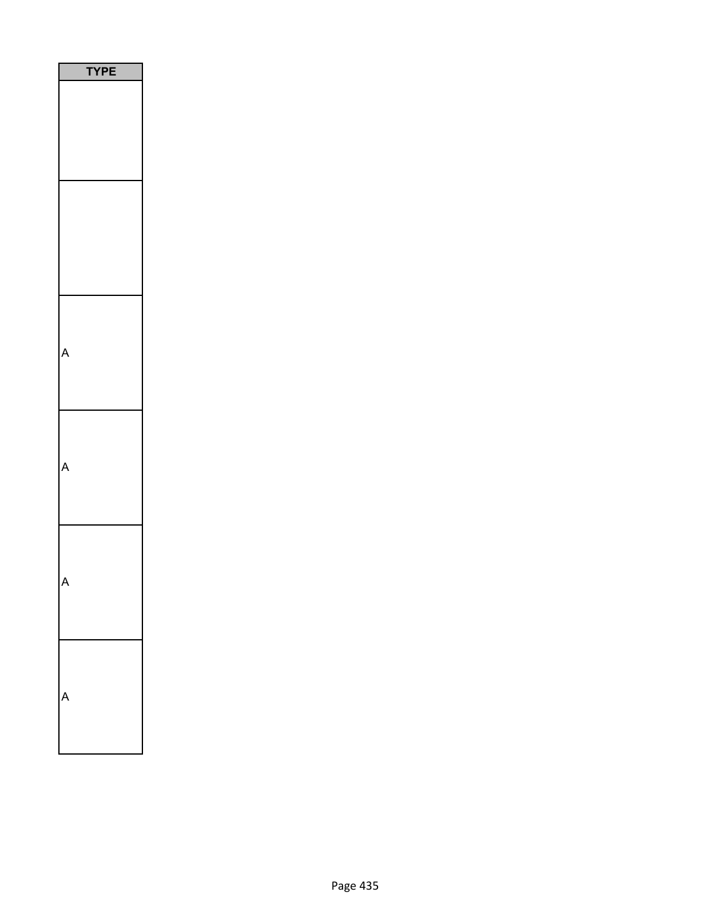| 'YP<br>Ε |  |
|----------|--|
|          |  |
|          |  |
|          |  |
|          |  |
|          |  |
|          |  |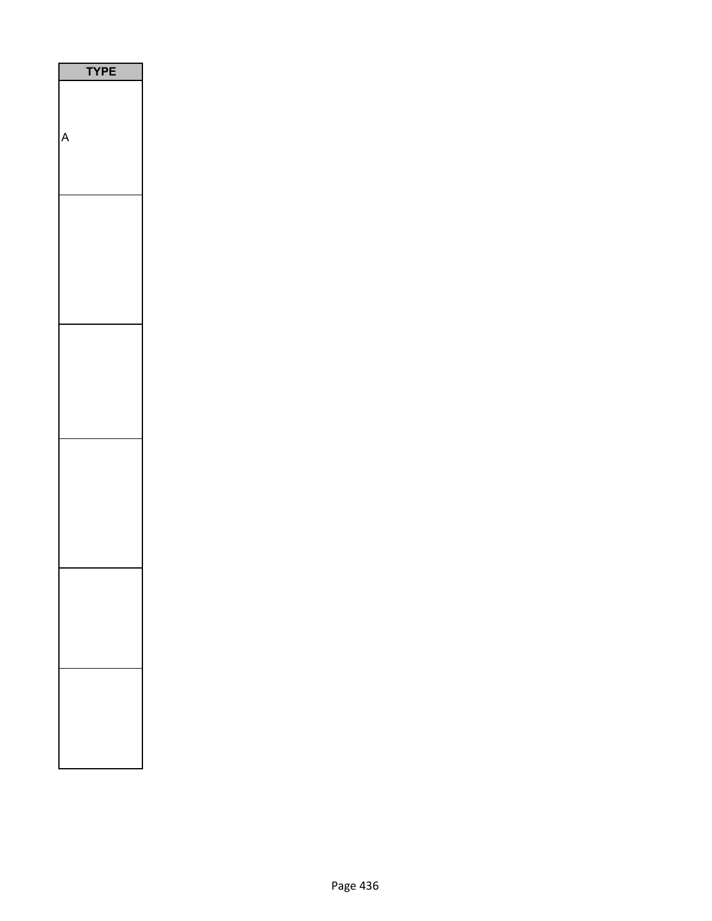| PE<br>$\overline{\phantom{a}}$ |
|--------------------------------|
|                                |
|                                |
|                                |
|                                |
|                                |
|                                |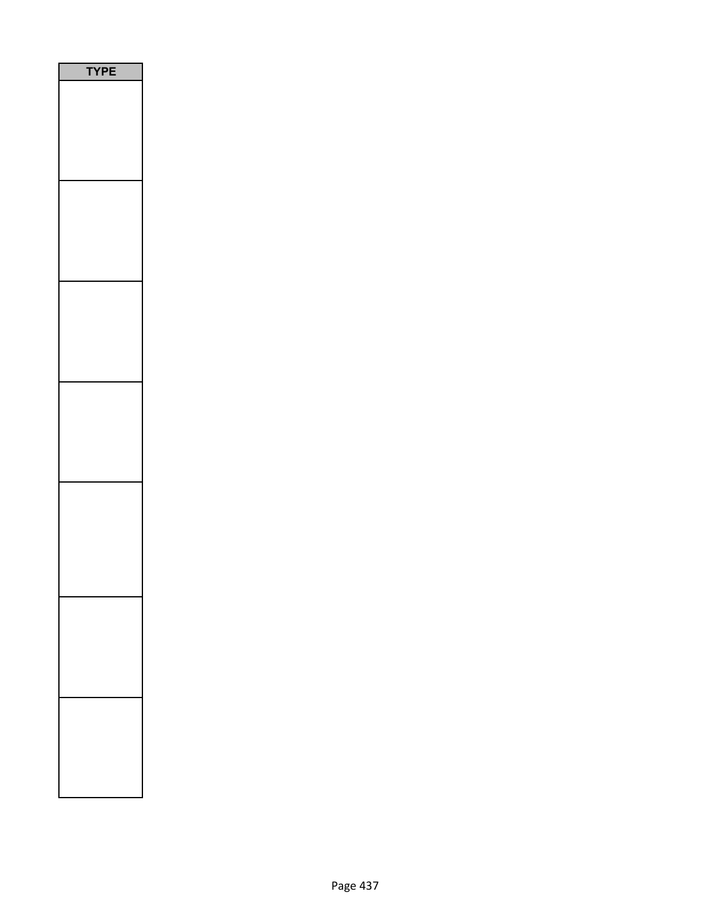| PE<br>'Y |  |
|----------|--|
|          |  |
|          |  |
|          |  |
|          |  |
|          |  |
|          |  |
|          |  |
|          |  |
|          |  |
|          |  |
|          |  |
|          |  |
|          |  |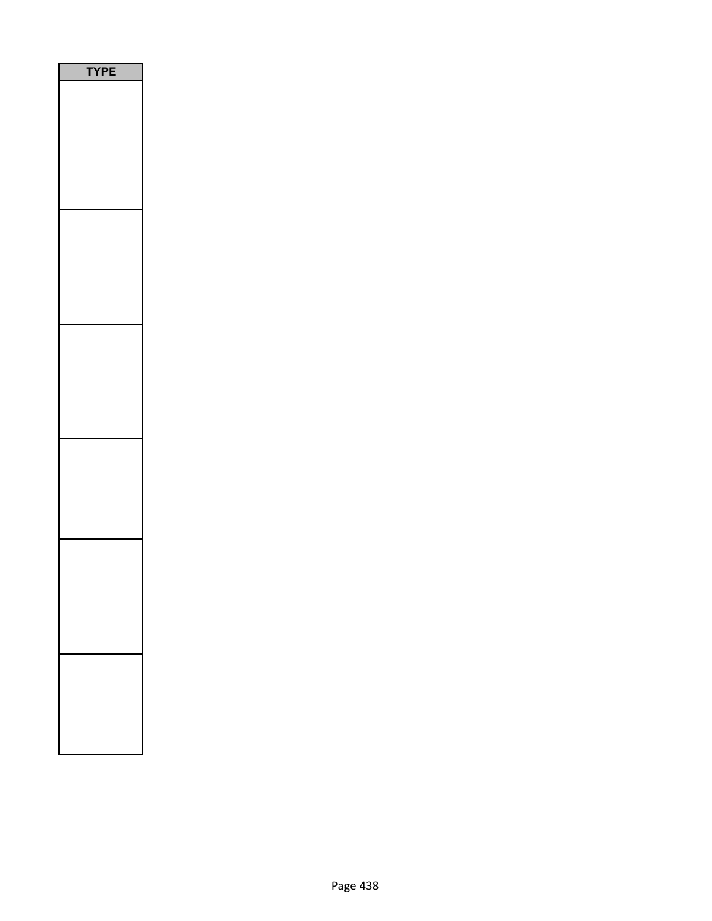| E<br>P |  |
|--------|--|
|        |  |
|        |  |
|        |  |
|        |  |
|        |  |
|        |  |
|        |  |
|        |  |
|        |  |
|        |  |
|        |  |
|        |  |
|        |  |
|        |  |
|        |  |
|        |  |
|        |  |
|        |  |
|        |  |
|        |  |
|        |  |
|        |  |
|        |  |
|        |  |
|        |  |
|        |  |
|        |  |
|        |  |
|        |  |
|        |  |
|        |  |
|        |  |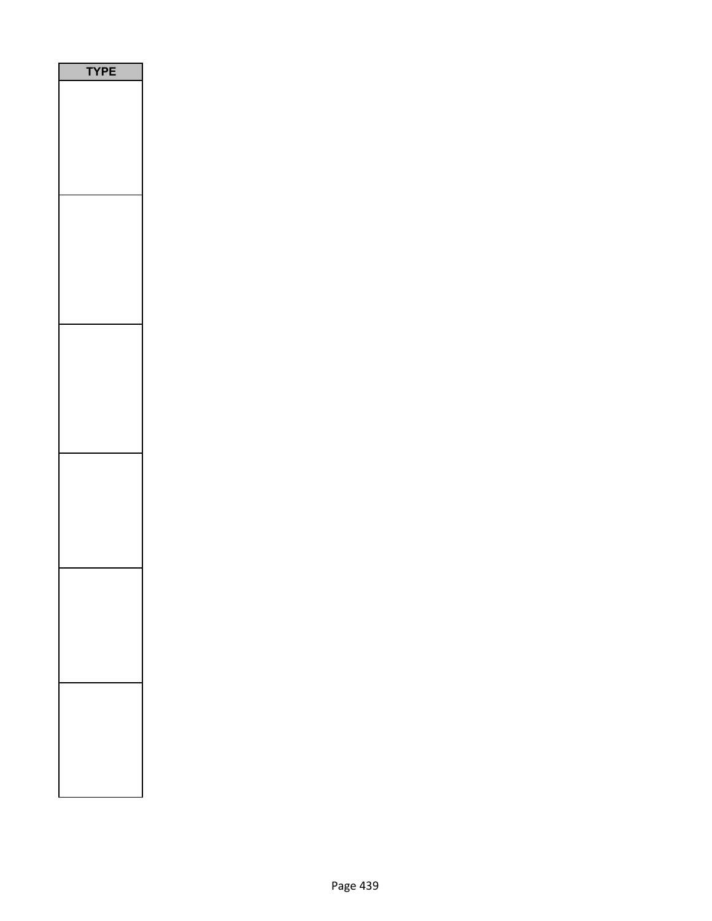| PE<br>Y |
|---------|
|         |
|         |
|         |
|         |
|         |
|         |
|         |
|         |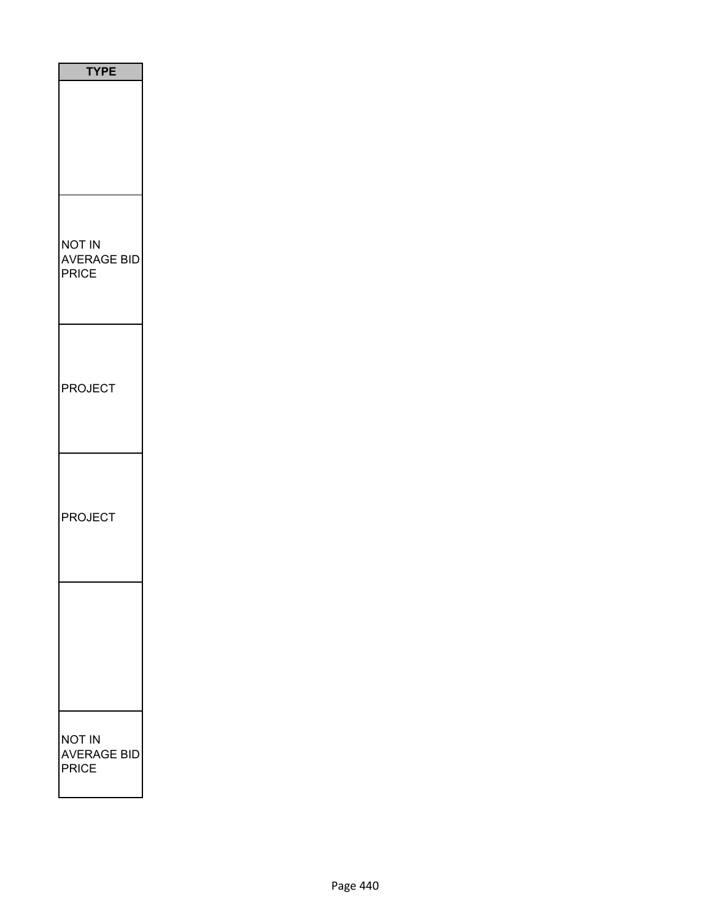| <b>TYPE</b>                    |
|--------------------------------|
|                                |
| NOT IN<br>AVERAGE BID<br>PRICE |
| <b>PROJECT</b>                 |
| <b>PROJECT</b>                 |
|                                |
| NOT IN<br>AVERAGE BID<br>PRICE |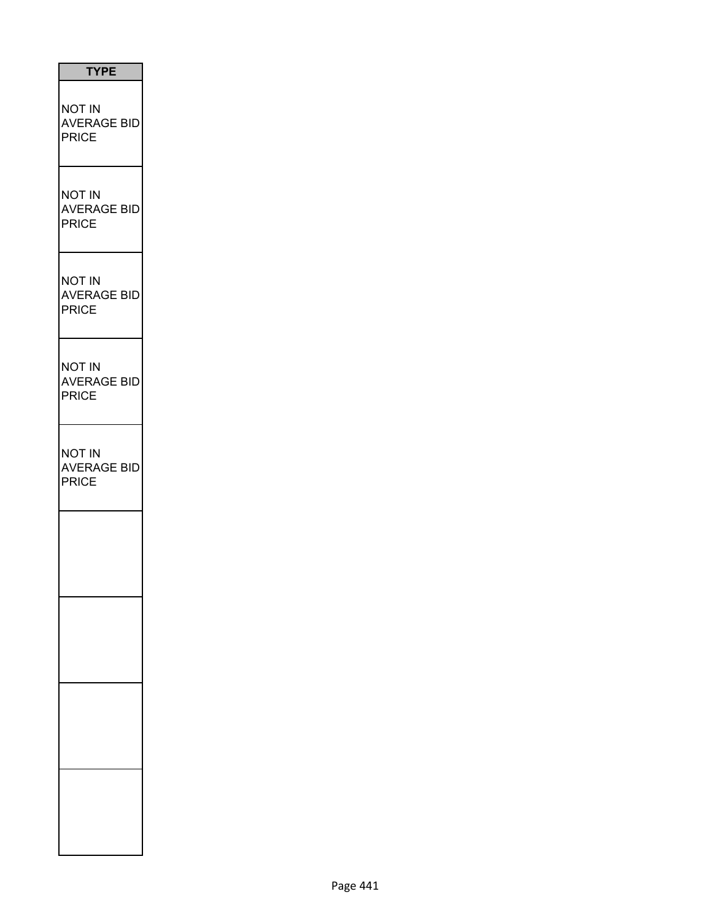| <b>TYPE</b>                                         |
|-----------------------------------------------------|
| <b>NOT IN</b><br><b>AVERAGE BID</b><br><b>PRICE</b> |
| <b>NOT IN</b><br><b>AVERAGE BID</b><br><b>PRICE</b> |
| <b>NOT IN</b><br><b>AVERAGE BID</b><br><b>PRICE</b> |
| <b>NOT IN</b><br><b>AVERAGE BID</b><br><b>PRICE</b> |
| <b>NOT IN</b><br><b>AVERAGE BID</b><br><b>PRICE</b> |
|                                                     |
|                                                     |
|                                                     |
|                                                     |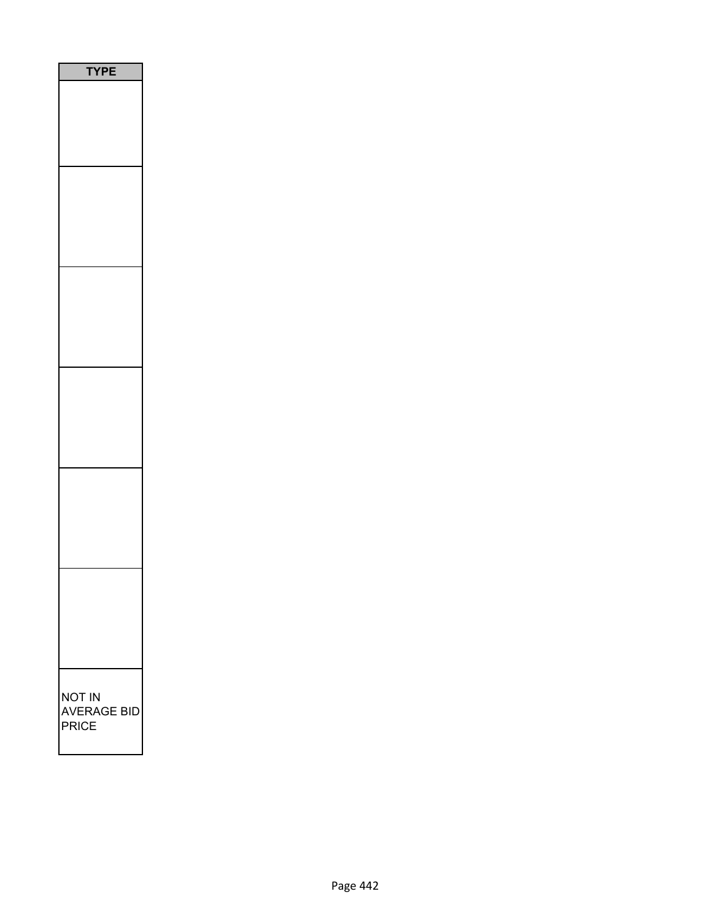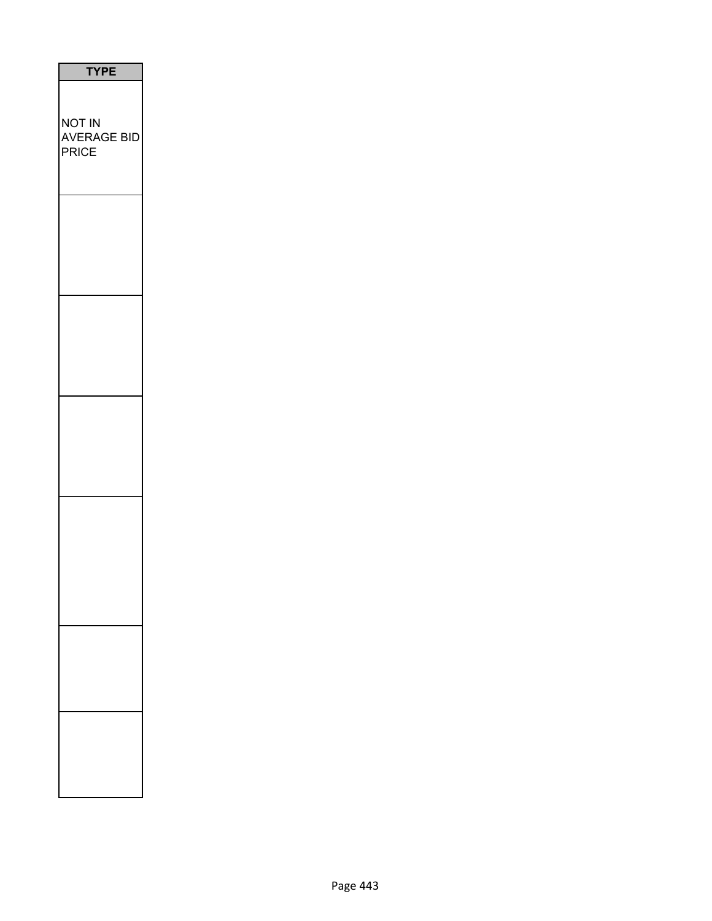| <b>TYPE</b>                                  |
|----------------------------------------------|
| NOT IN<br><b>AVERAGE BID</b><br><b>PRICE</b> |
|                                              |
|                                              |
|                                              |
|                                              |
|                                              |
|                                              |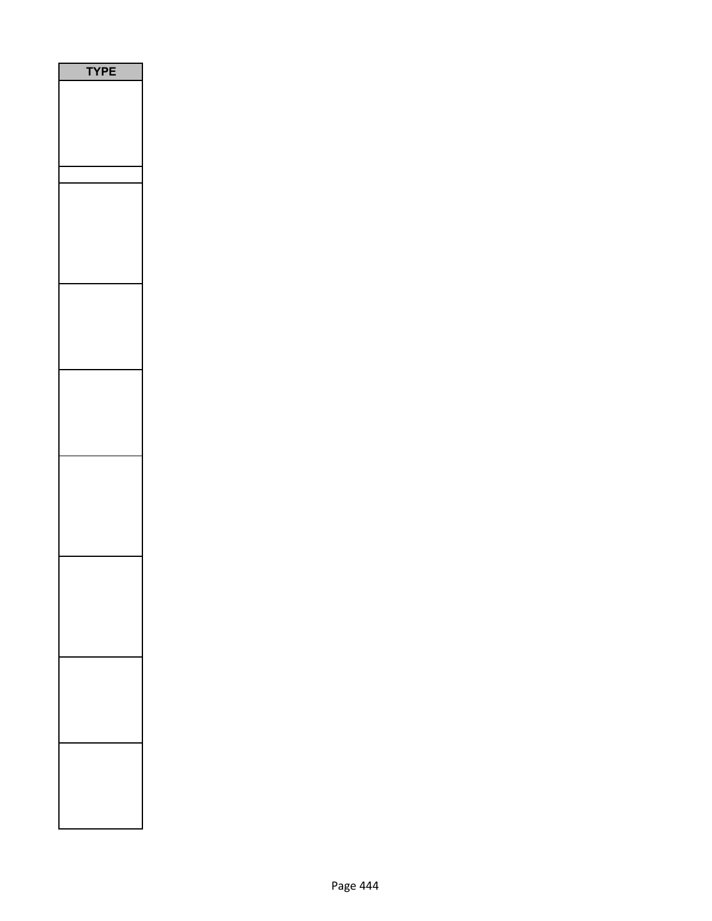| <b>TPE</b> |  |
|------------|--|
|            |  |
|            |  |
|            |  |
|            |  |
|            |  |
|            |  |
|            |  |
|            |  |
|            |  |
|            |  |
|            |  |
|            |  |
|            |  |
|            |  |
|            |  |
|            |  |
|            |  |
|            |  |
|            |  |
|            |  |
|            |  |
|            |  |
|            |  |
|            |  |
|            |  |
|            |  |
|            |  |
|            |  |
|            |  |
|            |  |
|            |  |
|            |  |
|            |  |
|            |  |
|            |  |
|            |  |
|            |  |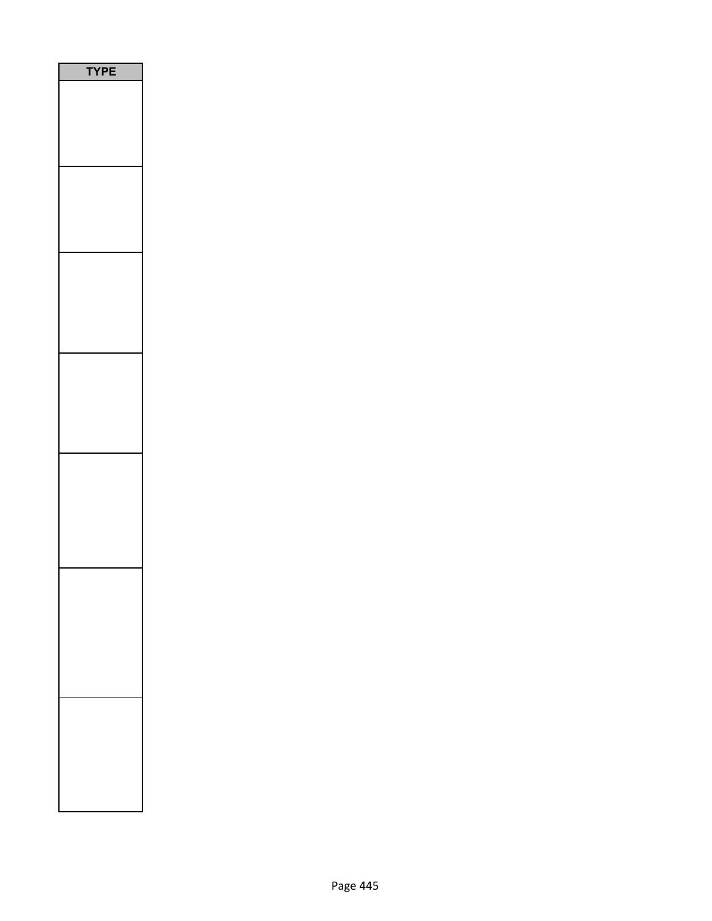| <b>PE</b> |  |
|-----------|--|
|           |  |
|           |  |
|           |  |
|           |  |
|           |  |
|           |  |
|           |  |
|           |  |
|           |  |
|           |  |
|           |  |
|           |  |
|           |  |
|           |  |
|           |  |
|           |  |
|           |  |
|           |  |
|           |  |
|           |  |
|           |  |
|           |  |
|           |  |
|           |  |
|           |  |
|           |  |
|           |  |
|           |  |
|           |  |
|           |  |
|           |  |
|           |  |
|           |  |
|           |  |
|           |  |
|           |  |
|           |  |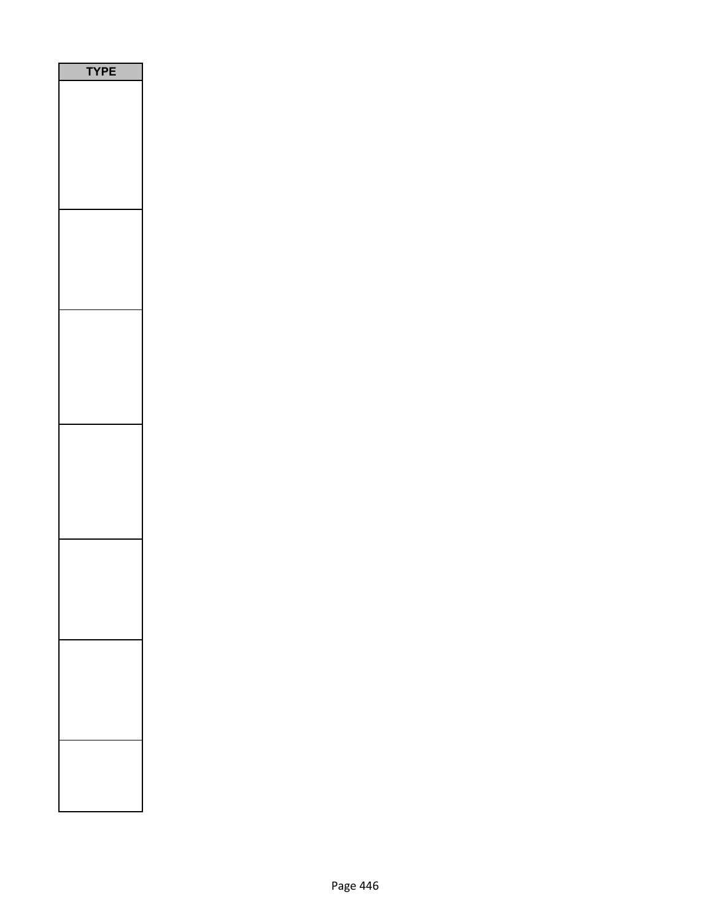| PE<br>$\mathbf r$<br>٦ |
|------------------------|
|                        |
|                        |
|                        |
|                        |
|                        |
|                        |
|                        |
|                        |
|                        |
|                        |
|                        |
|                        |
|                        |
|                        |
|                        |
|                        |
|                        |
|                        |
|                        |
|                        |
|                        |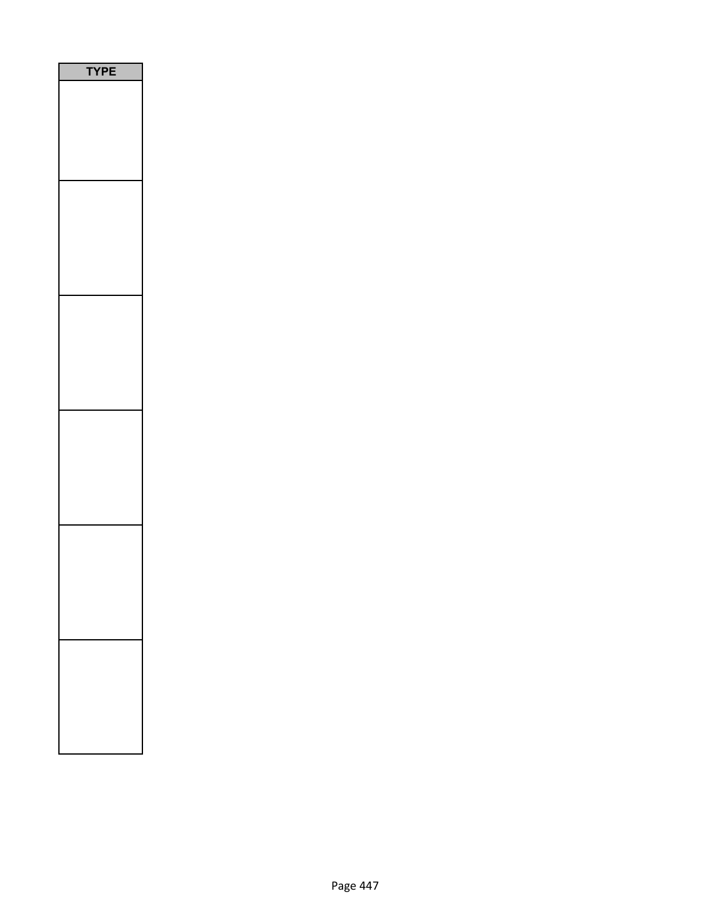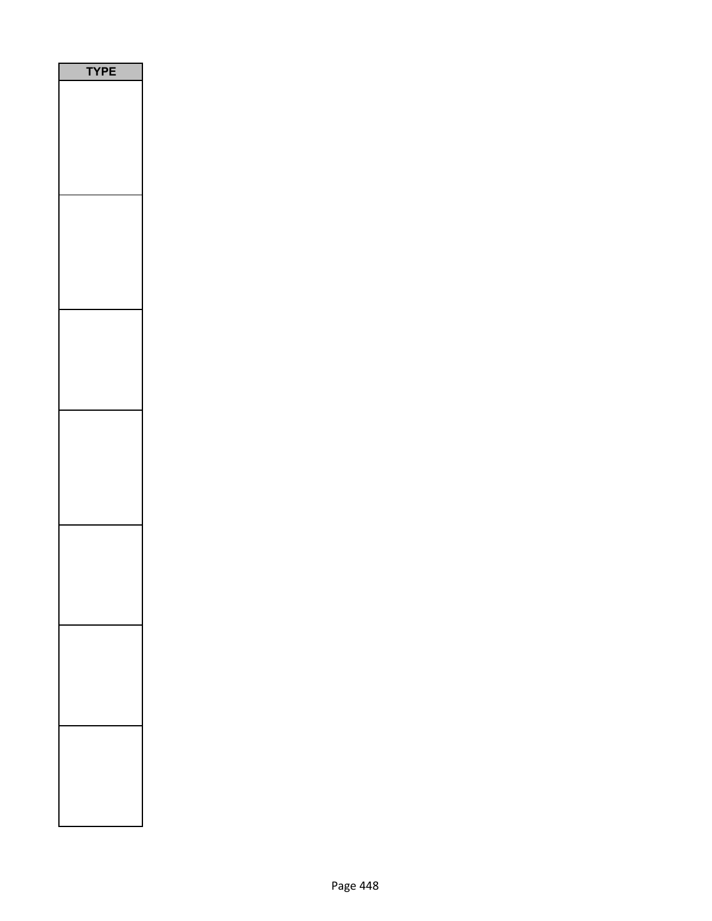| PE<br>٢ |
|---------|
|         |
|         |
|         |
|         |
|         |
|         |
|         |
|         |
|         |
|         |
|         |
|         |
|         |
|         |
|         |
|         |
|         |
|         |
|         |
|         |
|         |
|         |
|         |
|         |
|         |
|         |
|         |
|         |
|         |
|         |
|         |
|         |
|         |
|         |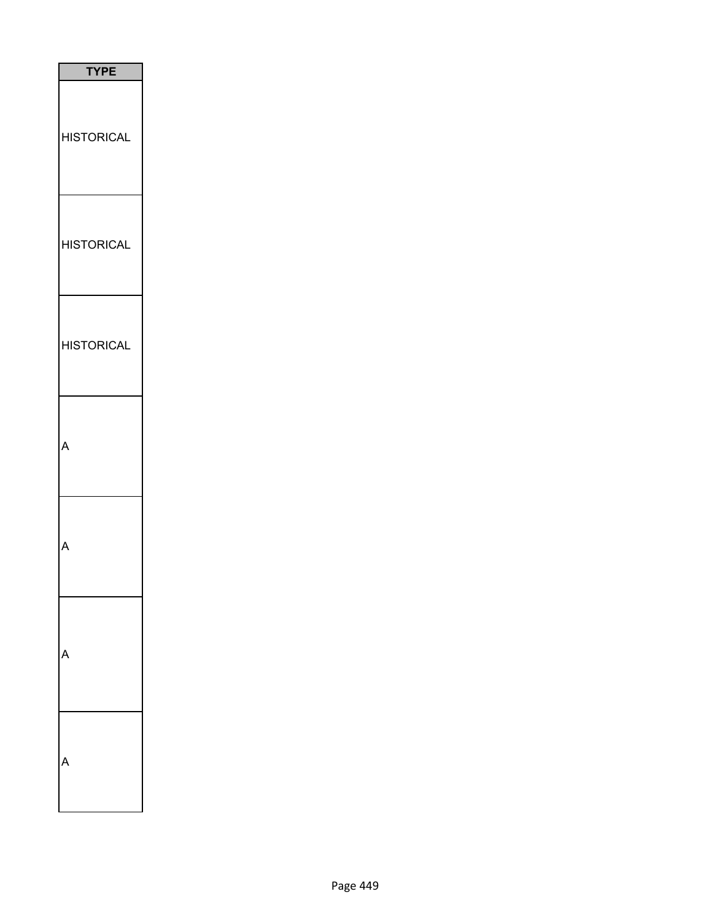| <b>TYPE</b>       |
|-------------------|
| <b>HISTORICAL</b> |
| <b>HISTORICAL</b> |
| <b>HISTORICAL</b> |
| Δ                 |
|                   |
|                   |
|                   |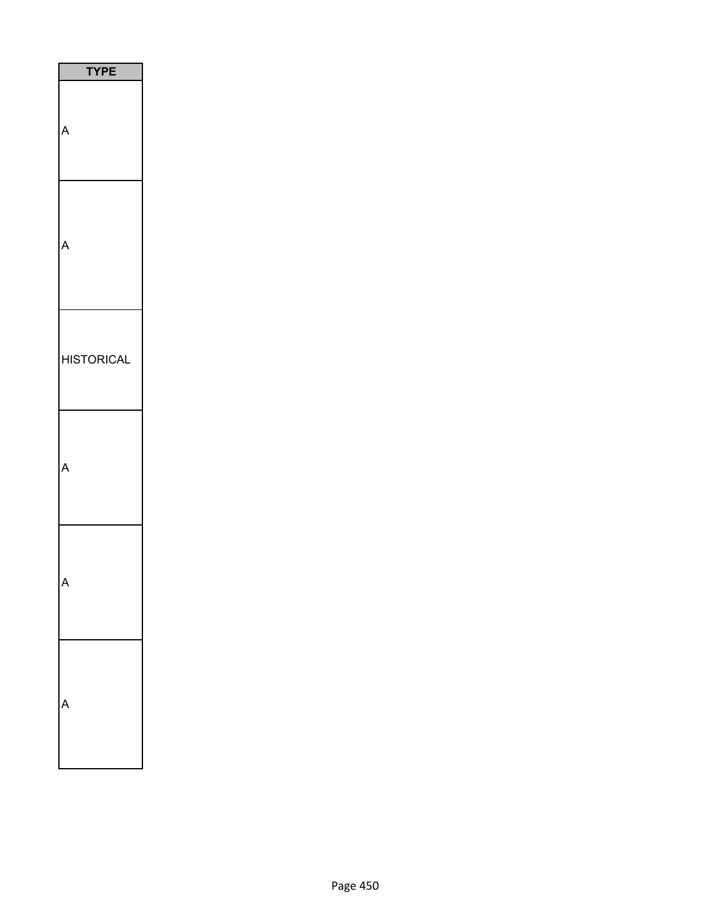| <b>TYPE</b>       |
|-------------------|
|                   |
|                   |
| <b>HISTORICAL</b> |
|                   |
|                   |
|                   |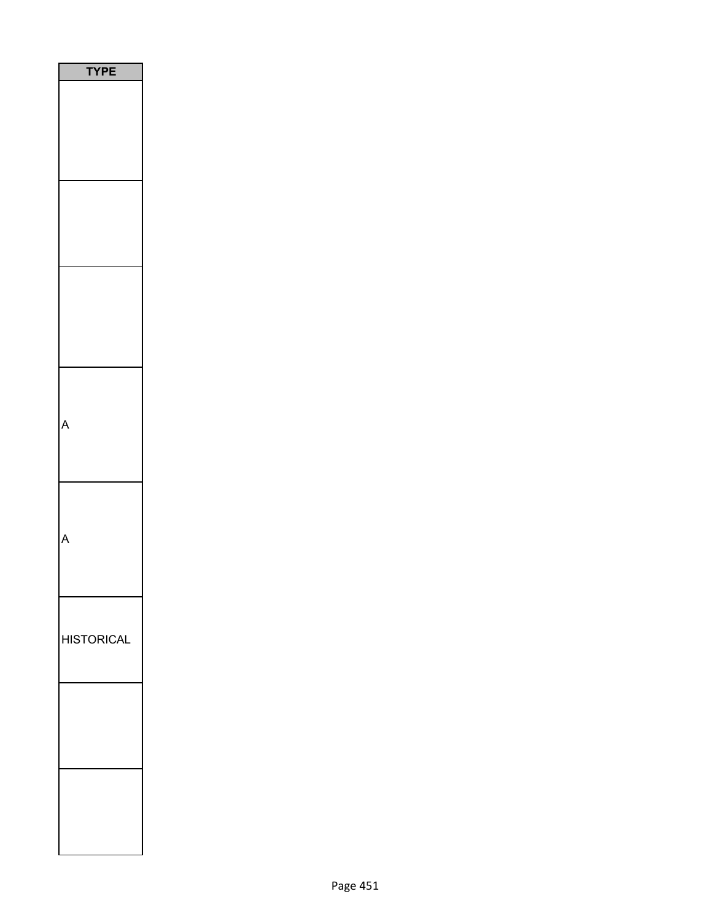| <b>YPE</b>        |
|-------------------|
|                   |
|                   |
|                   |
|                   |
|                   |
|                   |
|                   |
|                   |
|                   |
|                   |
|                   |
|                   |
|                   |
|                   |
|                   |
|                   |
|                   |
|                   |
|                   |
|                   |
|                   |
|                   |
|                   |
|                   |
| <b>HISTORICAL</b> |
|                   |
|                   |
|                   |
|                   |
|                   |
|                   |
|                   |
|                   |
|                   |
|                   |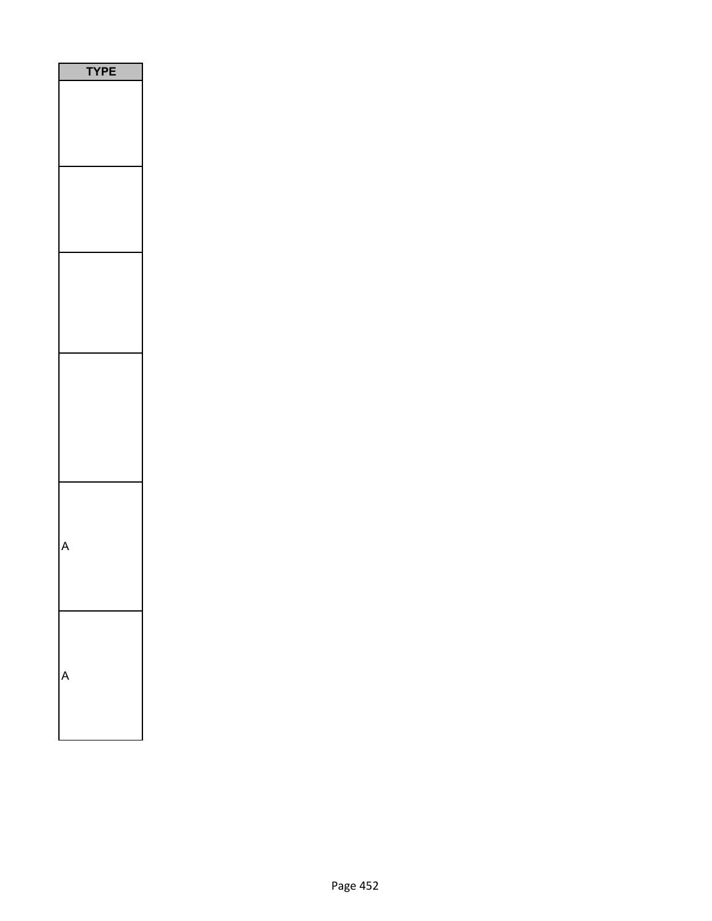| ۲<br>E |
|--------|
|        |
|        |
|        |
|        |
|        |
|        |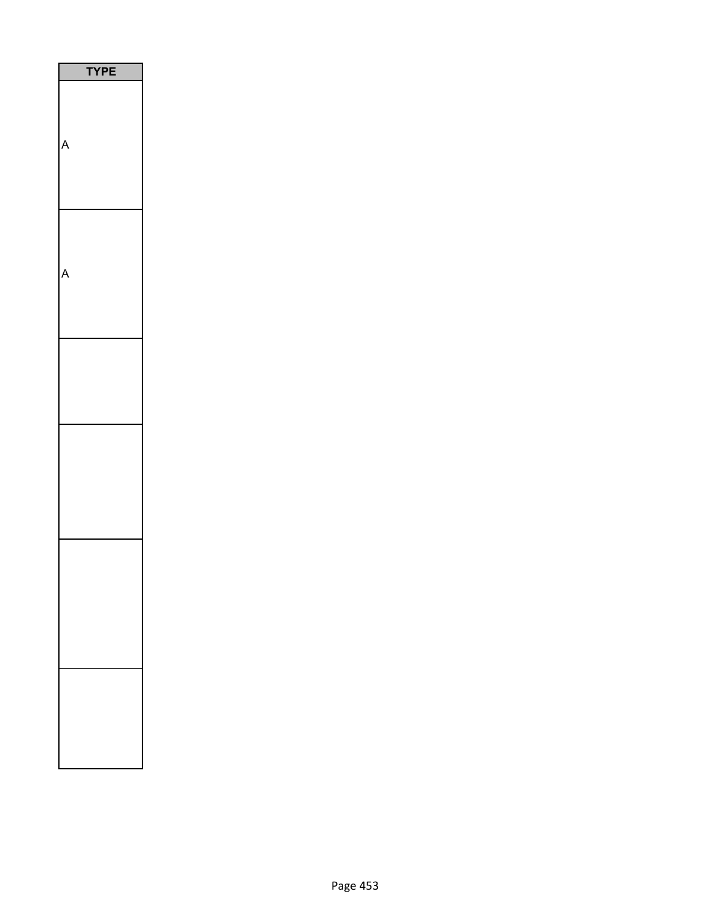| PE |
|----|
|    |
|    |
|    |
|    |
|    |
|    |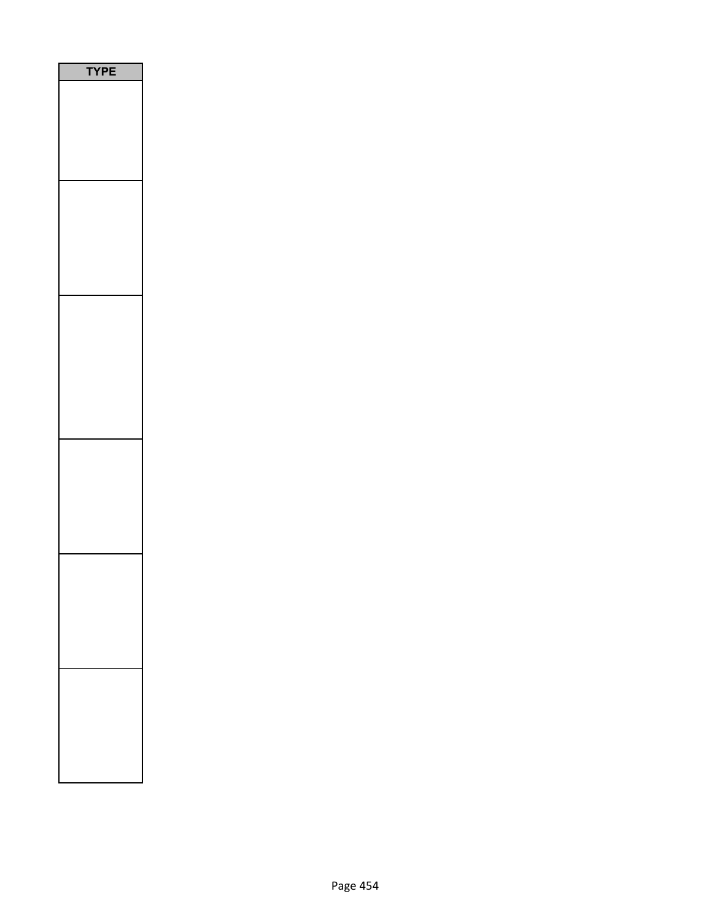| E<br>Р<br>1<br>ſ |
|------------------|
|                  |
|                  |
|                  |
|                  |
|                  |
|                  |
|                  |
|                  |
|                  |
|                  |
|                  |
|                  |
|                  |
|                  |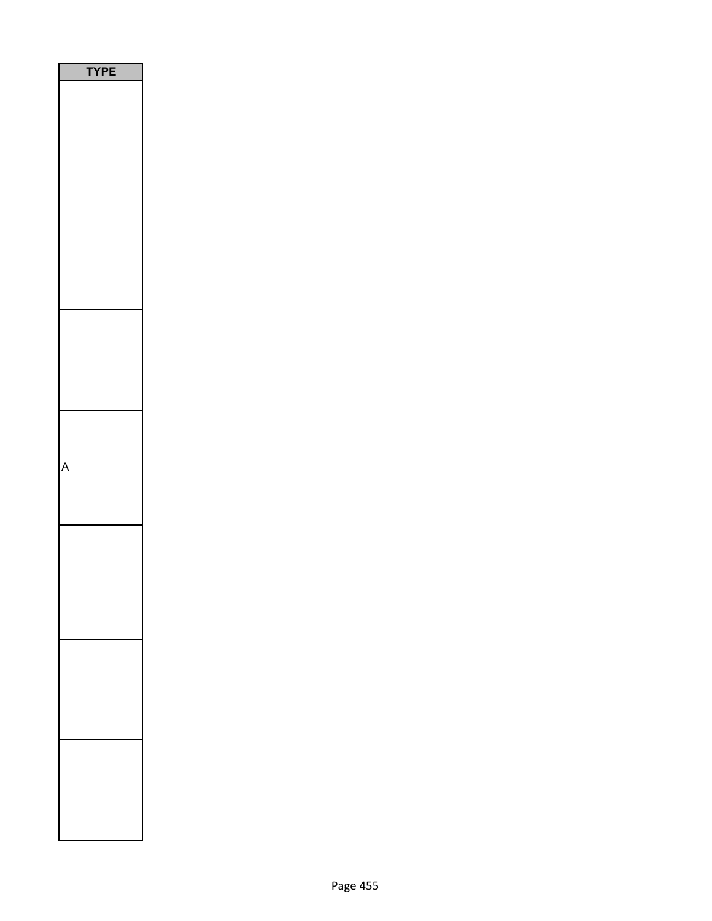| PE<br>ï |  |
|---------|--|
|         |  |
|         |  |
|         |  |
|         |  |
|         |  |
|         |  |
|         |  |
|         |  |
|         |  |
|         |  |
|         |  |
|         |  |
|         |  |
|         |  |
|         |  |
|         |  |
|         |  |
|         |  |
|         |  |
|         |  |
|         |  |
|         |  |
|         |  |
|         |  |
|         |  |
|         |  |
|         |  |
|         |  |
|         |  |
|         |  |
|         |  |
|         |  |
|         |  |
|         |  |
|         |  |
|         |  |
|         |  |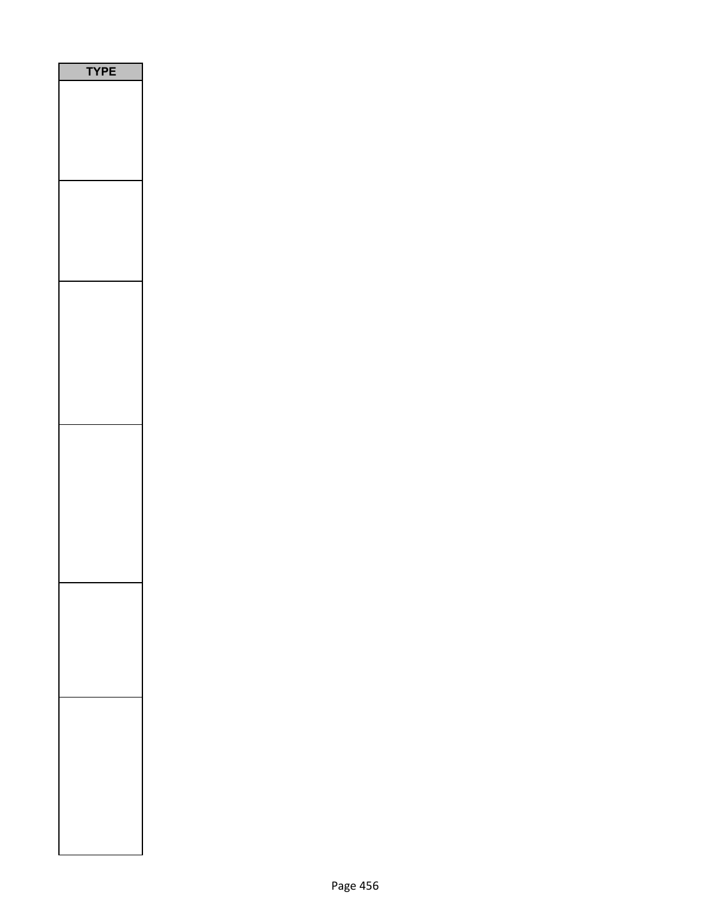| <b>/PE</b><br>١ |  |
|-----------------|--|
|                 |  |
|                 |  |
|                 |  |
|                 |  |
|                 |  |
|                 |  |
|                 |  |
|                 |  |
|                 |  |
|                 |  |
|                 |  |
|                 |  |
|                 |  |
|                 |  |
|                 |  |
|                 |  |
|                 |  |
|                 |  |
|                 |  |
|                 |  |
|                 |  |
|                 |  |
|                 |  |
|                 |  |
|                 |  |
|                 |  |
|                 |  |
|                 |  |
|                 |  |
|                 |  |
|                 |  |
|                 |  |
|                 |  |
|                 |  |
|                 |  |
|                 |  |
|                 |  |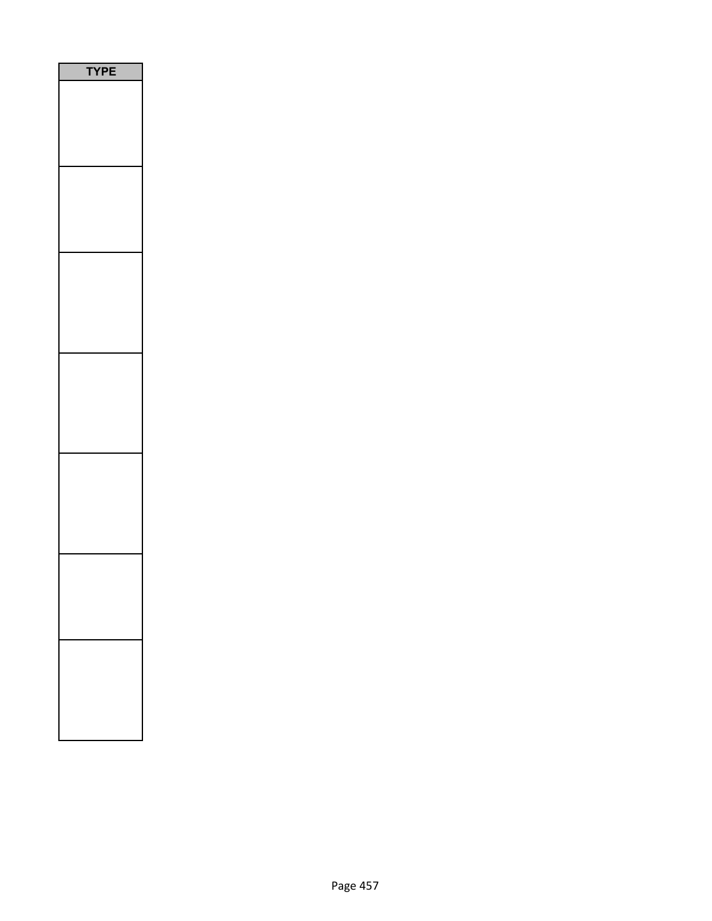| PE<br>ſ |
|---------|
|         |
|         |
|         |
|         |
|         |
|         |
|         |
|         |
|         |
|         |
|         |
|         |
|         |
|         |
|         |
|         |
|         |
|         |
|         |
|         |
|         |
|         |
|         |
|         |
|         |
|         |
|         |
|         |
|         |
|         |
|         |
|         |
|         |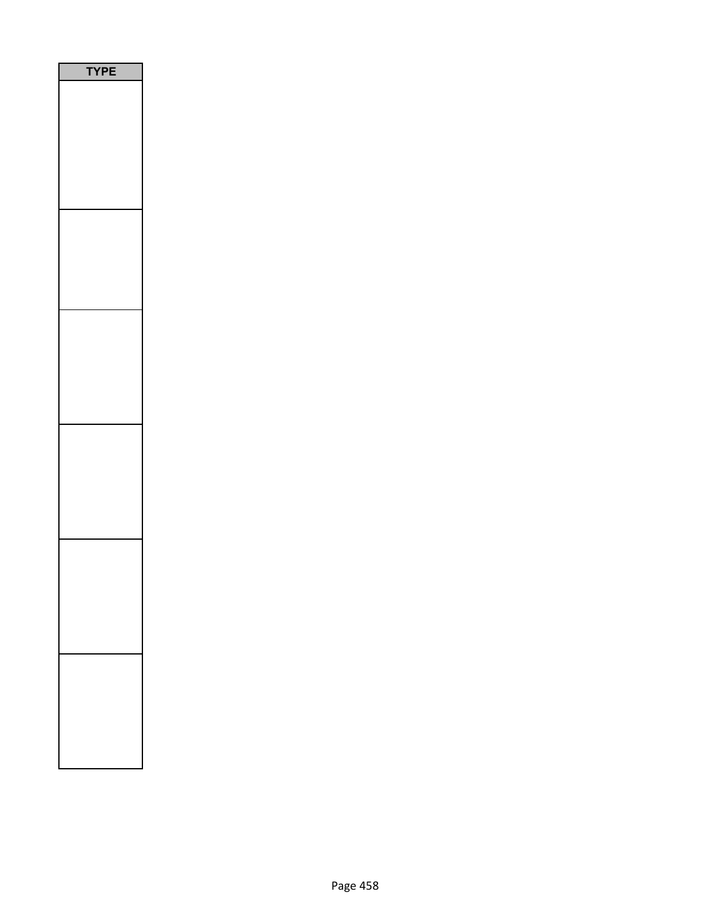| PЕ<br>1 |  |
|---------|--|
|         |  |
|         |  |
|         |  |
|         |  |
|         |  |
|         |  |
|         |  |
|         |  |
|         |  |
|         |  |
|         |  |
|         |  |
|         |  |
|         |  |
|         |  |
|         |  |
|         |  |
|         |  |
|         |  |
|         |  |
|         |  |
|         |  |
|         |  |
|         |  |
|         |  |
|         |  |
|         |  |
|         |  |
|         |  |
|         |  |
|         |  |
|         |  |
|         |  |
|         |  |
|         |  |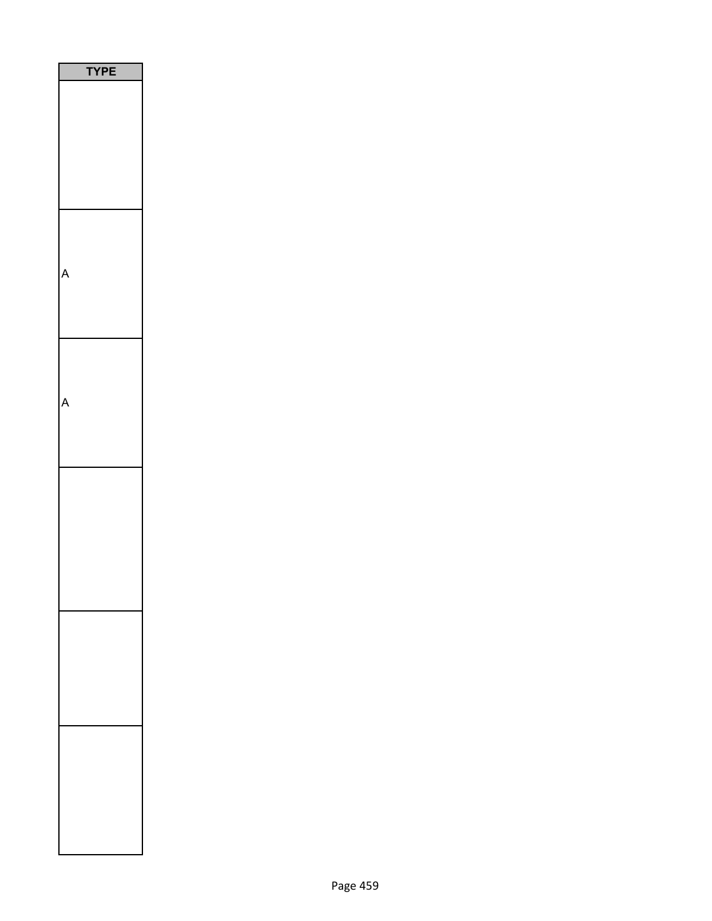| PE<br>١ |
|---------|
|         |
|         |
|         |
|         |
|         |
|         |
|         |
|         |
|         |
|         |
|         |
|         |
|         |
|         |
|         |
|         |
|         |
|         |
|         |
|         |
|         |
|         |
|         |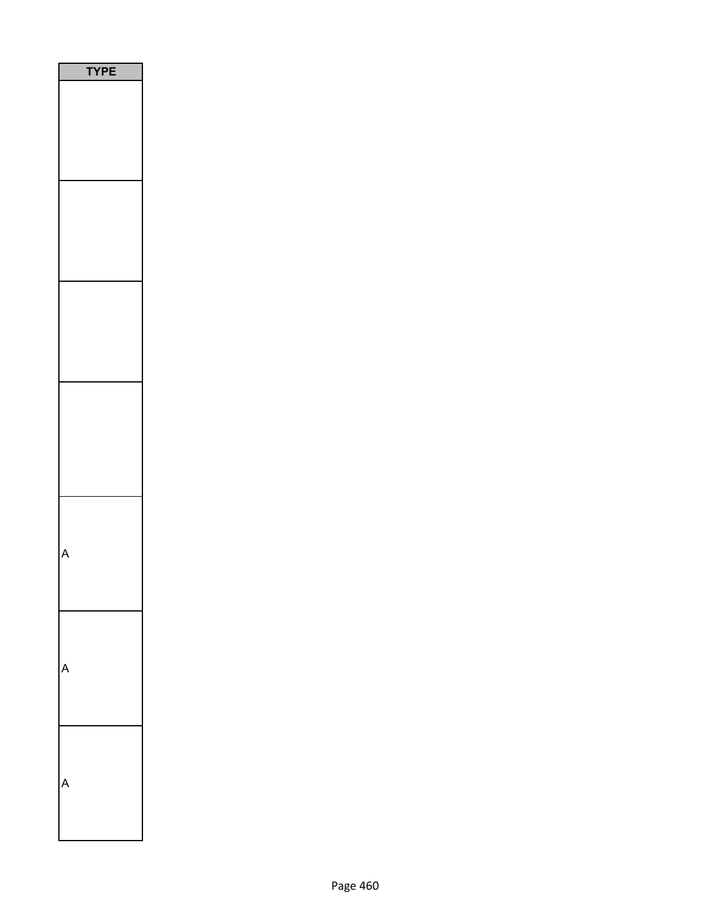| YPE |  |
|-----|--|
|     |  |
|     |  |
|     |  |
|     |  |
|     |  |
|     |  |
|     |  |
|     |  |
|     |  |
|     |  |
|     |  |
|     |  |
|     |  |
|     |  |
|     |  |
|     |  |
|     |  |
|     |  |
|     |  |
|     |  |
|     |  |
|     |  |
|     |  |
|     |  |
|     |  |
|     |  |
|     |  |
|     |  |
|     |  |
|     |  |
|     |  |
|     |  |
|     |  |
|     |  |
|     |  |
|     |  |
|     |  |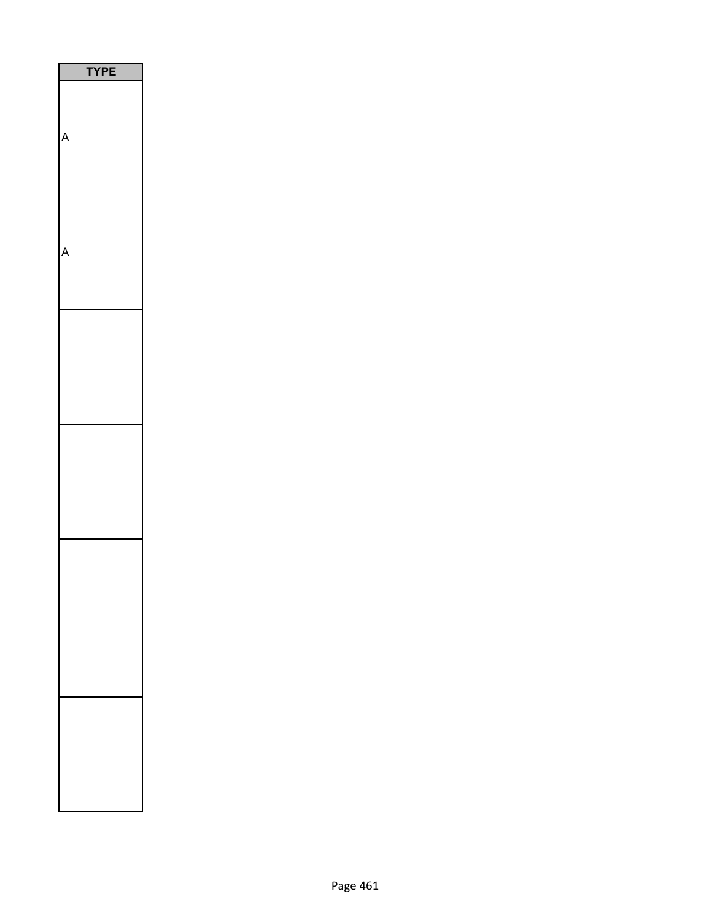| <b>YPE</b> |
|------------|
|            |
|            |
|            |
|            |
|            |
|            |
|            |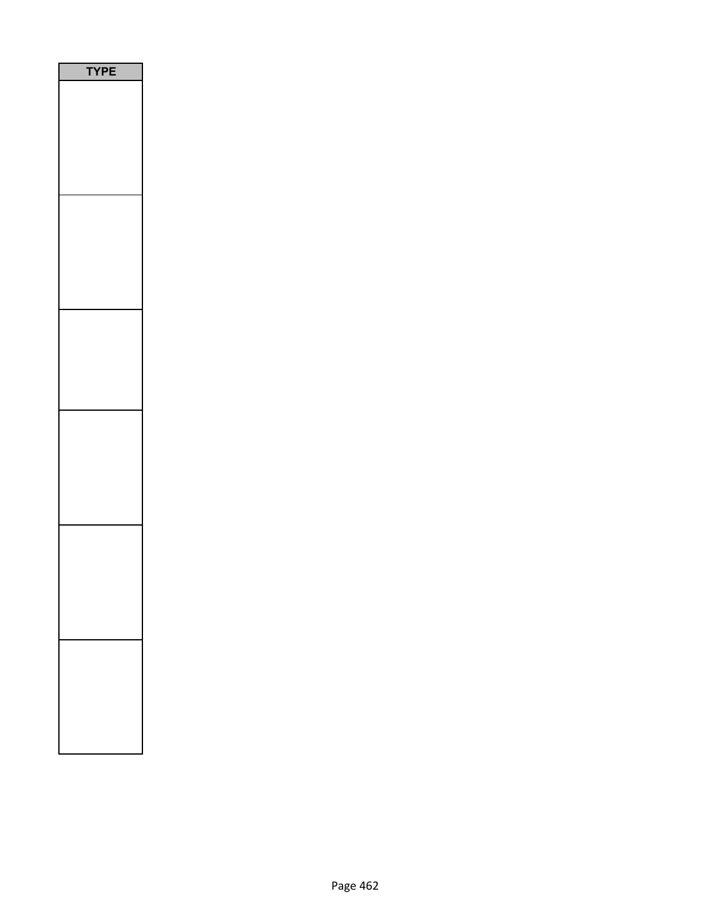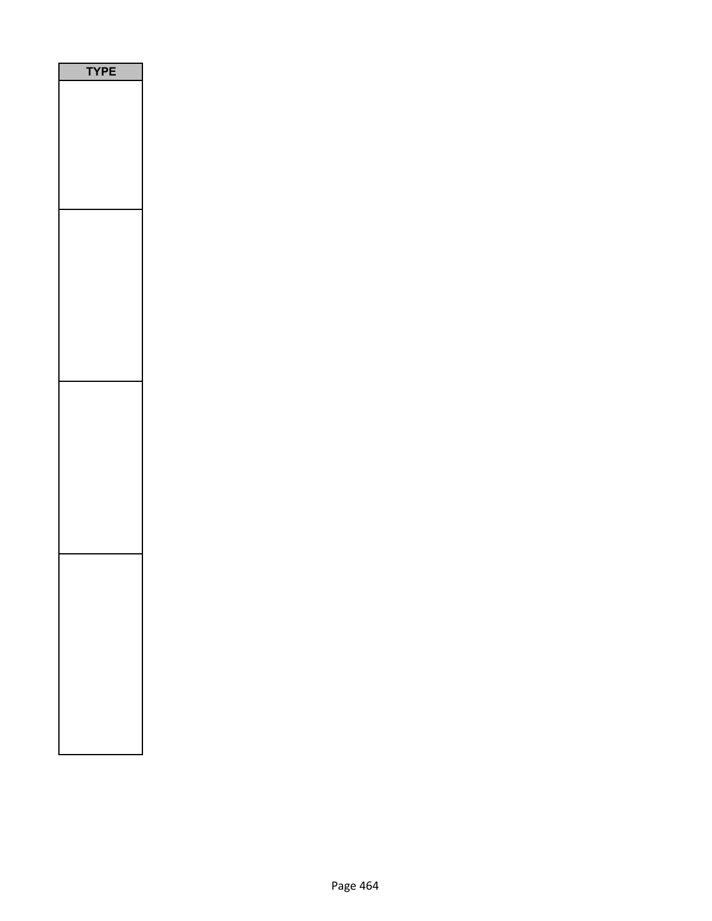| P |
|---|
|   |
|   |
|   |
|   |
|   |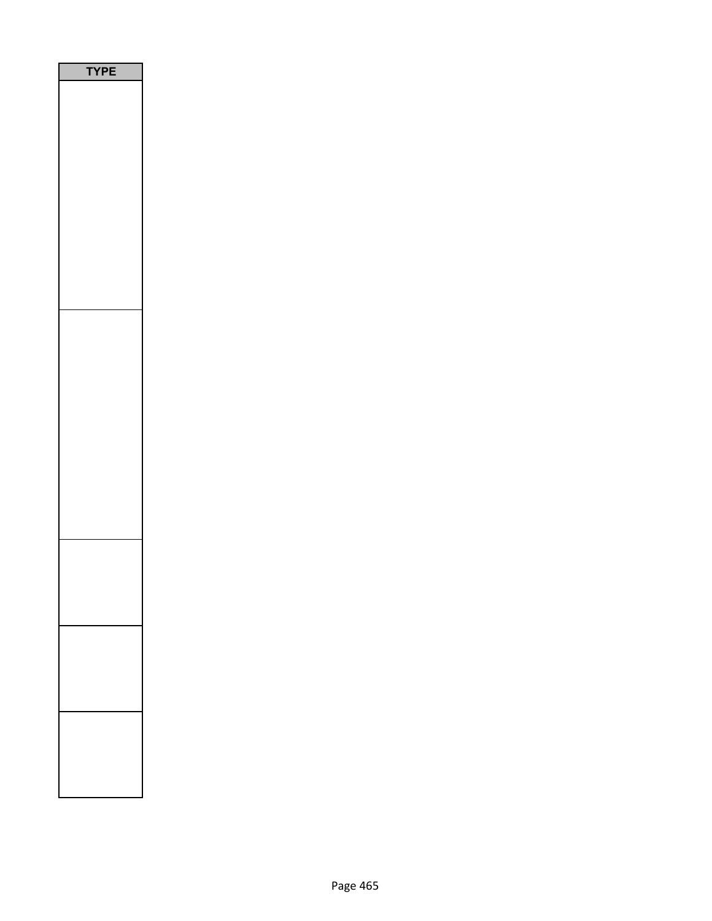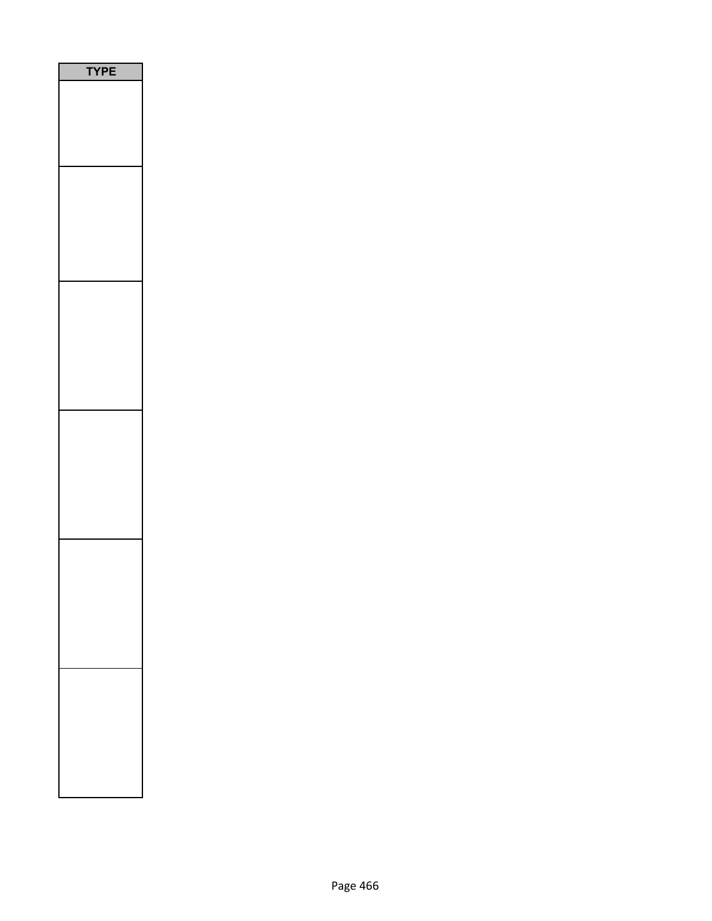| PE<br>٦<br>$\mathbf r$ |
|------------------------|
|                        |
|                        |
|                        |
|                        |
|                        |
|                        |
|                        |
|                        |
|                        |
|                        |
|                        |
|                        |
|                        |
|                        |
|                        |
|                        |
|                        |
|                        |
|                        |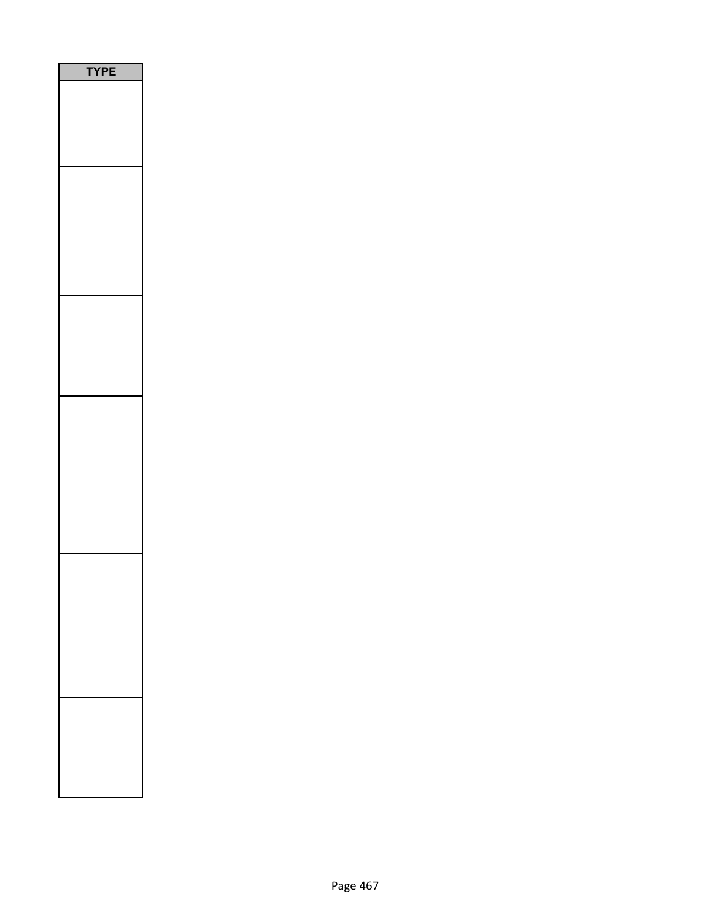| <b>YPE</b> |
|------------|
|            |
|            |
|            |
|            |
|            |
|            |
|            |
|            |
|            |
|            |
|            |
|            |
|            |
|            |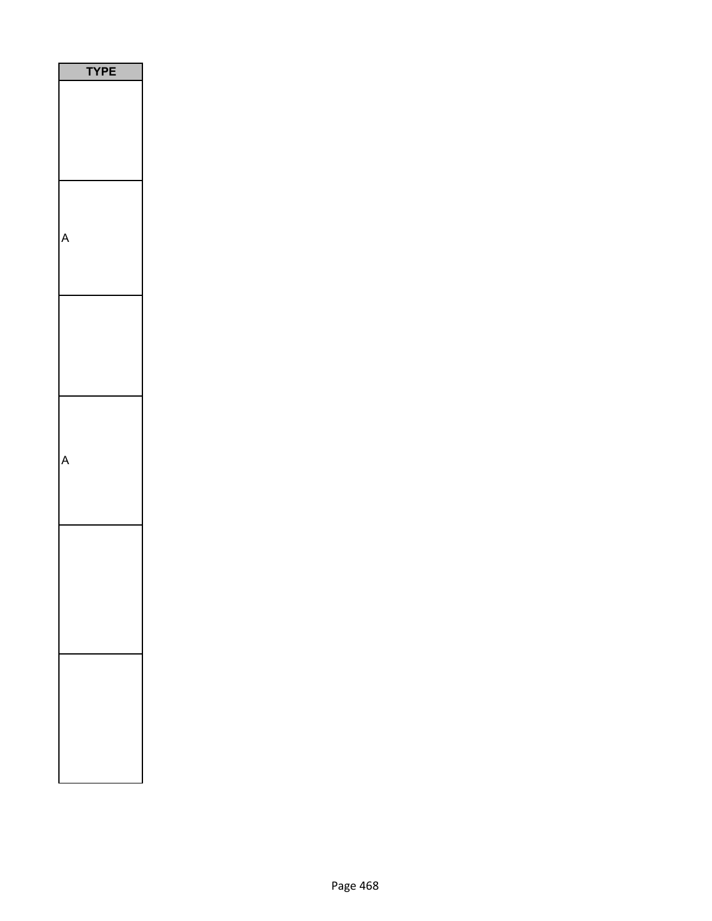| PE<br>ſ |
|---------|
|         |
|         |
|         |
|         |
|         |
|         |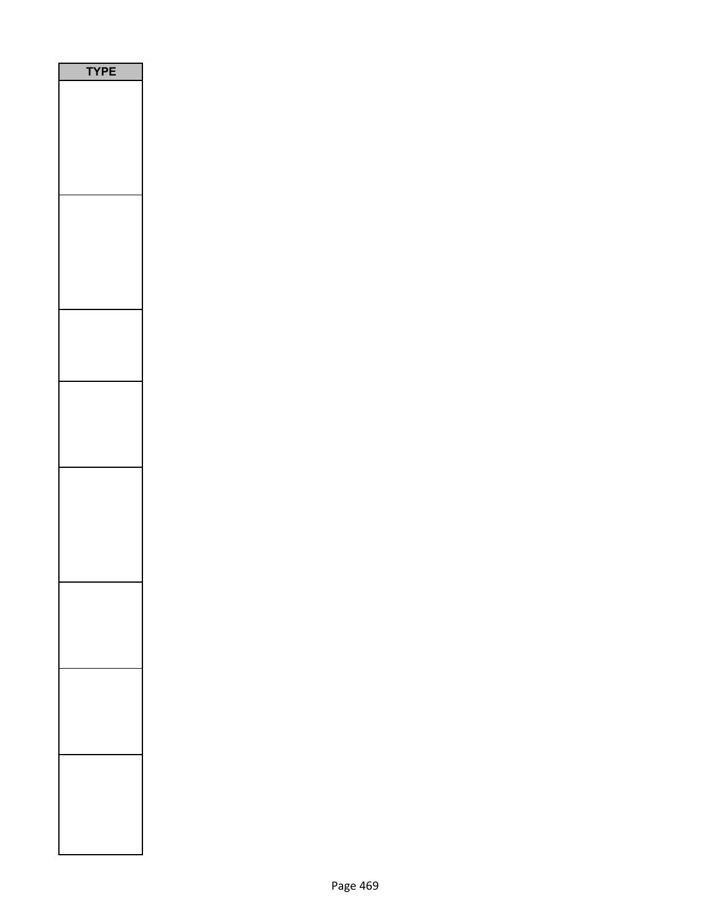| <b>PE</b> |
|-----------|
|           |
|           |
|           |
|           |
|           |
|           |
|           |
|           |
|           |
|           |
|           |
|           |
|           |
|           |
|           |
|           |
|           |
|           |
|           |
|           |
|           |
|           |
|           |
|           |
|           |
|           |
|           |
|           |
|           |
|           |
|           |
|           |
|           |
|           |
|           |
|           |
|           |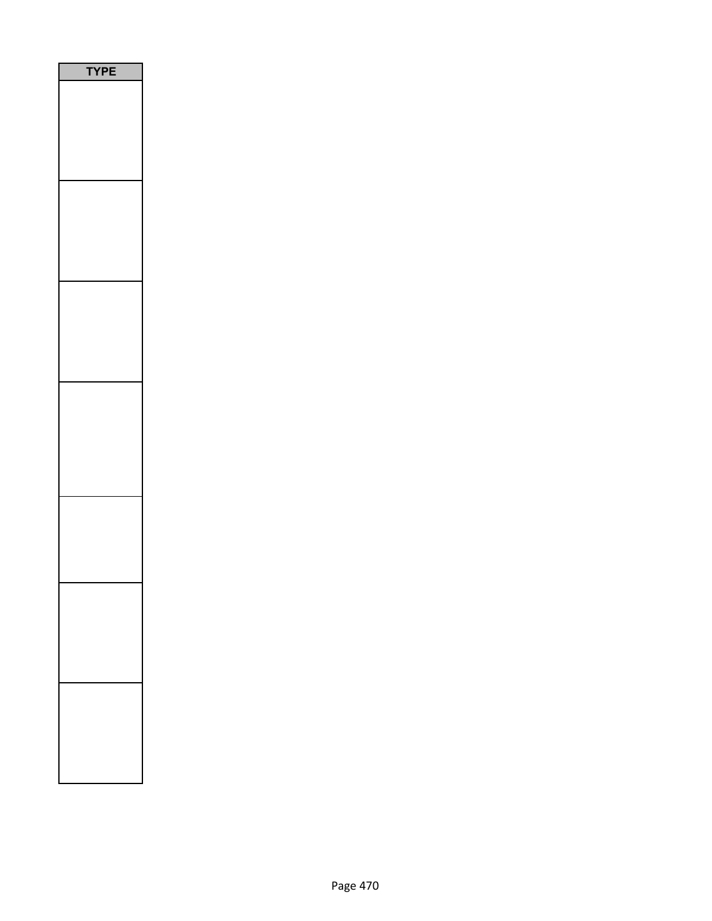| <b>TYPE</b> |
|-------------|
|             |
|             |
|             |
|             |
|             |
|             |
|             |
|             |
|             |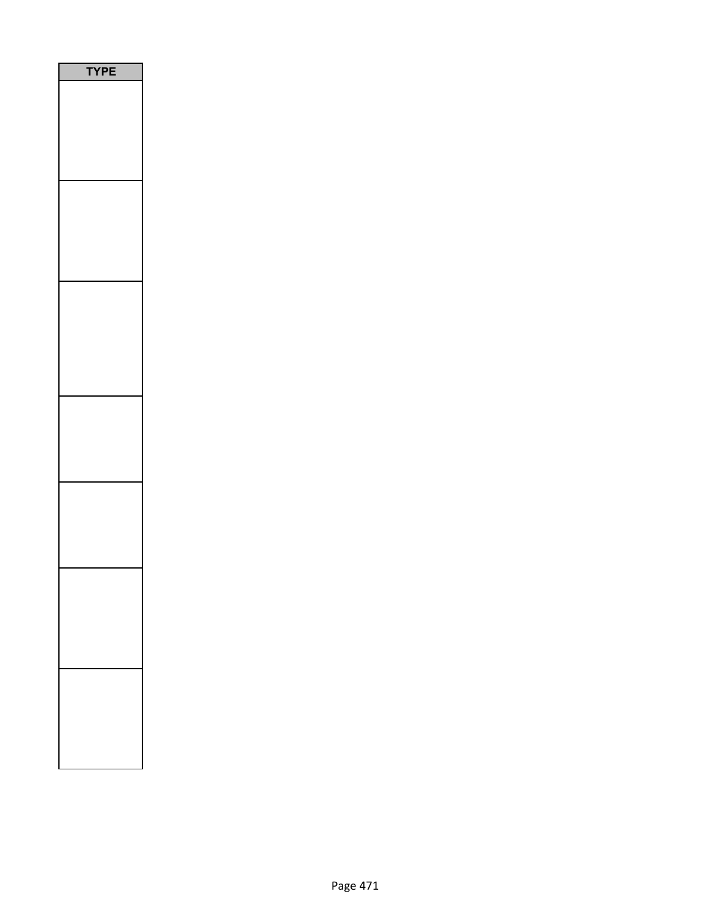| E<br>I<br>י<br>٢ |
|------------------|
|                  |
|                  |
|                  |
|                  |
|                  |
|                  |
|                  |
|                  |
|                  |
|                  |
|                  |
|                  |
|                  |
|                  |
|                  |
|                  |
|                  |
|                  |
|                  |
|                  |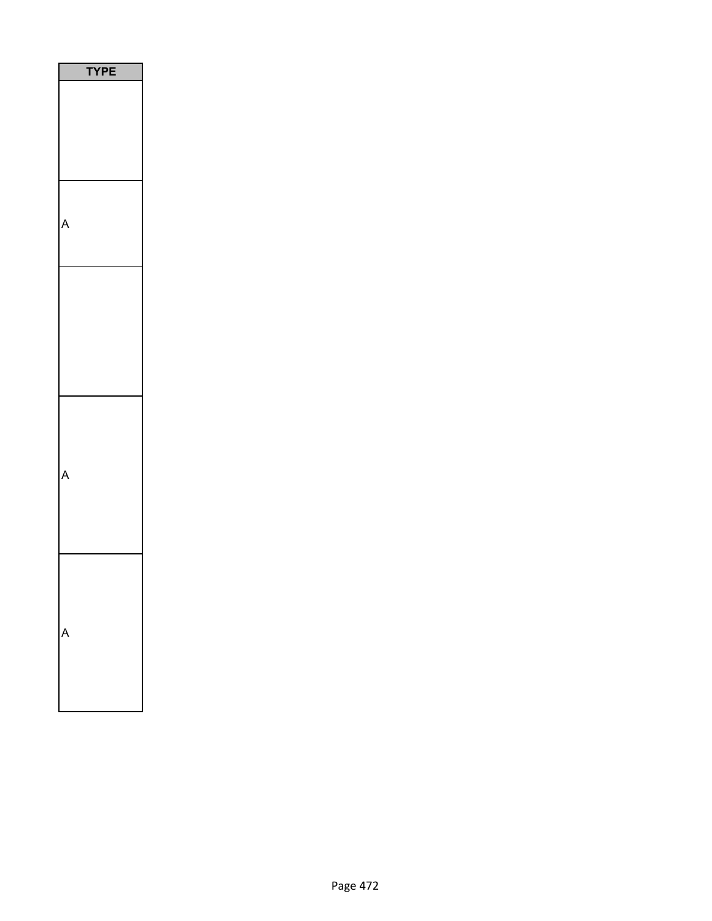|   | ٢<br>ı<br>I |  |
|---|-------------|--|
|   |             |  |
|   |             |  |
|   |             |  |
|   |             |  |
| ŗ |             |  |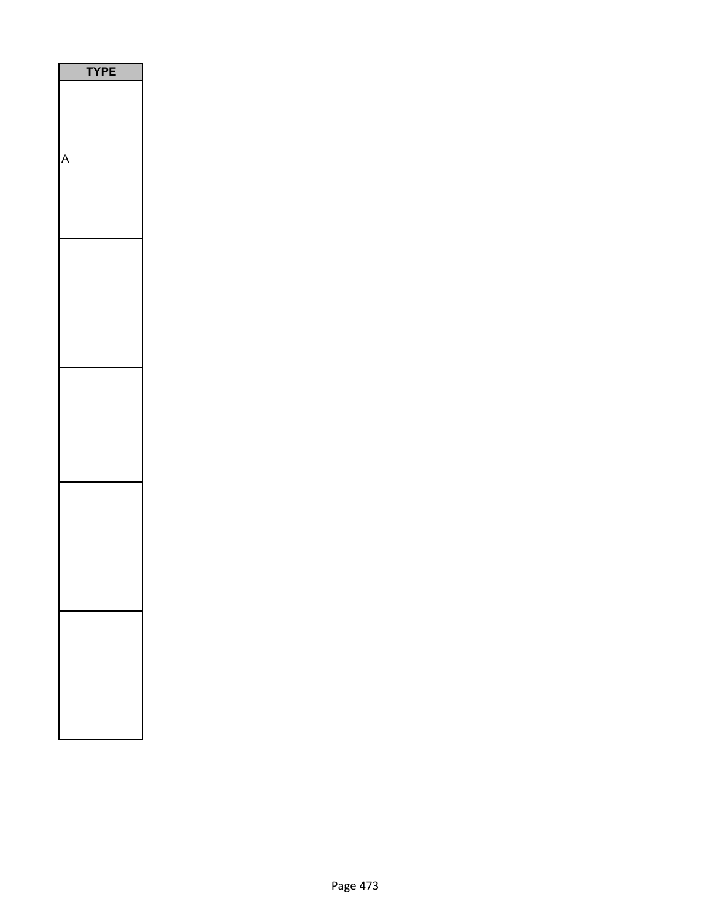| PE |  |
|----|--|
|    |  |
|    |  |
|    |  |
|    |  |
|    |  |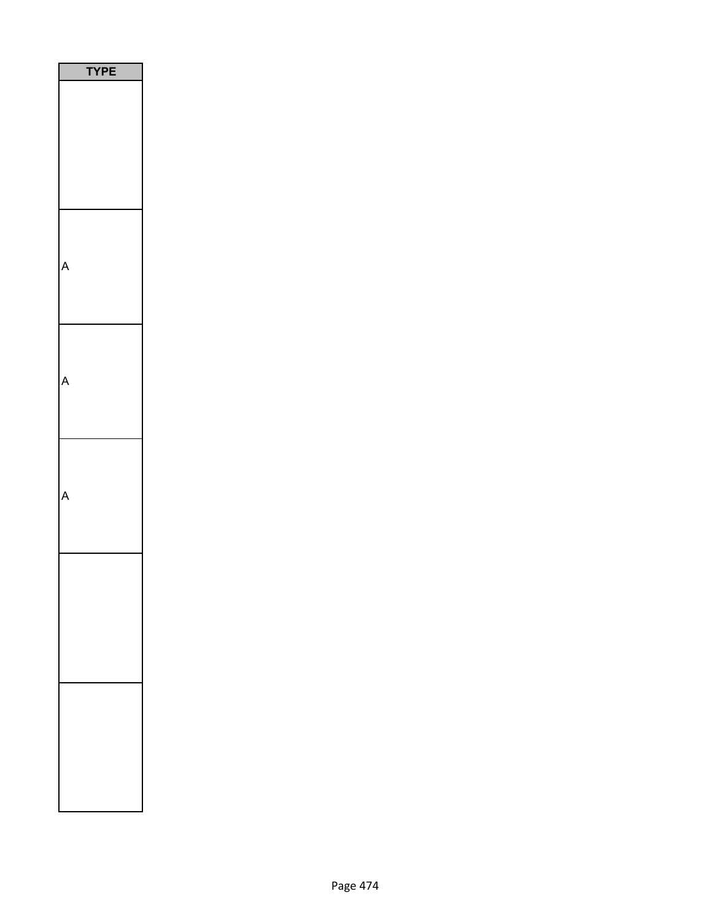| РE<br>ť |  |
|---------|--|
|         |  |
|         |  |
|         |  |
|         |  |
|         |  |
|         |  |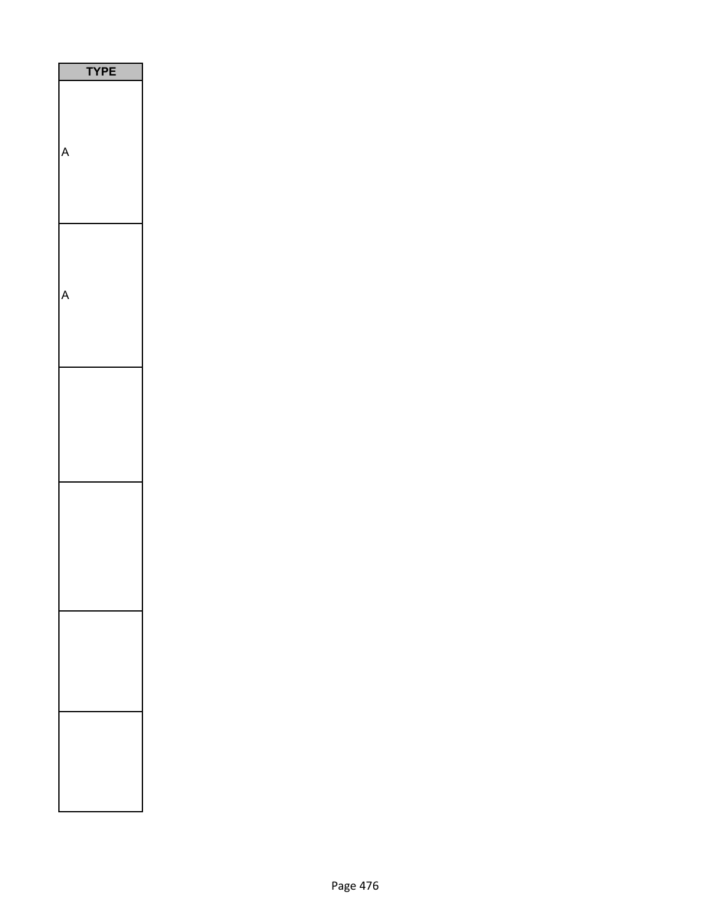| <b>TPE</b> |  |
|------------|--|
|            |  |
|            |  |
|            |  |
|            |  |
|            |  |
|            |  |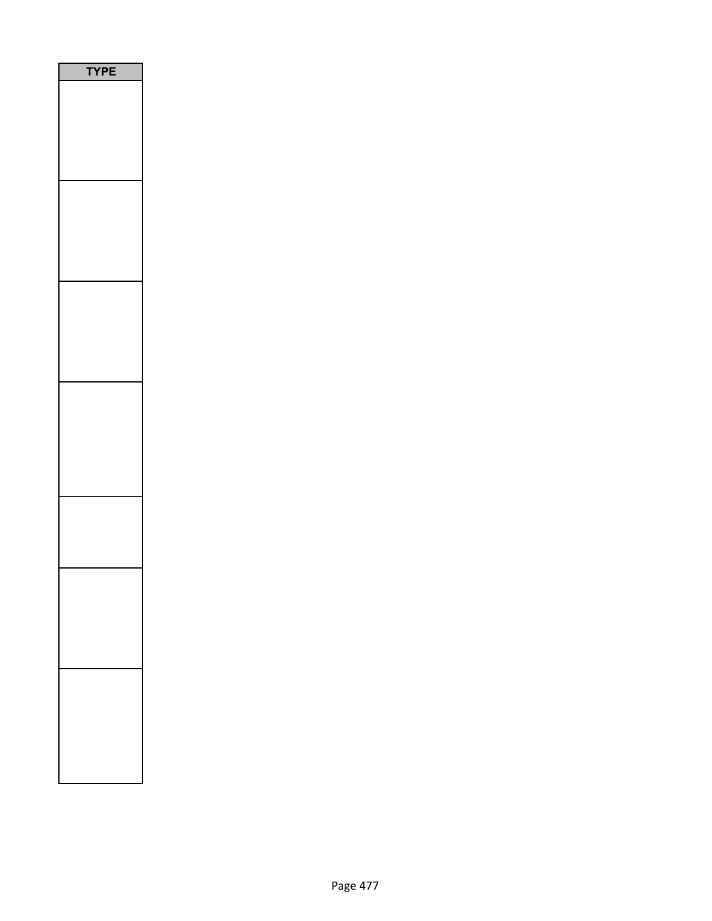| E<br>P |
|--------|
|        |
|        |
|        |
|        |
|        |
|        |
|        |
|        |
|        |
|        |
|        |
|        |
|        |
|        |
|        |
|        |
|        |
|        |
|        |
|        |
|        |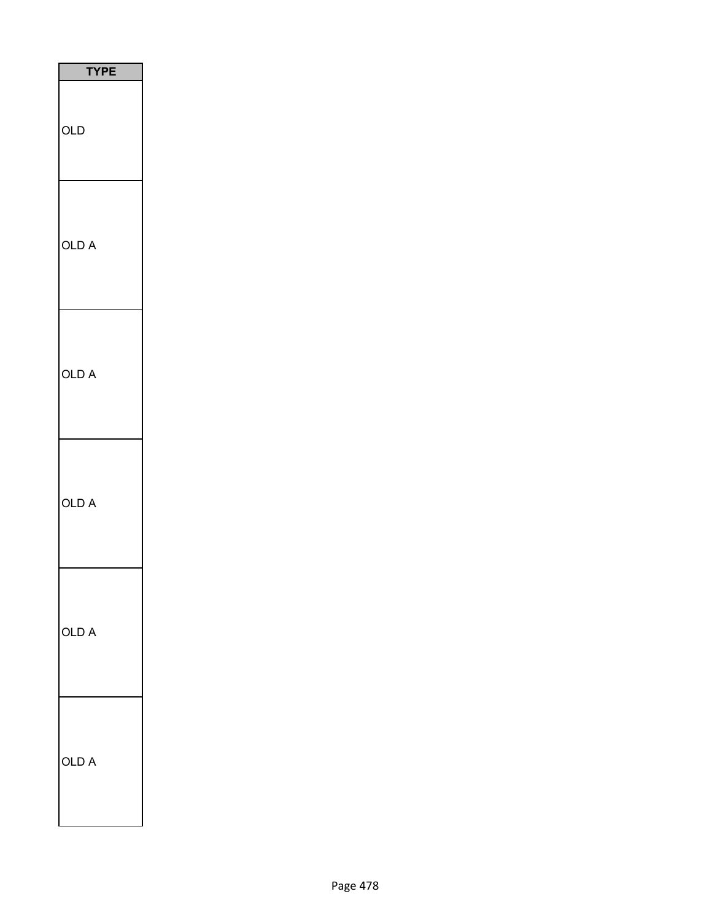| <b>TYPE</b> |
|-------------|
| OLD         |
| OLD A       |
| OLD A       |
| OLD A       |
| OLD A       |
| OLD A       |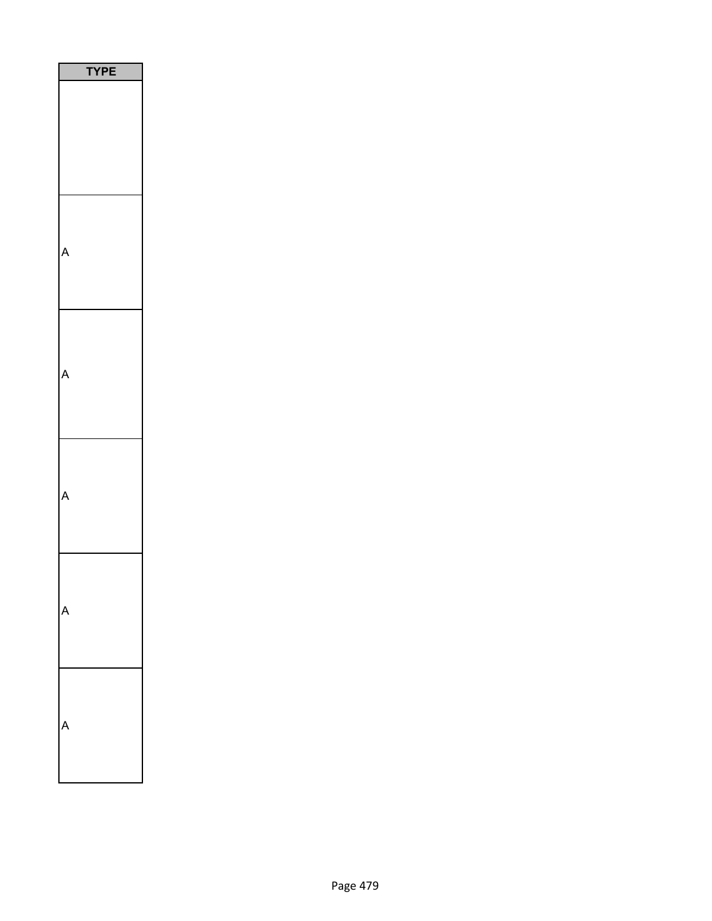| YPE |  |
|-----|--|
|     |  |
|     |  |
|     |  |
|     |  |
|     |  |
|     |  |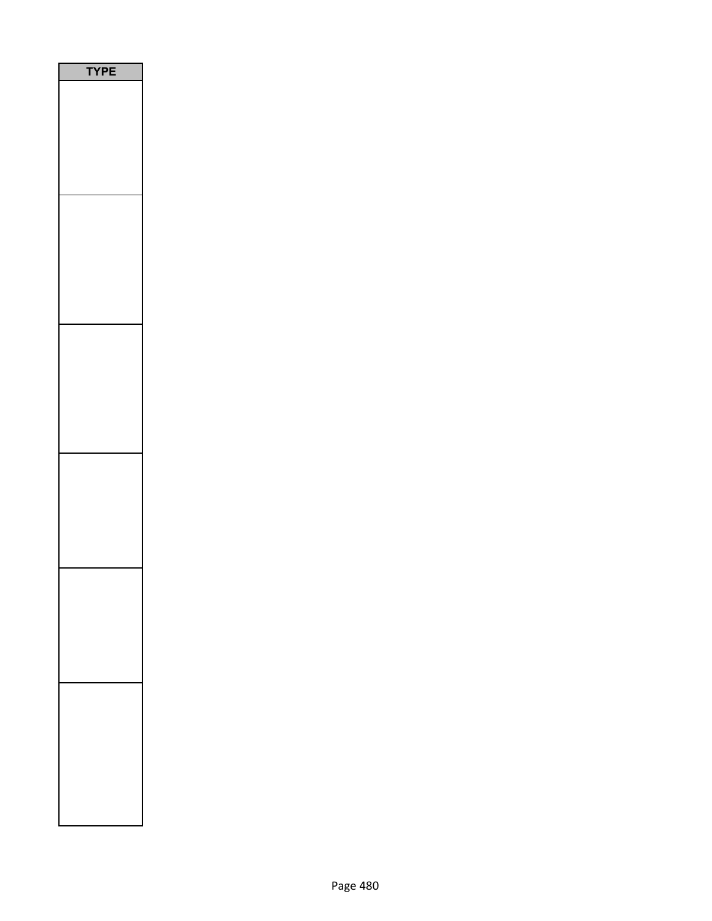| PE<br>Y |
|---------|
|         |
|         |
|         |
|         |
|         |
|         |
|         |
|         |
|         |
|         |
|         |
|         |
|         |
|         |
|         |
|         |
|         |
|         |
|         |
|         |
|         |
|         |
|         |
|         |
|         |
|         |
|         |
|         |
|         |
|         |
|         |
|         |
|         |
|         |
|         |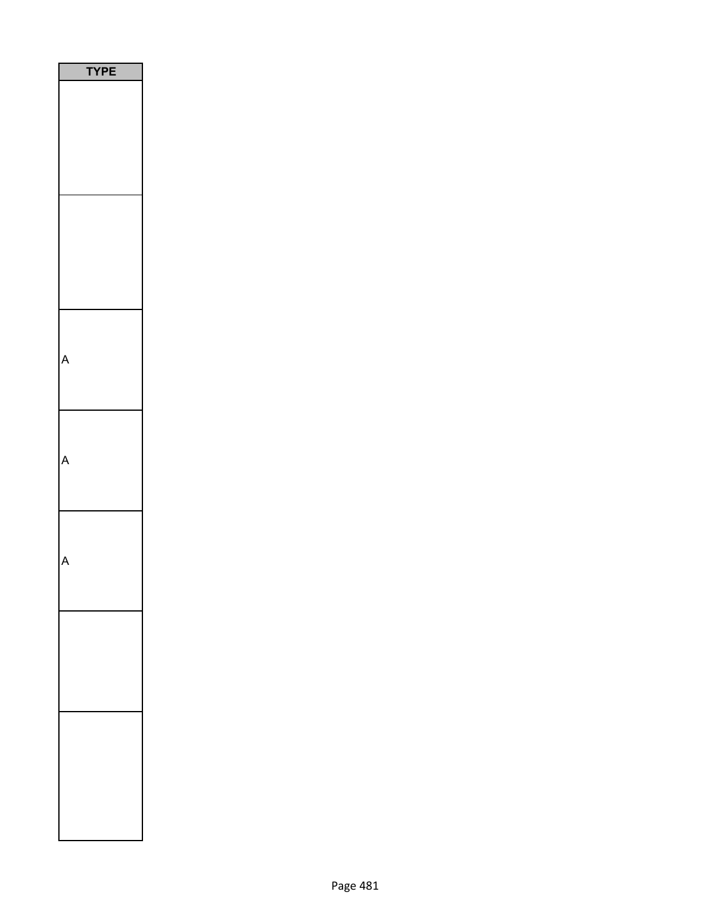| YPE |  |
|-----|--|
|     |  |
|     |  |
|     |  |
|     |  |
|     |  |
|     |  |
|     |  |
|     |  |
|     |  |
|     |  |
|     |  |
|     |  |
|     |  |
|     |  |
|     |  |
|     |  |
|     |  |
|     |  |
|     |  |
|     |  |
|     |  |
|     |  |
|     |  |
|     |  |
|     |  |
|     |  |
|     |  |
|     |  |
|     |  |
|     |  |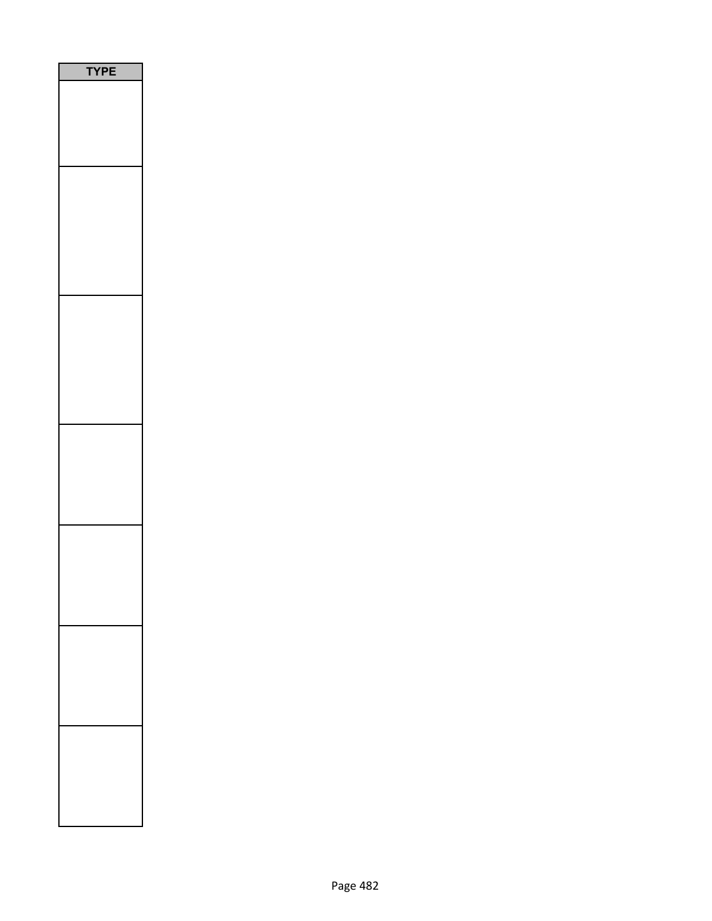| E<br>P |
|--------|
|        |
|        |
|        |
|        |
|        |
|        |
|        |
|        |
|        |
|        |
|        |
|        |
|        |
|        |
|        |
|        |
|        |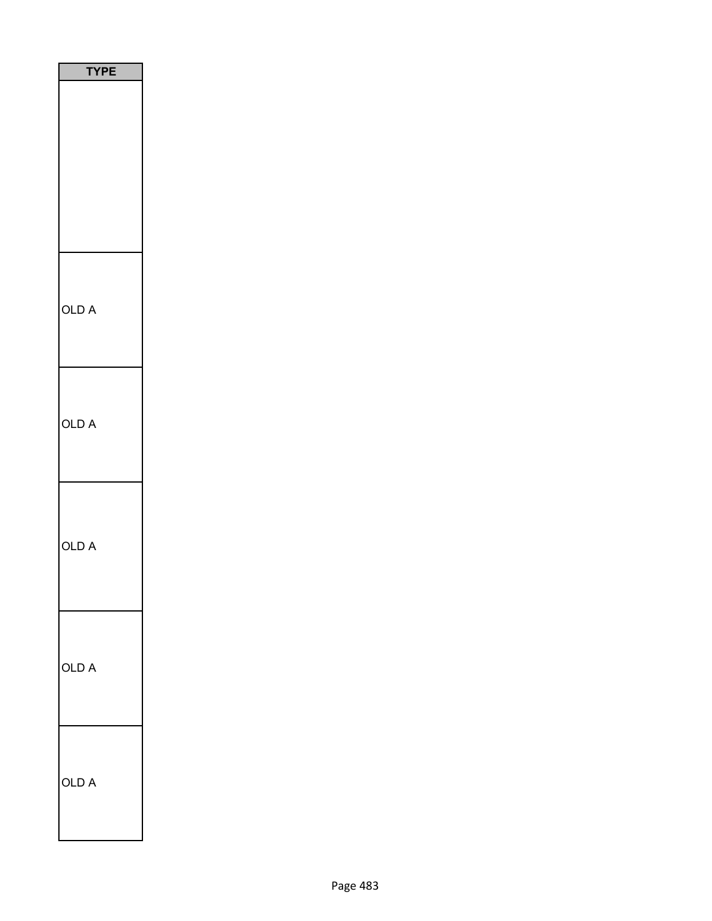| <b>TYPE</b>     |
|-----------------|
|                 |
| OLD A           |
| OLD A           |
| OLD A           |
| OLD A           |
| <b>OLD</b><br>A |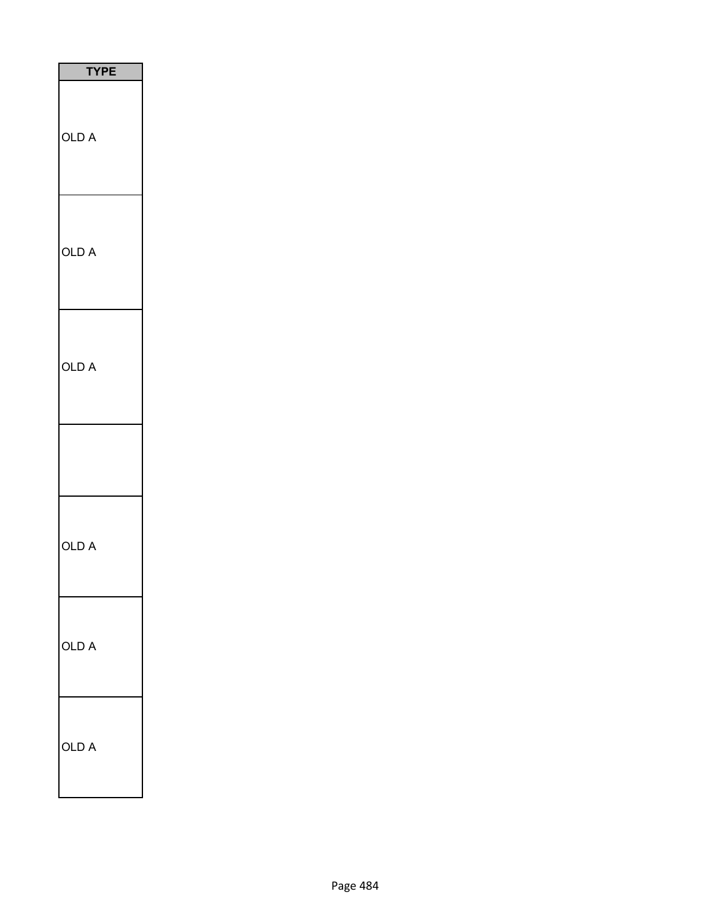| <b>TYPE</b> |
|-------------|
| OLD A       |
| OLD A       |
| OLD A       |
|             |
| OLD A       |
| OLD A       |
| OLD A       |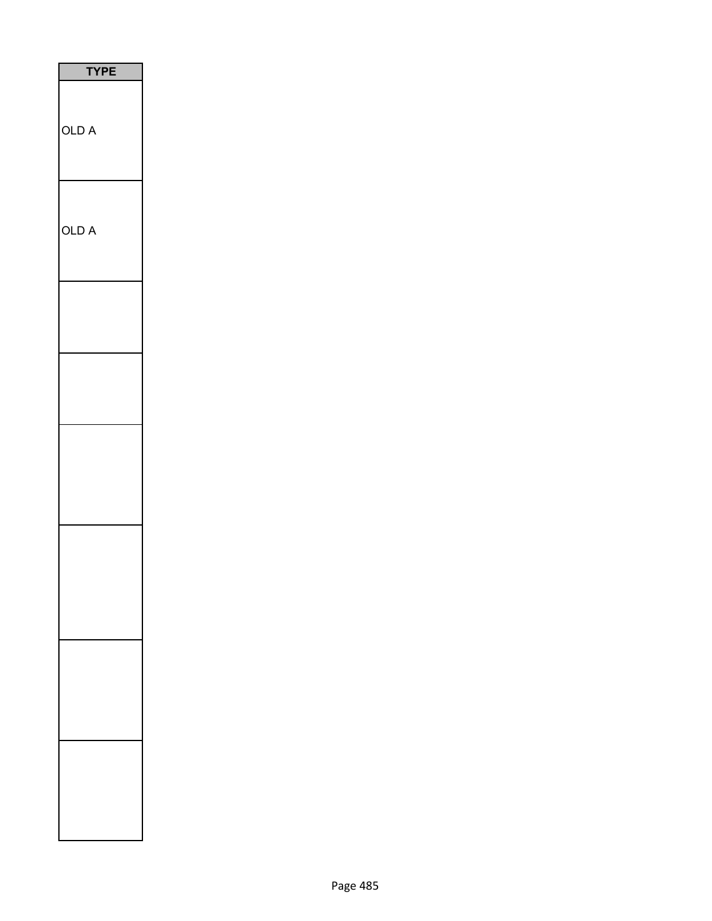| P<br>E<br>i |
|-------------|
| OLD A       |
| OLD A       |
|             |
|             |
|             |
|             |
|             |
|             |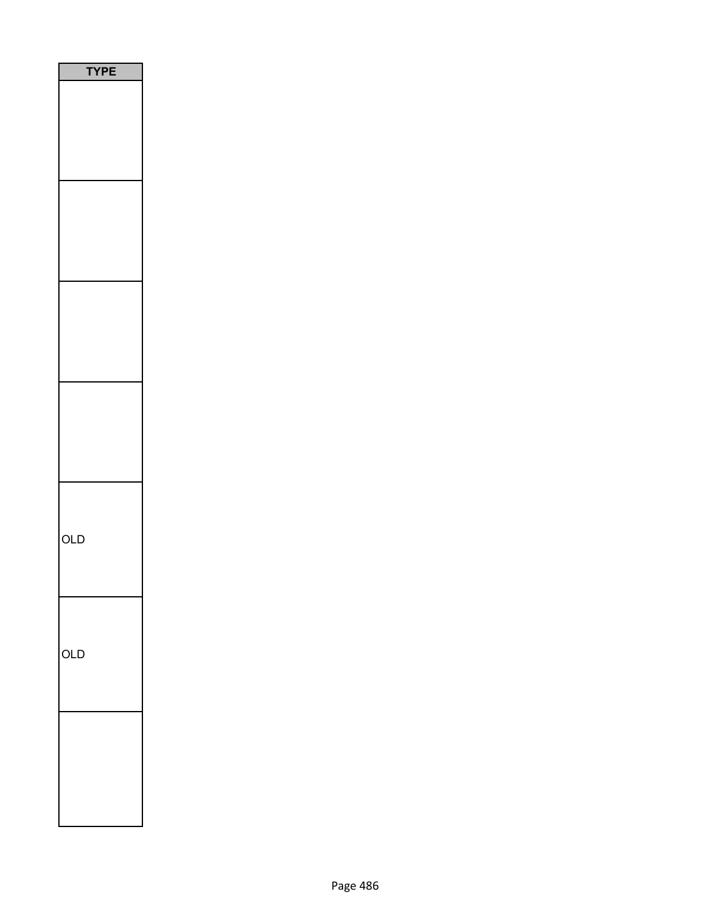| <b>TYPE</b> |
|-------------|
|             |
|             |
|             |
|             |
|             |
|             |
|             |
|             |
|             |
|             |
|             |
|             |
|             |
|             |
|             |
|             |
|             |
|             |
|             |
|             |
|             |
|             |
|             |
|             |
| OLD         |
|             |
|             |
|             |
|             |
|             |
| OLD         |
|             |
|             |
|             |
|             |
|             |
|             |
|             |
|             |
|             |
|             |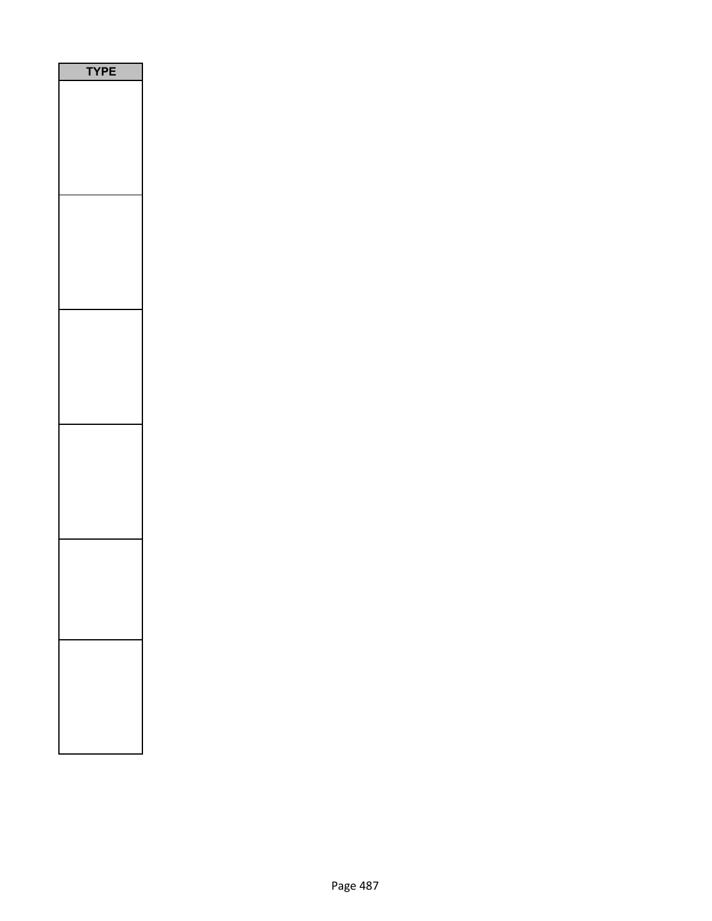| <b>/PE</b> |
|------------|
|            |
|            |
|            |
|            |
|            |
|            |
|            |
|            |
|            |
|            |
|            |
|            |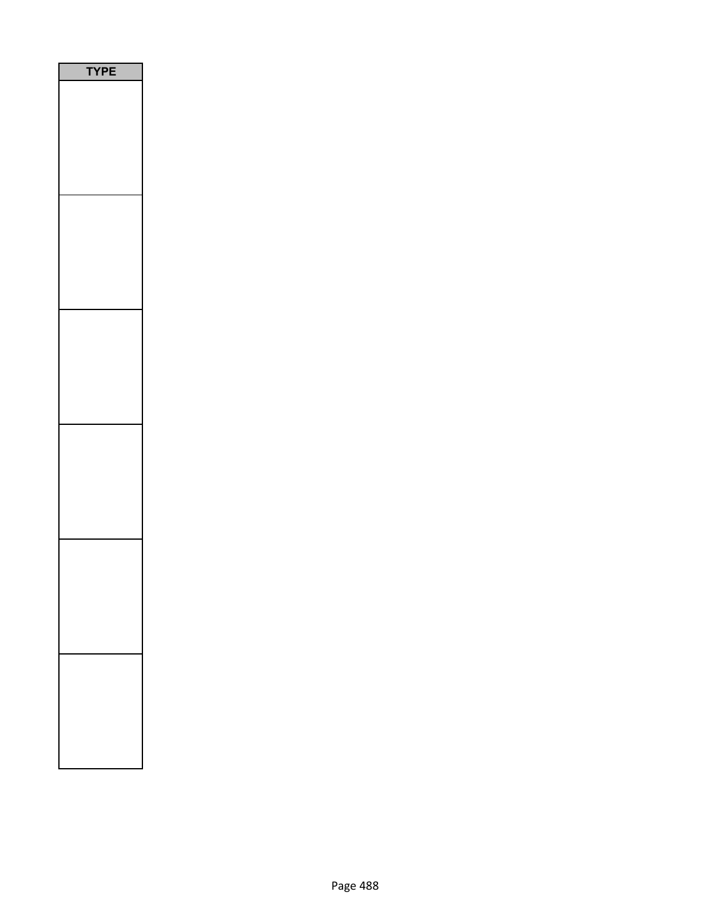| PE<br>٢ |
|---------|
|         |
|         |
|         |
|         |
|         |
|         |
|         |
|         |
|         |
|         |
|         |
|         |
|         |
|         |
|         |
|         |
|         |
|         |
|         |
|         |
|         |
|         |
|         |
|         |
|         |
|         |
|         |
|         |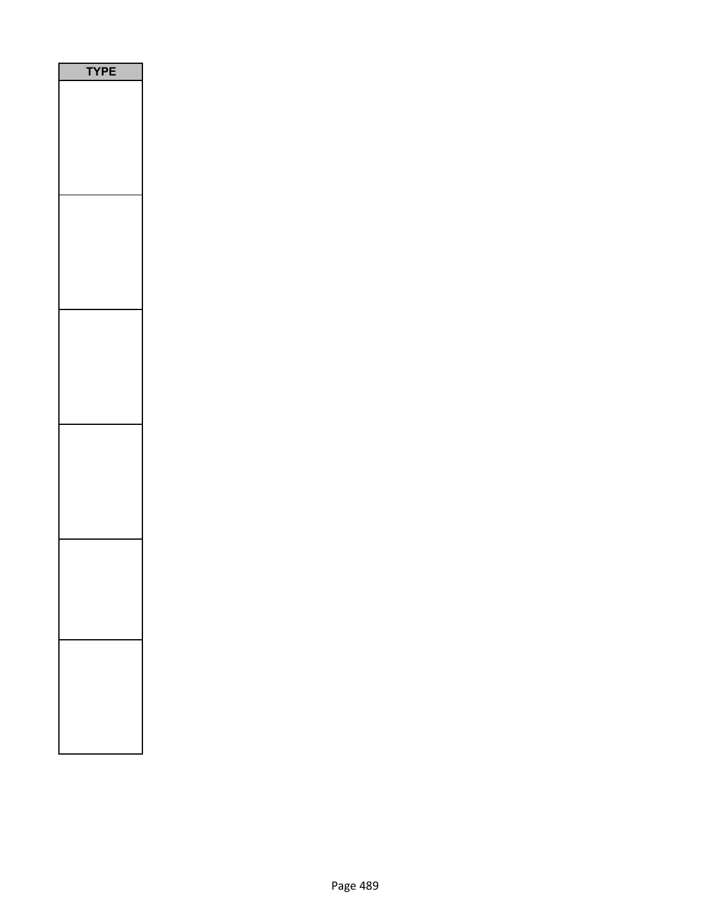| <b>/PE</b> |
|------------|
|            |
|            |
|            |
|            |
|            |
|            |
|            |
|            |
|            |
|            |
|            |
|            |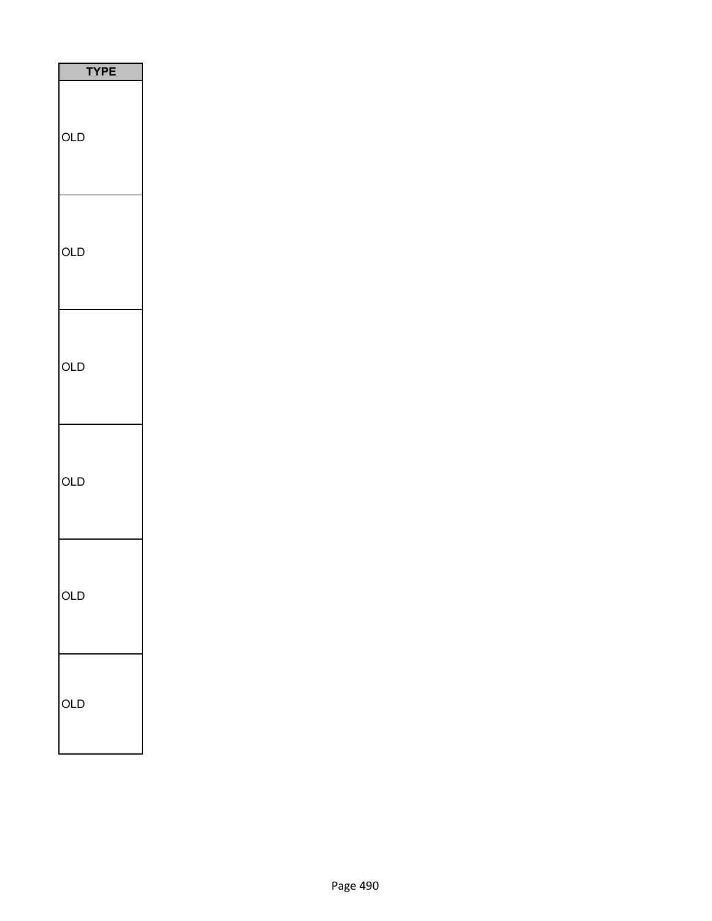| TΥ<br>PЕ |
|----------|
| OLD      |
| OLD      |
| OLD      |
| OLD      |
| OLD      |
| OLD      |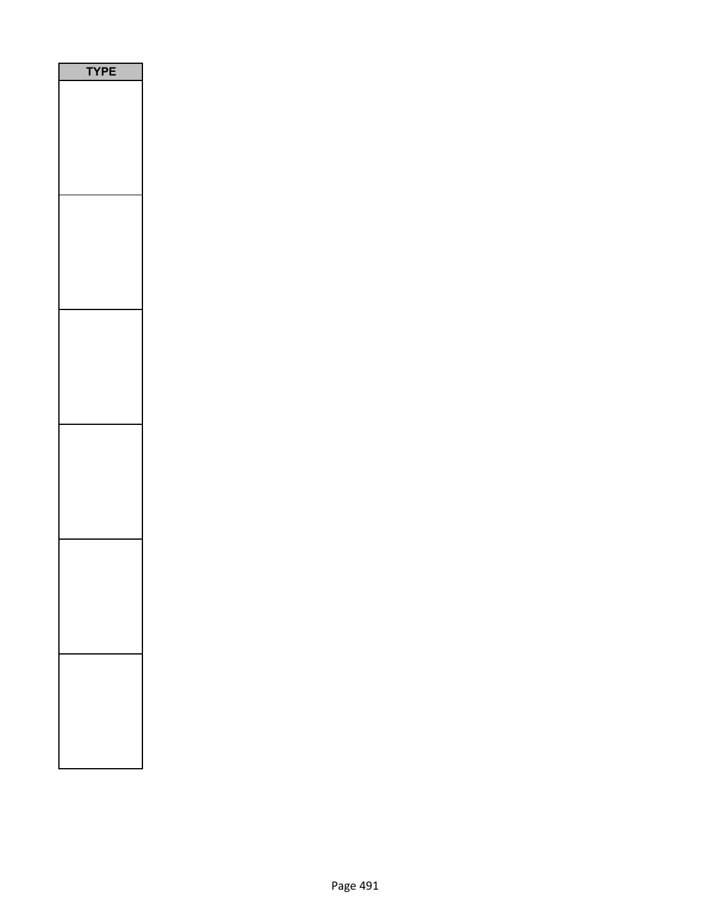| PE<br>٢ |
|---------|
|         |
|         |
|         |
|         |
|         |
|         |
|         |
|         |
|         |
|         |
|         |
|         |
|         |
|         |
|         |
|         |
|         |
|         |
|         |
|         |
|         |
|         |
|         |
|         |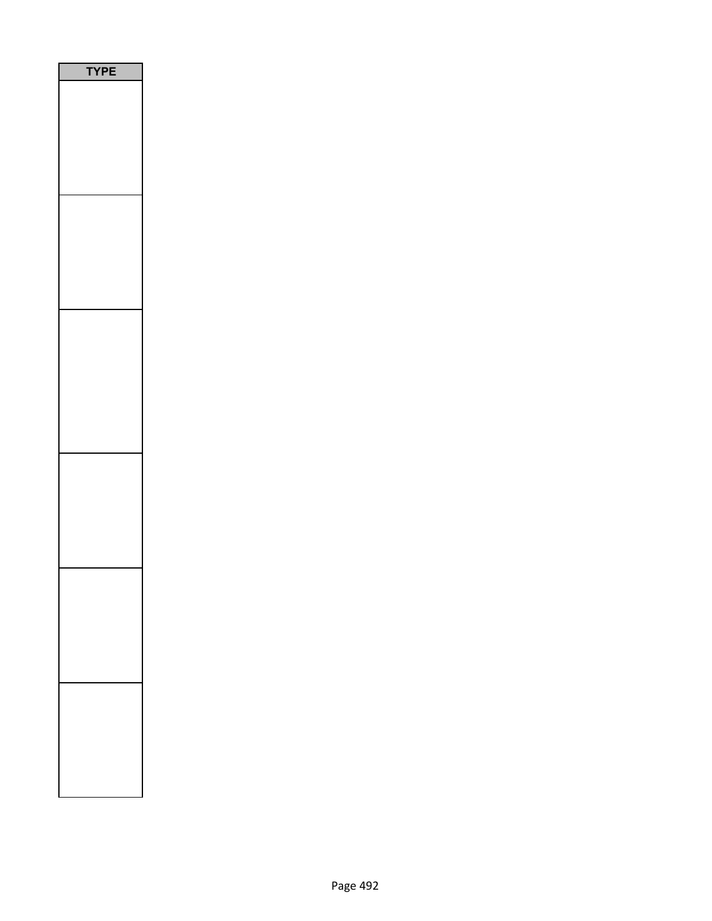| E<br>$\mathsf{P}$<br>1<br>J |
|-----------------------------|
|                             |
|                             |
|                             |
|                             |
|                             |
|                             |
|                             |
|                             |
|                             |
|                             |
|                             |
|                             |
|                             |
|                             |
|                             |
|                             |
|                             |
|                             |
|                             |
|                             |
|                             |
|                             |
|                             |
|                             |
|                             |
|                             |
|                             |
|                             |
|                             |
|                             |
|                             |
|                             |
|                             |
|                             |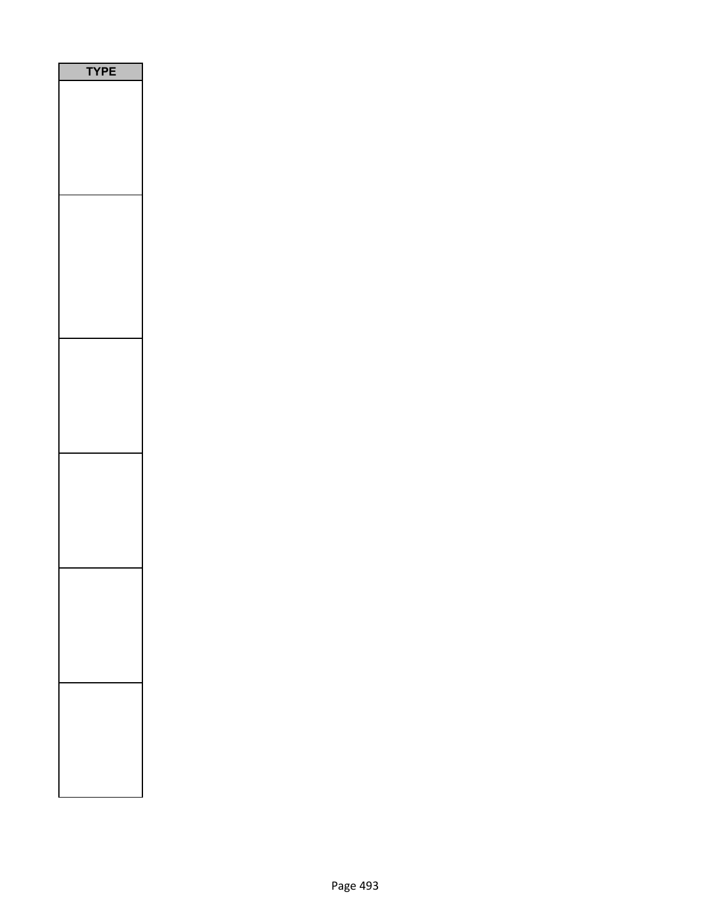| PE<br>ľ<br>٦ |
|--------------|
|              |
|              |
|              |
|              |
|              |
|              |
|              |
|              |
|              |
|              |
|              |
|              |
|              |
|              |
|              |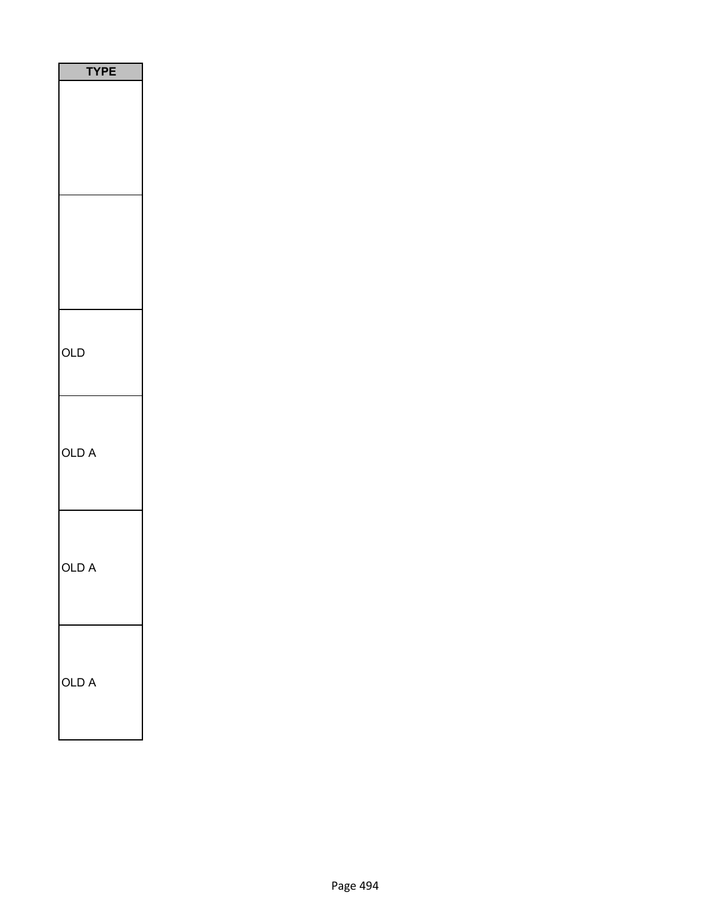| <b>TYPE</b> |
|-------------|
|             |
|             |
| OLD         |
| OLD A       |
| OLD A       |
| OLD A       |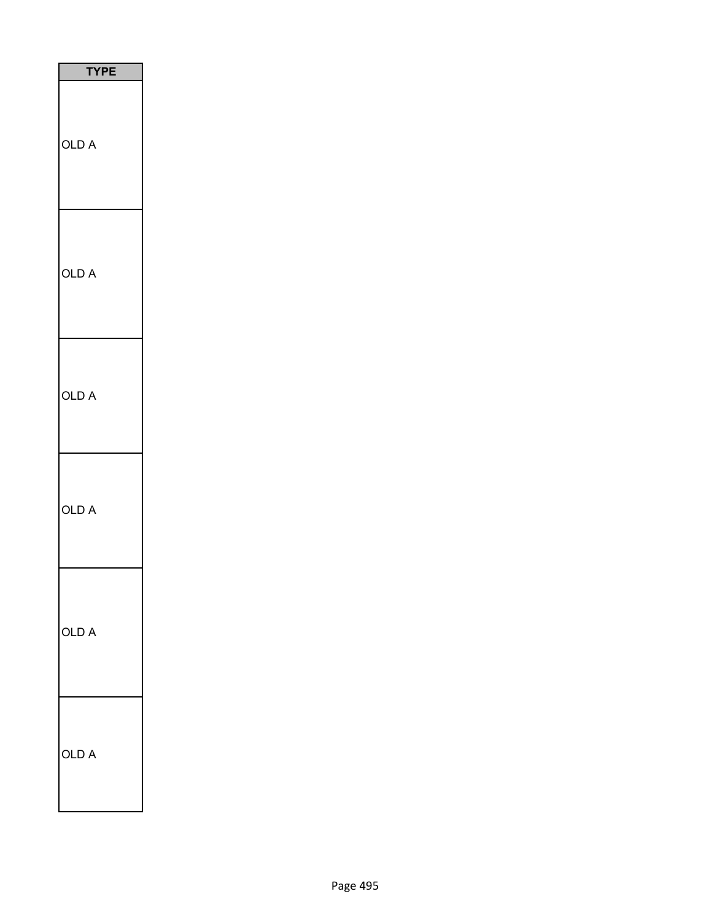| <b>TYPE</b> |  |
|-------------|--|
| OLD A       |  |
| OLD A       |  |
| OLD A       |  |
| OLD A       |  |
| OLD A       |  |
| OLD A       |  |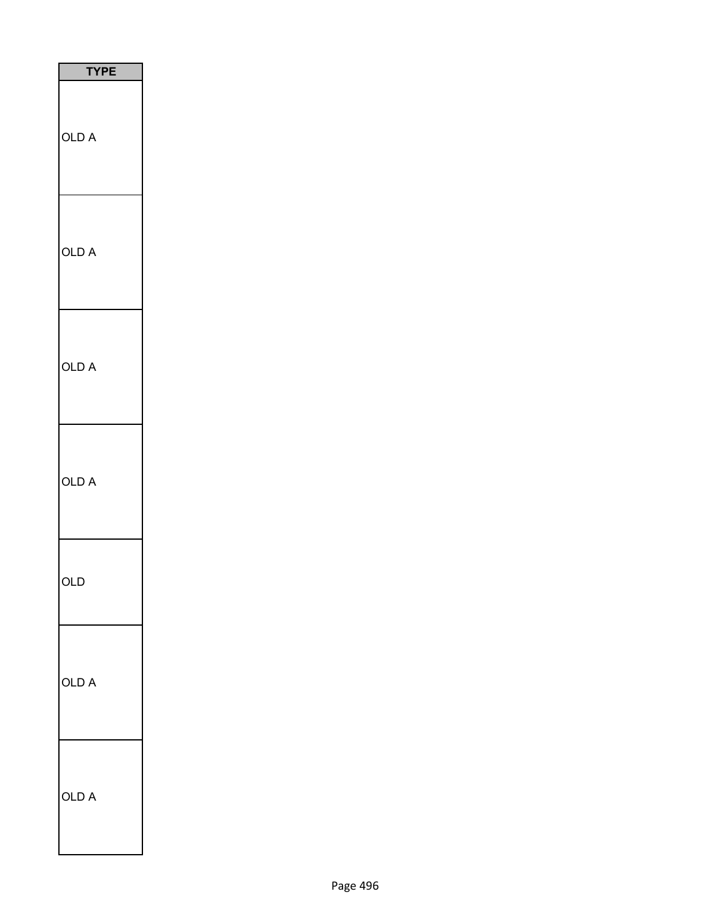| <b>TYPE</b> |
|-------------|
| OLD A       |
| OLD A       |
| OLD A       |
| OLD A       |
| OLD         |
| OLD A       |
| OLD A       |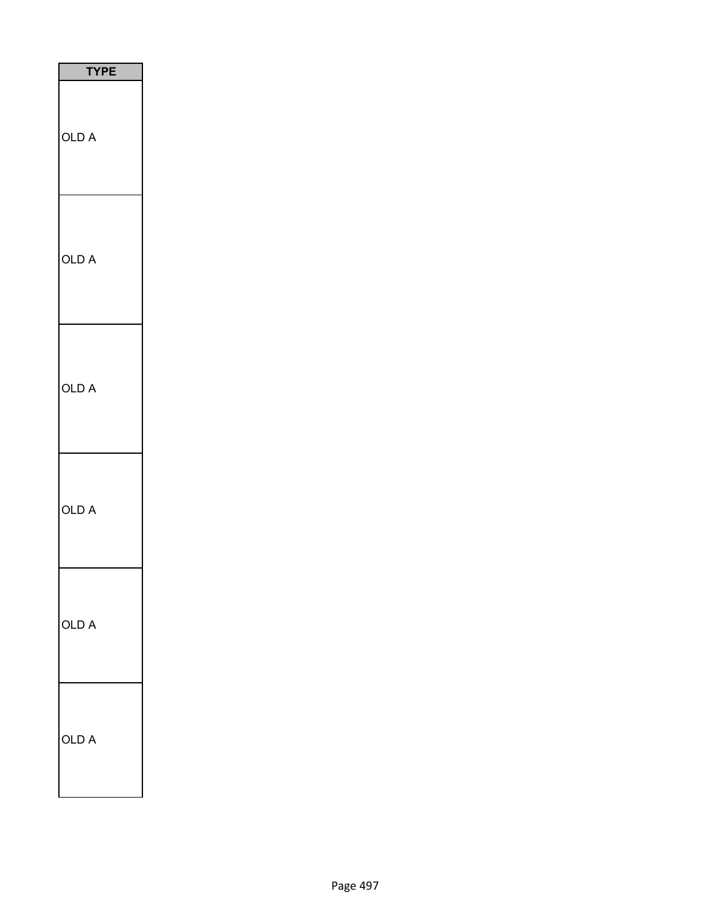| <b>TYPE</b> |
|-------------|
| OLD A       |
| OLD A       |
| OLD A       |
| OLD A       |
| OLD A       |
| OLD A       |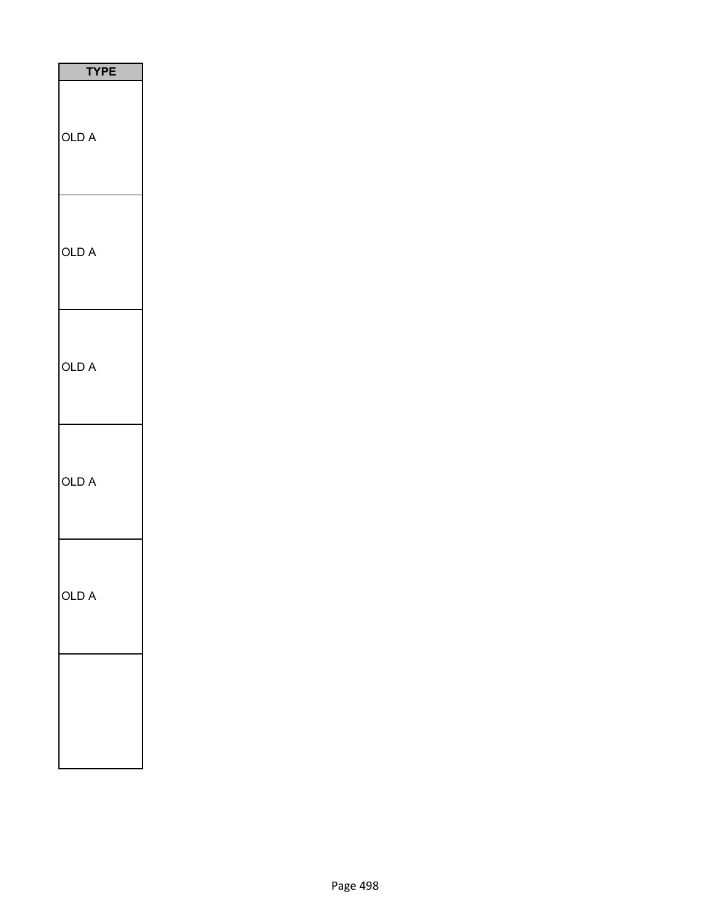| <b>TYPE</b> |
|-------------|
| OLD A       |
| OLD A       |
| OLD A       |
| OLD A       |
| OLD A       |
|             |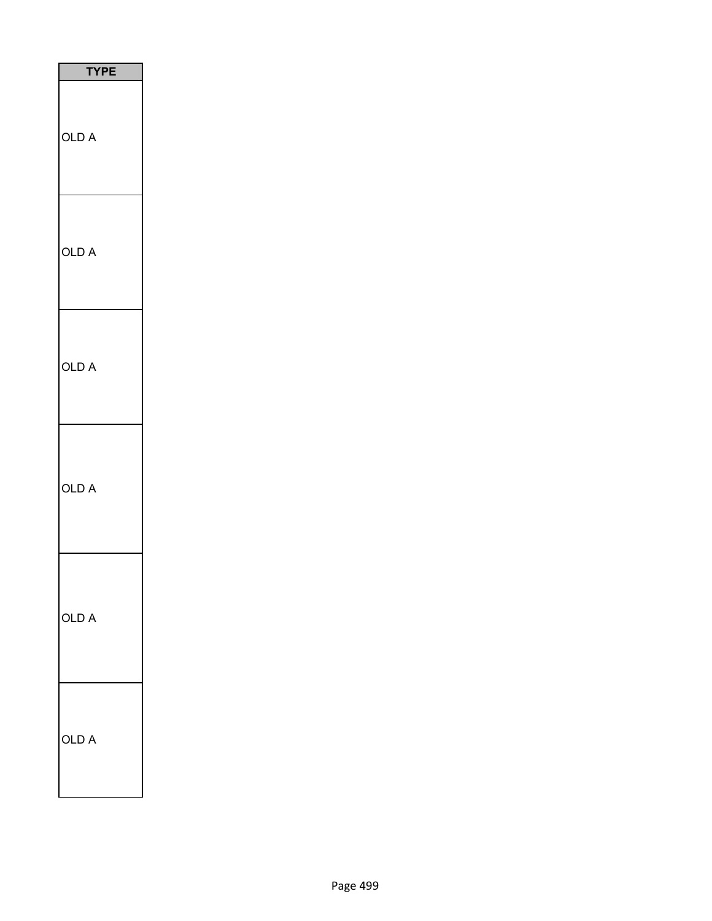| <b>TYPE</b>     |
|-----------------|
| OLD A           |
| OLD A           |
| OLD A           |
| OLD A           |
| OLD A           |
| A<br><b>OLD</b> |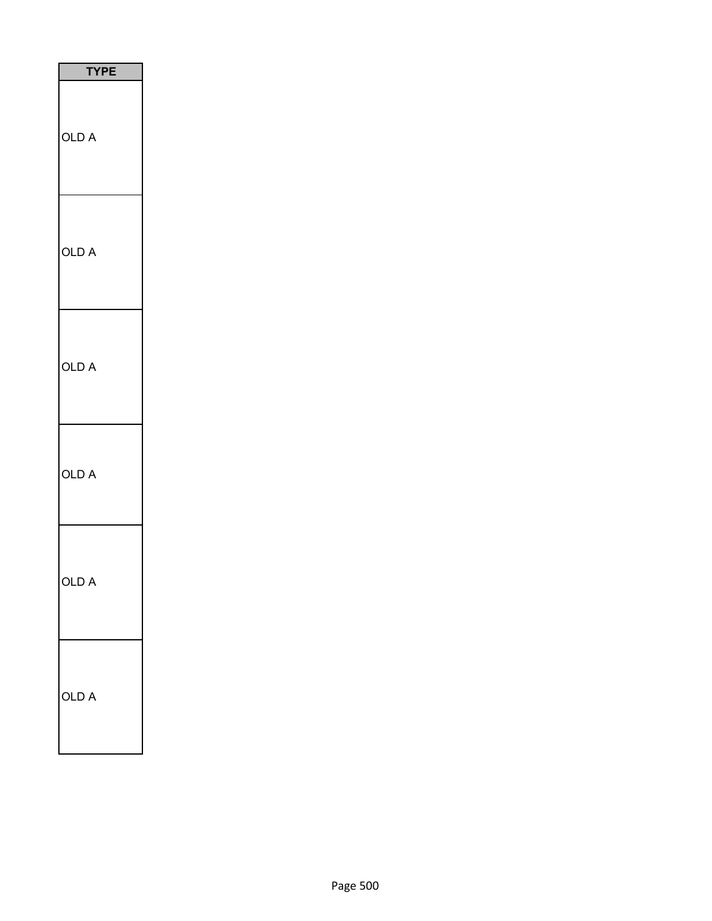| <b>TYPE</b> |
|-------------|
| OLD A       |
| OLD A       |
| OLD A       |
| OLD A       |
| Г           |
| OLD<br>A    |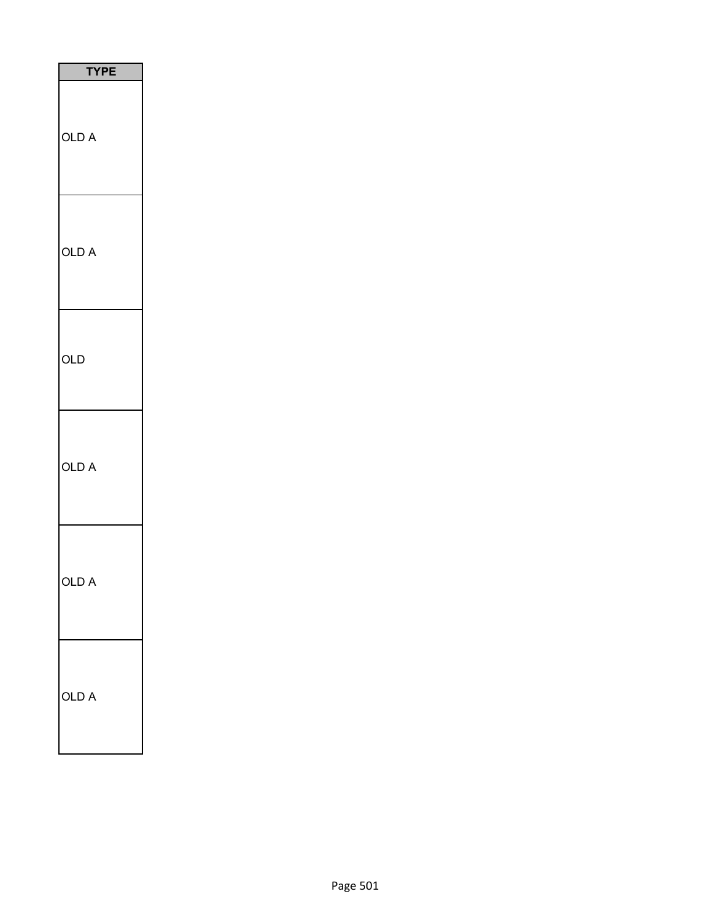| <b>TYPE</b> |
|-------------|
| OLD A       |
| OLD A       |
| OLD         |
| OLD A       |
| വ<br>D      |
| OLD<br>A    |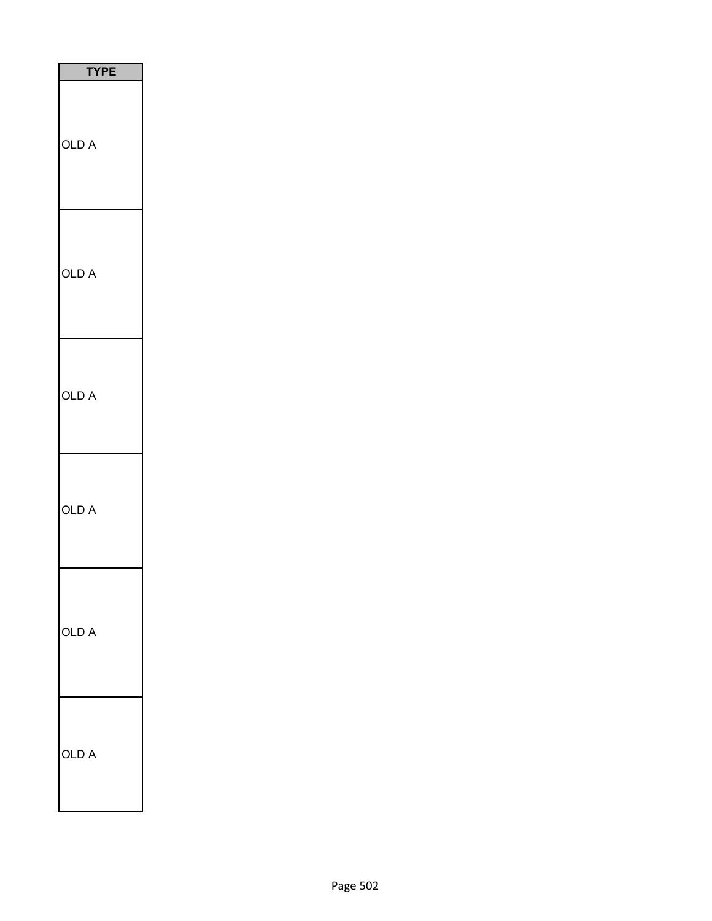| <b>TYPE</b> |  |
|-------------|--|
| OLD A       |  |
| OLD A       |  |
| OLD A       |  |
| OLD A       |  |
| OLD A       |  |
| OLD A       |  |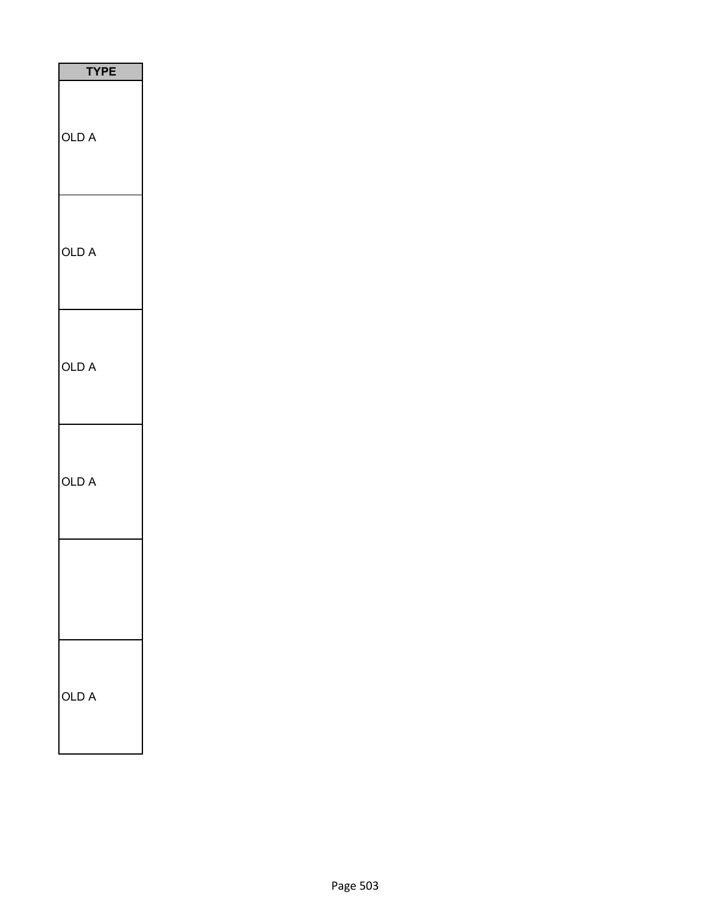| <b>TYPE</b>  |
|--------------|
| <b>OLD A</b> |
| OLD A        |
| OLD A        |
| OLD A        |
|              |
| OLD<br>A     |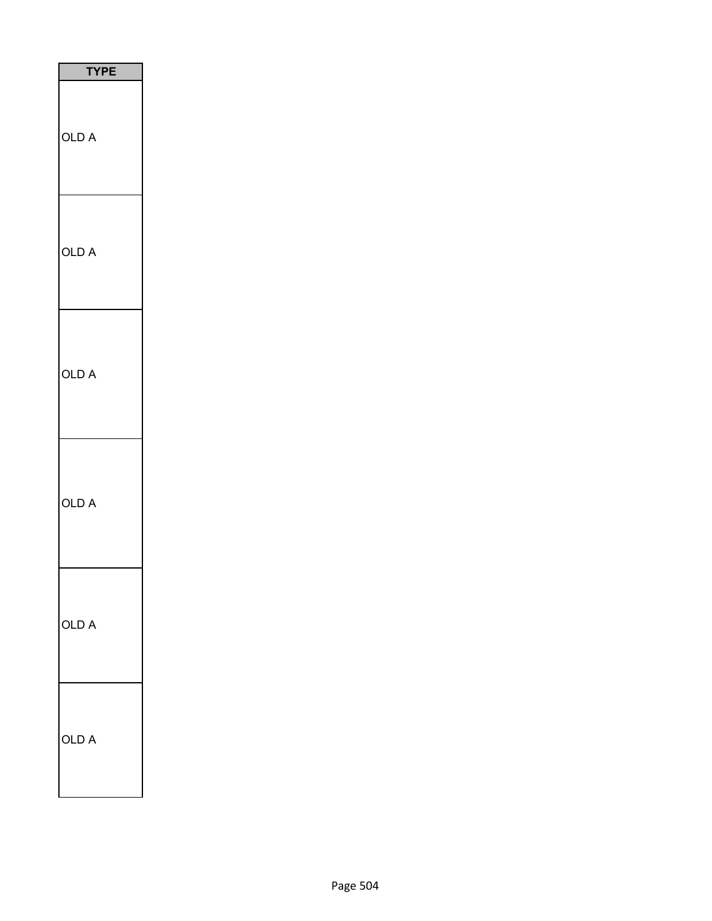| <b>TYPE</b> |
|-------------|
| OLD A       |
| OLD A       |
| OLD A       |
| OLD A       |
| OLD A       |
| OLD A       |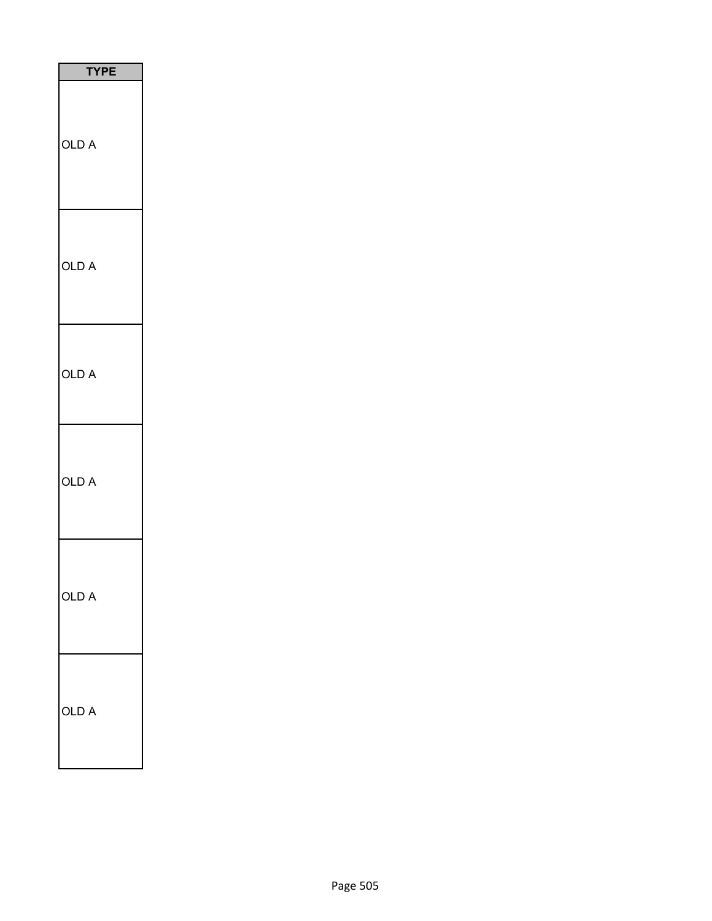| TΥ<br>PЕ |  |
|----------|--|
| OLD A    |  |
| OLD A    |  |
| OLD A    |  |
| OLD A    |  |
| OLD A    |  |
| OLD A    |  |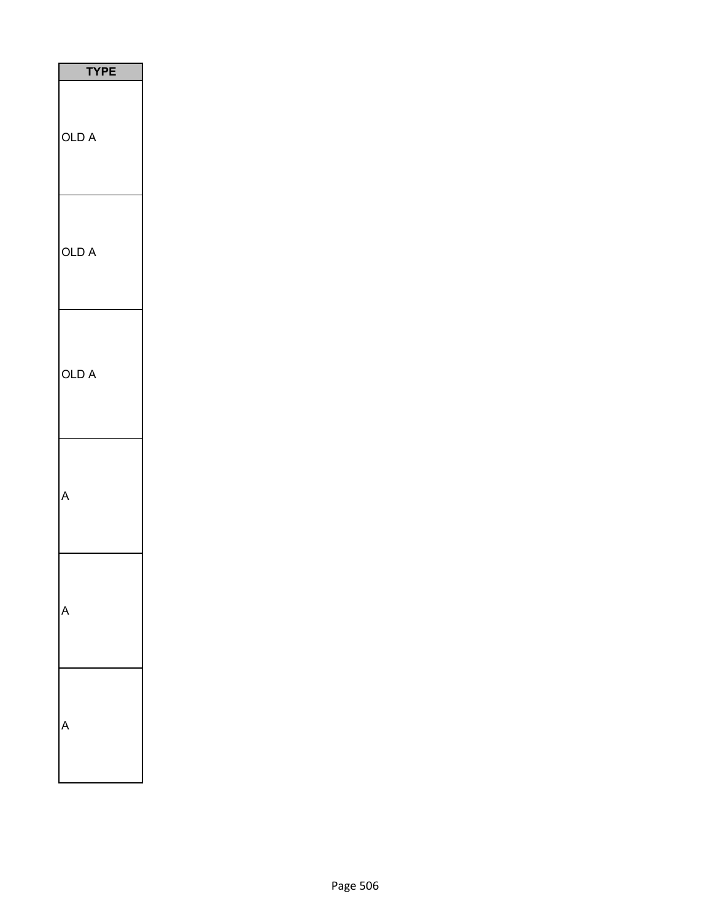| <b>TYPE</b> |
|-------------|
| OLD A       |
| OLD A       |
| OLD A       |
| Ą           |
|             |
|             |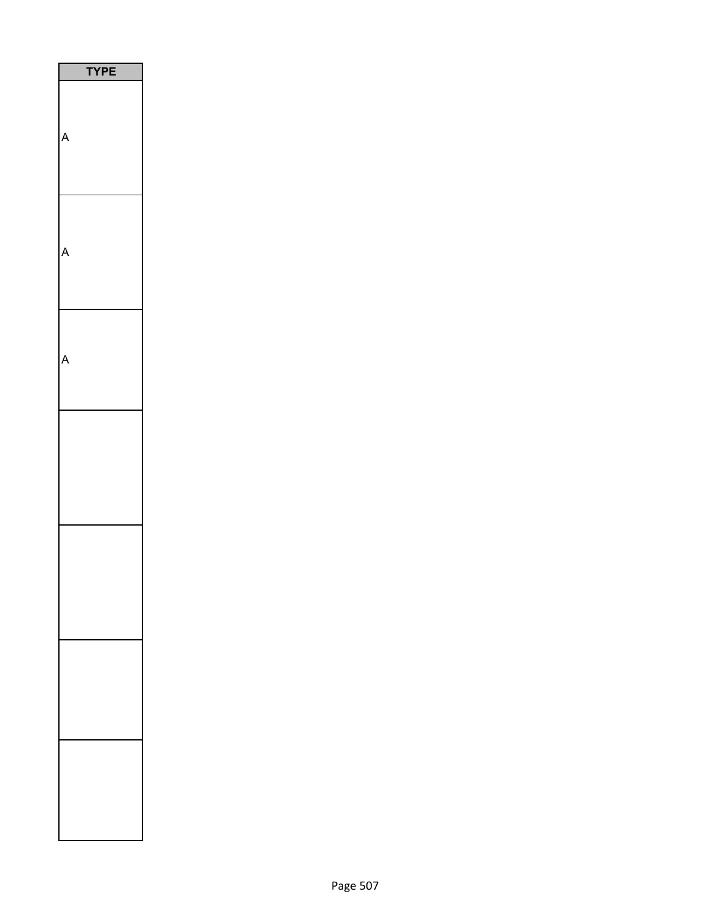| $\overline{PE}$<br>ï |  |
|----------------------|--|
|                      |  |
|                      |  |
|                      |  |
|                      |  |
|                      |  |
|                      |  |
|                      |  |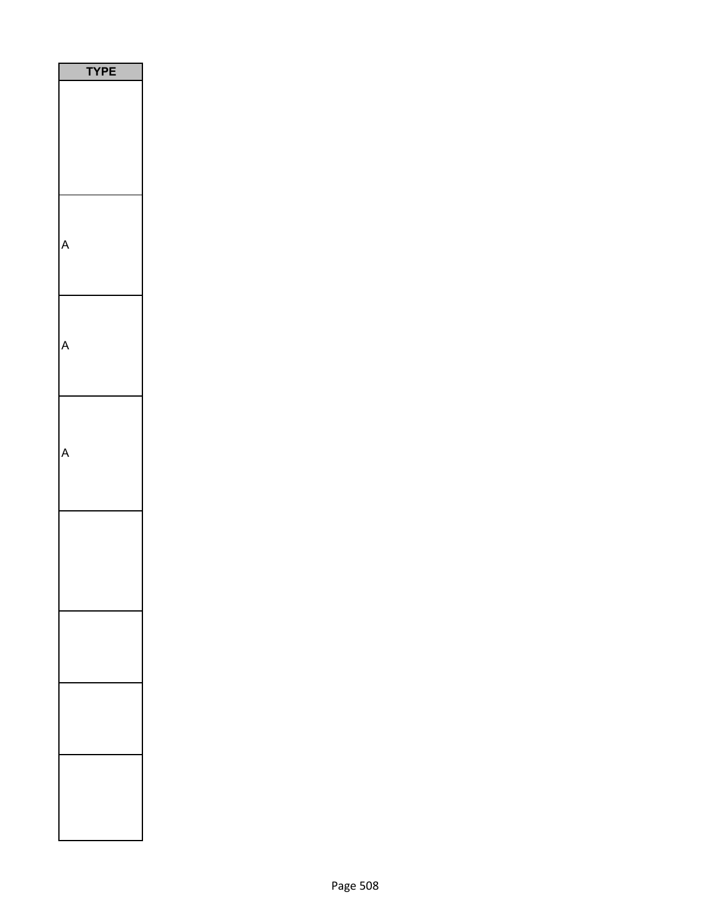| <b>YPE</b> |
|------------|
|            |
|            |
|            |
|            |
|            |
|            |
|            |
|            |
|            |
|            |
|            |
|            |
|            |
|            |
|            |
|            |
|            |
|            |
|            |
|            |
|            |
|            |
|            |
|            |
|            |
|            |
|            |
|            |
|            |
|            |
|            |
|            |
|            |
|            |
|            |
|            |
|            |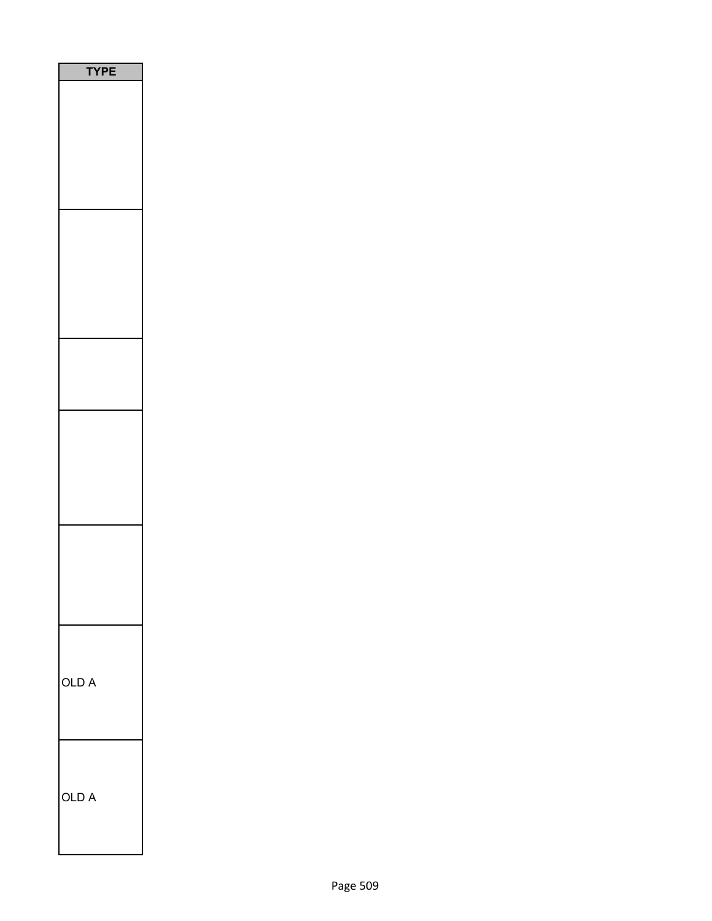| <b>YPE</b> |
|------------|
|            |
|            |
|            |
|            |
|            |
|            |
|            |
|            |
|            |
|            |
|            |
|            |
|            |
|            |
|            |
|            |
|            |
|            |
|            |
|            |
|            |
|            |
|            |
|            |
|            |
|            |
|            |
| OLD A      |
|            |
|            |
|            |
|            |
| OLD A      |
|            |
|            |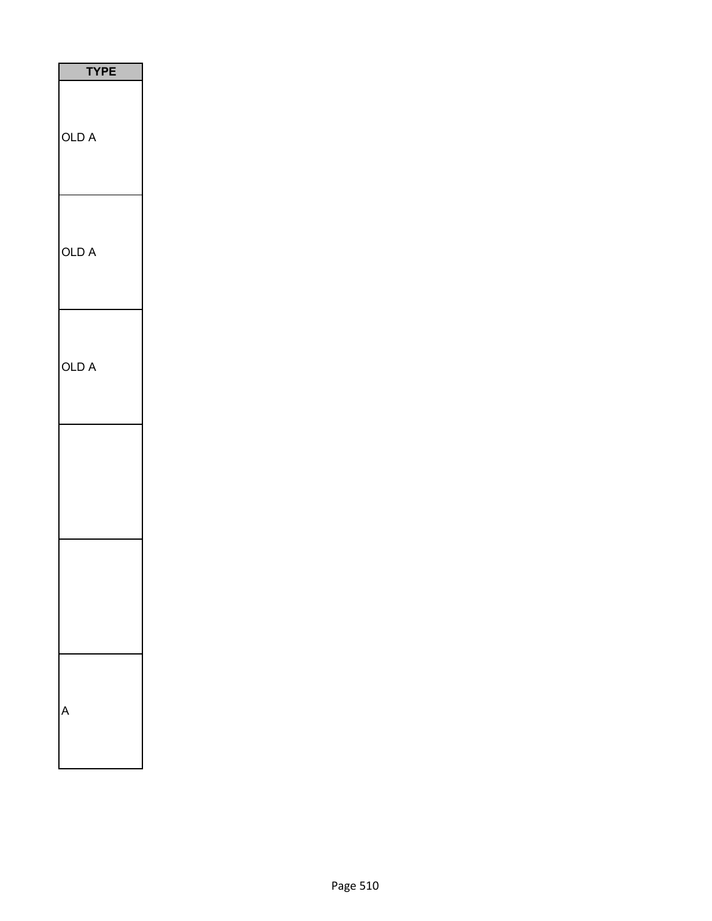| <b>TYPE</b> |
|-------------|
| OLD A       |
| OLD A       |
| OLD A       |
|             |
|             |
|             |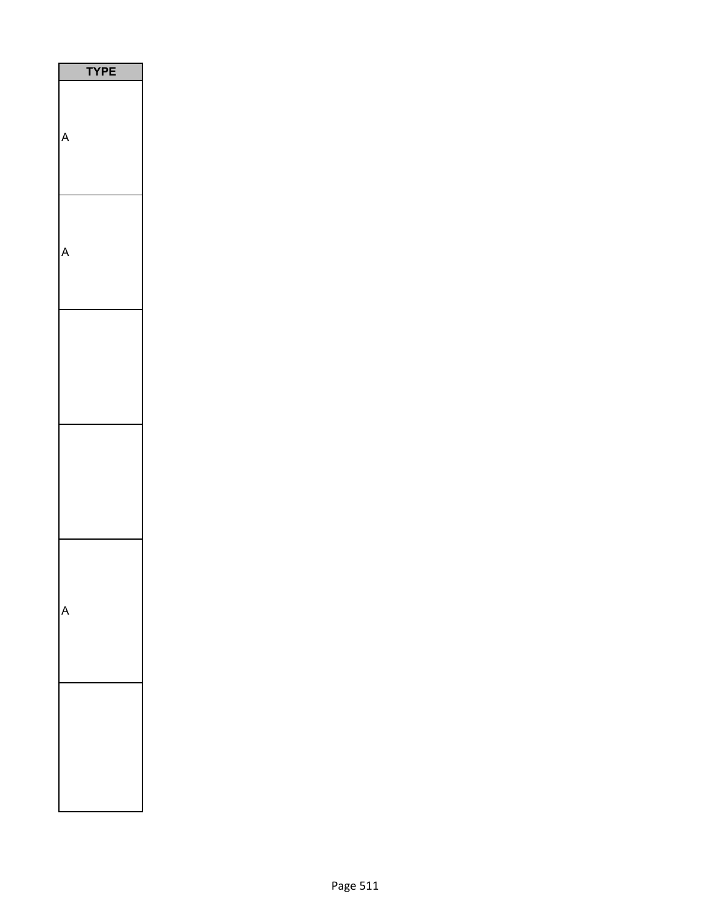| <b>YPE</b> |
|------------|
|            |
|            |
|            |
|            |
|            |
|            |
|            |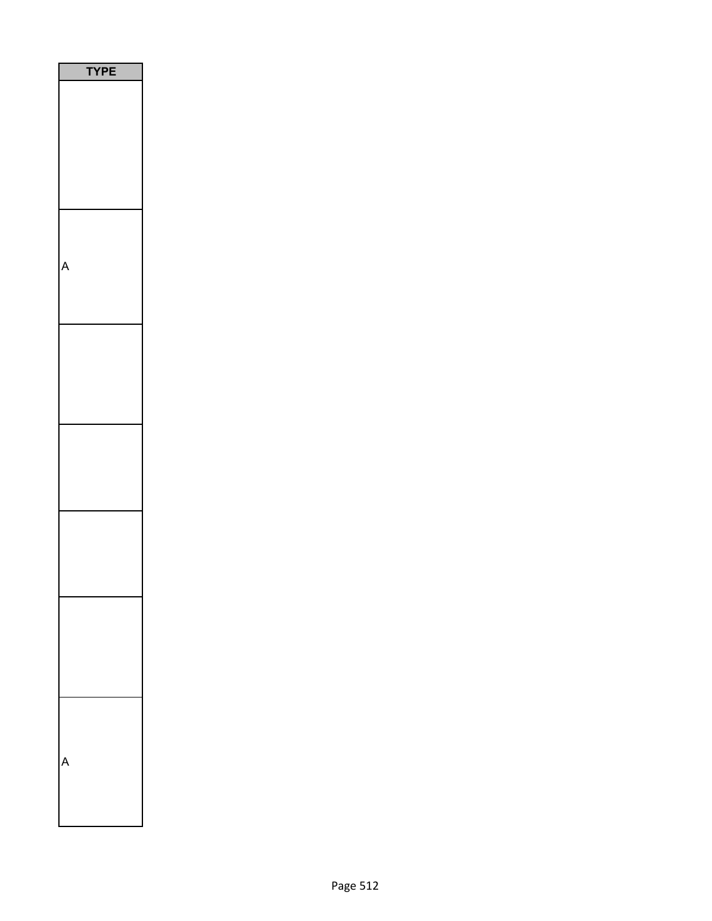| <b>YPE</b><br>l |
|-----------------|
|                 |
|                 |
|                 |
|                 |
|                 |
|                 |
|                 |
|                 |
|                 |
|                 |
|                 |
|                 |
|                 |
|                 |
|                 |
|                 |
|                 |
|                 |
|                 |
|                 |
|                 |
|                 |
|                 |
|                 |
|                 |
|                 |
|                 |
|                 |
|                 |
|                 |
|                 |
|                 |
|                 |
|                 |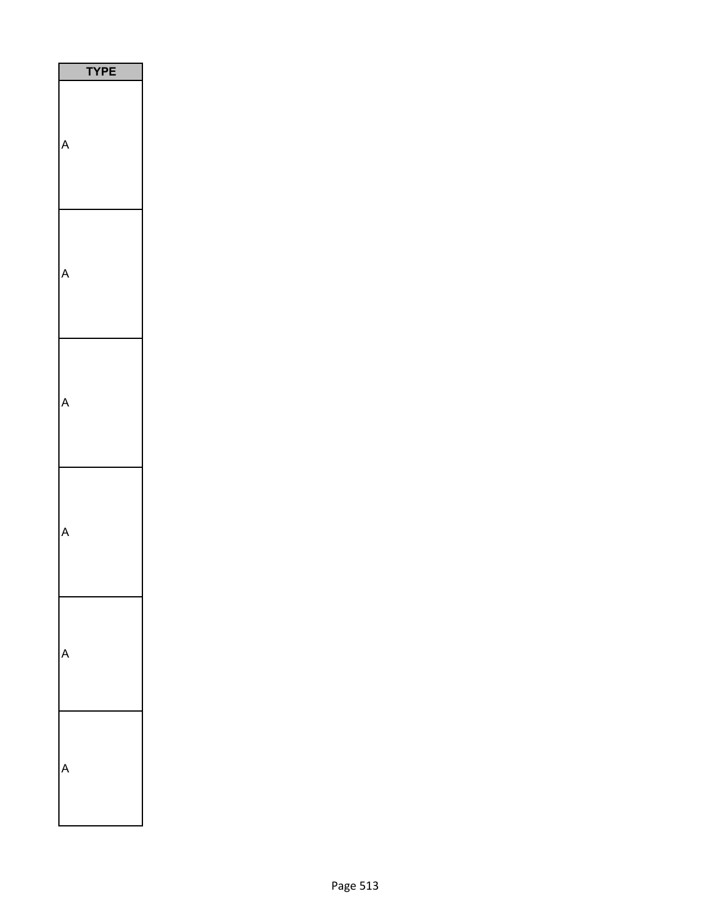| PE<br>l |
|---------|
|         |
|         |
|         |
|         |
|         |
|         |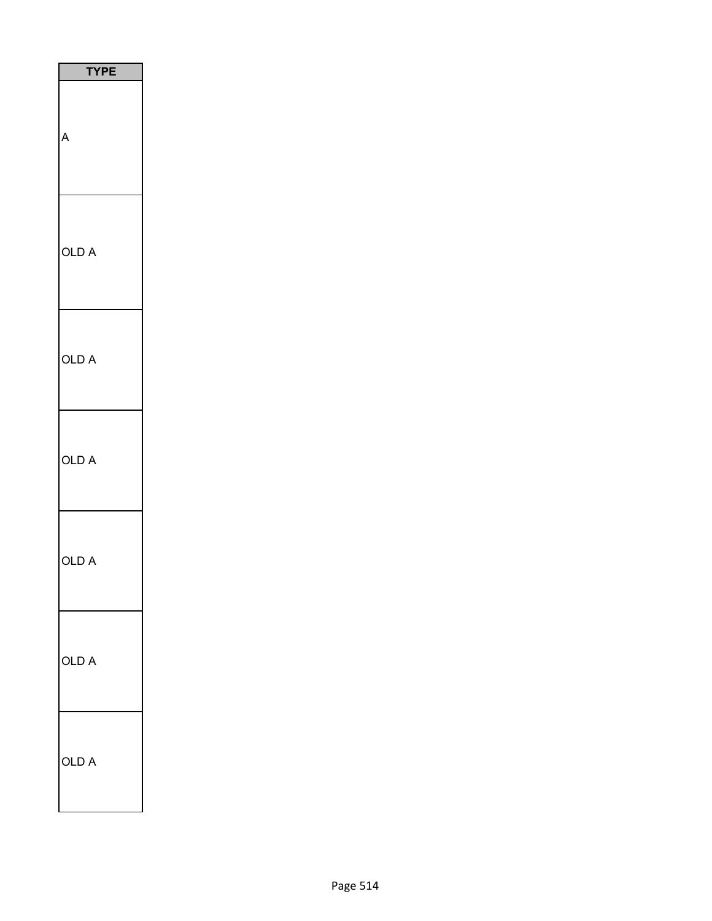| PЕ<br>ΓY |
|----------|
| A        |
| OLD A    |
| OLD A    |
| OLD A    |
| OLD A    |
| OLD A    |
| OLD A    |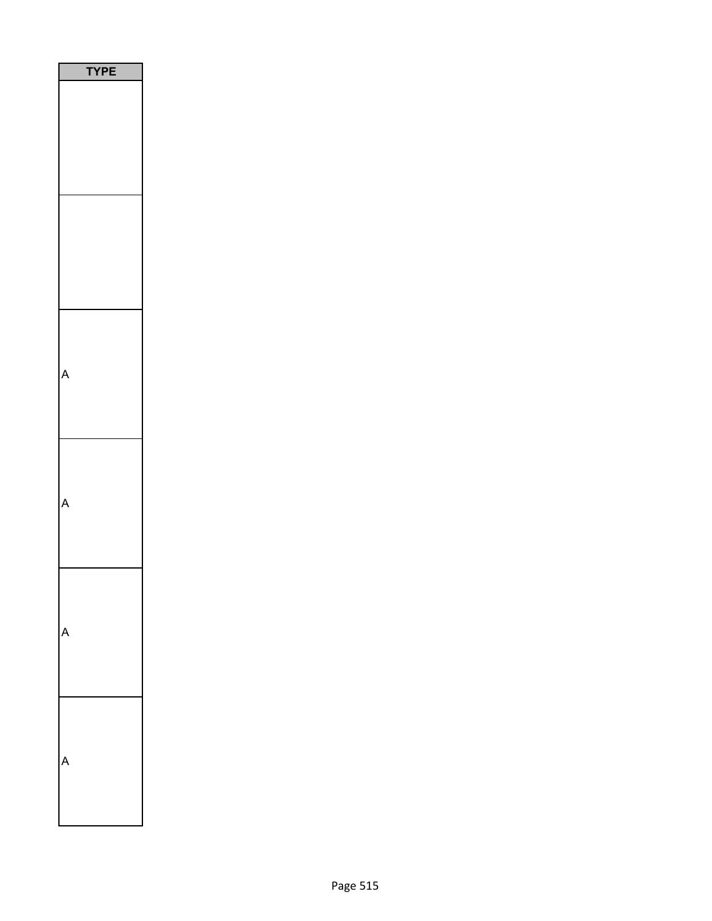| YPE |  |
|-----|--|
|     |  |
|     |  |
|     |  |
|     |  |
|     |  |
|     |  |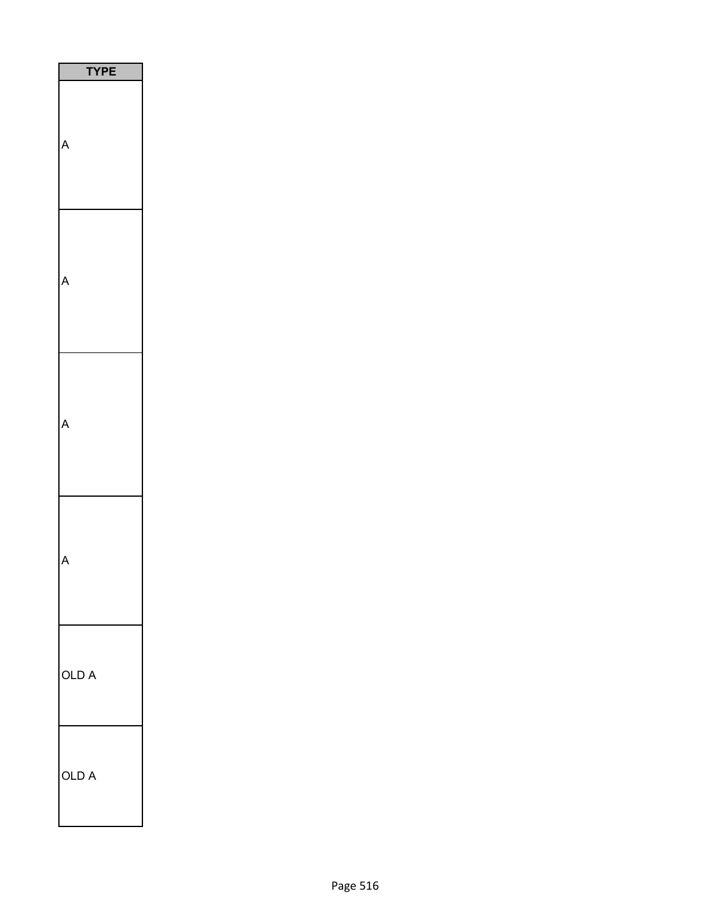| PE    |
|-------|
|       |
|       |
|       |
|       |
| OLD A |
| OLD A |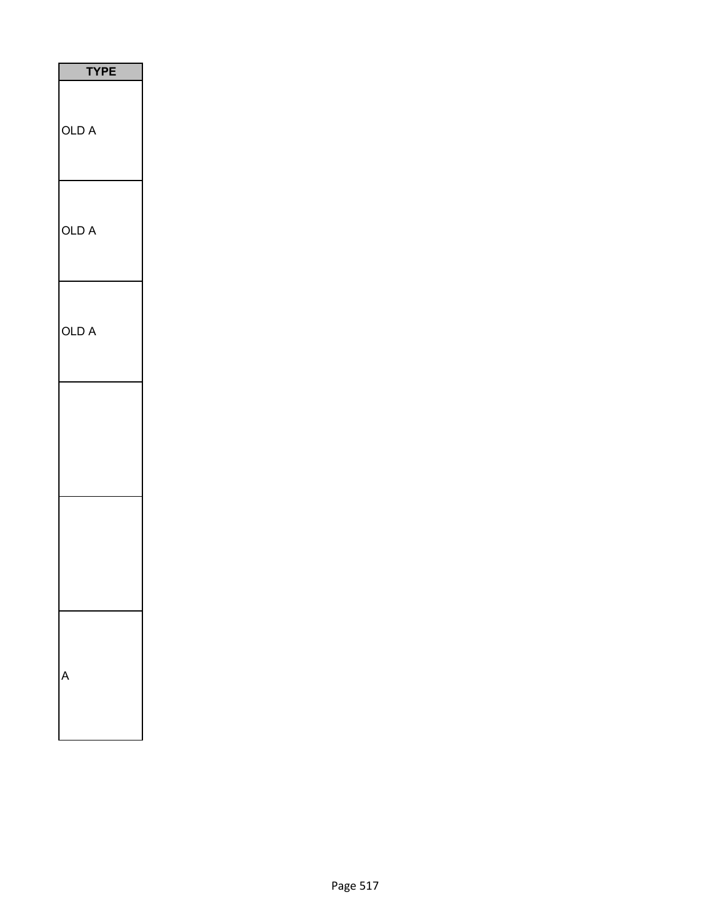| <b>TYPE</b> |
|-------------|
| OLD A       |
| OLD A       |
| OLD A       |
|             |
|             |
|             |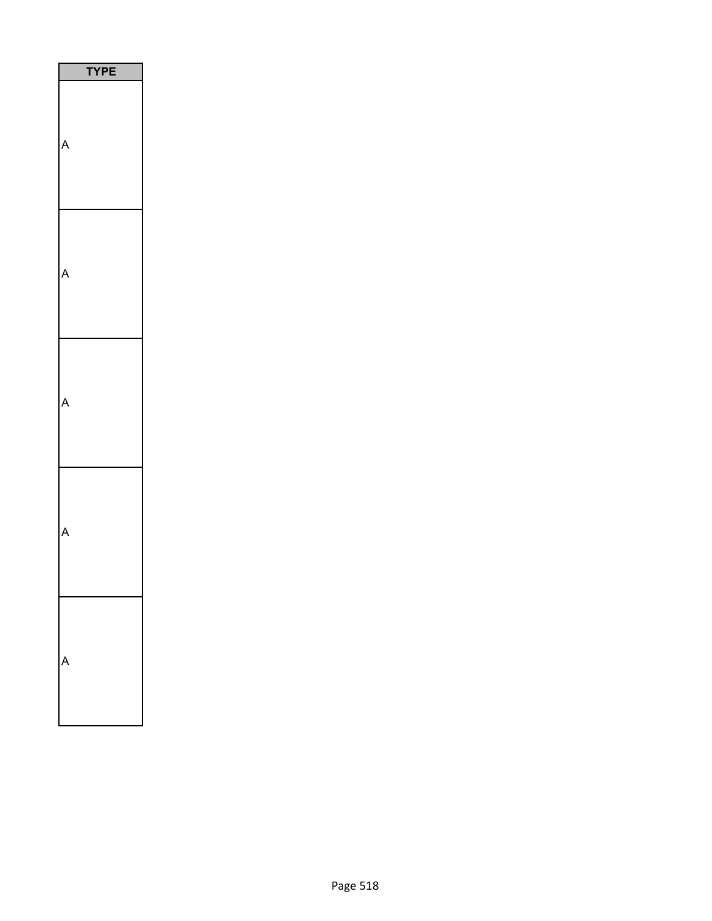| <b>YPE</b> |
|------------|
|            |
|            |
|            |
|            |
|            |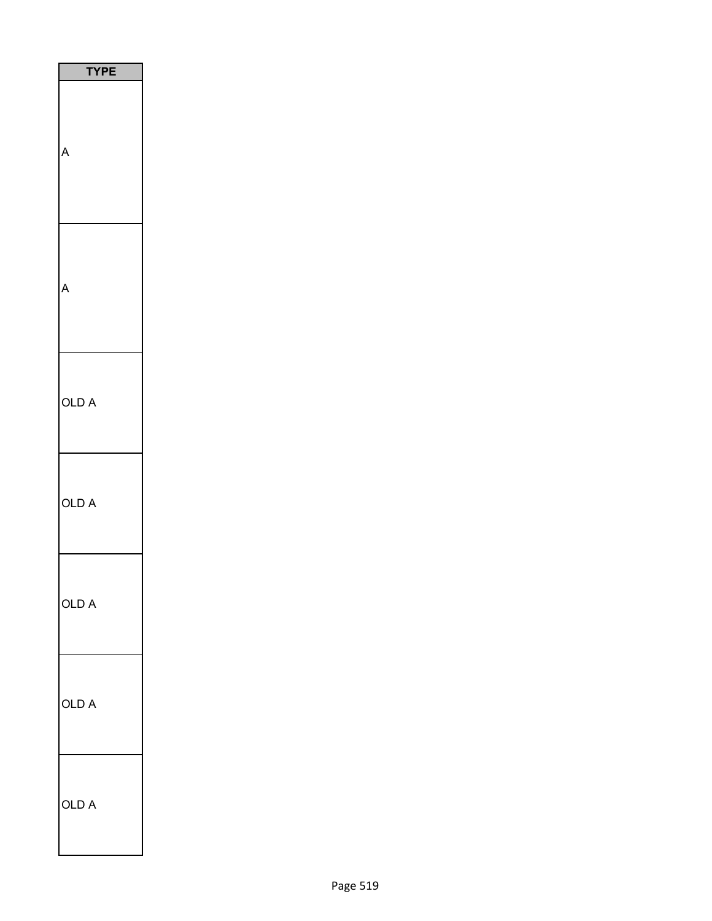| Р<br>E |
|--------|
|        |
|        |
| OLD A  |
| OLD A  |
| OLD A  |
| OLD A  |
| OLD A  |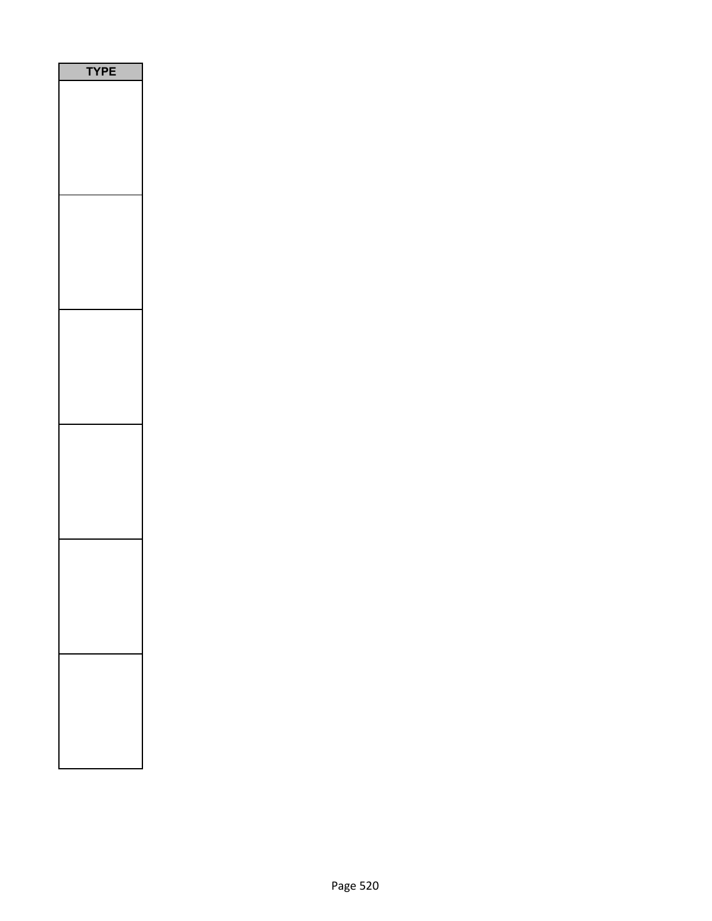| PE<br>٢ |  |
|---------|--|
|         |  |
|         |  |
|         |  |
|         |  |
|         |  |
|         |  |
|         |  |
|         |  |
|         |  |
|         |  |
|         |  |
|         |  |
|         |  |
|         |  |
|         |  |
|         |  |
|         |  |
|         |  |
|         |  |
|         |  |
|         |  |
|         |  |
|         |  |
|         |  |
|         |  |
|         |  |
|         |  |
|         |  |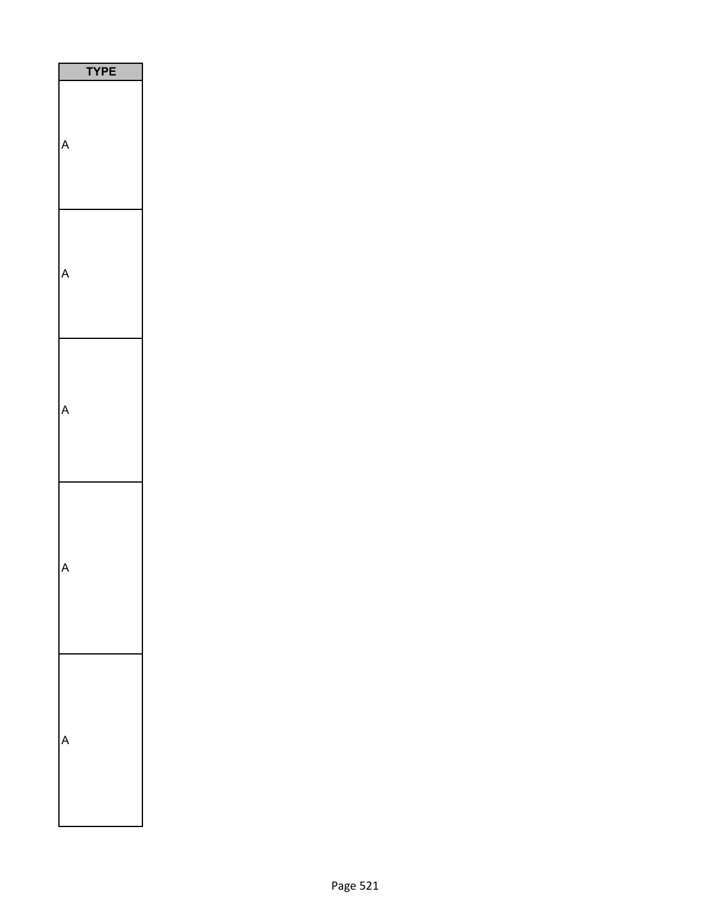| PE |
|----|
|    |
|    |
|    |
|    |
|    |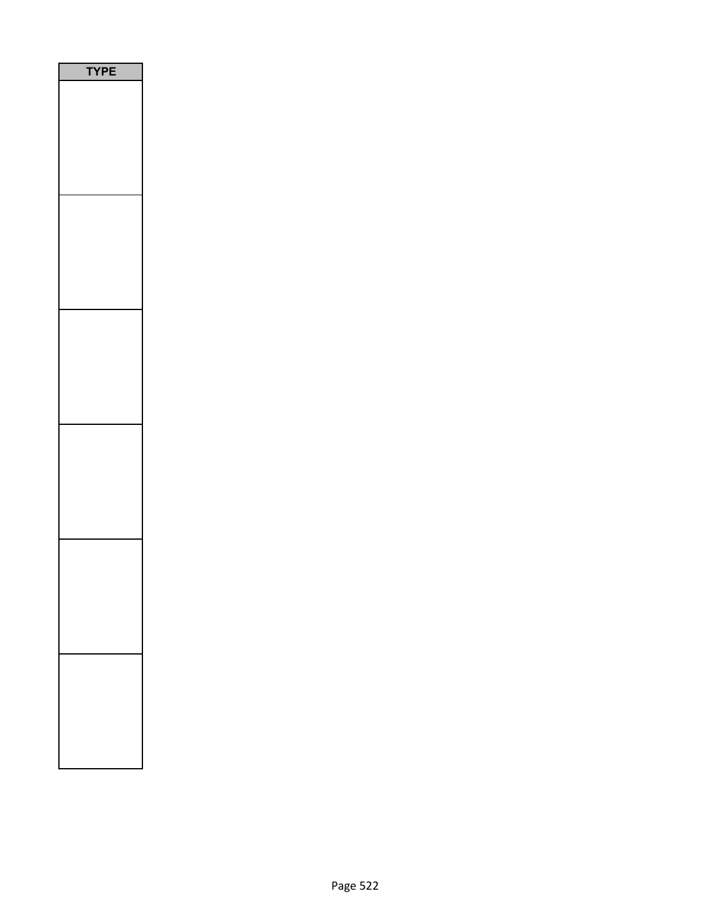| PE<br>٢ |  |
|---------|--|
|         |  |
|         |  |
|         |  |
|         |  |
|         |  |
|         |  |
|         |  |
|         |  |
|         |  |
|         |  |
|         |  |
|         |  |
|         |  |
|         |  |
|         |  |
|         |  |
|         |  |
|         |  |
|         |  |
|         |  |
|         |  |
|         |  |
|         |  |
|         |  |
|         |  |
|         |  |
|         |  |
|         |  |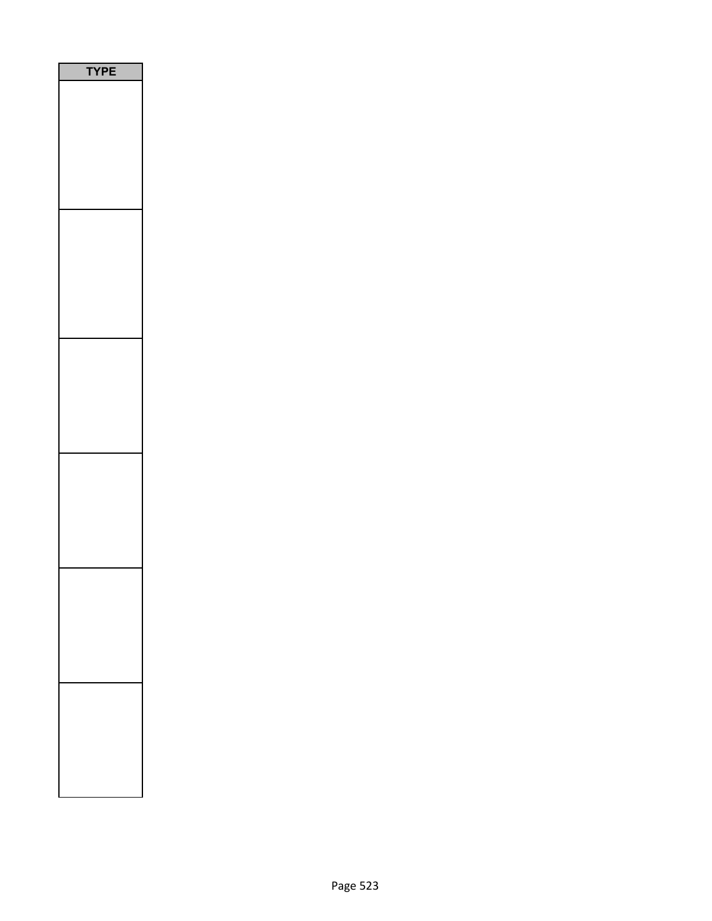| PE<br>Y |
|---------|
|         |
|         |
|         |
|         |
|         |
|         |
|         |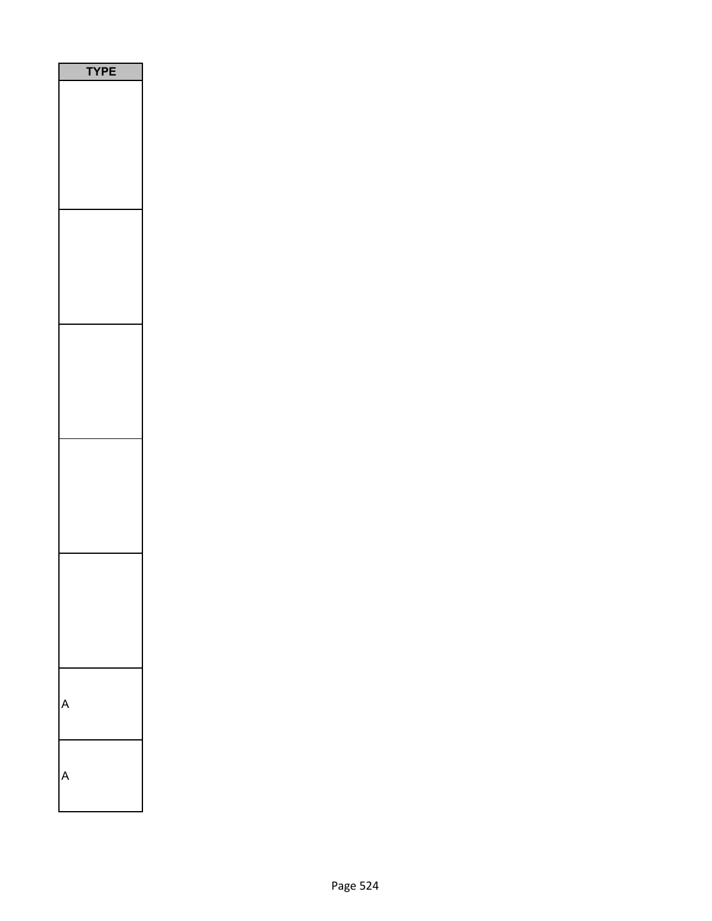| PE<br>Ē |  |
|---------|--|
|         |  |
|         |  |
|         |  |
|         |  |
|         |  |
|         |  |
|         |  |
|         |  |
|         |  |
|         |  |
|         |  |
|         |  |
|         |  |
|         |  |
|         |  |
|         |  |
|         |  |
|         |  |
|         |  |
|         |  |
|         |  |
|         |  |
|         |  |
|         |  |
|         |  |
|         |  |
|         |  |
|         |  |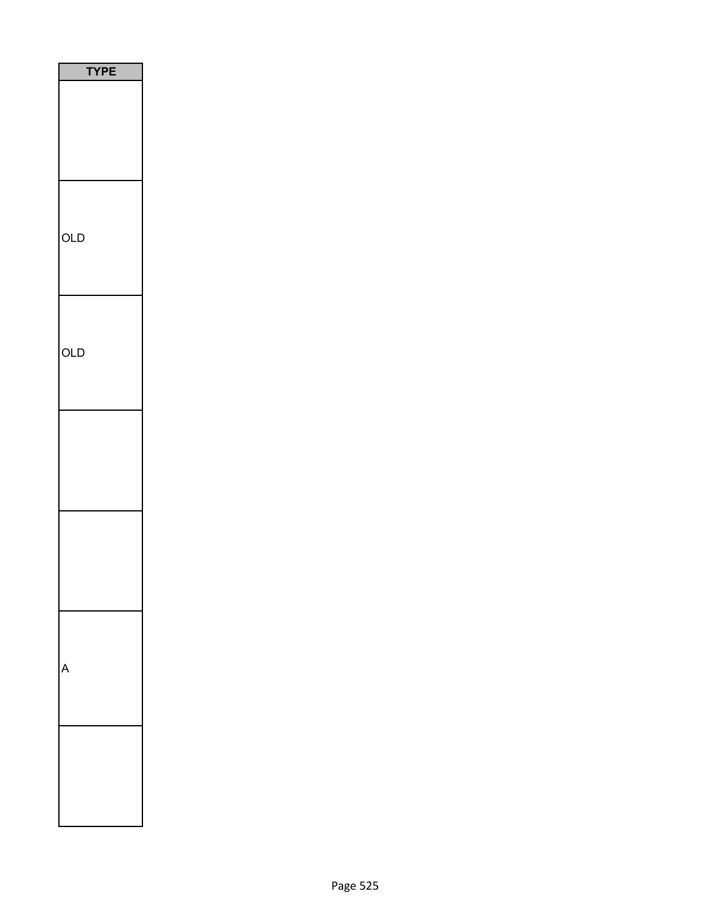| PE<br><u>Y</u> |
|----------------|
|                |
|                |
| OLD            |
|                |
| OLD            |
|                |
|                |
|                |
|                |
|                |
|                |
|                |
|                |
|                |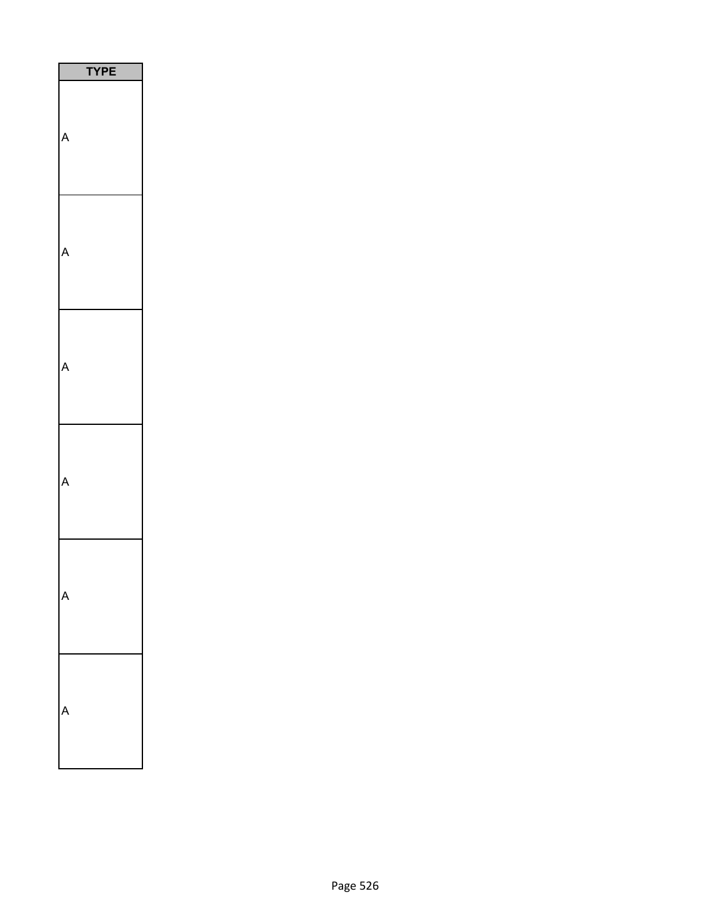| PЕ<br>Y |
|---------|
|         |
|         |
|         |
|         |
|         |
|         |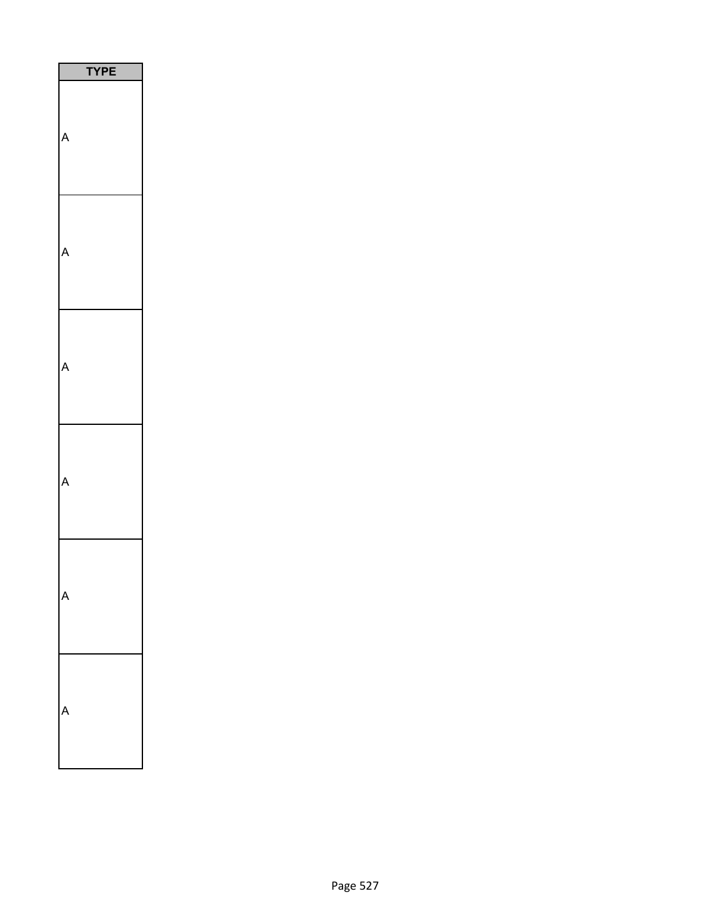| PЕ<br>Y |
|---------|
|         |
|         |
|         |
|         |
|         |
|         |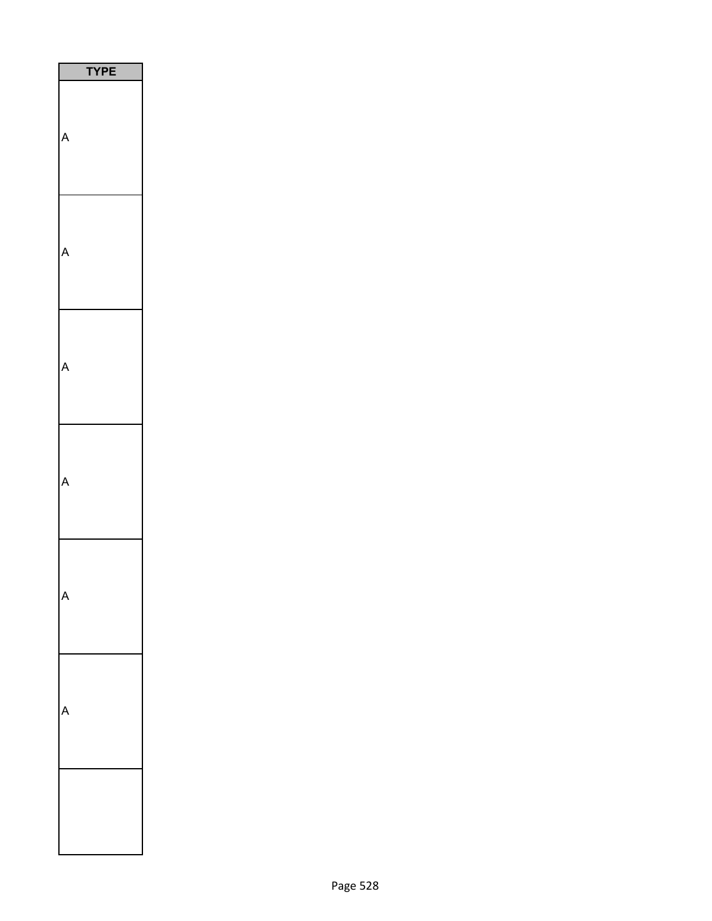| P<br>E<br>ľ |  |
|-------------|--|
|             |  |
|             |  |
|             |  |
|             |  |
|             |  |
|             |  |
|             |  |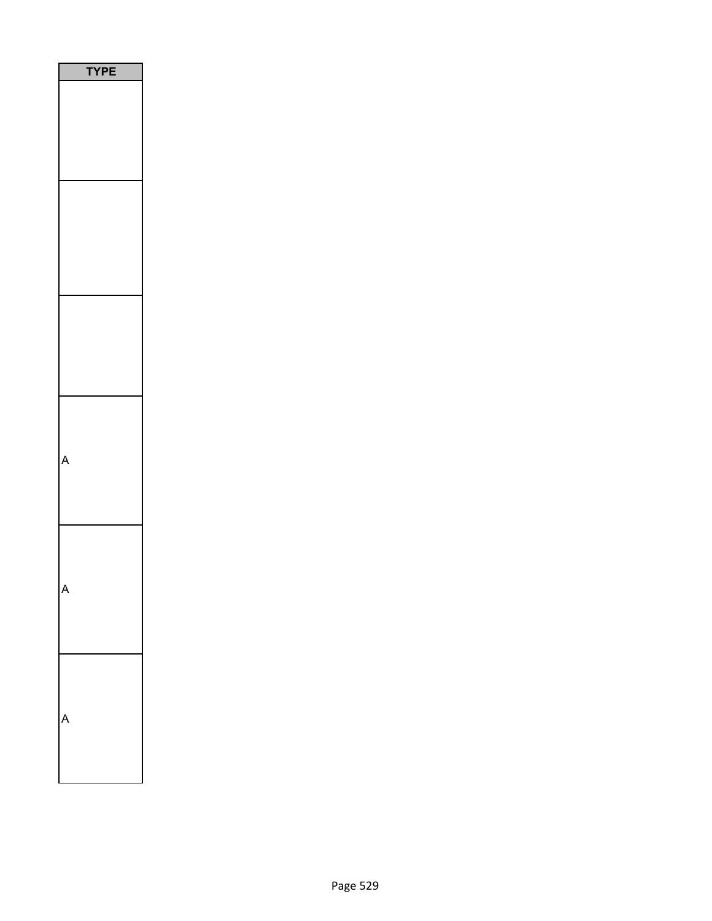| <b>YPE</b> |  |
|------------|--|
|            |  |
|            |  |
|            |  |
|            |  |
|            |  |
|            |  |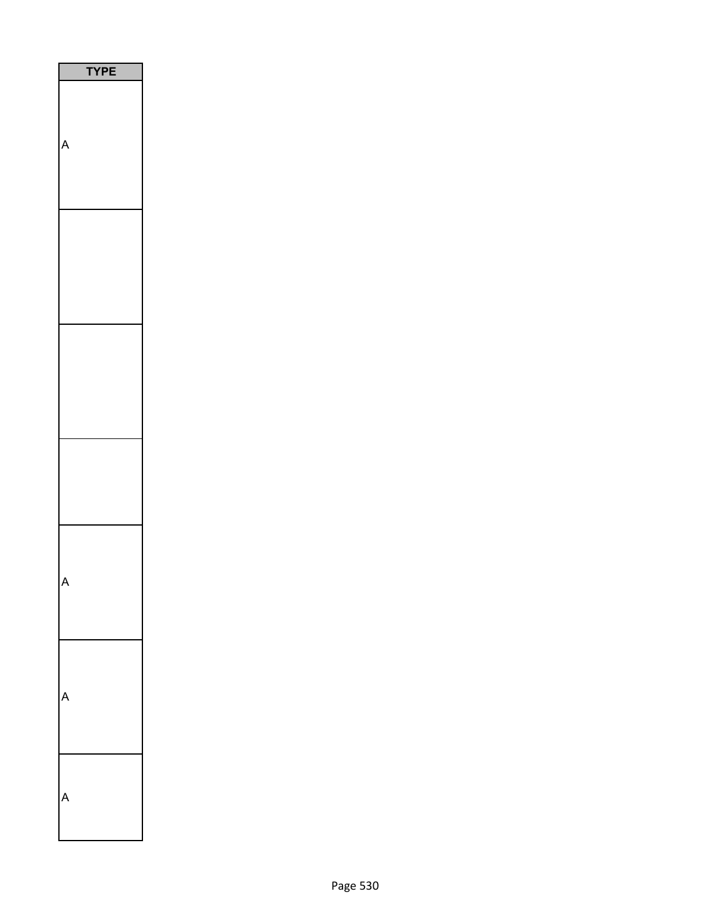| <b>TPE</b> |  |
|------------|--|
| l          |  |
|            |  |
|            |  |
|            |  |
|            |  |
|            |  |
|            |  |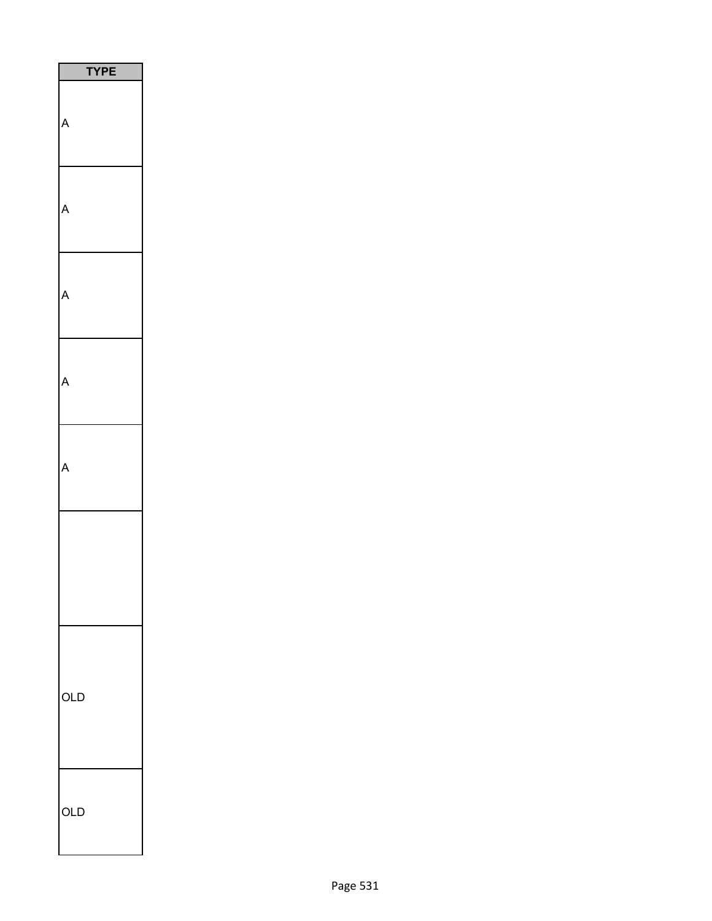| <b>TYPE</b> |
|-------------|
|             |
| Δ           |
|             |
|             |
|             |
|             |
|             |
| OLD         |
| OLD         |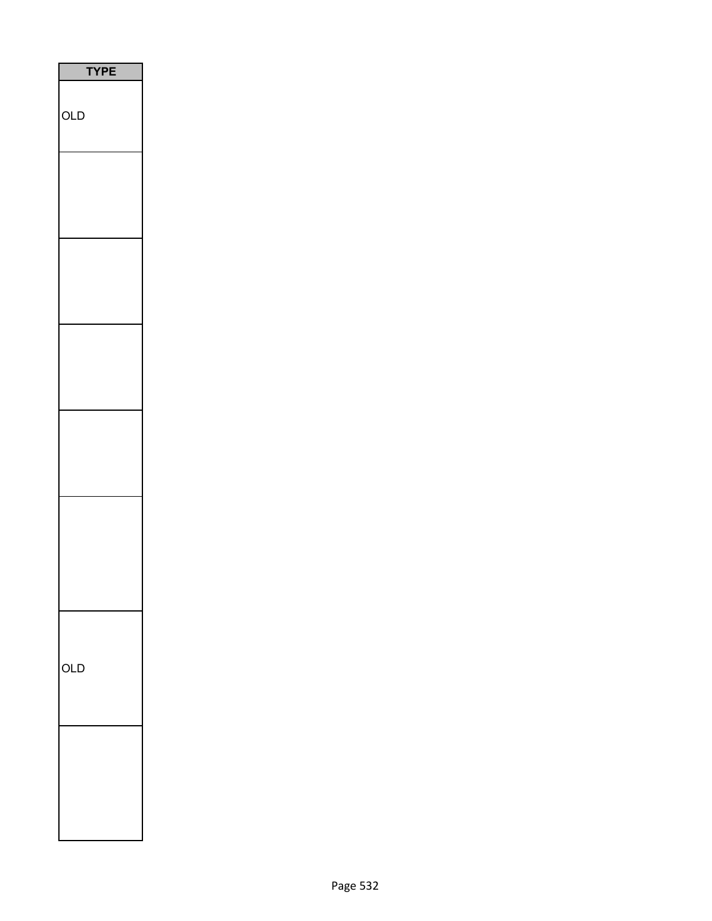| <b>TYPE</b> |  |
|-------------|--|
| OLD         |  |
|             |  |
|             |  |
|             |  |
|             |  |
|             |  |
|             |  |
| OLD         |  |
|             |  |
|             |  |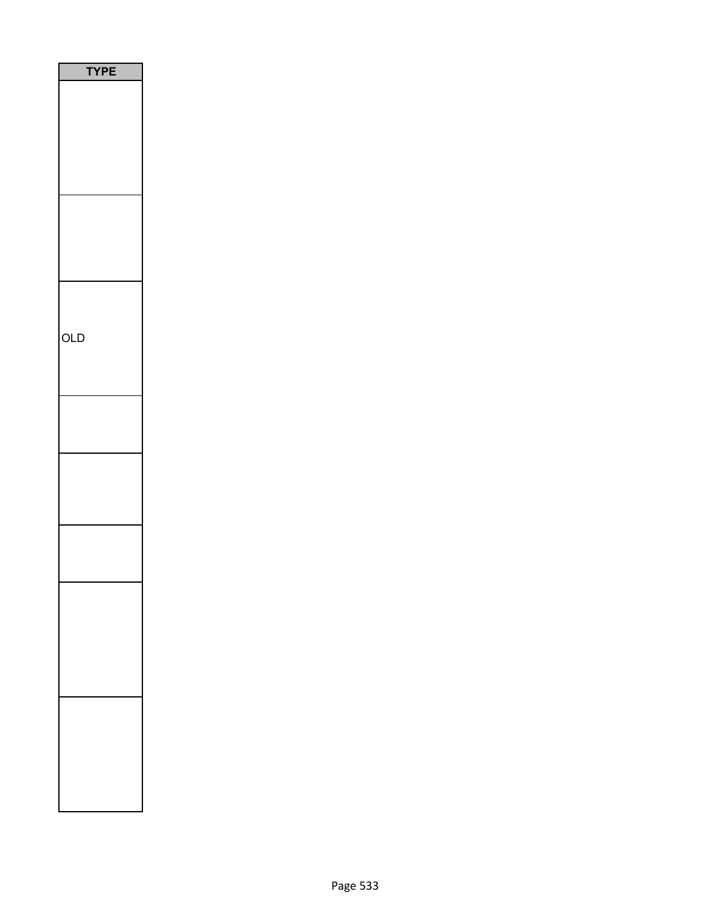| PE  |
|-----|
|     |
|     |
|     |
|     |
|     |
|     |
|     |
|     |
|     |
|     |
|     |
| OLD |
|     |
|     |
|     |
|     |
|     |
|     |
|     |
|     |
|     |
|     |
|     |
|     |
|     |
|     |
|     |
|     |
|     |
|     |
|     |
|     |
|     |
|     |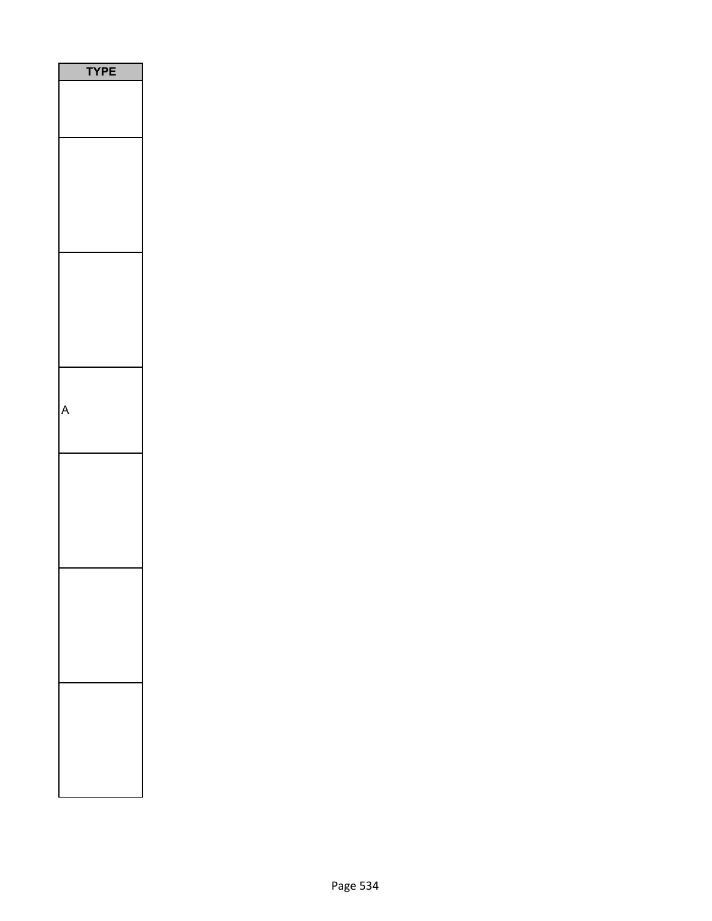| PE |  |
|----|--|
|    |  |
|    |  |
|    |  |
|    |  |
|    |  |
|    |  |
|    |  |
|    |  |
|    |  |
|    |  |
|    |  |
|    |  |
|    |  |
|    |  |
|    |  |
|    |  |
|    |  |
|    |  |
|    |  |
|    |  |
|    |  |
|    |  |
|    |  |
|    |  |
|    |  |
|    |  |
|    |  |
|    |  |
|    |  |
|    |  |
|    |  |
|    |  |
|    |  |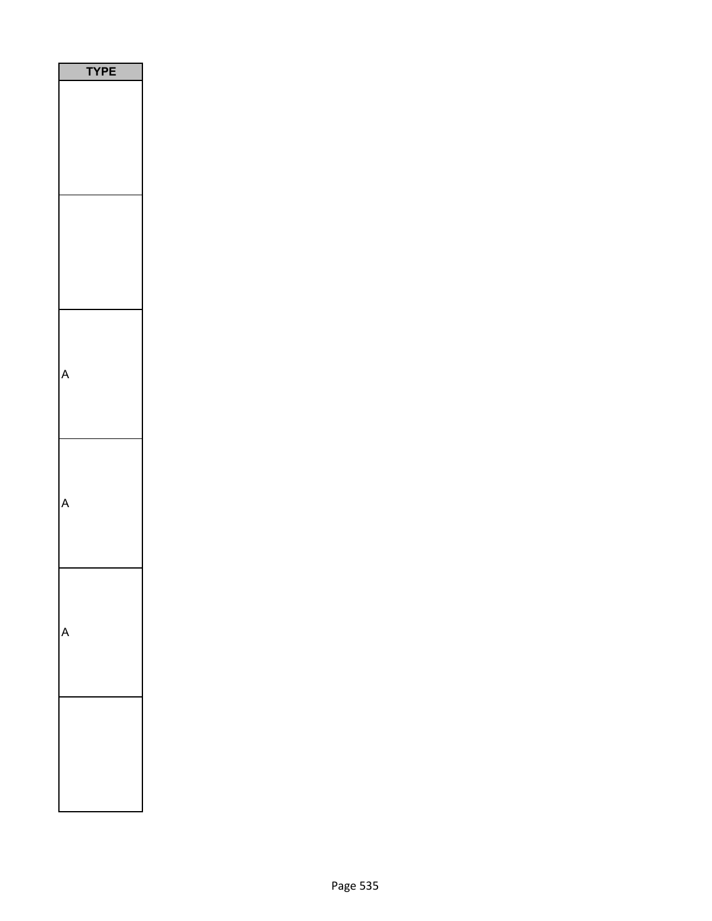| YPE |  |
|-----|--|
|     |  |
|     |  |
|     |  |
|     |  |
|     |  |
|     |  |
|     |  |
|     |  |
|     |  |
|     |  |
|     |  |
|     |  |
|     |  |
|     |  |
|     |  |
|     |  |
|     |  |
|     |  |
|     |  |
|     |  |
|     |  |
|     |  |
|     |  |
|     |  |
|     |  |
|     |  |
|     |  |
|     |  |
|     |  |
|     |  |
|     |  |
|     |  |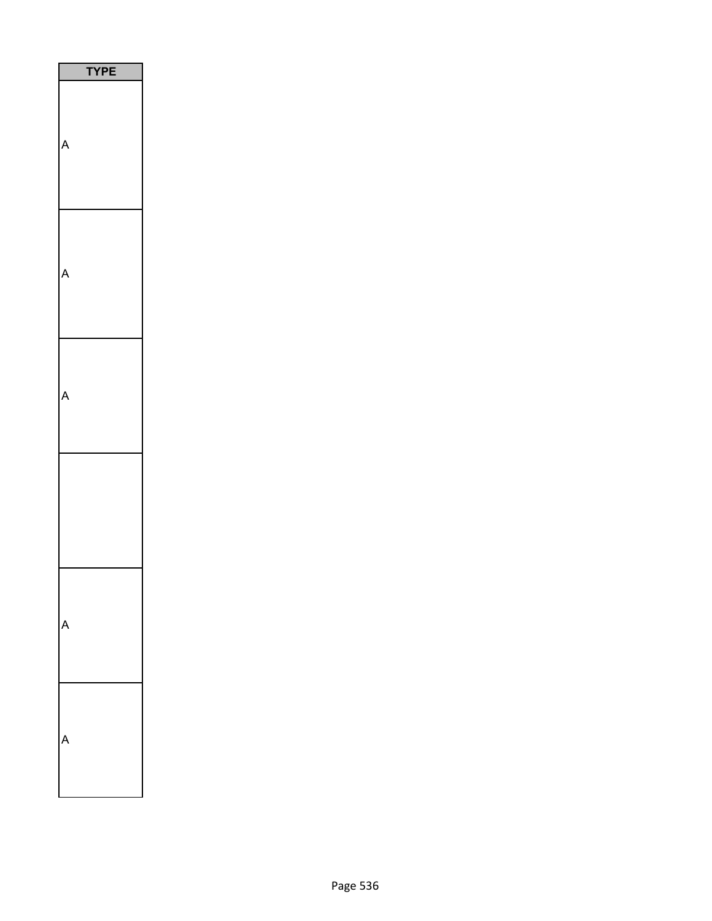| PE |  |
|----|--|
|    |  |
|    |  |
|    |  |
|    |  |
|    |  |
|    |  |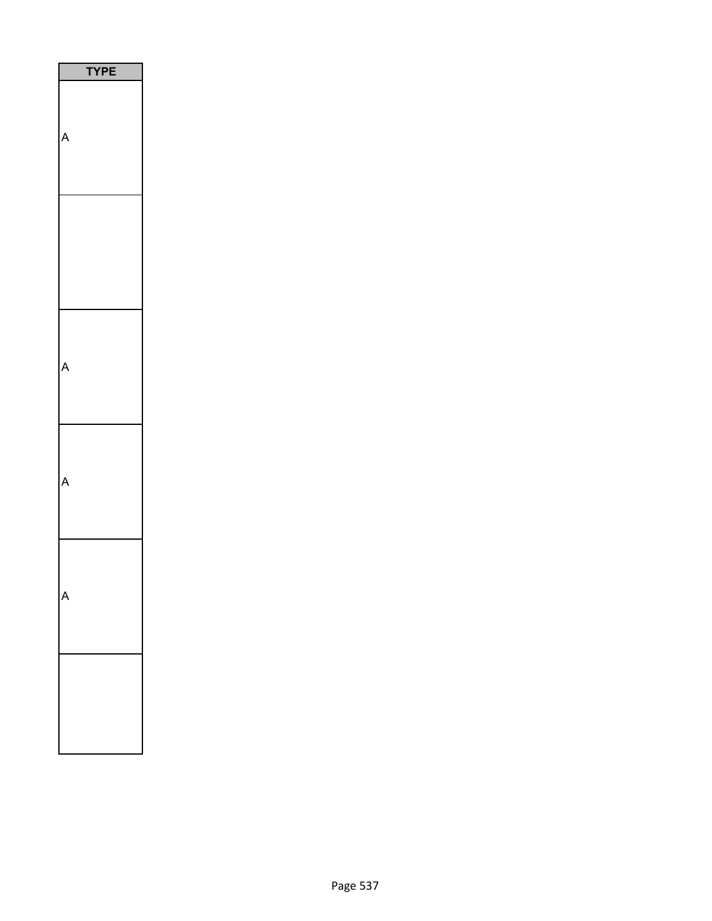| PЕ |
|----|
|    |
|    |
|    |
|    |
|    |
|    |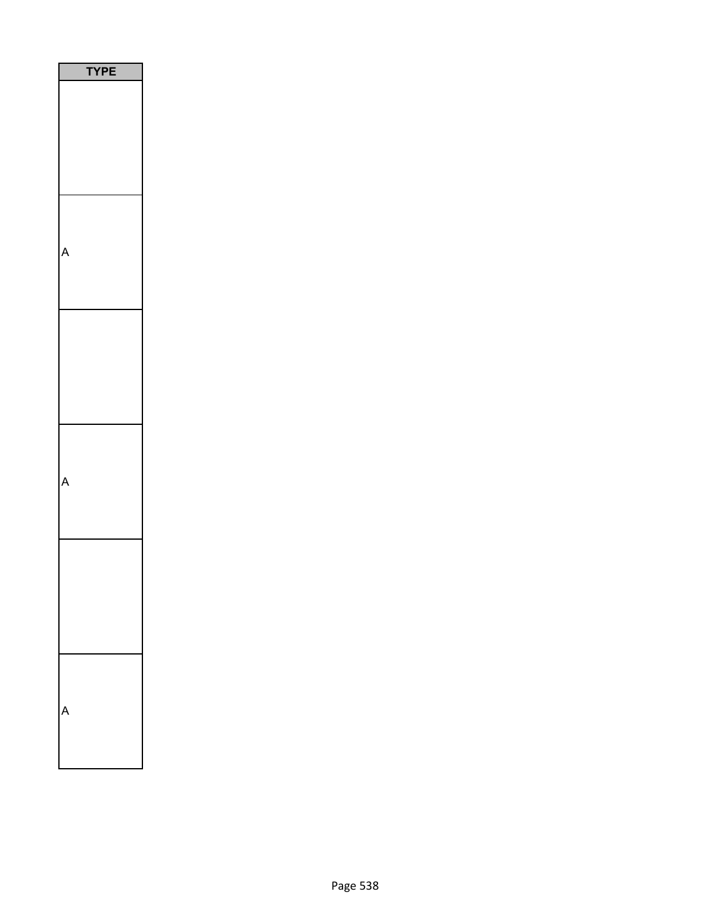| Ε<br>P<br>Y |
|-------------|
|             |
|             |
|             |
|             |
|             |
|             |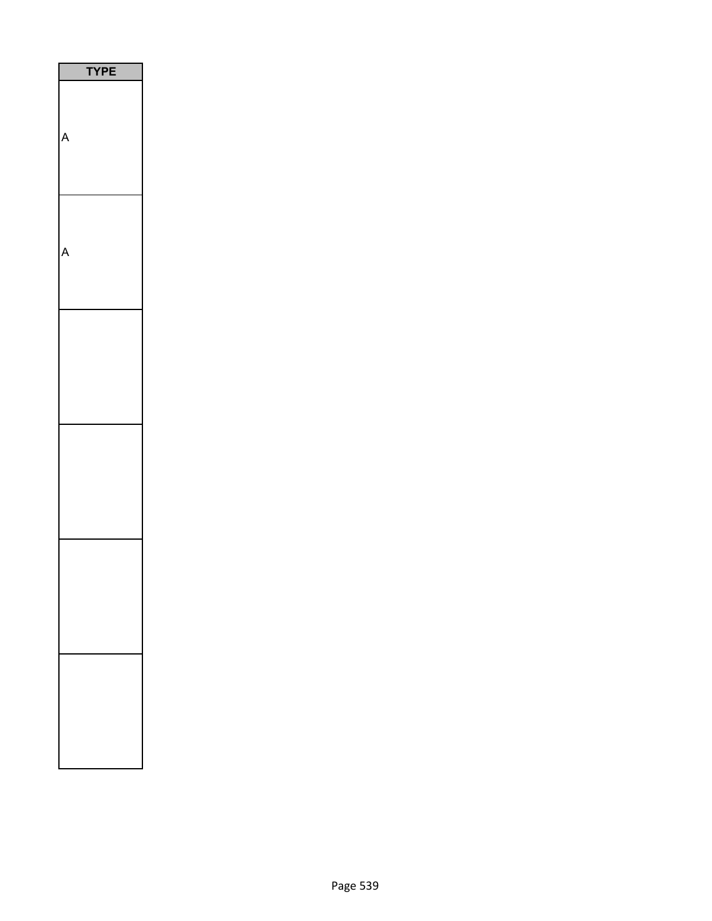| E<br>P |  |
|--------|--|
|        |  |
|        |  |
|        |  |
|        |  |
|        |  |
|        |  |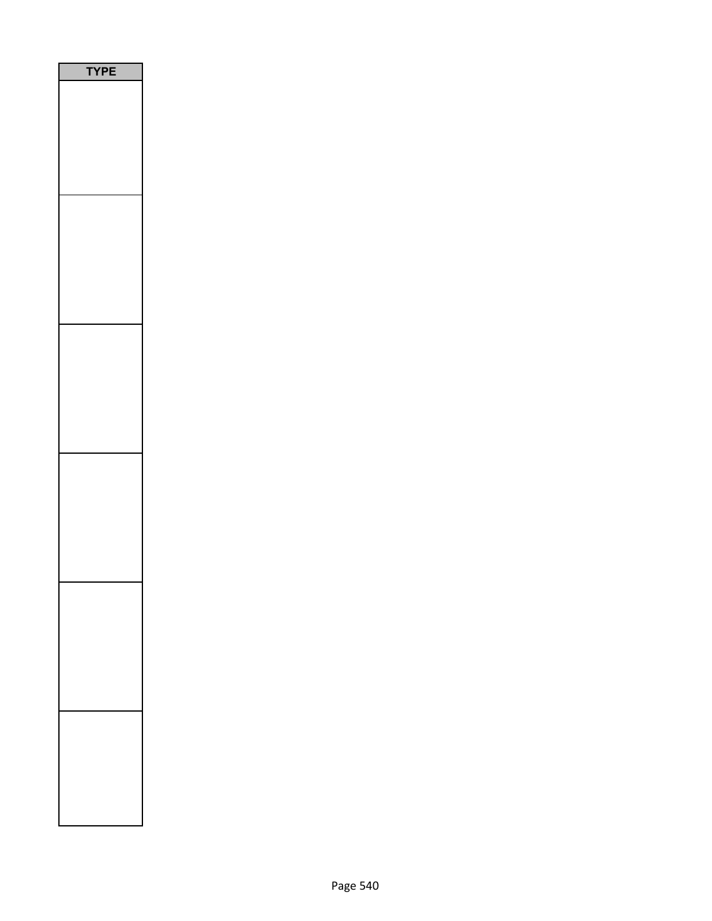| <b>/PE</b> |
|------------|
|            |
|            |
|            |
|            |
|            |
|            |
|            |
|            |
|            |
|            |
|            |
|            |
|            |
|            |
|            |
|            |
|            |
|            |
|            |
|            |
|            |
|            |
|            |
|            |
|            |
|            |
|            |
|            |
|            |
|            |
|            |
|            |
|            |
|            |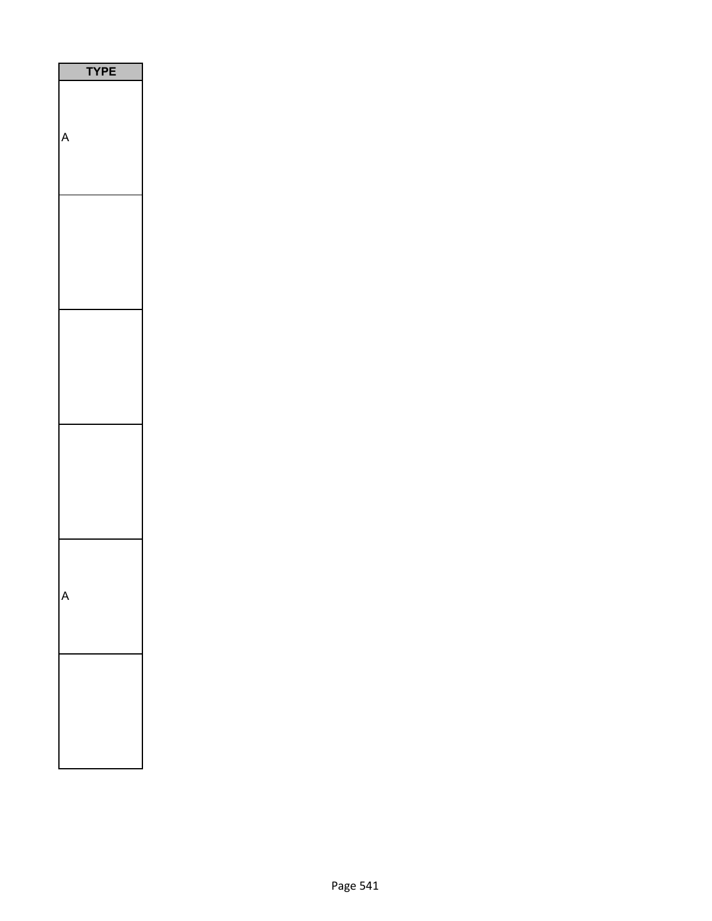| PЕ |
|----|
|    |
|    |
|    |
|    |
|    |
|    |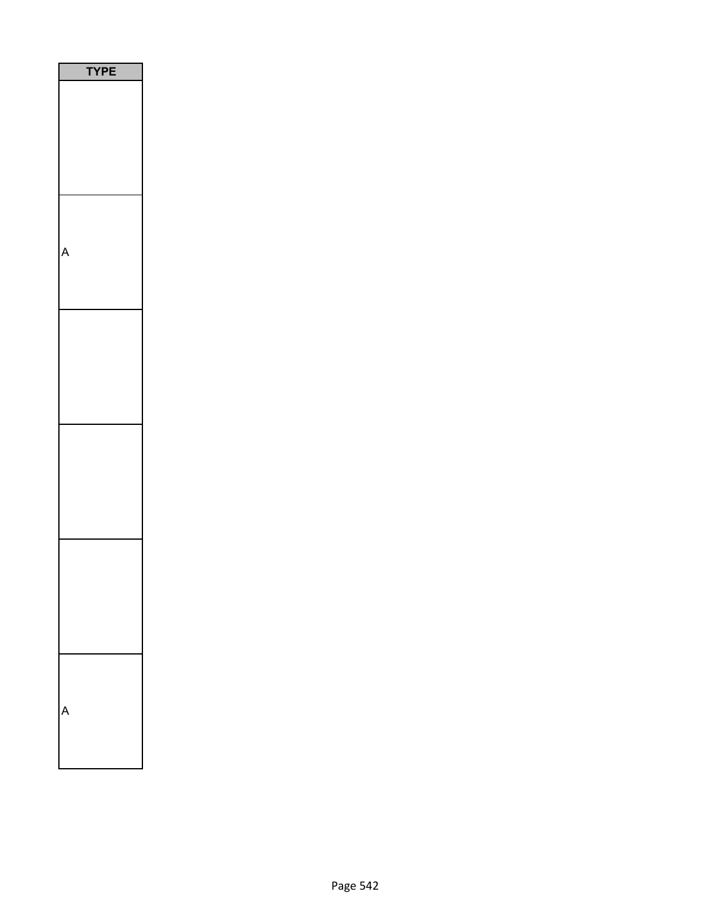| PE<br>Y |
|---------|
|         |
|         |
|         |
|         |
|         |
|         |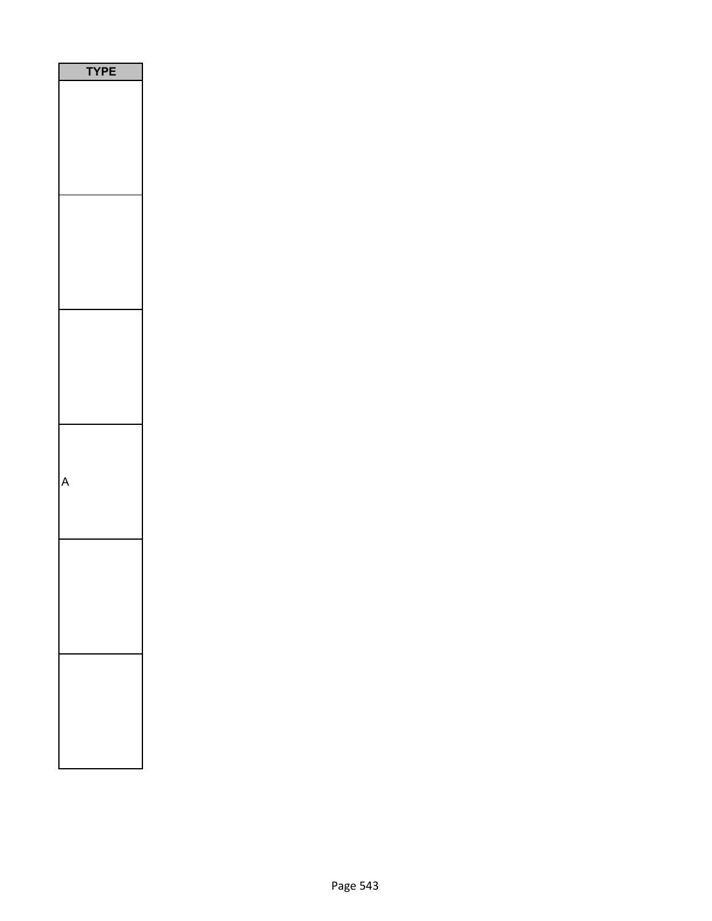| E<br>l |
|--------|
|        |
|        |
|        |
|        |
|        |
|        |
|        |
|        |
|        |
|        |
|        |
|        |
|        |
|        |
|        |
|        |
|        |
|        |
|        |
|        |
|        |
|        |
|        |
|        |
|        |
|        |
|        |
|        |
|        |
|        |
|        |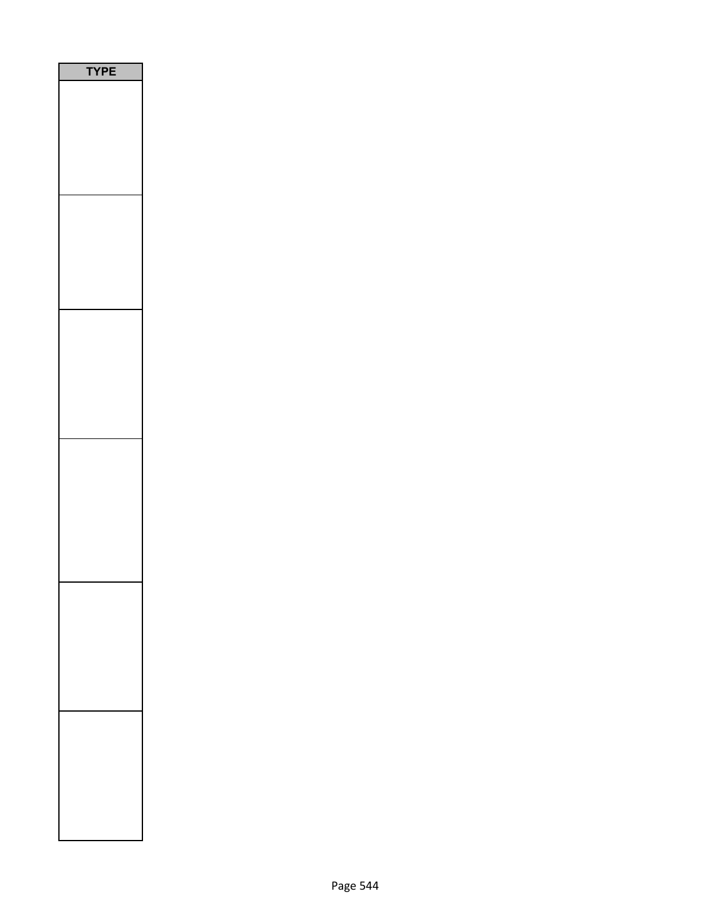| <b>TYPE</b> |
|-------------|
|             |
|             |
|             |
|             |
|             |
|             |
|             |
|             |
|             |
|             |
|             |
|             |
|             |
|             |
|             |
|             |
|             |
|             |
|             |
|             |
|             |
|             |
|             |
|             |
|             |
|             |
|             |
|             |
|             |
|             |
|             |
|             |
|             |
|             |
|             |
|             |
|             |
|             |
|             |
|             |
|             |
|             |
|             |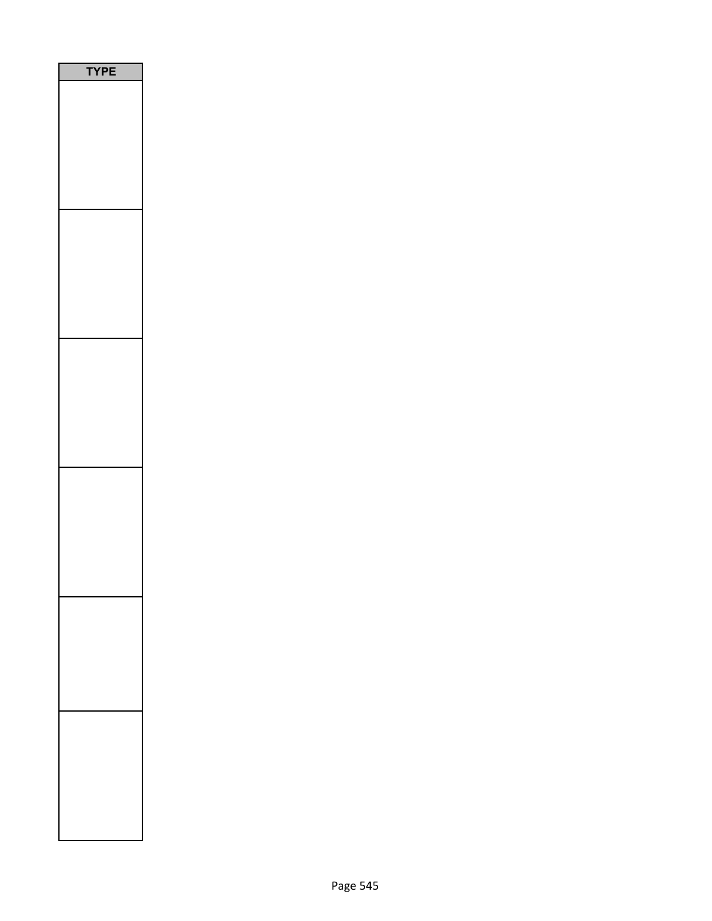| E<br>P |  |
|--------|--|
|        |  |
|        |  |
|        |  |
|        |  |
|        |  |
|        |  |
|        |  |
|        |  |
|        |  |
|        |  |
|        |  |
|        |  |
|        |  |
|        |  |
|        |  |
|        |  |
|        |  |
|        |  |
|        |  |
|        |  |
|        |  |
|        |  |
|        |  |
|        |  |
|        |  |
|        |  |
|        |  |
|        |  |
|        |  |
|        |  |
|        |  |
|        |  |
|        |  |
|        |  |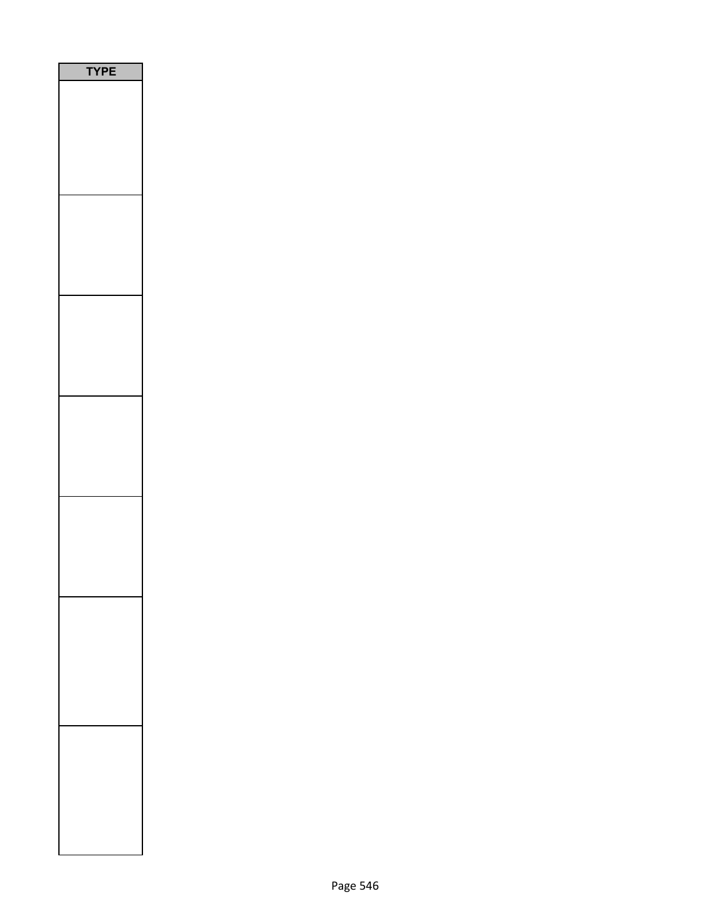| PE<br>Ϋ́ |  |
|----------|--|
|          |  |
|          |  |
|          |  |
|          |  |
|          |  |
|          |  |
|          |  |
|          |  |
|          |  |
|          |  |
|          |  |
|          |  |
|          |  |
|          |  |
|          |  |
|          |  |
|          |  |
|          |  |
|          |  |
|          |  |
|          |  |
|          |  |
|          |  |
|          |  |
|          |  |
|          |  |
|          |  |
|          |  |
|          |  |
|          |  |
|          |  |
|          |  |
|          |  |
|          |  |
|          |  |
|          |  |
|          |  |
|          |  |
|          |  |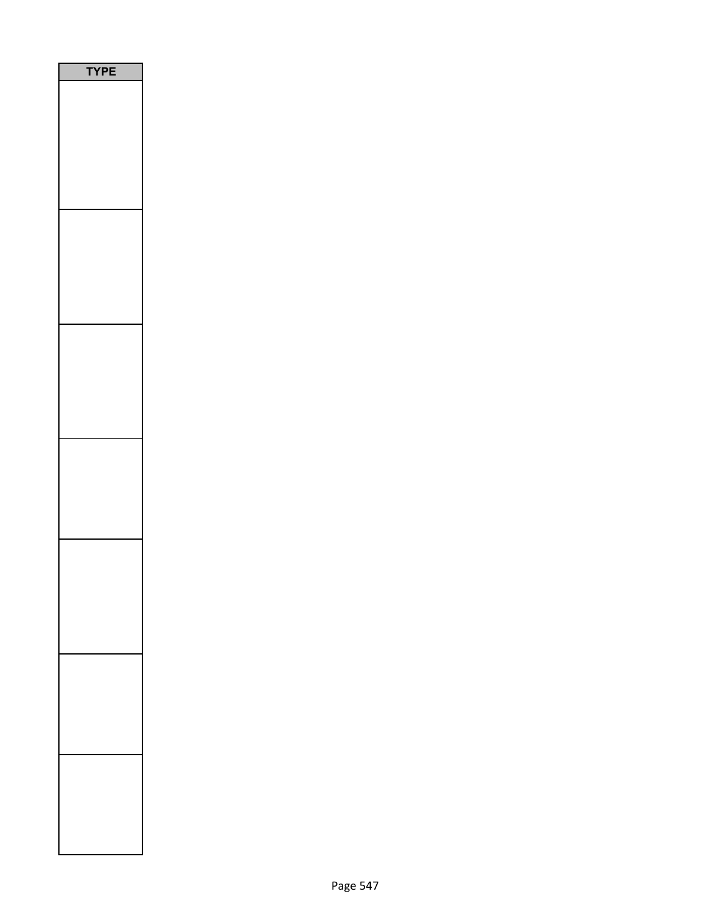| <b>PE</b> |
|-----------|
|           |
|           |
|           |
|           |
|           |
|           |
|           |
|           |
|           |
|           |
|           |
|           |
|           |
|           |
|           |
|           |
|           |
|           |
|           |
|           |
|           |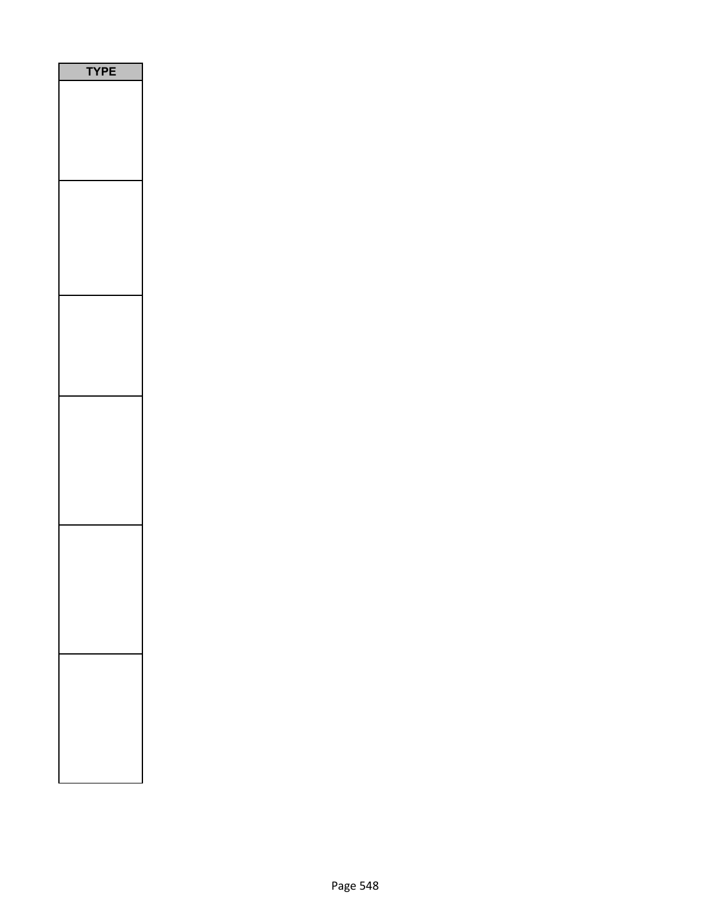| <b>YPE</b> |
|------------|
|            |
|            |
|            |
|            |
|            |
|            |
|            |
|            |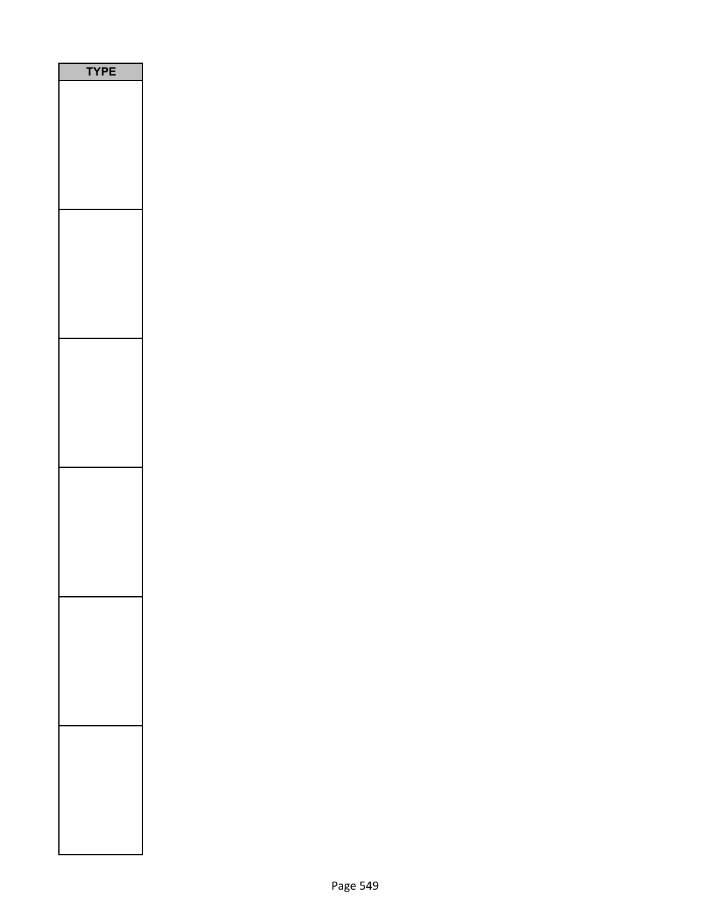| YPE |  |
|-----|--|
|     |  |
|     |  |
|     |  |
|     |  |
|     |  |
|     |  |
|     |  |
|     |  |
|     |  |
|     |  |
|     |  |
|     |  |
|     |  |
|     |  |
|     |  |
|     |  |
|     |  |
|     |  |
|     |  |
|     |  |
|     |  |
|     |  |
|     |  |
|     |  |
|     |  |
|     |  |
|     |  |
|     |  |
|     |  |
|     |  |
|     |  |
|     |  |
|     |  |
|     |  |
|     |  |
|     |  |
|     |  |
|     |  |
|     |  |
|     |  |
|     |  |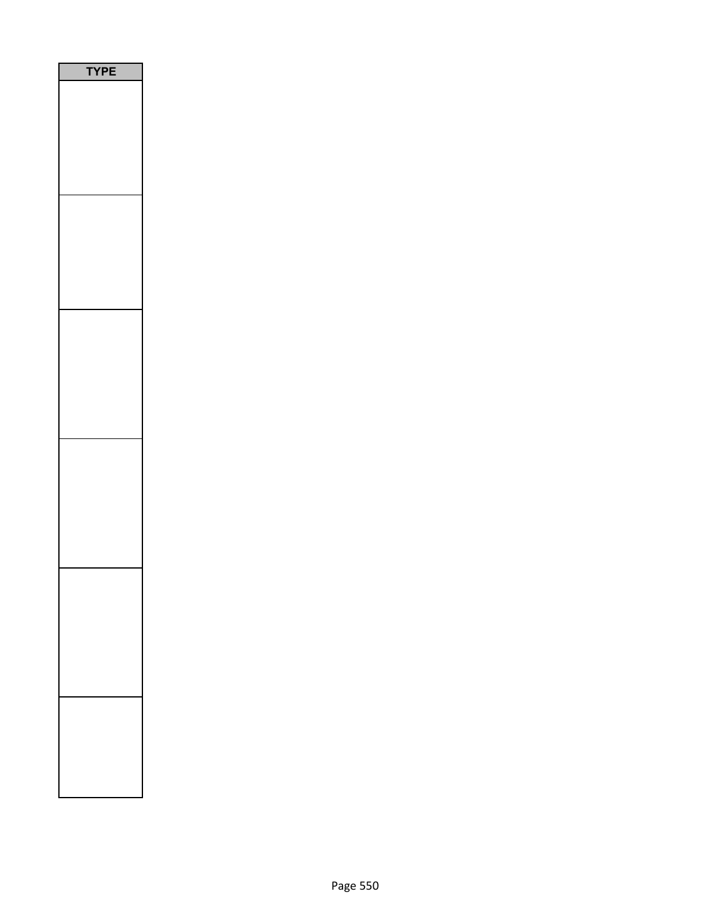| <b>/PE</b><br>٦ |
|-----------------|
|                 |
|                 |
|                 |
|                 |
|                 |
|                 |
|                 |
|                 |
|                 |
|                 |
|                 |
|                 |
|                 |
|                 |
|                 |
|                 |
|                 |
|                 |
|                 |
|                 |
|                 |
|                 |
|                 |
|                 |
|                 |
|                 |
|                 |
|                 |
|                 |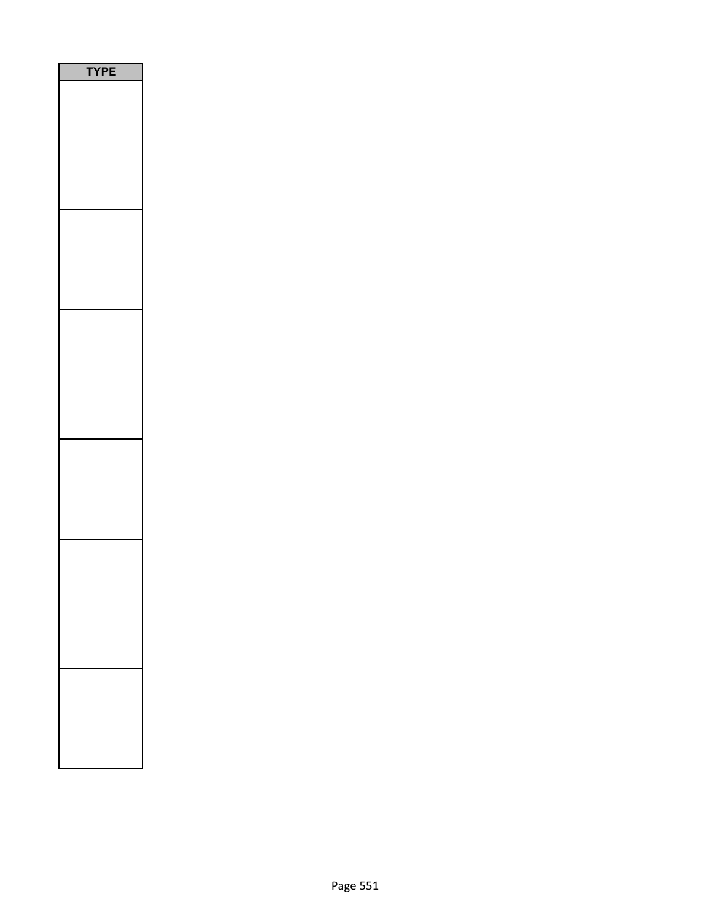| PE<br>۵ |  |
|---------|--|
|         |  |
|         |  |
|         |  |
|         |  |
|         |  |
|         |  |
|         |  |
|         |  |
|         |  |
|         |  |
|         |  |
|         |  |
|         |  |
|         |  |
|         |  |
|         |  |
|         |  |
|         |  |
|         |  |
|         |  |
|         |  |
|         |  |
|         |  |
|         |  |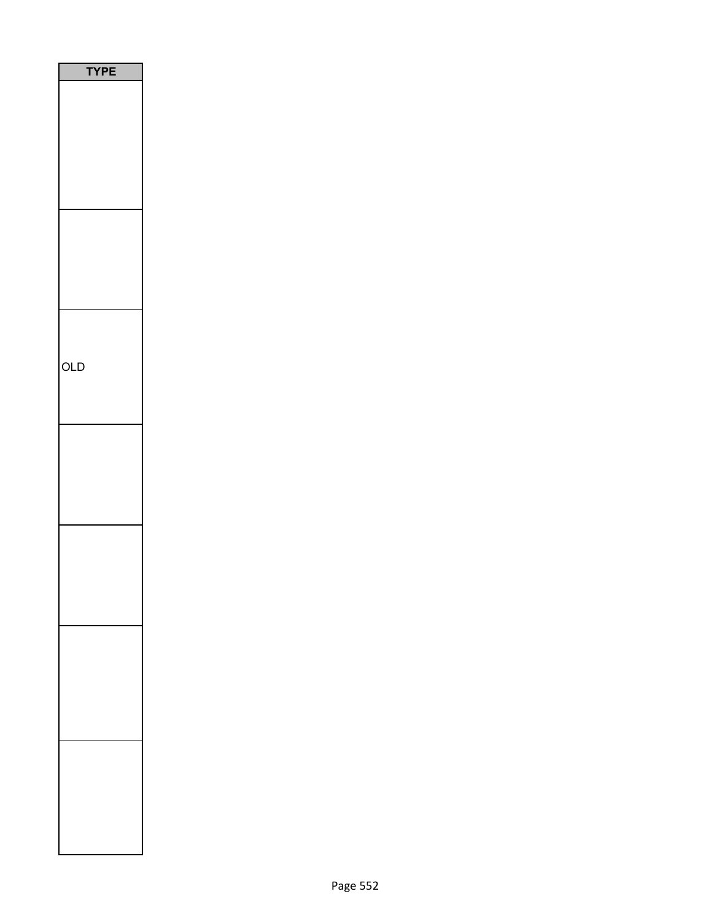| <b>TYPE</b> |
|-------------|
|             |
|             |
|             |
|             |
|             |
|             |
|             |
|             |
|             |
|             |
|             |
|             |
|             |
|             |
| OLD         |
|             |
|             |
|             |
|             |
|             |
|             |
|             |
|             |
|             |
|             |
|             |
|             |
|             |
|             |
|             |
|             |
|             |
|             |
|             |
|             |
|             |
|             |
|             |
|             |
|             |
|             |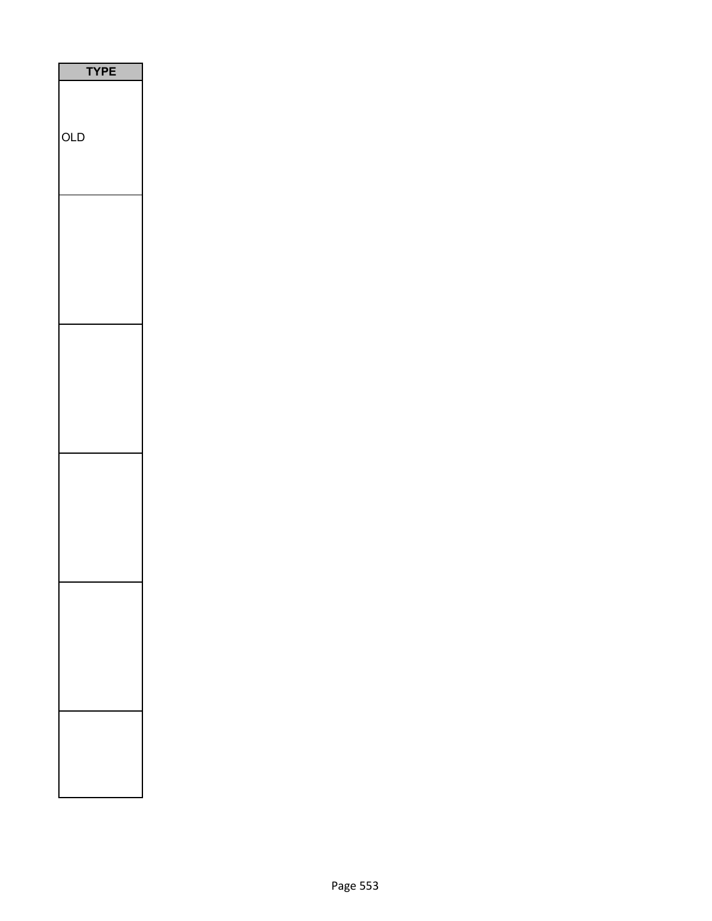| YPE |
|-----|
|     |
|     |
| OLD |
|     |
|     |
|     |
|     |
|     |
|     |
|     |
|     |
|     |
|     |
|     |
|     |
|     |
|     |
|     |
|     |
|     |
|     |
|     |
|     |
|     |
|     |
|     |
|     |
|     |
|     |
|     |
|     |
|     |
|     |
|     |
|     |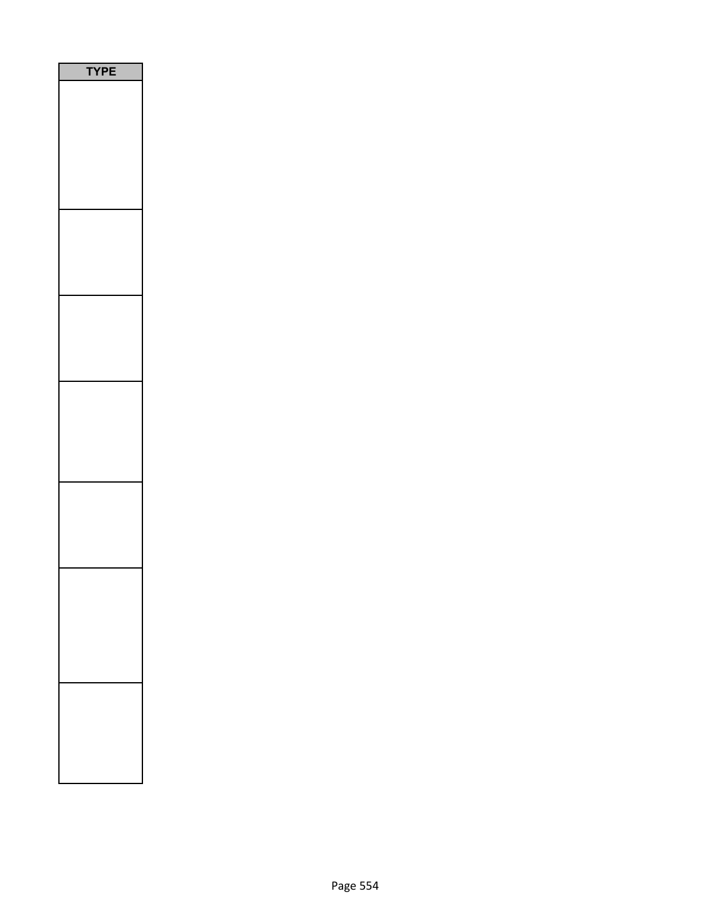| E<br>Р<br>Ē<br>٢<br>ŋ |
|-----------------------|
|                       |
|                       |
|                       |
|                       |
|                       |
|                       |
|                       |
|                       |
|                       |
|                       |
|                       |
|                       |
|                       |
|                       |
|                       |
|                       |
|                       |
|                       |
|                       |
|                       |
|                       |
|                       |
|                       |
|                       |
|                       |
|                       |
|                       |
|                       |
|                       |
|                       |
|                       |
|                       |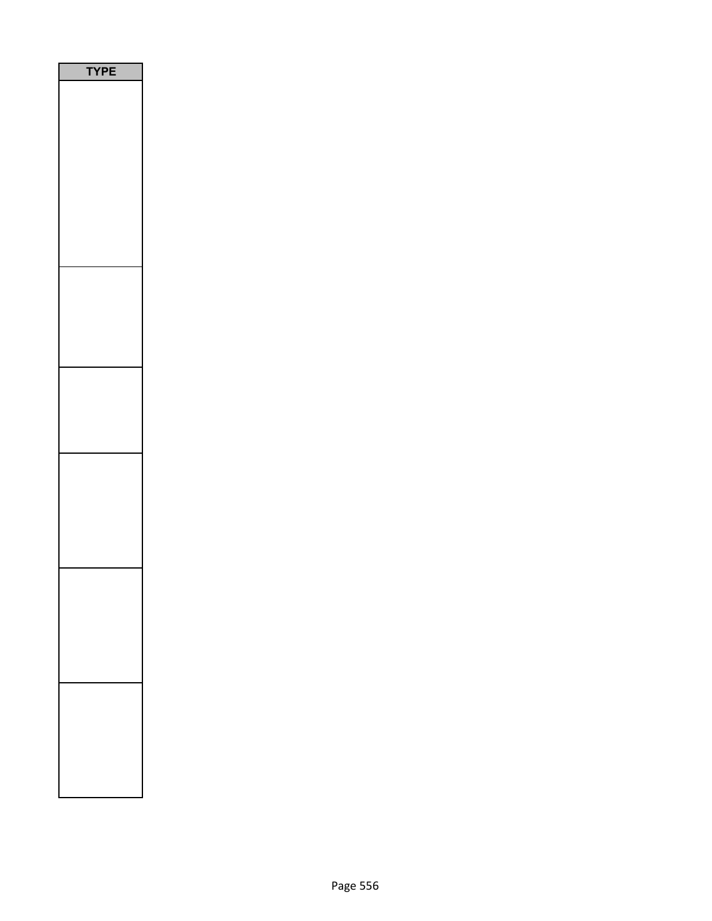| PE<br>ſ<br>J |
|--------------|
|              |
|              |
|              |
|              |
|              |
|              |
|              |
|              |
|              |
|              |
|              |
|              |
|              |
|              |
|              |
|              |
|              |
|              |
|              |
|              |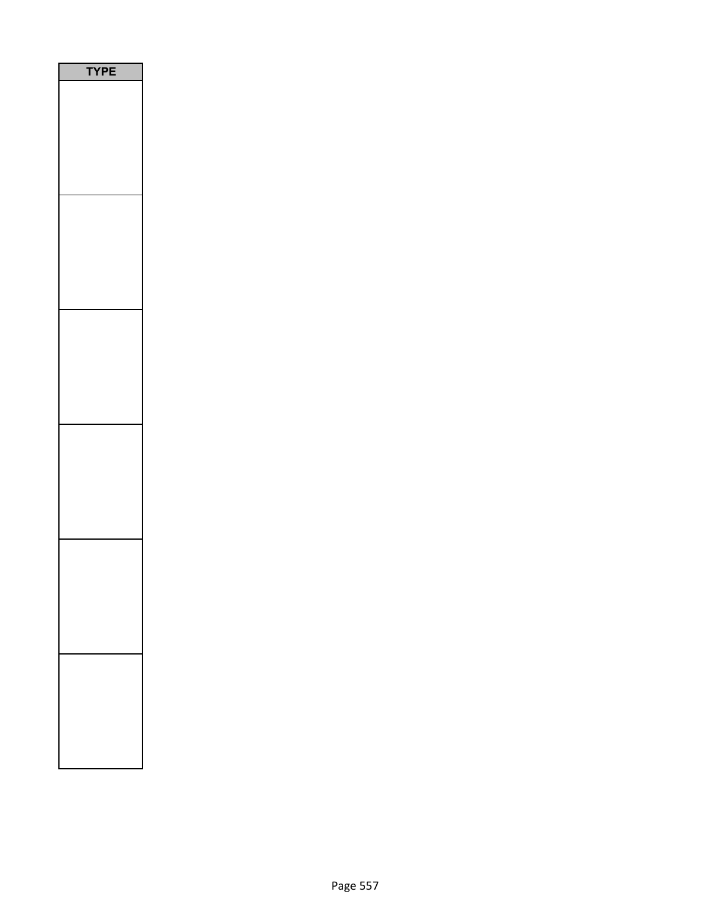| PE |
|----|
|    |
|    |
|    |
|    |
|    |
|    |
|    |
|    |
|    |
|    |
|    |
|    |
|    |
|    |
|    |
|    |
|    |
|    |
|    |
|    |
|    |
|    |
|    |
|    |
|    |
|    |
|    |
|    |
|    |
|    |
|    |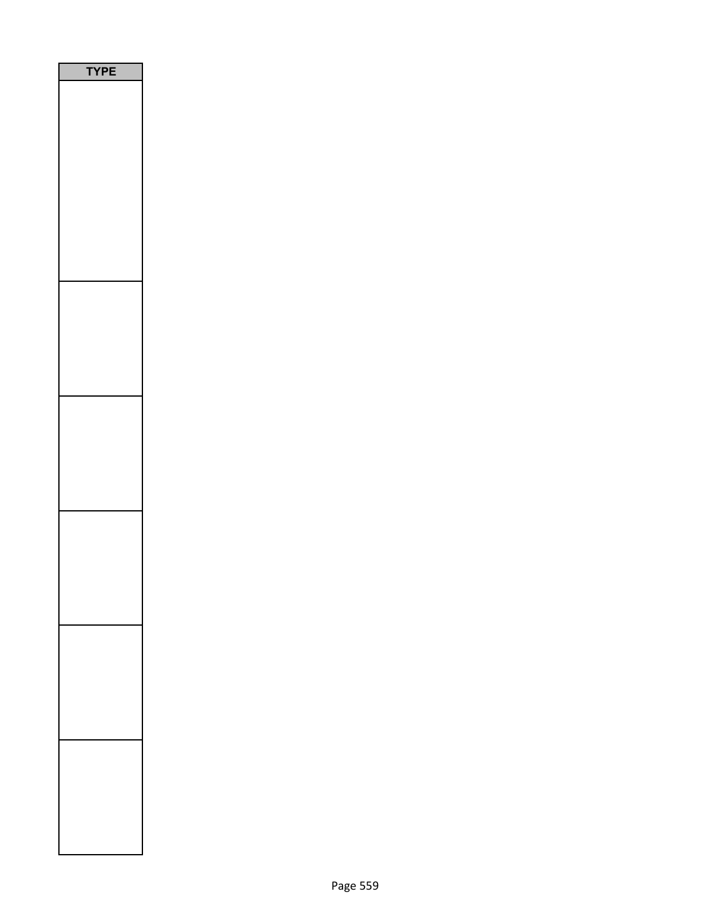| <b>TPE</b><br>١ |  |
|-----------------|--|
|                 |  |
|                 |  |
|                 |  |
|                 |  |
|                 |  |
|                 |  |
|                 |  |
|                 |  |
|                 |  |
|                 |  |
|                 |  |
|                 |  |
|                 |  |
|                 |  |
|                 |  |
|                 |  |
|                 |  |
|                 |  |
|                 |  |
|                 |  |
|                 |  |
|                 |  |
|                 |  |
|                 |  |
|                 |  |
|                 |  |
|                 |  |
|                 |  |
|                 |  |
|                 |  |
|                 |  |
|                 |  |
|                 |  |
|                 |  |
|                 |  |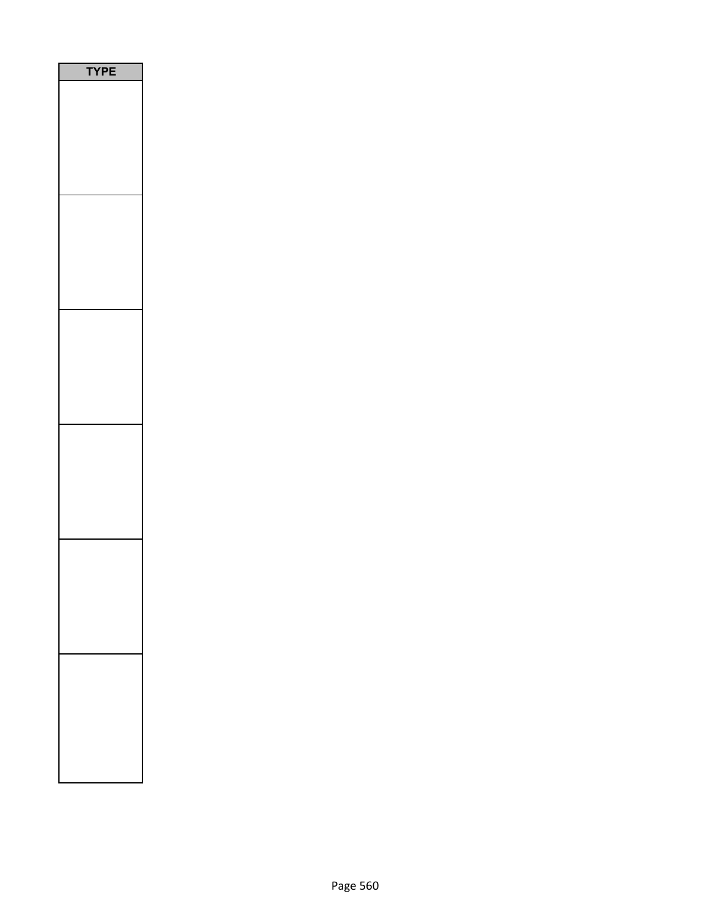| P<br>Ε<br>1<br>n |  |
|------------------|--|
|                  |  |
|                  |  |
|                  |  |
|                  |  |
|                  |  |
|                  |  |
|                  |  |
|                  |  |
|                  |  |
|                  |  |
|                  |  |
|                  |  |
|                  |  |
|                  |  |
|                  |  |
|                  |  |
|                  |  |
|                  |  |
|                  |  |
|                  |  |
|                  |  |
|                  |  |
|                  |  |
|                  |  |
|                  |  |
|                  |  |
|                  |  |
|                  |  |
|                  |  |
|                  |  |
|                  |  |
|                  |  |
|                  |  |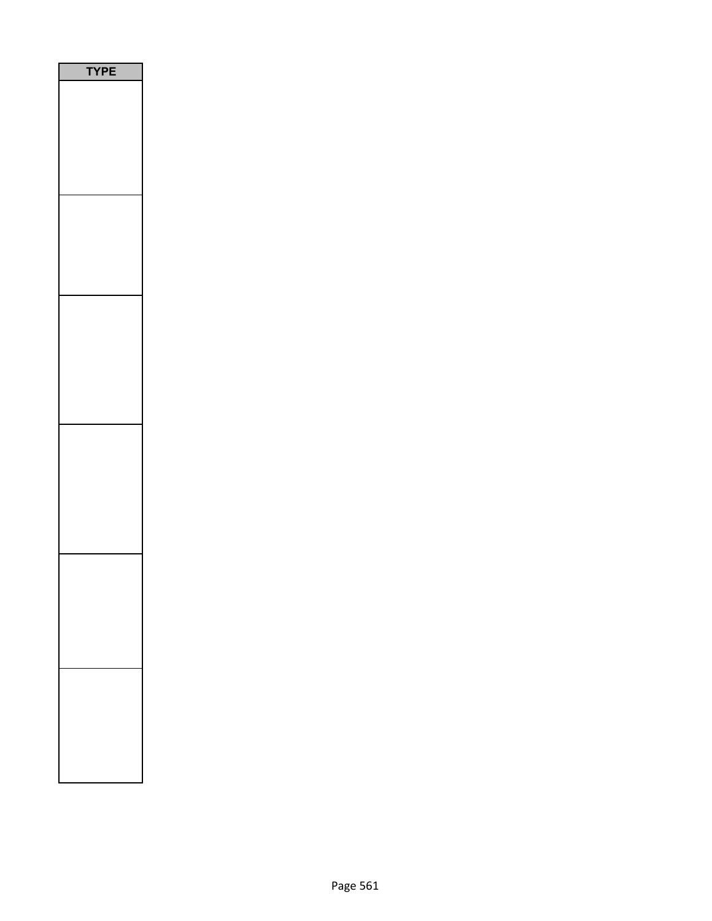| E<br>P<br>Ē<br>٢<br>ŋ |
|-----------------------|
|                       |
|                       |
|                       |
|                       |
|                       |
|                       |
|                       |
|                       |
|                       |
|                       |
|                       |
|                       |
|                       |
|                       |
|                       |
|                       |
|                       |
|                       |
|                       |
|                       |
|                       |
|                       |
|                       |
|                       |
|                       |
|                       |
|                       |
|                       |
|                       |
|                       |
|                       |
|                       |
|                       |
|                       |
|                       |
|                       |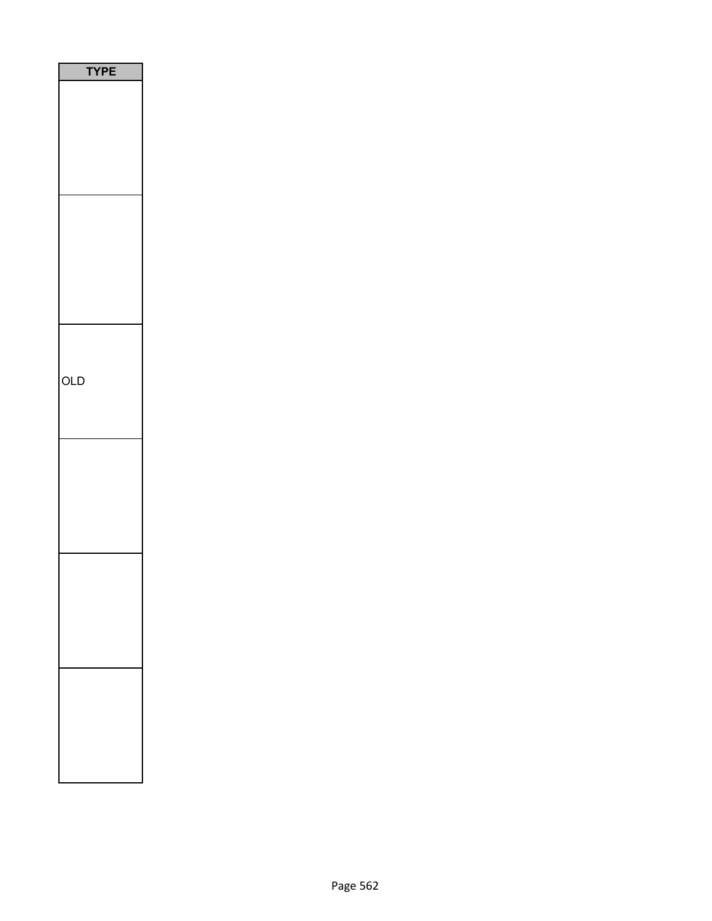| Е<br>PI<br>ſ |
|--------------|
|              |
|              |
|              |
|              |
|              |
|              |
|              |
|              |
|              |
| OLD          |
|              |
|              |
|              |
|              |
|              |
|              |
|              |
|              |
|              |
|              |
|              |
|              |
|              |
|              |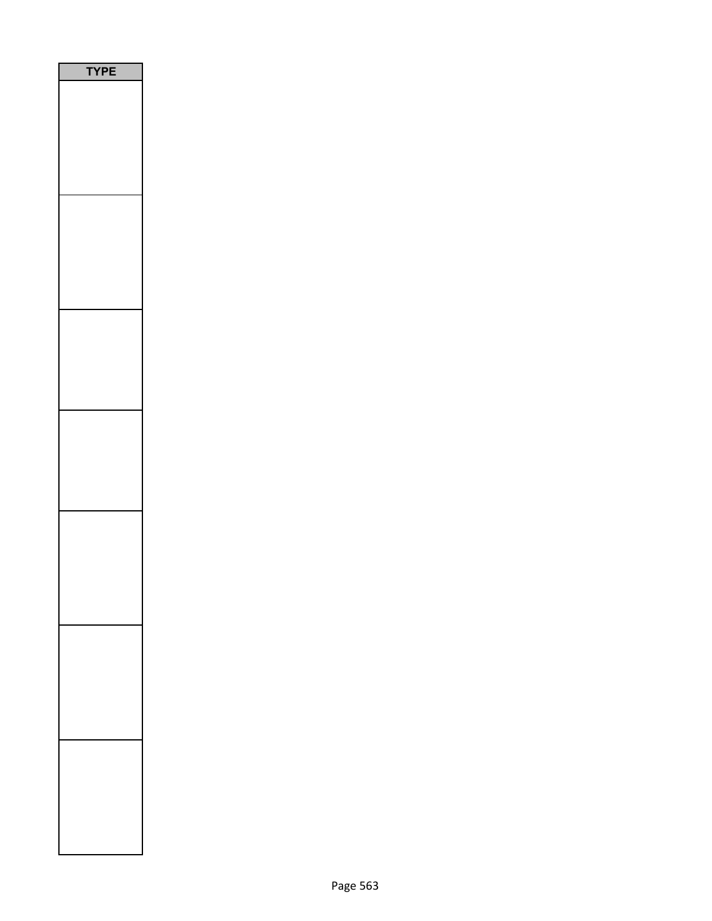| <b>TYPE</b> |  |
|-------------|--|
|             |  |
|             |  |
|             |  |
|             |  |
|             |  |
|             |  |
|             |  |
|             |  |
|             |  |
|             |  |
|             |  |
|             |  |
|             |  |
|             |  |
|             |  |
|             |  |
|             |  |
|             |  |
|             |  |
|             |  |
|             |  |
|             |  |
|             |  |
|             |  |
|             |  |
|             |  |
|             |  |
|             |  |
|             |  |
|             |  |
|             |  |
|             |  |
|             |  |
|             |  |
|             |  |
|             |  |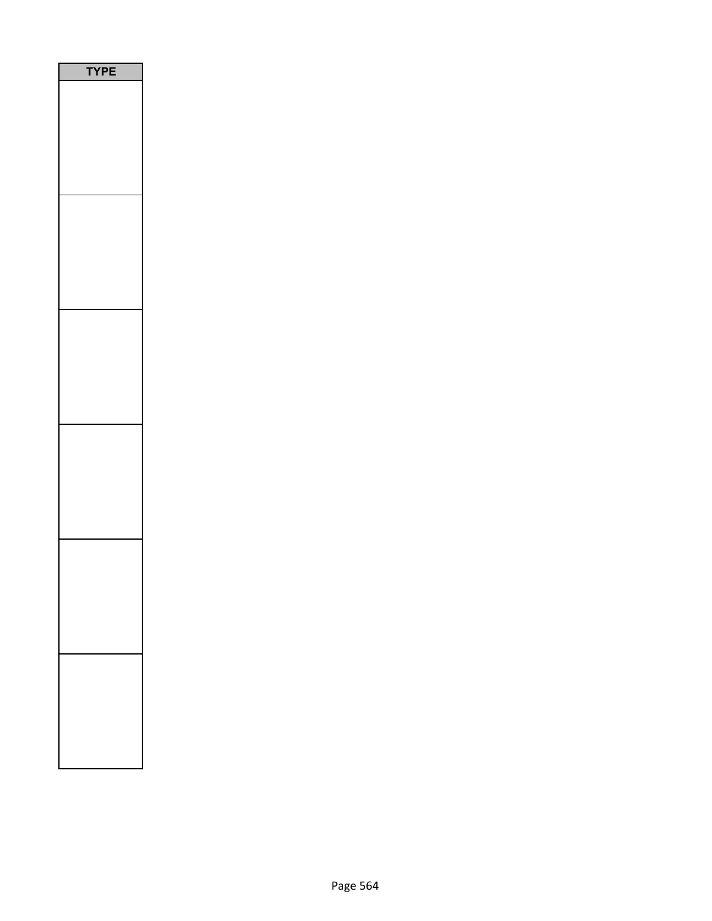| PE<br>٢ |
|---------|
|         |
|         |
|         |
|         |
|         |
|         |
|         |
|         |
|         |
|         |
|         |
|         |
|         |
|         |
|         |
|         |
|         |
|         |
|         |
|         |
|         |
|         |
|         |
|         |
|         |
|         |
|         |
|         |
|         |
|         |
|         |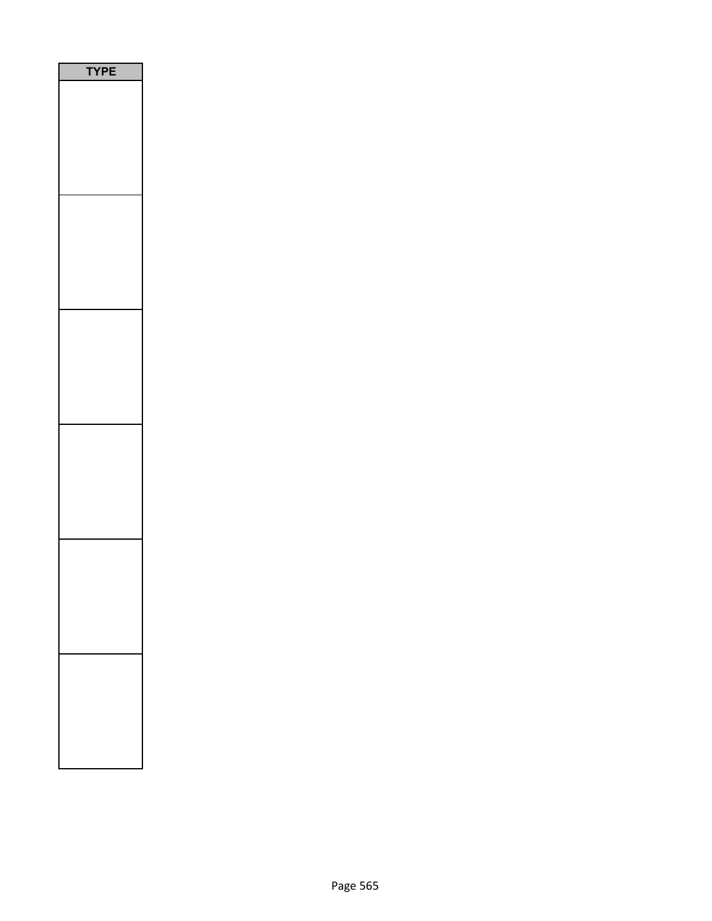| PE<br>٢ |
|---------|
|         |
|         |
|         |
|         |
|         |
|         |
|         |
|         |
|         |
|         |
|         |
|         |
|         |
|         |
|         |
|         |
|         |
|         |
|         |
|         |
|         |
|         |
|         |
|         |
|         |
|         |
|         |
|         |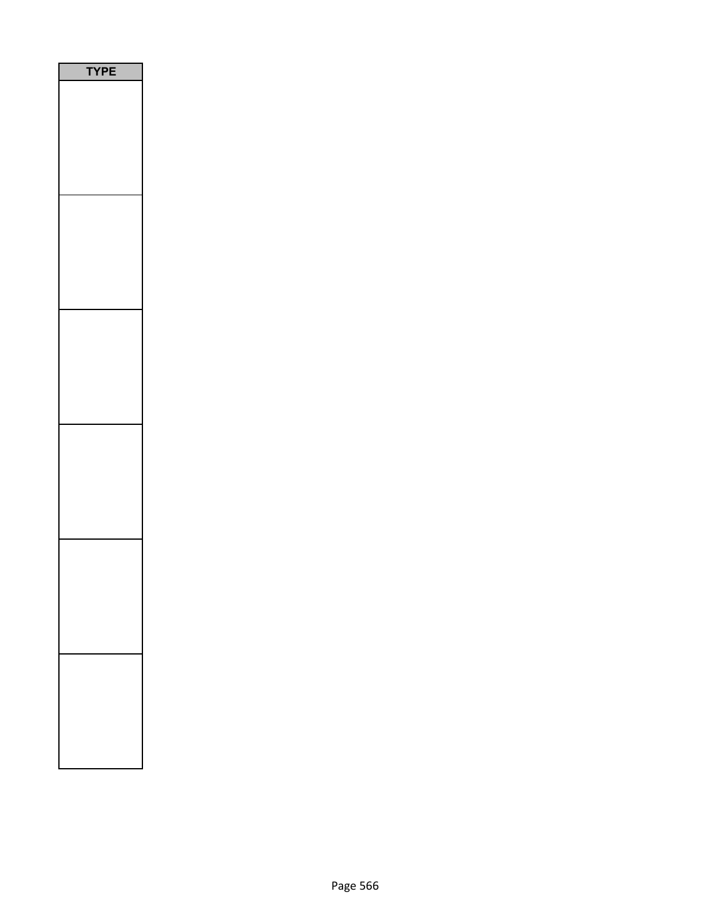| PE<br>٢ |
|---------|
|         |
|         |
|         |
|         |
|         |
|         |
|         |
|         |
|         |
|         |
|         |
|         |
|         |
|         |
|         |
|         |
|         |
|         |
|         |
|         |
|         |
|         |
|         |
|         |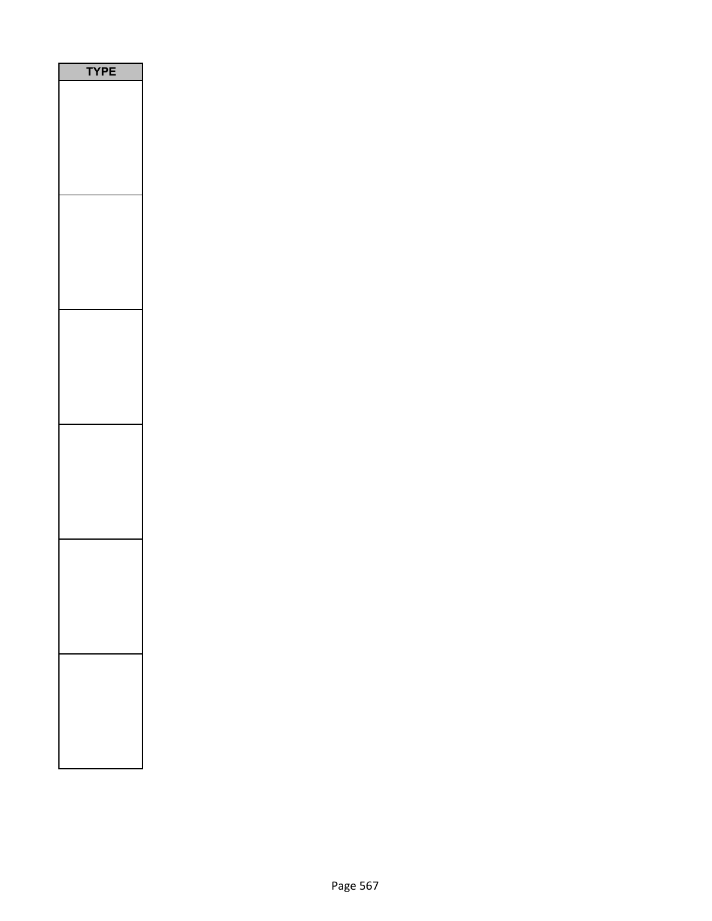| PE<br>٢ |
|---------|
|         |
|         |
|         |
|         |
|         |
|         |
|         |
|         |
|         |
|         |
|         |
|         |
|         |
|         |
|         |
|         |
|         |
|         |
|         |
|         |
|         |
|         |
|         |
|         |
|         |
|         |
|         |
|         |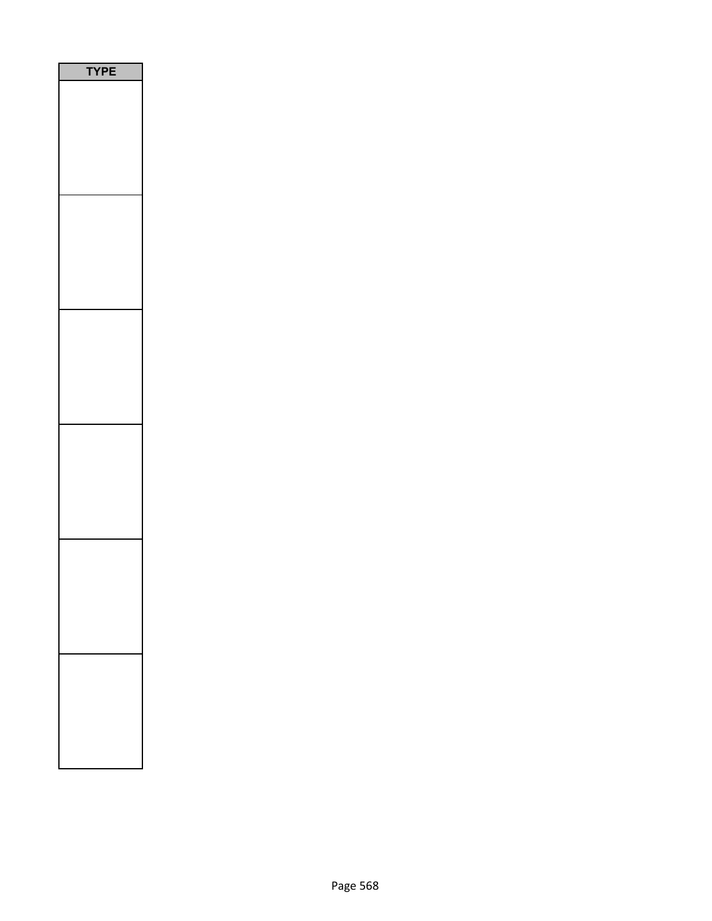| PE<br>٢ |
|---------|
|         |
|         |
|         |
|         |
|         |
|         |
|         |
|         |
|         |
|         |
|         |
|         |
|         |
|         |
|         |
|         |
|         |
|         |
|         |
|         |
|         |
|         |
|         |
|         |
|         |
|         |
|         |
|         |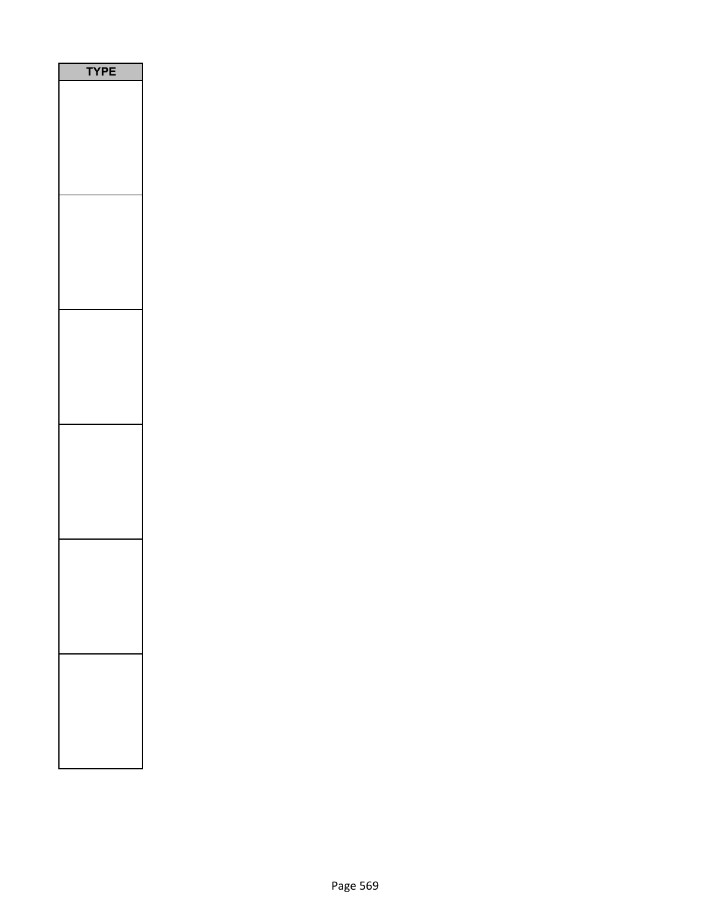| PE<br>٢ |
|---------|
|         |
|         |
|         |
|         |
|         |
|         |
|         |
|         |
|         |
|         |
|         |
|         |
|         |
|         |
|         |
|         |
|         |
|         |
|         |
|         |
|         |
|         |
|         |
|         |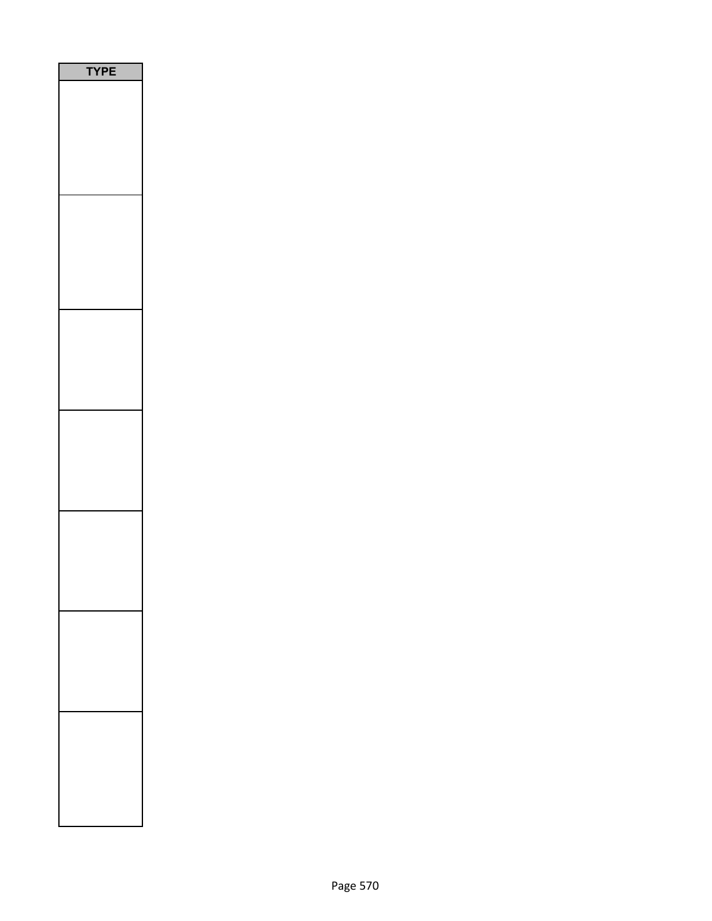| E<br>Р |
|--------|
|        |
|        |
|        |
|        |
|        |
|        |
|        |
|        |
|        |
|        |
|        |
|        |
|        |
|        |
|        |
|        |
|        |
|        |
|        |
|        |
|        |
|        |
|        |
|        |
|        |
|        |
|        |
|        |
|        |
|        |
|        |
|        |
|        |
|        |
|        |
|        |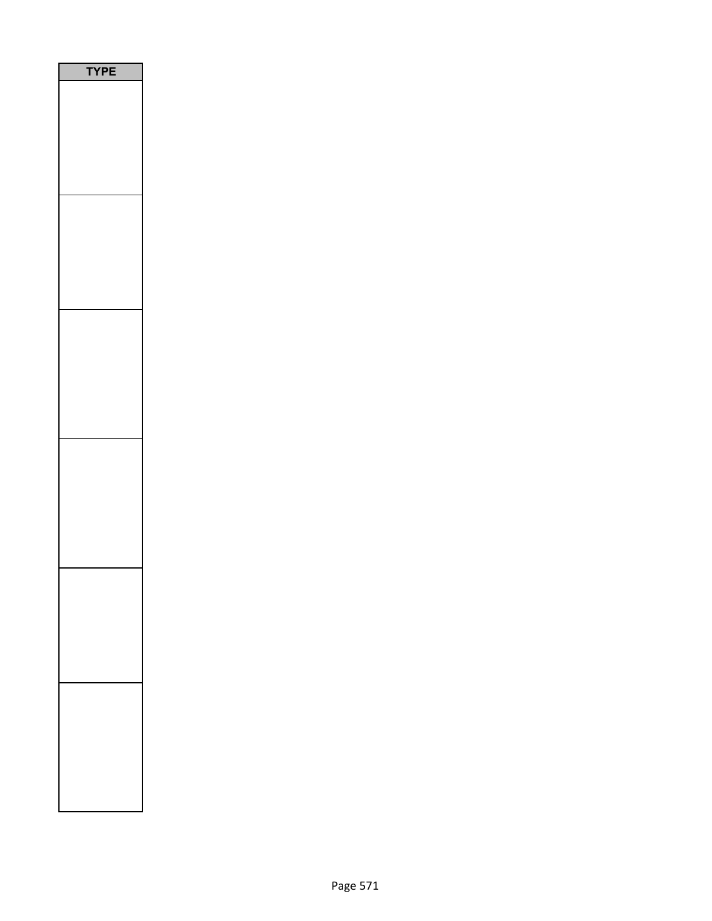| P<br>E<br>ŗ<br>J |  |
|------------------|--|
|                  |  |
|                  |  |
|                  |  |
|                  |  |
|                  |  |
|                  |  |
|                  |  |
|                  |  |
|                  |  |
|                  |  |
|                  |  |
|                  |  |
|                  |  |
|                  |  |
|                  |  |
|                  |  |
|                  |  |
|                  |  |
|                  |  |
|                  |  |
|                  |  |
|                  |  |
|                  |  |
|                  |  |
|                  |  |
|                  |  |
|                  |  |
|                  |  |
|                  |  |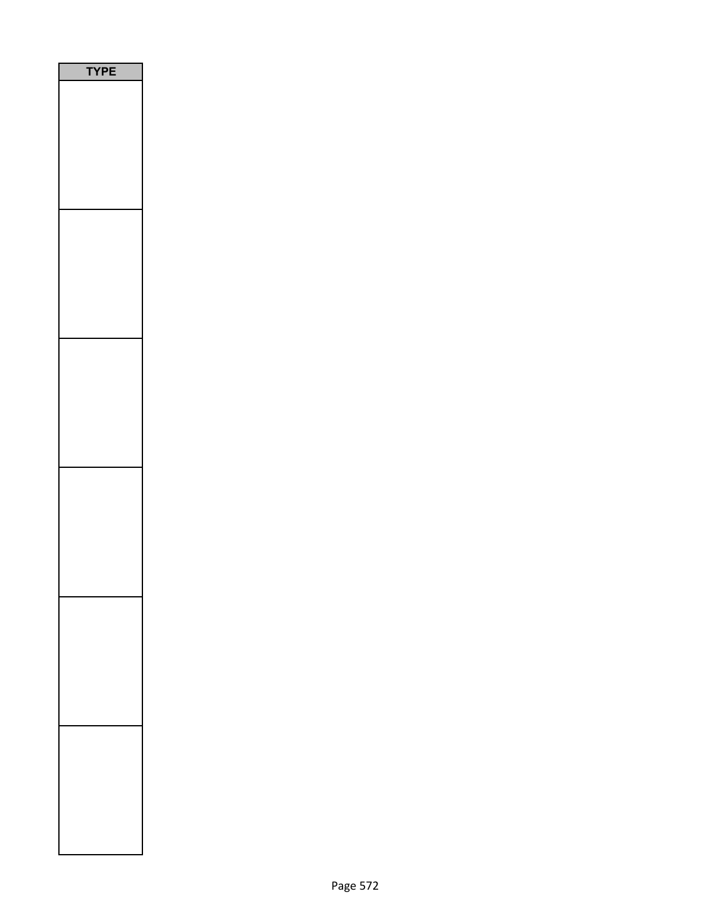| <b>/PE</b><br>Ì |
|-----------------|
|                 |
|                 |
|                 |
|                 |
|                 |
|                 |
|                 |
|                 |
|                 |
|                 |
|                 |
|                 |
|                 |
|                 |
|                 |
|                 |
|                 |
|                 |
|                 |
|                 |
|                 |
|                 |
|                 |
|                 |
|                 |
|                 |
|                 |
|                 |
|                 |
|                 |
|                 |
|                 |
|                 |
|                 |
|                 |
|                 |
|                 |
|                 |
|                 |
|                 |
|                 |
|                 |
|                 |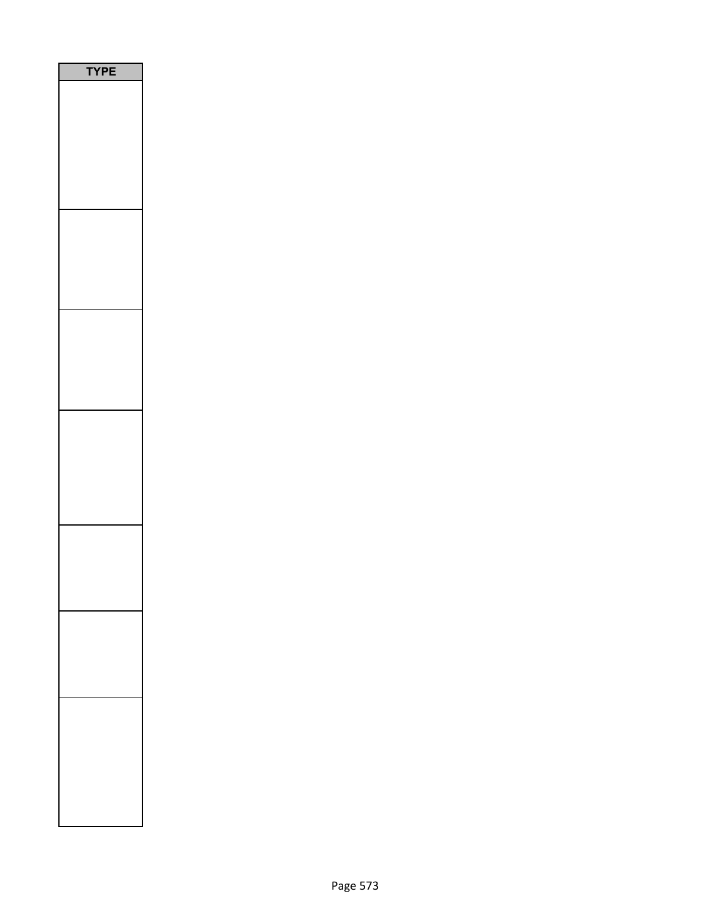| PE |
|----|
|    |
|    |
|    |
|    |
|    |
|    |
|    |
|    |
|    |
|    |
|    |
|    |
|    |
|    |
|    |
|    |
|    |
|    |
|    |
|    |
|    |
|    |
|    |
|    |
|    |
|    |
|    |
|    |
|    |
|    |
|    |
|    |
|    |
|    |
|    |
|    |
|    |
|    |
|    |
|    |
|    |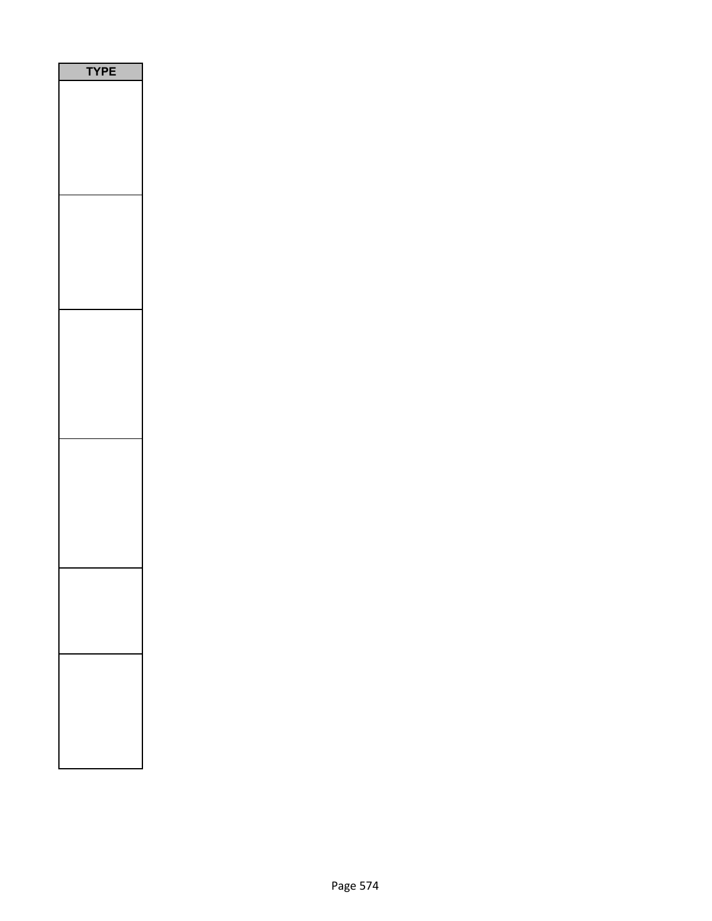| PE<br>۵ |  |
|---------|--|
|         |  |
|         |  |
|         |  |
|         |  |
|         |  |
|         |  |
|         |  |
|         |  |
|         |  |
|         |  |
|         |  |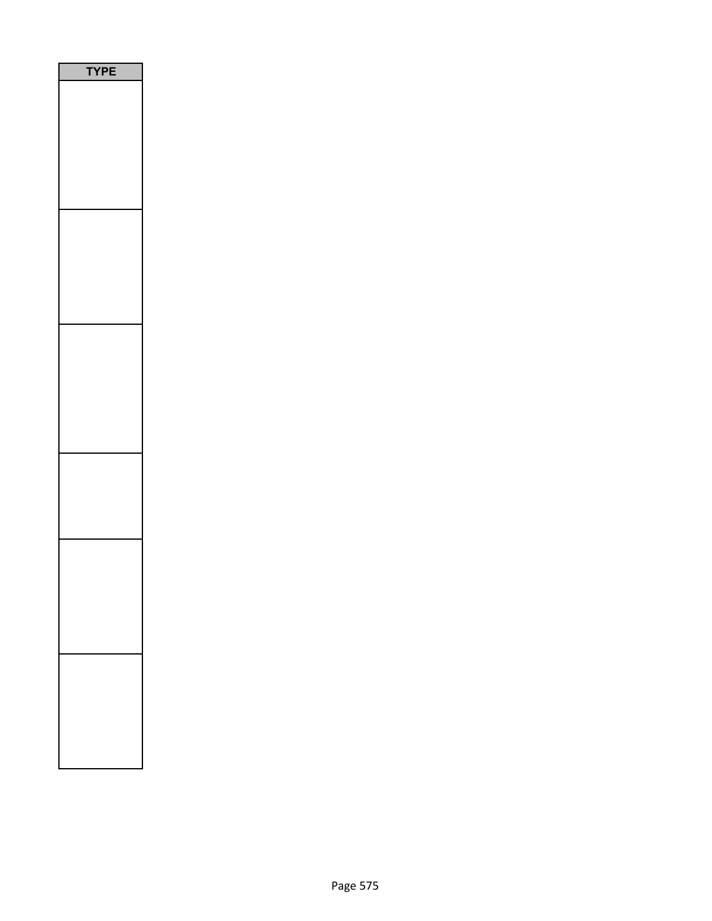| PE |
|----|
|    |
|    |
|    |
|    |
|    |
|    |
|    |
|    |
|    |
|    |
|    |
|    |
|    |
|    |
|    |
|    |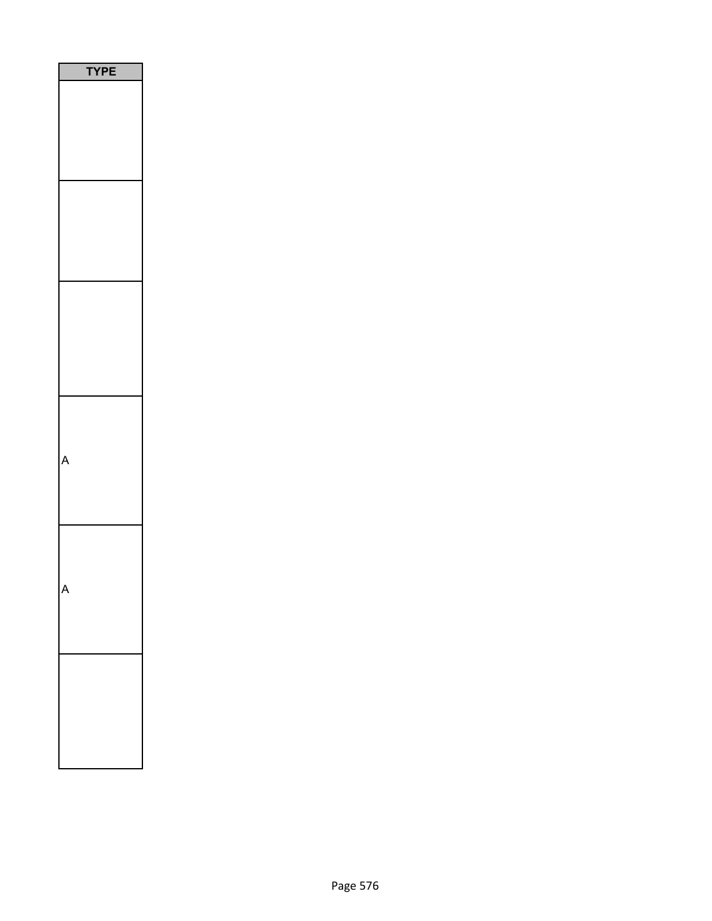| PE<br>١<br>٢ |
|--------------|
|              |
|              |
|              |
|              |
|              |
|              |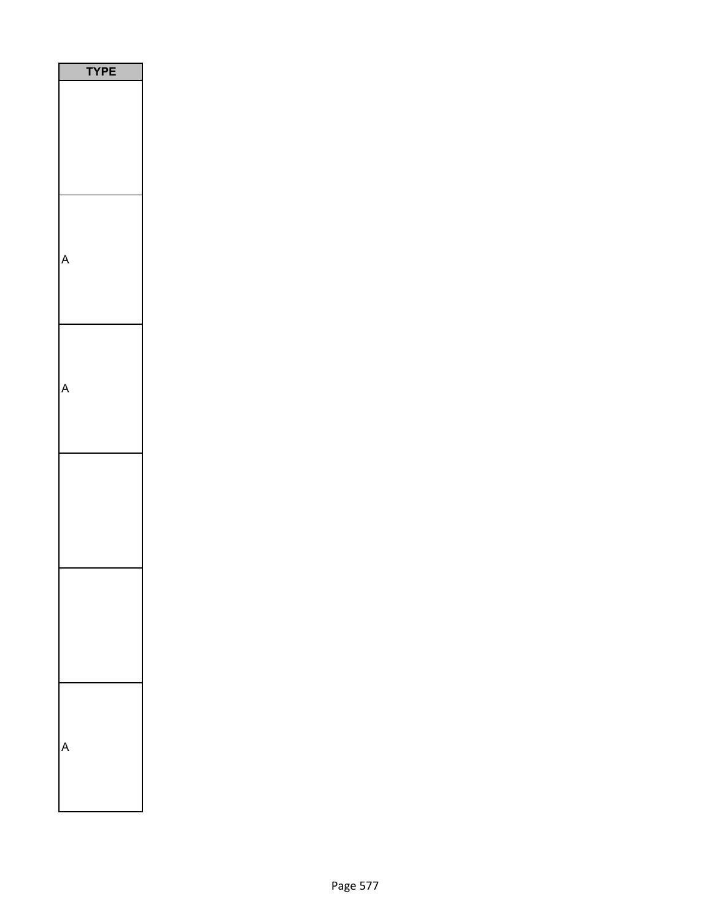| PE<br>$\mathbf$<br>٦ |
|----------------------|
|                      |
|                      |
|                      |
|                      |
|                      |
|                      |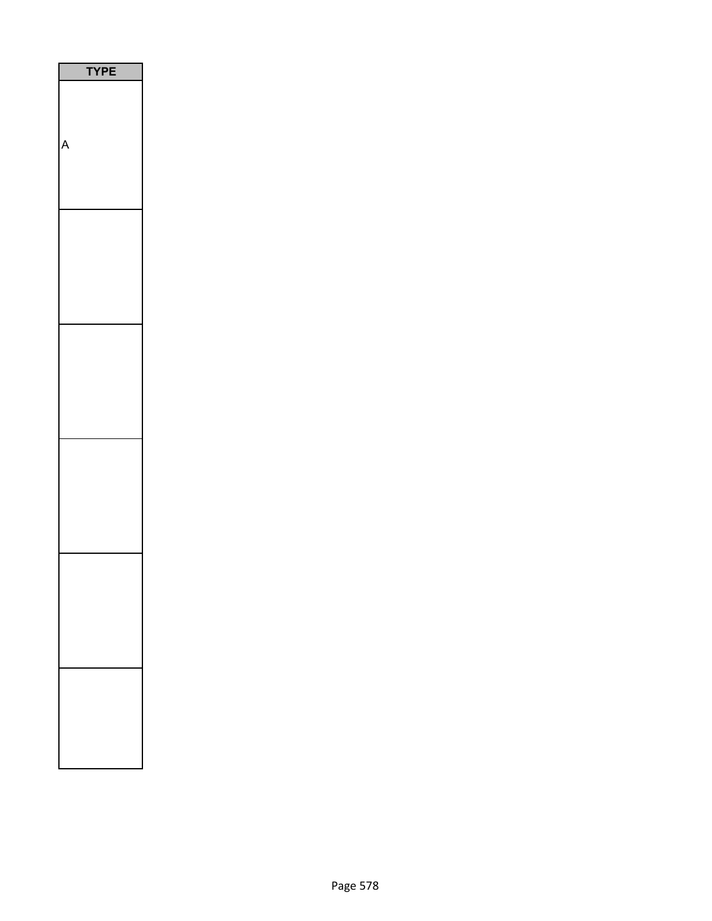| l<br>p |
|--------|
|        |
|        |
|        |
|        |
|        |
|        |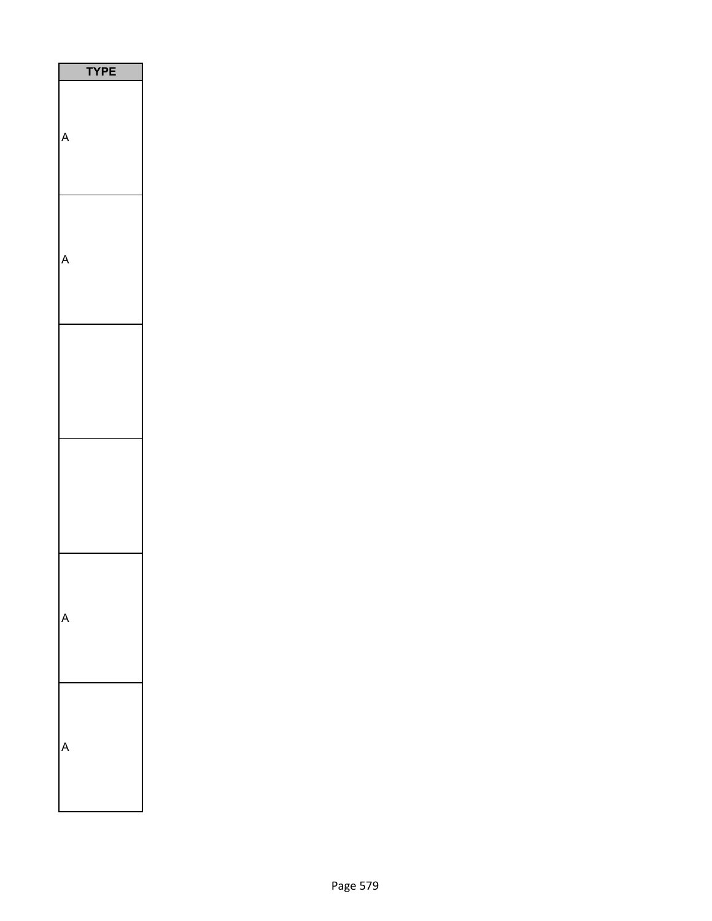| ī |  |
|---|--|
|   |  |
|   |  |
|   |  |
|   |  |
|   |  |
|   |  |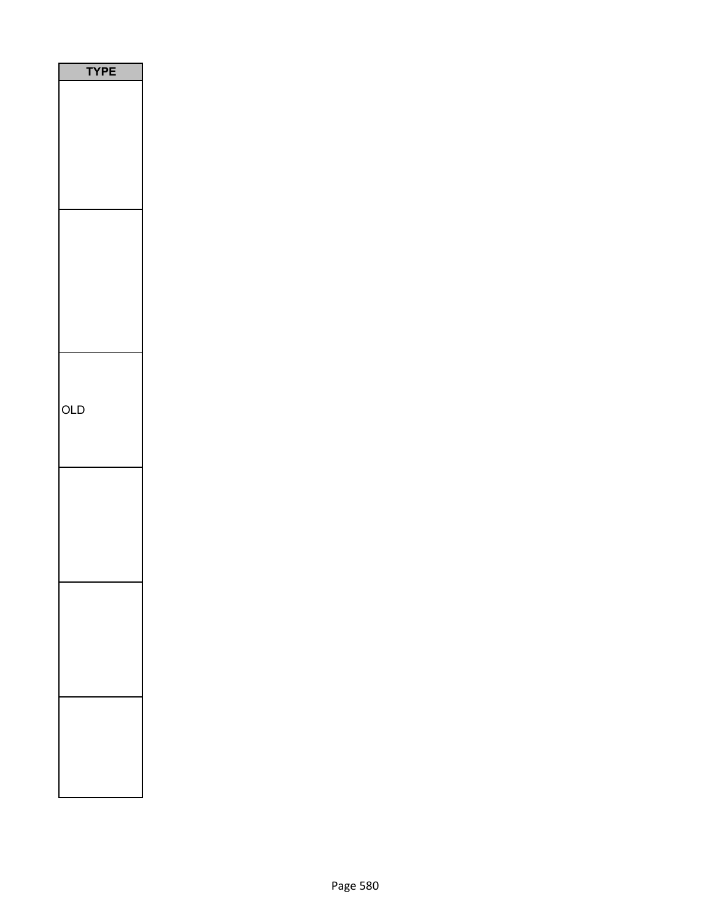| <b>YPE</b><br>ı |
|-----------------|
|                 |
|                 |
|                 |
|                 |
|                 |
|                 |
|                 |
|                 |
|                 |
|                 |
|                 |
|                 |
|                 |
|                 |
|                 |
|                 |
| OLD             |
|                 |
|                 |
|                 |
|                 |
|                 |
|                 |
|                 |
|                 |
|                 |
|                 |
|                 |
|                 |
|                 |
|                 |
|                 |
|                 |
|                 |
|                 |
|                 |
|                 |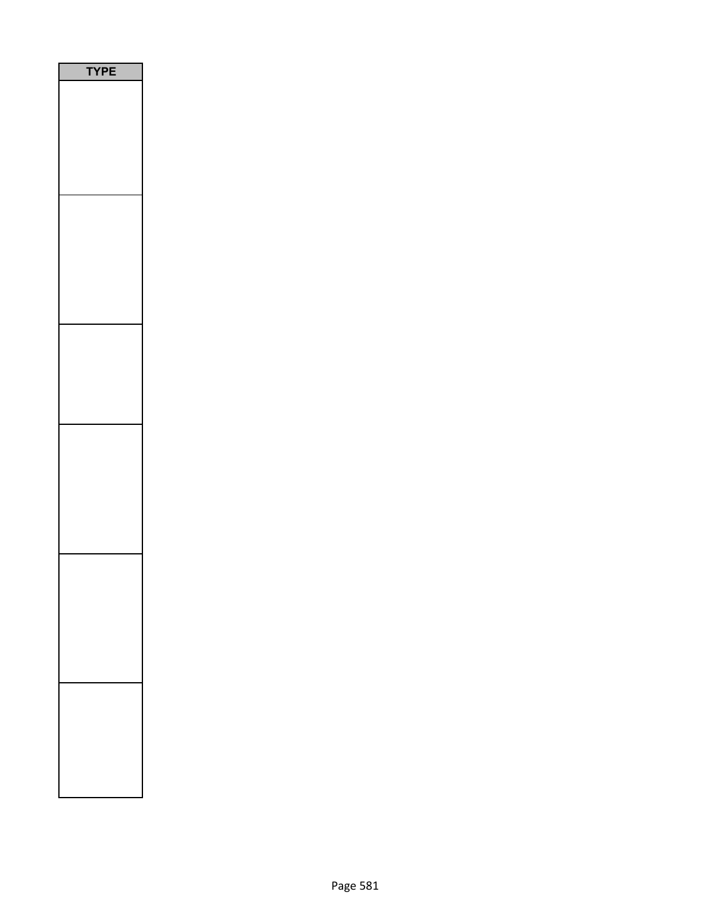| PE<br>٢<br>J |  |
|--------------|--|
|              |  |
|              |  |
|              |  |
|              |  |
|              |  |
|              |  |
|              |  |
|              |  |
|              |  |
|              |  |
|              |  |
|              |  |
|              |  |
|              |  |
|              |  |
|              |  |
|              |  |
|              |  |
|              |  |
|              |  |
|              |  |
|              |  |
|              |  |
|              |  |
|              |  |
|              |  |
|              |  |
|              |  |
|              |  |
|              |  |
|              |  |
|              |  |
|              |  |
|              |  |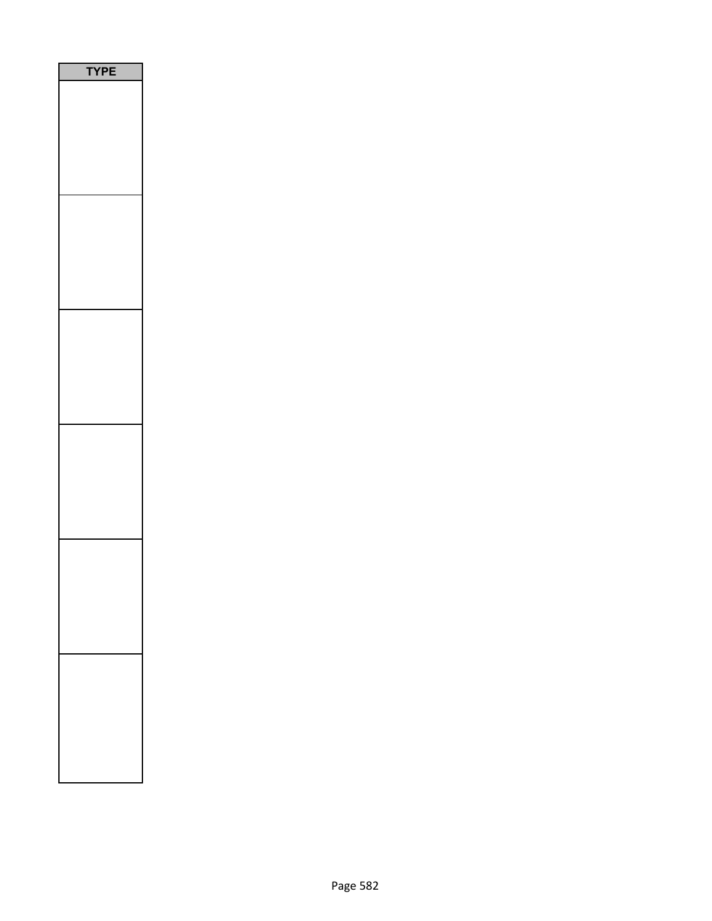| PE<br>$\sqrt{2}$<br>١ |
|-----------------------|
|                       |
|                       |
|                       |
|                       |
|                       |
|                       |
|                       |
|                       |
|                       |
|                       |
|                       |
|                       |
|                       |
|                       |
|                       |
|                       |
|                       |
|                       |
|                       |
|                       |
|                       |
|                       |
|                       |
|                       |
|                       |
|                       |
|                       |
|                       |
|                       |
|                       |
|                       |
|                       |
|                       |
|                       |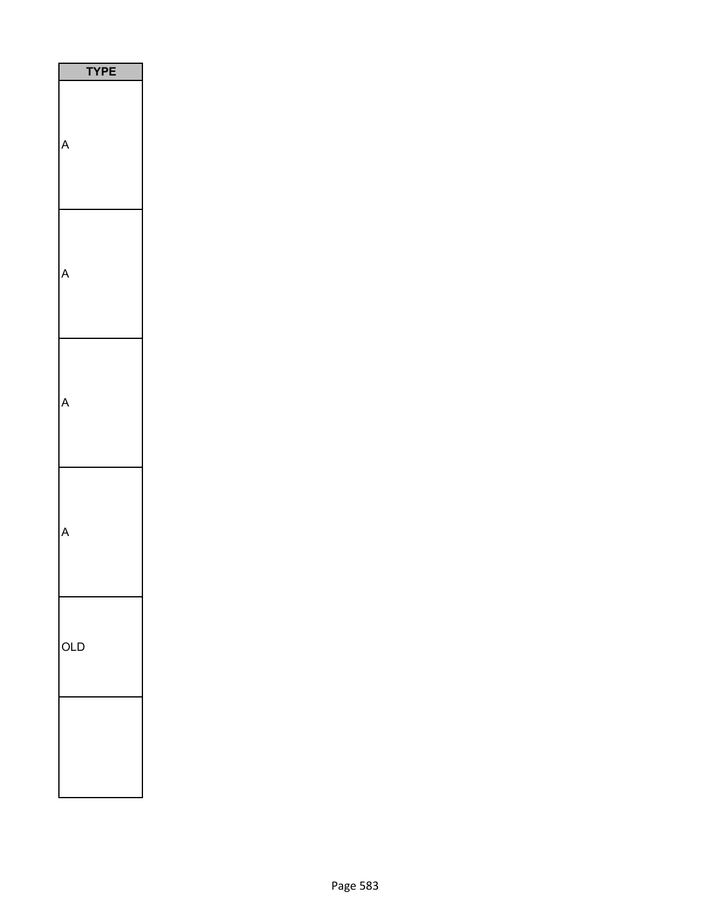| PE<br>Y |
|---------|
|         |
|         |
|         |
|         |
| OLD     |
|         |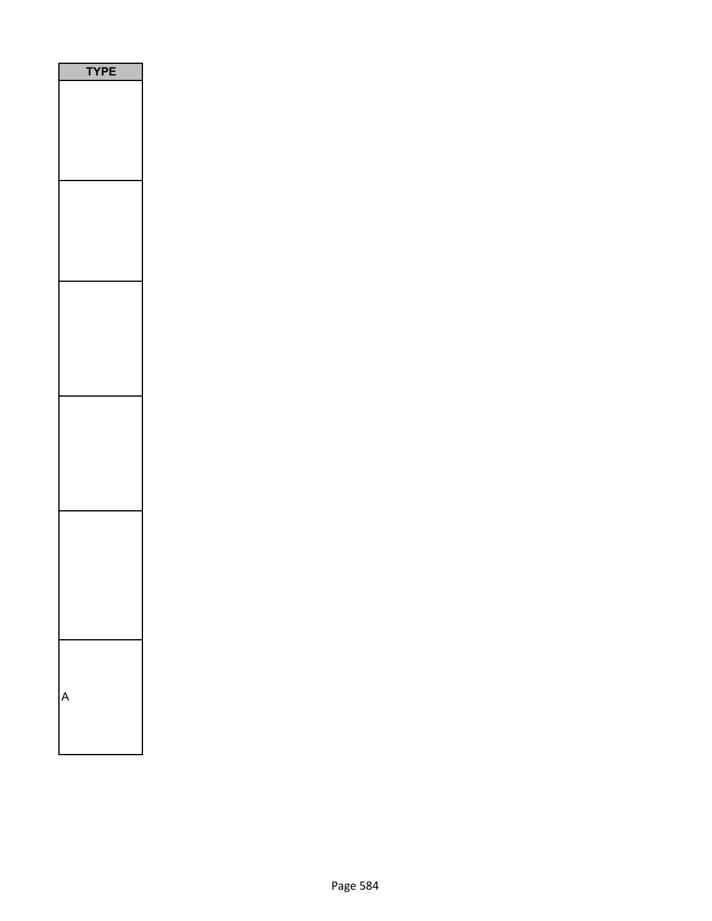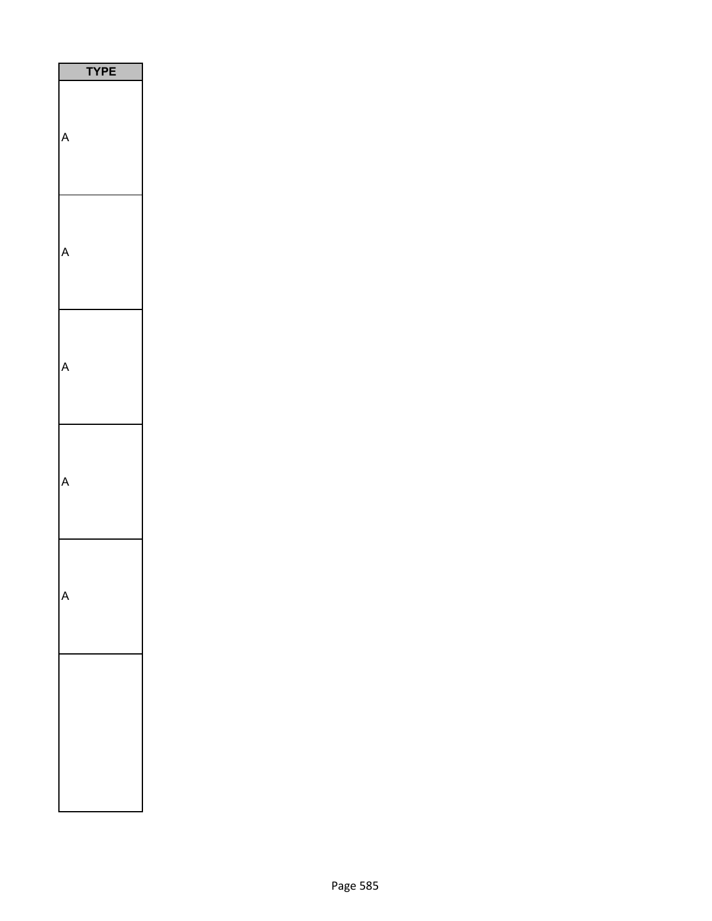| <b>TPE</b> |
|------------|
|            |
|            |
|            |
|            |
|            |
|            |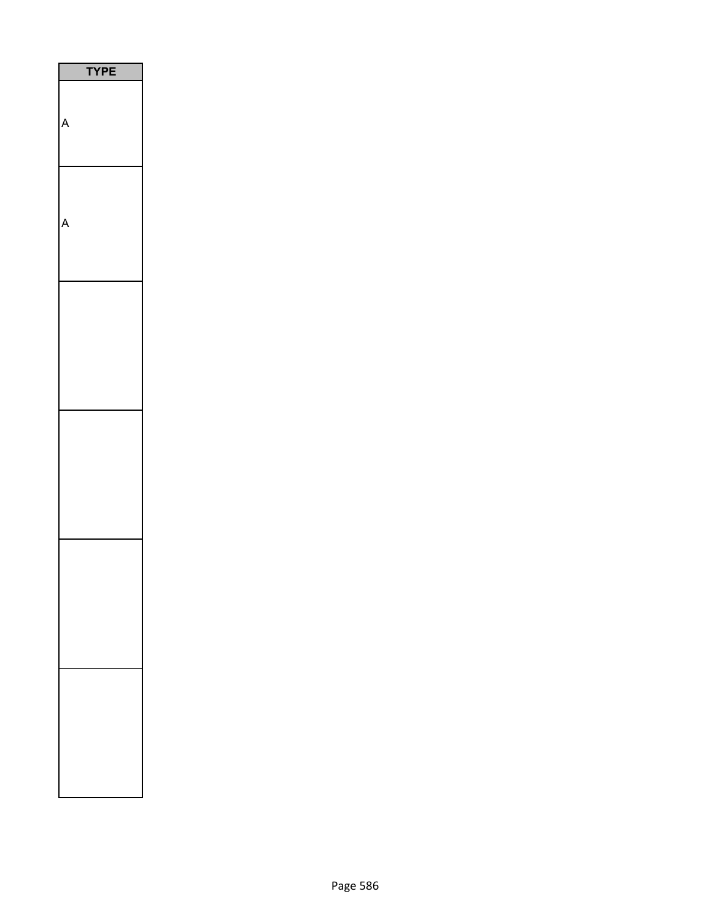| E<br>1<br>ı |
|-------------|
|             |
|             |
|             |
|             |
|             |
|             |
|             |
|             |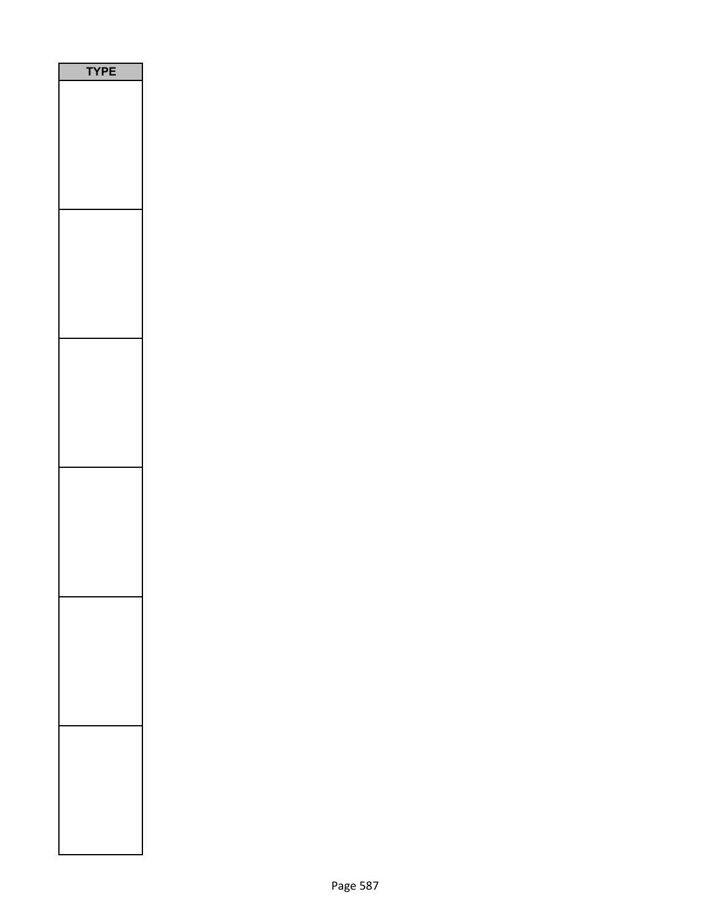| /PE |
|-----|
|     |
|     |
|     |
|     |
|     |
|     |
|     |
|     |
|     |
|     |
|     |
|     |
|     |
|     |
|     |
|     |
|     |
|     |
|     |
|     |
|     |
|     |
|     |
|     |
|     |
|     |
|     |
|     |
|     |
|     |
|     |
|     |
|     |
|     |
|     |
|     |
|     |
|     |
|     |
|     |
|     |
|     |
|     |
|     |
|     |
|     |
|     |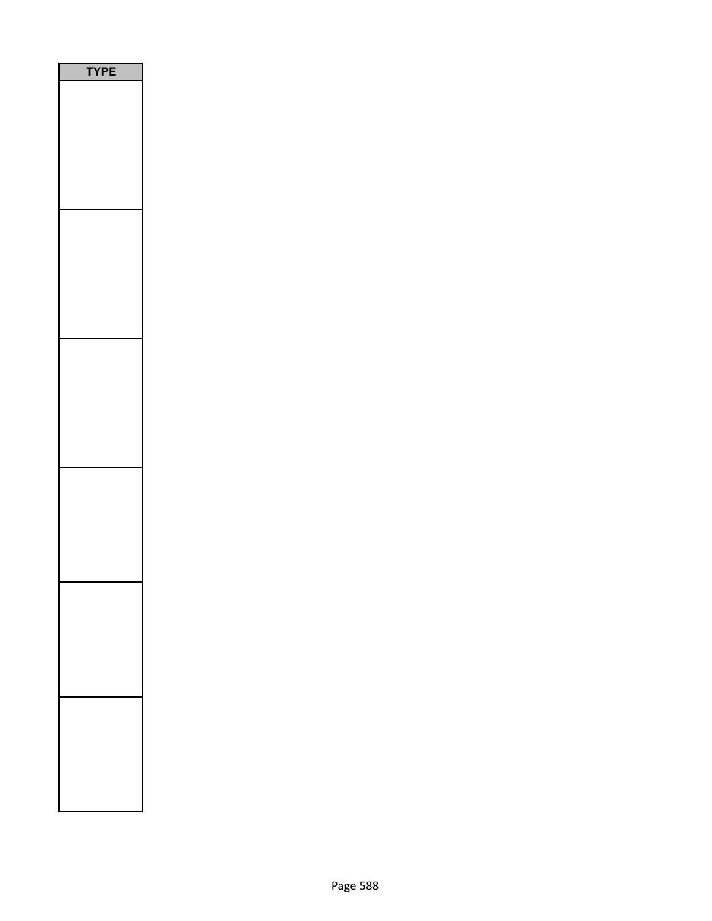| PE<br>Y |
|---------|
|         |
|         |
|         |
|         |
|         |
|         |
|         |
|         |
|         |
|         |
|         |
|         |
|         |
|         |
|         |
|         |
|         |
|         |
|         |
|         |
|         |
|         |
|         |
|         |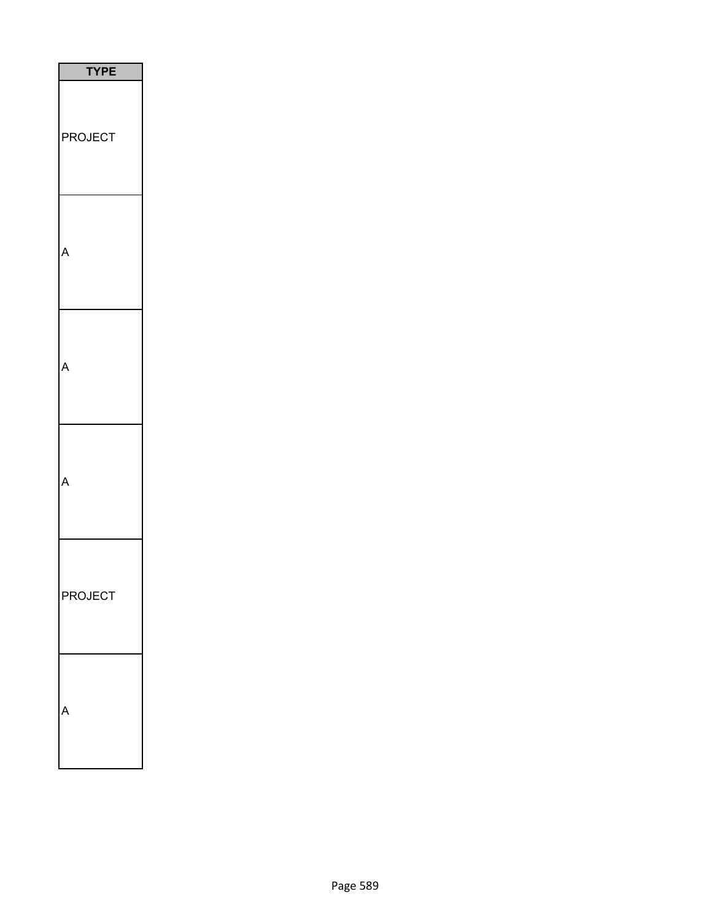| I<br><b>TYPE</b>   |
|--------------------|
| <b>ROJECT</b><br>I |
|                    |
|                    |
|                    |
| PROJECT            |
|                    |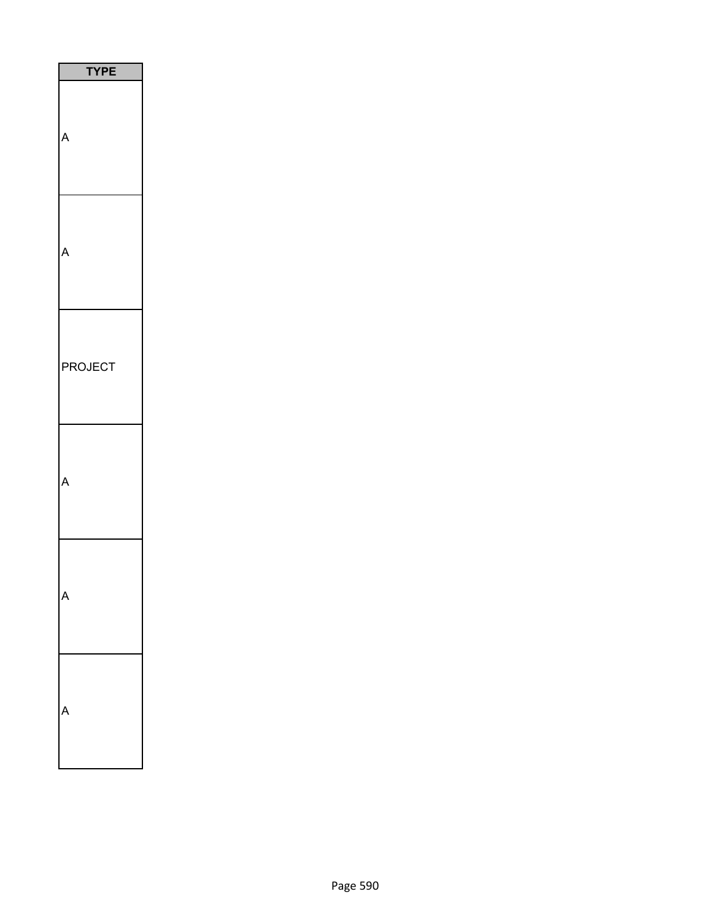|         | <b>TYPE</b> |
|---------|-------------|
|         |             |
|         |             |
| PROJECT |             |
|         |             |
|         |             |
|         |             |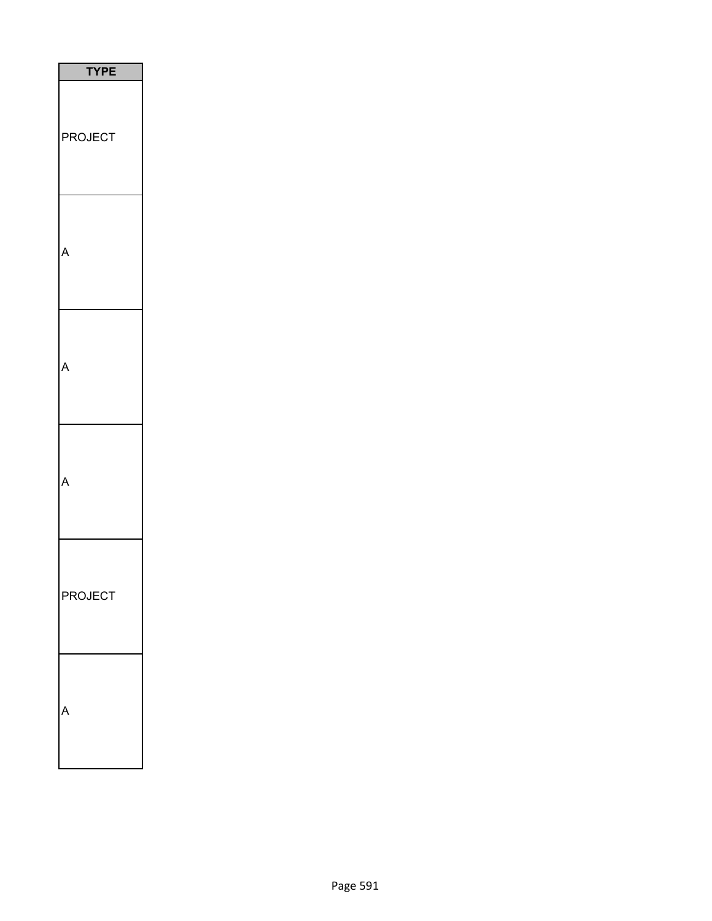| <b>TYPE</b>    |
|----------------|
| <b>PROJECT</b> |
|                |
|                |
|                |
| PROJECT        |
|                |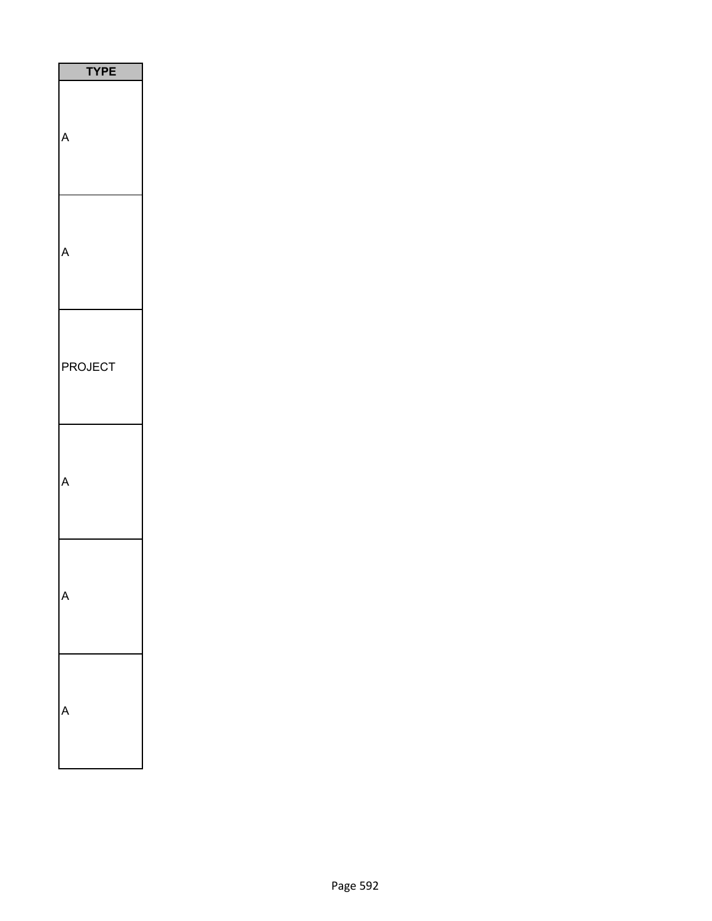|         | <b>TYPE</b> |
|---------|-------------|
|         |             |
|         |             |
| PROJECT |             |
|         |             |
|         |             |
|         |             |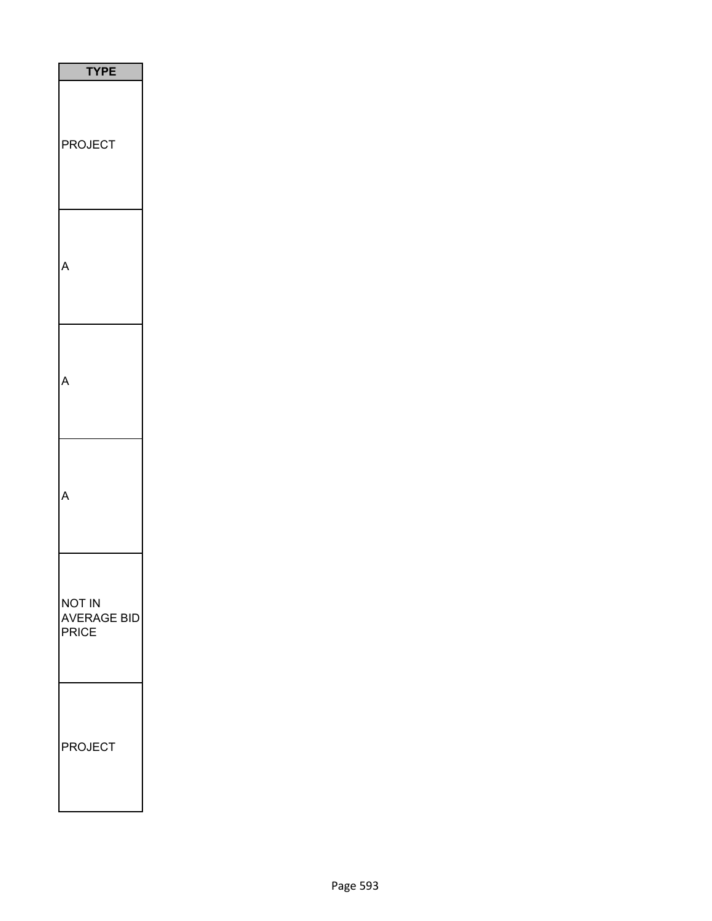| <b>TYPE</b>                           |
|---------------------------------------|
| <b>PROJECT</b><br>F                   |
|                                       |
|                                       |
|                                       |
| <b>NOT IN</b><br>AVERAGE BID<br>PRICE |
| <b>PROJECT</b>                        |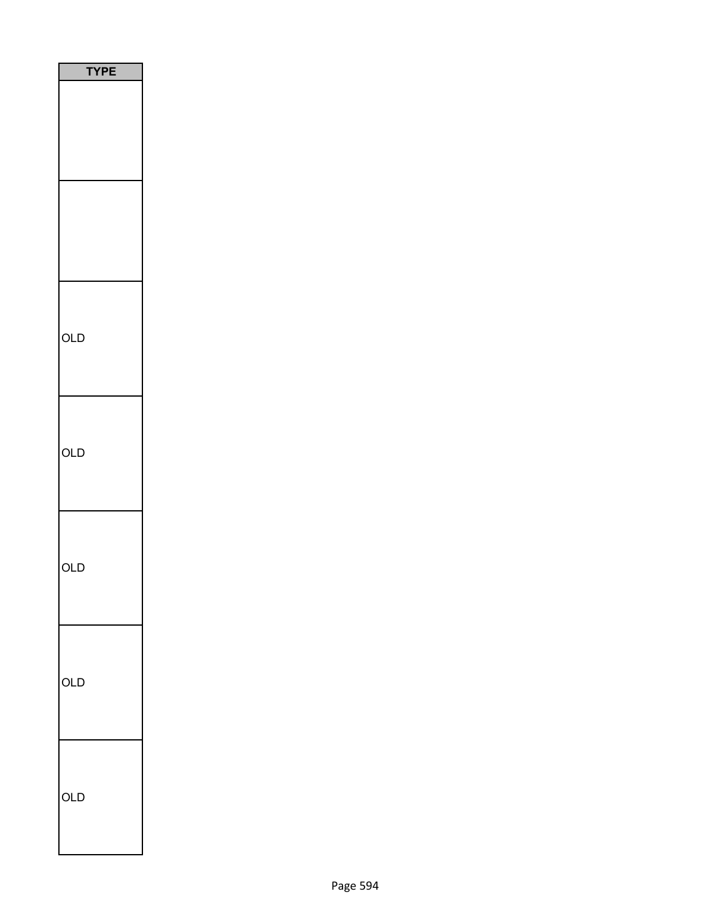| <b>TYPE</b> |
|-------------|
|             |
|             |
| OLD         |
| OLD         |
| OLD         |
| OLD         |
| OLD         |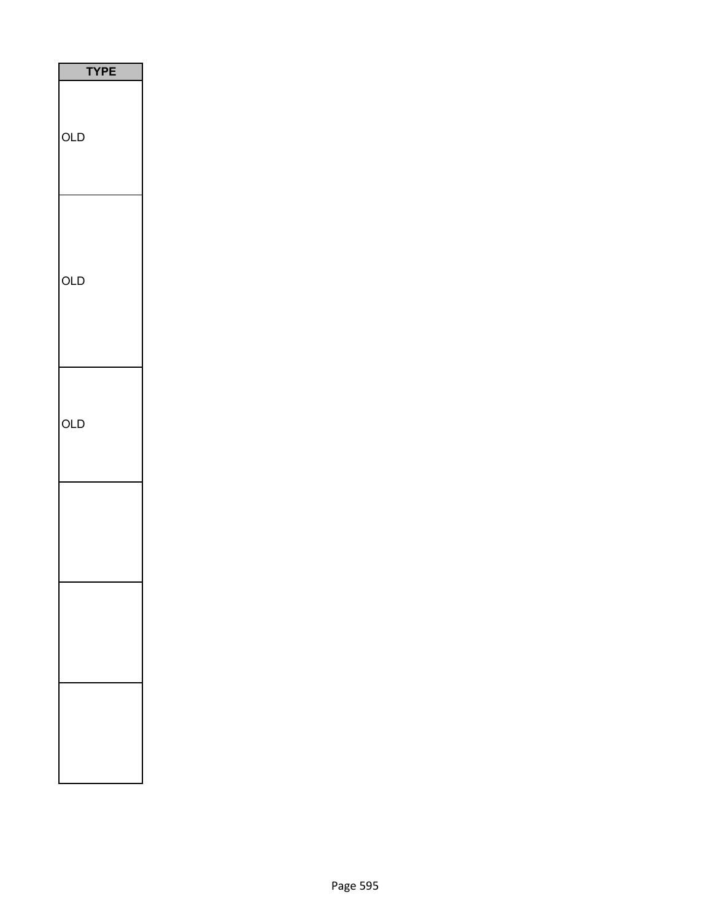| <b>TYPE</b> |
|-------------|
| OLD         |
| OLD         |
| OLD         |
|             |
|             |
|             |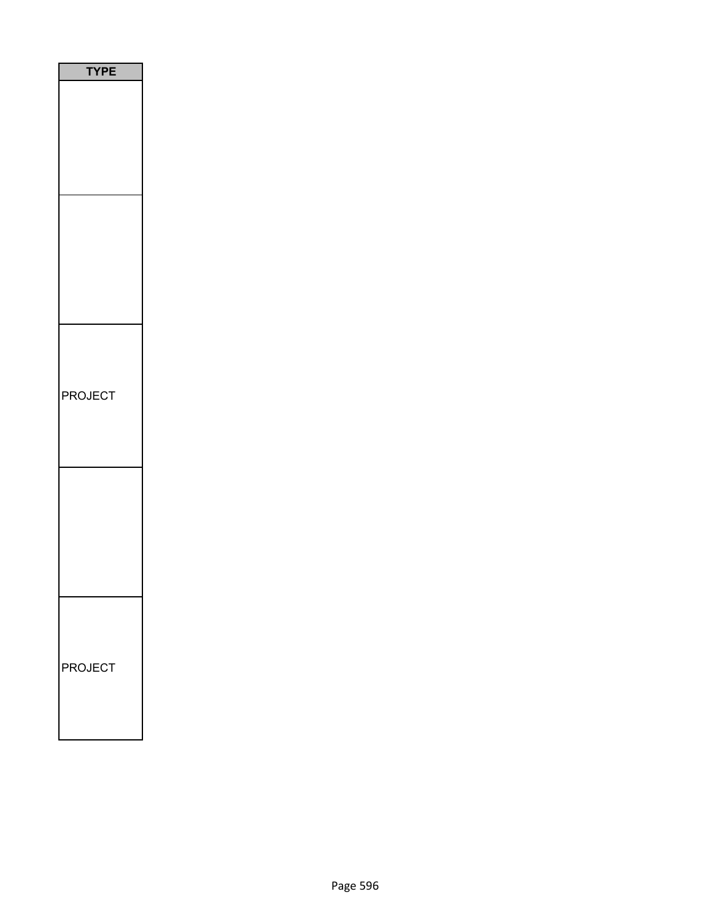| <b>`YPE</b> |
|-------------|
|             |
|             |
| PROJECT     |
|             |
| PROJECT     |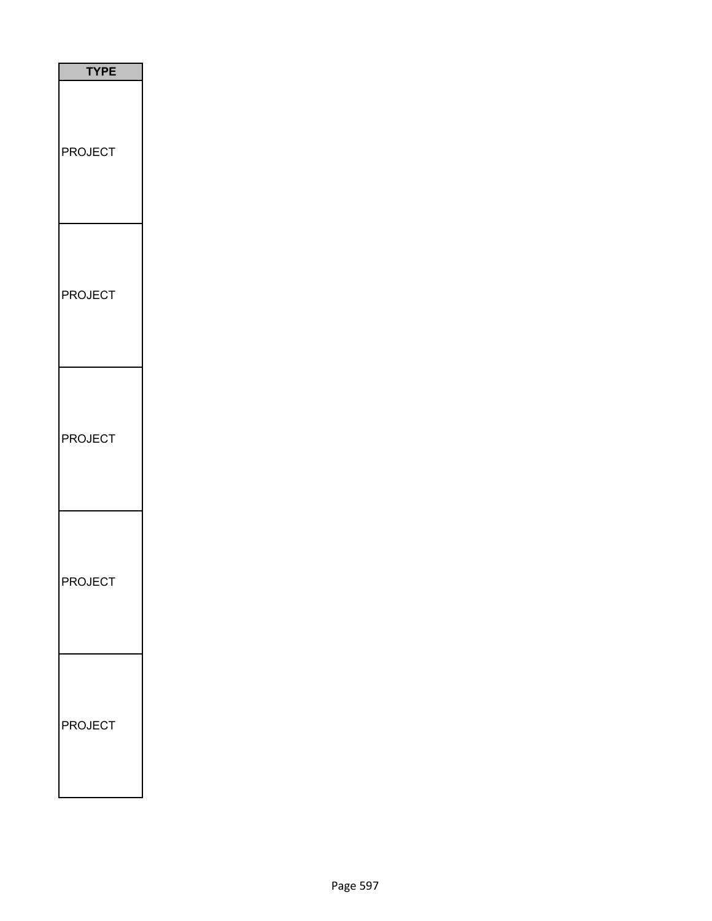| <b>TYPE</b>             |  |
|-------------------------|--|
| <b>PROJECT</b>          |  |
| <b>PROJECT</b>          |  |
| <b>PROJECT</b>          |  |
| $\mathsf{c}$<br>١I<br>∩ |  |
| <b>PROJECT</b>          |  |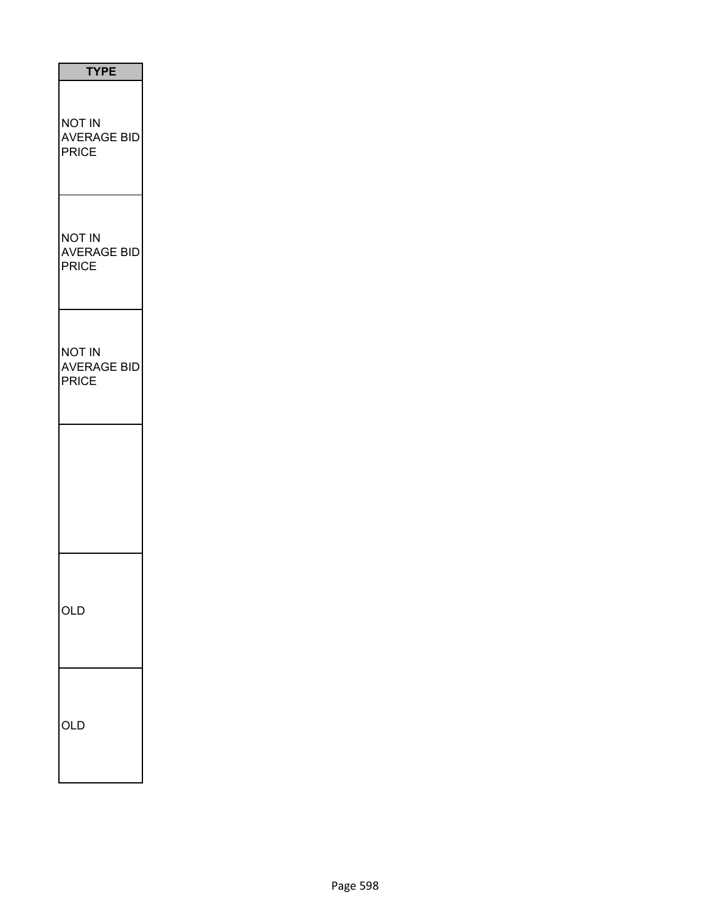| <b>TYPE</b>                                  |
|----------------------------------------------|
| NOT IN<br><b>AVERAGE BID</b><br><b>PRICE</b> |
| NOT IN<br><b>AVERAGE BID</b><br><b>PRICE</b> |
| NOT IN<br><b>AVERAGE BID</b><br><b>PRICE</b> |
|                                              |
| ЖĽ                                           |
| )l [                                         |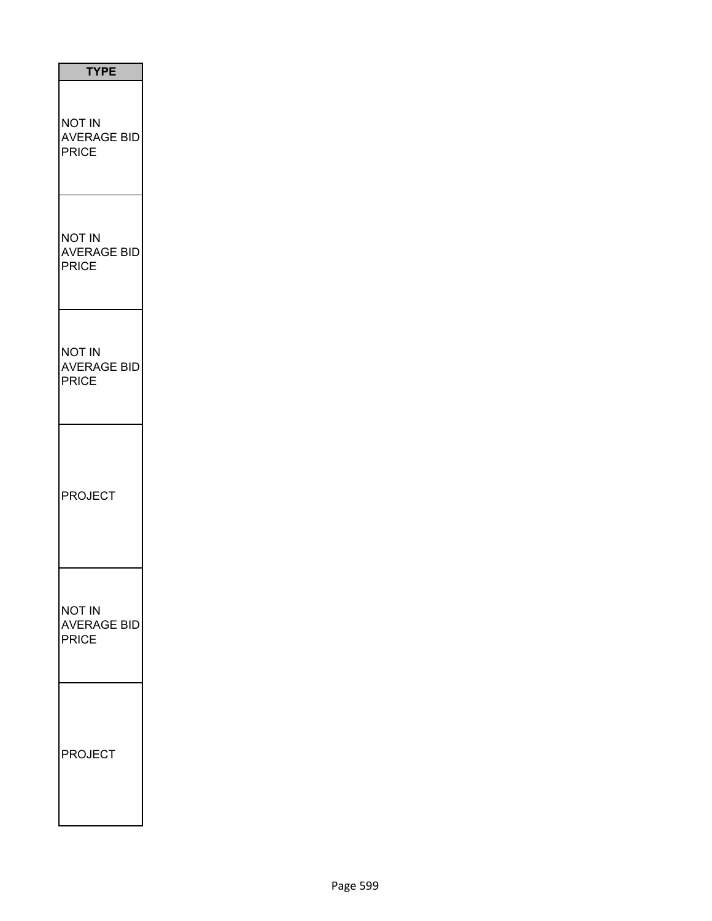| <b>TYPE</b>                                         |
|-----------------------------------------------------|
| <b>NOT IN</b><br><b>AVERAGE BID</b><br><b>PRICE</b> |
| <b>NOT IN</b><br><b>AVERAGE BID</b><br><b>PRICE</b> |
| <b>NOT IN</b><br><b>AVERAGE BID</b><br><b>PRICE</b> |
| <b>PROJECT</b>                                      |
| NOT IN<br>AVERAGE BID<br><b>PRICE</b>               |
| <b>PROJECT</b>                                      |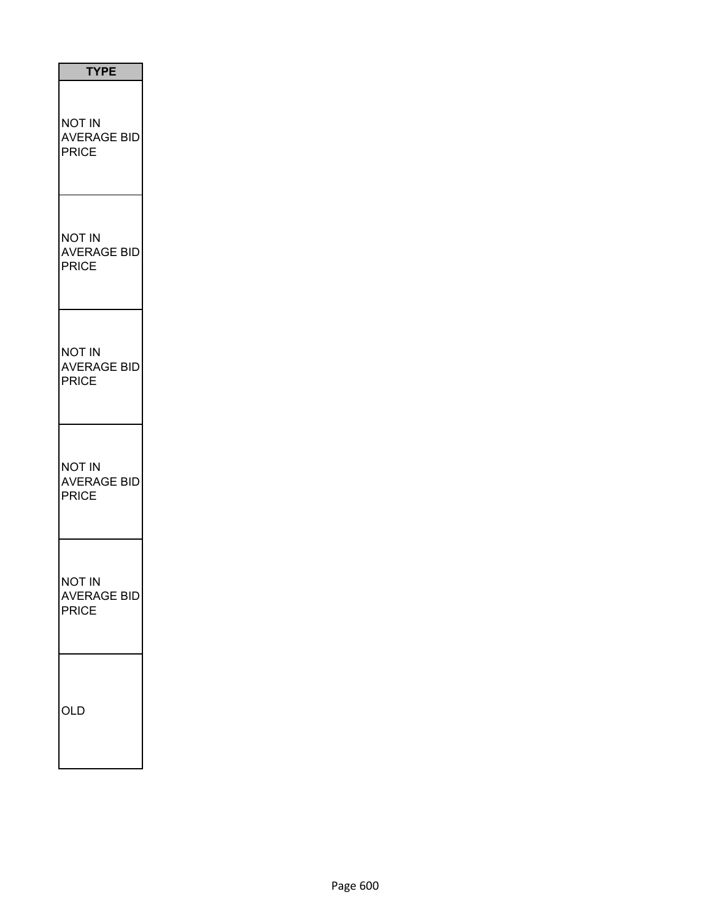| <b>TYPE</b>                                         |
|-----------------------------------------------------|
| NOT IN<br><b>AVERAGE BID</b><br><b>PRICE</b>        |
| NOT IN<br><b>AVERAGE BID</b><br>PRICE               |
| NOT IN<br><b>AVERAGE BID</b><br>PRICE               |
| NOT IN<br><b>AVERAGE BID</b><br>PRICE               |
| <b>NOT IN</b><br><b>AVERAGE BID</b><br><b>PRICE</b> |
| OLD                                                 |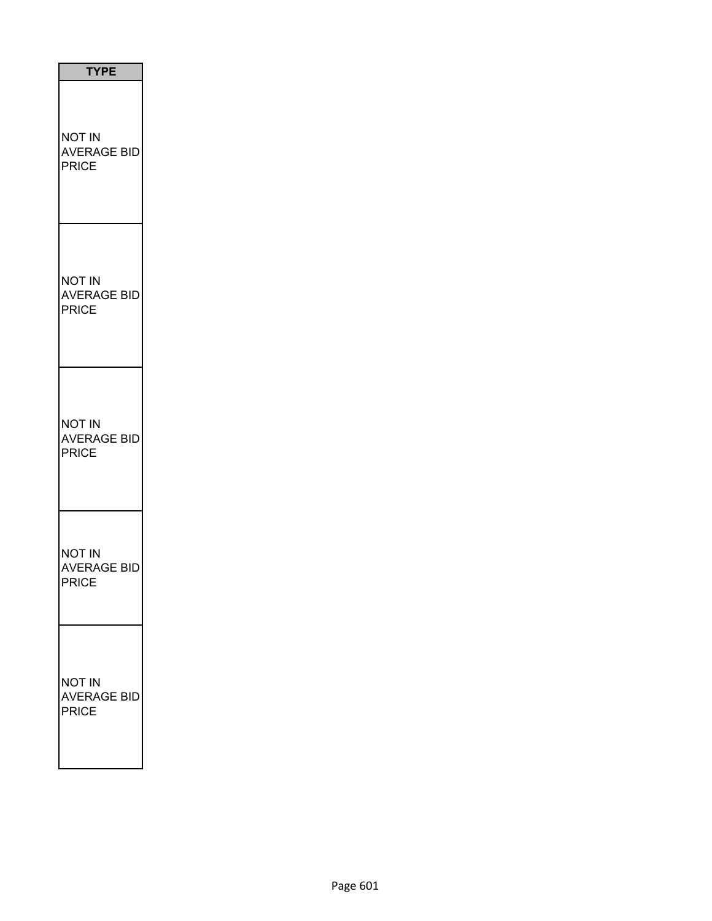| <b>TYPE</b>                                  |  |
|----------------------------------------------|--|
| NOT IN<br><b>AVERAGE BID</b><br><b>PRICE</b> |  |
| NOT IN<br><b>AVERAGE BID</b><br><b>PRICE</b> |  |
| NOT IN<br><b>AVERAGE BID</b><br><b>PRICE</b> |  |
| NOT IN<br><b>AVERAGE BID</b><br>PRICE        |  |
| NOT IN<br><b>AVERAGE BID</b><br><b>PRICE</b> |  |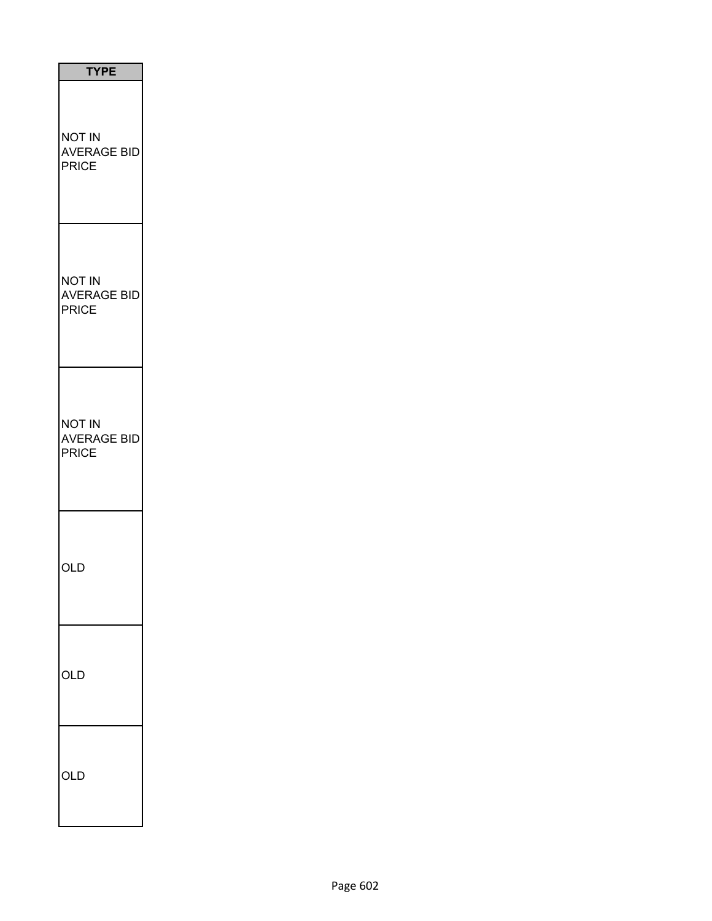| <b>TYPE</b>                                         |  |
|-----------------------------------------------------|--|
| NOT IN<br><b>AVERAGE BID</b><br><b>PRICE</b>        |  |
| <b>NOT IN</b><br><b>AVERAGE BID</b><br><b>PRICE</b> |  |
| <b>NOT IN</b><br><b>AVERAGE BID</b><br>PRICE        |  |
| OLD                                                 |  |
| OLD                                                 |  |
| OLD                                                 |  |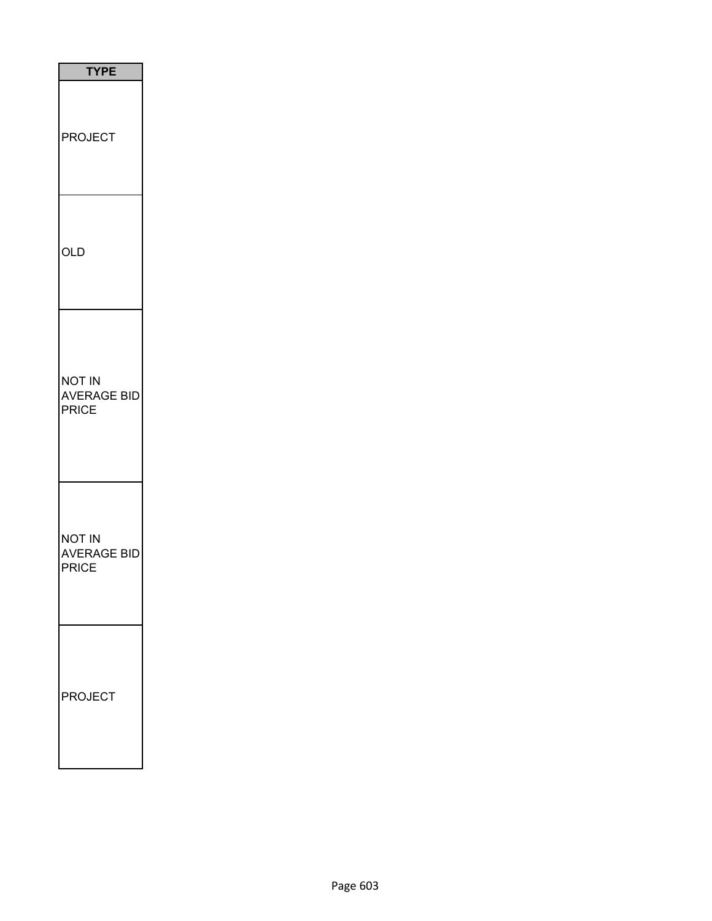| <b>TYPE</b>                                  |
|----------------------------------------------|
| <b>PROJECT</b>                               |
| OLD                                          |
| <b>NOT IN</b><br><b>AVERAGE BID</b><br>PRICE |
| NOT IN<br><b>AVERAGE BID</b><br><b>PRICE</b> |
| <b>ROJECT</b>                                |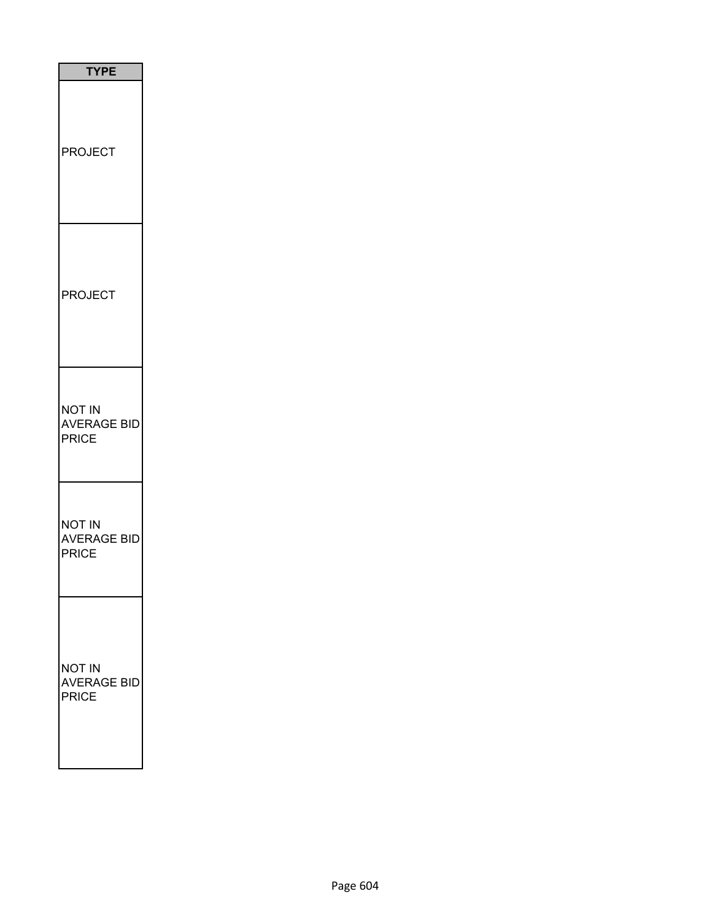| <b>TYPE</b>                                         |  |
|-----------------------------------------------------|--|
| <b>PROJECT</b>                                      |  |
| <b>PROJECT</b>                                      |  |
| <b>NOT IN</b><br><b>AVERAGE BID</b><br><b>PRICE</b> |  |
| <b>NOT IN</b><br><b>AVERAGE BID</b><br><b>PRICE</b> |  |
| <b>NOT IN</b><br><b>AVERAGE BID</b><br><b>PRICE</b> |  |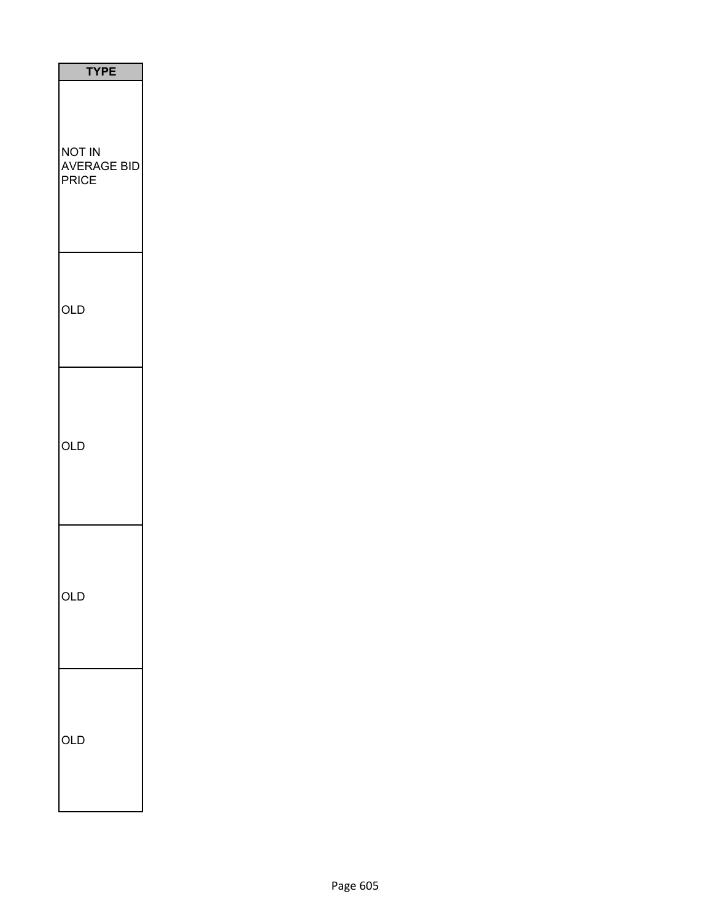| <b>TYPE</b>                           |
|---------------------------------------|
| <b>NOT IN</b><br>AVERAGE BID<br>PRICE |
| OLD                                   |
| OLD                                   |
| OLD                                   |
| OLD                                   |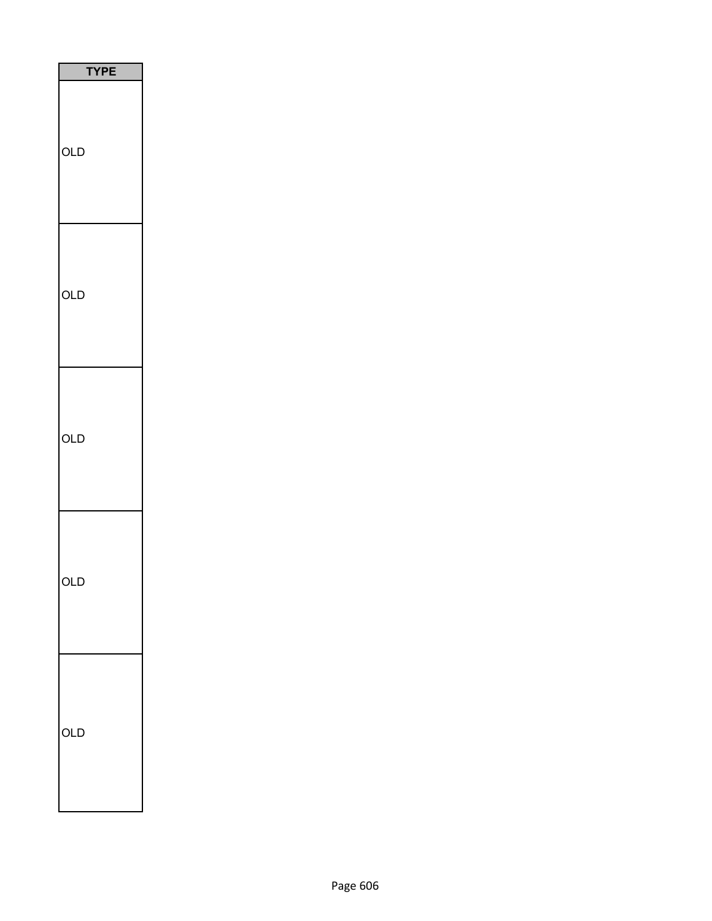| <b>TYPE</b> |  |
|-------------|--|
| OLD         |  |
| OLD         |  |
| OLD         |  |
| Ő<br>J      |  |
| OLD         |  |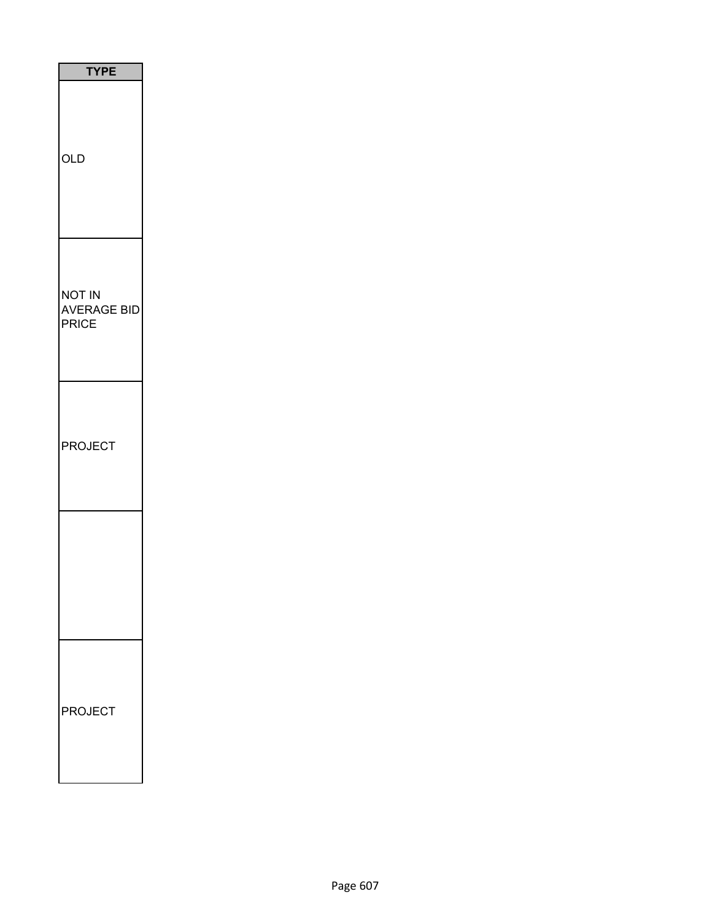| <b>TYPE</b>                                  |
|----------------------------------------------|
| <b>OLD</b>                                   |
| NOT IN<br><b>AVERAGE BID</b><br><b>PRICE</b> |
| <b>PROJECT</b>                               |
|                                              |
| <b>PROJECT</b>                               |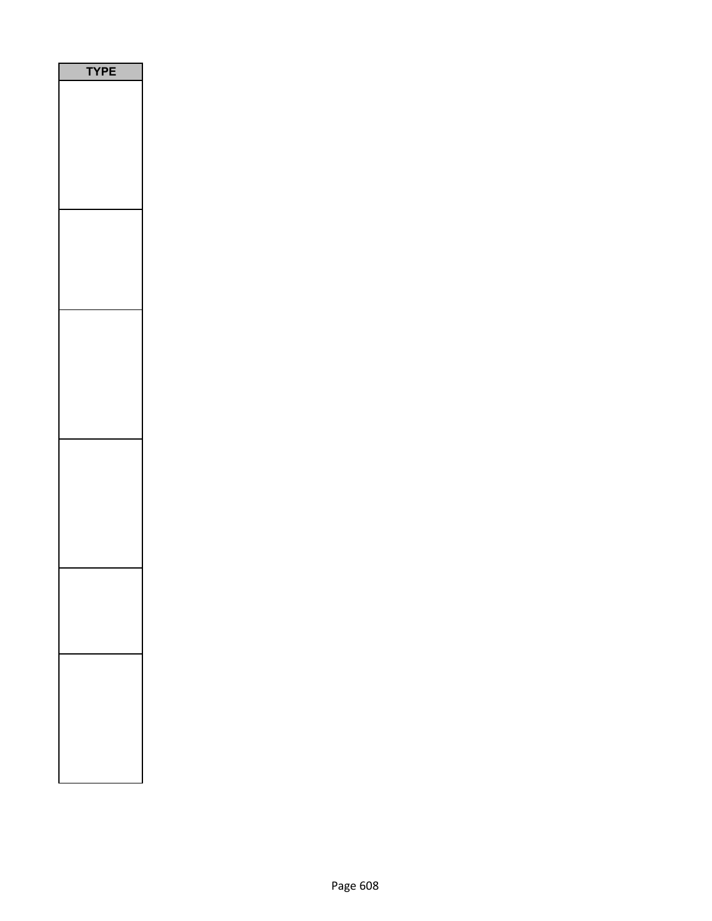| P<br>Ε<br>$\sqrt{2}$<br>٦ |  |
|---------------------------|--|
|                           |  |
|                           |  |
|                           |  |
|                           |  |
|                           |  |
|                           |  |
|                           |  |
|                           |  |
|                           |  |
|                           |  |
|                           |  |
|                           |  |
|                           |  |
|                           |  |
|                           |  |
|                           |  |
|                           |  |
|                           |  |
|                           |  |
|                           |  |
|                           |  |
|                           |  |
|                           |  |
|                           |  |
|                           |  |
|                           |  |
|                           |  |
|                           |  |
|                           |  |
|                           |  |
|                           |  |
|                           |  |
|                           |  |
|                           |  |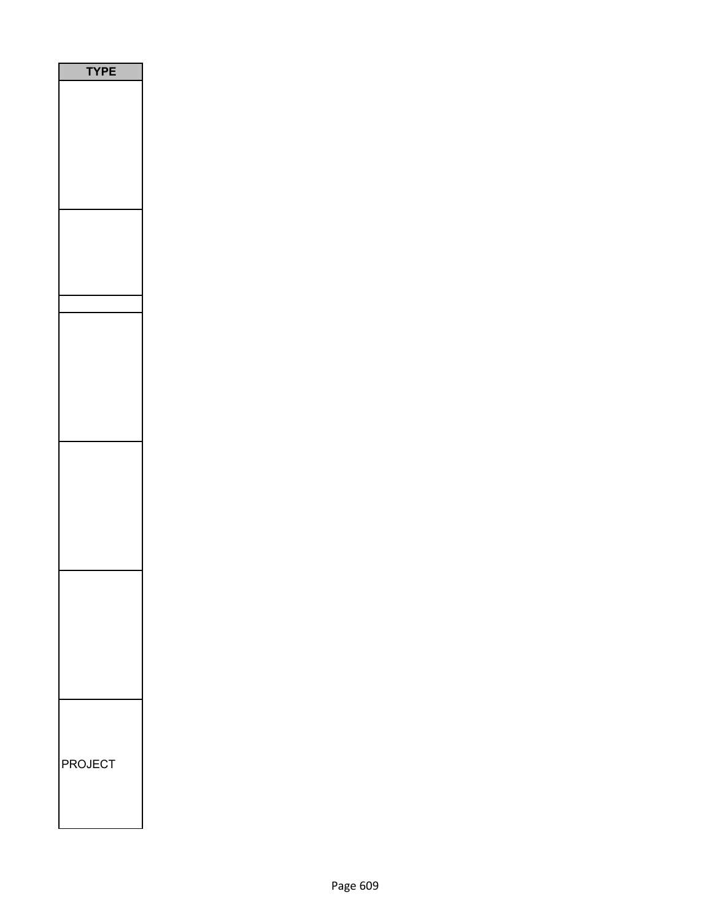| <b>/PE</b><br>٦ |
|-----------------|
|                 |
|                 |
|                 |
|                 |
|                 |
|                 |
| <b>PROJECT</b>  |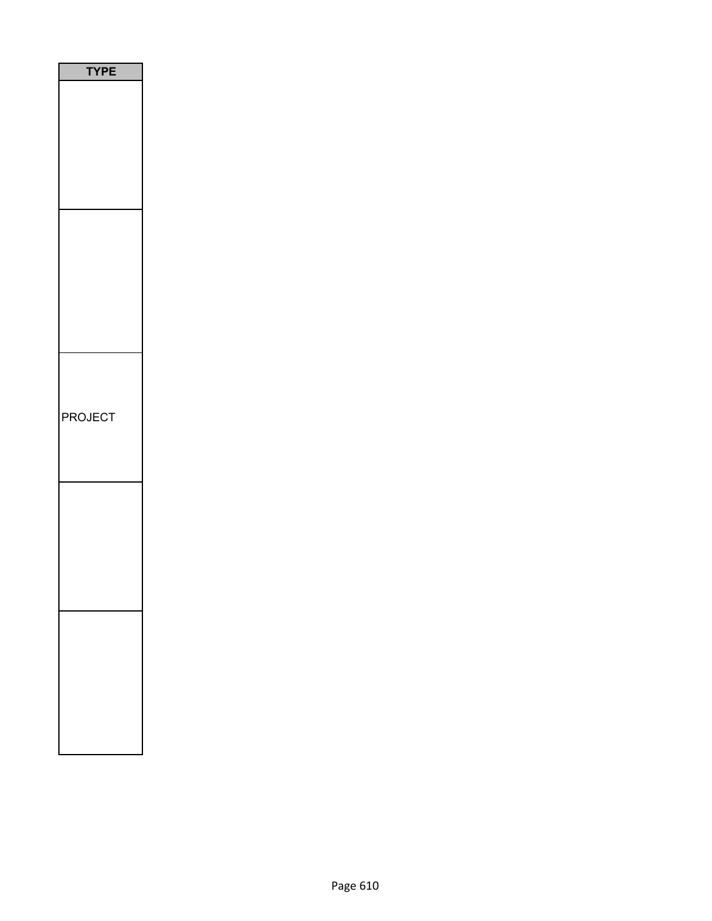| <b>TYPE</b> |
|-------------|
|             |
|             |
|             |
|             |
|             |
|             |
|             |
|             |
|             |
|             |
|             |
|             |
|             |
|             |
|             |
|             |
| PROJECT     |
|             |
|             |
|             |
|             |
|             |
|             |
|             |
|             |
|             |
|             |
|             |
|             |
|             |
|             |
|             |
|             |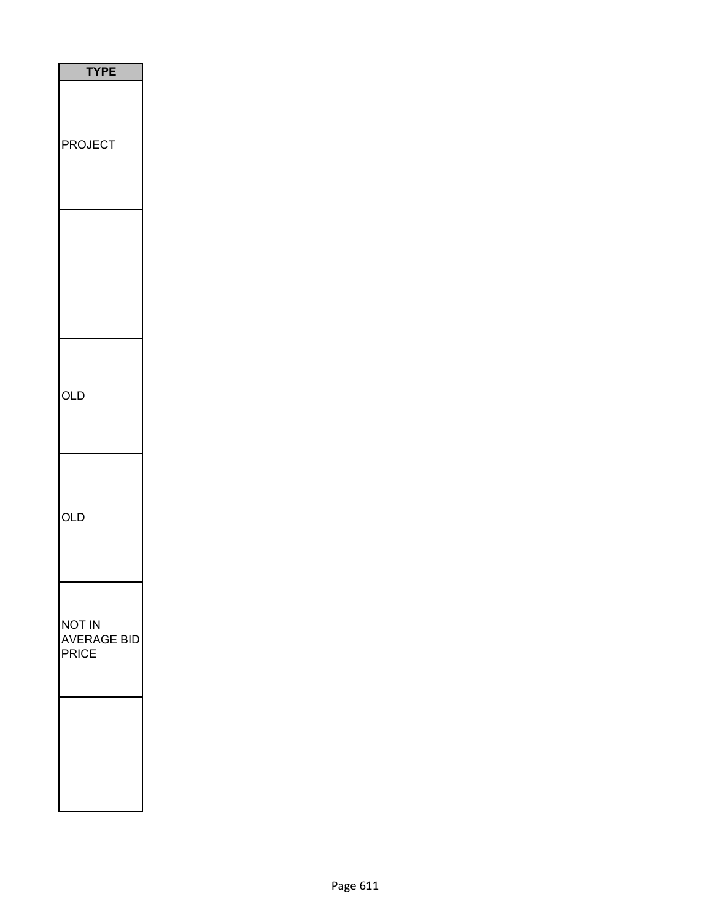| <b>TYPE</b>                           |
|---------------------------------------|
| <b>PROJECT</b>                        |
|                                       |
| OLD                                   |
| OLD                                   |
| NOT IN<br>AVERAGE BID<br><b>PRICE</b> |
|                                       |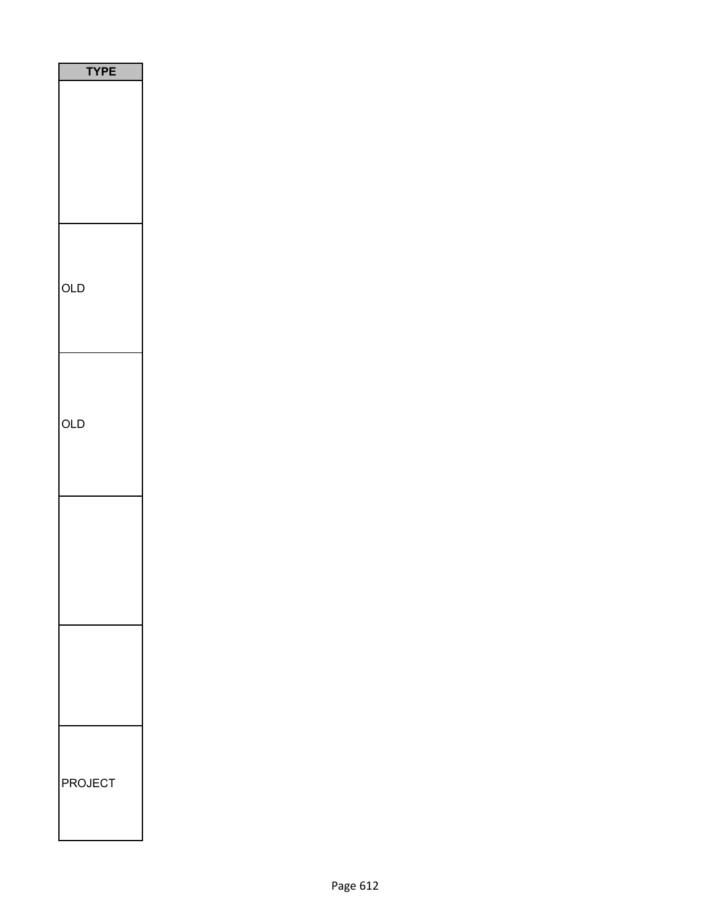| <b>TYPE</b>    |  |
|----------------|--|
|                |  |
|                |  |
|                |  |
|                |  |
|                |  |
|                |  |
| OLD            |  |
|                |  |
|                |  |
|                |  |
| <b>OLD</b>     |  |
|                |  |
|                |  |
|                |  |
|                |  |
|                |  |
|                |  |
|                |  |
|                |  |
|                |  |
|                |  |
| <b>PROJECT</b> |  |
|                |  |
|                |  |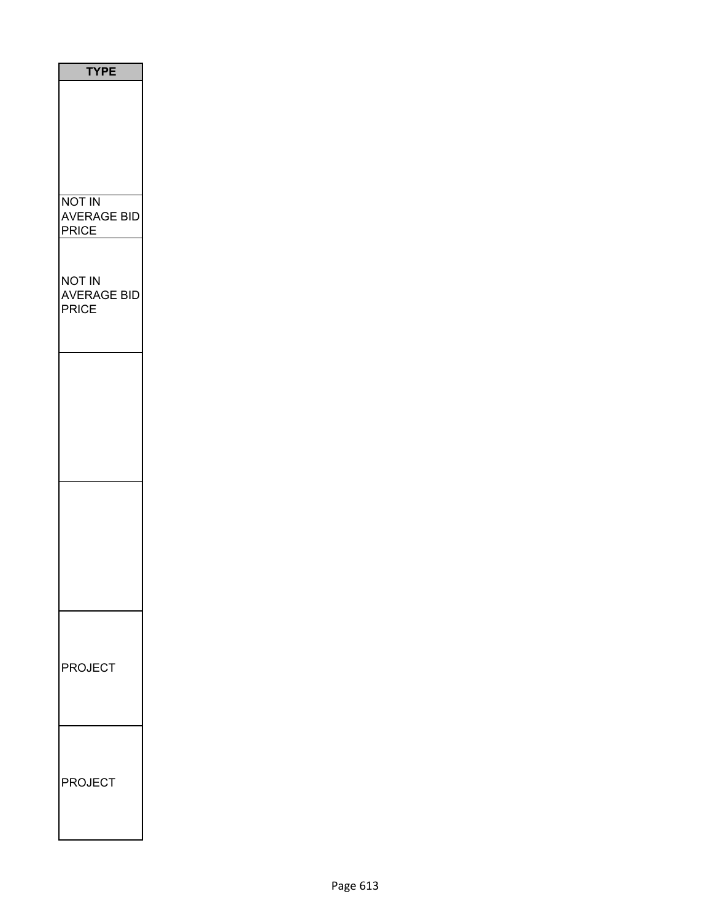| <b>TYPE</b>                                         |
|-----------------------------------------------------|
|                                                     |
| <b>NOT IN</b><br><b>AVERAGE BID</b><br><b>PRICE</b> |
| NOT IN<br><b>AVERAGE BID</b><br><b>PRICE</b>        |
|                                                     |
|                                                     |
|                                                     |
| <b>PROJECT</b>                                      |
| <b>PROJECT</b>                                      |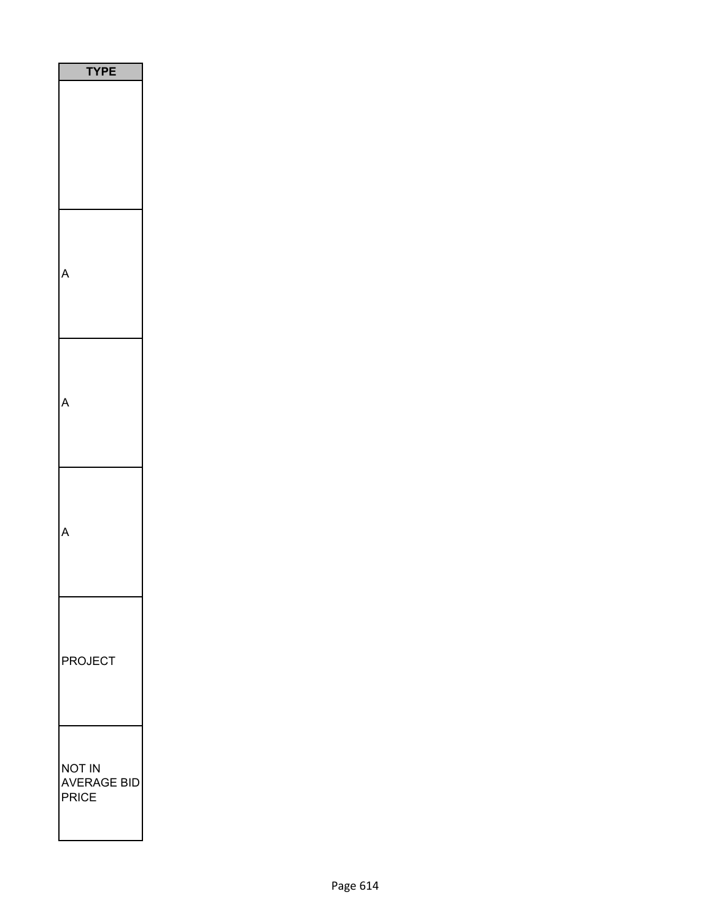| E<br>PI                               |
|---------------------------------------|
|                                       |
|                                       |
|                                       |
|                                       |
| <b>PROJECT</b>                        |
| NOT IN<br><b>AVERAGE BID</b><br>PRICE |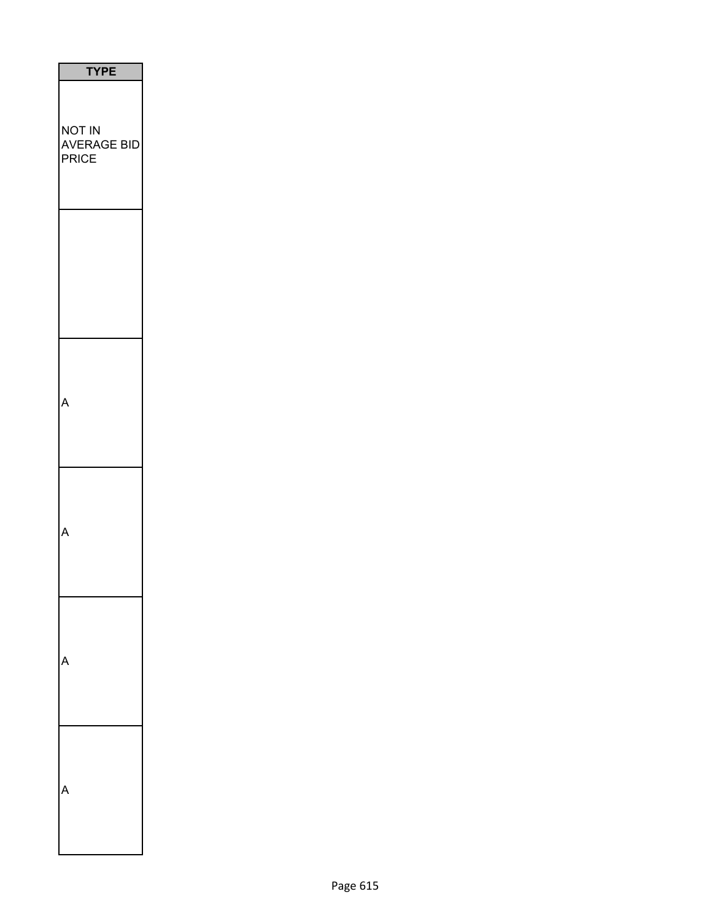| <b>TYPE</b>                    |
|--------------------------------|
| NOT IN<br>AVERAGE BID<br>PRICE |
|                                |
| Δ                              |
|                                |
|                                |
|                                |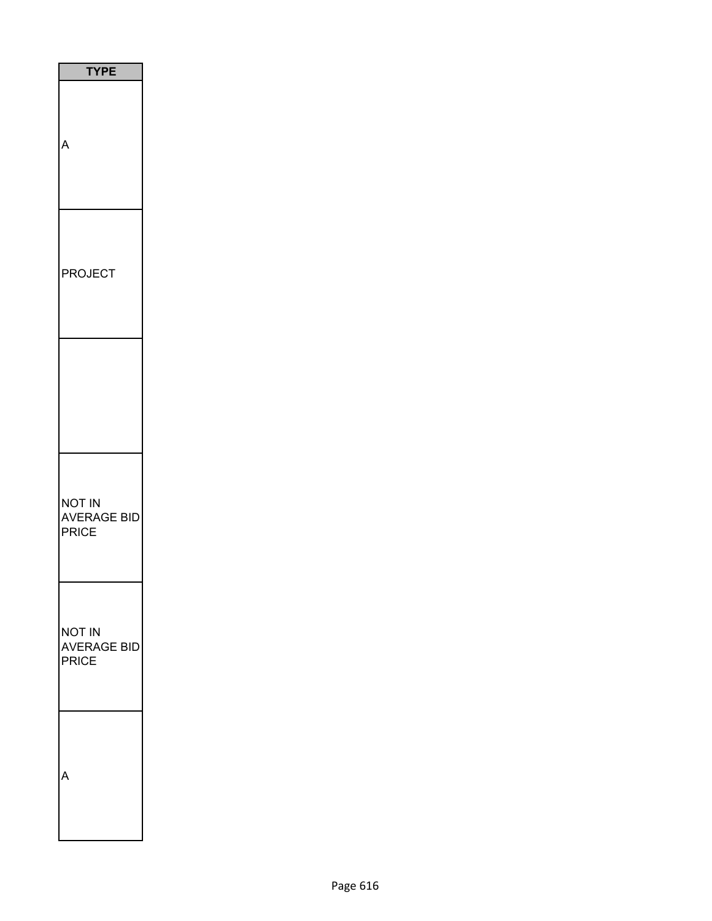| <b>TYPE</b>                           |
|---------------------------------------|
|                                       |
| <b>PROJECT</b>                        |
|                                       |
| NOT IN<br>AVERAGE BID<br>PRICE        |
| NOT IN<br><b>AVERAGE BID</b><br>PRICE |
|                                       |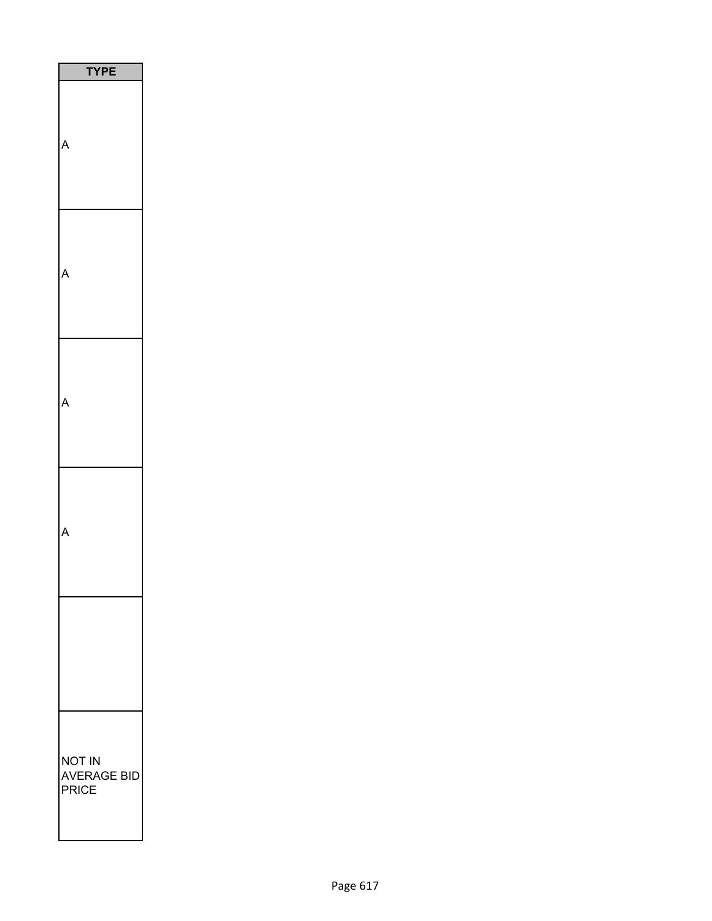| ᠈                              |
|--------------------------------|
|                                |
|                                |
|                                |
|                                |
|                                |
| NOT IN<br>AVERAGE BID<br>PRICE |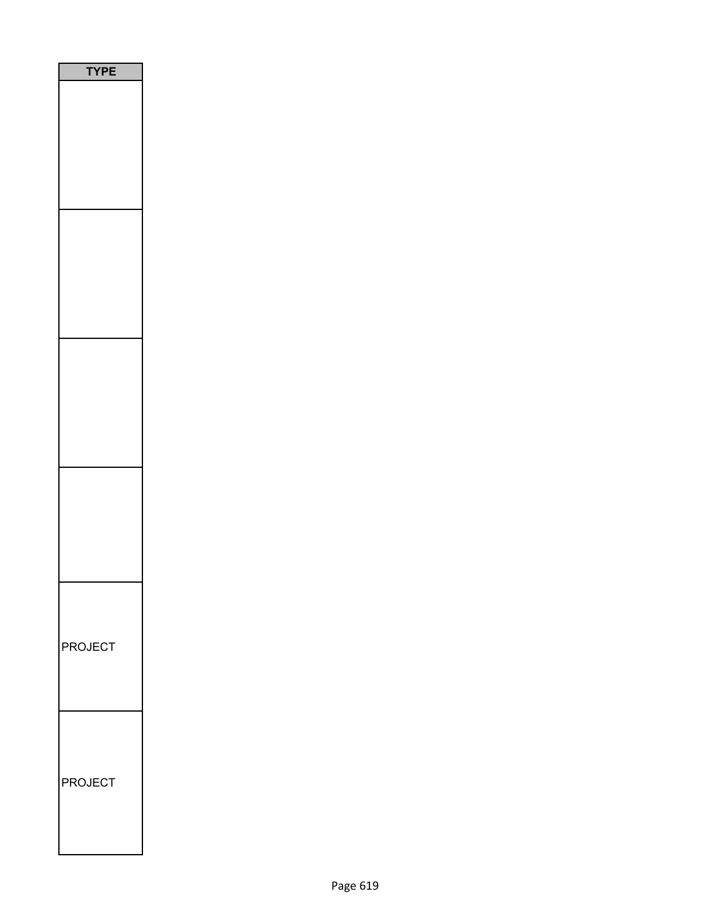| F              |
|----------------|
|                |
|                |
|                |
|                |
| <b>PROJECT</b> |
| <b>PROJECT</b> |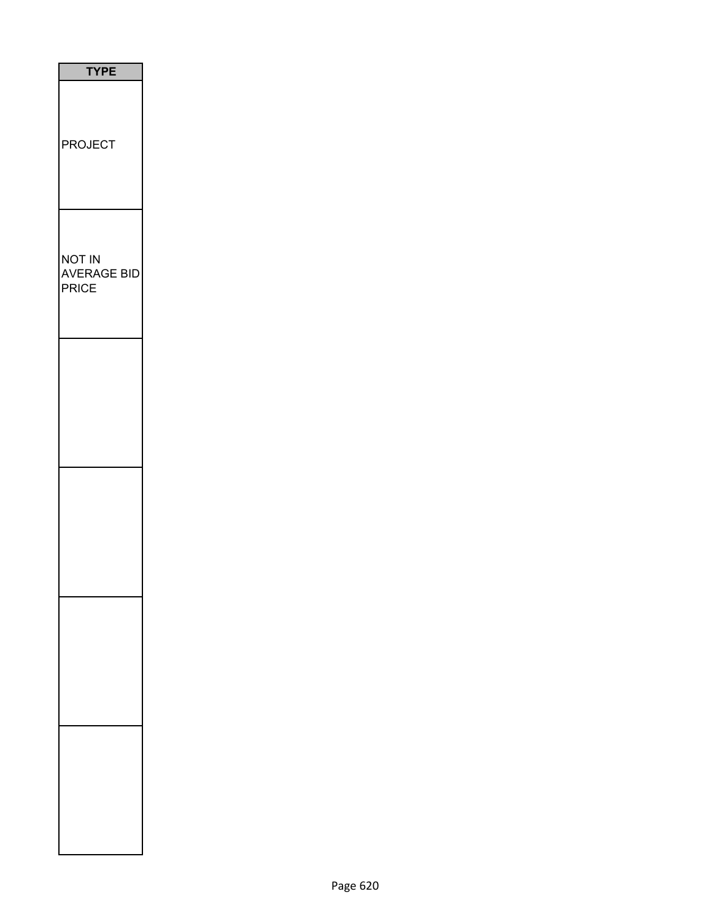| <b>TYPE</b>                                         |
|-----------------------------------------------------|
| <b>PROJECT</b>                                      |
| <b>NOT IN</b><br><b>AVERAGE BID</b><br><b>PRICE</b> |
|                                                     |
|                                                     |
|                                                     |
|                                                     |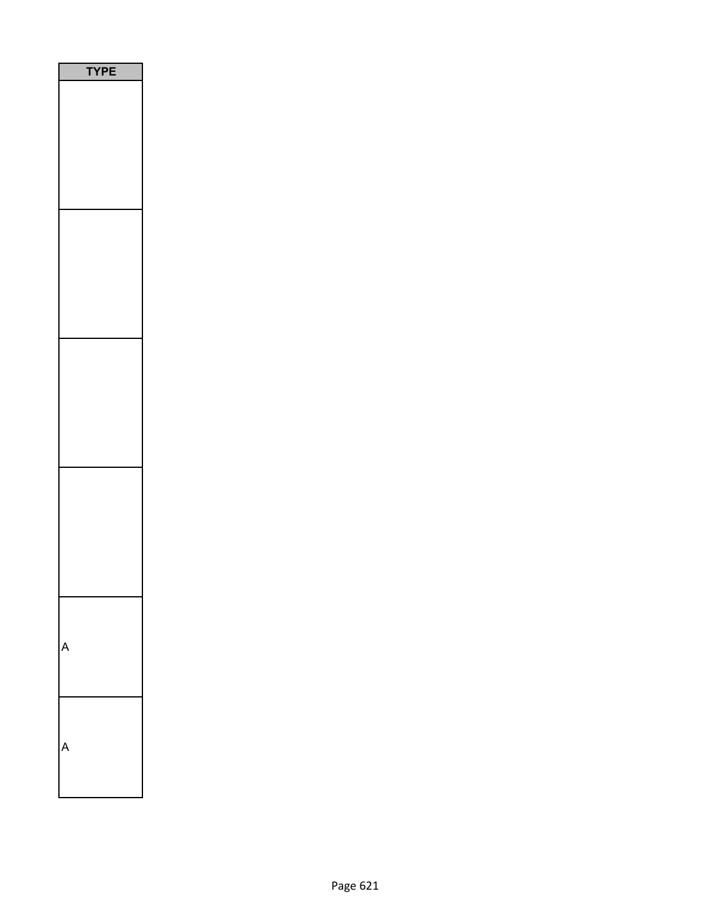|  | <b>TYPE</b> |  |  |
|--|-------------|--|--|
|  |             |  |  |
|  |             |  |  |
|  |             |  |  |
|  |             |  |  |
|  |             |  |  |
|  |             |  |  |
|  |             |  |  |
|  |             |  |  |
|  |             |  |  |
|  |             |  |  |
|  |             |  |  |
|  |             |  |  |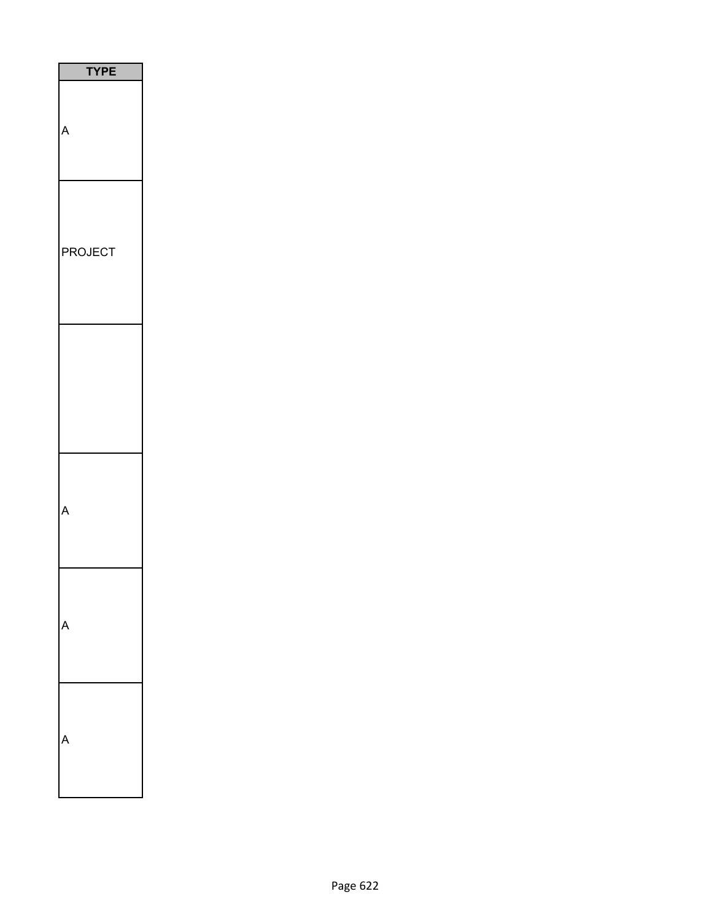| <b>TYPE</b>    |
|----------------|
|                |
| <b>PROJECT</b> |
|                |
|                |
|                |
|                |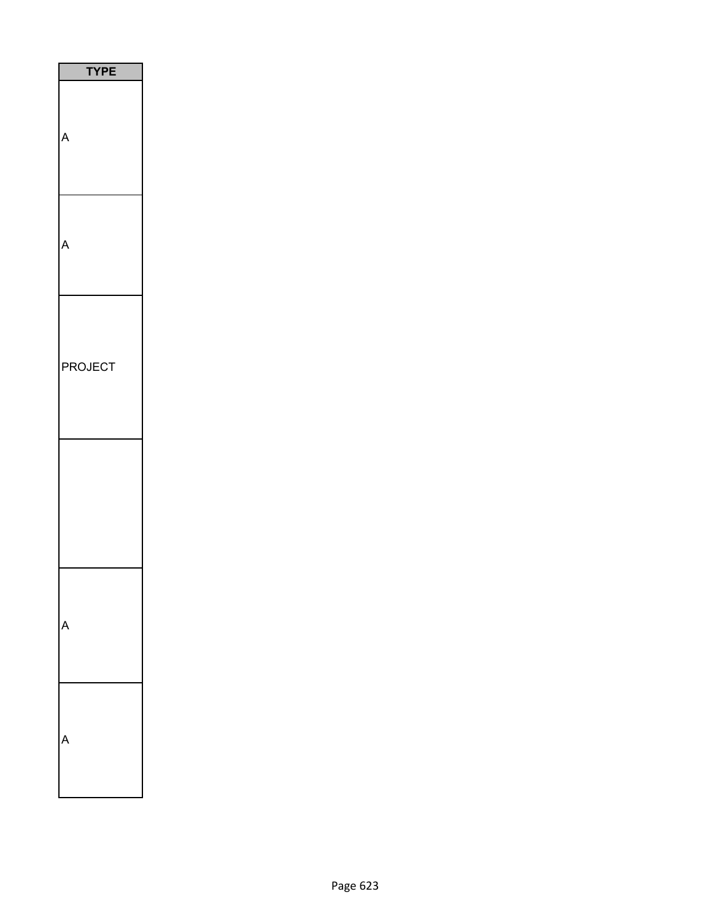| <b>TYPE</b> |
|-------------|
| p           |
|             |
| PROJECT     |
|             |
|             |
|             |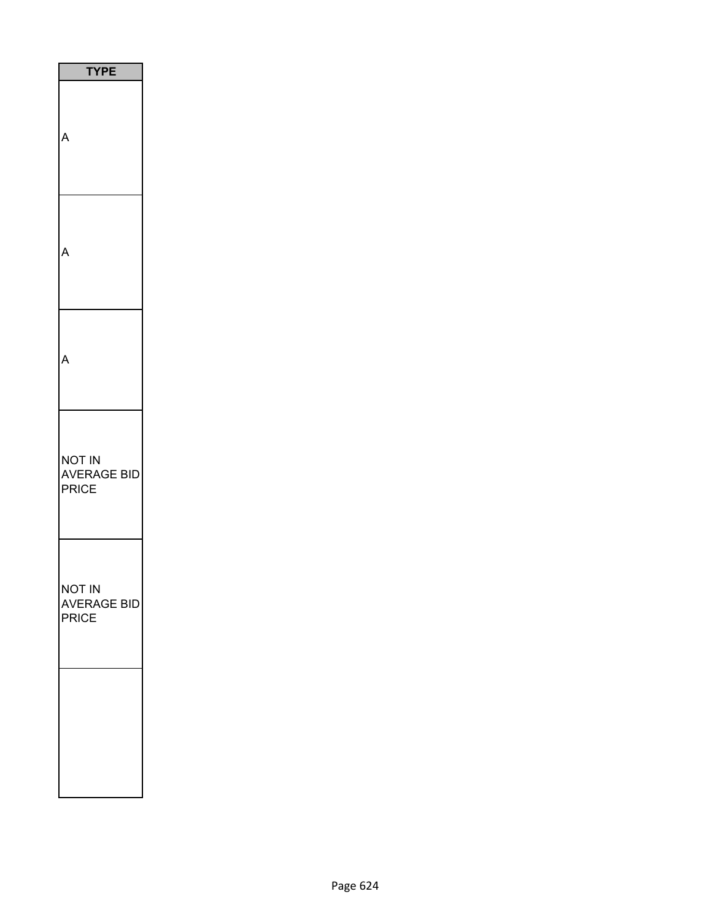| <b>TYPE</b>                                  |
|----------------------------------------------|
|                                              |
|                                              |
|                                              |
| not in<br><b>AVERAGE BID</b><br><b>PRICE</b> |
| NOT IN<br>AVERAGE BID<br>PRICE               |
|                                              |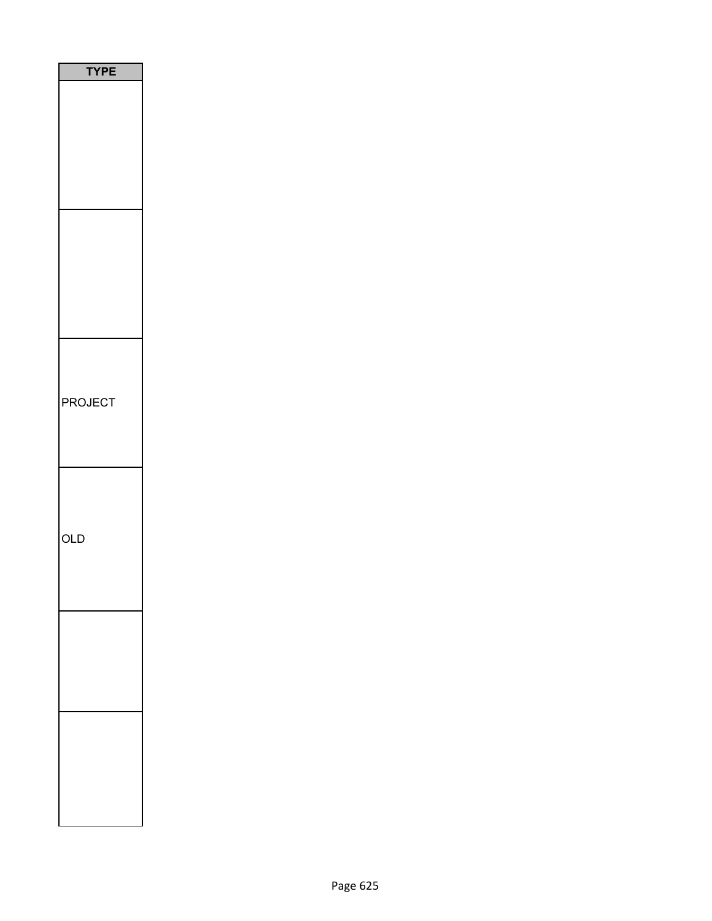| <b>TYPE</b> |
|-------------|
|             |
|             |
|             |
|             |
|             |
|             |
|             |
|             |
|             |
|             |
|             |
|             |
|             |
|             |
|             |
| PROJECT     |
|             |
|             |
|             |
|             |
|             |
|             |
| <b>OLD</b>  |
|             |
|             |
|             |
|             |
|             |
|             |
|             |
|             |
|             |
|             |
|             |
|             |
|             |
|             |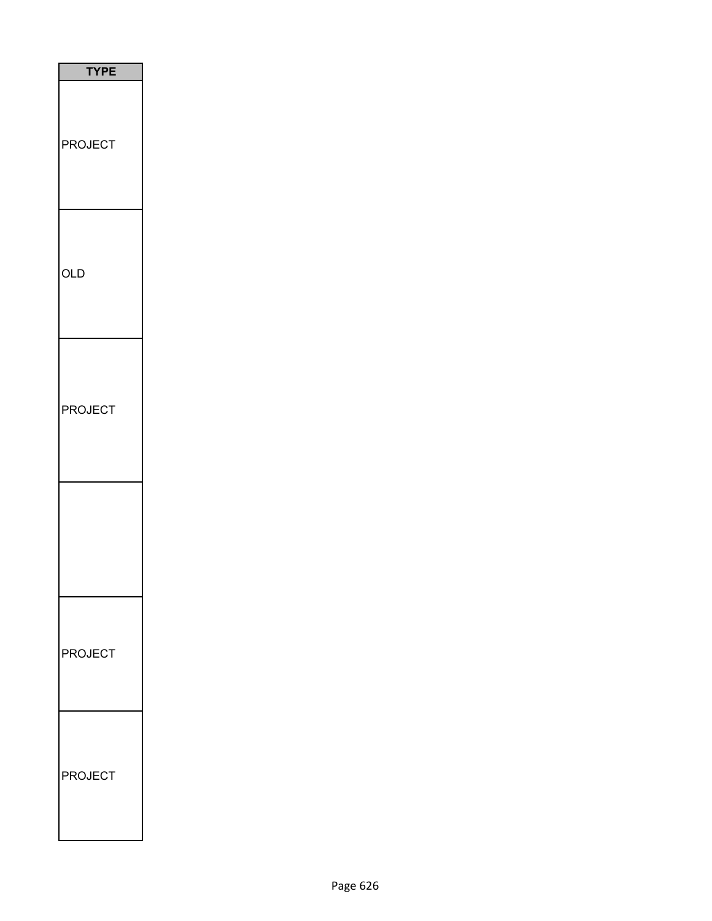| <b>TYPE</b>    |  |
|----------------|--|
| <b>PROJECT</b> |  |
| <b>OLD</b>     |  |
| <b>PROJECT</b> |  |
|                |  |
| <b>PROJECT</b> |  |
| <b>PROJECT</b> |  |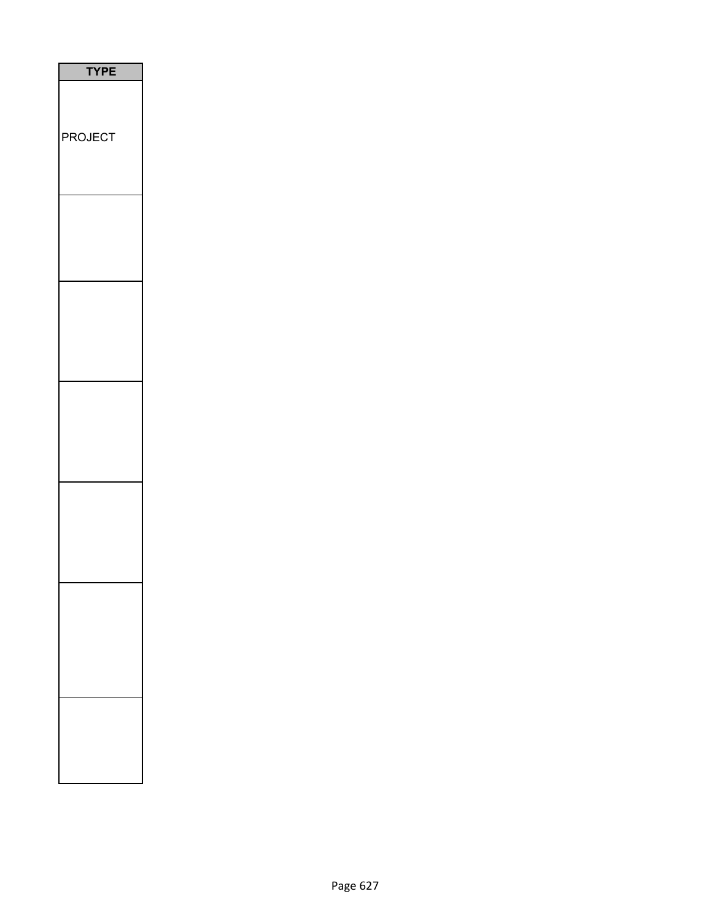| <b>TYPE</b>    |
|----------------|
| <b>PROJECT</b> |
|                |
|                |
|                |
|                |
|                |
|                |
|                |
|                |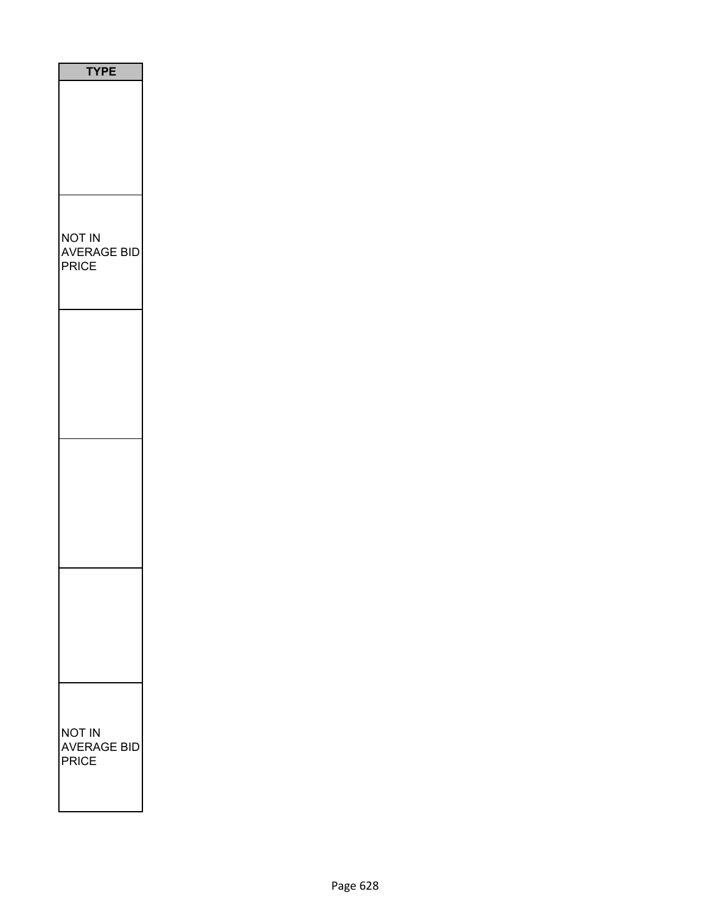| <b>TYPE</b>                           |
|---------------------------------------|
|                                       |
| NOT IN<br><b>AVERAGE BID</b><br>PRICE |
|                                       |
|                                       |
|                                       |
|                                       |
| NOT IN<br><b>AVERAGE BID</b><br>PRICE |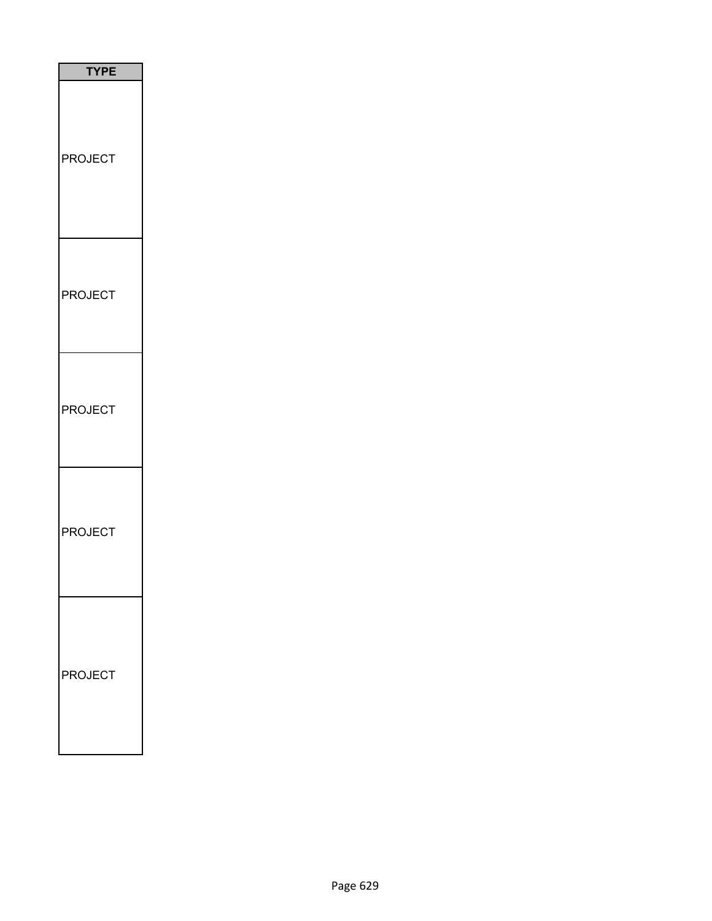| <b>TYPE</b>        |
|--------------------|
| <b>PROJECT</b>     |
| <b>PROJECT</b>     |
| <b>PROJECT</b>     |
| <b>PROJECT</b>     |
| <b>ROJECT</b><br>ŀ |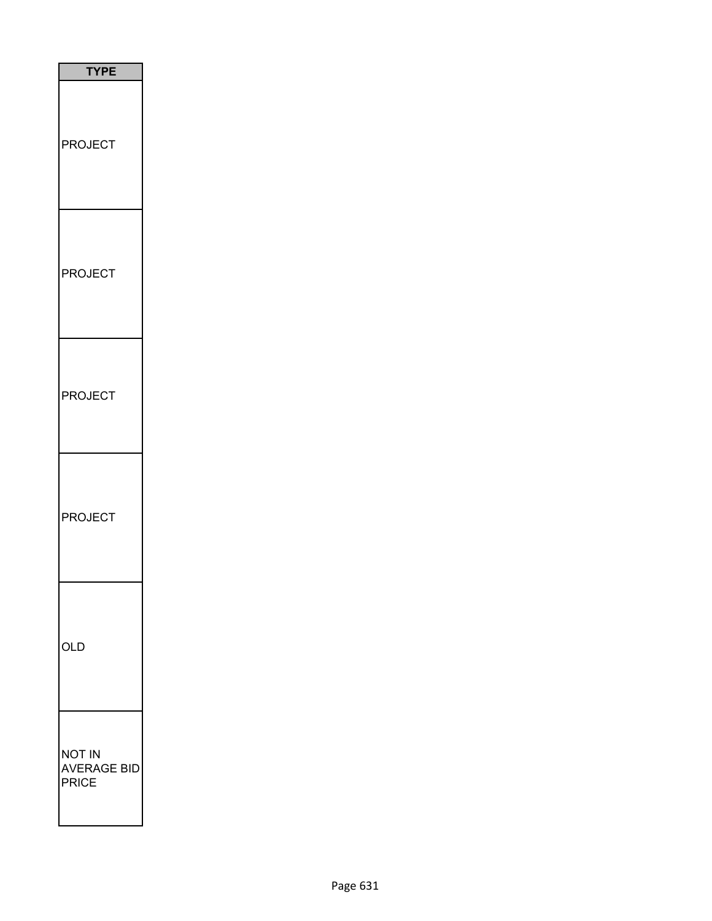| <b>TYPE</b>                                  |
|----------------------------------------------|
| <b>PROJECT</b>                               |
| <b>PROJECT</b>                               |
| <b>PROJECT</b>                               |
| <b>PROJECT</b>                               |
| OLD                                          |
| <b>NOT IN</b><br><b>AVERAGE BID</b><br>PRICE |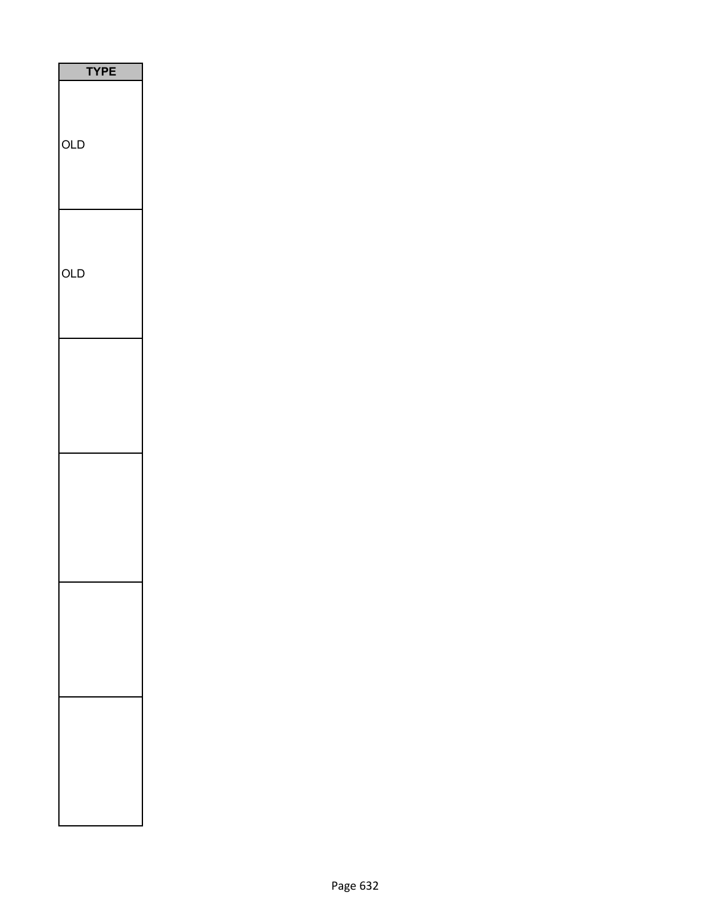| <b>TYPE</b> |
|-------------|
| OLD         |
| <b>OLD</b>  |
|             |
|             |
|             |
|             |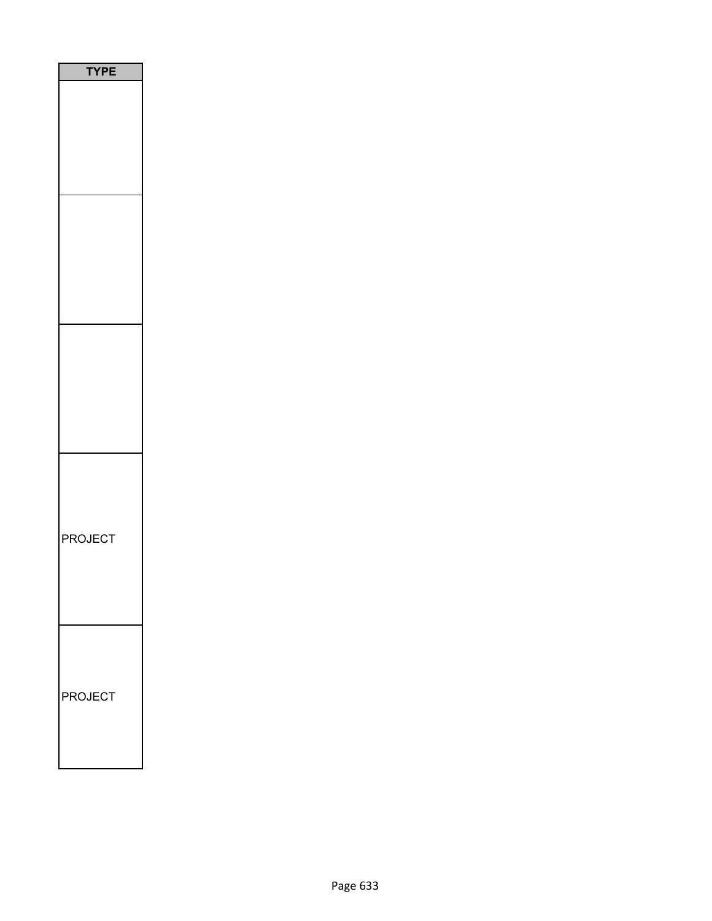| <b>TYPE</b> |
|-------------|
|             |
|             |
|             |
| PROJECT     |
| PROJECT     |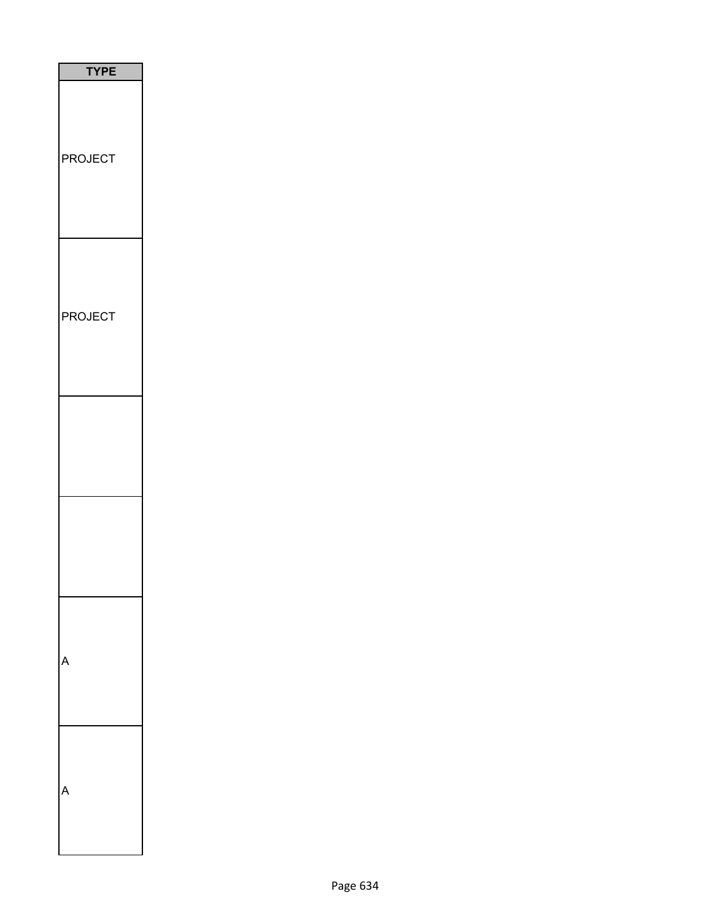| <b>YPE</b>     |
|----------------|
| <b>PROJECT</b> |
| <b>PROJECT</b> |
|                |
|                |
|                |
|                |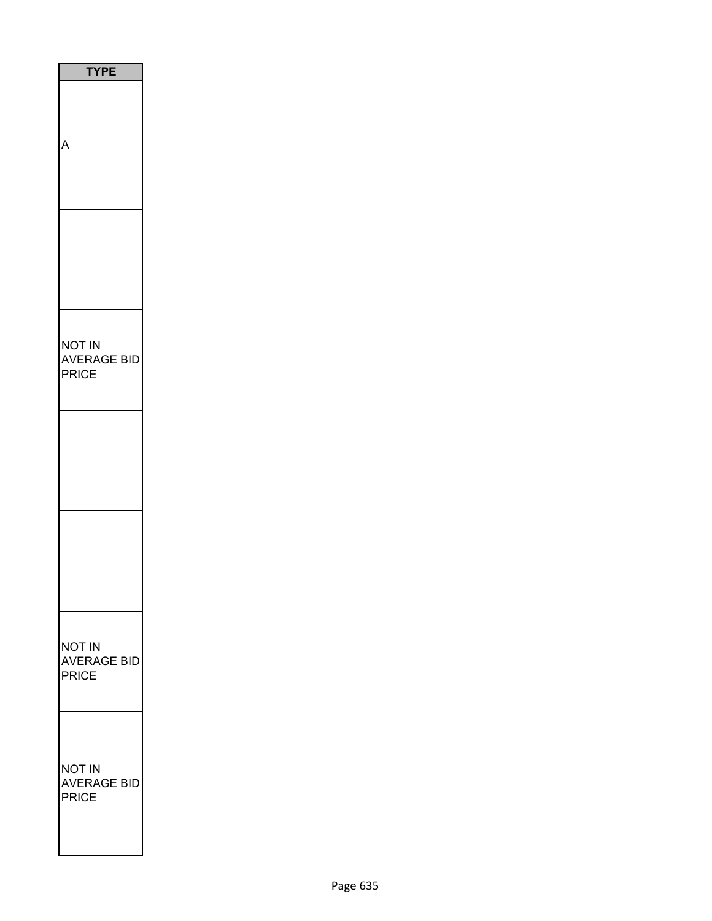| <b>TYPE</b>                                         |
|-----------------------------------------------------|
|                                                     |
|                                                     |
| NOT IN<br><b>AVERAGE BID</b><br><b>PRICE</b>        |
|                                                     |
|                                                     |
| <b>NOT IN</b><br><b>AVERAGE BID</b><br><b>PRICE</b> |
| <b>NOT IN</b><br><b>AVERAGE BID</b><br>PRICE        |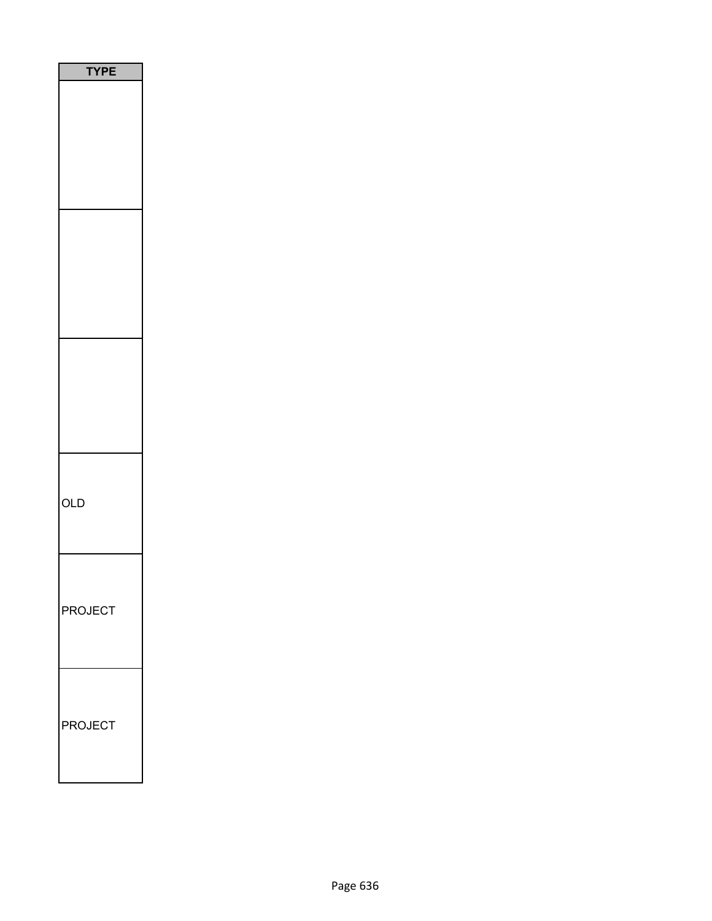| PE<br>٢ |
|---------|
|         |
|         |
|         |
| OLD     |
| PROJECT |
| PROJECT |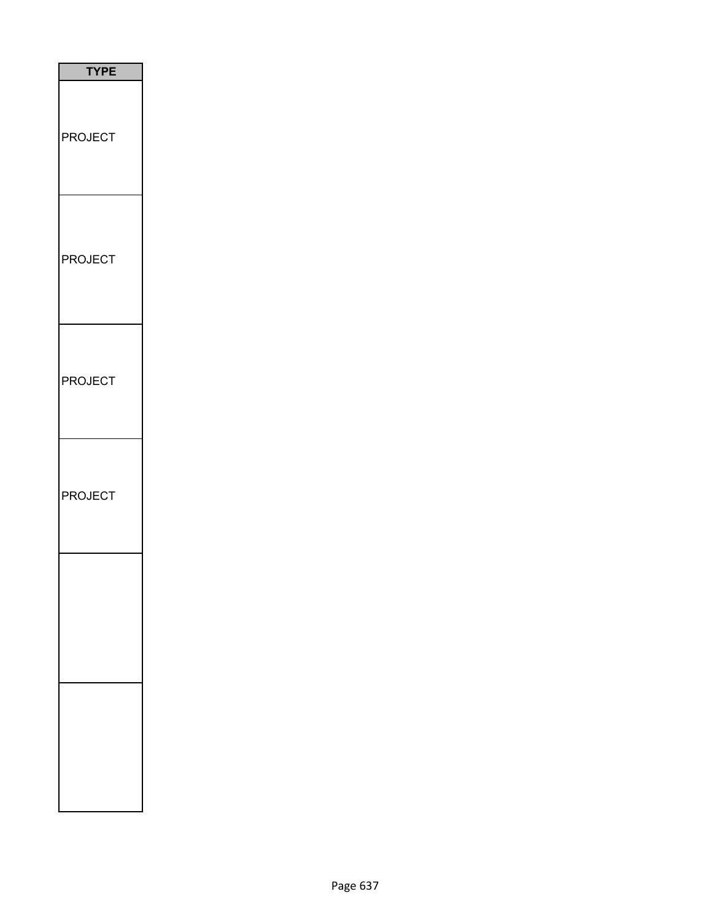| <b>TYPE</b>    |
|----------------|
| <b>PROJECT</b> |
| <b>PROJECT</b> |
| <b>PROJECT</b> |
| PROJECT        |
|                |
|                |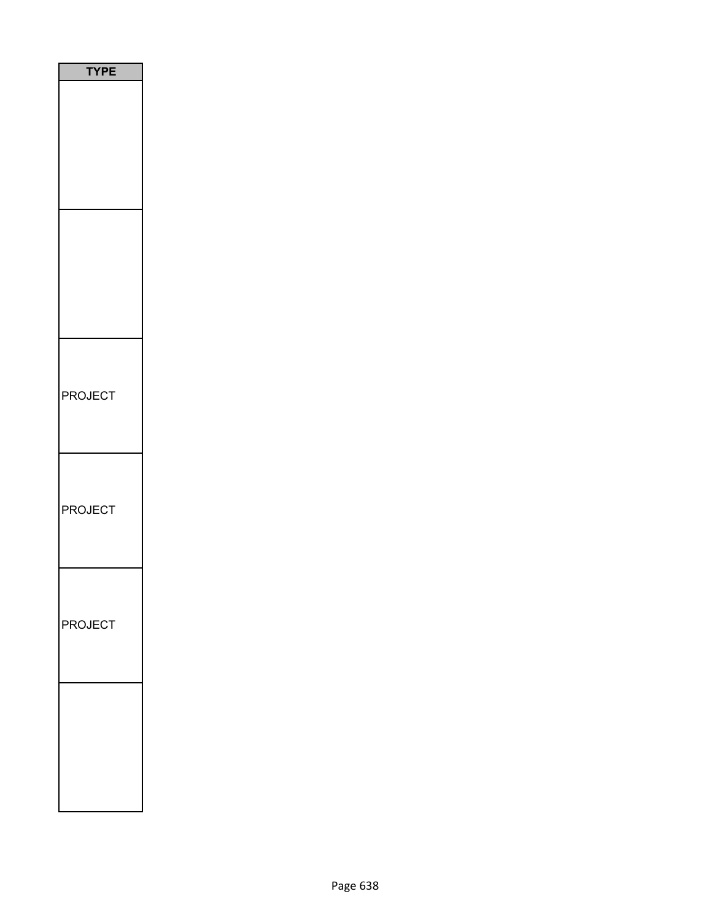| <b>TYPE</b>    |
|----------------|
|                |
|                |
|                |
|                |
|                |
|                |
|                |
|                |
| <b>PROJECT</b> |
|                |
|                |
| <b>PROJECT</b> |
|                |
|                |
| PROJECT        |
|                |
|                |
|                |
|                |
|                |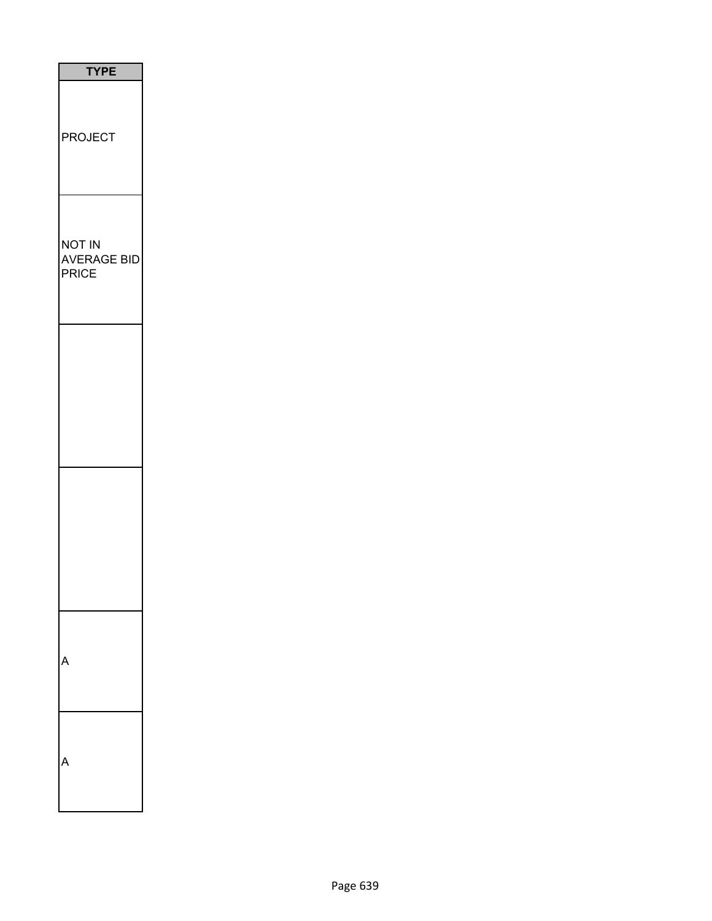| <b>TYPE</b>                           |
|---------------------------------------|
| <b>PROJECT</b>                        |
| <b>NOT IN</b><br>AVERAGE BID<br>PRICE |
|                                       |
|                                       |
|                                       |
|                                       |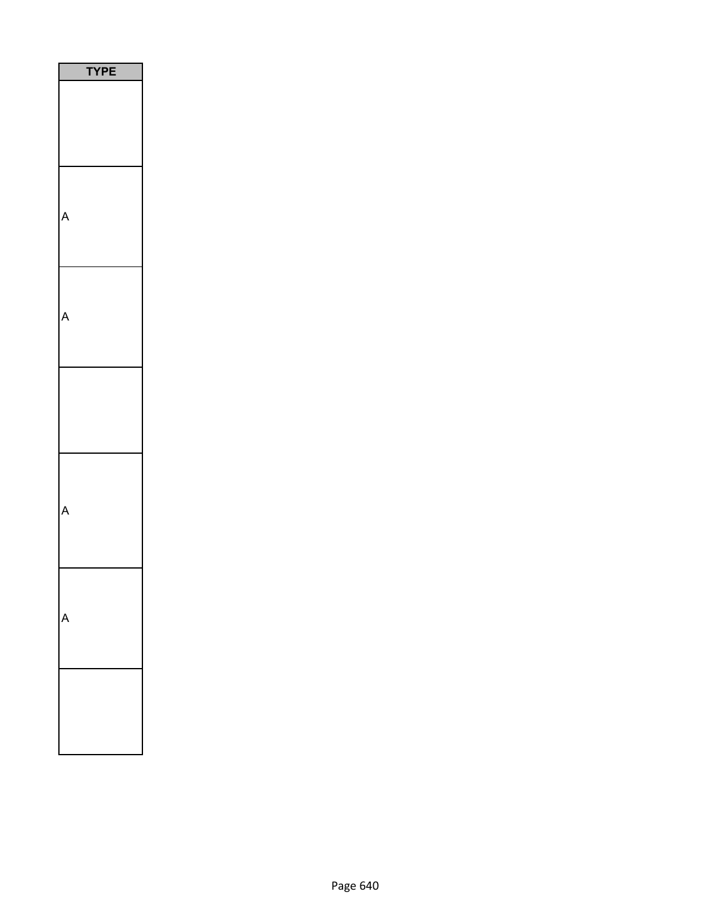| <b>/PE</b><br>٦ |
|-----------------|
|                 |
|                 |
|                 |
|                 |
|                 |
|                 |
|                 |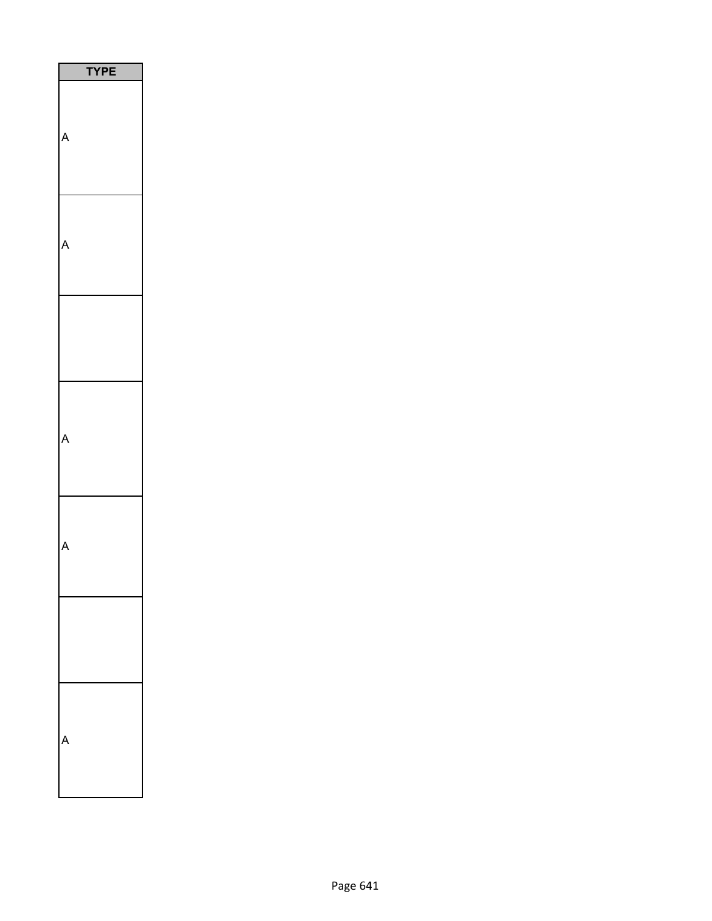| <b>YPE</b> |
|------------|
|            |
|            |
|            |
|            |
|            |
|            |
|            |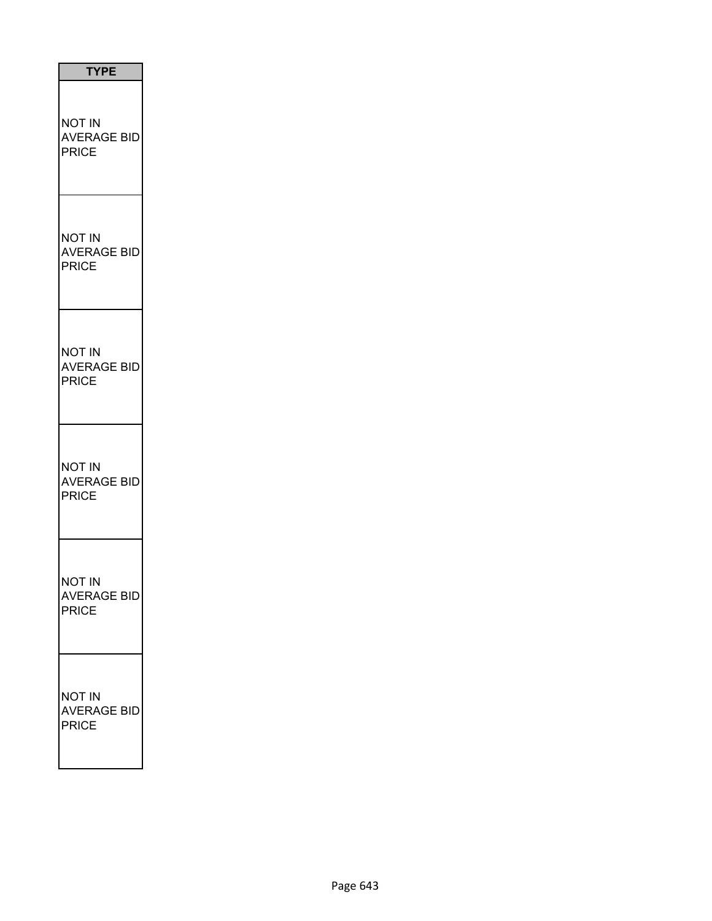| <b>TYPE</b>                                         |
|-----------------------------------------------------|
| NOT IN<br><b>AVERAGE BID</b><br><b>PRICE</b>        |
| NOT IN<br><b>AVERAGE BID</b><br>PRICE               |
| NOT IN<br><b>AVERAGE BID</b><br><b>PRICE</b>        |
| <b>NOT IN</b><br><b>AVERAGE BID</b><br><b>PRICE</b> |
| NOT IN<br><b>AVERAGE BID</b><br><b>PRICE</b>        |
| not in<br><b>AVERAGE BID</b><br><b>PRICE</b>        |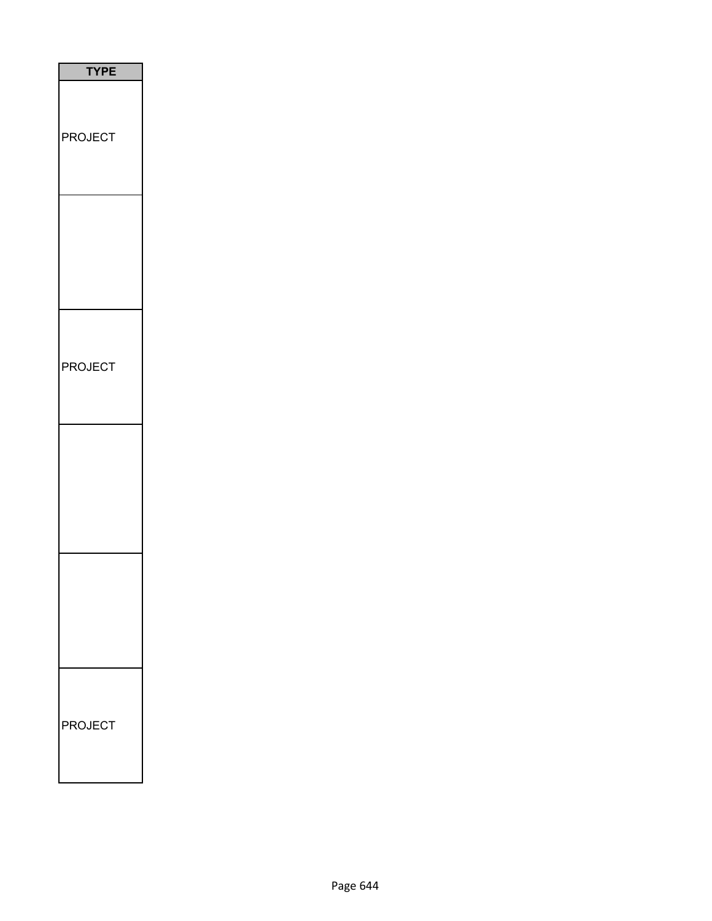| <b>TYPE</b>         |
|---------------------|
| <b>PROJECT</b>      |
|                     |
| <b>PROJECT</b>      |
|                     |
|                     |
| <b>PROJECT</b><br>F |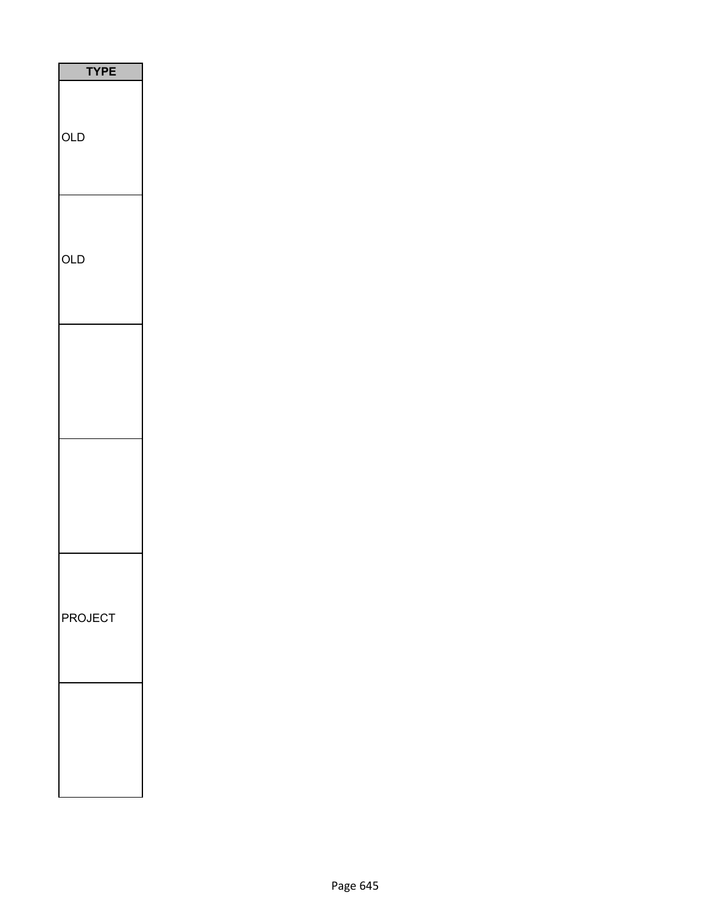| PI<br>Ε<br>Y |
|--------------|
| OLD          |
| OLD          |
|              |
|              |
| PROJECT      |
|              |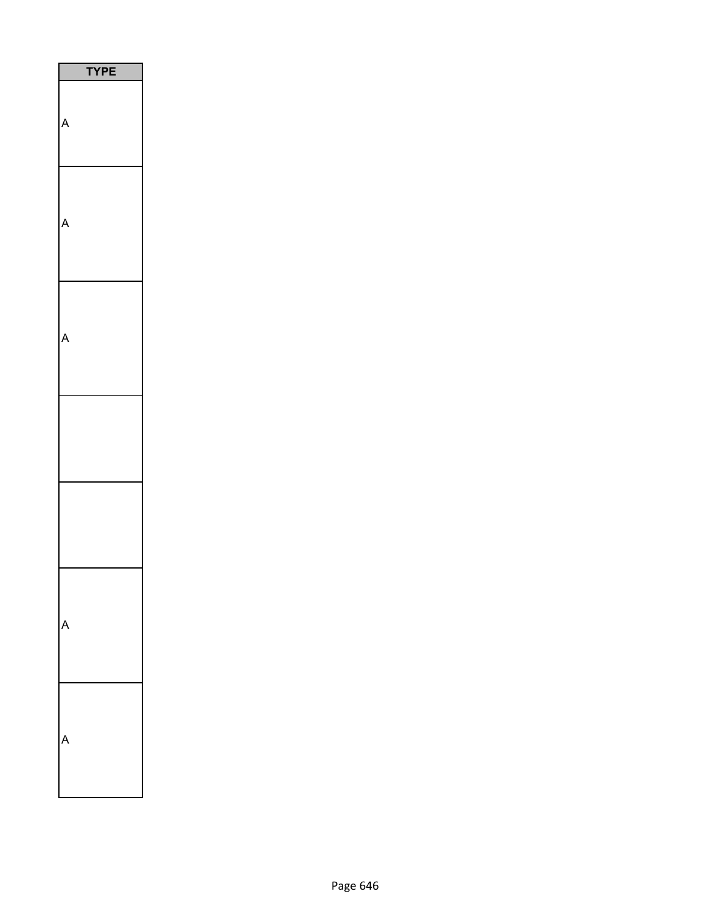| ٦<br>PЕ |  |
|---------|--|
|         |  |
|         |  |
|         |  |
|         |  |
|         |  |
|         |  |
|         |  |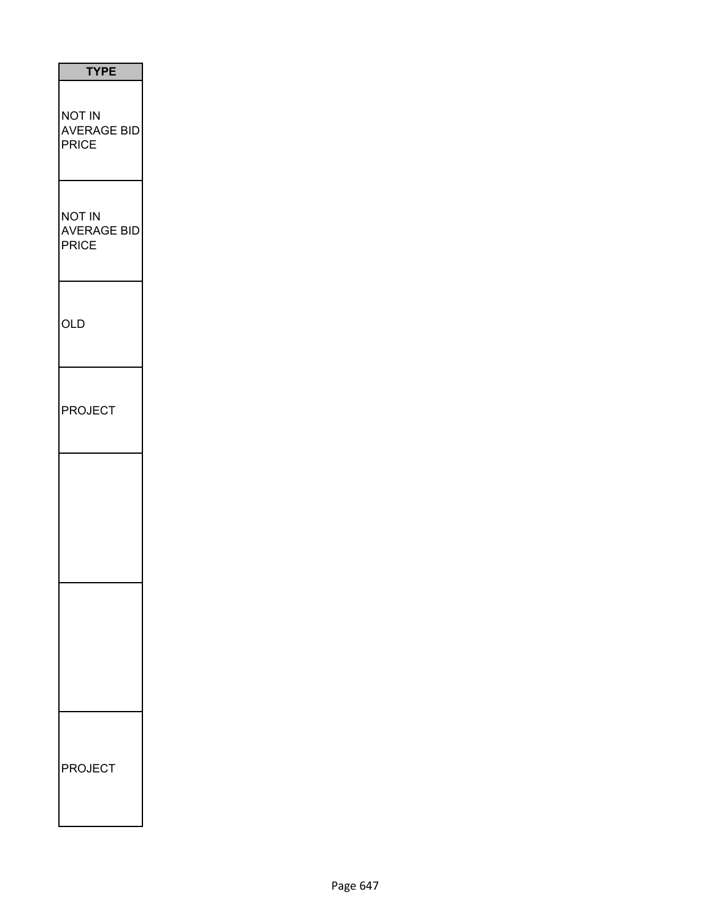| <b>TYPE</b>                                         |
|-----------------------------------------------------|
| <b>NOT IN</b><br><b>AVERAGE BID</b><br><b>PRICE</b> |
| <b>NOT IN</b><br><b>AVERAGE BID</b><br><b>PRICE</b> |
| <b>OLD</b>                                          |
| <b>PROJECT</b>                                      |
|                                                     |
|                                                     |
| <b>PROJECT</b>                                      |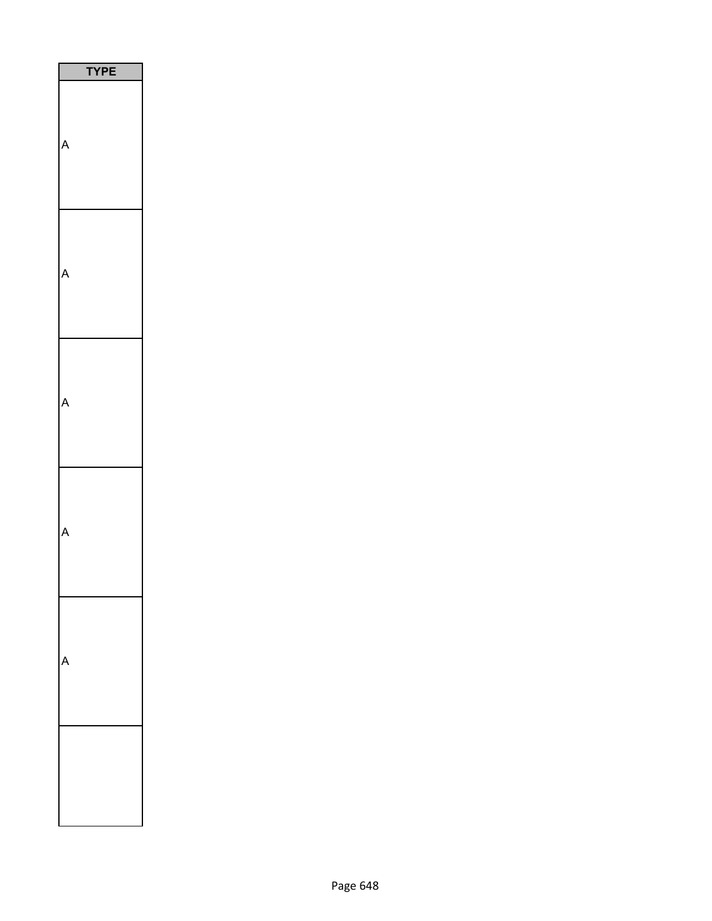| <b>YPE</b> |
|------------|
|            |
|            |
|            |
|            |
|            |
|            |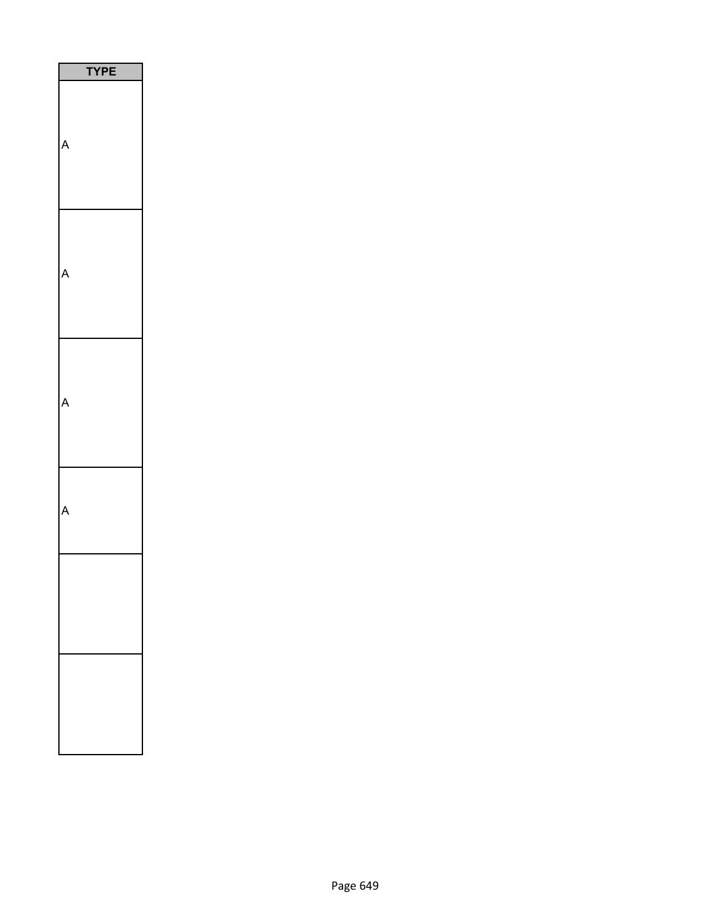| <b>YPE</b> |
|------------|
|            |
|            |
|            |
|            |
|            |
|            |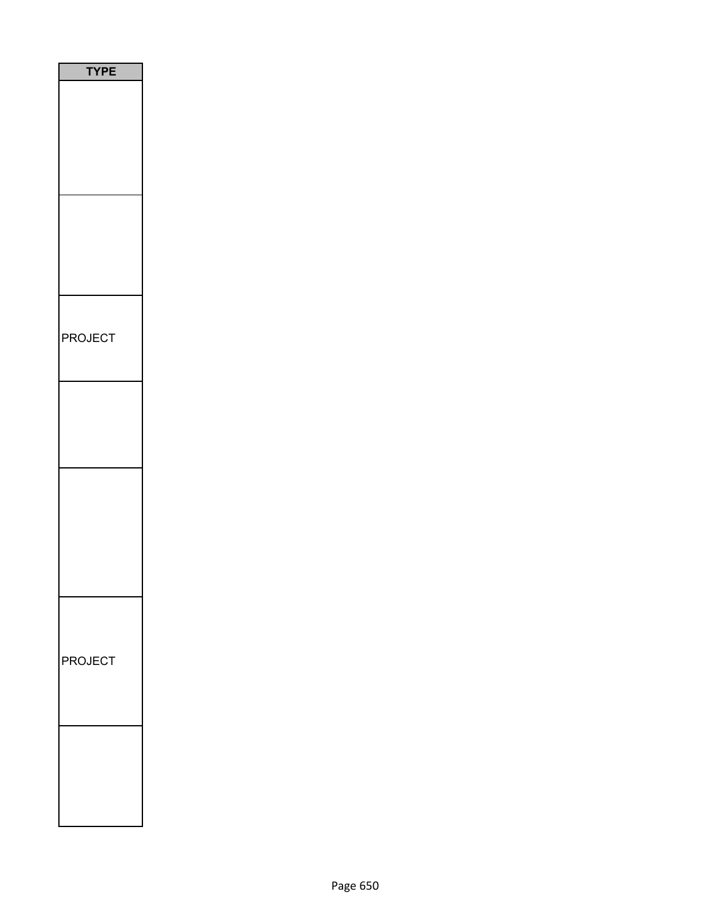| <b>TYPE</b><br>i |
|------------------|
|                  |
|                  |
|                  |
|                  |
|                  |
|                  |
|                  |
|                  |
| PROJECT          |
|                  |
|                  |
|                  |
|                  |
|                  |
|                  |
|                  |
|                  |
|                  |
|                  |
|                  |
| PROJECT          |
|                  |
|                  |
|                  |
|                  |
|                  |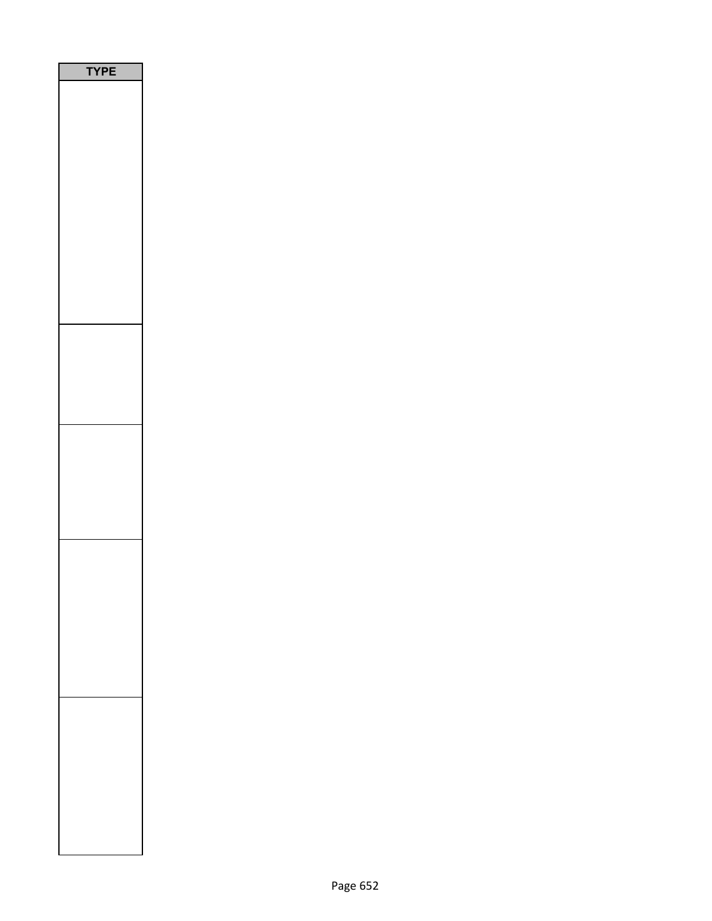| <b>YPE</b><br>I |  |
|-----------------|--|
|                 |  |
|                 |  |
|                 |  |
|                 |  |
|                 |  |
|                 |  |
|                 |  |
|                 |  |
|                 |  |
|                 |  |
|                 |  |
|                 |  |
|                 |  |
|                 |  |
|                 |  |
|                 |  |
|                 |  |
|                 |  |
|                 |  |
|                 |  |
|                 |  |
|                 |  |
|                 |  |
|                 |  |
|                 |  |
|                 |  |
|                 |  |
|                 |  |
|                 |  |
|                 |  |
|                 |  |
|                 |  |
|                 |  |
|                 |  |
|                 |  |
|                 |  |
|                 |  |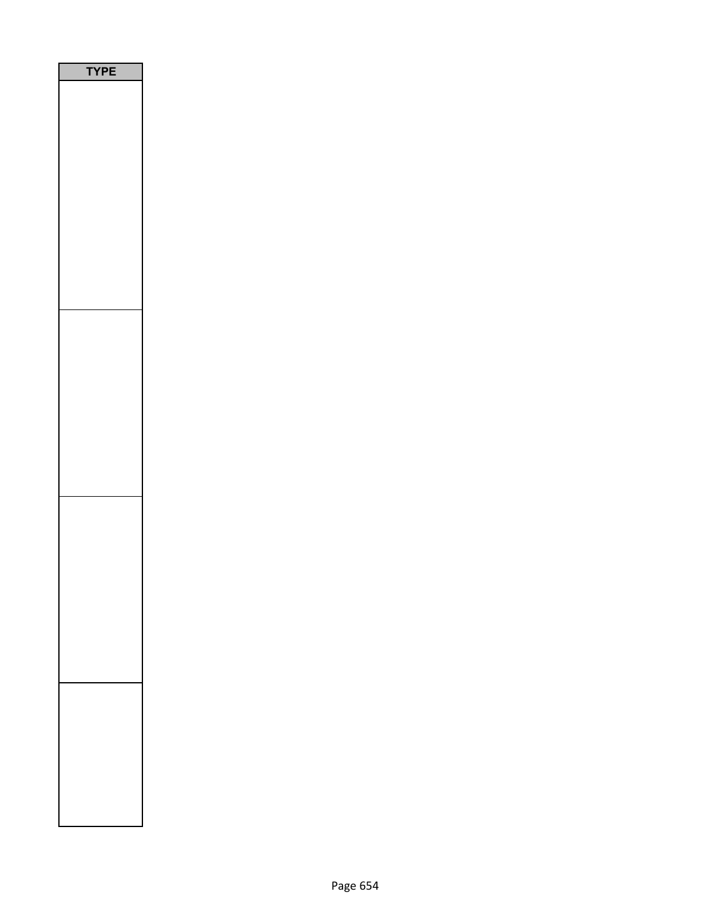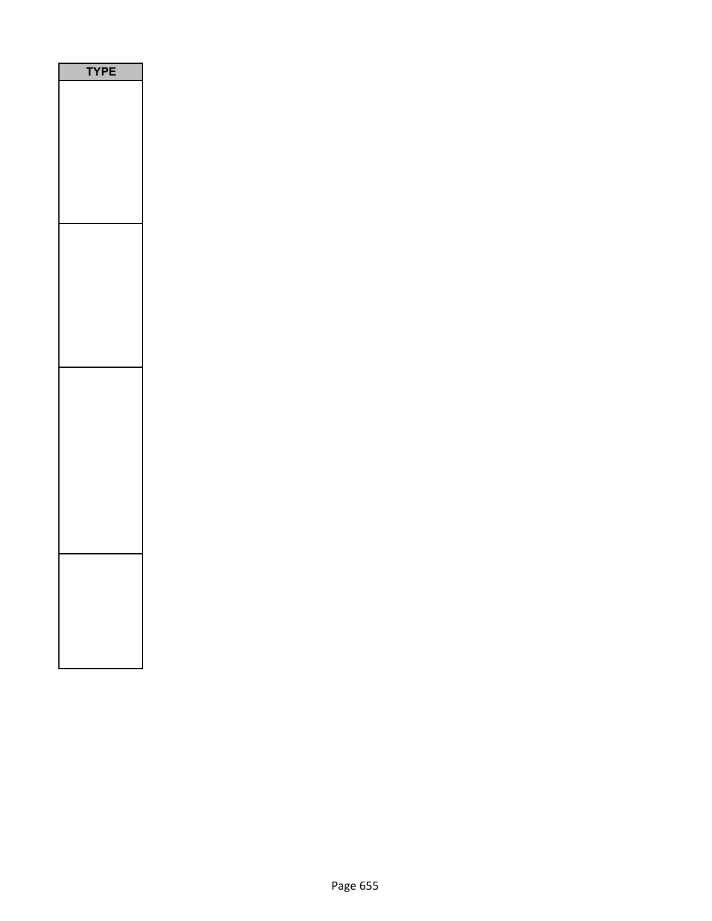| I<br>P<br>E |
|-------------|
|             |
|             |
|             |
|             |
|             |
|             |
|             |
|             |
|             |
|             |
|             |
|             |
|             |
|             |
|             |
|             |
|             |
|             |
|             |
|             |
|             |
|             |
|             |
|             |
|             |
|             |
|             |
|             |
|             |
|             |
|             |
|             |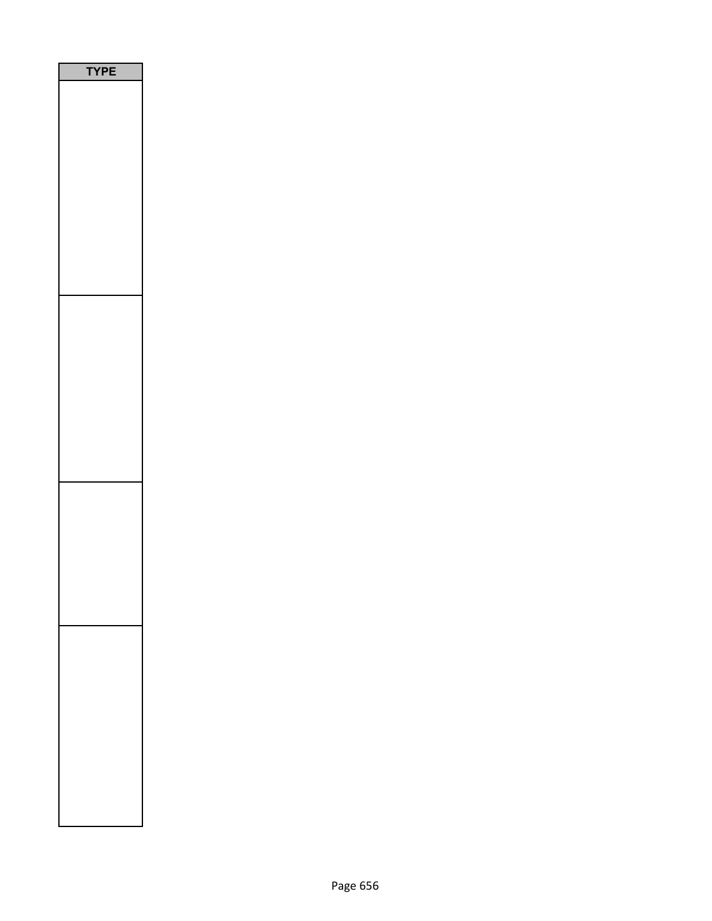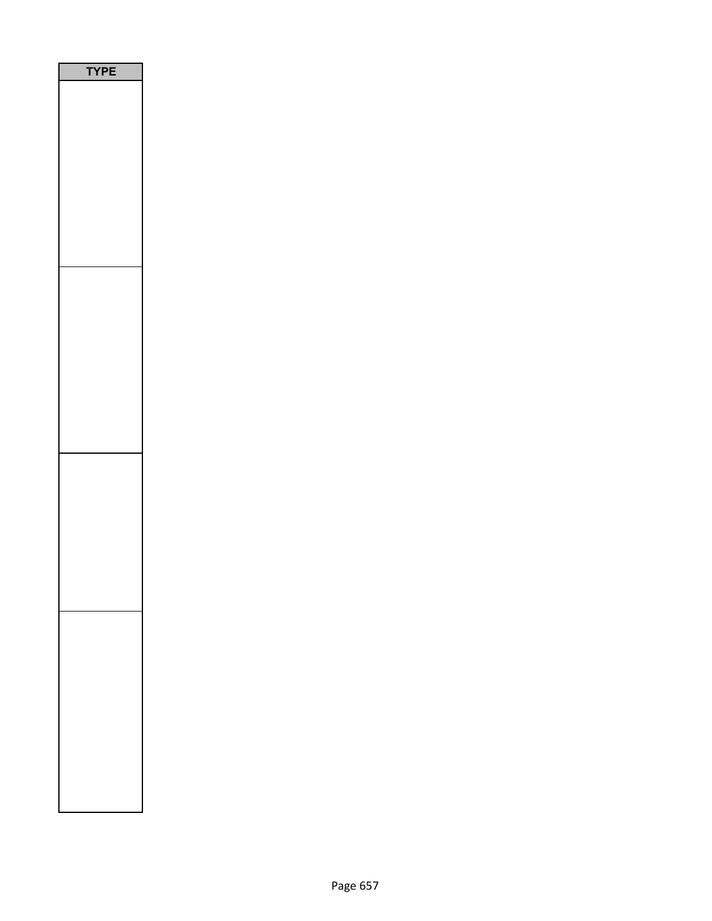| P<br>ı |  |
|--------|--|
|        |  |
|        |  |
|        |  |
|        |  |
|        |  |
|        |  |
|        |  |
|        |  |
|        |  |
|        |  |
|        |  |
|        |  |
|        |  |
|        |  |
|        |  |
|        |  |
|        |  |
|        |  |
|        |  |
|        |  |
|        |  |
|        |  |
|        |  |
|        |  |
|        |  |
|        |  |
|        |  |
|        |  |
|        |  |
|        |  |
|        |  |
|        |  |
|        |  |
|        |  |
|        |  |
|        |  |
|        |  |
|        |  |
|        |  |
|        |  |
|        |  |
|        |  |
|        |  |
|        |  |
|        |  |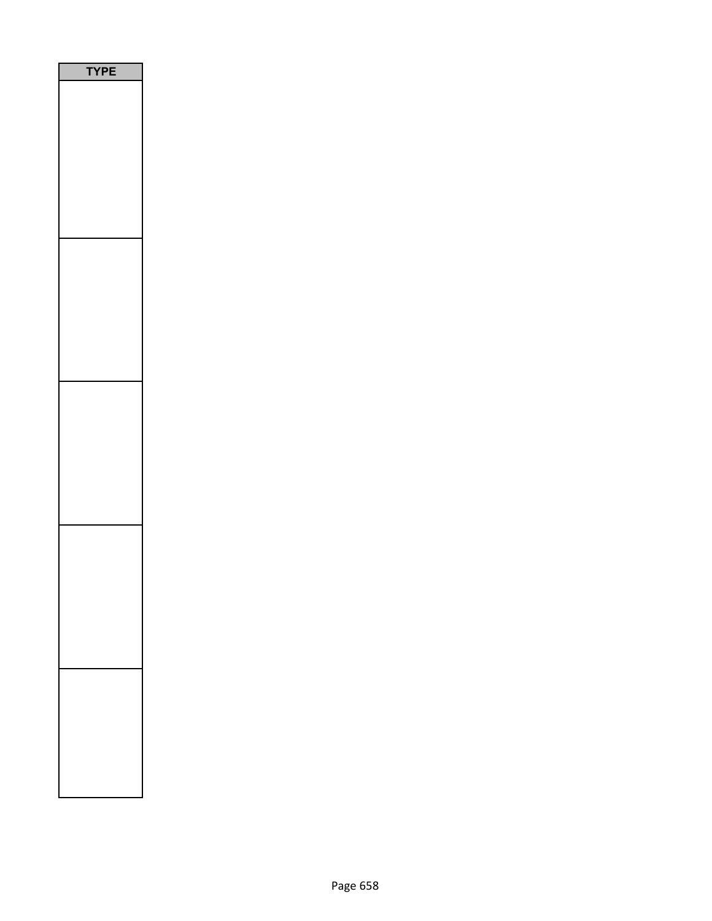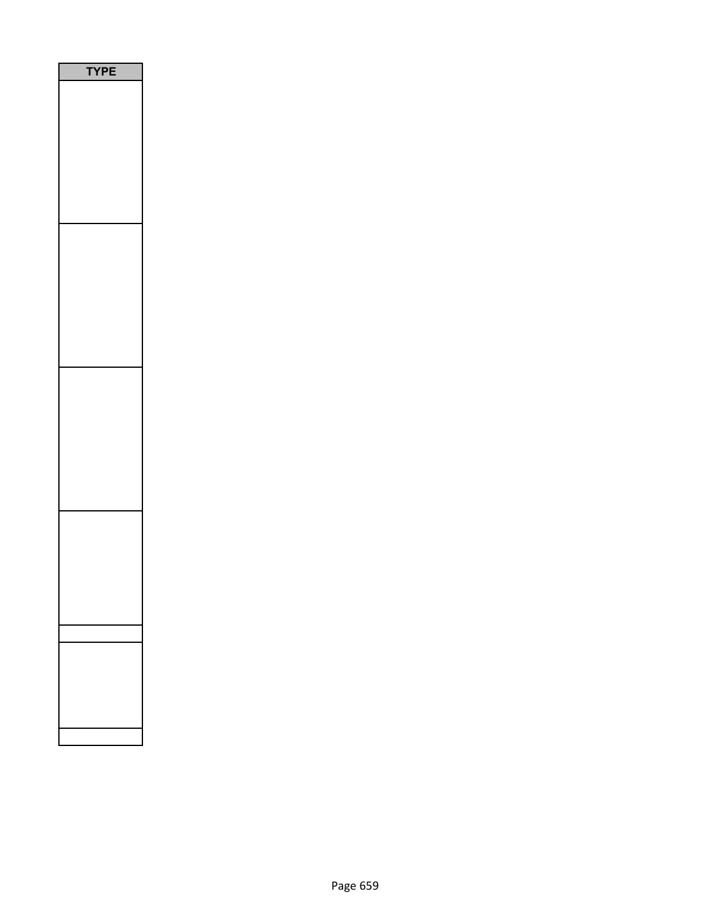| <b>YPE</b> |
|------------|
|            |
|            |
|            |
|            |
|            |
|            |
|            |
|            |
|            |
|            |
|            |
|            |
|            |
|            |
|            |
|            |
|            |
|            |
|            |
|            |
|            |
|            |
|            |
|            |
|            |
|            |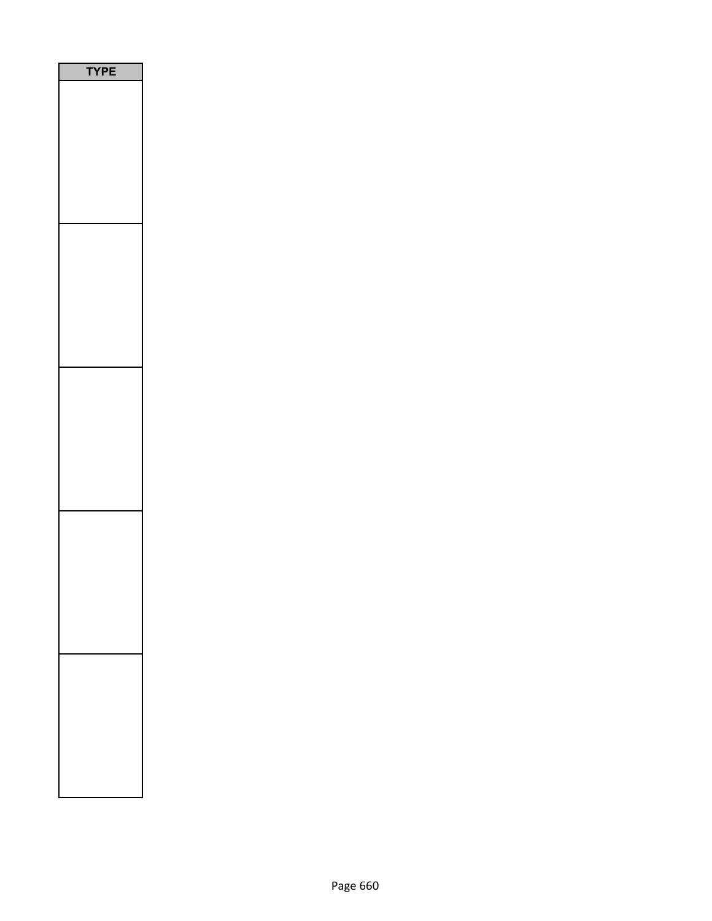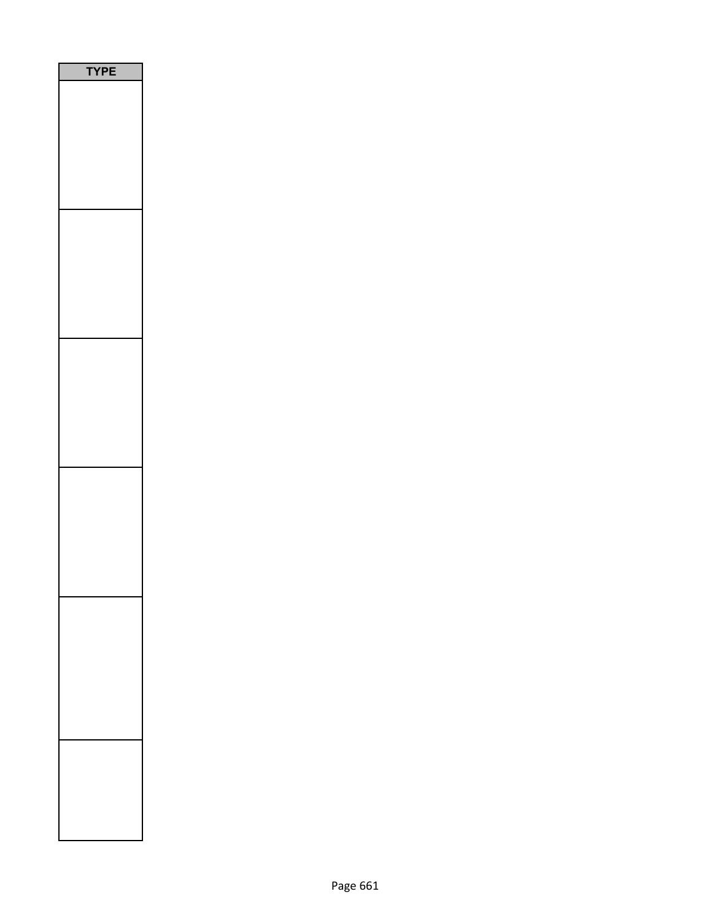| <b>YPE</b> |
|------------|
|            |
|            |
|            |
|            |
|            |
|            |
|            |
|            |
|            |
|            |
|            |
|            |
|            |
|            |
|            |
|            |
|            |
|            |
|            |
|            |
|            |
|            |
|            |
|            |
|            |
|            |
|            |
|            |
|            |
|            |
|            |
|            |
|            |
|            |
|            |
|            |
|            |
|            |
|            |
|            |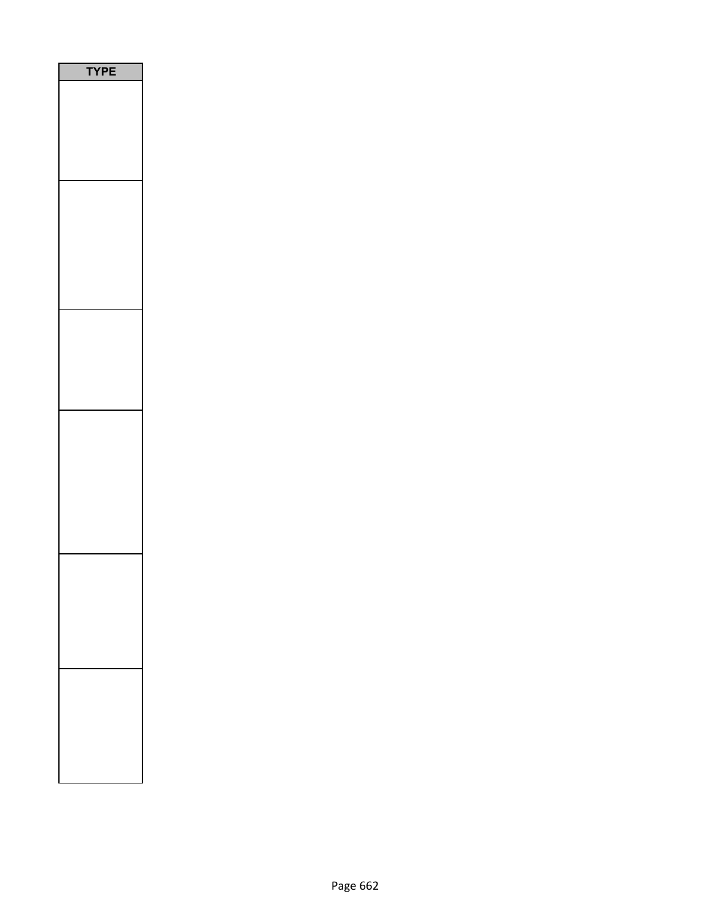| E<br>Р<br>ſ |  |
|-------------|--|
|             |  |
|             |  |
|             |  |
|             |  |
|             |  |
|             |  |
|             |  |
|             |  |
|             |  |
|             |  |
|             |  |
|             |  |
|             |  |
|             |  |
|             |  |
|             |  |
|             |  |
|             |  |
|             |  |
|             |  |
|             |  |
|             |  |
|             |  |
|             |  |
|             |  |
|             |  |
|             |  |
|             |  |
|             |  |
|             |  |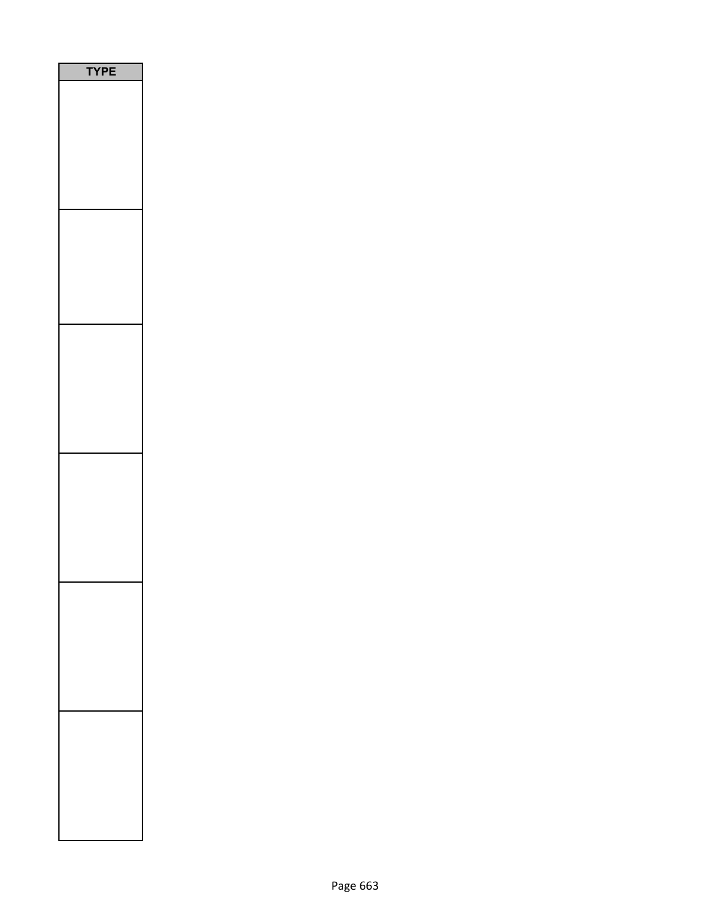| PE<br>$\epsilon$<br>٦ |
|-----------------------|
|                       |
|                       |
|                       |
|                       |
|                       |
|                       |
|                       |
|                       |
|                       |
|                       |
|                       |
|                       |
|                       |
|                       |
|                       |
|                       |
|                       |
|                       |
|                       |
|                       |
|                       |
|                       |
|                       |
|                       |
|                       |
|                       |
|                       |
|                       |
|                       |
|                       |
|                       |
|                       |
|                       |
|                       |
|                       |
|                       |
|                       |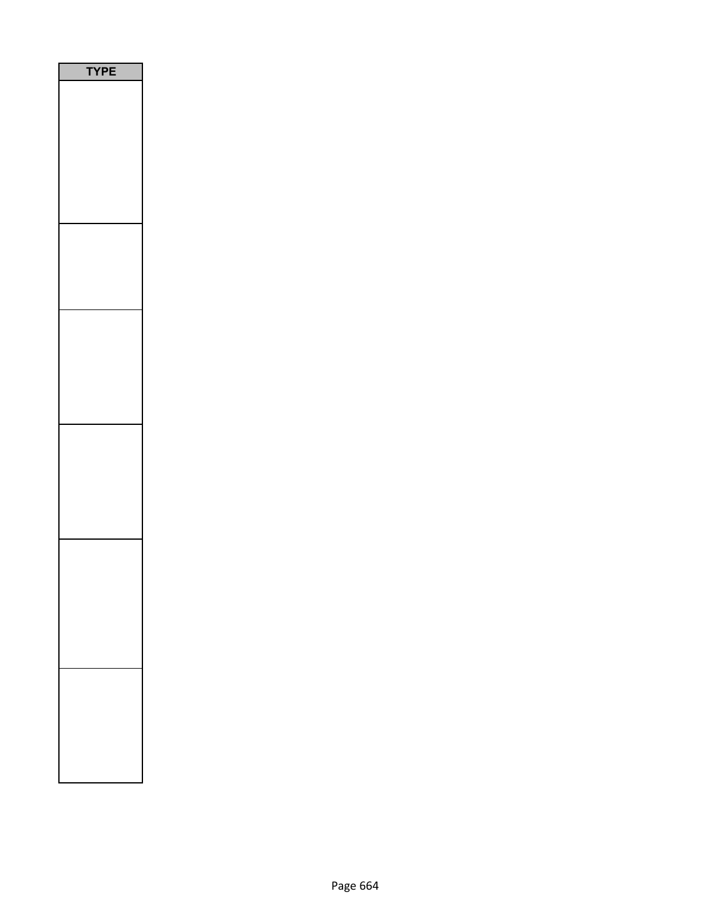| E<br>P<br>Ē<br>٢<br>٦ |  |
|-----------------------|--|
|                       |  |
|                       |  |
|                       |  |
|                       |  |
|                       |  |
|                       |  |
|                       |  |
|                       |  |
|                       |  |
|                       |  |
|                       |  |
|                       |  |
|                       |  |
|                       |  |
|                       |  |
|                       |  |
|                       |  |
|                       |  |
|                       |  |
|                       |  |
|                       |  |
|                       |  |
|                       |  |
|                       |  |
|                       |  |
|                       |  |
|                       |  |
|                       |  |
|                       |  |
|                       |  |
|                       |  |
|                       |  |
|                       |  |
|                       |  |
|                       |  |
|                       |  |
|                       |  |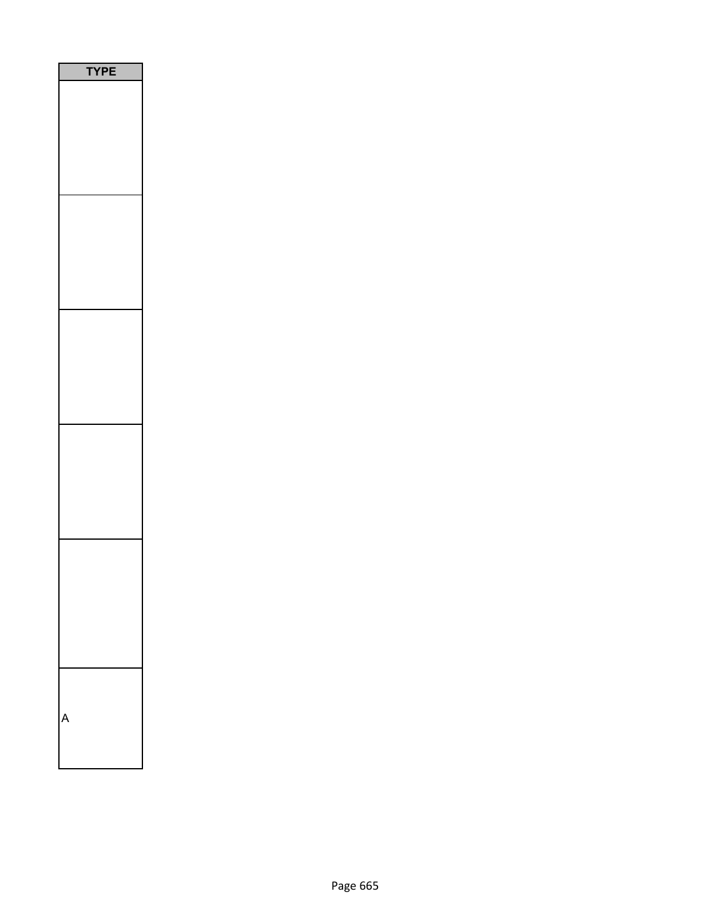| <b>YPE</b><br>֘֝֬ |
|-------------------|
|                   |
|                   |
|                   |
|                   |
|                   |
|                   |
|                   |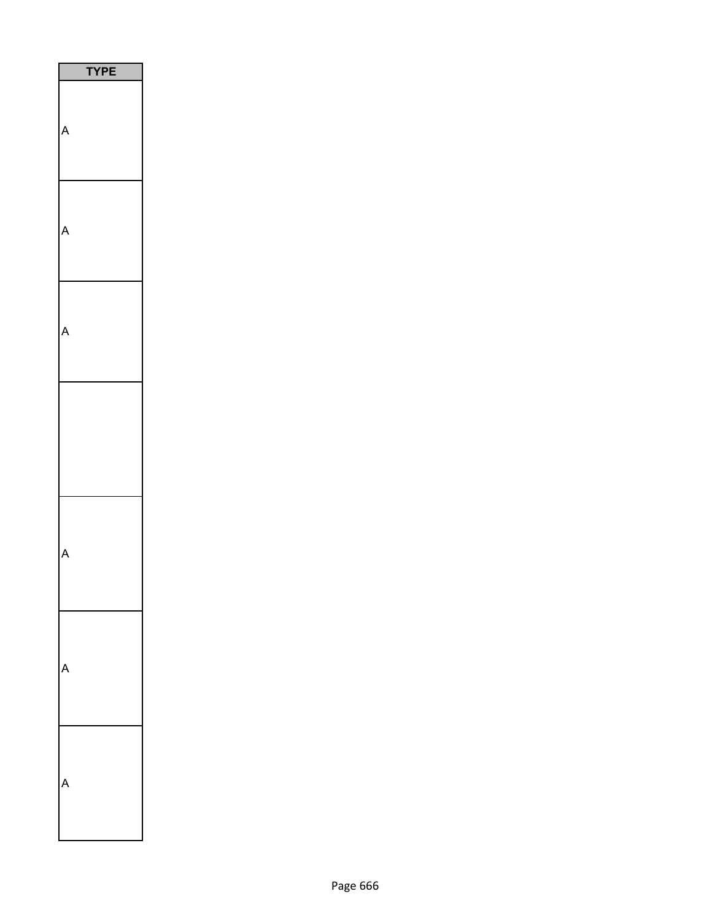| <b>YPE</b> |
|------------|
|            |
|            |
|            |
|            |
|            |
|            |
|            |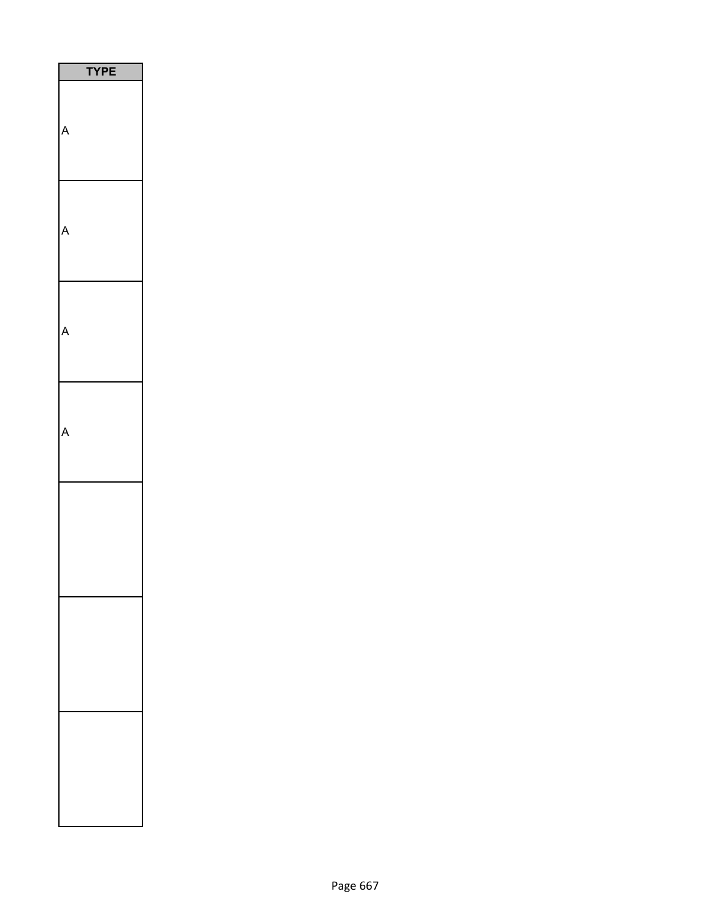| <b>/PE</b><br>٦ |
|-----------------|
|                 |
|                 |
|                 |
|                 |
|                 |
|                 |
|                 |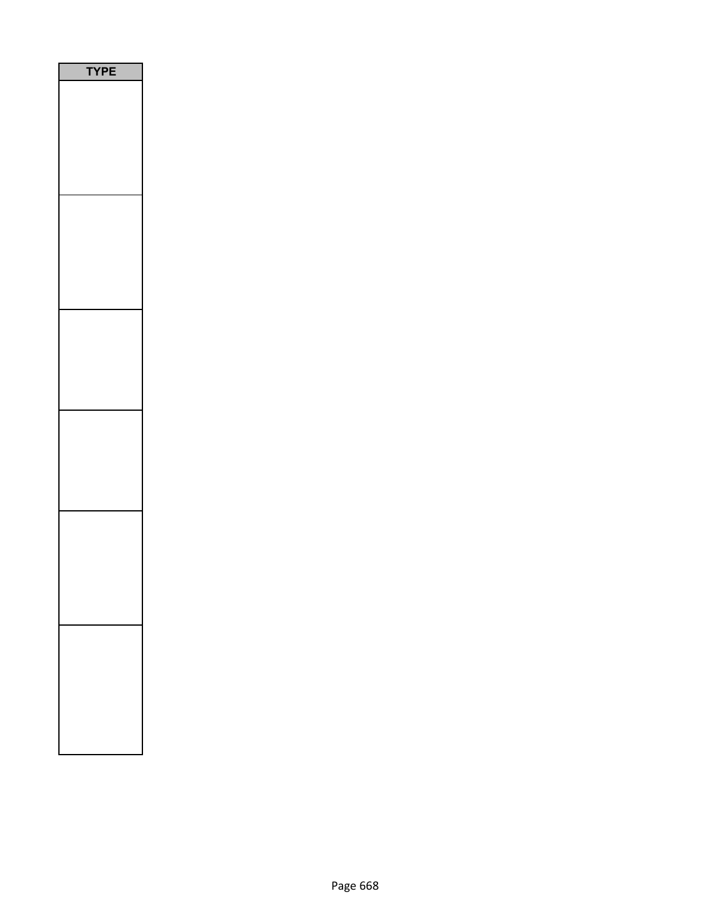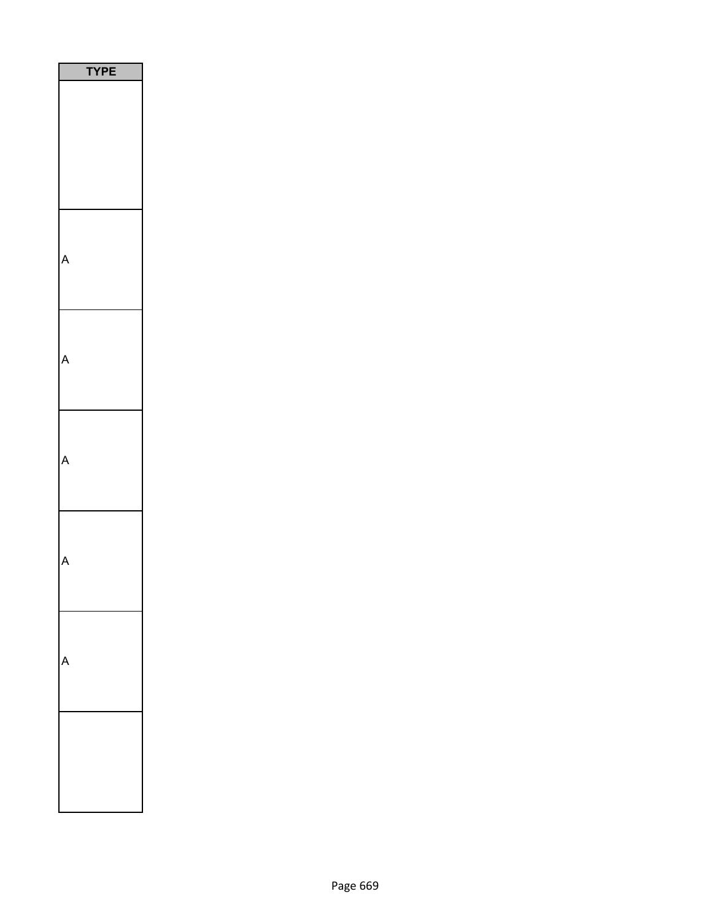| YPE |
|-----|
|     |
|     |
|     |
|     |
|     |
|     |
|     |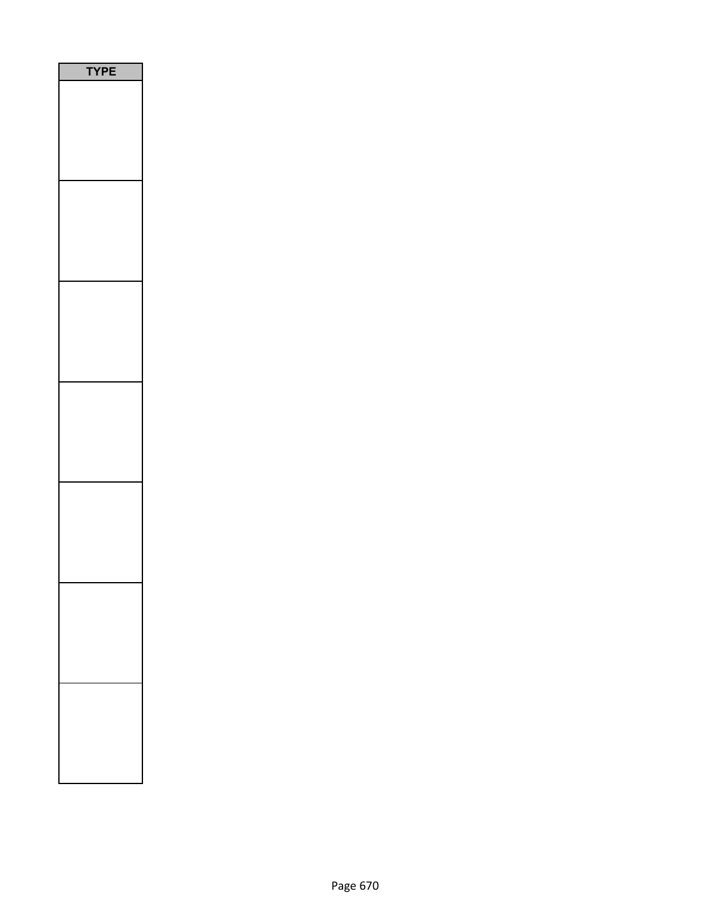| <b>/PE</b><br>٦ |  |
|-----------------|--|
|                 |  |
|                 |  |
|                 |  |
|                 |  |
|                 |  |
|                 |  |
|                 |  |
|                 |  |
|                 |  |
|                 |  |
|                 |  |
|                 |  |
|                 |  |
|                 |  |
|                 |  |
|                 |  |
|                 |  |
|                 |  |
|                 |  |
|                 |  |
|                 |  |
|                 |  |
|                 |  |
|                 |  |
|                 |  |
|                 |  |
|                 |  |
|                 |  |
|                 |  |
|                 |  |
|                 |  |
|                 |  |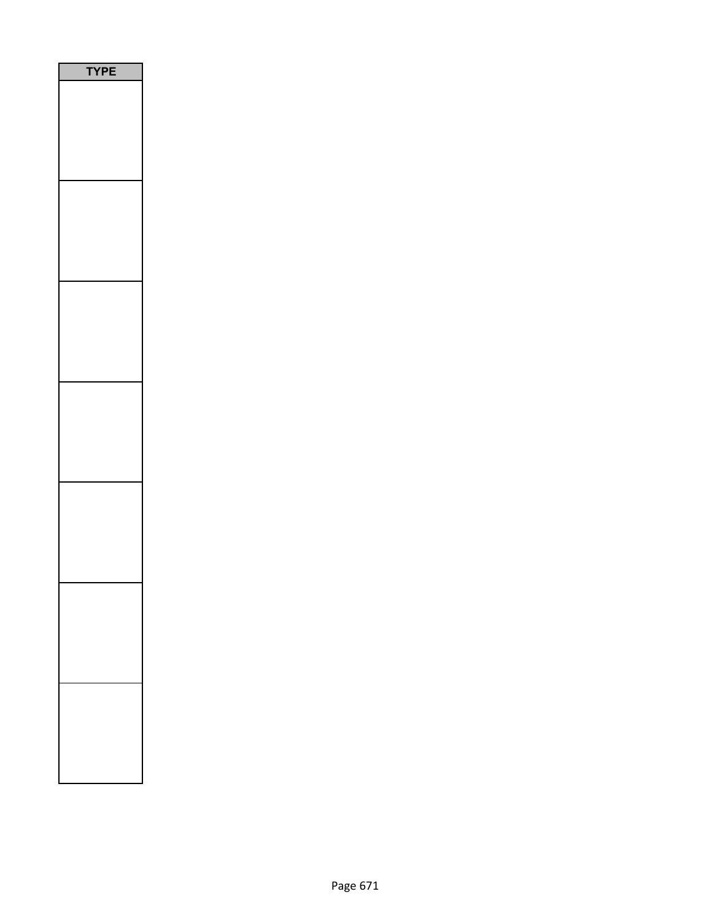| PE<br>Ύ<br>l |  |
|--------------|--|
|              |  |
|              |  |
|              |  |
|              |  |
|              |  |
|              |  |
|              |  |
|              |  |
|              |  |
|              |  |
|              |  |
|              |  |
|              |  |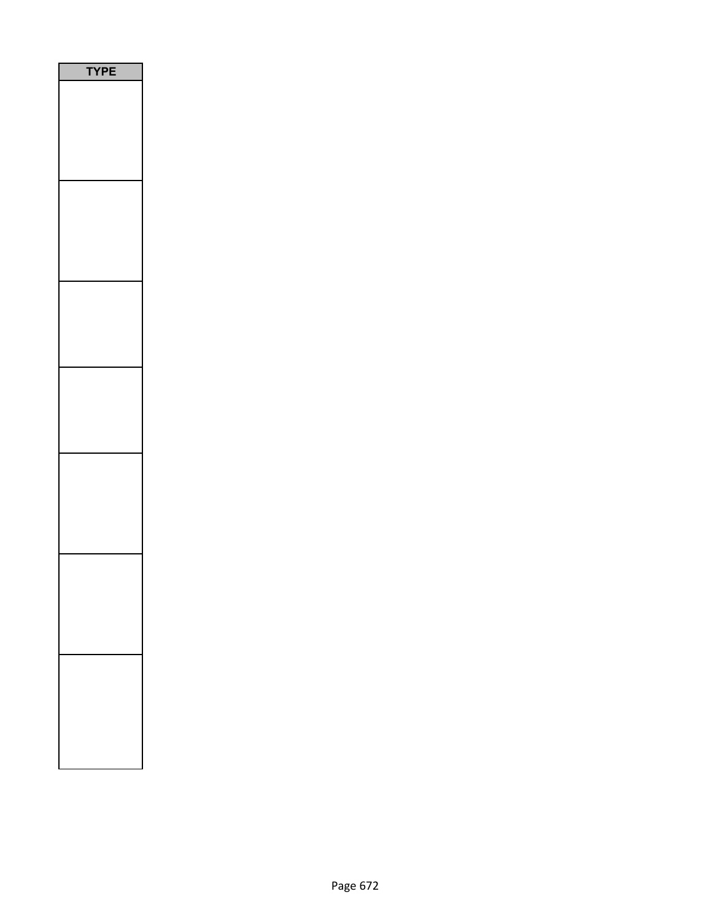| Y<br>P<br>Ε |
|-------------|
|             |
|             |
|             |
|             |
|             |
|             |
|             |
|             |
|             |
|             |
|             |
|             |
|             |
|             |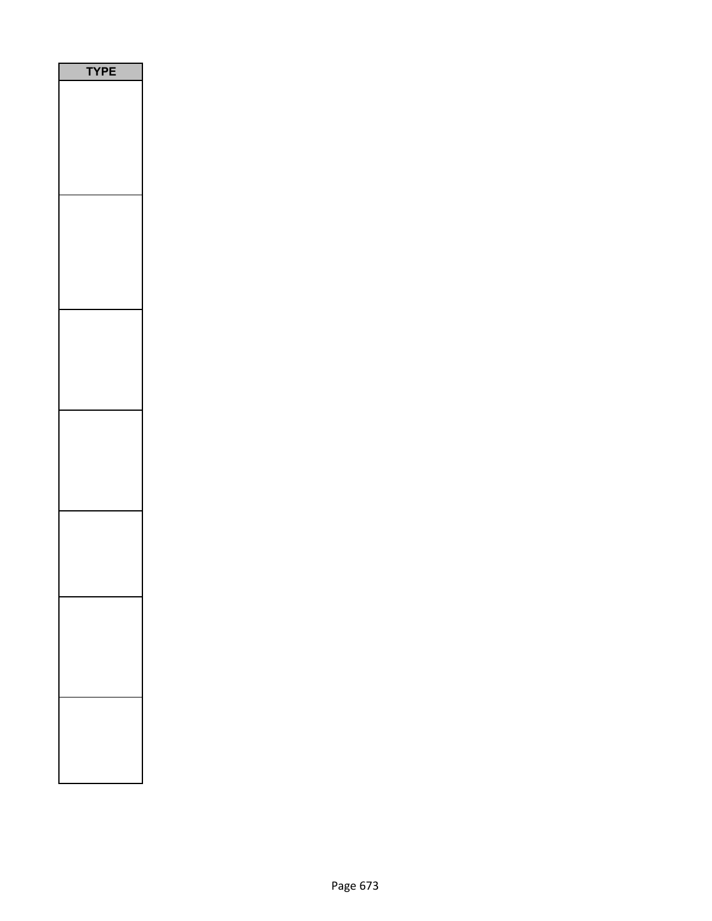| E<br>PI<br>٢ |  |
|--------------|--|
|              |  |
|              |  |
|              |  |
|              |  |
|              |  |
|              |  |
|              |  |
|              |  |
|              |  |
|              |  |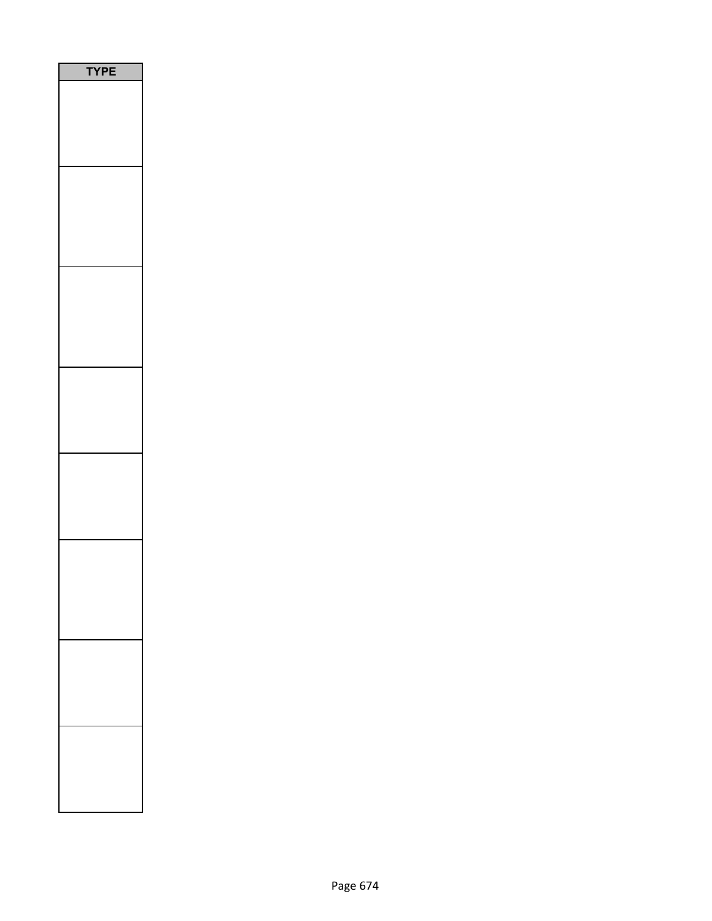| PE |
|----|
|    |
|    |
|    |
|    |
|    |
|    |
|    |
|    |
|    |
|    |
|    |
|    |
|    |
|    |
|    |
|    |
|    |
|    |
|    |
|    |
|    |
|    |
|    |
|    |
|    |
|    |
|    |
|    |
|    |
|    |
|    |
|    |
|    |
|    |
|    |
|    |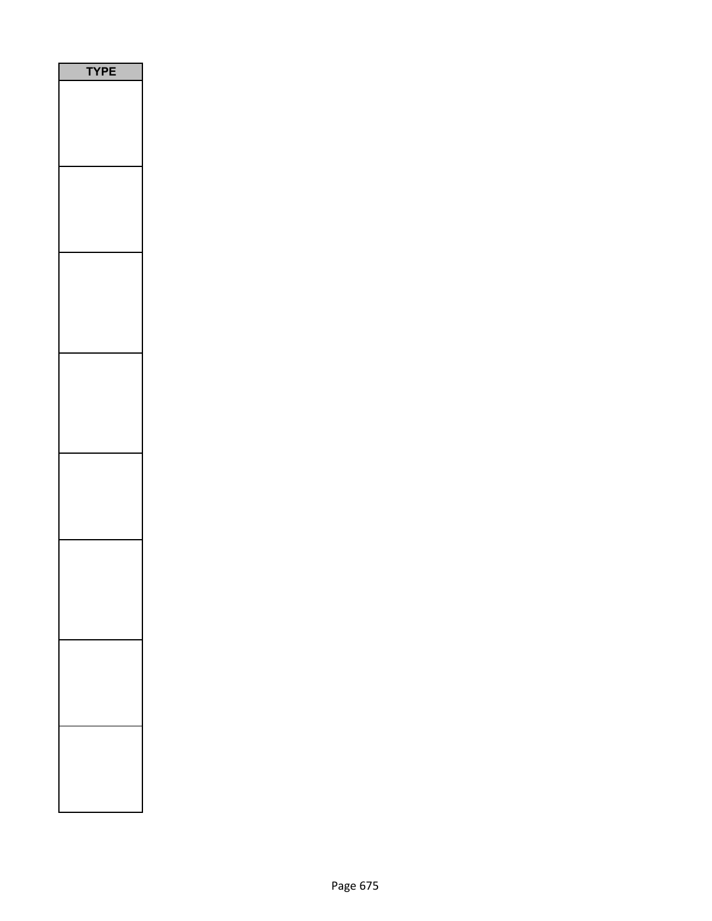| PЕ |  |
|----|--|
|    |  |
|    |  |
|    |  |
|    |  |
|    |  |
|    |  |
|    |  |
|    |  |
|    |  |
|    |  |
|    |  |
|    |  |
|    |  |
|    |  |
|    |  |
|    |  |
|    |  |
|    |  |
|    |  |
|    |  |
|    |  |
|    |  |
|    |  |
|    |  |
|    |  |
|    |  |
|    |  |
|    |  |
|    |  |
|    |  |
|    |  |
|    |  |
|    |  |
|    |  |
|    |  |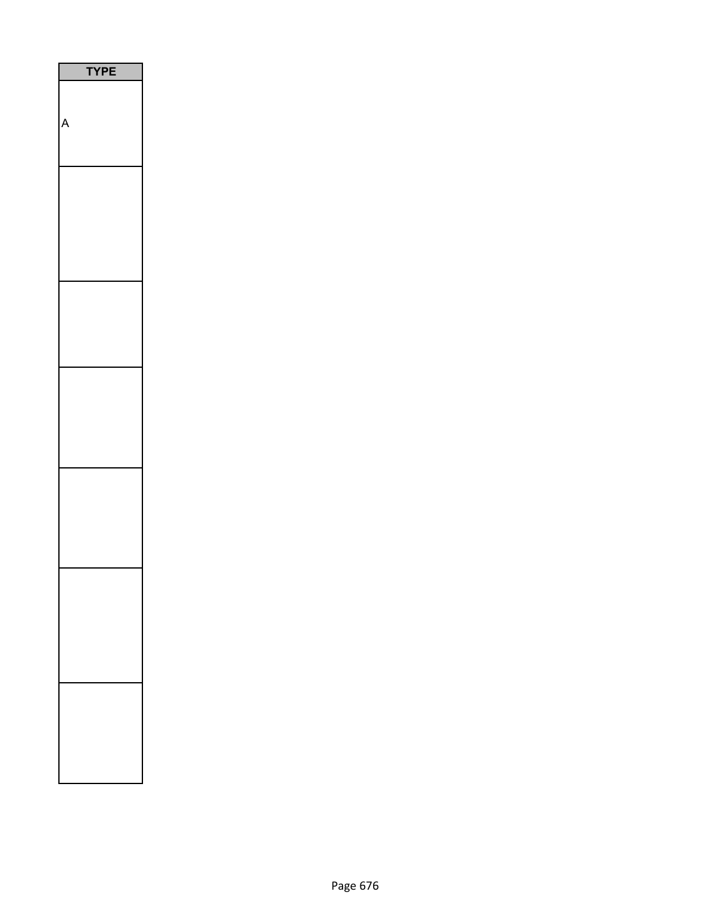| P<br>E |
|--------|
|        |
|        |
|        |
|        |
|        |
|        |
|        |
|        |
|        |
|        |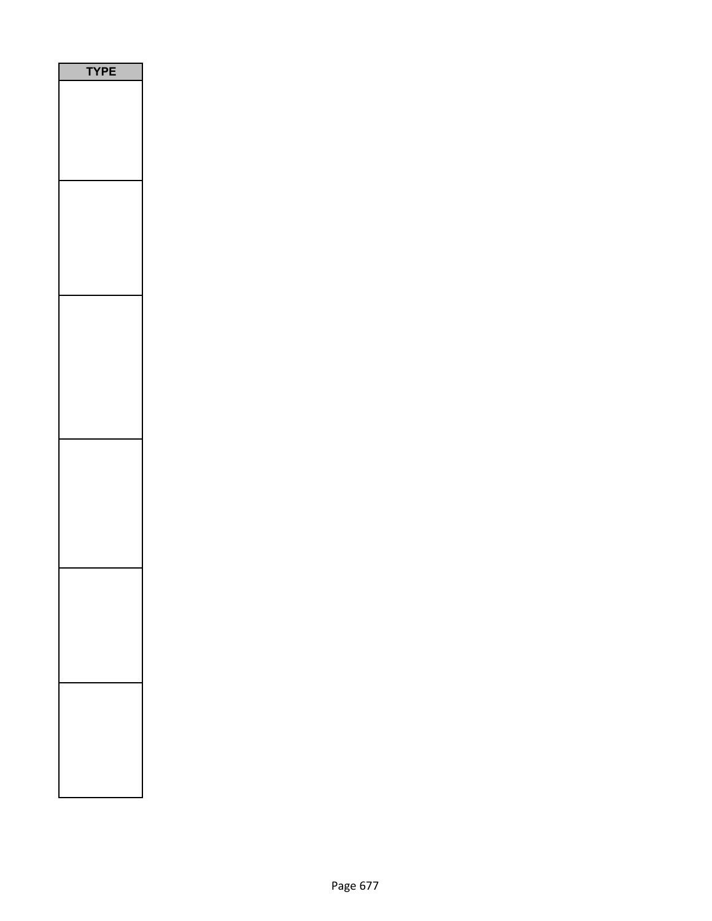| PE<br>$\sqrt{2}$<br>J |  |
|-----------------------|--|
|                       |  |
|                       |  |
|                       |  |
|                       |  |
|                       |  |
|                       |  |
|                       |  |
|                       |  |
|                       |  |
|                       |  |
|                       |  |
|                       |  |
|                       |  |
|                       |  |
|                       |  |
|                       |  |
|                       |  |
|                       |  |
|                       |  |
|                       |  |
|                       |  |
|                       |  |
|                       |  |
|                       |  |
|                       |  |
|                       |  |
|                       |  |
|                       |  |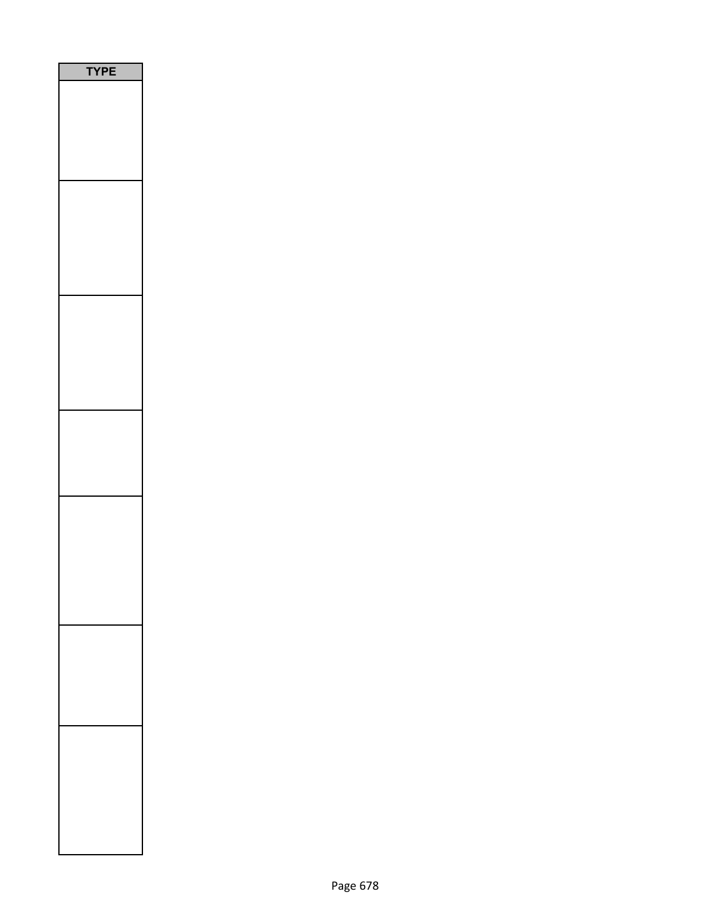| PE<br>Y |
|---------|
|         |
|         |
|         |
|         |
|         |
|         |
|         |
|         |
|         |
|         |
|         |
|         |
|         |
|         |
|         |
|         |
|         |
|         |
|         |
|         |
|         |
|         |
|         |
|         |
|         |
|         |
|         |
|         |
|         |
|         |
|         |
|         |
|         |
|         |
|         |
|         |
|         |
|         |
|         |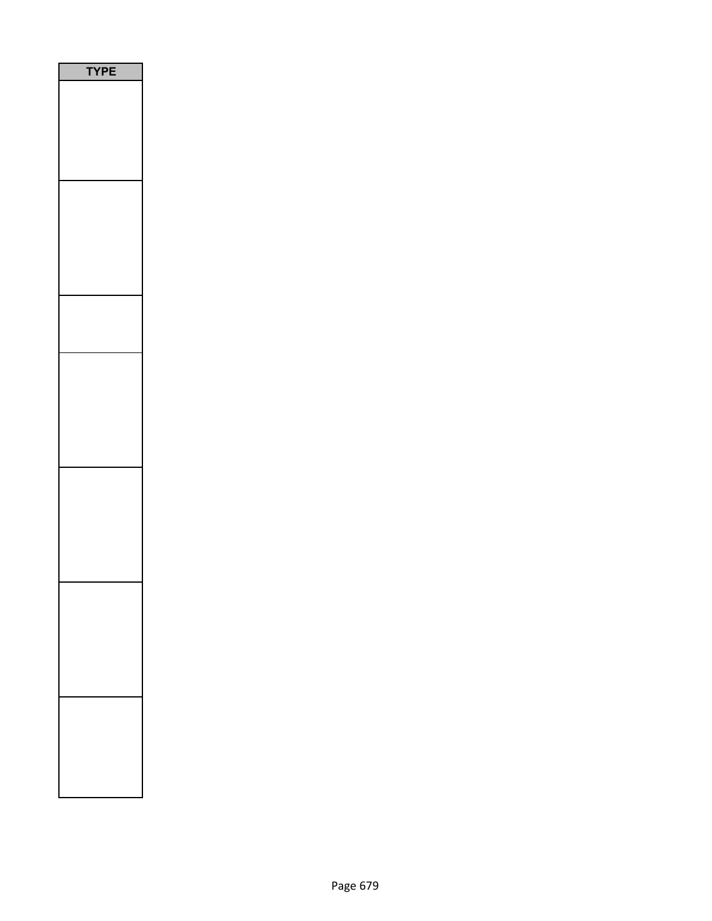| <b>/PE</b><br>٦ |  |
|-----------------|--|
|                 |  |
|                 |  |
|                 |  |
|                 |  |
|                 |  |
|                 |  |
|                 |  |
|                 |  |
|                 |  |
|                 |  |
|                 |  |
|                 |  |
|                 |  |
|                 |  |
|                 |  |
|                 |  |
|                 |  |
|                 |  |
|                 |  |
|                 |  |
|                 |  |
|                 |  |
|                 |  |
|                 |  |
|                 |  |
|                 |  |
|                 |  |
|                 |  |
|                 |  |
|                 |  |
|                 |  |
|                 |  |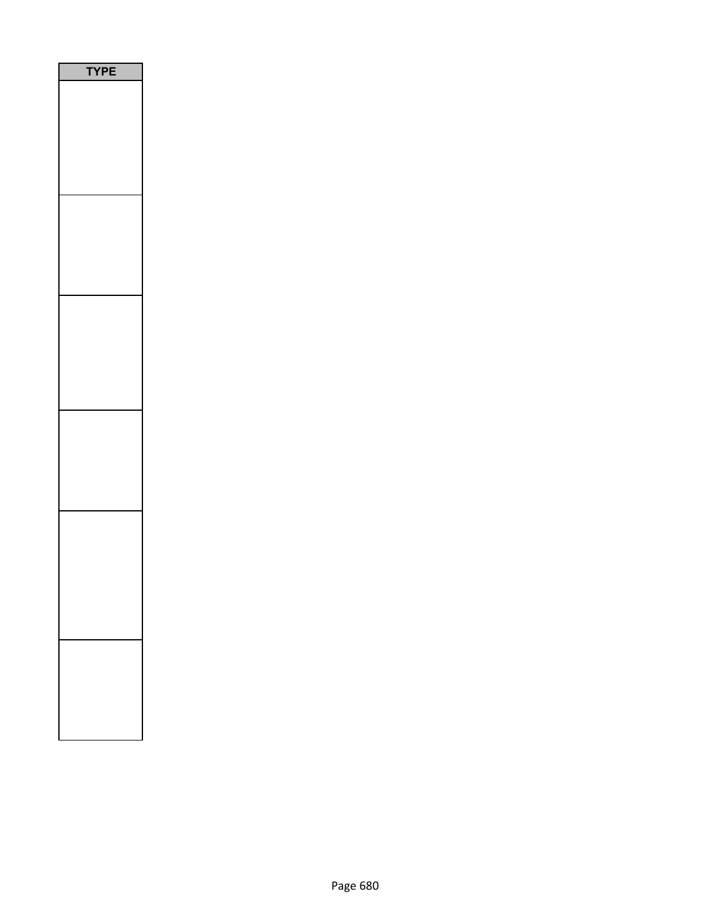| l |
|---|
|   |
|   |
|   |
|   |
|   |
|   |
|   |
|   |
|   |
|   |
|   |
|   |
|   |
|   |
|   |
|   |
|   |
|   |
|   |
|   |
|   |
|   |
|   |
|   |
|   |
|   |
|   |
|   |
|   |
|   |
|   |
|   |
|   |
|   |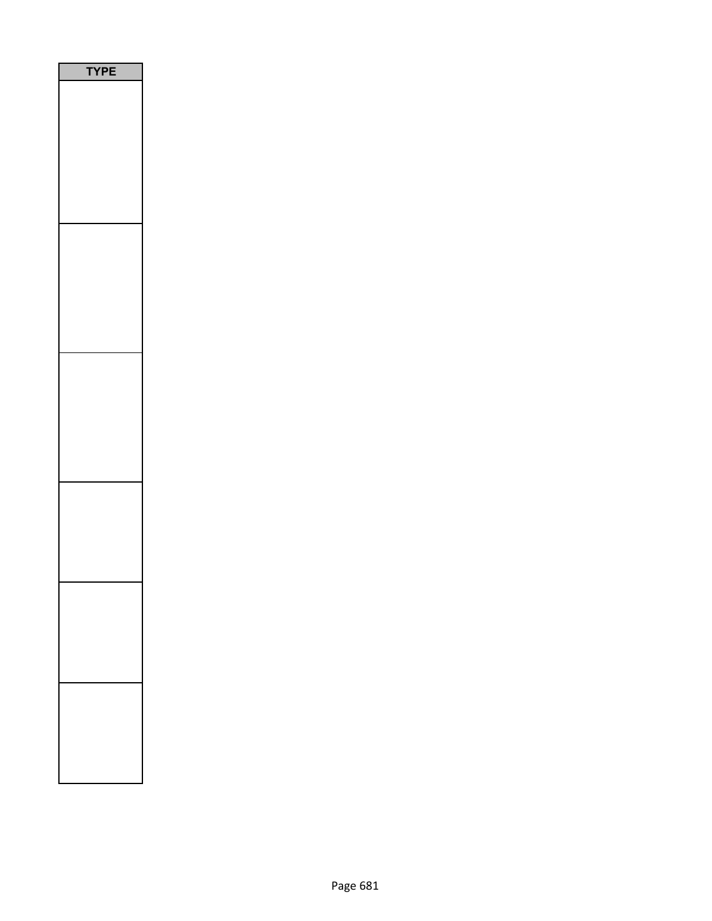| <b>YPE</b> |
|------------|
|            |
|            |
|            |
|            |
|            |
|            |
|            |
|            |
|            |
|            |
|            |
|            |
|            |
|            |
|            |
|            |
|            |
|            |
|            |
|            |
|            |
|            |
|            |
|            |
|            |
|            |
|            |
|            |
|            |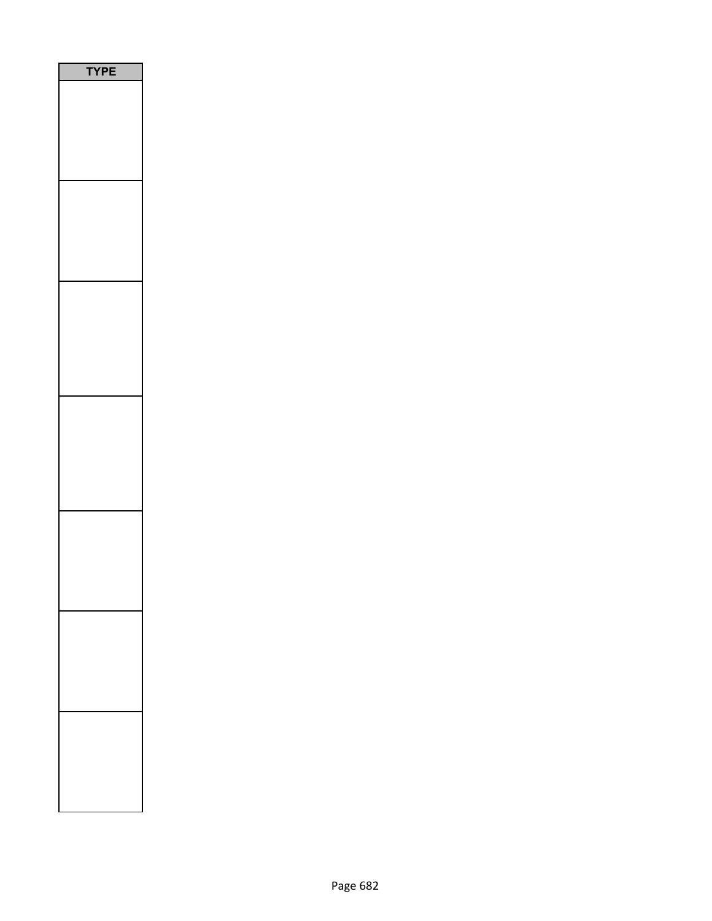| <b>PE</b><br>٦ |
|----------------|
|                |
|                |
|                |
|                |
|                |
|                |
|                |
|                |
|                |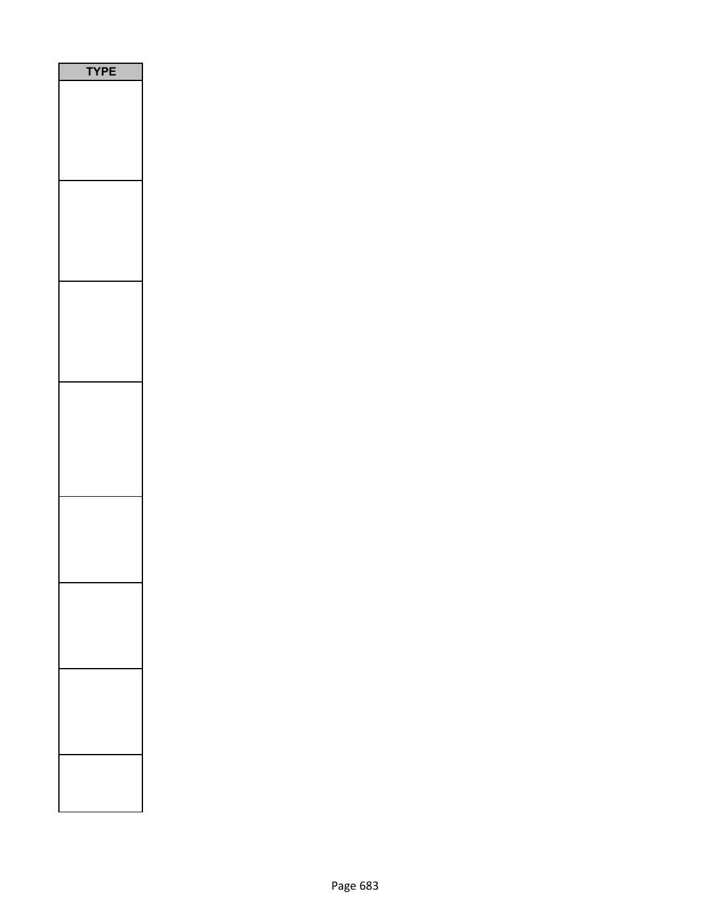| <b>YPE</b><br>I |
|-----------------|
|                 |
|                 |
|                 |
|                 |
|                 |
|                 |
|                 |
|                 |
|                 |
|                 |
|                 |
|                 |
|                 |
|                 |
|                 |
|                 |
|                 |
|                 |
|                 |
|                 |
|                 |
|                 |
|                 |
|                 |
|                 |
|                 |
|                 |
|                 |
|                 |
|                 |
|                 |
|                 |
|                 |
|                 |
|                 |
|                 |
|                 |
|                 |
|                 |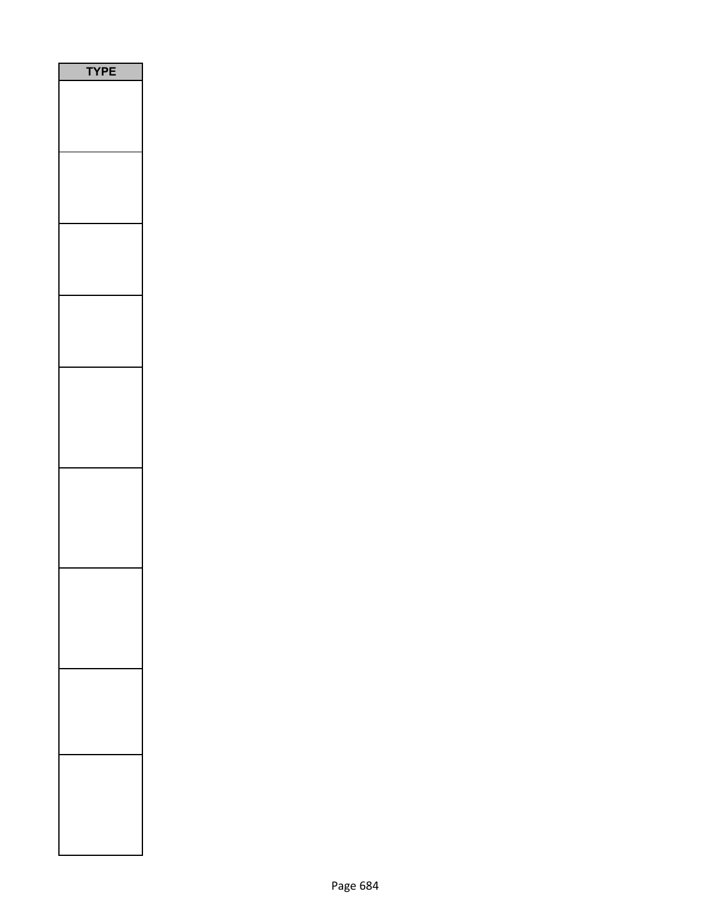| PE<br>┋ |
|---------|
|         |
|         |
|         |
|         |
|         |
|         |
|         |
|         |
|         |
|         |
|         |
|         |
|         |
|         |
|         |
|         |
|         |
|         |
|         |
|         |
|         |
|         |
|         |
|         |
|         |
|         |
|         |
|         |
|         |
|         |
|         |
|         |
|         |
|         |
|         |
|         |
|         |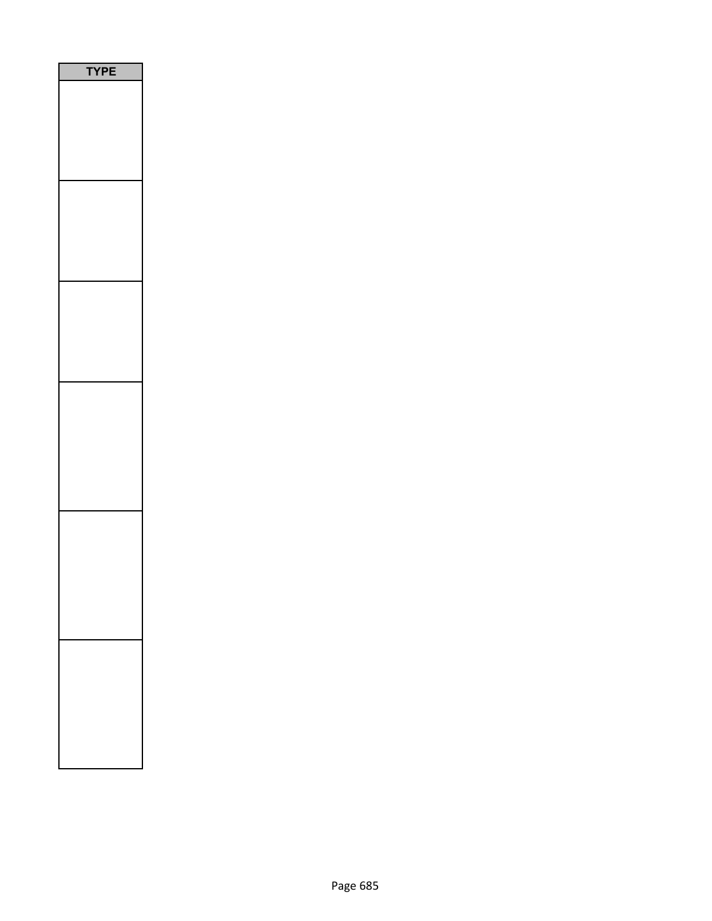| ı |
|---|
|   |
|   |
|   |
|   |
|   |
|   |
|   |
|   |
|   |
|   |
|   |
|   |
|   |
|   |
|   |
|   |
|   |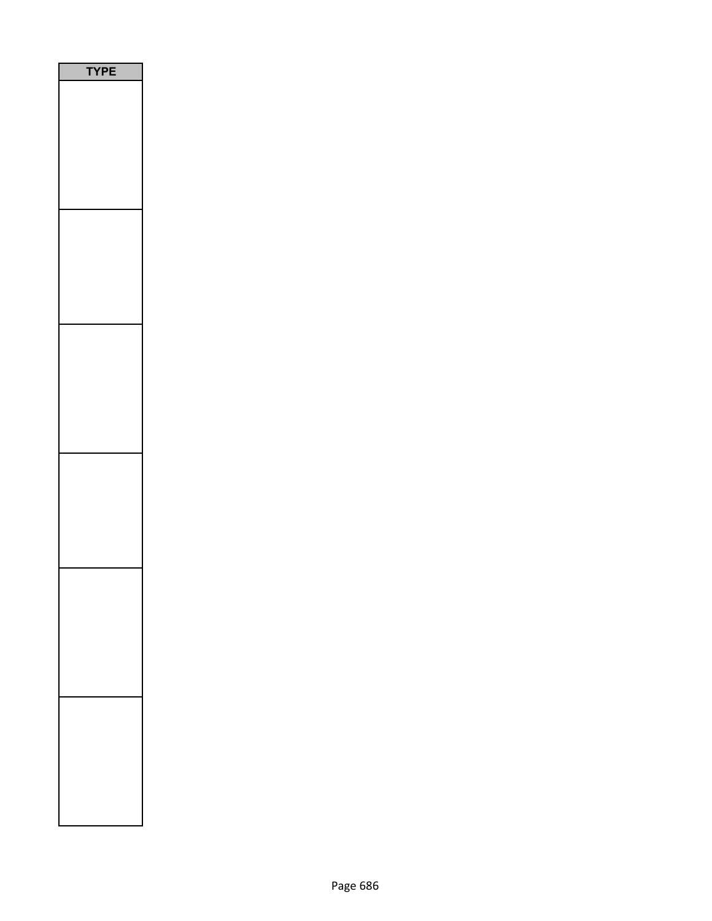| PE<br>Υ |  |
|---------|--|
|         |  |
|         |  |
|         |  |
|         |  |
|         |  |
|         |  |
|         |  |
|         |  |
|         |  |
|         |  |
|         |  |
|         |  |
|         |  |
|         |  |
|         |  |
|         |  |
|         |  |
|         |  |
|         |  |
|         |  |
|         |  |
|         |  |
|         |  |
|         |  |
|         |  |
|         |  |
|         |  |
|         |  |
|         |  |
|         |  |
|         |  |
|         |  |
|         |  |
|         |  |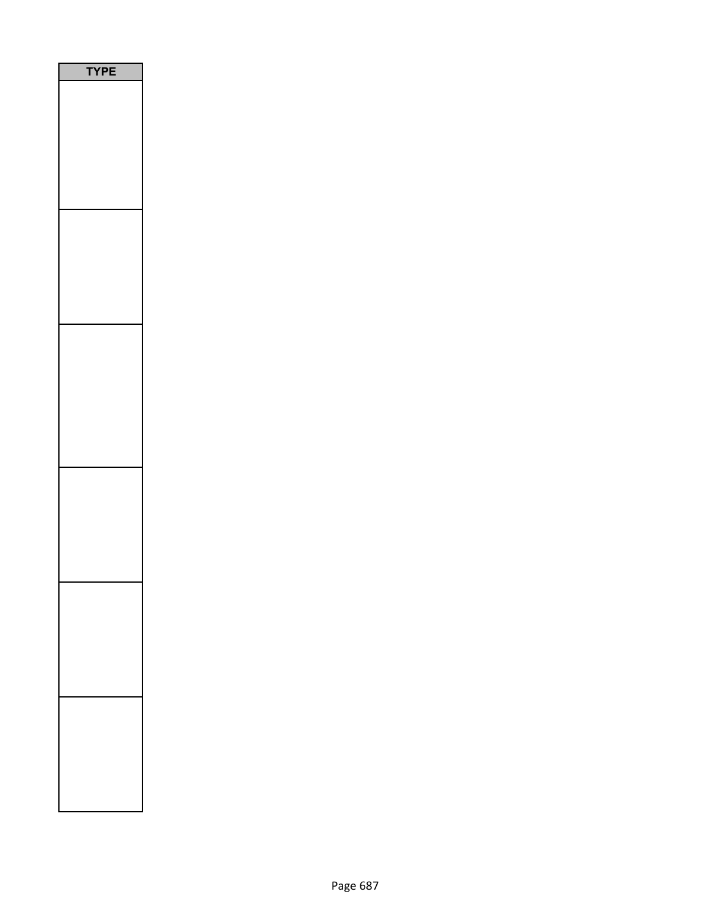| <b>YPE</b> |
|------------|
|            |
|            |
|            |
|            |
|            |
|            |
|            |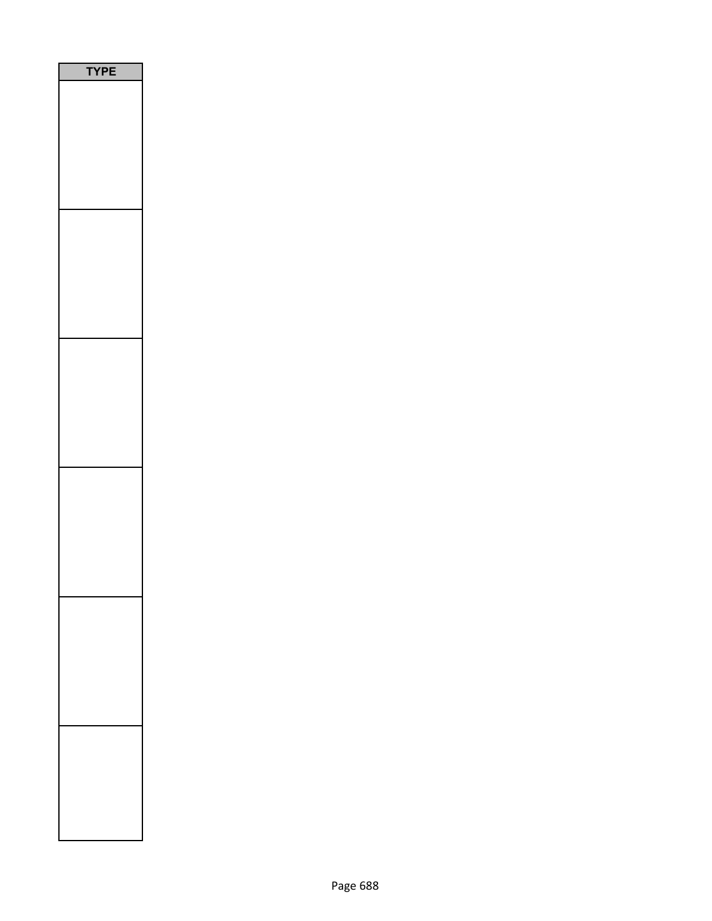| PE<br>ſ |
|---------|
|         |
|         |
|         |
|         |
|         |
|         |
|         |
|         |
|         |
|         |
|         |
|         |
|         |
|         |
|         |
|         |
|         |
|         |
|         |
|         |
|         |
|         |
|         |
|         |
|         |
|         |
|         |
|         |
|         |
|         |
|         |
|         |
|         |
|         |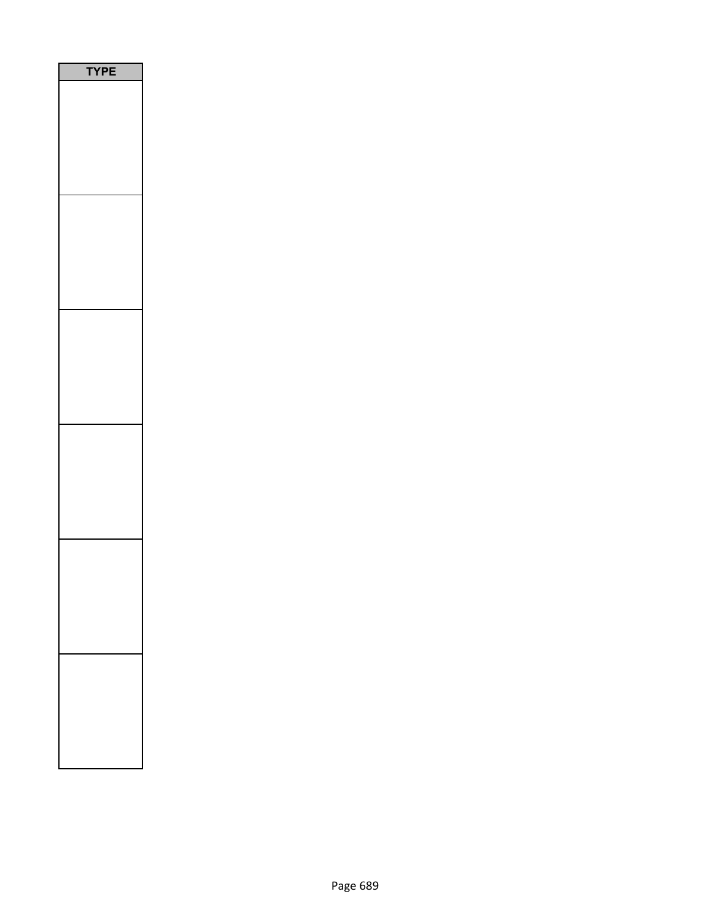| PE<br>٢ |
|---------|
|         |
|         |
|         |
|         |
|         |
|         |
|         |
|         |
|         |
|         |
|         |
|         |
|         |
|         |
|         |
|         |
|         |
|         |
|         |
|         |
|         |
|         |
|         |
|         |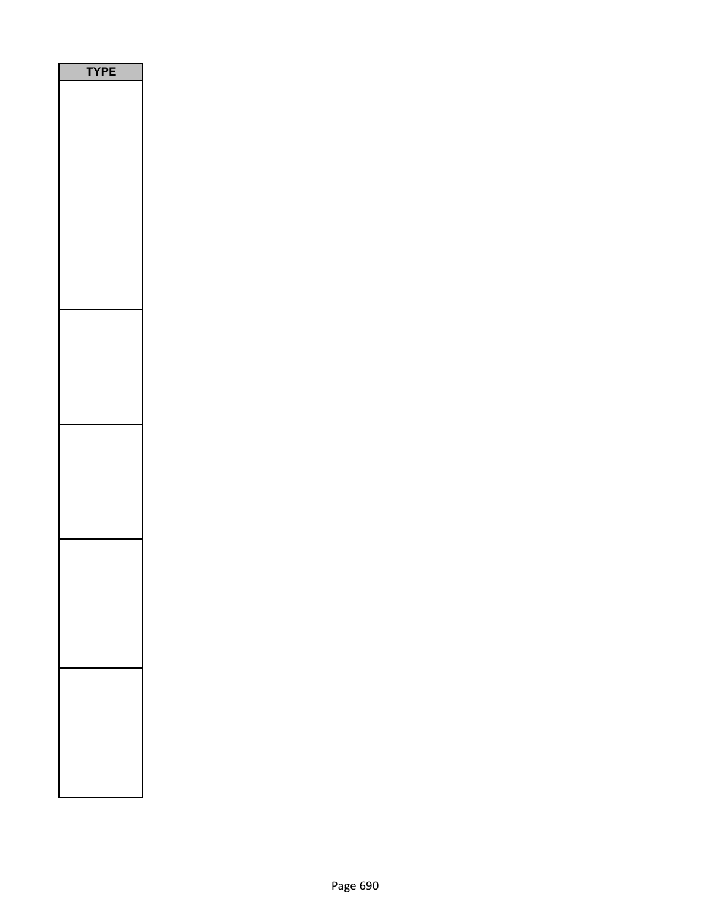| P<br>Ε<br>1<br>n |
|------------------|
|                  |
|                  |
|                  |
|                  |
|                  |
|                  |
|                  |
|                  |
|                  |
|                  |
|                  |
|                  |
|                  |
|                  |
|                  |
|                  |
|                  |
|                  |
|                  |
|                  |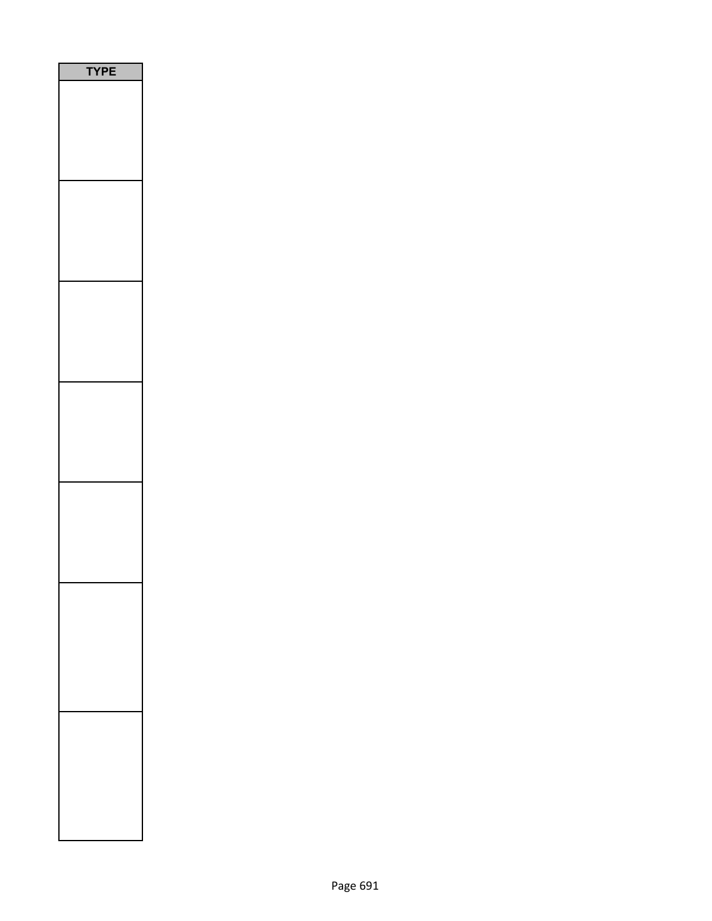| PE<br>١<br>ť |
|--------------|
|              |
|              |
|              |
|              |
|              |
|              |
|              |
|              |
|              |
|              |
|              |
|              |
|              |
|              |
|              |
|              |
|              |
|              |
|              |
|              |
|              |
|              |
|              |
|              |
|              |
|              |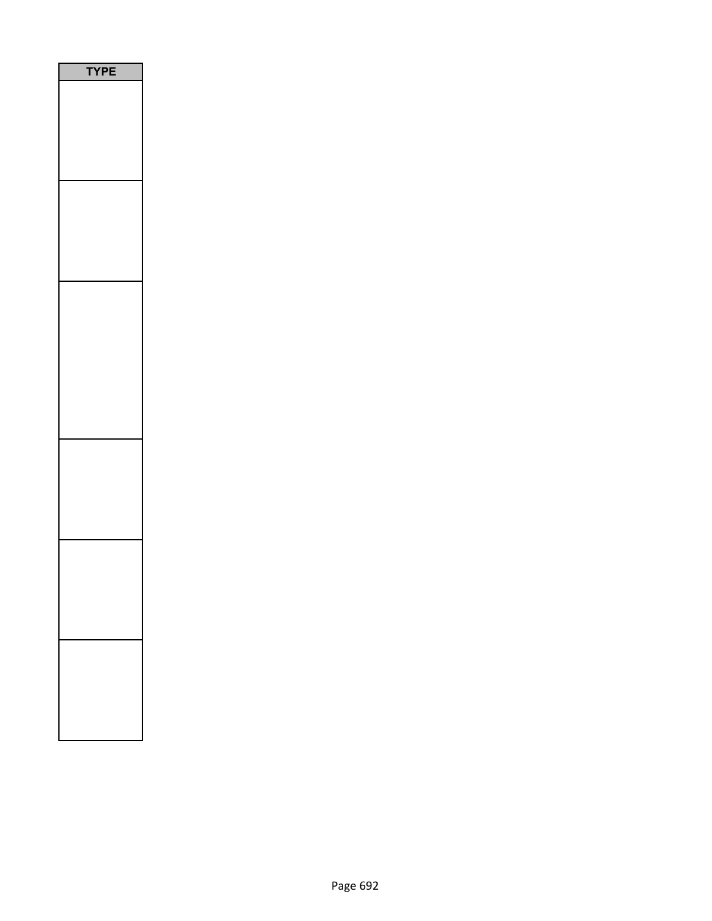| PE<br>۵ |
|---------|
|         |
|         |
|         |
|         |
|         |
|         |
|         |
|         |
|         |
|         |
|         |
|         |
|         |
|         |
|         |
|         |
|         |
|         |
|         |
|         |
|         |
|         |
|         |
|         |
|         |
|         |
|         |
|         |
|         |
|         |
|         |
|         |
|         |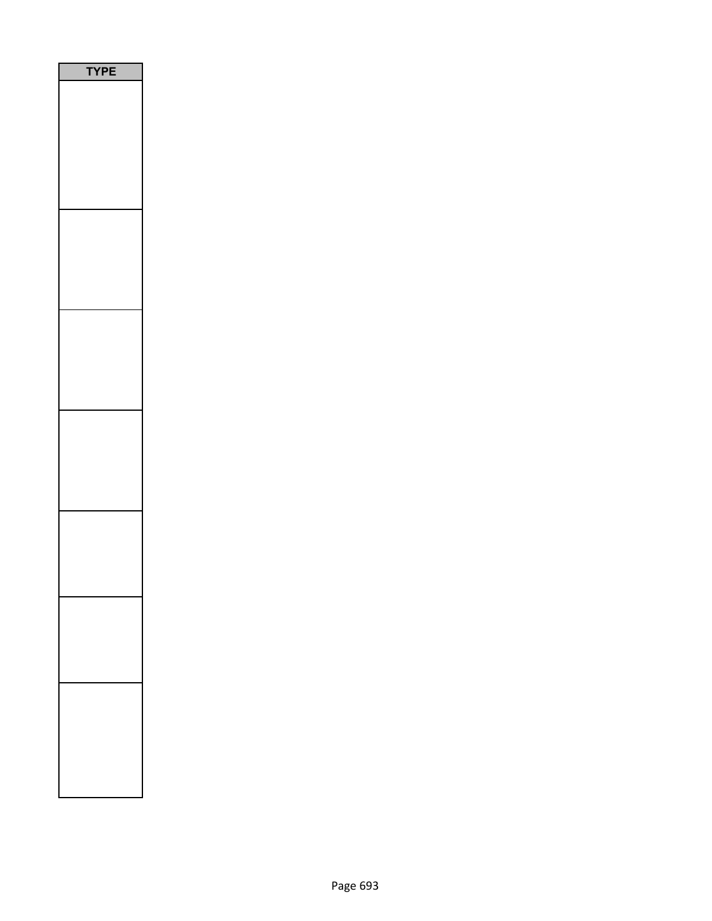| P<br>Ε<br>Y |
|-------------|
|             |
|             |
|             |
|             |
|             |
|             |
|             |
|             |
|             |
|             |
|             |
|             |
|             |
|             |
|             |
|             |
|             |
|             |
|             |
|             |
|             |
|             |
|             |
|             |
|             |
|             |
|             |
|             |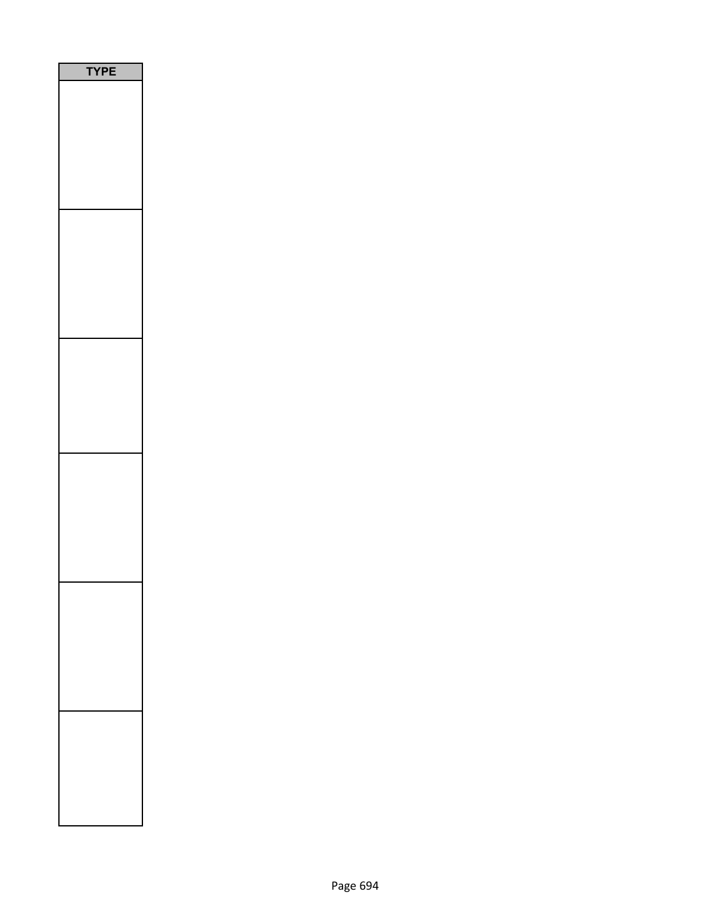| /PE<br>٦ |
|----------|
|          |
|          |
|          |
|          |
|          |
|          |
|          |
|          |
|          |
|          |
|          |
|          |
|          |
|          |
|          |
|          |
|          |
|          |
|          |
|          |
|          |
|          |
|          |
|          |
|          |
|          |
|          |
|          |
|          |
|          |
|          |
|          |
|          |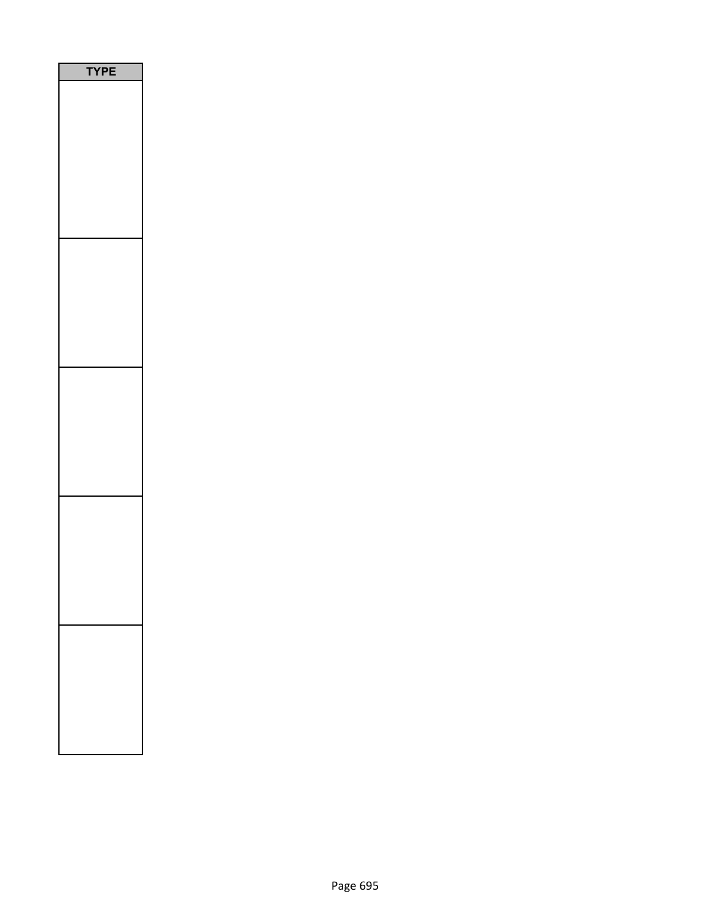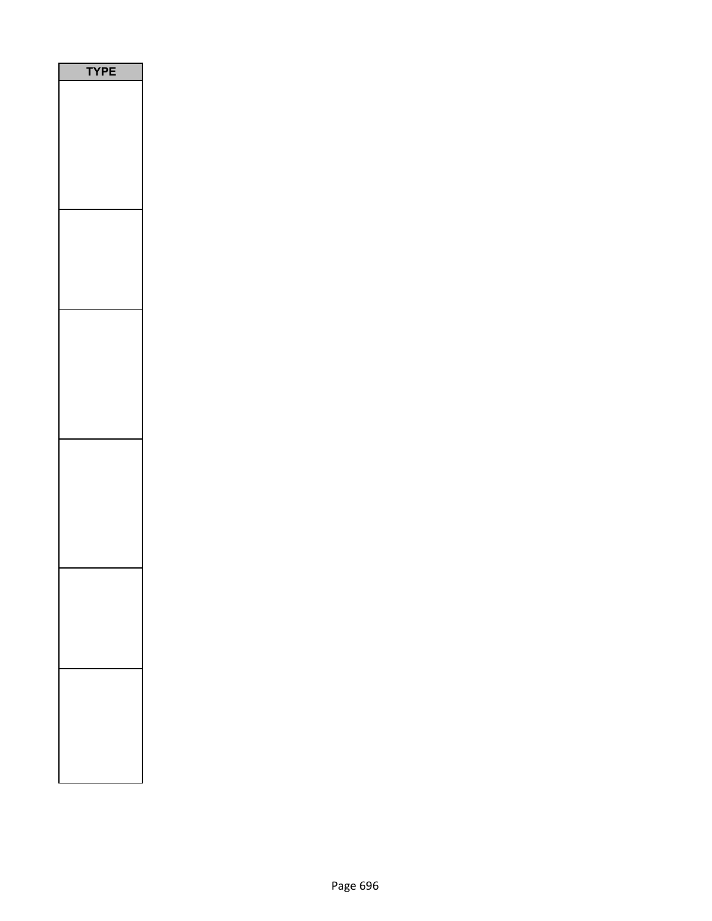| ٩ |
|---|
|   |
|   |
|   |
|   |
|   |
|   |
|   |
|   |
|   |
|   |
|   |
|   |
|   |
|   |
|   |
|   |
|   |
|   |
|   |
|   |
|   |
|   |
|   |
|   |
|   |
|   |
|   |
|   |
|   |
|   |
|   |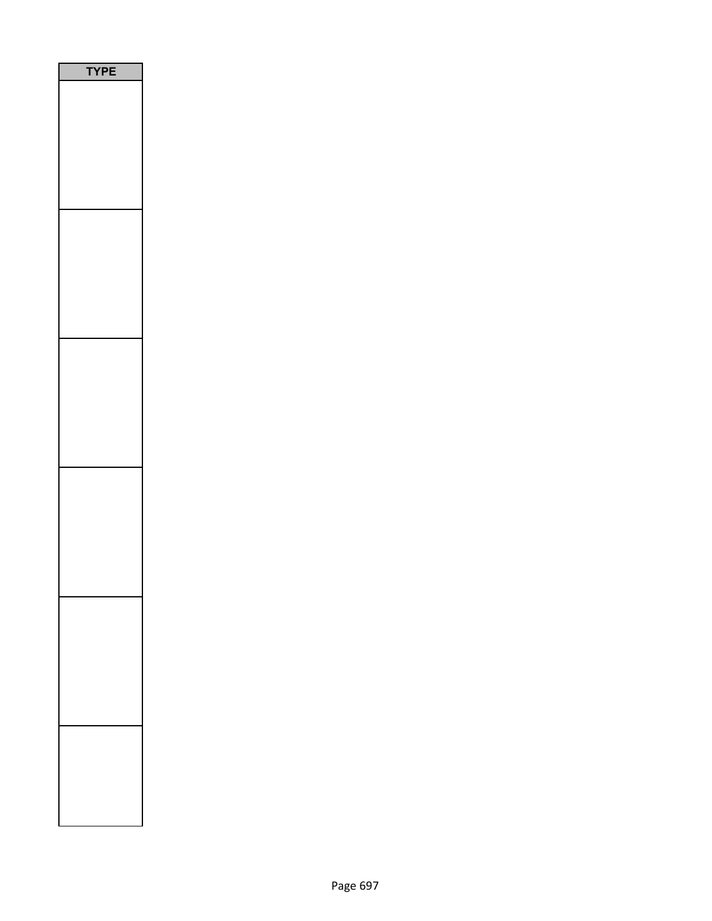| <b>YPE</b> |
|------------|
|            |
|            |
|            |
|            |
|            |
|            |
|            |
|            |
|            |
|            |
|            |
|            |
|            |
|            |
|            |
|            |
|            |
|            |
|            |
|            |
|            |
|            |
|            |
|            |
|            |
|            |
|            |
|            |
|            |
|            |
|            |
|            |
|            |
|            |
|            |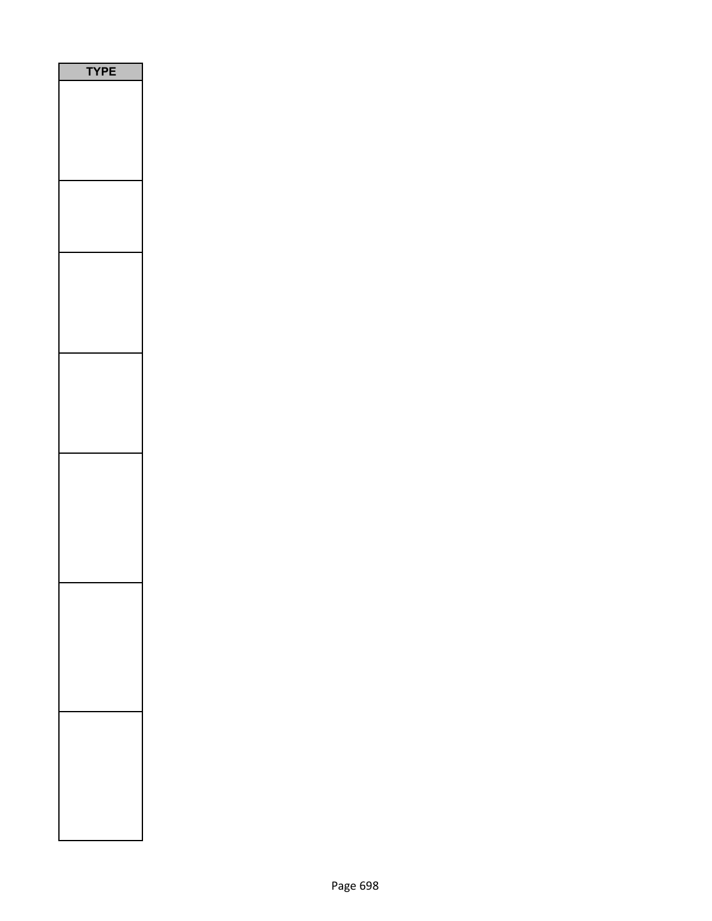| PE |
|----|
|    |
|    |
|    |
|    |
|    |
|    |
|    |
|    |
|    |
|    |
|    |
|    |
|    |
|    |
|    |
|    |
|    |
|    |
|    |
|    |
|    |
|    |
|    |
|    |
|    |
|    |
|    |
|    |
|    |
|    |
|    |
|    |
|    |
|    |
|    |
|    |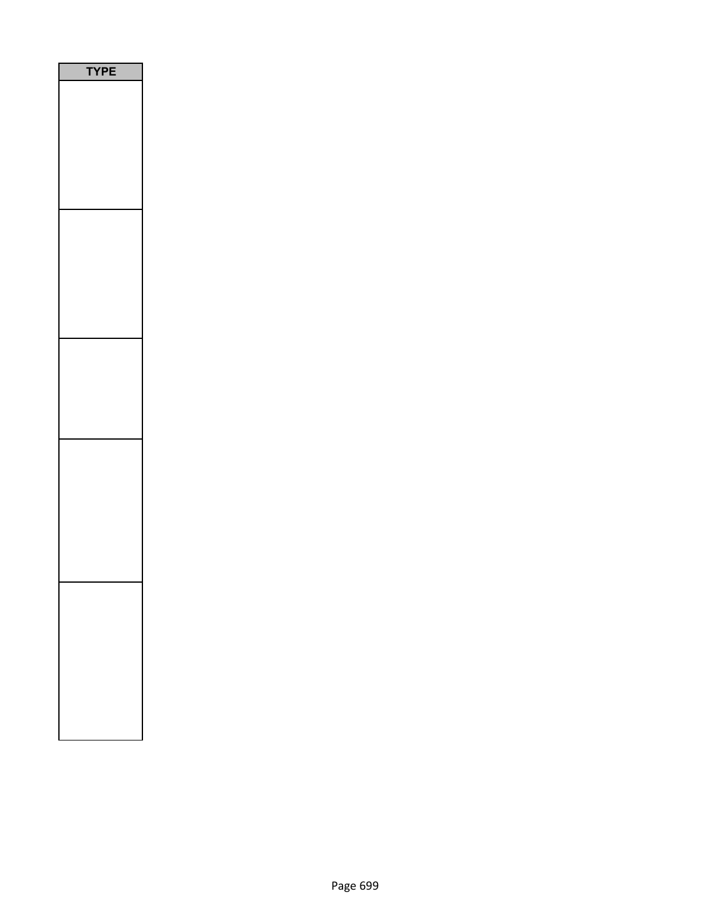| Ρ<br>1<br>I |  |
|-------------|--|
|             |  |
|             |  |
|             |  |
|             |  |
|             |  |
|             |  |
|             |  |
|             |  |
|             |  |
|             |  |
|             |  |
|             |  |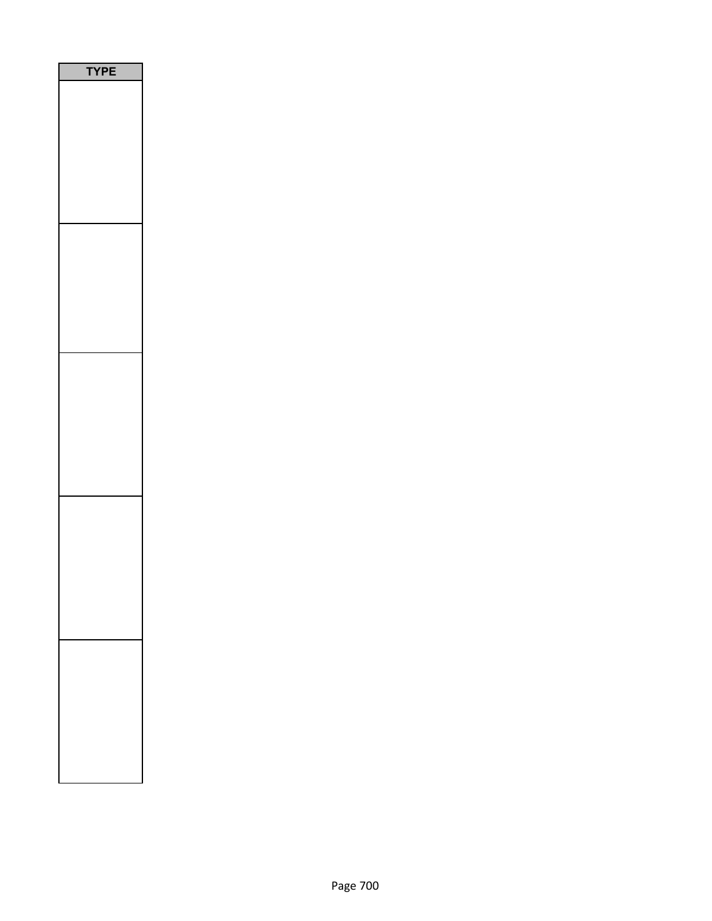| E<br>P<br>ſ |
|-------------|
|             |
|             |
|             |
|             |
|             |
|             |
|             |
|             |
|             |
|             |
|             |
|             |
|             |
|             |
|             |
|             |
|             |
|             |
|             |
|             |
|             |
|             |
|             |
|             |
|             |
|             |
|             |
|             |
|             |
|             |
|             |
|             |
|             |
|             |
|             |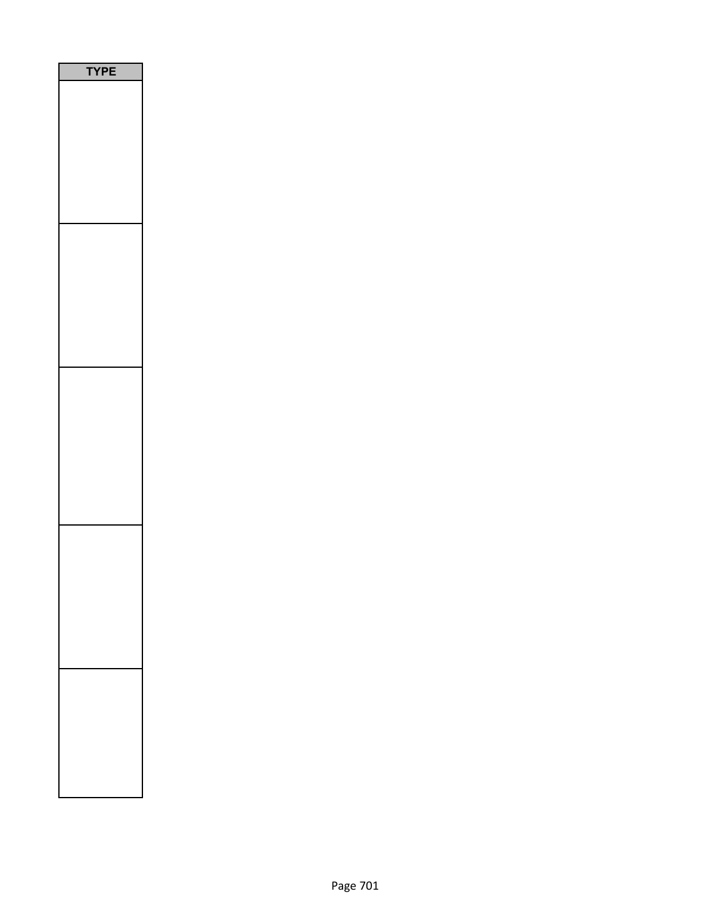| <b>TYPE</b> |  |
|-------------|--|
|             |  |
|             |  |
|             |  |
|             |  |
|             |  |
|             |  |
|             |  |
|             |  |
|             |  |
|             |  |
|             |  |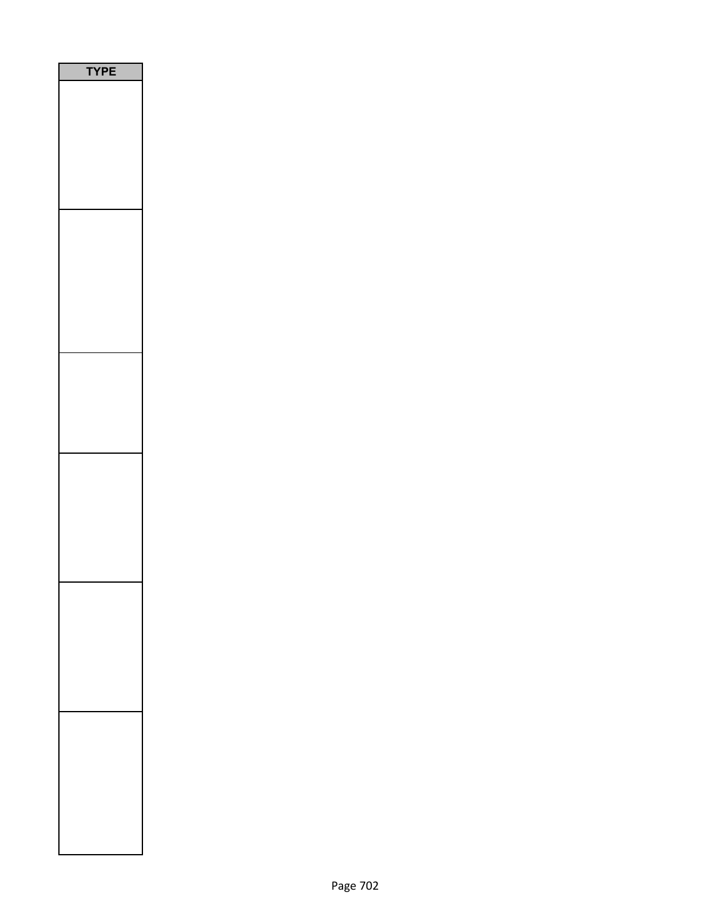| PE<br>٦ |  |
|---------|--|
|         |  |
|         |  |
|         |  |
|         |  |
|         |  |
|         |  |
|         |  |
|         |  |
|         |  |
|         |  |
|         |  |
|         |  |
|         |  |
|         |  |
|         |  |
|         |  |
|         |  |
|         |  |
|         |  |
|         |  |
|         |  |
|         |  |
|         |  |
|         |  |
|         |  |
|         |  |
|         |  |
|         |  |
|         |  |
|         |  |
|         |  |
|         |  |
|         |  |
|         |  |
|         |  |
|         |  |
|         |  |
|         |  |
|         |  |
|         |  |
|         |  |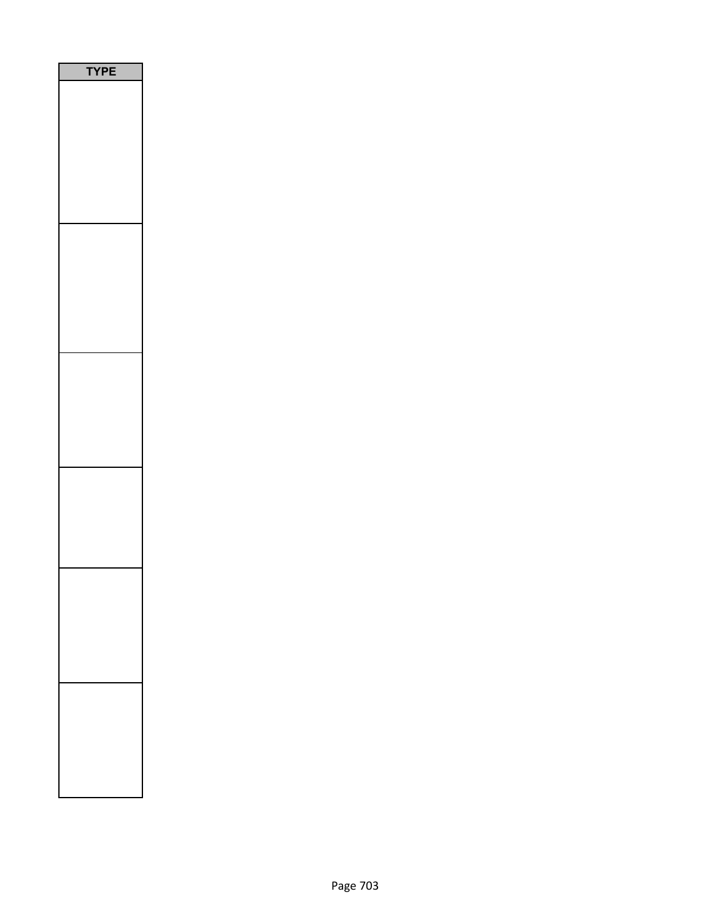| E<br>P<br>1<br>٦ |
|------------------|
|                  |
|                  |
|                  |
|                  |
|                  |
|                  |
|                  |
|                  |
|                  |
|                  |
|                  |
|                  |
|                  |
|                  |
|                  |
|                  |
|                  |
|                  |
|                  |
|                  |
|                  |
|                  |
|                  |
|                  |
|                  |
|                  |
|                  |
|                  |
|                  |
|                  |
|                  |
|                  |
|                  |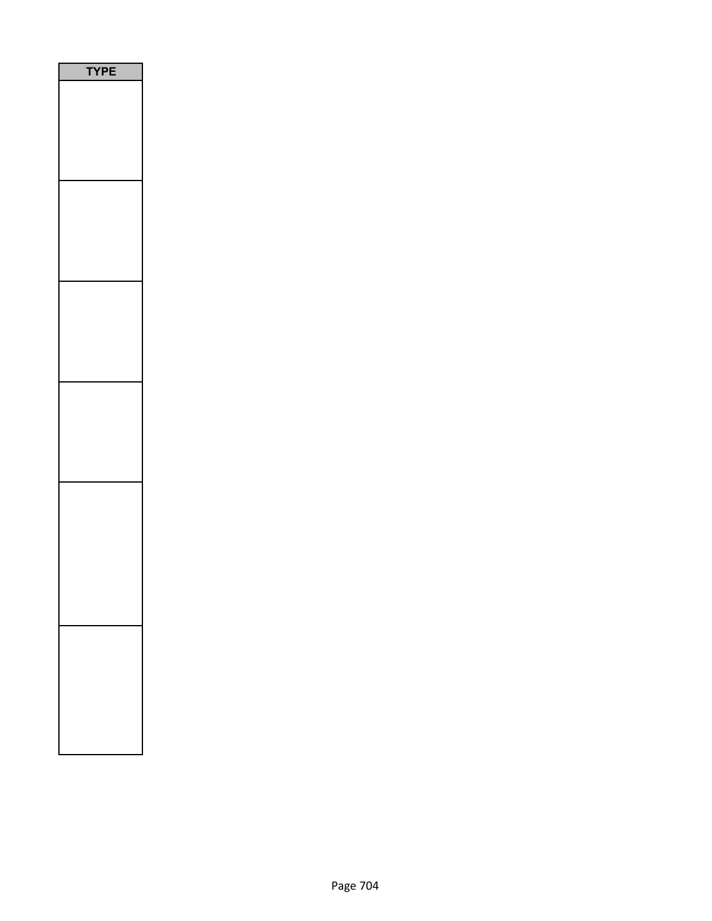| E<br>י |
|--------|
|        |
|        |
|        |
|        |
|        |
|        |
|        |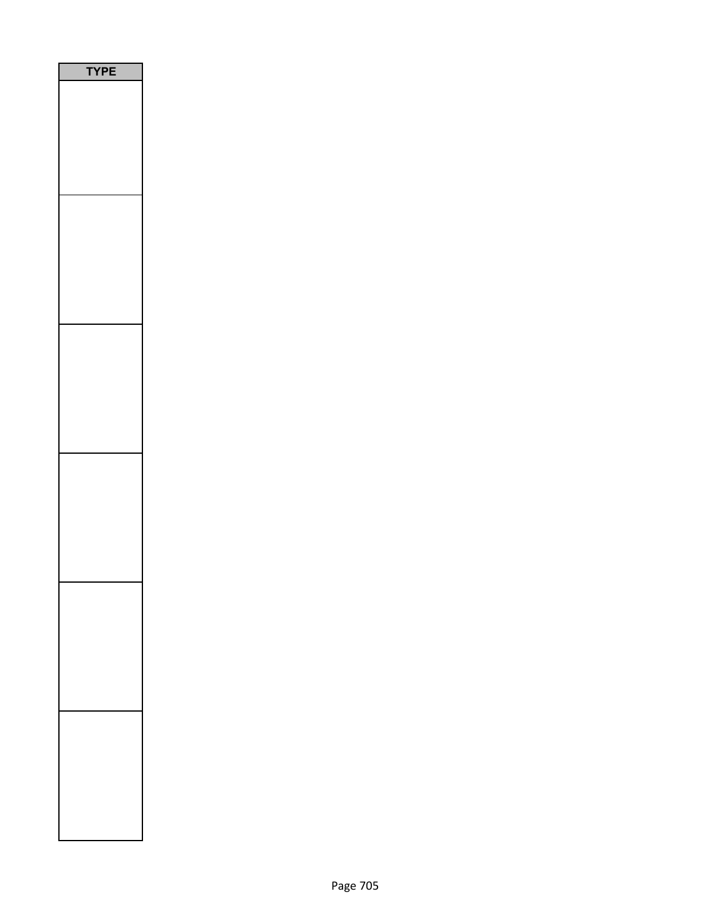| <b>/PE</b><br>٦ |
|-----------------|
|                 |
|                 |
|                 |
|                 |
|                 |
|                 |
|                 |
|                 |
|                 |
|                 |
|                 |
|                 |
|                 |
|                 |
|                 |
|                 |
|                 |
|                 |
|                 |
|                 |
|                 |
|                 |
|                 |
|                 |
|                 |
|                 |
|                 |
|                 |
|                 |
|                 |
|                 |
|                 |
|                 |
|                 |
|                 |
|                 |
|                 |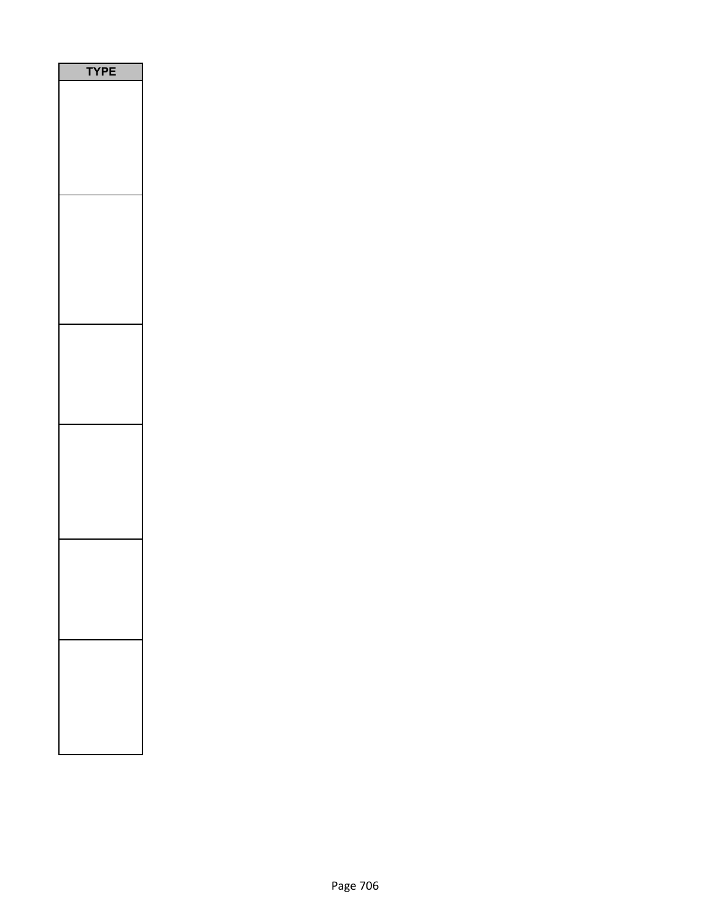| Ε<br>PI |
|---------|
|         |
|         |
|         |
|         |
|         |
|         |
|         |
|         |
|         |
|         |
|         |
|         |
|         |
|         |
|         |
|         |
|         |
|         |
|         |
|         |
|         |
|         |
|         |
|         |
|         |
|         |
|         |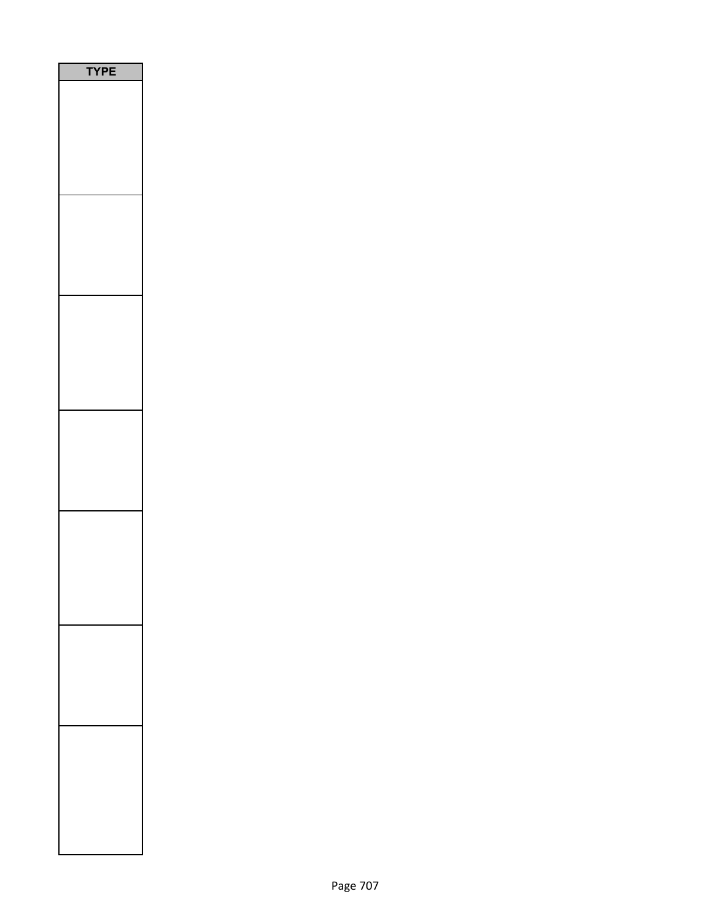| PE<br>Y |
|---------|
|         |
|         |
|         |
|         |
|         |
|         |
|         |
|         |
|         |
|         |
|         |
|         |
|         |
|         |
|         |
|         |
|         |
|         |
|         |
|         |
|         |
|         |
|         |
|         |
|         |
|         |
|         |
|         |
|         |
|         |
|         |
|         |
|         |
|         |
|         |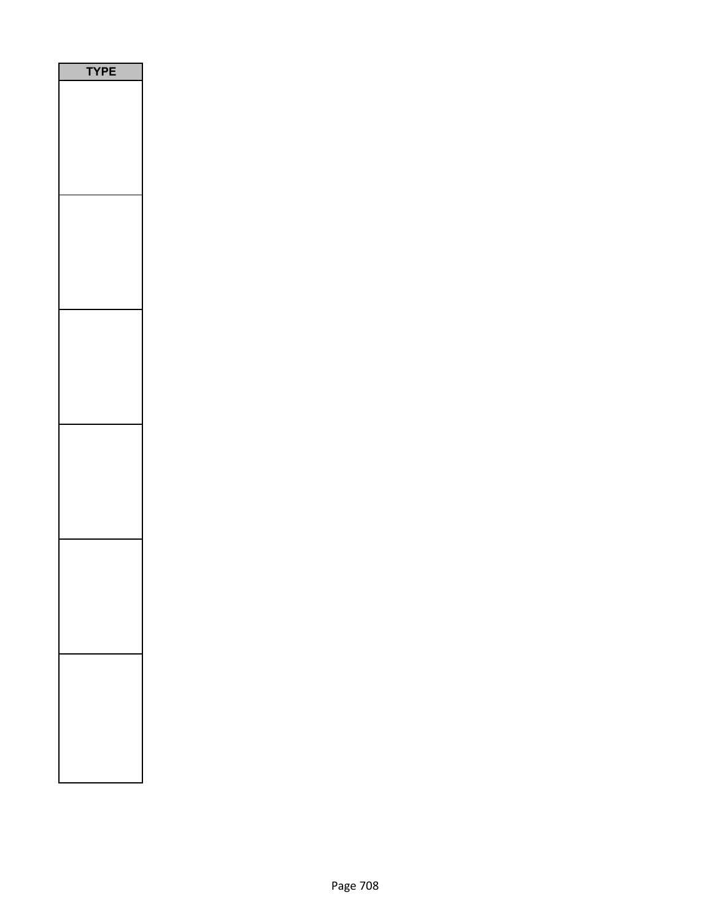| PE<br>$\sqrt{2}$<br>١ |
|-----------------------|
|                       |
|                       |
|                       |
|                       |
|                       |
|                       |
|                       |
|                       |
|                       |
|                       |
|                       |
|                       |
|                       |
|                       |
|                       |
|                       |
|                       |
|                       |
|                       |
|                       |
|                       |
|                       |
|                       |
|                       |
|                       |
|                       |
|                       |
|                       |
|                       |
|                       |
|                       |
|                       |
|                       |
|                       |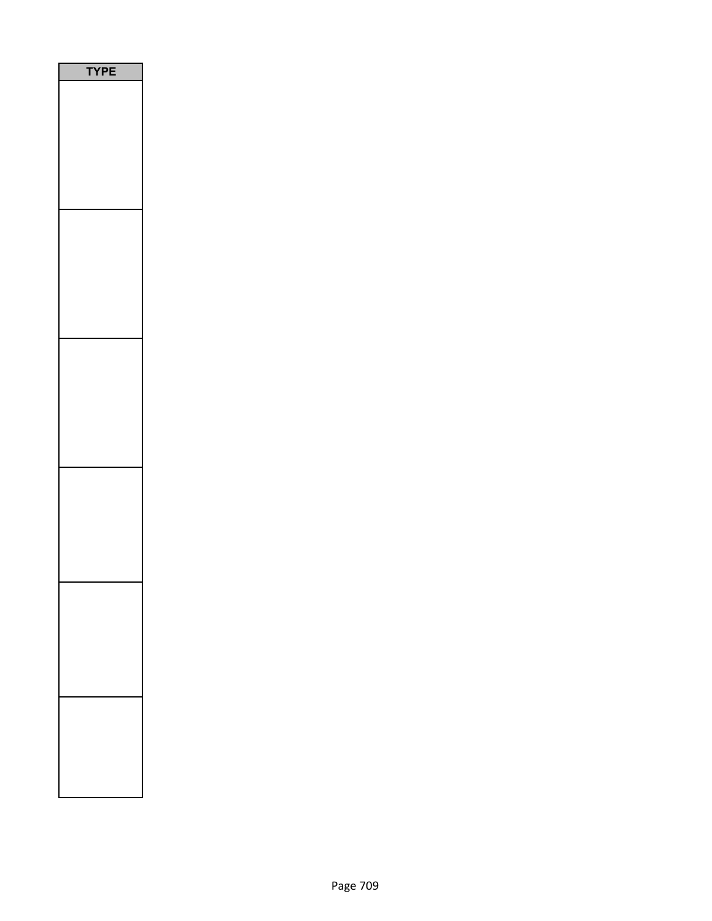| <b>YPE</b> |
|------------|
|            |
|            |
|            |
|            |
|            |
|            |
|            |
|            |
|            |
|            |
|            |
|            |
|            |
|            |
|            |
|            |
|            |
|            |
|            |
|            |
|            |
|            |
|            |
|            |
|            |
|            |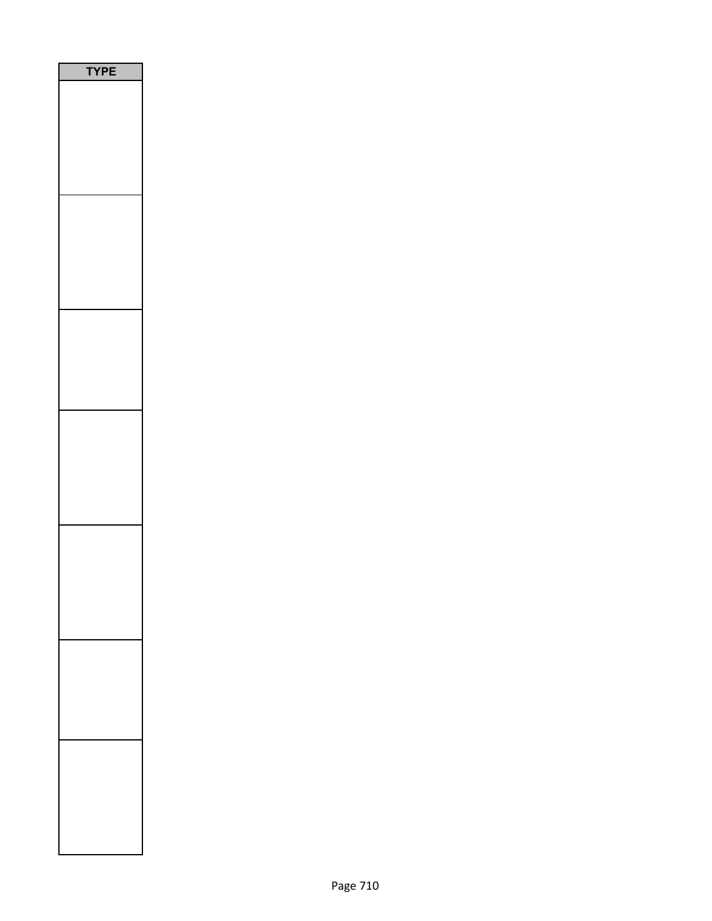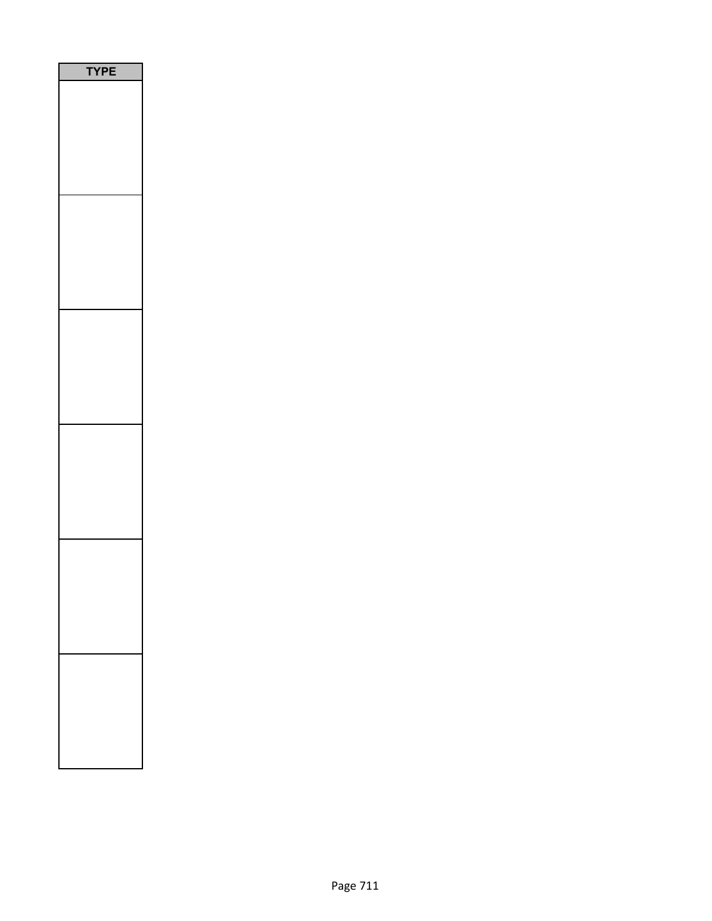| PE<br>٢ |
|---------|
|         |
|         |
|         |
|         |
|         |
|         |
|         |
|         |
|         |
|         |
|         |
|         |
|         |
|         |
|         |
|         |
|         |
|         |
|         |
|         |
|         |
|         |
|         |
|         |
|         |
|         |
|         |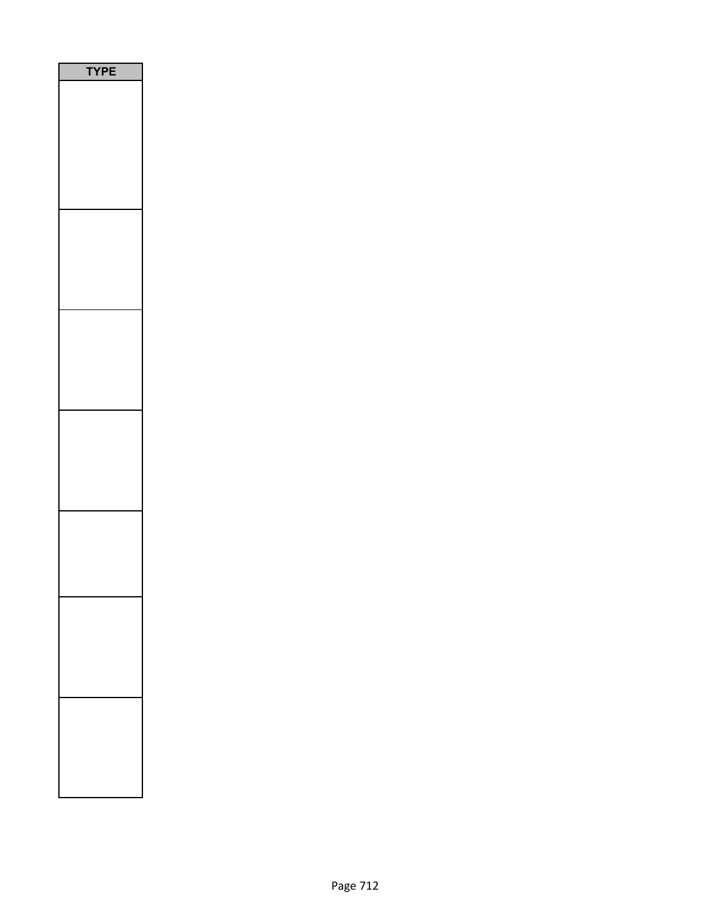| <b>YPE</b> |
|------------|
|            |
|            |
|            |
|            |
|            |
|            |
|            |
|            |
|            |
|            |
|            |
|            |
|            |
|            |
|            |
|            |
|            |
|            |
|            |
|            |
|            |
|            |
|            |
|            |
|            |
|            |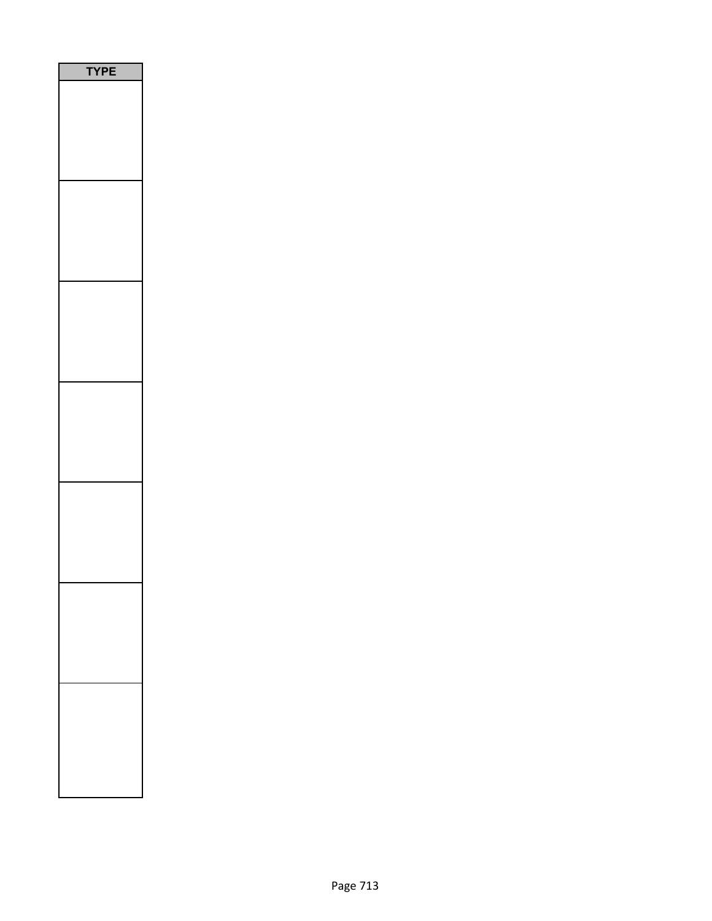| <b>/PE</b><br>٦ |
|-----------------|
|                 |
|                 |
|                 |
|                 |
|                 |
|                 |
|                 |
|                 |
|                 |
|                 |
|                 |
|                 |
|                 |
|                 |
|                 |
|                 |
|                 |
|                 |
|                 |
|                 |
|                 |
|                 |
|                 |
|                 |
|                 |
|                 |
|                 |
|                 |
|                 |
|                 |
|                 |
|                 |
|                 |
|                 |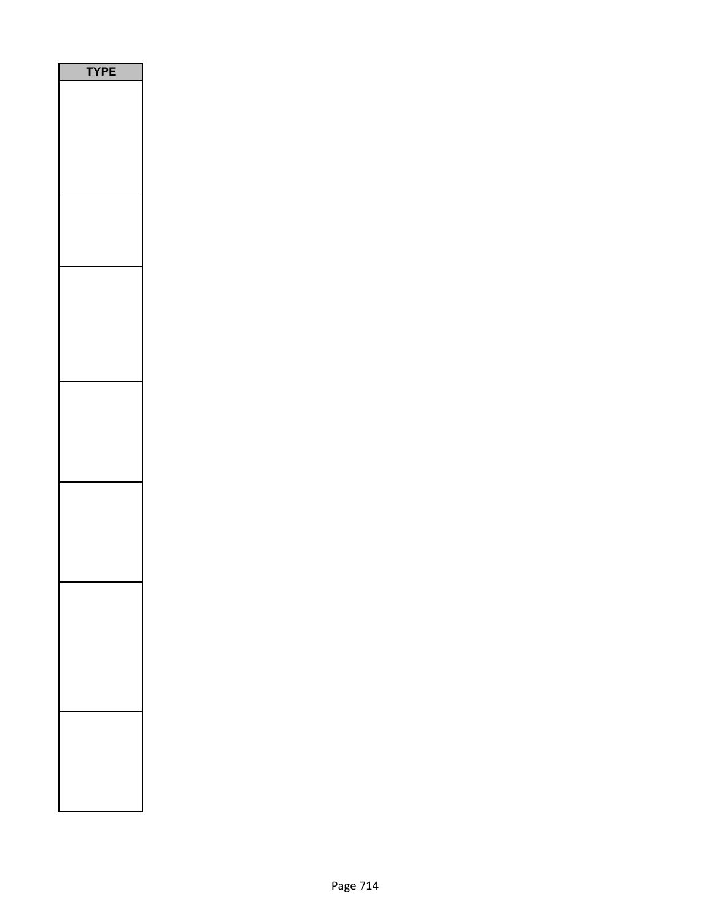| Ε<br>P<br>ſ<br>h |
|------------------|
|                  |
|                  |
|                  |
|                  |
|                  |
|                  |
|                  |
|                  |
|                  |
|                  |
|                  |
|                  |
|                  |
|                  |
|                  |
|                  |
|                  |
|                  |
|                  |
|                  |
|                  |
|                  |
|                  |
|                  |
|                  |
|                  |
|                  |
|                  |
|                  |
|                  |
|                  |
|                  |
|                  |
|                  |
|                  |
|                  |
|                  |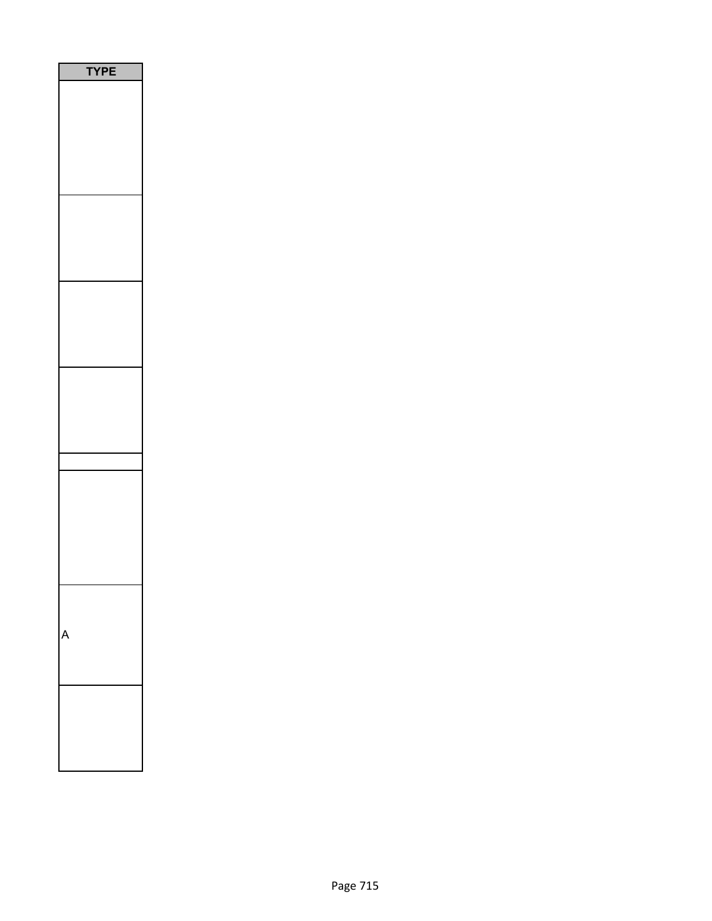| ١ | <b>TYPE</b> |
|---|-------------|
|   |             |
|   |             |
|   |             |
|   |             |
|   |             |
|   |             |
|   |             |
|   |             |
|   |             |
|   |             |
|   |             |
|   |             |
|   |             |
|   |             |
|   |             |
|   |             |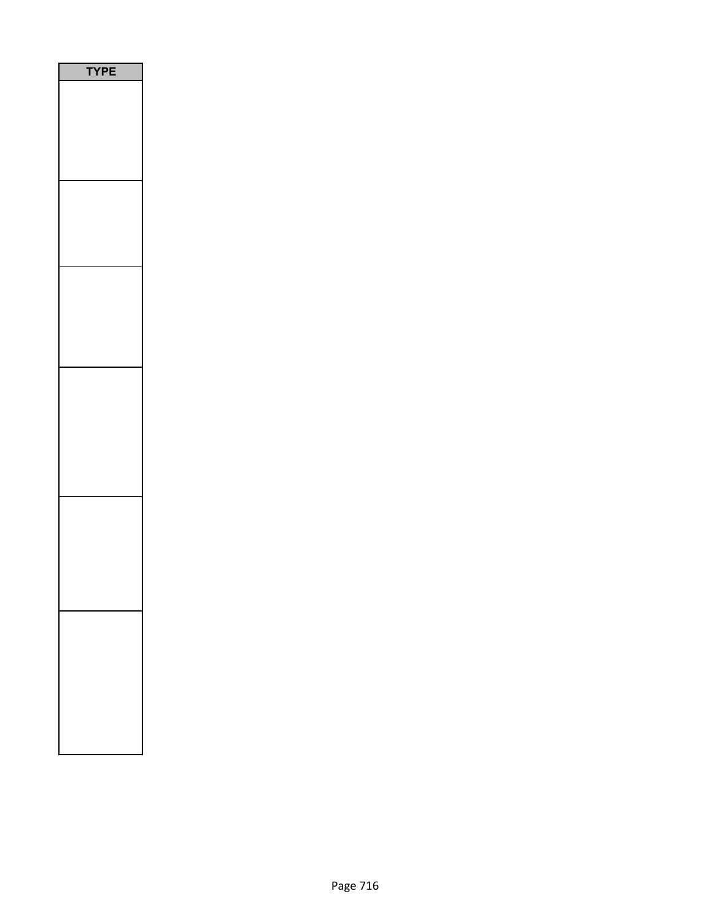| l<br>ı |
|--------|
|        |
|        |
|        |
|        |
|        |
|        |
|        |
|        |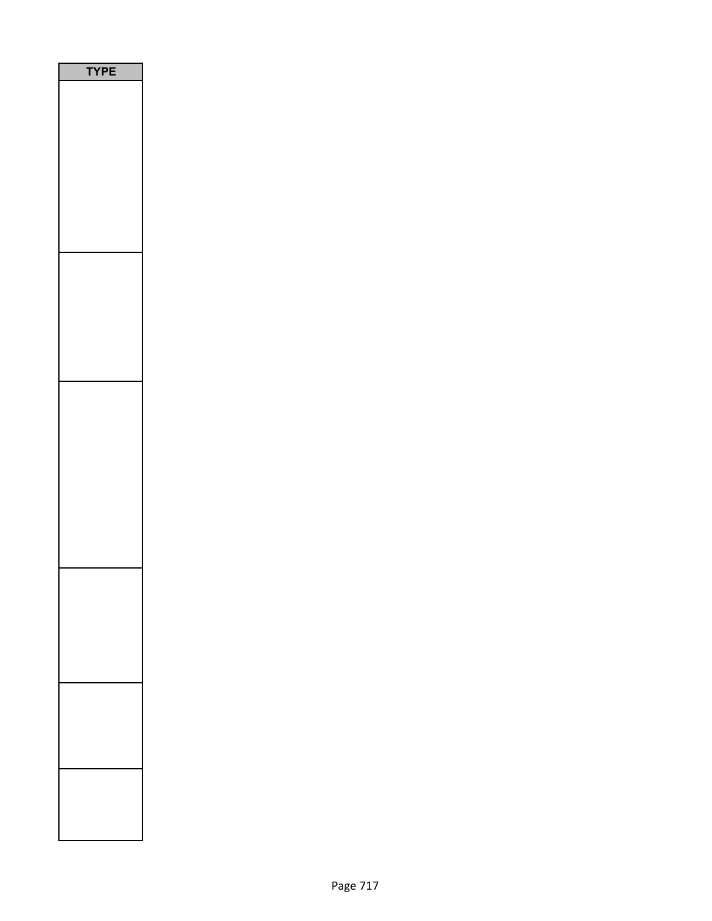| /PE<br>١ |
|----------|
|          |
|          |
|          |
|          |
|          |
|          |
|          |
|          |
|          |
|          |
|          |
|          |
|          |
|          |
|          |
|          |
|          |
|          |
|          |
|          |
|          |
|          |
|          |
|          |
|          |
|          |
|          |
|          |
|          |
|          |
|          |
|          |
|          |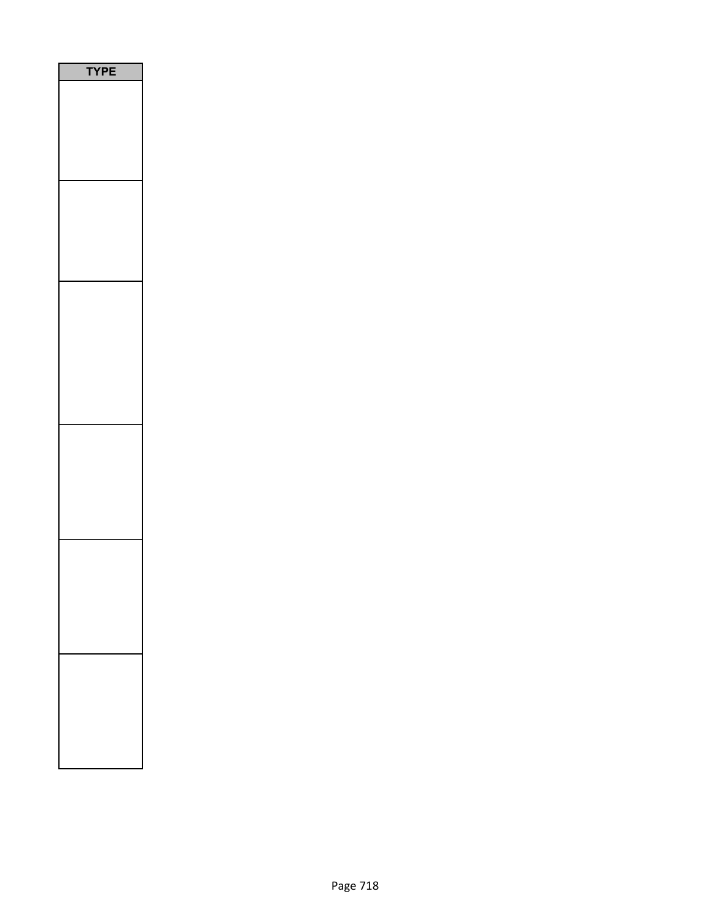| ı<br>ı |
|--------|
|        |
|        |
|        |
|        |
|        |
|        |
|        |
|        |
|        |
|        |
|        |
|        |
|        |
|        |
|        |
|        |
|        |
|        |
|        |
|        |
|        |
|        |
|        |
|        |
|        |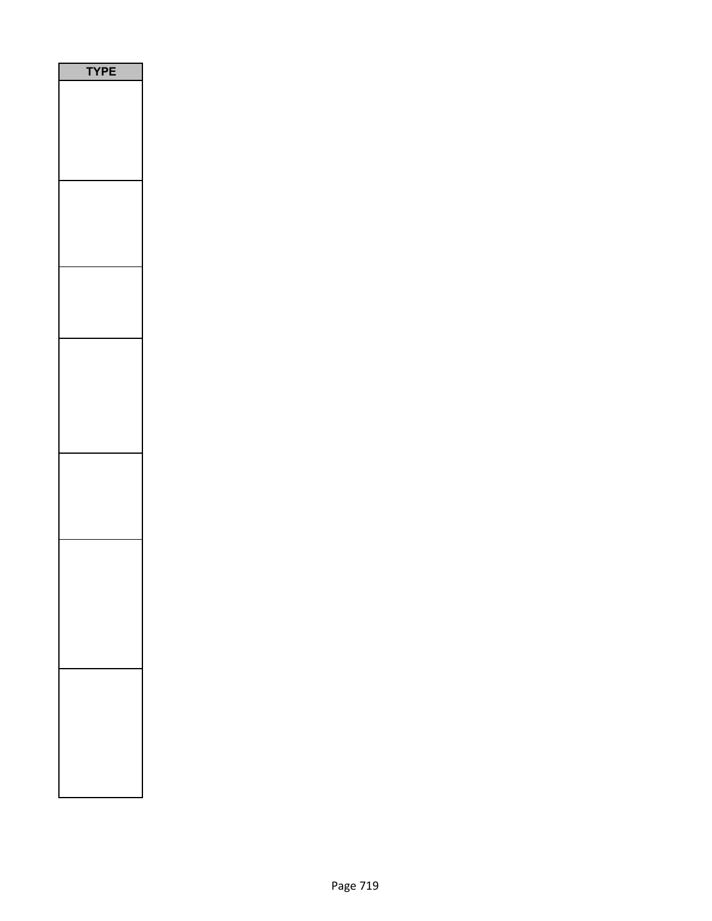| PE<br>$\mathbf r$<br>٦ |  |
|------------------------|--|
|                        |  |
|                        |  |
|                        |  |
|                        |  |
|                        |  |
|                        |  |
|                        |  |
|                        |  |
|                        |  |
|                        |  |
|                        |  |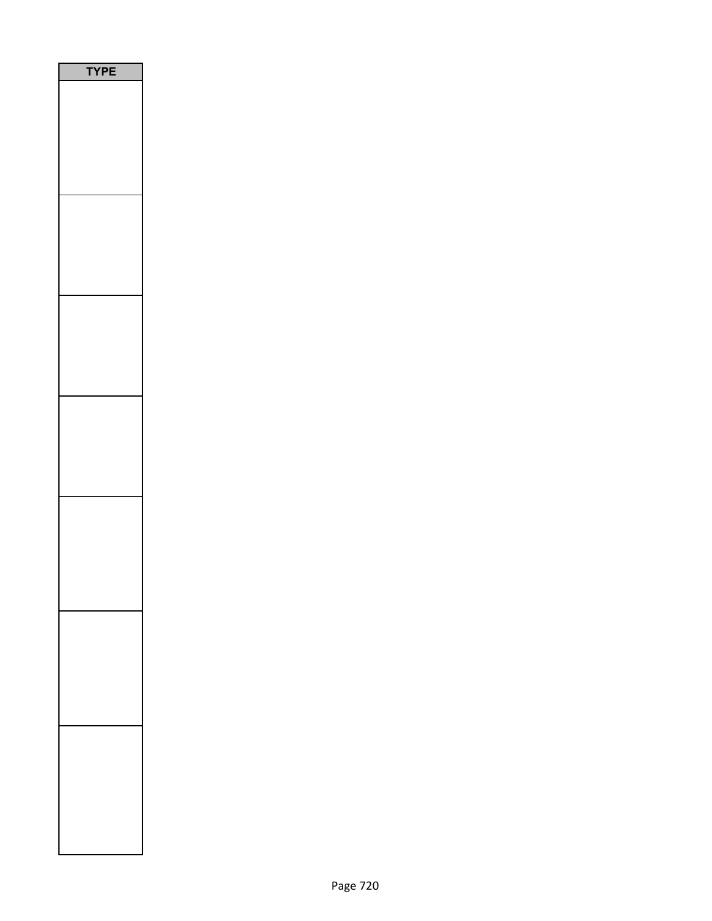| <b>YPE</b> |  |
|------------|--|
|            |  |
|            |  |
|            |  |
|            |  |
|            |  |
|            |  |
|            |  |
|            |  |
|            |  |
|            |  |
|            |  |
|            |  |
|            |  |
|            |  |
|            |  |
|            |  |
|            |  |
|            |  |
|            |  |
|            |  |
|            |  |
|            |  |
|            |  |
|            |  |
|            |  |
|            |  |
|            |  |
|            |  |
|            |  |
|            |  |
|            |  |
|            |  |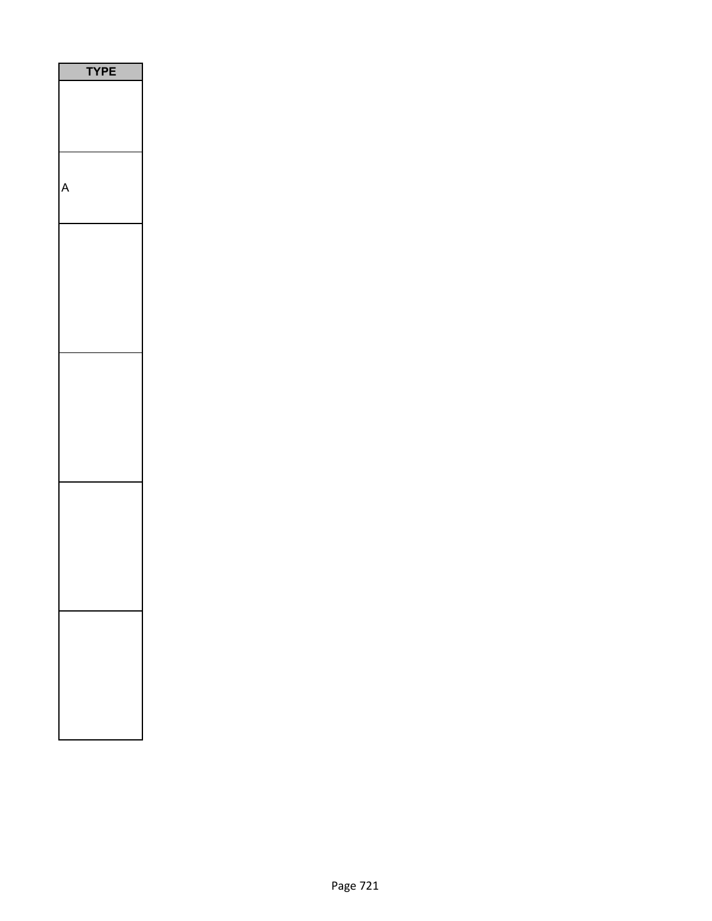| PЕ<br>7 |
|---------|
|         |
|         |
|         |
|         |
|         |
|         |
|         |
|         |
|         |
|         |
|         |
|         |
|         |
|         |
|         |
|         |
|         |
|         |
|         |
|         |
|         |
|         |
|         |
|         |
|         |
|         |
|         |
|         |
|         |
|         |
|         |
|         |
|         |
|         |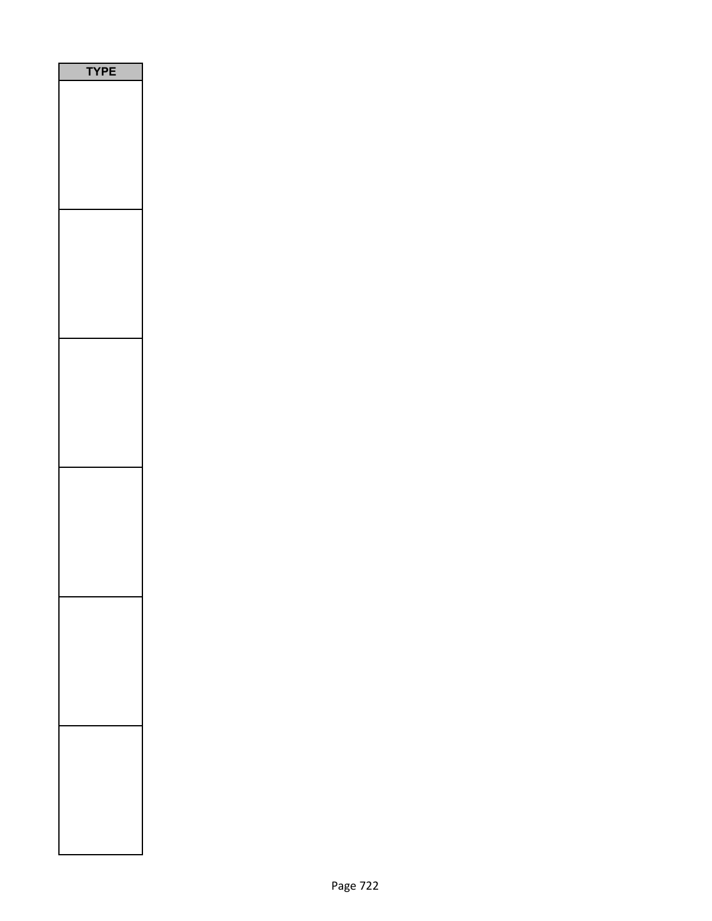| <b>/PE</b><br>Ì |
|-----------------|
|                 |
|                 |
|                 |
|                 |
|                 |
|                 |
|                 |
|                 |
|                 |
|                 |
|                 |
|                 |
|                 |
|                 |
|                 |
|                 |
|                 |
|                 |
|                 |
|                 |
|                 |
|                 |
|                 |
|                 |
|                 |
|                 |
|                 |
|                 |
|                 |
|                 |
|                 |
|                 |
|                 |
|                 |
|                 |
|                 |
|                 |
|                 |
|                 |
|                 |
|                 |
|                 |
|                 |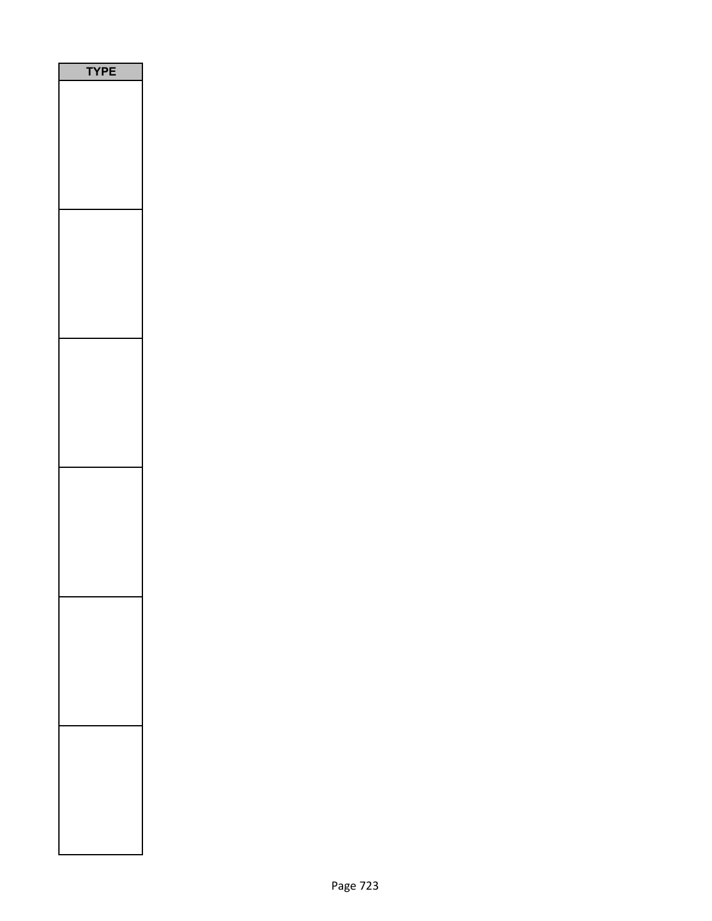| YPE |  |
|-----|--|
|     |  |
|     |  |
|     |  |
|     |  |
|     |  |
|     |  |
|     |  |
|     |  |
|     |  |
|     |  |
|     |  |
|     |  |
|     |  |
|     |  |
|     |  |
|     |  |
|     |  |
|     |  |
|     |  |
|     |  |
|     |  |
|     |  |
|     |  |
|     |  |
|     |  |
|     |  |
|     |  |
|     |  |
|     |  |
|     |  |
|     |  |
|     |  |
|     |  |
|     |  |
|     |  |
|     |  |
|     |  |
|     |  |
|     |  |
|     |  |
|     |  |
|     |  |
|     |  |
|     |  |
|     |  |
|     |  |
|     |  |
|     |  |
|     |  |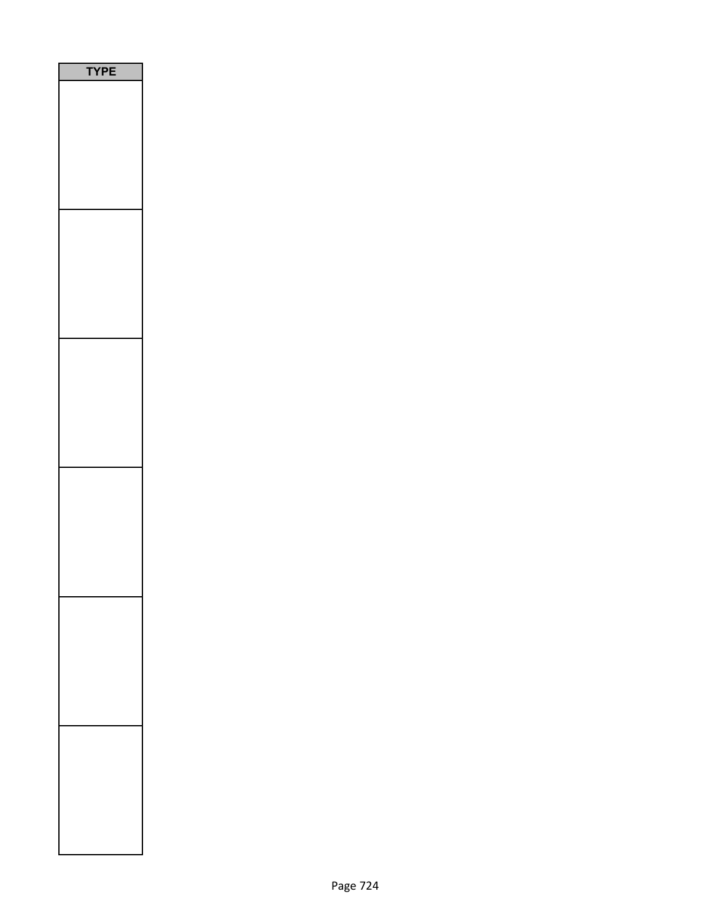| <b>/PE</b><br>Ì |
|-----------------|
|                 |
|                 |
|                 |
|                 |
|                 |
|                 |
|                 |
|                 |
|                 |
|                 |
|                 |
|                 |
|                 |
|                 |
|                 |
|                 |
|                 |
|                 |
|                 |
|                 |
|                 |
|                 |
|                 |
|                 |
|                 |
|                 |
|                 |
|                 |
|                 |
|                 |
|                 |
|                 |
|                 |
|                 |
|                 |
|                 |
|                 |
|                 |
|                 |
|                 |
|                 |
|                 |
|                 |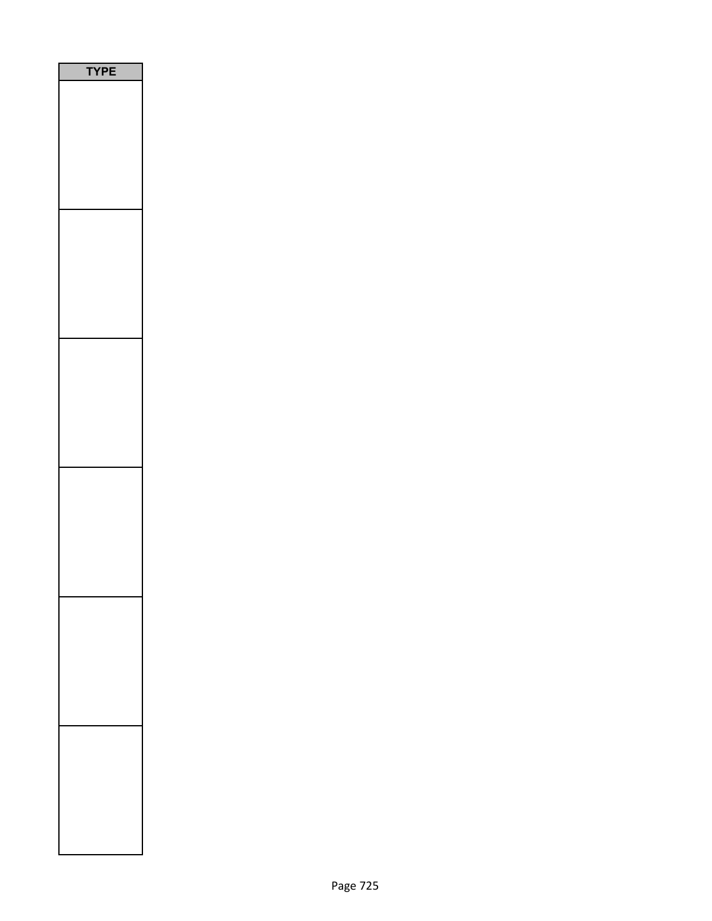| <b>/PE</b><br>Ì |
|-----------------|
|                 |
|                 |
|                 |
|                 |
|                 |
|                 |
|                 |
|                 |
|                 |
|                 |
|                 |
|                 |
|                 |
|                 |
|                 |
|                 |
|                 |
|                 |
|                 |
|                 |
|                 |
|                 |
|                 |
|                 |
|                 |
|                 |
|                 |
|                 |
|                 |
|                 |
|                 |
|                 |
|                 |
|                 |
|                 |
|                 |
|                 |
|                 |
|                 |
|                 |
|                 |
|                 |
|                 |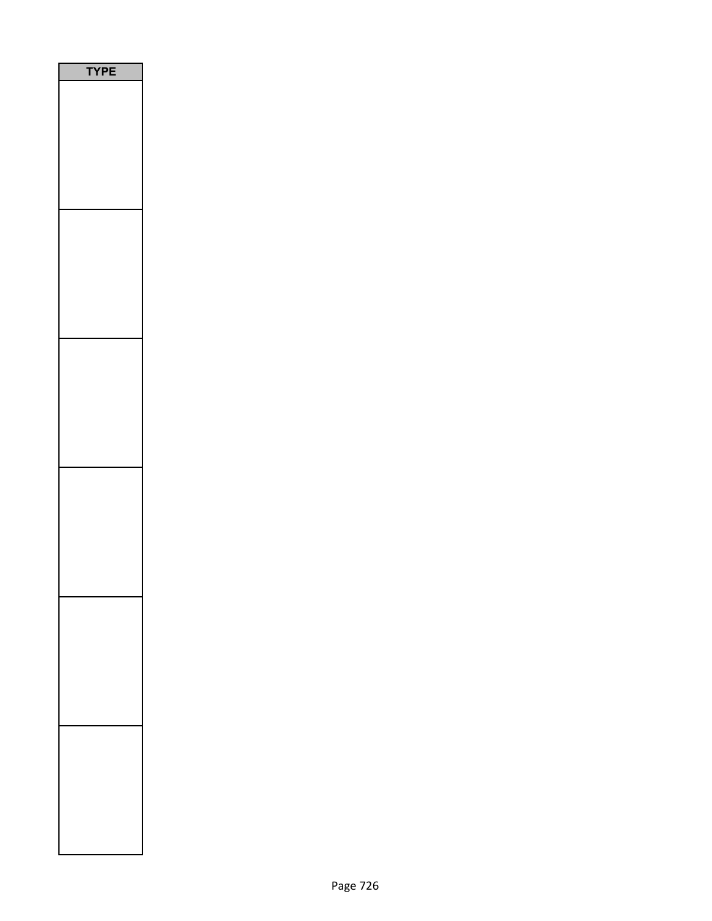| YPE |  |
|-----|--|
|     |  |
|     |  |
|     |  |
|     |  |
|     |  |
|     |  |
|     |  |
|     |  |
|     |  |
|     |  |
|     |  |
|     |  |
|     |  |
|     |  |
|     |  |
|     |  |
|     |  |
|     |  |
|     |  |
|     |  |
|     |  |
|     |  |
|     |  |
|     |  |
|     |  |
|     |  |
|     |  |
|     |  |
|     |  |
|     |  |
|     |  |
|     |  |
|     |  |
|     |  |
|     |  |
|     |  |
|     |  |
|     |  |
|     |  |
|     |  |
|     |  |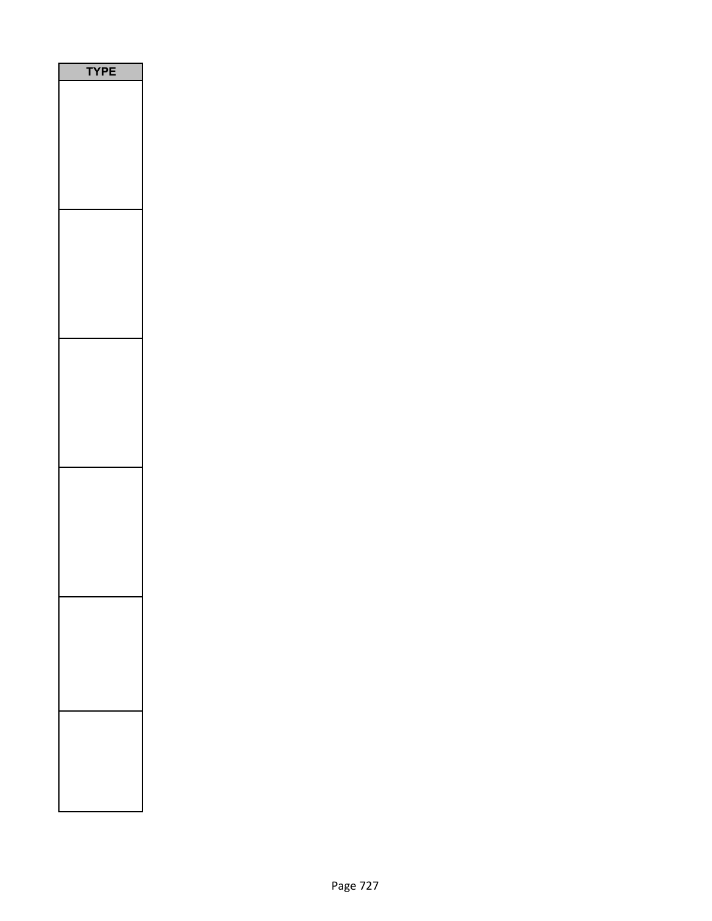| Ε<br>P |
|--------|
|        |
|        |
|        |
|        |
|        |
|        |
|        |
|        |
|        |
|        |
|        |
|        |
|        |
|        |
|        |
|        |
|        |
|        |
|        |
|        |
|        |
|        |
|        |
|        |
|        |
|        |
|        |
|        |
|        |
|        |
|        |
|        |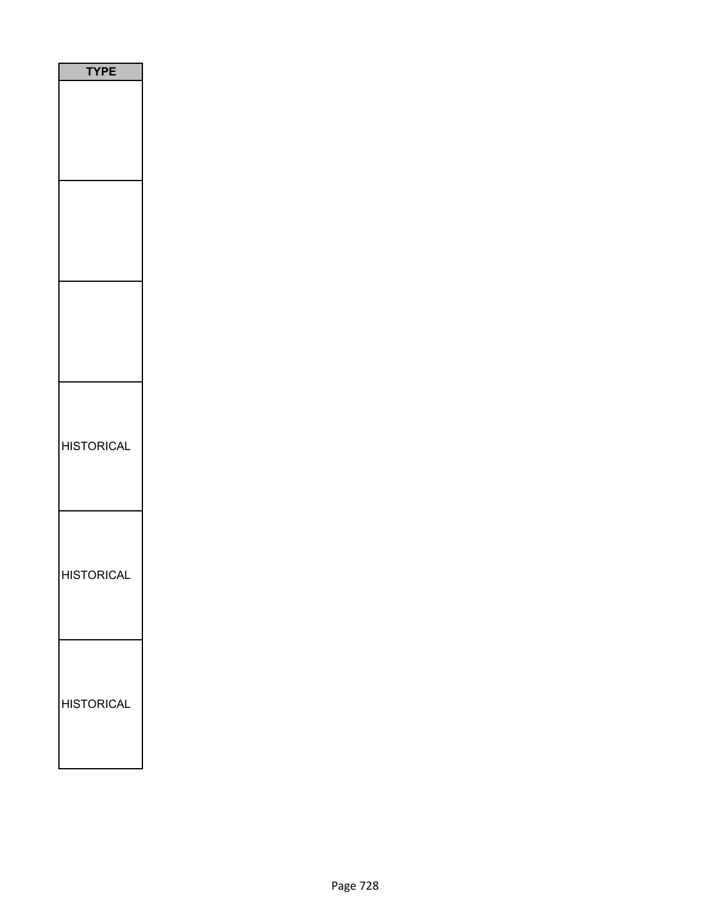| <b>TYPE</b>       |
|-------------------|
|                   |
|                   |
|                   |
| <b>HISTORICAL</b> |
| <b>HISTORICAL</b> |
| <b>HISTORICAL</b> |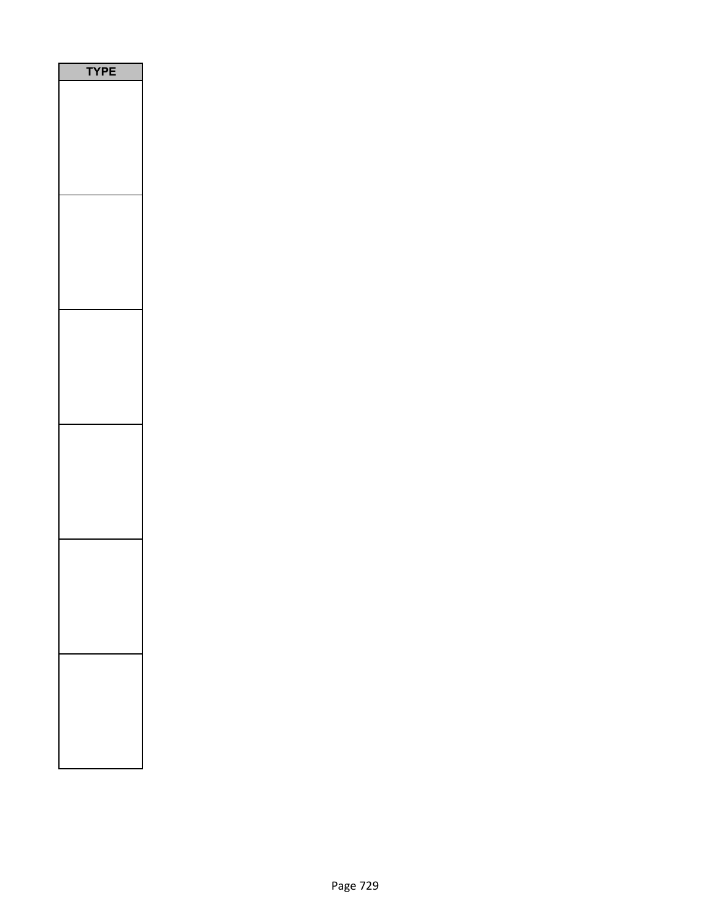| PE<br>٢ |
|---------|
|         |
|         |
|         |
|         |
|         |
|         |
|         |
|         |
|         |
|         |
|         |
|         |
|         |
|         |
|         |
|         |
|         |
|         |
|         |
|         |
|         |
|         |
|         |
|         |
|         |
|         |
|         |
|         |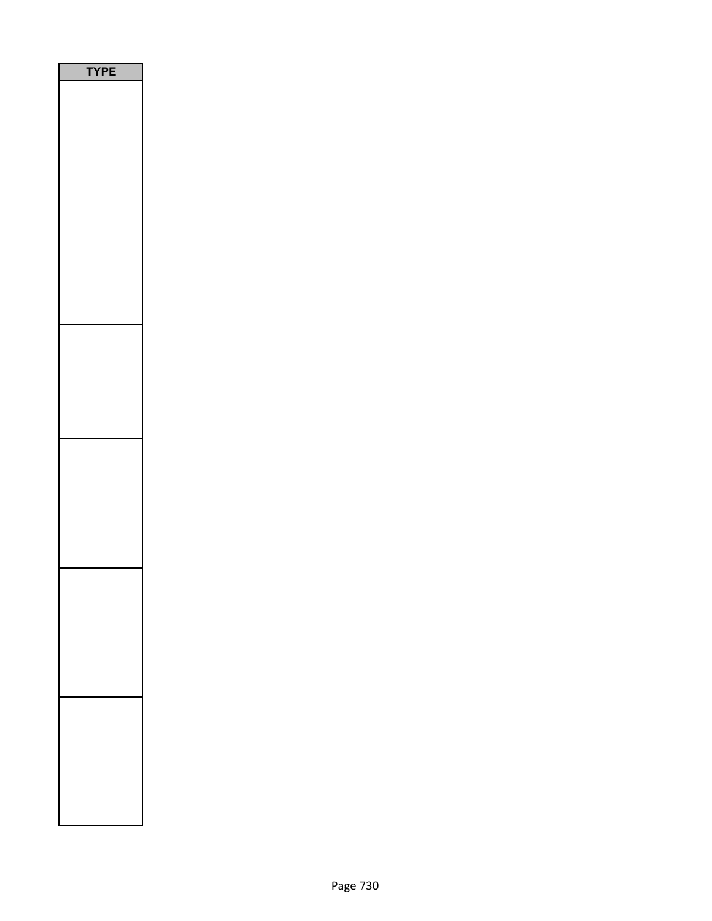| PE<br>٢ |  |
|---------|--|
|         |  |
|         |  |
|         |  |
|         |  |
|         |  |
|         |  |
|         |  |
|         |  |
|         |  |
|         |  |
|         |  |
|         |  |
|         |  |
|         |  |
|         |  |
|         |  |
|         |  |
|         |  |
|         |  |
|         |  |
|         |  |
|         |  |
|         |  |
|         |  |
|         |  |
|         |  |
|         |  |
|         |  |
|         |  |
|         |  |
|         |  |
|         |  |
|         |  |
|         |  |
|         |  |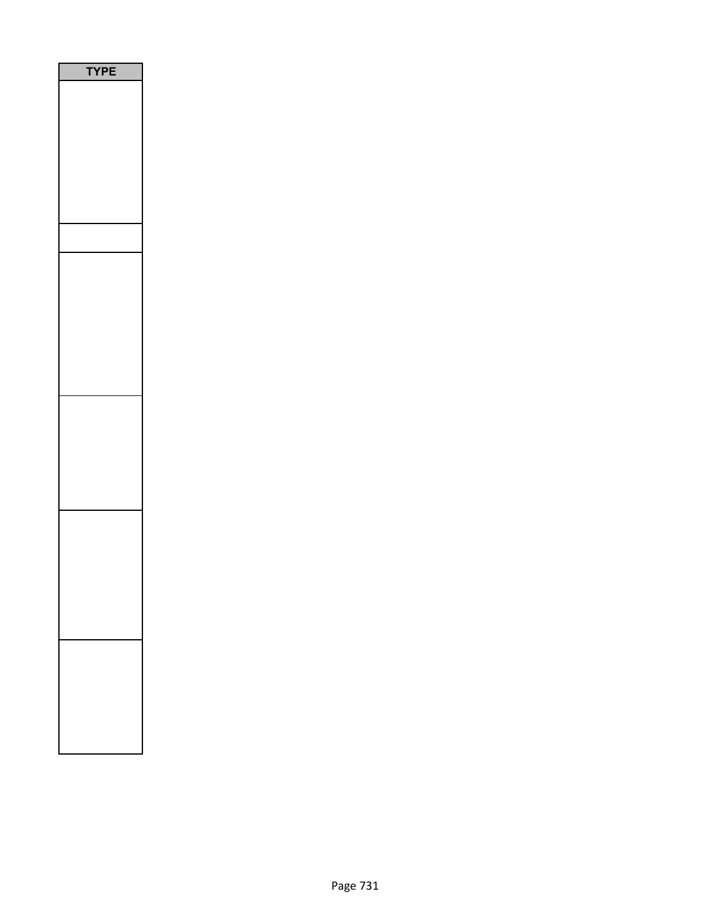| <b>YPE</b> |
|------------|
|            |
|            |
|            |
|            |
|            |
|            |
|            |
|            |
|            |
|            |
|            |
|            |
|            |
|            |
|            |
|            |
|            |
|            |
|            |
|            |
|            |
|            |
|            |
|            |
|            |
|            |
|            |
|            |
|            |
|            |
|            |
|            |
|            |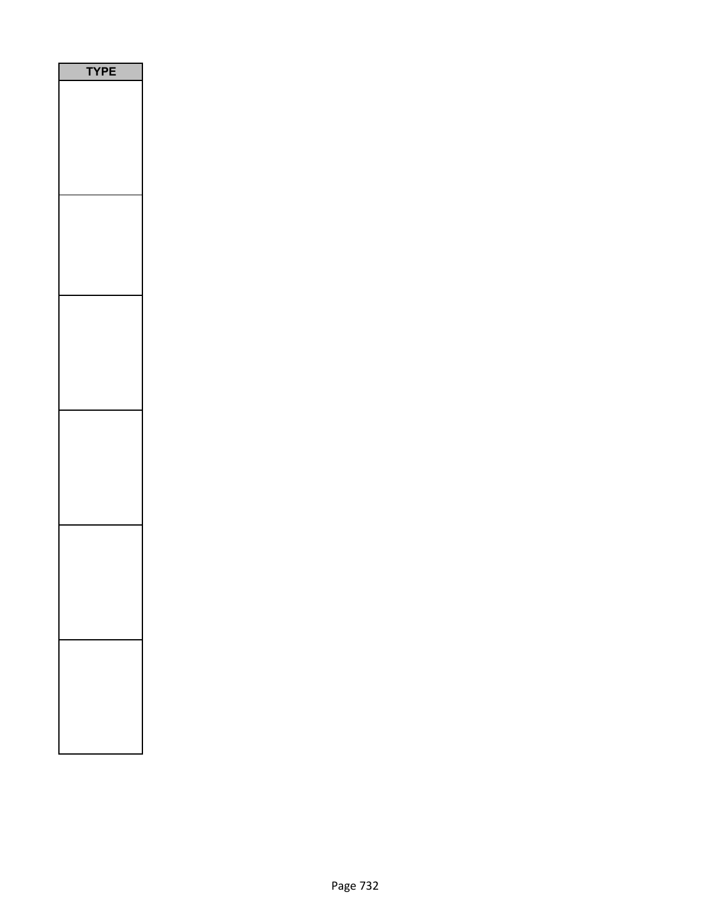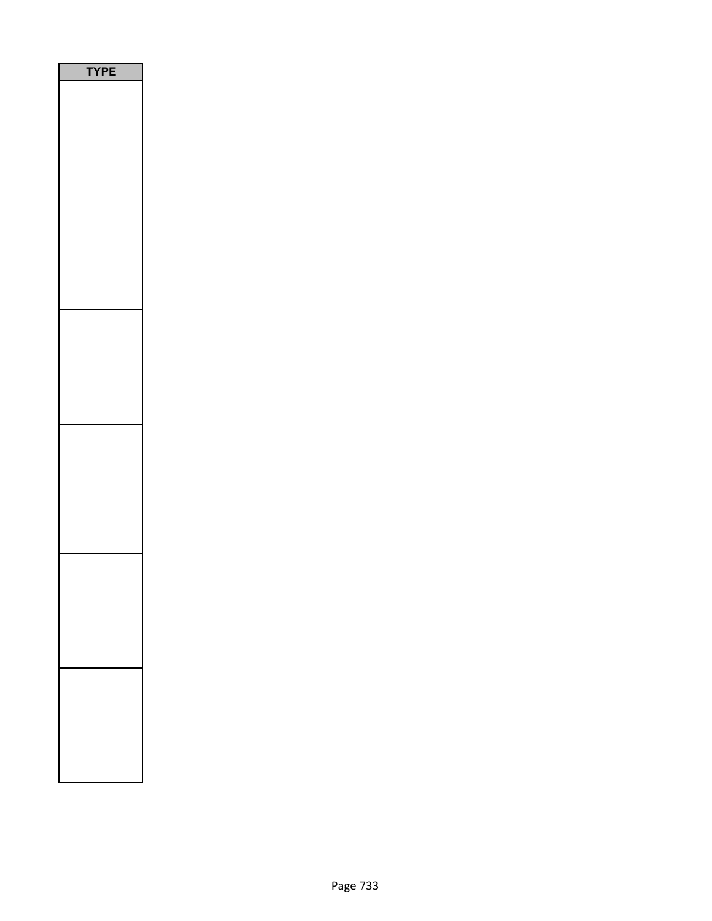| Е<br>P<br>ſ |
|-------------|
|             |
|             |
|             |
|             |
|             |
|             |
|             |
|             |
|             |
|             |
|             |
|             |
|             |
|             |
|             |
|             |
|             |
|             |
|             |
|             |
|             |
|             |
|             |
|             |
|             |
|             |
|             |
|             |
|             |
|             |
|             |
|             |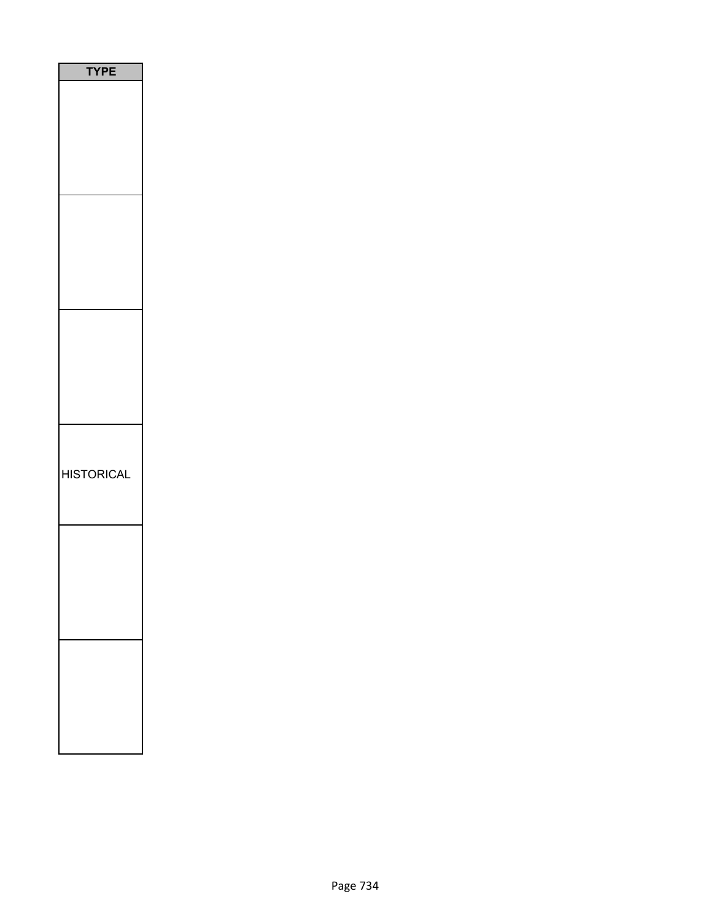| PЕ<br>Y           |
|-------------------|
|                   |
|                   |
|                   |
|                   |
|                   |
| <b>HISTORICAL</b> |
|                   |
|                   |
|                   |
|                   |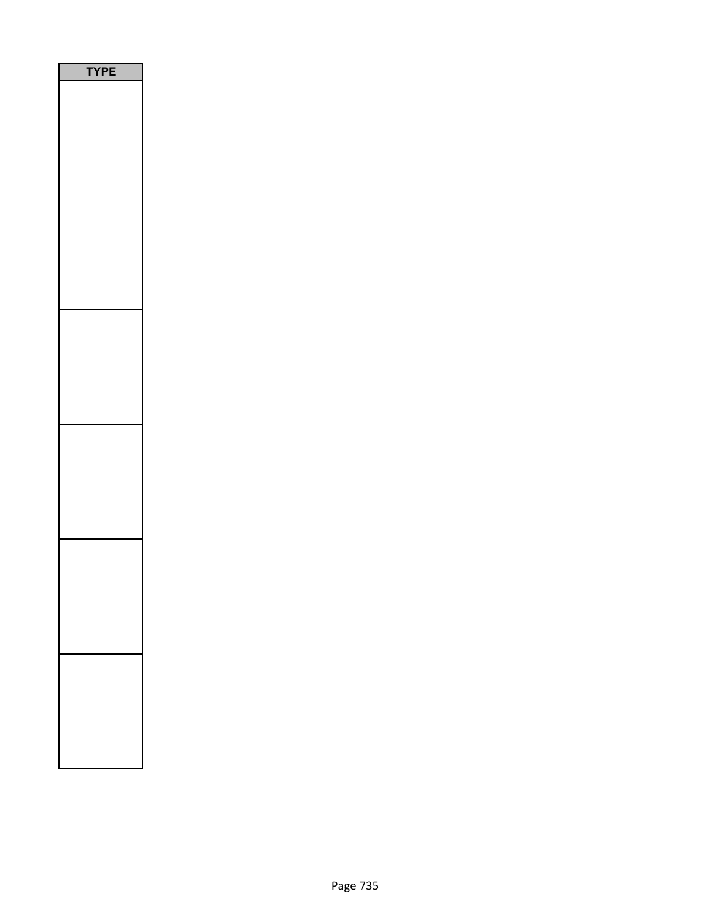| PE<br>٢ |  |
|---------|--|
|         |  |
|         |  |
|         |  |
|         |  |
|         |  |
|         |  |
|         |  |
|         |  |
|         |  |
|         |  |
|         |  |
|         |  |
|         |  |
|         |  |
|         |  |
|         |  |
|         |  |
|         |  |
|         |  |
|         |  |
|         |  |
|         |  |
|         |  |
|         |  |
|         |  |
|         |  |
|         |  |
|         |  |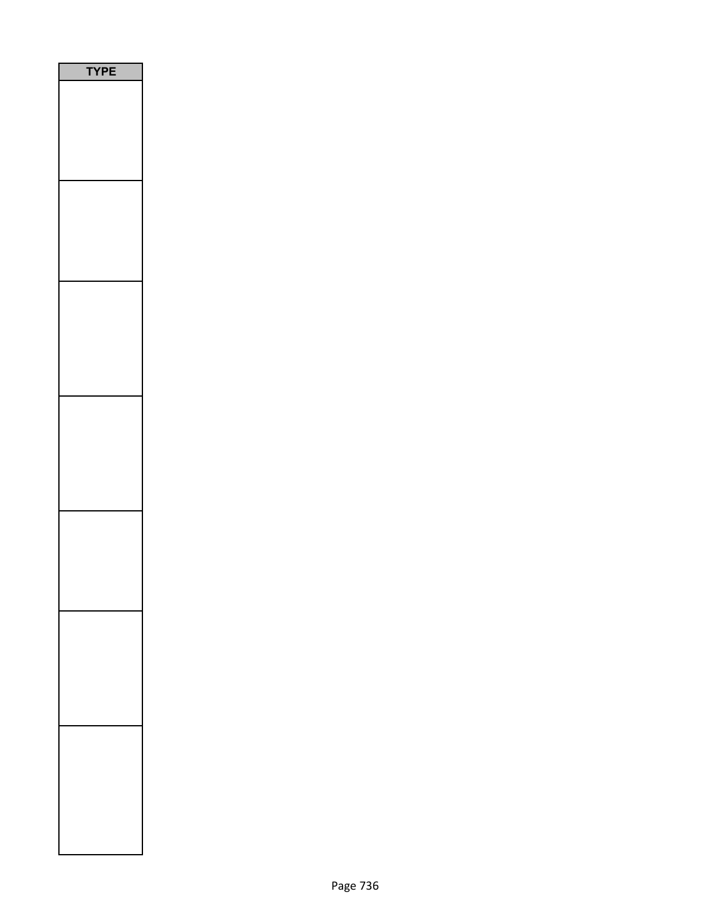| <b>/PE</b><br>٦ |
|-----------------|
|                 |
|                 |
|                 |
|                 |
|                 |
|                 |
|                 |
|                 |
|                 |
|                 |
|                 |
|                 |
|                 |
|                 |
|                 |
|                 |
|                 |
|                 |
|                 |
|                 |
|                 |
|                 |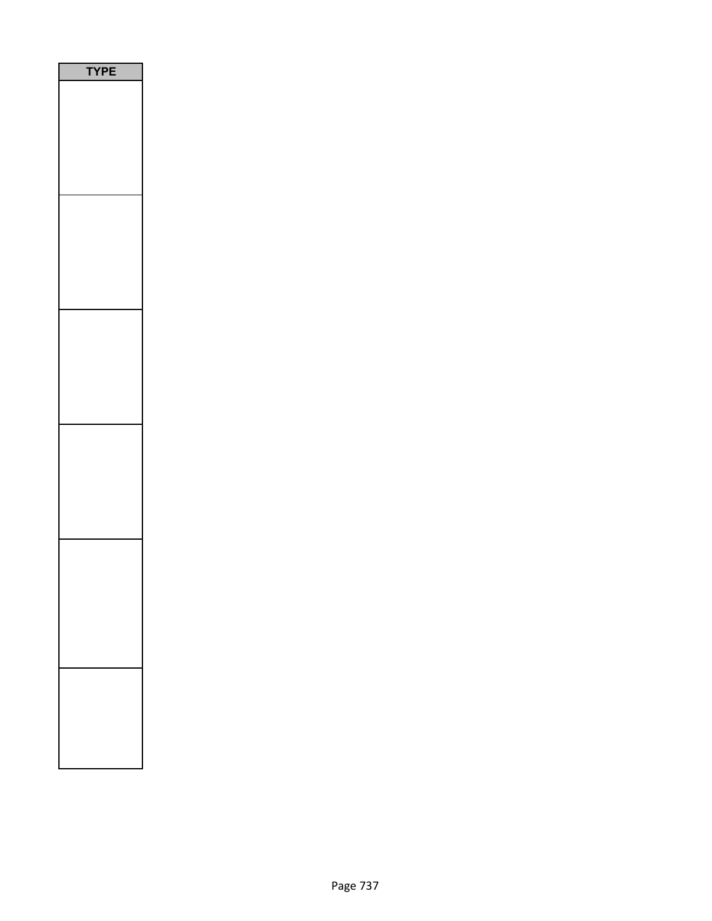| PE<br>٢ |  |
|---------|--|
|         |  |
|         |  |
|         |  |
|         |  |
|         |  |
|         |  |
|         |  |
|         |  |
|         |  |
|         |  |
|         |  |
|         |  |
|         |  |
|         |  |
|         |  |
|         |  |
|         |  |
|         |  |
|         |  |
|         |  |
|         |  |
|         |  |
|         |  |
|         |  |
|         |  |
|         |  |
|         |  |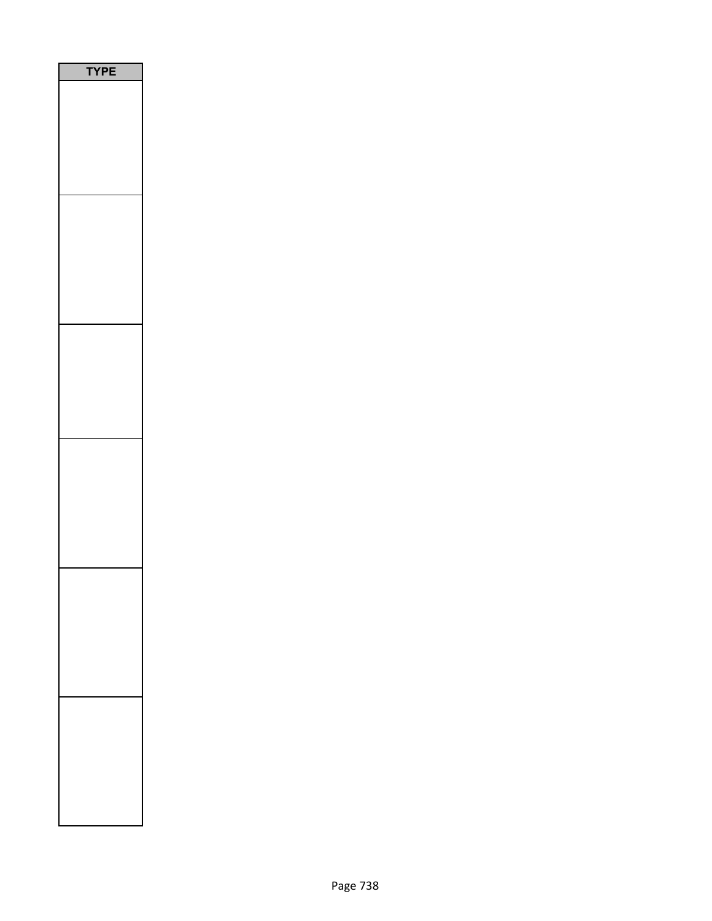| PE<br>٢ |
|---------|
|         |
|         |
|         |
|         |
|         |
|         |
|         |
|         |
|         |
|         |
|         |
|         |
|         |
|         |
|         |
|         |
|         |
|         |
|         |
|         |
|         |
|         |
|         |
|         |
|         |
|         |
|         |
|         |
|         |
|         |
|         |
|         |
|         |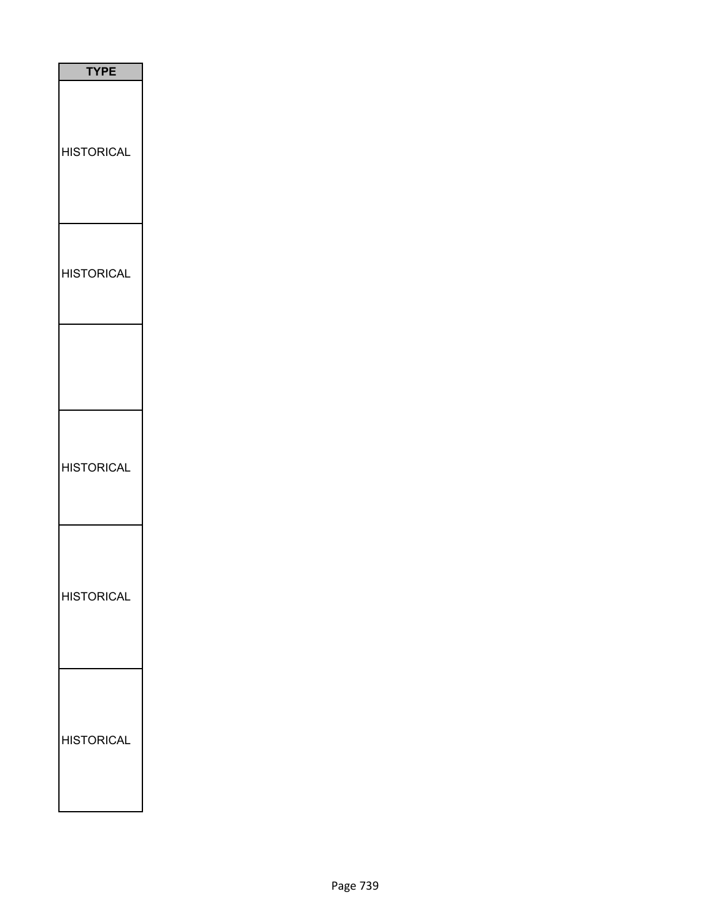| <b>TYPE</b>       |
|-------------------|
| <b>HISTORICAL</b> |
| <b>HISTORICAL</b> |
|                   |
| <b>HISTORICAL</b> |
| <b>HISTORICAL</b> |
| <b>HISTORICAL</b> |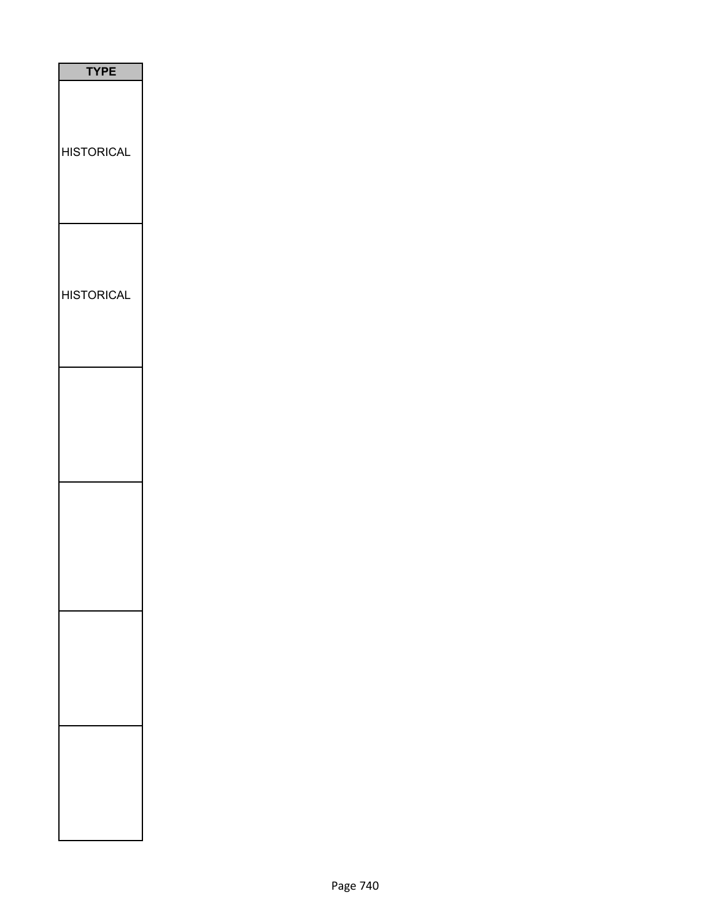| <b>TYPE</b>       |
|-------------------|
| <b>HISTORICAL</b> |
| <b>HISTORICAL</b> |
|                   |
|                   |
|                   |
|                   |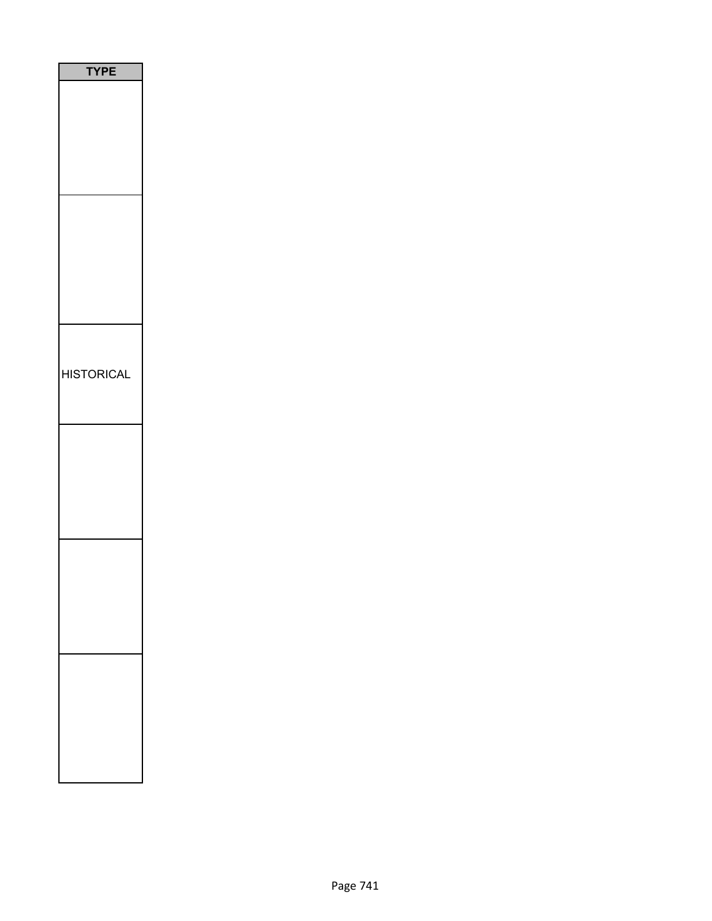| <b>TYPE</b>       |
|-------------------|
|                   |
|                   |
|                   |
|                   |
|                   |
|                   |
|                   |
|                   |
|                   |
|                   |
|                   |
|                   |
|                   |
| <b>HISTORICAL</b> |
|                   |
|                   |
|                   |
|                   |
|                   |
|                   |
|                   |
|                   |
|                   |
|                   |
|                   |
|                   |
|                   |
|                   |
|                   |
|                   |
|                   |
|                   |
|                   |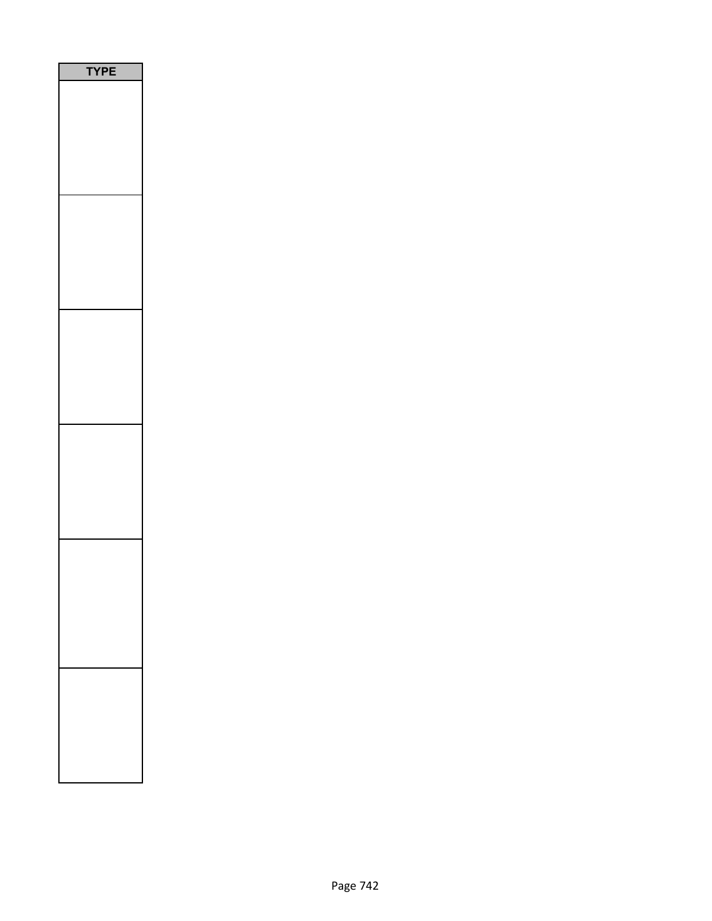| P<br>Ε<br>1<br>n |  |
|------------------|--|
|                  |  |
|                  |  |
|                  |  |
|                  |  |
|                  |  |
|                  |  |
|                  |  |
|                  |  |
|                  |  |
|                  |  |
|                  |  |
|                  |  |
|                  |  |
|                  |  |
|                  |  |
|                  |  |
|                  |  |
|                  |  |
|                  |  |
|                  |  |
|                  |  |
|                  |  |
|                  |  |
|                  |  |
|                  |  |
|                  |  |
|                  |  |
|                  |  |
|                  |  |
|                  |  |
|                  |  |
|                  |  |
|                  |  |
|                  |  |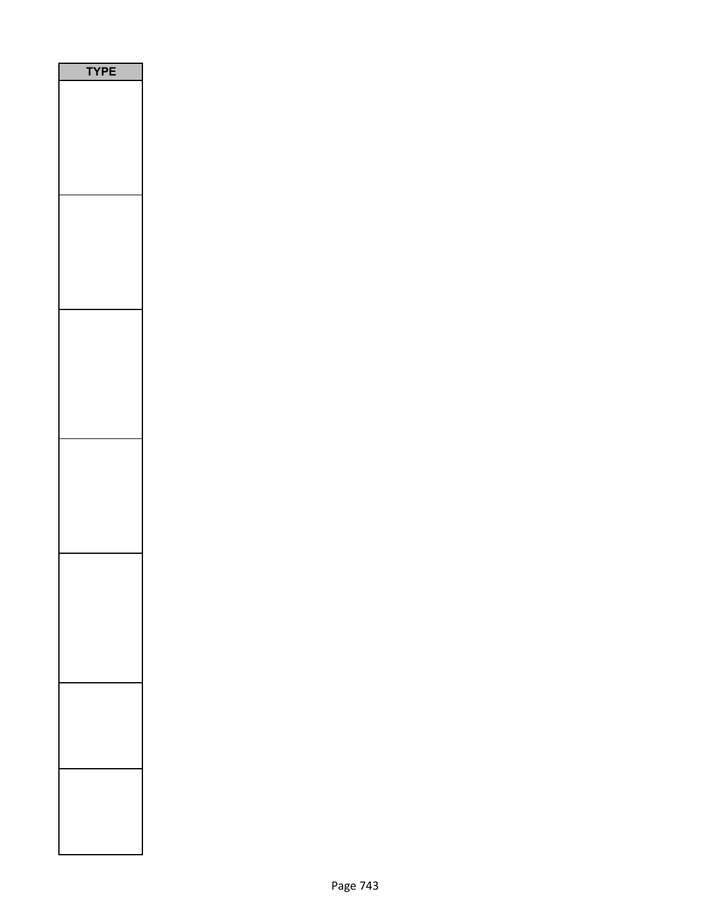| PE<br>1 |  |
|---------|--|
|         |  |
|         |  |
|         |  |
|         |  |
|         |  |
|         |  |
|         |  |
|         |  |
|         |  |
|         |  |
|         |  |
|         |  |
|         |  |
|         |  |
|         |  |
|         |  |
|         |  |
|         |  |
|         |  |
|         |  |
|         |  |
|         |  |
|         |  |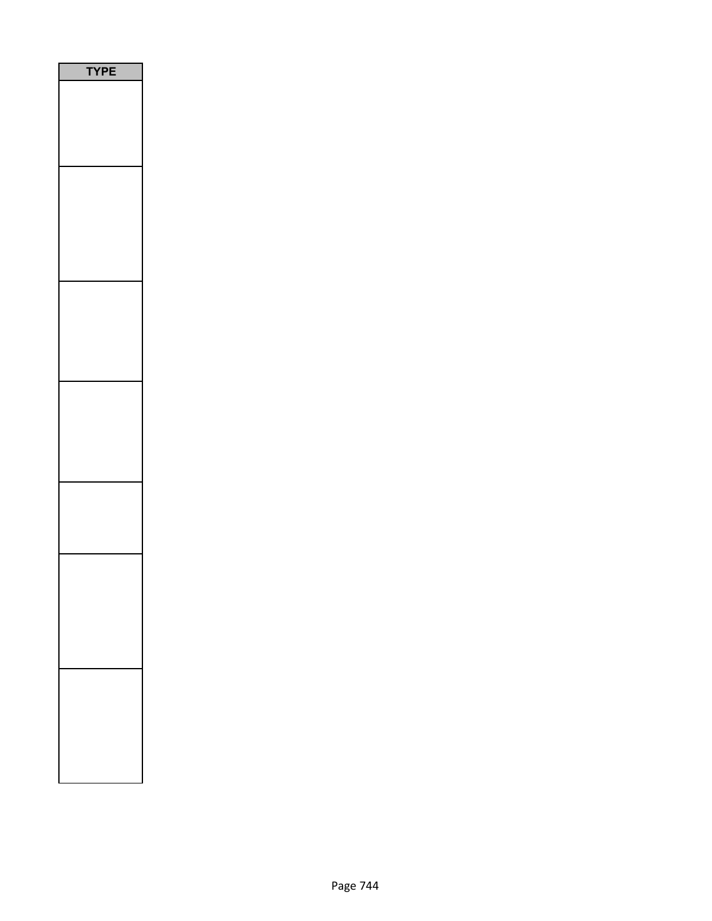| P<br>E<br>Ξ<br>1<br>٦ |
|-----------------------|
|                       |
|                       |
|                       |
|                       |
|                       |
|                       |
|                       |
|                       |
|                       |
|                       |
|                       |
|                       |
|                       |
|                       |
|                       |
|                       |
|                       |
|                       |
|                       |
|                       |
|                       |
|                       |
|                       |
|                       |
|                       |
|                       |
|                       |
|                       |
|                       |
|                       |
|                       |
|                       |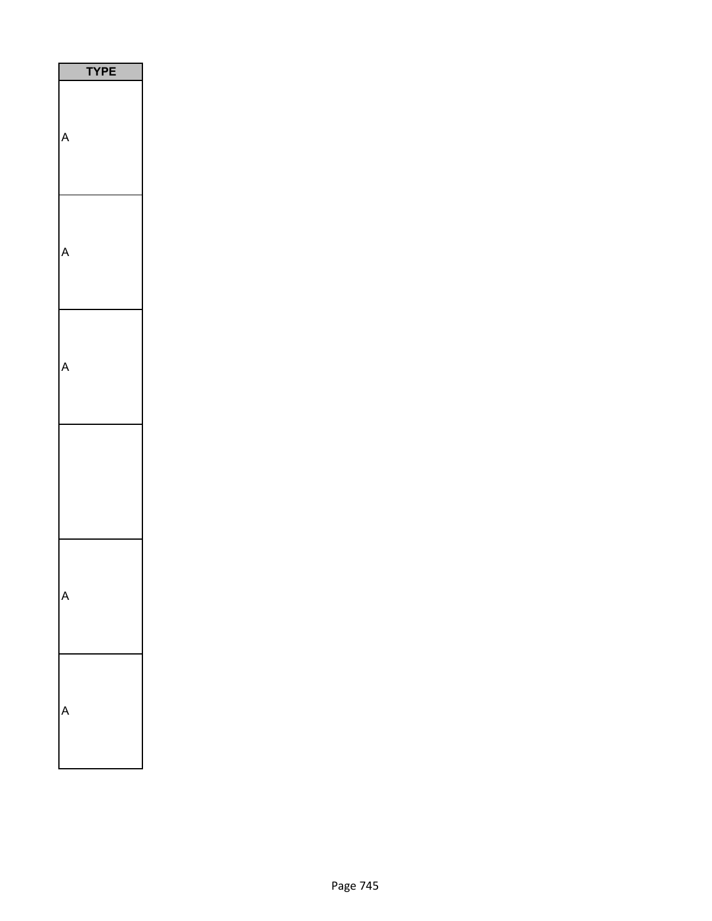| <b>TYPE</b> |
|-------------|
|             |
|             |
|             |
|             |
|             |
|             |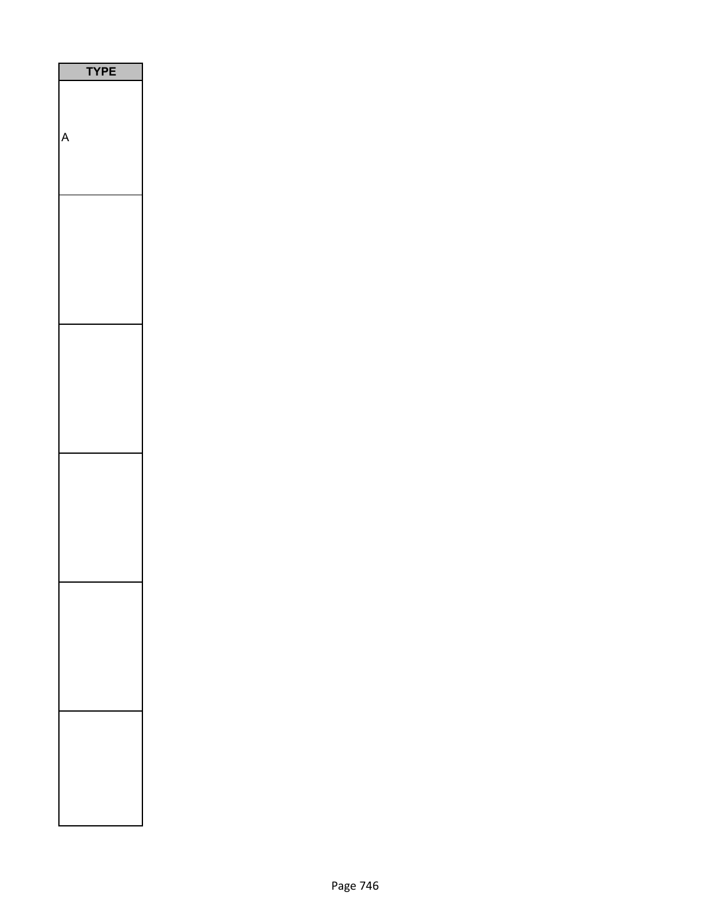| <b>YPE</b><br>I |
|-----------------|
|                 |
|                 |
| Δ               |
|                 |
|                 |
|                 |
|                 |
|                 |
|                 |
|                 |
|                 |
|                 |
|                 |
|                 |
|                 |
|                 |
|                 |
|                 |
|                 |
|                 |
|                 |
|                 |
|                 |
|                 |
|                 |
|                 |
|                 |
|                 |
|                 |
|                 |
|                 |
|                 |
|                 |
|                 |
|                 |
|                 |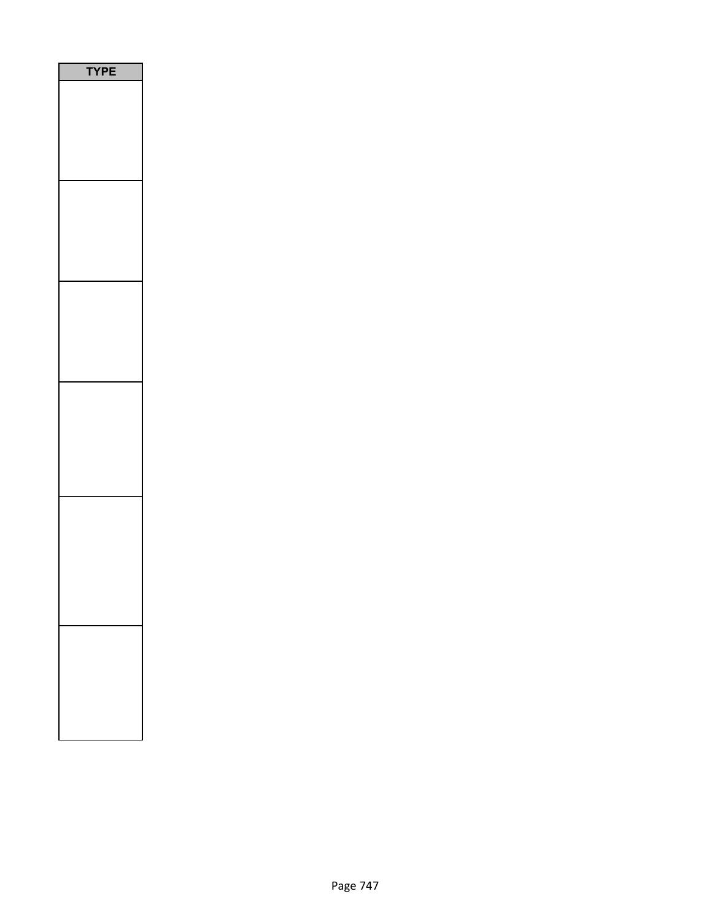| PE |
|----|
|    |
|    |
|    |
|    |
|    |
|    |
|    |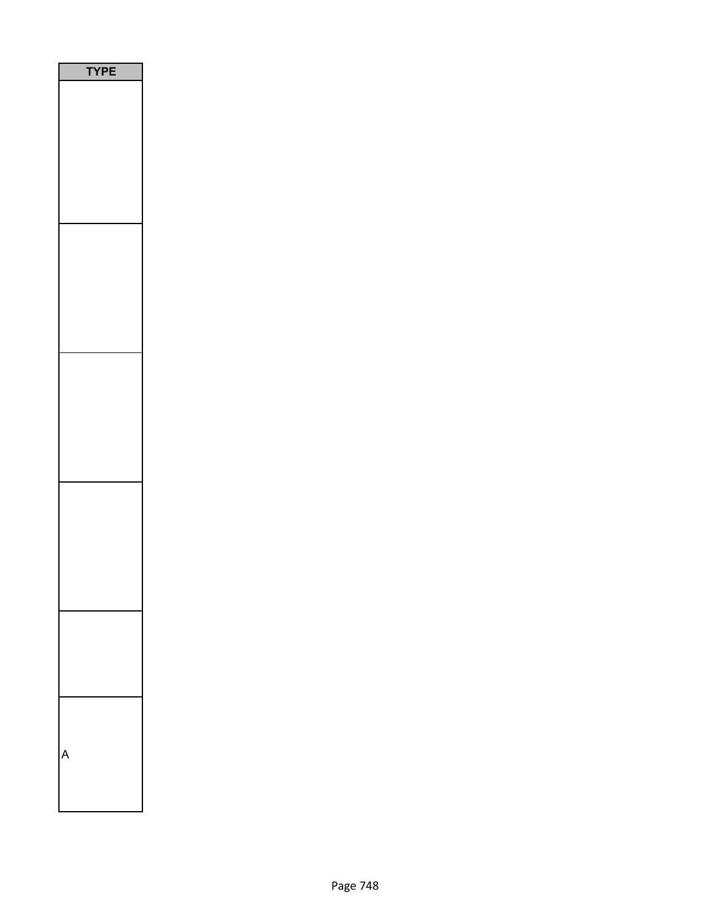| /PE<br>١ |
|----------|
|          |
|          |
|          |
|          |
|          |
|          |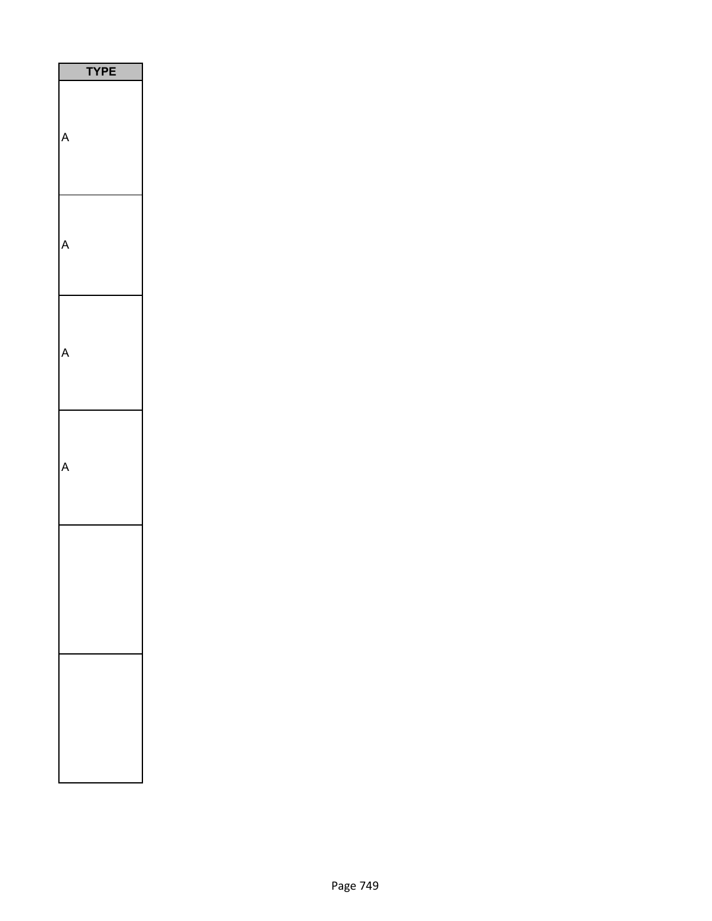| <b>TPE</b> |  |
|------------|--|
|            |  |
|            |  |
|            |  |
|            |  |
|            |  |
|            |  |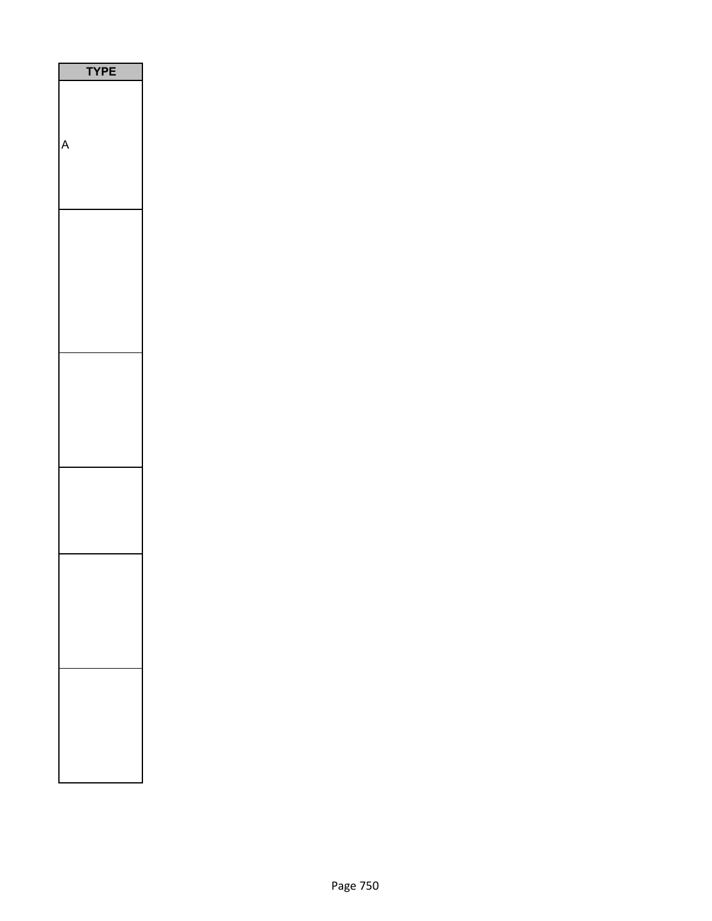| E<br>ı |
|--------|
|        |
|        |
|        |
|        |
|        |
|        |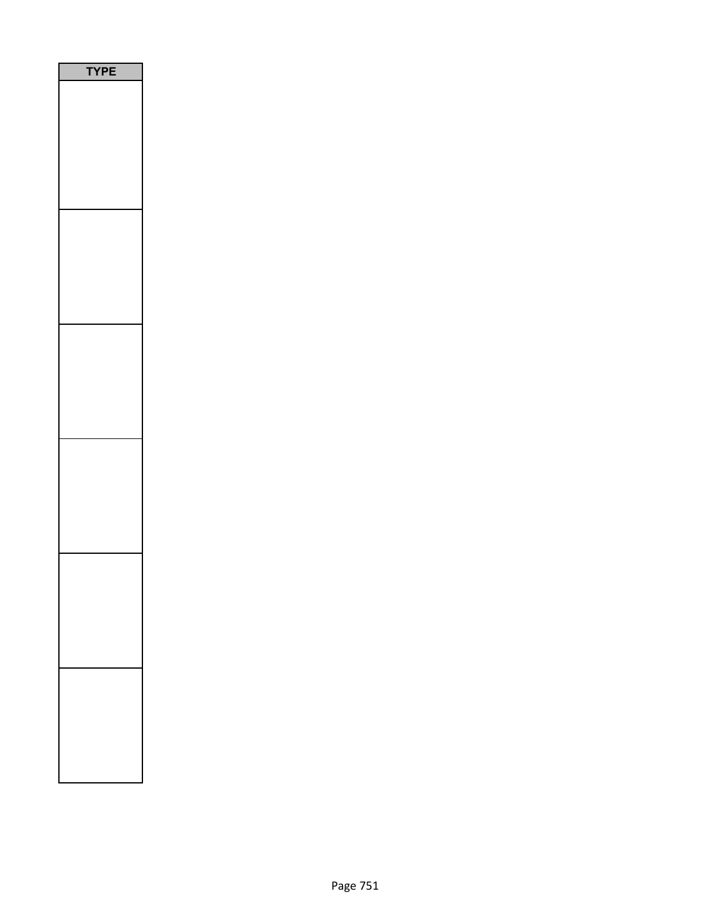| E<br>₹ |
|--------|
|        |
|        |
|        |
|        |
|        |
|        |
|        |
|        |
|        |
|        |
|        |
|        |
|        |
|        |
|        |
|        |
|        |
|        |
|        |
|        |
|        |
|        |
|        |
|        |
|        |
|        |
|        |
|        |
|        |
|        |
|        |
|        |
|        |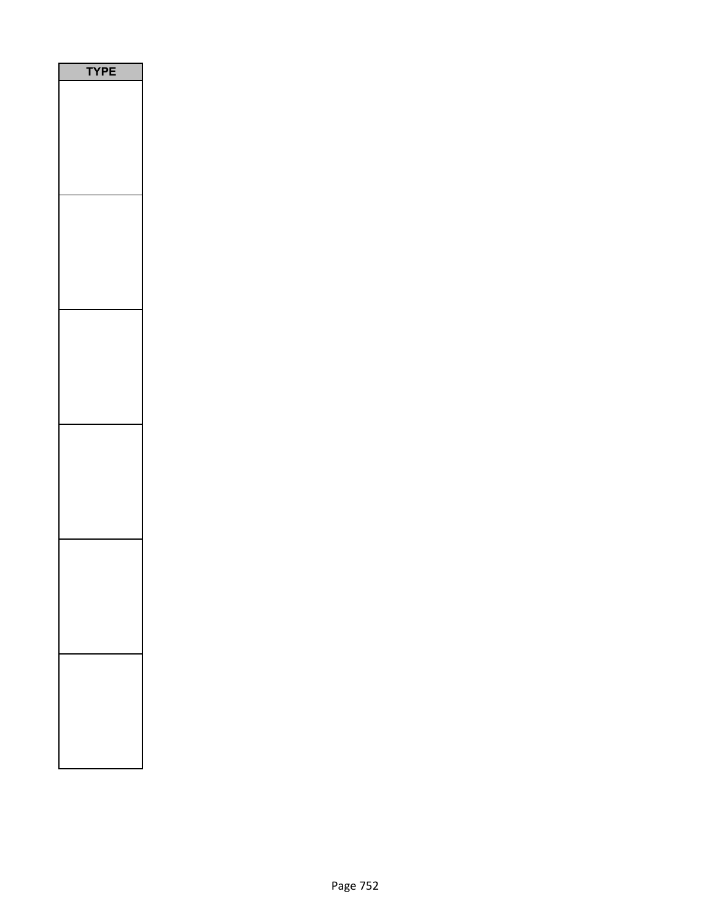| PE<br>٢ |
|---------|
|         |
|         |
|         |
|         |
|         |
|         |
|         |
|         |
|         |
|         |
|         |
|         |
|         |
|         |
|         |
|         |
|         |
|         |
|         |
|         |
|         |
|         |
|         |
|         |
|         |
|         |
|         |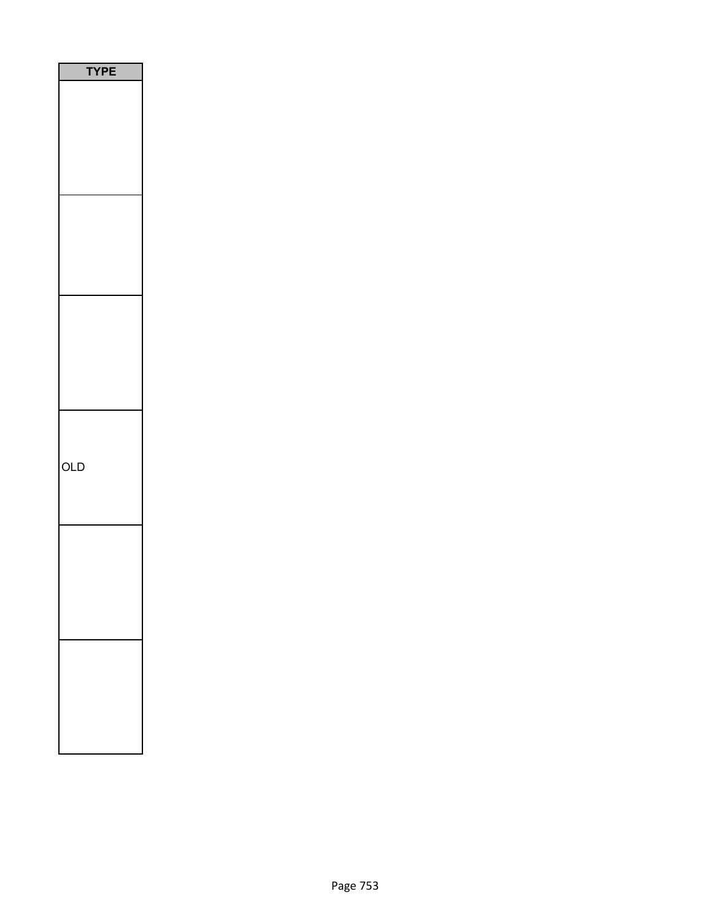| <b>TYPE</b> |
|-------------|
|             |
|             |
|             |
|             |
|             |
|             |
|             |
|             |
|             |
|             |
|             |
|             |
|             |
|             |
|             |
|             |
|             |
|             |
|             |
|             |
|             |
| OLD         |
|             |
|             |
|             |
|             |
|             |
|             |
|             |
|             |
|             |
|             |
|             |
|             |
|             |
|             |
|             |
|             |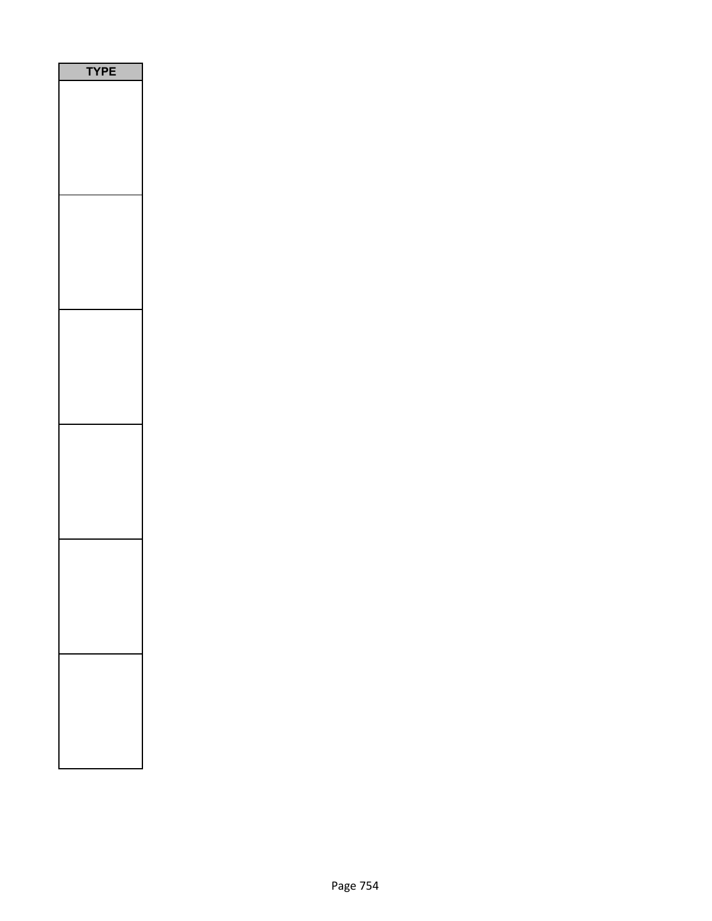| PE |
|----|
|    |
|    |
|    |
|    |
|    |
|    |
|    |
|    |
|    |
|    |
|    |
|    |
|    |
|    |
|    |
|    |
|    |
|    |
|    |
|    |
|    |
|    |
|    |
|    |
|    |
|    |
|    |
|    |
|    |
|    |
|    |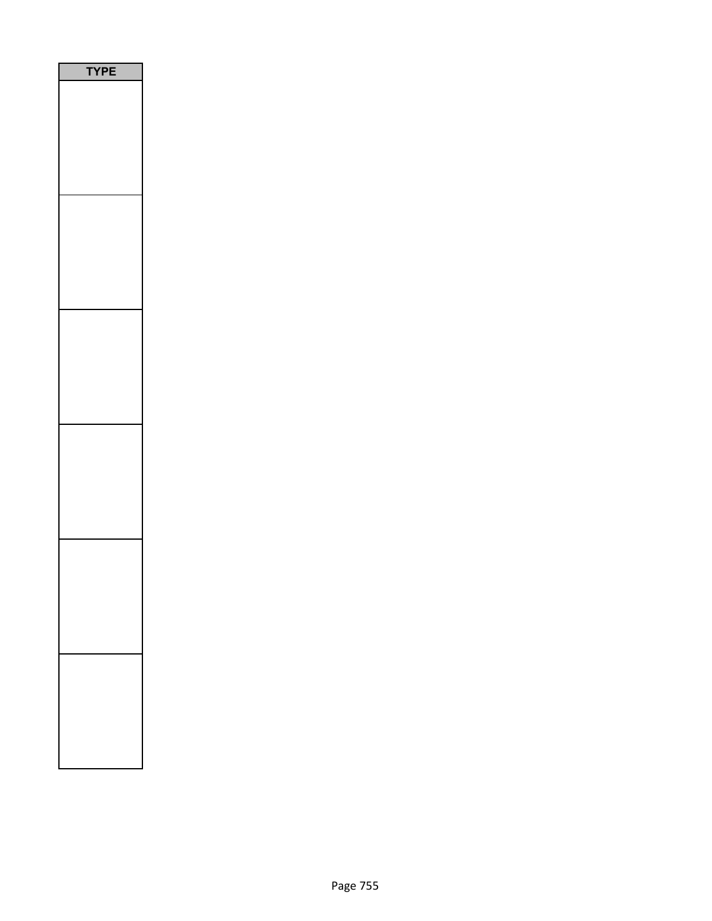| PE<br>٢ |  |
|---------|--|
|         |  |
|         |  |
|         |  |
|         |  |
|         |  |
|         |  |
|         |  |
|         |  |
|         |  |
|         |  |
|         |  |
|         |  |
|         |  |
|         |  |
|         |  |
|         |  |
|         |  |
|         |  |
|         |  |
|         |  |
|         |  |
|         |  |
|         |  |
|         |  |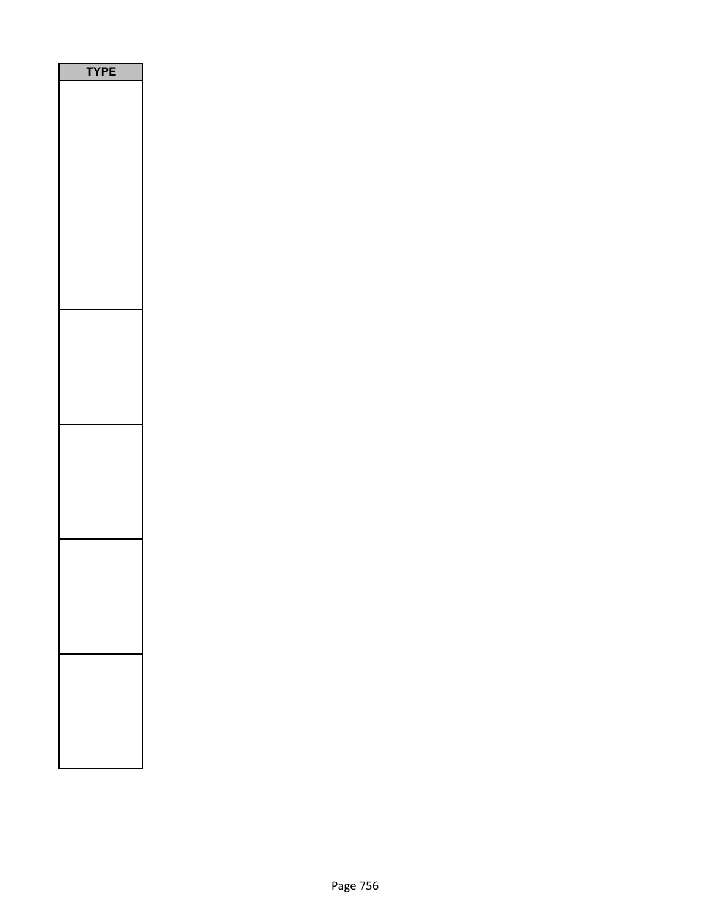| PE<br>٢ |
|---------|
|         |
|         |
|         |
|         |
|         |
|         |
|         |
|         |
|         |
|         |
|         |
|         |
|         |
|         |
|         |
|         |
|         |
|         |
|         |
|         |
|         |
|         |
|         |
|         |
|         |
|         |
|         |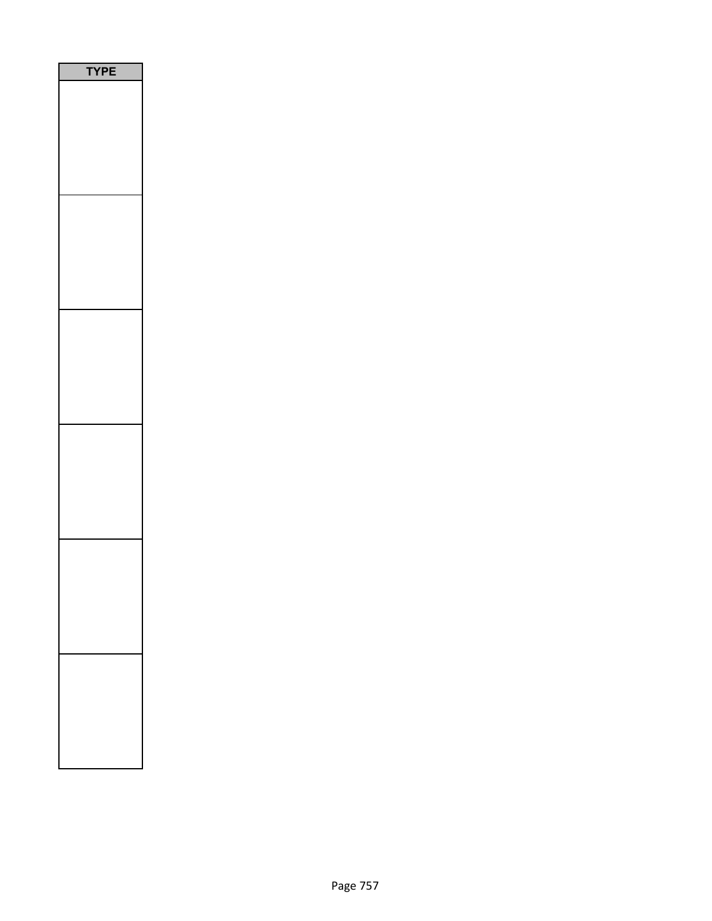| PE<br>٢ |
|---------|
|         |
|         |
|         |
|         |
|         |
|         |
|         |
|         |
|         |
|         |
|         |
|         |
|         |
|         |
|         |
|         |
|         |
|         |
|         |
|         |
|         |
|         |
|         |
|         |
|         |
|         |
|         |
|         |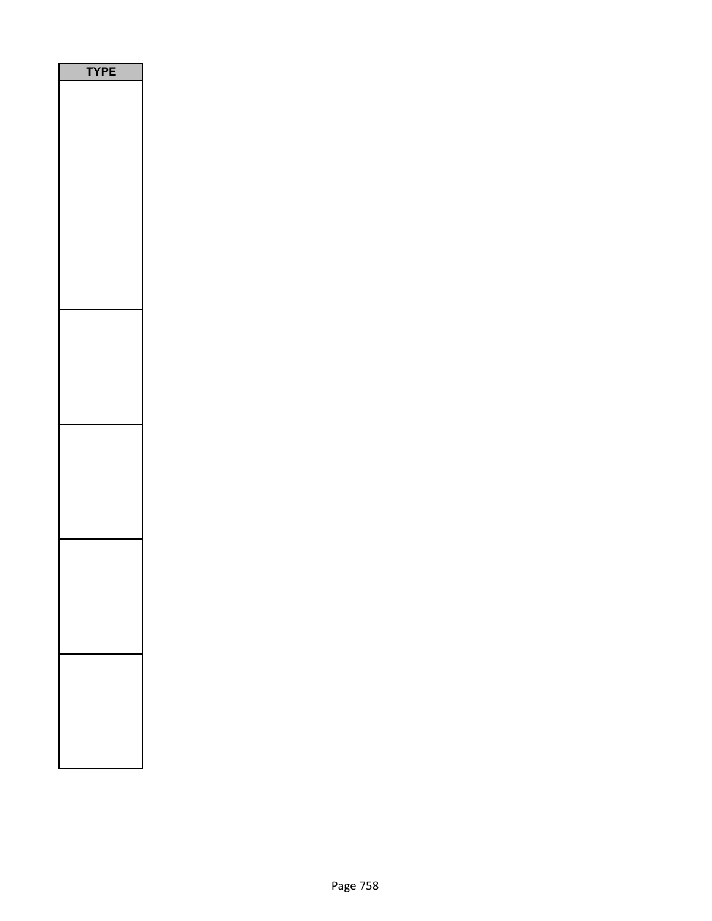| PE<br>٢ |
|---------|
|         |
|         |
|         |
|         |
|         |
|         |
|         |
|         |
|         |
|         |
|         |
|         |
|         |
|         |
|         |
|         |
|         |
|         |
|         |
|         |
|         |
|         |
|         |
|         |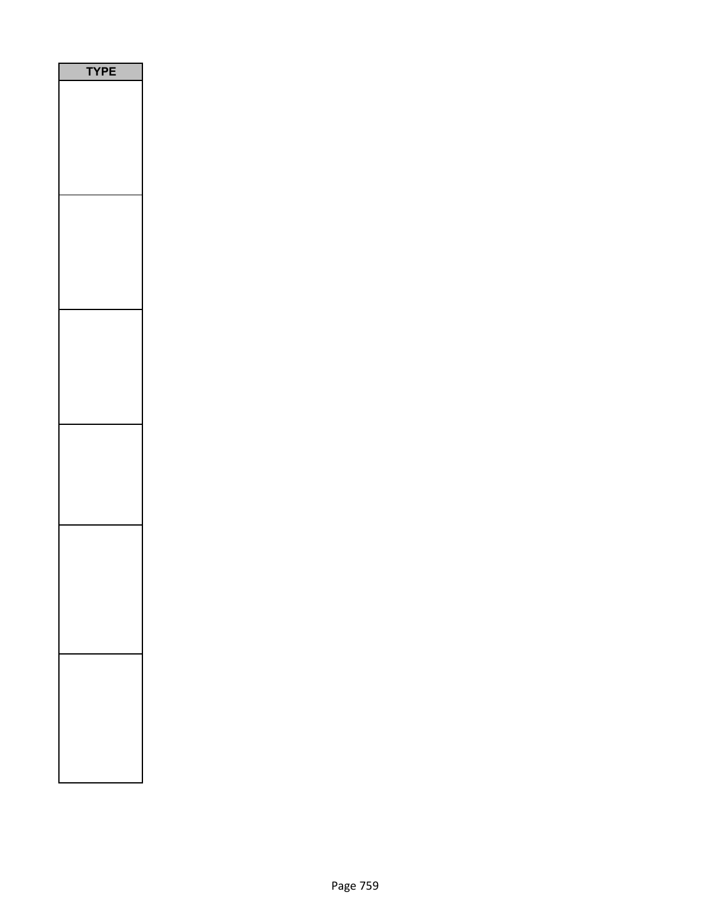| YPE |
|-----|
|     |
|     |
|     |
|     |
|     |
|     |
|     |
|     |
|     |
|     |
|     |
|     |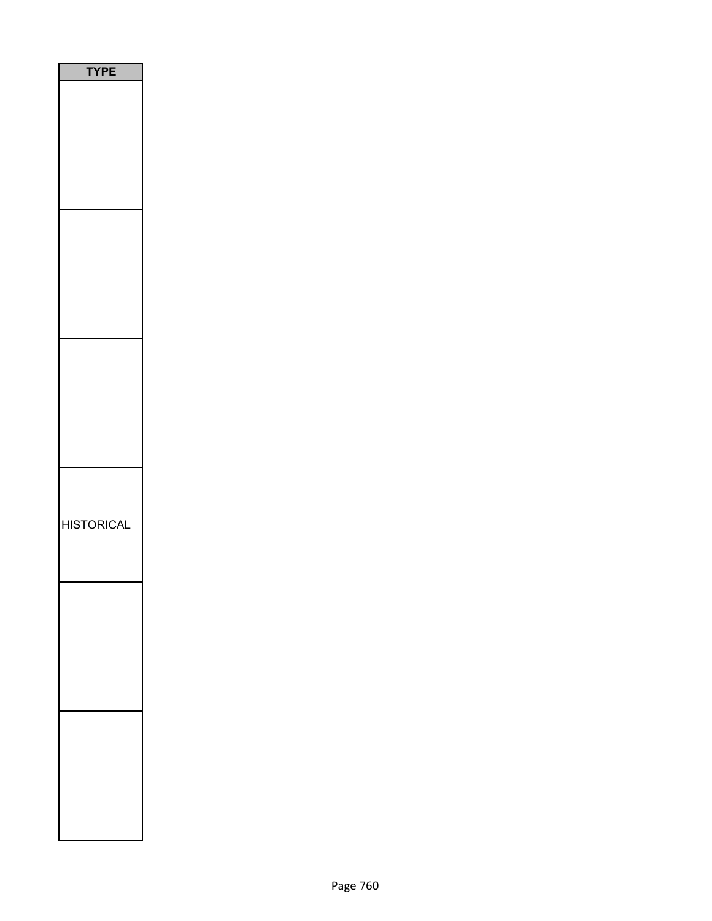| <b>TPE</b>        |
|-------------------|
|                   |
|                   |
|                   |
|                   |
|                   |
|                   |
|                   |
|                   |
|                   |
|                   |
|                   |
|                   |
|                   |
|                   |
|                   |
|                   |
|                   |
|                   |
|                   |
| <b>HISTORICAL</b> |
|                   |
|                   |
|                   |
|                   |
|                   |
|                   |
|                   |
|                   |
|                   |
|                   |
|                   |
|                   |
|                   |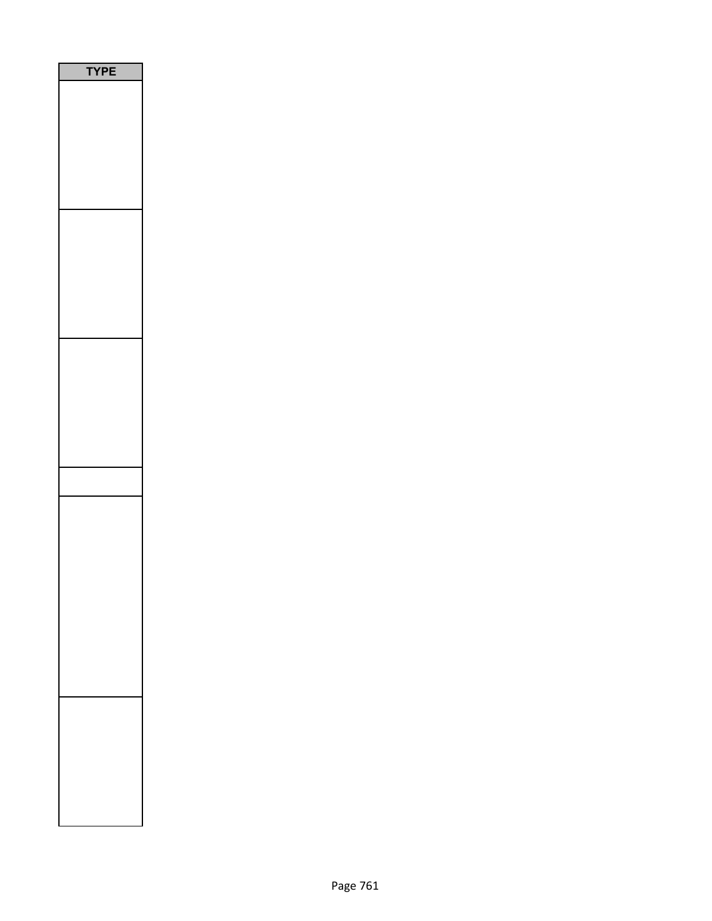| P<br>E<br>Y |
|-------------|
|             |
|             |
|             |
|             |
|             |
|             |
|             |
|             |
|             |
|             |
|             |
|             |
|             |
|             |
|             |
|             |
|             |
|             |
|             |
|             |
|             |
|             |
|             |
|             |
|             |
|             |
|             |
|             |
|             |
|             |
|             |
|             |
|             |
|             |
|             |
|             |
|             |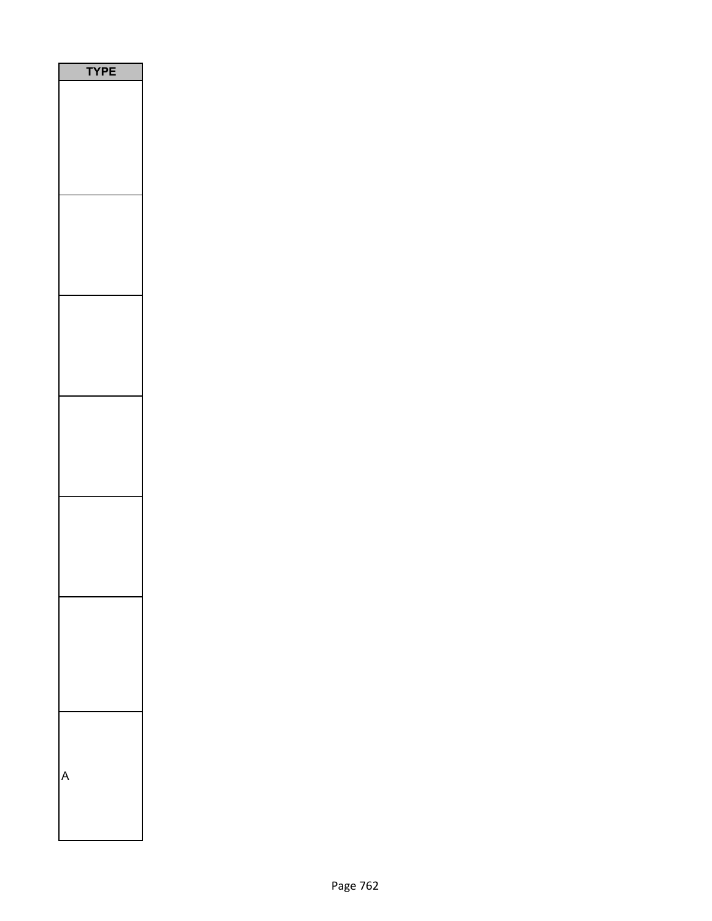| PE<br>Y |  |
|---------|--|
|         |  |
|         |  |
|         |  |
|         |  |
|         |  |
|         |  |
|         |  |
|         |  |
|         |  |
|         |  |
|         |  |
|         |  |
|         |  |
|         |  |
|         |  |
|         |  |
|         |  |
|         |  |
|         |  |
|         |  |
|         |  |
|         |  |
|         |  |
|         |  |
|         |  |
|         |  |
|         |  |
|         |  |
|         |  |
|         |  |
|         |  |
|         |  |
|         |  |
|         |  |
|         |  |
|         |  |
|         |  |
|         |  |
|         |  |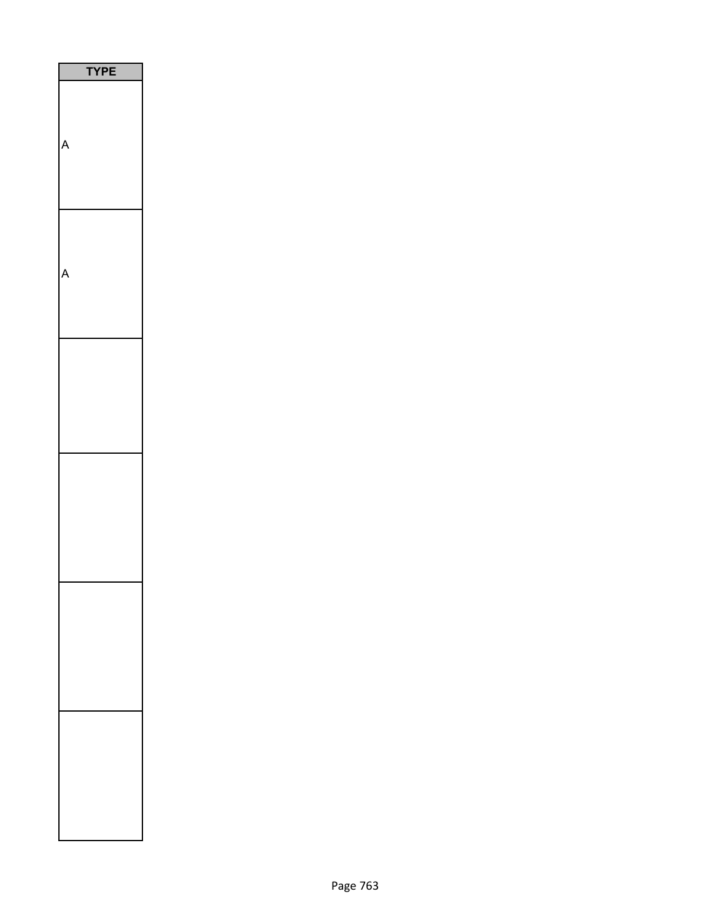| <b>YPE</b> |  |
|------------|--|
| Δ          |  |
|            |  |
|            |  |
|            |  |
|            |  |
|            |  |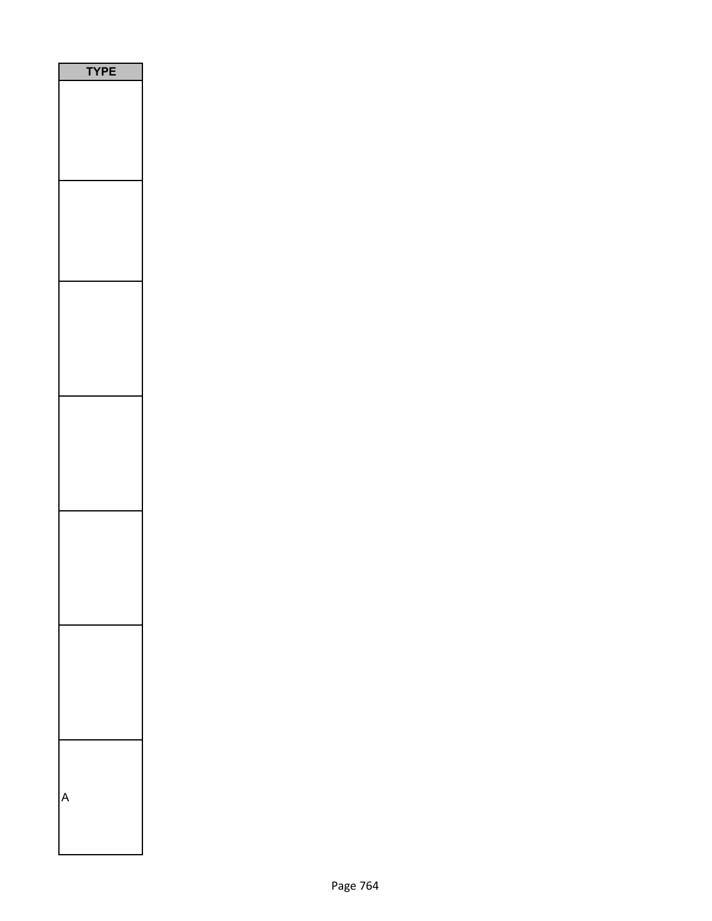| <b>YPE</b> |  |
|------------|--|
|            |  |
|            |  |
|            |  |
|            |  |
|            |  |
|            |  |
|            |  |
|            |  |
|            |  |
|            |  |
|            |  |
|            |  |
|            |  |
|            |  |
|            |  |
|            |  |
|            |  |
|            |  |
|            |  |
|            |  |
|            |  |
|            |  |
|            |  |
|            |  |
|            |  |
|            |  |
|            |  |
|            |  |
|            |  |
|            |  |
|            |  |
|            |  |
|            |  |
|            |  |
|            |  |
|            |  |
|            |  |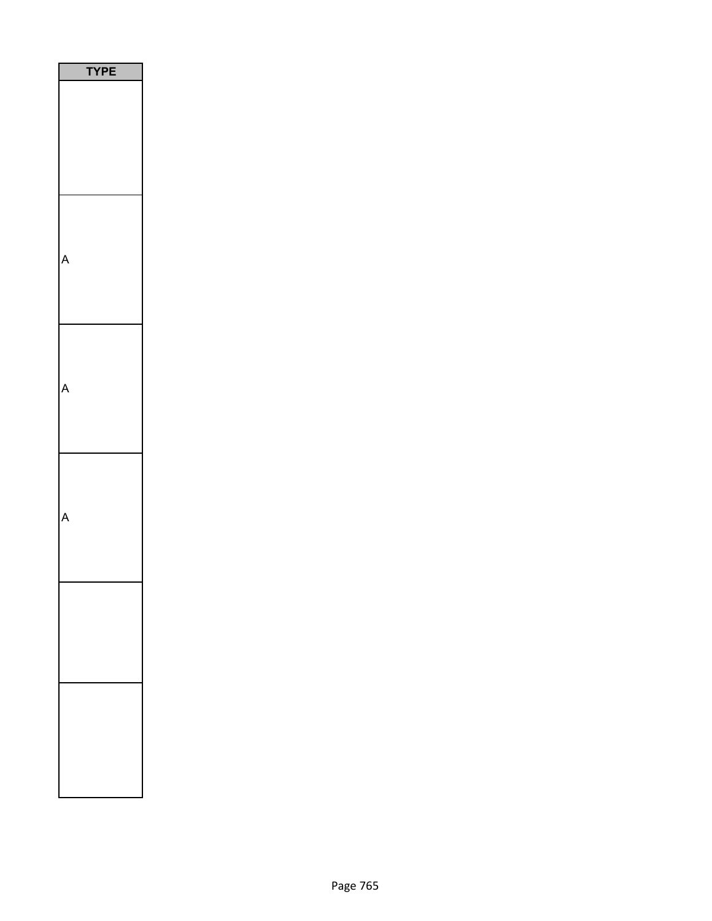| PE |
|----|
|    |
|    |
|    |
|    |
|    |
|    |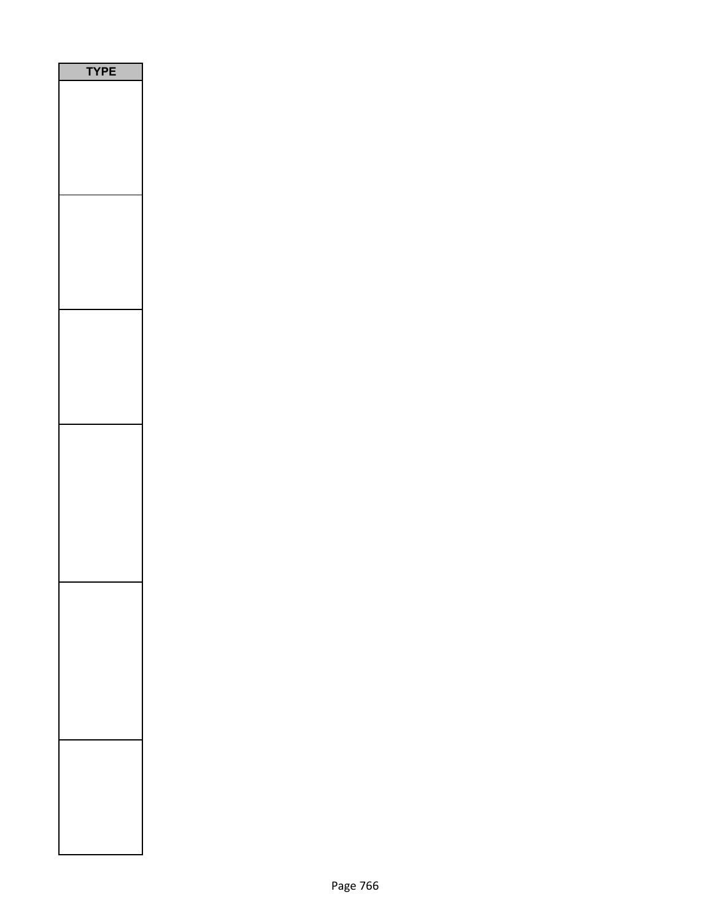| PE<br>١<br>ſ |  |
|--------------|--|
|              |  |
|              |  |
|              |  |
|              |  |
|              |  |
|              |  |
|              |  |
|              |  |
|              |  |
|              |  |
|              |  |
|              |  |
|              |  |
|              |  |
|              |  |
|              |  |
|              |  |
|              |  |
|              |  |
|              |  |
|              |  |
|              |  |
|              |  |
|              |  |
|              |  |
|              |  |
|              |  |
|              |  |
|              |  |
|              |  |
|              |  |
|              |  |
|              |  |
|              |  |
|              |  |
|              |  |
|              |  |
|              |  |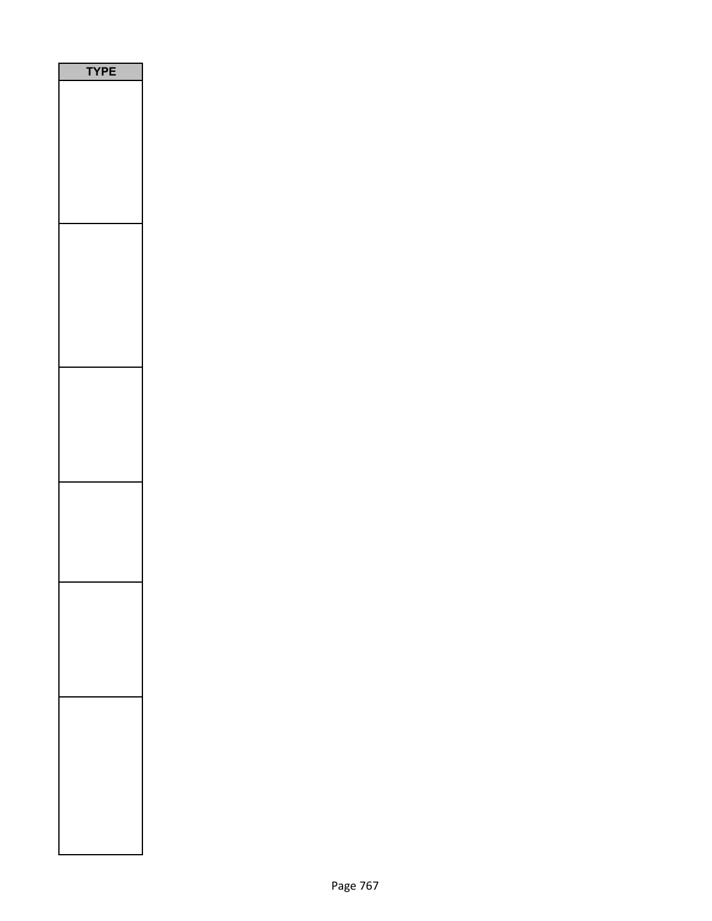| <b>/PE</b><br>٦ |  |
|-----------------|--|
|                 |  |
|                 |  |
|                 |  |
|                 |  |
|                 |  |
|                 |  |
|                 |  |
|                 |  |
|                 |  |
|                 |  |
|                 |  |
|                 |  |
|                 |  |
|                 |  |
|                 |  |
|                 |  |
|                 |  |
|                 |  |
|                 |  |
|                 |  |
|                 |  |
|                 |  |
|                 |  |
|                 |  |
|                 |  |
|                 |  |
|                 |  |
|                 |  |
|                 |  |
|                 |  |
|                 |  |
|                 |  |
|                 |  |
|                 |  |
|                 |  |
|                 |  |
|                 |  |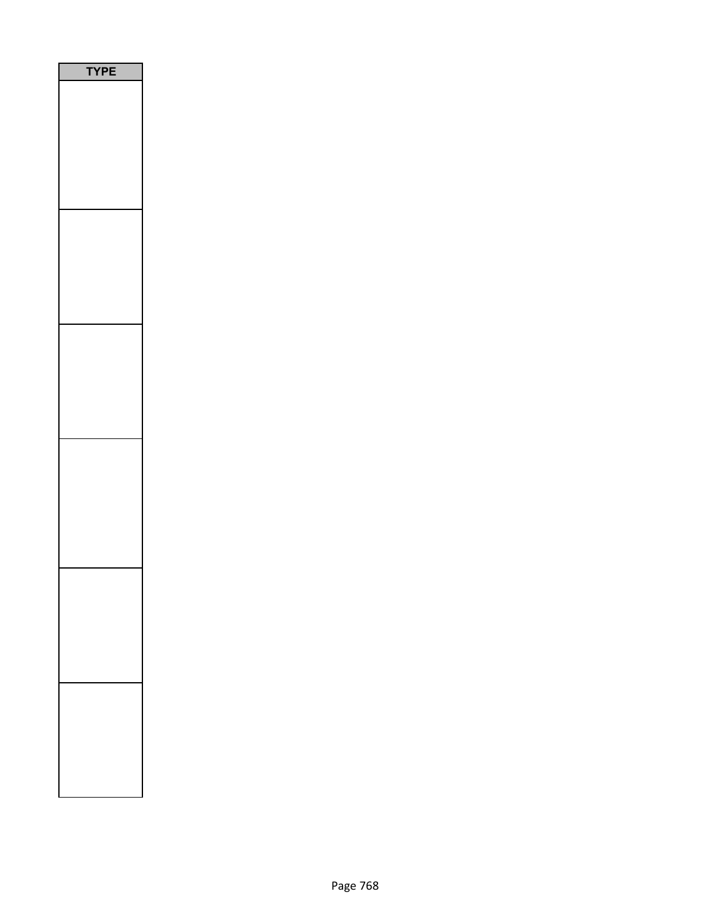| PE<br>$\overline{\phantom{a}}$ |
|--------------------------------|
|                                |
|                                |
|                                |
|                                |
|                                |
|                                |
|                                |
|                                |
|                                |
|                                |
|                                |
|                                |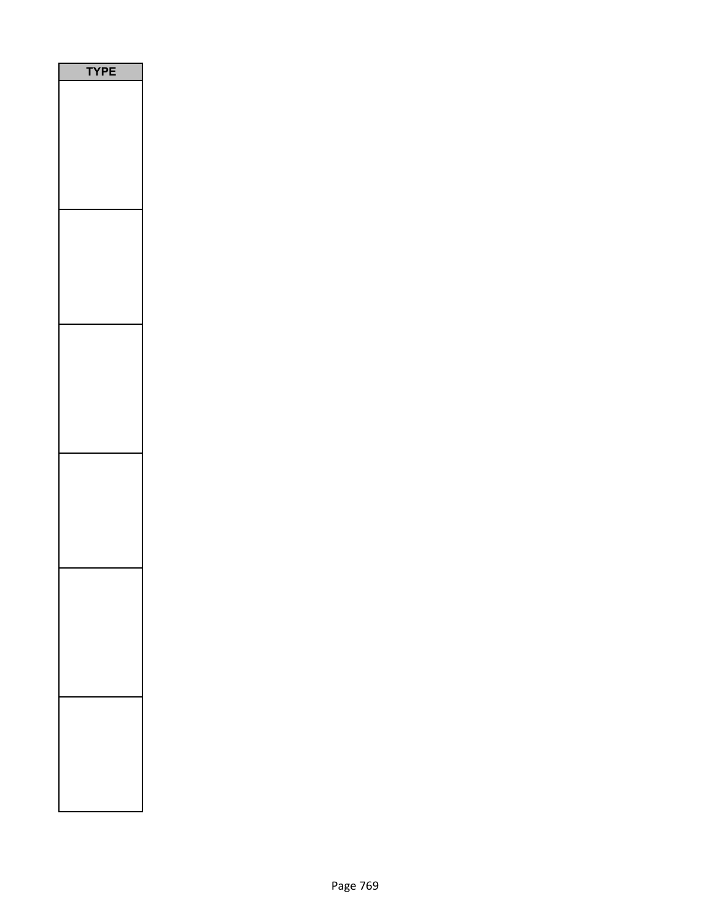| PE<br>$\mathbf r$ |
|-------------------|
|                   |
|                   |
|                   |
|                   |
|                   |
|                   |
|                   |
|                   |
|                   |
|                   |
|                   |
|                   |
|                   |
|                   |
|                   |
|                   |
|                   |
|                   |
|                   |
|                   |
|                   |
|                   |
|                   |
|                   |
|                   |
|                   |
|                   |
|                   |
|                   |
|                   |
|                   |
|                   |
|                   |
|                   |
|                   |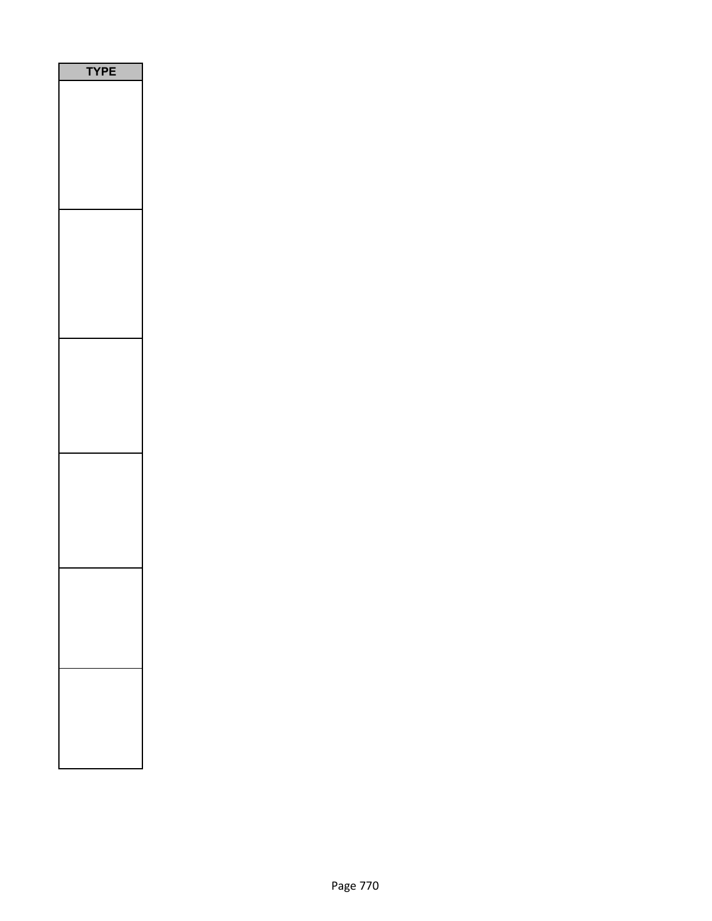| PE |
|----|
|    |
|    |
|    |
|    |
|    |
|    |
|    |
|    |
|    |
|    |
|    |
|    |
|    |
|    |
|    |
|    |
|    |
|    |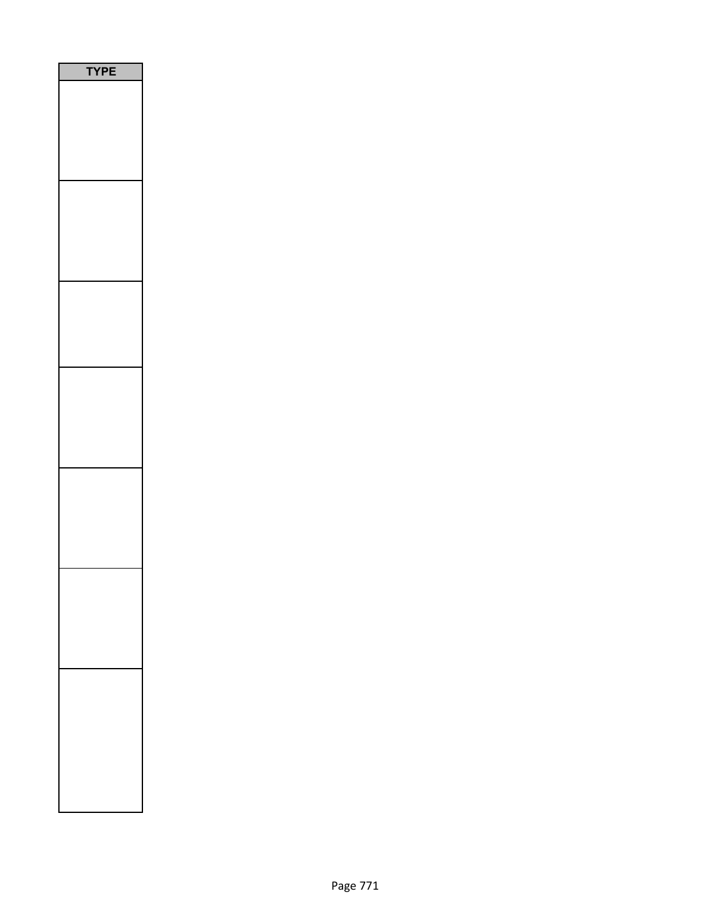| E<br>P |
|--------|
|        |
|        |
|        |
|        |
|        |
|        |
|        |
|        |
|        |
|        |
|        |
|        |
|        |
|        |
|        |
|        |
|        |
|        |
|        |
|        |
|        |
|        |
|        |
|        |
|        |
|        |
|        |
|        |
|        |
|        |
|        |
|        |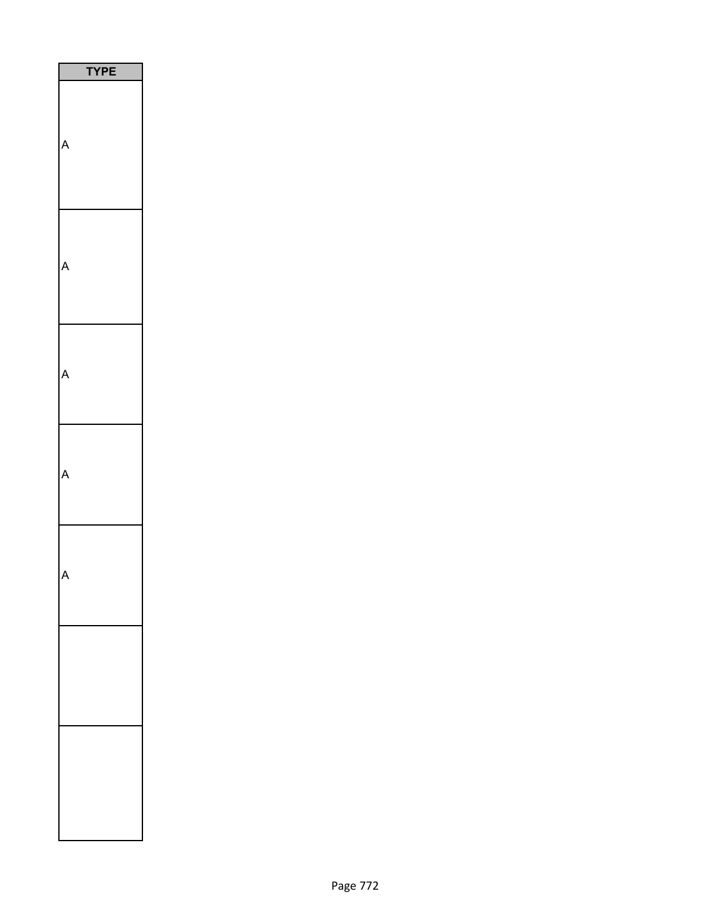| PE<br>'Y |
|----------|
|          |
|          |
|          |
|          |
|          |
|          |
|          |
|          |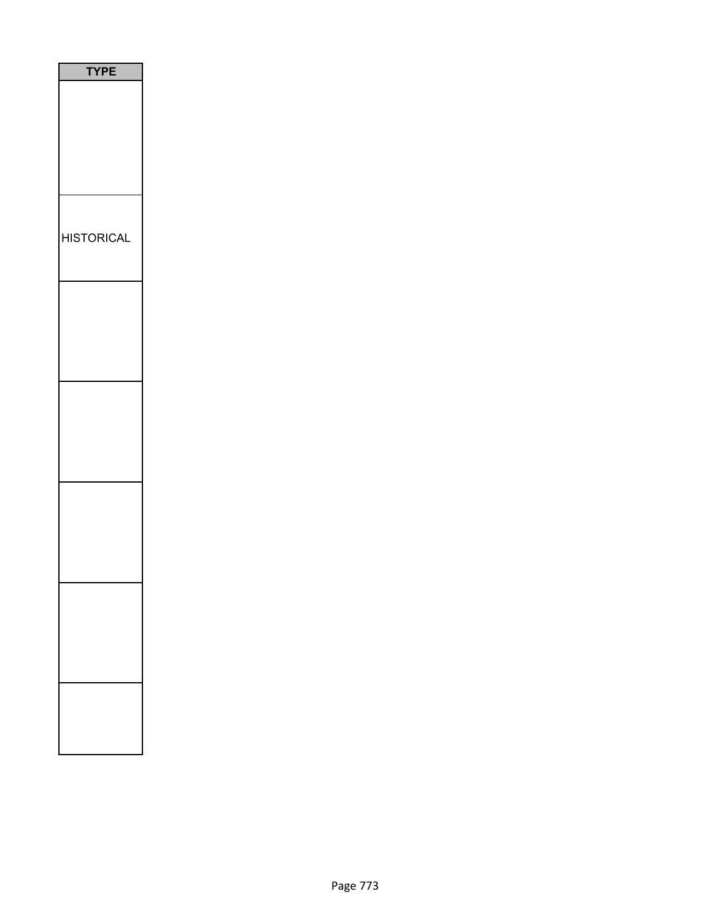| <b>TYPE</b>       |
|-------------------|
|                   |
| <b>HISTORICAL</b> |
|                   |
|                   |
|                   |
|                   |
|                   |
|                   |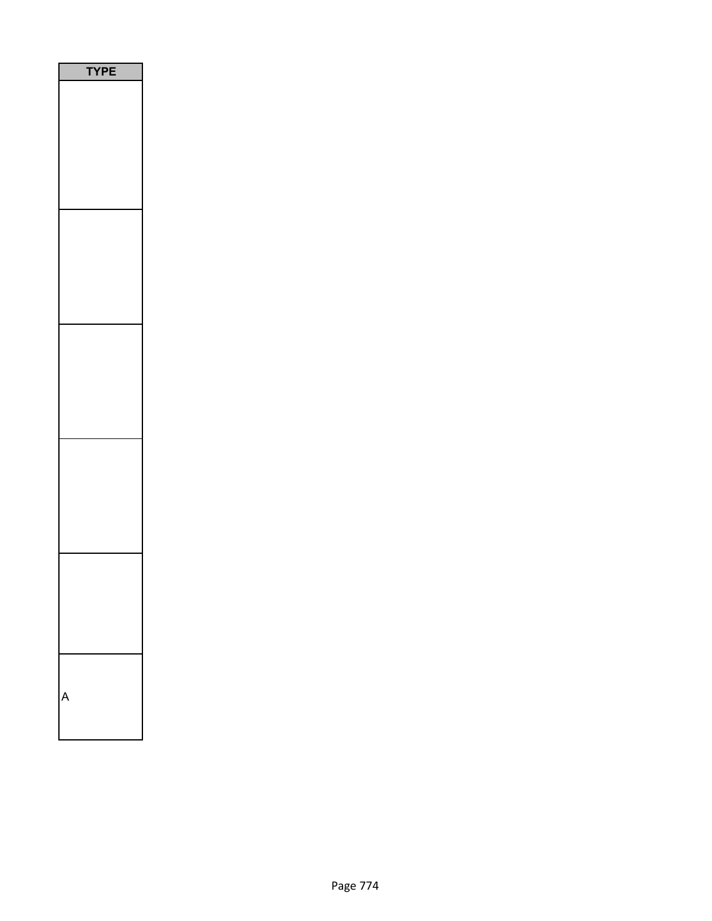| <b>TYPE</b> |  |
|-------------|--|
|             |  |
|             |  |
|             |  |
|             |  |
|             |  |
| ١           |  |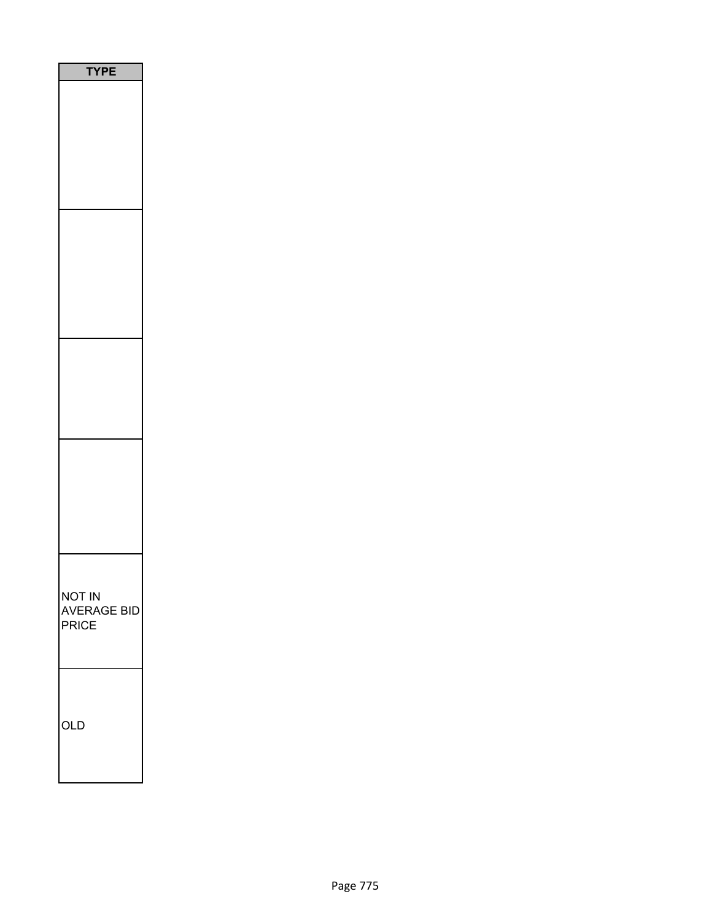| PE                                           |
|----------------------------------------------|
|                                              |
|                                              |
|                                              |
|                                              |
| <b>NOT IN</b><br><b>AVERAGE BID</b><br>PRICE |
| OLD                                          |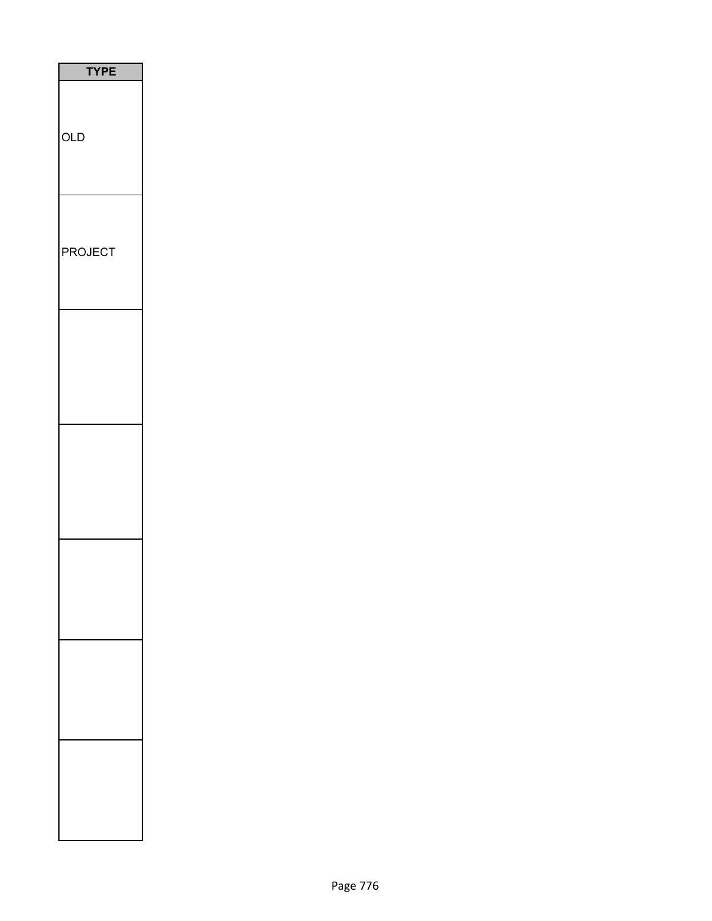| <b>TYPE</b>    |
|----------------|
| <b>OLD</b>     |
| <b>PROJECT</b> |
|                |
|                |
|                |
|                |
|                |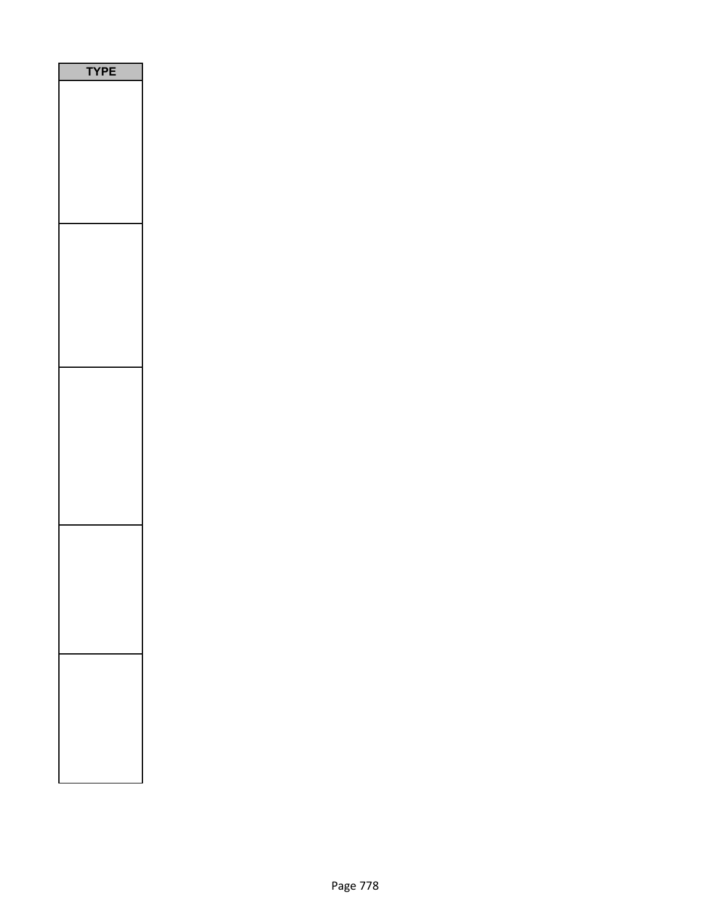| <b>YPE</b> |
|------------|
|            |
|            |
|            |
|            |
|            |
|            |
|            |
|            |
|            |
|            |
|            |
|            |
|            |
|            |
|            |
|            |
|            |
|            |
|            |
|            |
|            |
|            |
|            |
|            |
|            |
|            |
|            |
|            |
|            |
|            |
|            |
|            |
|            |
|            |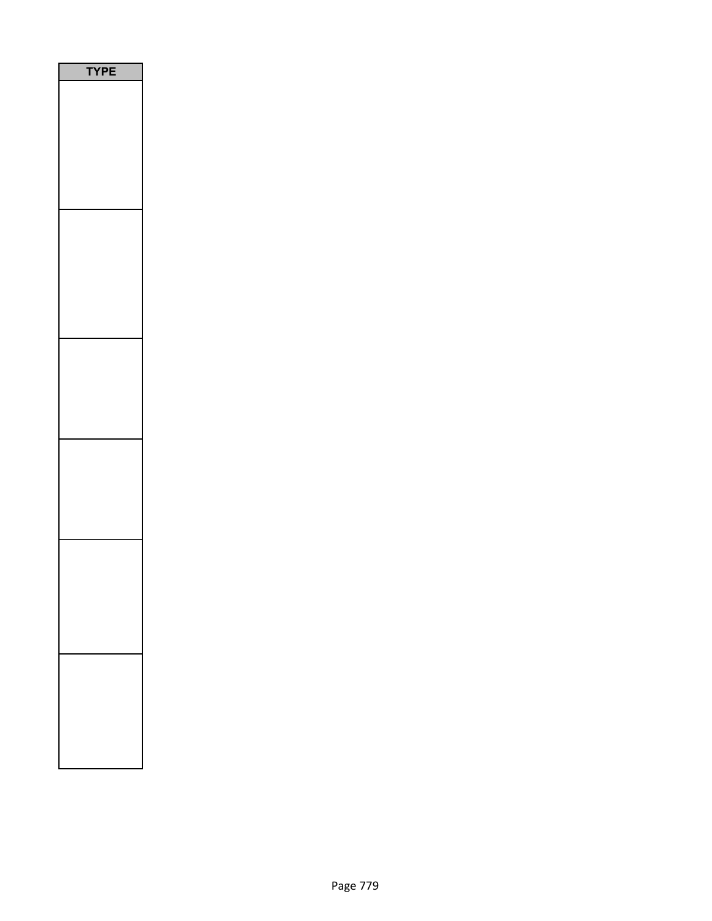| PE |
|----|
|    |
|    |
|    |
|    |
|    |
|    |
|    |
|    |
|    |
|    |
|    |
|    |
|    |
|    |
|    |
|    |
|    |
|    |
|    |
|    |
|    |
|    |
|    |
|    |
|    |
|    |
|    |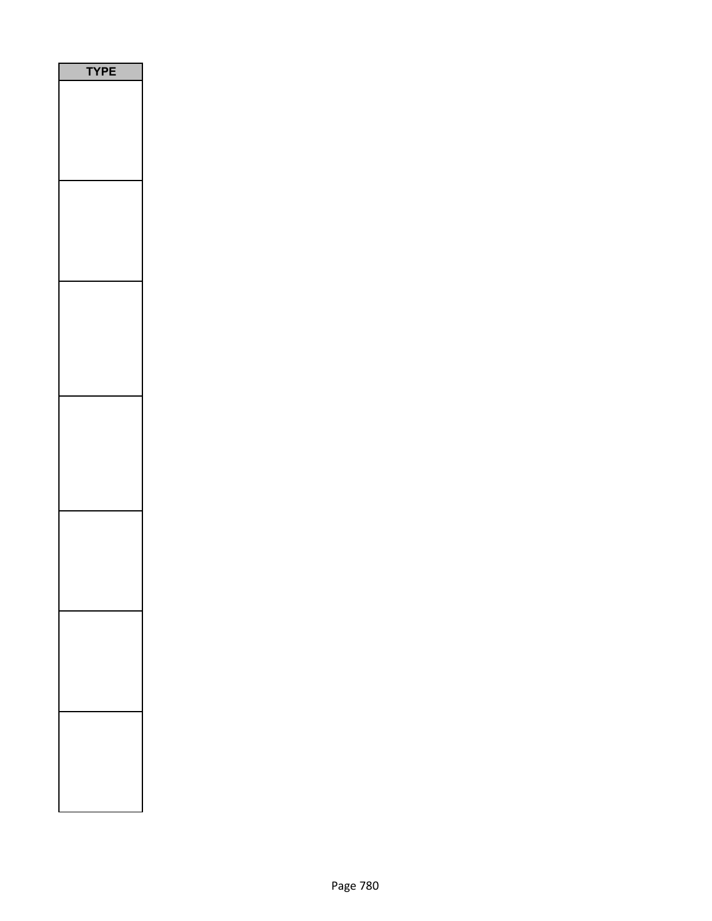| <b>PE</b><br>٦ |
|----------------|
|                |
|                |
|                |
|                |
|                |
|                |
|                |
|                |
|                |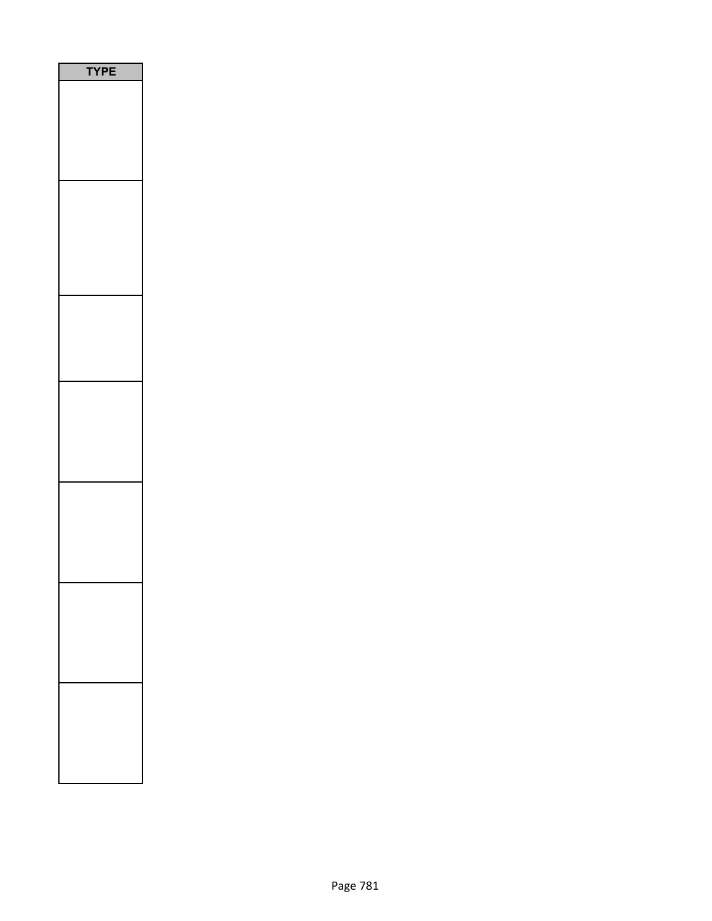| <b>YPE</b> |
|------------|
|            |
|            |
|            |
|            |
|            |
|            |
|            |
|            |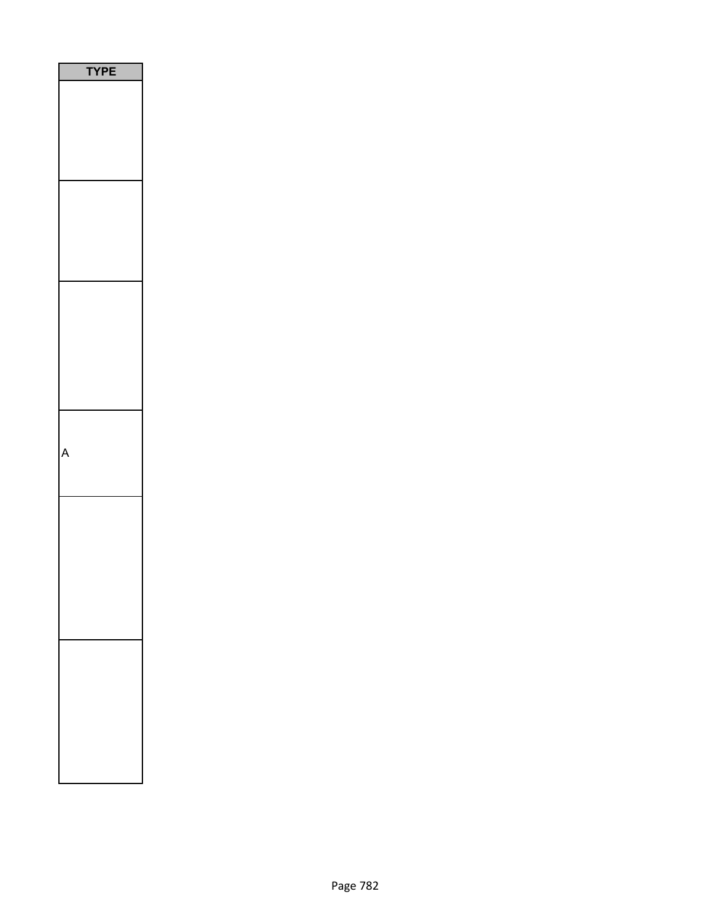| י<br>I<br>l |
|-------------|
|             |
|             |
|             |
|             |
|             |
|             |
|             |
|             |
|             |
|             |
|             |
|             |
|             |
|             |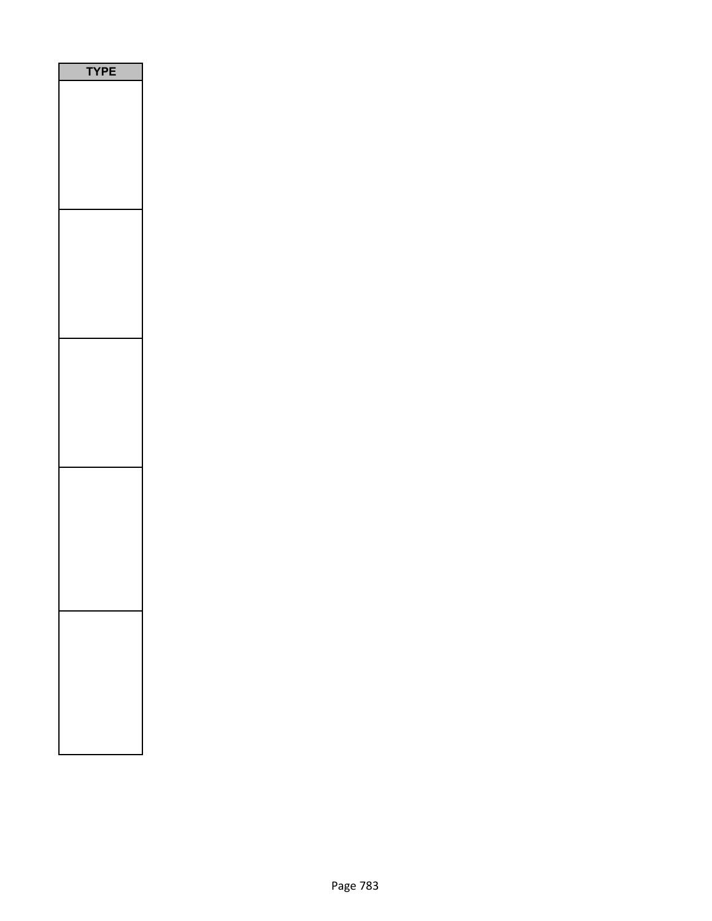| YPE<br>┋ |
|----------|
|          |
|          |
|          |
|          |
|          |
|          |
|          |
|          |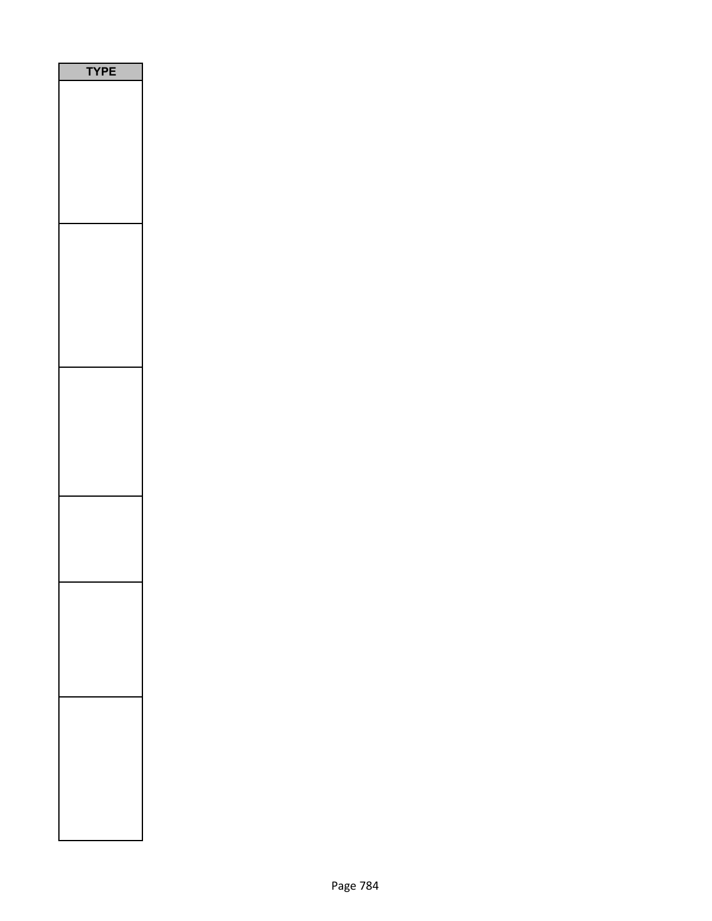| P<br>Ε<br>Y |  |
|-------------|--|
|             |  |
|             |  |
|             |  |
|             |  |
|             |  |
|             |  |
|             |  |
|             |  |
|             |  |
|             |  |
|             |  |
|             |  |
|             |  |
|             |  |
|             |  |
|             |  |
|             |  |
|             |  |
|             |  |
|             |  |
|             |  |
|             |  |
|             |  |
|             |  |
|             |  |
|             |  |
|             |  |
|             |  |
|             |  |
|             |  |
|             |  |
|             |  |
|             |  |
|             |  |
|             |  |
|             |  |
|             |  |
|             |  |
|             |  |
|             |  |
|             |  |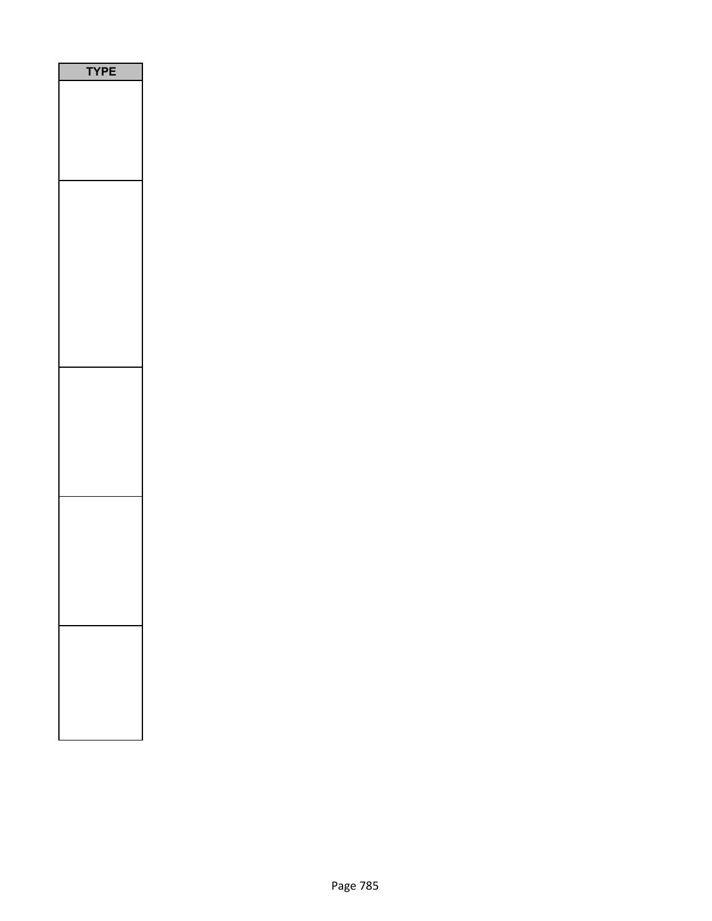| P |
|---|
|   |
|   |
|   |
|   |
|   |
|   |
|   |
|   |
|   |
|   |
|   |
|   |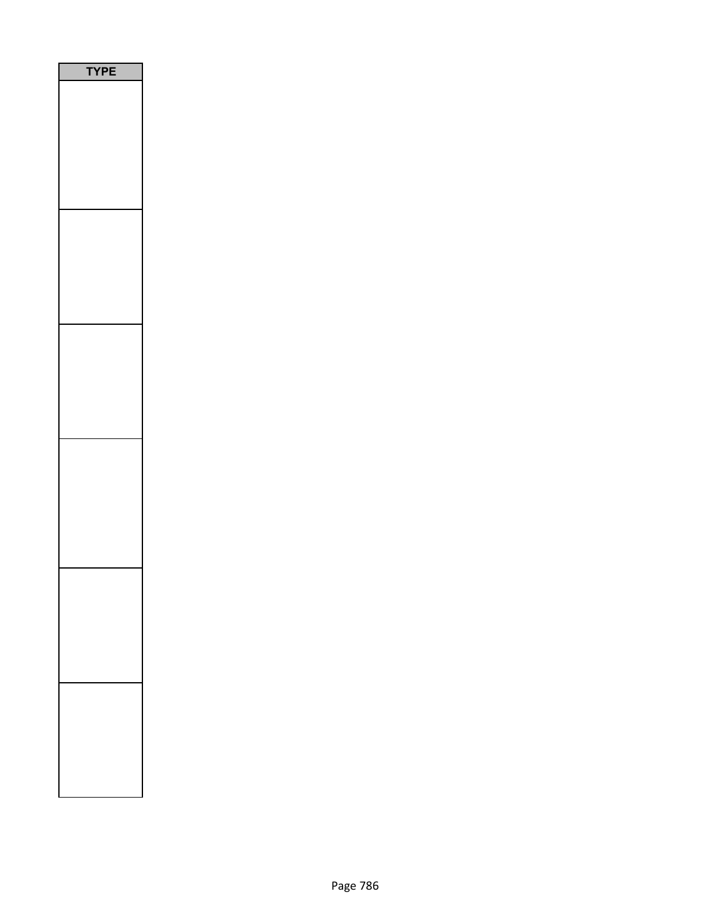| PE<br>$\overline{\phantom{a}}$ |
|--------------------------------|
|                                |
|                                |
|                                |
|                                |
|                                |
|                                |
|                                |
|                                |
|                                |
|                                |
|                                |
|                                |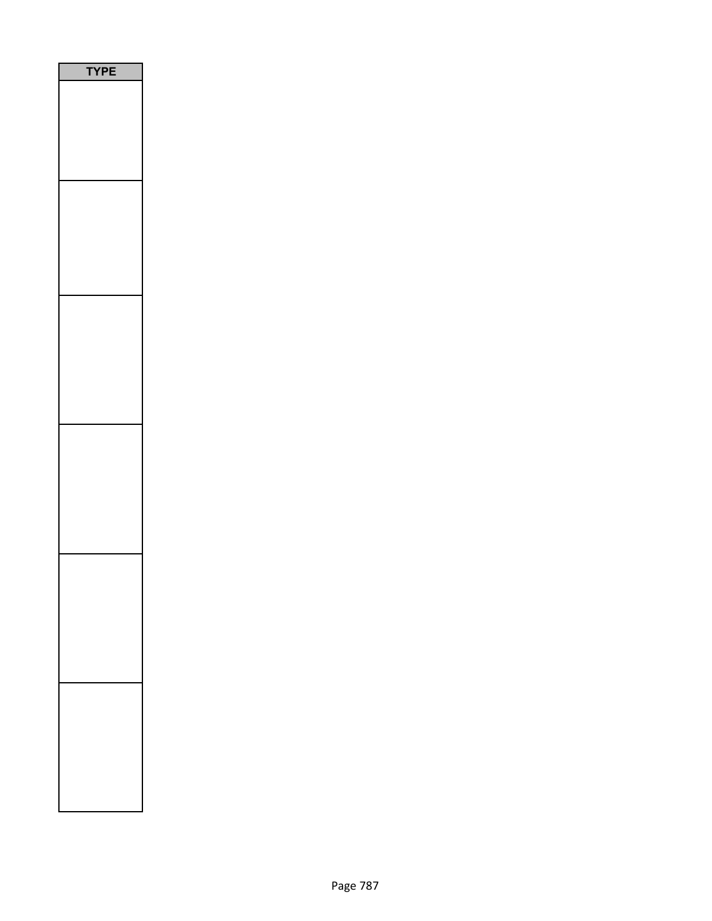| E<br>P |
|--------|
|        |
|        |
|        |
|        |
|        |
|        |
|        |
|        |
|        |
|        |
|        |
|        |
|        |
|        |
|        |
|        |
|        |
|        |
|        |
|        |
|        |
|        |
|        |
|        |
|        |
|        |
|        |
|        |
|        |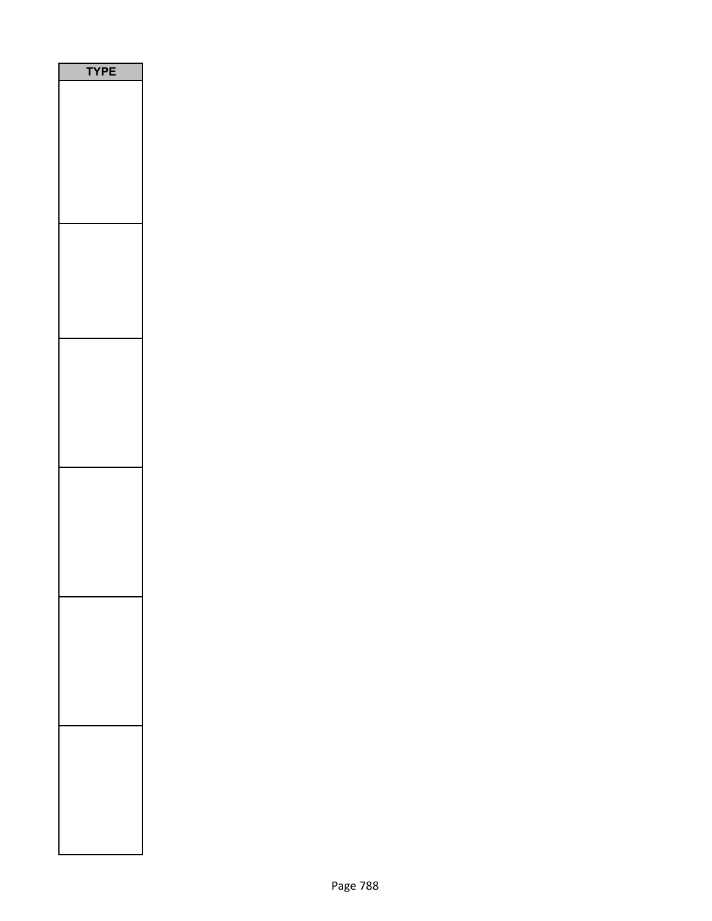| <b>/PE</b> |  |
|------------|--|
|            |  |
|            |  |
|            |  |
|            |  |
|            |  |
|            |  |
|            |  |
|            |  |
|            |  |
|            |  |
|            |  |
|            |  |
|            |  |
|            |  |
|            |  |
|            |  |
|            |  |
|            |  |
|            |  |
|            |  |
|            |  |
|            |  |
|            |  |
|            |  |
|            |  |
|            |  |
|            |  |
|            |  |
|            |  |
|            |  |
|            |  |
|            |  |
|            |  |
|            |  |
|            |  |
|            |  |
|            |  |
|            |  |
|            |  |
|            |  |
|            |  |
|            |  |
|            |  |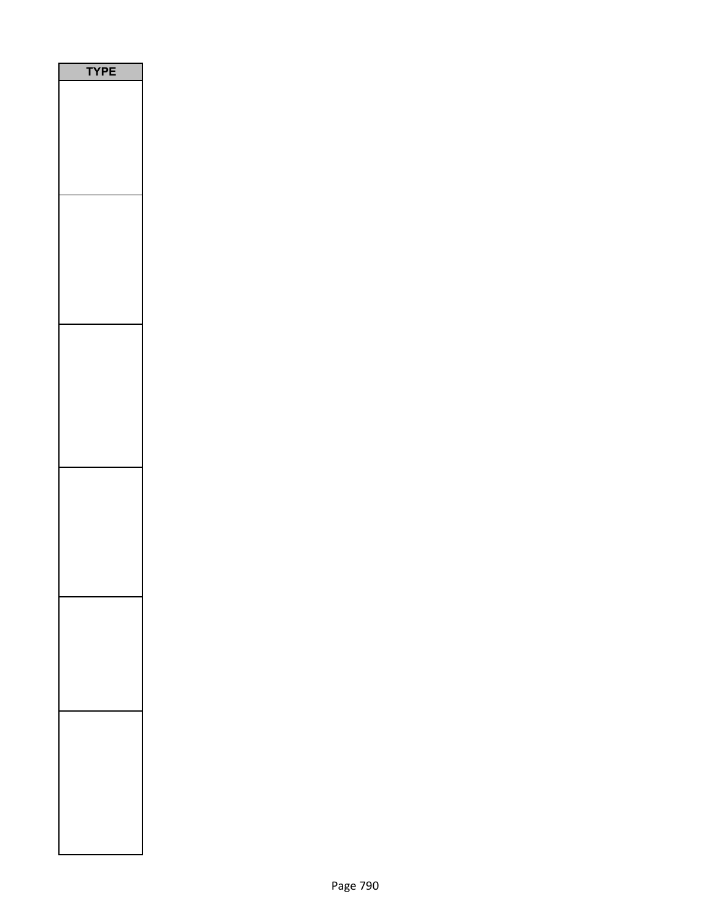| PE |
|----|
|    |
|    |
|    |
|    |
|    |
|    |
|    |
|    |
|    |
|    |
|    |
|    |
|    |
|    |
|    |
|    |
|    |
|    |
|    |
|    |
|    |
|    |
|    |
|    |
|    |
|    |
|    |
|    |
|    |
|    |
|    |
|    |
|    |
|    |
|    |
|    |
|    |
|    |
|    |
|    |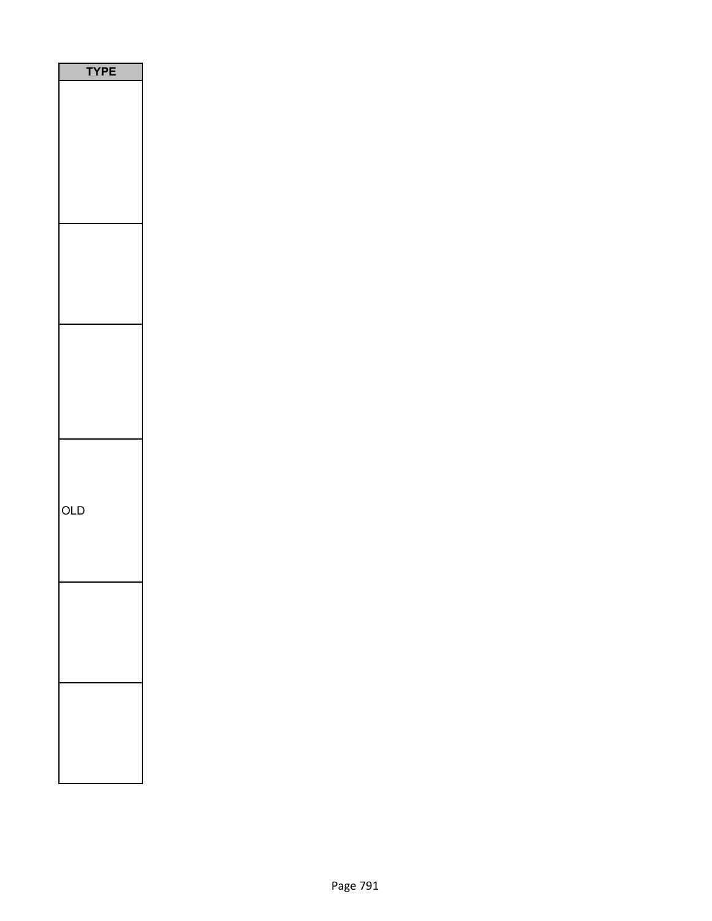| <b>YPE</b> |
|------------|
|            |
|            |
|            |
|            |
|            |
|            |
|            |
|            |
|            |
|            |
|            |
|            |
|            |
|            |
|            |
|            |
|            |
| OLD        |
|            |
|            |
|            |
|            |
|            |
|            |
|            |
|            |
|            |
|            |
|            |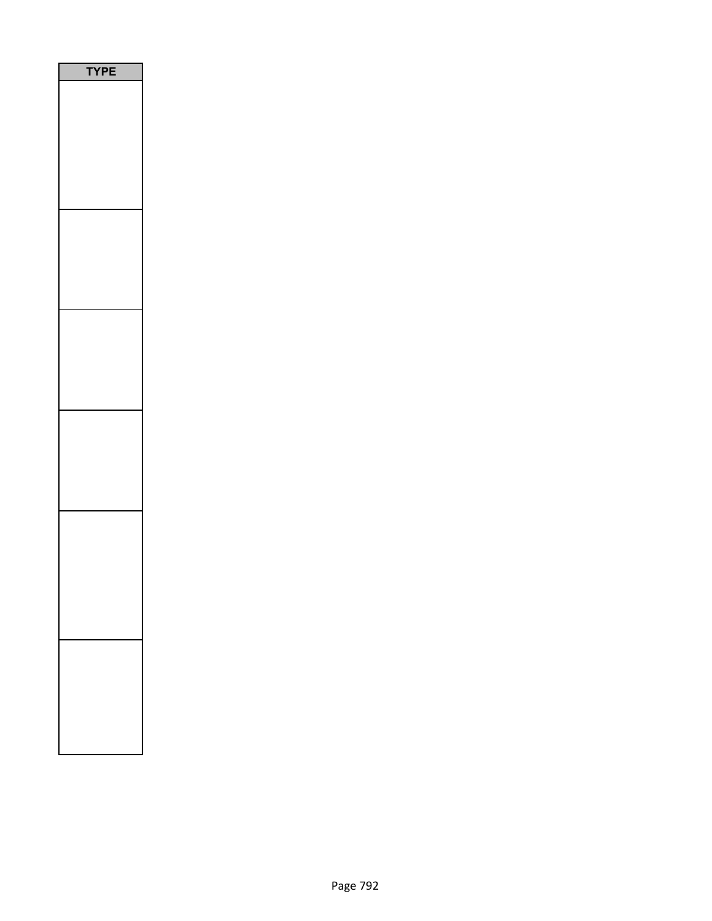| PE<br>ſ |
|---------|
|         |
|         |
|         |
|         |
|         |
|         |
|         |
|         |
|         |
|         |
|         |
|         |
|         |
|         |
|         |
|         |
|         |
|         |
|         |
|         |
|         |
|         |
|         |
|         |
|         |
|         |
|         |
|         |
|         |
|         |
|         |
|         |
|         |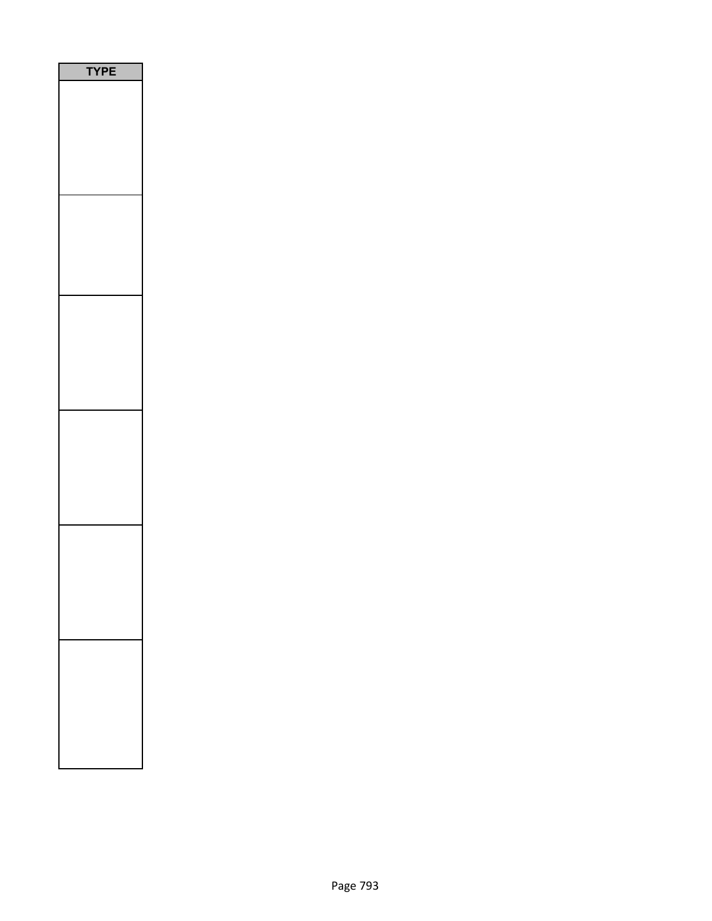| PE<br>ſ |
|---------|
|         |
|         |
|         |
|         |
|         |
|         |
|         |
|         |
|         |
|         |
|         |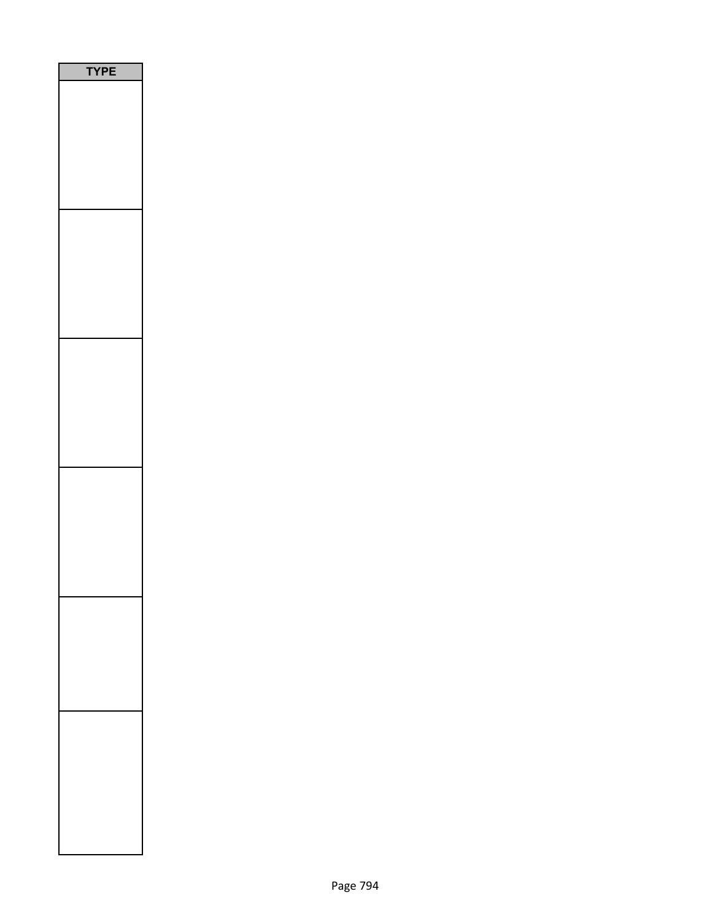| YPE |  |
|-----|--|
|     |  |
|     |  |
|     |  |
|     |  |
|     |  |
|     |  |
|     |  |
|     |  |
|     |  |
|     |  |
|     |  |
|     |  |
|     |  |
|     |  |
|     |  |
|     |  |
|     |  |
|     |  |
|     |  |
|     |  |
|     |  |
|     |  |
|     |  |
|     |  |
|     |  |
|     |  |
|     |  |
|     |  |
|     |  |
|     |  |
|     |  |
|     |  |
|     |  |
|     |  |
|     |  |
|     |  |
|     |  |
|     |  |
|     |  |
|     |  |
|     |  |
|     |  |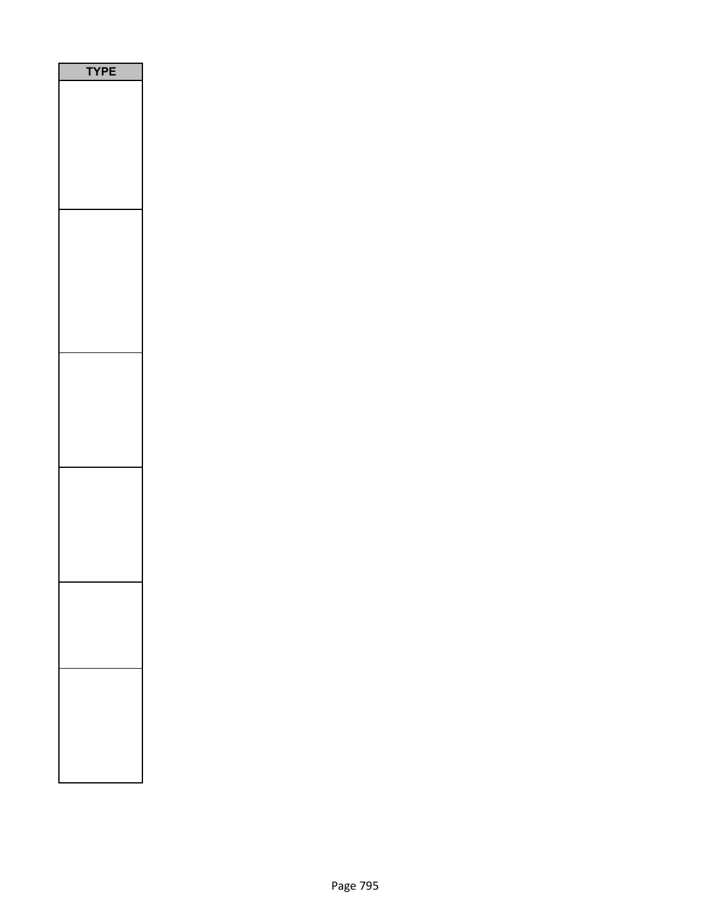| PE<br>٢ |  |
|---------|--|
|         |  |
|         |  |
|         |  |
|         |  |
|         |  |
|         |  |
|         |  |
|         |  |
|         |  |
|         |  |
|         |  |
|         |  |
|         |  |
|         |  |
|         |  |
|         |  |
|         |  |
|         |  |
|         |  |
|         |  |
|         |  |
|         |  |
|         |  |
|         |  |
|         |  |
|         |  |
|         |  |
|         |  |
|         |  |
|         |  |
|         |  |
|         |  |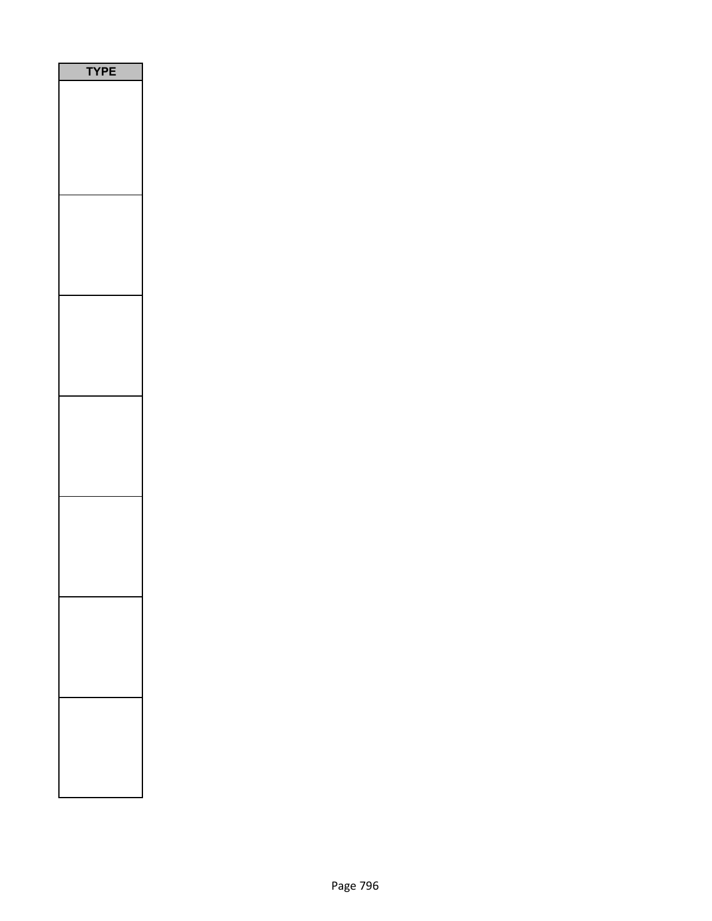| <b>/PE</b><br>٦ |
|-----------------|
|                 |
|                 |
|                 |
|                 |
|                 |
|                 |
|                 |
|                 |
|                 |
|                 |
|                 |
|                 |
|                 |
|                 |
|                 |
|                 |
|                 |
|                 |
|                 |
|                 |
|                 |
|                 |
|                 |
|                 |
|                 |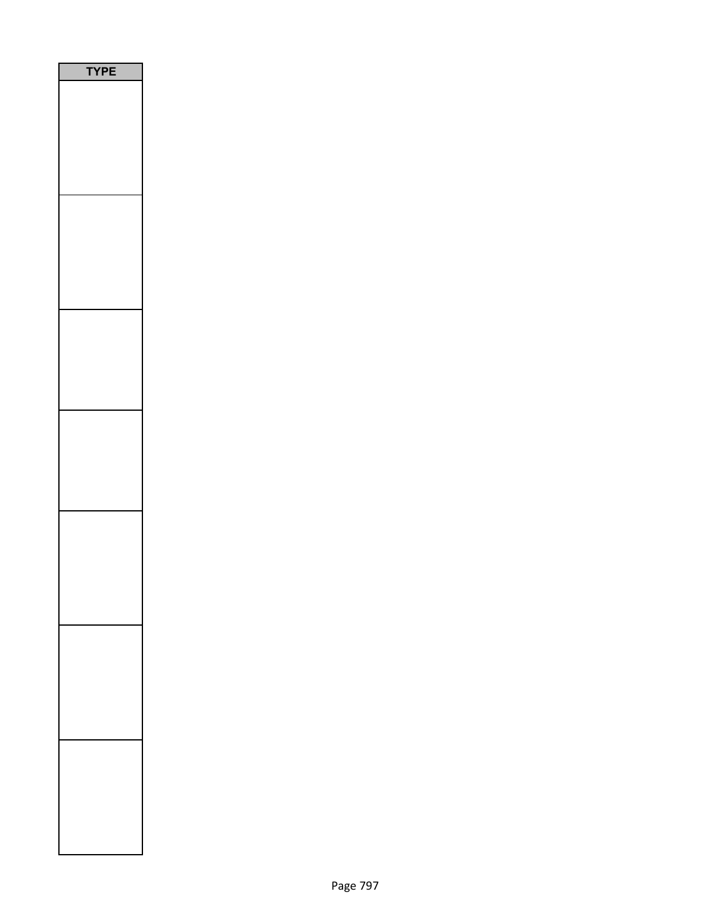| PE<br>'Y |  |
|----------|--|
|          |  |
|          |  |
|          |  |
|          |  |
|          |  |
|          |  |
|          |  |
|          |  |
|          |  |
|          |  |
|          |  |
|          |  |
|          |  |
|          |  |
|          |  |
|          |  |
|          |  |
|          |  |
|          |  |
|          |  |
|          |  |
|          |  |
|          |  |
|          |  |
|          |  |
|          |  |
|          |  |
|          |  |
|          |  |
|          |  |
|          |  |
|          |  |
|          |  |
|          |  |
|          |  |
|          |  |
|          |  |
|          |  |
|          |  |
|          |  |
|          |  |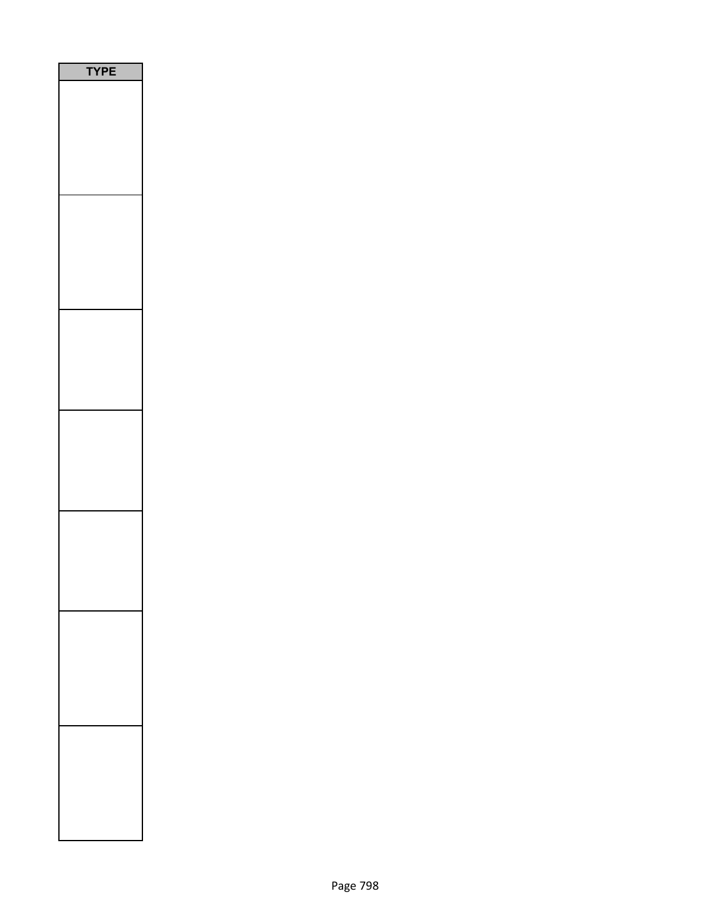| YPE |
|-----|
|     |
|     |
|     |
|     |
|     |
|     |
|     |
|     |
|     |
|     |
|     |
|     |
|     |
|     |
|     |
|     |
|     |
|     |
|     |
|     |
|     |
|     |
|     |
|     |
|     |
|     |
|     |
|     |
|     |
|     |
|     |
|     |
|     |
|     |
|     |
|     |
|     |
|     |
|     |
|     |
|     |
|     |
|     |
|     |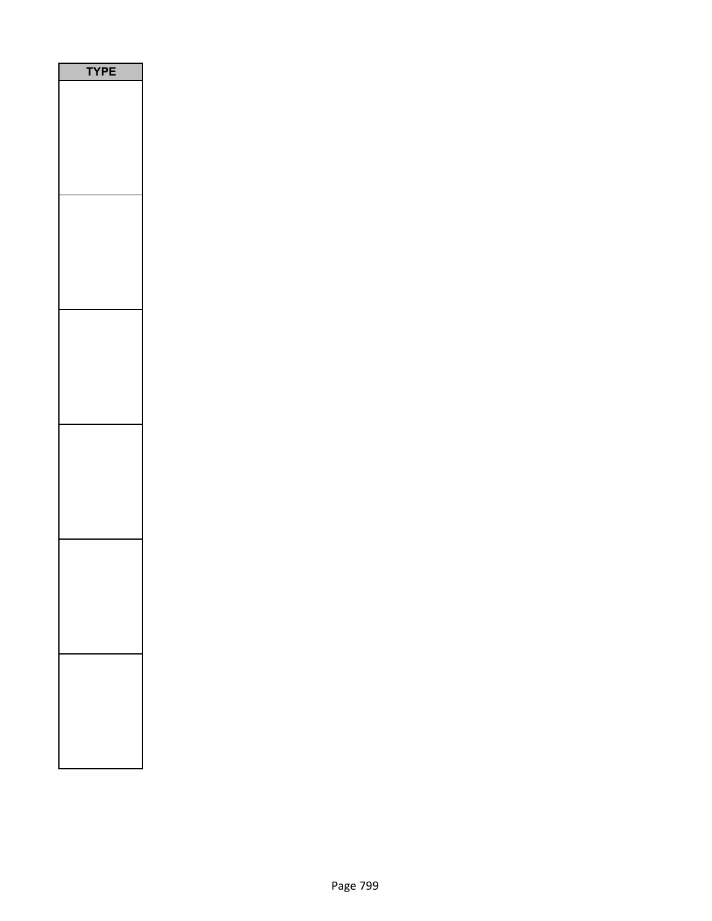| PE<br>٢ |
|---------|
|         |
|         |
|         |
|         |
|         |
|         |
|         |
|         |
|         |
|         |
|         |
|         |
|         |
|         |
|         |
|         |
|         |
|         |
|         |
|         |
|         |
|         |
|         |
|         |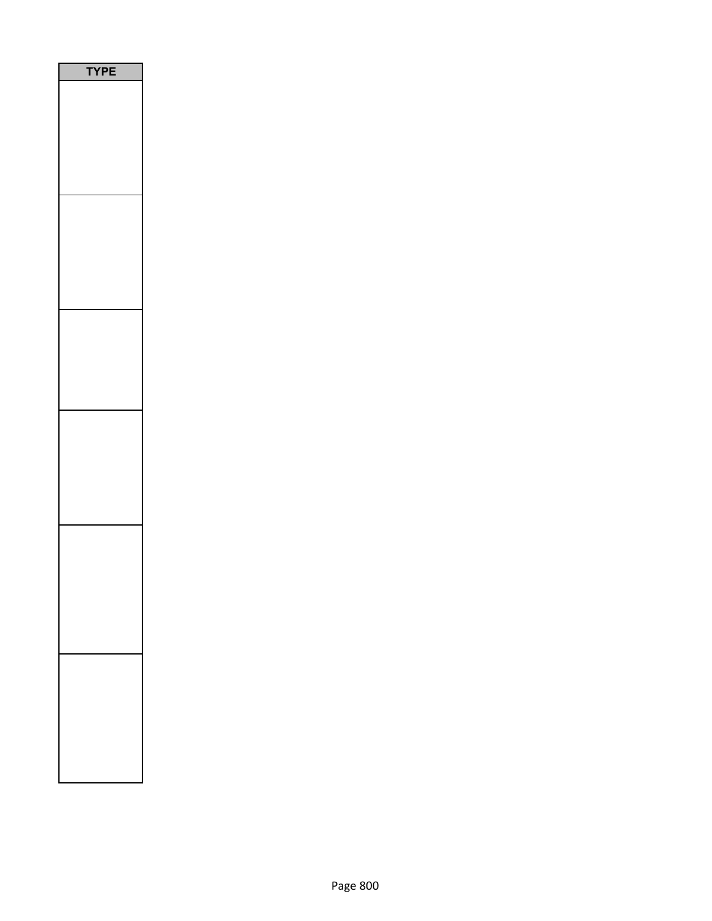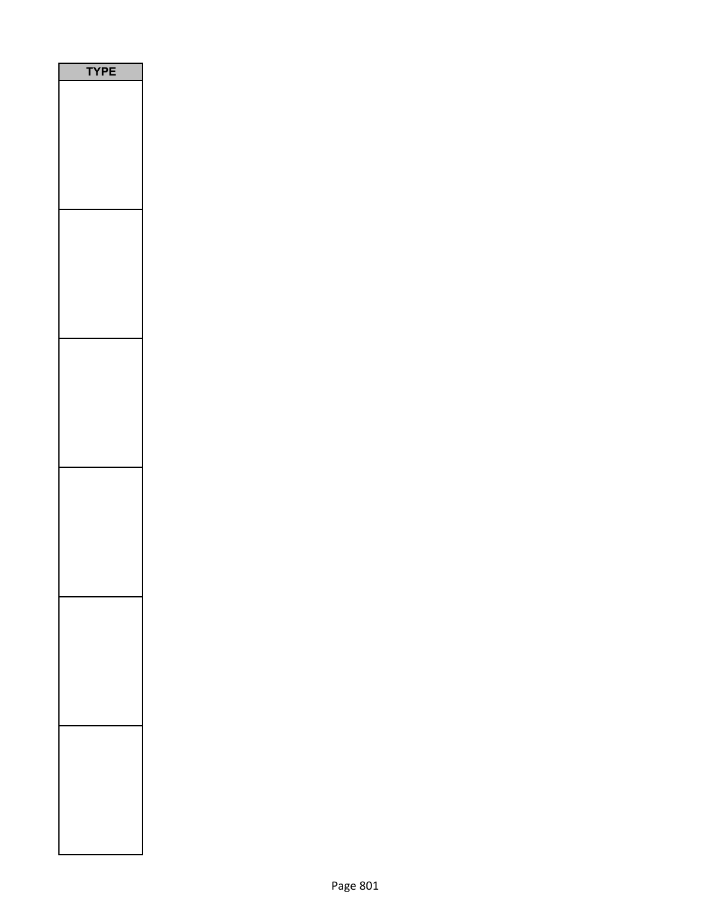| YPE |  |
|-----|--|
|     |  |
|     |  |
|     |  |
|     |  |
|     |  |
|     |  |
|     |  |
|     |  |
|     |  |
|     |  |
|     |  |
|     |  |
|     |  |
|     |  |
|     |  |
|     |  |
|     |  |
|     |  |
|     |  |
|     |  |
|     |  |
|     |  |
|     |  |
|     |  |
|     |  |
|     |  |
|     |  |
|     |  |
|     |  |
|     |  |
|     |  |
|     |  |
|     |  |
|     |  |
|     |  |
|     |  |
|     |  |
|     |  |
|     |  |
|     |  |
|     |  |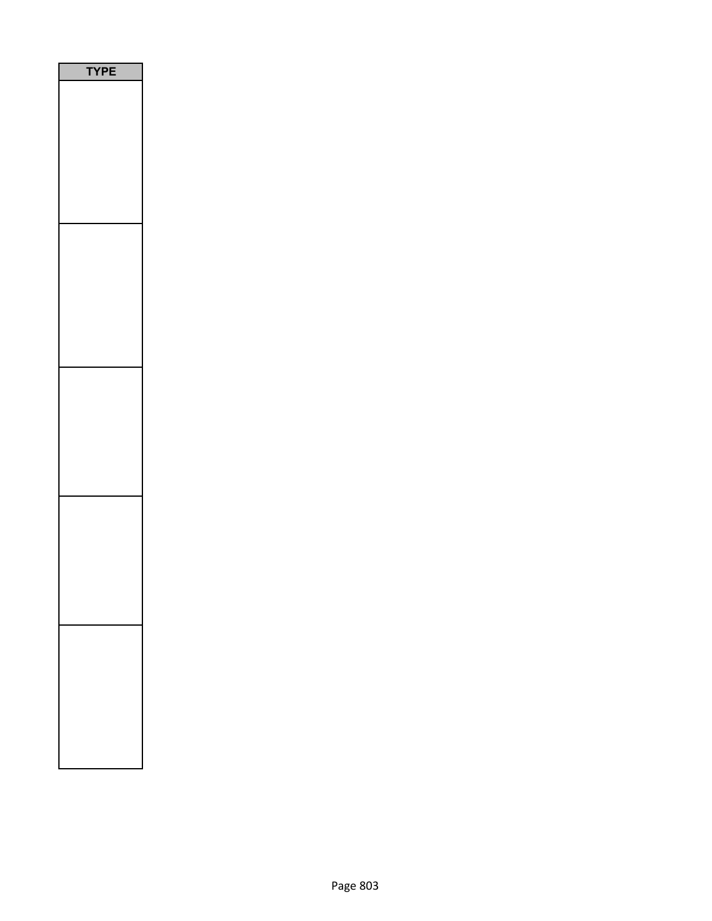| PE<br>1 |
|---------|
|         |
|         |
|         |
|         |
|         |
|         |
|         |
|         |
|         |
|         |
|         |
|         |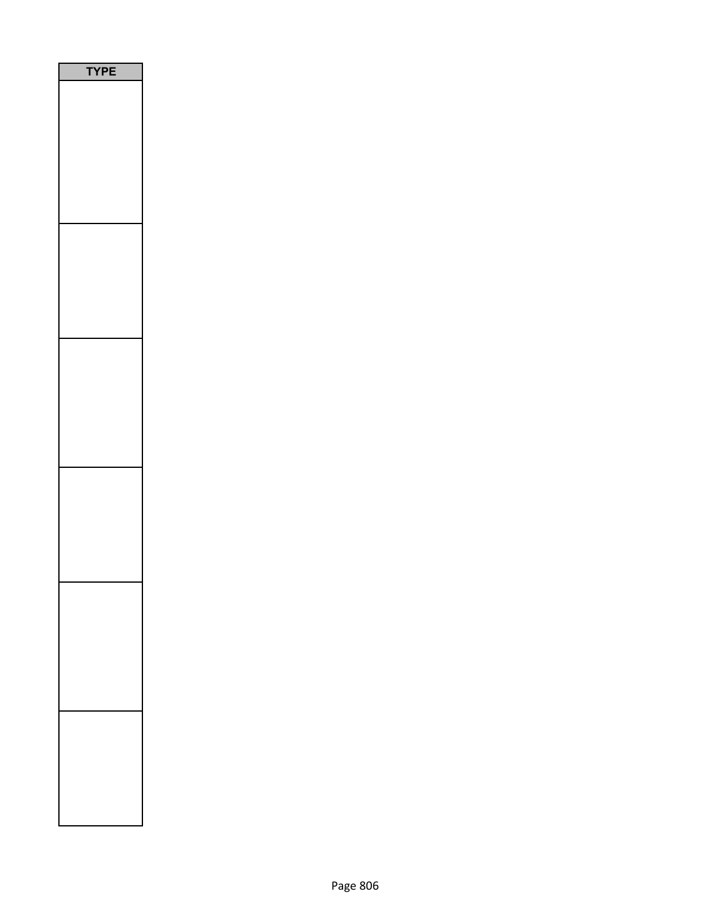| P<br>Ε<br>$\sqrt{2}$<br>٦ |
|---------------------------|
|                           |
|                           |
|                           |
|                           |
|                           |
|                           |
|                           |
|                           |
|                           |
|                           |
|                           |
|                           |
|                           |
|                           |
|                           |
|                           |
|                           |
|                           |
|                           |
|                           |
|                           |
|                           |
|                           |
|                           |
|                           |
|                           |
|                           |
|                           |
|                           |
|                           |
|                           |
|                           |
|                           |
|                           |
|                           |
|                           |
|                           |
|                           |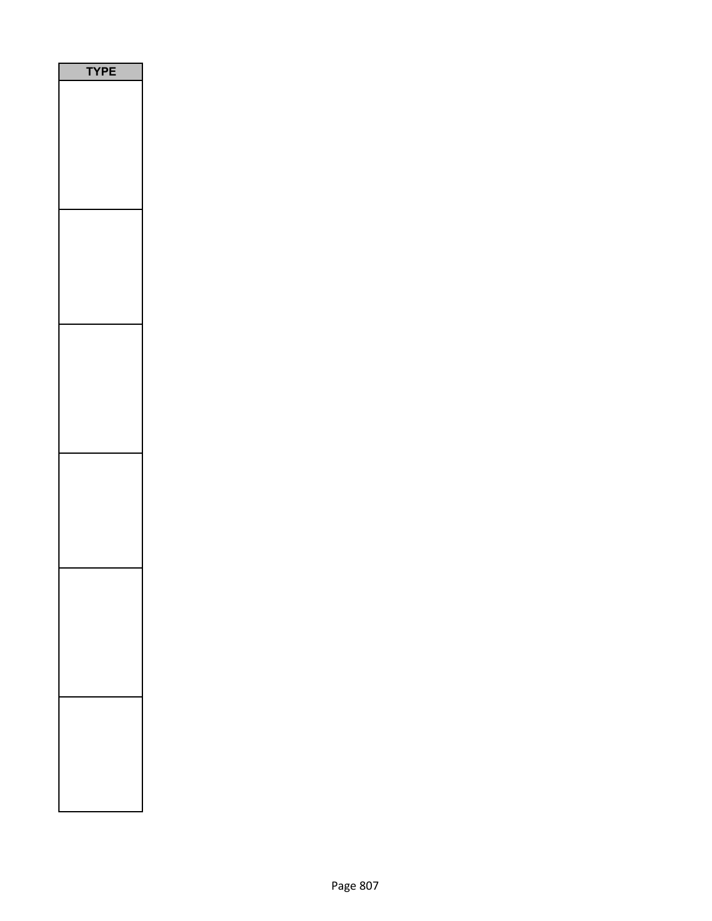| <b>/PE</b> |
|------------|
|            |
|            |
|            |
|            |
|            |
|            |
|            |
|            |
|            |
|            |
|            |
|            |
|            |
|            |
|            |
|            |
|            |
|            |
|            |
|            |
|            |
|            |
|            |
|            |
|            |
|            |
|            |
|            |
|            |
|            |
|            |
|            |
|            |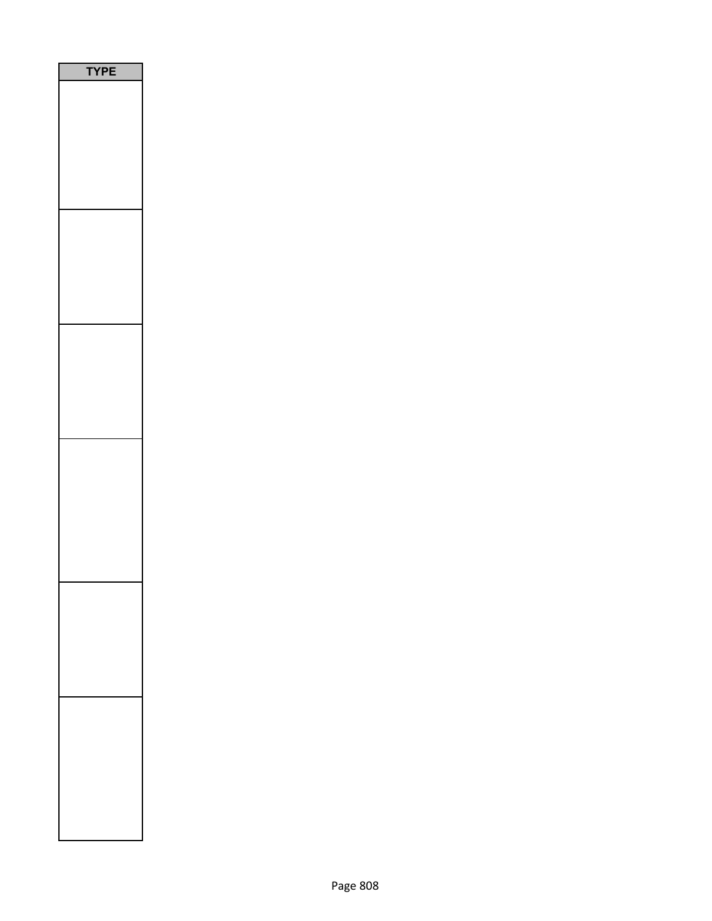| <b>YPE</b> |
|------------|
|            |
|            |
|            |
|            |
|            |
|            |
|            |
|            |
|            |
|            |
|            |
|            |
|            |
|            |
|            |
|            |
|            |
|            |
|            |
|            |
|            |
|            |
|            |
|            |
|            |
|            |
|            |
|            |
|            |
|            |
|            |
|            |
|            |
|            |
|            |
|            |
|            |
|            |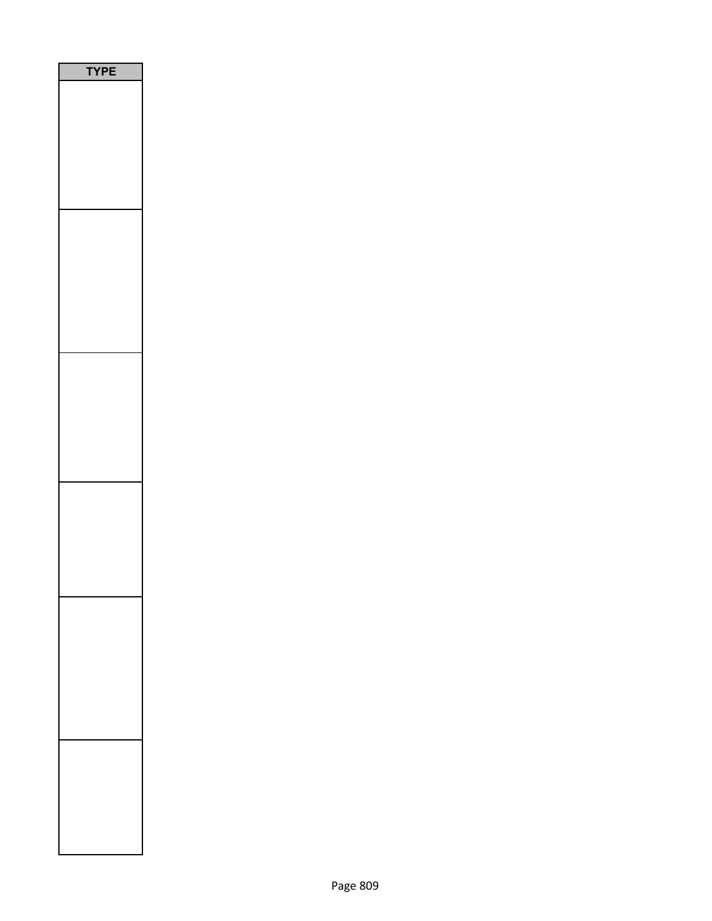| Ε<br>Р<br>ſ |
|-------------|
|             |
|             |
|             |
|             |
|             |
|             |
|             |
|             |
|             |
|             |
|             |
|             |
|             |
|             |
|             |
|             |
|             |
|             |
|             |
|             |
|             |
|             |
|             |
|             |
|             |
|             |
|             |
|             |
|             |
|             |
|             |
|             |
|             |
|             |
|             |
|             |
|             |
|             |
|             |
|             |
|             |
|             |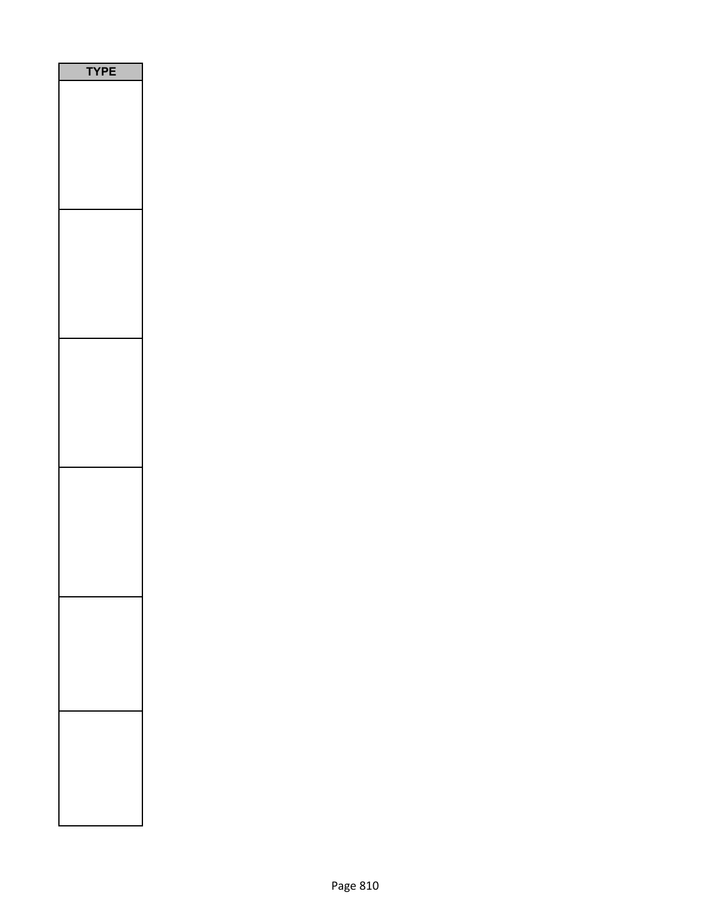| <b>YPE</b> |  |
|------------|--|
|            |  |
|            |  |
|            |  |
|            |  |
|            |  |
|            |  |
|            |  |
|            |  |
|            |  |
|            |  |
|            |  |
|            |  |
|            |  |
|            |  |
|            |  |
|            |  |
|            |  |
|            |  |
|            |  |
|            |  |
|            |  |
|            |  |
|            |  |
|            |  |
|            |  |
|            |  |
|            |  |
|            |  |
|            |  |
|            |  |
|            |  |
|            |  |
|            |  |
|            |  |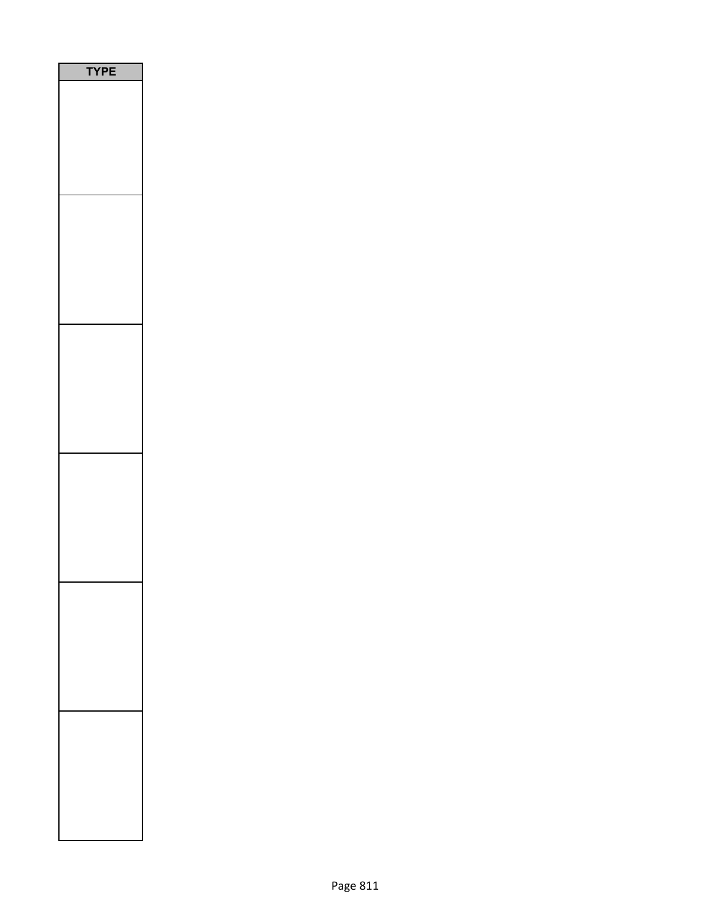| <b>/PE</b><br>٦ |
|-----------------|
|                 |
|                 |
|                 |
|                 |
|                 |
|                 |
|                 |
|                 |
|                 |
|                 |
|                 |
|                 |
|                 |
|                 |
|                 |
|                 |
|                 |
|                 |
|                 |
|                 |
|                 |
|                 |
|                 |
|                 |
|                 |
|                 |
|                 |
|                 |
|                 |
|                 |
|                 |
|                 |
|                 |
|                 |
|                 |
|                 |
|                 |
|                 |
|                 |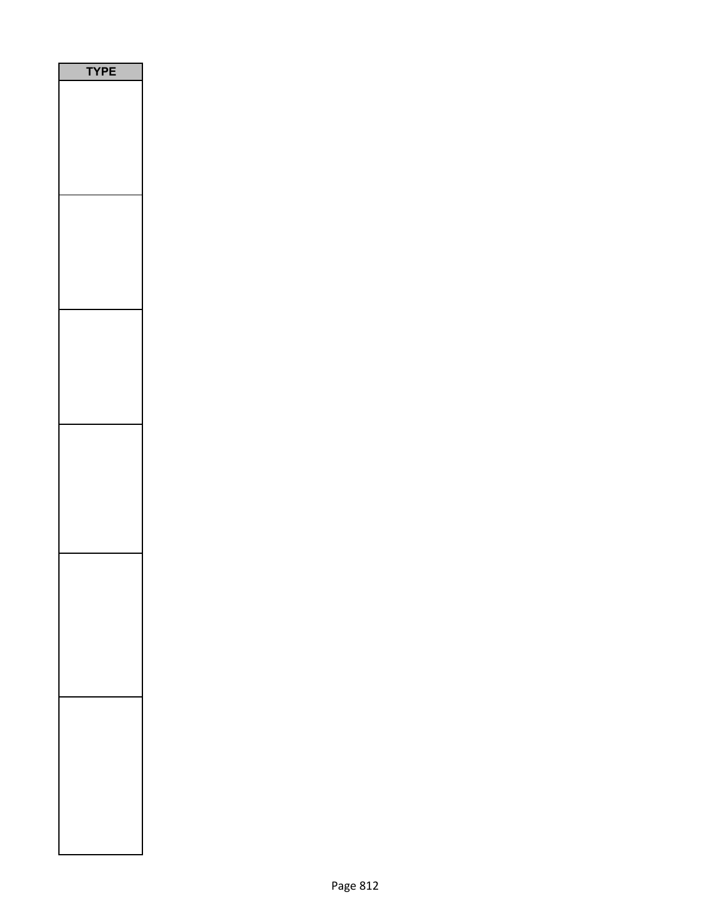| <b>YPE</b> |  |
|------------|--|
|            |  |
|            |  |
|            |  |
|            |  |
|            |  |
|            |  |
|            |  |
|            |  |
|            |  |
|            |  |
|            |  |
|            |  |
|            |  |
|            |  |
|            |  |
|            |  |
|            |  |
|            |  |
|            |  |
|            |  |
|            |  |
|            |  |
|            |  |
|            |  |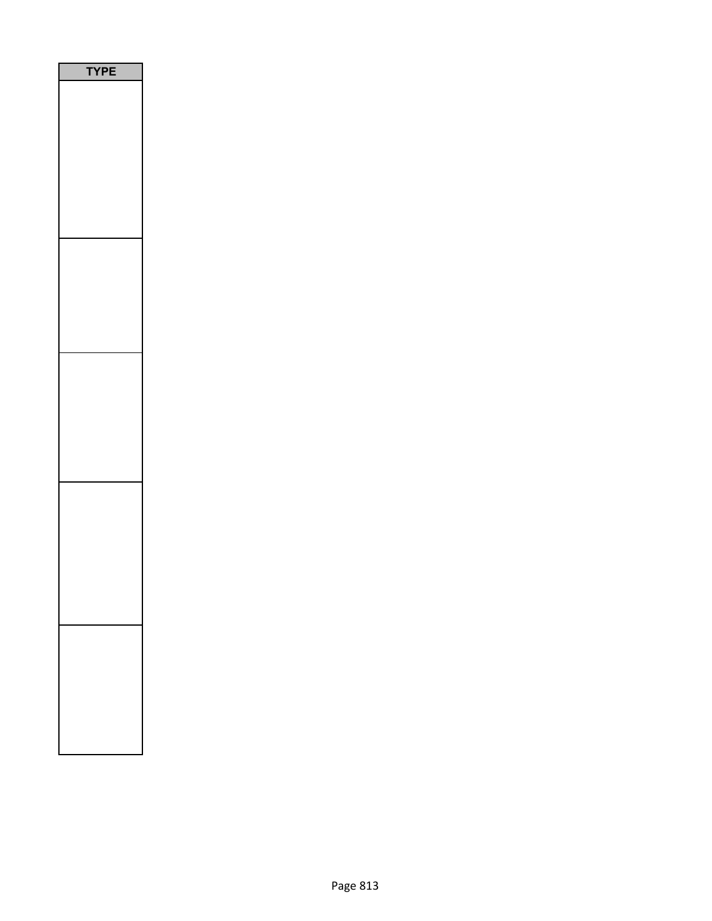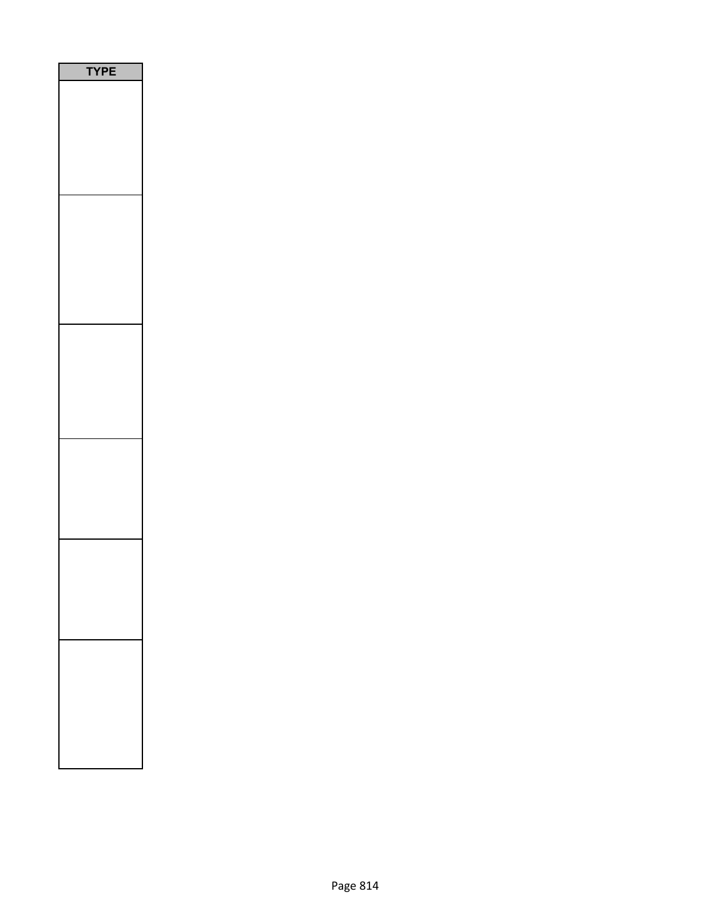| PE<br>ſ |
|---------|
|         |
|         |
|         |
|         |
|         |
|         |
|         |
|         |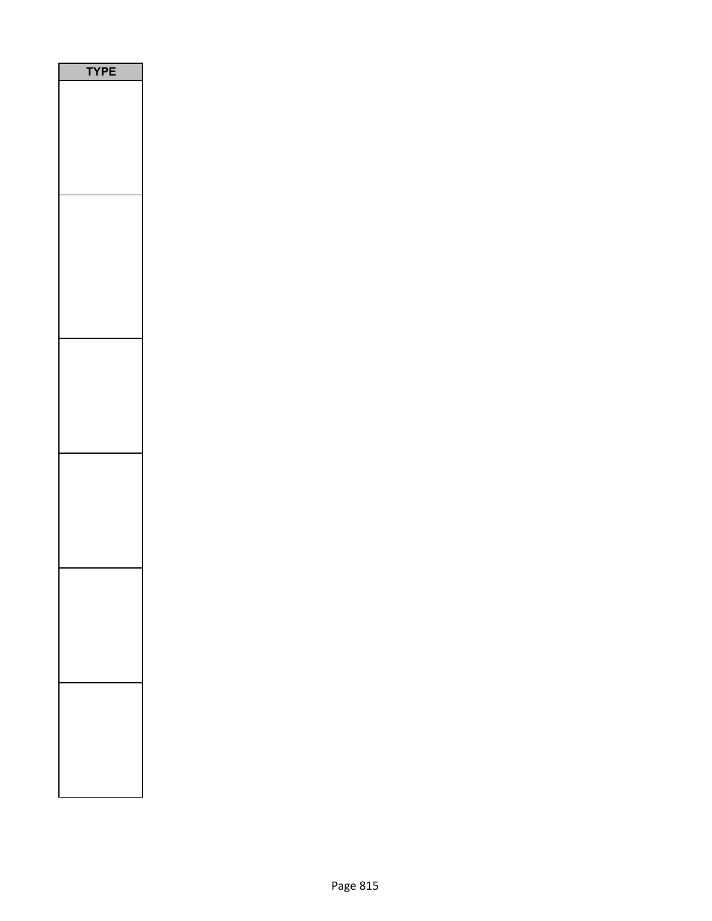| PE |
|----|
|    |
|    |
|    |
|    |
|    |
|    |
|    |
|    |
|    |
|    |
|    |
|    |
|    |
|    |
|    |
|    |
|    |
|    |
|    |
|    |
|    |
|    |
|    |
|    |
|    |
|    |
|    |
|    |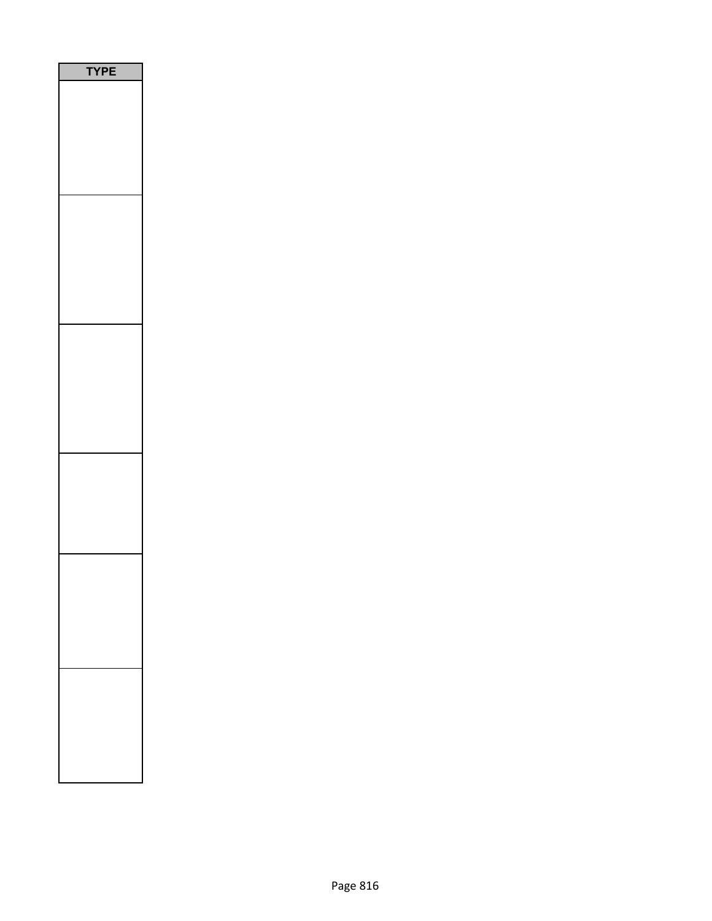| P<br>Ε<br>ſ<br>٦ |
|------------------|
|                  |
|                  |
|                  |
|                  |
|                  |
|                  |
|                  |
|                  |
|                  |
|                  |
|                  |
|                  |
|                  |
|                  |
|                  |
|                  |
|                  |
|                  |
|                  |
|                  |
|                  |
|                  |
|                  |
|                  |
|                  |
|                  |
|                  |
|                  |
|                  |
|                  |
|                  |
|                  |
|                  |
|                  |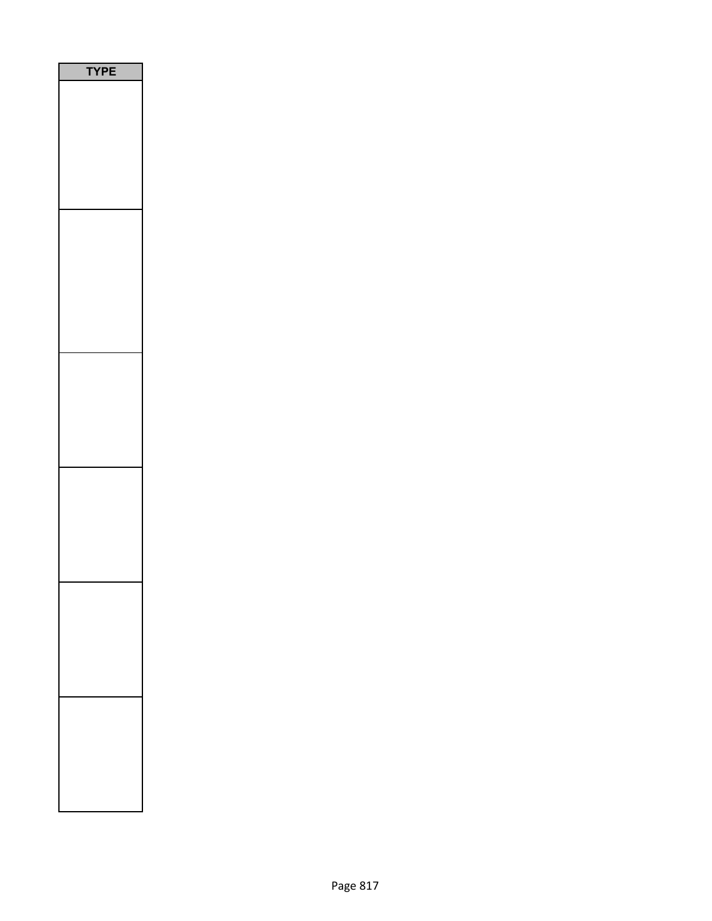| <b>YPE</b> |
|------------|
|            |
|            |
|            |
|            |
|            |
|            |
|            |
|            |
|            |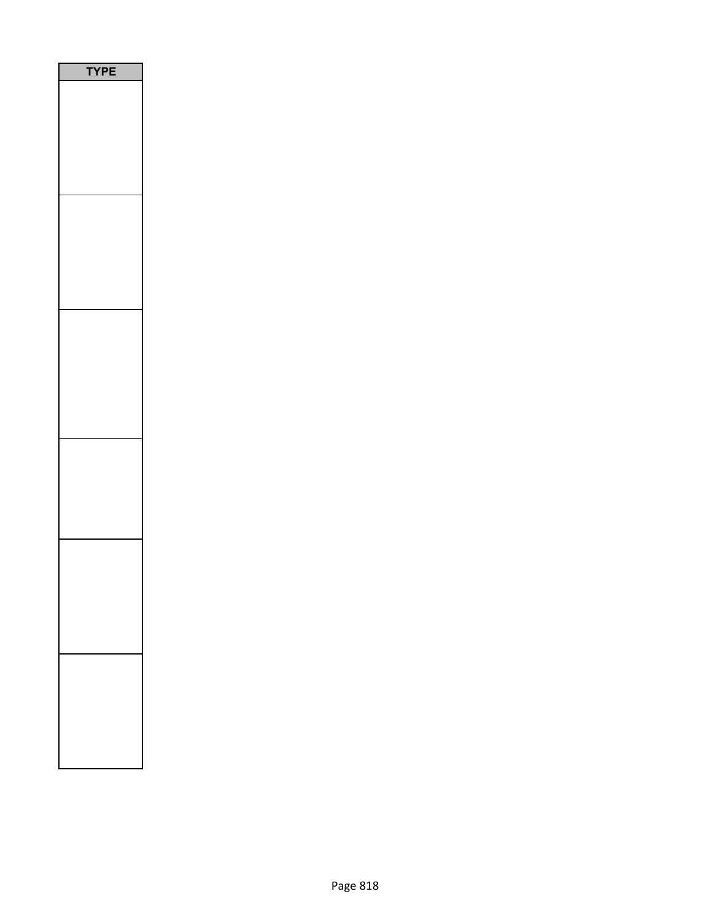| PE<br>٢ |
|---------|
|         |
|         |
|         |
|         |
|         |
|         |
|         |
|         |
|         |
|         |
|         |
|         |
|         |
|         |
|         |
|         |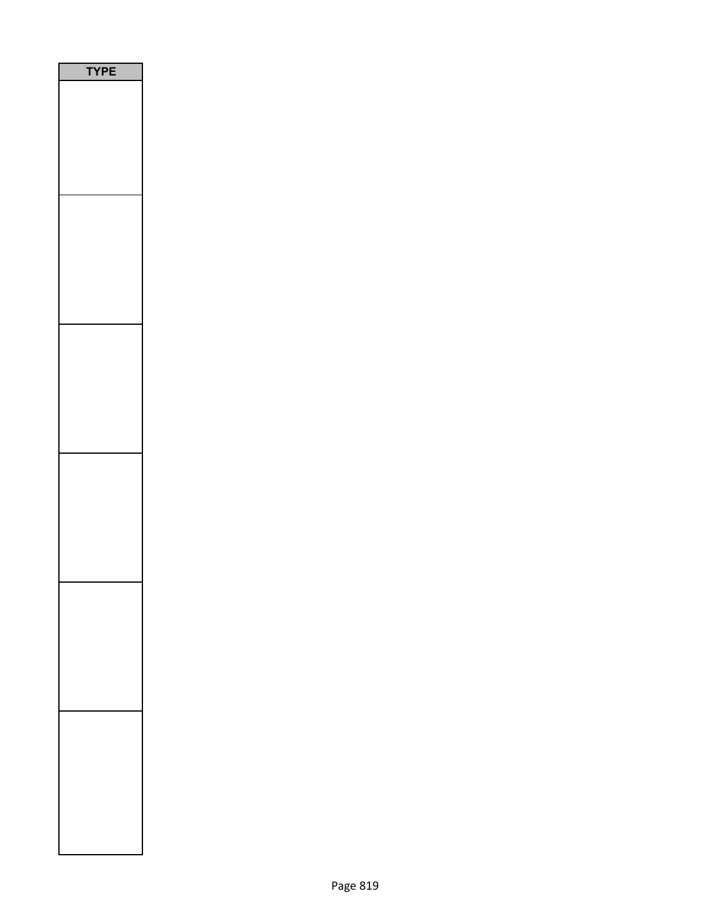| PE<br>٦ |  |
|---------|--|
|         |  |
|         |  |
|         |  |
|         |  |
|         |  |
|         |  |
|         |  |
|         |  |
|         |  |
|         |  |
|         |  |
|         |  |
|         |  |
|         |  |
|         |  |
|         |  |
|         |  |
|         |  |
|         |  |
|         |  |
|         |  |
|         |  |
|         |  |
|         |  |
|         |  |
|         |  |
|         |  |
|         |  |
|         |  |
|         |  |
|         |  |
|         |  |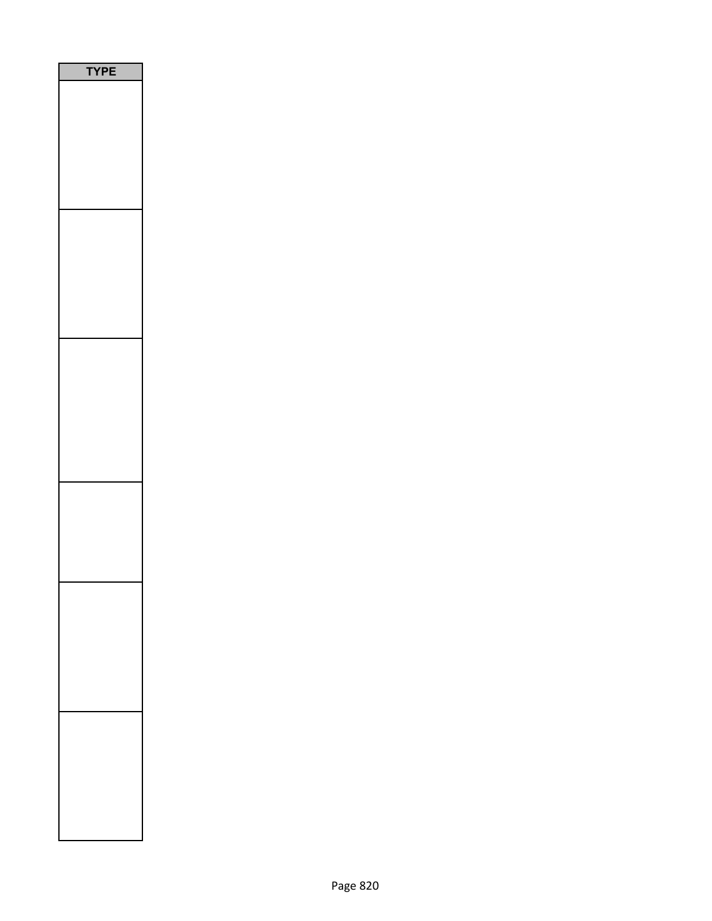| PE<br>٢<br>٦ |
|--------------|
|              |
|              |
|              |
|              |
|              |
|              |
|              |
|              |
|              |
|              |
|              |
|              |
|              |
|              |
|              |
|              |
|              |
|              |
|              |
|              |
|              |
|              |
|              |
|              |
|              |
|              |
|              |
|              |
|              |
|              |
|              |
|              |
|              |
|              |
|              |
|              |
|              |
|              |
|              |
|              |
|              |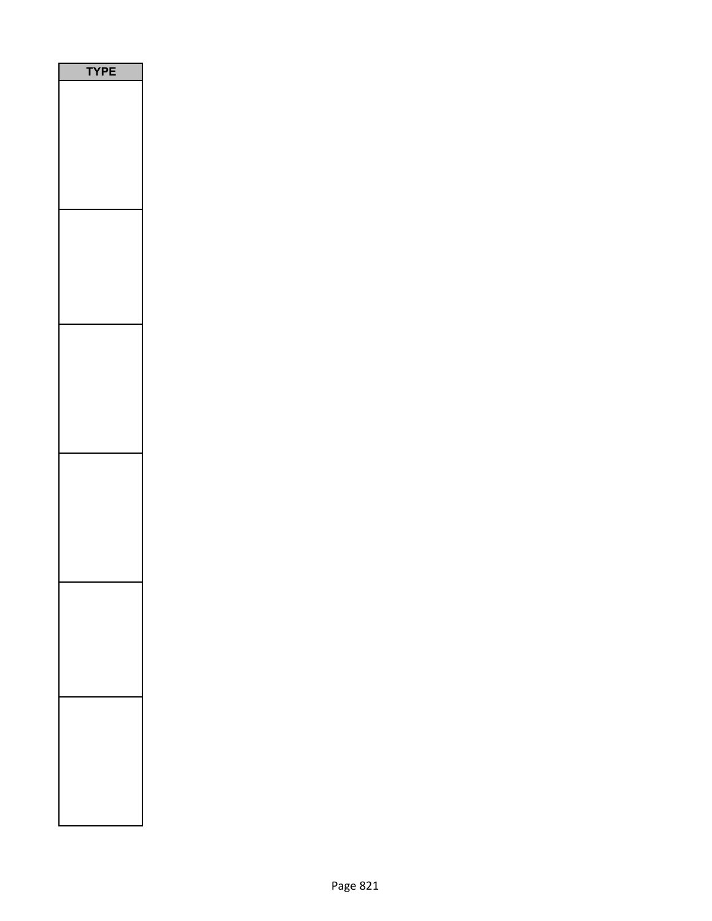| <b>YPE</b> |
|------------|
|            |
|            |
|            |
|            |
|            |
|            |
|            |
|            |
|            |
|            |
|            |
|            |
|            |
|            |
|            |
|            |
|            |
|            |
|            |
|            |
|            |
|            |
|            |
|            |
|            |
|            |
|            |
|            |
|            |
|            |
|            |
|            |
|            |
|            |
|            |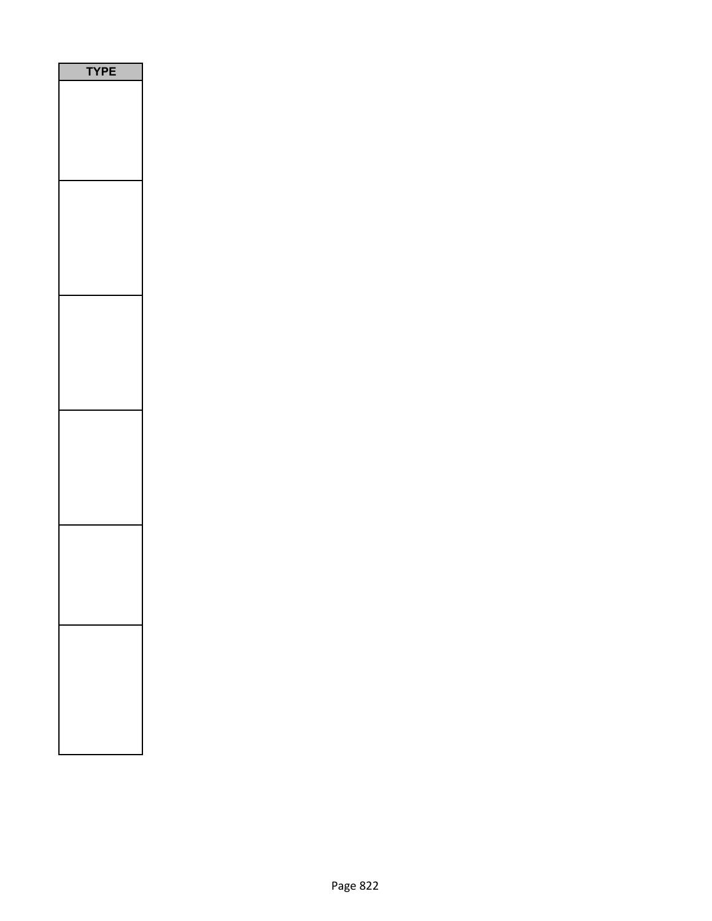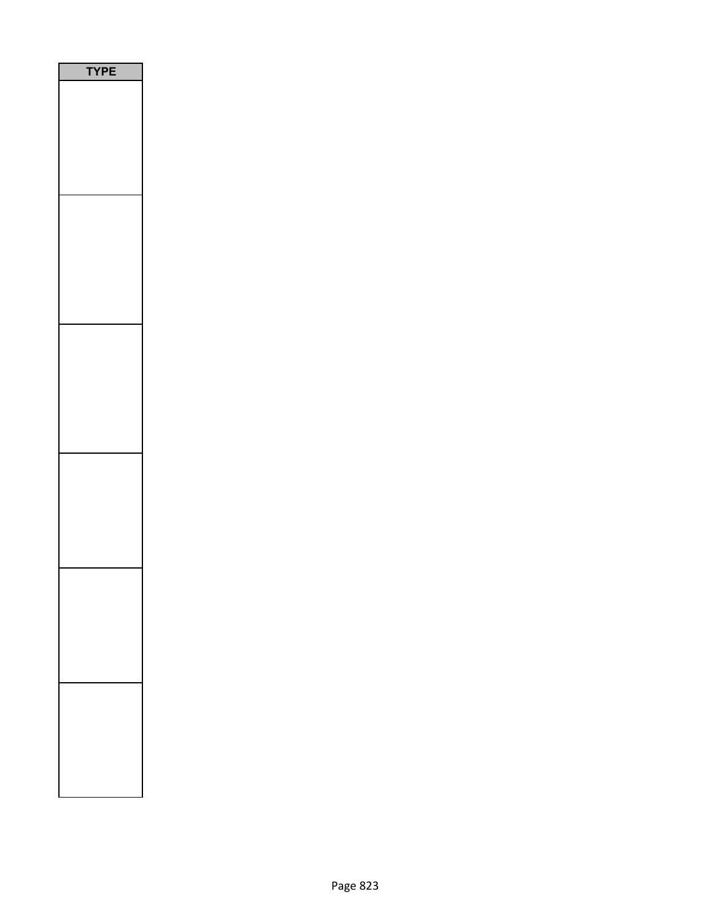| <b>PE</b><br>٦ |
|----------------|
|                |
|                |
|                |
|                |
|                |
|                |
|                |
|                |
|                |
|                |
|                |
|                |
|                |
|                |
|                |
|                |
|                |
|                |
|                |
|                |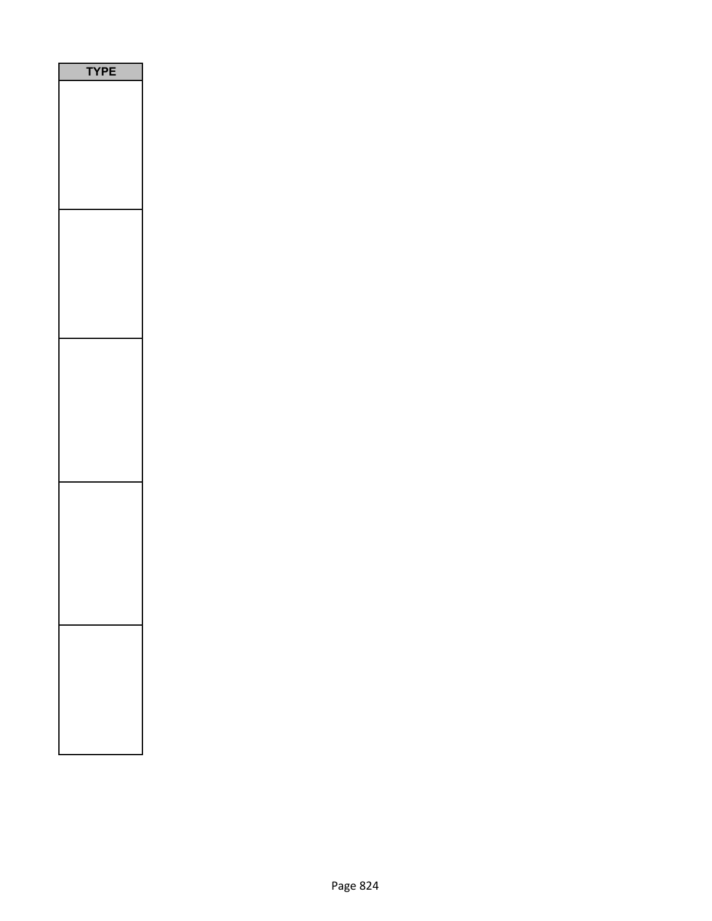| PE<br>٢ |
|---------|
|         |
|         |
|         |
|         |
|         |
|         |
|         |
|         |
|         |
|         |
|         |
|         |
|         |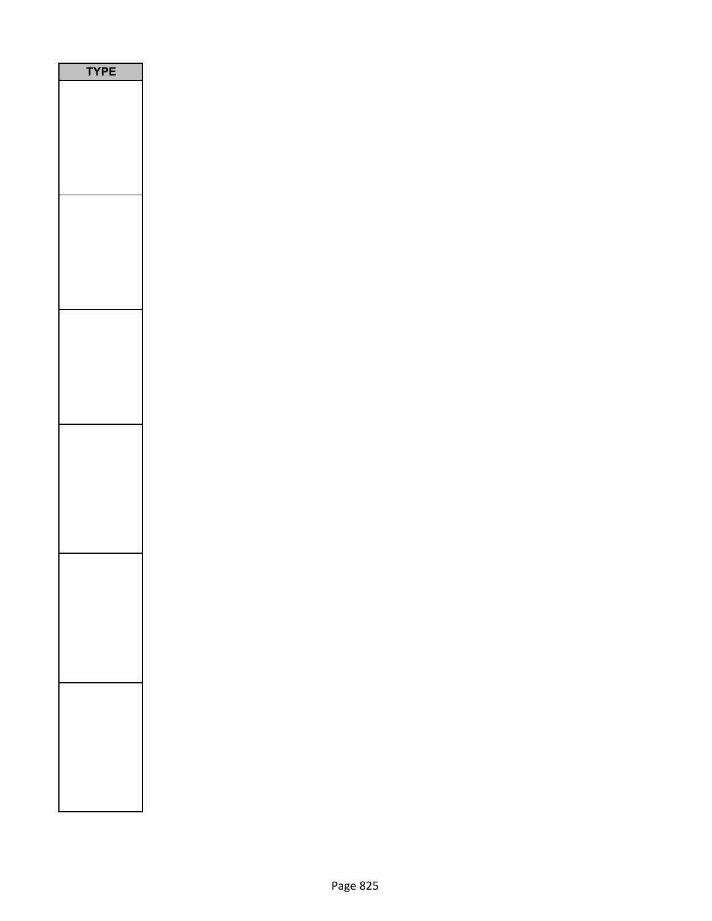| Ε<br>P<br>٢ |
|-------------|
|             |
|             |
|             |
|             |
|             |
|             |
|             |
|             |
|             |
|             |
|             |
|             |
|             |
|             |
|             |
|             |
|             |
|             |
|             |
|             |
|             |
|             |
|             |
|             |
|             |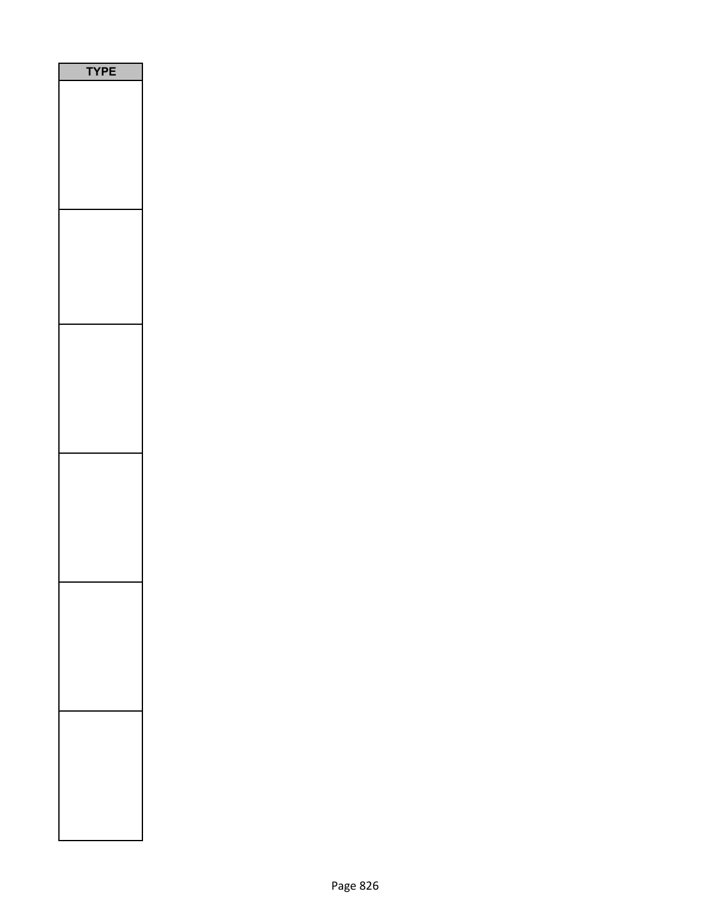| PE<br>$\epsilon$<br>٦ |
|-----------------------|
|                       |
|                       |
|                       |
|                       |
|                       |
|                       |
|                       |
|                       |
|                       |
|                       |
|                       |
|                       |
|                       |
|                       |
|                       |
|                       |
|                       |
|                       |
|                       |
|                       |
|                       |
|                       |
|                       |
|                       |
|                       |
|                       |
|                       |
|                       |
|                       |
|                       |
|                       |
|                       |
|                       |
|                       |
|                       |
|                       |
|                       |
|                       |
|                       |
|                       |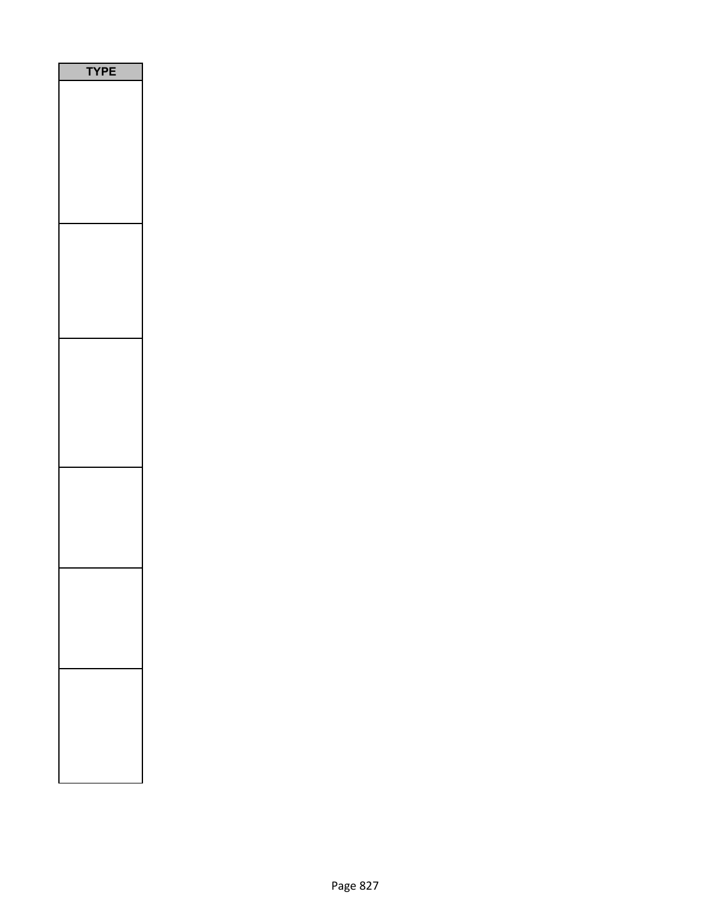| E<br>P |
|--------|
|        |
|        |
|        |
|        |
|        |
|        |
|        |
|        |
|        |
|        |
|        |
|        |
|        |
|        |
|        |
|        |
|        |
|        |
|        |
|        |
|        |
|        |
|        |
|        |
|        |
|        |
|        |
|        |
|        |
|        |
|        |
|        |
|        |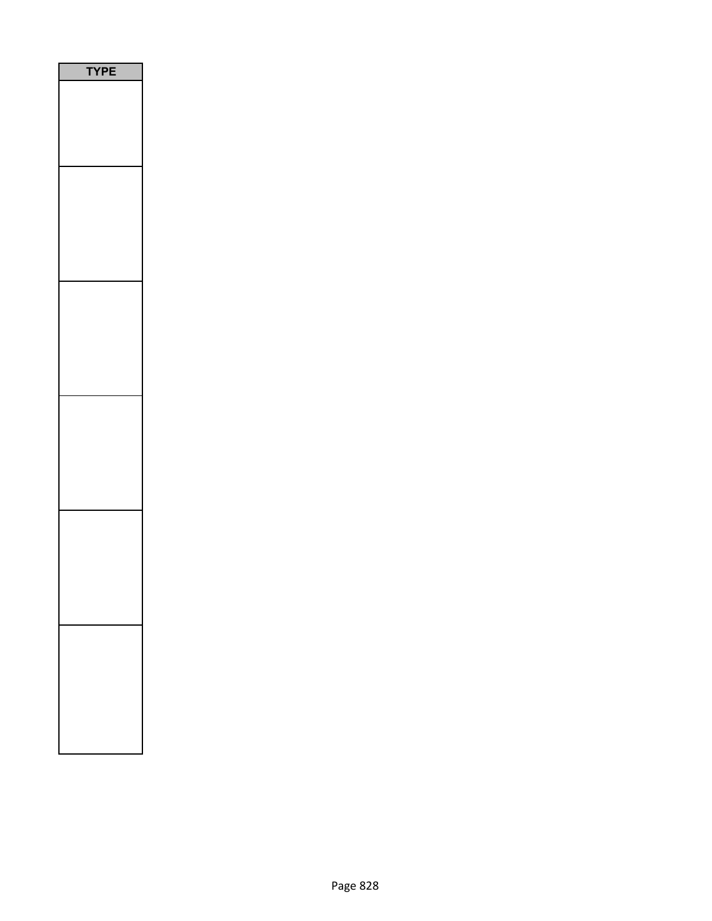| E<br>P<br>1<br>١<br>ſ, |
|------------------------|
|                        |
|                        |
|                        |
|                        |
|                        |
|                        |
|                        |
|                        |
|                        |
|                        |
|                        |
|                        |
|                        |
|                        |
|                        |
|                        |
|                        |
|                        |
|                        |
|                        |
|                        |
|                        |
|                        |
|                        |
|                        |
|                        |
|                        |
|                        |
|                        |
|                        |
|                        |
|                        |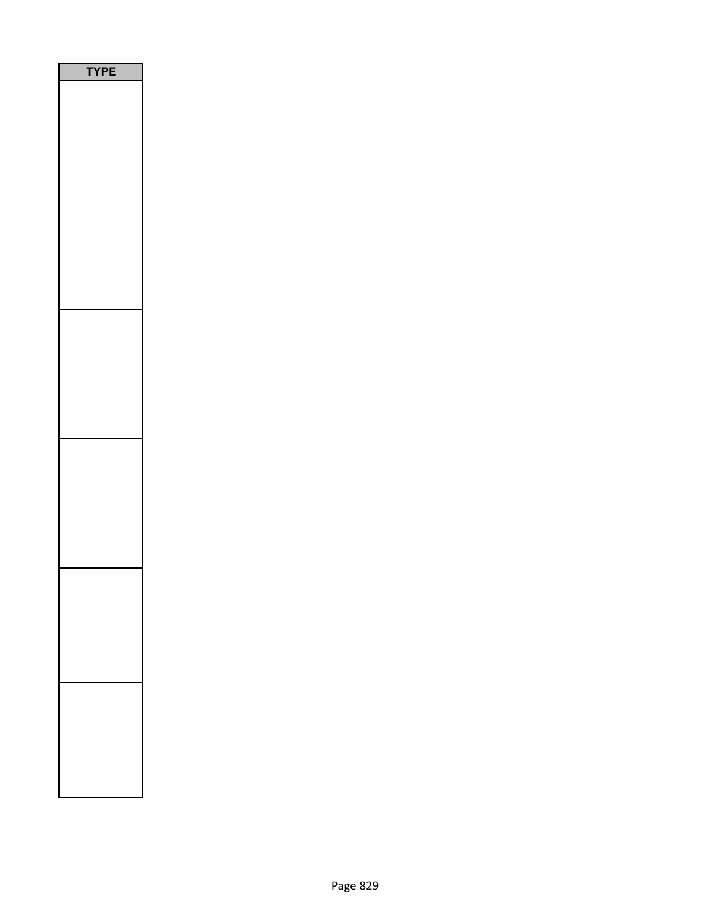| <b>YPE</b> |
|------------|
|            |
|            |
|            |
|            |
|            |
|            |
|            |
|            |
|            |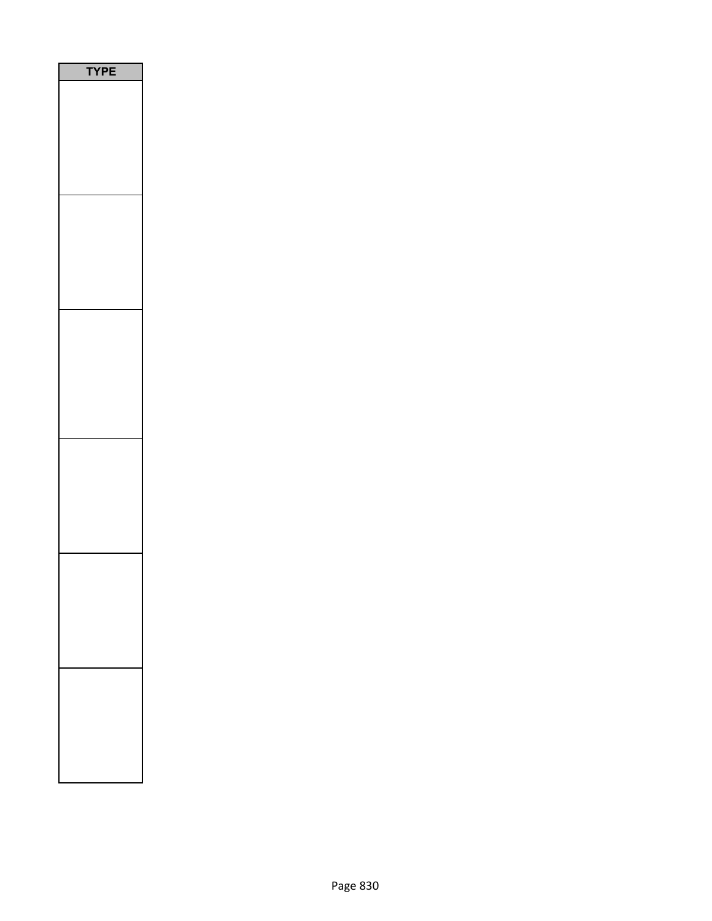| E<br>P |
|--------|
|        |
|        |
|        |
|        |
|        |
|        |
|        |
|        |
|        |
|        |
|        |
|        |
|        |
|        |
|        |
|        |
|        |
|        |
|        |
|        |
|        |
|        |
|        |
|        |
|        |
|        |
|        |
|        |
|        |
|        |
|        |
|        |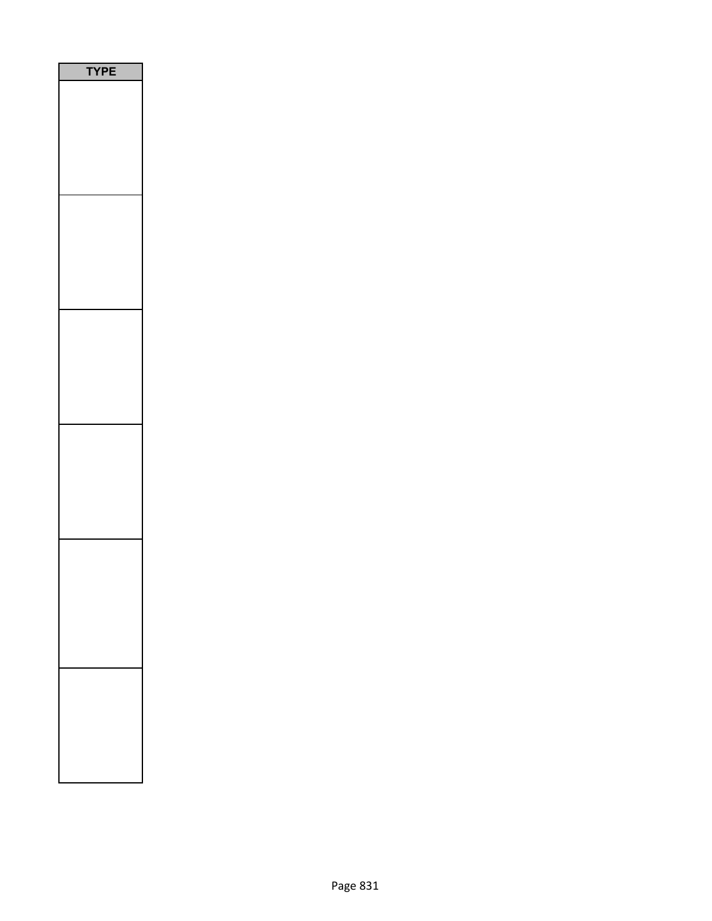| P<br>Ε<br>1<br>n |  |
|------------------|--|
|                  |  |
|                  |  |
|                  |  |
|                  |  |
|                  |  |
|                  |  |
|                  |  |
|                  |  |
|                  |  |
|                  |  |
|                  |  |
|                  |  |
|                  |  |
|                  |  |
|                  |  |
|                  |  |
|                  |  |
|                  |  |
|                  |  |
|                  |  |
|                  |  |
|                  |  |
|                  |  |
|                  |  |
|                  |  |
|                  |  |
|                  |  |
|                  |  |
|                  |  |
|                  |  |
|                  |  |
|                  |  |
|                  |  |
|                  |  |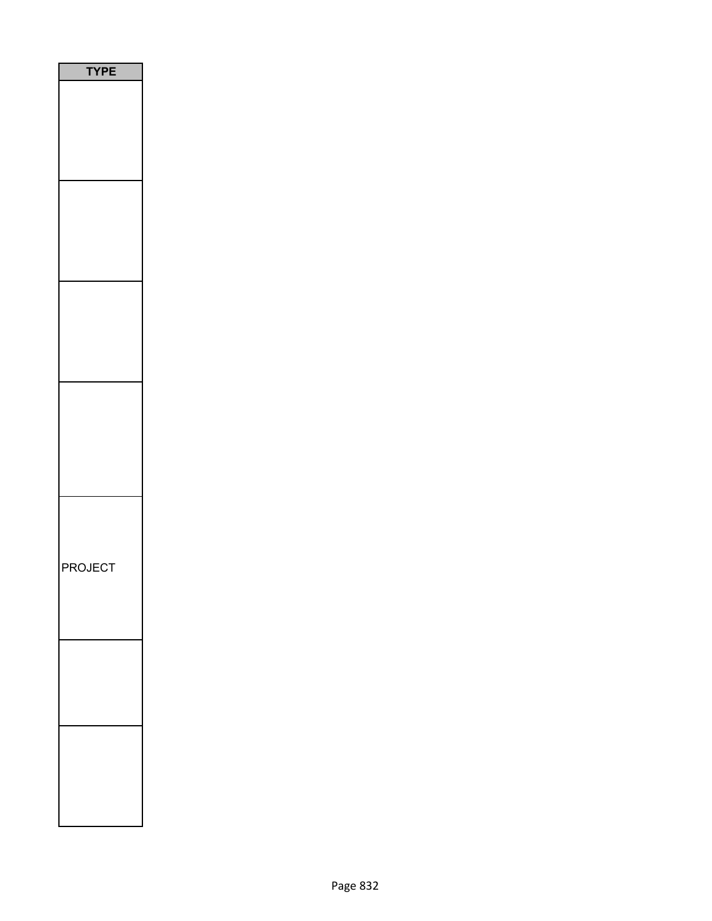| <b>TYPE</b>    |
|----------------|
|                |
|                |
|                |
|                |
|                |
|                |
|                |
|                |
|                |
|                |
|                |
|                |
|                |
|                |
|                |
|                |
|                |
|                |
|                |
|                |
|                |
| <b>PROJECT</b> |
|                |
|                |
|                |
|                |
|                |
|                |
|                |
|                |
|                |
|                |
|                |
|                |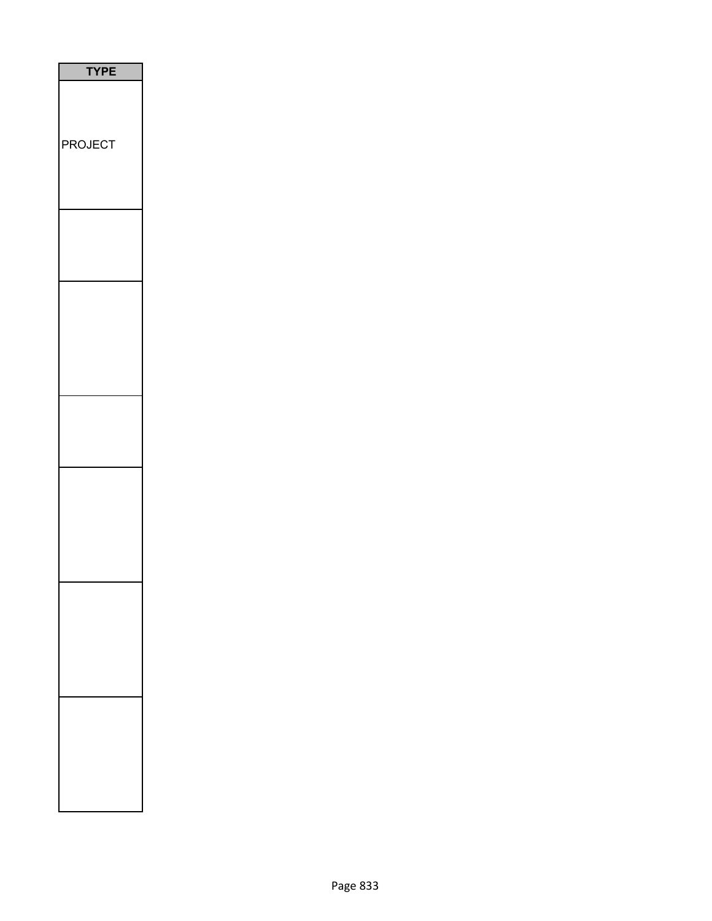| <b>TYPE</b>    |
|----------------|
| <b>PROJECT</b> |
|                |
|                |
|                |
|                |
|                |
|                |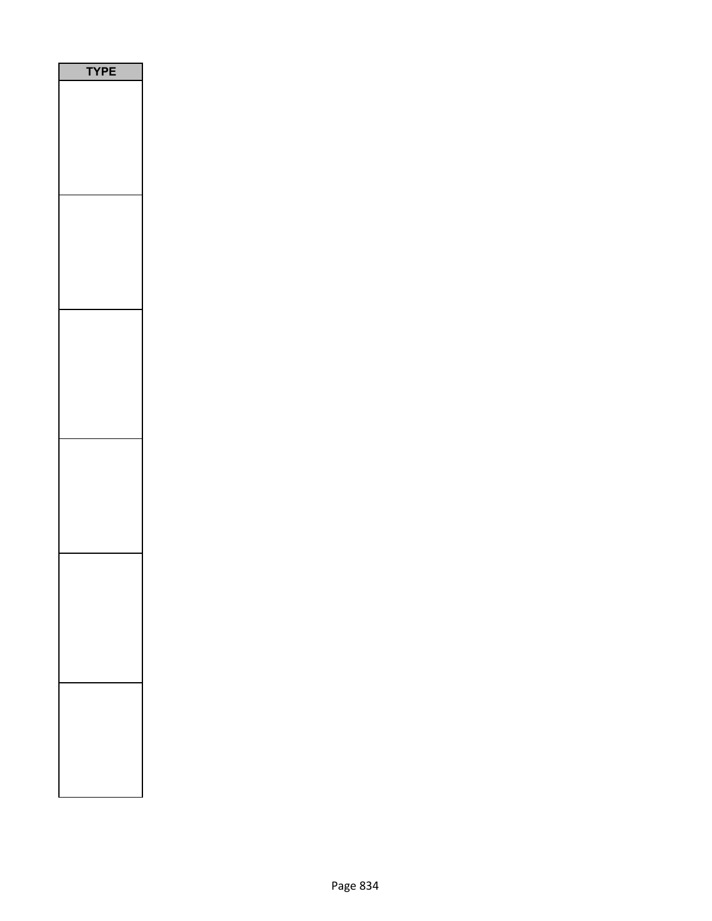| YPE |
|-----|
|     |
|     |
|     |
|     |
|     |
|     |
|     |
|     |
|     |
|     |
|     |
|     |
|     |
|     |
|     |
|     |
|     |
|     |
|     |
|     |
|     |
|     |
|     |
|     |
|     |
|     |
|     |
|     |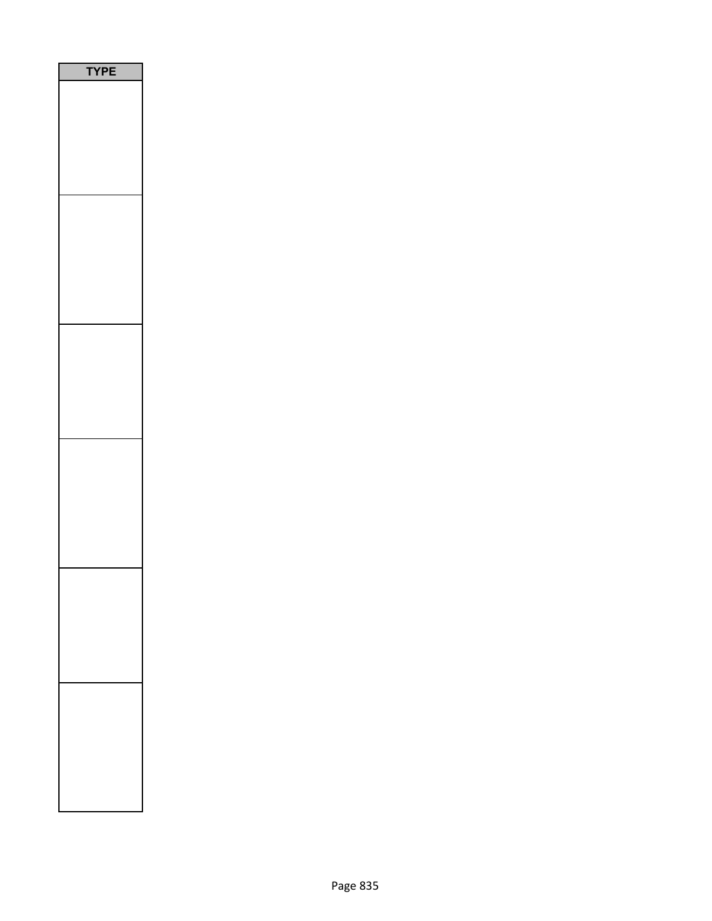| PE<br>ſ<br>٦ |
|--------------|
|              |
|              |
|              |
|              |
|              |
|              |
|              |
|              |
|              |
|              |
|              |
|              |
|              |
|              |
|              |
|              |
|              |
|              |
|              |
|              |
|              |
|              |
|              |
|              |
|              |
|              |
|              |
|              |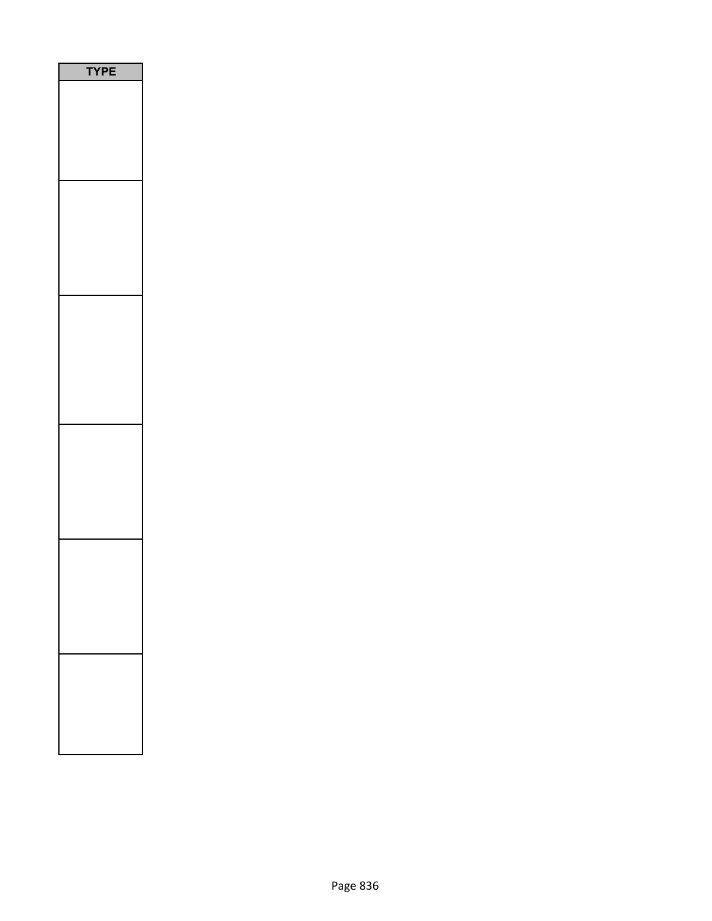| E<br>P<br>Ē<br>1<br>٦ |
|-----------------------|
|                       |
|                       |
|                       |
|                       |
|                       |
|                       |
|                       |
|                       |
|                       |
|                       |
|                       |
|                       |
|                       |
|                       |
|                       |
|                       |
|                       |
|                       |
|                       |
|                       |
|                       |
|                       |
|                       |
|                       |
|                       |
|                       |
|                       |
|                       |
|                       |
|                       |
|                       |
|                       |
|                       |
|                       |
|                       |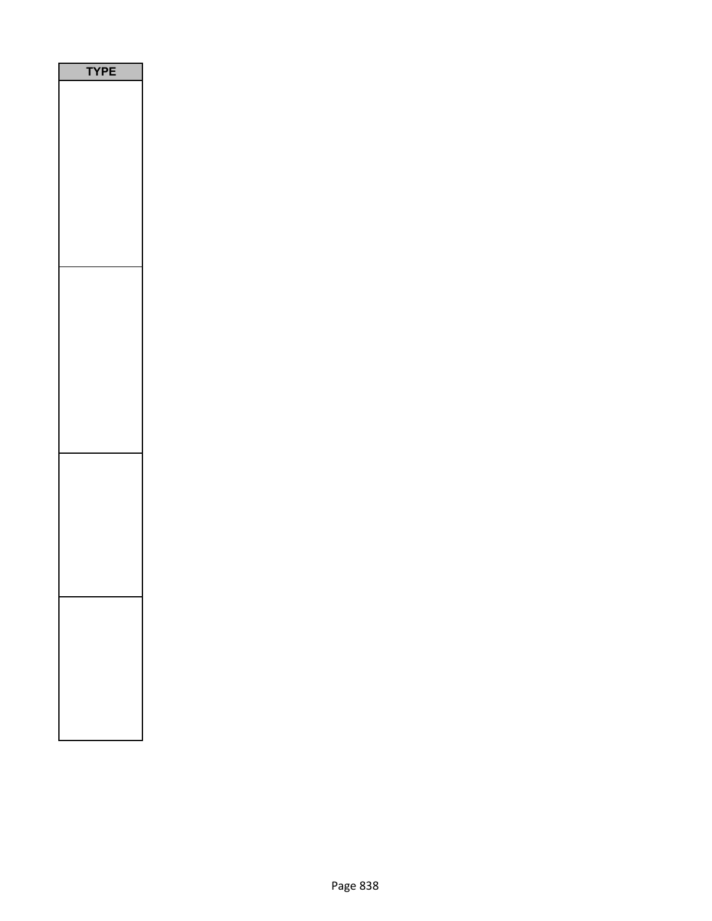| P<br>1<br>l |  |
|-------------|--|
|             |  |
|             |  |
|             |  |
|             |  |
|             |  |
|             |  |
|             |  |
|             |  |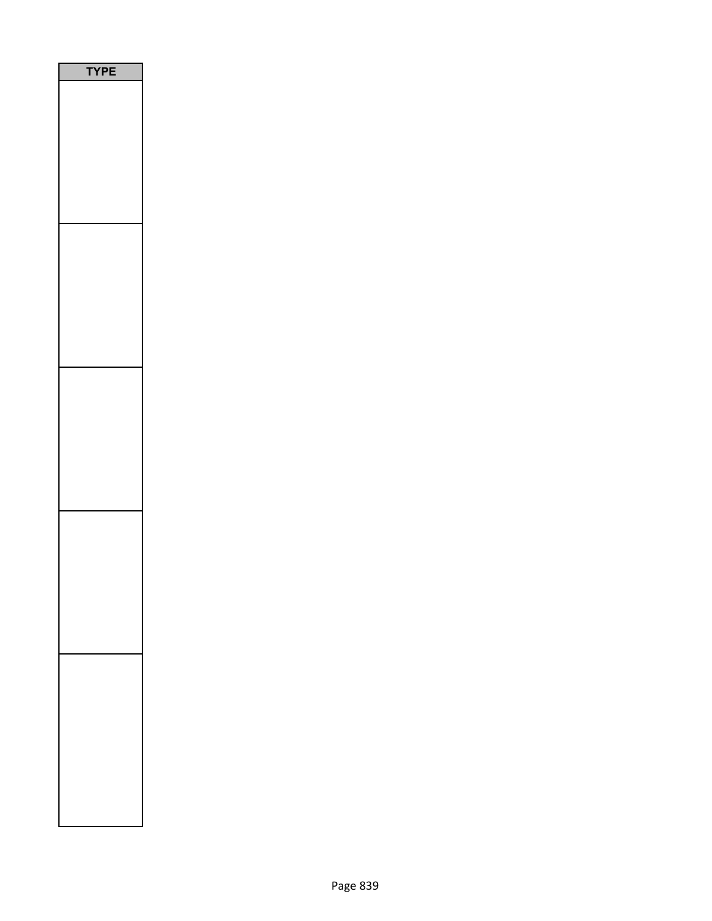| ٢<br>P<br>I<br>l |
|------------------|
|                  |
|                  |
|                  |
|                  |
|                  |
|                  |
|                  |
|                  |
|                  |
|                  |
|                  |
|                  |
|                  |
|                  |
|                  |
|                  |
|                  |
|                  |
|                  |
|                  |
|                  |
|                  |
|                  |
|                  |
|                  |
|                  |
|                  |
|                  |
|                  |
|                  |
|                  |
|                  |
|                  |
|                  |
|                  |
|                  |
|                  |
|                  |